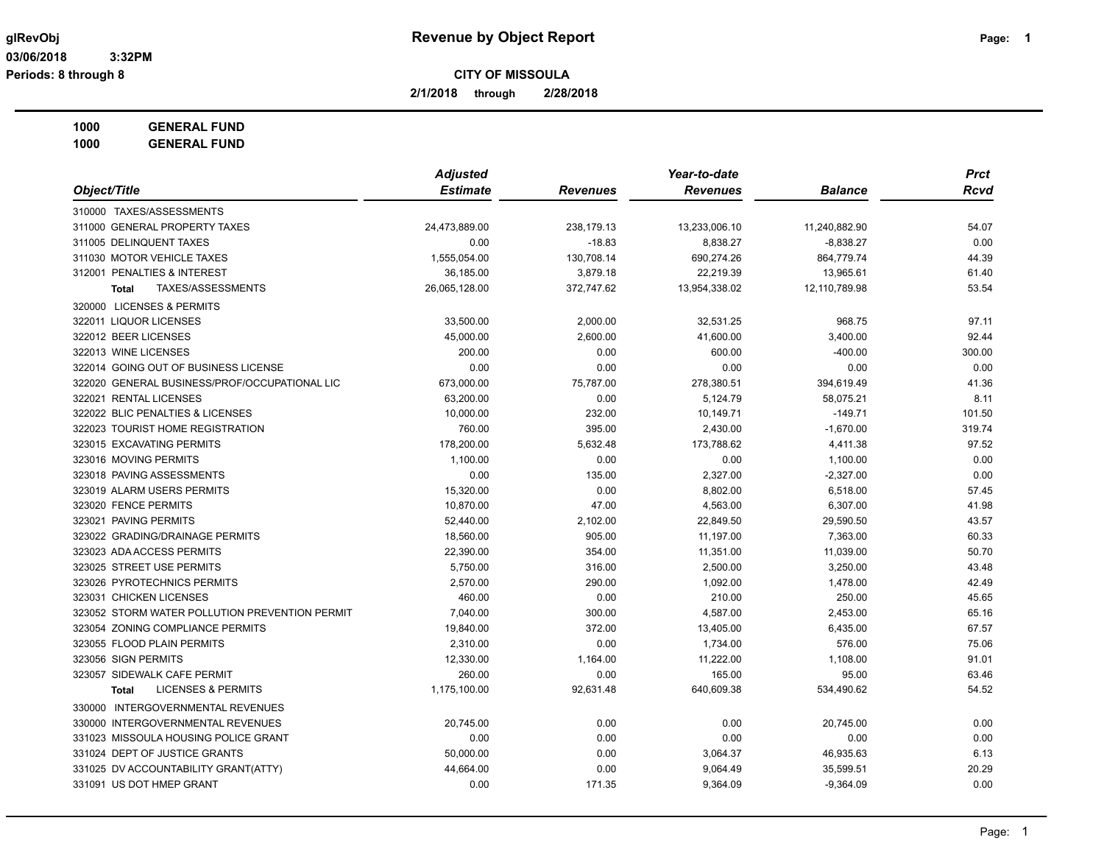**2/1/2018 through 2/28/2018**

**1000 GENERAL FUND**

|                                                | <b>Adjusted</b> |                 | Year-to-date    |                | <b>Prct</b> |
|------------------------------------------------|-----------------|-----------------|-----------------|----------------|-------------|
| Object/Title                                   | <b>Estimate</b> | <b>Revenues</b> | <b>Revenues</b> | <b>Balance</b> | <b>Rcvd</b> |
| 310000 TAXES/ASSESSMENTS                       |                 |                 |                 |                |             |
| 311000 GENERAL PROPERTY TAXES                  | 24,473,889.00   | 238,179.13      | 13,233,006.10   | 11,240,882.90  | 54.07       |
| 311005 DELINQUENT TAXES                        | 0.00            | $-18.83$        | 8,838.27        | $-8,838.27$    | 0.00        |
| 311030 MOTOR VEHICLE TAXES                     | 1,555,054.00    | 130,708.14      | 690,274.26      | 864,779.74     | 44.39       |
| 312001 PENALTIES & INTEREST                    | 36,185.00       | 3,879.18        | 22,219.39       | 13,965.61      | 61.40       |
| TAXES/ASSESSMENTS<br><b>Total</b>              | 26,065,128.00   | 372,747.62      | 13,954,338.02   | 12,110,789.98  | 53.54       |
| 320000 LICENSES & PERMITS                      |                 |                 |                 |                |             |
| 322011 LIQUOR LICENSES                         | 33,500.00       | 2,000.00        | 32,531.25       | 968.75         | 97.11       |
| 322012 BEER LICENSES                           | 45,000.00       | 2,600.00        | 41,600.00       | 3,400.00       | 92.44       |
| 322013 WINE LICENSES                           | 200.00          | 0.00            | 600.00          | $-400.00$      | 300.00      |
| 322014 GOING OUT OF BUSINESS LICENSE           | 0.00            | 0.00            | 0.00            | 0.00           | 0.00        |
| 322020 GENERAL BUSINESS/PROF/OCCUPATIONAL LIC  | 673,000.00      | 75,787.00       | 278,380.51      | 394,619.49     | 41.36       |
| 322021 RENTAL LICENSES                         | 63,200.00       | 0.00            | 5,124.79        | 58,075.21      | 8.11        |
| 322022 BLIC PENALTIES & LICENSES               | 10,000.00       | 232.00          | 10,149.71       | $-149.71$      | 101.50      |
| 322023 TOURIST HOME REGISTRATION               | 760.00          | 395.00          | 2,430.00        | $-1,670.00$    | 319.74      |
| 323015 EXCAVATING PERMITS                      | 178,200.00      | 5,632.48        | 173,788.62      | 4,411.38       | 97.52       |
| 323016 MOVING PERMITS                          | 1,100.00        | 0.00            | 0.00            | 1,100.00       | 0.00        |
| 323018 PAVING ASSESSMENTS                      | 0.00            | 135.00          | 2,327.00        | $-2,327.00$    | 0.00        |
| 323019 ALARM USERS PERMITS                     | 15,320.00       | 0.00            | 8,802.00        | 6,518.00       | 57.45       |
| 323020 FENCE PERMITS                           | 10,870.00       | 47.00           | 4,563.00        | 6,307.00       | 41.98       |
| 323021 PAVING PERMITS                          | 52,440.00       | 2,102.00        | 22,849.50       | 29,590.50      | 43.57       |
| 323022 GRADING/DRAINAGE PERMITS                | 18,560.00       | 905.00          | 11,197.00       | 7,363.00       | 60.33       |
| 323023 ADA ACCESS PERMITS                      | 22,390.00       | 354.00          | 11,351.00       | 11,039.00      | 50.70       |
| 323025 STREET USE PERMITS                      | 5,750.00        | 316.00          | 2,500.00        | 3,250.00       | 43.48       |
| 323026 PYROTECHNICS PERMITS                    | 2,570.00        | 290.00          | 1,092.00        | 1,478.00       | 42.49       |
| 323031 CHICKEN LICENSES                        | 460.00          | 0.00            | 210.00          | 250.00         | 45.65       |
| 323052 STORM WATER POLLUTION PREVENTION PERMIT | 7,040.00        | 300.00          | 4,587.00        | 2,453.00       | 65.16       |
| 323054 ZONING COMPLIANCE PERMITS               | 19,840.00       | 372.00          | 13,405.00       | 6,435.00       | 67.57       |
| 323055 FLOOD PLAIN PERMITS                     | 2,310.00        | 0.00            | 1,734.00        | 576.00         | 75.06       |
| 323056 SIGN PERMITS                            | 12,330.00       | 1,164.00        | 11,222.00       | 1,108.00       | 91.01       |
| 323057 SIDEWALK CAFE PERMIT                    | 260.00          | 0.00            | 165.00          | 95.00          | 63.46       |
| <b>LICENSES &amp; PERMITS</b><br><b>Total</b>  | 1,175,100.00    | 92,631.48       | 640,609.38      | 534,490.62     | 54.52       |
| 330000 INTERGOVERNMENTAL REVENUES              |                 |                 |                 |                |             |
| 330000 INTERGOVERNMENTAL REVENUES              | 20,745.00       | 0.00            | 0.00            | 20,745.00      | 0.00        |
| 331023 MISSOULA HOUSING POLICE GRANT           | 0.00            | 0.00            | 0.00            | 0.00           | 0.00        |
| 331024 DEPT OF JUSTICE GRANTS                  | 50,000.00       | 0.00            | 3,064.37        | 46,935.63      | 6.13        |
| 331025 DV ACCOUNTABILITY GRANT(ATTY)           | 44,664.00       | 0.00            | 9,064.49        | 35,599.51      | 20.29       |
| 331091 US DOT HMEP GRANT                       | 0.00            | 171.35          | 9,364.09        | $-9,364.09$    | 0.00        |
|                                                |                 |                 |                 |                |             |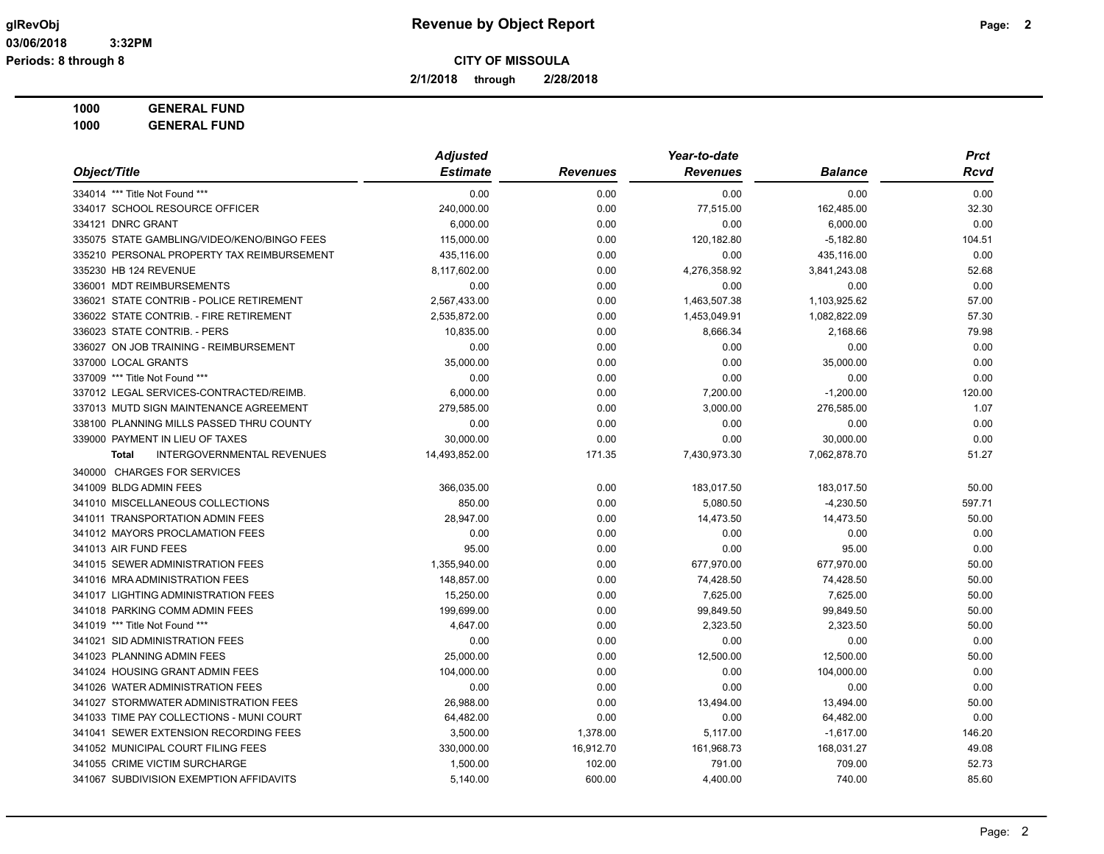**2/1/2018 through 2/28/2018**

**1000 GENERAL FUND**

| Object/Title                                      | <b>Adjusted</b> |                 | Year-to-date    |                | <b>Prct</b> |  |
|---------------------------------------------------|-----------------|-----------------|-----------------|----------------|-------------|--|
|                                                   | <b>Estimate</b> | <b>Revenues</b> | <b>Revenues</b> | <b>Balance</b> | Rcvd        |  |
| 334014 *** Title Not Found ***                    | 0.00            | 0.00            | 0.00            | 0.00           | 0.00        |  |
| 334017 SCHOOL RESOURCE OFFICER                    | 240,000.00      | 0.00            | 77,515.00       | 162,485.00     | 32.30       |  |
| 334121 DNRC GRANT                                 | 6,000.00        | 0.00            | 0.00            | 6,000.00       | 0.00        |  |
| 335075 STATE GAMBLING/VIDEO/KENO/BINGO FEES       | 115,000.00      | 0.00            | 120,182.80      | $-5,182.80$    | 104.51      |  |
| 335210 PERSONAL PROPERTY TAX REIMBURSEMENT        | 435,116.00      | 0.00            | 0.00            | 435,116.00     | 0.00        |  |
| 335230 HB 124 REVENUE                             | 8,117,602.00    | 0.00            | 4,276,358.92    | 3,841,243.08   | 52.68       |  |
| 336001 MDT REIMBURSEMENTS                         | 0.00            | 0.00            | 0.00            | 0.00           | 0.00        |  |
| 336021 STATE CONTRIB - POLICE RETIREMENT          | 2,567,433.00    | 0.00            | 1,463,507.38    | 1,103,925.62   | 57.00       |  |
| 336022 STATE CONTRIB. - FIRE RETIREMENT           | 2,535,872.00    | 0.00            | 1,453,049.91    | 1,082,822.09   | 57.30       |  |
| 336023 STATE CONTRIB. - PERS                      | 10,835.00       | 0.00            | 8,666.34        | 2,168.66       | 79.98       |  |
| 336027 ON JOB TRAINING - REIMBURSEMENT            | 0.00            | 0.00            | 0.00            | 0.00           | 0.00        |  |
| 337000 LOCAL GRANTS                               | 35,000.00       | 0.00            | 0.00            | 35,000.00      | 0.00        |  |
| 337009 *** Title Not Found ***                    | 0.00            | 0.00            | 0.00            | 0.00           | 0.00        |  |
| 337012 LEGAL SERVICES-CONTRACTED/REIMB.           | 6,000.00        | 0.00            | 7,200.00        | $-1,200.00$    | 120.00      |  |
| 337013 MUTD SIGN MAINTENANCE AGREEMENT            | 279,585.00      | 0.00            | 3,000.00        | 276,585.00     | 1.07        |  |
| 338100 PLANNING MILLS PASSED THRU COUNTY          | 0.00            | 0.00            | 0.00            | 0.00           | 0.00        |  |
| 339000 PAYMENT IN LIEU OF TAXES                   | 30,000.00       | 0.00            | 0.00            | 30,000.00      | 0.00        |  |
| <b>INTERGOVERNMENTAL REVENUES</b><br><b>Total</b> | 14,493,852.00   | 171.35          | 7,430,973.30    | 7,062,878.70   | 51.27       |  |
| 340000 CHARGES FOR SERVICES                       |                 |                 |                 |                |             |  |
| 341009 BLDG ADMIN FEES                            | 366,035.00      | 0.00            | 183,017.50      | 183,017.50     | 50.00       |  |
| 341010 MISCELLANEOUS COLLECTIONS                  | 850.00          | 0.00            | 5,080.50        | $-4,230.50$    | 597.71      |  |
| 341011 TRANSPORTATION ADMIN FEES                  | 28,947.00       | 0.00            | 14,473.50       | 14,473.50      | 50.00       |  |
| 341012 MAYORS PROCLAMATION FEES                   | 0.00            | 0.00            | 0.00            | 0.00           | 0.00        |  |
| 341013 AIR FUND FEES                              | 95.00           | 0.00            | 0.00            | 95.00          | 0.00        |  |
| 341015 SEWER ADMINISTRATION FEES                  | 1,355,940.00    | 0.00            | 677,970.00      | 677,970.00     | 50.00       |  |
| 341016 MRA ADMINISTRATION FEES                    | 148,857.00      | 0.00            | 74,428.50       | 74,428.50      | 50.00       |  |
| 341017 LIGHTING ADMINISTRATION FEES               | 15,250.00       | 0.00            | 7,625.00        | 7,625.00       | 50.00       |  |
| 341018 PARKING COMM ADMIN FEES                    | 199.699.00      | 0.00            | 99,849.50       | 99,849.50      | 50.00       |  |
| 341019 *** Title Not Found ***                    | 4,647.00        | 0.00            | 2,323.50        | 2,323.50       | 50.00       |  |
| 341021 SID ADMINISTRATION FEES                    | 0.00            | 0.00            | 0.00            | 0.00           | 0.00        |  |
| 341023 PLANNING ADMIN FEES                        | 25,000.00       | 0.00            | 12,500.00       | 12,500.00      | 50.00       |  |
| 341024 HOUSING GRANT ADMIN FEES                   | 104,000.00      | 0.00            | 0.00            | 104,000.00     | 0.00        |  |
| 341026 WATER ADMINISTRATION FEES                  | 0.00            | 0.00            | 0.00            | 0.00           | 0.00        |  |
| 341027 STORMWATER ADMINISTRATION FEES             | 26,988.00       | 0.00            | 13,494.00       | 13,494.00      | 50.00       |  |
| 341033 TIME PAY COLLECTIONS - MUNI COURT          | 64,482.00       | 0.00            | 0.00            | 64,482.00      | 0.00        |  |
| 341041 SEWER EXTENSION RECORDING FEES             | 3,500.00        | 1,378.00        | 5,117.00        | $-1,617.00$    | 146.20      |  |
| 341052 MUNICIPAL COURT FILING FEES                | 330,000.00      | 16,912.70       | 161,968.73      | 168,031.27     | 49.08       |  |
| 341055 CRIME VICTIM SURCHARGE                     | 1,500.00        | 102.00          | 791.00          | 709.00         | 52.73       |  |
| 341067 SUBDIVISION EXEMPTION AFFIDAVITS           | 5,140.00        | 600.00          | 4,400.00        | 740.00         | 85.60       |  |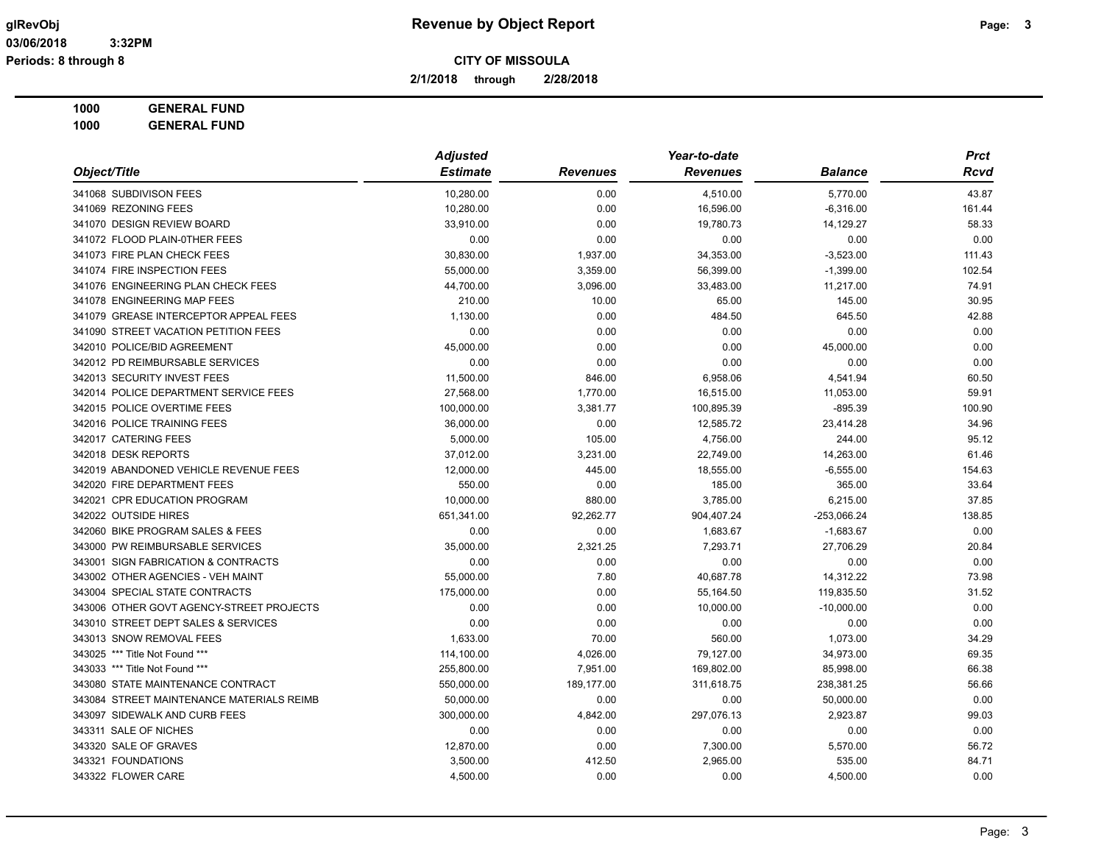**2/1/2018 through 2/28/2018**

**1000 GENERAL FUND**

| Object/Title                              | <b>Adjusted</b> |                 | Year-to-date    |                |        |
|-------------------------------------------|-----------------|-----------------|-----------------|----------------|--------|
|                                           | <b>Estimate</b> | <b>Revenues</b> | <b>Revenues</b> | <b>Balance</b> | Rcvd   |
| 341068 SUBDIVISON FEES                    | 10,280.00       | 0.00            | 4,510.00        | 5,770.00       | 43.87  |
| 341069 REZONING FEES                      | 10,280.00       | 0.00            | 16,596.00       | $-6,316.00$    | 161.44 |
| 341070 DESIGN REVIEW BOARD                | 33,910.00       | 0.00            | 19,780.73       | 14,129.27      | 58.33  |
| 341072 FLOOD PLAIN-0THER FEES             | 0.00            | 0.00            | 0.00            | 0.00           | 0.00   |
| 341073 FIRE PLAN CHECK FEES               | 30,830.00       | 1,937.00        | 34,353.00       | $-3,523.00$    | 111.43 |
| 341074 FIRE INSPECTION FEES               | 55,000.00       | 3,359.00        | 56,399.00       | $-1,399.00$    | 102.54 |
| 341076 ENGINEERING PLAN CHECK FEES        | 44,700.00       | 3,096.00        | 33,483.00       | 11,217.00      | 74.91  |
| 341078 ENGINEERING MAP FEES               | 210.00          | 10.00           | 65.00           | 145.00         | 30.95  |
| 341079 GREASE INTERCEPTOR APPEAL FEES     | 1,130.00        | 0.00            | 484.50          | 645.50         | 42.88  |
| 341090 STREET VACATION PETITION FEES      | 0.00            | 0.00            | 0.00            | 0.00           | 0.00   |
| 342010 POLICE/BID AGREEMENT               | 45,000.00       | 0.00            | 0.00            | 45,000.00      | 0.00   |
| 342012 PD REIMBURSABLE SERVICES           | 0.00            | 0.00            | 0.00            | 0.00           | 0.00   |
| 342013 SECURITY INVEST FEES               | 11,500.00       | 846.00          | 6,958.06        | 4,541.94       | 60.50  |
| 342014 POLICE DEPARTMENT SERVICE FEES     | 27,568.00       | 1,770.00        | 16,515.00       | 11,053.00      | 59.91  |
| 342015 POLICE OVERTIME FEES               | 100,000.00      | 3,381.77        | 100,895.39      | $-895.39$      | 100.90 |
| 342016 POLICE TRAINING FEES               | 36,000.00       | 0.00            | 12,585.72       | 23,414.28      | 34.96  |
| 342017 CATERING FEES                      | 5,000.00        | 105.00          | 4,756.00        | 244.00         | 95.12  |
| 342018 DESK REPORTS                       | 37,012.00       | 3,231.00        | 22,749.00       | 14,263.00      | 61.46  |
| 342019 ABANDONED VEHICLE REVENUE FEES     | 12,000.00       | 445.00          | 18,555.00       | $-6,555.00$    | 154.63 |
| 342020 FIRE DEPARTMENT FEES               | 550.00          | 0.00            | 185.00          | 365.00         | 33.64  |
| 342021 CPR EDUCATION PROGRAM              | 10,000.00       | 880.00          | 3,785.00        | 6,215.00       | 37.85  |
| 342022 OUTSIDE HIRES                      | 651,341.00      | 92,262.77       | 904,407.24      | -253,066.24    | 138.85 |
| 342060 BIKE PROGRAM SALES & FEES          | 0.00            | 0.00            | 1,683.67        | $-1,683.67$    | 0.00   |
| 343000 PW REIMBURSABLE SERVICES           | 35,000.00       | 2,321.25        | 7,293.71        | 27,706.29      | 20.84  |
| 343001 SIGN FABRICATION & CONTRACTS       | 0.00            | 0.00            | 0.00            | 0.00           | 0.00   |
| 343002 OTHER AGENCIES - VEH MAINT         | 55,000.00       | 7.80            | 40,687.78       | 14,312.22      | 73.98  |
| 343004 SPECIAL STATE CONTRACTS            | 175,000.00      | 0.00            | 55,164.50       | 119,835.50     | 31.52  |
| 343006 OTHER GOVT AGENCY-STREET PROJECTS  | 0.00            | 0.00            | 10,000.00       | $-10,000.00$   | 0.00   |
| 343010 STREET DEPT SALES & SERVICES       | 0.00            | 0.00            | 0.00            | 0.00           | 0.00   |
| 343013 SNOW REMOVAL FEES                  | 1,633.00        | 70.00           | 560.00          | 1,073.00       | 34.29  |
| 343025 *** Title Not Found ***            | 114,100.00      | 4,026.00        | 79,127.00       | 34,973.00      | 69.35  |
| 343033 *** Title Not Found ***            | 255,800.00      | 7,951.00        | 169,802.00      | 85,998.00      | 66.38  |
| 343080 STATE MAINTENANCE CONTRACT         | 550,000.00      | 189,177.00      | 311,618.75      | 238,381.25     | 56.66  |
| 343084 STREET MAINTENANCE MATERIALS REIMB | 50,000.00       | 0.00            | 0.00            | 50,000.00      | 0.00   |
| 343097 SIDEWALK AND CURB FEES             | 300,000.00      | 4,842.00        | 297,076.13      | 2,923.87       | 99.03  |
| 343311 SALE OF NICHES                     | 0.00            | 0.00            | 0.00            | 0.00           | 0.00   |
| 343320 SALE OF GRAVES                     | 12,870.00       | 0.00            | 7,300.00        | 5,570.00       | 56.72  |
| 343321 FOUNDATIONS                        | 3,500.00        | 412.50          | 2,965.00        | 535.00         | 84.71  |
| 343322 FLOWER CARE                        | 4,500.00        | 0.00            | 0.00            | 4,500.00       | 0.00   |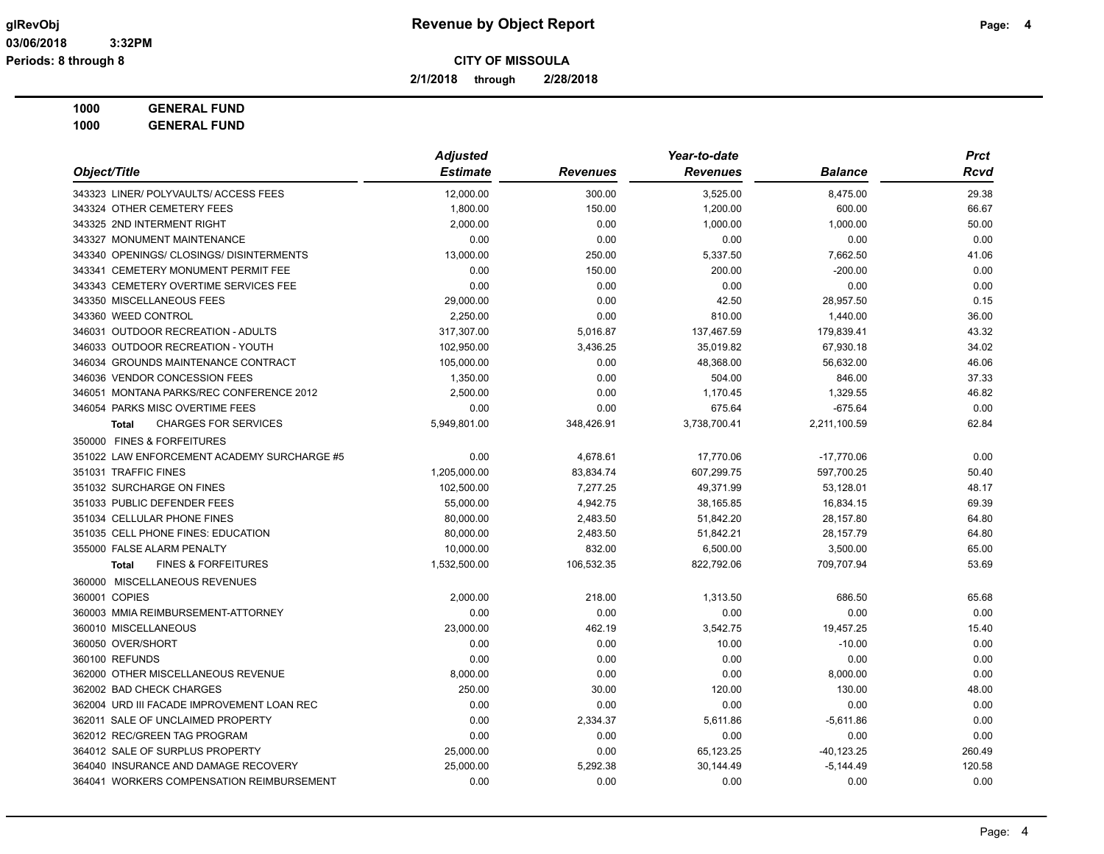## **glRevObj Revenue by Object Report Page: 4**

**2/1/2018 through 2/28/2018**

## **1000 GENERAL FUND**

|                                                | <b>Adjusted</b> |                 | Year-to-date    |                | <b>Prct</b> |
|------------------------------------------------|-----------------|-----------------|-----------------|----------------|-------------|
| Object/Title                                   | <b>Estimate</b> | <b>Revenues</b> | <b>Revenues</b> | <b>Balance</b> | Rcvd        |
| 343323 LINER/ POLYVAULTS/ ACCESS FEES          | 12,000.00       | 300.00          | 3,525.00        | 8,475.00       | 29.38       |
| 343324 OTHER CEMETERY FEES                     | 1,800.00        | 150.00          | 1,200.00        | 600.00         | 66.67       |
| 343325 2ND INTERMENT RIGHT                     | 2,000.00        | 0.00            | 1,000.00        | 1,000.00       | 50.00       |
| 343327 MONUMENT MAINTENANCE                    | 0.00            | 0.00            | 0.00            | 0.00           | 0.00        |
| 343340 OPENINGS/ CLOSINGS/ DISINTERMENTS       | 13,000.00       | 250.00          | 5,337.50        | 7,662.50       | 41.06       |
| 343341 CEMETERY MONUMENT PERMIT FEE            | 0.00            | 150.00          | 200.00          | $-200.00$      | 0.00        |
| 343343 CEMETERY OVERTIME SERVICES FEE          | 0.00            | 0.00            | 0.00            | 0.00           | 0.00        |
| 343350 MISCELLANEOUS FEES                      | 29,000.00       | 0.00            | 42.50           | 28,957.50      | 0.15        |
| 343360 WEED CONTROL                            | 2,250.00        | 0.00            | 810.00          | 1,440.00       | 36.00       |
| 346031 OUTDOOR RECREATION - ADULTS             | 317,307.00      | 5,016.87        | 137,467.59      | 179,839.41     | 43.32       |
| 346033 OUTDOOR RECREATION - YOUTH              | 102,950.00      | 3,436.25        | 35,019.82       | 67,930.18      | 34.02       |
| 346034 GROUNDS MAINTENANCE CONTRACT            | 105,000.00      | 0.00            | 48,368.00       | 56,632.00      | 46.06       |
| 346036 VENDOR CONCESSION FEES                  | 1,350.00        | 0.00            | 504.00          | 846.00         | 37.33       |
| 346051 MONTANA PARKS/REC CONFERENCE 2012       | 2,500.00        | 0.00            | 1,170.45        | 1,329.55       | 46.82       |
| 346054 PARKS MISC OVERTIME FEES                | 0.00            | 0.00            | 675.64          | $-675.64$      | 0.00        |
| <b>CHARGES FOR SERVICES</b><br><b>Total</b>    | 5,949,801.00    | 348,426.91      | 3,738,700.41    | 2,211,100.59   | 62.84       |
| 350000 FINES & FORFEITURES                     |                 |                 |                 |                |             |
| 351022 LAW ENFORCEMENT ACADEMY SURCHARGE #5    | 0.00            | 4,678.61        | 17,770.06       | $-17,770.06$   | 0.00        |
| 351031 TRAFFIC FINES                           | 1,205,000.00    | 83,834.74       | 607,299.75      | 597,700.25     | 50.40       |
| 351032 SURCHARGE ON FINES                      | 102,500.00      | 7,277.25        | 49,371.99       | 53,128.01      | 48.17       |
| 351033 PUBLIC DEFENDER FEES                    | 55,000.00       | 4,942.75        | 38,165.85       | 16,834.15      | 69.39       |
| 351034 CELLULAR PHONE FINES                    | 80,000.00       | 2,483.50        | 51,842.20       | 28,157.80      | 64.80       |
| 351035 CELL PHONE FINES: EDUCATION             | 80,000.00       | 2,483.50        | 51,842.21       | 28,157.79      | 64.80       |
| 355000 FALSE ALARM PENALTY                     | 10,000.00       | 832.00          | 6,500.00        | 3,500.00       | 65.00       |
| <b>FINES &amp; FORFEITURES</b><br><b>Total</b> | 1,532,500.00    | 106,532.35      | 822,792.06      | 709,707.94     | 53.69       |
| 360000 MISCELLANEOUS REVENUES                  |                 |                 |                 |                |             |
| 360001 COPIES                                  | 2,000.00        | 218.00          | 1,313.50        | 686.50         | 65.68       |
| 360003 MMIA REIMBURSEMENT-ATTORNEY             | 0.00            | 0.00            | 0.00            | 0.00           | 0.00        |
| 360010 MISCELLANEOUS                           | 23,000.00       | 462.19          | 3,542.75        | 19,457.25      | 15.40       |
| 360050 OVER/SHORT                              | 0.00            | 0.00            | 10.00           | $-10.00$       | 0.00        |
| 360100 REFUNDS                                 | 0.00            | 0.00            | 0.00            | 0.00           | 0.00        |
| 362000 OTHER MISCELLANEOUS REVENUE             | 8,000.00        | 0.00            | 0.00            | 8,000.00       | 0.00        |
| 362002 BAD CHECK CHARGES                       | 250.00          | 30.00           | 120.00          | 130.00         | 48.00       |
| 362004 URD III FACADE IMPROVEMENT LOAN REC     | 0.00            | 0.00            | 0.00            | 0.00           | 0.00        |
| 362011 SALE OF UNCLAIMED PROPERTY              | 0.00            | 2,334.37        | 5,611.86        | $-5,611.86$    | 0.00        |
| 362012 REC/GREEN TAG PROGRAM                   | 0.00            | 0.00            | 0.00            | 0.00           | 0.00        |
| 364012 SALE OF SURPLUS PROPERTY                | 25,000.00       | 0.00            | 65,123.25       | $-40, 123.25$  | 260.49      |
| 364040 INSURANCE AND DAMAGE RECOVERY           | 25,000.00       | 5,292.38        | 30,144.49       | $-5,144.49$    | 120.58      |
| 364041 WORKERS COMPENSATION REIMBURSEMENT      | 0.00            | 0.00            | 0.00            | 0.00           | 0.00        |
|                                                |                 |                 |                 |                |             |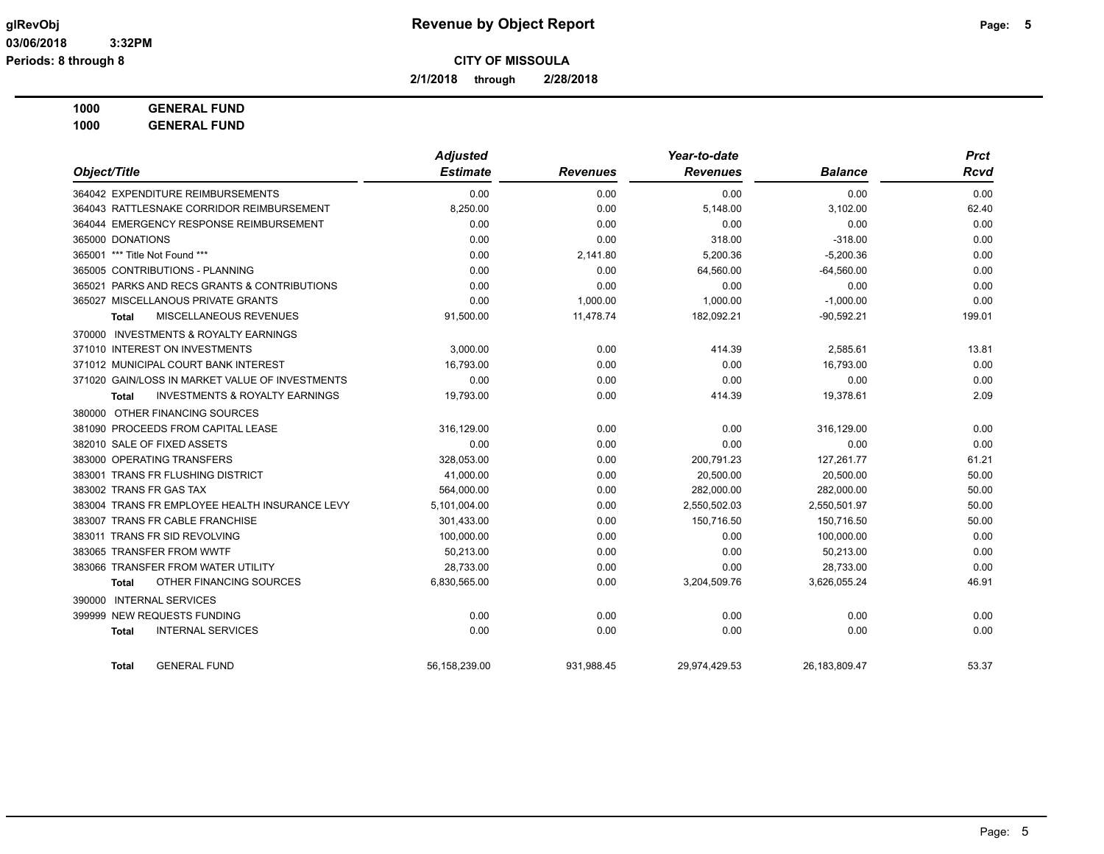**2/1/2018 through 2/28/2018**

**1000 GENERAL FUND**

|                                                    | <b>Adjusted</b> |                 | Year-to-date    |                |        |  |
|----------------------------------------------------|-----------------|-----------------|-----------------|----------------|--------|--|
| Object/Title                                       | <b>Estimate</b> | <b>Revenues</b> | <b>Revenues</b> | <b>Balance</b> | Rcvd   |  |
| 364042 EXPENDITURE REIMBURSEMENTS                  | 0.00            | 0.00            | 0.00            | 0.00           | 0.00   |  |
| 364043 RATTLESNAKE CORRIDOR REIMBURSEMENT          | 8,250.00        | 0.00            | 5,148.00        | 3,102.00       | 62.40  |  |
| 364044 EMERGENCY RESPONSE REIMBURSEMENT            | 0.00            | 0.00            | 0.00            | 0.00           | 0.00   |  |
| 365000 DONATIONS                                   | 0.00            | 0.00            | 318.00          | $-318.00$      | 0.00   |  |
| 365001 *** Title Not Found ***                     | 0.00            | 2,141.80        | 5,200.36        | $-5,200.36$    | 0.00   |  |
| 365005 CONTRIBUTIONS - PLANNING                    | 0.00            | 0.00            | 64,560.00       | $-64,560.00$   | 0.00   |  |
| 365021 PARKS AND RECS GRANTS & CONTRIBUTIONS       | 0.00            | 0.00            | 0.00            | 0.00           | 0.00   |  |
| 365027 MISCELLANOUS PRIVATE GRANTS                 | 0.00            | 1.000.00        | 1,000.00        | $-1,000.00$    | 0.00   |  |
| MISCELLANEOUS REVENUES<br>Total                    | 91,500.00       | 11,478.74       | 182,092.21      | $-90,592.21$   | 199.01 |  |
| 370000 INVESTMENTS & ROYALTY EARNINGS              |                 |                 |                 |                |        |  |
| 371010 INTEREST ON INVESTMENTS                     | 3,000.00        | 0.00            | 414.39          | 2,585.61       | 13.81  |  |
| 371012 MUNICIPAL COURT BANK INTEREST               | 16,793.00       | 0.00            | 0.00            | 16,793.00      | 0.00   |  |
| 371020 GAIN/LOSS IN MARKET VALUE OF INVESTMENTS    | 0.00            | 0.00            | 0.00            | 0.00           | 0.00   |  |
| <b>INVESTMENTS &amp; ROYALTY EARNINGS</b><br>Total | 19,793.00       | 0.00            | 414.39          | 19,378.61      | 2.09   |  |
| 380000 OTHER FINANCING SOURCES                     |                 |                 |                 |                |        |  |
| 381090 PROCEEDS FROM CAPITAL LEASE                 | 316,129.00      | 0.00            | 0.00            | 316,129.00     | 0.00   |  |
| 382010 SALE OF FIXED ASSETS                        | 0.00            | 0.00            | 0.00            | 0.00           | 0.00   |  |
| 383000 OPERATING TRANSFERS                         | 328,053.00      | 0.00            | 200,791.23      | 127,261.77     | 61.21  |  |
| 383001 TRANS FR FLUSHING DISTRICT                  | 41,000.00       | 0.00            | 20,500.00       | 20,500.00      | 50.00  |  |
| 383002 TRANS FR GAS TAX                            | 564,000.00      | 0.00            | 282,000.00      | 282,000.00     | 50.00  |  |
| 383004 TRANS FR EMPLOYEE HEALTH INSURANCE LEVY     | 5,101,004.00    | 0.00            | 2,550,502.03    | 2,550,501.97   | 50.00  |  |
| 383007 TRANS FR CABLE FRANCHISE                    | 301,433.00      | 0.00            | 150,716.50      | 150,716.50     | 50.00  |  |
| 383011 TRANS FR SID REVOLVING                      | 100,000.00      | 0.00            | 0.00            | 100.000.00     | 0.00   |  |
| 383065 TRANSFER FROM WWTF                          | 50,213.00       | 0.00            | 0.00            | 50,213.00      | 0.00   |  |
| 383066 TRANSFER FROM WATER UTILITY                 | 28,733.00       | 0.00            | 0.00            | 28,733.00      | 0.00   |  |
| OTHER FINANCING SOURCES<br>Total                   | 6,830,565.00    | 0.00            | 3,204,509.76    | 3,626,055.24   | 46.91  |  |
| <b>INTERNAL SERVICES</b><br>390000                 |                 |                 |                 |                |        |  |
| 399999 NEW REQUESTS FUNDING                        | 0.00            | 0.00            | 0.00            | 0.00           | 0.00   |  |
| <b>INTERNAL SERVICES</b><br><b>Total</b>           | 0.00            | 0.00            | 0.00            | 0.00           | 0.00   |  |
| <b>GENERAL FUND</b><br>Total                       | 56,158,239.00   | 931,988.45      | 29,974,429.53   | 26,183,809.47  | 53.37  |  |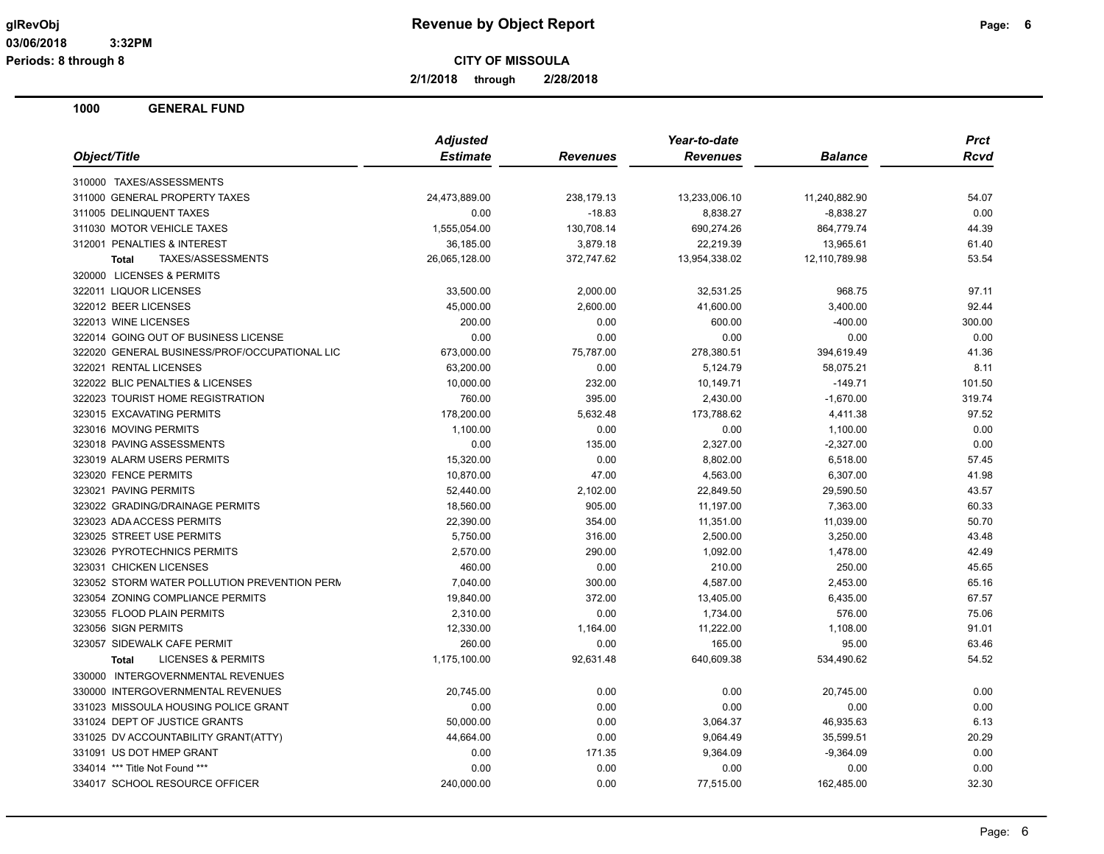**2/1/2018 through 2/28/2018**

|                                               | <b>Adjusted</b> |                 | Year-to-date    |                | Prct   |
|-----------------------------------------------|-----------------|-----------------|-----------------|----------------|--------|
| Object/Title                                  | <b>Estimate</b> | <b>Revenues</b> | <b>Revenues</b> | <b>Balance</b> | Rcvd   |
| 310000 TAXES/ASSESSMENTS                      |                 |                 |                 |                |        |
| 311000 GENERAL PROPERTY TAXES                 | 24,473,889.00   | 238,179.13      | 13,233,006.10   | 11,240,882.90  | 54.07  |
| 311005 DELINQUENT TAXES                       | 0.00            | $-18.83$        | 8,838.27        | $-8,838.27$    | 0.00   |
| 311030 MOTOR VEHICLE TAXES                    | 1,555,054.00    | 130,708.14      | 690,274.26      | 864,779.74     | 44.39  |
| 312001 PENALTIES & INTEREST                   | 36,185.00       | 3,879.18        | 22,219.39       | 13,965.61      | 61.40  |
| TAXES/ASSESSMENTS<br><b>Total</b>             | 26,065,128.00   | 372,747.62      | 13,954,338.02   | 12,110,789.98  | 53.54  |
| 320000 LICENSES & PERMITS                     |                 |                 |                 |                |        |
| 322011 LIQUOR LICENSES                        | 33,500.00       | 2,000.00        | 32,531.25       | 968.75         | 97.11  |
| 322012 BEER LICENSES                          | 45,000.00       | 2,600.00        | 41,600.00       | 3,400.00       | 92.44  |
| 322013 WINE LICENSES                          | 200.00          | 0.00            | 600.00          | $-400.00$      | 300.00 |
| 322014 GOING OUT OF BUSINESS LICENSE          | 0.00            | 0.00            | 0.00            | 0.00           | 0.00   |
| 322020 GENERAL BUSINESS/PROF/OCCUPATIONAL LIC | 673,000.00      | 75,787.00       | 278,380.51      | 394,619.49     | 41.36  |
| 322021 RENTAL LICENSES                        | 63,200.00       | 0.00            | 5,124.79        | 58,075.21      | 8.11   |
| 322022 BLIC PENALTIES & LICENSES              | 10,000.00       | 232.00          | 10,149.71       | $-149.71$      | 101.50 |
| 322023 TOURIST HOME REGISTRATION              | 760.00          | 395.00          | 2,430.00        | $-1,670.00$    | 319.74 |
| 323015 EXCAVATING PERMITS                     | 178,200.00      | 5,632.48        | 173,788.62      | 4,411.38       | 97.52  |
| 323016 MOVING PERMITS                         | 1,100.00        | 0.00            | 0.00            | 1,100.00       | 0.00   |
| 323018 PAVING ASSESSMENTS                     | 0.00            | 135.00          | 2,327.00        | $-2,327.00$    | 0.00   |
| 323019 ALARM USERS PERMITS                    | 15,320.00       | 0.00            | 8,802.00        | 6,518.00       | 57.45  |
| 323020 FENCE PERMITS                          | 10,870.00       | 47.00           | 4,563.00        | 6,307.00       | 41.98  |
| 323021 PAVING PERMITS                         | 52,440.00       | 2,102.00        | 22,849.50       | 29,590.50      | 43.57  |
| 323022 GRADING/DRAINAGE PERMITS               | 18,560.00       | 905.00          | 11,197.00       | 7,363.00       | 60.33  |
| 323023 ADA ACCESS PERMITS                     | 22,390.00       | 354.00          | 11,351.00       | 11,039.00      | 50.70  |
| 323025 STREET USE PERMITS                     | 5,750.00        | 316.00          | 2,500.00        | 3,250.00       | 43.48  |
| 323026 PYROTECHNICS PERMITS                   | 2,570.00        | 290.00          | 1,092.00        | 1,478.00       | 42.49  |
| 323031 CHICKEN LICENSES                       | 460.00          | 0.00            | 210.00          | 250.00         | 45.65  |
| 323052 STORM WATER POLLUTION PREVENTION PERM  | 7,040.00        | 300.00          | 4,587.00        | 2,453.00       | 65.16  |
| 323054 ZONING COMPLIANCE PERMITS              | 19,840.00       | 372.00          | 13,405.00       | 6,435.00       | 67.57  |
| 323055 FLOOD PLAIN PERMITS                    | 2,310.00        | 0.00            | 1,734.00        | 576.00         | 75.06  |
| 323056 SIGN PERMITS                           | 12,330.00       | 1,164.00        | 11,222.00       | 1,108.00       | 91.01  |
| 323057 SIDEWALK CAFE PERMIT                   | 260.00          | 0.00            | 165.00          | 95.00          | 63.46  |
| <b>LICENSES &amp; PERMITS</b><br><b>Total</b> | 1,175,100.00    | 92,631.48       | 640,609.38      | 534,490.62     | 54.52  |
| 330000 INTERGOVERNMENTAL REVENUES             |                 |                 |                 |                |        |
| 330000 INTERGOVERNMENTAL REVENUES             | 20,745.00       | 0.00            | 0.00            | 20,745.00      | 0.00   |
| 331023 MISSOULA HOUSING POLICE GRANT          | 0.00            | 0.00            | 0.00            | 0.00           | 0.00   |
| 331024 DEPT OF JUSTICE GRANTS                 | 50,000.00       | 0.00            | 3,064.37        | 46,935.63      | 6.13   |
| 331025 DV ACCOUNTABILITY GRANT(ATTY)          | 44,664.00       | 0.00            | 9,064.49        | 35,599.51      | 20.29  |
| 331091 US DOT HMEP GRANT                      | 0.00            | 171.35          | 9,364.09        | $-9,364.09$    | 0.00   |
| 334014 *** Title Not Found ***                | 0.00            | 0.00            | 0.00            | 0.00           | 0.00   |
| 334017 SCHOOL RESOURCE OFFICER                | 240,000.00      | 0.00            | 77,515.00       | 162,485.00     | 32.30  |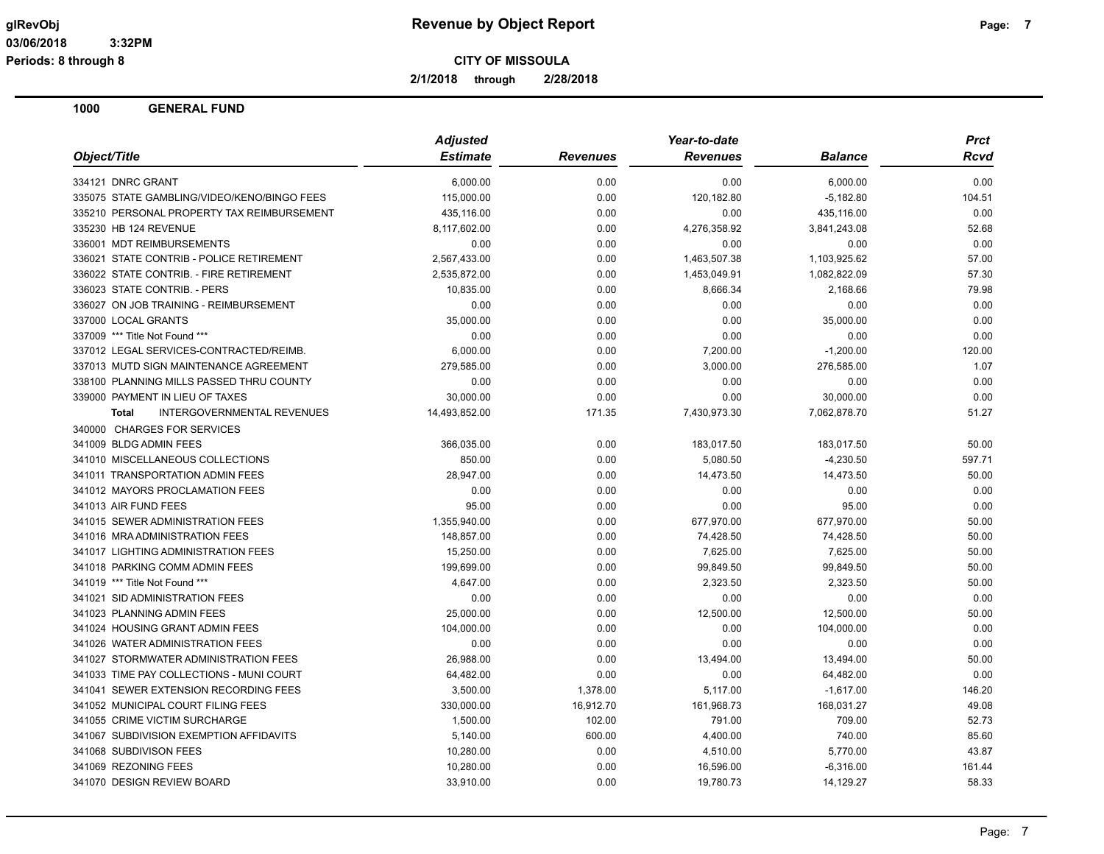**2/1/2018 through 2/28/2018**

|                                             | <b>Adjusted</b> |                 | Year-to-date    |                | <b>Prct</b> |
|---------------------------------------------|-----------------|-----------------|-----------------|----------------|-------------|
| Object/Title                                | <b>Estimate</b> | <b>Revenues</b> | <b>Revenues</b> | <b>Balance</b> | Rcvd        |
| 334121 DNRC GRANT                           | 6,000.00        | 0.00            | 0.00            | 6,000.00       | 0.00        |
| 335075 STATE GAMBLING/VIDEO/KENO/BINGO FEES | 115,000.00      | 0.00            | 120,182.80      | $-5,182.80$    | 104.51      |
| 335210 PERSONAL PROPERTY TAX REIMBURSEMENT  | 435,116.00      | 0.00            | 0.00            | 435,116.00     | 0.00        |
| 335230 HB 124 REVENUE                       | 8,117,602.00    | 0.00            | 4,276,358.92    | 3,841,243.08   | 52.68       |
| 336001 MDT REIMBURSEMENTS                   | 0.00            | 0.00            | 0.00            | 0.00           | 0.00        |
| 336021 STATE CONTRIB - POLICE RETIREMENT    | 2,567,433.00    | 0.00            | 1,463,507.38    | 1,103,925.62   | 57.00       |
| 336022 STATE CONTRIB. - FIRE RETIREMENT     | 2,535,872.00    | 0.00            | 1,453,049.91    | 1,082,822.09   | 57.30       |
| 336023 STATE CONTRIB. - PERS                | 10,835.00       | 0.00            | 8,666.34        | 2,168.66       | 79.98       |
| 336027 ON JOB TRAINING - REIMBURSEMENT      | 0.00            | 0.00            | 0.00            | 0.00           | 0.00        |
| 337000 LOCAL GRANTS                         | 35,000.00       | 0.00            | 0.00            | 35,000.00      | 0.00        |
| 337009 *** Title Not Found ***              | 0.00            | 0.00            | 0.00            | 0.00           | 0.00        |
| 337012 LEGAL SERVICES-CONTRACTED/REIMB.     | 6,000.00        | 0.00            | 7,200.00        | $-1,200.00$    | 120.00      |
| 337013 MUTD SIGN MAINTENANCE AGREEMENT      | 279,585.00      | 0.00            | 3,000.00        | 276,585.00     | 1.07        |
| 338100 PLANNING MILLS PASSED THRU COUNTY    | 0.00            | 0.00            | 0.00            | 0.00           | 0.00        |
| 339000 PAYMENT IN LIEU OF TAXES             | 30,000.00       | 0.00            | 0.00            | 30,000.00      | 0.00        |
| INTERGOVERNMENTAL REVENUES<br><b>Total</b>  | 14,493,852.00   | 171.35          | 7,430,973.30    | 7,062,878.70   | 51.27       |
| 340000 CHARGES FOR SERVICES                 |                 |                 |                 |                |             |
| 341009 BLDG ADMIN FEES                      | 366,035.00      | 0.00            | 183.017.50      | 183.017.50     | 50.00       |
| 341010 MISCELLANEOUS COLLECTIONS            | 850.00          | 0.00            | 5,080.50        | $-4,230.50$    | 597.71      |
| 341011 TRANSPORTATION ADMIN FEES            | 28,947.00       | 0.00            | 14,473.50       | 14,473.50      | 50.00       |
| 341012 MAYORS PROCLAMATION FEES             | 0.00            | 0.00            | 0.00            | 0.00           | 0.00        |
| 341013 AIR FUND FEES                        | 95.00           | 0.00            | 0.00            | 95.00          | 0.00        |
| 341015 SEWER ADMINISTRATION FEES            | 1,355,940.00    | 0.00            | 677,970.00      | 677,970.00     | 50.00       |
| 341016 MRA ADMINISTRATION FEES              | 148,857.00      | 0.00            | 74,428.50       | 74,428.50      | 50.00       |
| 341017 LIGHTING ADMINISTRATION FEES         | 15,250.00       | 0.00            | 7,625.00        | 7,625.00       | 50.00       |
| 341018 PARKING COMM ADMIN FEES              | 199,699.00      | 0.00            | 99,849.50       | 99,849.50      | 50.00       |
| 341019 *** Title Not Found ***              | 4,647.00        | 0.00            | 2,323.50        | 2,323.50       | 50.00       |
| 341021 SID ADMINISTRATION FEES              | 0.00            | 0.00            | 0.00            | 0.00           | 0.00        |
| 341023 PLANNING ADMIN FEES                  | 25,000.00       | 0.00            | 12,500.00       | 12,500.00      | 50.00       |
| 341024 HOUSING GRANT ADMIN FEES             | 104,000.00      | 0.00            | 0.00            | 104,000.00     | 0.00        |
| 341026 WATER ADMINISTRATION FEES            | 0.00            | 0.00            | 0.00            | 0.00           | 0.00        |
| 341027 STORMWATER ADMINISTRATION FEES       | 26,988.00       | 0.00            | 13,494.00       | 13,494.00      | 50.00       |
| 341033 TIME PAY COLLECTIONS - MUNI COURT    | 64,482.00       | 0.00            | 0.00            | 64,482.00      | 0.00        |
| 341041 SEWER EXTENSION RECORDING FEES       | 3,500.00        | 1,378.00        | 5,117.00        | $-1,617.00$    | 146.20      |
| 341052 MUNICIPAL COURT FILING FEES          | 330,000.00      | 16,912.70       | 161,968.73      | 168,031.27     | 49.08       |
| 341055 CRIME VICTIM SURCHARGE               | 1,500.00        | 102.00          | 791.00          | 709.00         | 52.73       |
| 341067 SUBDIVISION EXEMPTION AFFIDAVITS     | 5,140.00        | 600.00          | 4,400.00        | 740.00         | 85.60       |
| 341068 SUBDIVISON FEES                      | 10,280.00       | 0.00            | 4,510.00        | 5,770.00       | 43.87       |
| 341069 REZONING FEES                        | 10,280.00       | 0.00            | 16,596.00       | $-6,316.00$    | 161.44      |
| 341070 DESIGN REVIEW BOARD                  | 33,910.00       | 0.00            | 19,780.73       | 14,129.27      | 58.33       |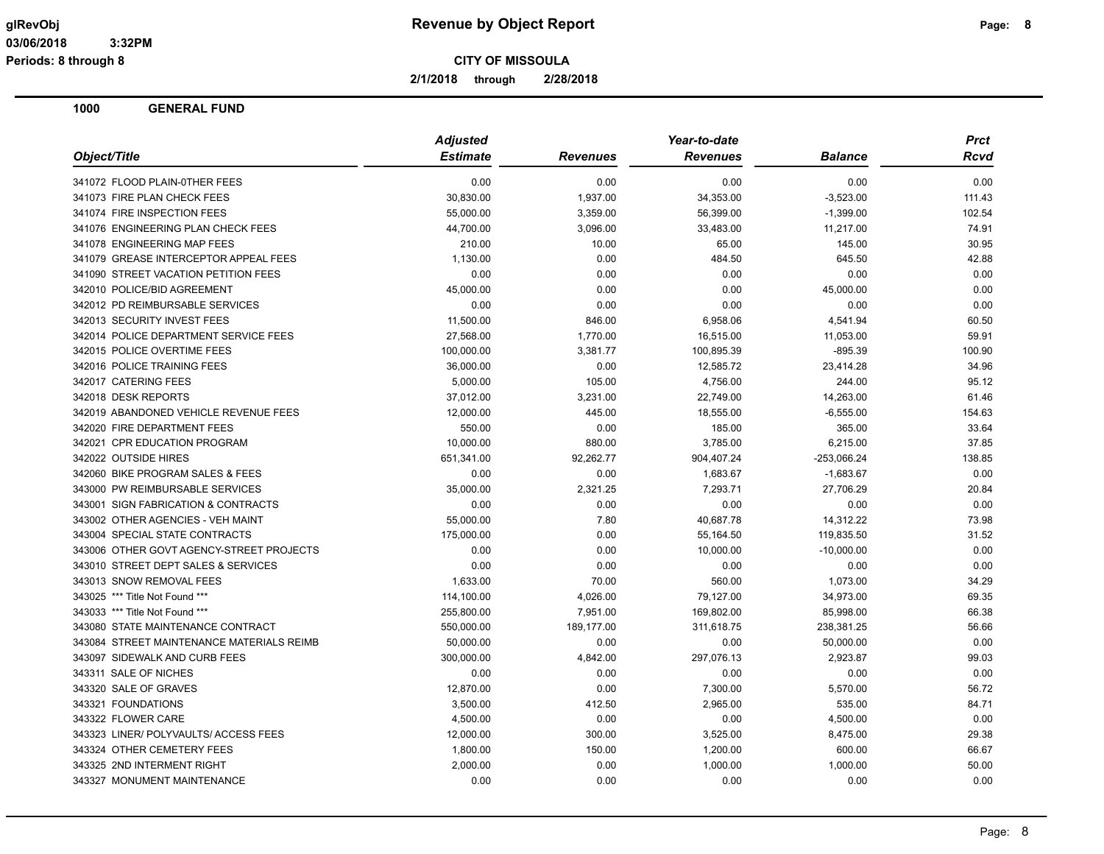**Periods: 8 through 8**

**CITY OF MISSOULA**

**2/1/2018 through 2/28/2018**

| Object/Title                              | <b>Adjusted</b> |                 | Year-to-date    |                | <b>Prct</b> |  |
|-------------------------------------------|-----------------|-----------------|-----------------|----------------|-------------|--|
|                                           | <b>Estimate</b> | <b>Revenues</b> | <b>Revenues</b> | <b>Balance</b> | <b>Rcvd</b> |  |
| 341072 FLOOD PLAIN-0THER FEES             | 0.00            | 0.00            | 0.00            | 0.00           | 0.00        |  |
| 341073 FIRE PLAN CHECK FEES               | 30,830.00       | 1,937.00        | 34,353.00       | $-3,523.00$    | 111.43      |  |
| 341074 FIRE INSPECTION FEES               | 55,000.00       | 3,359.00        | 56,399.00       | $-1,399.00$    | 102.54      |  |
| 341076 ENGINEERING PLAN CHECK FEES        | 44,700.00       | 3,096.00        | 33,483.00       | 11,217.00      | 74.91       |  |
| 341078 ENGINEERING MAP FEES               | 210.00          | 10.00           | 65.00           | 145.00         | 30.95       |  |
| 341079 GREASE INTERCEPTOR APPEAL FEES     | 1,130.00        | 0.00            | 484.50          | 645.50         | 42.88       |  |
| 341090 STREET VACATION PETITION FEES      | 0.00            | 0.00            | 0.00            | 0.00           | 0.00        |  |
| 342010 POLICE/BID AGREEMENT               | 45,000.00       | 0.00            | 0.00            | 45,000.00      | 0.00        |  |
| 342012 PD REIMBURSABLE SERVICES           | 0.00            | 0.00            | 0.00            | 0.00           | 0.00        |  |
| 342013 SECURITY INVEST FEES               | 11,500.00       | 846.00          | 6,958.06        | 4,541.94       | 60.50       |  |
| 342014 POLICE DEPARTMENT SERVICE FEES     | 27,568.00       | 1,770.00        | 16,515.00       | 11,053.00      | 59.91       |  |
| 342015 POLICE OVERTIME FEES               | 100,000.00      | 3,381.77        | 100,895.39      | $-895.39$      | 100.90      |  |
| 342016 POLICE TRAINING FEES               | 36,000.00       | 0.00            | 12,585.72       | 23,414.28      | 34.96       |  |
| 342017 CATERING FEES                      | 5,000.00        | 105.00          | 4,756.00        | 244.00         | 95.12       |  |
| 342018 DESK REPORTS                       | 37,012.00       | 3,231.00        | 22,749.00       | 14,263.00      | 61.46       |  |
| 342019 ABANDONED VEHICLE REVENUE FEES     | 12,000.00       | 445.00          | 18,555.00       | $-6,555.00$    | 154.63      |  |
| 342020 FIRE DEPARTMENT FEES               | 550.00          | 0.00            | 185.00          | 365.00         | 33.64       |  |
| 342021 CPR EDUCATION PROGRAM              | 10,000.00       | 880.00          | 3,785.00        | 6,215.00       | 37.85       |  |
| 342022 OUTSIDE HIRES                      | 651,341.00      | 92,262.77       | 904,407.24      | -253,066.24    | 138.85      |  |
| 342060 BIKE PROGRAM SALES & FEES          | 0.00            | 0.00            | 1,683.67        | $-1,683.67$    | 0.00        |  |
| 343000 PW REIMBURSABLE SERVICES           | 35,000.00       | 2,321.25        | 7,293.71        | 27,706.29      | 20.84       |  |
| 343001 SIGN FABRICATION & CONTRACTS       | 0.00            | 0.00            | 0.00            | 0.00           | 0.00        |  |
| 343002 OTHER AGENCIES - VEH MAINT         | 55,000.00       | 7.80            | 40,687.78       | 14,312.22      | 73.98       |  |
| 343004 SPECIAL STATE CONTRACTS            | 175,000.00      | 0.00            | 55,164.50       | 119,835.50     | 31.52       |  |
| 343006 OTHER GOVT AGENCY-STREET PROJECTS  | 0.00            | 0.00            | 10,000.00       | $-10,000.00$   | 0.00        |  |
| 343010 STREET DEPT SALES & SERVICES       | 0.00            | 0.00            | 0.00            | 0.00           | 0.00        |  |
| 343013 SNOW REMOVAL FEES                  | 1,633.00        | 70.00           | 560.00          | 1,073.00       | 34.29       |  |
| 343025 *** Title Not Found ***            | 114,100.00      | 4,026.00        | 79,127.00       | 34,973.00      | 69.35       |  |
| 343033 *** Title Not Found ***            | 255,800.00      | 7,951.00        | 169,802.00      | 85,998.00      | 66.38       |  |
| 343080 STATE MAINTENANCE CONTRACT         | 550,000.00      | 189,177.00      | 311,618.75      | 238,381.25     | 56.66       |  |
| 343084 STREET MAINTENANCE MATERIALS REIMB | 50,000.00       | 0.00            | 0.00            | 50,000.00      | 0.00        |  |
| 343097 SIDEWALK AND CURB FEES             | 300,000.00      | 4,842.00        | 297,076.13      | 2,923.87       | 99.03       |  |
| 343311 SALE OF NICHES                     | 0.00            | 0.00            | 0.00            | 0.00           | 0.00        |  |
| 343320 SALE OF GRAVES                     | 12,870.00       | 0.00            | 7,300.00        | 5,570.00       | 56.72       |  |
| 343321 FOUNDATIONS                        | 3,500.00        | 412.50          | 2,965.00        | 535.00         | 84.71       |  |
| 343322 FLOWER CARE                        | 4,500.00        | 0.00            | 0.00            | 4,500.00       | 0.00        |  |
| 343323 LINER/ POLYVAULTS/ ACCESS FEES     | 12,000.00       | 300.00          | 3,525.00        | 8,475.00       | 29.38       |  |
| 343324 OTHER CEMETERY FEES                | 1,800.00        | 150.00          | 1,200.00        | 600.00         | 66.67       |  |
| 343325 2ND INTERMENT RIGHT                | 2,000.00        | 0.00            | 1,000.00        | 1,000.00       | 50.00       |  |
| 343327 MONUMENT MAINTENANCE               | 0.00            | 0.00            | 0.00            | 0.00           | 0.00        |  |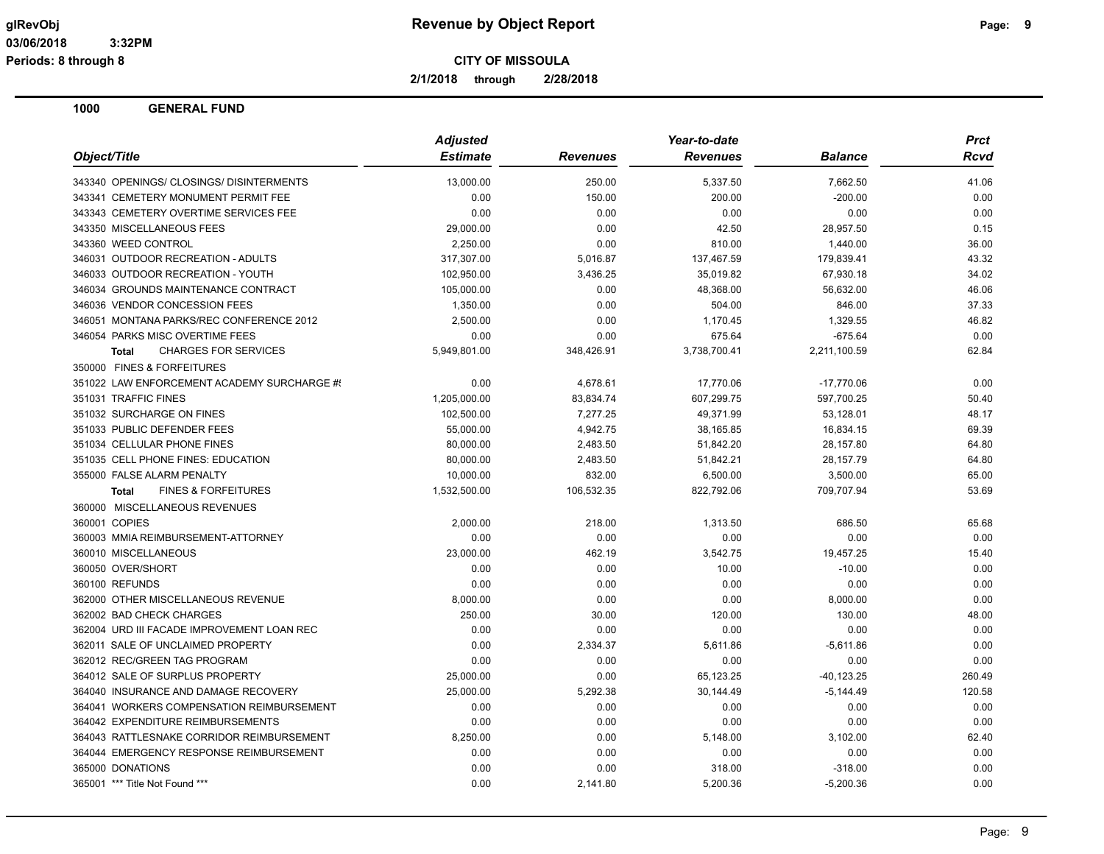**2/1/2018 through 2/28/2018**

| Object/Title                                   | <b>Adjusted</b> |                 | Year-to-date    | <b>Prct</b>    |        |
|------------------------------------------------|-----------------|-----------------|-----------------|----------------|--------|
|                                                | <b>Estimate</b> | <b>Revenues</b> | <b>Revenues</b> | <b>Balance</b> | Rcvd   |
| 343340 OPENINGS/ CLOSINGS/ DISINTERMENTS       | 13,000.00       | 250.00          | 5,337.50        | 7,662.50       | 41.06  |
| 343341 CEMETERY MONUMENT PERMIT FEE            | 0.00            | 150.00          | 200.00          | $-200.00$      | 0.00   |
| 343343 CEMETERY OVERTIME SERVICES FEE          | 0.00            | 0.00            | 0.00            | 0.00           | 0.00   |
| 343350 MISCELLANEOUS FEES                      | 29,000.00       | 0.00            | 42.50           | 28,957.50      | 0.15   |
| 343360 WEED CONTROL                            | 2,250.00        | 0.00            | 810.00          | 1,440.00       | 36.00  |
| 346031 OUTDOOR RECREATION - ADULTS             | 317,307.00      | 5,016.87        | 137,467.59      | 179,839.41     | 43.32  |
| 346033 OUTDOOR RECREATION - YOUTH              | 102,950.00      | 3,436.25        | 35,019.82       | 67,930.18      | 34.02  |
| 346034 GROUNDS MAINTENANCE CONTRACT            | 105,000.00      | 0.00            | 48,368.00       | 56,632.00      | 46.06  |
| 346036 VENDOR CONCESSION FEES                  | 1,350.00        | 0.00            | 504.00          | 846.00         | 37.33  |
| 346051 MONTANA PARKS/REC CONFERENCE 2012       | 2,500.00        | 0.00            | 1,170.45        | 1,329.55       | 46.82  |
| 346054 PARKS MISC OVERTIME FEES                | 0.00            | 0.00            | 675.64          | $-675.64$      | 0.00   |
| <b>CHARGES FOR SERVICES</b><br><b>Total</b>    | 5,949,801.00    | 348,426.91      | 3,738,700.41    | 2,211,100.59   | 62.84  |
| 350000 FINES & FORFEITURES                     |                 |                 |                 |                |        |
| 351022 LAW ENFORCEMENT ACADEMY SURCHARGE #     | 0.00            | 4,678.61        | 17,770.06       | $-17,770.06$   | 0.00   |
| 351031 TRAFFIC FINES                           | 1,205,000.00    | 83,834.74       | 607,299.75      | 597,700.25     | 50.40  |
| 351032 SURCHARGE ON FINES                      | 102,500.00      | 7,277.25        | 49,371.99       | 53,128.01      | 48.17  |
| 351033 PUBLIC DEFENDER FEES                    | 55,000.00       | 4,942.75        | 38,165.85       | 16,834.15      | 69.39  |
| 351034 CELLULAR PHONE FINES                    | 80,000.00       | 2,483.50        | 51,842.20       | 28,157.80      | 64.80  |
| 351035 CELL PHONE FINES: EDUCATION             | 80,000.00       | 2,483.50        | 51,842.21       | 28,157.79      | 64.80  |
| 355000 FALSE ALARM PENALTY                     | 10,000.00       | 832.00          | 6,500.00        | 3,500.00       | 65.00  |
| <b>FINES &amp; FORFEITURES</b><br><b>Total</b> | 1,532,500.00    | 106,532.35      | 822,792.06      | 709,707.94     | 53.69  |
| 360000 MISCELLANEOUS REVENUES                  |                 |                 |                 |                |        |
| 360001 COPIES                                  | 2,000.00        | 218.00          | 1,313.50        | 686.50         | 65.68  |
| 360003 MMIA REIMBURSEMENT-ATTORNEY             | 0.00            | 0.00            | 0.00            | 0.00           | 0.00   |
| 360010 MISCELLANEOUS                           | 23,000.00       | 462.19          | 3,542.75        | 19,457.25      | 15.40  |
| 360050 OVER/SHORT                              | 0.00            | 0.00            | 10.00           | $-10.00$       | 0.00   |
| 360100 REFUNDS                                 | 0.00            | 0.00            | 0.00            | 0.00           | 0.00   |
| 362000 OTHER MISCELLANEOUS REVENUE             | 8,000.00        | 0.00            | 0.00            | 8,000.00       | 0.00   |
| 362002 BAD CHECK CHARGES                       | 250.00          | 30.00           | 120.00          | 130.00         | 48.00  |
| 362004 URD III FACADE IMPROVEMENT LOAN REC     | 0.00            | 0.00            | 0.00            | 0.00           | 0.00   |
| 362011 SALE OF UNCLAIMED PROPERTY              | 0.00            | 2,334.37        | 5,611.86        | $-5,611.86$    | 0.00   |
| 362012 REC/GREEN TAG PROGRAM                   | 0.00            | 0.00            | 0.00            | 0.00           | 0.00   |
| 364012 SALE OF SURPLUS PROPERTY                | 25,000.00       | 0.00            | 65,123.25       | $-40, 123.25$  | 260.49 |
| 364040 INSURANCE AND DAMAGE RECOVERY           | 25,000.00       | 5,292.38        | 30,144.49       | $-5,144.49$    | 120.58 |
| 364041 WORKERS COMPENSATION REIMBURSEMENT      | 0.00            | 0.00            | 0.00            | 0.00           | 0.00   |
| 364042 EXPENDITURE REIMBURSEMENTS              | 0.00            | 0.00            | 0.00            | 0.00           | 0.00   |
| 364043 RATTLESNAKE CORRIDOR REIMBURSEMENT      | 8,250.00        | 0.00            | 5,148.00        | 3,102.00       | 62.40  |
| 364044 EMERGENCY RESPONSE REIMBURSEMENT        | 0.00            | 0.00            | 0.00            | 0.00           | 0.00   |
| 365000 DONATIONS                               | 0.00            | 0.00            | 318.00          | $-318.00$      | 0.00   |
| 365001 *** Title Not Found ***                 | 0.00            | 2,141.80        | 5,200.36        | $-5,200.36$    | 0.00   |
|                                                |                 |                 |                 |                |        |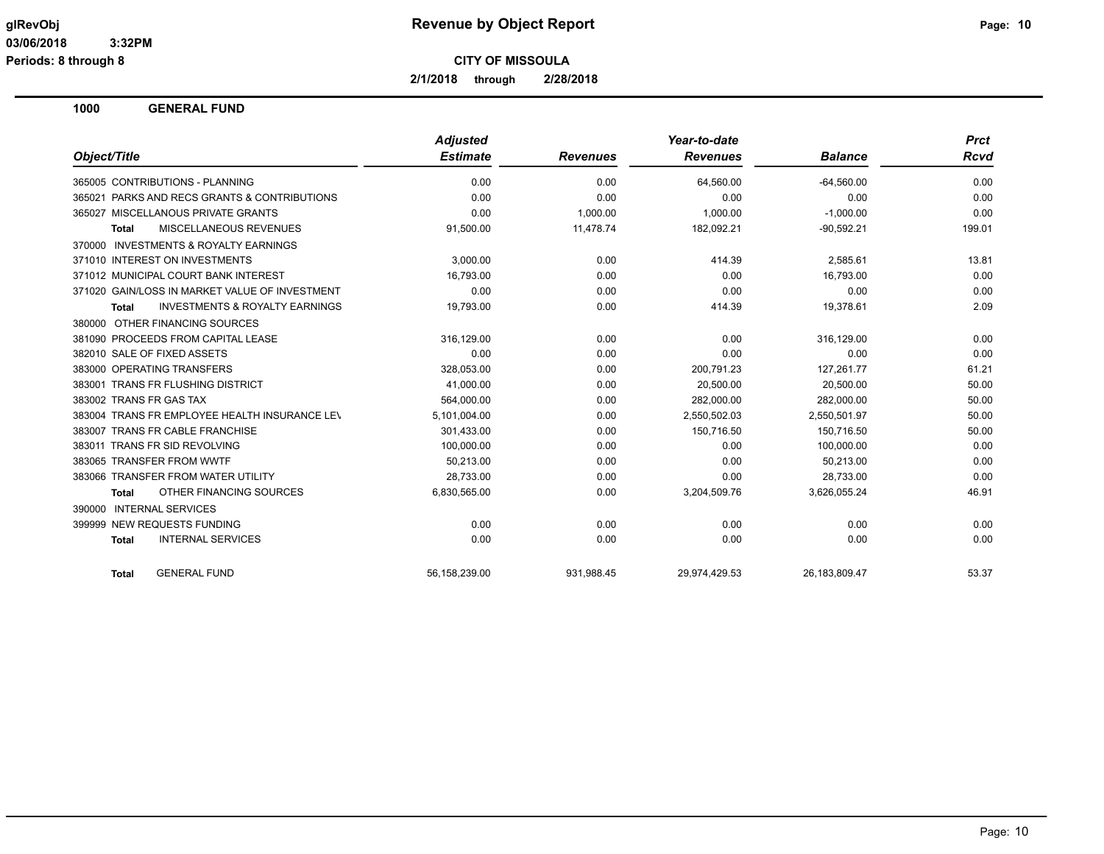**2/1/2018 through 2/28/2018**

|                                                    | <b>Adjusted</b> |                 | Year-to-date    |                  | <b>Prct</b> |
|----------------------------------------------------|-----------------|-----------------|-----------------|------------------|-------------|
| Object/Title                                       | <b>Estimate</b> | <b>Revenues</b> | <b>Revenues</b> | <b>Balance</b>   | <b>Rcvd</b> |
| 365005 CONTRIBUTIONS - PLANNING                    | 0.00            | 0.00            | 64,560.00       | $-64,560.00$     | 0.00        |
| 365021 PARKS AND RECS GRANTS & CONTRIBUTIONS       | 0.00            | 0.00            | 0.00            | 0.00             | 0.00        |
| MISCELLANOUS PRIVATE GRANTS<br>365027              | 0.00            | 1.000.00        | 1.000.00        | $-1,000.00$      | 0.00        |
| <b>MISCELLANEOUS REVENUES</b><br><b>Total</b>      | 91,500.00       | 11,478.74       | 182,092.21      | $-90,592.21$     | 199.01      |
| 370000 INVESTMENTS & ROYALTY EARNINGS              |                 |                 |                 |                  |             |
| 371010 INTEREST ON INVESTMENTS                     | 3.000.00        | 0.00            | 414.39          | 2,585.61         | 13.81       |
| 371012 MUNICIPAL COURT BANK INTEREST               | 16.793.00       | 0.00            | 0.00            | 16.793.00        | 0.00        |
| 371020 GAIN/LOSS IN MARKET VALUE OF INVESTMENT     | 0.00            | 0.00            | 0.00            | 0.00             | 0.00        |
| <b>INVESTMENTS &amp; ROYALTY EARNINGS</b><br>Total | 19,793.00       | 0.00            | 414.39          | 19,378.61        | 2.09        |
| 380000 OTHER FINANCING SOURCES                     |                 |                 |                 |                  |             |
| 381090 PROCEEDS FROM CAPITAL LEASE                 | 316,129.00      | 0.00            | 0.00            | 316,129.00       | 0.00        |
| 382010 SALE OF FIXED ASSETS                        | 0.00            | 0.00            | 0.00            | 0.00             | 0.00        |
| 383000 OPERATING TRANSFERS                         | 328,053.00      | 0.00            | 200,791.23      | 127,261.77       | 61.21       |
| 383001 TRANS FR FLUSHING DISTRICT                  | 41.000.00       | 0.00            | 20.500.00       | 20.500.00        | 50.00       |
| 383002 TRANS FR GAS TAX                            | 564,000.00      | 0.00            | 282,000.00      | 282,000.00       | 50.00       |
| 383004 TRANS FR EMPLOYEE HEALTH INSURANCE LEV      | 5,101,004.00    | 0.00            | 2,550,502.03    | 2,550,501.97     | 50.00       |
| 383007 TRANS FR CABLE FRANCHISE                    | 301,433.00      | 0.00            | 150,716.50      | 150,716.50       | 50.00       |
| 383011 TRANS FR SID REVOLVING                      | 100,000.00      | 0.00            | 0.00            | 100,000.00       | 0.00        |
| 383065 TRANSFER FROM WWTF                          | 50,213.00       | 0.00            | 0.00            | 50,213.00        | 0.00        |
| 383066 TRANSFER FROM WATER UTILITY                 | 28.733.00       | 0.00            | 0.00            | 28.733.00        | 0.00        |
| OTHER FINANCING SOURCES<br><b>Total</b>            | 6,830,565.00    | 0.00            | 3,204,509.76    | 3,626,055.24     | 46.91       |
| 390000 INTERNAL SERVICES                           |                 |                 |                 |                  |             |
| 399999 NEW REQUESTS FUNDING                        | 0.00            | 0.00            | 0.00            | 0.00             | 0.00        |
| <b>INTERNAL SERVICES</b><br><b>Total</b>           | 0.00            | 0.00            | 0.00            | 0.00             | 0.00        |
| <b>GENERAL FUND</b><br><b>Total</b>                | 56,158,239.00   | 931,988.45      | 29,974,429.53   | 26, 183, 809. 47 | 53.37       |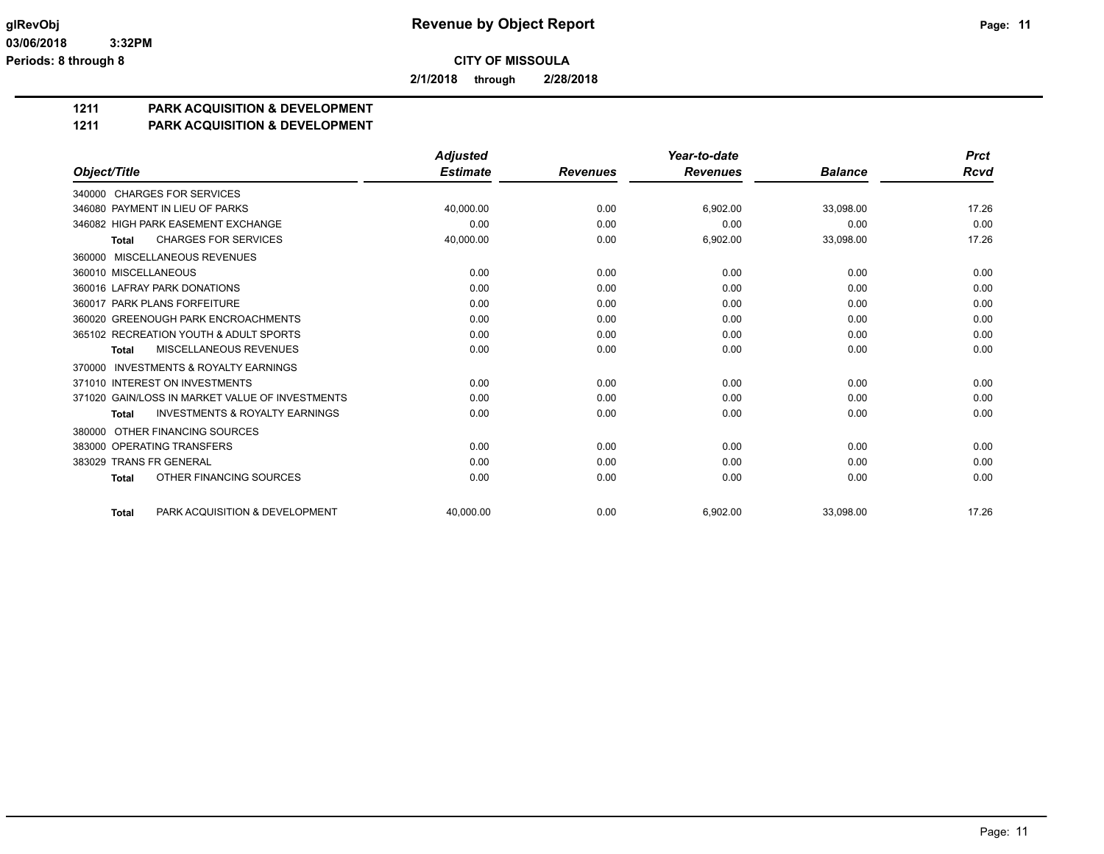**2/1/2018 through 2/28/2018**

## **1211 PARK ACQUISITION & DEVELOPMENT**

#### **1211 PARK ACQUISITION & DEVELOPMENT**

|                                                           | <b>Adjusted</b> |                 | Year-to-date    |                | <b>Prct</b> |
|-----------------------------------------------------------|-----------------|-----------------|-----------------|----------------|-------------|
| Object/Title                                              | <b>Estimate</b> | <b>Revenues</b> | <b>Revenues</b> | <b>Balance</b> | Rcvd        |
| 340000 CHARGES FOR SERVICES                               |                 |                 |                 |                |             |
| 346080 PAYMENT IN LIEU OF PARKS                           | 40.000.00       | 0.00            | 6,902.00        | 33,098.00      | 17.26       |
| 346082 HIGH PARK EASEMENT EXCHANGE                        | 0.00            | 0.00            | 0.00            | 0.00           | 0.00        |
| <b>CHARGES FOR SERVICES</b><br><b>Total</b>               | 40,000.00       | 0.00            | 6,902.00        | 33,098.00      | 17.26       |
| 360000 MISCELLANEOUS REVENUES                             |                 |                 |                 |                |             |
| 360010 MISCELLANEOUS                                      | 0.00            | 0.00            | 0.00            | 0.00           | 0.00        |
| 360016 LAFRAY PARK DONATIONS                              | 0.00            | 0.00            | 0.00            | 0.00           | 0.00        |
| 360017 PARK PLANS FORFEITURE                              | 0.00            | 0.00            | 0.00            | 0.00           | 0.00        |
| 360020 GREENOUGH PARK ENCROACHMENTS                       | 0.00            | 0.00            | 0.00            | 0.00           | 0.00        |
| 365102 RECREATION YOUTH & ADULT SPORTS                    | 0.00            | 0.00            | 0.00            | 0.00           | 0.00        |
| MISCELLANEOUS REVENUES<br><b>Total</b>                    | 0.00            | 0.00            | 0.00            | 0.00           | 0.00        |
| <b>INVESTMENTS &amp; ROYALTY EARNINGS</b><br>370000       |                 |                 |                 |                |             |
| 371010 INTEREST ON INVESTMENTS                            | 0.00            | 0.00            | 0.00            | 0.00           | 0.00        |
| 371020 GAIN/LOSS IN MARKET VALUE OF INVESTMENTS           | 0.00            | 0.00            | 0.00            | 0.00           | 0.00        |
| <b>INVESTMENTS &amp; ROYALTY EARNINGS</b><br><b>Total</b> | 0.00            | 0.00            | 0.00            | 0.00           | 0.00        |
| OTHER FINANCING SOURCES<br>380000                         |                 |                 |                 |                |             |
| 383000 OPERATING TRANSFERS                                | 0.00            | 0.00            | 0.00            | 0.00           | 0.00        |
| 383029 TRANS FR GENERAL                                   | 0.00            | 0.00            | 0.00            | 0.00           | 0.00        |
| OTHER FINANCING SOURCES<br><b>Total</b>                   | 0.00            | 0.00            | 0.00            | 0.00           | 0.00        |
| PARK ACQUISITION & DEVELOPMENT<br><b>Total</b>            | 40.000.00       | 0.00            | 6.902.00        | 33.098.00      | 17.26       |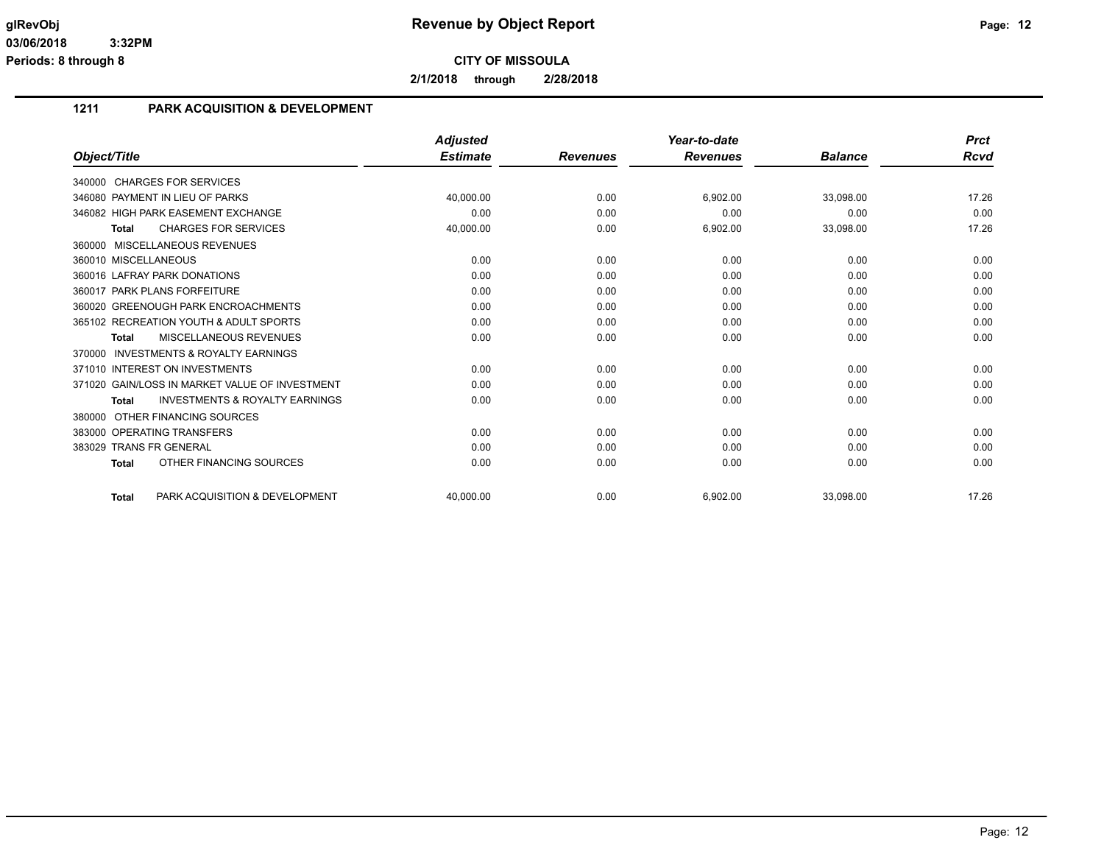**2/1/2018 through 2/28/2018**

## **1211 PARK ACQUISITION & DEVELOPMENT**

|                                                           | <b>Adjusted</b> |                 | Year-to-date    |                | <b>Prct</b> |
|-----------------------------------------------------------|-----------------|-----------------|-----------------|----------------|-------------|
| Object/Title                                              | <b>Estimate</b> | <b>Revenues</b> | <b>Revenues</b> | <b>Balance</b> | <b>Rcvd</b> |
| 340000 CHARGES FOR SERVICES                               |                 |                 |                 |                |             |
| 346080 PAYMENT IN LIEU OF PARKS                           | 40,000.00       | 0.00            | 6,902.00        | 33,098.00      | 17.26       |
| 346082 HIGH PARK EASEMENT EXCHANGE                        | 0.00            | 0.00            | 0.00            | 0.00           | 0.00        |
| <b>CHARGES FOR SERVICES</b><br><b>Total</b>               | 40,000.00       | 0.00            | 6,902.00        | 33,098.00      | 17.26       |
| 360000 MISCELLANEOUS REVENUES                             |                 |                 |                 |                |             |
| 360010 MISCELLANEOUS                                      | 0.00            | 0.00            | 0.00            | 0.00           | 0.00        |
| 360016 LAFRAY PARK DONATIONS                              | 0.00            | 0.00            | 0.00            | 0.00           | 0.00        |
| 360017 PARK PLANS FORFEITURE                              | 0.00            | 0.00            | 0.00            | 0.00           | 0.00        |
| 360020 GREENOUGH PARK ENCROACHMENTS                       | 0.00            | 0.00            | 0.00            | 0.00           | 0.00        |
| 365102 RECREATION YOUTH & ADULT SPORTS                    | 0.00            | 0.00            | 0.00            | 0.00           | 0.00        |
| MISCELLANEOUS REVENUES<br>Total                           | 0.00            | 0.00            | 0.00            | 0.00           | 0.00        |
| <b>INVESTMENTS &amp; ROYALTY EARNINGS</b><br>370000       |                 |                 |                 |                |             |
| 371010 INTEREST ON INVESTMENTS                            | 0.00            | 0.00            | 0.00            | 0.00           | 0.00        |
| 371020 GAIN/LOSS IN MARKET VALUE OF INVESTMENT            | 0.00            | 0.00            | 0.00            | 0.00           | 0.00        |
| <b>INVESTMENTS &amp; ROYALTY EARNINGS</b><br><b>Total</b> | 0.00            | 0.00            | 0.00            | 0.00           | 0.00        |
| 380000 OTHER FINANCING SOURCES                            |                 |                 |                 |                |             |
| 383000 OPERATING TRANSFERS                                | 0.00            | 0.00            | 0.00            | 0.00           | 0.00        |
| 383029 TRANS FR GENERAL                                   | 0.00            | 0.00            | 0.00            | 0.00           | 0.00        |
| OTHER FINANCING SOURCES<br><b>Total</b>                   | 0.00            | 0.00            | 0.00            | 0.00           | 0.00        |
| PARK ACQUISITION & DEVELOPMENT<br><b>Total</b>            | 40.000.00       | 0.00            | 6.902.00        | 33.098.00      | 17.26       |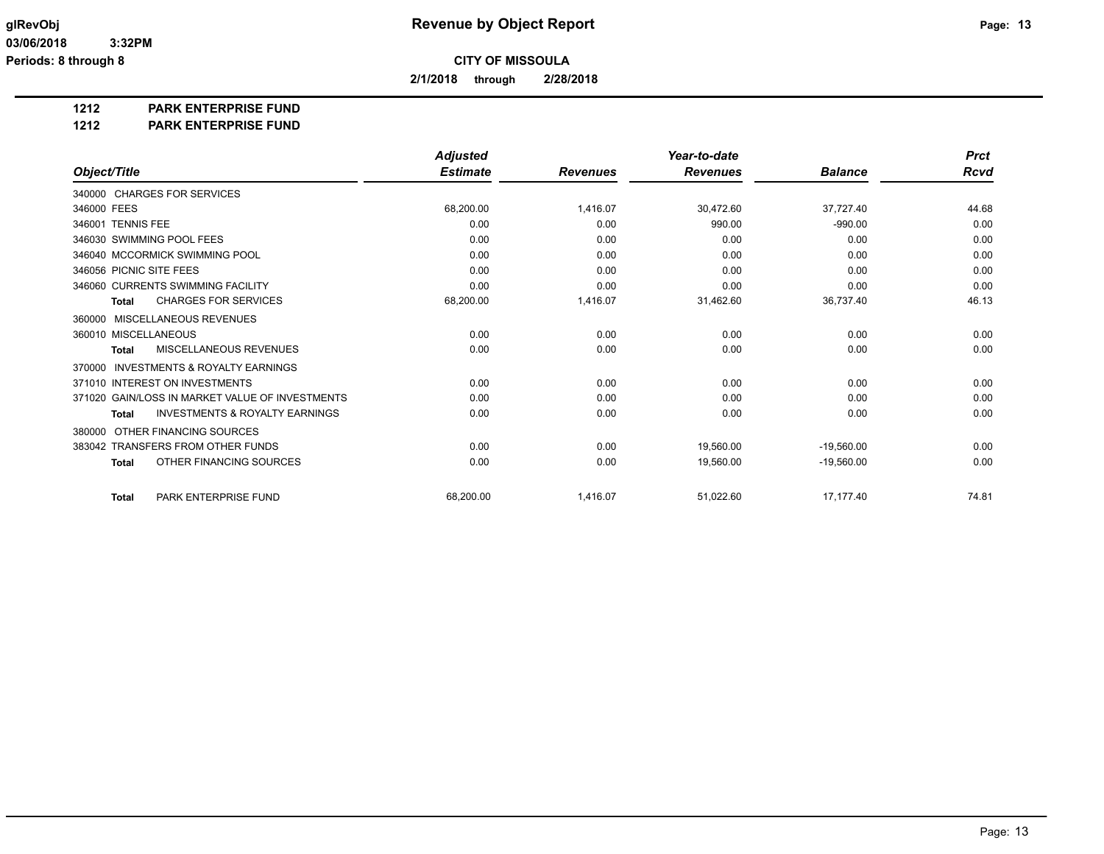**2/1/2018 through 2/28/2018**

## **1212 PARK ENTERPRISE FUND**

#### **1212 PARK ENTERPRISE FUND**

|                                                     | <b>Adjusted</b> |                 | Year-to-date    |                | <b>Prct</b> |
|-----------------------------------------------------|-----------------|-----------------|-----------------|----------------|-------------|
| Object/Title                                        | <b>Estimate</b> | <b>Revenues</b> | <b>Revenues</b> | <b>Balance</b> | <b>Rcvd</b> |
| 340000 CHARGES FOR SERVICES                         |                 |                 |                 |                |             |
| 346000 FEES                                         | 68.200.00       | 1,416.07        | 30,472.60       | 37,727.40      | 44.68       |
| 346001 TENNIS FEE                                   | 0.00            | 0.00            | 990.00          | $-990.00$      | 0.00        |
| 346030 SWIMMING POOL FEES                           | 0.00            | 0.00            | 0.00            | 0.00           | 0.00        |
| 346040 MCCORMICK SWIMMING POOL                      | 0.00            | 0.00            | 0.00            | 0.00           | 0.00        |
| 346056 PICNIC SITE FEES                             | 0.00            | 0.00            | 0.00            | 0.00           | 0.00        |
| 346060 CURRENTS SWIMMING FACILITY                   | 0.00            | 0.00            | 0.00            | 0.00           | 0.00        |
| <b>CHARGES FOR SERVICES</b><br><b>Total</b>         | 68,200.00       | 1,416.07        | 31,462.60       | 36,737.40      | 46.13       |
| MISCELLANEOUS REVENUES<br>360000                    |                 |                 |                 |                |             |
| 360010 MISCELLANEOUS                                | 0.00            | 0.00            | 0.00            | 0.00           | 0.00        |
| <b>MISCELLANEOUS REVENUES</b><br>Total              | 0.00            | 0.00            | 0.00            | 0.00           | 0.00        |
| <b>INVESTMENTS &amp; ROYALTY EARNINGS</b><br>370000 |                 |                 |                 |                |             |
| 371010 INTEREST ON INVESTMENTS                      | 0.00            | 0.00            | 0.00            | 0.00           | 0.00        |
| 371020 GAIN/LOSS IN MARKET VALUE OF INVESTMENTS     | 0.00            | 0.00            | 0.00            | 0.00           | 0.00        |
| <b>INVESTMENTS &amp; ROYALTY EARNINGS</b><br>Total  | 0.00            | 0.00            | 0.00            | 0.00           | 0.00        |
| OTHER FINANCING SOURCES<br>380000                   |                 |                 |                 |                |             |
| 383042 TRANSFERS FROM OTHER FUNDS                   | 0.00            | 0.00            | 19,560.00       | $-19,560.00$   | 0.00        |
| OTHER FINANCING SOURCES<br><b>Total</b>             | 0.00            | 0.00            | 19,560.00       | $-19.560.00$   | 0.00        |
| PARK ENTERPRISE FUND<br><b>Total</b>                | 68,200.00       | 1,416.07        | 51,022.60       | 17,177.40      | 74.81       |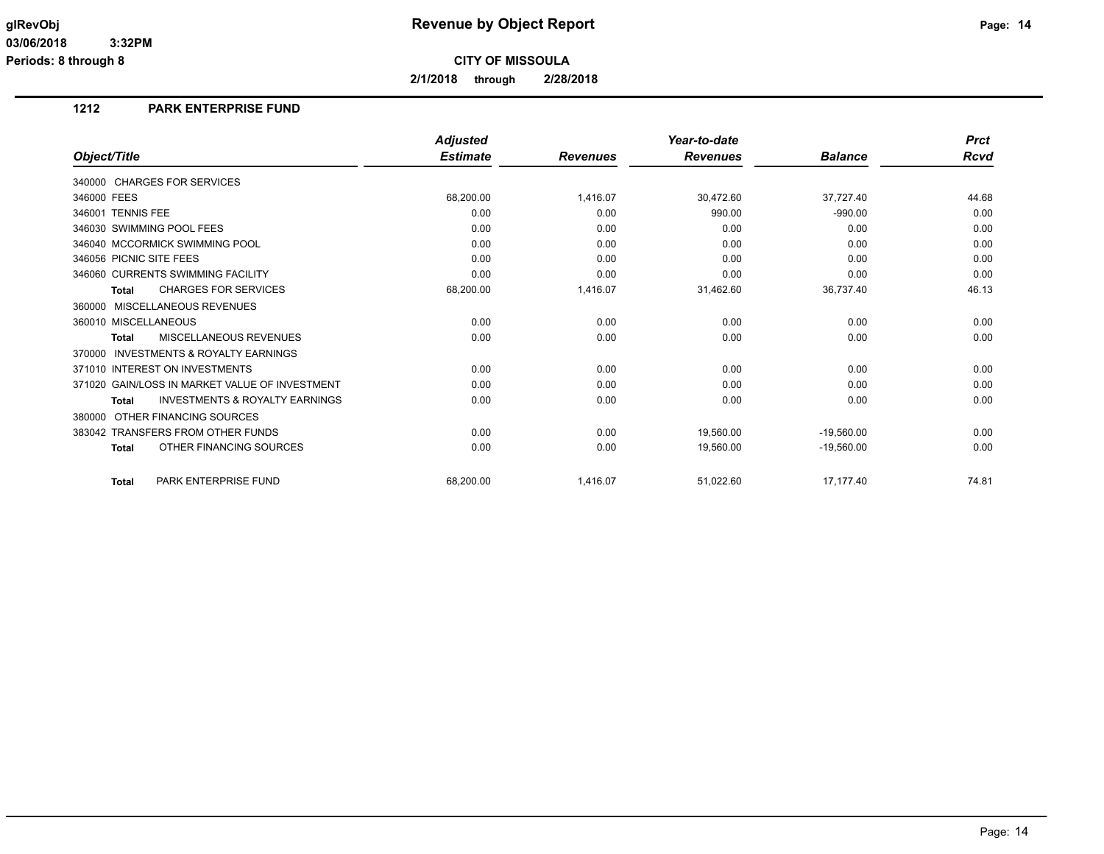**2/1/2018 through 2/28/2018**

## **1212 PARK ENTERPRISE FUND**

|                                                           | <b>Adjusted</b> |                 | Year-to-date    |                | <b>Prct</b> |
|-----------------------------------------------------------|-----------------|-----------------|-----------------|----------------|-------------|
| Object/Title                                              | <b>Estimate</b> | <b>Revenues</b> | <b>Revenues</b> | <b>Balance</b> | <b>Rcvd</b> |
| 340000 CHARGES FOR SERVICES                               |                 |                 |                 |                |             |
| 346000 FEES                                               | 68,200.00       | 1,416.07        | 30,472.60       | 37,727.40      | 44.68       |
| 346001 TENNIS FEE                                         | 0.00            | 0.00            | 990.00          | $-990.00$      | 0.00        |
| 346030 SWIMMING POOL FEES                                 | 0.00            | 0.00            | 0.00            | 0.00           | 0.00        |
| 346040 MCCORMICK SWIMMING POOL                            | 0.00            | 0.00            | 0.00            | 0.00           | 0.00        |
| 346056 PICNIC SITE FEES                                   | 0.00            | 0.00            | 0.00            | 0.00           | 0.00        |
| 346060 CURRENTS SWIMMING FACILITY                         | 0.00            | 0.00            | 0.00            | 0.00           | 0.00        |
| <b>CHARGES FOR SERVICES</b><br>Total                      | 68,200.00       | 1,416.07        | 31,462.60       | 36,737.40      | 46.13       |
| 360000 MISCELLANEOUS REVENUES                             |                 |                 |                 |                |             |
| 360010 MISCELLANEOUS                                      | 0.00            | 0.00            | 0.00            | 0.00           | 0.00        |
| MISCELLANEOUS REVENUES<br>Total                           | 0.00            | 0.00            | 0.00            | 0.00           | 0.00        |
| 370000 INVESTMENTS & ROYALTY EARNINGS                     |                 |                 |                 |                |             |
| 371010 INTEREST ON INVESTMENTS                            | 0.00            | 0.00            | 0.00            | 0.00           | 0.00        |
| 371020 GAIN/LOSS IN MARKET VALUE OF INVESTMENT            | 0.00            | 0.00            | 0.00            | 0.00           | 0.00        |
| <b>INVESTMENTS &amp; ROYALTY EARNINGS</b><br><b>Total</b> | 0.00            | 0.00            | 0.00            | 0.00           | 0.00        |
| 380000 OTHER FINANCING SOURCES                            |                 |                 |                 |                |             |
| 383042 TRANSFERS FROM OTHER FUNDS                         | 0.00            | 0.00            | 19.560.00       | $-19,560.00$   | 0.00        |
| OTHER FINANCING SOURCES<br><b>Total</b>                   | 0.00            | 0.00            | 19,560.00       | $-19,560.00$   | 0.00        |
| PARK ENTERPRISE FUND<br><b>Total</b>                      | 68,200.00       | 1,416.07        | 51,022.60       | 17,177.40      | 74.81       |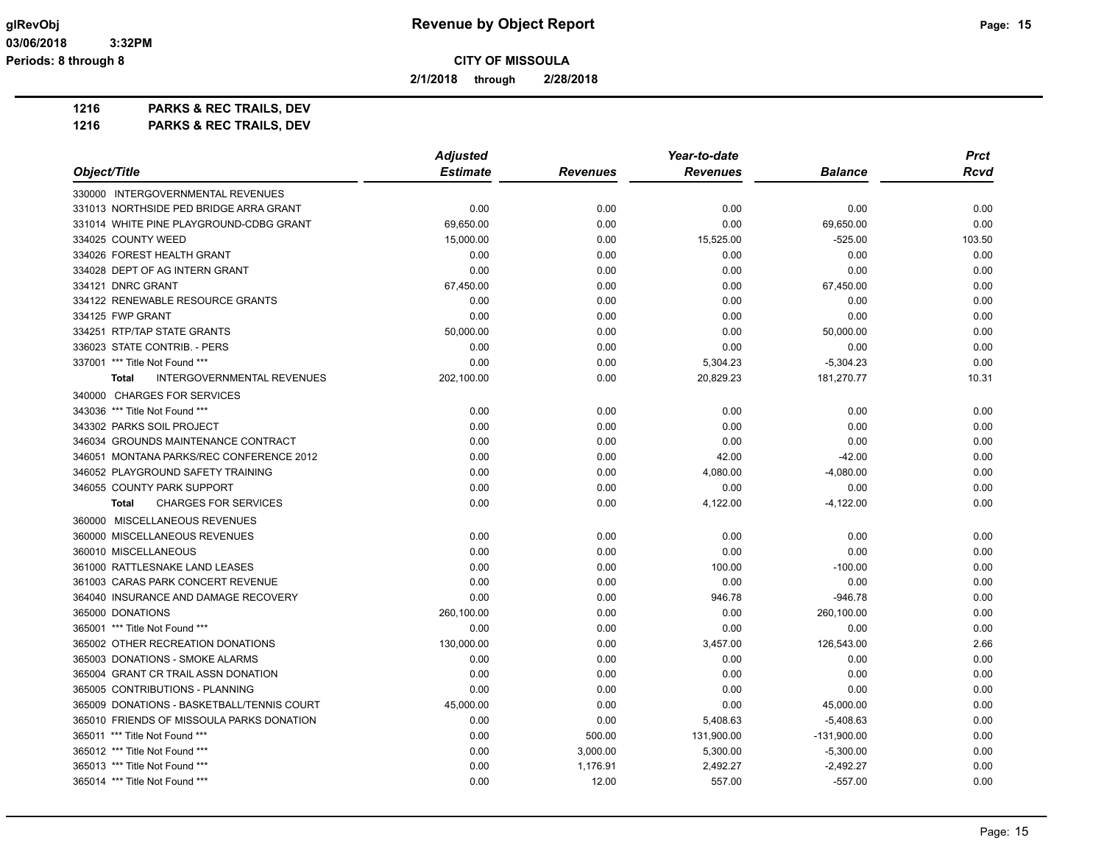**2/1/2018 through 2/28/2018**

**1216 PARKS & REC TRAILS, DEV**

|                                                   | <b>Adjusted</b> |                 | Year-to-date    |                | <b>Prct</b> |
|---------------------------------------------------|-----------------|-----------------|-----------------|----------------|-------------|
| Object/Title                                      | <b>Estimate</b> | <b>Revenues</b> | <b>Revenues</b> | <b>Balance</b> | <b>Rcvd</b> |
| 330000 INTERGOVERNMENTAL REVENUES                 |                 |                 |                 |                |             |
| 331013 NORTHSIDE PED BRIDGE ARRA GRANT            | 0.00            | 0.00            | 0.00            | 0.00           | 0.00        |
| 331014 WHITE PINE PLAYGROUND-CDBG GRANT           | 69,650.00       | 0.00            | 0.00            | 69,650.00      | 0.00        |
| 334025 COUNTY WEED                                | 15,000.00       | 0.00            | 15,525.00       | $-525.00$      | 103.50      |
| 334026 FOREST HEALTH GRANT                        | 0.00            | 0.00            | 0.00            | 0.00           | 0.00        |
| 334028 DEPT OF AG INTERN GRANT                    | 0.00            | 0.00            | 0.00            | 0.00           | 0.00        |
| 334121 DNRC GRANT                                 | 67,450.00       | 0.00            | 0.00            | 67,450.00      | 0.00        |
| 334122 RENEWABLE RESOURCE GRANTS                  | 0.00            | 0.00            | 0.00            | 0.00           | 0.00        |
| 334125 FWP GRANT                                  | 0.00            | 0.00            | 0.00            | 0.00           | 0.00        |
| 334251 RTP/TAP STATE GRANTS                       | 50,000.00       | 0.00            | 0.00            | 50,000.00      | 0.00        |
| 336023 STATE CONTRIB. - PERS                      | 0.00            | 0.00            | 0.00            | 0.00           | 0.00        |
| 337001 *** Title Not Found ***                    | 0.00            | 0.00            | 5,304.23        | $-5,304.23$    | 0.00        |
| <b>INTERGOVERNMENTAL REVENUES</b><br><b>Total</b> | 202,100.00      | 0.00            | 20,829.23       | 181,270.77     | 10.31       |
| 340000 CHARGES FOR SERVICES                       |                 |                 |                 |                |             |
| 343036 *** Title Not Found ***                    | 0.00            | 0.00            | 0.00            | 0.00           | 0.00        |
| 343302 PARKS SOIL PROJECT                         | 0.00            | 0.00            | 0.00            | 0.00           | 0.00        |
| 346034 GROUNDS MAINTENANCE CONTRACT               | 0.00            | 0.00            | 0.00            | 0.00           | 0.00        |
| 346051 MONTANA PARKS/REC CONFERENCE 2012          | 0.00            | 0.00            | 42.00           | $-42.00$       | 0.00        |
| 346052 PLAYGROUND SAFETY TRAINING                 | 0.00            | 0.00            | 4,080.00        | $-4,080.00$    | 0.00        |
| 346055 COUNTY PARK SUPPORT                        | 0.00            | 0.00            | 0.00            | 0.00           | 0.00        |
| <b>CHARGES FOR SERVICES</b><br><b>Total</b>       | 0.00            | 0.00            | 4,122.00        | $-4,122.00$    | 0.00        |
| 360000 MISCELLANEOUS REVENUES                     |                 |                 |                 |                |             |
| 360000 MISCELLANEOUS REVENUES                     | 0.00            | 0.00            | 0.00            | 0.00           | 0.00        |
| 360010 MISCELLANEOUS                              | 0.00            | 0.00            | 0.00            | 0.00           | 0.00        |
| 361000 RATTLESNAKE LAND LEASES                    | 0.00            | 0.00            | 100.00          | $-100.00$      | 0.00        |
| 361003 CARAS PARK CONCERT REVENUE                 | 0.00            | 0.00            | 0.00            | 0.00           | 0.00        |
| 364040 INSURANCE AND DAMAGE RECOVERY              | 0.00            | 0.00            | 946.78          | $-946.78$      | 0.00        |
| 365000 DONATIONS                                  | 260,100.00      | 0.00            | 0.00            | 260,100.00     | 0.00        |
| 365001 *** Title Not Found ***                    | 0.00            | 0.00            | 0.00            | 0.00           | 0.00        |
| 365002 OTHER RECREATION DONATIONS                 | 130,000.00      | 0.00            | 3,457.00        | 126,543.00     | 2.66        |
| 365003 DONATIONS - SMOKE ALARMS                   | 0.00            | 0.00            | 0.00            | 0.00           | 0.00        |
| 365004 GRANT CR TRAIL ASSN DONATION               | 0.00            | 0.00            | 0.00            | 0.00           | 0.00        |
| 365005 CONTRIBUTIONS - PLANNING                   | 0.00            | 0.00            | 0.00            | 0.00           | 0.00        |
| 365009 DONATIONS - BASKETBALL/TENNIS COURT        | 45,000.00       | 0.00            | 0.00            | 45,000.00      | 0.00        |
| 365010 FRIENDS OF MISSOULA PARKS DONATION         | 0.00            | 0.00            | 5,408.63        | $-5,408.63$    | 0.00        |
| 365011 *** Title Not Found ***                    | 0.00            | 500.00          | 131,900.00      | $-131,900.00$  | 0.00        |
| 365012 *** Title Not Found ***                    | 0.00            | 3,000.00        | 5,300.00        | $-5,300.00$    | 0.00        |
| 365013 *** Title Not Found ***                    | 0.00            | 1,176.91        | 2,492.27        | $-2,492.27$    | 0.00        |
| 365014 *** Title Not Found ***                    | 0.00            | 12.00           | 557.00          | $-557.00$      | 0.00        |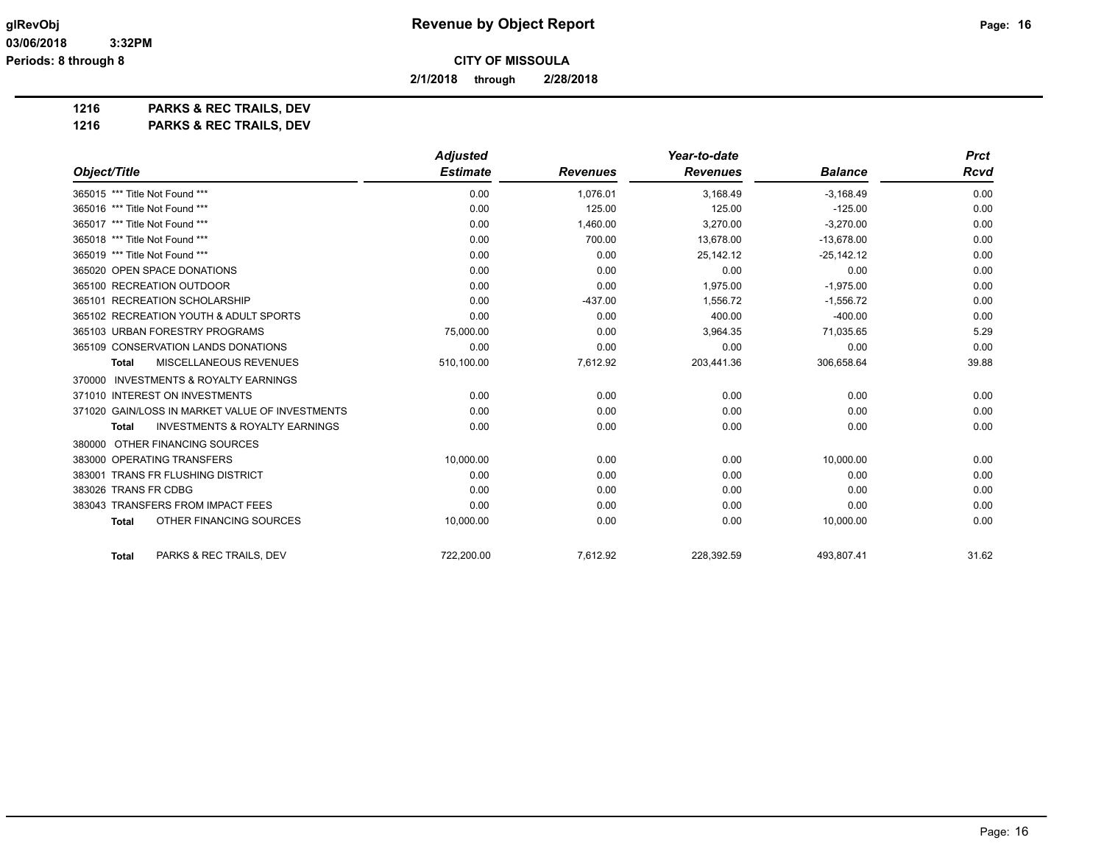**2/1/2018 through 2/28/2018**

**1216 PARKS & REC TRAILS, DEV**

|                                                           | <b>Adjusted</b> |                 | Year-to-date    |                | <b>Prct</b> |
|-----------------------------------------------------------|-----------------|-----------------|-----------------|----------------|-------------|
| Object/Title                                              | <b>Estimate</b> | <b>Revenues</b> | <b>Revenues</b> | <b>Balance</b> | <b>Rcvd</b> |
| 365015 *** Title Not Found ***                            | 0.00            | 1,076.01        | 3,168.49        | $-3,168.49$    | 0.00        |
| 365016 *** Title Not Found ***                            | 0.00            | 125.00          | 125.00          | $-125.00$      | 0.00        |
| 365017 *** Title Not Found ***                            | 0.00            | 1,460.00        | 3,270.00        | $-3,270.00$    | 0.00        |
| 365018 *** Title Not Found ***                            | 0.00            | 700.00          | 13,678.00       | $-13,678.00$   | 0.00        |
| 365019 *** Title Not Found ***                            | 0.00            | 0.00            | 25,142.12       | $-25,142.12$   | 0.00        |
| 365020 OPEN SPACE DONATIONS                               | 0.00            | 0.00            | 0.00            | 0.00           | 0.00        |
| 365100 RECREATION OUTDOOR                                 | 0.00            | 0.00            | 1,975.00        | $-1,975.00$    | 0.00        |
| 365101 RECREATION SCHOLARSHIP                             | 0.00            | $-437.00$       | 1.556.72        | $-1.556.72$    | 0.00        |
| 365102 RECREATION YOUTH & ADULT SPORTS                    | 0.00            | 0.00            | 400.00          | $-400.00$      | 0.00        |
| 365103 URBAN FORESTRY PROGRAMS                            | 75,000.00       | 0.00            | 3,964.35        | 71,035.65      | 5.29        |
| 365109 CONSERVATION LANDS DONATIONS                       | 0.00            | 0.00            | 0.00            | 0.00           | 0.00        |
| MISCELLANEOUS REVENUES<br><b>Total</b>                    | 510,100.00      | 7,612.92        | 203,441.36      | 306,658.64     | 39.88       |
| 370000 INVESTMENTS & ROYALTY EARNINGS                     |                 |                 |                 |                |             |
| 371010 INTEREST ON INVESTMENTS                            | 0.00            | 0.00            | 0.00            | 0.00           | 0.00        |
| 371020 GAIN/LOSS IN MARKET VALUE OF INVESTMENTS           | 0.00            | 0.00            | 0.00            | 0.00           | 0.00        |
| <b>INVESTMENTS &amp; ROYALTY EARNINGS</b><br><b>Total</b> | 0.00            | 0.00            | 0.00            | 0.00           | 0.00        |
| 380000 OTHER FINANCING SOURCES                            |                 |                 |                 |                |             |
| 383000 OPERATING TRANSFERS                                | 10,000.00       | 0.00            | 0.00            | 10,000.00      | 0.00        |
| 383001 TRANS FR FLUSHING DISTRICT                         | 0.00            | 0.00            | 0.00            | 0.00           | 0.00        |
| 383026 TRANS FR CDBG                                      | 0.00            | 0.00            | 0.00            | 0.00           | 0.00        |
| 383043 TRANSFERS FROM IMPACT FEES                         | 0.00            | 0.00            | 0.00            | 0.00           | 0.00        |
| OTHER FINANCING SOURCES<br><b>Total</b>                   | 10,000.00       | 0.00            | 0.00            | 10,000.00      | 0.00        |
| PARKS & REC TRAILS, DEV<br><b>Total</b>                   | 722,200.00      | 7,612.92        | 228,392.59      | 493,807.41     | 31.62       |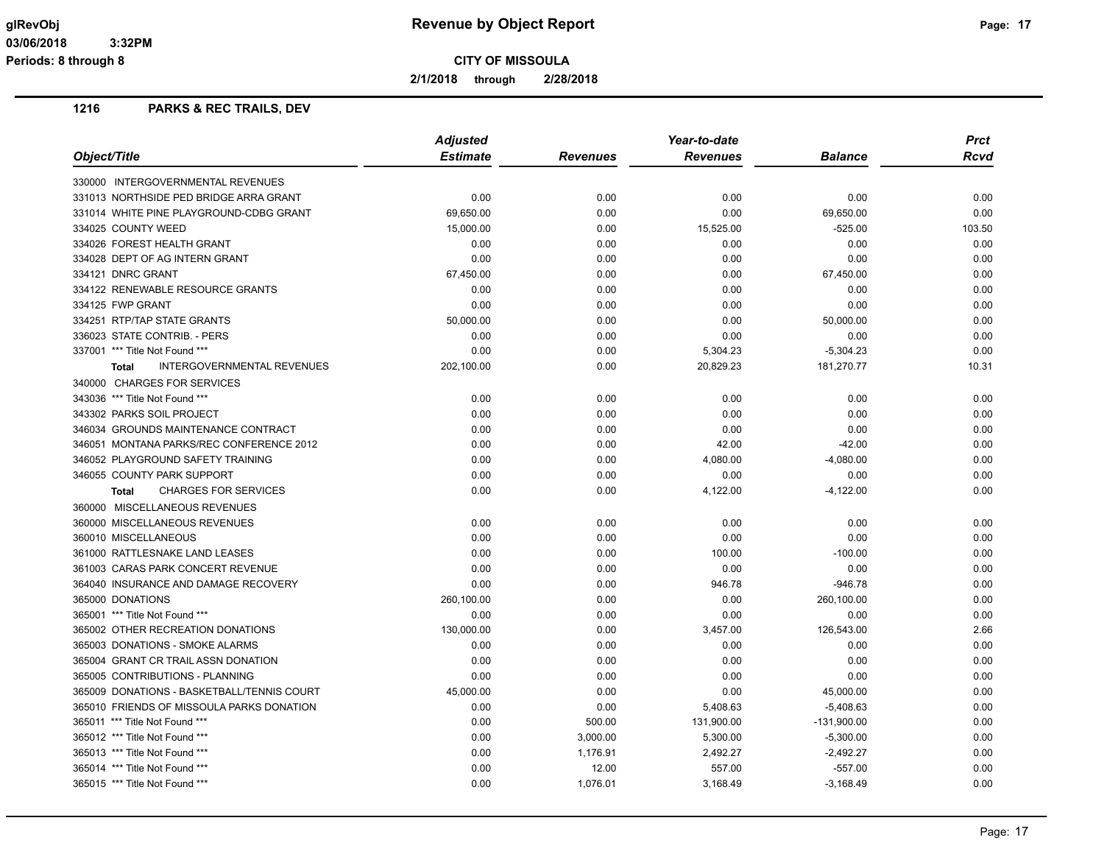**2/1/2018 through 2/28/2018**

|                                                   | <b>Adjusted</b> |                 | Year-to-date    |                | <b>Prct</b> |
|---------------------------------------------------|-----------------|-----------------|-----------------|----------------|-------------|
| Object/Title                                      | <b>Estimate</b> | <b>Revenues</b> | <b>Revenues</b> | <b>Balance</b> | Rcvd        |
| 330000 INTERGOVERNMENTAL REVENUES                 |                 |                 |                 |                |             |
| 331013 NORTHSIDE PED BRIDGE ARRA GRANT            | 0.00            | 0.00            | 0.00            | 0.00           | 0.00        |
| 331014 WHITE PINE PLAYGROUND-CDBG GRANT           | 69,650.00       | 0.00            | 0.00            | 69,650.00      | 0.00        |
| 334025 COUNTY WEED                                | 15,000.00       | 0.00            | 15,525.00       | $-525.00$      | 103.50      |
| 334026 FOREST HEALTH GRANT                        | 0.00            | 0.00            | 0.00            | 0.00           | 0.00        |
| 334028 DEPT OF AG INTERN GRANT                    | 0.00            | 0.00            | 0.00            | 0.00           | 0.00        |
| 334121 DNRC GRANT                                 | 67,450.00       | 0.00            | 0.00            | 67,450.00      | 0.00        |
| 334122 RENEWABLE RESOURCE GRANTS                  | 0.00            | 0.00            | 0.00            | 0.00           | 0.00        |
| 334125 FWP GRANT                                  | 0.00            | 0.00            | 0.00            | 0.00           | 0.00        |
| 334251 RTP/TAP STATE GRANTS                       | 50,000.00       | 0.00            | 0.00            | 50,000.00      | 0.00        |
| 336023 STATE CONTRIB. - PERS                      | 0.00            | 0.00            | 0.00            | 0.00           | 0.00        |
| 337001 *** Title Not Found ***                    | 0.00            | 0.00            | 5,304.23        | $-5,304.23$    | 0.00        |
| <b>INTERGOVERNMENTAL REVENUES</b><br><b>Total</b> | 202,100.00      | 0.00            | 20,829.23       | 181,270.77     | 10.31       |
| 340000 CHARGES FOR SERVICES                       |                 |                 |                 |                |             |
| 343036 *** Title Not Found ***                    | 0.00            | 0.00            | 0.00            | 0.00           | 0.00        |
| 343302 PARKS SOIL PROJECT                         | 0.00            | 0.00            | 0.00            | 0.00           | 0.00        |
| 346034 GROUNDS MAINTENANCE CONTRACT               | 0.00            | 0.00            | 0.00            | 0.00           | 0.00        |
| 346051 MONTANA PARKS/REC CONFERENCE 2012          | 0.00            | 0.00            | 42.00           | $-42.00$       | 0.00        |
| 346052 PLAYGROUND SAFETY TRAINING                 | 0.00            | 0.00            | 4,080.00        | $-4,080.00$    | 0.00        |
| 346055 COUNTY PARK SUPPORT                        | 0.00            | 0.00            | 0.00            | 0.00           | 0.00        |
| <b>CHARGES FOR SERVICES</b><br><b>Total</b>       | 0.00            | 0.00            | 4,122.00        | $-4,122.00$    | 0.00        |
| 360000 MISCELLANEOUS REVENUES                     |                 |                 |                 |                |             |
| 360000 MISCELLANEOUS REVENUES                     | 0.00            | 0.00            | 0.00            | 0.00           | 0.00        |
| 360010 MISCELLANEOUS                              | 0.00            | 0.00            | 0.00            | 0.00           | 0.00        |
| 361000 RATTLESNAKE LAND LEASES                    | 0.00            | 0.00            | 100.00          | $-100.00$      | 0.00        |
| 361003 CARAS PARK CONCERT REVENUE                 | 0.00            | 0.00            | 0.00            | 0.00           | 0.00        |
| 364040 INSURANCE AND DAMAGE RECOVERY              | 0.00            | 0.00            | 946.78          | $-946.78$      | 0.00        |
| 365000 DONATIONS                                  | 260,100.00      | 0.00            | 0.00            | 260,100.00     | 0.00        |
| 365001 *** Title Not Found ***                    | 0.00            | 0.00            | 0.00            | 0.00           | 0.00        |
| 365002 OTHER RECREATION DONATIONS                 | 130,000.00      | 0.00            | 3,457.00        | 126,543.00     | 2.66        |
| 365003 DONATIONS - SMOKE ALARMS                   | 0.00            | 0.00            | 0.00            | 0.00           | 0.00        |
| 365004 GRANT CR TRAIL ASSN DONATION               | 0.00            | 0.00            | 0.00            | 0.00           | 0.00        |
| 365005 CONTRIBUTIONS - PLANNING                   | 0.00            | 0.00            | 0.00            | 0.00           | 0.00        |
| 365009 DONATIONS - BASKETBALL/TENNIS COURT        | 45,000.00       | 0.00            | 0.00            | 45,000.00      | 0.00        |
| 365010 FRIENDS OF MISSOULA PARKS DONATION         | 0.00            | 0.00            | 5,408.63        | $-5,408.63$    | 0.00        |
| 365011 *** Title Not Found ***                    | 0.00            | 500.00          | 131,900.00      | $-131,900.00$  | 0.00        |
| 365012 *** Title Not Found ***                    | 0.00            | 3,000.00        | 5,300.00        | $-5,300.00$    | 0.00        |
| 365013 *** Title Not Found ***                    | 0.00            | 1,176.91        | 2,492.27        | $-2,492.27$    | 0.00        |
| 365014 *** Title Not Found ***                    | 0.00            | 12.00           | 557.00          | $-557.00$      | 0.00        |
| 365015 *** Title Not Found ***                    | 0.00            | 1,076.01        | 3,168.49        | $-3,168.49$    | 0.00        |
|                                                   |                 |                 |                 |                |             |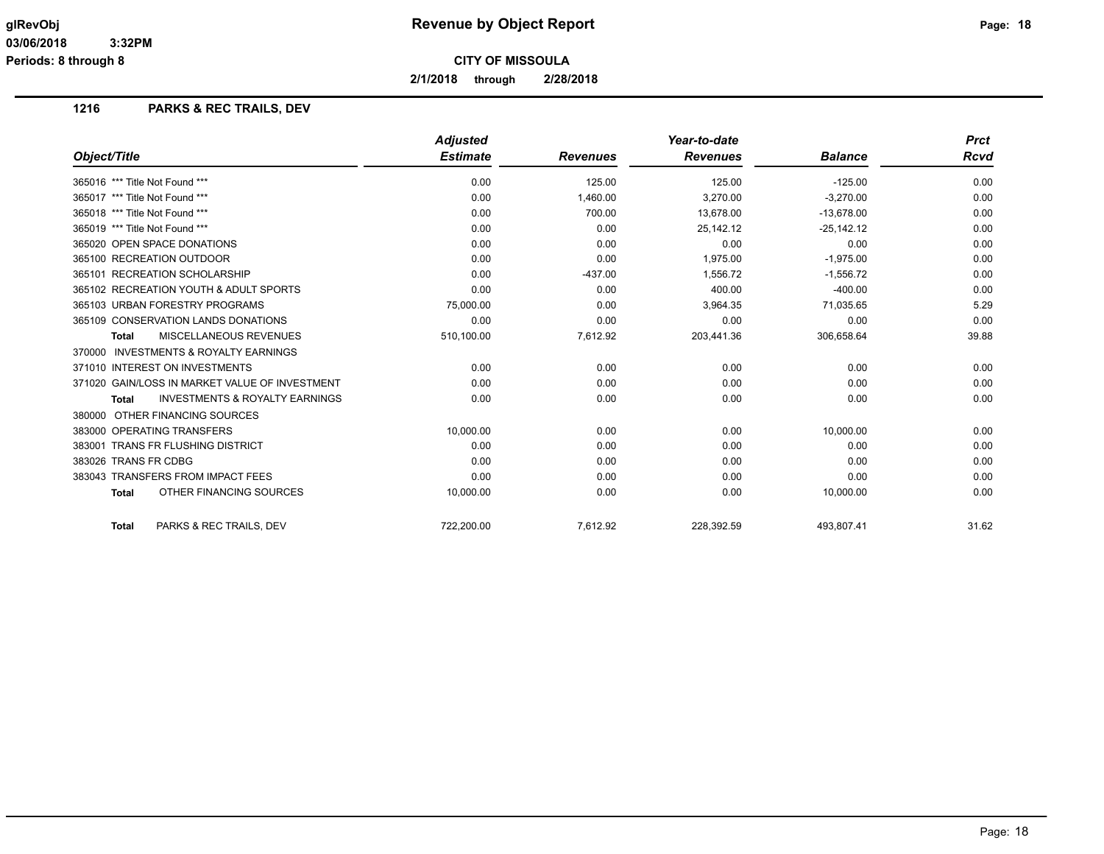**2/1/2018 through 2/28/2018**

|                                                           | <b>Adjusted</b> |                 | Year-to-date    |                | <b>Prct</b> |
|-----------------------------------------------------------|-----------------|-----------------|-----------------|----------------|-------------|
| Object/Title                                              | <b>Estimate</b> | <b>Revenues</b> | <b>Revenues</b> | <b>Balance</b> | Rcvd        |
| 365016 *** Title Not Found ***                            | 0.00            | 125.00          | 125.00          | $-125.00$      | 0.00        |
| 365017 *** Title Not Found ***                            | 0.00            | 1,460.00        | 3,270.00        | $-3,270.00$    | 0.00        |
| 365018 *** Title Not Found ***                            | 0.00            | 700.00          | 13.678.00       | $-13,678.00$   | 0.00        |
| 365019 *** Title Not Found ***                            | 0.00            | 0.00            | 25,142.12       | $-25,142.12$   | 0.00        |
| 365020 OPEN SPACE DONATIONS                               | 0.00            | 0.00            | 0.00            | 0.00           | 0.00        |
| 365100 RECREATION OUTDOOR                                 | 0.00            | 0.00            | 1.975.00        | $-1,975.00$    | 0.00        |
| 365101 RECREATION SCHOLARSHIP                             | 0.00            | $-437.00$       | 1,556.72        | $-1,556.72$    | 0.00        |
| 365102 RECREATION YOUTH & ADULT SPORTS                    | 0.00            | 0.00            | 400.00          | $-400.00$      | 0.00        |
| 365103 URBAN FORESTRY PROGRAMS                            | 75,000.00       | 0.00            | 3,964.35        | 71,035.65      | 5.29        |
| 365109 CONSERVATION LANDS DONATIONS                       | 0.00            | 0.00            | 0.00            | 0.00           | 0.00        |
| <b>MISCELLANEOUS REVENUES</b><br><b>Total</b>             | 510,100.00      | 7,612.92        | 203,441.36      | 306,658.64     | 39.88       |
| 370000 INVESTMENTS & ROYALTY EARNINGS                     |                 |                 |                 |                |             |
| 371010 INTEREST ON INVESTMENTS                            | 0.00            | 0.00            | 0.00            | 0.00           | 0.00        |
| 371020 GAIN/LOSS IN MARKET VALUE OF INVESTMENT            | 0.00            | 0.00            | 0.00            | 0.00           | 0.00        |
| <b>INVESTMENTS &amp; ROYALTY EARNINGS</b><br><b>Total</b> | 0.00            | 0.00            | 0.00            | 0.00           | 0.00        |
| 380000 OTHER FINANCING SOURCES                            |                 |                 |                 |                |             |
| 383000 OPERATING TRANSFERS                                | 10,000.00       | 0.00            | 0.00            | 10,000.00      | 0.00        |
| 383001 TRANS FR FLUSHING DISTRICT                         | 0.00            | 0.00            | 0.00            | 0.00           | 0.00        |
| 383026 TRANS FR CDBG                                      | 0.00            | 0.00            | 0.00            | 0.00           | 0.00        |
| 383043 TRANSFERS FROM IMPACT FEES                         | 0.00            | 0.00            | 0.00            | 0.00           | 0.00        |
| OTHER FINANCING SOURCES<br><b>Total</b>                   | 10,000.00       | 0.00            | 0.00            | 10,000.00      | 0.00        |
| PARKS & REC TRAILS, DEV<br><b>Total</b>                   | 722,200.00      | 7,612.92        | 228,392.59      | 493,807.41     | 31.62       |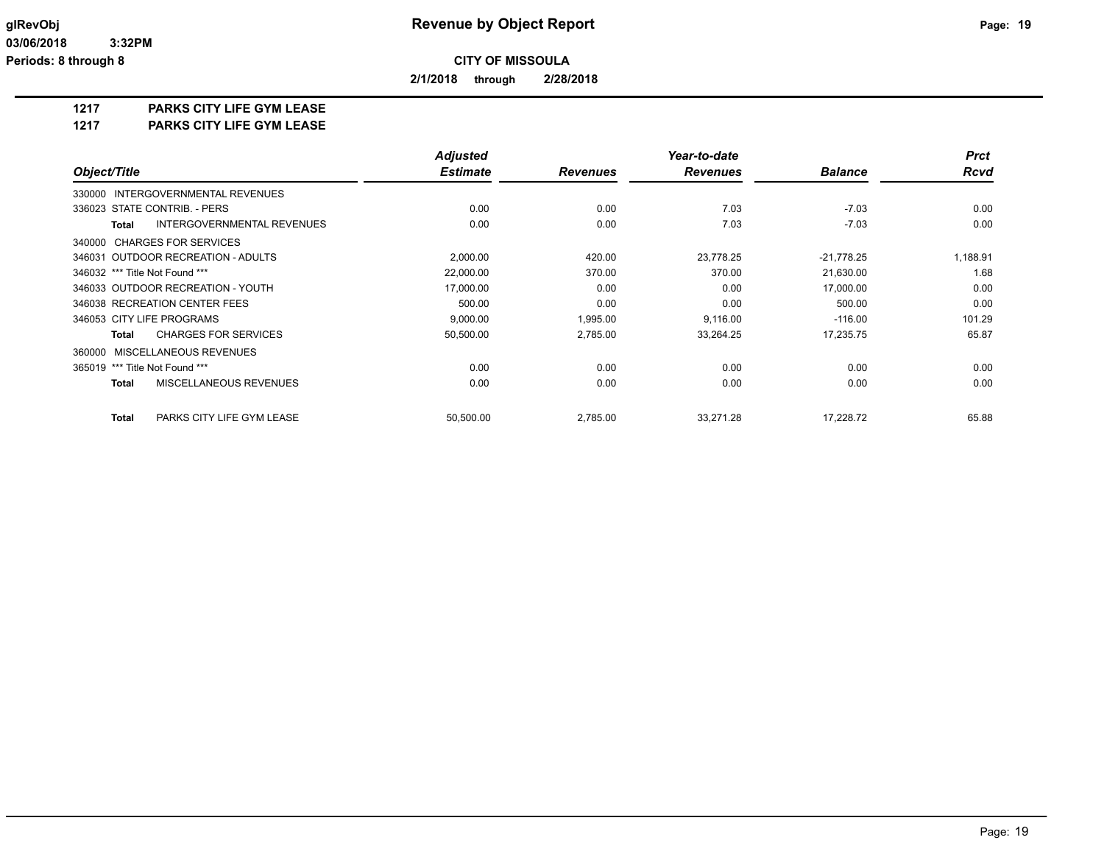**2/1/2018 through 2/28/2018**

## **1217 PARKS CITY LIFE GYM LEASE**

**1217 PARKS CITY LIFE GYM LEASE**

|                                             | <b>Adjusted</b> |                 | Year-to-date    |                | <b>Prct</b> |
|---------------------------------------------|-----------------|-----------------|-----------------|----------------|-------------|
| Object/Title                                | <b>Estimate</b> | <b>Revenues</b> | <b>Revenues</b> | <b>Balance</b> | <b>Rcvd</b> |
| 330000 INTERGOVERNMENTAL REVENUES           |                 |                 |                 |                |             |
| 336023 STATE CONTRIB. - PERS                | 0.00            | 0.00            | 7.03            | $-7.03$        | 0.00        |
| INTERGOVERNMENTAL REVENUES<br><b>Total</b>  | 0.00            | 0.00            | 7.03            | $-7.03$        | 0.00        |
| 340000 CHARGES FOR SERVICES                 |                 |                 |                 |                |             |
| 346031 OUTDOOR RECREATION - ADULTS          | 2,000.00        | 420.00          | 23,778.25       | $-21,778.25$   | 1,188.91    |
| 346032 *** Title Not Found ***              | 22,000.00       | 370.00          | 370.00          | 21,630.00      | 1.68        |
| 346033 OUTDOOR RECREATION - YOUTH           | 17,000.00       | 0.00            | 0.00            | 17,000.00      | 0.00        |
| 346038 RECREATION CENTER FEES               | 500.00          | 0.00            | 0.00            | 500.00         | 0.00        |
| 346053 CITY LIFE PROGRAMS                   | 9,000.00        | 1,995.00        | 9,116.00        | $-116.00$      | 101.29      |
| <b>CHARGES FOR SERVICES</b><br><b>Total</b> | 50,500.00       | 2,785.00        | 33,264.25       | 17,235.75      | 65.87       |
| 360000 MISCELLANEOUS REVENUES               |                 |                 |                 |                |             |
| 365019 *** Title Not Found ***              | 0.00            | 0.00            | 0.00            | 0.00           | 0.00        |
| MISCELLANEOUS REVENUES<br><b>Total</b>      | 0.00            | 0.00            | 0.00            | 0.00           | 0.00        |
| PARKS CITY LIFE GYM LEASE<br><b>Total</b>   | 50,500.00       | 2,785.00        | 33,271.28       | 17,228.72      | 65.88       |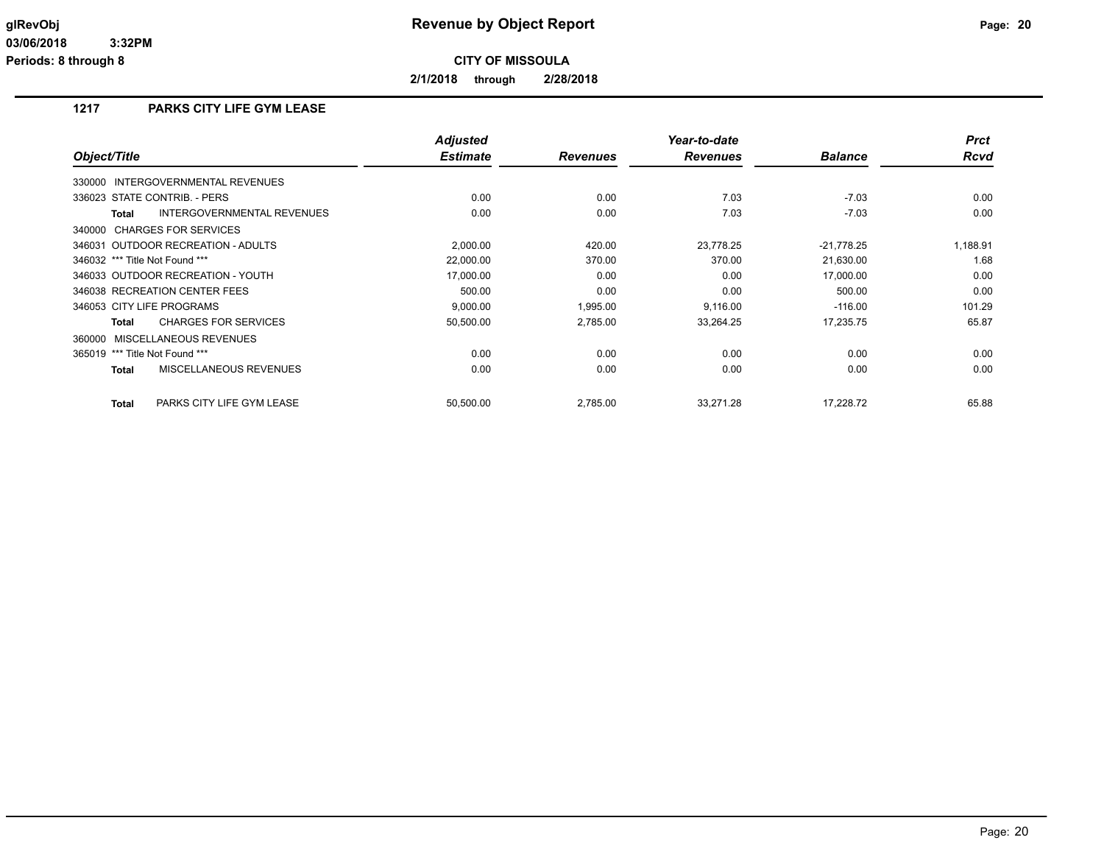**2/1/2018 through 2/28/2018**

## **1217 PARKS CITY LIFE GYM LEASE**

| Object/Title                                | <b>Adjusted</b><br><b>Estimate</b> | <b>Revenues</b> | Year-to-date<br><b>Revenues</b> | <b>Balance</b> | <b>Prct</b><br><b>Rcvd</b> |
|---------------------------------------------|------------------------------------|-----------------|---------------------------------|----------------|----------------------------|
|                                             |                                    |                 |                                 |                |                            |
| 330000 INTERGOVERNMENTAL REVENUES           |                                    |                 |                                 |                |                            |
| 336023 STATE CONTRIB. - PERS                | 0.00                               | 0.00            | 7.03                            | $-7.03$        | 0.00                       |
| INTERGOVERNMENTAL REVENUES<br><b>Total</b>  | 0.00                               | 0.00            | 7.03                            | $-7.03$        | 0.00                       |
| 340000 CHARGES FOR SERVICES                 |                                    |                 |                                 |                |                            |
| 346031 OUTDOOR RECREATION - ADULTS          | 2,000.00                           | 420.00          | 23,778.25                       | $-21,778.25$   | 1,188.91                   |
| 346032 *** Title Not Found ***              | 22,000.00                          | 370.00          | 370.00                          | 21,630.00      | 1.68                       |
| 346033 OUTDOOR RECREATION - YOUTH           | 17,000.00                          | 0.00            | 0.00                            | 17,000.00      | 0.00                       |
| 346038 RECREATION CENTER FEES               | 500.00                             | 0.00            | 0.00                            | 500.00         | 0.00                       |
| 346053 CITY LIFE PROGRAMS                   | 9,000.00                           | 1,995.00        | 9,116.00                        | $-116.00$      | 101.29                     |
| <b>CHARGES FOR SERVICES</b><br><b>Total</b> | 50,500.00                          | 2,785.00        | 33,264.25                       | 17,235.75      | 65.87                      |
| 360000 MISCELLANEOUS REVENUES               |                                    |                 |                                 |                |                            |
| 365019 *** Title Not Found ***              | 0.00                               | 0.00            | 0.00                            | 0.00           | 0.00                       |
| MISCELLANEOUS REVENUES<br><b>Total</b>      | 0.00                               | 0.00            | 0.00                            | 0.00           | 0.00                       |
| PARKS CITY LIFE GYM LEASE<br><b>Total</b>   | 50,500.00                          | 2,785.00        | 33,271.28                       | 17.228.72      | 65.88                      |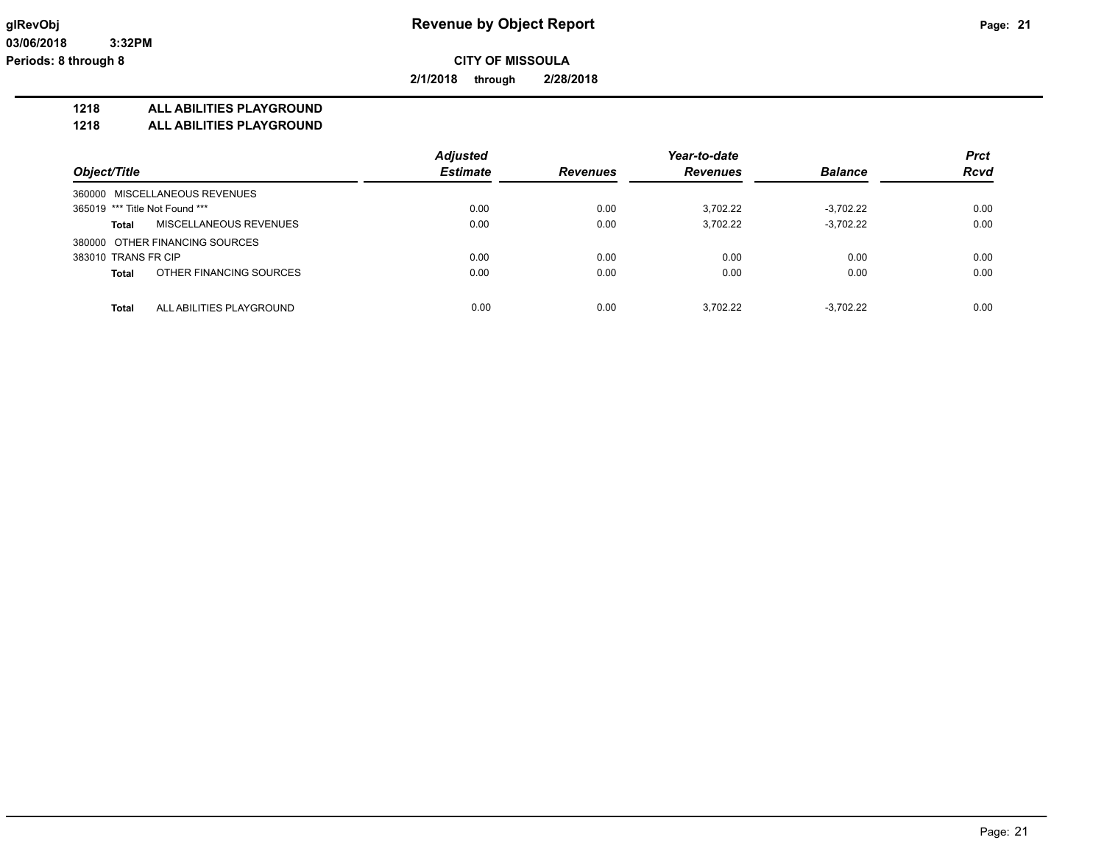**2/1/2018 through 2/28/2018**

#### **1218 ALL ABILITIES PLAYGROUND**

**1218 ALL ABILITIES PLAYGROUND**

|                                          | <b>Adjusted</b> |                 | Year-to-date    |                | <b>Prct</b> |
|------------------------------------------|-----------------|-----------------|-----------------|----------------|-------------|
| Object/Title                             | <b>Estimate</b> | <b>Revenues</b> | <b>Revenues</b> | <b>Balance</b> | <b>Rcvd</b> |
| 360000 MISCELLANEOUS REVENUES            |                 |                 |                 |                |             |
| 365019 *** Title Not Found ***           | 0.00            | 0.00            | 3.702.22        | $-3.702.22$    | 0.00        |
| MISCELLANEOUS REVENUES<br>Total          | 0.00            | 0.00            | 3,702.22        | $-3,702.22$    | 0.00        |
| 380000 OTHER FINANCING SOURCES           |                 |                 |                 |                |             |
| 383010 TRANS FR CIP                      | 0.00            | 0.00            | 0.00            | 0.00           | 0.00        |
| OTHER FINANCING SOURCES<br><b>Total</b>  | 0.00            | 0.00            | 0.00            | 0.00           | 0.00        |
|                                          |                 |                 |                 |                |             |
| <b>Total</b><br>ALL ABILITIES PLAYGROUND | 0.00            | 0.00            | 3.702.22        | $-3.702.22$    | 0.00        |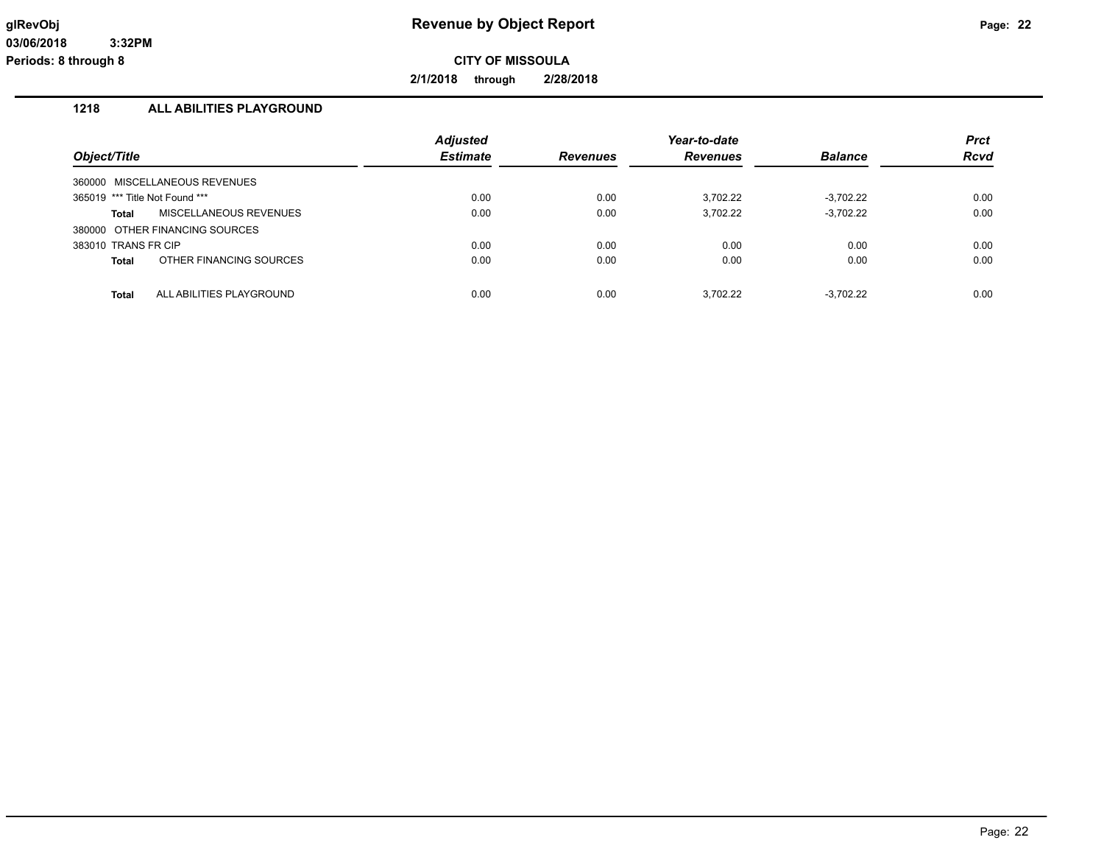**2/1/2018 through 2/28/2018**

## **1218 ALL ABILITIES PLAYGROUND**

| Object/Title                             | <b>Adjusted</b><br><b>Estimate</b> | <b>Revenues</b> | Year-to-date<br><b>Revenues</b> | <b>Balance</b> | <b>Prct</b><br><b>Rcvd</b> |
|------------------------------------------|------------------------------------|-----------------|---------------------------------|----------------|----------------------------|
| 360000 MISCELLANEOUS REVENUES            |                                    |                 |                                 |                |                            |
| 365019 *** Title Not Found ***           | 0.00                               | 0.00            | 3.702.22                        | $-3.702.22$    | 0.00                       |
| <b>MISCELLANEOUS REVENUES</b><br>Total   | 0.00                               | 0.00            | 3.702.22                        | $-3,702.22$    | 0.00                       |
| 380000 OTHER FINANCING SOURCES           |                                    |                 |                                 |                |                            |
| 383010 TRANS FR CIP                      | 0.00                               | 0.00            | 0.00                            | 0.00           | 0.00                       |
| OTHER FINANCING SOURCES<br><b>Total</b>  | 0.00                               | 0.00            | 0.00                            | 0.00           | 0.00                       |
| ALL ABILITIES PLAYGROUND<br><b>Total</b> | 0.00                               | 0.00            | 3.702.22                        | $-3.702.22$    | 0.00                       |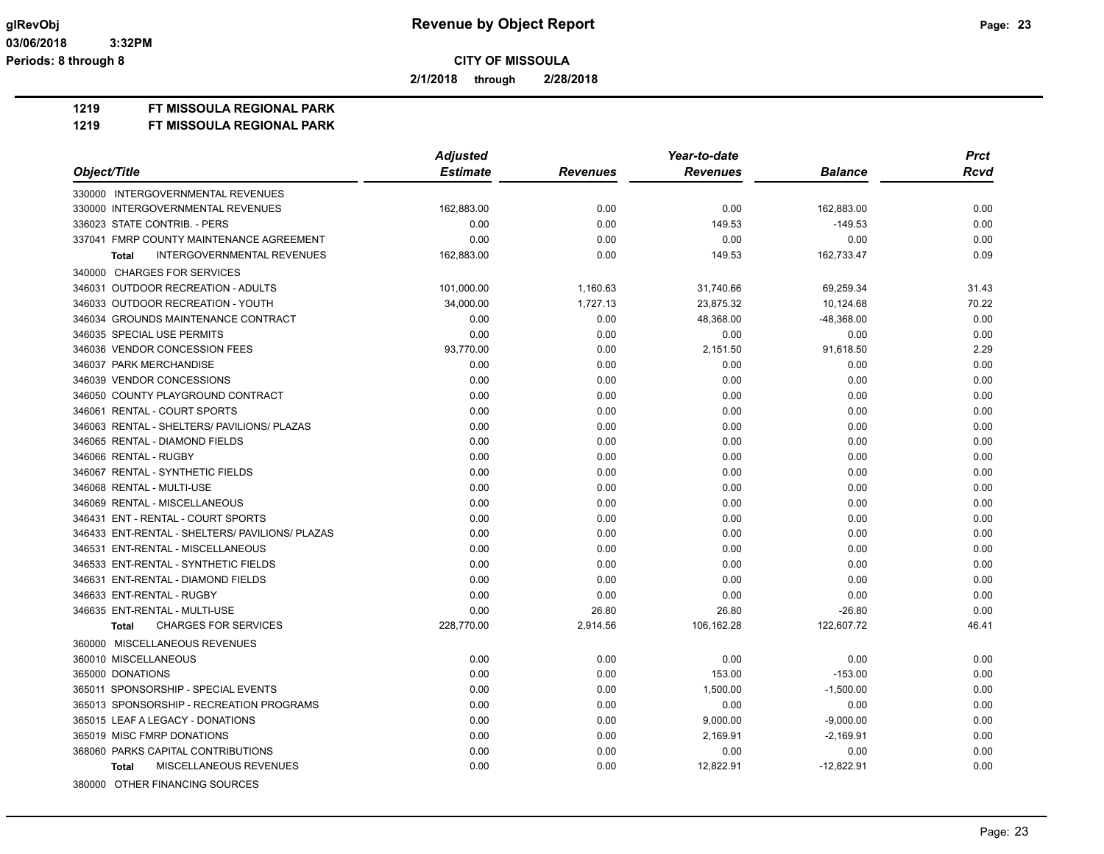**2/1/2018 through 2/28/2018**

**1219 FT MISSOULA REGIONAL PARK**

|                                                 | <b>Adjusted</b> |                 | Year-to-date    |                | <b>Prct</b> |
|-------------------------------------------------|-----------------|-----------------|-----------------|----------------|-------------|
| Object/Title                                    | <b>Estimate</b> | <b>Revenues</b> | <b>Revenues</b> | <b>Balance</b> | <b>Rcvd</b> |
| 330000 INTERGOVERNMENTAL REVENUES               |                 |                 |                 |                |             |
| 330000 INTERGOVERNMENTAL REVENUES               | 162,883.00      | 0.00            | 0.00            | 162,883.00     | 0.00        |
| 336023 STATE CONTRIB. - PERS                    | 0.00            | 0.00            | 149.53          | $-149.53$      | 0.00        |
| 337041 FMRP COUNTY MAINTENANCE AGREEMENT        | 0.00            | 0.00            | 0.00            | 0.00           | 0.00        |
| <b>INTERGOVERNMENTAL REVENUES</b><br>Total      | 162,883.00      | 0.00            | 149.53          | 162,733.47     | 0.09        |
| 340000 CHARGES FOR SERVICES                     |                 |                 |                 |                |             |
| 346031 OUTDOOR RECREATION - ADULTS              | 101,000.00      | 1,160.63        | 31,740.66       | 69,259.34      | 31.43       |
| 346033 OUTDOOR RECREATION - YOUTH               | 34,000.00       | 1,727.13        | 23,875.32       | 10,124.68      | 70.22       |
| 346034 GROUNDS MAINTENANCE CONTRACT             | 0.00            | 0.00            | 48,368.00       | $-48,368.00$   | 0.00        |
| 346035 SPECIAL USE PERMITS                      | 0.00            | 0.00            | 0.00            | 0.00           | 0.00        |
| 346036 VENDOR CONCESSION FEES                   | 93,770.00       | 0.00            | 2,151.50        | 91,618.50      | 2.29        |
| 346037 PARK MERCHANDISE                         | 0.00            | 0.00            | 0.00            | 0.00           | 0.00        |
| 346039 VENDOR CONCESSIONS                       | 0.00            | 0.00            | 0.00            | 0.00           | 0.00        |
| 346050 COUNTY PLAYGROUND CONTRACT               | 0.00            | 0.00            | 0.00            | 0.00           | 0.00        |
| 346061 RENTAL - COURT SPORTS                    | 0.00            | 0.00            | 0.00            | 0.00           | 0.00        |
| 346063 RENTAL - SHELTERS/ PAVILIONS/ PLAZAS     | 0.00            | 0.00            | 0.00            | 0.00           | 0.00        |
| 346065 RENTAL - DIAMOND FIELDS                  | 0.00            | 0.00            | 0.00            | 0.00           | 0.00        |
| 346066 RENTAL - RUGBY                           | 0.00            | 0.00            | 0.00            | 0.00           | 0.00        |
| 346067 RENTAL - SYNTHETIC FIELDS                | 0.00            | 0.00            | 0.00            | 0.00           | 0.00        |
| 346068 RENTAL - MULTI-USE                       | 0.00            | 0.00            | 0.00            | 0.00           | 0.00        |
| 346069 RENTAL - MISCELLANEOUS                   | 0.00            | 0.00            | 0.00            | 0.00           | 0.00        |
| 346431 ENT - RENTAL - COURT SPORTS              | 0.00            | 0.00            | 0.00            | 0.00           | 0.00        |
| 346433 ENT-RENTAL - SHELTERS/ PAVILIONS/ PLAZAS | 0.00            | 0.00            | 0.00            | 0.00           | 0.00        |
| 346531 ENT-RENTAL - MISCELLANEOUS               | 0.00            | 0.00            | 0.00            | 0.00           | 0.00        |
| 346533 ENT-RENTAL - SYNTHETIC FIELDS            | 0.00            | 0.00            | 0.00            | 0.00           | 0.00        |
| 346631 ENT-RENTAL - DIAMOND FIELDS              | 0.00            | 0.00            | 0.00            | 0.00           | 0.00        |
| 346633 ENT-RENTAL - RUGBY                       | 0.00            | 0.00            | 0.00            | 0.00           | 0.00        |
| 346635 ENT-RENTAL - MULTI-USE                   | 0.00            | 26.80           | 26.80           | $-26.80$       | 0.00        |
| <b>CHARGES FOR SERVICES</b><br><b>Total</b>     | 228,770.00      | 2,914.56        | 106,162.28      | 122,607.72     | 46.41       |
| 360000 MISCELLANEOUS REVENUES                   |                 |                 |                 |                |             |
| 360010 MISCELLANEOUS                            | 0.00            | 0.00            | 0.00            | 0.00           | 0.00        |
| 365000 DONATIONS                                | 0.00            | 0.00            | 153.00          | $-153.00$      | 0.00        |
| 365011 SPONSORSHIP - SPECIAL EVENTS             | 0.00            | 0.00            | 1,500.00        | $-1,500.00$    | 0.00        |
| 365013 SPONSORSHIP - RECREATION PROGRAMS        | 0.00            | 0.00            | 0.00            | 0.00           | 0.00        |
| 365015 LEAF A LEGACY - DONATIONS                | 0.00            | 0.00            | 9,000.00        | $-9,000.00$    | 0.00        |
| 365019 MISC FMRP DONATIONS                      | 0.00            | 0.00            | 2,169.91        | $-2,169.91$    | 0.00        |
| 368060 PARKS CAPITAL CONTRIBUTIONS              | 0.00            | 0.00            | 0.00            | 0.00           | 0.00        |
| MISCELLANEOUS REVENUES<br><b>Total</b>          | 0.00            | 0.00            | 12,822.91       | $-12,822.91$   | 0.00        |
| 380000 OTHER FINANCING SOURCES                  |                 |                 |                 |                |             |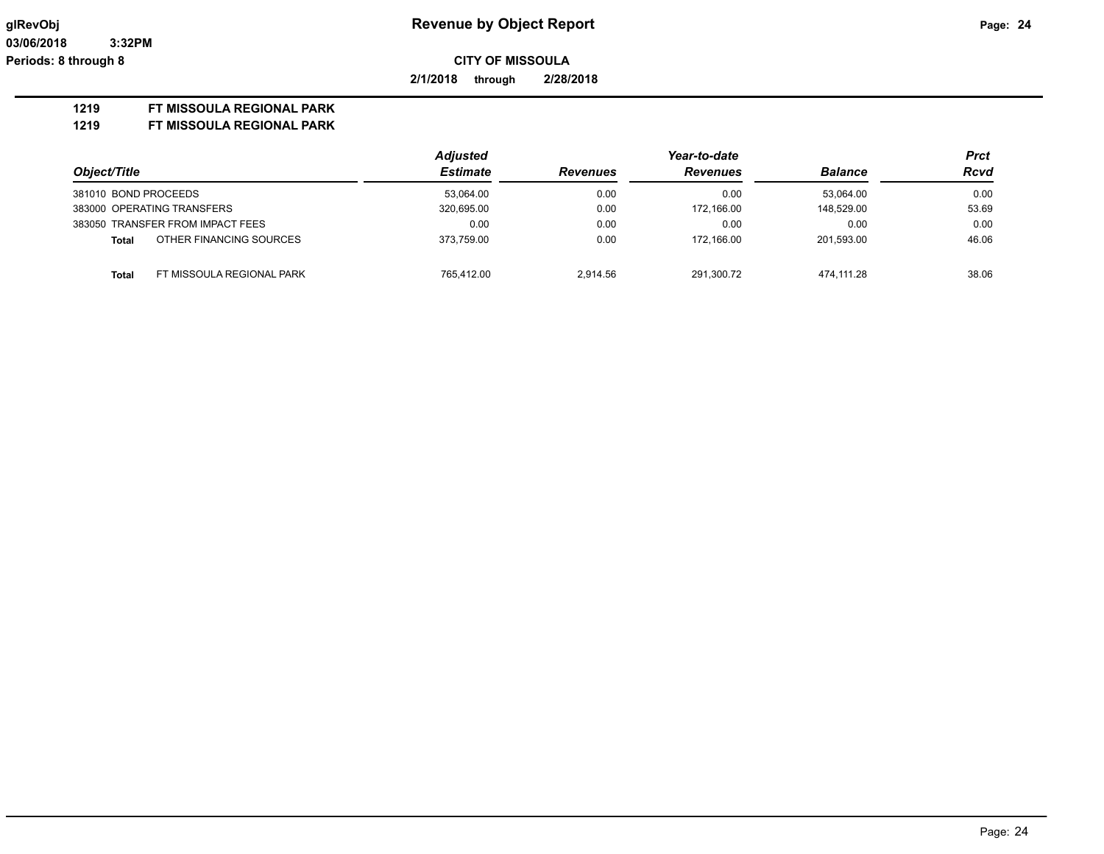**2/1/2018 through 2/28/2018**

### **1219 FT MISSOULA REGIONAL PARK**

|                                           | <b>Adjusted</b> |                 | Year-to-date    |                | Prct        |
|-------------------------------------------|-----------------|-----------------|-----------------|----------------|-------------|
| Object/Title                              | <b>Estimate</b> | <b>Revenues</b> | <b>Revenues</b> | <b>Balance</b> | <b>Rcvd</b> |
| 381010 BOND PROCEEDS                      | 53.064.00       | 0.00            | 0.00            | 53.064.00      | 0.00        |
| 383000 OPERATING TRANSFERS                | 320,695.00      | 0.00            | 172.166.00      | 148.529.00     | 53.69       |
| 383050 TRANSFER FROM IMPACT FEES          | 0.00            | 0.00            | 0.00            | 0.00           | 0.00        |
| OTHER FINANCING SOURCES<br>Total          | 373.759.00      | 0.00            | 172.166.00      | 201.593.00     | 46.06       |
| FT MISSOULA REGIONAL PARK<br><b>Total</b> | 765.412.00      | 2.914.56        | 291.300.72      | 474.111.28     | 38.06       |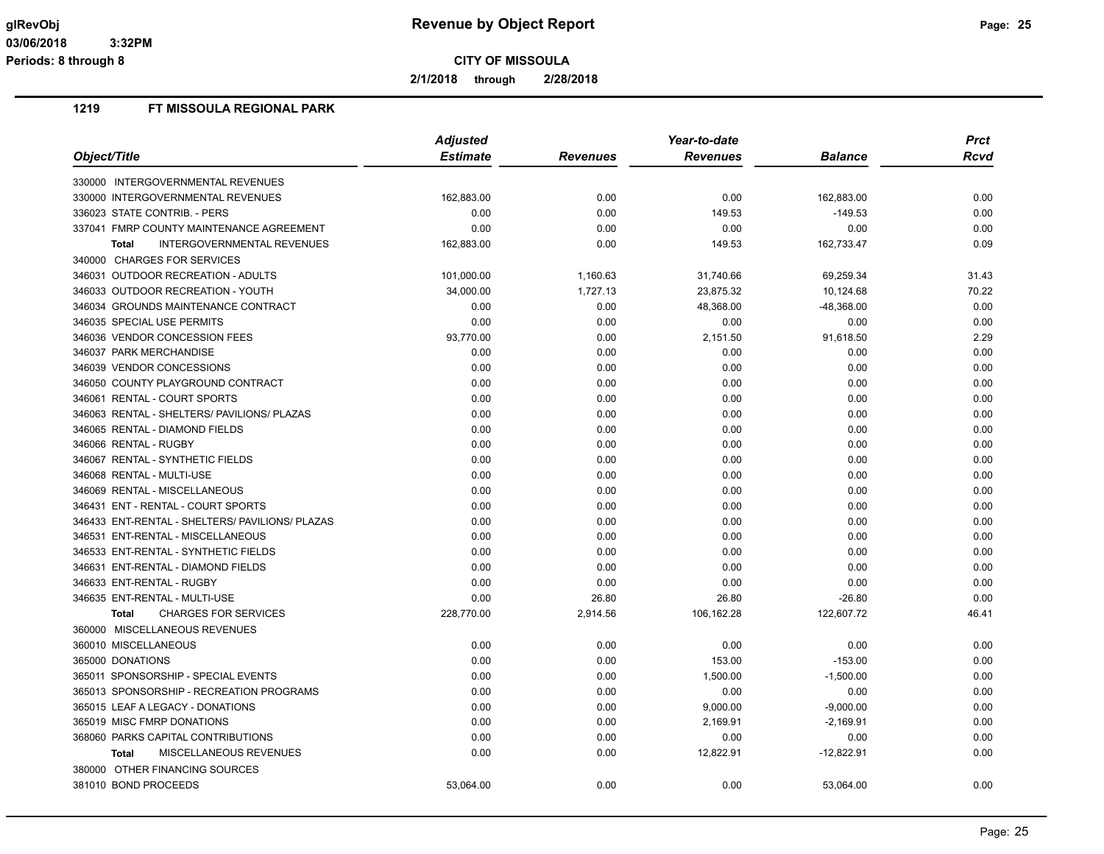**2/1/2018 through 2/28/2018**

|                                                 | <b>Adjusted</b> |                 | Year-to-date    |                |       |  |  |
|-------------------------------------------------|-----------------|-----------------|-----------------|----------------|-------|--|--|
| <i><b>Object/Title</b></i>                      | <b>Estimate</b> | <b>Revenues</b> | <b>Revenues</b> | <b>Balance</b> | Rcvd  |  |  |
| 330000 INTERGOVERNMENTAL REVENUES               |                 |                 |                 |                |       |  |  |
| 330000 INTERGOVERNMENTAL REVENUES               | 162,883.00      | 0.00            | 0.00            | 162,883.00     | 0.00  |  |  |
| 336023 STATE CONTRIB. - PERS                    | 0.00            | 0.00            | 149.53          | $-149.53$      | 0.00  |  |  |
| 337041 FMRP COUNTY MAINTENANCE AGREEMENT        | 0.00            | 0.00            | 0.00            | 0.00           | 0.00  |  |  |
| INTERGOVERNMENTAL REVENUES<br><b>Total</b>      | 162,883.00      | 0.00            | 149.53          | 162,733.47     | 0.09  |  |  |
| 340000 CHARGES FOR SERVICES                     |                 |                 |                 |                |       |  |  |
| 346031 OUTDOOR RECREATION - ADULTS              | 101,000.00      | 1,160.63        | 31,740.66       | 69,259.34      | 31.43 |  |  |
| 346033 OUTDOOR RECREATION - YOUTH               | 34,000.00       | 1,727.13        | 23,875.32       | 10,124.68      | 70.22 |  |  |
| 346034 GROUNDS MAINTENANCE CONTRACT             | 0.00            | 0.00            | 48,368.00       | $-48,368.00$   | 0.00  |  |  |
| 346035 SPECIAL USE PERMITS                      | 0.00            | 0.00            | 0.00            | 0.00           | 0.00  |  |  |
| 346036 VENDOR CONCESSION FEES                   | 93,770.00       | 0.00            | 2,151.50        | 91,618.50      | 2.29  |  |  |
| 346037 PARK MERCHANDISE                         | 0.00            | 0.00            | 0.00            | 0.00           | 0.00  |  |  |
| 346039 VENDOR CONCESSIONS                       | 0.00            | 0.00            | 0.00            | 0.00           | 0.00  |  |  |
| 346050 COUNTY PLAYGROUND CONTRACT               | 0.00            | 0.00            | 0.00            | 0.00           | 0.00  |  |  |
| 346061 RENTAL - COURT SPORTS                    | 0.00            | 0.00            | 0.00            | 0.00           | 0.00  |  |  |
| 346063 RENTAL - SHELTERS/ PAVILIONS/ PLAZAS     | 0.00            | 0.00            | 0.00            | 0.00           | 0.00  |  |  |
| 346065 RENTAL - DIAMOND FIELDS                  | 0.00            | 0.00            | 0.00            | 0.00           | 0.00  |  |  |
| 346066 RENTAL - RUGBY                           | 0.00            | 0.00            | 0.00            | 0.00           | 0.00  |  |  |
| 346067 RENTAL - SYNTHETIC FIELDS                | 0.00            | 0.00            | 0.00            | 0.00           | 0.00  |  |  |
| 346068 RENTAL - MULTI-USE                       | 0.00            | 0.00            | 0.00            | 0.00           | 0.00  |  |  |
| 346069 RENTAL - MISCELLANEOUS                   | 0.00            | 0.00            | 0.00            | 0.00           | 0.00  |  |  |
| 346431 ENT - RENTAL - COURT SPORTS              | 0.00            | 0.00            | 0.00            | 0.00           | 0.00  |  |  |
| 346433 ENT-RENTAL - SHELTERS/ PAVILIONS/ PLAZAS | 0.00            | 0.00            | 0.00            | 0.00           | 0.00  |  |  |
| 346531 ENT-RENTAL - MISCELLANEOUS               | 0.00            | 0.00            | 0.00            | 0.00           | 0.00  |  |  |
| 346533 ENT-RENTAL - SYNTHETIC FIELDS            | 0.00            | 0.00            | 0.00            | 0.00           | 0.00  |  |  |
| 346631 ENT-RENTAL - DIAMOND FIELDS              | 0.00            | 0.00            | 0.00            | 0.00           | 0.00  |  |  |
| 346633 ENT-RENTAL - RUGBY                       | 0.00            | 0.00            | 0.00            | 0.00           | 0.00  |  |  |
| 346635 ENT-RENTAL - MULTI-USE                   | 0.00            | 26.80           | 26.80           | $-26.80$       | 0.00  |  |  |
| <b>CHARGES FOR SERVICES</b><br><b>Total</b>     | 228,770.00      | 2,914.56        | 106,162.28      | 122,607.72     | 46.41 |  |  |
| 360000 MISCELLANEOUS REVENUES                   |                 |                 |                 |                |       |  |  |
| 360010 MISCELLANEOUS                            | 0.00            | 0.00            | 0.00            | 0.00           | 0.00  |  |  |
| 365000 DONATIONS                                | 0.00            | 0.00            | 153.00          | $-153.00$      | 0.00  |  |  |
| 365011 SPONSORSHIP - SPECIAL EVENTS             | 0.00            | 0.00            | 1,500.00        | $-1,500.00$    | 0.00  |  |  |
| 365013 SPONSORSHIP - RECREATION PROGRAMS        | 0.00            | 0.00            | 0.00            | 0.00           | 0.00  |  |  |
| 365015 LEAF A LEGACY - DONATIONS                | 0.00            | 0.00            | 9,000.00        | $-9,000.00$    | 0.00  |  |  |
| 365019 MISC FMRP DONATIONS                      | 0.00            | 0.00            | 2,169.91        | $-2,169.91$    | 0.00  |  |  |
| 368060 PARKS CAPITAL CONTRIBUTIONS              | 0.00            | 0.00            | 0.00            | 0.00           | 0.00  |  |  |
| MISCELLANEOUS REVENUES<br><b>Total</b>          | 0.00            | 0.00            | 12,822.91       | $-12,822.91$   | 0.00  |  |  |
| 380000 OTHER FINANCING SOURCES                  |                 |                 |                 |                |       |  |  |
| 381010 BOND PROCEEDS                            | 53,064.00       | 0.00            | 0.00            | 53,064.00      | 0.00  |  |  |
|                                                 |                 |                 |                 |                |       |  |  |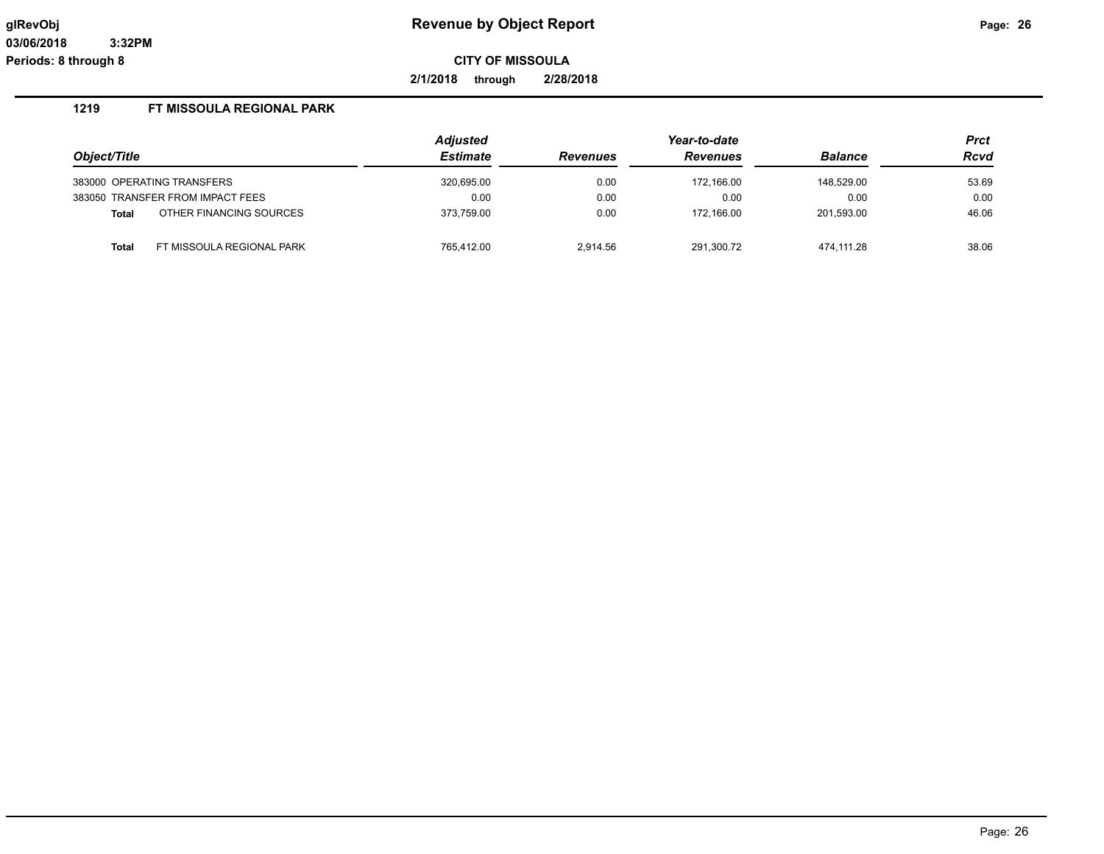**2/1/2018 through 2/28/2018**

|              |                                  | <b>Adjusted</b> |                 | Year-to-date    |                | <b>Prct</b> |
|--------------|----------------------------------|-----------------|-----------------|-----------------|----------------|-------------|
| Object/Title |                                  | <b>Estimate</b> | <b>Revenues</b> | <b>Revenues</b> | <b>Balance</b> | <b>Rcvd</b> |
|              | 383000 OPERATING TRANSFERS       | 320,695.00      | 0.00            | 172.166.00      | 148,529.00     | 53.69       |
|              | 383050 TRANSFER FROM IMPACT FEES | 0.00            | 0.00            | 0.00            | 0.00           | 0.00        |
| <b>Total</b> | OTHER FINANCING SOURCES          | 373.759.00      | 0.00            | 172.166.00      | 201.593.00     | 46.06       |
| <b>Total</b> | FT MISSOULA REGIONAL PARK        | 765.412.00      | 2,914.56        | 291,300.72      | 474.111.28     | 38.06       |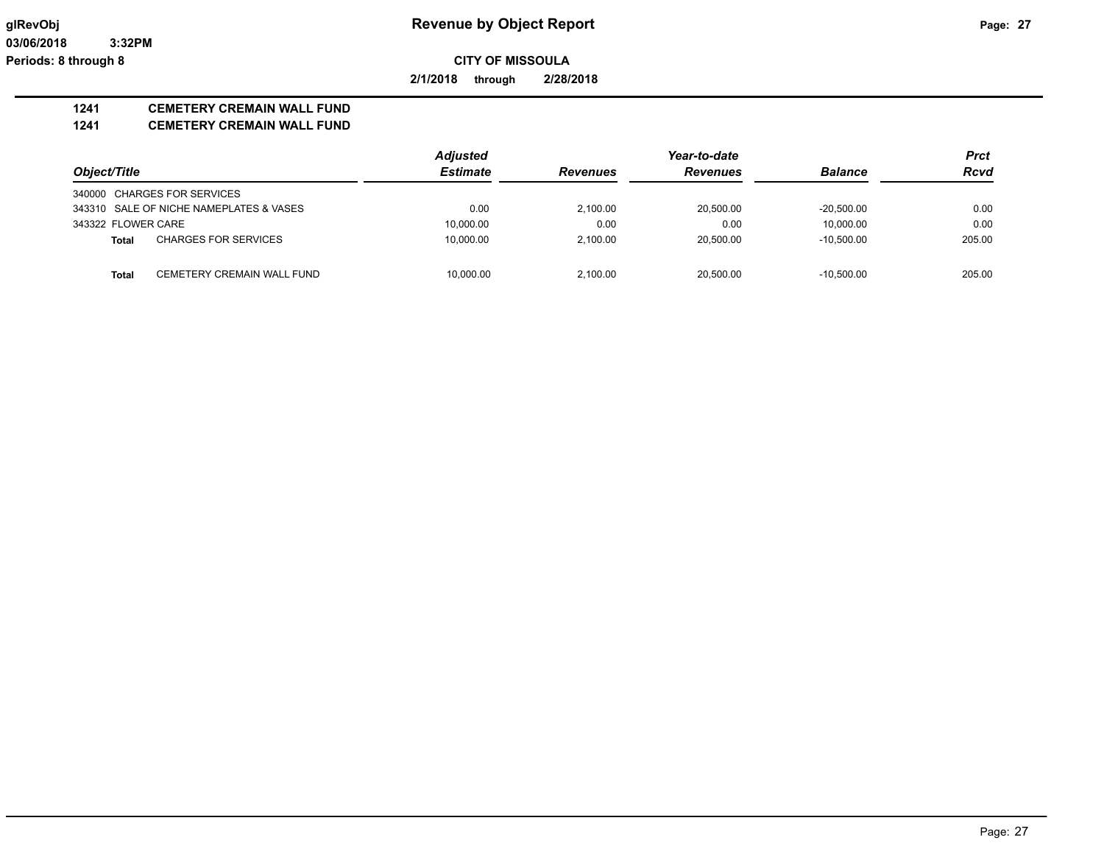**03/06/2018 3:32PM Periods: 8 through 8**

**CITY OF MISSOULA**

**2/1/2018 through 2/28/2018**

## **1241 CEMETERY CREMAIN WALL FUND**

**1241 CEMETERY CREMAIN WALL FUND**

|                    |                                         | <b>Adjusted</b> |                 |                 | <b>Prct</b>    |             |
|--------------------|-----------------------------------------|-----------------|-----------------|-----------------|----------------|-------------|
| Object/Title       |                                         | <b>Estimate</b> | <b>Revenues</b> | <b>Revenues</b> | <b>Balance</b> | <b>Rcvd</b> |
|                    | 340000 CHARGES FOR SERVICES             |                 |                 |                 |                |             |
|                    | 343310 SALE OF NICHE NAMEPLATES & VASES | 0.00            | 2.100.00        | 20.500.00       | $-20.500.00$   | 0.00        |
| 343322 FLOWER CARE |                                         | 10,000.00       | 0.00            | 0.00            | 10.000.00      | 0.00        |
| <b>Total</b>       | <b>CHARGES FOR SERVICES</b>             | 10,000.00       | 2.100.00        | 20.500.00       | $-10.500.00$   | 205.00      |
|                    |                                         |                 |                 |                 |                |             |
| <b>Total</b>       | CEMETERY CREMAIN WALL FUND              | 10.000.00       | 2.100.00        | 20.500.00       | $-10.500.00$   | 205.00      |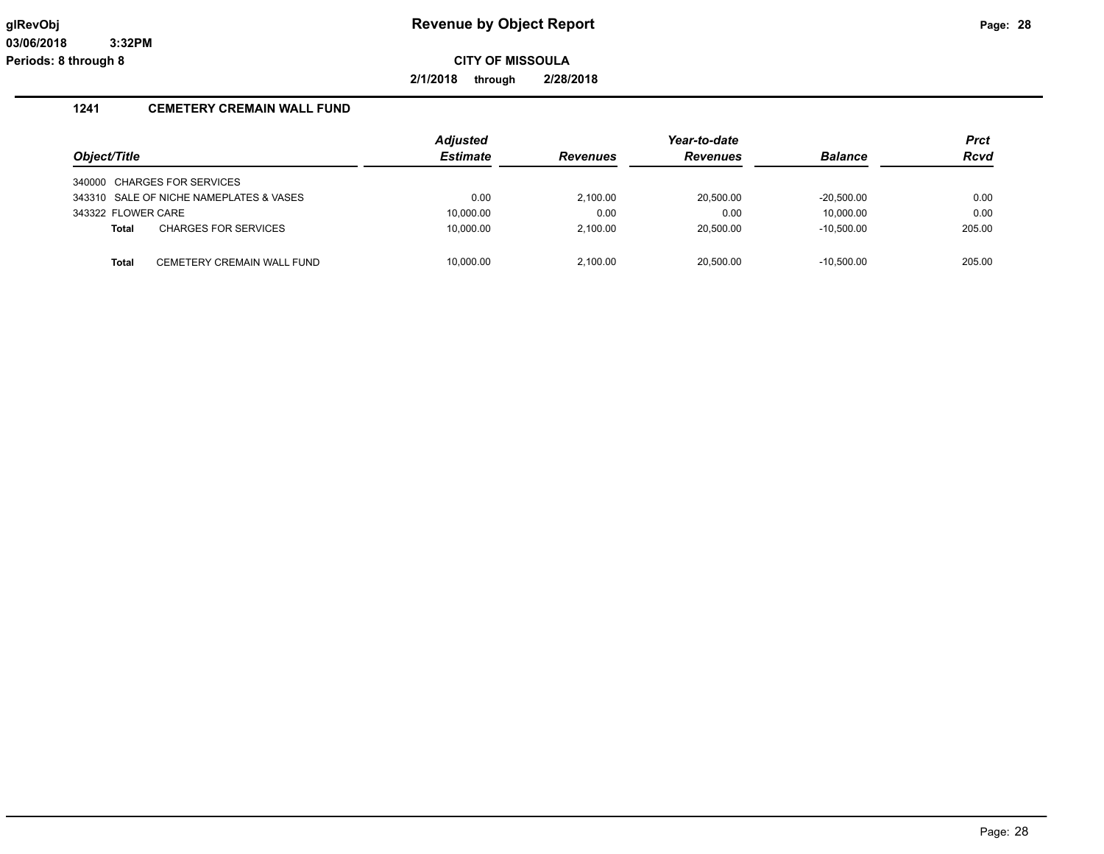**2/1/2018 through 2/28/2018**

## **1241 CEMETERY CREMAIN WALL FUND**

|                    |                                         | Adjusted        |                 | Year-to-date    |                | <b>Prct</b> |
|--------------------|-----------------------------------------|-----------------|-----------------|-----------------|----------------|-------------|
| Object/Title       |                                         | <b>Estimate</b> | <b>Revenues</b> | <b>Revenues</b> | <b>Balance</b> | <b>Rcvd</b> |
|                    | 340000 CHARGES FOR SERVICES             |                 |                 |                 |                |             |
|                    | 343310 SALE OF NICHE NAMEPLATES & VASES | 0.00            | 2.100.00        | 20,500.00       | $-20.500.00$   | 0.00        |
| 343322 FLOWER CARE |                                         | 10,000.00       | 0.00            | 0.00            | 10.000.00      | 0.00        |
| <b>Total</b>       | <b>CHARGES FOR SERVICES</b>             | 10,000.00       | 2.100.00        | 20,500.00       | $-10,500.00$   | 205.00      |
|                    |                                         |                 |                 |                 |                |             |
| <b>Total</b>       | CEMETERY CREMAIN WALL FUND              | 10.000.00       | 2.100.00        | 20.500.00       | $-10.500.00$   | 205.00      |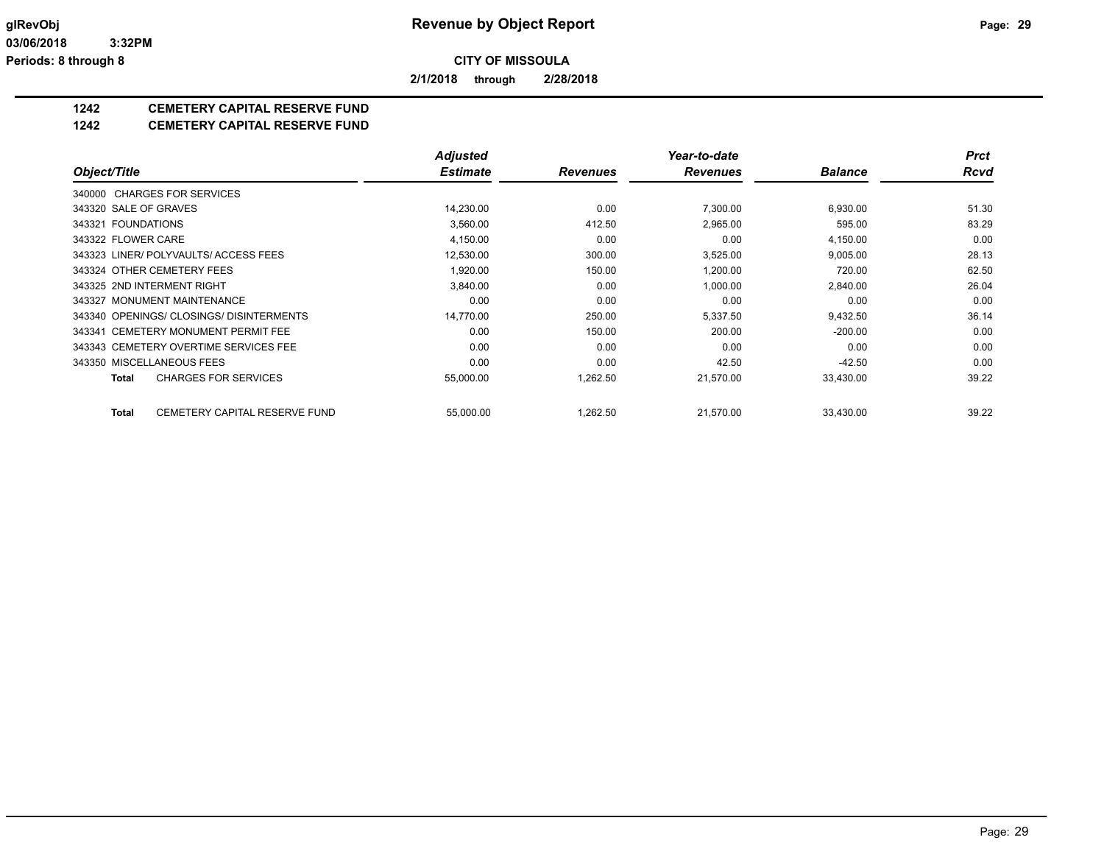**2/1/2018 through 2/28/2018**

## **1242 CEMETERY CAPITAL RESERVE FUND**

#### **1242 CEMETERY CAPITAL RESERVE FUND**

|                       |                                          | <b>Adjusted</b> |                 | Year-to-date    |                | <b>Prct</b> |
|-----------------------|------------------------------------------|-----------------|-----------------|-----------------|----------------|-------------|
| Object/Title          |                                          | <b>Estimate</b> | <b>Revenues</b> | <b>Revenues</b> | <b>Balance</b> | <b>Rcvd</b> |
|                       | 340000 CHARGES FOR SERVICES              |                 |                 |                 |                |             |
| 343320 SALE OF GRAVES |                                          | 14,230.00       | 0.00            | 7,300.00        | 6,930.00       | 51.30       |
| 343321 FOUNDATIONS    |                                          | 3,560.00        | 412.50          | 2,965.00        | 595.00         | 83.29       |
| 343322 FLOWER CARE    |                                          | 4,150.00        | 0.00            | 0.00            | 4,150.00       | 0.00        |
|                       | 343323 LINER/ POLYVAULTS/ ACCESS FEES    | 12,530.00       | 300.00          | 3,525.00        | 9,005.00       | 28.13       |
|                       | 343324 OTHER CEMETERY FEES               | 1,920.00        | 150.00          | 1,200.00        | 720.00         | 62.50       |
|                       | 343325 2ND INTERMENT RIGHT               | 3,840.00        | 0.00            | 1,000.00        | 2,840.00       | 26.04       |
|                       | 343327 MONUMENT MAINTENANCE              | 0.00            | 0.00            | 0.00            | 0.00           | 0.00        |
|                       | 343340 OPENINGS/ CLOSINGS/ DISINTERMENTS | 14,770.00       | 250.00          | 5,337.50        | 9,432.50       | 36.14       |
|                       | 343341 CEMETERY MONUMENT PERMIT FEE      | 0.00            | 150.00          | 200.00          | $-200.00$      | 0.00        |
|                       | 343343 CEMETERY OVERTIME SERVICES FEE    | 0.00            | 0.00            | 0.00            | 0.00           | 0.00        |
|                       | 343350 MISCELLANEOUS FEES                | 0.00            | 0.00            | 42.50           | $-42.50$       | 0.00        |
| Total                 | <b>CHARGES FOR SERVICES</b>              | 55,000.00       | 1,262.50        | 21,570.00       | 33,430.00      | 39.22       |
| Total                 | CEMETERY CAPITAL RESERVE FUND            | 55,000.00       | 1,262.50        | 21.570.00       | 33,430.00      | 39.22       |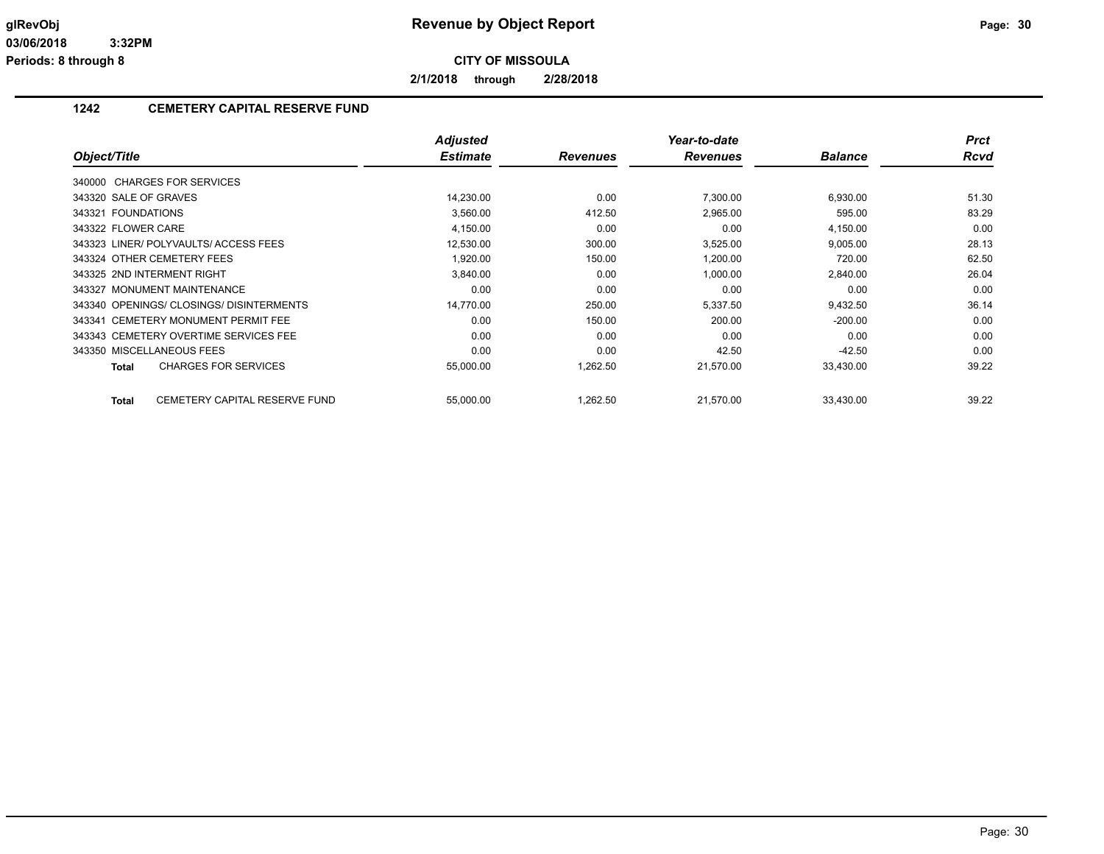**2/1/2018 through 2/28/2018**

## **1242 CEMETERY CAPITAL RESERVE FUND**

|                                          | <b>Adjusted</b> |                 | Year-to-date    |                | <b>Prct</b> |
|------------------------------------------|-----------------|-----------------|-----------------|----------------|-------------|
| Object/Title                             | <b>Estimate</b> | <b>Revenues</b> | <b>Revenues</b> | <b>Balance</b> | <b>Rcvd</b> |
| 340000 CHARGES FOR SERVICES              |                 |                 |                 |                |             |
| 343320 SALE OF GRAVES                    | 14,230.00       | 0.00            | 7,300.00        | 6,930.00       | 51.30       |
| 343321 FOUNDATIONS                       | 3,560.00        | 412.50          | 2,965.00        | 595.00         | 83.29       |
| 343322 FLOWER CARE                       | 4,150.00        | 0.00            | 0.00            | 4,150.00       | 0.00        |
| 343323 LINER/POLYVAULTS/ACCESS FEES      | 12,530.00       | 300.00          | 3,525.00        | 9,005.00       | 28.13       |
| 343324 OTHER CEMETERY FEES               | 1,920.00        | 150.00          | 1,200.00        | 720.00         | 62.50       |
| 343325 2ND INTERMENT RIGHT               | 3,840.00        | 0.00            | 1,000.00        | 2,840.00       | 26.04       |
| 343327 MONUMENT MAINTENANCE              | 0.00            | 0.00            | 0.00            | 0.00           | 0.00        |
| 343340 OPENINGS/ CLOSINGS/ DISINTERMENTS | 14,770.00       | 250.00          | 5,337.50        | 9,432.50       | 36.14       |
| 343341 CEMETERY MONUMENT PERMIT FEE      | 0.00            | 150.00          | 200.00          | $-200.00$      | 0.00        |
| 343343 CEMETERY OVERTIME SERVICES FEE    | 0.00            | 0.00            | 0.00            | 0.00           | 0.00        |
| 343350 MISCELLANEOUS FEES                | 0.00            | 0.00            | 42.50           | $-42.50$       | 0.00        |
| <b>CHARGES FOR SERVICES</b><br>Total     | 55,000.00       | 1,262.50        | 21,570.00       | 33,430.00      | 39.22       |
| CEMETERY CAPITAL RESERVE FUND<br>Total   | 55,000.00       | 1,262.50        | 21,570.00       | 33,430.00      | 39.22       |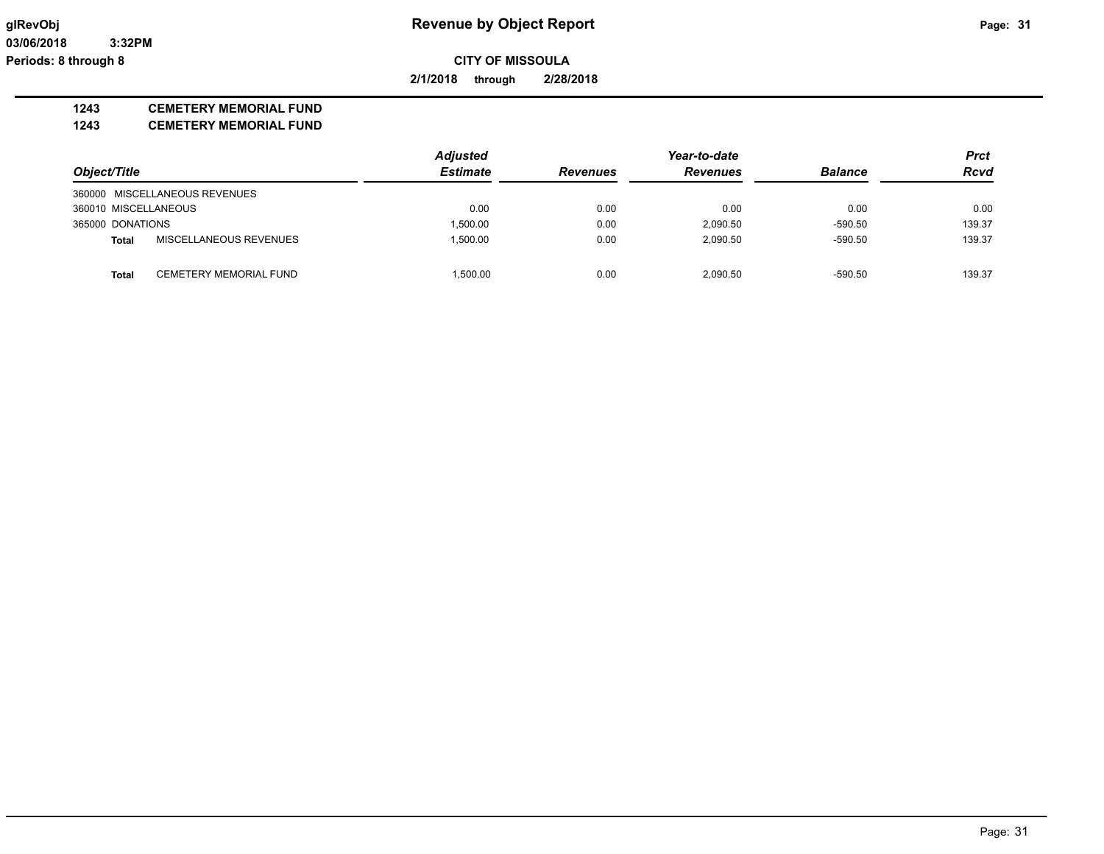**2/1/2018 through 2/28/2018**

### **1243 CEMETERY MEMORIAL FUND**

**1243 CEMETERY MEMORIAL FUND**

|                      |                               | <b>Adjusted</b> |                 | Prct            |                |             |
|----------------------|-------------------------------|-----------------|-----------------|-----------------|----------------|-------------|
| Object/Title         |                               | <b>Estimate</b> | <b>Revenues</b> | <b>Revenues</b> | <b>Balance</b> | <b>Rcvd</b> |
|                      | 360000 MISCELLANEOUS REVENUES |                 |                 |                 |                |             |
| 360010 MISCELLANEOUS |                               | 0.00            | 0.00            | 0.00            | 0.00           | 0.00        |
| 365000 DONATIONS     |                               | 1.500.00        | 0.00            | 2,090.50        | $-590.50$      | 139.37      |
| Total                | MISCELLANEOUS REVENUES        | 1.500.00        | 0.00            | 2,090.50        | $-590.50$      | 139.37      |
| <b>Total</b>         | CEMETERY MEMORIAL FUND        | 1.500.00        | 0.00            | 2.090.50        | $-590.50$      | 139.37      |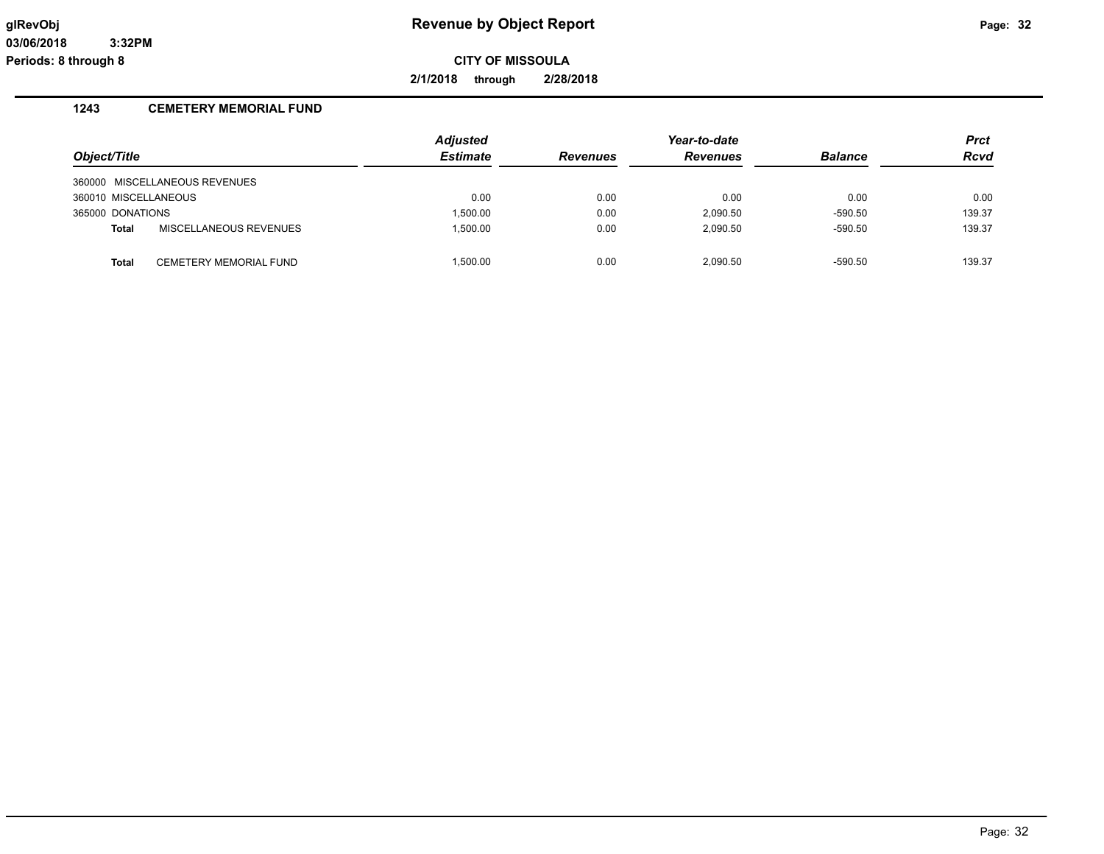**2/1/2018 through 2/28/2018**

## **1243 CEMETERY MEMORIAL FUND**

|                      |                               | <b>Adjusted</b> |                 | Year-to-date    |                | <b>Prct</b> |
|----------------------|-------------------------------|-----------------|-----------------|-----------------|----------------|-------------|
| Object/Title         |                               | <b>Estimate</b> | <b>Revenues</b> | <b>Revenues</b> | <b>Balance</b> | <b>Rcvd</b> |
|                      | 360000 MISCELLANEOUS REVENUES |                 |                 |                 |                |             |
| 360010 MISCELLANEOUS |                               | 0.00            | 0.00            | 0.00            | 0.00           | 0.00        |
| 365000 DONATIONS     |                               | 1.500.00        | 0.00            | 2.090.50        | $-590.50$      | 139.37      |
| <b>Total</b>         | MISCELLANEOUS REVENUES        | 1.500.00        | 0.00            | 2.090.50        | $-590.50$      | 139.37      |
| <b>Total</b>         | <b>CEMETERY MEMORIAL FUND</b> | 1.500.00        | 0.00            | 2.090.50        | $-590.50$      | 139.37      |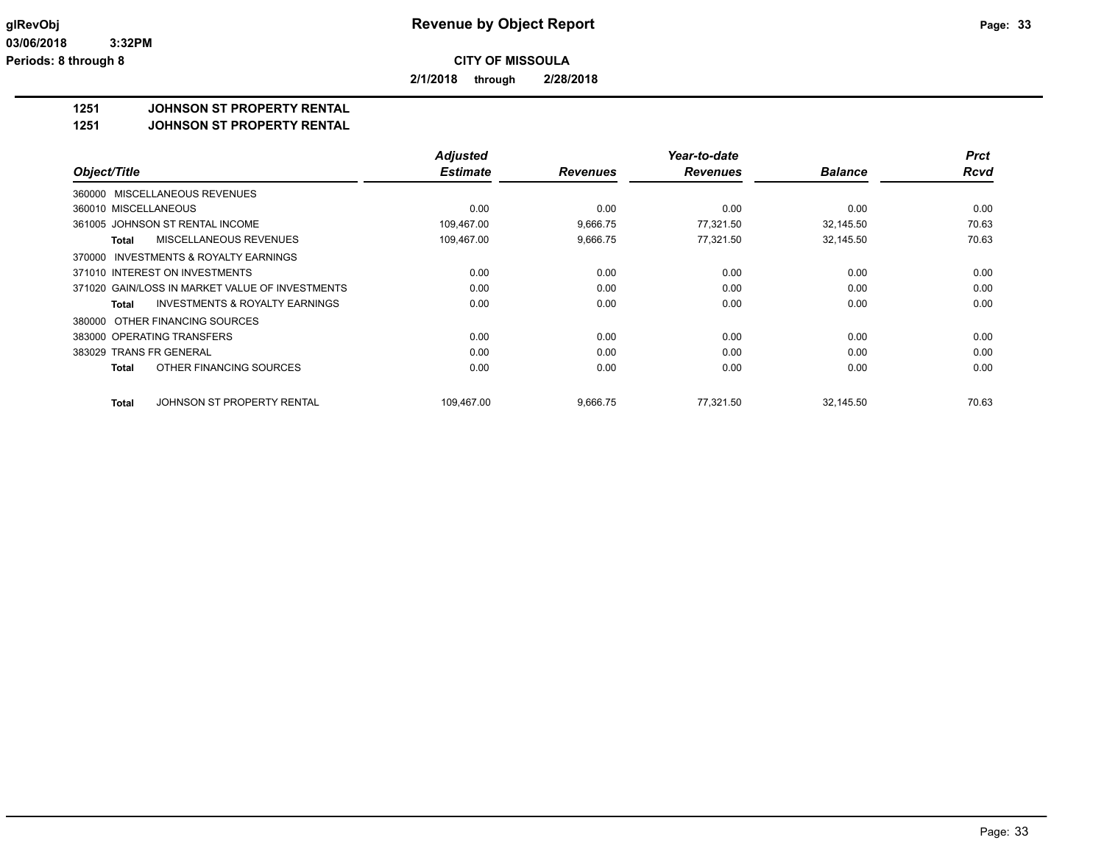**2/1/2018 through 2/28/2018**

### **1251 JOHNSON ST PROPERTY RENTAL**

**1251 JOHNSON ST PROPERTY RENTAL**

|                                                           | <b>Adjusted</b> |                 | Year-to-date    |                | <b>Prct</b> |
|-----------------------------------------------------------|-----------------|-----------------|-----------------|----------------|-------------|
| Object/Title                                              | <b>Estimate</b> | <b>Revenues</b> | <b>Revenues</b> | <b>Balance</b> | <b>Rcvd</b> |
| 360000 MISCELLANEOUS REVENUES                             |                 |                 |                 |                |             |
| 360010 MISCELLANEOUS                                      | 0.00            | 0.00            | 0.00            | 0.00           | 0.00        |
| 361005 JOHNSON ST RENTAL INCOME                           | 109,467.00      | 9,666.75        | 77,321.50       | 32,145.50      | 70.63       |
| MISCELLANEOUS REVENUES<br>Total                           | 109,467.00      | 9,666.75        | 77,321.50       | 32,145.50      | 70.63       |
| INVESTMENTS & ROYALTY EARNINGS<br>370000                  |                 |                 |                 |                |             |
| 371010 INTEREST ON INVESTMENTS                            | 0.00            | 0.00            | 0.00            | 0.00           | 0.00        |
| 371020 GAIN/LOSS IN MARKET VALUE OF INVESTMENTS           | 0.00            | 0.00            | 0.00            | 0.00           | 0.00        |
| <b>INVESTMENTS &amp; ROYALTY EARNINGS</b><br><b>Total</b> | 0.00            | 0.00            | 0.00            | 0.00           | 0.00        |
| 380000 OTHER FINANCING SOURCES                            |                 |                 |                 |                |             |
| 383000 OPERATING TRANSFERS                                | 0.00            | 0.00            | 0.00            | 0.00           | 0.00        |
| 383029 TRANS FR GENERAL                                   | 0.00            | 0.00            | 0.00            | 0.00           | 0.00        |
| OTHER FINANCING SOURCES<br>Total                          | 0.00            | 0.00            | 0.00            | 0.00           | 0.00        |
| JOHNSON ST PROPERTY RENTAL<br>Total                       | 109,467.00      | 9,666.75        | 77.321.50       | 32,145.50      | 70.63       |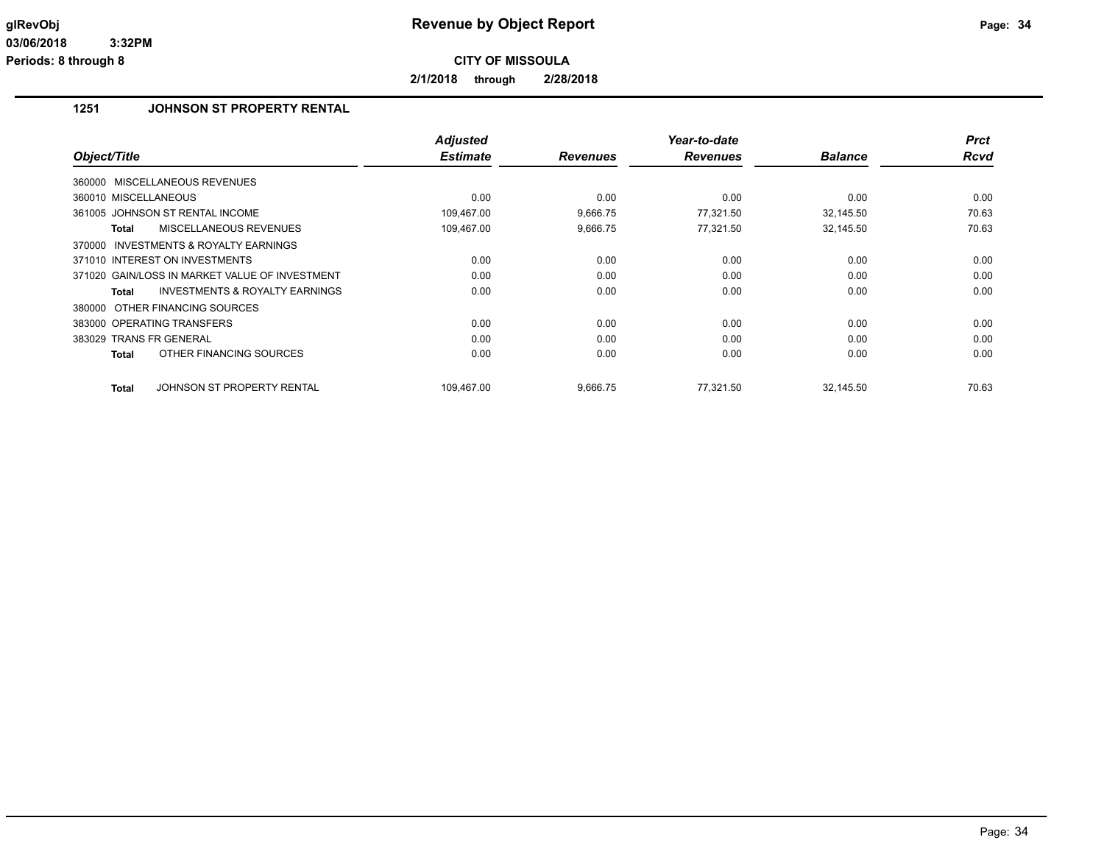**2/1/2018 through 2/28/2018**

## **1251 JOHNSON ST PROPERTY RENTAL**

| Object/Title                                       | <b>Adjusted</b><br><b>Estimate</b> | <b>Revenues</b> | Year-to-date<br><b>Revenues</b> | <b>Balance</b> | <b>Prct</b><br><b>Rcvd</b> |
|----------------------------------------------------|------------------------------------|-----------------|---------------------------------|----------------|----------------------------|
|                                                    |                                    |                 |                                 |                |                            |
| 360000 MISCELLANEOUS REVENUES                      |                                    |                 |                                 |                |                            |
| 360010 MISCELLANEOUS                               | 0.00                               | 0.00            | 0.00                            | 0.00           | 0.00                       |
| 361005 JOHNSON ST RENTAL INCOME                    | 109.467.00                         | 9,666.75        | 77.321.50                       | 32,145.50      | 70.63                      |
| MISCELLANEOUS REVENUES<br>Total                    | 109,467.00                         | 9,666.75        | 77,321.50                       | 32,145.50      | 70.63                      |
| 370000 INVESTMENTS & ROYALTY EARNINGS              |                                    |                 |                                 |                |                            |
| 371010 INTEREST ON INVESTMENTS                     | 0.00                               | 0.00            | 0.00                            | 0.00           | 0.00                       |
| 371020 GAIN/LOSS IN MARKET VALUE OF INVESTMENT     | 0.00                               | 0.00            | 0.00                            | 0.00           | 0.00                       |
| <b>INVESTMENTS &amp; ROYALTY EARNINGS</b><br>Total | 0.00                               | 0.00            | 0.00                            | 0.00           | 0.00                       |
| 380000 OTHER FINANCING SOURCES                     |                                    |                 |                                 |                |                            |
| 383000 OPERATING TRANSFERS                         | 0.00                               | 0.00            | 0.00                            | 0.00           | 0.00                       |
| 383029 TRANS FR GENERAL                            | 0.00                               | 0.00            | 0.00                            | 0.00           | 0.00                       |
| OTHER FINANCING SOURCES<br><b>Total</b>            | 0.00                               | 0.00            | 0.00                            | 0.00           | 0.00                       |
| JOHNSON ST PROPERTY RENTAL<br><b>Total</b>         | 109,467.00                         | 9,666.75        | 77.321.50                       | 32,145.50      | 70.63                      |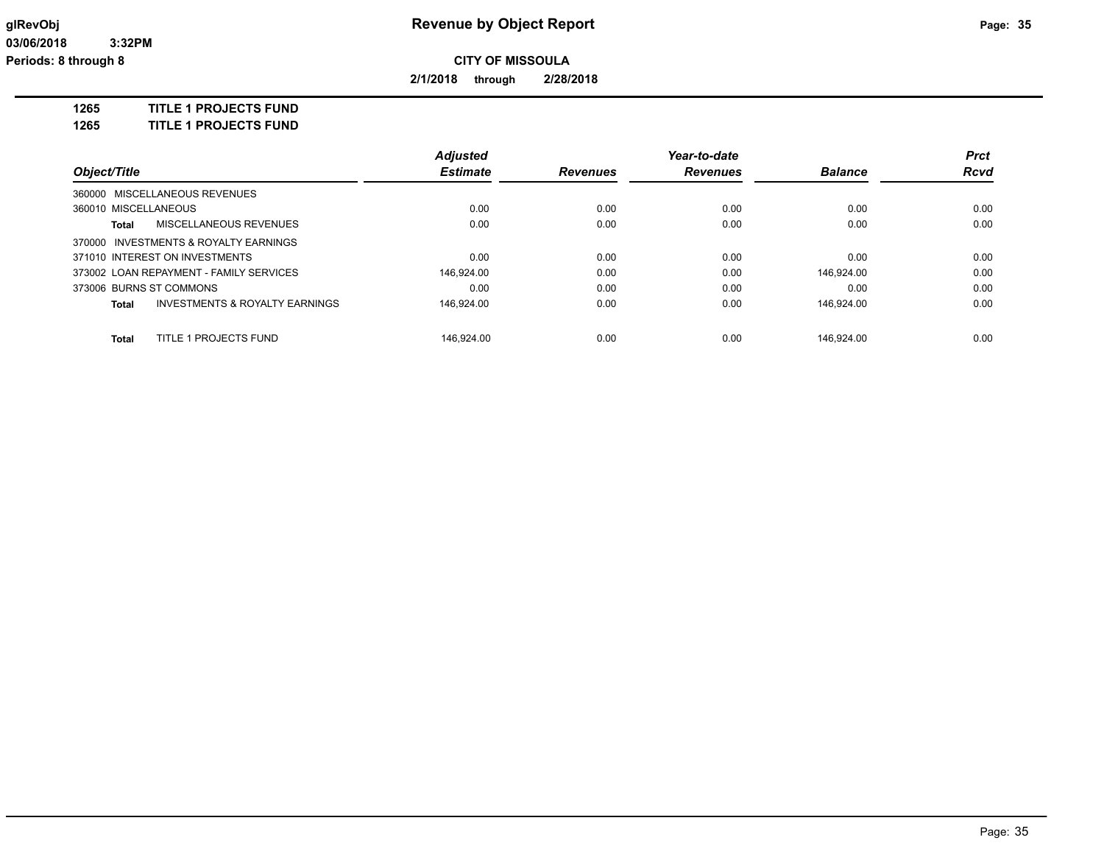**2/1/2018 through 2/28/2018**

**1265 TITLE 1 PROJECTS FUND**

**1265 TITLE 1 PROJECTS FUND**

|                         |                                           | <b>Adjusted</b> |                 | Year-to-date    |                | <b>Prct</b> |
|-------------------------|-------------------------------------------|-----------------|-----------------|-----------------|----------------|-------------|
| Object/Title            |                                           | <b>Estimate</b> | <b>Revenues</b> | <b>Revenues</b> | <b>Balance</b> | <b>Rcvd</b> |
|                         | 360000 MISCELLANEOUS REVENUES             |                 |                 |                 |                |             |
| 360010 MISCELLANEOUS    |                                           | 0.00            | 0.00            | 0.00            | 0.00           | 0.00        |
| Total                   | MISCELLANEOUS REVENUES                    | 0.00            | 0.00            | 0.00            | 0.00           | 0.00        |
|                         | 370000 INVESTMENTS & ROYALTY EARNINGS     |                 |                 |                 |                |             |
|                         | 371010 INTEREST ON INVESTMENTS            | 0.00            | 0.00            | 0.00            | 0.00           | 0.00        |
|                         | 373002 LOAN REPAYMENT - FAMILY SERVICES   | 146.924.00      | 0.00            | 0.00            | 146.924.00     | 0.00        |
| 373006 BURNS ST COMMONS |                                           | 0.00            | 0.00            | 0.00            | 0.00           | 0.00        |
| Total                   | <b>INVESTMENTS &amp; ROYALTY EARNINGS</b> | 146.924.00      | 0.00            | 0.00            | 146.924.00     | 0.00        |
| <b>Total</b>            | <b>TITLE 1 PROJECTS FUND</b>              | 146.924.00      | 0.00            | 0.00            | 146.924.00     | 0.00        |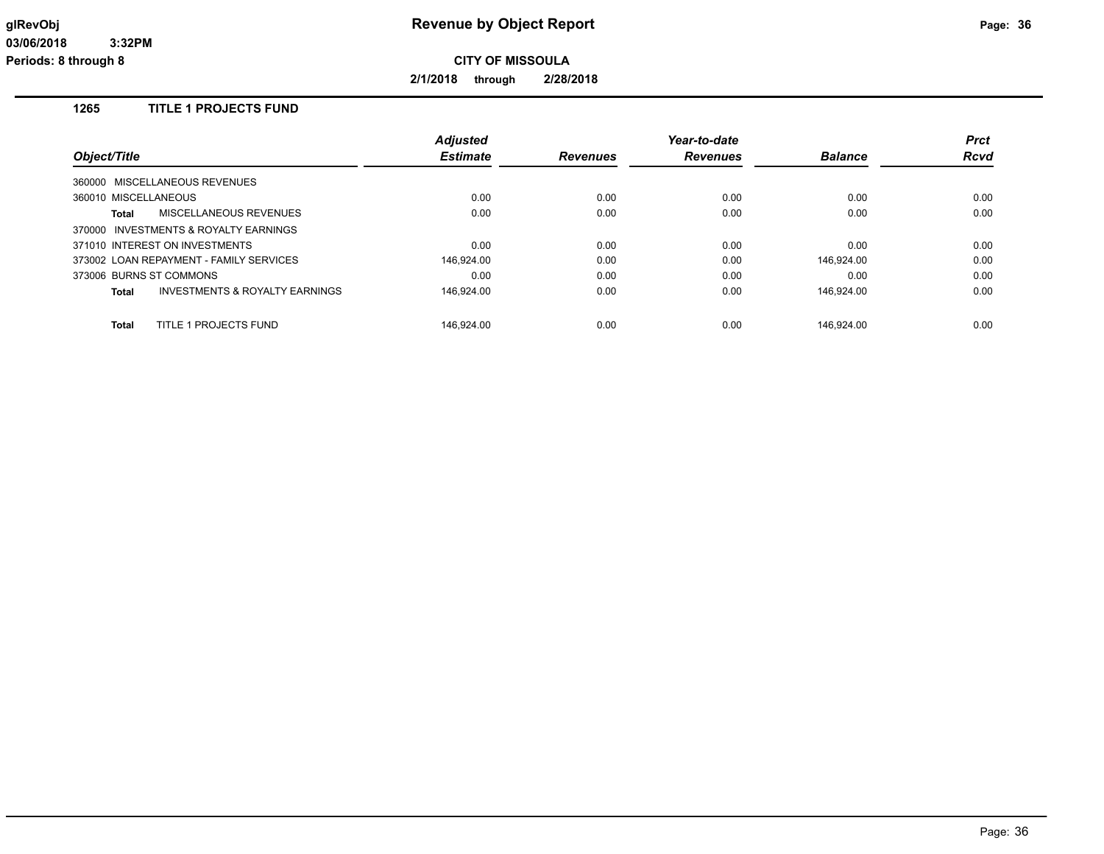**2/1/2018 through 2/28/2018**

## **1265 TITLE 1 PROJECTS FUND**

|                                                    | <b>Adjusted</b> |                 | Year-to-date    |                | <b>Prct</b> |
|----------------------------------------------------|-----------------|-----------------|-----------------|----------------|-------------|
| Object/Title                                       | <b>Estimate</b> | <b>Revenues</b> | <b>Revenues</b> | <b>Balance</b> | <b>Rcvd</b> |
| 360000 MISCELLANEOUS REVENUES                      |                 |                 |                 |                |             |
| 360010 MISCELLANEOUS                               | 0.00            | 0.00            | 0.00            | 0.00           | 0.00        |
| MISCELLANEOUS REVENUES<br>Total                    | 0.00            | 0.00            | 0.00            | 0.00           | 0.00        |
| 370000 INVESTMENTS & ROYALTY EARNINGS              |                 |                 |                 |                |             |
| 371010 INTEREST ON INVESTMENTS                     | 0.00            | 0.00            | 0.00            | 0.00           | 0.00        |
| 373002 LOAN REPAYMENT - FAMILY SERVICES            | 146.924.00      | 0.00            | 0.00            | 146.924.00     | 0.00        |
| 373006 BURNS ST COMMONS                            | 0.00            | 0.00            | 0.00            | 0.00           | 0.00        |
| <b>INVESTMENTS &amp; ROYALTY EARNINGS</b><br>Total | 146.924.00      | 0.00            | 0.00            | 146.924.00     | 0.00        |
| TITLE 1 PROJECTS FUND<br>Total                     | 146.924.00      | 0.00            | 0.00            | 146.924.00     | 0.00        |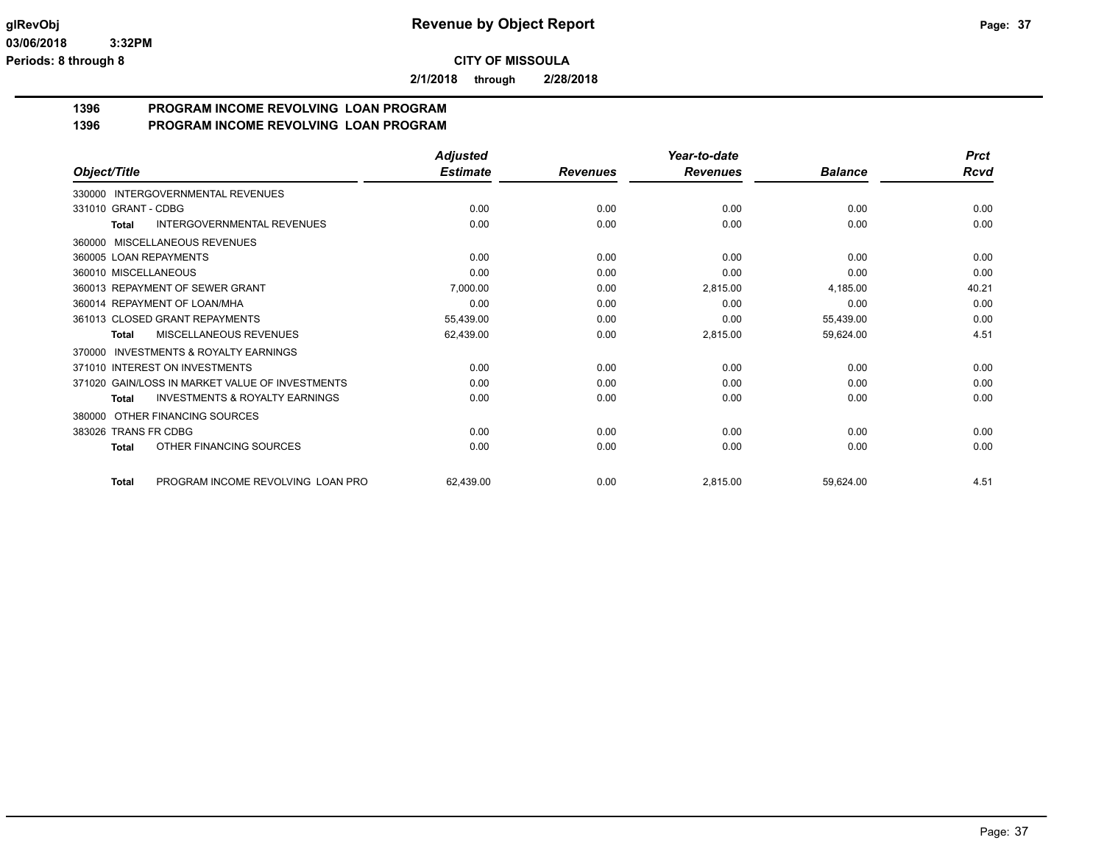**2/1/2018 through 2/28/2018**

#### **1396 PROGRAM INCOME REVOLVING LOAN PROGRAM 1396 PROGRAM INCOME REVOLVING LOAN PROGRAM**

|                                                           | <b>Adjusted</b> |                 | Year-to-date    |                | <b>Prct</b> |
|-----------------------------------------------------------|-----------------|-----------------|-----------------|----------------|-------------|
| Object/Title                                              | <b>Estimate</b> | <b>Revenues</b> | <b>Revenues</b> | <b>Balance</b> | Rcvd        |
| <b>INTERGOVERNMENTAL REVENUES</b><br>330000               |                 |                 |                 |                |             |
| 331010 GRANT - CDBG                                       | 0.00            | 0.00            | 0.00            | 0.00           | 0.00        |
| <b>INTERGOVERNMENTAL REVENUES</b><br>Total                | 0.00            | 0.00            | 0.00            | 0.00           | 0.00        |
| MISCELLANEOUS REVENUES<br>360000                          |                 |                 |                 |                |             |
| 360005 LOAN REPAYMENTS                                    | 0.00            | 0.00            | 0.00            | 0.00           | 0.00        |
| 360010 MISCELLANEOUS                                      | 0.00            | 0.00            | 0.00            | 0.00           | 0.00        |
| 360013 REPAYMENT OF SEWER GRANT                           | 7,000.00        | 0.00            | 2,815.00        | 4,185.00       | 40.21       |
| 360014 REPAYMENT OF LOAN/MHA                              | 0.00            | 0.00            | 0.00            | 0.00           | 0.00        |
| 361013 CLOSED GRANT REPAYMENTS                            | 55,439.00       | 0.00            | 0.00            | 55,439.00      | 0.00        |
| <b>MISCELLANEOUS REVENUES</b><br>Total                    | 62,439.00       | 0.00            | 2,815.00        | 59,624.00      | 4.51        |
| <b>INVESTMENTS &amp; ROYALTY EARNINGS</b><br>370000       |                 |                 |                 |                |             |
| 371010 INTEREST ON INVESTMENTS                            | 0.00            | 0.00            | 0.00            | 0.00           | 0.00        |
| 371020 GAIN/LOSS IN MARKET VALUE OF INVESTMENTS           | 0.00            | 0.00            | 0.00            | 0.00           | 0.00        |
| <b>INVESTMENTS &amp; ROYALTY EARNINGS</b><br><b>Total</b> | 0.00            | 0.00            | 0.00            | 0.00           | 0.00        |
| OTHER FINANCING SOURCES<br>380000                         |                 |                 |                 |                |             |
| <b>TRANS FR CDBG</b><br>383026                            | 0.00            | 0.00            | 0.00            | 0.00           | 0.00        |
| OTHER FINANCING SOURCES<br>Total                          | 0.00            | 0.00            | 0.00            | 0.00           | 0.00        |
| PROGRAM INCOME REVOLVING LOAN PRO<br><b>Total</b>         | 62,439.00       | 0.00            | 2,815.00        | 59,624.00      | 4.51        |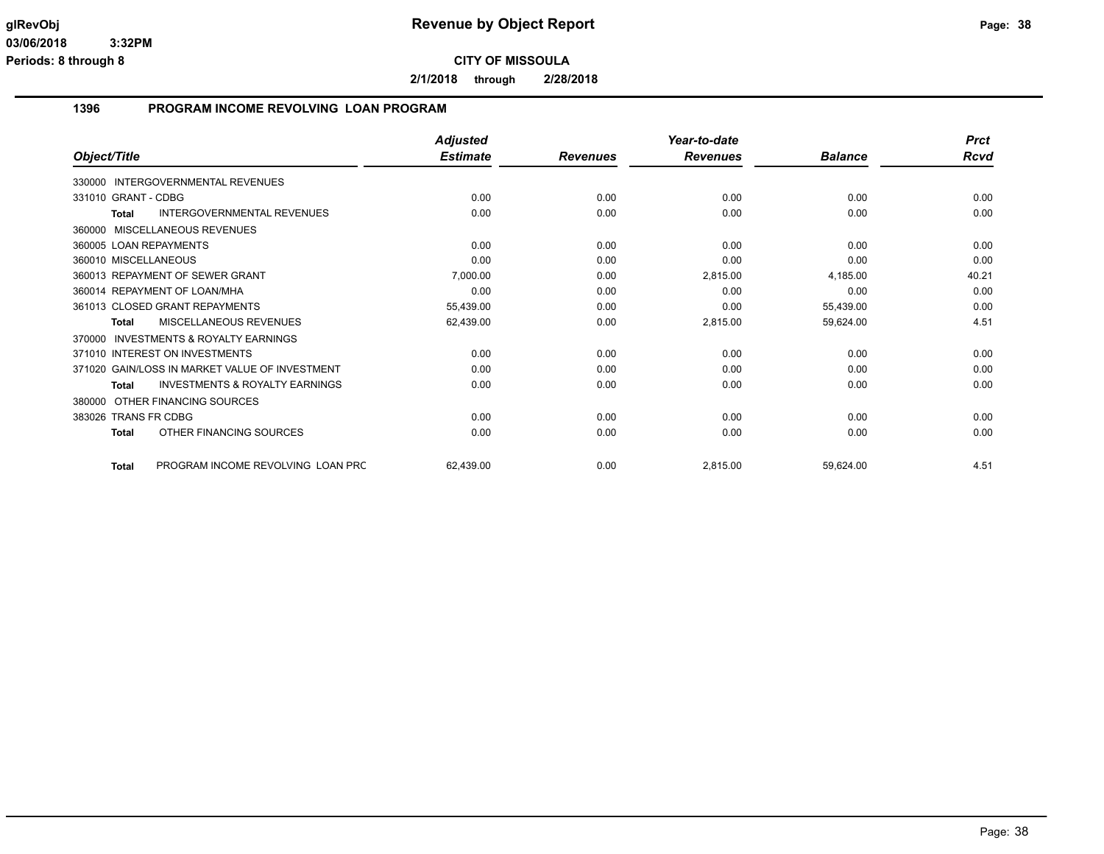**2/1/2018 through 2/28/2018**

#### **1396 PROGRAM INCOME REVOLVING LOAN PROGRAM**

|                                                     | <b>Adjusted</b> |                 | Year-to-date    |                | <b>Prct</b> |
|-----------------------------------------------------|-----------------|-----------------|-----------------|----------------|-------------|
| Object/Title                                        | <b>Estimate</b> | <b>Revenues</b> | <b>Revenues</b> | <b>Balance</b> | <b>Rcvd</b> |
| INTERGOVERNMENTAL REVENUES<br>330000                |                 |                 |                 |                |             |
| 331010 GRANT - CDBG                                 | 0.00            | 0.00            | 0.00            | 0.00           | 0.00        |
| <b>INTERGOVERNMENTAL REVENUES</b><br><b>Total</b>   | 0.00            | 0.00            | 0.00            | 0.00           | 0.00        |
| MISCELLANEOUS REVENUES<br>360000                    |                 |                 |                 |                |             |
| 360005 LOAN REPAYMENTS                              | 0.00            | 0.00            | 0.00            | 0.00           | 0.00        |
| 360010 MISCELLANEOUS                                | 0.00            | 0.00            | 0.00            | 0.00           | 0.00        |
| 360013 REPAYMENT OF SEWER GRANT                     | 7,000.00        | 0.00            | 2,815.00        | 4,185.00       | 40.21       |
| 360014 REPAYMENT OF LOAN/MHA                        | 0.00            | 0.00            | 0.00            | 0.00           | 0.00        |
| 361013 CLOSED GRANT REPAYMENTS                      | 55,439.00       | 0.00            | 0.00            | 55,439.00      | 0.00        |
| MISCELLANEOUS REVENUES<br>Total                     | 62,439.00       | 0.00            | 2,815.00        | 59,624.00      | 4.51        |
| <b>INVESTMENTS &amp; ROYALTY EARNINGS</b><br>370000 |                 |                 |                 |                |             |
| 371010 INTEREST ON INVESTMENTS                      | 0.00            | 0.00            | 0.00            | 0.00           | 0.00        |
| 371020 GAIN/LOSS IN MARKET VALUE OF INVESTMENT      | 0.00            | 0.00            | 0.00            | 0.00           | 0.00        |
| <b>INVESTMENTS &amp; ROYALTY EARNINGS</b><br>Total  | 0.00            | 0.00            | 0.00            | 0.00           | 0.00        |
| OTHER FINANCING SOURCES<br>380000                   |                 |                 |                 |                |             |
| 383026 TRANS FR CDBG                                | 0.00            | 0.00            | 0.00            | 0.00           | 0.00        |
| OTHER FINANCING SOURCES<br><b>Total</b>             | 0.00            | 0.00            | 0.00            | 0.00           | 0.00        |
| PROGRAM INCOME REVOLVING LOAN PRC<br><b>Total</b>   | 62,439.00       | 0.00            | 2,815.00        | 59,624.00      | 4.51        |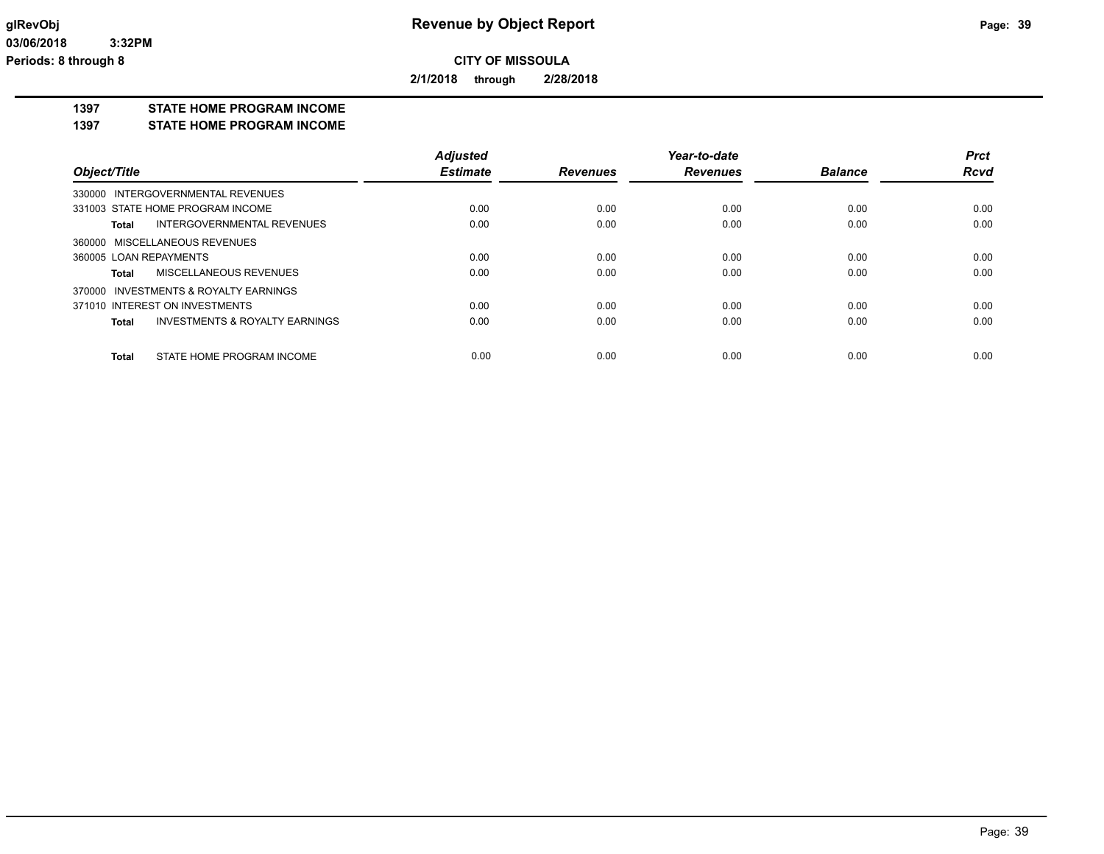**2/1/2018 through 2/28/2018**

#### **1397 STATE HOME PROGRAM INCOME**

**1397 STATE HOME PROGRAM INCOME**

|                                         | <b>Adjusted</b> |                 | Year-to-date    |                | <b>Prct</b> |
|-----------------------------------------|-----------------|-----------------|-----------------|----------------|-------------|
| Object/Title                            | <b>Estimate</b> | <b>Revenues</b> | <b>Revenues</b> | <b>Balance</b> | <b>Rcvd</b> |
| 330000 INTERGOVERNMENTAL REVENUES       |                 |                 |                 |                |             |
| 331003 STATE HOME PROGRAM INCOME        | 0.00            | 0.00            | 0.00            | 0.00           | 0.00        |
| INTERGOVERNMENTAL REVENUES<br>Total     | 0.00            | 0.00            | 0.00            | 0.00           | 0.00        |
| 360000 MISCELLANEOUS REVENUES           |                 |                 |                 |                |             |
| 360005 LOAN REPAYMENTS                  | 0.00            | 0.00            | 0.00            | 0.00           | 0.00        |
| MISCELLANEOUS REVENUES<br>Total         | 0.00            | 0.00            | 0.00            | 0.00           | 0.00        |
| 370000 INVESTMENTS & ROYALTY EARNINGS   |                 |                 |                 |                |             |
| 371010 INTEREST ON INVESTMENTS          | 0.00            | 0.00            | 0.00            | 0.00           | 0.00        |
| INVESTMENTS & ROYALTY EARNINGS<br>Total | 0.00            | 0.00            | 0.00            | 0.00           | 0.00        |
| STATE HOME PROGRAM INCOME<br>Total      | 0.00            | 0.00            | 0.00            | 0.00           | 0.00        |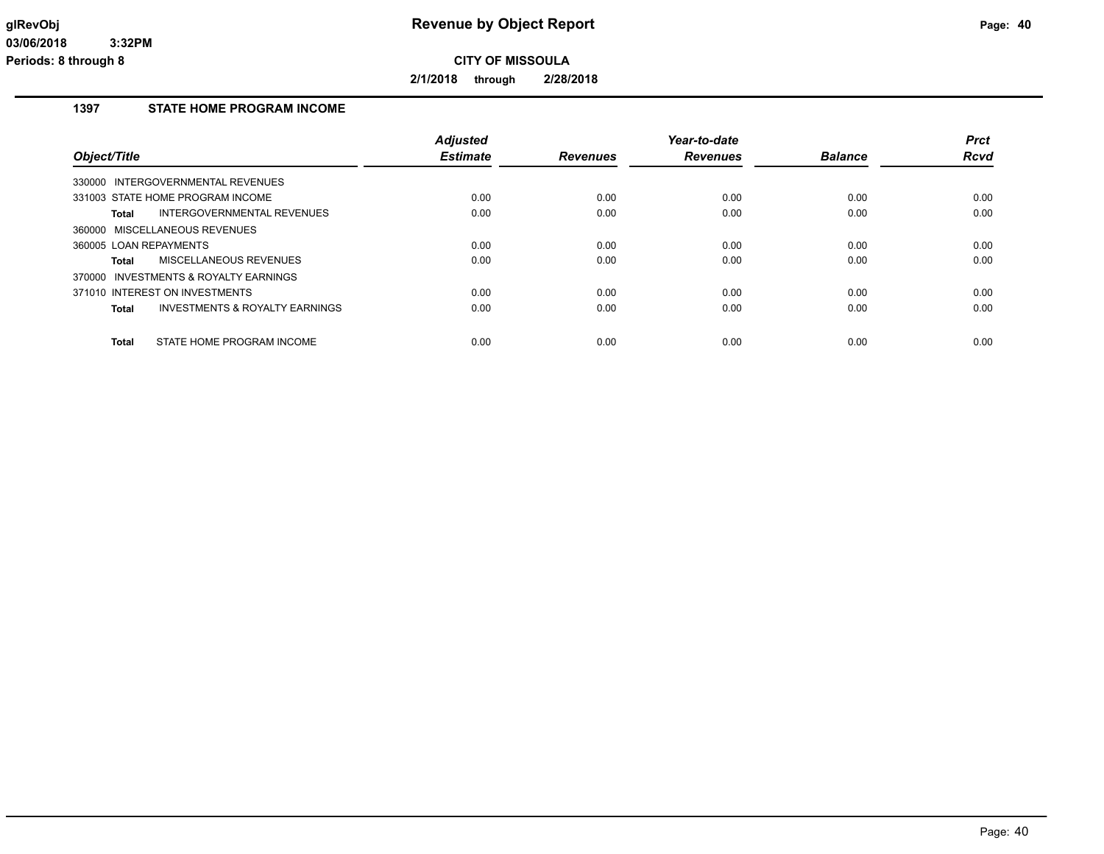**2/1/2018 through 2/28/2018**

### **1397 STATE HOME PROGRAM INCOME**

| Object/Title                                       | <b>Adjusted</b><br><b>Estimate</b> | <b>Revenues</b> | Year-to-date<br><b>Revenues</b> | <b>Balance</b> | <b>Prct</b><br>Rcvd |
|----------------------------------------------------|------------------------------------|-----------------|---------------------------------|----------------|---------------------|
| INTERGOVERNMENTAL REVENUES<br>330000               |                                    |                 |                                 |                |                     |
| 331003 STATE HOME PROGRAM INCOME                   | 0.00                               | 0.00            | 0.00                            | 0.00           | 0.00                |
| INTERGOVERNMENTAL REVENUES<br>Total                | 0.00                               | 0.00            | 0.00                            | 0.00           | 0.00                |
| 360000 MISCELLANEOUS REVENUES                      |                                    |                 |                                 |                |                     |
| 360005 LOAN REPAYMENTS                             | 0.00                               | 0.00            | 0.00                            | 0.00           | 0.00                |
| MISCELLANEOUS REVENUES<br>Total                    | 0.00                               | 0.00            | 0.00                            | 0.00           | 0.00                |
| INVESTMENTS & ROYALTY EARNINGS<br>370000           |                                    |                 |                                 |                |                     |
| 371010 INTEREST ON INVESTMENTS                     | 0.00                               | 0.00            | 0.00                            | 0.00           | 0.00                |
| <b>INVESTMENTS &amp; ROYALTY EARNINGS</b><br>Total | 0.00                               | 0.00            | 0.00                            | 0.00           | 0.00                |
| STATE HOME PROGRAM INCOME<br>Total                 | 0.00                               | 0.00            | 0.00                            | 0.00           | 0.00                |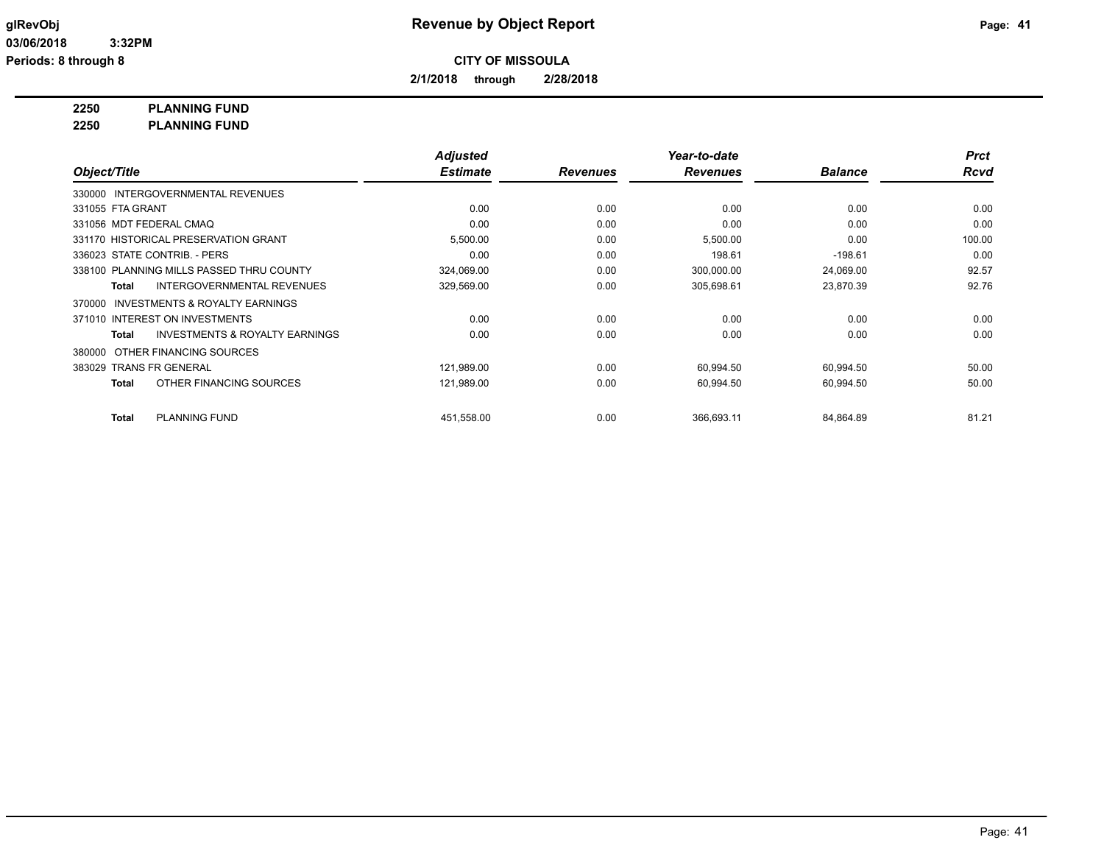**2/1/2018 through 2/28/2018**

**2250 PLANNING FUND**

**2250 PLANNING FUND**

|                                                           | <b>Adjusted</b> |                 | Year-to-date    |                | <b>Prct</b> |
|-----------------------------------------------------------|-----------------|-----------------|-----------------|----------------|-------------|
| Object/Title                                              | <b>Estimate</b> | <b>Revenues</b> | <b>Revenues</b> | <b>Balance</b> | <b>Rcvd</b> |
| 330000 INTERGOVERNMENTAL REVENUES                         |                 |                 |                 |                |             |
| 331055 FTA GRANT                                          | 0.00            | 0.00            | 0.00            | 0.00           | 0.00        |
| 331056 MDT FEDERAL CMAQ                                   | 0.00            | 0.00            | 0.00            | 0.00           | 0.00        |
| 331170 HISTORICAL PRESERVATION GRANT                      | 5,500.00        | 0.00            | 5,500.00        | 0.00           | 100.00      |
| 336023 STATE CONTRIB. - PERS                              | 0.00            | 0.00            | 198.61          | $-198.61$      | 0.00        |
| 338100 PLANNING MILLS PASSED THRU COUNTY                  | 324,069.00      | 0.00            | 300,000.00      | 24,069.00      | 92.57       |
| <b>INTERGOVERNMENTAL REVENUES</b><br><b>Total</b>         | 329,569.00      | 0.00            | 305,698.61      | 23,870.39      | 92.76       |
| <b>INVESTMENTS &amp; ROYALTY EARNINGS</b><br>370000       |                 |                 |                 |                |             |
| 371010 INTEREST ON INVESTMENTS                            | 0.00            | 0.00            | 0.00            | 0.00           | 0.00        |
| <b>INVESTMENTS &amp; ROYALTY EARNINGS</b><br><b>Total</b> | 0.00            | 0.00            | 0.00            | 0.00           | 0.00        |
| OTHER FINANCING SOURCES<br>380000                         |                 |                 |                 |                |             |
| 383029 TRANS FR GENERAL                                   | 121,989.00      | 0.00            | 60,994.50       | 60,994.50      | 50.00       |
| OTHER FINANCING SOURCES<br><b>Total</b>                   | 121,989.00      | 0.00            | 60,994.50       | 60,994.50      | 50.00       |
|                                                           |                 |                 |                 |                |             |
| <b>PLANNING FUND</b><br><b>Total</b>                      | 451,558.00      | 0.00            | 366,693.11      | 84,864.89      | 81.21       |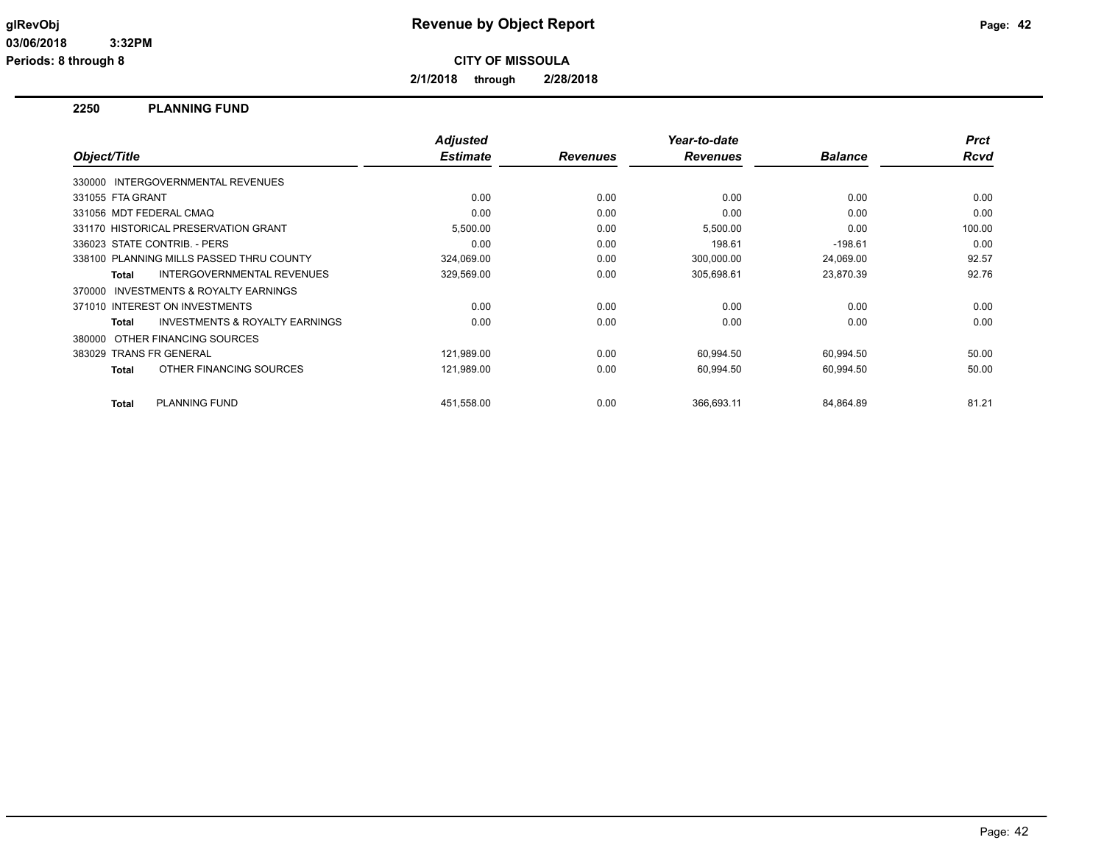**2/1/2018 through 2/28/2018**

#### **2250 PLANNING FUND**

| Object/Title            |                                           | <b>Adjusted</b><br><b>Estimate</b> | <b>Revenues</b> | Year-to-date<br><b>Revenues</b> | <b>Balance</b> | <b>Prct</b><br><b>Rcvd</b> |
|-------------------------|-------------------------------------------|------------------------------------|-----------------|---------------------------------|----------------|----------------------------|
|                         | 330000 INTERGOVERNMENTAL REVENUES         |                                    |                 |                                 |                |                            |
| 331055 FTA GRANT        |                                           | 0.00                               | 0.00            | 0.00                            | 0.00           | 0.00                       |
|                         | 331056 MDT FEDERAL CMAQ                   | 0.00                               | 0.00            | 0.00                            | 0.00           | 0.00                       |
|                         | 331170 HISTORICAL PRESERVATION GRANT      | 5,500.00                           | 0.00            | 5,500.00                        | 0.00           | 100.00                     |
|                         | 336023 STATE CONTRIB. - PERS              | 0.00                               | 0.00            | 198.61                          | $-198.61$      | 0.00                       |
|                         | 338100 PLANNING MILLS PASSED THRU COUNTY  | 324,069.00                         | 0.00            | 300,000.00                      | 24,069.00      | 92.57                      |
| Total                   | INTERGOVERNMENTAL REVENUES                | 329,569.00                         | 0.00            | 305,698.61                      | 23,870.39      | 92.76                      |
| 370000                  | <b>INVESTMENTS &amp; ROYALTY EARNINGS</b> |                                    |                 |                                 |                |                            |
|                         | 371010 INTEREST ON INVESTMENTS            | 0.00                               | 0.00            | 0.00                            | 0.00           | 0.00                       |
| Total                   | <b>INVESTMENTS &amp; ROYALTY EARNINGS</b> | 0.00                               | 0.00            | 0.00                            | 0.00           | 0.00                       |
| 380000                  | OTHER FINANCING SOURCES                   |                                    |                 |                                 |                |                            |
| 383029 TRANS FR GENERAL |                                           | 121,989.00                         | 0.00            | 60,994.50                       | 60,994.50      | 50.00                      |
| Total                   | OTHER FINANCING SOURCES                   | 121,989.00                         | 0.00            | 60,994.50                       | 60,994.50      | 50.00                      |
| Total                   | <b>PLANNING FUND</b>                      | 451,558.00                         | 0.00            | 366.693.11                      | 84,864.89      | 81.21                      |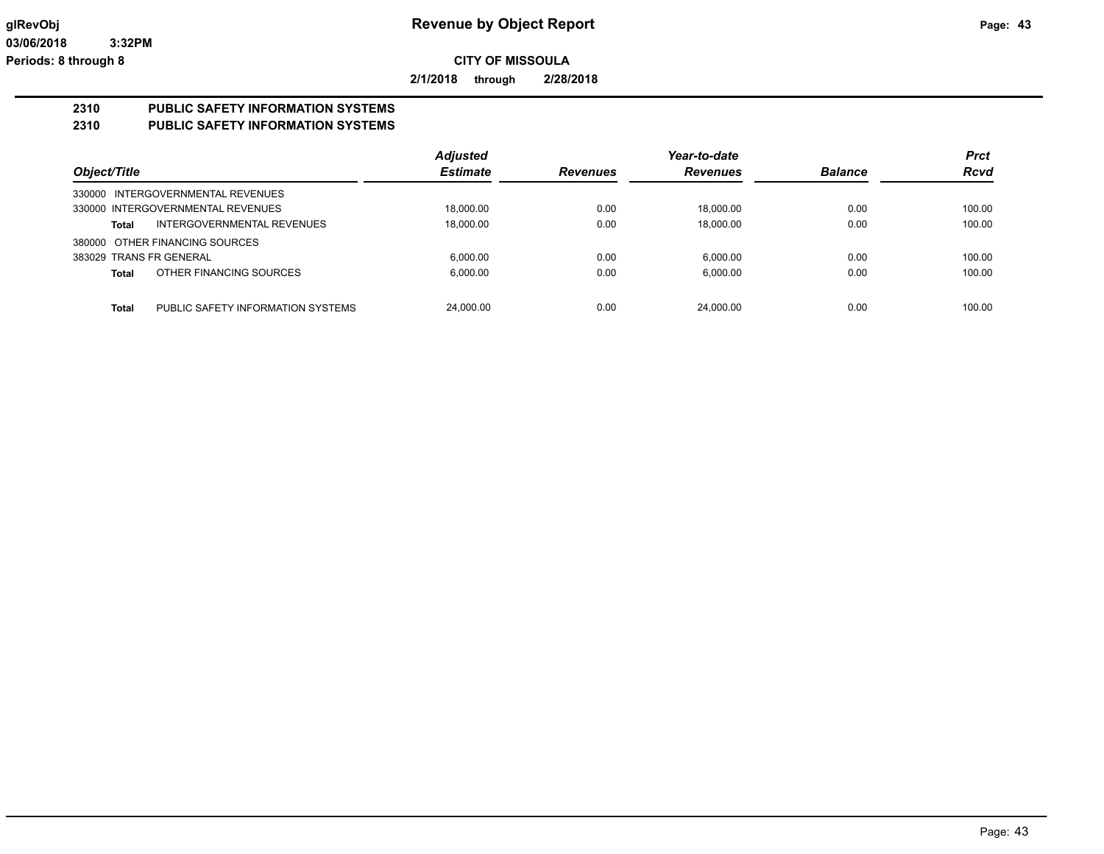**2/1/2018 through 2/28/2018**

## **2310 PUBLIC SAFETY INFORMATION SYSTEMS**

### **2310 PUBLIC SAFETY INFORMATION SYSTEMS**

|                                                   | <b>Adjusted</b> |                 | Year-to-date    |                | <b>Prct</b> |
|---------------------------------------------------|-----------------|-----------------|-----------------|----------------|-------------|
| Object/Title                                      | <b>Estimate</b> | <b>Revenues</b> | <b>Revenues</b> | <b>Balance</b> | <b>Rcvd</b> |
| 330000 INTERGOVERNMENTAL REVENUES                 |                 |                 |                 |                |             |
| 330000 INTERGOVERNMENTAL REVENUES                 | 18,000.00       | 0.00            | 18,000.00       | 0.00           | 100.00      |
| INTERGOVERNMENTAL REVENUES<br>Total               | 18,000.00       | 0.00            | 18.000.00       | 0.00           | 100.00      |
| 380000 OTHER FINANCING SOURCES                    |                 |                 |                 |                |             |
| 383029 TRANS FR GENERAL                           | 6.000.00        | 0.00            | 6.000.00        | 0.00           | 100.00      |
| OTHER FINANCING SOURCES<br><b>Total</b>           | 6.000.00        | 0.00            | 6.000.00        | 0.00           | 100.00      |
|                                                   |                 |                 |                 |                |             |
| <b>Total</b><br>PUBLIC SAFETY INFORMATION SYSTEMS | 24.000.00       | 0.00            | 24.000.00       | 0.00           | 100.00      |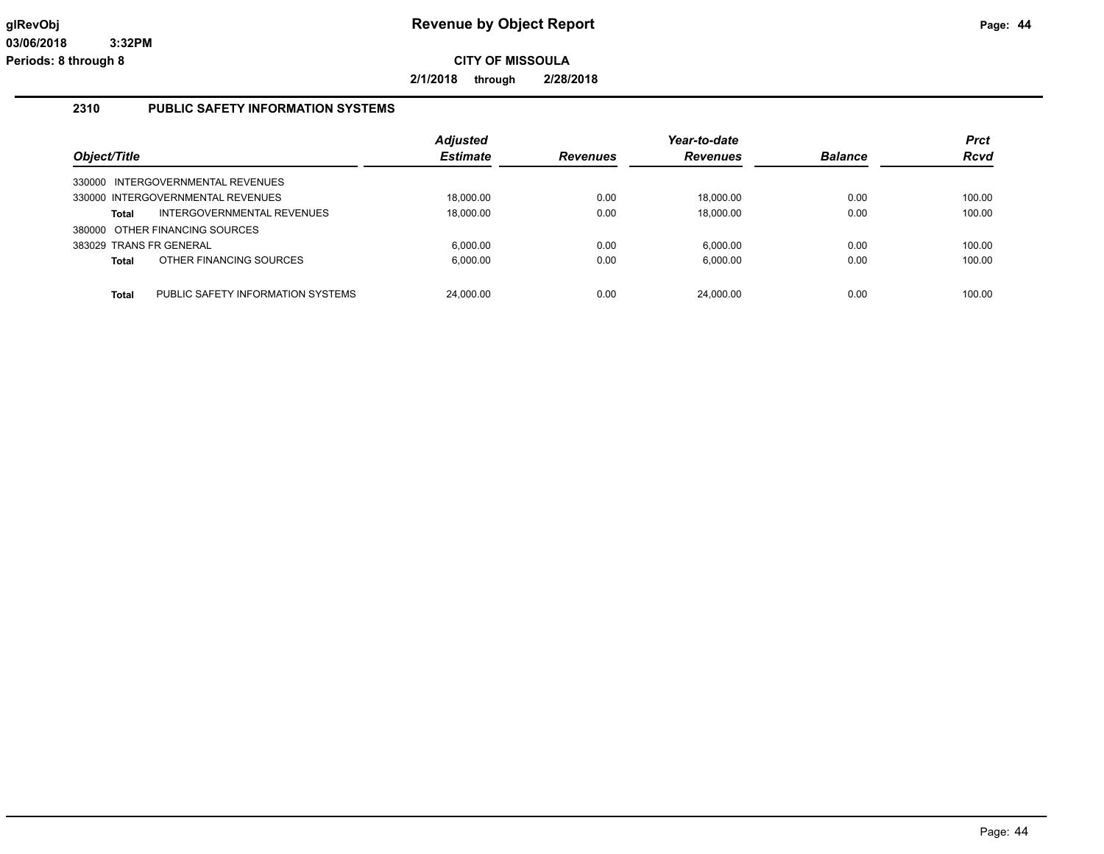**2/1/2018 through 2/28/2018**

#### **2310 PUBLIC SAFETY INFORMATION SYSTEMS**

| Object/Title                   |                                   | <b>Adjusted</b><br><b>Estimate</b> | <b>Revenues</b> | Year-to-date<br><b>Revenues</b> | <b>Balance</b> | <b>Prct</b><br><b>Rcvd</b> |
|--------------------------------|-----------------------------------|------------------------------------|-----------------|---------------------------------|----------------|----------------------------|
|                                | 330000 INTERGOVERNMENTAL REVENUES |                                    |                 |                                 |                |                            |
|                                | 330000 INTERGOVERNMENTAL REVENUES | 18.000.00                          | 0.00            | 18.000.00                       | 0.00           | 100.00                     |
| Total                          | INTERGOVERNMENTAL REVENUES        | 18,000.00                          | 0.00            | 18,000.00                       | 0.00           | 100.00                     |
| 380000 OTHER FINANCING SOURCES |                                   |                                    |                 |                                 |                |                            |
| 383029 TRANS FR GENERAL        |                                   | 6.000.00                           | 0.00            | 6.000.00                        | 0.00           | 100.00                     |
| <b>Total</b>                   | OTHER FINANCING SOURCES           | 6,000.00                           | 0.00            | 6,000.00                        | 0.00           | 100.00                     |
|                                |                                   |                                    |                 |                                 |                |                            |
| Total                          | PUBLIC SAFETY INFORMATION SYSTEMS | 24.000.00                          | 0.00            | 24.000.00                       | 0.00           | 100.00                     |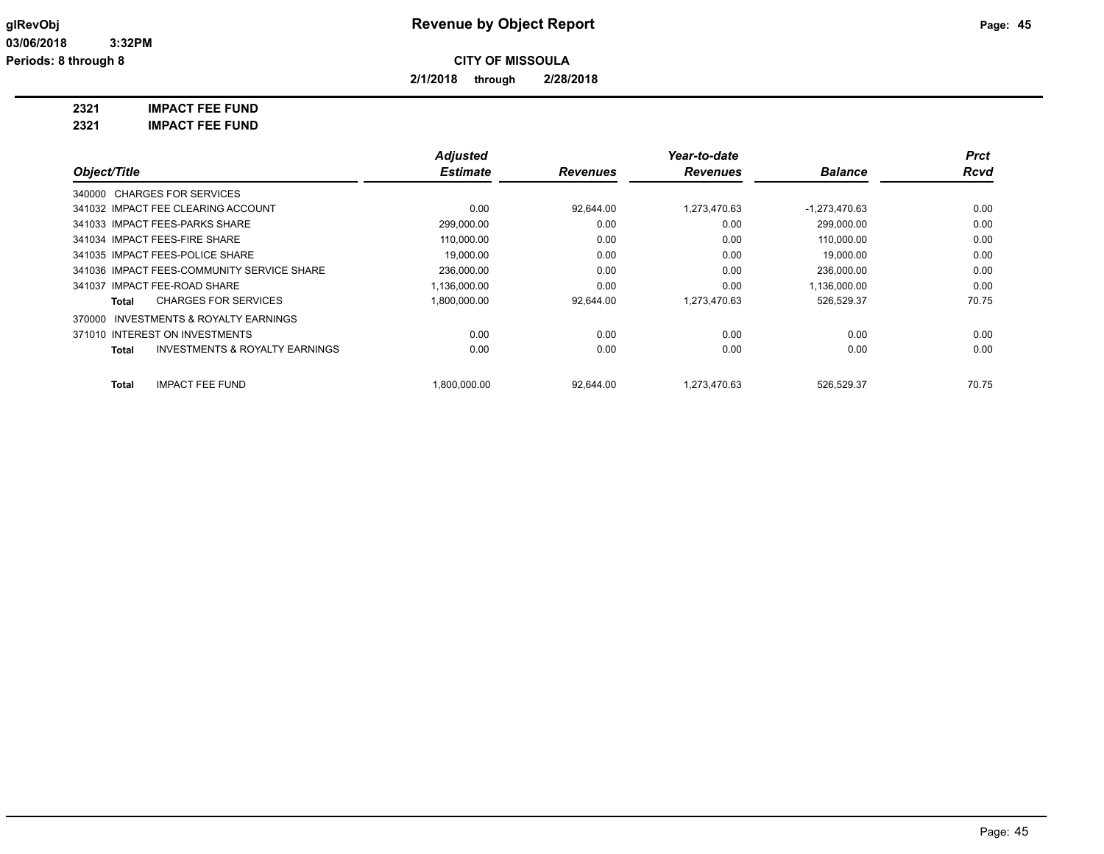**2/1/2018 through 2/28/2018**

**2321 IMPACT FEE FUND**

| 2321 | <b>IMPACT FEE FUND</b> |
|------|------------------------|
|      |                        |

|                                                     | <b>Adjusted</b> |                 | Year-to-date    |                 | <b>Prct</b> |
|-----------------------------------------------------|-----------------|-----------------|-----------------|-----------------|-------------|
| Object/Title                                        | <b>Estimate</b> | <b>Revenues</b> | <b>Revenues</b> | <b>Balance</b>  | <b>Rcvd</b> |
| 340000 CHARGES FOR SERVICES                         |                 |                 |                 |                 |             |
| 341032 IMPACT FEE CLEARING ACCOUNT                  | 0.00            | 92.644.00       | 1.273.470.63    | $-1,273,470.63$ | 0.00        |
| 341033 IMPACT FEES-PARKS SHARE                      | 299,000.00      | 0.00            | 0.00            | 299,000.00      | 0.00        |
| 341034 IMPACT FEES-FIRE SHARE                       | 110,000.00      | 0.00            | 0.00            | 110,000.00      | 0.00        |
| 341035 IMPACT FEES-POLICE SHARE                     | 19.000.00       | 0.00            | 0.00            | 19.000.00       | 0.00        |
| 341036 IMPACT FEES-COMMUNITY SERVICE SHARE          | 236,000.00      | 0.00            | 0.00            | 236,000.00      | 0.00        |
| 341037 IMPACT FEE-ROAD SHARE                        | 1,136,000.00    | 0.00            | 0.00            | 1,136,000.00    | 0.00        |
| <b>CHARGES FOR SERVICES</b><br>Total                | 1,800,000.00    | 92,644.00       | 1,273,470.63    | 526,529.37      | 70.75       |
| <b>INVESTMENTS &amp; ROYALTY EARNINGS</b><br>370000 |                 |                 |                 |                 |             |
| 371010 INTEREST ON INVESTMENTS                      | 0.00            | 0.00            | 0.00            | 0.00            | 0.00        |
| <b>INVESTMENTS &amp; ROYALTY EARNINGS</b><br>Total  | 0.00            | 0.00            | 0.00            | 0.00            | 0.00        |
| <b>IMPACT FEE FUND</b><br>Total                     | .800.000.00     | 92,644.00       | 1.273.470.63    | 526,529.37      | 70.75       |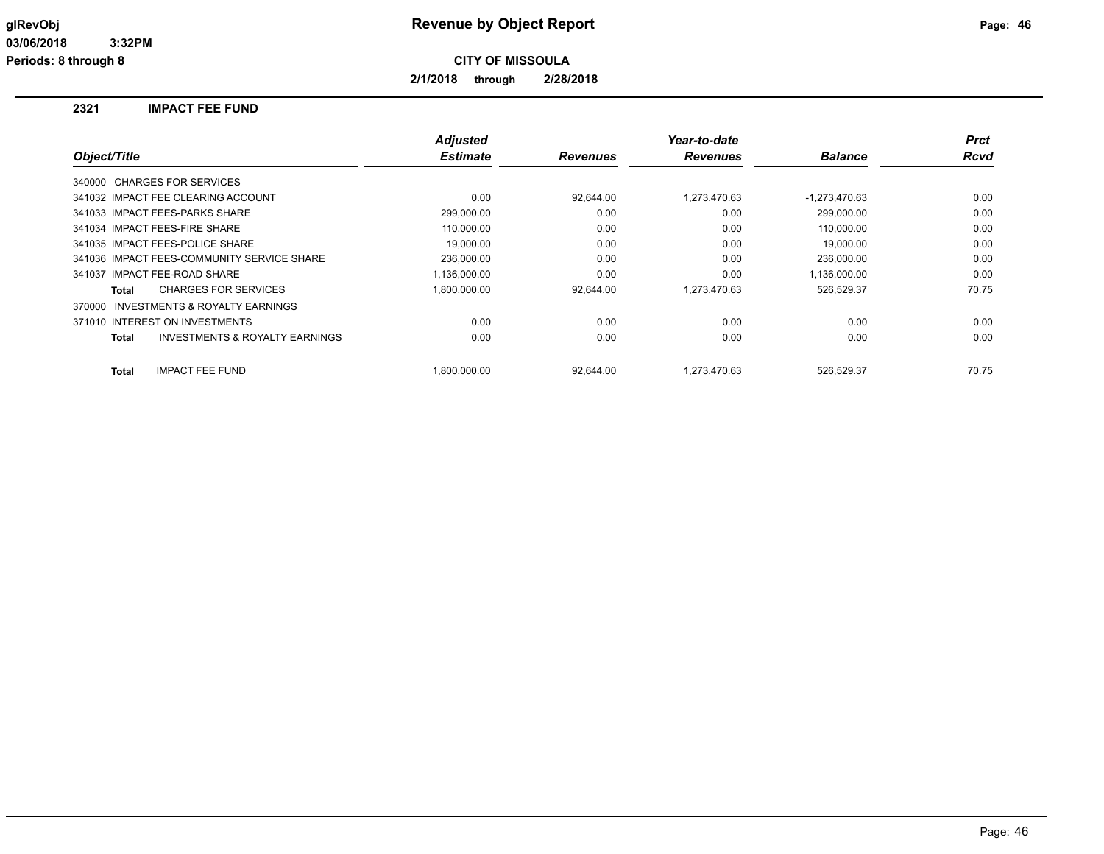**2/1/2018 through 2/28/2018**

#### **2321 IMPACT FEE FUND**

|                                                    | <b>Adjusted</b> |                 | Year-to-date    |                 | <b>Prct</b> |
|----------------------------------------------------|-----------------|-----------------|-----------------|-----------------|-------------|
| Object/Title                                       | <b>Estimate</b> | <b>Revenues</b> | <b>Revenues</b> | <b>Balance</b>  | <b>Rcvd</b> |
| 340000 CHARGES FOR SERVICES                        |                 |                 |                 |                 |             |
| 341032 IMPACT FEE CLEARING ACCOUNT                 | 0.00            | 92,644.00       | 1,273,470.63    | $-1,273,470.63$ | 0.00        |
| 341033 IMPACT FEES-PARKS SHARE                     | 299,000.00      | 0.00            | 0.00            | 299.000.00      | 0.00        |
| 341034 IMPACT FEES-FIRE SHARE                      | 110.000.00      | 0.00            | 0.00            | 110.000.00      | 0.00        |
| 341035 IMPACT FEES-POLICE SHARE                    | 19.000.00       | 0.00            | 0.00            | 19.000.00       | 0.00        |
| 341036 IMPACT FEES-COMMUNITY SERVICE SHARE         | 236,000.00      | 0.00            | 0.00            | 236,000.00      | 0.00        |
| 341037 IMPACT FEE-ROAD SHARE                       | 1,136,000.00    | 0.00            | 0.00            | 1,136,000.00    | 0.00        |
| <b>CHARGES FOR SERVICES</b><br>Total               | 1,800,000.00    | 92.644.00       | 1.273.470.63    | 526,529.37      | 70.75       |
| INVESTMENTS & ROYALTY EARNINGS<br>370000           |                 |                 |                 |                 |             |
| 371010 INTEREST ON INVESTMENTS                     | 0.00            | 0.00            | 0.00            | 0.00            | 0.00        |
| <b>INVESTMENTS &amp; ROYALTY EARNINGS</b><br>Total | 0.00            | 0.00            | 0.00            | 0.00            | 0.00        |
| <b>Total</b><br><b>IMPACT FEE FUND</b>             | 1.800.000.00    | 92.644.00       | 1.273.470.63    | 526.529.37      | 70.75       |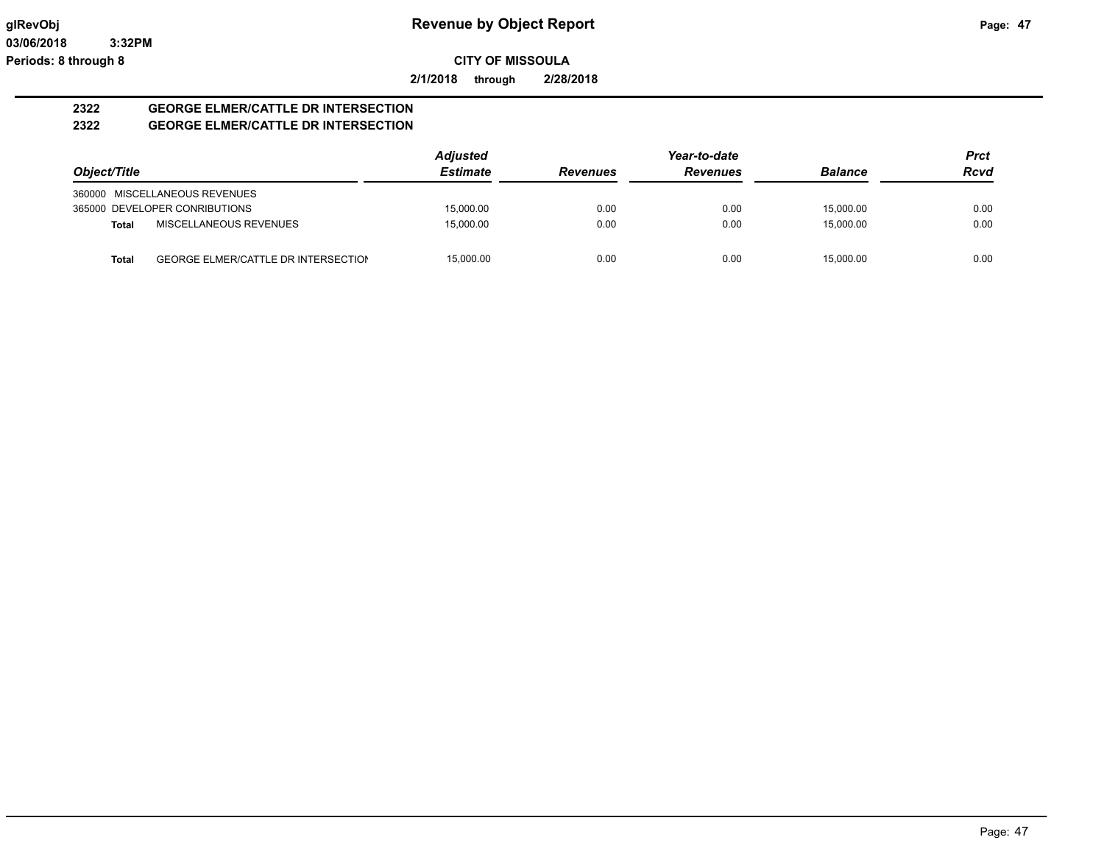**2/1/2018 through 2/28/2018**

#### **2322 GEORGE ELMER/CATTLE DR INTERSECTION 2322 GEORGE ELMER/CATTLE DR INTERSECTION**

|              |                                            | <b>Adjusted</b> |                 | Year-to-date    | <b>Prct</b>    |             |
|--------------|--------------------------------------------|-----------------|-----------------|-----------------|----------------|-------------|
| Object/Title |                                            | <b>Estimate</b> | <b>Revenues</b> | <b>Revenues</b> | <b>Balance</b> | <b>Rcvd</b> |
|              | 360000 MISCELLANEOUS REVENUES              |                 |                 |                 |                |             |
|              | 365000 DEVELOPER CONRIBUTIONS              | 15,000.00       | 0.00            | 0.00            | 15.000.00      | 0.00        |
| <b>Total</b> | MISCELLANEOUS REVENUES                     | 15.000.00       | 0.00            | 0.00            | 15.000.00      | 0.00        |
| Total        | <b>GEORGE ELMER/CATTLE DR INTERSECTION</b> | 15.000.00       | 0.00            | 0.00            | 15.000.00      | 0.00        |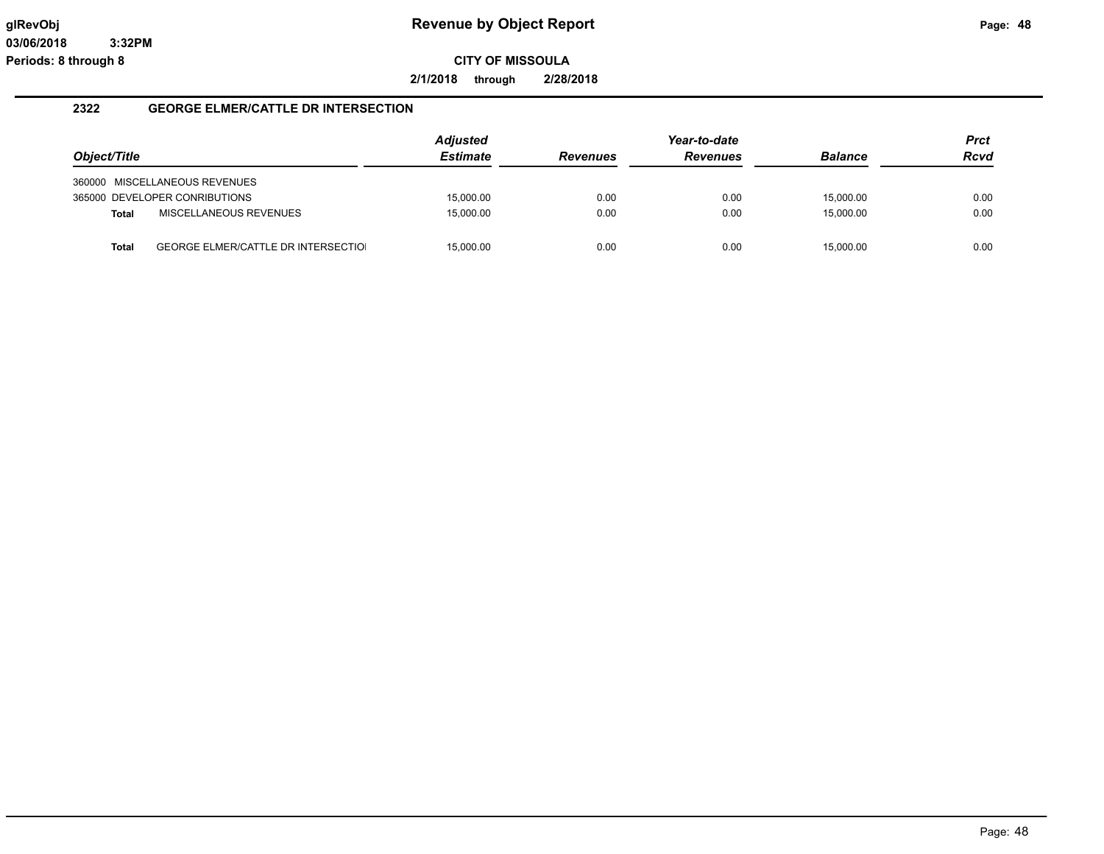**2/1/2018 through 2/28/2018**

#### **2322 GEORGE ELMER/CATTLE DR INTERSECTION**

|              |                                            | <b>Adjusted</b> |                 | Year-to-date    |                | <b>Prct</b> |
|--------------|--------------------------------------------|-----------------|-----------------|-----------------|----------------|-------------|
| Object/Title |                                            | <b>Estimate</b> | <b>Revenues</b> | <b>Revenues</b> | <b>Balance</b> | <b>Rcvd</b> |
|              | 360000 MISCELLANEOUS REVENUES              |                 |                 |                 |                |             |
|              | 365000 DEVELOPER CONRIBUTIONS              | 15.000.00       | 0.00            | 0.00            | 15,000.00      | 0.00        |
| <b>Total</b> | MISCELLANEOUS REVENUES                     | 15.000.00       | 0.00            | 0.00            | 15,000.00      | 0.00        |
| <b>Total</b> | <b>GEORGE ELMER/CATTLE DR INTERSECTIOL</b> | 15.000.00       | 0.00            | 0.00            | 15.000.00      | 0.00        |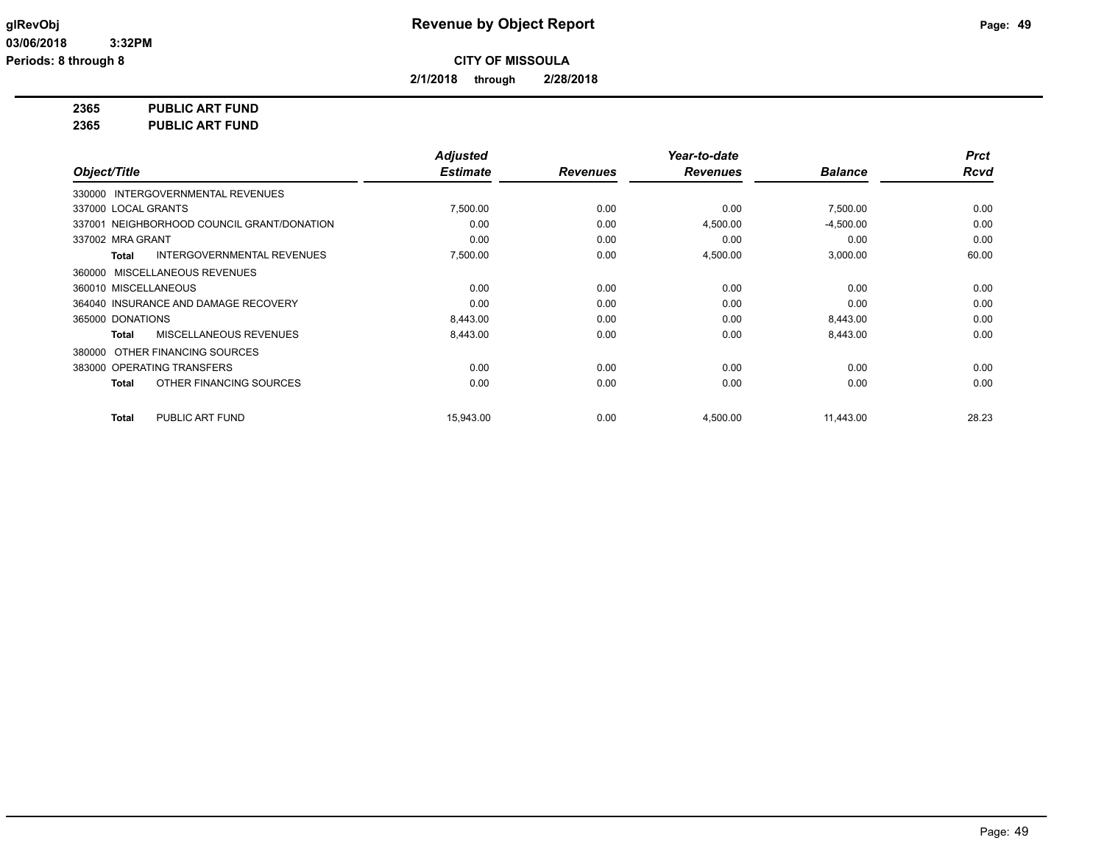**2/1/2018 through 2/28/2018**

**2365 PUBLIC ART FUND**

**2365 PUBLIC ART FUND**

|                                                   | <b>Adjusted</b> |                 | Year-to-date    |                | <b>Prct</b> |
|---------------------------------------------------|-----------------|-----------------|-----------------|----------------|-------------|
| Object/Title                                      | <b>Estimate</b> | <b>Revenues</b> | <b>Revenues</b> | <b>Balance</b> | <b>Rcvd</b> |
| 330000 INTERGOVERNMENTAL REVENUES                 |                 |                 |                 |                |             |
| 337000 LOCAL GRANTS                               | 7,500.00        | 0.00            | 0.00            | 7,500.00       | 0.00        |
| 337001 NEIGHBORHOOD COUNCIL GRANT/DONATION        | 0.00            | 0.00            | 4,500.00        | $-4,500.00$    | 0.00        |
| 337002 MRA GRANT                                  | 0.00            | 0.00            | 0.00            | 0.00           | 0.00        |
| <b>INTERGOVERNMENTAL REVENUES</b><br><b>Total</b> | 7,500.00        | 0.00            | 4,500.00        | 3,000.00       | 60.00       |
| 360000 MISCELLANEOUS REVENUES                     |                 |                 |                 |                |             |
| 360010 MISCELLANEOUS                              | 0.00            | 0.00            | 0.00            | 0.00           | 0.00        |
| 364040 INSURANCE AND DAMAGE RECOVERY              | 0.00            | 0.00            | 0.00            | 0.00           | 0.00        |
| 365000 DONATIONS                                  | 8,443.00        | 0.00            | 0.00            | 8,443.00       | 0.00        |
| MISCELLANEOUS REVENUES<br><b>Total</b>            | 8,443.00        | 0.00            | 0.00            | 8,443.00       | 0.00        |
| 380000 OTHER FINANCING SOURCES                    |                 |                 |                 |                |             |
| 383000 OPERATING TRANSFERS                        | 0.00            | 0.00            | 0.00            | 0.00           | 0.00        |
| OTHER FINANCING SOURCES<br><b>Total</b>           | 0.00            | 0.00            | 0.00            | 0.00           | 0.00        |
| PUBLIC ART FUND<br><b>Total</b>                   | 15,943.00       | 0.00            | 4,500.00        | 11,443.00      | 28.23       |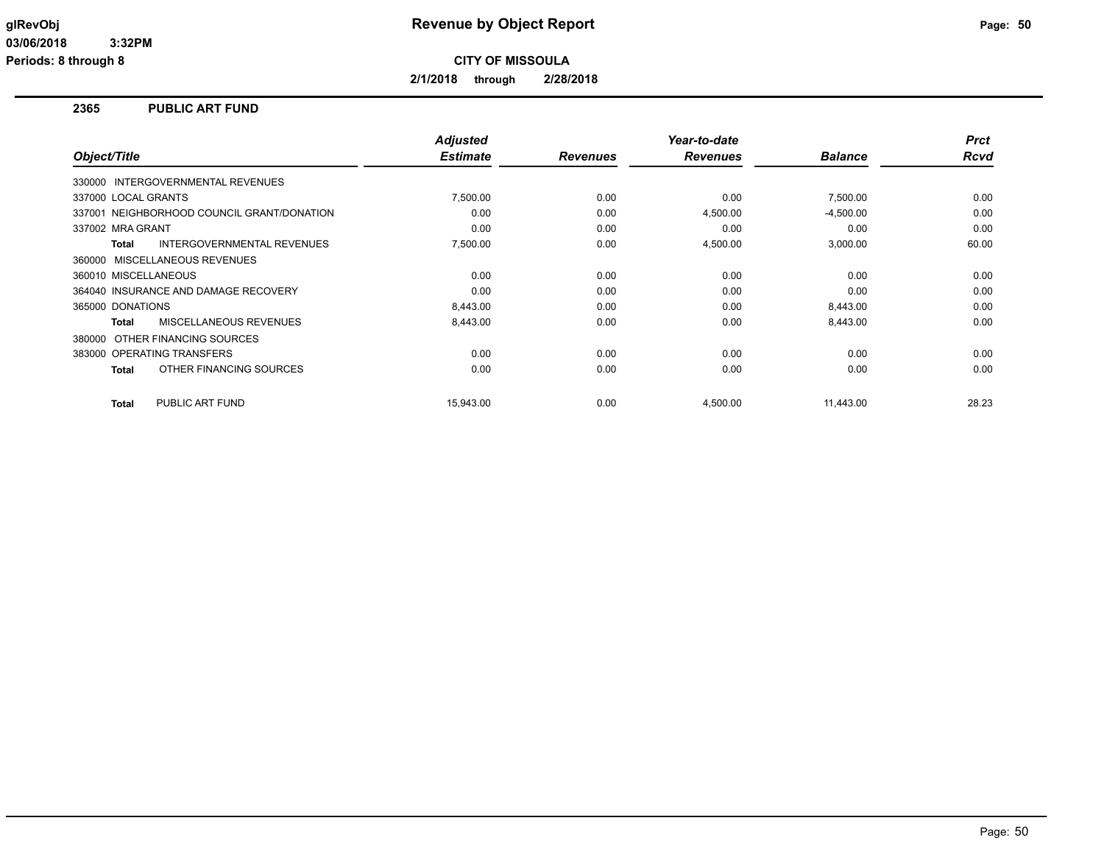**2/1/2018 through 2/28/2018**

#### **2365 PUBLIC ART FUND**

| Object/Title                               | <b>Adjusted</b><br><b>Estimate</b> | <b>Revenues</b> | Year-to-date<br><b>Revenues</b> | <b>Balance</b> | <b>Prct</b><br><b>Rcvd</b> |
|--------------------------------------------|------------------------------------|-----------------|---------------------------------|----------------|----------------------------|
| 330000 INTERGOVERNMENTAL REVENUES          |                                    |                 |                                 |                |                            |
| 337000 LOCAL GRANTS                        | 7,500.00                           | 0.00            | 0.00                            | 7,500.00       | 0.00                       |
| 337001 NEIGHBORHOOD COUNCIL GRANT/DONATION | 0.00                               | 0.00            | 4,500.00                        | $-4,500.00$    | 0.00                       |
| 337002 MRA GRANT                           | 0.00                               | 0.00            | 0.00                            | 0.00           | 0.00                       |
| <b>INTERGOVERNMENTAL REVENUES</b><br>Total | 7,500.00                           | 0.00            | 4,500.00                        | 3,000.00       | 60.00                      |
| 360000 MISCELLANEOUS REVENUES              |                                    |                 |                                 |                |                            |
| 360010 MISCELLANEOUS                       | 0.00                               | 0.00            | 0.00                            | 0.00           | 0.00                       |
| 364040 INSURANCE AND DAMAGE RECOVERY       | 0.00                               | 0.00            | 0.00                            | 0.00           | 0.00                       |
| 365000 DONATIONS                           | 8,443.00                           | 0.00            | 0.00                            | 8,443.00       | 0.00                       |
| <b>MISCELLANEOUS REVENUES</b><br>Total     | 8,443.00                           | 0.00            | 0.00                            | 8,443.00       | 0.00                       |
| 380000 OTHER FINANCING SOURCES             |                                    |                 |                                 |                |                            |
| 383000 OPERATING TRANSFERS                 | 0.00                               | 0.00            | 0.00                            | 0.00           | 0.00                       |
| OTHER FINANCING SOURCES<br>Total           | 0.00                               | 0.00            | 0.00                            | 0.00           | 0.00                       |
| PUBLIC ART FUND<br>Total                   | 15.943.00                          | 0.00            | 4,500.00                        | 11,443.00      | 28.23                      |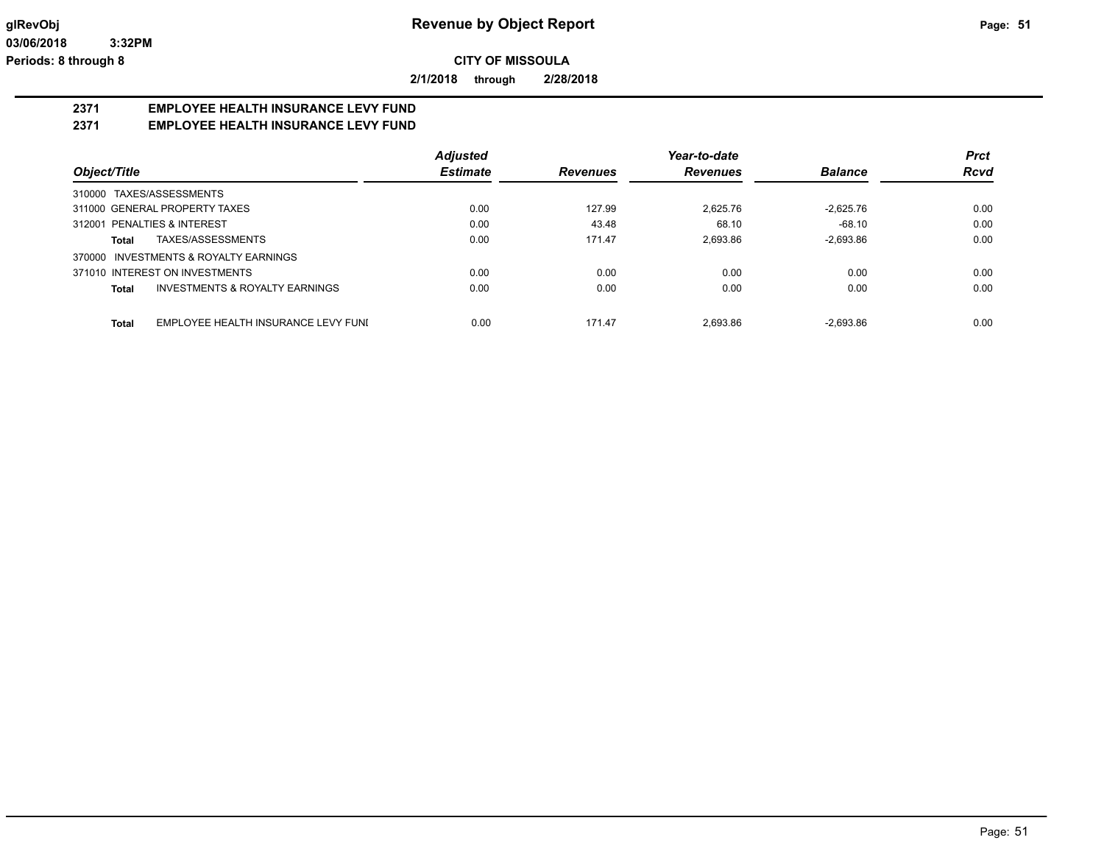**2/1/2018 through 2/28/2018**

# **2371 EMPLOYEE HEALTH INSURANCE LEVY FUND**

### **2371 EMPLOYEE HEALTH INSURANCE LEVY FUND**

|                                                     | <b>Adjusted</b> |                 | Year-to-date    |                | <b>Prct</b> |
|-----------------------------------------------------|-----------------|-----------------|-----------------|----------------|-------------|
| Object/Title                                        | <b>Estimate</b> | <b>Revenues</b> | <b>Revenues</b> | <b>Balance</b> | <b>Rcvd</b> |
| TAXES/ASSESSMENTS<br>310000                         |                 |                 |                 |                |             |
| 311000 GENERAL PROPERTY TAXES                       | 0.00            | 127.99          | 2.625.76        | $-2.625.76$    | 0.00        |
| 312001 PENALTIES & INTEREST                         | 0.00            | 43.48           | 68.10           | $-68.10$       | 0.00        |
| TAXES/ASSESSMENTS<br>Total                          | 0.00            | 171.47          | 2.693.86        | $-2.693.86$    | 0.00        |
| <b>INVESTMENTS &amp; ROYALTY EARNINGS</b><br>370000 |                 |                 |                 |                |             |
| 371010 INTEREST ON INVESTMENTS                      | 0.00            | 0.00            | 0.00            | 0.00           | 0.00        |
| INVESTMENTS & ROYALTY EARNINGS<br>Total             | 0.00            | 0.00            | 0.00            | 0.00           | 0.00        |
| EMPLOYEE HEALTH INSURANCE LEVY FUNI<br>Total        | 0.00            | 171.47          | 2.693.86        | $-2.693.86$    | 0.00        |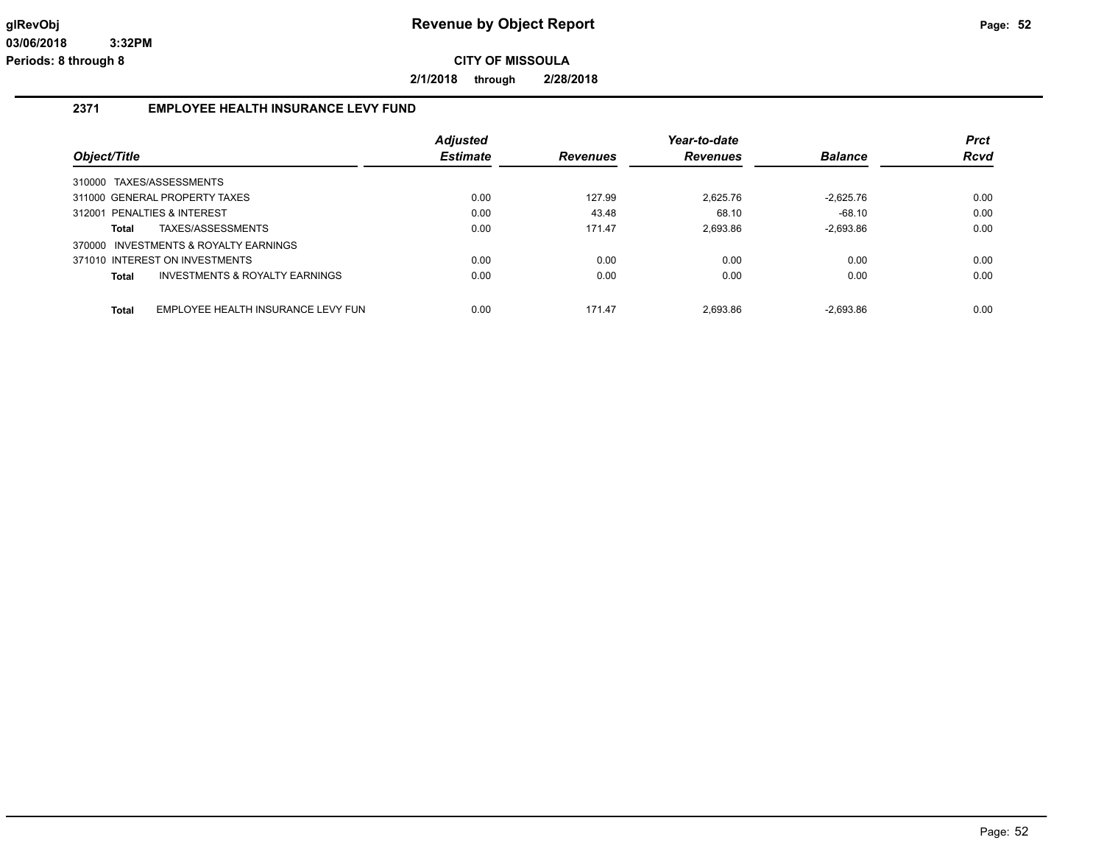**2/1/2018 through 2/28/2018**

### **2371 EMPLOYEE HEALTH INSURANCE LEVY FUND**

|                                             | <b>Adjusted</b> |                 | Year-to-date    |                | <b>Prct</b> |
|---------------------------------------------|-----------------|-----------------|-----------------|----------------|-------------|
| Object/Title                                | <b>Estimate</b> | <b>Revenues</b> | <b>Revenues</b> | <b>Balance</b> | <b>Rcvd</b> |
| 310000 TAXES/ASSESSMENTS                    |                 |                 |                 |                |             |
| 311000 GENERAL PROPERTY TAXES               | 0.00            | 127.99          | 2.625.76        | $-2.625.76$    | 0.00        |
| 312001 PENALTIES & INTEREST                 | 0.00            | 43.48           | 68.10           | $-68.10$       | 0.00        |
| TAXES/ASSESSMENTS<br>Total                  | 0.00            | 171.47          | 2.693.86        | $-2,693.86$    | 0.00        |
| 370000 INVESTMENTS & ROYALTY EARNINGS       |                 |                 |                 |                |             |
| 371010 INTEREST ON INVESTMENTS              | 0.00            | 0.00            | 0.00            | 0.00           | 0.00        |
| INVESTMENTS & ROYALTY EARNINGS<br>Total     | 0.00            | 0.00            | 0.00            | 0.00           | 0.00        |
|                                             |                 |                 |                 |                |             |
| EMPLOYEE HEALTH INSURANCE LEVY FUN<br>Total | 0.00            | 171.47          | 2.693.86        | $-2.693.86$    | 0.00        |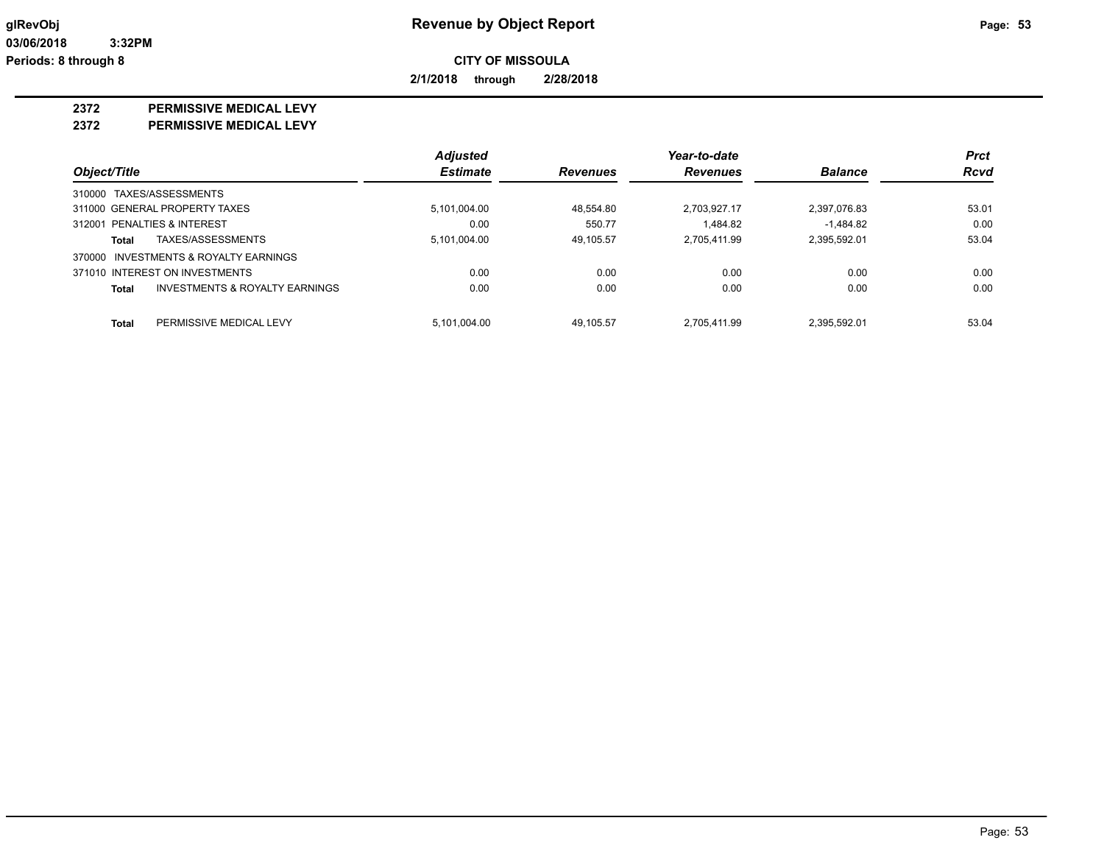**2/1/2018 through 2/28/2018**

#### **2372 PERMISSIVE MEDICAL LEVY**

**2372 PERMISSIVE MEDICAL LEVY**

|                                         | <b>Adjusted</b> |                 | Year-to-date    |                | <b>Prct</b> |
|-----------------------------------------|-----------------|-----------------|-----------------|----------------|-------------|
| Object/Title                            | <b>Estimate</b> | <b>Revenues</b> | <b>Revenues</b> | <b>Balance</b> | <b>Rcvd</b> |
| 310000 TAXES/ASSESSMENTS                |                 |                 |                 |                |             |
| 311000 GENERAL PROPERTY TAXES           | 5,101,004.00    | 48.554.80       | 2,703,927.17    | 2,397,076.83   | 53.01       |
| 312001 PENALTIES & INTEREST             | 0.00            | 550.77          | 1.484.82        | $-1.484.82$    | 0.00        |
| TAXES/ASSESSMENTS<br>Total              | 5,101,004.00    | 49.105.57       | 2.705.411.99    | 2,395,592.01   | 53.04       |
| 370000 INVESTMENTS & ROYALTY EARNINGS   |                 |                 |                 |                |             |
| 371010 INTEREST ON INVESTMENTS          | 0.00            | 0.00            | 0.00            | 0.00           | 0.00        |
| INVESTMENTS & ROYALTY EARNINGS<br>Total | 0.00            | 0.00            | 0.00            | 0.00           | 0.00        |
| PERMISSIVE MEDICAL LEVY<br><b>Total</b> | 5.101.004.00    | 49.105.57       | 2.705.411.99    | 2.395.592.01   | 53.04       |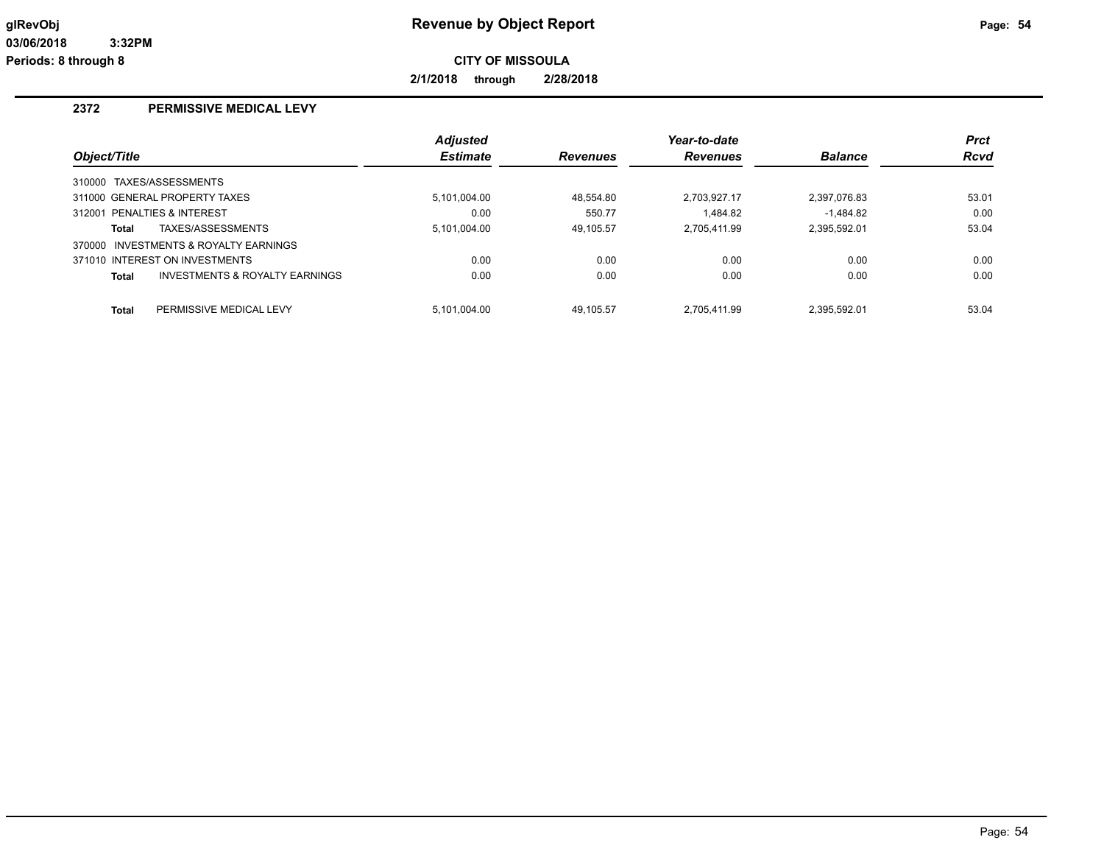**2/1/2018 through 2/28/2018**

### **2372 PERMISSIVE MEDICAL LEVY**

|              |                                       | <b>Adjusted</b> |                 | Year-to-date    |                | <b>Prct</b> |
|--------------|---------------------------------------|-----------------|-----------------|-----------------|----------------|-------------|
| Object/Title |                                       | <b>Estimate</b> | <b>Revenues</b> | <b>Revenues</b> | <b>Balance</b> | <b>Rcvd</b> |
|              | 310000 TAXES/ASSESSMENTS              |                 |                 |                 |                |             |
|              | 311000 GENERAL PROPERTY TAXES         | 5.101.004.00    | 48.554.80       | 2.703.927.17    | 2,397,076.83   | 53.01       |
|              | 312001 PENALTIES & INTEREST           | 0.00            | 550.77          | 1.484.82        | $-1.484.82$    | 0.00        |
| Total        | TAXES/ASSESSMENTS                     | 5.101.004.00    | 49.105.57       | 2.705.411.99    | 2.395.592.01   | 53.04       |
|              | 370000 INVESTMENTS & ROYALTY EARNINGS |                 |                 |                 |                |             |
|              | 371010 INTEREST ON INVESTMENTS        | 0.00            | 0.00            | 0.00            | 0.00           | 0.00        |
| Total        | INVESTMENTS & ROYALTY EARNINGS        | 0.00            | 0.00            | 0.00            | 0.00           | 0.00        |
| <b>Total</b> | PERMISSIVE MEDICAL LEVY               | 5.101.004.00    | 49.105.57       | 2.705.411.99    | 2.395.592.01   | 53.04       |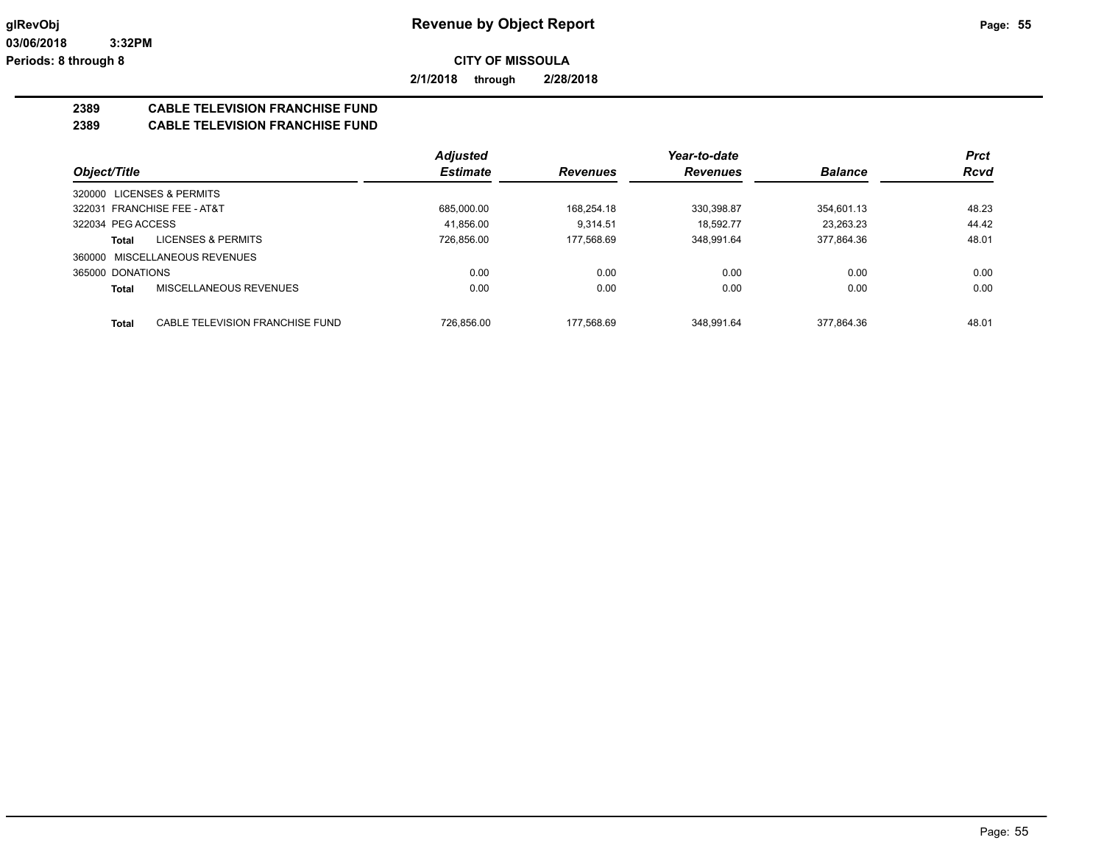**2/1/2018 through 2/28/2018**

## **2389 CABLE TELEVISION FRANCHISE FUND**

**2389 CABLE TELEVISION FRANCHISE FUND**

|                                          | <b>Adjusted</b> |                 | Year-to-date    |                | <b>Prct</b> |
|------------------------------------------|-----------------|-----------------|-----------------|----------------|-------------|
| Object/Title                             | <b>Estimate</b> | <b>Revenues</b> | <b>Revenues</b> | <b>Balance</b> | <b>Rcvd</b> |
| 320000 LICENSES & PERMITS                |                 |                 |                 |                |             |
| 322031 FRANCHISE FEE - AT&T              | 685.000.00      | 168.254.18      | 330.398.87      | 354.601.13     | 48.23       |
| 322034 PEG ACCESS                        | 41.856.00       | 9.314.51        | 18.592.77       | 23.263.23      | 44.42       |
| <b>LICENSES &amp; PERMITS</b><br>Total   | 726.856.00      | 177.568.69      | 348.991.64      | 377.864.36     | 48.01       |
| 360000 MISCELLANEOUS REVENUES            |                 |                 |                 |                |             |
| 365000 DONATIONS                         | 0.00            | 0.00            | 0.00            | 0.00           | 0.00        |
| MISCELLANEOUS REVENUES<br>Total          | 0.00            | 0.00            | 0.00            | 0.00           | 0.00        |
| CABLE TELEVISION FRANCHISE FUND<br>Total | 726.856.00      | 177.568.69      | 348.991.64      | 377.864.36     | 48.01       |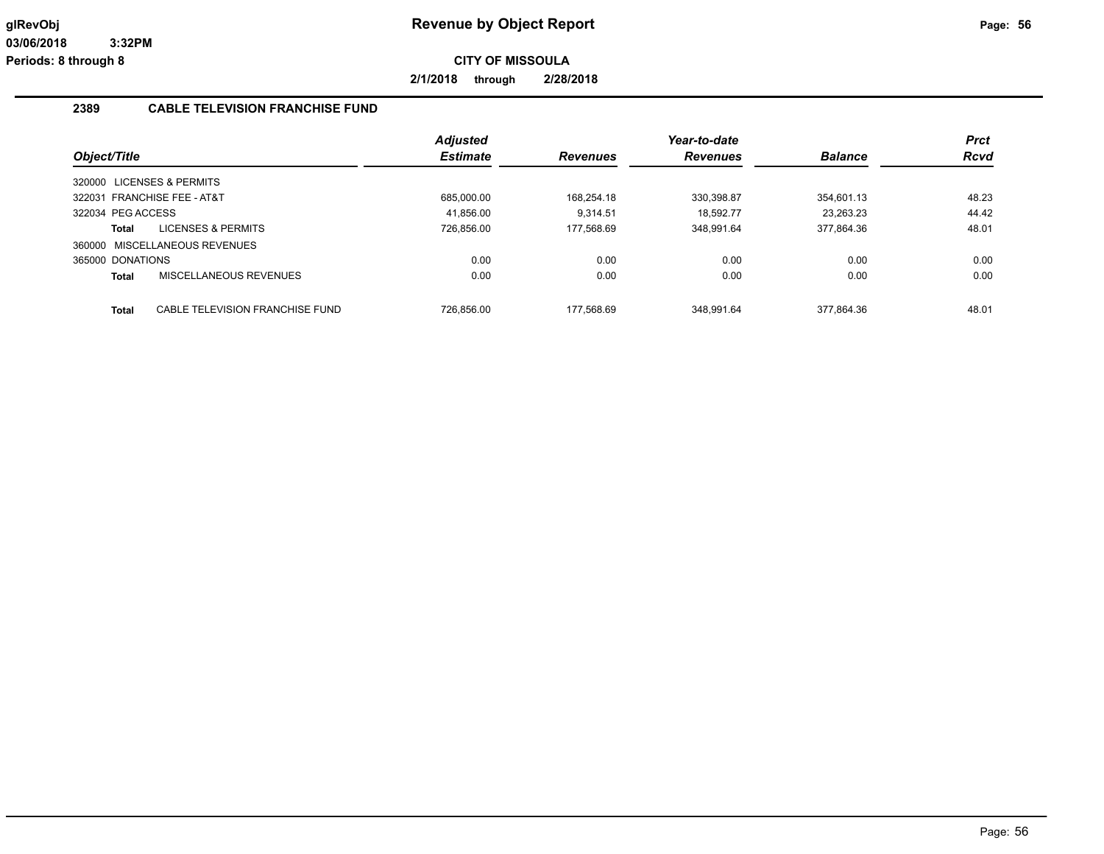**2/1/2018 through 2/28/2018**

#### **2389 CABLE TELEVISION FRANCHISE FUND**

|                   |                                 | <b>Adjusted</b> |                 | Year-to-date    |                | <b>Prct</b> |
|-------------------|---------------------------------|-----------------|-----------------|-----------------|----------------|-------------|
| Object/Title      |                                 | <b>Estimate</b> | <b>Revenues</b> | <b>Revenues</b> | <b>Balance</b> | <b>Rcvd</b> |
|                   | 320000 LICENSES & PERMITS       |                 |                 |                 |                |             |
|                   | 322031 FRANCHISE FEE - AT&T     | 685.000.00      | 168.254.18      | 330.398.87      | 354.601.13     | 48.23       |
| 322034 PEG ACCESS |                                 | 41.856.00       | 9.314.51        | 18.592.77       | 23.263.23      | 44.42       |
| Total             | <b>LICENSES &amp; PERMITS</b>   | 726.856.00      | 177.568.69      | 348.991.64      | 377.864.36     | 48.01       |
|                   | 360000 MISCELLANEOUS REVENUES   |                 |                 |                 |                |             |
| 365000 DONATIONS  |                                 | 0.00            | 0.00            | 0.00            | 0.00           | 0.00        |
| <b>Total</b>      | MISCELLANEOUS REVENUES          | 0.00            | 0.00            | 0.00            | 0.00           | 0.00        |
|                   |                                 |                 |                 |                 |                | 48.01       |
| <b>Total</b>      | CABLE TELEVISION FRANCHISE FUND | 726.856.00      | 177.568.69      | 348.991.64      | 377.864.36     |             |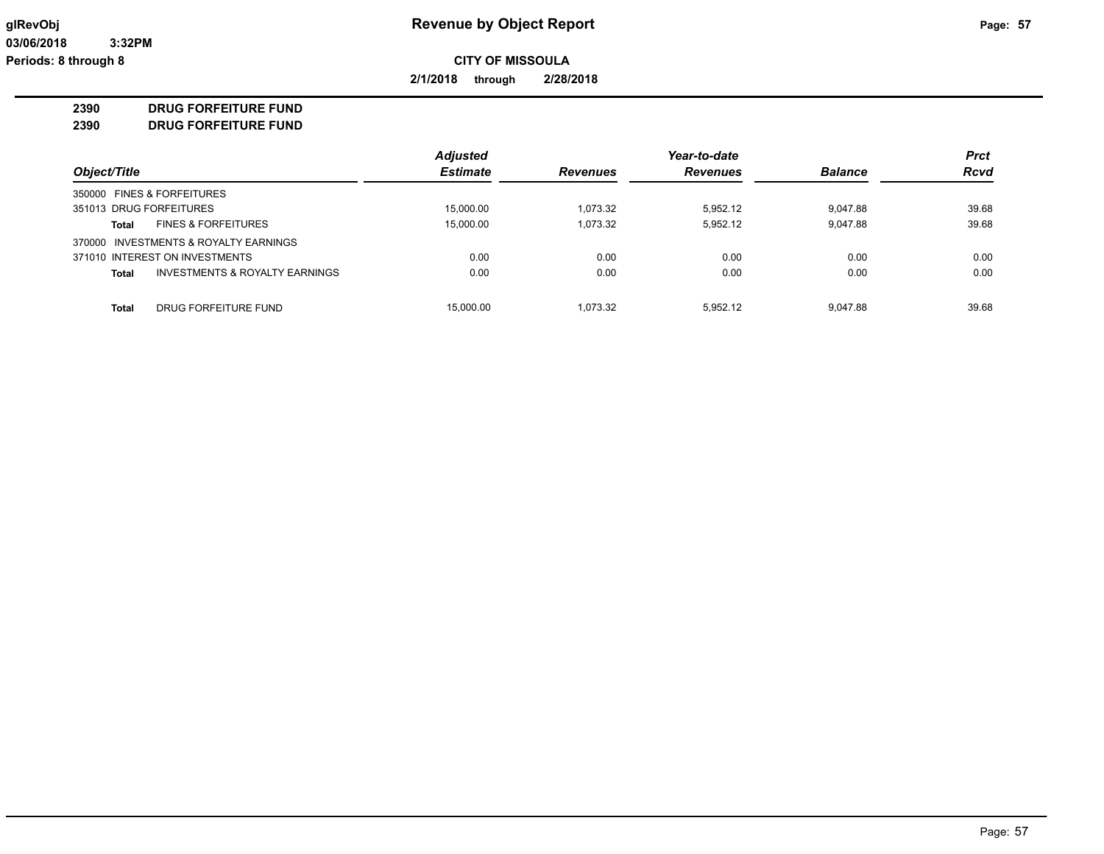**2/1/2018 through 2/28/2018**

**2390 DRUG FORFEITURE FUND**

**2390 DRUG FORFEITURE FUND**

|                                         | <b>Adjusted</b> |                 | Year-to-date    |                | <b>Prct</b> |
|-----------------------------------------|-----------------|-----------------|-----------------|----------------|-------------|
| Object/Title                            | <b>Estimate</b> | <b>Revenues</b> | <b>Revenues</b> | <b>Balance</b> | <b>Rcvd</b> |
| 350000 FINES & FORFEITURES              |                 |                 |                 |                |             |
| 351013 DRUG FORFEITURES                 | 15,000.00       | 1.073.32        | 5.952.12        | 9,047.88       | 39.68       |
| <b>FINES &amp; FORFEITURES</b><br>Total | 15,000.00       | 1,073.32        | 5,952.12        | 9,047.88       | 39.68       |
| 370000 INVESTMENTS & ROYALTY EARNINGS   |                 |                 |                 |                |             |
| 371010 INTEREST ON INVESTMENTS          | 0.00            | 0.00            | 0.00            | 0.00           | 0.00        |
| INVESTMENTS & ROYALTY EARNINGS<br>Total | 0.00            | 0.00            | 0.00            | 0.00           | 0.00        |
|                                         |                 |                 |                 |                |             |
| Total<br>DRUG FORFEITURE FUND           | 15,000.00       | 1.073.32        | 5.952.12        | 9.047.88       | 39.68       |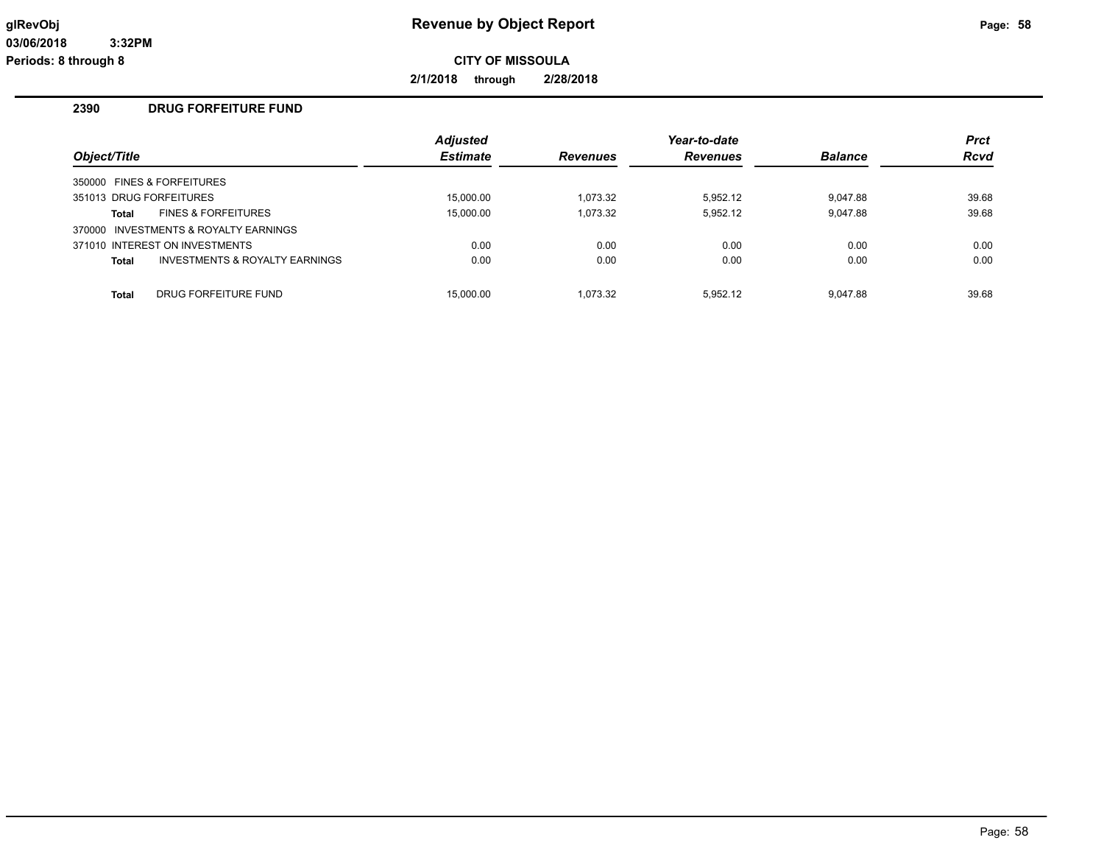**2/1/2018 through 2/28/2018**

#### **2390 DRUG FORFEITURE FUND**

|              |                                       | <b>Adjusted</b> |                 | Year-to-date    |                | <b>Prct</b> |
|--------------|---------------------------------------|-----------------|-----------------|-----------------|----------------|-------------|
| Object/Title |                                       | <b>Estimate</b> | <b>Revenues</b> | <b>Revenues</b> | <b>Balance</b> | <b>Rcvd</b> |
|              | 350000 FINES & FORFEITURES            |                 |                 |                 |                |             |
|              | 351013 DRUG FORFEITURES               | 15,000.00       | 1.073.32        | 5.952.12        | 9.047.88       | 39.68       |
| <b>Total</b> | <b>FINES &amp; FORFEITURES</b>        | 15,000.00       | 1,073.32        | 5.952.12        | 9.047.88       | 39.68       |
|              | 370000 INVESTMENTS & ROYALTY EARNINGS |                 |                 |                 |                |             |
|              | 371010 INTEREST ON INVESTMENTS        | 0.00            | 0.00            | 0.00            | 0.00           | 0.00        |
| <b>Total</b> | INVESTMENTS & ROYALTY EARNINGS        | 0.00            | 0.00            | 0.00            | 0.00           | 0.00        |
| <b>Total</b> | DRUG FORFEITURE FUND                  | 15.000.00       | 1.073.32        | 5.952.12        | 9.047.88       | 39.68       |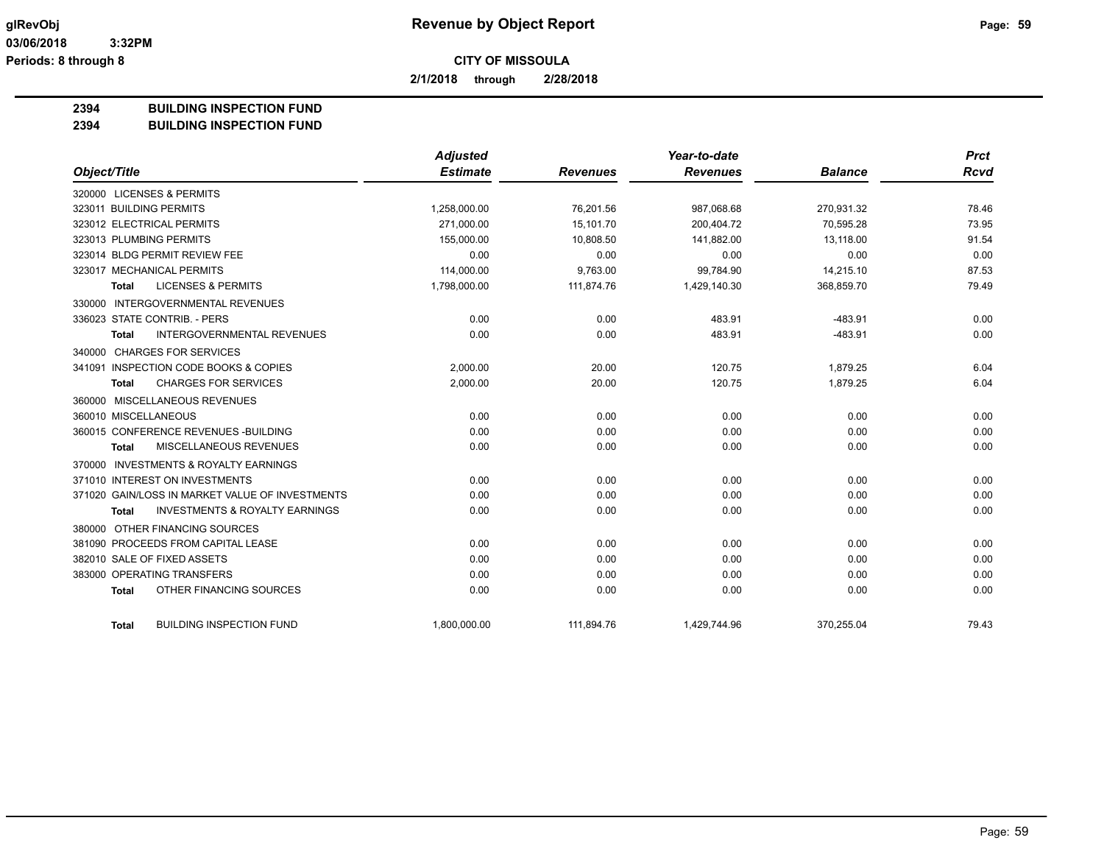**2/1/2018 through 2/28/2018**

#### **2394 BUILDING INSPECTION FUND**

#### **2394 BUILDING INSPECTION FUND**

|                                                           | <b>Adjusted</b> |                 | Year-to-date    |                | <b>Prct</b> |
|-----------------------------------------------------------|-----------------|-----------------|-----------------|----------------|-------------|
| Object/Title                                              | <b>Estimate</b> | <b>Revenues</b> | <b>Revenues</b> | <b>Balance</b> | <b>Rcvd</b> |
| 320000 LICENSES & PERMITS                                 |                 |                 |                 |                |             |
| 323011 BUILDING PERMITS                                   | 1,258,000.00    | 76.201.56       | 987,068.68      | 270,931.32     | 78.46       |
| 323012 ELECTRICAL PERMITS                                 | 271,000.00      | 15,101.70       | 200,404.72      | 70,595.28      | 73.95       |
| 323013 PLUMBING PERMITS                                   | 155,000.00      | 10,808.50       | 141,882.00      | 13,118.00      | 91.54       |
| 323014 BLDG PERMIT REVIEW FEE                             | 0.00            | 0.00            | 0.00            | 0.00           | 0.00        |
| 323017 MECHANICAL PERMITS                                 | 114,000.00      | 9,763.00        | 99,784.90       | 14,215.10      | 87.53       |
| <b>LICENSES &amp; PERMITS</b><br><b>Total</b>             | 1,798,000.00    | 111,874.76      | 1,429,140.30    | 368,859.70     | 79.49       |
| 330000 INTERGOVERNMENTAL REVENUES                         |                 |                 |                 |                |             |
| 336023 STATE CONTRIB. - PERS                              | 0.00            | 0.00            | 483.91          | $-483.91$      | 0.00        |
| <b>INTERGOVERNMENTAL REVENUES</b><br><b>Total</b>         | 0.00            | 0.00            | 483.91          | $-483.91$      | 0.00        |
| 340000 CHARGES FOR SERVICES                               |                 |                 |                 |                |             |
| 341091 INSPECTION CODE BOOKS & COPIES                     | 2,000.00        | 20.00           | 120.75          | 1,879.25       | 6.04        |
| <b>CHARGES FOR SERVICES</b><br><b>Total</b>               | 2,000.00        | 20.00           | 120.75          | 1,879.25       | 6.04        |
| 360000 MISCELLANEOUS REVENUES                             |                 |                 |                 |                |             |
| 360010 MISCELLANEOUS                                      | 0.00            | 0.00            | 0.00            | 0.00           | 0.00        |
| 360015 CONFERENCE REVENUES - BUILDING                     | 0.00            | 0.00            | 0.00            | 0.00           | 0.00        |
| MISCELLANEOUS REVENUES<br><b>Total</b>                    | 0.00            | 0.00            | 0.00            | 0.00           | 0.00        |
| 370000 INVESTMENTS & ROYALTY EARNINGS                     |                 |                 |                 |                |             |
| 371010 INTEREST ON INVESTMENTS                            | 0.00            | 0.00            | 0.00            | 0.00           | 0.00        |
| 371020 GAIN/LOSS IN MARKET VALUE OF INVESTMENTS           | 0.00            | 0.00            | 0.00            | 0.00           | 0.00        |
| <b>INVESTMENTS &amp; ROYALTY EARNINGS</b><br><b>Total</b> | 0.00            | 0.00            | 0.00            | 0.00           | 0.00        |
| 380000 OTHER FINANCING SOURCES                            |                 |                 |                 |                |             |
| 381090 PROCEEDS FROM CAPITAL LEASE                        | 0.00            | 0.00            | 0.00            | 0.00           | 0.00        |
| 382010 SALE OF FIXED ASSETS                               | 0.00            | 0.00            | 0.00            | 0.00           | 0.00        |
| 383000 OPERATING TRANSFERS                                | 0.00            | 0.00            | 0.00            | 0.00           | 0.00        |
| OTHER FINANCING SOURCES<br><b>Total</b>                   | 0.00            | 0.00            | 0.00            | 0.00           | 0.00        |
| <b>BUILDING INSPECTION FUND</b><br><b>Total</b>           | 1,800,000.00    | 111,894.76      | 1,429,744.96    | 370,255.04     | 79.43       |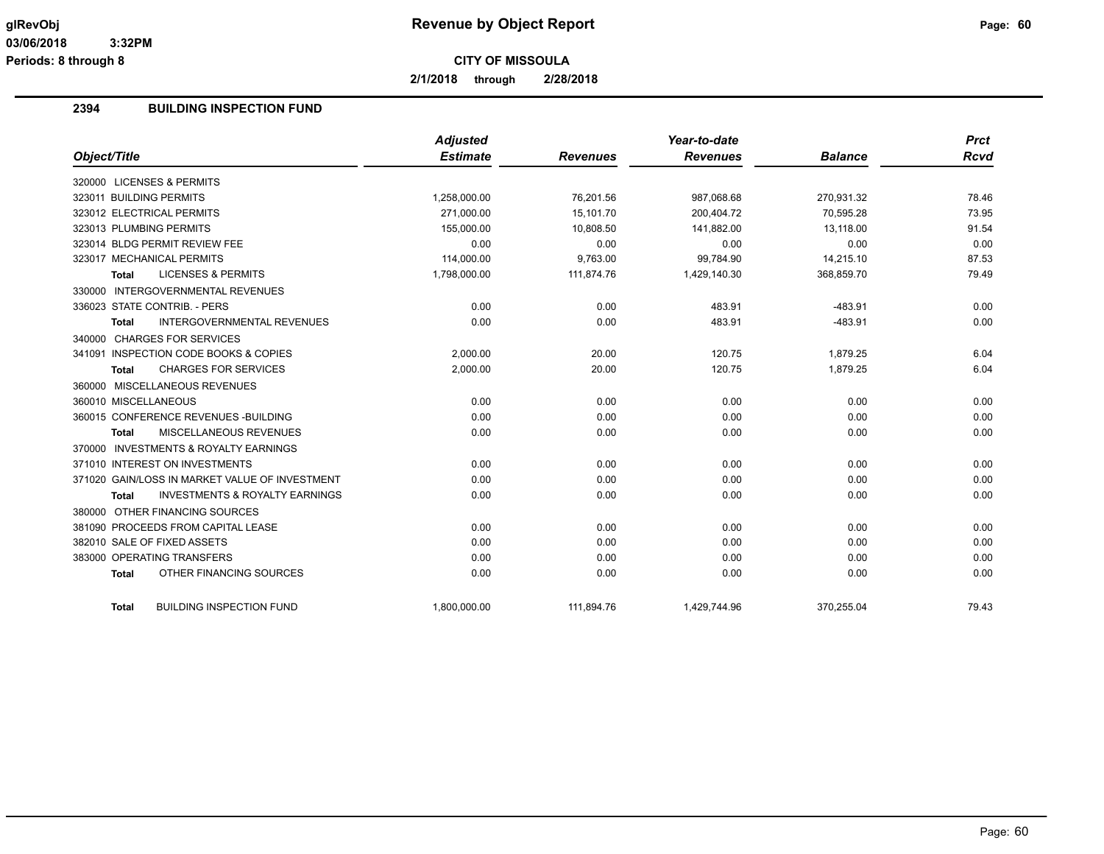**2/1/2018 through 2/28/2018**

#### **2394 BUILDING INSPECTION FUND**

|                                                           | <b>Adjusted</b> |                 | Year-to-date    |                | <b>Prct</b> |
|-----------------------------------------------------------|-----------------|-----------------|-----------------|----------------|-------------|
| Object/Title                                              | <b>Estimate</b> | <b>Revenues</b> | <b>Revenues</b> | <b>Balance</b> | Rcvd        |
| 320000 LICENSES & PERMITS                                 |                 |                 |                 |                |             |
| 323011 BUILDING PERMITS                                   | 1,258,000.00    | 76,201.56       | 987,068.68      | 270,931.32     | 78.46       |
| 323012 ELECTRICAL PERMITS                                 | 271.000.00      | 15.101.70       | 200.404.72      | 70.595.28      | 73.95       |
| 323013 PLUMBING PERMITS                                   | 155,000.00      | 10,808.50       | 141,882.00      | 13,118.00      | 91.54       |
| 323014 BLDG PERMIT REVIEW FEE                             | 0.00            | 0.00            | 0.00            | 0.00           | 0.00        |
| 323017 MECHANICAL PERMITS                                 | 114,000.00      | 9,763.00        | 99,784.90       | 14,215.10      | 87.53       |
| <b>LICENSES &amp; PERMITS</b><br><b>Total</b>             | 1,798,000.00    | 111,874.76      | 1,429,140.30    | 368,859.70     | 79.49       |
| 330000 INTERGOVERNMENTAL REVENUES                         |                 |                 |                 |                |             |
| 336023 STATE CONTRIB. - PERS                              | 0.00            | 0.00            | 483.91          | $-483.91$      | 0.00        |
| <b>INTERGOVERNMENTAL REVENUES</b><br><b>Total</b>         | 0.00            | 0.00            | 483.91          | $-483.91$      | 0.00        |
| 340000 CHARGES FOR SERVICES                               |                 |                 |                 |                |             |
| 341091 INSPECTION CODE BOOKS & COPIES                     | 2.000.00        | 20.00           | 120.75          | 1.879.25       | 6.04        |
| <b>CHARGES FOR SERVICES</b><br><b>Total</b>               | 2,000.00        | 20.00           | 120.75          | 1,879.25       | 6.04        |
| 360000 MISCELLANEOUS REVENUES                             |                 |                 |                 |                |             |
| 360010 MISCELLANEOUS                                      | 0.00            | 0.00            | 0.00            | 0.00           | 0.00        |
| 360015 CONFERENCE REVENUES - BUILDING                     | 0.00            | 0.00            | 0.00            | 0.00           | 0.00        |
| MISCELLANEOUS REVENUES<br><b>Total</b>                    | 0.00            | 0.00            | 0.00            | 0.00           | 0.00        |
| 370000 INVESTMENTS & ROYALTY EARNINGS                     |                 |                 |                 |                |             |
| 371010 INTEREST ON INVESTMENTS                            | 0.00            | 0.00            | 0.00            | 0.00           | 0.00        |
| 371020 GAIN/LOSS IN MARKET VALUE OF INVESTMENT            | 0.00            | 0.00            | 0.00            | 0.00           | 0.00        |
| <b>INVESTMENTS &amp; ROYALTY EARNINGS</b><br><b>Total</b> | 0.00            | 0.00            | 0.00            | 0.00           | 0.00        |
| 380000 OTHER FINANCING SOURCES                            |                 |                 |                 |                |             |
| 381090 PROCEEDS FROM CAPITAL LEASE                        | 0.00            | 0.00            | 0.00            | 0.00           | 0.00        |
| 382010 SALE OF FIXED ASSETS                               | 0.00            | 0.00            | 0.00            | 0.00           | 0.00        |
| 383000 OPERATING TRANSFERS                                | 0.00            | 0.00            | 0.00            | 0.00           | 0.00        |
| OTHER FINANCING SOURCES<br><b>Total</b>                   | 0.00            | 0.00            | 0.00            | 0.00           | 0.00        |
| <b>BUILDING INSPECTION FUND</b><br>Total                  | 1,800,000.00    | 111,894.76      | 1,429,744.96    | 370,255.04     | 79.43       |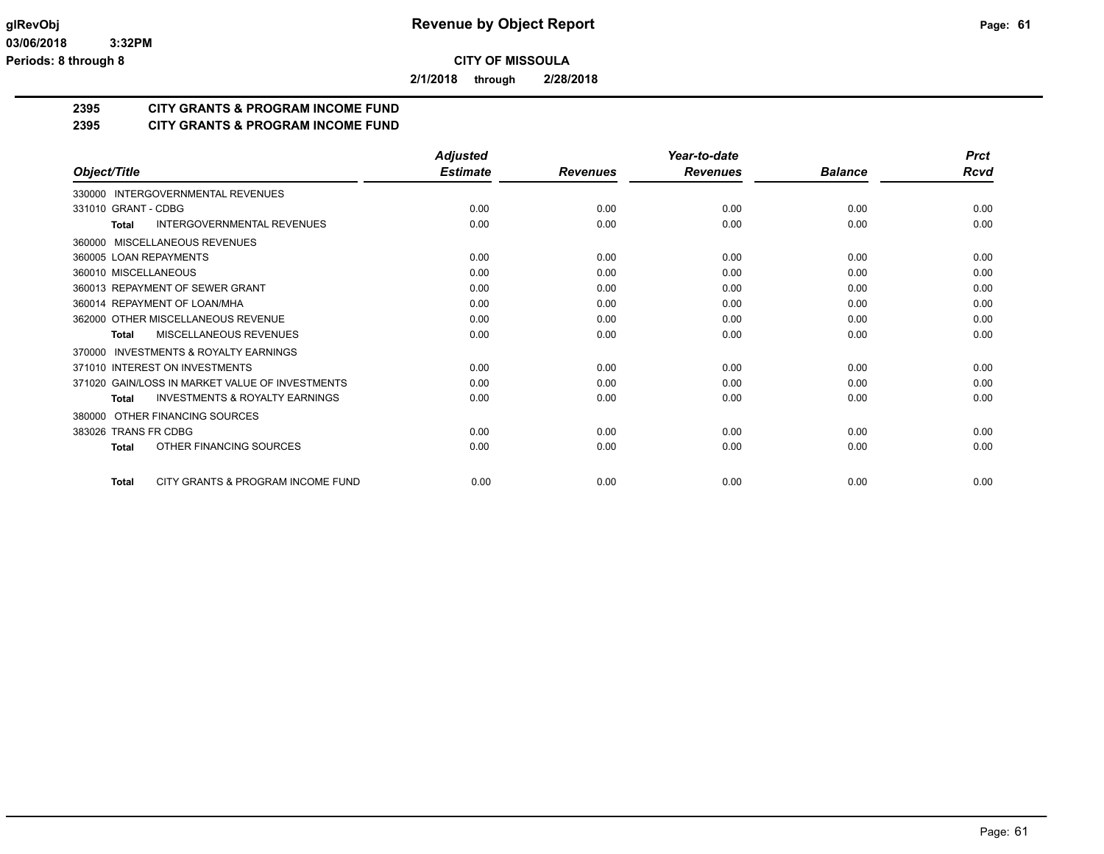**2/1/2018 through 2/28/2018**

## **2395 CITY GRANTS & PROGRAM INCOME FUND**

#### **2395 CITY GRANTS & PROGRAM INCOME FUND**

|                                                     | <b>Adjusted</b> |                 | Year-to-date    |                | <b>Prct</b> |
|-----------------------------------------------------|-----------------|-----------------|-----------------|----------------|-------------|
| Object/Title                                        | <b>Estimate</b> | <b>Revenues</b> | <b>Revenues</b> | <b>Balance</b> | Rcvd        |
| 330000 INTERGOVERNMENTAL REVENUES                   |                 |                 |                 |                |             |
| 331010 GRANT - CDBG                                 | 0.00            | 0.00            | 0.00            | 0.00           | 0.00        |
| <b>INTERGOVERNMENTAL REVENUES</b><br>Total          | 0.00            | 0.00            | 0.00            | 0.00           | 0.00        |
| MISCELLANEOUS REVENUES<br>360000                    |                 |                 |                 |                |             |
| 360005 LOAN REPAYMENTS                              | 0.00            | 0.00            | 0.00            | 0.00           | 0.00        |
| 360010 MISCELLANEOUS                                | 0.00            | 0.00            | 0.00            | 0.00           | 0.00        |
| 360013 REPAYMENT OF SEWER GRANT                     | 0.00            | 0.00            | 0.00            | 0.00           | 0.00        |
| 360014 REPAYMENT OF LOAN/MHA                        | 0.00            | 0.00            | 0.00            | 0.00           | 0.00        |
| 362000 OTHER MISCELLANEOUS REVENUE                  | 0.00            | 0.00            | 0.00            | 0.00           | 0.00        |
| MISCELLANEOUS REVENUES<br><b>Total</b>              | 0.00            | 0.00            | 0.00            | 0.00           | 0.00        |
| <b>INVESTMENTS &amp; ROYALTY EARNINGS</b><br>370000 |                 |                 |                 |                |             |
| 371010 INTEREST ON INVESTMENTS                      | 0.00            | 0.00            | 0.00            | 0.00           | 0.00        |
| 371020 GAIN/LOSS IN MARKET VALUE OF INVESTMENTS     | 0.00            | 0.00            | 0.00            | 0.00           | 0.00        |
| <b>INVESTMENTS &amp; ROYALTY EARNINGS</b><br>Total  | 0.00            | 0.00            | 0.00            | 0.00           | 0.00        |
| OTHER FINANCING SOURCES<br>380000                   |                 |                 |                 |                |             |
| 383026 TRANS FR CDBG                                | 0.00            | 0.00            | 0.00            | 0.00           | 0.00        |
| OTHER FINANCING SOURCES<br><b>Total</b>             | 0.00            | 0.00            | 0.00            | 0.00           | 0.00        |
| CITY GRANTS & PROGRAM INCOME FUND<br><b>Total</b>   | 0.00            | 0.00            | 0.00            | 0.00           | 0.00        |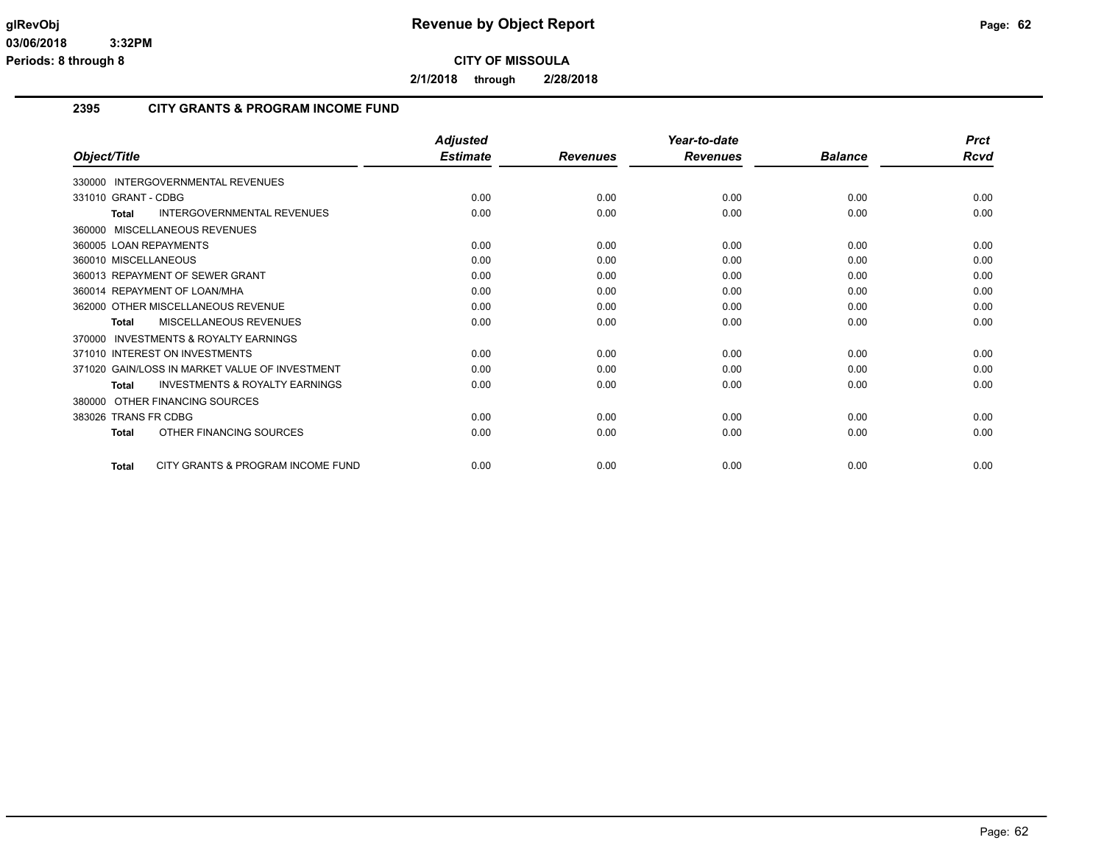**2/1/2018 through 2/28/2018**

#### **2395 CITY GRANTS & PROGRAM INCOME FUND**

|                                                           | <b>Adjusted</b> |                 | Year-to-date    |                | <b>Prct</b> |
|-----------------------------------------------------------|-----------------|-----------------|-----------------|----------------|-------------|
| Object/Title                                              | <b>Estimate</b> | <b>Revenues</b> | <b>Revenues</b> | <b>Balance</b> | <b>Rcvd</b> |
| 330000 INTERGOVERNMENTAL REVENUES                         |                 |                 |                 |                |             |
| 331010 GRANT - CDBG                                       | 0.00            | 0.00            | 0.00            | 0.00           | 0.00        |
| <b>INTERGOVERNMENTAL REVENUES</b><br><b>Total</b>         | 0.00            | 0.00            | 0.00            | 0.00           | 0.00        |
| 360000 MISCELLANEOUS REVENUES                             |                 |                 |                 |                |             |
| 360005 LOAN REPAYMENTS                                    | 0.00            | 0.00            | 0.00            | 0.00           | 0.00        |
| 360010 MISCELLANEOUS                                      | 0.00            | 0.00            | 0.00            | 0.00           | 0.00        |
| 360013 REPAYMENT OF SEWER GRANT                           | 0.00            | 0.00            | 0.00            | 0.00           | 0.00        |
| 360014 REPAYMENT OF LOAN/MHA                              | 0.00            | 0.00            | 0.00            | 0.00           | 0.00        |
| 362000 OTHER MISCELLANEOUS REVENUE                        | 0.00            | 0.00            | 0.00            | 0.00           | 0.00        |
| MISCELLANEOUS REVENUES<br><b>Total</b>                    | 0.00            | 0.00            | 0.00            | 0.00           | 0.00        |
| <b>INVESTMENTS &amp; ROYALTY EARNINGS</b><br>370000       |                 |                 |                 |                |             |
| 371010 INTEREST ON INVESTMENTS                            | 0.00            | 0.00            | 0.00            | 0.00           | 0.00        |
| 371020 GAIN/LOSS IN MARKET VALUE OF INVESTMENT            | 0.00            | 0.00            | 0.00            | 0.00           | 0.00        |
| <b>INVESTMENTS &amp; ROYALTY EARNINGS</b><br><b>Total</b> | 0.00            | 0.00            | 0.00            | 0.00           | 0.00        |
| 380000 OTHER FINANCING SOURCES                            |                 |                 |                 |                |             |
| 383026 TRANS FR CDBG                                      | 0.00            | 0.00            | 0.00            | 0.00           | 0.00        |
| OTHER FINANCING SOURCES<br><b>Total</b>                   | 0.00            | 0.00            | 0.00            | 0.00           | 0.00        |
| CITY GRANTS & PROGRAM INCOME FUND<br><b>Total</b>         | 0.00            | 0.00            | 0.00            | 0.00           | 0.00        |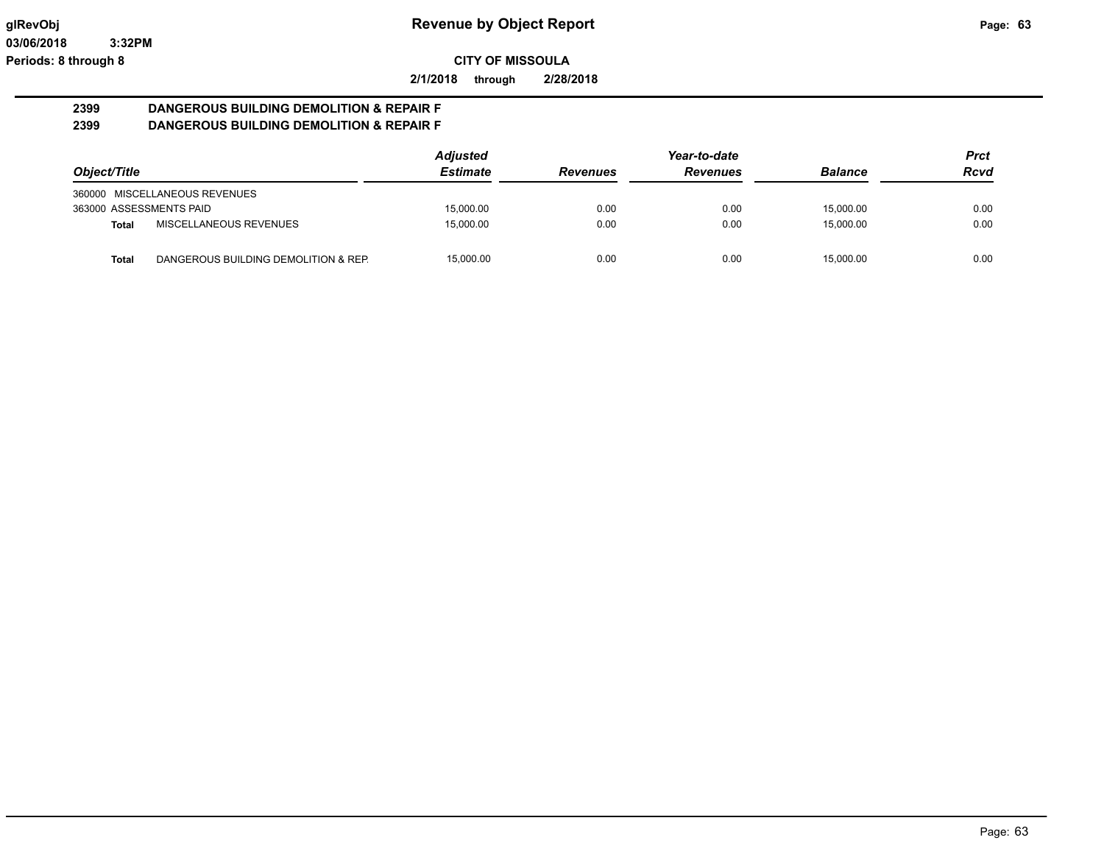**2/1/2018 through 2/28/2018**

#### **2399 DANGEROUS BUILDING DEMOLITION & REPAIR F 2399 DANGEROUS BUILDING DEMOLITION & REPAIR F**

|                         |                                      | <b>Adjusted</b> |                 | Year-to-date    |                | <b>Prct</b> |
|-------------------------|--------------------------------------|-----------------|-----------------|-----------------|----------------|-------------|
| Object/Title            |                                      | <b>Estimate</b> | <b>Revenues</b> | <b>Revenues</b> | <b>Balance</b> | <b>Rcvd</b> |
|                         | 360000 MISCELLANEOUS REVENUES        |                 |                 |                 |                |             |
| 363000 ASSESSMENTS PAID |                                      | 15,000.00       | 0.00            | 0.00            | 15.000.00      | 0.00        |
| <b>Total</b>            | MISCELLANEOUS REVENUES               | 15.000.00       | 0.00            | 0.00            | 15.000.00      | 0.00        |
| Total                   | DANGEROUS BUILDING DEMOLITION & REP. | 15.000.00       | 0.00            | 0.00            | 15.000.00      | 0.00        |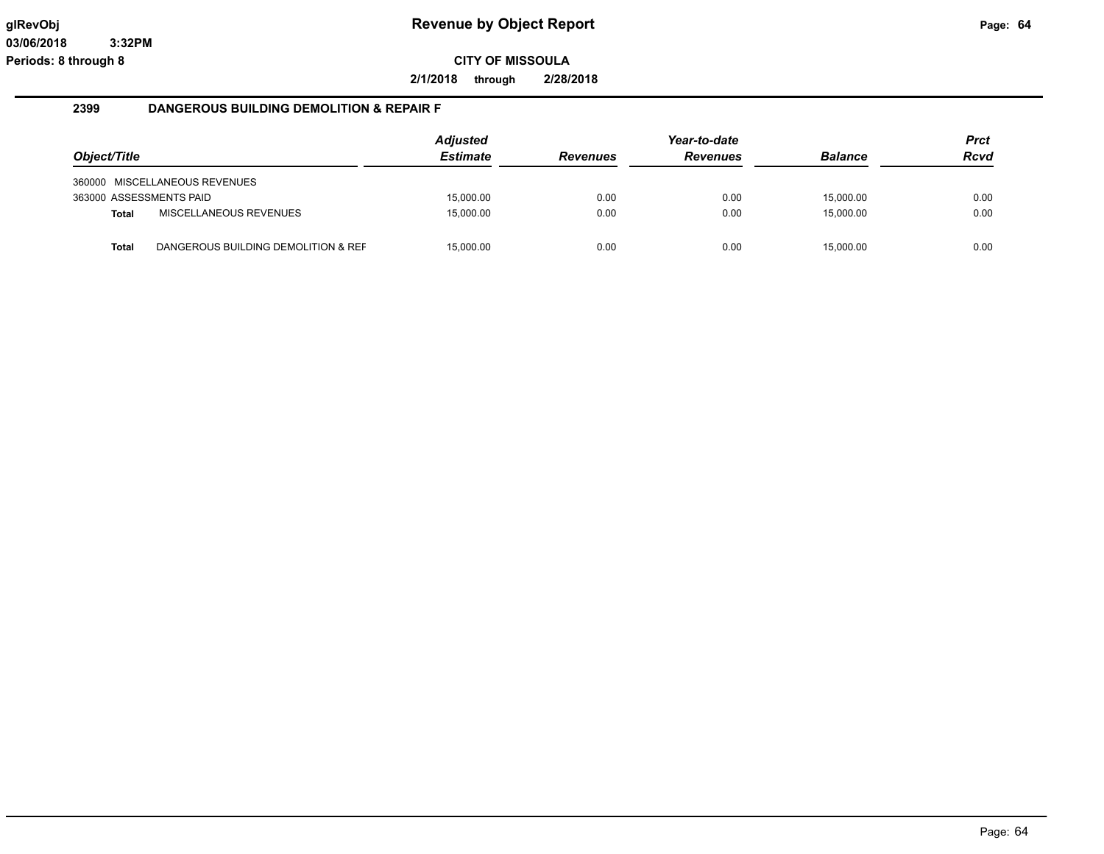**2/1/2018 through 2/28/2018**

#### **2399 DANGEROUS BUILDING DEMOLITION & REPAIR F**

| Object/Title            |                                     | <b>Adjusted</b><br><b>Estimate</b> | <b>Revenues</b> | Year-to-date<br><b>Revenues</b> | <b>Balance</b> | <b>Prct</b><br><b>Rcvd</b> |
|-------------------------|-------------------------------------|------------------------------------|-----------------|---------------------------------|----------------|----------------------------|
|                         | 360000 MISCELLANEOUS REVENUES       |                                    |                 |                                 |                |                            |
| 363000 ASSESSMENTS PAID |                                     | 15.000.00                          | 0.00            | 0.00                            | 15.000.00      | 0.00                       |
| Total                   | MISCELLANEOUS REVENUES              | 15.000.00                          | 0.00            | 0.00                            | 15,000.00      | 0.00                       |
| <b>Total</b>            | DANGEROUS BUILDING DEMOLITION & REF | 15.000.00                          | 0.00            | 0.00                            | 15.000.00      | 0.00                       |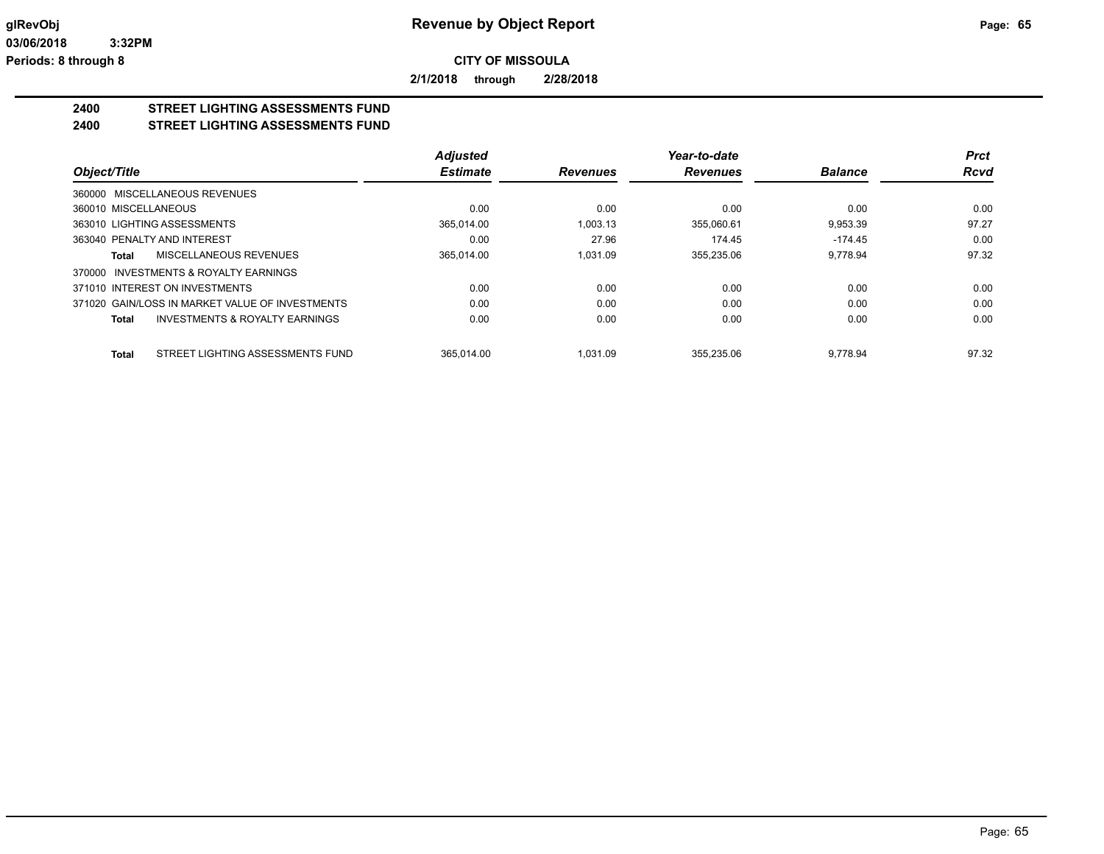**2/1/2018 through 2/28/2018**

## **2400 STREET LIGHTING ASSESSMENTS FUND**

**2400 STREET LIGHTING ASSESSMENTS FUND**

|                                                           | <b>Adjusted</b> |                 | Year-to-date    |                | <b>Prct</b> |
|-----------------------------------------------------------|-----------------|-----------------|-----------------|----------------|-------------|
| Object/Title                                              | <b>Estimate</b> | <b>Revenues</b> | <b>Revenues</b> | <b>Balance</b> | <b>Rcvd</b> |
| 360000 MISCELLANEOUS REVENUES                             |                 |                 |                 |                |             |
| 360010 MISCELLANEOUS                                      | 0.00            | 0.00            | 0.00            | 0.00           | 0.00        |
| 363010 LIGHTING ASSESSMENTS                               | 365.014.00      | 1.003.13        | 355.060.61      | 9.953.39       | 97.27       |
| 363040 PENALTY AND INTEREST                               | 0.00            | 27.96           | 174.45          | $-174.45$      | 0.00        |
| MISCELLANEOUS REVENUES<br>Total                           | 365.014.00      | 1.031.09        | 355.235.06      | 9.778.94       | 97.32       |
| 370000 INVESTMENTS & ROYALTY EARNINGS                     |                 |                 |                 |                |             |
| 371010 INTEREST ON INVESTMENTS                            | 0.00            | 0.00            | 0.00            | 0.00           | 0.00        |
| 371020 GAIN/LOSS IN MARKET VALUE OF INVESTMENTS           | 0.00            | 0.00            | 0.00            | 0.00           | 0.00        |
| <b>INVESTMENTS &amp; ROYALTY EARNINGS</b><br><b>Total</b> | 0.00            | 0.00            | 0.00            | 0.00           | 0.00        |
| STREET LIGHTING ASSESSMENTS FUND<br><b>Total</b>          | 365.014.00      | 1.031.09        | 355.235.06      | 9.778.94       | 97.32       |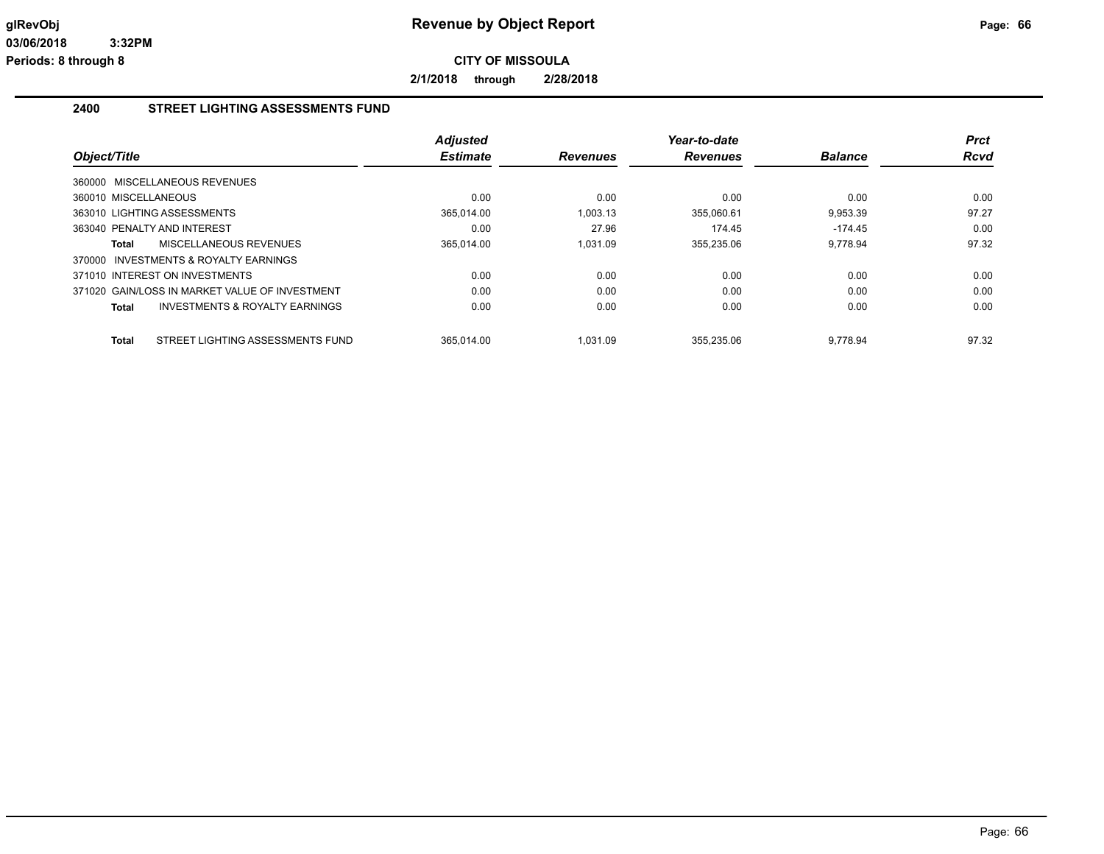**2/1/2018 through 2/28/2018**

#### **2400 STREET LIGHTING ASSESSMENTS FUND**

| Object/Title                                              | <b>Adjusted</b><br><b>Estimate</b> | <b>Revenues</b> | Year-to-date<br><b>Revenues</b> | <b>Balance</b> | <b>Prct</b><br><b>Rcvd</b> |
|-----------------------------------------------------------|------------------------------------|-----------------|---------------------------------|----------------|----------------------------|
|                                                           |                                    |                 |                                 |                |                            |
| 360000 MISCELLANEOUS REVENUES                             |                                    |                 |                                 |                |                            |
| 360010 MISCELLANEOUS                                      | 0.00                               | 0.00            | 0.00                            | 0.00           | 0.00                       |
| 363010 LIGHTING ASSESSMENTS                               | 365.014.00                         | 1.003.13        | 355.060.61                      | 9.953.39       | 97.27                      |
| 363040 PENALTY AND INTEREST                               | 0.00                               | 27.96           | 174.45                          | $-174.45$      | 0.00                       |
| MISCELLANEOUS REVENUES<br>Total                           | 365,014.00                         | 1,031.09        | 355,235.06                      | 9.778.94       | 97.32                      |
| 370000 INVESTMENTS & ROYALTY EARNINGS                     |                                    |                 |                                 |                |                            |
| 371010 INTEREST ON INVESTMENTS                            | 0.00                               | 0.00            | 0.00                            | 0.00           | 0.00                       |
| 371020 GAIN/LOSS IN MARKET VALUE OF INVESTMENT            | 0.00                               | 0.00            | 0.00                            | 0.00           | 0.00                       |
| <b>INVESTMENTS &amp; ROYALTY EARNINGS</b><br><b>Total</b> | 0.00                               | 0.00            | 0.00                            | 0.00           | 0.00                       |
|                                                           |                                    |                 |                                 |                |                            |
| STREET LIGHTING ASSESSMENTS FUND<br><b>Total</b>          | 365.014.00                         | 1.031.09        | 355,235.06                      | 9.778.94       | 97.32                      |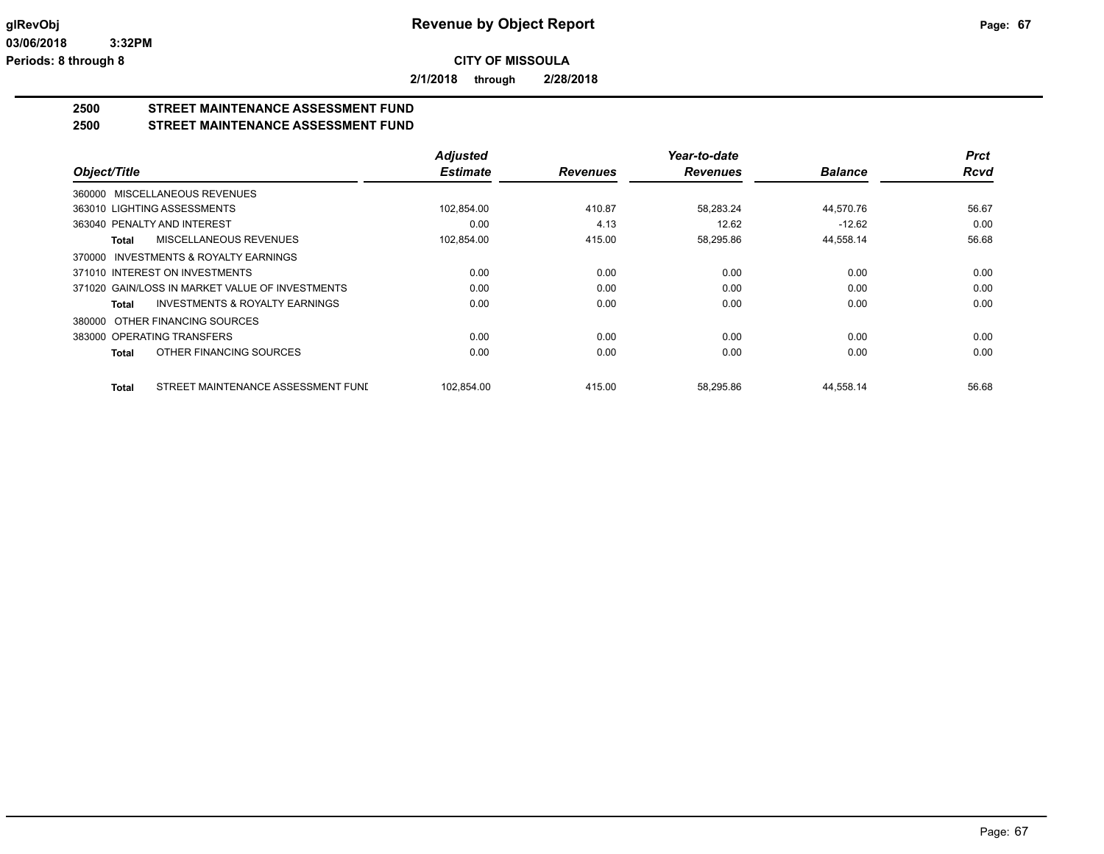**2/1/2018 through 2/28/2018**

# **2500 STREET MAINTENANCE ASSESSMENT FUND**

**2500 STREET MAINTENANCE ASSESSMENT FUND**

|                                                     | <b>Adjusted</b> |                 | Year-to-date    |                | <b>Prct</b> |
|-----------------------------------------------------|-----------------|-----------------|-----------------|----------------|-------------|
| Object/Title                                        | <b>Estimate</b> | <b>Revenues</b> | <b>Revenues</b> | <b>Balance</b> | <b>Rcvd</b> |
| 360000 MISCELLANEOUS REVENUES                       |                 |                 |                 |                |             |
| 363010 LIGHTING ASSESSMENTS                         | 102,854.00      | 410.87          | 58,283.24       | 44,570.76      | 56.67       |
| 363040 PENALTY AND INTEREST                         | 0.00            | 4.13            | 12.62           | $-12.62$       | 0.00        |
| MISCELLANEOUS REVENUES<br><b>Total</b>              | 102,854.00      | 415.00          | 58,295.86       | 44,558.14      | 56.68       |
| <b>INVESTMENTS &amp; ROYALTY EARNINGS</b><br>370000 |                 |                 |                 |                |             |
| 371010 INTEREST ON INVESTMENTS                      | 0.00            | 0.00            | 0.00            | 0.00           | 0.00        |
| 371020 GAIN/LOSS IN MARKET VALUE OF INVESTMENTS     | 0.00            | 0.00            | 0.00            | 0.00           | 0.00        |
| INVESTMENTS & ROYALTY EARNINGS<br>Total             | 0.00            | 0.00            | 0.00            | 0.00           | 0.00        |
| OTHER FINANCING SOURCES<br>380000                   |                 |                 |                 |                |             |
| 383000 OPERATING TRANSFERS                          | 0.00            | 0.00            | 0.00            | 0.00           | 0.00        |
| OTHER FINANCING SOURCES<br><b>Total</b>             | 0.00            | 0.00            | 0.00            | 0.00           | 0.00        |
| STREET MAINTENANCE ASSESSMENT FUND<br><b>Total</b>  | 102,854.00      | 415.00          | 58,295.86       | 44,558.14      | 56.68       |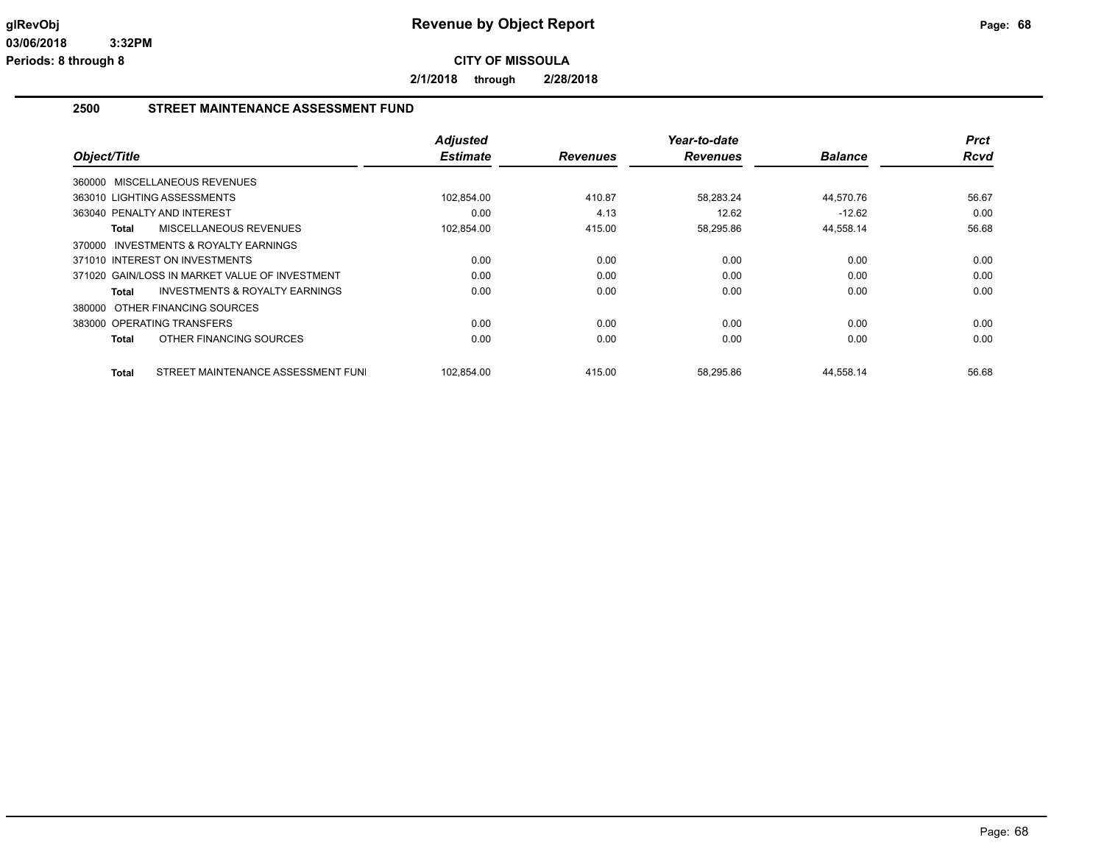**2/1/2018 through 2/28/2018**

#### **2500 STREET MAINTENANCE ASSESSMENT FUND**

|                                                    | <b>Adjusted</b> |                 | Year-to-date    |                | <b>Prct</b> |
|----------------------------------------------------|-----------------|-----------------|-----------------|----------------|-------------|
| Object/Title                                       | <b>Estimate</b> | <b>Revenues</b> | <b>Revenues</b> | <b>Balance</b> | Rcvd        |
| 360000 MISCELLANEOUS REVENUES                      |                 |                 |                 |                |             |
| 363010 LIGHTING ASSESSMENTS                        | 102,854.00      | 410.87          | 58,283.24       | 44,570.76      | 56.67       |
| 363040 PENALTY AND INTEREST                        | 0.00            | 4.13            | 12.62           | $-12.62$       | 0.00        |
| MISCELLANEOUS REVENUES<br>Total                    | 102,854.00      | 415.00          | 58,295.86       | 44,558.14      | 56.68       |
| 370000 INVESTMENTS & ROYALTY EARNINGS              |                 |                 |                 |                |             |
| 371010 INTEREST ON INVESTMENTS                     | 0.00            | 0.00            | 0.00            | 0.00           | 0.00        |
| 371020 GAIN/LOSS IN MARKET VALUE OF INVESTMENT     | 0.00            | 0.00            | 0.00            | 0.00           | 0.00        |
| <b>INVESTMENTS &amp; ROYALTY EARNINGS</b><br>Total | 0.00            | 0.00            | 0.00            | 0.00           | 0.00        |
| 380000 OTHER FINANCING SOURCES                     |                 |                 |                 |                |             |
| 383000 OPERATING TRANSFERS                         | 0.00            | 0.00            | 0.00            | 0.00           | 0.00        |
| OTHER FINANCING SOURCES<br>Total                   | 0.00            | 0.00            | 0.00            | 0.00           | 0.00        |
| STREET MAINTENANCE ASSESSMENT FUNI<br>Total        | 102,854.00      | 415.00          | 58,295.86       | 44,558.14      | 56.68       |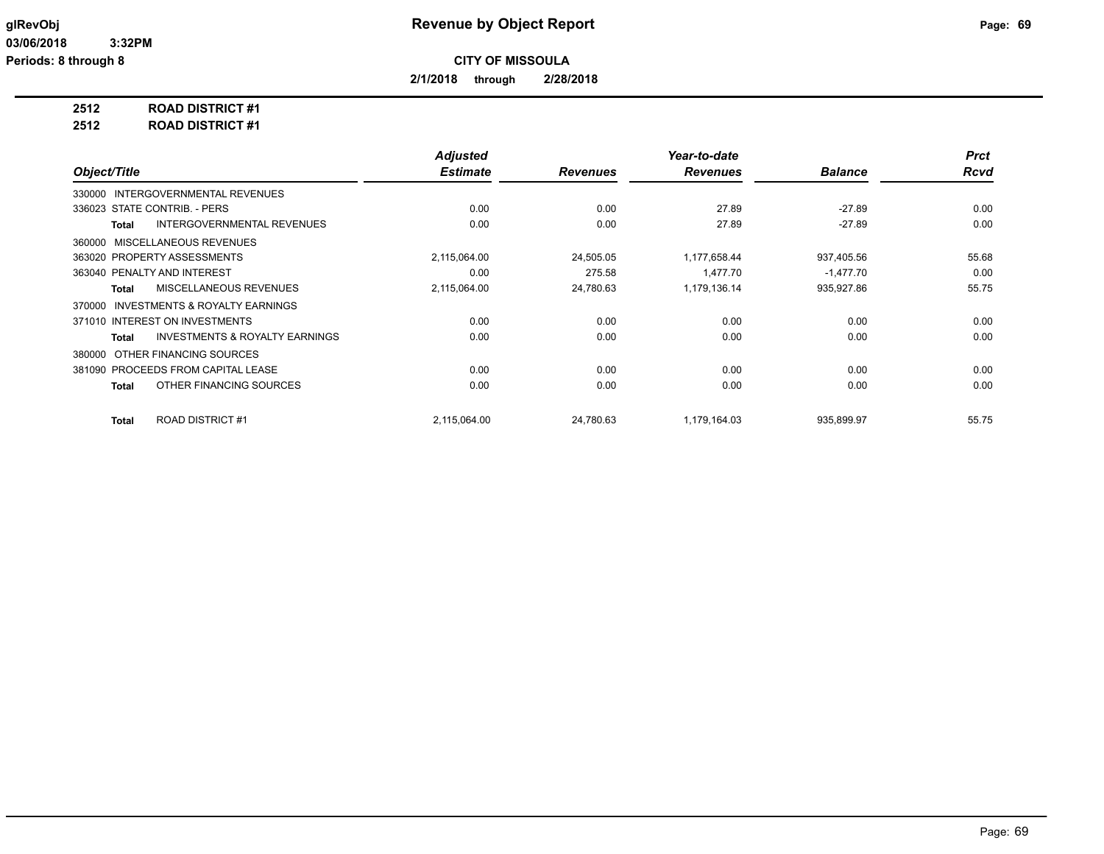**2/1/2018 through 2/28/2018**

**2512 ROAD DISTRICT #1**

**2512 ROAD DISTRICT #1**

|                                                    | <b>Adjusted</b> |                 | Year-to-date    |                | <b>Prct</b> |
|----------------------------------------------------|-----------------|-----------------|-----------------|----------------|-------------|
| Object/Title                                       | <b>Estimate</b> | <b>Revenues</b> | <b>Revenues</b> | <b>Balance</b> | <b>Rcvd</b> |
| INTERGOVERNMENTAL REVENUES<br>330000               |                 |                 |                 |                |             |
| 336023 STATE CONTRIB. - PERS                       | 0.00            | 0.00            | 27.89           | $-27.89$       | 0.00        |
| <b>INTERGOVERNMENTAL REVENUES</b><br>Total         | 0.00            | 0.00            | 27.89           | $-27.89$       | 0.00        |
| 360000 MISCELLANEOUS REVENUES                      |                 |                 |                 |                |             |
| 363020 PROPERTY ASSESSMENTS                        | 2,115,064.00    | 24,505.05       | 1,177,658.44    | 937,405.56     | 55.68       |
| 363040 PENALTY AND INTEREST                        | 0.00            | 275.58          | 1.477.70        | $-1,477.70$    | 0.00        |
| MISCELLANEOUS REVENUES<br>Total                    | 2,115,064.00    | 24,780.63       | 1,179,136.14    | 935,927.86     | 55.75       |
| INVESTMENTS & ROYALTY EARNINGS<br>370000           |                 |                 |                 |                |             |
| 371010 INTEREST ON INVESTMENTS                     | 0.00            | 0.00            | 0.00            | 0.00           | 0.00        |
| <b>INVESTMENTS &amp; ROYALTY EARNINGS</b><br>Total | 0.00            | 0.00            | 0.00            | 0.00           | 0.00        |
| OTHER FINANCING SOURCES<br>380000                  |                 |                 |                 |                |             |
| 381090 PROCEEDS FROM CAPITAL LEASE                 | 0.00            | 0.00            | 0.00            | 0.00           | 0.00        |
| OTHER FINANCING SOURCES<br>Total                   | 0.00            | 0.00            | 0.00            | 0.00           | 0.00        |
|                                                    |                 |                 |                 |                |             |
| <b>ROAD DISTRICT#1</b><br><b>Total</b>             | 2,115,064.00    | 24,780.63       | 1,179,164.03    | 935,899.97     | 55.75       |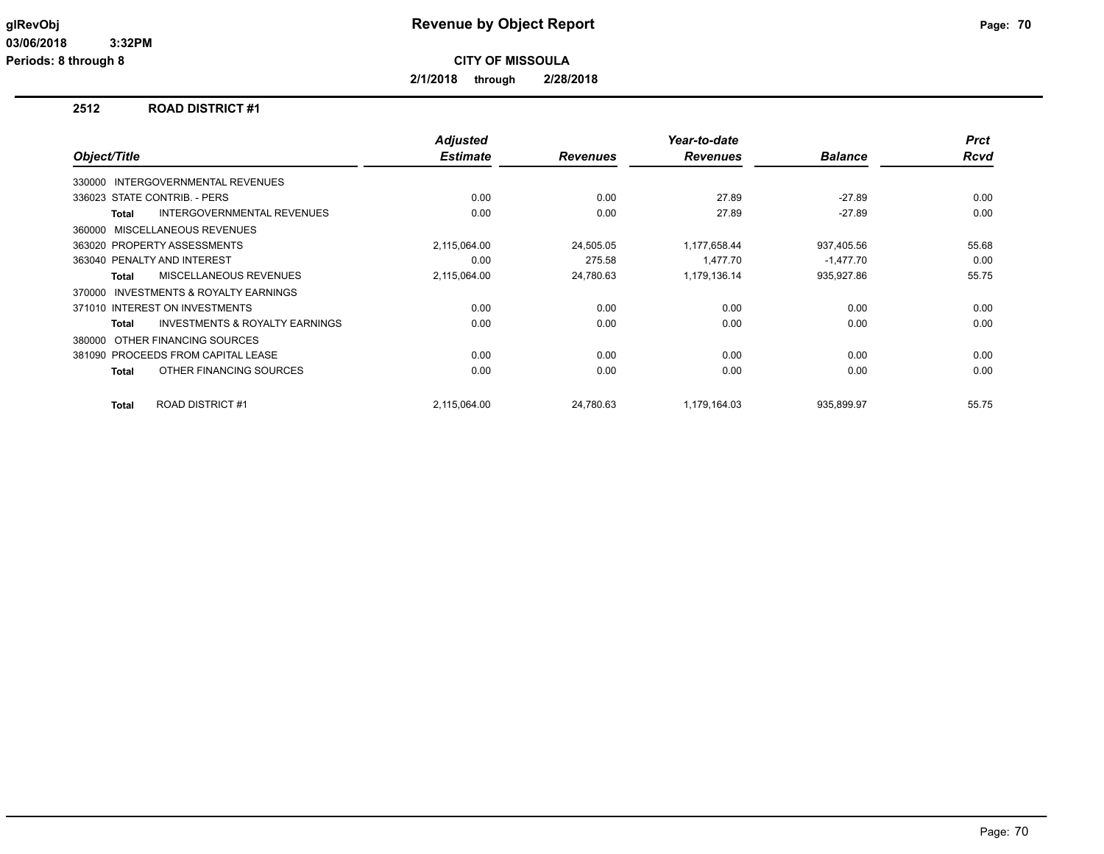**2/1/2018 through 2/28/2018**

#### **2512 ROAD DISTRICT #1**

|              |                                           | <b>Adjusted</b> |                 | Year-to-date    |                | <b>Prct</b> |
|--------------|-------------------------------------------|-----------------|-----------------|-----------------|----------------|-------------|
| Object/Title |                                           | <b>Estimate</b> | <b>Revenues</b> | <b>Revenues</b> | <b>Balance</b> | <b>Rcvd</b> |
|              | 330000 INTERGOVERNMENTAL REVENUES         |                 |                 |                 |                |             |
|              | 336023 STATE CONTRIB. - PERS              | 0.00            | 0.00            | 27.89           | $-27.89$       | 0.00        |
| Total        | <b>INTERGOVERNMENTAL REVENUES</b>         | 0.00            | 0.00            | 27.89           | $-27.89$       | 0.00        |
|              | 360000 MISCELLANEOUS REVENUES             |                 |                 |                 |                |             |
|              | 363020 PROPERTY ASSESSMENTS               | 2,115,064.00    | 24,505.05       | 1,177,658.44    | 937,405.56     | 55.68       |
|              | 363040 PENALTY AND INTEREST               | 0.00            | 275.58          | 1.477.70        | $-1,477.70$    | 0.00        |
| <b>Total</b> | MISCELLANEOUS REVENUES                    | 2,115,064.00    | 24,780.63       | 1,179,136.14    | 935,927.86     | 55.75       |
| 370000       | <b>INVESTMENTS &amp; ROYALTY EARNINGS</b> |                 |                 |                 |                |             |
|              | 371010 INTEREST ON INVESTMENTS            | 0.00            | 0.00            | 0.00            | 0.00           | 0.00        |
| <b>Total</b> | <b>INVESTMENTS &amp; ROYALTY EARNINGS</b> | 0.00            | 0.00            | 0.00            | 0.00           | 0.00        |
| 380000       | OTHER FINANCING SOURCES                   |                 |                 |                 |                |             |
|              | 381090 PROCEEDS FROM CAPITAL LEASE        | 0.00            | 0.00            | 0.00            | 0.00           | 0.00        |
| <b>Total</b> | OTHER FINANCING SOURCES                   | 0.00            | 0.00            | 0.00            | 0.00           | 0.00        |
| Total        | <b>ROAD DISTRICT #1</b>                   | 2,115,064.00    | 24.780.63       | 1,179,164.03    | 935.899.97     | 55.75       |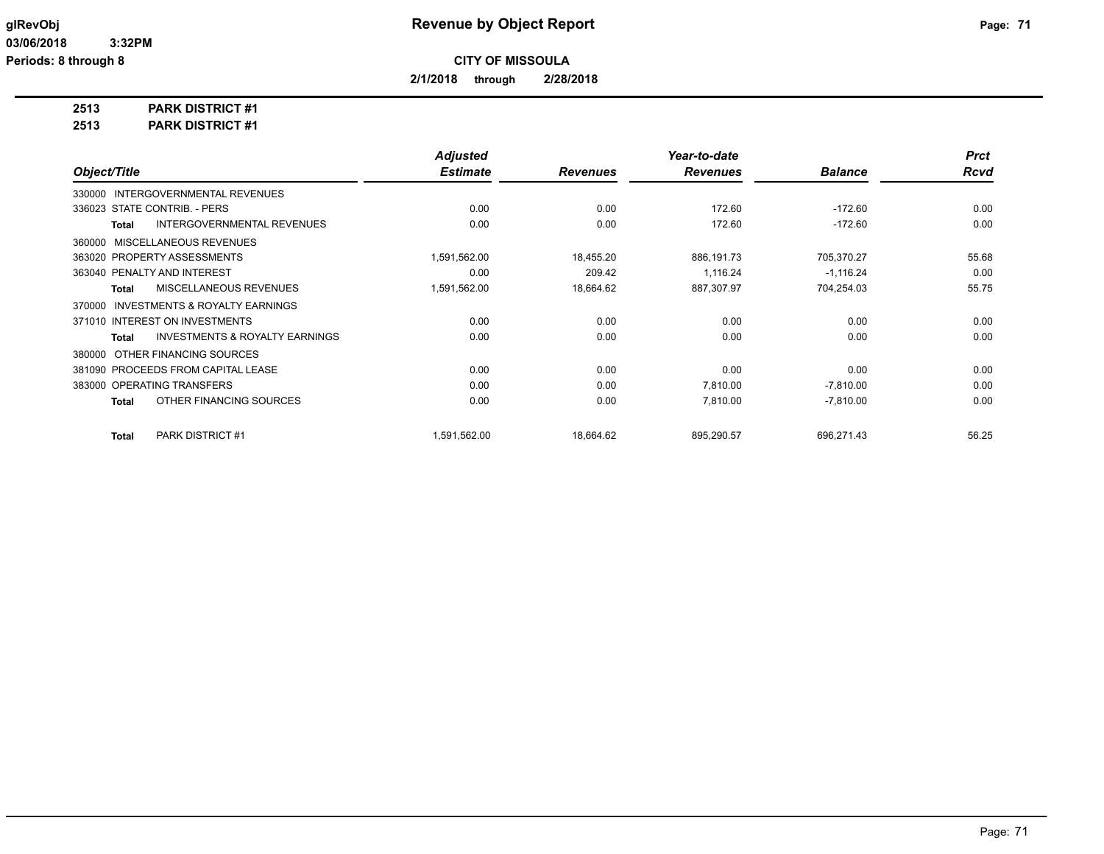**2/1/2018 through 2/28/2018**

**2513 PARK DISTRICT #1**

**2513 PARK DISTRICT #1**

|                                                           | <b>Adjusted</b> |                 | Year-to-date    |                | <b>Prct</b> |
|-----------------------------------------------------------|-----------------|-----------------|-----------------|----------------|-------------|
| Object/Title                                              | <b>Estimate</b> | <b>Revenues</b> | <b>Revenues</b> | <b>Balance</b> | Rcvd        |
| INTERGOVERNMENTAL REVENUES<br>330000                      |                 |                 |                 |                |             |
| 336023 STATE CONTRIB. - PERS                              | 0.00            | 0.00            | 172.60          | $-172.60$      | 0.00        |
| <b>INTERGOVERNMENTAL REVENUES</b><br><b>Total</b>         | 0.00            | 0.00            | 172.60          | $-172.60$      | 0.00        |
| MISCELLANEOUS REVENUES<br>360000                          |                 |                 |                 |                |             |
| 363020 PROPERTY ASSESSMENTS                               | 1.591.562.00    | 18,455.20       | 886,191.73      | 705,370.27     | 55.68       |
| 363040 PENALTY AND INTEREST                               | 0.00            | 209.42          | 1,116.24        | $-1,116.24$    | 0.00        |
| MISCELLANEOUS REVENUES<br><b>Total</b>                    | 1,591,562.00    | 18,664.62       | 887,307.97      | 704,254.03     | 55.75       |
| <b>INVESTMENTS &amp; ROYALTY EARNINGS</b><br>370000       |                 |                 |                 |                |             |
| 371010 INTEREST ON INVESTMENTS                            | 0.00            | 0.00            | 0.00            | 0.00           | 0.00        |
| <b>INVESTMENTS &amp; ROYALTY EARNINGS</b><br><b>Total</b> | 0.00            | 0.00            | 0.00            | 0.00           | 0.00        |
| OTHER FINANCING SOURCES<br>380000                         |                 |                 |                 |                |             |
| 381090 PROCEEDS FROM CAPITAL LEASE                        | 0.00            | 0.00            | 0.00            | 0.00           | 0.00        |
| 383000 OPERATING TRANSFERS                                | 0.00            | 0.00            | 7,810.00        | $-7,810.00$    | 0.00        |
| OTHER FINANCING SOURCES<br><b>Total</b>                   | 0.00            | 0.00            | 7,810.00        | $-7,810.00$    | 0.00        |
| PARK DISTRICT #1<br>Total                                 | 1,591,562.00    | 18,664.62       | 895,290.57      | 696,271.43     | 56.25       |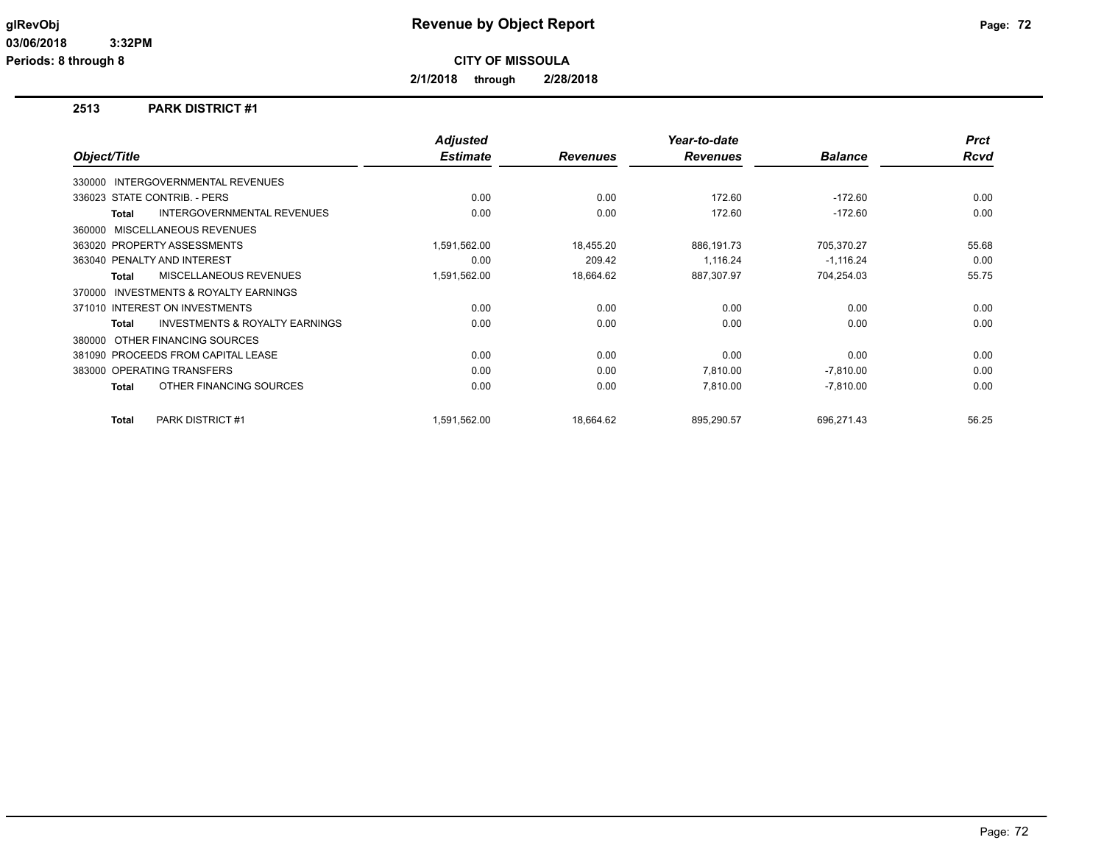**Periods: 8 through 8**

**CITY OF MISSOULA**

**2/1/2018 through 2/28/2018**

#### **2513 PARK DISTRICT #1**

|                                                           | <b>Adjusted</b> |                 | Year-to-date    |                | <b>Prct</b> |
|-----------------------------------------------------------|-----------------|-----------------|-----------------|----------------|-------------|
| Object/Title                                              | <b>Estimate</b> | <b>Revenues</b> | <b>Revenues</b> | <b>Balance</b> | <b>Rcvd</b> |
| 330000 INTERGOVERNMENTAL REVENUES                         |                 |                 |                 |                |             |
| 336023 STATE CONTRIB. - PERS                              | 0.00            | 0.00            | 172.60          | $-172.60$      | 0.00        |
| <b>INTERGOVERNMENTAL REVENUES</b><br><b>Total</b>         | 0.00            | 0.00            | 172.60          | $-172.60$      | 0.00        |
| 360000 MISCELLANEOUS REVENUES                             |                 |                 |                 |                |             |
| 363020 PROPERTY ASSESSMENTS                               | 1,591,562.00    | 18,455.20       | 886,191.73      | 705,370.27     | 55.68       |
| 363040 PENALTY AND INTEREST                               | 0.00            | 209.42          | 1,116.24        | $-1,116.24$    | 0.00        |
| MISCELLANEOUS REVENUES<br><b>Total</b>                    | 1,591,562.00    | 18,664.62       | 887,307.97      | 704,254.03     | 55.75       |
| <b>INVESTMENTS &amp; ROYALTY EARNINGS</b><br>370000       |                 |                 |                 |                |             |
| 371010 INTEREST ON INVESTMENTS                            | 0.00            | 0.00            | 0.00            | 0.00           | 0.00        |
| <b>INVESTMENTS &amp; ROYALTY EARNINGS</b><br><b>Total</b> | 0.00            | 0.00            | 0.00            | 0.00           | 0.00        |
| OTHER FINANCING SOURCES<br>380000                         |                 |                 |                 |                |             |
| 381090 PROCEEDS FROM CAPITAL LEASE                        | 0.00            | 0.00            | 0.00            | 0.00           | 0.00        |
| 383000 OPERATING TRANSFERS                                | 0.00            | 0.00            | 7,810.00        | $-7,810.00$    | 0.00        |
| OTHER FINANCING SOURCES<br><b>Total</b>                   | 0.00            | 0.00            | 7,810.00        | $-7,810.00$    | 0.00        |
| <b>PARK DISTRICT #1</b><br><b>Total</b>                   | 1,591,562.00    | 18,664.62       | 895,290.57      | 696,271.43     | 56.25       |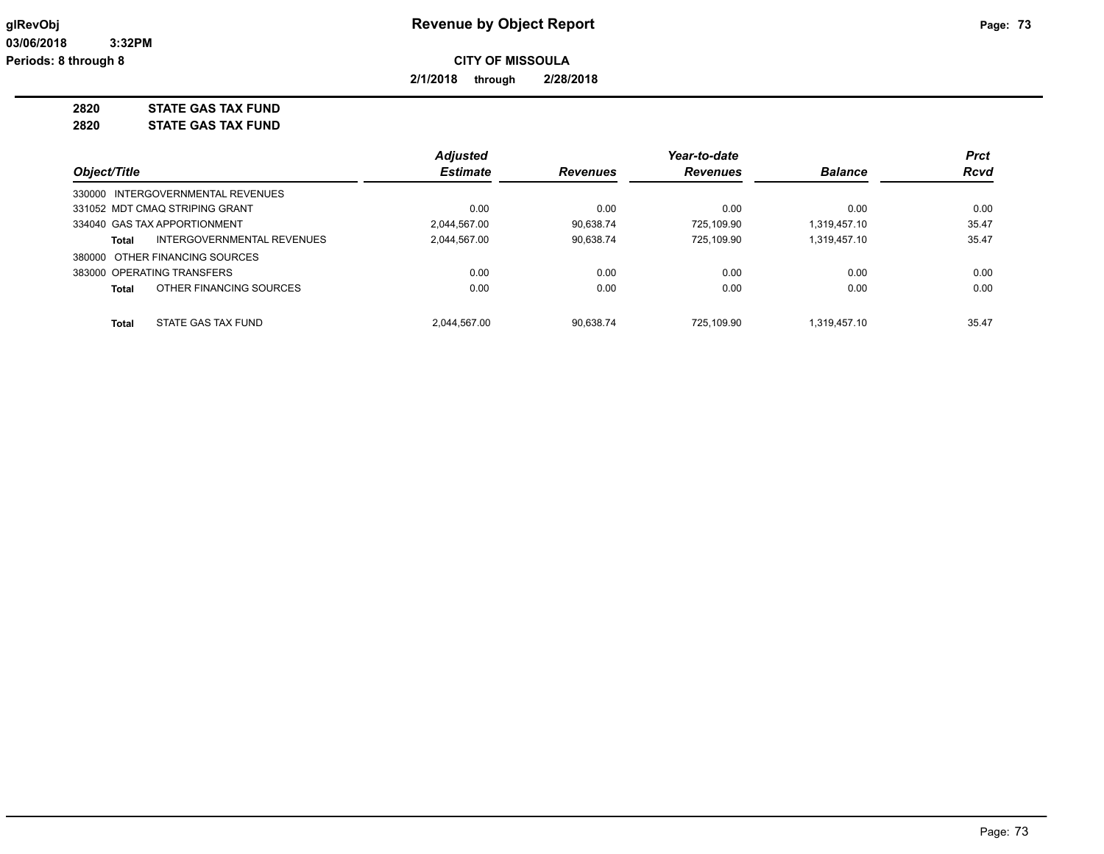**2/1/2018 through 2/28/2018**

**2820 STATE GAS TAX FUND 2820 STATE GAS TAX FUND**

|              |                                   | <b>Adjusted</b> |                 | Year-to-date    |                | <b>Prct</b> |
|--------------|-----------------------------------|-----------------|-----------------|-----------------|----------------|-------------|
| Object/Title |                                   | <b>Estimate</b> | <b>Revenues</b> | <b>Revenues</b> | <b>Balance</b> | <b>Rcvd</b> |
|              | 330000 INTERGOVERNMENTAL REVENUES |                 |                 |                 |                |             |
|              | 331052 MDT CMAQ STRIPING GRANT    | 0.00            | 0.00            | 0.00            | 0.00           | 0.00        |
|              | 334040 GAS TAX APPORTIONMENT      | 2.044.567.00    | 90.638.74       | 725.109.90      | 1.319.457.10   | 35.47       |
| Total        | INTERGOVERNMENTAL REVENUES        | 2.044.567.00    | 90,638.74       | 725.109.90      | 1,319,457.10   | 35.47       |
|              | 380000 OTHER FINANCING SOURCES    |                 |                 |                 |                |             |
|              | 383000 OPERATING TRANSFERS        | 0.00            | 0.00            | 0.00            | 0.00           | 0.00        |
| Total        | OTHER FINANCING SOURCES           | 0.00            | 0.00            | 0.00            | 0.00           | 0.00        |
| Total        | STATE GAS TAX FUND                | 2.044.567.00    | 90.638.74       | 725.109.90      | 1.319.457.10   | 35.47       |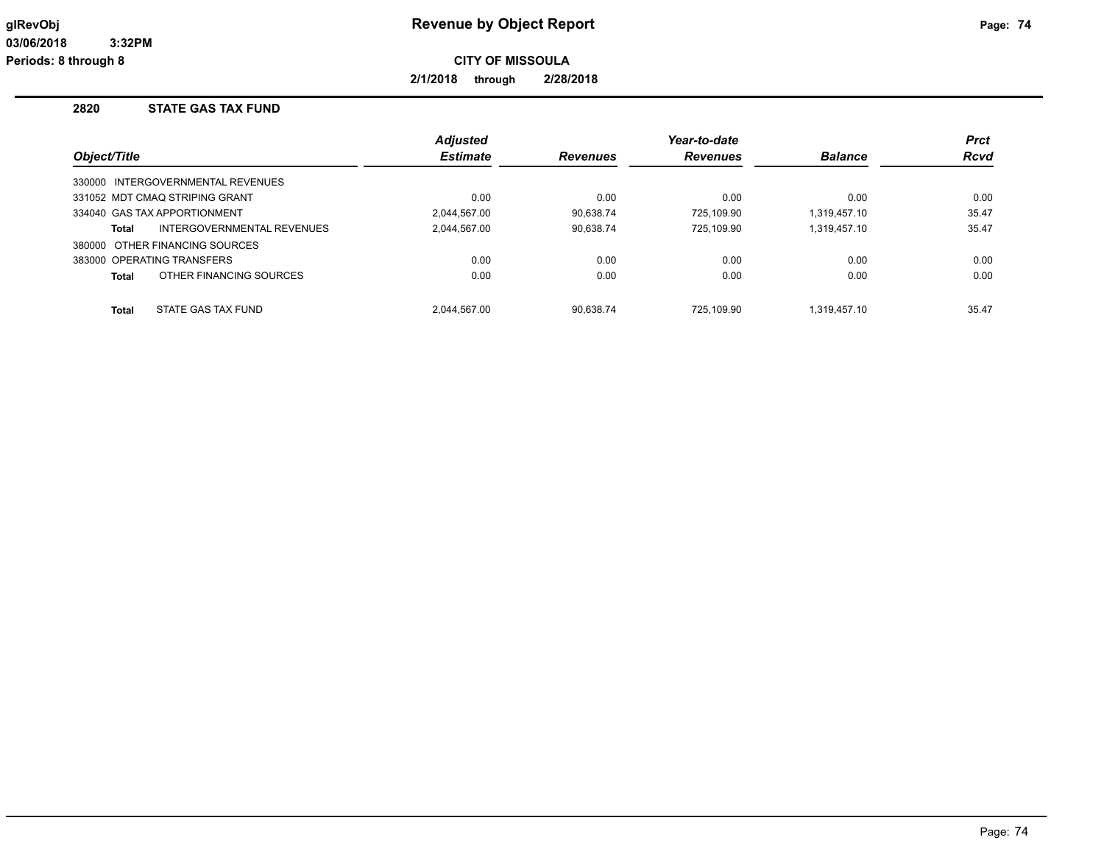**2/1/2018 through 2/28/2018**

## **2820 STATE GAS TAX FUND**

| Object/Title                            | <b>Adjusted</b><br><b>Estimate</b> | <b>Revenues</b> | Year-to-date<br><b>Revenues</b> | <b>Balance</b> | <b>Prct</b><br><b>Rcvd</b> |
|-----------------------------------------|------------------------------------|-----------------|---------------------------------|----------------|----------------------------|
|                                         |                                    |                 |                                 |                |                            |
| 330000 INTERGOVERNMENTAL REVENUES       |                                    |                 |                                 |                |                            |
| 331052 MDT CMAQ STRIPING GRANT          | 0.00                               | 0.00            | 0.00                            | 0.00           | 0.00                       |
| 334040 GAS TAX APPORTIONMENT            | 2.044.567.00                       | 90.638.74       | 725.109.90                      | 1.319.457.10   | 35.47                      |
| INTERGOVERNMENTAL REVENUES<br>Total     | 2.044.567.00                       | 90,638.74       | 725.109.90                      | 1.319.457.10   | 35.47                      |
| 380000 OTHER FINANCING SOURCES          |                                    |                 |                                 |                |                            |
| 383000 OPERATING TRANSFERS              | 0.00                               | 0.00            | 0.00                            | 0.00           | 0.00                       |
| OTHER FINANCING SOURCES<br><b>Total</b> | 0.00                               | 0.00            | 0.00                            | 0.00           | 0.00                       |
|                                         |                                    |                 |                                 |                |                            |
| STATE GAS TAX FUND<br><b>Total</b>      | 2.044.567.00                       | 90.638.74       | 725.109.90                      | 1.319.457.10   | 35.47                      |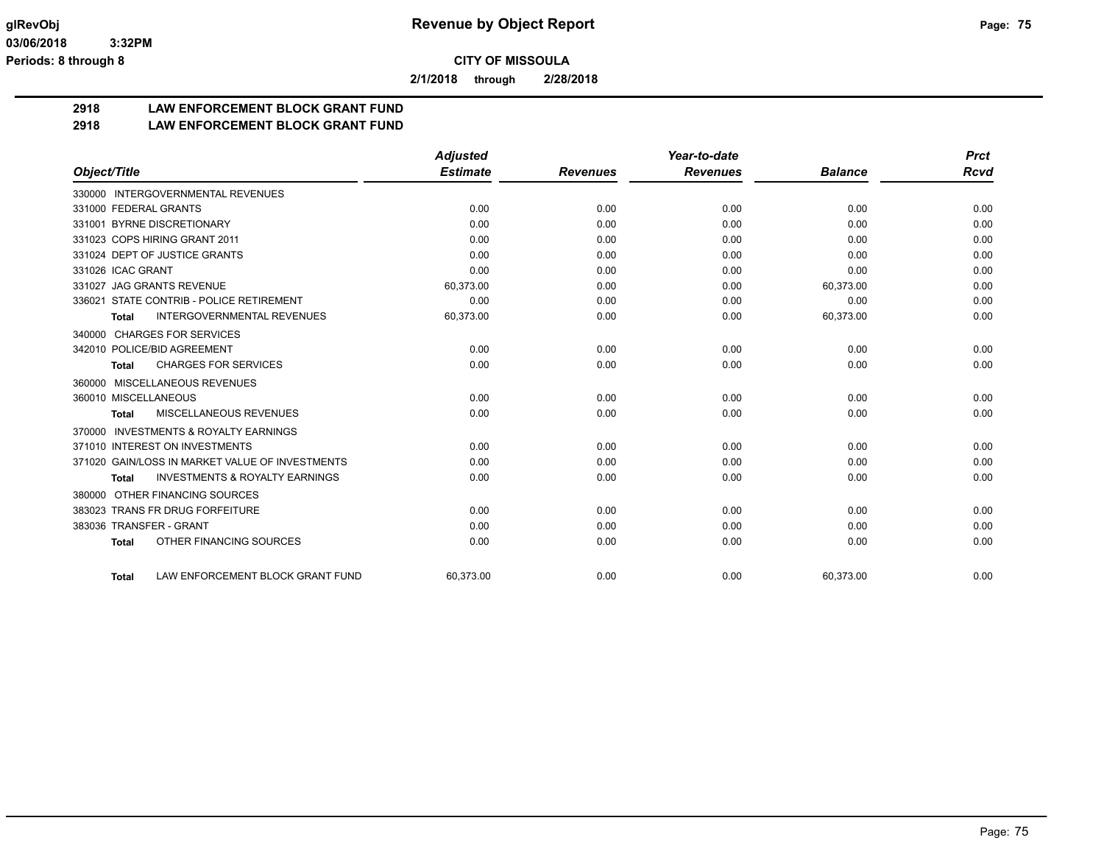**2/1/2018 through 2/28/2018**

## **2918 LAW ENFORCEMENT BLOCK GRANT FUND**

## **2918 LAW ENFORCEMENT BLOCK GRANT FUND**

|                                                     | <b>Adjusted</b> |                 | Year-to-date    |                | <b>Prct</b> |
|-----------------------------------------------------|-----------------|-----------------|-----------------|----------------|-------------|
| Object/Title                                        | <b>Estimate</b> | <b>Revenues</b> | <b>Revenues</b> | <b>Balance</b> | <b>Rcvd</b> |
| 330000 INTERGOVERNMENTAL REVENUES                   |                 |                 |                 |                |             |
| 331000 FEDERAL GRANTS                               | 0.00            | 0.00            | 0.00            | 0.00           | 0.00        |
| 331001 BYRNE DISCRETIONARY                          | 0.00            | 0.00            | 0.00            | 0.00           | 0.00        |
| 331023 COPS HIRING GRANT 2011                       | 0.00            | 0.00            | 0.00            | 0.00           | 0.00        |
| 331024 DEPT OF JUSTICE GRANTS                       | 0.00            | 0.00            | 0.00            | 0.00           | 0.00        |
| 331026 ICAC GRANT                                   | 0.00            | 0.00            | 0.00            | 0.00           | 0.00        |
| 331027 JAG GRANTS REVENUE                           | 60,373.00       | 0.00            | 0.00            | 60,373.00      | 0.00        |
| STATE CONTRIB - POLICE RETIREMENT<br>336021         | 0.00            | 0.00            | 0.00            | 0.00           | 0.00        |
| <b>INTERGOVERNMENTAL REVENUES</b><br>Total          | 60,373.00       | 0.00            | 0.00            | 60,373.00      | 0.00        |
| 340000 CHARGES FOR SERVICES                         |                 |                 |                 |                |             |
| 342010 POLICE/BID AGREEMENT                         | 0.00            | 0.00            | 0.00            | 0.00           | 0.00        |
| <b>CHARGES FOR SERVICES</b><br>Total                | 0.00            | 0.00            | 0.00            | 0.00           | 0.00        |
| MISCELLANEOUS REVENUES<br>360000                    |                 |                 |                 |                |             |
| 360010 MISCELLANEOUS                                | 0.00            | 0.00            | 0.00            | 0.00           | 0.00        |
| MISCELLANEOUS REVENUES<br>Total                     | 0.00            | 0.00            | 0.00            | 0.00           | 0.00        |
| <b>INVESTMENTS &amp; ROYALTY EARNINGS</b><br>370000 |                 |                 |                 |                |             |
| 371010 INTEREST ON INVESTMENTS                      | 0.00            | 0.00            | 0.00            | 0.00           | 0.00        |
| 371020 GAIN/LOSS IN MARKET VALUE OF INVESTMENTS     | 0.00            | 0.00            | 0.00            | 0.00           | 0.00        |
| <b>INVESTMENTS &amp; ROYALTY EARNINGS</b><br>Total  | 0.00            | 0.00            | 0.00            | 0.00           | 0.00        |
| OTHER FINANCING SOURCES<br>380000                   |                 |                 |                 |                |             |
| 383023 TRANS FR DRUG FORFEITURE                     | 0.00            | 0.00            | 0.00            | 0.00           | 0.00        |
| 383036 TRANSFER - GRANT                             | 0.00            | 0.00            | 0.00            | 0.00           | 0.00        |
| OTHER FINANCING SOURCES<br><b>Total</b>             | 0.00            | 0.00            | 0.00            | 0.00           | 0.00        |
| LAW ENFORCEMENT BLOCK GRANT FUND<br><b>Total</b>    | 60,373.00       | 0.00            | 0.00            | 60,373.00      | 0.00        |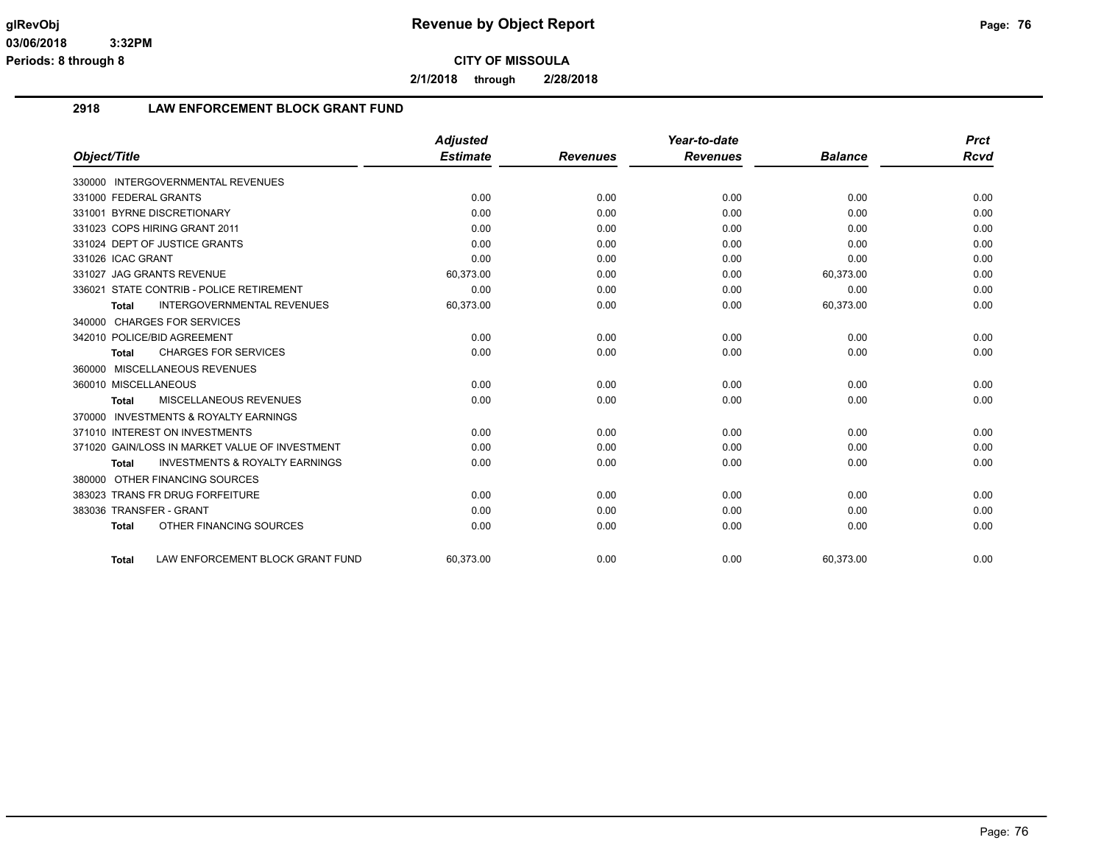**2/1/2018 through 2/28/2018**

#### **2918 LAW ENFORCEMENT BLOCK GRANT FUND**

|                                                           | <b>Adjusted</b> |                 | Year-to-date    |                | <b>Prct</b> |
|-----------------------------------------------------------|-----------------|-----------------|-----------------|----------------|-------------|
| Object/Title                                              | <b>Estimate</b> | <b>Revenues</b> | <b>Revenues</b> | <b>Balance</b> | Rcvd        |
| 330000 INTERGOVERNMENTAL REVENUES                         |                 |                 |                 |                |             |
| 331000 FEDERAL GRANTS                                     | 0.00            | 0.00            | 0.00            | 0.00           | 0.00        |
| 331001 BYRNE DISCRETIONARY                                | 0.00            | 0.00            | 0.00            | 0.00           | 0.00        |
| 331023 COPS HIRING GRANT 2011                             | 0.00            | 0.00            | 0.00            | 0.00           | 0.00        |
| 331024 DEPT OF JUSTICE GRANTS                             | 0.00            | 0.00            | 0.00            | 0.00           | 0.00        |
| 331026 ICAC GRANT                                         | 0.00            | 0.00            | 0.00            | 0.00           | 0.00        |
| 331027 JAG GRANTS REVENUE                                 | 60,373.00       | 0.00            | 0.00            | 60,373.00      | 0.00        |
| 336021 STATE CONTRIB - POLICE RETIREMENT                  | 0.00            | 0.00            | 0.00            | 0.00           | 0.00        |
| <b>INTERGOVERNMENTAL REVENUES</b><br><b>Total</b>         | 60,373.00       | 0.00            | 0.00            | 60,373.00      | 0.00        |
| 340000 CHARGES FOR SERVICES                               |                 |                 |                 |                |             |
| 342010 POLICE/BID AGREEMENT                               | 0.00            | 0.00            | 0.00            | 0.00           | 0.00        |
| <b>CHARGES FOR SERVICES</b><br><b>Total</b>               | 0.00            | 0.00            | 0.00            | 0.00           | 0.00        |
| 360000 MISCELLANEOUS REVENUES                             |                 |                 |                 |                |             |
| 360010 MISCELLANEOUS                                      | 0.00            | 0.00            | 0.00            | 0.00           | 0.00        |
| <b>MISCELLANEOUS REVENUES</b><br><b>Total</b>             | 0.00            | 0.00            | 0.00            | 0.00           | 0.00        |
| 370000 INVESTMENTS & ROYALTY EARNINGS                     |                 |                 |                 |                |             |
| 371010 INTEREST ON INVESTMENTS                            | 0.00            | 0.00            | 0.00            | 0.00           | 0.00        |
| 371020 GAIN/LOSS IN MARKET VALUE OF INVESTMENT            | 0.00            | 0.00            | 0.00            | 0.00           | 0.00        |
| <b>INVESTMENTS &amp; ROYALTY EARNINGS</b><br><b>Total</b> | 0.00            | 0.00            | 0.00            | 0.00           | 0.00        |
| OTHER FINANCING SOURCES<br>380000                         |                 |                 |                 |                |             |
| 383023 TRANS FR DRUG FORFEITURE                           | 0.00            | 0.00            | 0.00            | 0.00           | 0.00        |
| 383036 TRANSFER - GRANT                                   | 0.00            | 0.00            | 0.00            | 0.00           | 0.00        |
| OTHER FINANCING SOURCES<br><b>Total</b>                   | 0.00            | 0.00            | 0.00            | 0.00           | 0.00        |
|                                                           |                 |                 |                 |                |             |
| LAW ENFORCEMENT BLOCK GRANT FUND<br><b>Total</b>          | 60.373.00       | 0.00            | 0.00            | 60.373.00      | 0.00        |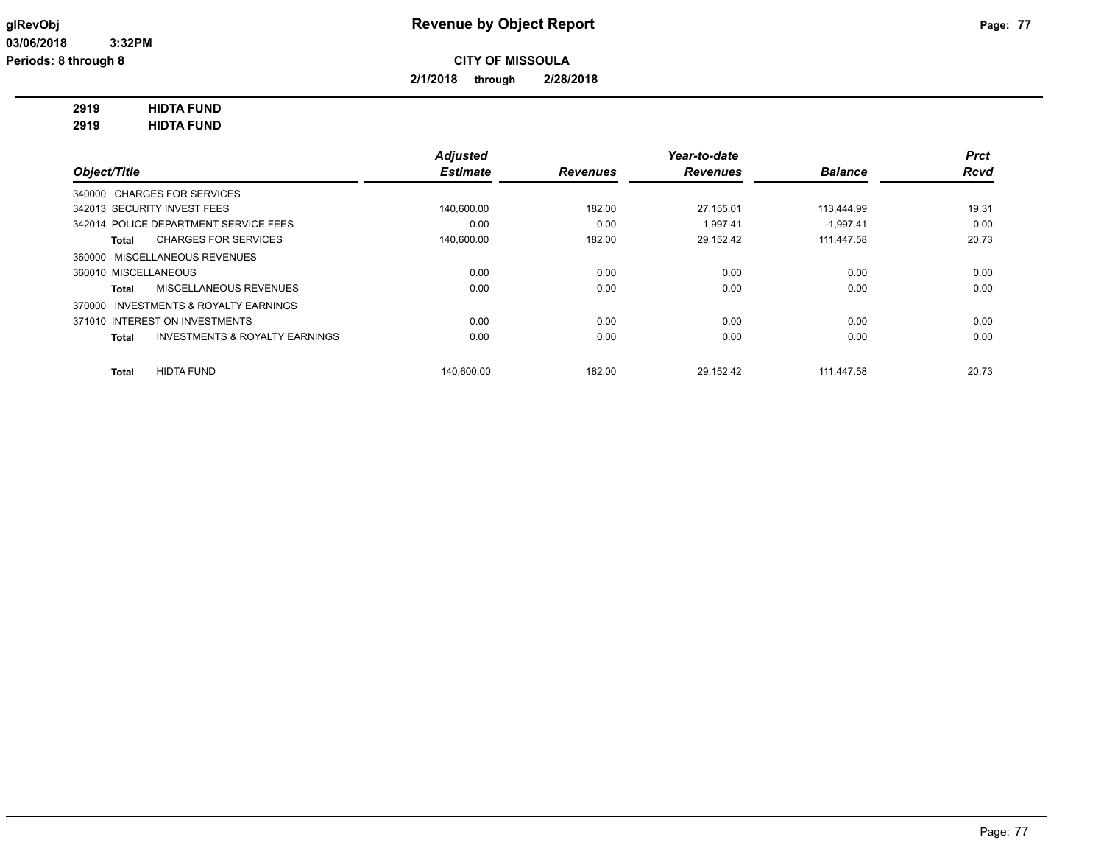**2/1/2018 through 2/28/2018**

## **2919 HIDTA FUND**

**2919 HIDTA FUND**

|                                                           | <b>Adjusted</b> |                 | Year-to-date    |                | <b>Prct</b> |
|-----------------------------------------------------------|-----------------|-----------------|-----------------|----------------|-------------|
| Object/Title                                              | <b>Estimate</b> | <b>Revenues</b> | <b>Revenues</b> | <b>Balance</b> | <b>Rcvd</b> |
| 340000 CHARGES FOR SERVICES                               |                 |                 |                 |                |             |
| 342013 SECURITY INVEST FEES                               | 140.600.00      | 182.00          | 27.155.01       | 113.444.99     | 19.31       |
| 342014 POLICE DEPARTMENT SERVICE FEES                     | 0.00            | 0.00            | 1.997.41        | $-1.997.41$    | 0.00        |
| <b>CHARGES FOR SERVICES</b><br><b>Total</b>               | 140,600.00      | 182.00          | 29,152.42       | 111,447.58     | 20.73       |
| 360000 MISCELLANEOUS REVENUES                             |                 |                 |                 |                |             |
| 360010 MISCELLANEOUS                                      | 0.00            | 0.00            | 0.00            | 0.00           | 0.00        |
| MISCELLANEOUS REVENUES<br><b>Total</b>                    | 0.00            | 0.00            | 0.00            | 0.00           | 0.00        |
| <b>INVESTMENTS &amp; ROYALTY EARNINGS</b><br>370000       |                 |                 |                 |                |             |
| 371010 INTEREST ON INVESTMENTS                            | 0.00            | 0.00            | 0.00            | 0.00           | 0.00        |
| <b>INVESTMENTS &amp; ROYALTY EARNINGS</b><br><b>Total</b> | 0.00            | 0.00            | 0.00            | 0.00           | 0.00        |
| <b>HIDTA FUND</b><br><b>Total</b>                         | 140.600.00      | 182.00          | 29.152.42       | 111.447.58     | 20.73       |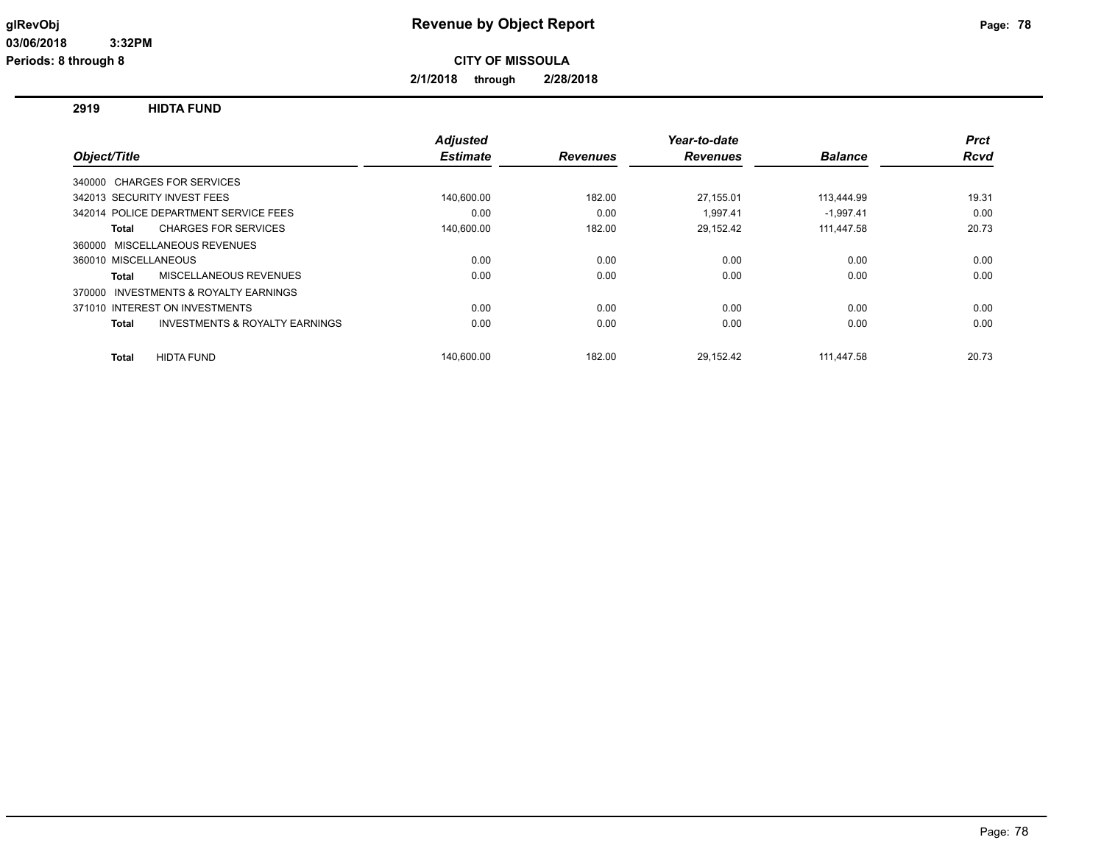**2/1/2018 through 2/28/2018**

**2919 HIDTA FUND**

|                                                     | <b>Adjusted</b> |                 | Year-to-date    |                | <b>Prct</b> |
|-----------------------------------------------------|-----------------|-----------------|-----------------|----------------|-------------|
| Object/Title                                        | <b>Estimate</b> | <b>Revenues</b> | <b>Revenues</b> | <b>Balance</b> | Rcvd        |
| 340000 CHARGES FOR SERVICES                         |                 |                 |                 |                |             |
| 342013 SECURITY INVEST FEES                         | 140,600.00      | 182.00          | 27,155.01       | 113,444.99     | 19.31       |
| 342014 POLICE DEPARTMENT SERVICE FEES               | 0.00            | 0.00            | 1.997.41        | $-1.997.41$    | 0.00        |
| <b>CHARGES FOR SERVICES</b><br>Total                | 140,600.00      | 182.00          | 29,152.42       | 111,447.58     | 20.73       |
| <b>MISCELLANEOUS REVENUES</b><br>360000             |                 |                 |                 |                |             |
| 360010 MISCELLANEOUS                                | 0.00            | 0.00            | 0.00            | 0.00           | 0.00        |
| MISCELLANEOUS REVENUES<br><b>Total</b>              | 0.00            | 0.00            | 0.00            | 0.00           | 0.00        |
| <b>INVESTMENTS &amp; ROYALTY EARNINGS</b><br>370000 |                 |                 |                 |                |             |
| 371010 INTEREST ON INVESTMENTS                      | 0.00            | 0.00            | 0.00            | 0.00           | 0.00        |
| INVESTMENTS & ROYALTY EARNINGS<br><b>Total</b>      | 0.00            | 0.00            | 0.00            | 0.00           | 0.00        |
| <b>HIDTA FUND</b><br><b>Total</b>                   | 140.600.00      | 182.00          | 29,152.42       | 111.447.58     | 20.73       |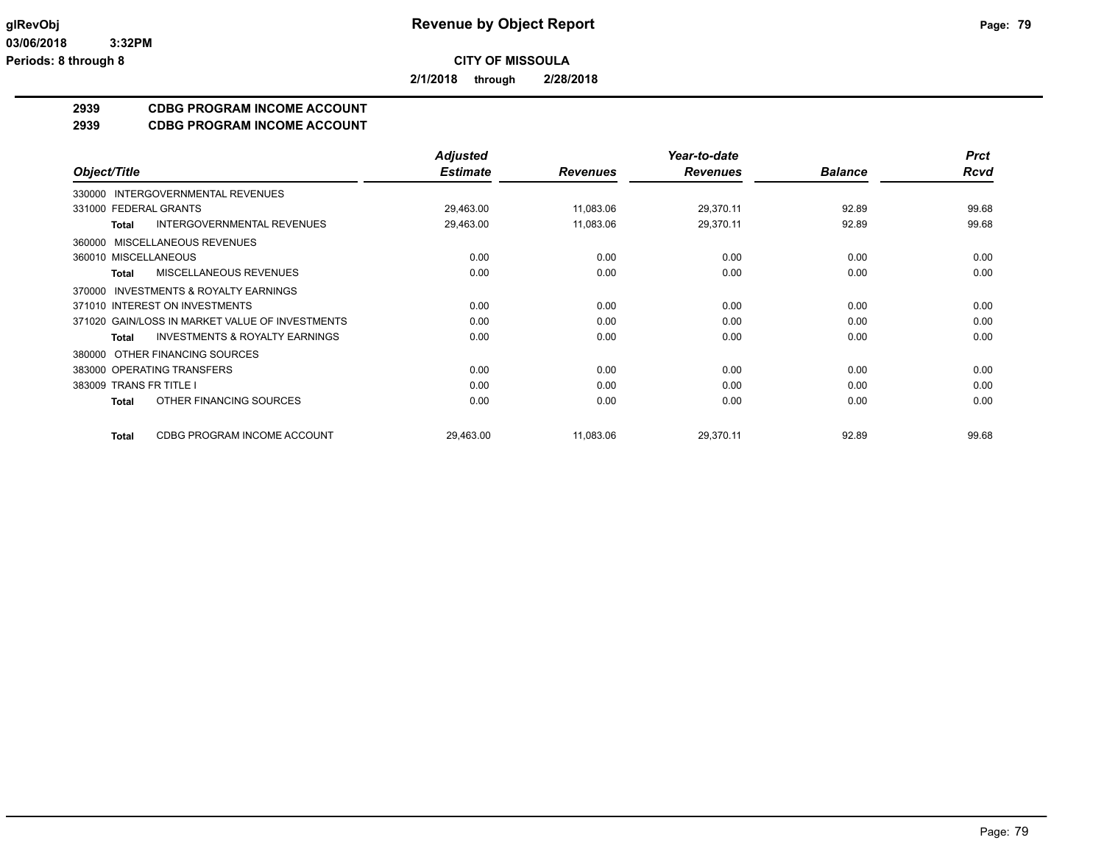**2/1/2018 through 2/28/2018**

## **2939 CDBG PROGRAM INCOME ACCOUNT**

**2939 CDBG PROGRAM INCOME ACCOUNT**

|                                                     | <b>Adjusted</b> |                 | Year-to-date    |                | <b>Prct</b> |
|-----------------------------------------------------|-----------------|-----------------|-----------------|----------------|-------------|
| Object/Title                                        | <b>Estimate</b> | <b>Revenues</b> | <b>Revenues</b> | <b>Balance</b> | <b>Rcvd</b> |
| INTERGOVERNMENTAL REVENUES<br>330000                |                 |                 |                 |                |             |
| 331000 FEDERAL GRANTS                               | 29,463.00       | 11,083.06       | 29,370.11       | 92.89          | 99.68       |
| <b>INTERGOVERNMENTAL REVENUES</b><br><b>Total</b>   | 29,463.00       | 11,083.06       | 29,370.11       | 92.89          | 99.68       |
| MISCELLANEOUS REVENUES<br>360000                    |                 |                 |                 |                |             |
| 360010 MISCELLANEOUS                                | 0.00            | 0.00            | 0.00            | 0.00           | 0.00        |
| MISCELLANEOUS REVENUES<br>Total                     | 0.00            | 0.00            | 0.00            | 0.00           | 0.00        |
| <b>INVESTMENTS &amp; ROYALTY EARNINGS</b><br>370000 |                 |                 |                 |                |             |
| 371010 INTEREST ON INVESTMENTS                      | 0.00            | 0.00            | 0.00            | 0.00           | 0.00        |
| 371020 GAIN/LOSS IN MARKET VALUE OF INVESTMENTS     | 0.00            | 0.00            | 0.00            | 0.00           | 0.00        |
| <b>INVESTMENTS &amp; ROYALTY EARNINGS</b><br>Total  | 0.00            | 0.00            | 0.00            | 0.00           | 0.00        |
| OTHER FINANCING SOURCES<br>380000                   |                 |                 |                 |                |             |
| 383000 OPERATING TRANSFERS                          | 0.00            | 0.00            | 0.00            | 0.00           | 0.00        |
| 383009 TRANS FR TITLE I                             | 0.00            | 0.00            | 0.00            | 0.00           | 0.00        |
| OTHER FINANCING SOURCES<br>Total                    | 0.00            | 0.00            | 0.00            | 0.00           | 0.00        |
| CDBG PROGRAM INCOME ACCOUNT<br><b>Total</b>         | 29,463.00       | 11,083.06       | 29,370.11       | 92.89          | 99.68       |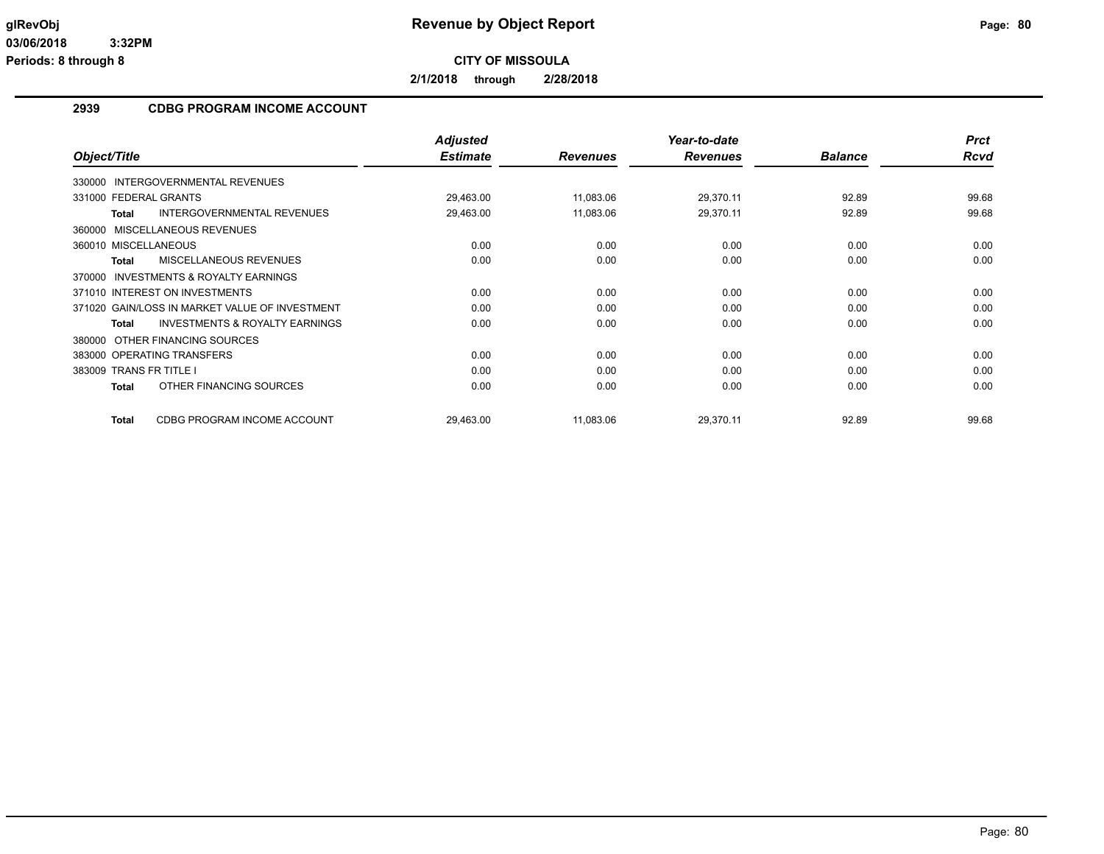**2/1/2018 through 2/28/2018**

#### **2939 CDBG PROGRAM INCOME ACCOUNT**

|                                                           | <b>Adjusted</b> |                 | Year-to-date    |                | <b>Prct</b> |
|-----------------------------------------------------------|-----------------|-----------------|-----------------|----------------|-------------|
| Object/Title                                              | <b>Estimate</b> | <b>Revenues</b> | <b>Revenues</b> | <b>Balance</b> | Rcvd        |
| 330000 INTERGOVERNMENTAL REVENUES                         |                 |                 |                 |                |             |
| 331000 FEDERAL GRANTS                                     | 29,463.00       | 11,083.06       | 29,370.11       | 92.89          | 99.68       |
| <b>Total</b><br><b>INTERGOVERNMENTAL REVENUES</b>         | 29,463.00       | 11,083.06       | 29,370.11       | 92.89          | 99.68       |
| 360000 MISCELLANEOUS REVENUES                             |                 |                 |                 |                |             |
| 360010 MISCELLANEOUS                                      | 0.00            | 0.00            | 0.00            | 0.00           | 0.00        |
| MISCELLANEOUS REVENUES<br><b>Total</b>                    | 0.00            | 0.00            | 0.00            | 0.00           | 0.00        |
| 370000 INVESTMENTS & ROYALTY EARNINGS                     |                 |                 |                 |                |             |
| 371010 INTEREST ON INVESTMENTS                            | 0.00            | 0.00            | 0.00            | 0.00           | 0.00        |
| 371020 GAIN/LOSS IN MARKET VALUE OF INVESTMENT            | 0.00            | 0.00            | 0.00            | 0.00           | 0.00        |
| <b>INVESTMENTS &amp; ROYALTY EARNINGS</b><br><b>Total</b> | 0.00            | 0.00            | 0.00            | 0.00           | 0.00        |
| 380000 OTHER FINANCING SOURCES                            |                 |                 |                 |                |             |
| 383000 OPERATING TRANSFERS                                | 0.00            | 0.00            | 0.00            | 0.00           | 0.00        |
| 383009 TRANS FR TITLE I                                   | 0.00            | 0.00            | 0.00            | 0.00           | 0.00        |
| OTHER FINANCING SOURCES<br><b>Total</b>                   | 0.00            | 0.00            | 0.00            | 0.00           | 0.00        |
| CDBG PROGRAM INCOME ACCOUNT<br><b>Total</b>               | 29,463.00       | 11,083.06       | 29,370.11       | 92.89          | 99.68       |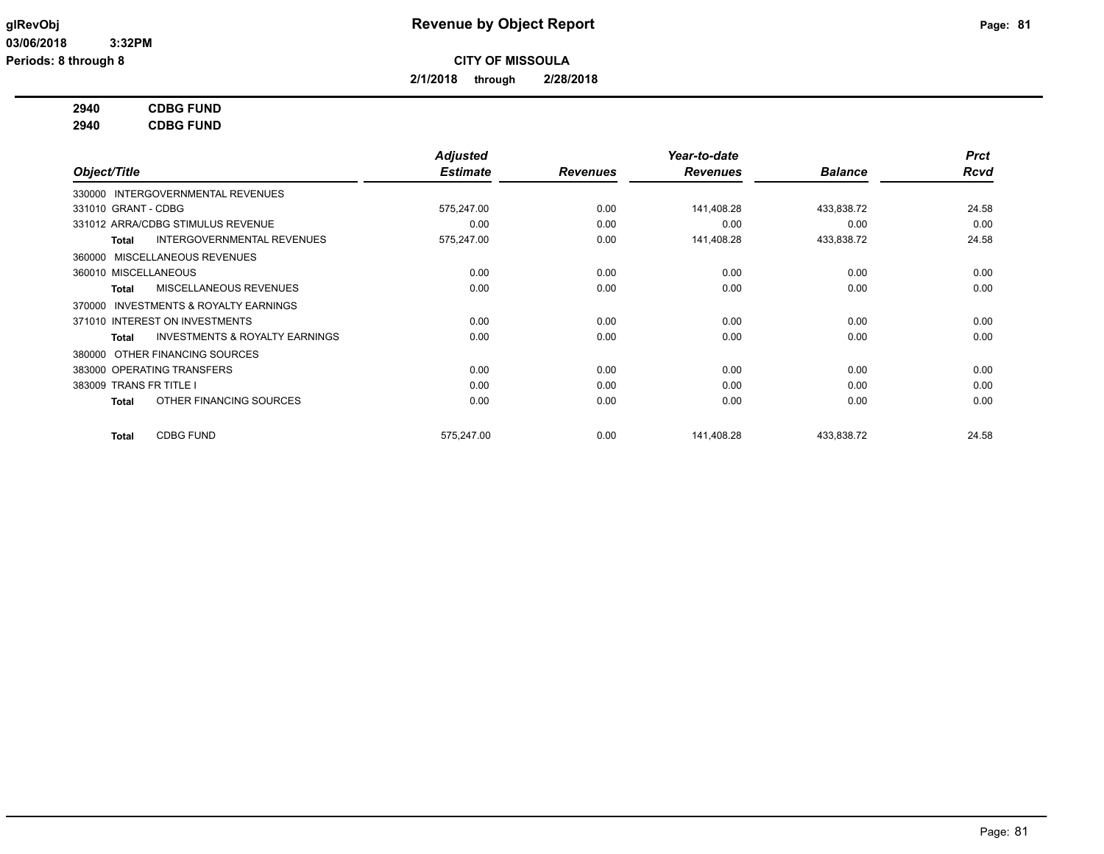**2/1/2018 through 2/28/2018**

## **2940 CDBG FUND**

**2940 CDBG FUND**

|                         |                                           | <b>Adjusted</b> |                 | Year-to-date    |                | <b>Prct</b> |
|-------------------------|-------------------------------------------|-----------------|-----------------|-----------------|----------------|-------------|
| Object/Title            |                                           | <b>Estimate</b> | <b>Revenues</b> | <b>Revenues</b> | <b>Balance</b> | <b>Rcvd</b> |
|                         | 330000 INTERGOVERNMENTAL REVENUES         |                 |                 |                 |                |             |
| 331010 GRANT - CDBG     |                                           | 575,247.00      | 0.00            | 141,408.28      | 433,838.72     | 24.58       |
|                         | 331012 ARRA/CDBG STIMULUS REVENUE         | 0.00            | 0.00            | 0.00            | 0.00           | 0.00        |
| Total                   | INTERGOVERNMENTAL REVENUES                | 575,247.00      | 0.00            | 141,408.28      | 433,838.72     | 24.58       |
|                         | 360000 MISCELLANEOUS REVENUES             |                 |                 |                 |                |             |
| 360010 MISCELLANEOUS    |                                           | 0.00            | 0.00            | 0.00            | 0.00           | 0.00        |
| Total                   | MISCELLANEOUS REVENUES                    | 0.00            | 0.00            | 0.00            | 0.00           | 0.00        |
| 370000                  | <b>INVESTMENTS &amp; ROYALTY EARNINGS</b> |                 |                 |                 |                |             |
|                         | 371010 INTEREST ON INVESTMENTS            | 0.00            | 0.00            | 0.00            | 0.00           | 0.00        |
| <b>Total</b>            | <b>INVESTMENTS &amp; ROYALTY EARNINGS</b> | 0.00            | 0.00            | 0.00            | 0.00           | 0.00        |
| 380000                  | OTHER FINANCING SOURCES                   |                 |                 |                 |                |             |
|                         | 383000 OPERATING TRANSFERS                | 0.00            | 0.00            | 0.00            | 0.00           | 0.00        |
| 383009 TRANS FR TITLE I |                                           | 0.00            | 0.00            | 0.00            | 0.00           | 0.00        |
| Total                   | OTHER FINANCING SOURCES                   | 0.00            | 0.00            | 0.00            | 0.00           | 0.00        |
| Total                   | <b>CDBG FUND</b>                          | 575,247.00      | 0.00            | 141,408.28      | 433,838.72     | 24.58       |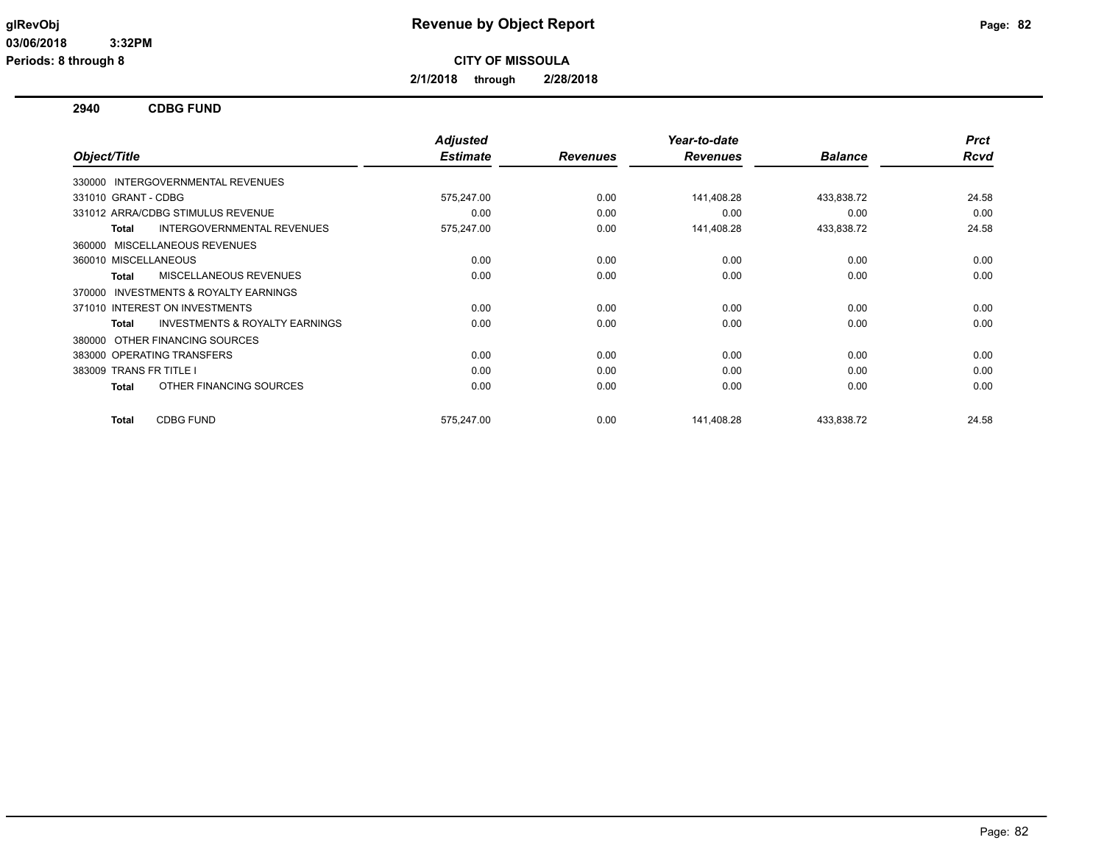**2/1/2018 through 2/28/2018**

**2940 CDBG FUND**

|                                                           | <b>Adjusted</b> |                 | Year-to-date    |                | <b>Prct</b> |
|-----------------------------------------------------------|-----------------|-----------------|-----------------|----------------|-------------|
| Object/Title                                              | <b>Estimate</b> | <b>Revenues</b> | <b>Revenues</b> | <b>Balance</b> | Rcvd        |
| 330000 INTERGOVERNMENTAL REVENUES                         |                 |                 |                 |                |             |
| 331010 GRANT - CDBG                                       | 575,247.00      | 0.00            | 141,408.28      | 433,838.72     | 24.58       |
| 331012 ARRA/CDBG STIMULUS REVENUE                         | 0.00            | 0.00            | 0.00            | 0.00           | 0.00        |
| <b>INTERGOVERNMENTAL REVENUES</b><br><b>Total</b>         | 575,247.00      | 0.00            | 141,408.28      | 433,838.72     | 24.58       |
| 360000 MISCELLANEOUS REVENUES                             |                 |                 |                 |                |             |
| 360010 MISCELLANEOUS                                      | 0.00            | 0.00            | 0.00            | 0.00           | 0.00        |
| MISCELLANEOUS REVENUES<br><b>Total</b>                    | 0.00            | 0.00            | 0.00            | 0.00           | 0.00        |
| INVESTMENTS & ROYALTY EARNINGS<br>370000                  |                 |                 |                 |                |             |
| 371010 INTEREST ON INVESTMENTS                            | 0.00            | 0.00            | 0.00            | 0.00           | 0.00        |
| <b>INVESTMENTS &amp; ROYALTY EARNINGS</b><br><b>Total</b> | 0.00            | 0.00            | 0.00            | 0.00           | 0.00        |
| OTHER FINANCING SOURCES<br>380000                         |                 |                 |                 |                |             |
| 383000 OPERATING TRANSFERS                                | 0.00            | 0.00            | 0.00            | 0.00           | 0.00        |
| 383009 TRANS FR TITLE I                                   | 0.00            | 0.00            | 0.00            | 0.00           | 0.00        |
| OTHER FINANCING SOURCES<br><b>Total</b>                   | 0.00            | 0.00            | 0.00            | 0.00           | 0.00        |
| <b>CDBG FUND</b><br><b>Total</b>                          | 575,247.00      | 0.00            | 141,408.28      | 433,838.72     | 24.58       |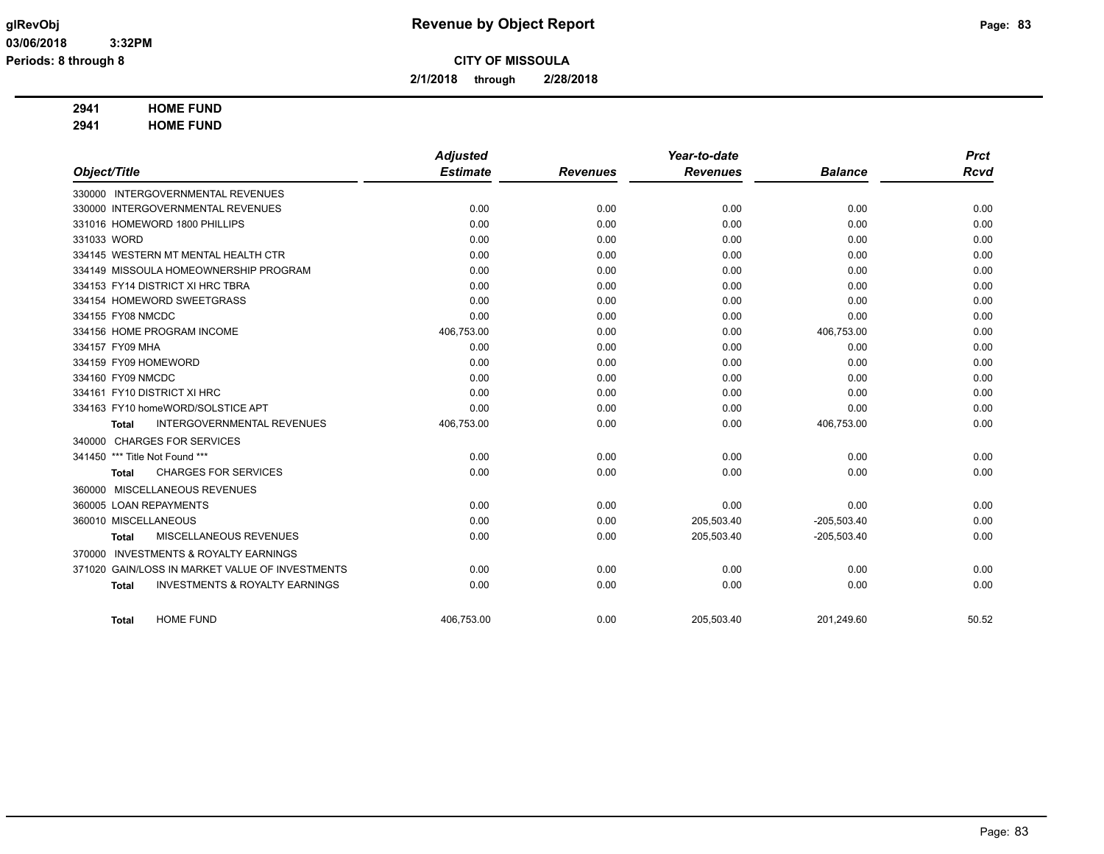**2/1/2018 through 2/28/2018**

## **2941 HOME FUND**

**2941 HOME FUND**

|                                                           | <b>Adjusted</b> |                 | Year-to-date    |                | <b>Prct</b> |
|-----------------------------------------------------------|-----------------|-----------------|-----------------|----------------|-------------|
| Object/Title                                              | <b>Estimate</b> | <b>Revenues</b> | <b>Revenues</b> | <b>Balance</b> | <b>Rcvd</b> |
| 330000 INTERGOVERNMENTAL REVENUES                         |                 |                 |                 |                |             |
| 330000 INTERGOVERNMENTAL REVENUES                         | 0.00            | 0.00            | 0.00            | 0.00           | 0.00        |
| 331016 HOMEWORD 1800 PHILLIPS                             | 0.00            | 0.00            | 0.00            | 0.00           | 0.00        |
| 331033 WORD                                               | 0.00            | 0.00            | 0.00            | 0.00           | 0.00        |
| 334145 WESTERN MT MENTAL HEALTH CTR                       | 0.00            | 0.00            | 0.00            | 0.00           | 0.00        |
| 334149 MISSOULA HOMEOWNERSHIP PROGRAM                     | 0.00            | 0.00            | 0.00            | 0.00           | 0.00        |
| 334153 FY14 DISTRICT XI HRC TBRA                          | 0.00            | 0.00            | 0.00            | 0.00           | 0.00        |
| 334154 HOMEWORD SWEETGRASS                                | 0.00            | 0.00            | 0.00            | 0.00           | 0.00        |
| 334155 FY08 NMCDC                                         | 0.00            | 0.00            | 0.00            | 0.00           | 0.00        |
| 334156 HOME PROGRAM INCOME                                | 406,753.00      | 0.00            | 0.00            | 406,753.00     | 0.00        |
| 334157 FY09 MHA                                           | 0.00            | 0.00            | 0.00            | 0.00           | 0.00        |
| 334159 FY09 HOMEWORD                                      | 0.00            | 0.00            | 0.00            | 0.00           | 0.00        |
| 334160 FY09 NMCDC                                         | 0.00            | 0.00            | 0.00            | 0.00           | 0.00        |
| 334161 FY10 DISTRICT XI HRC                               | 0.00            | 0.00            | 0.00            | 0.00           | 0.00        |
| 334163 FY10 homeWORD/SOLSTICE APT                         | 0.00            | 0.00            | 0.00            | 0.00           | 0.00        |
| <b>INTERGOVERNMENTAL REVENUES</b><br><b>Total</b>         | 406,753.00      | 0.00            | 0.00            | 406,753.00     | 0.00        |
| 340000 CHARGES FOR SERVICES                               |                 |                 |                 |                |             |
| 341450 *** Title Not Found ***                            | 0.00            | 0.00            | 0.00            | 0.00           | 0.00        |
| <b>CHARGES FOR SERVICES</b><br><b>Total</b>               | 0.00            | 0.00            | 0.00            | 0.00           | 0.00        |
| 360000 MISCELLANEOUS REVENUES                             |                 |                 |                 |                |             |
| 360005 LOAN REPAYMENTS                                    | 0.00            | 0.00            | 0.00            | 0.00           | 0.00        |
| 360010 MISCELLANEOUS                                      | 0.00            | 0.00            | 205,503.40      | $-205,503.40$  | 0.00        |
| MISCELLANEOUS REVENUES<br><b>Total</b>                    | 0.00            | 0.00            | 205,503.40      | $-205,503.40$  | 0.00        |
| 370000 INVESTMENTS & ROYALTY EARNINGS                     |                 |                 |                 |                |             |
| GAIN/LOSS IN MARKET VALUE OF INVESTMENTS<br>371020        | 0.00            | 0.00            | 0.00            | 0.00           | 0.00        |
| <b>INVESTMENTS &amp; ROYALTY EARNINGS</b><br><b>Total</b> | 0.00            | 0.00            | 0.00            | 0.00           | 0.00        |
| <b>HOME FUND</b><br><b>Total</b>                          | 406,753.00      | 0.00            | 205,503.40      | 201,249.60     | 50.52       |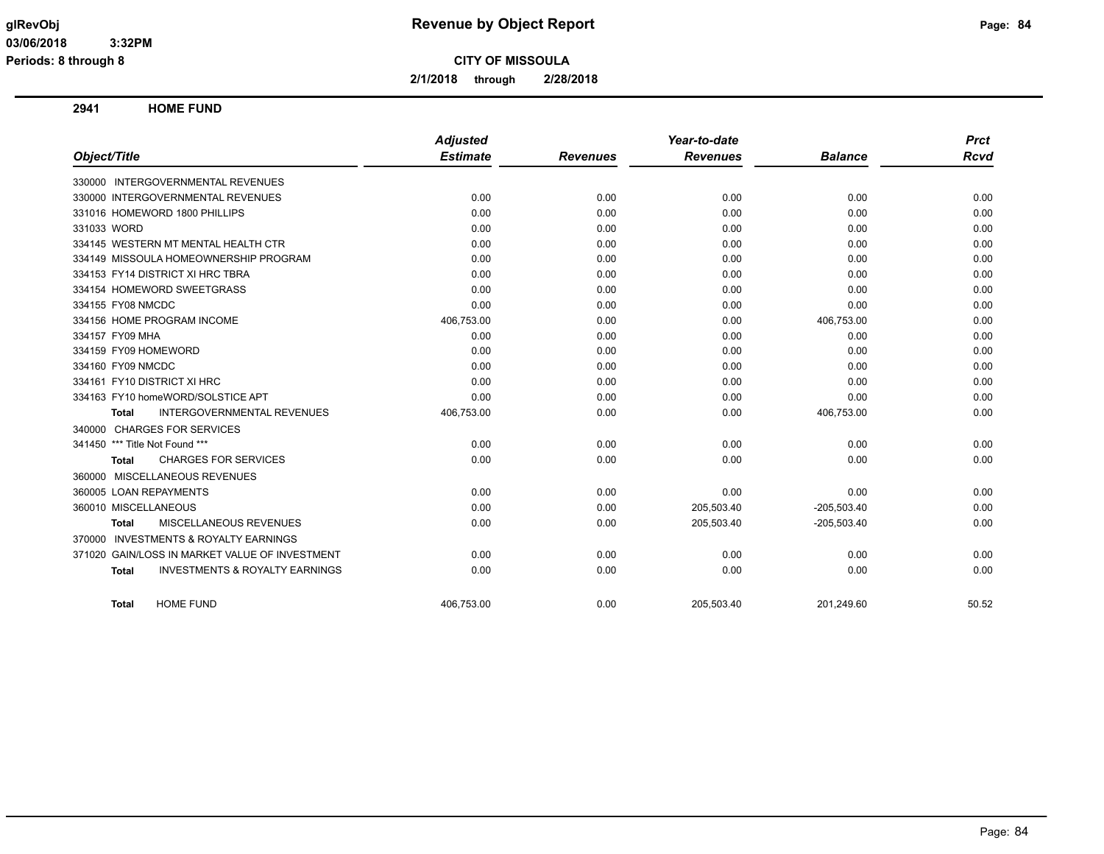**2/1/2018 through 2/28/2018**

**2941 HOME FUND**

|                                                           | <b>Adjusted</b> |                 | Year-to-date    |                | <b>Prct</b> |
|-----------------------------------------------------------|-----------------|-----------------|-----------------|----------------|-------------|
| Object/Title                                              | <b>Estimate</b> | <b>Revenues</b> | <b>Revenues</b> | <b>Balance</b> | Rcvd        |
| 330000 INTERGOVERNMENTAL REVENUES                         |                 |                 |                 |                |             |
| 330000 INTERGOVERNMENTAL REVENUES                         | 0.00            | 0.00            | 0.00            | 0.00           | 0.00        |
| 331016 HOMEWORD 1800 PHILLIPS                             | 0.00            | 0.00            | 0.00            | 0.00           | 0.00        |
| 331033 WORD                                               | 0.00            | 0.00            | 0.00            | 0.00           | 0.00        |
| 334145 WESTERN MT MENTAL HEALTH CTR                       | 0.00            | 0.00            | 0.00            | 0.00           | 0.00        |
| 334149 MISSOULA HOMEOWNERSHIP PROGRAM                     | 0.00            | 0.00            | 0.00            | 0.00           | 0.00        |
| 334153 FY14 DISTRICT XI HRC TBRA                          | 0.00            | 0.00            | 0.00            | 0.00           | 0.00        |
| 334154 HOMEWORD SWEETGRASS                                | 0.00            | 0.00            | 0.00            | 0.00           | 0.00        |
| 334155 FY08 NMCDC                                         | 0.00            | 0.00            | 0.00            | 0.00           | 0.00        |
| 334156 HOME PROGRAM INCOME                                | 406,753.00      | 0.00            | 0.00            | 406,753.00     | 0.00        |
| 334157 FY09 MHA                                           | 0.00            | 0.00            | 0.00            | 0.00           | 0.00        |
| 334159 FY09 HOMEWORD                                      | 0.00            | 0.00            | 0.00            | 0.00           | 0.00        |
| 334160 FY09 NMCDC                                         | 0.00            | 0.00            | 0.00            | 0.00           | 0.00        |
| 334161 FY10 DISTRICT XI HRC                               | 0.00            | 0.00            | 0.00            | 0.00           | 0.00        |
| 334163 FY10 homeWORD/SOLSTICE APT                         | 0.00            | 0.00            | 0.00            | 0.00           | 0.00        |
| INTERGOVERNMENTAL REVENUES<br><b>Total</b>                | 406,753.00      | 0.00            | 0.00            | 406,753.00     | 0.00        |
| 340000 CHARGES FOR SERVICES                               |                 |                 |                 |                |             |
| 341450 *** Title Not Found ***                            | 0.00            | 0.00            | 0.00            | 0.00           | 0.00        |
| <b>CHARGES FOR SERVICES</b><br><b>Total</b>               | 0.00            | 0.00            | 0.00            | 0.00           | 0.00        |
| 360000 MISCELLANEOUS REVENUES                             |                 |                 |                 |                |             |
| 360005 LOAN REPAYMENTS                                    | 0.00            | 0.00            | 0.00            | 0.00           | 0.00        |
| 360010 MISCELLANEOUS                                      | 0.00            | 0.00            | 205,503.40      | $-205,503.40$  | 0.00        |
| MISCELLANEOUS REVENUES<br><b>Total</b>                    | 0.00            | 0.00            | 205,503.40      | $-205,503.40$  | 0.00        |
| <b>INVESTMENTS &amp; ROYALTY EARNINGS</b><br>370000       |                 |                 |                 |                |             |
| 371020 GAIN/LOSS IN MARKET VALUE OF INVESTMENT            | 0.00            | 0.00            | 0.00            | 0.00           | 0.00        |
| <b>INVESTMENTS &amp; ROYALTY EARNINGS</b><br><b>Total</b> | 0.00            | 0.00            | 0.00            | 0.00           | 0.00        |
| <b>HOME FUND</b><br>Total                                 | 406,753.00      | 0.00            | 205,503.40      | 201,249.60     | 50.52       |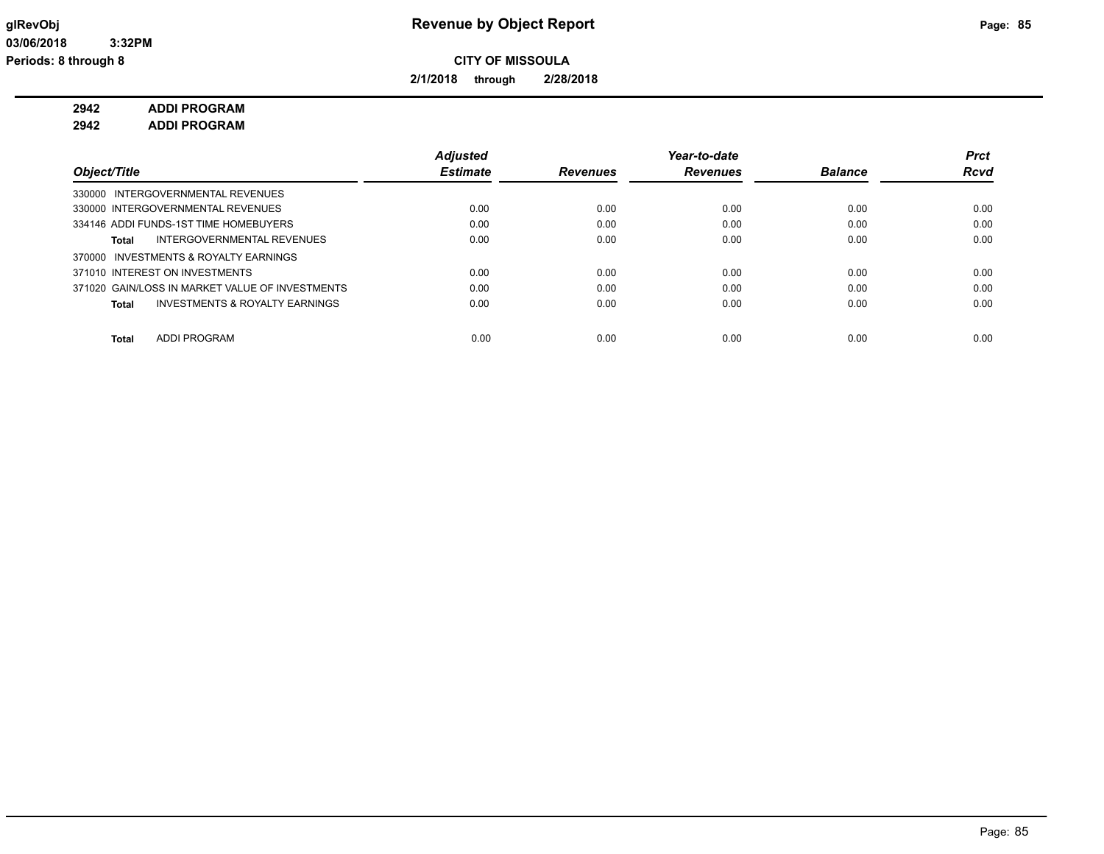**2/1/2018 through 2/28/2018**

## **2942 ADDI PROGRAM**

**2942 ADDI PROGRAM**

|                                                 | <b>Adjusted</b> |                 | Year-to-date    |                | Prct        |
|-------------------------------------------------|-----------------|-----------------|-----------------|----------------|-------------|
| Object/Title                                    | <b>Estimate</b> | <b>Revenues</b> | <b>Revenues</b> | <b>Balance</b> | <b>Rcvd</b> |
| 330000 INTERGOVERNMENTAL REVENUES               |                 |                 |                 |                |             |
| 330000 INTERGOVERNMENTAL REVENUES               | 0.00            | 0.00            | 0.00            | 0.00           | 0.00        |
| 334146 ADDI FUNDS-1ST TIME HOMEBUYERS           | 0.00            | 0.00            | 0.00            | 0.00           | 0.00        |
| INTERGOVERNMENTAL REVENUES<br>Total             | 0.00            | 0.00            | 0.00            | 0.00           | 0.00        |
| 370000 INVESTMENTS & ROYALTY EARNINGS           |                 |                 |                 |                |             |
| 371010 INTEREST ON INVESTMENTS                  | 0.00            | 0.00            | 0.00            | 0.00           | 0.00        |
| 371020 GAIN/LOSS IN MARKET VALUE OF INVESTMENTS | 0.00            | 0.00            | 0.00            | 0.00           | 0.00        |
| INVESTMENTS & ROYALTY EARNINGS<br>Total         | 0.00            | 0.00            | 0.00            | 0.00           | 0.00        |
|                                                 |                 |                 |                 |                |             |
| <b>ADDI PROGRAM</b><br><b>Total</b>             | 0.00            | 0.00            | 0.00            | 0.00           | 0.00        |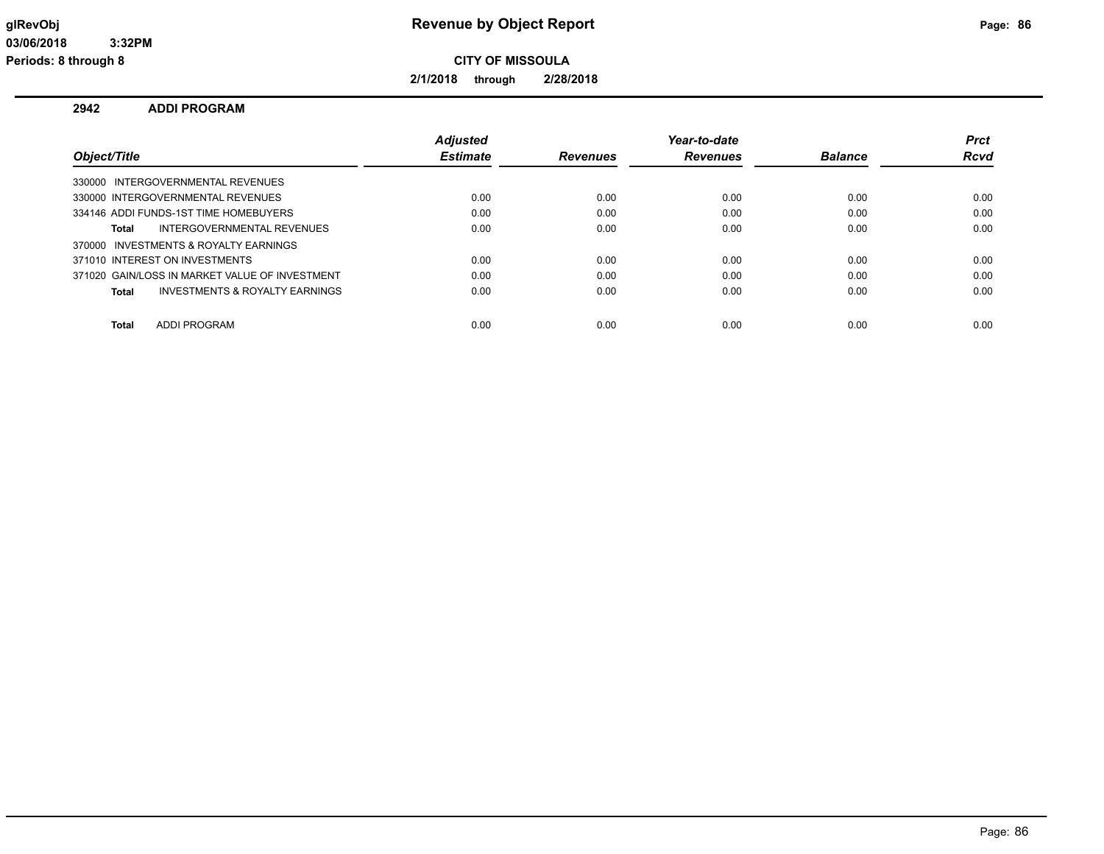**2/1/2018 through 2/28/2018**

## **2942 ADDI PROGRAM**

|                                                | <b>Adjusted</b> |                 | Year-to-date    |                | <b>Prct</b> |
|------------------------------------------------|-----------------|-----------------|-----------------|----------------|-------------|
| Object/Title                                   | <b>Estimate</b> | <b>Revenues</b> | <b>Revenues</b> | <b>Balance</b> | Rcvd        |
| 330000 INTERGOVERNMENTAL REVENUES              |                 |                 |                 |                |             |
| 330000 INTERGOVERNMENTAL REVENUES              | 0.00            | 0.00            | 0.00            | 0.00           | 0.00        |
| 334146 ADDI FUNDS-1ST TIME HOMEBUYERS          | 0.00            | 0.00            | 0.00            | 0.00           | 0.00        |
| INTERGOVERNMENTAL REVENUES<br>Total            | 0.00            | 0.00            | 0.00            | 0.00           | 0.00        |
| 370000 INVESTMENTS & ROYALTY EARNINGS          |                 |                 |                 |                |             |
| 371010 INTEREST ON INVESTMENTS                 | 0.00            | 0.00            | 0.00            | 0.00           | 0.00        |
| 371020 GAIN/LOSS IN MARKET VALUE OF INVESTMENT | 0.00            | 0.00            | 0.00            | 0.00           | 0.00        |
| INVESTMENTS & ROYALTY EARNINGS<br>Total        | 0.00            | 0.00            | 0.00            | 0.00           | 0.00        |
|                                                |                 |                 |                 |                |             |
| ADDI PROGRAM<br><b>Total</b>                   | 0.00            | 0.00            | 0.00            | 0.00           | 0.00        |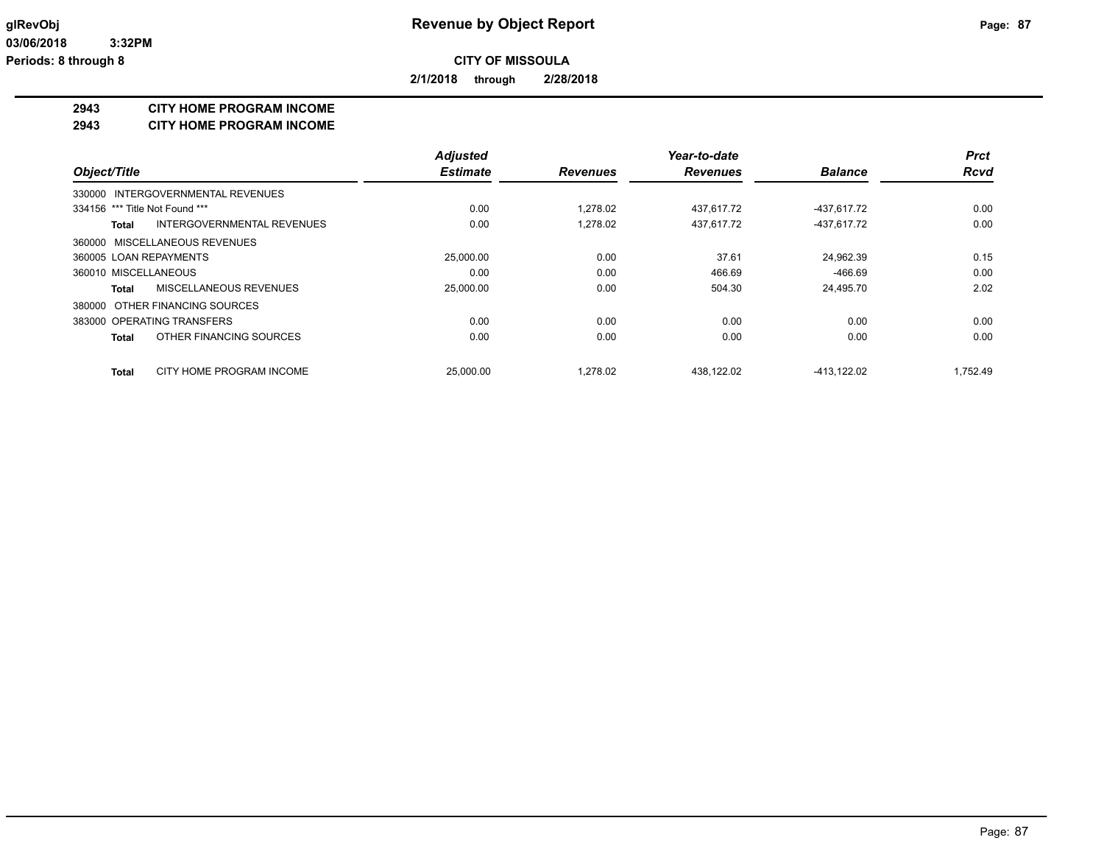**2/1/2018 through 2/28/2018**

#### **2943 CITY HOME PROGRAM INCOME**

**2943 CITY HOME PROGRAM INCOME**

|                                          | <b>Adjusted</b> |                 | Year-to-date    |                | <b>Prct</b> |
|------------------------------------------|-----------------|-----------------|-----------------|----------------|-------------|
| Object/Title                             | <b>Estimate</b> | <b>Revenues</b> | <b>Revenues</b> | <b>Balance</b> | <b>Rcvd</b> |
| 330000 INTERGOVERNMENTAL REVENUES        |                 |                 |                 |                |             |
| 334156 *** Title Not Found ***           | 0.00            | 1.278.02        | 437,617.72      | -437,617.72    | 0.00        |
| INTERGOVERNMENTAL REVENUES<br>Total      | 0.00            | 1,278.02        | 437,617.72      | -437,617.72    | 0.00        |
| 360000 MISCELLANEOUS REVENUES            |                 |                 |                 |                |             |
| 360005 LOAN REPAYMENTS                   | 25,000.00       | 0.00            | 37.61           | 24.962.39      | 0.15        |
| 360010 MISCELLANEOUS                     | 0.00            | 0.00            | 466.69          | $-466.69$      | 0.00        |
| MISCELLANEOUS REVENUES<br>Total          | 25,000.00       | 0.00            | 504.30          | 24,495.70      | 2.02        |
| 380000 OTHER FINANCING SOURCES           |                 |                 |                 |                |             |
| 383000 OPERATING TRANSFERS               | 0.00            | 0.00            | 0.00            | 0.00           | 0.00        |
| OTHER FINANCING SOURCES<br>Total         | 0.00            | 0.00            | 0.00            | 0.00           | 0.00        |
| CITY HOME PROGRAM INCOME<br><b>Total</b> | 25,000.00       | 1.278.02        | 438.122.02      | -413.122.02    | 1.752.49    |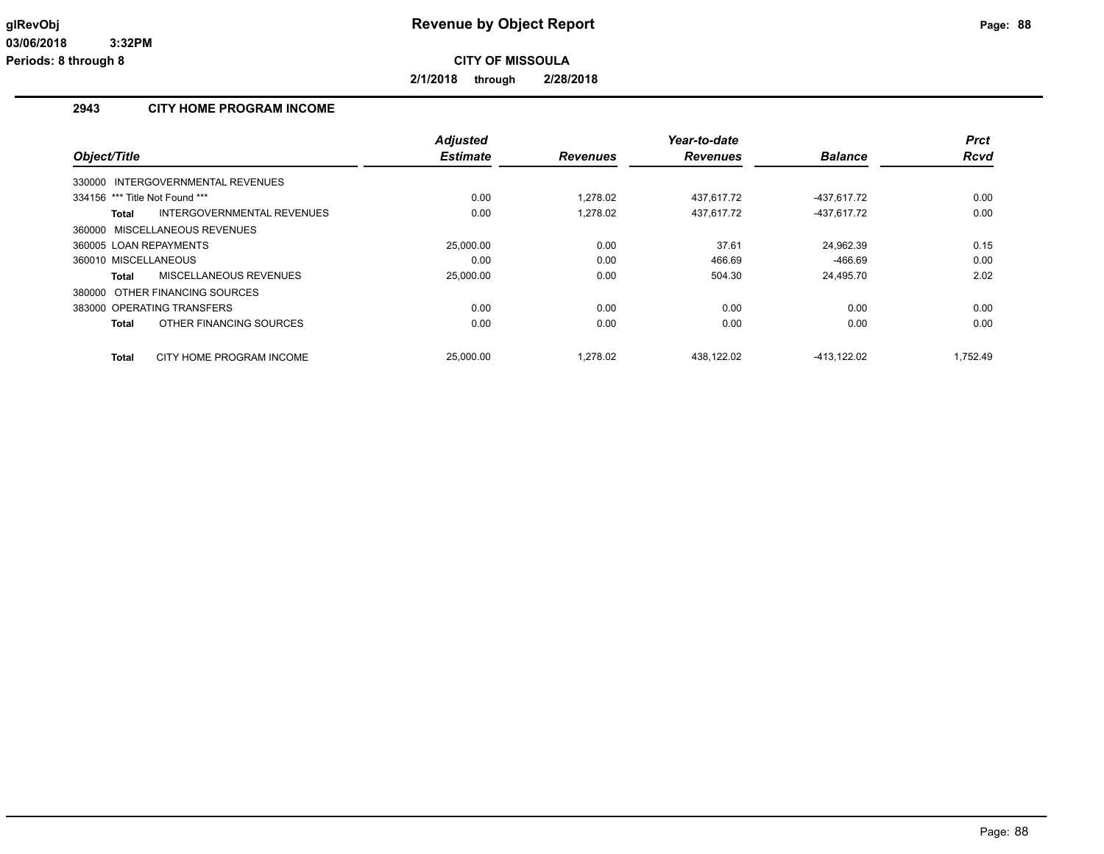**2/1/2018 through 2/28/2018**

## **2943 CITY HOME PROGRAM INCOME**

|                                            | <b>Adjusted</b> |                 | Year-to-date    |                | <b>Prct</b> |
|--------------------------------------------|-----------------|-----------------|-----------------|----------------|-------------|
| Object/Title                               | <b>Estimate</b> | <b>Revenues</b> | <b>Revenues</b> | <b>Balance</b> | Rcvd        |
| 330000 INTERGOVERNMENTAL REVENUES          |                 |                 |                 |                |             |
| 334156 *** Title Not Found ***             | 0.00            | 1.278.02        | 437,617.72      | -437,617.72    | 0.00        |
| INTERGOVERNMENTAL REVENUES<br><b>Total</b> | 0.00            | 1.278.02        | 437.617.72      | -437.617.72    | 0.00        |
| 360000 MISCELLANEOUS REVENUES              |                 |                 |                 |                |             |
| 360005 LOAN REPAYMENTS                     | 25,000.00       | 0.00            | 37.61           | 24.962.39      | 0.15        |
| 360010 MISCELLANEOUS                       | 0.00            | 0.00            | 466.69          | $-466.69$      | 0.00        |
| MISCELLANEOUS REVENUES<br><b>Total</b>     | 25,000.00       | 0.00            | 504.30          | 24,495.70      | 2.02        |
| 380000 OTHER FINANCING SOURCES             |                 |                 |                 |                |             |
| 383000 OPERATING TRANSFERS                 | 0.00            | 0.00            | 0.00            | 0.00           | 0.00        |
| OTHER FINANCING SOURCES<br><b>Total</b>    | 0.00            | 0.00            | 0.00            | 0.00           | 0.00        |
| CITY HOME PROGRAM INCOME<br><b>Total</b>   | 25,000.00       | 1.278.02        | 438.122.02      | -413.122.02    | 1.752.49    |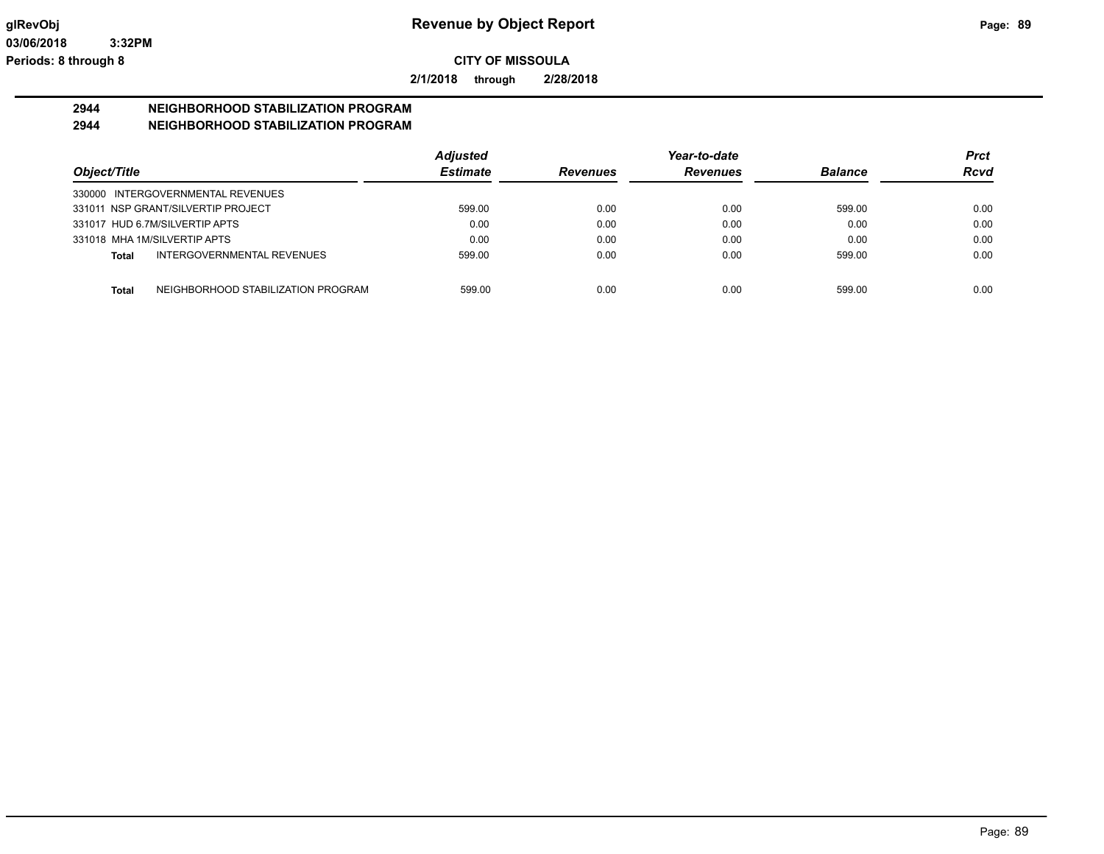**2/1/2018 through 2/28/2018**

#### **2944 NEIGHBORHOOD STABILIZATION PROGRAM 2944 NEIGHBORHOOD STABILIZATION PROGRAM**

|                                                    | <b>Adjusted</b> |                 | Year-to-date    |                | <b>Prct</b> |
|----------------------------------------------------|-----------------|-----------------|-----------------|----------------|-------------|
| Object/Title                                       | <b>Estimate</b> | <b>Revenues</b> | <b>Revenues</b> | <b>Balance</b> | <b>Rcvd</b> |
| 330000 INTERGOVERNMENTAL REVENUES                  |                 |                 |                 |                |             |
| 331011 NSP GRANT/SILVERTIP PROJECT                 | 599.00          | 0.00            | 0.00            | 599.00         | 0.00        |
| 331017 HUD 6.7M/SILVERTIP APTS                     | 0.00            | 0.00            | 0.00            | 0.00           | 0.00        |
| 331018 MHA 1M/SILVERTIP APTS                       | 0.00            | 0.00            | 0.00            | 0.00           | 0.00        |
| INTERGOVERNMENTAL REVENUES<br>Total                | 599.00          | 0.00            | 0.00            | 599.00         | 0.00        |
| NEIGHBORHOOD STABILIZATION PROGRAM<br><b>Total</b> | 599.00          | 0.00            | 0.00            | 599.00         | 0.00        |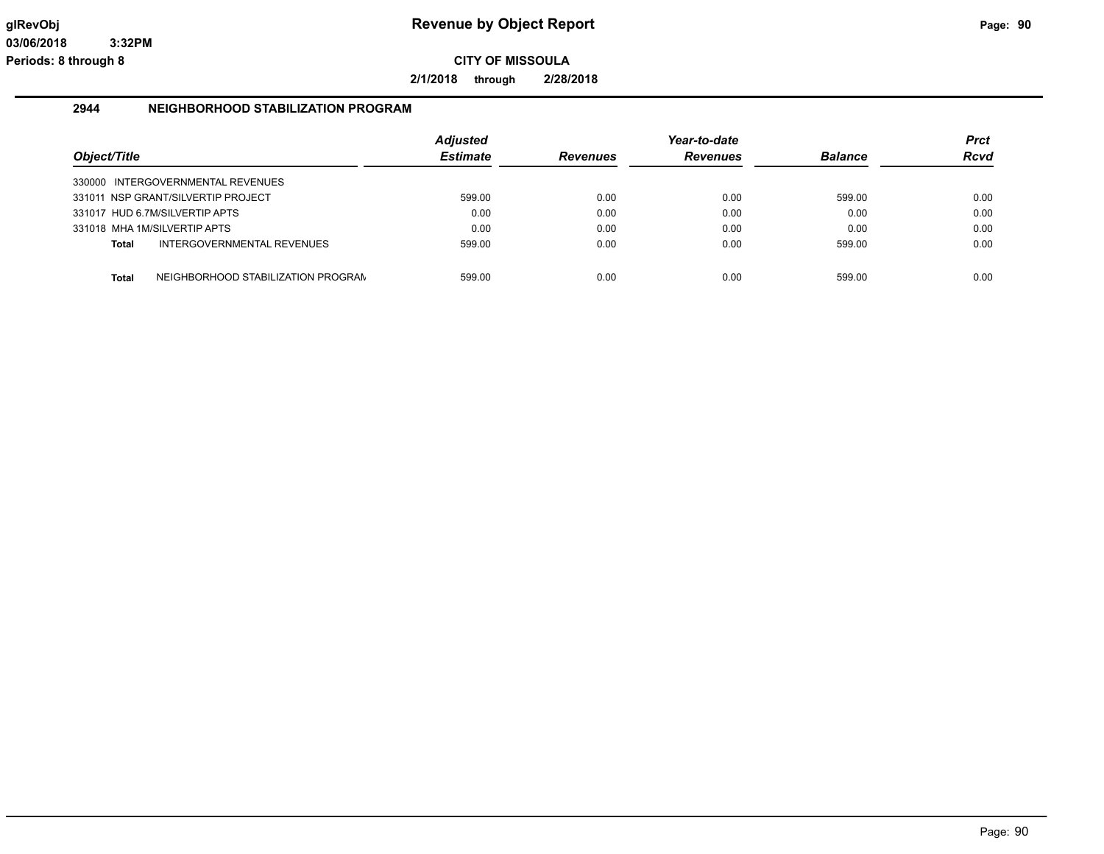**2/1/2018 through 2/28/2018**

#### **2944 NEIGHBORHOOD STABILIZATION PROGRAM**

| Object/Title |                                    | <b>Adjusted</b><br><b>Estimate</b> | <b>Revenues</b> | Year-to-date<br><b>Revenues</b> | <b>Balance</b> | <b>Prct</b><br><b>Rcvd</b> |
|--------------|------------------------------------|------------------------------------|-----------------|---------------------------------|----------------|----------------------------|
|              | 330000 INTERGOVERNMENTAL REVENUES  |                                    |                 |                                 |                |                            |
|              | 331011 NSP GRANT/SILVERTIP PROJECT | 599.00                             | 0.00            | 0.00                            | 599.00         | 0.00                       |
|              | 331017 HUD 6.7M/SILVERTIP APTS     | 0.00                               | 0.00            | 0.00                            | 0.00           | 0.00                       |
|              | 331018 MHA 1M/SILVERTIP APTS       | 0.00                               | 0.00            | 0.00                            | 0.00           | 0.00                       |
| <b>Total</b> | INTERGOVERNMENTAL REVENUES         | 599.00                             | 0.00            | 0.00                            | 599.00         | 0.00                       |
| <b>Total</b> | NEIGHBORHOOD STABILIZATION PROGRAN | 599.00                             | 0.00            | 0.00                            | 599.00         | 0.00                       |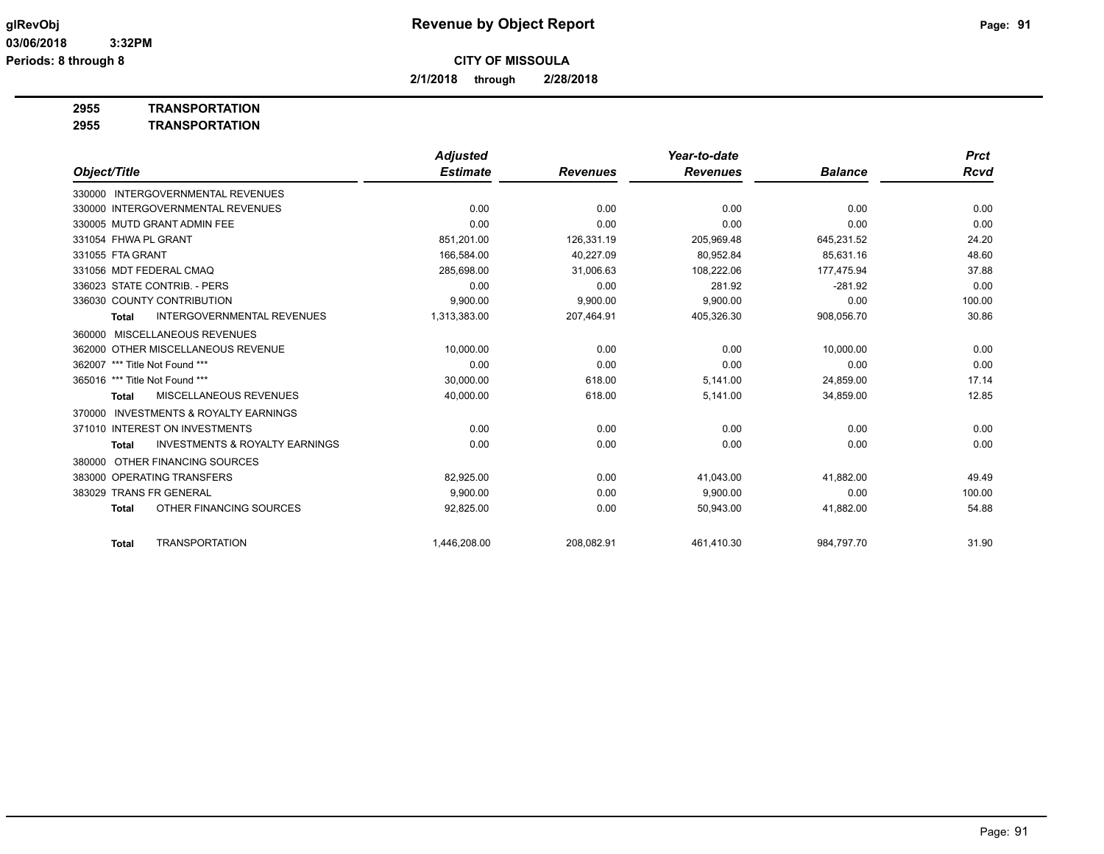**2/1/2018 through 2/28/2018**

**2955 TRANSPORTATION**

| 2955 | <b>TRANSPORTATION</b> |
|------|-----------------------|
|      |                       |

|                                                           | <b>Adjusted</b> |                 | Year-to-date    |                | <b>Prct</b> |
|-----------------------------------------------------------|-----------------|-----------------|-----------------|----------------|-------------|
| Object/Title                                              | <b>Estimate</b> | <b>Revenues</b> | <b>Revenues</b> | <b>Balance</b> | Rcvd        |
| 330000 INTERGOVERNMENTAL REVENUES                         |                 |                 |                 |                |             |
| 330000 INTERGOVERNMENTAL REVENUES                         | 0.00            | 0.00            | 0.00            | 0.00           | 0.00        |
| 330005 MUTD GRANT ADMIN FEE                               | 0.00            | 0.00            | 0.00            | 0.00           | 0.00        |
| 331054 FHWA PL GRANT                                      | 851,201.00      | 126,331.19      | 205,969.48      | 645,231.52     | 24.20       |
| 331055 FTA GRANT                                          | 166.584.00      | 40.227.09       | 80.952.84       | 85.631.16      | 48.60       |
| 331056 MDT FEDERAL CMAQ                                   | 285,698.00      | 31,006.63       | 108,222.06      | 177,475.94     | 37.88       |
| 336023 STATE CONTRIB. - PERS                              | 0.00            | 0.00            | 281.92          | $-281.92$      | 0.00        |
| 336030 COUNTY CONTRIBUTION                                | 9,900.00        | 9,900.00        | 9,900.00        | 0.00           | 100.00      |
| <b>INTERGOVERNMENTAL REVENUES</b><br>Total                | 1,313,383.00    | 207,464.91      | 405,326.30      | 908,056.70     | 30.86       |
| <b>MISCELLANEOUS REVENUES</b><br>360000                   |                 |                 |                 |                |             |
| 362000 OTHER MISCELLANEOUS REVENUE                        | 10,000.00       | 0.00            | 0.00            | 10,000.00      | 0.00        |
| 362007 *** Title Not Found ***                            | 0.00            | 0.00            | 0.00            | 0.00           | 0.00        |
| 365016 *** Title Not Found ***                            | 30,000.00       | 618.00          | 5,141.00        | 24,859.00      | 17.14       |
| <b>MISCELLANEOUS REVENUES</b><br><b>Total</b>             | 40,000.00       | 618.00          | 5,141.00        | 34,859.00      | 12.85       |
| <b>INVESTMENTS &amp; ROYALTY EARNINGS</b><br>370000       |                 |                 |                 |                |             |
| 371010 INTEREST ON INVESTMENTS                            | 0.00            | 0.00            | 0.00            | 0.00           | 0.00        |
| <b>INVESTMENTS &amp; ROYALTY EARNINGS</b><br><b>Total</b> | 0.00            | 0.00            | 0.00            | 0.00           | 0.00        |
| OTHER FINANCING SOURCES<br>380000                         |                 |                 |                 |                |             |
| 383000 OPERATING TRANSFERS                                | 82,925.00       | 0.00            | 41,043.00       | 41,882.00      | 49.49       |
| <b>TRANS FR GENERAL</b><br>383029                         | 9.900.00        | 0.00            | 9,900.00        | 0.00           | 100.00      |
| OTHER FINANCING SOURCES<br><b>Total</b>                   | 92,825.00       | 0.00            | 50,943.00       | 41,882.00      | 54.88       |
| <b>TRANSPORTATION</b><br><b>Total</b>                     | 1,446,208.00    | 208.082.91      | 461,410.30      | 984,797.70     | 31.90       |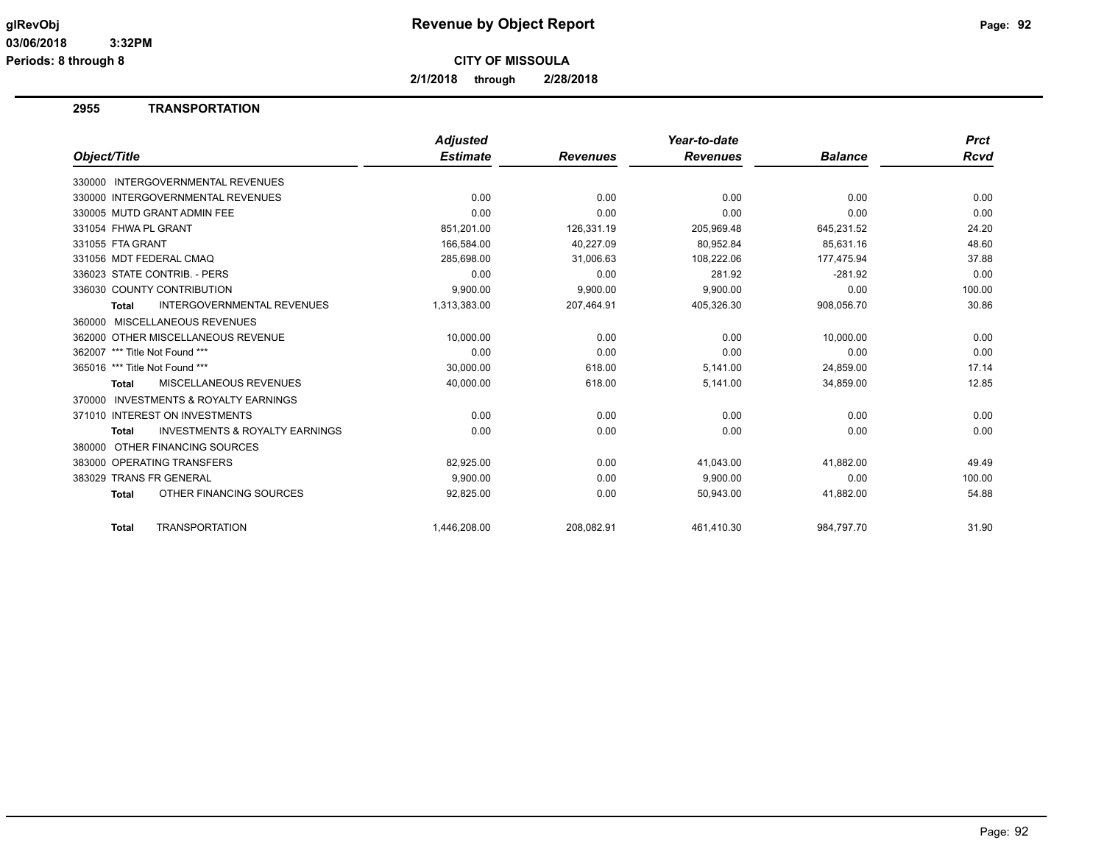**Periods: 8 through 8**

**CITY OF MISSOULA**

**2/1/2018 through 2/28/2018**

## **2955 TRANSPORTATION**

|                                                           | <b>Adjusted</b> |                 | Year-to-date    |                | <b>Prct</b> |
|-----------------------------------------------------------|-----------------|-----------------|-----------------|----------------|-------------|
| Object/Title                                              | <b>Estimate</b> | <b>Revenues</b> | <b>Revenues</b> | <b>Balance</b> | Rcvd        |
| 330000 INTERGOVERNMENTAL REVENUES                         |                 |                 |                 |                |             |
| 330000 INTERGOVERNMENTAL REVENUES                         | 0.00            | 0.00            | 0.00            | 0.00           | 0.00        |
| 330005 MUTD GRANT ADMIN FEE                               | 0.00            | 0.00            | 0.00            | 0.00           | 0.00        |
| 331054 FHWA PL GRANT                                      | 851,201.00      | 126,331.19      | 205,969.48      | 645,231.52     | 24.20       |
| 331055 FTA GRANT                                          | 166,584.00      | 40,227.09       | 80,952.84       | 85,631.16      | 48.60       |
| 331056 MDT FEDERAL CMAQ                                   | 285,698.00      | 31,006.63       | 108,222.06      | 177,475.94     | 37.88       |
| 336023 STATE CONTRIB. - PERS                              | 0.00            | 0.00            | 281.92          | $-281.92$      | 0.00        |
| 336030 COUNTY CONTRIBUTION                                | 9.900.00        | 9,900.00        | 9,900.00        | 0.00           | 100.00      |
| <b>INTERGOVERNMENTAL REVENUES</b><br><b>Total</b>         | 1,313,383.00    | 207,464.91      | 405,326.30      | 908,056.70     | 30.86       |
| 360000 MISCELLANEOUS REVENUES                             |                 |                 |                 |                |             |
| 362000 OTHER MISCELLANEOUS REVENUE                        | 10.000.00       | 0.00            | 0.00            | 10,000.00      | 0.00        |
| 362007 *** Title Not Found ***                            | 0.00            | 0.00            | 0.00            | 0.00           | 0.00        |
| 365016 *** Title Not Found ***                            | 30,000.00       | 618.00          | 5,141.00        | 24,859.00      | 17.14       |
| <b>MISCELLANEOUS REVENUES</b><br><b>Total</b>             | 40,000.00       | 618.00          | 5,141.00        | 34,859.00      | 12.85       |
| <b>INVESTMENTS &amp; ROYALTY EARNINGS</b><br>370000       |                 |                 |                 |                |             |
| 371010 INTEREST ON INVESTMENTS                            | 0.00            | 0.00            | 0.00            | 0.00           | 0.00        |
| <b>INVESTMENTS &amp; ROYALTY EARNINGS</b><br><b>Total</b> | 0.00            | 0.00            | 0.00            | 0.00           | 0.00        |
| OTHER FINANCING SOURCES<br>380000                         |                 |                 |                 |                |             |
| 383000 OPERATING TRANSFERS                                | 82,925.00       | 0.00            | 41,043.00       | 41,882.00      | 49.49       |
| 383029 TRANS FR GENERAL                                   | 9,900.00        | 0.00            | 9,900.00        | 0.00           | 100.00      |
| OTHER FINANCING SOURCES<br><b>Total</b>                   | 92,825.00       | 0.00            | 50,943.00       | 41,882.00      | 54.88       |
| <b>TRANSPORTATION</b><br><b>Total</b>                     | 1,446,208.00    | 208.082.91      | 461,410.30      | 984,797.70     | 31.90       |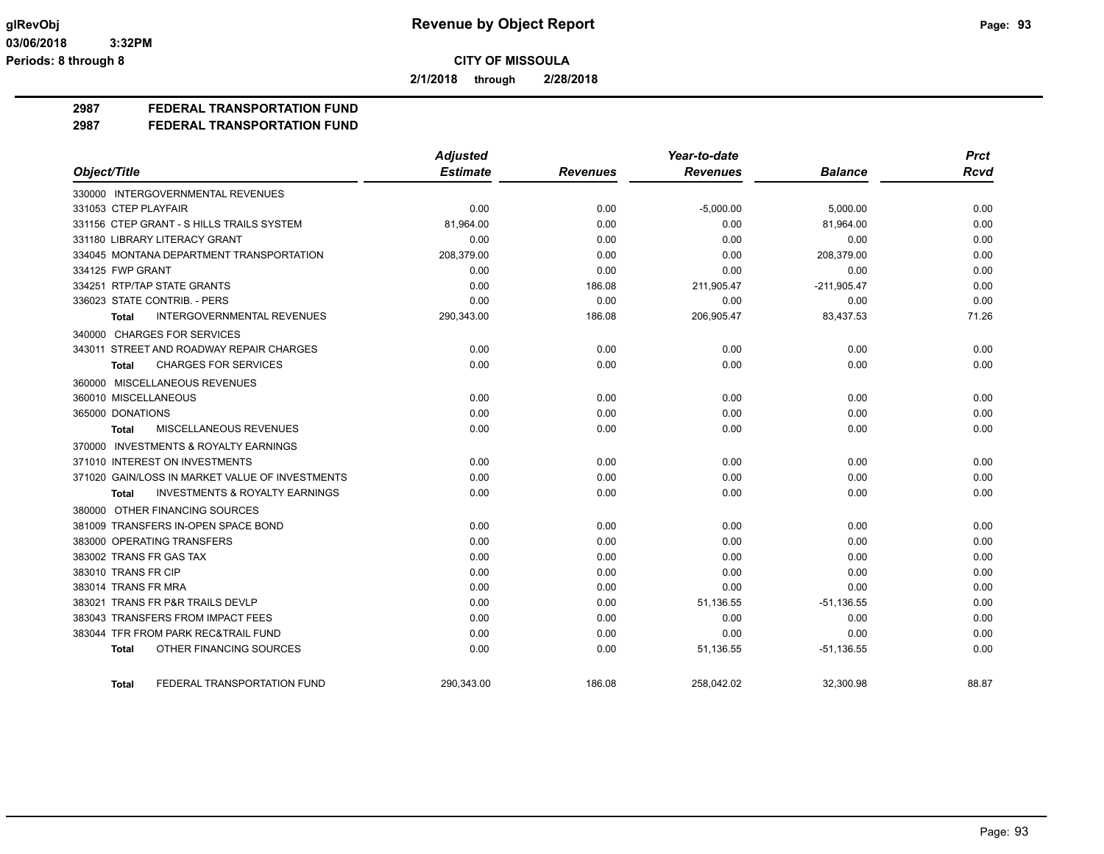**2/1/2018 through 2/28/2018**

## **2987 FEDERAL TRANSPORTATION FUND**

**2987 FEDERAL TRANSPORTATION FUND**

|                                                           | <b>Adjusted</b> |                 | Year-to-date    |                | <b>Prct</b> |
|-----------------------------------------------------------|-----------------|-----------------|-----------------|----------------|-------------|
| Object/Title                                              | <b>Estimate</b> | <b>Revenues</b> | <b>Revenues</b> | <b>Balance</b> | <b>Rcvd</b> |
| 330000 INTERGOVERNMENTAL REVENUES                         |                 |                 |                 |                |             |
| 331053 CTEP PLAYFAIR                                      | 0.00            | 0.00            | $-5,000.00$     | 5,000.00       | 0.00        |
| 331156 CTEP GRANT - S HILLS TRAILS SYSTEM                 | 81,964.00       | 0.00            | 0.00            | 81,964.00      | 0.00        |
| 331180 LIBRARY LITERACY GRANT                             | 0.00            | 0.00            | 0.00            | 0.00           | 0.00        |
| 334045 MONTANA DEPARTMENT TRANSPORTATION                  | 208,379.00      | 0.00            | 0.00            | 208,379.00     | 0.00        |
| 334125 FWP GRANT                                          | 0.00            | 0.00            | 0.00            | 0.00           | 0.00        |
| 334251 RTP/TAP STATE GRANTS                               | 0.00            | 186.08          | 211,905.47      | $-211,905.47$  | 0.00        |
| 336023 STATE CONTRIB. - PERS                              | 0.00            | 0.00            | 0.00            | 0.00           | 0.00        |
| INTERGOVERNMENTAL REVENUES<br><b>Total</b>                | 290,343.00      | 186.08          | 206,905.47      | 83,437.53      | 71.26       |
| 340000 CHARGES FOR SERVICES                               |                 |                 |                 |                |             |
| 343011 STREET AND ROADWAY REPAIR CHARGES                  | 0.00            | 0.00            | 0.00            | 0.00           | 0.00        |
| <b>CHARGES FOR SERVICES</b><br>Total                      | 0.00            | 0.00            | 0.00            | 0.00           | 0.00        |
| 360000 MISCELLANEOUS REVENUES                             |                 |                 |                 |                |             |
| 360010 MISCELLANEOUS                                      | 0.00            | 0.00            | 0.00            | 0.00           | 0.00        |
| 365000 DONATIONS                                          | 0.00            | 0.00            | 0.00            | 0.00           | 0.00        |
| MISCELLANEOUS REVENUES<br><b>Total</b>                    | 0.00            | 0.00            | 0.00            | 0.00           | 0.00        |
| 370000 INVESTMENTS & ROYALTY EARNINGS                     |                 |                 |                 |                |             |
| 371010 INTEREST ON INVESTMENTS                            | 0.00            | 0.00            | 0.00            | 0.00           | 0.00        |
| 371020 GAIN/LOSS IN MARKET VALUE OF INVESTMENTS           | 0.00            | 0.00            | 0.00            | 0.00           | 0.00        |
| <b>INVESTMENTS &amp; ROYALTY EARNINGS</b><br><b>Total</b> | 0.00            | 0.00            | 0.00            | 0.00           | 0.00        |
| 380000 OTHER FINANCING SOURCES                            |                 |                 |                 |                |             |
| 381009 TRANSFERS IN-OPEN SPACE BOND                       | 0.00            | 0.00            | 0.00            | 0.00           | 0.00        |
| 383000 OPERATING TRANSFERS                                | 0.00            | 0.00            | 0.00            | 0.00           | 0.00        |
| 383002 TRANS FR GAS TAX                                   | 0.00            | 0.00            | 0.00            | 0.00           | 0.00        |
| 383010 TRANS FR CIP                                       | 0.00            | 0.00            | 0.00            | 0.00           | 0.00        |
| 383014 TRANS FR MRA                                       | 0.00            | 0.00            | 0.00            | 0.00           | 0.00        |
| 383021 TRANS FR P&R TRAILS DEVLP                          | 0.00            | 0.00            | 51,136.55       | $-51, 136.55$  | 0.00        |
| 383043 TRANSFERS FROM IMPACT FEES                         | 0.00            | 0.00            | 0.00            | 0.00           | 0.00        |
| 383044 TFR FROM PARK REC&TRAIL FUND                       | 0.00            | 0.00            | 0.00            | 0.00           | 0.00        |
| OTHER FINANCING SOURCES<br><b>Total</b>                   | 0.00            | 0.00            | 51,136.55       | $-51, 136.55$  | 0.00        |
| FEDERAL TRANSPORTATION FUND<br>Total                      | 290,343.00      | 186.08          | 258,042.02      | 32,300.98      | 88.87       |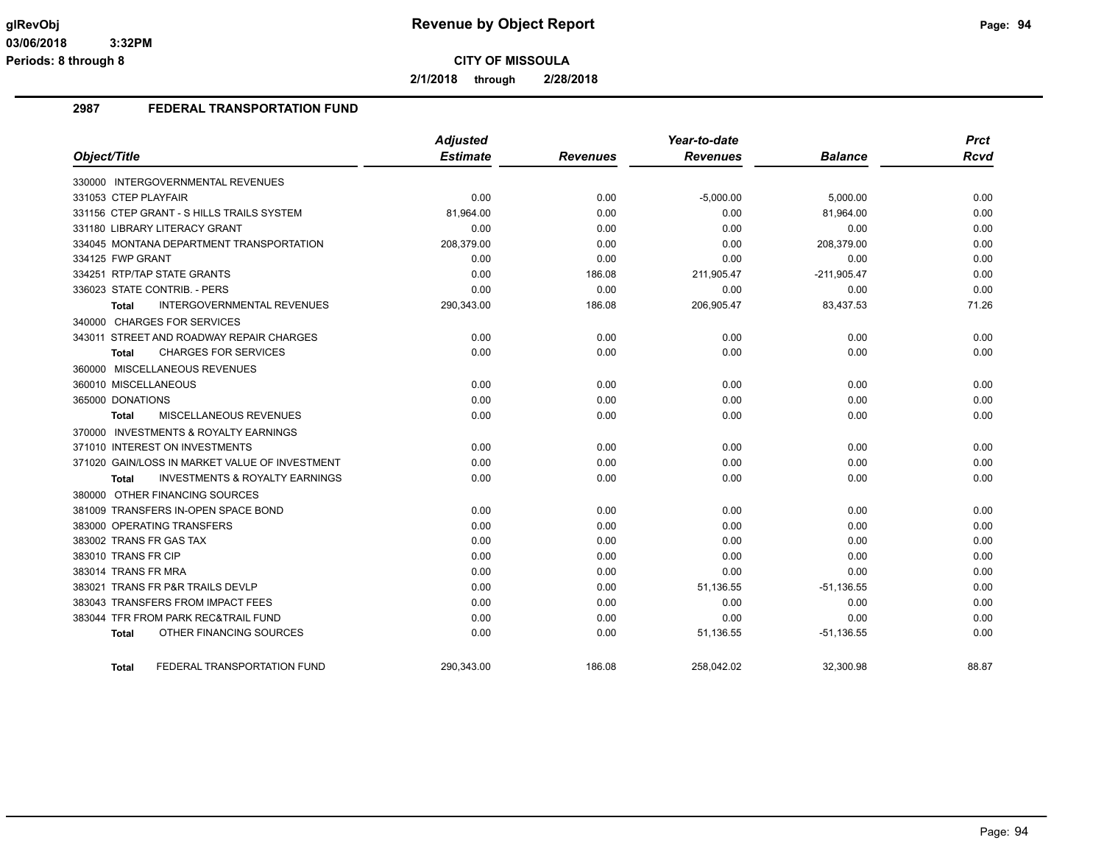**2/1/2018 through 2/28/2018**

#### **2987 FEDERAL TRANSPORTATION FUND**

| Object/Title                                       | <b>Adjusted</b><br><b>Estimate</b> | <b>Revenues</b> | Year-to-date<br><b>Revenues</b> | <b>Balance</b> | <b>Prct</b><br><b>Rcvd</b> |
|----------------------------------------------------|------------------------------------|-----------------|---------------------------------|----------------|----------------------------|
|                                                    |                                    |                 |                                 |                |                            |
| 330000 INTERGOVERNMENTAL REVENUES                  |                                    |                 |                                 |                |                            |
| 331053 CTEP PLAYFAIR                               | 0.00                               | 0.00            | $-5,000.00$                     | 5,000.00       | 0.00                       |
| 331156 CTEP GRANT - S HILLS TRAILS SYSTEM          | 81,964.00                          | 0.00            | 0.00                            | 81,964.00      | 0.00                       |
| 331180 LIBRARY LITERACY GRANT                      | 0.00                               | 0.00            | 0.00                            | 0.00           | 0.00                       |
| 334045 MONTANA DEPARTMENT TRANSPORTATION           | 208,379.00                         | 0.00            | 0.00                            | 208,379.00     | 0.00                       |
| 334125 FWP GRANT                                   | 0.00                               | 0.00            | 0.00                            | 0.00           | 0.00                       |
| 334251 RTP/TAP STATE GRANTS                        | 0.00                               | 186.08          | 211,905.47                      | $-211,905.47$  | 0.00                       |
| 336023 STATE CONTRIB. - PERS                       | 0.00                               | 0.00            | 0.00                            | 0.00           | 0.00                       |
| <b>INTERGOVERNMENTAL REVENUES</b><br><b>Total</b>  | 290,343.00                         | 186.08          | 206,905.47                      | 83,437.53      | 71.26                      |
| 340000 CHARGES FOR SERVICES                        |                                    |                 |                                 |                |                            |
| 343011 STREET AND ROADWAY REPAIR CHARGES           | 0.00                               | 0.00            | 0.00                            | 0.00           | 0.00                       |
| <b>CHARGES FOR SERVICES</b><br>Total               | 0.00                               | 0.00            | 0.00                            | 0.00           | 0.00                       |
| 360000 MISCELLANEOUS REVENUES                      |                                    |                 |                                 |                |                            |
| 360010 MISCELLANEOUS                               | 0.00                               | 0.00            | 0.00                            | 0.00           | 0.00                       |
| 365000 DONATIONS                                   | 0.00                               | 0.00            | 0.00                            | 0.00           | 0.00                       |
| MISCELLANEOUS REVENUES<br>Total                    | 0.00                               | 0.00            | 0.00                            | 0.00           | 0.00                       |
| 370000 INVESTMENTS & ROYALTY EARNINGS              |                                    |                 |                                 |                |                            |
| 371010 INTEREST ON INVESTMENTS                     | 0.00                               | 0.00            | 0.00                            | 0.00           | 0.00                       |
| 371020 GAIN/LOSS IN MARKET VALUE OF INVESTMENT     | 0.00                               | 0.00            | 0.00                            | 0.00           | 0.00                       |
| <b>INVESTMENTS &amp; ROYALTY EARNINGS</b><br>Total | 0.00                               | 0.00            | 0.00                            | 0.00           | 0.00                       |
| 380000 OTHER FINANCING SOURCES                     |                                    |                 |                                 |                |                            |
| 381009 TRANSFERS IN-OPEN SPACE BOND                | 0.00                               | 0.00            | 0.00                            | 0.00           | 0.00                       |
| 383000 OPERATING TRANSFERS                         | 0.00                               | 0.00            | 0.00                            | 0.00           | 0.00                       |
| 383002 TRANS FR GAS TAX                            | 0.00                               | 0.00            | 0.00                            | 0.00           | 0.00                       |
| 383010 TRANS FR CIP                                | 0.00                               | 0.00            | 0.00                            | 0.00           | 0.00                       |
| 383014 TRANS FR MRA                                | 0.00                               | 0.00            | 0.00                            | 0.00           | 0.00                       |
| 383021 TRANS FR P&R TRAILS DEVLP                   | 0.00                               | 0.00            | 51,136.55                       | $-51,136.55$   | 0.00                       |
| 383043 TRANSFERS FROM IMPACT FEES                  | 0.00                               | 0.00            | 0.00                            | 0.00           | 0.00                       |
| 383044 TFR FROM PARK REC&TRAIL FUND                | 0.00                               | 0.00            | 0.00                            | 0.00           | 0.00                       |
| OTHER FINANCING SOURCES<br>Total                   | 0.00                               | 0.00            | 51,136.55                       | $-51,136.55$   | 0.00                       |
| FEDERAL TRANSPORTATION FUND<br><b>Total</b>        | 290,343.00                         | 186.08          | 258,042.02                      | 32,300.98      | 88.87                      |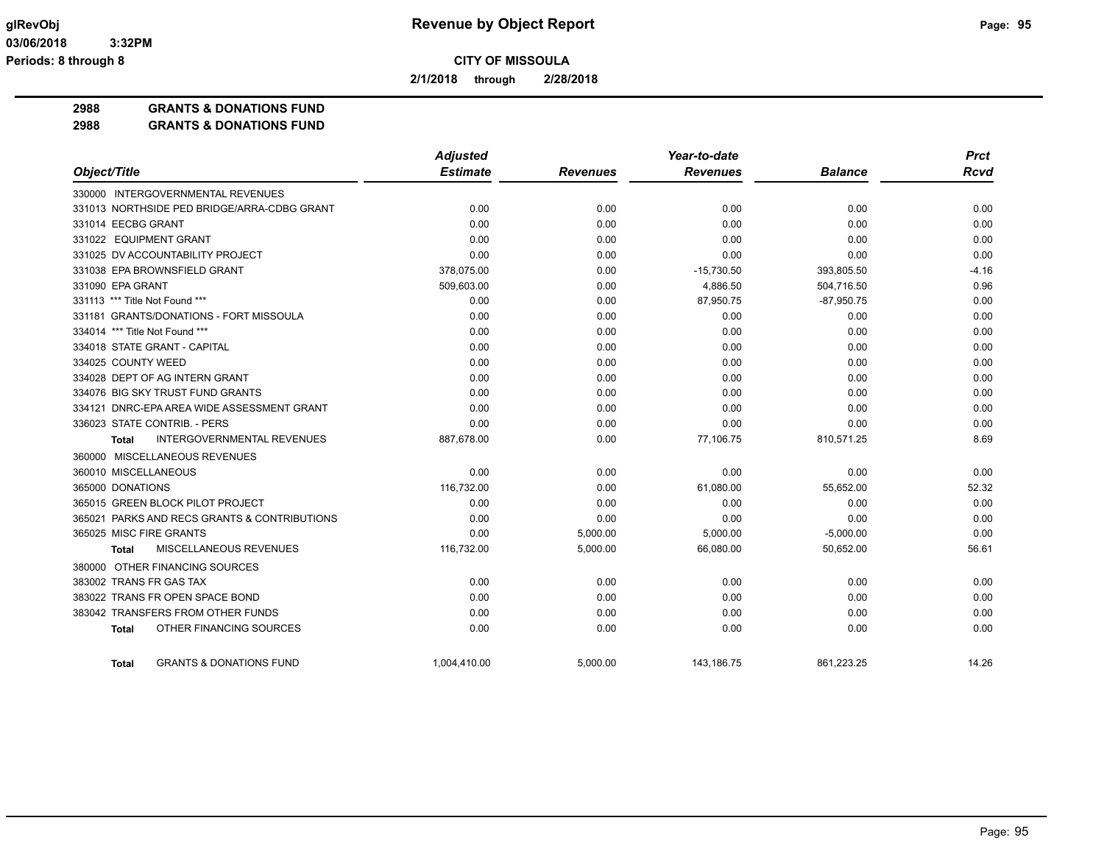**2/1/2018 through 2/28/2018**

**2988 GRANTS & DONATIONS FUND**

**2988 GRANTS & DONATIONS FUND**

|                                                    | <b>Adjusted</b> |                 | Year-to-date    |                | <b>Prct</b> |
|----------------------------------------------------|-----------------|-----------------|-----------------|----------------|-------------|
| Object/Title                                       | <b>Estimate</b> | <b>Revenues</b> | <b>Revenues</b> | <b>Balance</b> | <b>Rcvd</b> |
| 330000 INTERGOVERNMENTAL REVENUES                  |                 |                 |                 |                |             |
| 331013 NORTHSIDE PED BRIDGE/ARRA-CDBG GRANT        | 0.00            | 0.00            | 0.00            | 0.00           | 0.00        |
| 331014 EECBG GRANT                                 | 0.00            | 0.00            | 0.00            | 0.00           | 0.00        |
| 331022 EQUIPMENT GRANT                             | 0.00            | 0.00            | 0.00            | 0.00           | 0.00        |
| 331025 DV ACCOUNTABILITY PROJECT                   | 0.00            | 0.00            | 0.00            | 0.00           | 0.00        |
| 331038 EPA BROWNSFIELD GRANT                       | 378,075.00      | 0.00            | $-15,730.50$    | 393,805.50     | $-4.16$     |
| 331090 EPA GRANT                                   | 509,603.00      | 0.00            | 4,886.50        | 504,716.50     | 0.96        |
| 331113 *** Title Not Found ***                     | 0.00            | 0.00            | 87,950.75       | $-87,950.75$   | 0.00        |
| 331181 GRANTS/DONATIONS - FORT MISSOULA            | 0.00            | 0.00            | 0.00            | 0.00           | 0.00        |
| 334014 *** Title Not Found ***                     | 0.00            | 0.00            | 0.00            | 0.00           | 0.00        |
| 334018 STATE GRANT - CAPITAL                       | 0.00            | 0.00            | 0.00            | 0.00           | 0.00        |
| 334025 COUNTY WEED                                 | 0.00            | 0.00            | 0.00            | 0.00           | 0.00        |
| 334028 DEPT OF AG INTERN GRANT                     | 0.00            | 0.00            | 0.00            | 0.00           | 0.00        |
| 334076 BIG SKY TRUST FUND GRANTS                   | 0.00            | 0.00            | 0.00            | 0.00           | 0.00        |
| 334121 DNRC-EPA AREA WIDE ASSESSMENT GRANT         | 0.00            | 0.00            | 0.00            | 0.00           | 0.00        |
| 336023 STATE CONTRIB. - PERS                       | 0.00            | 0.00            | 0.00            | 0.00           | 0.00        |
| <b>INTERGOVERNMENTAL REVENUES</b><br><b>Total</b>  | 887,678.00      | 0.00            | 77,106.75       | 810,571.25     | 8.69        |
| 360000 MISCELLANEOUS REVENUES                      |                 |                 |                 |                |             |
| 360010 MISCELLANEOUS                               | 0.00            | 0.00            | 0.00            | 0.00           | 0.00        |
| 365000 DONATIONS                                   | 116,732.00      | 0.00            | 61,080.00       | 55,652.00      | 52.32       |
| 365015 GREEN BLOCK PILOT PROJECT                   | 0.00            | 0.00            | 0.00            | 0.00           | 0.00        |
| 365021 PARKS AND RECS GRANTS & CONTRIBUTIONS       | 0.00            | 0.00            | 0.00            | 0.00           | 0.00        |
| 365025 MISC FIRE GRANTS                            | 0.00            | 5,000.00        | 5,000.00        | $-5,000.00$    | 0.00        |
| MISCELLANEOUS REVENUES<br><b>Total</b>             | 116,732.00      | 5,000.00        | 66,080.00       | 50,652.00      | 56.61       |
| 380000 OTHER FINANCING SOURCES                     |                 |                 |                 |                |             |
| 383002 TRANS FR GAS TAX                            | 0.00            | 0.00            | 0.00            | 0.00           | 0.00        |
| 383022 TRANS FR OPEN SPACE BOND                    | 0.00            | 0.00            | 0.00            | 0.00           | 0.00        |
| 383042 TRANSFERS FROM OTHER FUNDS                  | 0.00            | 0.00            | 0.00            | 0.00           | 0.00        |
| OTHER FINANCING SOURCES<br><b>Total</b>            | 0.00            | 0.00            | 0.00            | 0.00           | 0.00        |
| <b>GRANTS &amp; DONATIONS FUND</b><br><b>Total</b> | 1.004.410.00    | 5.000.00        | 143.186.75      | 861.223.25     | 14.26       |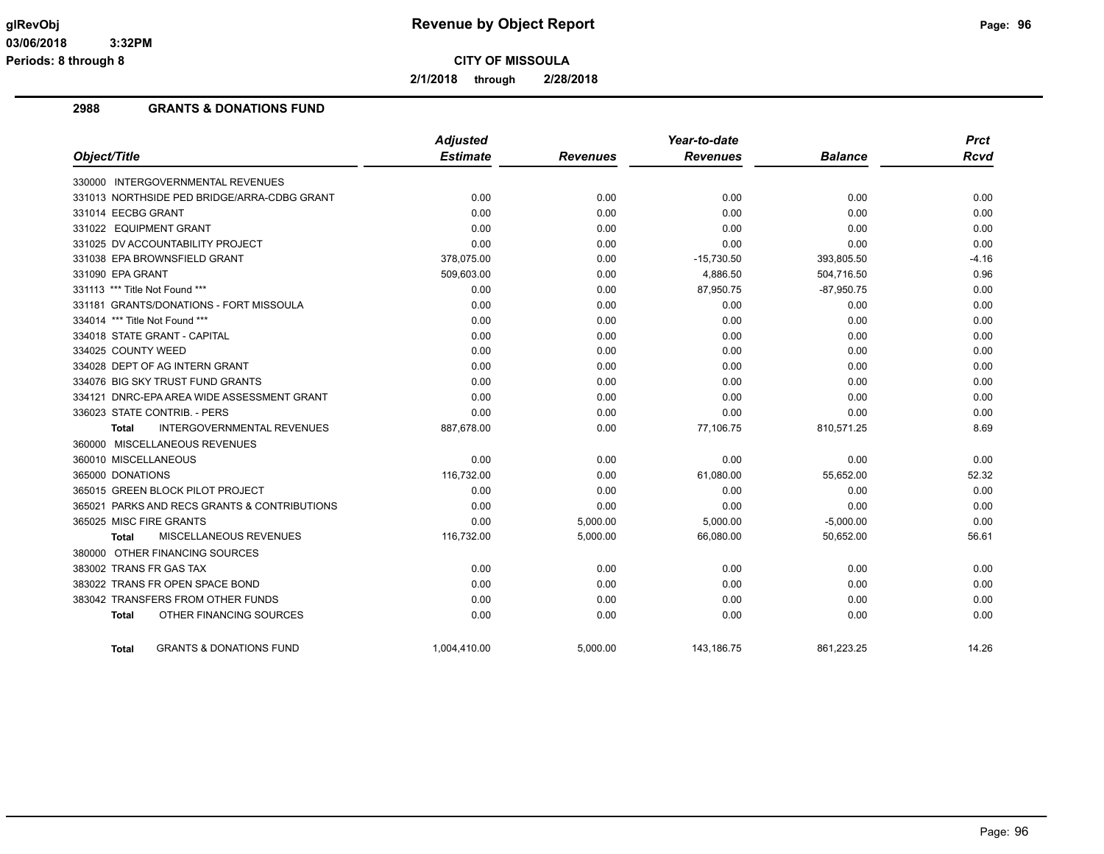**2/1/2018 through 2/28/2018**

## **2988 GRANTS & DONATIONS FUND**

|                                                    | <b>Adjusted</b> |                 | Year-to-date    |                | <b>Prct</b> |
|----------------------------------------------------|-----------------|-----------------|-----------------|----------------|-------------|
| Object/Title                                       | <b>Estimate</b> | <b>Revenues</b> | <b>Revenues</b> | <b>Balance</b> | <b>Rcvd</b> |
| 330000 INTERGOVERNMENTAL REVENUES                  |                 |                 |                 |                |             |
| 331013 NORTHSIDE PED BRIDGE/ARRA-CDBG GRANT        | 0.00            | 0.00            | 0.00            | 0.00           | 0.00        |
| 331014 EECBG GRANT                                 | 0.00            | 0.00            | 0.00            | 0.00           | 0.00        |
| 331022 EQUIPMENT GRANT                             | 0.00            | 0.00            | 0.00            | 0.00           | 0.00        |
| 331025 DV ACCOUNTABILITY PROJECT                   | 0.00            | 0.00            | 0.00            | 0.00           | 0.00        |
| 331038 EPA BROWNSFIELD GRANT                       | 378,075.00      | 0.00            | $-15,730.50$    | 393,805.50     | $-4.16$     |
| 331090 EPA GRANT                                   | 509,603.00      | 0.00            | 4,886.50        | 504,716.50     | 0.96        |
| 331113 *** Title Not Found ***                     | 0.00            | 0.00            | 87,950.75       | $-87,950.75$   | 0.00        |
| 331181 GRANTS/DONATIONS - FORT MISSOULA            | 0.00            | 0.00            | 0.00            | 0.00           | 0.00        |
| 334014 *** Title Not Found ***                     | 0.00            | 0.00            | 0.00            | 0.00           | 0.00        |
| 334018 STATE GRANT - CAPITAL                       | 0.00            | 0.00            | 0.00            | 0.00           | 0.00        |
| 334025 COUNTY WEED                                 | 0.00            | 0.00            | 0.00            | 0.00           | 0.00        |
| 334028 DEPT OF AG INTERN GRANT                     | 0.00            | 0.00            | 0.00            | 0.00           | 0.00        |
| 334076 BIG SKY TRUST FUND GRANTS                   | 0.00            | 0.00            | 0.00            | 0.00           | 0.00        |
| 334121 DNRC-EPA AREA WIDE ASSESSMENT GRANT         | 0.00            | 0.00            | 0.00            | 0.00           | 0.00        |
| 336023 STATE CONTRIB. - PERS                       | 0.00            | 0.00            | 0.00            | 0.00           | 0.00        |
| INTERGOVERNMENTAL REVENUES<br>Total                | 887,678.00      | 0.00            | 77,106.75       | 810,571.25     | 8.69        |
| 360000 MISCELLANEOUS REVENUES                      |                 |                 |                 |                |             |
| 360010 MISCELLANEOUS                               | 0.00            | 0.00            | 0.00            | 0.00           | 0.00        |
| 365000 DONATIONS                                   | 116,732.00      | 0.00            | 61,080.00       | 55,652.00      | 52.32       |
| 365015 GREEN BLOCK PILOT PROJECT                   | 0.00            | 0.00            | 0.00            | 0.00           | 0.00        |
| 365021 PARKS AND RECS GRANTS & CONTRIBUTIONS       | 0.00            | 0.00            | 0.00            | 0.00           | 0.00        |
| 365025 MISC FIRE GRANTS                            | 0.00            | 5,000.00        | 5,000.00        | $-5,000.00$    | 0.00        |
| MISCELLANEOUS REVENUES<br>Total                    | 116,732.00      | 5,000.00        | 66,080.00       | 50,652.00      | 56.61       |
| 380000 OTHER FINANCING SOURCES                     |                 |                 |                 |                |             |
| 383002 TRANS FR GAS TAX                            | 0.00            | 0.00            | 0.00            | 0.00           | 0.00        |
| 383022 TRANS FR OPEN SPACE BOND                    | 0.00            | 0.00            | 0.00            | 0.00           | 0.00        |
| 383042 TRANSFERS FROM OTHER FUNDS                  | 0.00            | 0.00            | 0.00            | 0.00           | 0.00        |
| OTHER FINANCING SOURCES<br><b>Total</b>            | 0.00            | 0.00            | 0.00            | 0.00           | 0.00        |
| <b>GRANTS &amp; DONATIONS FUND</b><br><b>Total</b> | 1,004,410.00    | 5,000.00        | 143,186.75      | 861,223.25     | 14.26       |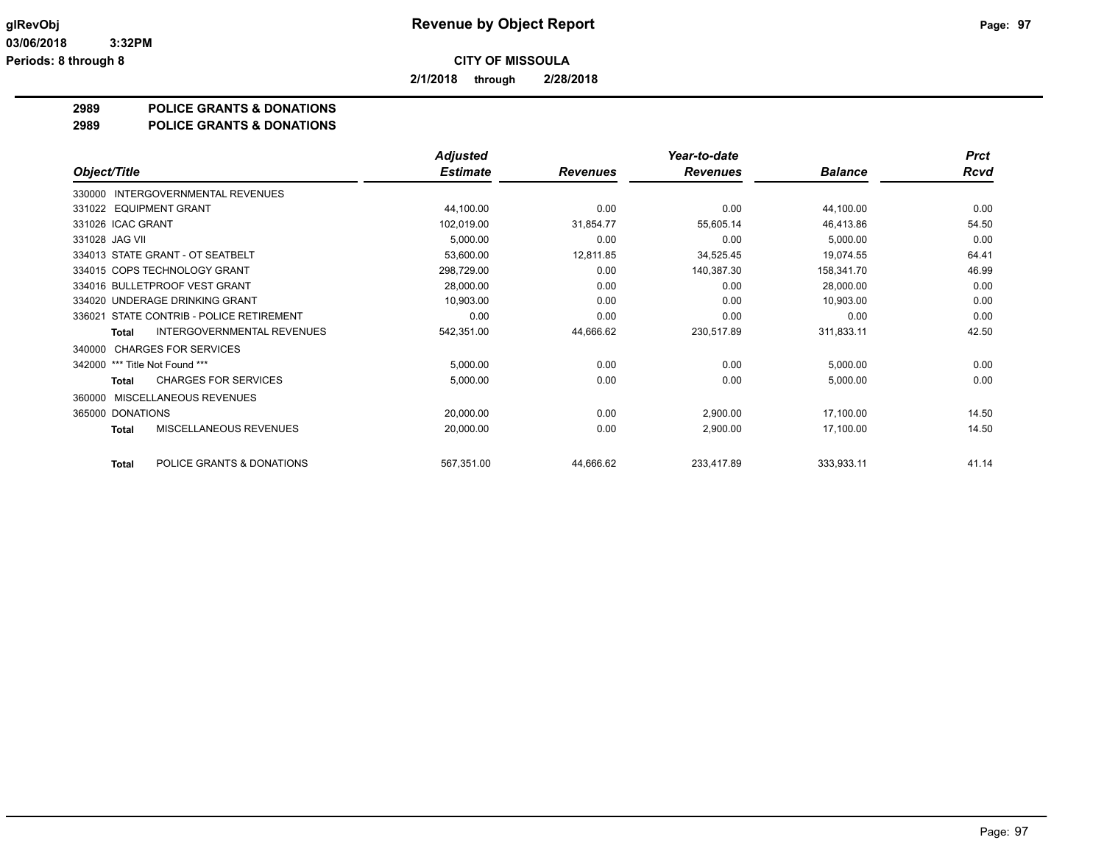**2/1/2018 through 2/28/2018**

## **2989 POLICE GRANTS & DONATIONS**

#### **2989 POLICE GRANTS & DONATIONS**

|                                                   | <b>Adjusted</b> |                 | Year-to-date    |                | <b>Prct</b> |
|---------------------------------------------------|-----------------|-----------------|-----------------|----------------|-------------|
| Object/Title                                      | <b>Estimate</b> | <b>Revenues</b> | <b>Revenues</b> | <b>Balance</b> | <b>Rcvd</b> |
| INTERGOVERNMENTAL REVENUES<br>330000              |                 |                 |                 |                |             |
| 331022 EQUIPMENT GRANT                            | 44,100.00       | 0.00            | 0.00            | 44,100.00      | 0.00        |
| 331026 ICAC GRANT                                 | 102,019.00      | 31,854.77       | 55,605.14       | 46,413.86      | 54.50       |
| 331028 JAG VII                                    | 5,000.00        | 0.00            | 0.00            | 5,000.00       | 0.00        |
| 334013 STATE GRANT - OT SEATBELT                  | 53,600.00       | 12,811.85       | 34,525.45       | 19.074.55      | 64.41       |
| 334015 COPS TECHNOLOGY GRANT                      | 298,729.00      | 0.00            | 140,387.30      | 158,341.70     | 46.99       |
| 334016 BULLETPROOF VEST GRANT                     | 28,000.00       | 0.00            | 0.00            | 28,000.00      | 0.00        |
| 334020 UNDERAGE DRINKING GRANT                    | 10,903.00       | 0.00            | 0.00            | 10,903.00      | 0.00        |
| 336021 STATE CONTRIB - POLICE RETIREMENT          | 0.00            | 0.00            | 0.00            | 0.00           | 0.00        |
| <b>INTERGOVERNMENTAL REVENUES</b><br><b>Total</b> | 542,351.00      | 44,666.62       | 230,517.89      | 311,833.11     | 42.50       |
| <b>CHARGES FOR SERVICES</b><br>340000             |                 |                 |                 |                |             |
| *** Title Not Found ***<br>342000                 | 5,000.00        | 0.00            | 0.00            | 5,000.00       | 0.00        |
| <b>CHARGES FOR SERVICES</b><br>Total              | 5,000.00        | 0.00            | 0.00            | 5,000.00       | 0.00        |
| MISCELLANEOUS REVENUES<br>360000                  |                 |                 |                 |                |             |
| 365000 DONATIONS                                  | 20,000.00       | 0.00            | 2,900.00        | 17,100.00      | 14.50       |
| <b>MISCELLANEOUS REVENUES</b><br><b>Total</b>     | 20,000.00       | 0.00            | 2,900.00        | 17,100.00      | 14.50       |
| POLICE GRANTS & DONATIONS<br><b>Total</b>         | 567,351.00      | 44,666.62       | 233,417.89      | 333,933.11     | 41.14       |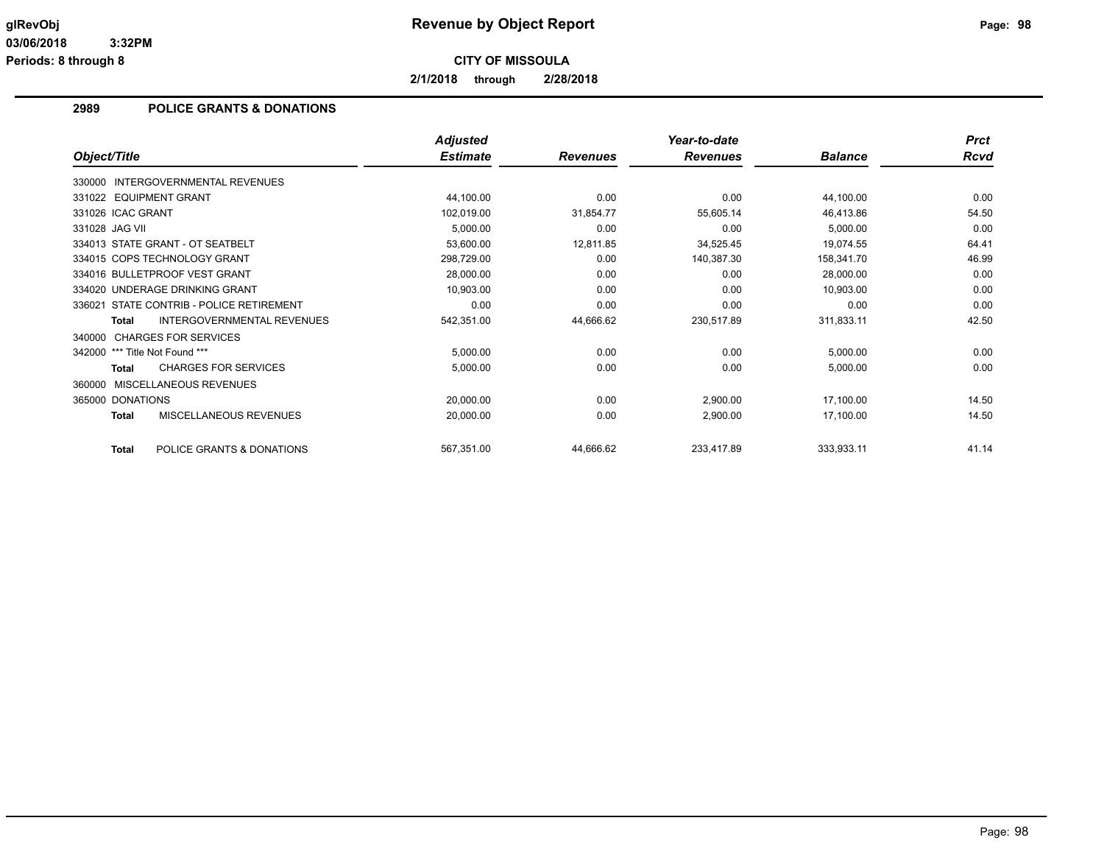**2/1/2018 through 2/28/2018**

## **2989 POLICE GRANTS & DONATIONS**

|                                                   | <b>Adjusted</b> |                 | Year-to-date    |                | <b>Prct</b> |
|---------------------------------------------------|-----------------|-----------------|-----------------|----------------|-------------|
| Object/Title                                      | <b>Estimate</b> | <b>Revenues</b> | <b>Revenues</b> | <b>Balance</b> | <b>Rcvd</b> |
| INTERGOVERNMENTAL REVENUES<br>330000              |                 |                 |                 |                |             |
| 331022 EQUIPMENT GRANT                            | 44,100.00       | 0.00            | 0.00            | 44,100.00      | 0.00        |
| 331026 ICAC GRANT                                 | 102,019.00      | 31,854.77       | 55,605.14       | 46,413.86      | 54.50       |
| 331028 JAG VII                                    | 5,000.00        | 0.00            | 0.00            | 5,000.00       | 0.00        |
| 334013 STATE GRANT - OT SEATBELT                  | 53,600.00       | 12,811.85       | 34,525.45       | 19,074.55      | 64.41       |
| 334015 COPS TECHNOLOGY GRANT                      | 298,729.00      | 0.00            | 140,387.30      | 158,341.70     | 46.99       |
| 334016 BULLETPROOF VEST GRANT                     | 28,000.00       | 0.00            | 0.00            | 28,000.00      | 0.00        |
| 334020 UNDERAGE DRINKING GRANT                    | 10,903.00       | 0.00            | 0.00            | 10,903.00      | 0.00        |
| STATE CONTRIB - POLICE RETIREMENT<br>336021       | 0.00            | 0.00            | 0.00            | 0.00           | 0.00        |
| <b>INTERGOVERNMENTAL REVENUES</b><br><b>Total</b> | 542,351.00      | 44,666.62       | 230,517.89      | 311,833.11     | 42.50       |
| 340000 CHARGES FOR SERVICES                       |                 |                 |                 |                |             |
| 342000 *** Title Not Found ***                    | 5,000.00        | 0.00            | 0.00            | 5,000.00       | 0.00        |
| <b>CHARGES FOR SERVICES</b><br>Total              | 5,000.00        | 0.00            | 0.00            | 5,000.00       | 0.00        |
| MISCELLANEOUS REVENUES<br>360000                  |                 |                 |                 |                |             |
| 365000 DONATIONS                                  | 20,000.00       | 0.00            | 2,900.00        | 17,100.00      | 14.50       |
| MISCELLANEOUS REVENUES<br><b>Total</b>            | 20,000.00       | 0.00            | 2,900.00        | 17,100.00      | 14.50       |
| POLICE GRANTS & DONATIONS<br>Total                | 567,351.00      | 44,666.62       | 233,417.89      | 333,933.11     | 41.14       |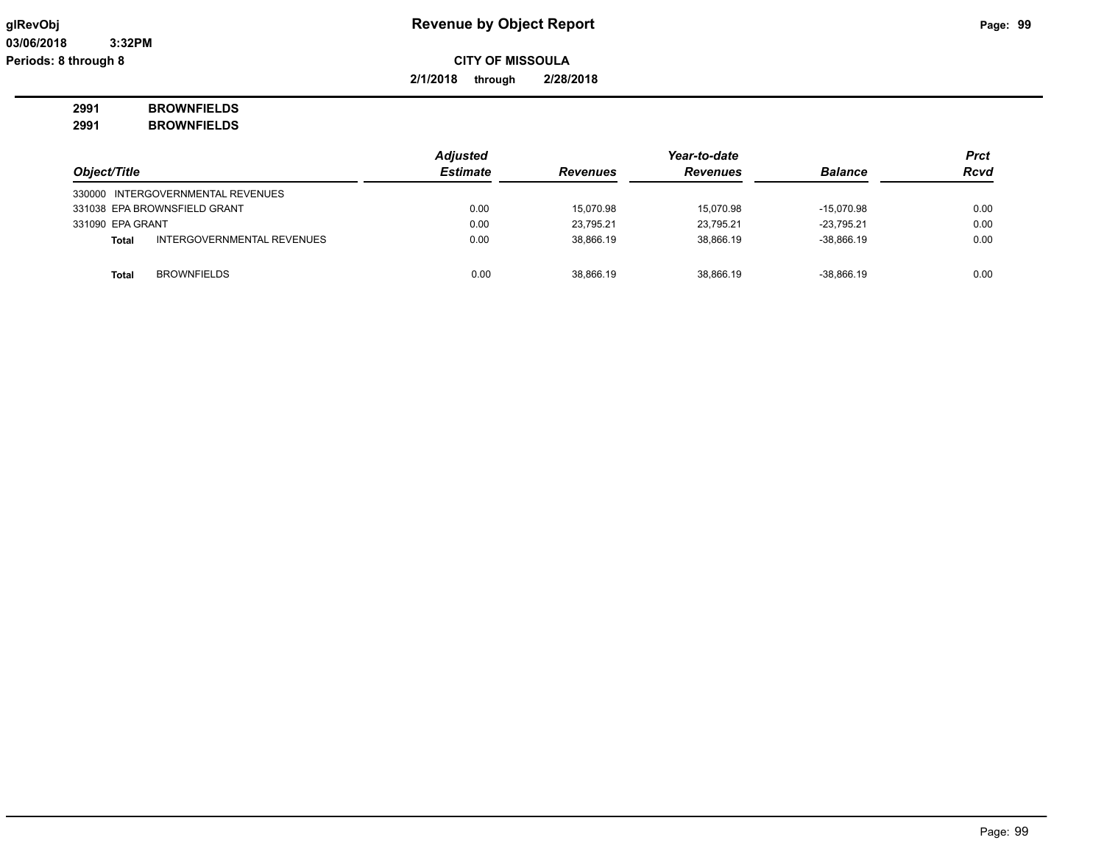**2/1/2018 through 2/28/2018**

# **2991 BROWNFIELDS**

**2991 BROWNFIELDS**

| Object/Title     |                                   | <b>Adjusted</b> |                 |                 | <b>Prct</b>    |             |
|------------------|-----------------------------------|-----------------|-----------------|-----------------|----------------|-------------|
|                  |                                   | <b>Estimate</b> | <b>Revenues</b> | <b>Revenues</b> | <b>Balance</b> | <b>Rcvd</b> |
|                  | 330000 INTERGOVERNMENTAL REVENUES |                 |                 |                 |                |             |
|                  | 331038 EPA BROWNSFIELD GRANT      | 0.00            | 15.070.98       | 15.070.98       | $-15.070.98$   | 0.00        |
| 331090 EPA GRANT |                                   | 0.00            | 23.795.21       | 23.795.21       | -23.795.21     | 0.00        |
| <b>Total</b>     | INTERGOVERNMENTAL REVENUES        | 0.00            | 38.866.19       | 38,866.19       | $-38,866.19$   | 0.00        |
|                  |                                   |                 |                 |                 |                |             |
| Total            | <b>BROWNFIELDS</b>                | 0.00            | 38.866.19       | 38.866.19       | $-38.866.19$   | 0.00        |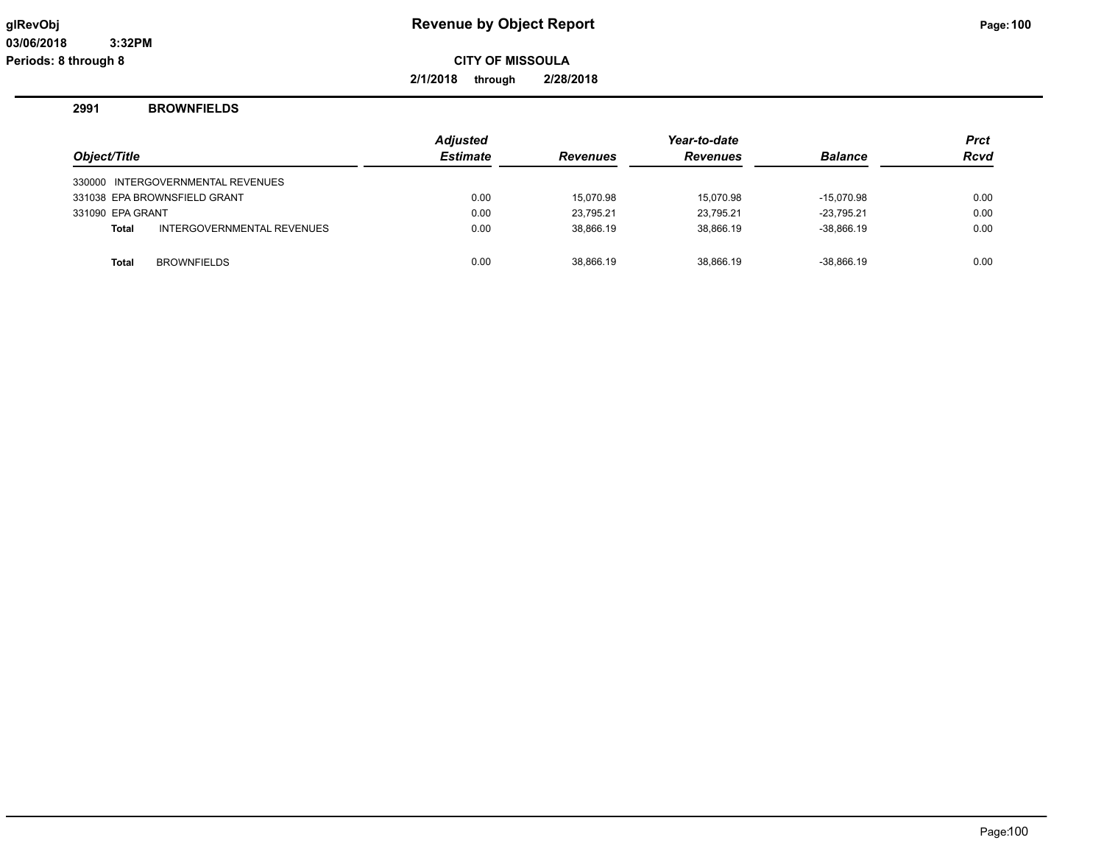**2/1/2018 through 2/28/2018**

## **2991 BROWNFIELDS**

| Object/Title     |                                   | <b>Adjusted</b><br><b>Estimate</b> | <b>Revenues</b> | Year-to-date<br><b>Revenues</b> | <b>Balance</b> | Prct<br><b>Rcvd</b> |
|------------------|-----------------------------------|------------------------------------|-----------------|---------------------------------|----------------|---------------------|
|                  | 330000 INTERGOVERNMENTAL REVENUES |                                    |                 |                                 |                |                     |
|                  | 331038 EPA BROWNSFIELD GRANT      | 0.00                               | 15.070.98       | 15.070.98                       | $-15.070.98$   | 0.00                |
| 331090 EPA GRANT |                                   | 0.00                               | 23.795.21       | 23,795.21                       | $-23.795.21$   | 0.00                |
| <b>Total</b>     | INTERGOVERNMENTAL REVENUES        | 0.00                               | 38.866.19       | 38.866.19                       | $-38.866.19$   | 0.00                |
| <b>Total</b>     | <b>BROWNFIELDS</b>                | 0.00                               | 38.866.19       | 38.866.19                       | $-38.866.19$   | 0.00                |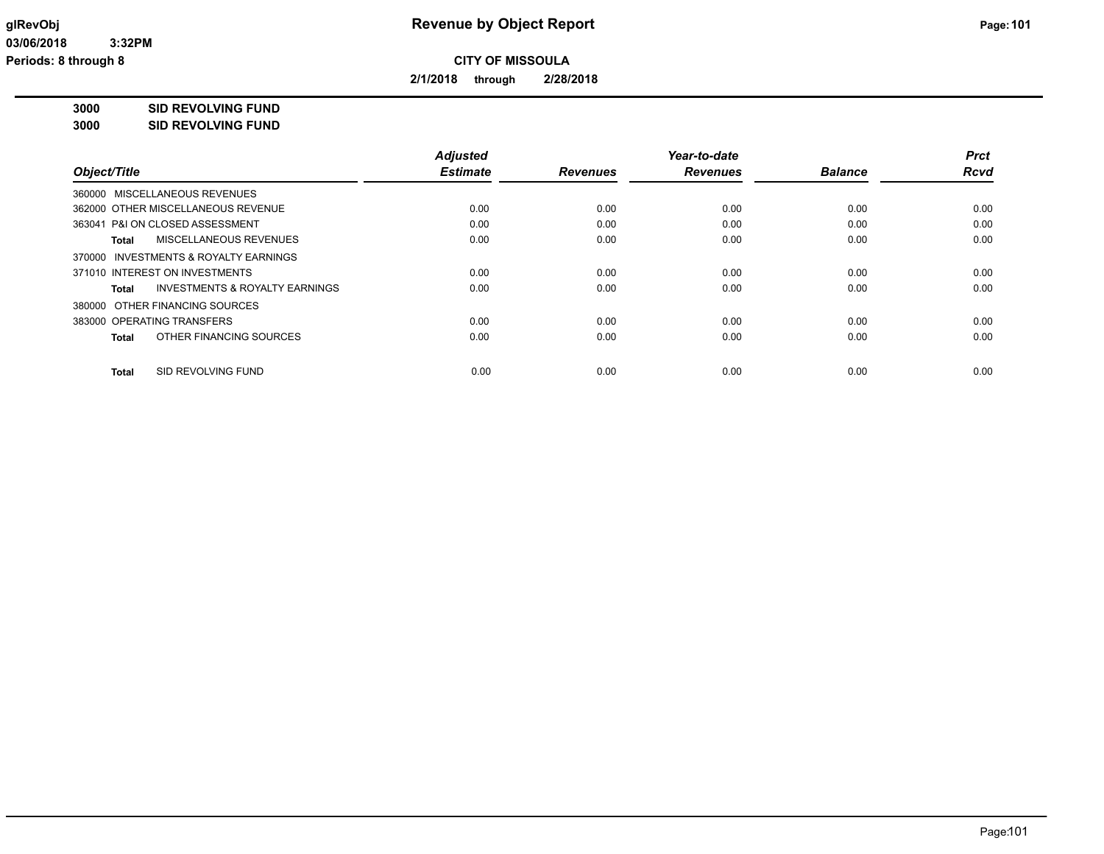**2/1/2018 through 2/28/2018**

**3000 SID REVOLVING FUND**

| 3000 | <b>SID REVOLVING FUND</b> |
|------|---------------------------|
|      |                           |

|                                                    | <b>Adjusted</b> |                 | Year-to-date    |                | <b>Prct</b> |
|----------------------------------------------------|-----------------|-----------------|-----------------|----------------|-------------|
| Object/Title                                       | <b>Estimate</b> | <b>Revenues</b> | <b>Revenues</b> | <b>Balance</b> | <b>Rcvd</b> |
| 360000 MISCELLANEOUS REVENUES                      |                 |                 |                 |                |             |
| 362000 OTHER MISCELLANEOUS REVENUE                 | 0.00            | 0.00            | 0.00            | 0.00           | 0.00        |
| 363041 P&I ON CLOSED ASSESSMENT                    | 0.00            | 0.00            | 0.00            | 0.00           | 0.00        |
| MISCELLANEOUS REVENUES<br>Total                    | 0.00            | 0.00            | 0.00            | 0.00           | 0.00        |
| 370000 INVESTMENTS & ROYALTY EARNINGS              |                 |                 |                 |                |             |
| 371010 INTEREST ON INVESTMENTS                     | 0.00            | 0.00            | 0.00            | 0.00           | 0.00        |
| <b>INVESTMENTS &amp; ROYALTY EARNINGS</b><br>Total | 0.00            | 0.00            | 0.00            | 0.00           | 0.00        |
| 380000 OTHER FINANCING SOURCES                     |                 |                 |                 |                |             |
| 383000 OPERATING TRANSFERS                         | 0.00            | 0.00            | 0.00            | 0.00           | 0.00        |
| OTHER FINANCING SOURCES<br>Total                   | 0.00            | 0.00            | 0.00            | 0.00           | 0.00        |
| SID REVOLVING FUND<br><b>Total</b>                 | 0.00            | 0.00            | 0.00            | 0.00           | 0.00        |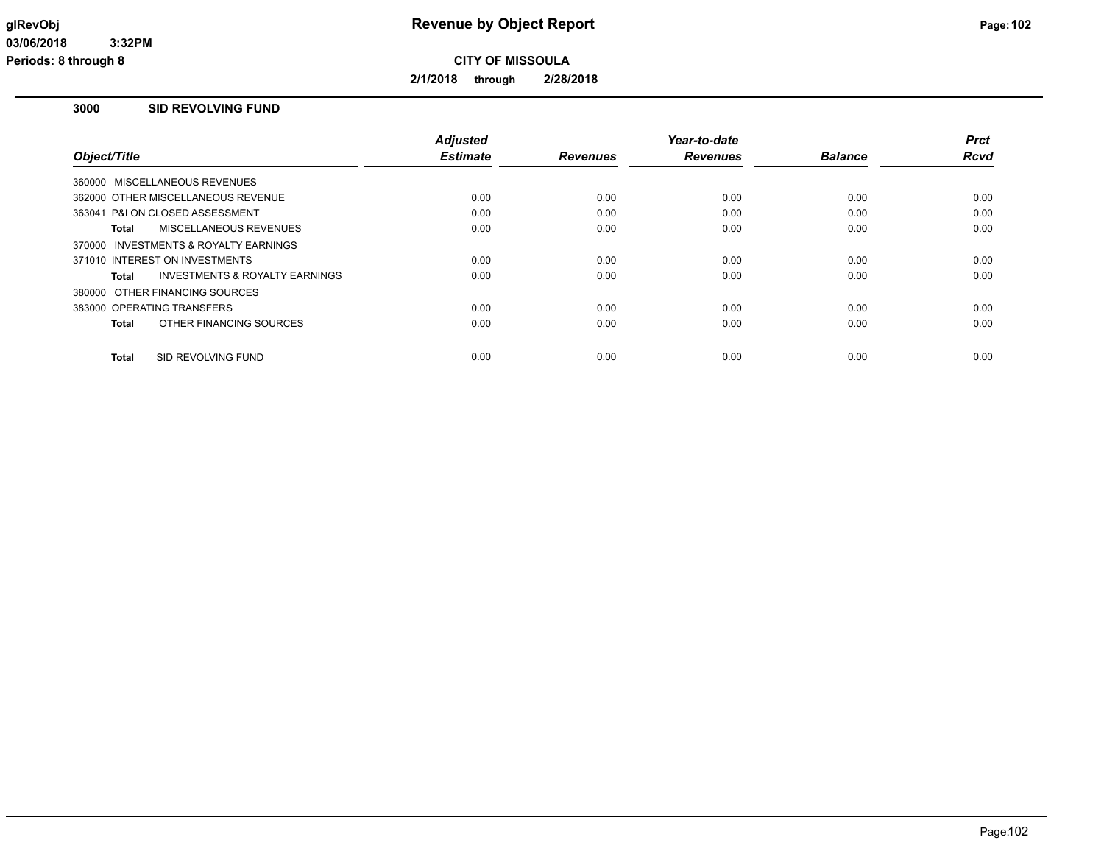**2/1/2018 through 2/28/2018**

## **3000 SID REVOLVING FUND**

|                                                    | <b>Adjusted</b> |                 | Year-to-date    |                | <b>Prct</b> |
|----------------------------------------------------|-----------------|-----------------|-----------------|----------------|-------------|
| Object/Title                                       | <b>Estimate</b> | <b>Revenues</b> | <b>Revenues</b> | <b>Balance</b> | <b>Rcvd</b> |
| 360000 MISCELLANEOUS REVENUES                      |                 |                 |                 |                |             |
| 362000 OTHER MISCELLANEOUS REVENUE                 | 0.00            | 0.00            | 0.00            | 0.00           | 0.00        |
| 363041 P&I ON CLOSED ASSESSMENT                    | 0.00            | 0.00            | 0.00            | 0.00           | 0.00        |
| MISCELLANEOUS REVENUES<br>Total                    | 0.00            | 0.00            | 0.00            | 0.00           | 0.00        |
| 370000 INVESTMENTS & ROYALTY EARNINGS              |                 |                 |                 |                |             |
| 371010 INTEREST ON INVESTMENTS                     | 0.00            | 0.00            | 0.00            | 0.00           | 0.00        |
| <b>INVESTMENTS &amp; ROYALTY EARNINGS</b><br>Total | 0.00            | 0.00            | 0.00            | 0.00           | 0.00        |
| 380000 OTHER FINANCING SOURCES                     |                 |                 |                 |                |             |
| 383000 OPERATING TRANSFERS                         | 0.00            | 0.00            | 0.00            | 0.00           | 0.00        |
| OTHER FINANCING SOURCES<br>Total                   | 0.00            | 0.00            | 0.00            | 0.00           | 0.00        |
|                                                    |                 |                 |                 |                |             |
| SID REVOLVING FUND<br><b>Total</b>                 | 0.00            | 0.00            | 0.00            | 0.00           | 0.00        |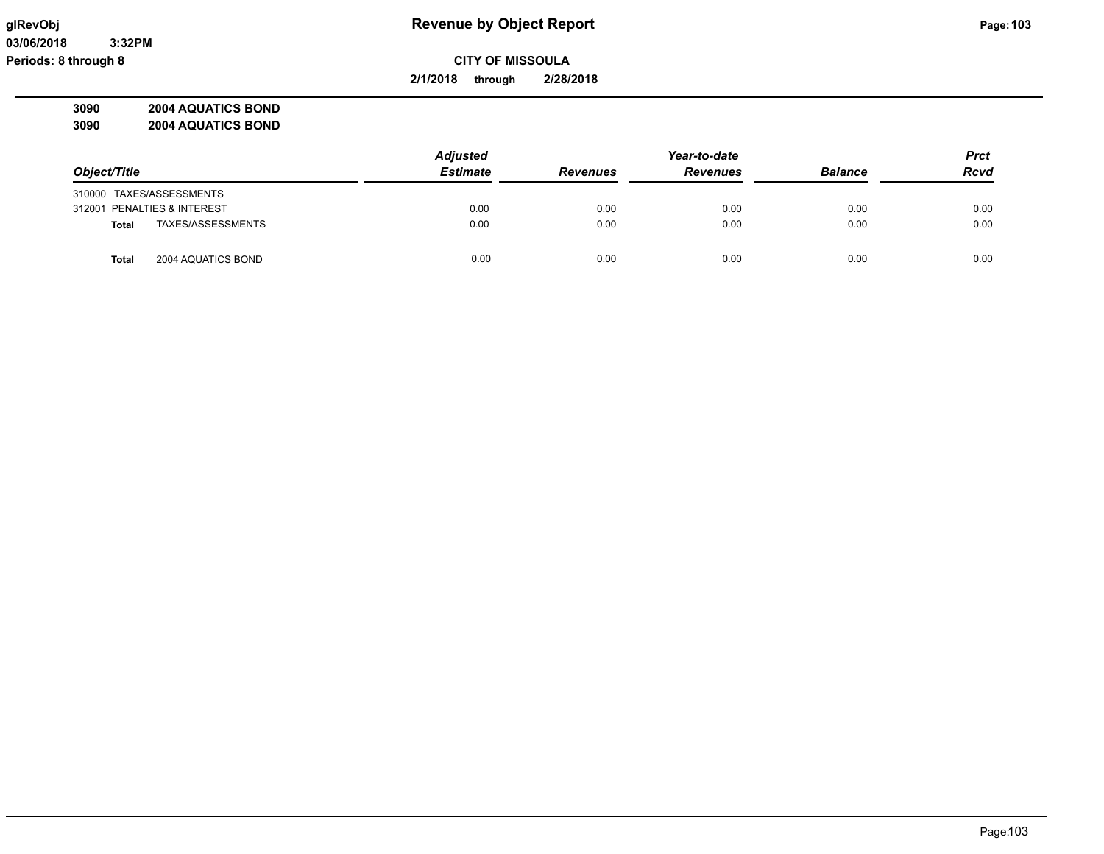**03/06/2018 3:32PM Periods: 8 through 8**

**CITY OF MISSOULA**

**2/1/2018 through 2/28/2018**

**3090 2004 AQUATICS BOND 3090 2004 AQUATICS BOND**

| 3090 | <b>2004 AQUATICS BUND</b> |  |
|------|---------------------------|--|
|      |                           |  |
|      |                           |  |

|                                    | <b>Adjusted</b> | Year-to-date    |                 |                | <b>Prct</b> |
|------------------------------------|-----------------|-----------------|-----------------|----------------|-------------|
| Object/Title                       | <b>Estimate</b> | <b>Revenues</b> | <b>Revenues</b> | <b>Balance</b> | <b>Rcvd</b> |
| 310000 TAXES/ASSESSMENTS           |                 |                 |                 |                |             |
| 312001 PENALTIES & INTEREST        | 0.00            | 0.00            | 0.00            | 0.00           | 0.00        |
| TAXES/ASSESSMENTS<br><b>Total</b>  | 0.00            | 0.00            | 0.00            | 0.00           | 0.00        |
| 2004 AQUATICS BOND<br><b>Total</b> | 0.00            | 0.00            | 0.00            | 0.00           | 0.00        |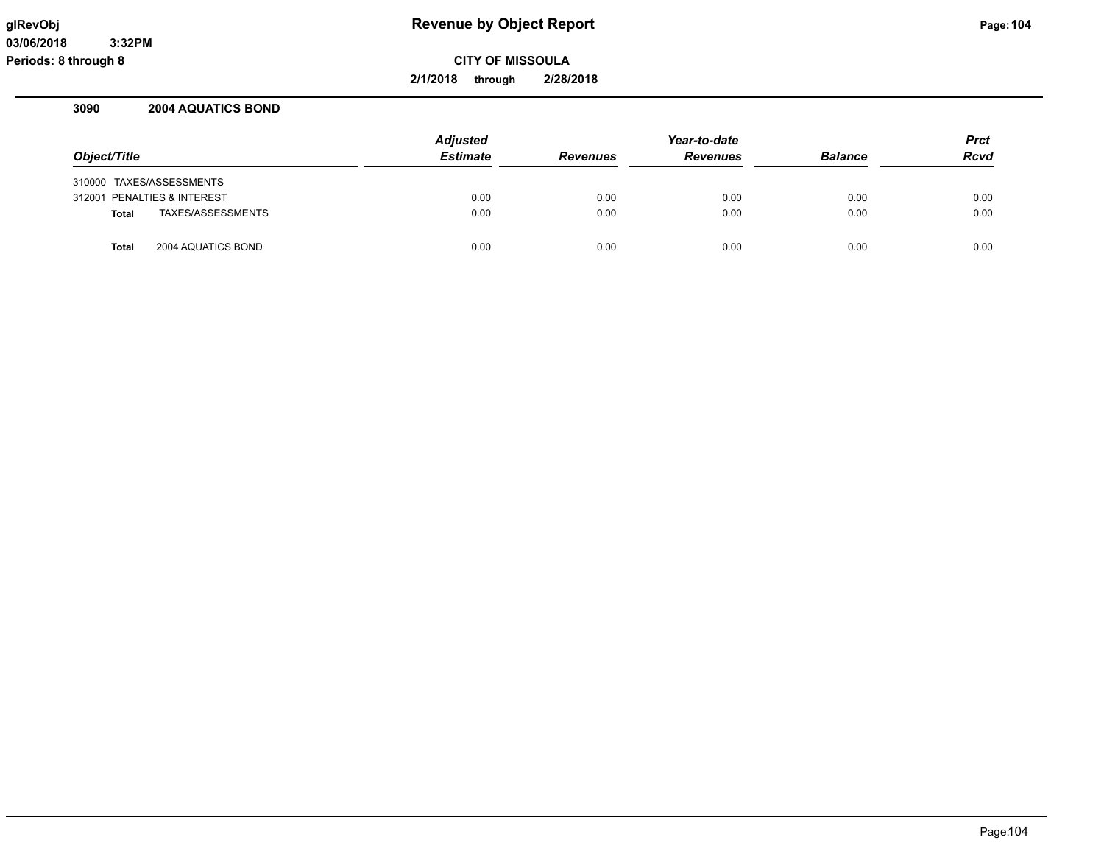**2/1/2018 through 2/28/2018**

## **3090 2004 AQUATICS BOND**

|                                    | <b>Adjusted</b> |                 | Year-to-date    |                | <b>Prct</b> |
|------------------------------------|-----------------|-----------------|-----------------|----------------|-------------|
| Object/Title                       | <b>Estimate</b> | <b>Revenues</b> | <b>Revenues</b> | <b>Balance</b> | <b>Rcvd</b> |
| 310000 TAXES/ASSESSMENTS           |                 |                 |                 |                |             |
| 312001 PENALTIES & INTEREST        | 0.00            | 0.00            | 0.00            | 0.00           | 0.00        |
| TAXES/ASSESSMENTS<br><b>Total</b>  | 0.00            | 0.00            | 0.00            | 0.00           | 0.00        |
| 2004 AQUATICS BOND<br><b>Total</b> | 0.00            | 0.00            | 0.00            | 0.00           | 0.00        |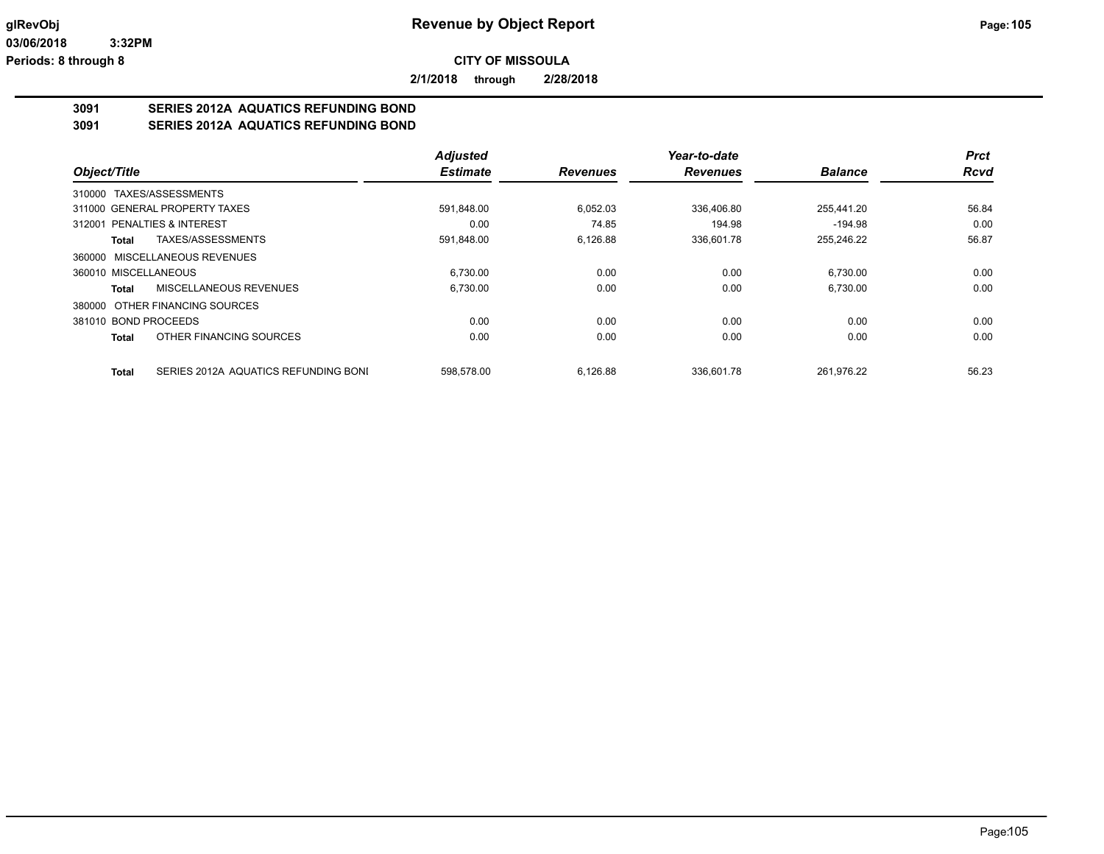**2/1/2018 through 2/28/2018**

## **3091 SERIES 2012A AQUATICS REFUNDING BOND**

**3091 SERIES 2012A AQUATICS REFUNDING BOND**

|                                               | <b>Adjusted</b> |                 | Year-to-date    |                | <b>Prct</b> |
|-----------------------------------------------|-----------------|-----------------|-----------------|----------------|-------------|
| Object/Title                                  | <b>Estimate</b> | <b>Revenues</b> | <b>Revenues</b> | <b>Balance</b> | <b>Rcvd</b> |
| 310000 TAXES/ASSESSMENTS                      |                 |                 |                 |                |             |
| 311000 GENERAL PROPERTY TAXES                 | 591.848.00      | 6.052.03        | 336.406.80      | 255.441.20     | 56.84       |
| 312001 PENALTIES & INTEREST                   | 0.00            | 74.85           | 194.98          | $-194.98$      | 0.00        |
| TAXES/ASSESSMENTS<br>Total                    | 591,848.00      | 6,126.88        | 336,601.78      | 255,246.22     | 56.87       |
| 360000 MISCELLANEOUS REVENUES                 |                 |                 |                 |                |             |
| 360010 MISCELLANEOUS                          | 6.730.00        | 0.00            | 0.00            | 6.730.00       | 0.00        |
| MISCELLANEOUS REVENUES<br>Total               | 6.730.00        | 0.00            | 0.00            | 6,730.00       | 0.00        |
| 380000 OTHER FINANCING SOURCES                |                 |                 |                 |                |             |
| 381010 BOND PROCEEDS                          | 0.00            | 0.00            | 0.00            | 0.00           | 0.00        |
| OTHER FINANCING SOURCES<br><b>Total</b>       | 0.00            | 0.00            | 0.00            | 0.00           | 0.00        |
| SERIES 2012A AQUATICS REFUNDING BONI<br>Total | 598.578.00      | 6.126.88        | 336.601.78      | 261.976.22     | 56.23       |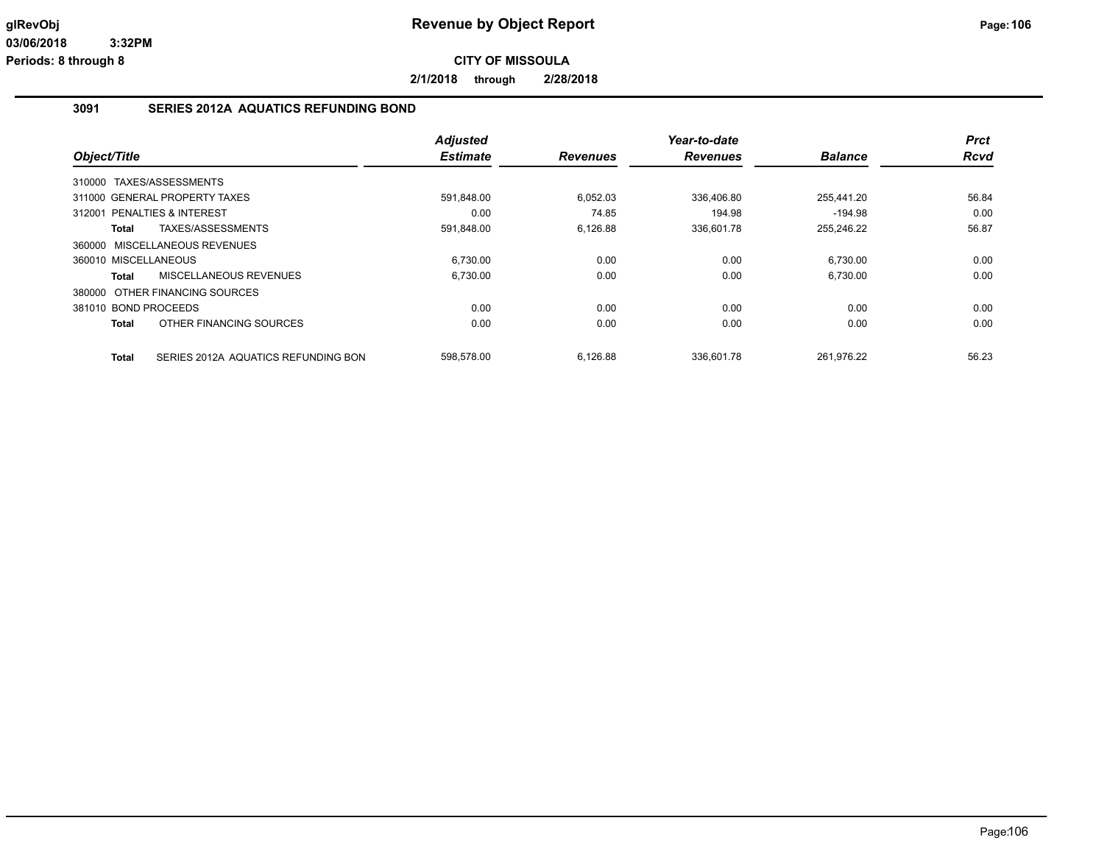**2/1/2018 through 2/28/2018**

#### **3091 SERIES 2012A AQUATICS REFUNDING BOND**

|                               |                                     | <b>Adjusted</b> |                 | Year-to-date    |                | <b>Prct</b> |
|-------------------------------|-------------------------------------|-----------------|-----------------|-----------------|----------------|-------------|
| Object/Title                  |                                     | <b>Estimate</b> | <b>Revenues</b> | <b>Revenues</b> | <b>Balance</b> | <b>Rcvd</b> |
| 310000                        | TAXES/ASSESSMENTS                   |                 |                 |                 |                |             |
| 311000 GENERAL PROPERTY TAXES |                                     | 591.848.00      | 6.052.03        | 336.406.80      | 255.441.20     | 56.84       |
| 312001 PENALTIES & INTEREST   |                                     | 0.00            | 74.85           | 194.98          | $-194.98$      | 0.00        |
| Total                         | TAXES/ASSESSMENTS                   | 591,848.00      | 6,126.88        | 336,601.78      | 255,246.22     | 56.87       |
| 360000 MISCELLANEOUS REVENUES |                                     |                 |                 |                 |                |             |
| 360010 MISCELLANEOUS          |                                     | 6,730.00        | 0.00            | 0.00            | 6,730.00       | 0.00        |
| Total                         | MISCELLANEOUS REVENUES              | 6.730.00        | 0.00            | 0.00            | 6.730.00       | 0.00        |
|                               | 380000 OTHER FINANCING SOURCES      |                 |                 |                 |                |             |
| 381010 BOND PROCEEDS          |                                     | 0.00            | 0.00            | 0.00            | 0.00           | 0.00        |
| <b>Total</b>                  | OTHER FINANCING SOURCES             | 0.00            | 0.00            | 0.00            | 0.00           | 0.00        |
| <b>Total</b>                  | SERIES 2012A AQUATICS REFUNDING BON | 598.578.00      | 6.126.88        | 336.601.78      | 261.976.22     | 56.23       |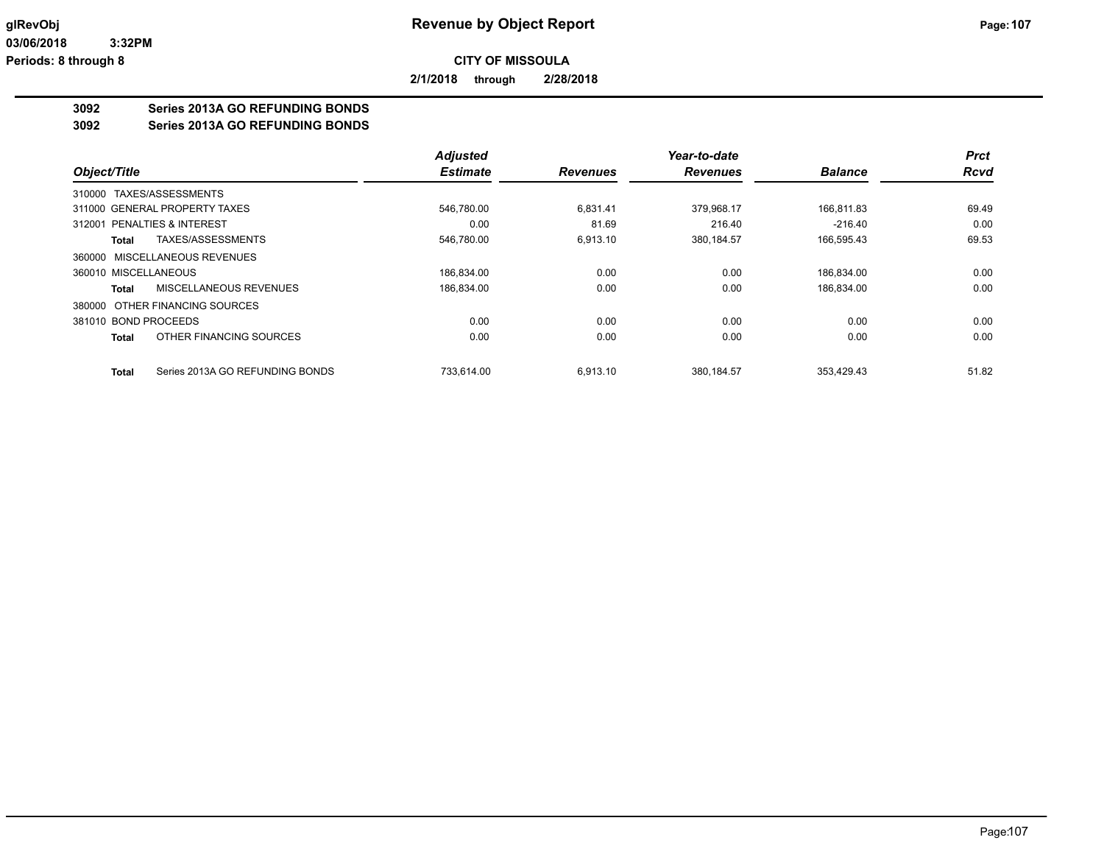**2/1/2018 through 2/28/2018**

## **3092 Series 2013A GO REFUNDING BONDS**

**3092 Series 2013A GO REFUNDING BONDS**

|                                                 | <b>Adjusted</b> |                 | Year-to-date    |                | <b>Prct</b> |
|-------------------------------------------------|-----------------|-----------------|-----------------|----------------|-------------|
| Object/Title                                    | <b>Estimate</b> | <b>Revenues</b> | <b>Revenues</b> | <b>Balance</b> | <b>Rcvd</b> |
| 310000 TAXES/ASSESSMENTS                        |                 |                 |                 |                |             |
| 311000 GENERAL PROPERTY TAXES                   | 546.780.00      | 6.831.41        | 379.968.17      | 166.811.83     | 69.49       |
| 312001 PENALTIES & INTEREST                     | 0.00            | 81.69           | 216.40          | $-216.40$      | 0.00        |
| TAXES/ASSESSMENTS<br>Total                      | 546,780.00      | 6,913.10        | 380,184.57      | 166,595.43     | 69.53       |
| 360000 MISCELLANEOUS REVENUES                   |                 |                 |                 |                |             |
| 360010 MISCELLANEOUS                            | 186.834.00      | 0.00            | 0.00            | 186.834.00     | 0.00        |
| MISCELLANEOUS REVENUES<br>Total                 | 186.834.00      | 0.00            | 0.00            | 186,834.00     | 0.00        |
| 380000 OTHER FINANCING SOURCES                  |                 |                 |                 |                |             |
| 381010 BOND PROCEEDS                            | 0.00            | 0.00            | 0.00            | 0.00           | 0.00        |
| OTHER FINANCING SOURCES<br><b>Total</b>         | 0.00            | 0.00            | 0.00            | 0.00           | 0.00        |
| Series 2013A GO REFUNDING BONDS<br><b>Total</b> | 733.614.00      | 6.913.10        | 380.184.57      | 353.429.43     | 51.82       |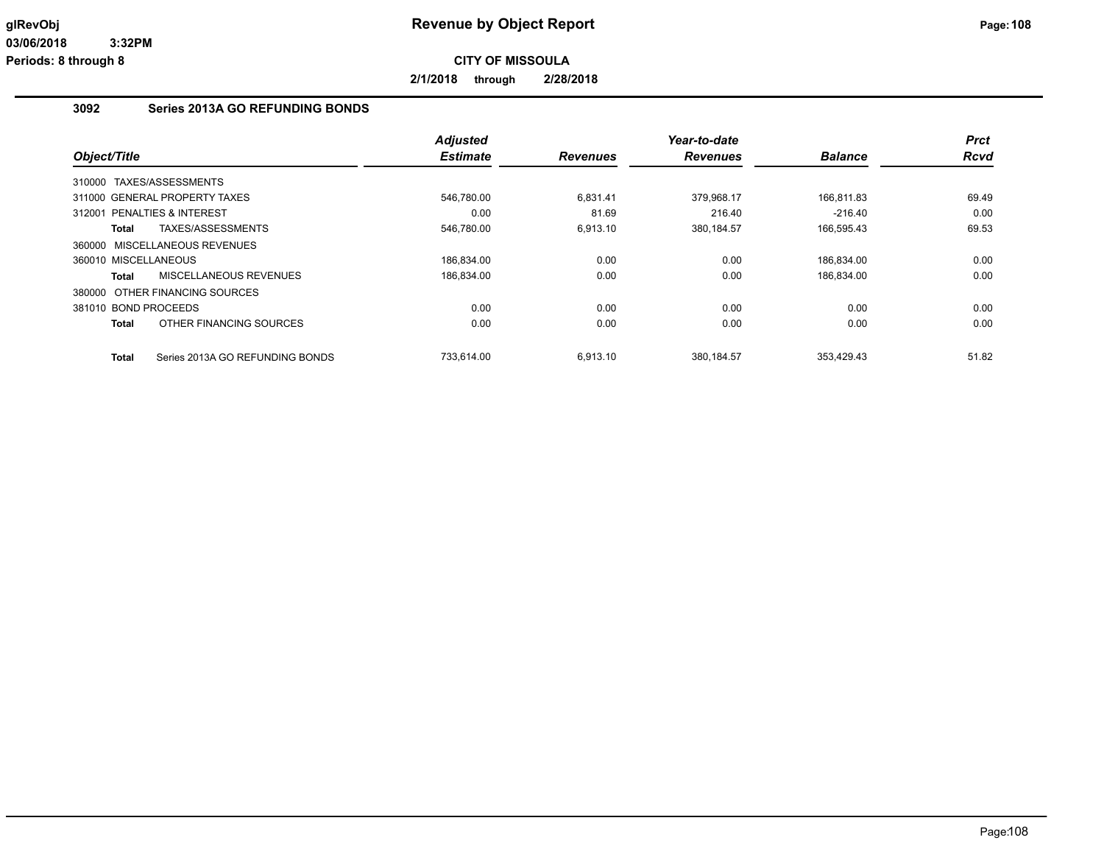**2/1/2018 through 2/28/2018**

## **3092 Series 2013A GO REFUNDING BONDS**

|                                |                                 | <b>Adjusted</b> |                 | Year-to-date    |                | <b>Prct</b> |
|--------------------------------|---------------------------------|-----------------|-----------------|-----------------|----------------|-------------|
| Object/Title                   |                                 | <b>Estimate</b> | <b>Revenues</b> | <b>Revenues</b> | <b>Balance</b> | <b>Rcvd</b> |
| 310000 TAXES/ASSESSMENTS       |                                 |                 |                 |                 |                |             |
| 311000 GENERAL PROPERTY TAXES  |                                 | 546,780.00      | 6,831.41        | 379,968.17      | 166,811.83     | 69.49       |
| PENALTIES & INTEREST<br>312001 |                                 | 0.00            | 81.69           | 216.40          | $-216.40$      | 0.00        |
| Total                          | TAXES/ASSESSMENTS               | 546,780.00      | 6,913.10        | 380,184.57      | 166,595.43     | 69.53       |
| 360000 MISCELLANEOUS REVENUES  |                                 |                 |                 |                 |                |             |
| 360010 MISCELLANEOUS           |                                 | 186,834.00      | 0.00            | 0.00            | 186,834.00     | 0.00        |
| Total                          | MISCELLANEOUS REVENUES          | 186,834.00      | 0.00            | 0.00            | 186,834.00     | 0.00        |
| 380000 OTHER FINANCING SOURCES |                                 |                 |                 |                 |                |             |
| 381010 BOND PROCEEDS           |                                 | 0.00            | 0.00            | 0.00            | 0.00           | 0.00        |
| Total                          | OTHER FINANCING SOURCES         | 0.00            | 0.00            | 0.00            | 0.00           | 0.00        |
| Total                          | Series 2013A GO REFUNDING BONDS | 733.614.00      | 6,913.10        | 380.184.57      | 353.429.43     | 51.82       |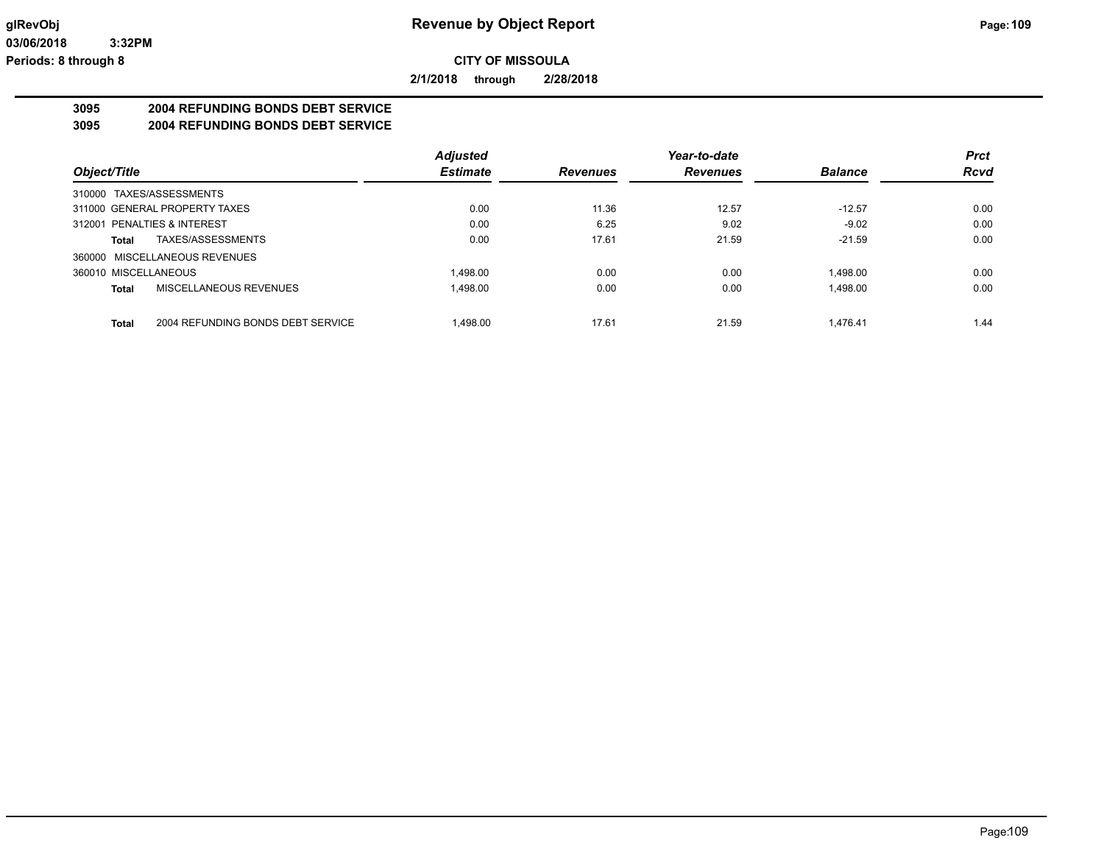**2/1/2018 through 2/28/2018**

# **3095 2004 REFUNDING BONDS DEBT SERVICE**

**3095 2004 REFUNDING BONDS DEBT SERVICE**

|                                            | <b>Adjusted</b> |                 | Year-to-date    |                | <b>Prct</b> |
|--------------------------------------------|-----------------|-----------------|-----------------|----------------|-------------|
| Object/Title                               | <b>Estimate</b> | <b>Revenues</b> | <b>Revenues</b> | <b>Balance</b> | <b>Rcvd</b> |
| 310000 TAXES/ASSESSMENTS                   |                 |                 |                 |                |             |
| 311000 GENERAL PROPERTY TAXES              | 0.00            | 11.36           | 12.57           | $-12.57$       | 0.00        |
| 312001 PENALTIES & INTEREST                | 0.00            | 6.25            | 9.02            | $-9.02$        | 0.00        |
| TAXES/ASSESSMENTS<br>Total                 | 0.00            | 17.61           | 21.59           | $-21.59$       | 0.00        |
| 360000 MISCELLANEOUS REVENUES              |                 |                 |                 |                |             |
| 360010 MISCELLANEOUS                       | 1.498.00        | 0.00            | 0.00            | 1.498.00       | 0.00        |
| MISCELLANEOUS REVENUES<br>Total            | 1.498.00        | 0.00            | 0.00            | 1.498.00       | 0.00        |
| 2004 REFUNDING BONDS DEBT SERVICE<br>Total | 1.498.00        | 17.61           | 21.59           | 1.476.41       | 1.44        |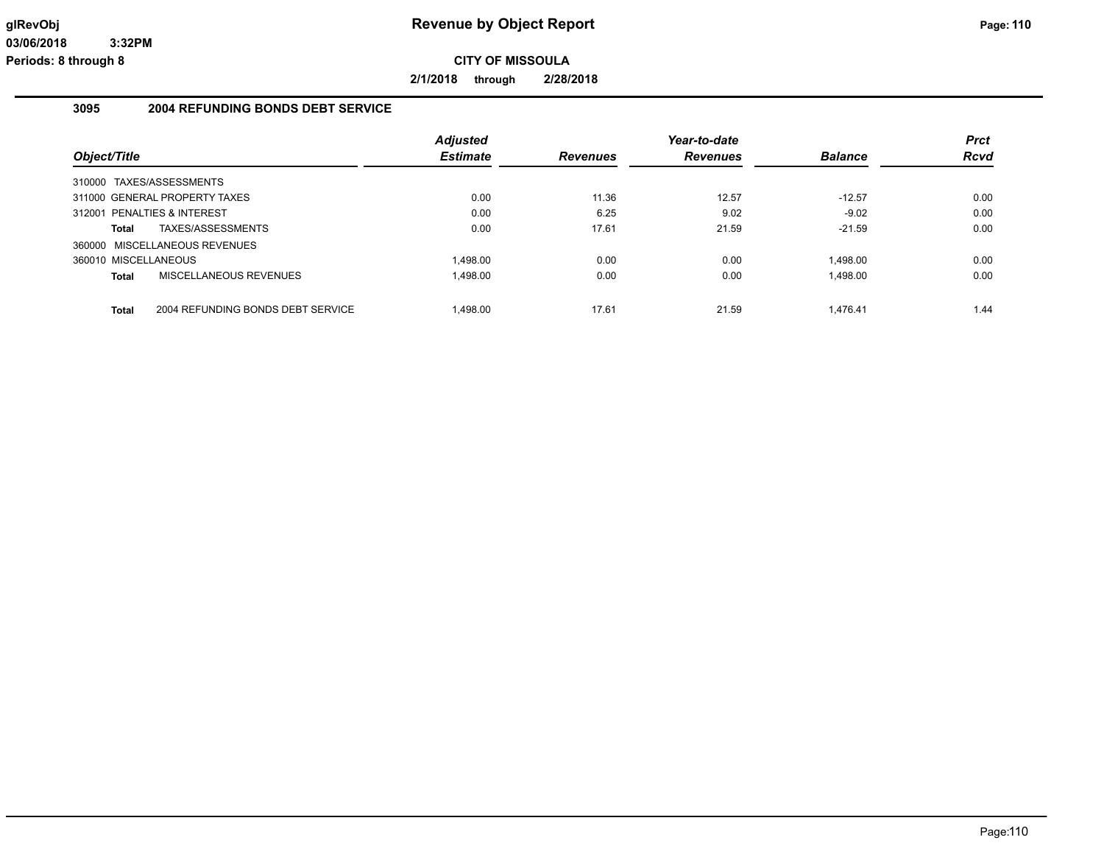**2/1/2018 through 2/28/2018**

## **3095 2004 REFUNDING BONDS DEBT SERVICE**

|                                            | <b>Adjusted</b> |                 | Year-to-date    |                | <b>Prct</b> |
|--------------------------------------------|-----------------|-----------------|-----------------|----------------|-------------|
| Object/Title                               | <b>Estimate</b> | <b>Revenues</b> | <b>Revenues</b> | <b>Balance</b> | <b>Rcvd</b> |
| 310000 TAXES/ASSESSMENTS                   |                 |                 |                 |                |             |
| 311000 GENERAL PROPERTY TAXES              | 0.00            | 11.36           | 12.57           | $-12.57$       | 0.00        |
| 312001 PENALTIES & INTEREST                | 0.00            | 6.25            | 9.02            | $-9.02$        | 0.00        |
| TAXES/ASSESSMENTS<br>Total                 | 0.00            | 17.61           | 21.59           | $-21.59$       | 0.00        |
| 360000 MISCELLANEOUS REVENUES              |                 |                 |                 |                |             |
| 360010 MISCELLANEOUS                       | 1.498.00        | 0.00            | 0.00            | 1.498.00       | 0.00        |
| MISCELLANEOUS REVENUES<br><b>Total</b>     | 1.498.00        | 0.00            | 0.00            | 1.498.00       | 0.00        |
|                                            |                 |                 |                 |                |             |
| 2004 REFUNDING BONDS DEBT SERVICE<br>Total | 1.498.00        | 17.61           | 21.59           | 1.476.41       | 1.44        |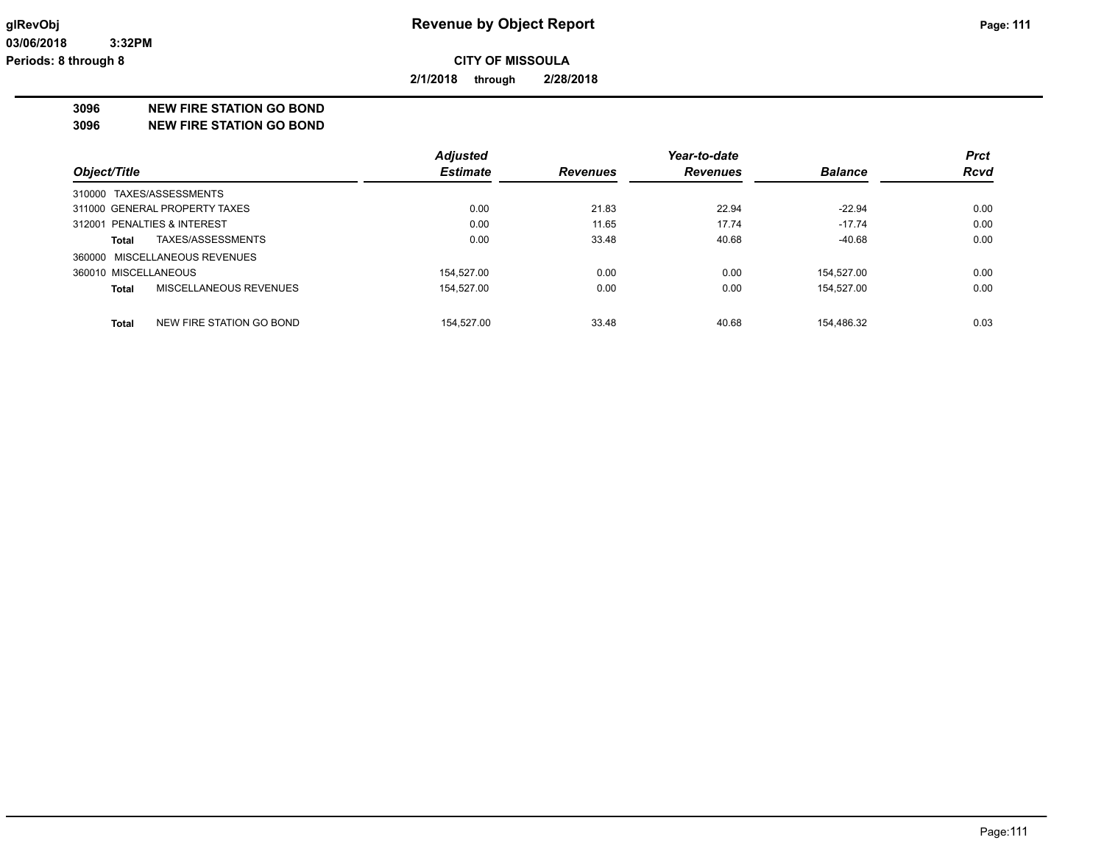**2/1/2018 through 2/28/2018**

**3096 NEW FIRE STATION GO BOND**

**3096 NEW FIRE STATION GO BOND**

|                                          | <b>Adjusted</b> |                 | Year-to-date    |                | <b>Prct</b> |
|------------------------------------------|-----------------|-----------------|-----------------|----------------|-------------|
| Object/Title                             | <b>Estimate</b> | <b>Revenues</b> | <b>Revenues</b> | <b>Balance</b> | <b>Rcvd</b> |
| 310000 TAXES/ASSESSMENTS                 |                 |                 |                 |                |             |
| 311000 GENERAL PROPERTY TAXES            | 0.00            | 21.83           | 22.94           | $-22.94$       | 0.00        |
| 312001 PENALTIES & INTEREST              | 0.00            | 11.65           | 17.74           | $-17.74$       | 0.00        |
| TAXES/ASSESSMENTS<br>Total               | 0.00            | 33.48           | 40.68           | $-40.68$       | 0.00        |
| 360000 MISCELLANEOUS REVENUES            |                 |                 |                 |                |             |
| 360010 MISCELLANEOUS                     | 154.527.00      | 0.00            | 0.00            | 154.527.00     | 0.00        |
| MISCELLANEOUS REVENUES<br>Total          | 154.527.00      | 0.00            | 0.00            | 154.527.00     | 0.00        |
| NEW FIRE STATION GO BOND<br><b>Total</b> | 154.527.00      | 33.48           | 40.68           | 154.486.32     | 0.03        |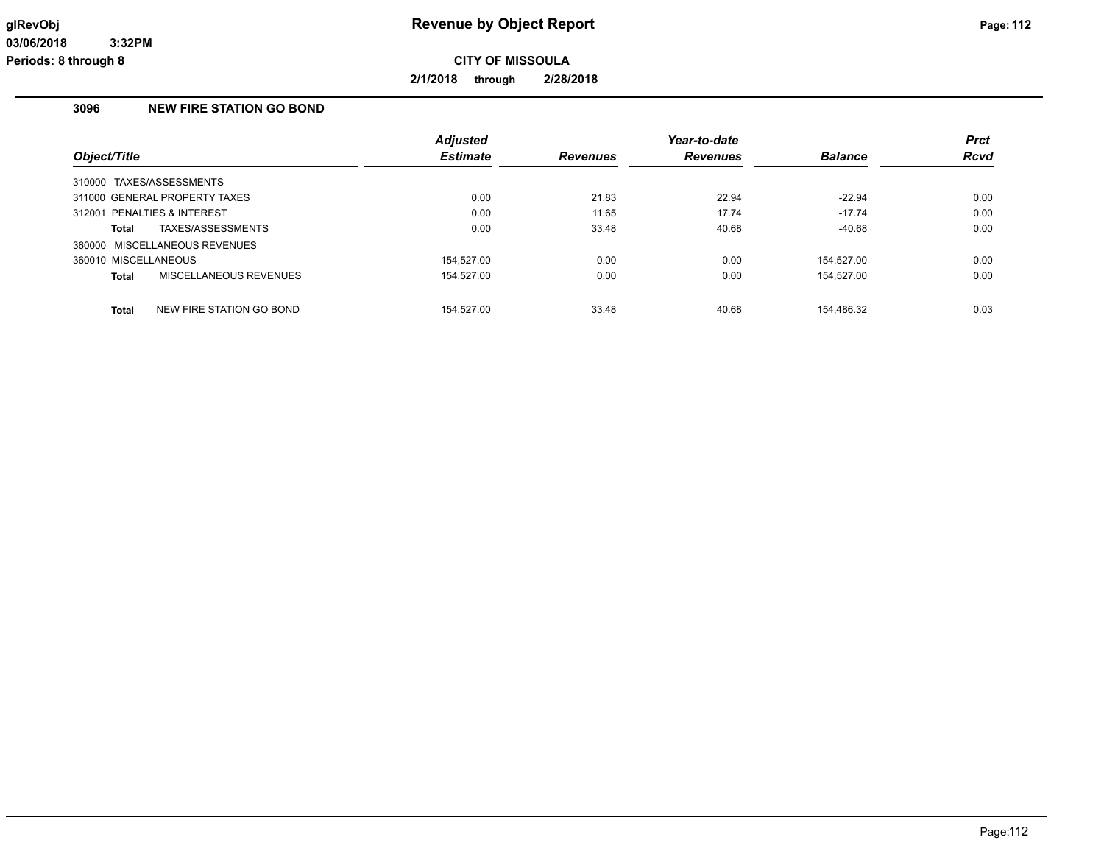**2/1/2018 through 2/28/2018**

# **3096 NEW FIRE STATION GO BOND**

|                      |                               | <b>Adjusted</b> |                 | Year-to-date    |                | <b>Prct</b> |
|----------------------|-------------------------------|-----------------|-----------------|-----------------|----------------|-------------|
| Object/Title         |                               | <b>Estimate</b> | <b>Revenues</b> | <b>Revenues</b> | <b>Balance</b> | <b>Rcvd</b> |
|                      | 310000 TAXES/ASSESSMENTS      |                 |                 |                 |                |             |
|                      | 311000 GENERAL PROPERTY TAXES | 0.00            | 21.83           | 22.94           | $-22.94$       | 0.00        |
|                      | 312001 PENALTIES & INTEREST   | 0.00            | 11.65           | 17.74           | $-17.74$       | 0.00        |
| Total                | TAXES/ASSESSMENTS             | 0.00            | 33.48           | 40.68           | $-40.68$       | 0.00        |
|                      | 360000 MISCELLANEOUS REVENUES |                 |                 |                 |                |             |
| 360010 MISCELLANEOUS |                               | 154.527.00      | 0.00            | 0.00            | 154.527.00     | 0.00        |
| <b>Total</b>         | MISCELLANEOUS REVENUES        | 154.527.00      | 0.00            | 0.00            | 154.527.00     | 0.00        |
| <b>Total</b>         | NEW FIRE STATION GO BOND      | 154.527.00      | 33.48           | 40.68           | 154.486.32     | 0.03        |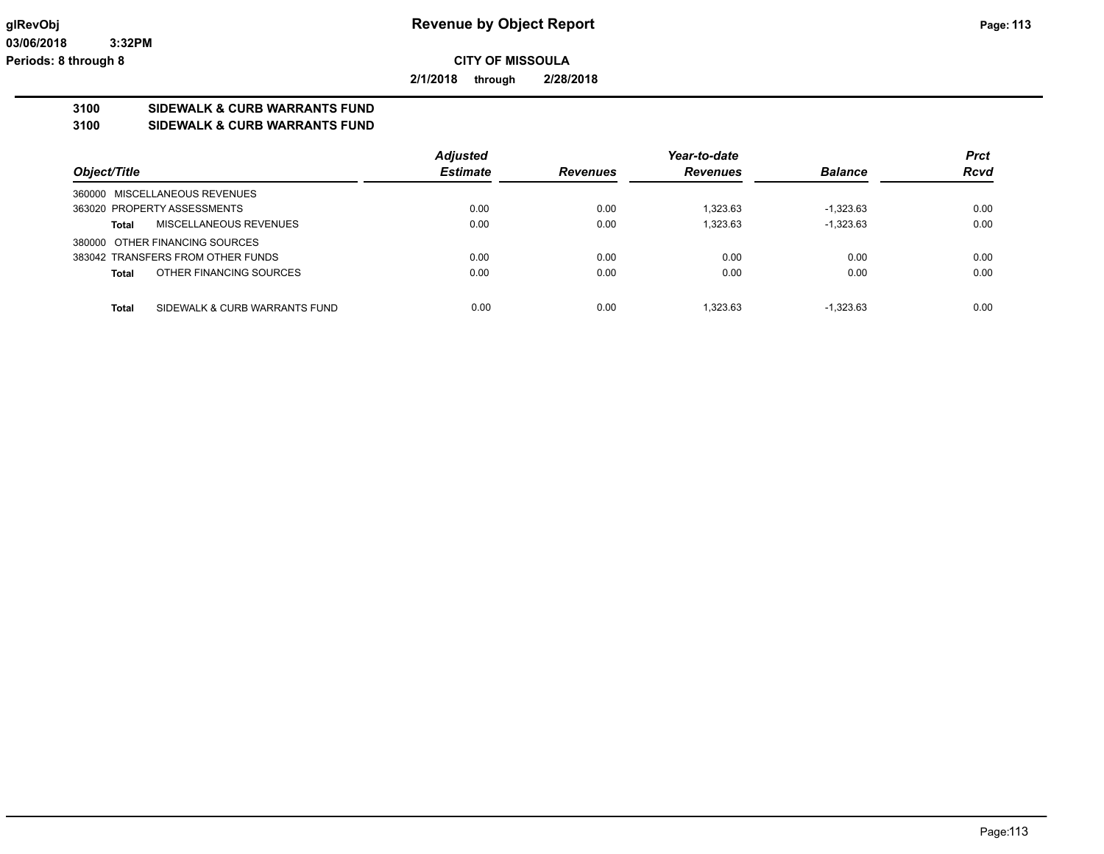**2/1/2018 through 2/28/2018**

# **3100 SIDEWALK & CURB WARRANTS FUND**

**3100 SIDEWALK & CURB WARRANTS FUND**

|                                               | <b>Adjusted</b> |                 | Year-to-date    |                | <b>Prct</b> |
|-----------------------------------------------|-----------------|-----------------|-----------------|----------------|-------------|
| Object/Title                                  | <b>Estimate</b> | <b>Revenues</b> | <b>Revenues</b> | <b>Balance</b> | <b>Rcvd</b> |
| 360000 MISCELLANEOUS REVENUES                 |                 |                 |                 |                |             |
| 363020 PROPERTY ASSESSMENTS                   | 0.00            | 0.00            | 1.323.63        | $-1.323.63$    | 0.00        |
| MISCELLANEOUS REVENUES<br><b>Total</b>        | 0.00            | 0.00            | 1.323.63        | $-1,323.63$    | 0.00        |
| 380000 OTHER FINANCING SOURCES                |                 |                 |                 |                |             |
| 383042 TRANSFERS FROM OTHER FUNDS             | 0.00            | 0.00            | 0.00            | 0.00           | 0.00        |
| OTHER FINANCING SOURCES<br><b>Total</b>       | 0.00            | 0.00            | 0.00            | 0.00           | 0.00        |
|                                               |                 |                 |                 |                |             |
| <b>Total</b><br>SIDEWALK & CURB WARRANTS FUND | 0.00            | 0.00            | 1.323.63        | $-1.323.63$    | 0.00        |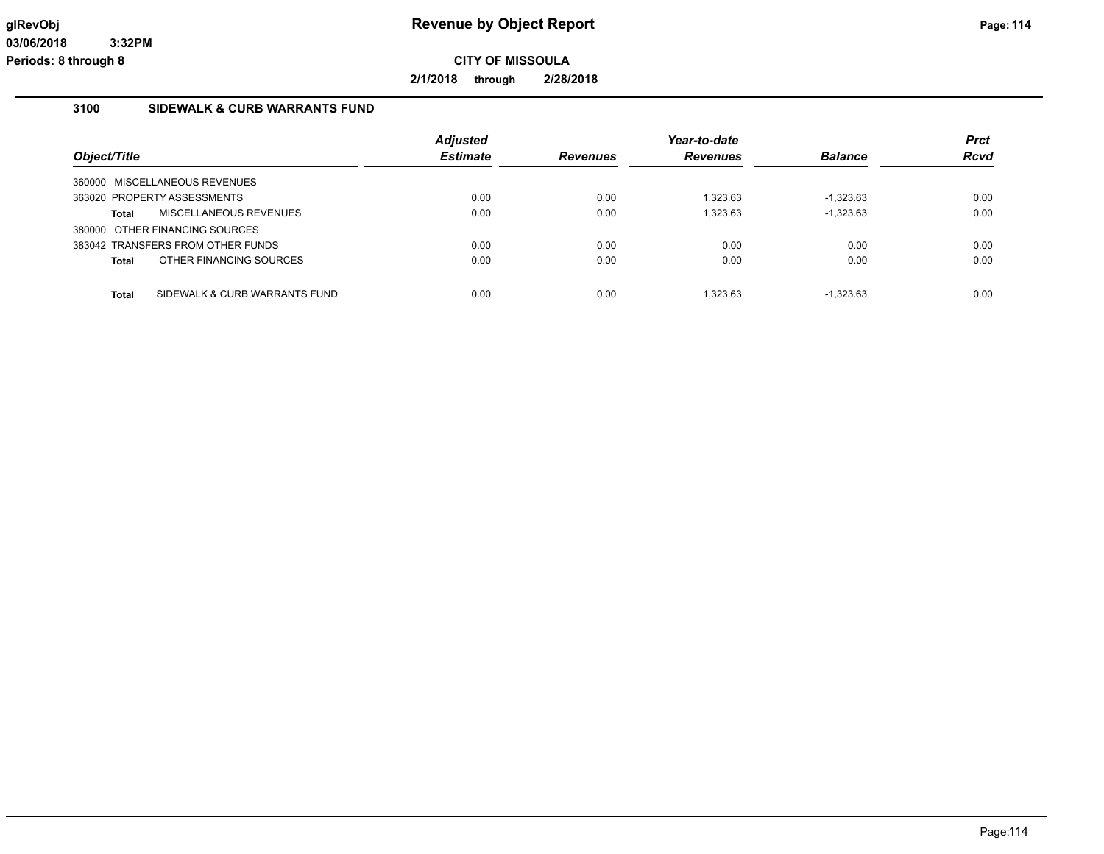**2/1/2018 through 2/28/2018**

### **3100 SIDEWALK & CURB WARRANTS FUND**

| Object/Title                                  | <b>Adjusted</b><br><b>Estimate</b> | <b>Revenues</b> | Year-to-date<br>Revenues | <b>Balance</b> | <b>Prct</b><br><b>Rcvd</b> |
|-----------------------------------------------|------------------------------------|-----------------|--------------------------|----------------|----------------------------|
| MISCELLANEOUS REVENUES<br>360000              |                                    |                 |                          |                |                            |
| 363020 PROPERTY ASSESSMENTS                   | 0.00                               | 0.00            | 1.323.63                 | $-1.323.63$    | 0.00                       |
| MISCELLANEOUS REVENUES<br>Total               | 0.00                               | 0.00            | 1.323.63                 | $-1,323.63$    | 0.00                       |
| 380000 OTHER FINANCING SOURCES                |                                    |                 |                          |                |                            |
| 383042 TRANSFERS FROM OTHER FUNDS             | 0.00                               | 0.00            | 0.00                     | 0.00           | 0.00                       |
| OTHER FINANCING SOURCES<br><b>Total</b>       | 0.00                               | 0.00            | 0.00                     | 0.00           | 0.00                       |
|                                               |                                    |                 |                          |                |                            |
| SIDEWALK & CURB WARRANTS FUND<br><b>Total</b> | 0.00                               | 0.00            | 1.323.63                 | $-1.323.63$    | 0.00                       |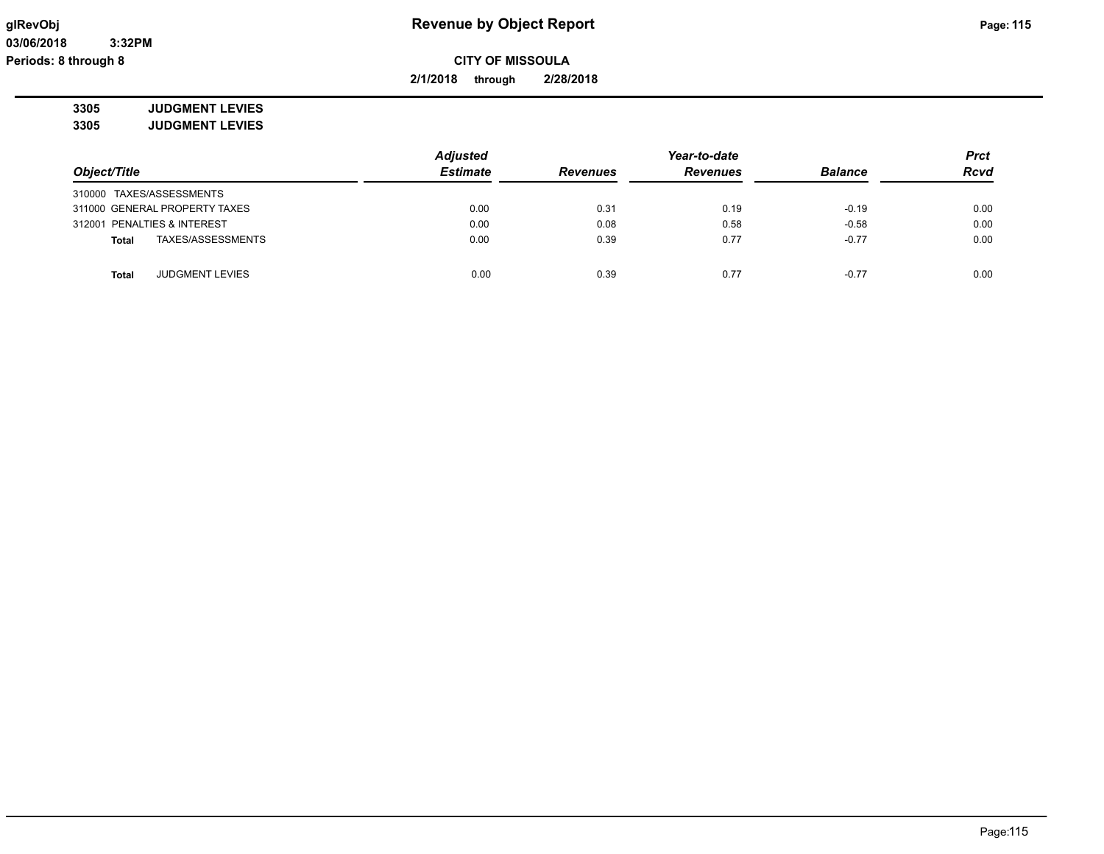# **glRevObj Revenue by Object Report Page: 115**

**2/1/2018 through 2/28/2018**

**3305 JUDGMENT LEVIES 3305 JUDGMENT LEVIES**

|                                 | <b>Adjusted</b> |                 | Year-to-date    |                |             |
|---------------------------------|-----------------|-----------------|-----------------|----------------|-------------|
| Object/Title                    | <b>Estimate</b> | <b>Revenues</b> | <b>Revenues</b> | <b>Balance</b> | <b>Rcvd</b> |
| 310000 TAXES/ASSESSMENTS        |                 |                 |                 |                |             |
| 311000 GENERAL PROPERTY TAXES   | 0.00            | 0.31            | 0.19            | $-0.19$        | 0.00        |
| 312001 PENALTIES & INTEREST     | 0.00            | 0.08            | 0.58            | $-0.58$        | 0.00        |
| TAXES/ASSESSMENTS<br>Total      | 0.00            | 0.39            | 0.77            | $-0.77$        | 0.00        |
| <b>JUDGMENT LEVIES</b><br>Total | 0.00            | 0.39            | 0.77            | $-0.77$        | 0.00        |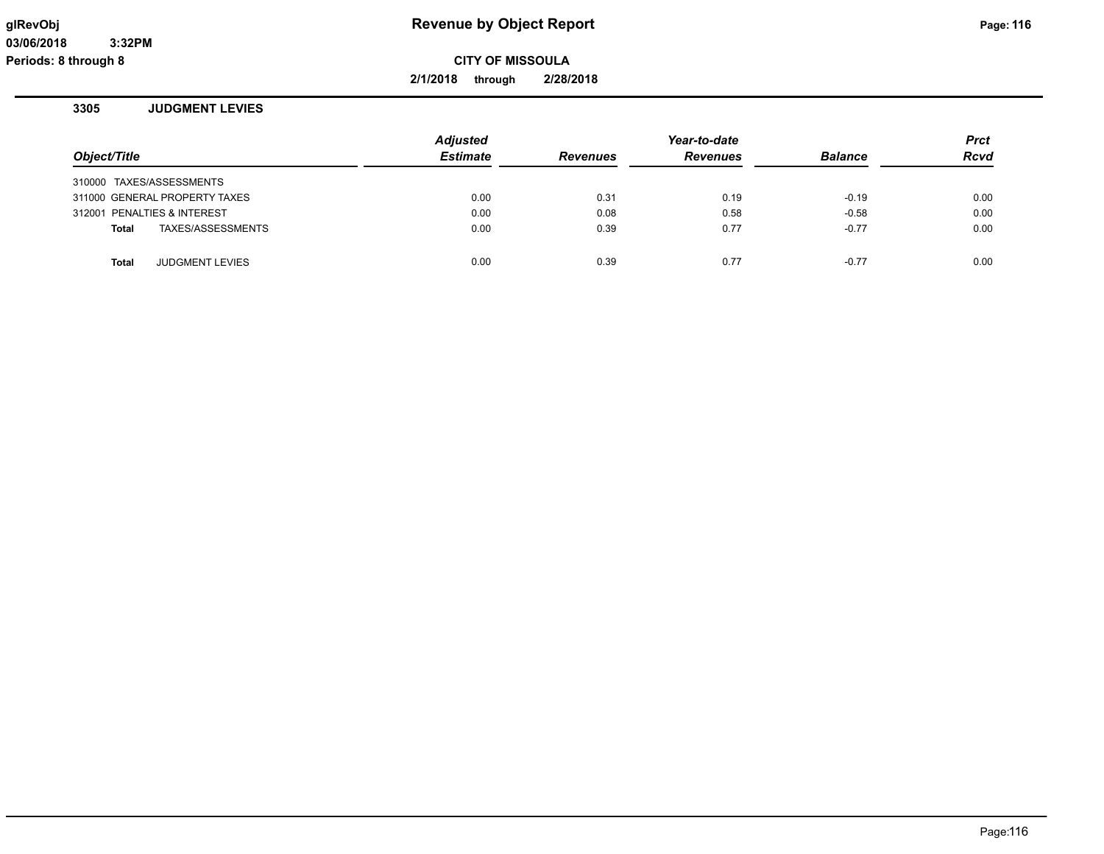**2/1/2018 through 2/28/2018**

### **3305 JUDGMENT LEVIES**

|              |                               | <b>Adjusted</b> |                 | Year-to-date    |                | <b>Prct</b> |
|--------------|-------------------------------|-----------------|-----------------|-----------------|----------------|-------------|
| Object/Title |                               | <b>Estimate</b> | <b>Revenues</b> | <b>Revenues</b> | <b>Balance</b> | <b>Rcvd</b> |
|              | 310000 TAXES/ASSESSMENTS      |                 |                 |                 |                |             |
|              | 311000 GENERAL PROPERTY TAXES | 0.00            | 0.31            | 0.19            | $-0.19$        | 0.00        |
|              | 312001 PENALTIES & INTEREST   | 0.00            | 0.08            | 0.58            | $-0.58$        | 0.00        |
| <b>Total</b> | TAXES/ASSESSMENTS             | 0.00            | 0.39            | 0.77            | $-0.77$        | 0.00        |
|              |                               |                 |                 |                 |                |             |
| <b>Total</b> | <b>JUDGMENT LEVIES</b>        | 0.00            | 0.39            | 0.77            | $-0.77$        | 0.00        |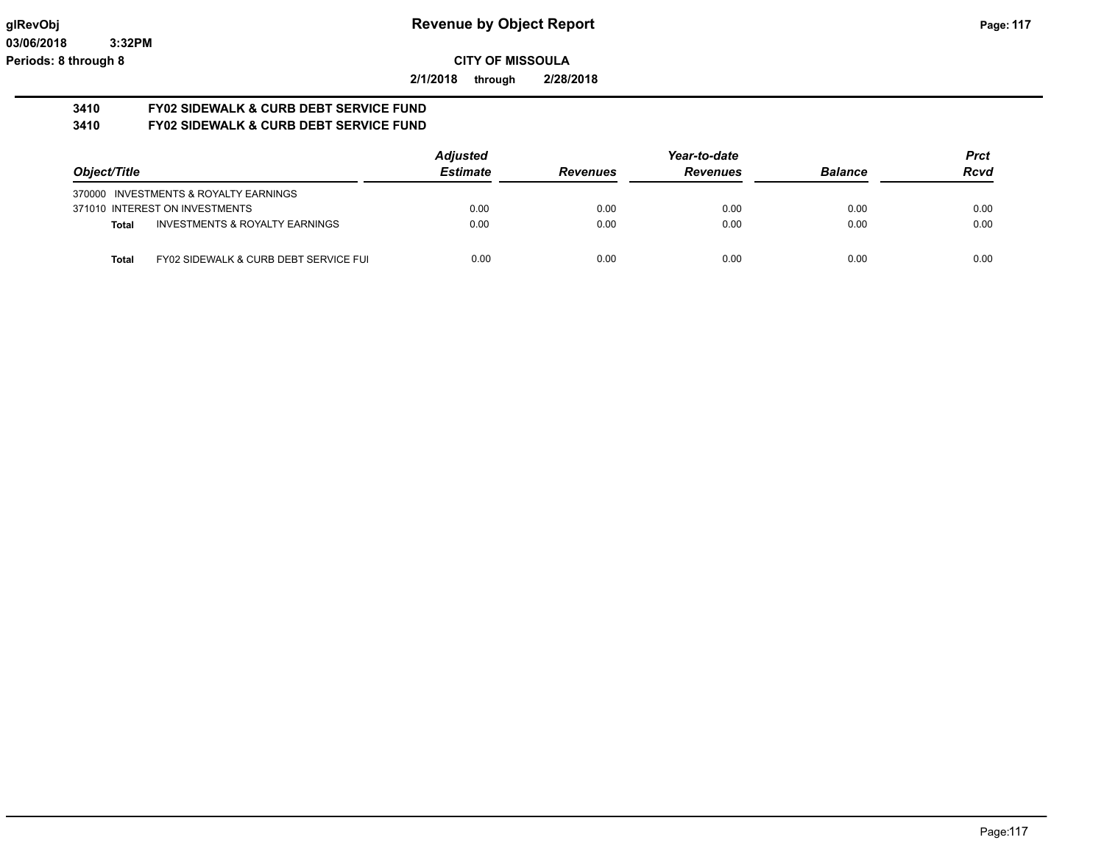**2/1/2018 through 2/28/2018**

#### **3410 FY02 SIDEWALK & CURB DEBT SERVICE FUND 3410 FY02 SIDEWALK & CURB DEBT SERVICE FUND**

|                                                           | <b>Adjusted</b> |                 | Year-to-date    |                | <b>Prct</b> |
|-----------------------------------------------------------|-----------------|-----------------|-----------------|----------------|-------------|
| Object/Title                                              | <b>Estimate</b> | <b>Revenues</b> | <b>Revenues</b> | <b>Balance</b> | <b>Rcvd</b> |
| 370000 INVESTMENTS & ROYALTY EARNINGS                     |                 |                 |                 |                |             |
| 371010 INTEREST ON INVESTMENTS                            | 0.00            | 0.00            | 0.00            | 0.00           | 0.00        |
| <b>INVESTMENTS &amp; ROYALTY EARNINGS</b><br><b>Total</b> | 0.00            | 0.00            | 0.00            | 0.00           | 0.00        |
| FY02 SIDEWALK & CURB DEBT SERVICE FUI<br>Total            | 0.00            | 0.00            | 0.00            | 0.00           | 0.00        |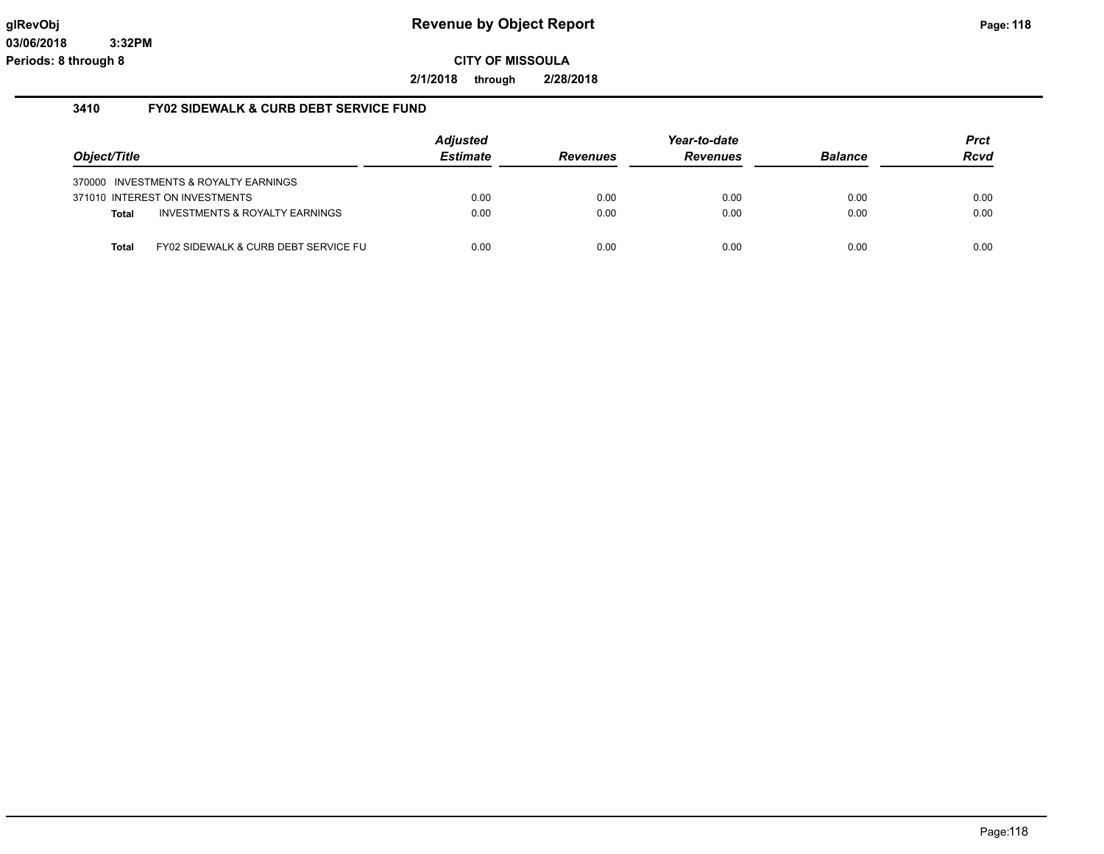**2/1/2018 through 2/28/2018**

### **3410 FY02 SIDEWALK & CURB DEBT SERVICE FUND**

|              |                                           | <b>Adjusted</b> |                 | Year-to-date    |                | <b>Prct</b> |
|--------------|-------------------------------------------|-----------------|-----------------|-----------------|----------------|-------------|
| Object/Title |                                           | <b>Estimate</b> | <b>Revenues</b> | <b>Revenues</b> | <b>Balance</b> | <b>Rcvd</b> |
|              | 370000 INVESTMENTS & ROYALTY EARNINGS     |                 |                 |                 |                |             |
|              | 371010 INTEREST ON INVESTMENTS            | 0.00            | 0.00            | 0.00            | 0.00           | 0.00        |
| <b>Total</b> | <b>INVESTMENTS &amp; ROYALTY EARNINGS</b> | 0.00            | 0.00            | 0.00            | 0.00           | 0.00        |
| <b>Total</b> | FY02 SIDEWALK & CURB DEBT SERVICE FU      | 0.00            | 0.00            | 0.00            | 0.00           | 0.00        |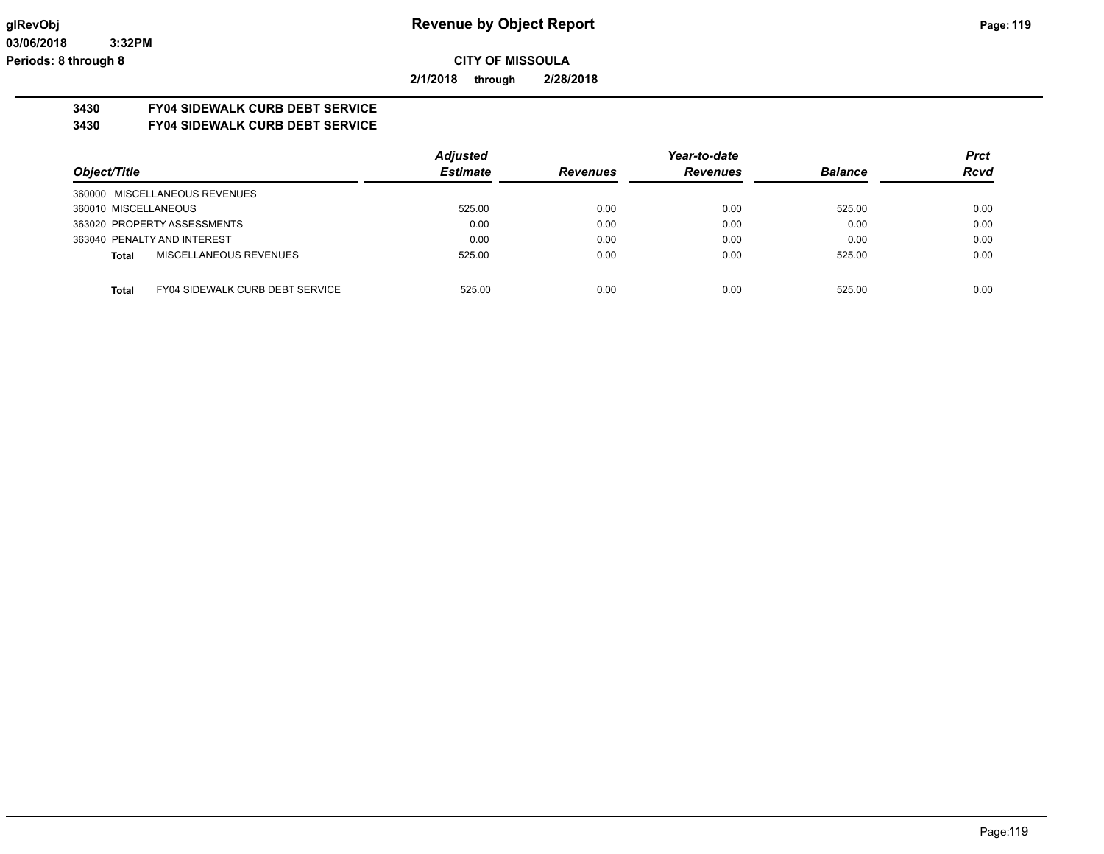**2/1/2018 through 2/28/2018**

# **3430 FY04 SIDEWALK CURB DEBT SERVICE**

**3430 FY04 SIDEWALK CURB DEBT SERVICE**

|                                                 | <b>Adjusted</b> |                 | Year-to-date    |                | <b>Prct</b> |
|-------------------------------------------------|-----------------|-----------------|-----------------|----------------|-------------|
| Object/Title                                    | <b>Estimate</b> | <b>Revenues</b> | <b>Revenues</b> | <b>Balance</b> | <b>Rcvd</b> |
| 360000 MISCELLANEOUS REVENUES                   |                 |                 |                 |                |             |
| 360010 MISCELLANEOUS                            | 525.00          | 0.00            | 0.00            | 525.00         | 0.00        |
| 363020 PROPERTY ASSESSMENTS                     | 0.00            | 0.00            | 0.00            | 0.00           | 0.00        |
| 363040 PENALTY AND INTEREST                     | 0.00            | 0.00            | 0.00            | 0.00           | 0.00        |
| MISCELLANEOUS REVENUES<br><b>Total</b>          | 525.00          | 0.00            | 0.00            | 525.00         | 0.00        |
|                                                 |                 |                 |                 |                |             |
| FY04 SIDEWALK CURB DEBT SERVICE<br><b>Total</b> | 525.00          | 0.00            | 0.00            | 525.00         | 0.00        |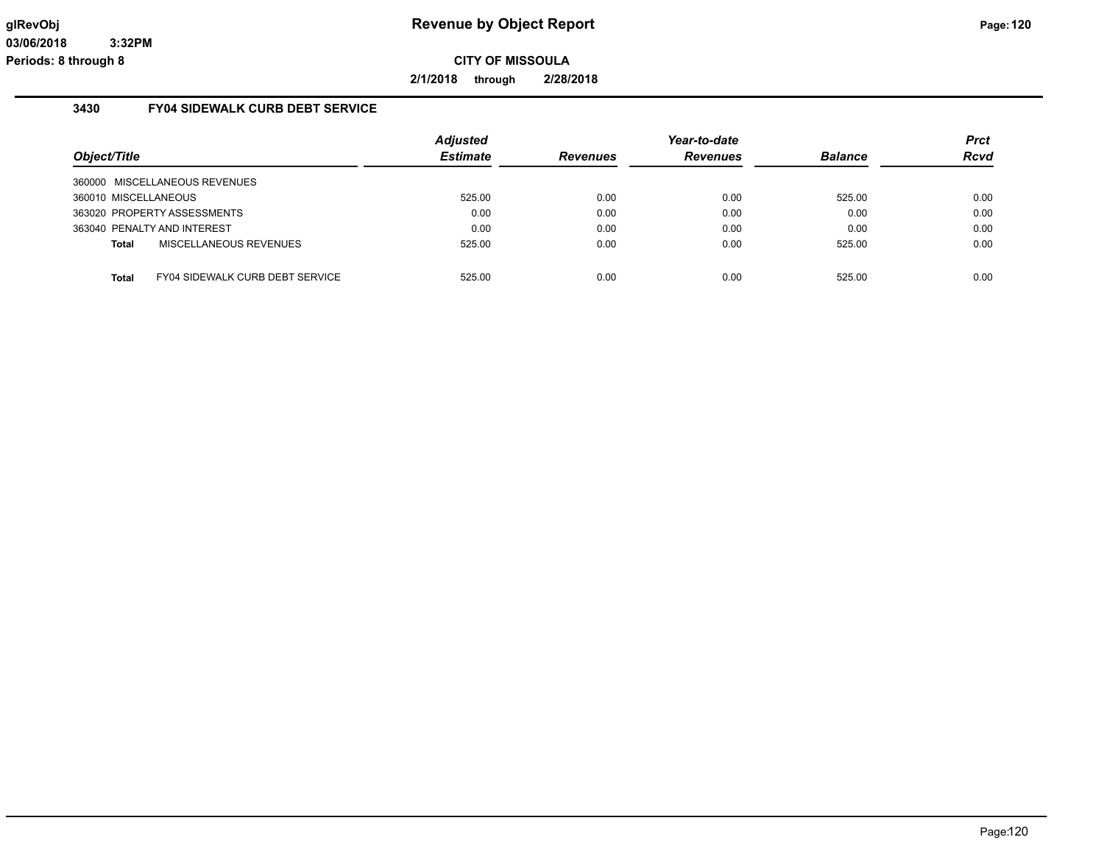**2/1/2018 through 2/28/2018**

### **3430 FY04 SIDEWALK CURB DEBT SERVICE**

| Object/Title         |                                        | <b>Adjusted</b><br><b>Estimate</b> | <b>Revenues</b> | Year-to-date<br><b>Revenues</b> | <b>Balance</b> | <b>Prct</b><br><b>Rcvd</b> |
|----------------------|----------------------------------------|------------------------------------|-----------------|---------------------------------|----------------|----------------------------|
|                      | 360000 MISCELLANEOUS REVENUES          |                                    |                 |                                 |                |                            |
| 360010 MISCELLANEOUS |                                        | 525.00                             | 0.00            | 0.00                            | 525.00         | 0.00                       |
|                      | 363020 PROPERTY ASSESSMENTS            | 0.00                               | 0.00            | 0.00                            | 0.00           | 0.00                       |
|                      | 363040 PENALTY AND INTEREST            | 0.00                               | 0.00            | 0.00                            | 0.00           | 0.00                       |
| Total                | MISCELLANEOUS REVENUES                 | 525.00                             | 0.00            | 0.00                            | 525.00         | 0.00                       |
|                      |                                        |                                    |                 |                                 |                |                            |
| Total                | <b>FY04 SIDEWALK CURB DEBT SERVICE</b> | 525.00                             | 0.00            | 0.00                            | 525.00         | 0.00                       |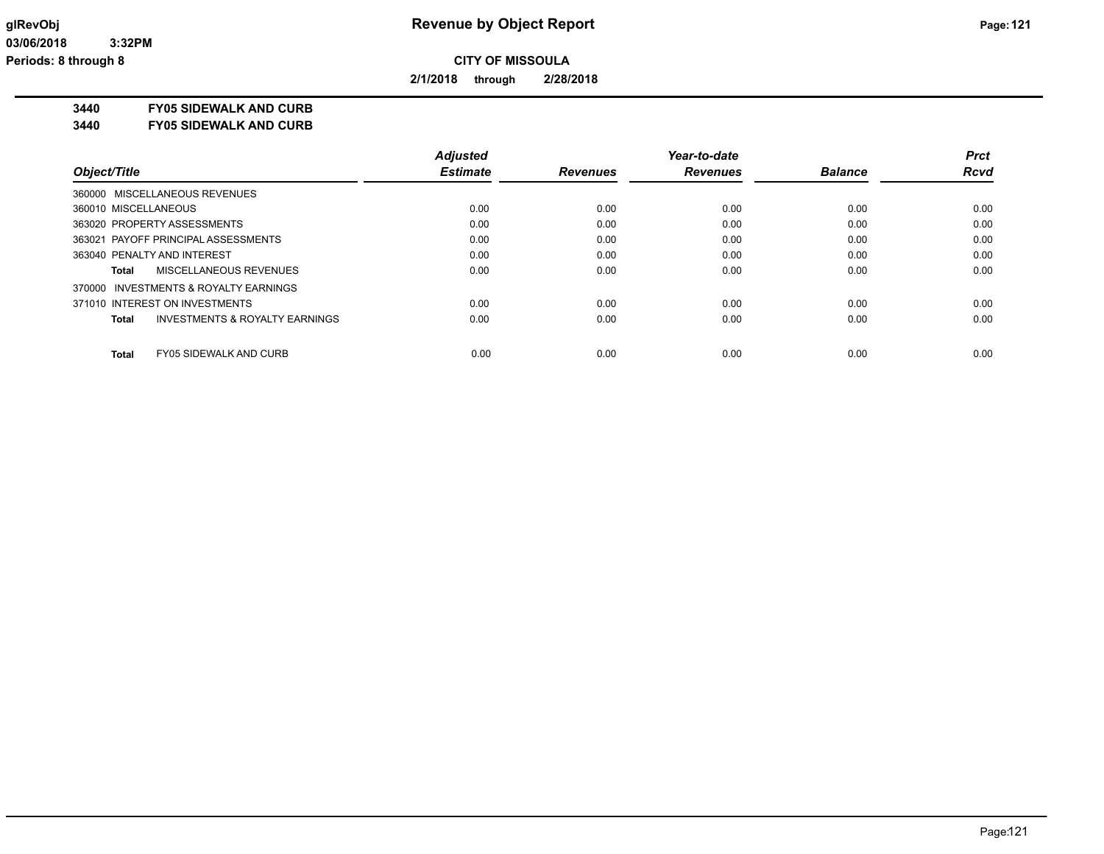**2/1/2018 through 2/28/2018**

**3440 FY05 SIDEWALK AND CURB**

**3440 FY05 SIDEWALK AND CURB**

|                                               | <b>Adjusted</b> |                 | Year-to-date    |                | <b>Prct</b> |
|-----------------------------------------------|-----------------|-----------------|-----------------|----------------|-------------|
| Object/Title                                  | <b>Estimate</b> | <b>Revenues</b> | <b>Revenues</b> | <b>Balance</b> | <b>Rcvd</b> |
| 360000 MISCELLANEOUS REVENUES                 |                 |                 |                 |                |             |
| 360010 MISCELLANEOUS                          | 0.00            | 0.00            | 0.00            | 0.00           | 0.00        |
| 363020 PROPERTY ASSESSMENTS                   | 0.00            | 0.00            | 0.00            | 0.00           | 0.00        |
| 363021 PAYOFF PRINCIPAL ASSESSMENTS           | 0.00            | 0.00            | 0.00            | 0.00           | 0.00        |
| 363040 PENALTY AND INTEREST                   | 0.00            | 0.00            | 0.00            | 0.00           | 0.00        |
| MISCELLANEOUS REVENUES<br>Total               | 0.00            | 0.00            | 0.00            | 0.00           | 0.00        |
| 370000 INVESTMENTS & ROYALTY EARNINGS         |                 |                 |                 |                |             |
| 371010 INTEREST ON INVESTMENTS                | 0.00            | 0.00            | 0.00            | 0.00           | 0.00        |
| INVESTMENTS & ROYALTY EARNINGS<br>Total       | 0.00            | 0.00            | 0.00            | 0.00           | 0.00        |
| <b>Total</b><br><b>FY05 SIDEWALK AND CURB</b> | 0.00            | 0.00            | 0.00            | 0.00           | 0.00        |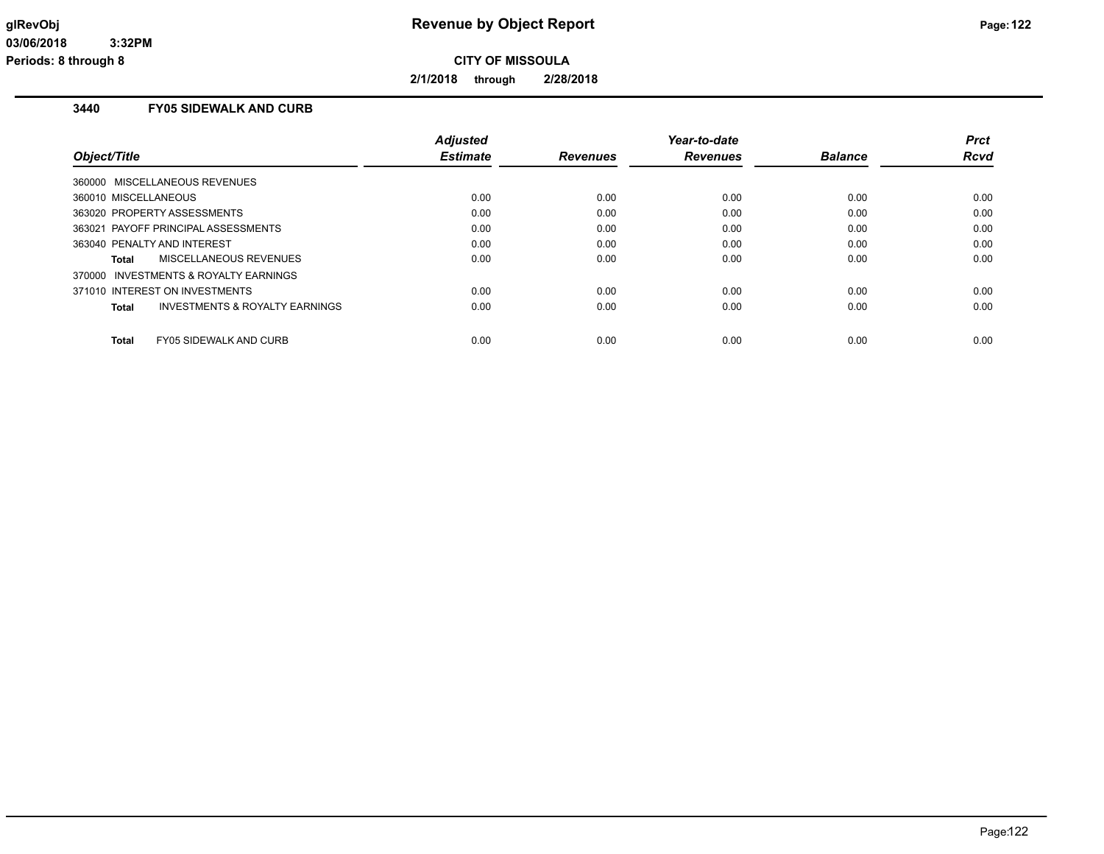**2/1/2018 through 2/28/2018**

# **3440 FY05 SIDEWALK AND CURB**

| Object/Title                                       | <b>Adjusted</b><br><b>Estimate</b> | <b>Revenues</b> | Year-to-date<br><b>Revenues</b> | <b>Balance</b> | <b>Prct</b><br><b>Rcvd</b> |
|----------------------------------------------------|------------------------------------|-----------------|---------------------------------|----------------|----------------------------|
| 360000 MISCELLANEOUS REVENUES                      |                                    |                 |                                 |                |                            |
| 360010 MISCELLANEOUS                               | 0.00                               | 0.00            | 0.00                            | 0.00           | 0.00                       |
| 363020 PROPERTY ASSESSMENTS                        | 0.00                               | 0.00            | 0.00                            | 0.00           | 0.00                       |
| 363021 PAYOFF PRINCIPAL ASSESSMENTS                | 0.00                               | 0.00            | 0.00                            | 0.00           | 0.00                       |
| 363040 PENALTY AND INTEREST                        | 0.00                               | 0.00            | 0.00                            | 0.00           | 0.00                       |
| MISCELLANEOUS REVENUES<br>Total                    | 0.00                               | 0.00            | 0.00                            | 0.00           | 0.00                       |
| 370000 INVESTMENTS & ROYALTY EARNINGS              |                                    |                 |                                 |                |                            |
| 371010 INTEREST ON INVESTMENTS                     | 0.00                               | 0.00            | 0.00                            | 0.00           | 0.00                       |
| <b>INVESTMENTS &amp; ROYALTY EARNINGS</b><br>Total | 0.00                               | 0.00            | 0.00                            | 0.00           | 0.00                       |
| <b>FY05 SIDEWALK AND CURB</b><br>Total             | 0.00                               | 0.00            | 0.00                            | 0.00           | 0.00                       |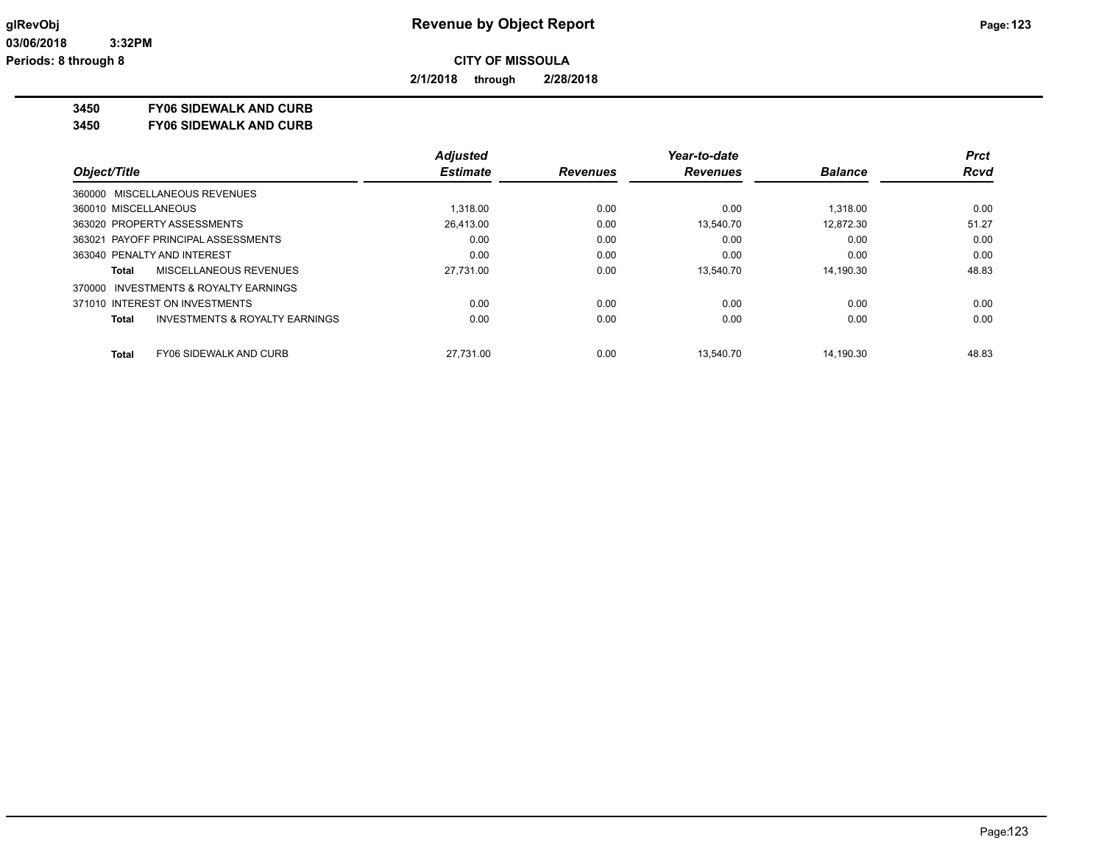**2/1/2018 through 2/28/2018**

**3450 FY06 SIDEWALK AND CURB**

**3450 FY06 SIDEWALK AND CURB**

|                                                    | <b>Adjusted</b> |                 | Year-to-date    |                | Prct        |
|----------------------------------------------------|-----------------|-----------------|-----------------|----------------|-------------|
| Object/Title                                       | <b>Estimate</b> | <b>Revenues</b> | <b>Revenues</b> | <b>Balance</b> | <b>Rcvd</b> |
| 360000 MISCELLANEOUS REVENUES                      |                 |                 |                 |                |             |
| 360010 MISCELLANEOUS                               | 1.318.00        | 0.00            | 0.00            | 1.318.00       | 0.00        |
| 363020 PROPERTY ASSESSMENTS                        | 26.413.00       | 0.00            | 13.540.70       | 12.872.30      | 51.27       |
| 363021 PAYOFF PRINCIPAL ASSESSMENTS                | 0.00            | 0.00            | 0.00            | 0.00           | 0.00        |
| 363040 PENALTY AND INTEREST                        | 0.00            | 0.00            | 0.00            | 0.00           | 0.00        |
| MISCELLANEOUS REVENUES<br>Total                    | 27,731.00       | 0.00            | 13.540.70       | 14.190.30      | 48.83       |
| 370000 INVESTMENTS & ROYALTY EARNINGS              |                 |                 |                 |                |             |
| 371010 INTEREST ON INVESTMENTS                     | 0.00            | 0.00            | 0.00            | 0.00           | 0.00        |
| <b>INVESTMENTS &amp; ROYALTY EARNINGS</b><br>Total | 0.00            | 0.00            | 0.00            | 0.00           | 0.00        |
| <b>Total</b><br><b>FY06 SIDEWALK AND CURB</b>      | 27.731.00       | 0.00            | 13.540.70       | 14.190.30      | 48.83       |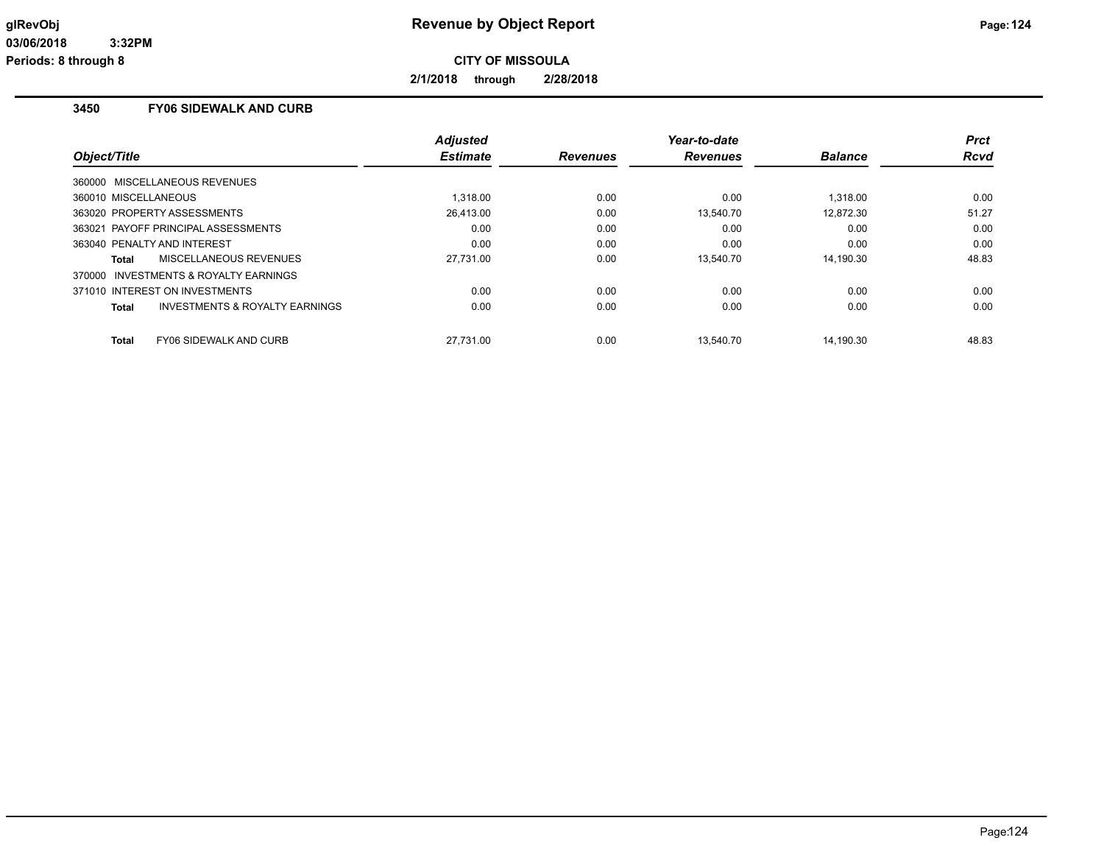**2/1/2018 through 2/28/2018**

# **3450 FY06 SIDEWALK AND CURB**

| Object/Title                                              | <b>Adjusted</b><br><b>Estimate</b> | <b>Revenues</b> | Year-to-date<br><b>Revenues</b> | <b>Balance</b> | <b>Prct</b><br><b>Rcvd</b> |
|-----------------------------------------------------------|------------------------------------|-----------------|---------------------------------|----------------|----------------------------|
| 360000 MISCELLANEOUS REVENUES                             |                                    |                 |                                 |                |                            |
| 360010 MISCELLANEOUS                                      | 1.318.00                           | 0.00            | 0.00                            | 1.318.00       | 0.00                       |
| 363020 PROPERTY ASSESSMENTS                               | 26.413.00                          | 0.00            | 13.540.70                       | 12.872.30      | 51.27                      |
| 363021 PAYOFF PRINCIPAL ASSESSMENTS                       | 0.00                               | 0.00            | 0.00                            | 0.00           | 0.00                       |
| 363040 PENALTY AND INTEREST                               | 0.00                               | 0.00            | 0.00                            | 0.00           | 0.00                       |
| <b>MISCELLANEOUS REVENUES</b><br>Total                    | 27.731.00                          | 0.00            | 13.540.70                       | 14.190.30      | 48.83                      |
| 370000 INVESTMENTS & ROYALTY EARNINGS                     |                                    |                 |                                 |                |                            |
| 371010 INTEREST ON INVESTMENTS                            | 0.00                               | 0.00            | 0.00                            | 0.00           | 0.00                       |
| <b>INVESTMENTS &amp; ROYALTY EARNINGS</b><br><b>Total</b> | 0.00                               | 0.00            | 0.00                            | 0.00           | 0.00                       |
| <b>FY06 SIDEWALK AND CURB</b><br><b>Total</b>             | 27.731.00                          | 0.00            | 13.540.70                       | 14.190.30      | 48.83                      |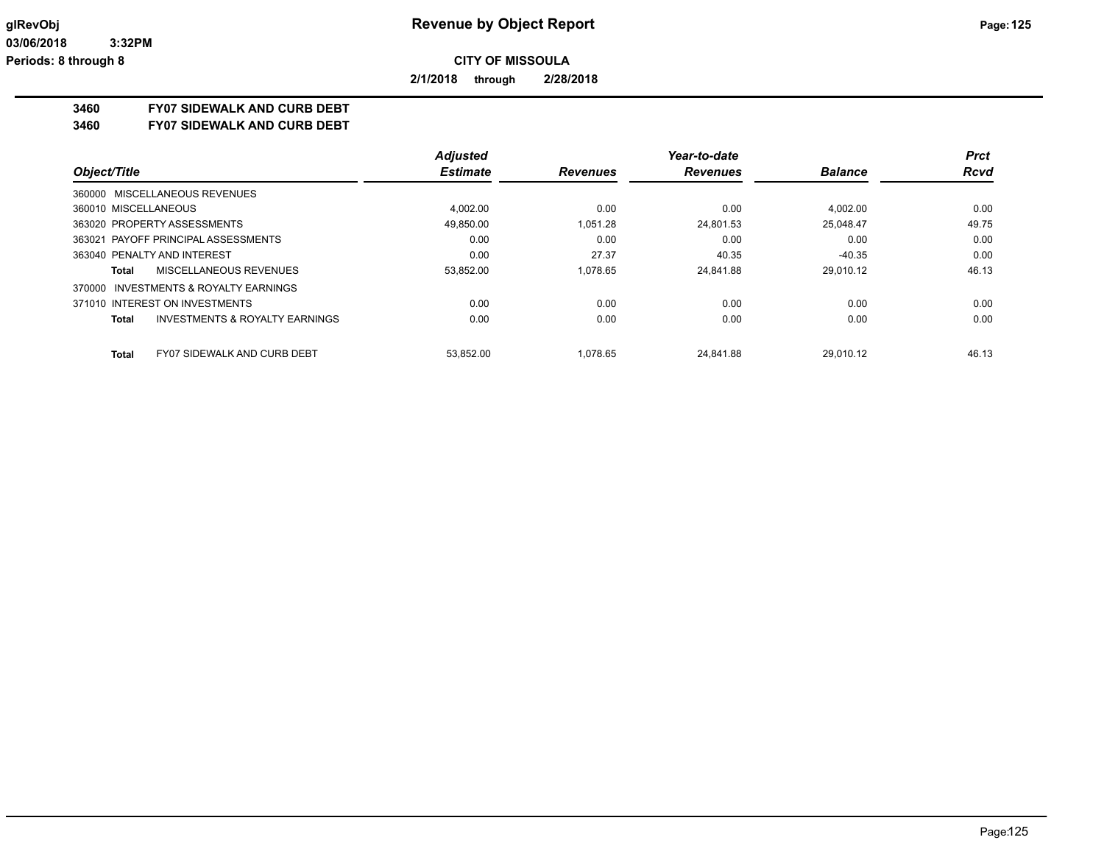**2/1/2018 through 2/28/2018**

### **3460 FY07 SIDEWALK AND CURB DEBT**

**3460 FY07 SIDEWALK AND CURB DEBT**

|                                                           | <b>Adjusted</b> |                 | Year-to-date    |                | <b>Prct</b> |
|-----------------------------------------------------------|-----------------|-----------------|-----------------|----------------|-------------|
| Object/Title                                              | <b>Estimate</b> | <b>Revenues</b> | <b>Revenues</b> | <b>Balance</b> | <b>Rcvd</b> |
| 360000 MISCELLANEOUS REVENUES                             |                 |                 |                 |                |             |
| 360010 MISCELLANEOUS                                      | 4.002.00        | 0.00            | 0.00            | 4.002.00       | 0.00        |
| 363020 PROPERTY ASSESSMENTS                               | 49,850.00       | 1.051.28        | 24,801.53       | 25,048.47      | 49.75       |
| 363021 PAYOFF PRINCIPAL ASSESSMENTS                       | 0.00            | 0.00            | 0.00            | 0.00           | 0.00        |
| 363040 PENALTY AND INTEREST                               | 0.00            | 27.37           | 40.35           | $-40.35$       | 0.00        |
| MISCELLANEOUS REVENUES<br>Total                           | 53,852.00       | 1.078.65        | 24.841.88       | 29.010.12      | 46.13       |
| INVESTMENTS & ROYALTY EARNINGS<br>370000                  |                 |                 |                 |                |             |
| 371010 INTEREST ON INVESTMENTS                            | 0.00            | 0.00            | 0.00            | 0.00           | 0.00        |
| <b>INVESTMENTS &amp; ROYALTY EARNINGS</b><br><b>Total</b> | 0.00            | 0.00            | 0.00            | 0.00           | 0.00        |
| Total<br><b>FY07 SIDEWALK AND CURB DEBT</b>               | 53.852.00       | 1.078.65        | 24.841.88       | 29.010.12      | 46.13       |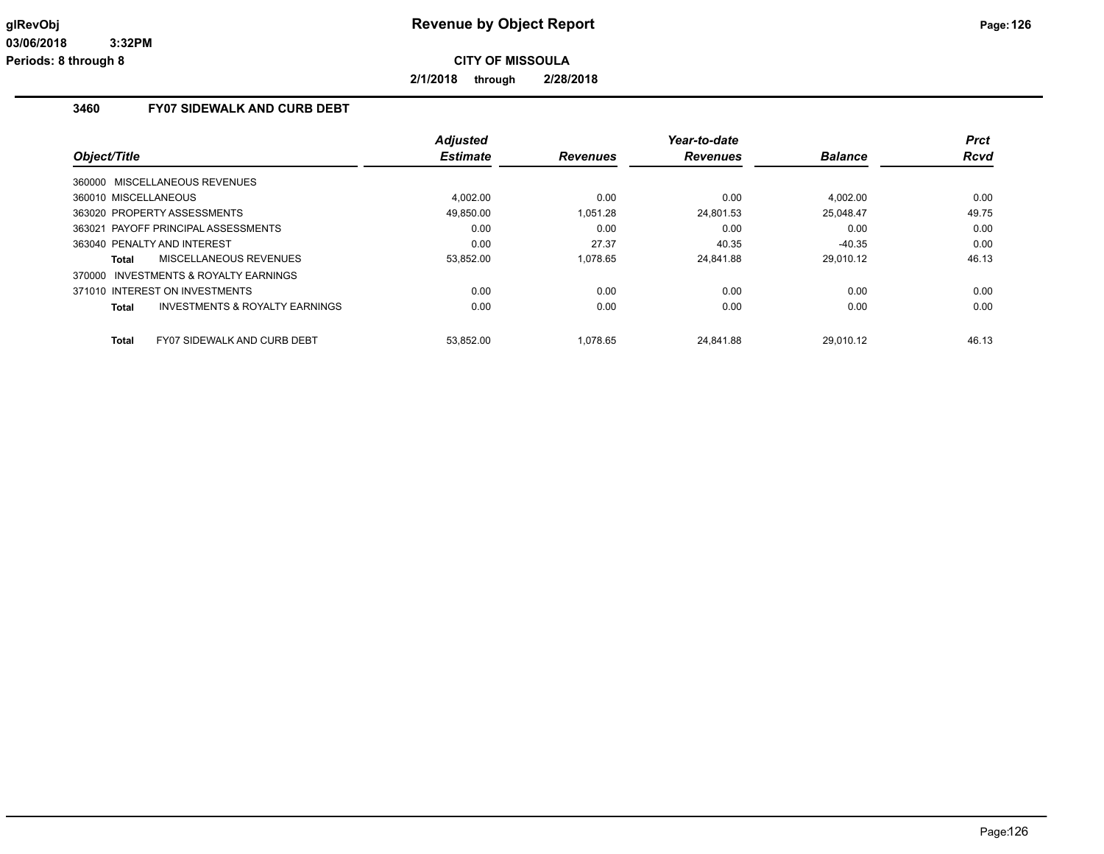**2/1/2018 through 2/28/2018**

# **3460 FY07 SIDEWALK AND CURB DEBT**

| Object/Title                                       | <b>Adjusted</b><br><b>Estimate</b> | <b>Revenues</b> | Year-to-date<br><b>Revenues</b> | <b>Balance</b> | <b>Prct</b><br><b>Rcvd</b> |
|----------------------------------------------------|------------------------------------|-----------------|---------------------------------|----------------|----------------------------|
| 360000 MISCELLANEOUS REVENUES                      |                                    |                 |                                 |                |                            |
| 360010 MISCELLANEOUS                               | 4.002.00                           | 0.00            | 0.00                            | 4.002.00       | 0.00                       |
| 363020 PROPERTY ASSESSMENTS                        | 49.850.00                          | 1.051.28        | 24.801.53                       | 25.048.47      | 49.75                      |
| 363021 PAYOFF PRINCIPAL ASSESSMENTS                | 0.00                               | 0.00            | 0.00                            | 0.00           | 0.00                       |
| 363040 PENALTY AND INTEREST                        | 0.00                               | 27.37           | 40.35                           | $-40.35$       | 0.00                       |
| MISCELLANEOUS REVENUES<br>Total                    | 53,852.00                          | 1.078.65        | 24,841.88                       | 29,010.12      | 46.13                      |
| 370000 INVESTMENTS & ROYALTY EARNINGS              |                                    |                 |                                 |                |                            |
| 371010 INTEREST ON INVESTMENTS                     | 0.00                               | 0.00            | 0.00                            | 0.00           | 0.00                       |
| <b>INVESTMENTS &amp; ROYALTY EARNINGS</b><br>Total | 0.00                               | 0.00            | 0.00                            | 0.00           | 0.00                       |
|                                                    |                                    |                 |                                 |                |                            |
| <b>FY07 SIDEWALK AND CURB DEBT</b><br>Total        | 53,852.00                          | 1.078.65        | 24.841.88                       | 29.010.12      | 46.13                      |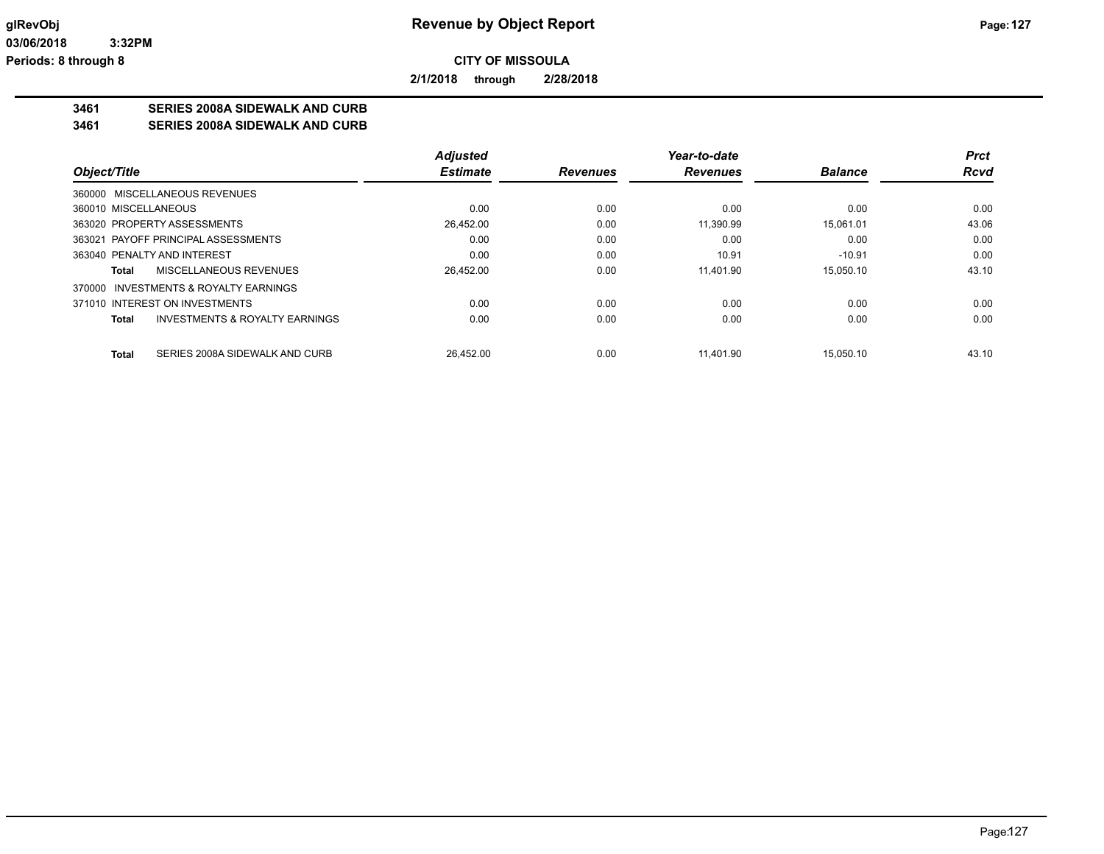**2/1/2018 through 2/28/2018**

# **3461 SERIES 2008A SIDEWALK AND CURB**

**3461 SERIES 2008A SIDEWALK AND CURB**

|                                                    | <b>Adjusted</b> |                 | Year-to-date    |                | Prct        |
|----------------------------------------------------|-----------------|-----------------|-----------------|----------------|-------------|
| Object/Title                                       | <b>Estimate</b> | <b>Revenues</b> | <b>Revenues</b> | <b>Balance</b> | <b>Rcvd</b> |
| 360000 MISCELLANEOUS REVENUES                      |                 |                 |                 |                |             |
| 360010 MISCELLANEOUS                               | 0.00            | 0.00            | 0.00            | 0.00           | 0.00        |
| 363020 PROPERTY ASSESSMENTS                        | 26.452.00       | 0.00            | 11.390.99       | 15.061.01      | 43.06       |
| 363021 PAYOFF PRINCIPAL ASSESSMENTS                | 0.00            | 0.00            | 0.00            | 0.00           | 0.00        |
| 363040 PENALTY AND INTEREST                        | 0.00            | 0.00            | 10.91           | $-10.91$       | 0.00        |
| MISCELLANEOUS REVENUES<br>Total                    | 26,452.00       | 0.00            | 11.401.90       | 15.050.10      | 43.10       |
| 370000 INVESTMENTS & ROYALTY EARNINGS              |                 |                 |                 |                |             |
| 371010 INTEREST ON INVESTMENTS                     | 0.00            | 0.00            | 0.00            | 0.00           | 0.00        |
| <b>INVESTMENTS &amp; ROYALTY EARNINGS</b><br>Total | 0.00            | 0.00            | 0.00            | 0.00           | 0.00        |
| SERIES 2008A SIDEWALK AND CURB<br><b>Total</b>     | 26.452.00       | 0.00            | 11.401.90       | 15.050.10      | 43.10       |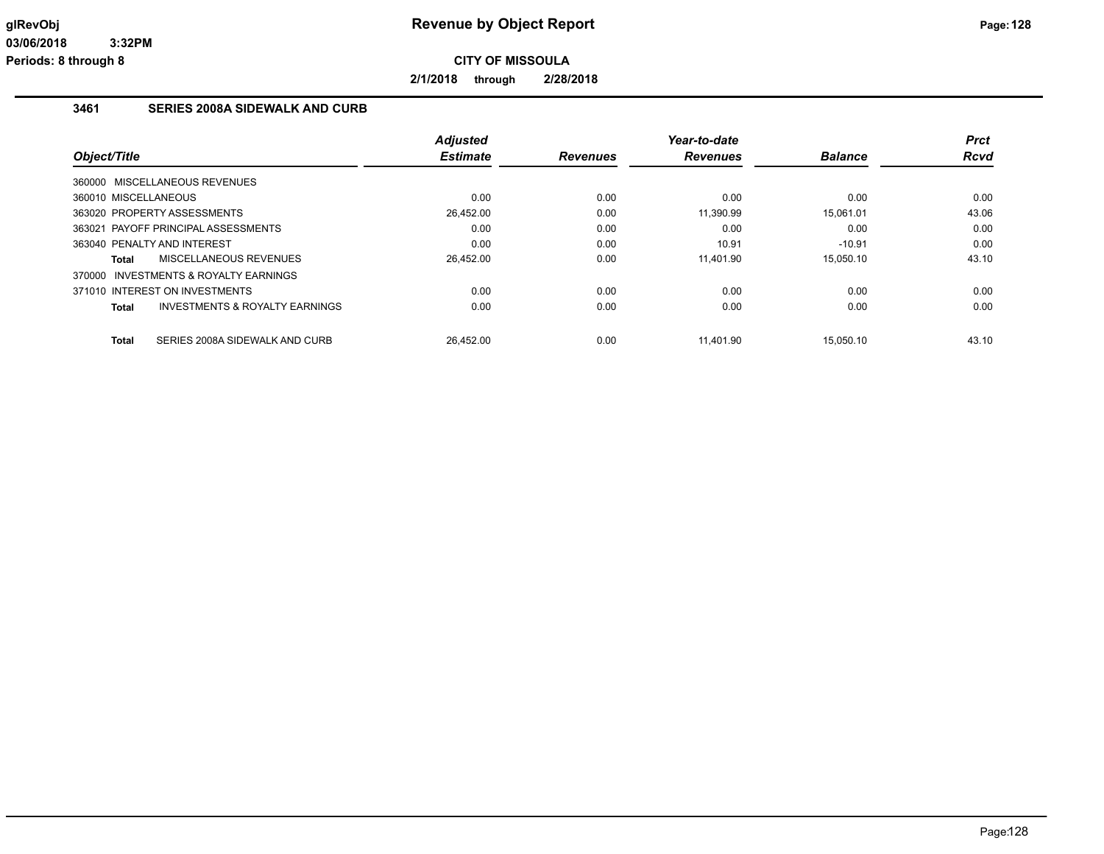**2/1/2018 through 2/28/2018**

### **3461 SERIES 2008A SIDEWALK AND CURB**

| Object/Title         |                                       | <b>Adjusted</b><br><b>Estimate</b> | <b>Revenues</b> | Year-to-date<br><b>Revenues</b> | <b>Balance</b> | Prct<br><b>Rcvd</b> |
|----------------------|---------------------------------------|------------------------------------|-----------------|---------------------------------|----------------|---------------------|
|                      |                                       |                                    |                 |                                 |                |                     |
|                      | 360000 MISCELLANEOUS REVENUES         |                                    |                 |                                 |                |                     |
| 360010 MISCELLANEOUS |                                       | 0.00                               | 0.00            | 0.00                            | 0.00           | 0.00                |
|                      | 363020 PROPERTY ASSESSMENTS           | 26,452.00                          | 0.00            | 11,390.99                       | 15.061.01      | 43.06               |
|                      | 363021 PAYOFF PRINCIPAL ASSESSMENTS   | 0.00                               | 0.00            | 0.00                            | 0.00           | 0.00                |
|                      | 363040 PENALTY AND INTEREST           | 0.00                               | 0.00            | 10.91                           | $-10.91$       | 0.00                |
| Total                | <b>MISCELLANEOUS REVENUES</b>         | 26,452.00                          | 0.00            | 11,401.90                       | 15.050.10      | 43.10               |
|                      | 370000 INVESTMENTS & ROYALTY EARNINGS |                                    |                 |                                 |                |                     |
|                      | 371010 INTEREST ON INVESTMENTS        | 0.00                               | 0.00            | 0.00                            | 0.00           | 0.00                |
| Total                | INVESTMENTS & ROYALTY EARNINGS        | 0.00                               | 0.00            | 0.00                            | 0.00           | 0.00                |
|                      |                                       |                                    |                 |                                 |                |                     |
| Total                | SERIES 2008A SIDEWALK AND CURB        | 26.452.00                          | 0.00            | 11.401.90                       | 15.050.10      | 43.10               |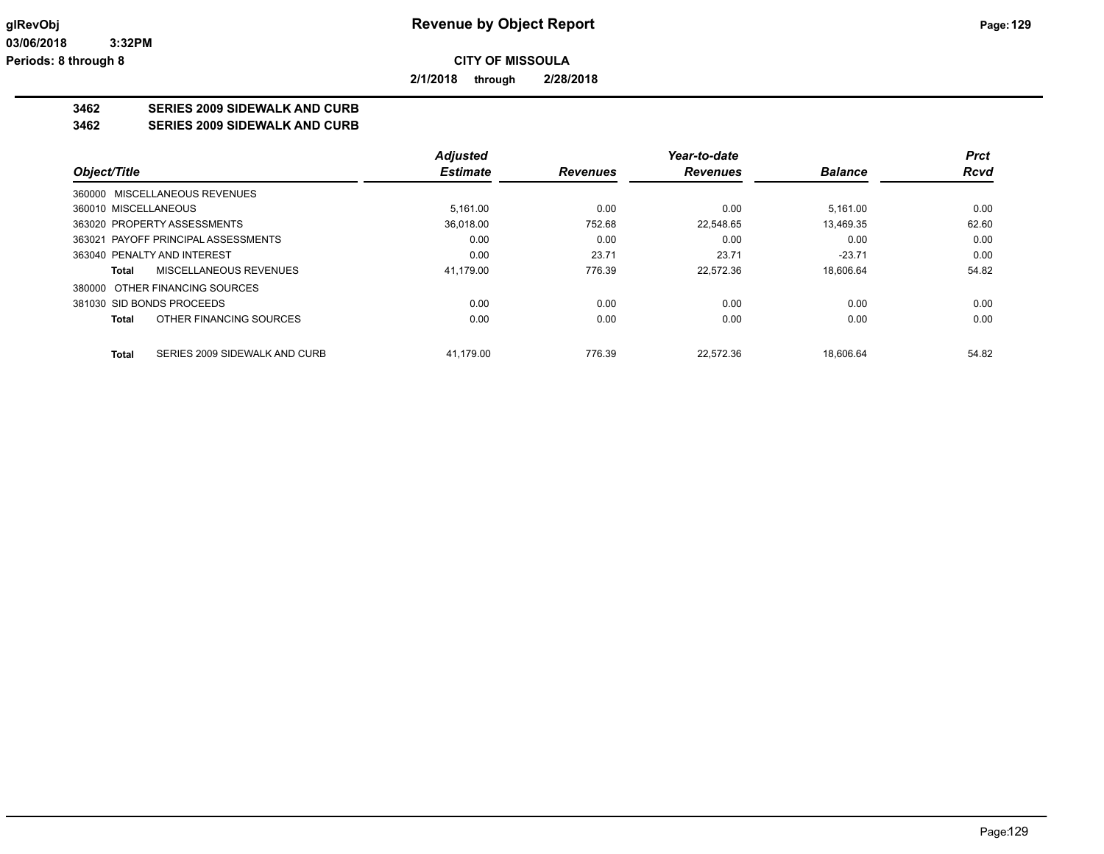**2/1/2018 through 2/28/2018**

# **3462 SERIES 2009 SIDEWALK AND CURB**

**3462 SERIES 2009 SIDEWALK AND CURB**

|                                        | <b>Adjusted</b> |                 | Year-to-date    |                | Prct        |
|----------------------------------------|-----------------|-----------------|-----------------|----------------|-------------|
| Object/Title                           | <b>Estimate</b> | <b>Revenues</b> | <b>Revenues</b> | <b>Balance</b> | <b>Rcvd</b> |
| 360000 MISCELLANEOUS REVENUES          |                 |                 |                 |                |             |
| 360010 MISCELLANEOUS                   | 5.161.00        | 0.00            | 0.00            | 5.161.00       | 0.00        |
| 363020 PROPERTY ASSESSMENTS            | 36.018.00       | 752.68          | 22.548.65       | 13.469.35      | 62.60       |
| 363021 PAYOFF PRINCIPAL ASSESSMENTS    | 0.00            | 0.00            | 0.00            | 0.00           | 0.00        |
| 363040 PENALTY AND INTEREST            | 0.00            | 23.71           | 23.71           | $-23.71$       | 0.00        |
| MISCELLANEOUS REVENUES<br>Total        | 41.179.00       | 776.39          | 22.572.36       | 18.606.64      | 54.82       |
| 380000 OTHER FINANCING SOURCES         |                 |                 |                 |                |             |
| 381030 SID BONDS PROCEEDS              | 0.00            | 0.00            | 0.00            | 0.00           | 0.00        |
| OTHER FINANCING SOURCES<br>Total       | 0.00            | 0.00            | 0.00            | 0.00           | 0.00        |
| Total<br>SERIES 2009 SIDEWALK AND CURB | 41.179.00       | 776.39          | 22.572.36       | 18.606.64      | 54.82       |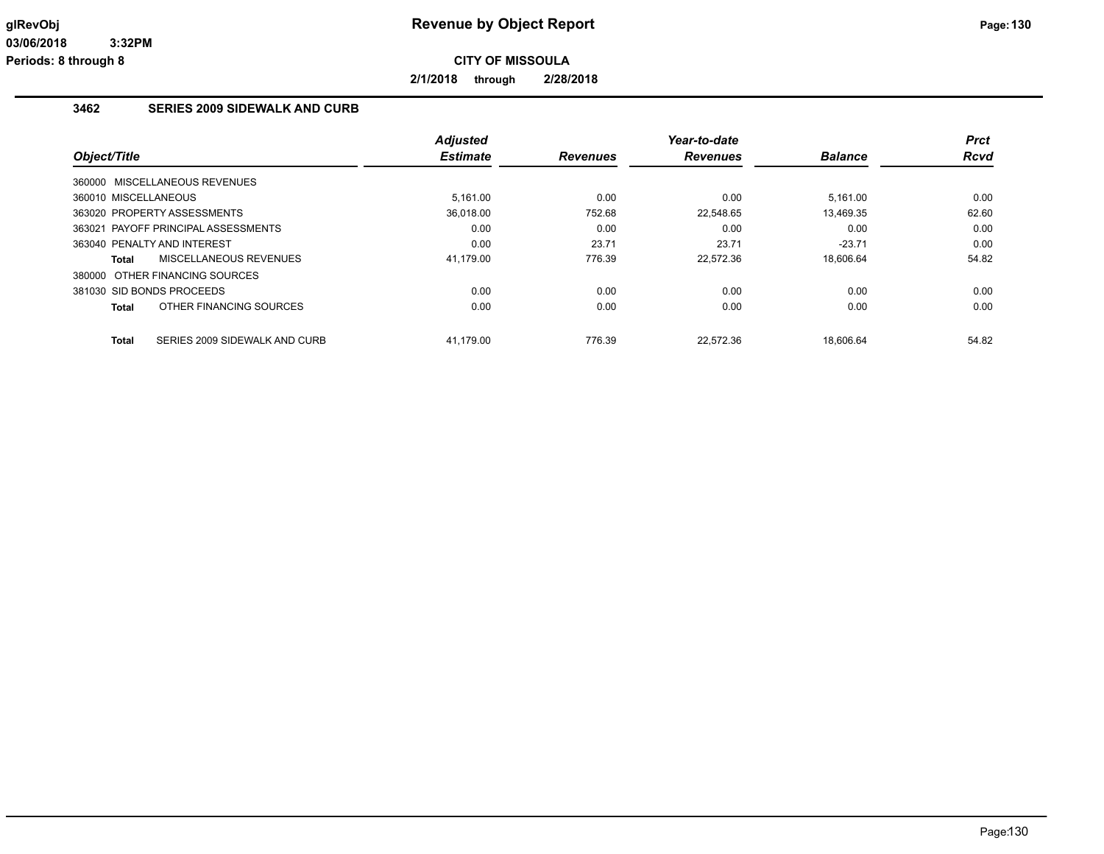**2/1/2018 through 2/28/2018**

# **3462 SERIES 2009 SIDEWALK AND CURB**

| Object/Title                                  | <b>Adjusted</b><br><b>Estimate</b> | <b>Revenues</b> | Year-to-date<br><b>Revenues</b> | <b>Balance</b> | <b>Prct</b><br>Rcvd |
|-----------------------------------------------|------------------------------------|-----------------|---------------------------------|----------------|---------------------|
| 360000 MISCELLANEOUS REVENUES                 |                                    |                 |                                 |                |                     |
| 360010 MISCELLANEOUS                          | 5.161.00                           | 0.00            | 0.00                            | 5.161.00       | 0.00                |
| 363020 PROPERTY ASSESSMENTS                   | 36.018.00                          | 752.68          | 22.548.65                       | 13.469.35      | 62.60               |
| 363021 PAYOFF PRINCIPAL ASSESSMENTS           | 0.00                               | 0.00            | 0.00                            | 0.00           | 0.00                |
| 363040 PENALTY AND INTEREST                   | 0.00                               | 23.71           | 23.71                           | $-23.71$       | 0.00                |
| MISCELLANEOUS REVENUES<br>Total               | 41,179.00                          | 776.39          | 22,572.36                       | 18,606.64      | 54.82               |
| 380000 OTHER FINANCING SOURCES                |                                    |                 |                                 |                |                     |
| 381030 SID BONDS PROCEEDS                     | 0.00                               | 0.00            | 0.00                            | 0.00           | 0.00                |
| OTHER FINANCING SOURCES<br><b>Total</b>       | 0.00                               | 0.00            | 0.00                            | 0.00           | 0.00                |
| SERIES 2009 SIDEWALK AND CURB<br><b>Total</b> | 41.179.00                          | 776.39          | 22.572.36                       | 18.606.64      | 54.82               |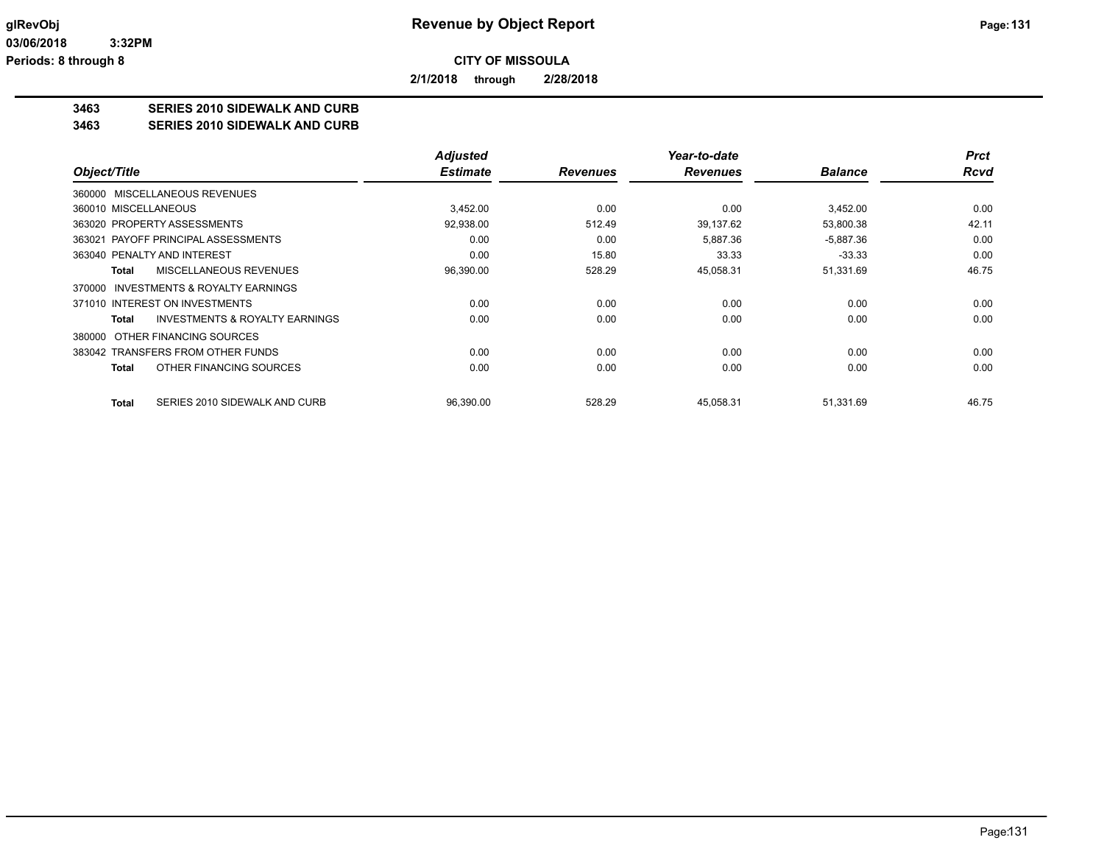**2/1/2018 through 2/28/2018**

# **3463 SERIES 2010 SIDEWALK AND CURB**

**3463 SERIES 2010 SIDEWALK AND CURB**

|                                                    | <b>Adjusted</b> |                 | Year-to-date    |                | <b>Prct</b> |
|----------------------------------------------------|-----------------|-----------------|-----------------|----------------|-------------|
| Object/Title                                       | <b>Estimate</b> | <b>Revenues</b> | <b>Revenues</b> | <b>Balance</b> | <b>Rcvd</b> |
| 360000 MISCELLANEOUS REVENUES                      |                 |                 |                 |                |             |
| 360010 MISCELLANEOUS                               | 3.452.00        | 0.00            | 0.00            | 3,452.00       | 0.00        |
| 363020 PROPERTY ASSESSMENTS                        | 92,938.00       | 512.49          | 39,137.62       | 53,800.38      | 42.11       |
| 363021 PAYOFF PRINCIPAL ASSESSMENTS                | 0.00            | 0.00            | 5,887.36        | $-5,887.36$    | 0.00        |
| 363040 PENALTY AND INTEREST                        | 0.00            | 15.80           | 33.33           | $-33.33$       | 0.00        |
| MISCELLANEOUS REVENUES<br>Total                    | 96,390.00       | 528.29          | 45,058.31       | 51,331.69      | 46.75       |
| INVESTMENTS & ROYALTY EARNINGS<br>370000           |                 |                 |                 |                |             |
| 371010 INTEREST ON INVESTMENTS                     | 0.00            | 0.00            | 0.00            | 0.00           | 0.00        |
| <b>INVESTMENTS &amp; ROYALTY EARNINGS</b><br>Total | 0.00            | 0.00            | 0.00            | 0.00           | 0.00        |
| OTHER FINANCING SOURCES<br>380000                  |                 |                 |                 |                |             |
| 383042 TRANSFERS FROM OTHER FUNDS                  | 0.00            | 0.00            | 0.00            | 0.00           | 0.00        |
| OTHER FINANCING SOURCES<br>Total                   | 0.00            | 0.00            | 0.00            | 0.00           | 0.00        |
| SERIES 2010 SIDEWALK AND CURB<br><b>Total</b>      | 96,390.00       | 528.29          | 45,058.31       | 51,331.69      | 46.75       |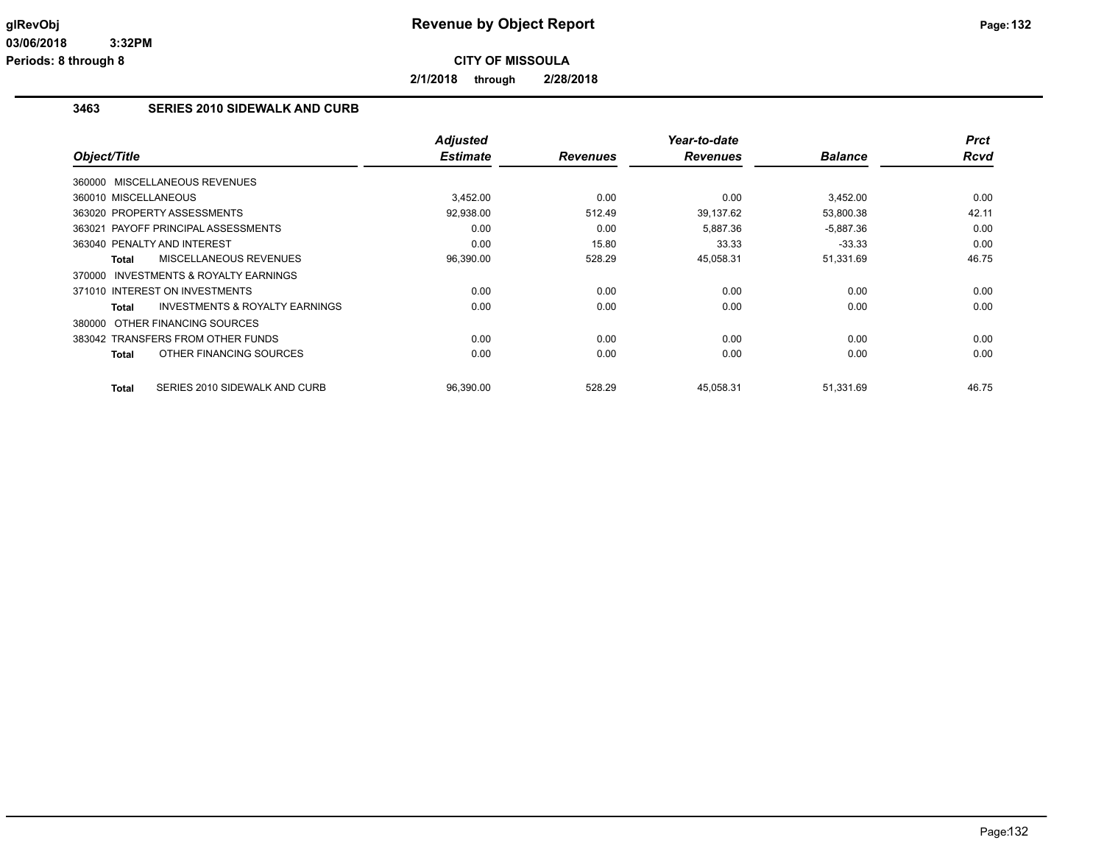**2/1/2018 through 2/28/2018**

### **3463 SERIES 2010 SIDEWALK AND CURB**

| Object/Title                                       | <b>Adjusted</b><br><b>Estimate</b> | <b>Revenues</b> | Year-to-date<br><b>Revenues</b> | <b>Balance</b> | <b>Prct</b><br><b>Rcvd</b> |
|----------------------------------------------------|------------------------------------|-----------------|---------------------------------|----------------|----------------------------|
|                                                    |                                    |                 |                                 |                |                            |
| 360000 MISCELLANEOUS REVENUES                      |                                    |                 |                                 |                |                            |
| 360010 MISCELLANEOUS                               | 3,452.00                           | 0.00            | 0.00                            | 3,452.00       | 0.00                       |
| 363020 PROPERTY ASSESSMENTS                        | 92,938.00                          | 512.49          | 39,137.62                       | 53,800.38      | 42.11                      |
| 363021 PAYOFF PRINCIPAL ASSESSMENTS                | 0.00                               | 0.00            | 5.887.36                        | $-5,887.36$    | 0.00                       |
| 363040 PENALTY AND INTEREST                        | 0.00                               | 15.80           | 33.33                           | $-33.33$       | 0.00                       |
| <b>MISCELLANEOUS REVENUES</b><br><b>Total</b>      | 96,390.00                          | 528.29          | 45,058.31                       | 51,331.69      | 46.75                      |
| INVESTMENTS & ROYALTY EARNINGS<br>370000           |                                    |                 |                                 |                |                            |
| 371010 INTEREST ON INVESTMENTS                     | 0.00                               | 0.00            | 0.00                            | 0.00           | 0.00                       |
| <b>INVESTMENTS &amp; ROYALTY EARNINGS</b><br>Total | 0.00                               | 0.00            | 0.00                            | 0.00           | 0.00                       |
| 380000 OTHER FINANCING SOURCES                     |                                    |                 |                                 |                |                            |
| 383042 TRANSFERS FROM OTHER FUNDS                  | 0.00                               | 0.00            | 0.00                            | 0.00           | 0.00                       |
| OTHER FINANCING SOURCES<br><b>Total</b>            | 0.00                               | 0.00            | 0.00                            | 0.00           | 0.00                       |
|                                                    |                                    |                 |                                 |                |                            |
| <b>Total</b><br>SERIES 2010 SIDEWALK AND CURB      | 96,390.00                          | 528.29          | 45,058.31                       | 51,331.69      | 46.75                      |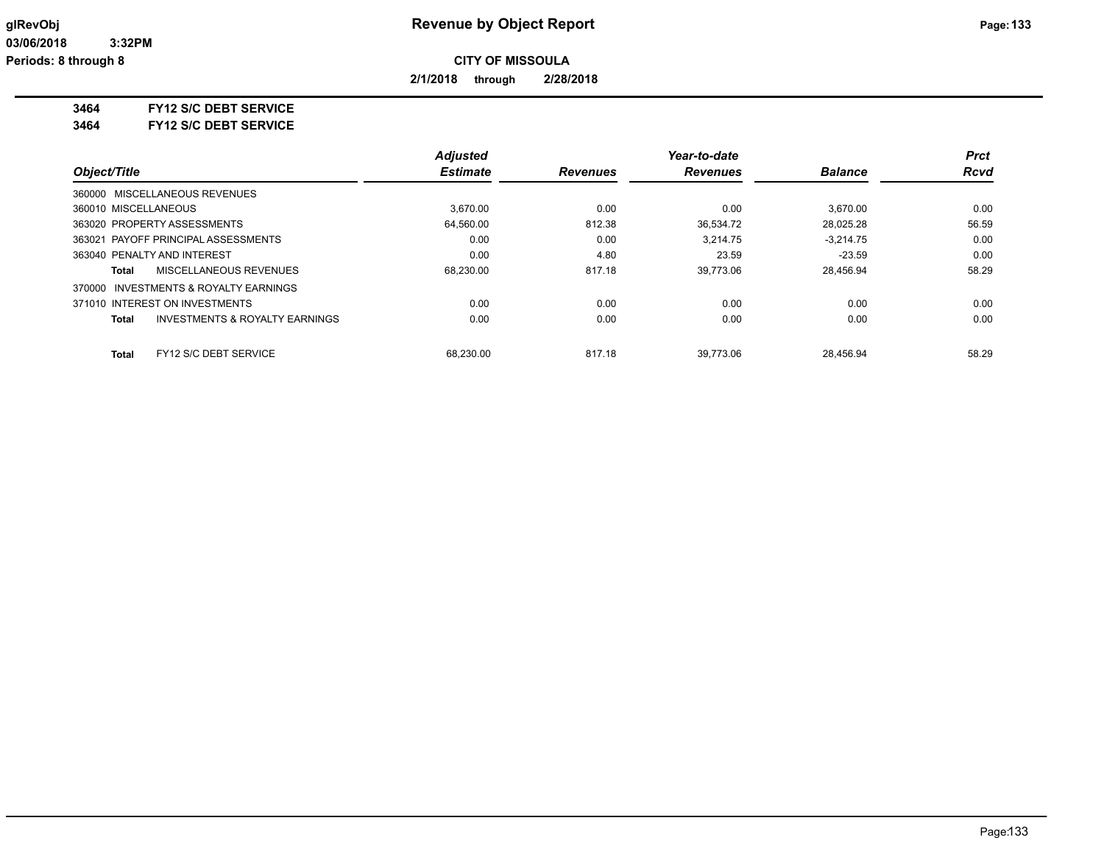**2/1/2018 through 2/28/2018**

**3464 FY12 S/C DEBT SERVICE**

**3464 FY12 S/C DEBT SERVICE**

|                                                           | <b>Adjusted</b> |                 | Year-to-date    |                | Prct        |
|-----------------------------------------------------------|-----------------|-----------------|-----------------|----------------|-------------|
| Object/Title                                              | <b>Estimate</b> | <b>Revenues</b> | <b>Revenues</b> | <b>Balance</b> | <b>Rcvd</b> |
| 360000 MISCELLANEOUS REVENUES                             |                 |                 |                 |                |             |
| 360010 MISCELLANEOUS                                      | 3.670.00        | 0.00            | 0.00            | 3.670.00       | 0.00        |
| 363020 PROPERTY ASSESSMENTS                               | 64.560.00       | 812.38          | 36.534.72       | 28.025.28      | 56.59       |
| 363021 PAYOFF PRINCIPAL ASSESSMENTS                       | 0.00            | 0.00            | 3,214.75        | $-3,214.75$    | 0.00        |
| 363040 PENALTY AND INTEREST                               | 0.00            | 4.80            | 23.59           | $-23.59$       | 0.00        |
| MISCELLANEOUS REVENUES<br>Total                           | 68,230.00       | 817.18          | 39.773.06       | 28.456.94      | 58.29       |
| INVESTMENTS & ROYALTY EARNINGS<br>370000                  |                 |                 |                 |                |             |
| 371010 INTEREST ON INVESTMENTS                            | 0.00            | 0.00            | 0.00            | 0.00           | 0.00        |
| <b>INVESTMENTS &amp; ROYALTY EARNINGS</b><br><b>Total</b> | 0.00            | 0.00            | 0.00            | 0.00           | 0.00        |
| FY12 S/C DEBT SERVICE<br>Total                            | 68.230.00       | 817.18          | 39.773.06       | 28.456.94      | 58.29       |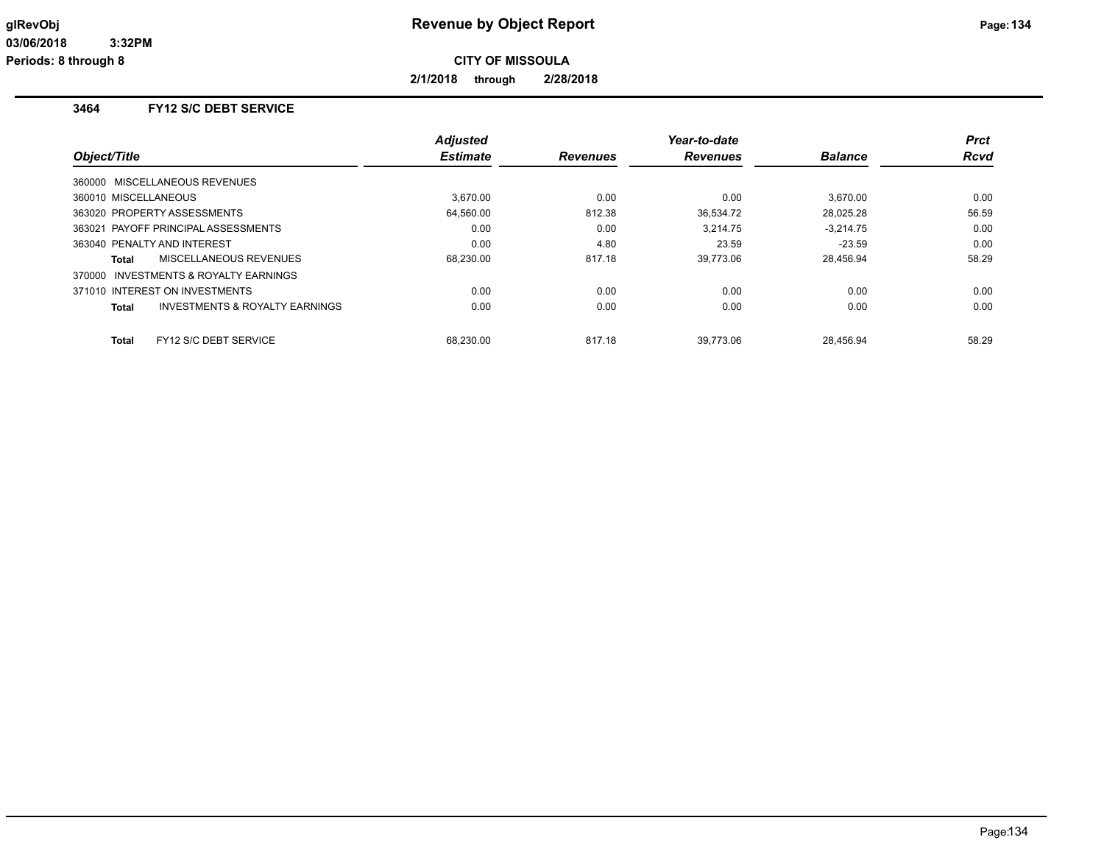**2/1/2018 through 2/28/2018**

# **3464 FY12 S/C DEBT SERVICE**

| Object/Title                                       | <b>Adjusted</b><br><b>Estimate</b> | <b>Revenues</b> | Year-to-date<br><b>Revenues</b> | <b>Balance</b> | <b>Prct</b><br><b>Rcvd</b> |
|----------------------------------------------------|------------------------------------|-----------------|---------------------------------|----------------|----------------------------|
|                                                    |                                    |                 |                                 |                |                            |
| 360000 MISCELLANEOUS REVENUES                      |                                    |                 |                                 |                |                            |
| 360010 MISCELLANEOUS                               | 3.670.00                           | 0.00            | 0.00                            | 3.670.00       | 0.00                       |
| 363020 PROPERTY ASSESSMENTS                        | 64.560.00                          | 812.38          | 36,534.72                       | 28,025.28      | 56.59                      |
| 363021 PAYOFF PRINCIPAL ASSESSMENTS                | 0.00                               | 0.00            | 3.214.75                        | $-3.214.75$    | 0.00                       |
| 363040 PENALTY AND INTEREST                        | 0.00                               | 4.80            | 23.59                           | $-23.59$       | 0.00                       |
| MISCELLANEOUS REVENUES<br>Total                    | 68,230.00                          | 817.18          | 39.773.06                       | 28.456.94      | 58.29                      |
| 370000 INVESTMENTS & ROYALTY EARNINGS              |                                    |                 |                                 |                |                            |
| 371010 INTEREST ON INVESTMENTS                     | 0.00                               | 0.00            | 0.00                            | 0.00           | 0.00                       |
| <b>INVESTMENTS &amp; ROYALTY EARNINGS</b><br>Total | 0.00                               | 0.00            | 0.00                            | 0.00           | 0.00                       |
|                                                    |                                    |                 |                                 |                |                            |
| FY12 S/C DEBT SERVICE<br>Total                     | 68.230.00                          | 817.18          | 39.773.06                       | 28.456.94      | 58.29                      |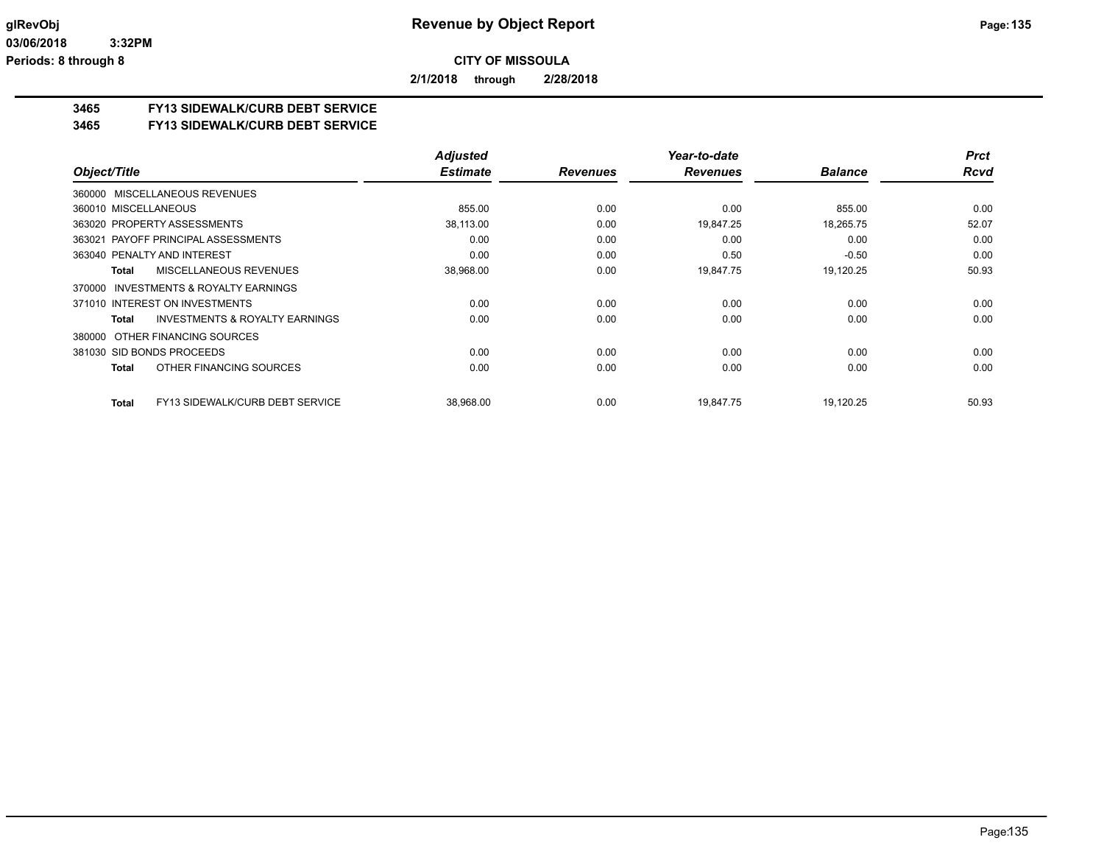**2/1/2018 through 2/28/2018**

### **3465 FY13 SIDEWALK/CURB DEBT SERVICE**

#### **3465 FY13 SIDEWALK/CURB DEBT SERVICE**

|                                                        | <b>Adjusted</b> |                 | Year-to-date    |                | <b>Prct</b> |
|--------------------------------------------------------|-----------------|-----------------|-----------------|----------------|-------------|
| Object/Title                                           | <b>Estimate</b> | <b>Revenues</b> | <b>Revenues</b> | <b>Balance</b> | <b>Rcvd</b> |
| 360000 MISCELLANEOUS REVENUES                          |                 |                 |                 |                |             |
| 360010 MISCELLANEOUS                                   | 855.00          | 0.00            | 0.00            | 855.00         | 0.00        |
| 363020 PROPERTY ASSESSMENTS                            | 38,113.00       | 0.00            | 19,847.25       | 18,265.75      | 52.07       |
| 363021 PAYOFF PRINCIPAL ASSESSMENTS                    | 0.00            | 0.00            | 0.00            | 0.00           | 0.00        |
| 363040 PENALTY AND INTEREST                            | 0.00            | 0.00            | 0.50            | $-0.50$        | 0.00        |
| <b>MISCELLANEOUS REVENUES</b><br><b>Total</b>          | 38,968.00       | 0.00            | 19,847.75       | 19,120.25      | 50.93       |
| INVESTMENTS & ROYALTY EARNINGS<br>370000               |                 |                 |                 |                |             |
| 371010 INTEREST ON INVESTMENTS                         | 0.00            | 0.00            | 0.00            | 0.00           | 0.00        |
| <b>INVESTMENTS &amp; ROYALTY EARNINGS</b><br>Total     | 0.00            | 0.00            | 0.00            | 0.00           | 0.00        |
| OTHER FINANCING SOURCES<br>380000                      |                 |                 |                 |                |             |
| 381030 SID BONDS PROCEEDS                              | 0.00            | 0.00            | 0.00            | 0.00           | 0.00        |
| OTHER FINANCING SOURCES<br><b>Total</b>                | 0.00            | 0.00            | 0.00            | 0.00           | 0.00        |
| <b>FY13 SIDEWALK/CURB DEBT SERVICE</b><br><b>Total</b> | 38,968.00       | 0.00            | 19,847.75       | 19,120.25      | 50.93       |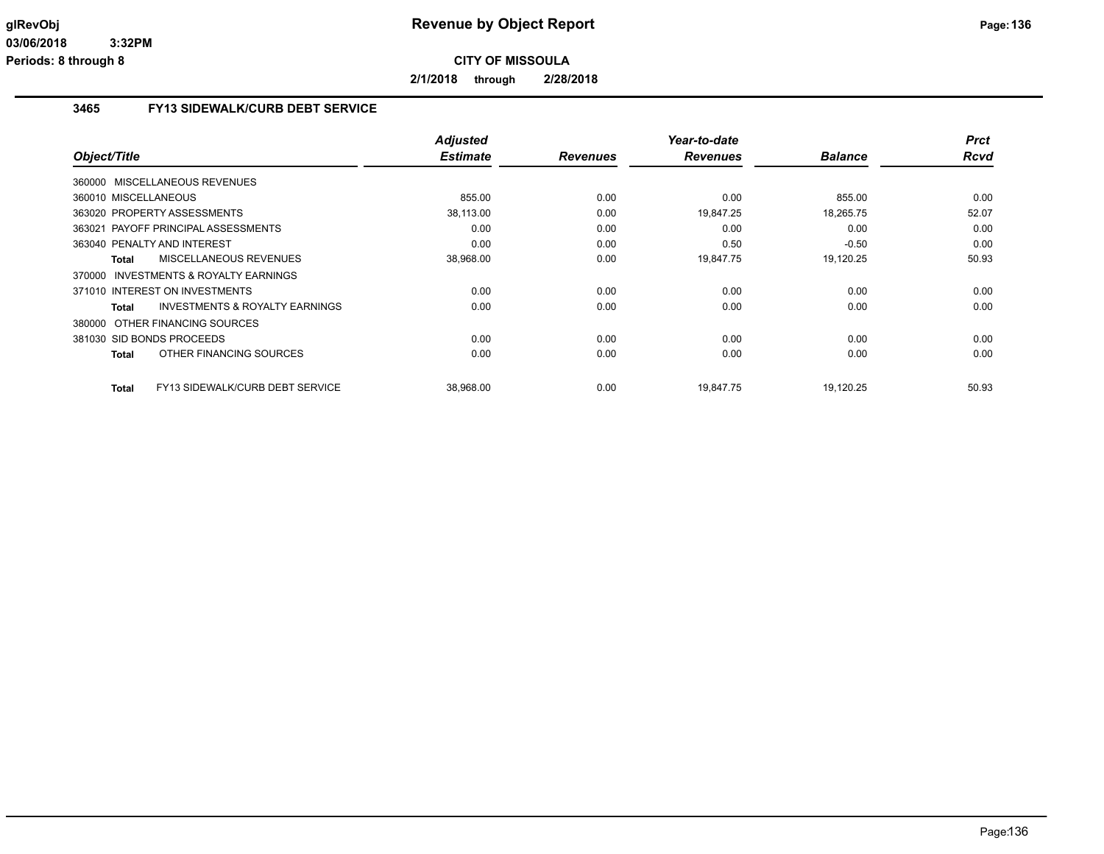**2/1/2018 through 2/28/2018**

# **3465 FY13 SIDEWALK/CURB DEBT SERVICE**

| Object/Title                                       | <b>Adjusted</b><br><b>Estimate</b> | <b>Revenues</b> | Year-to-date<br><b>Revenues</b> | <b>Balance</b> | <b>Prct</b><br><b>Rcvd</b> |
|----------------------------------------------------|------------------------------------|-----------------|---------------------------------|----------------|----------------------------|
|                                                    |                                    |                 |                                 |                |                            |
| 360000 MISCELLANEOUS REVENUES                      |                                    |                 |                                 |                |                            |
| 360010 MISCELLANEOUS                               | 855.00                             | 0.00            | 0.00                            | 855.00         | 0.00                       |
| 363020 PROPERTY ASSESSMENTS                        | 38.113.00                          | 0.00            | 19.847.25                       | 18,265.75      | 52.07                      |
| 363021 PAYOFF PRINCIPAL ASSESSMENTS                | 0.00                               | 0.00            | 0.00                            | 0.00           | 0.00                       |
| 363040 PENALTY AND INTEREST                        | 0.00                               | 0.00            | 0.50                            | $-0.50$        | 0.00                       |
| MISCELLANEOUS REVENUES<br><b>Total</b>             | 38,968.00                          | 0.00            | 19,847.75                       | 19,120.25      | 50.93                      |
| 370000 INVESTMENTS & ROYALTY EARNINGS              |                                    |                 |                                 |                |                            |
| 371010 INTEREST ON INVESTMENTS                     | 0.00                               | 0.00            | 0.00                            | 0.00           | 0.00                       |
| <b>INVESTMENTS &amp; ROYALTY EARNINGS</b><br>Total | 0.00                               | 0.00            | 0.00                            | 0.00           | 0.00                       |
| 380000 OTHER FINANCING SOURCES                     |                                    |                 |                                 |                |                            |
| 381030 SID BONDS PROCEEDS                          | 0.00                               | 0.00            | 0.00                            | 0.00           | 0.00                       |
| OTHER FINANCING SOURCES<br><b>Total</b>            | 0.00                               | 0.00            | 0.00                            | 0.00           | 0.00                       |
|                                                    |                                    |                 |                                 |                |                            |
| FY13 SIDEWALK/CURB DEBT SERVICE<br><b>Total</b>    | 38,968.00                          | 0.00            | 19.847.75                       | 19,120.25      | 50.93                      |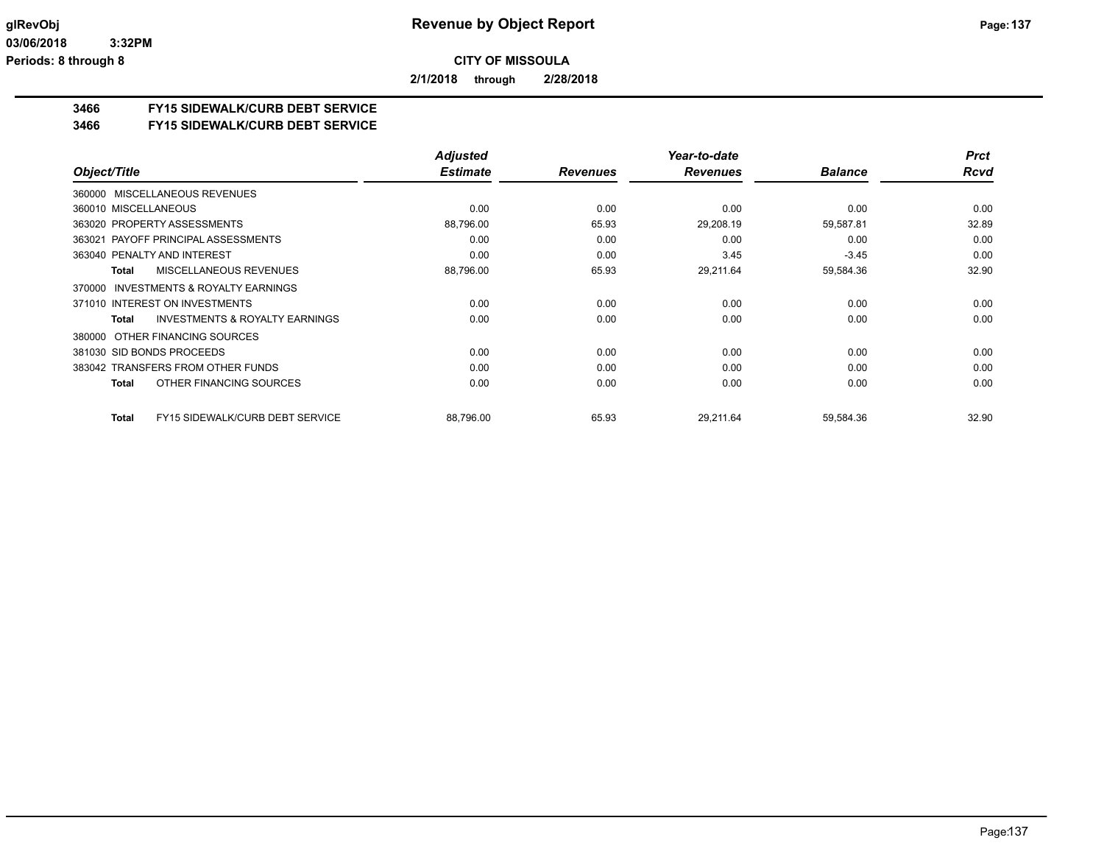**2/1/2018 through 2/28/2018**

### **3466 FY15 SIDEWALK/CURB DEBT SERVICE**

#### **3466 FY15 SIDEWALK/CURB DEBT SERVICE**

|                                                        | <b>Adjusted</b> |                 | Year-to-date    |                | <b>Prct</b> |
|--------------------------------------------------------|-----------------|-----------------|-----------------|----------------|-------------|
| Object/Title                                           | <b>Estimate</b> | <b>Revenues</b> | <b>Revenues</b> | <b>Balance</b> | <b>Rcvd</b> |
| 360000 MISCELLANEOUS REVENUES                          |                 |                 |                 |                |             |
| 360010 MISCELLANEOUS                                   | 0.00            | 0.00            | 0.00            | 0.00           | 0.00        |
| 363020 PROPERTY ASSESSMENTS                            | 88,796.00       | 65.93           | 29,208.19       | 59,587.81      | 32.89       |
| 363021 PAYOFF PRINCIPAL ASSESSMENTS                    | 0.00            | 0.00            | 0.00            | 0.00           | 0.00        |
| 363040 PENALTY AND INTEREST                            | 0.00            | 0.00            | 3.45            | $-3.45$        | 0.00        |
| MISCELLANEOUS REVENUES<br>Total                        | 88,796.00       | 65.93           | 29,211.64       | 59,584.36      | 32.90       |
| INVESTMENTS & ROYALTY EARNINGS<br>370000               |                 |                 |                 |                |             |
| 371010 INTEREST ON INVESTMENTS                         | 0.00            | 0.00            | 0.00            | 0.00           | 0.00        |
| <b>INVESTMENTS &amp; ROYALTY EARNINGS</b><br>Total     | 0.00            | 0.00            | 0.00            | 0.00           | 0.00        |
| 380000 OTHER FINANCING SOURCES                         |                 |                 |                 |                |             |
| 381030 SID BONDS PROCEEDS                              | 0.00            | 0.00            | 0.00            | 0.00           | 0.00        |
| 383042 TRANSFERS FROM OTHER FUNDS                      | 0.00            | 0.00            | 0.00            | 0.00           | 0.00        |
| OTHER FINANCING SOURCES<br>Total                       | 0.00            | 0.00            | 0.00            | 0.00           | 0.00        |
| <b>FY15 SIDEWALK/CURB DEBT SERVICE</b><br><b>Total</b> | 88,796.00       | 65.93           | 29,211.64       | 59,584.36      | 32.90       |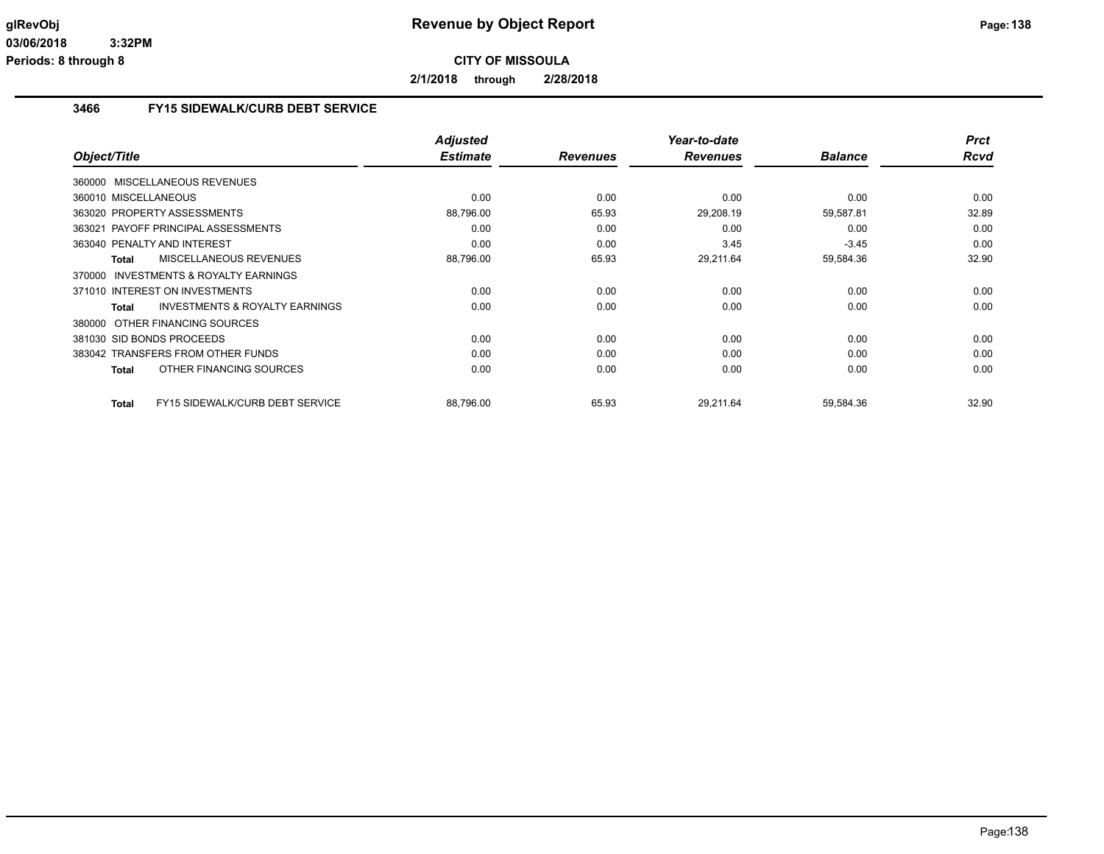**2/1/2018 through 2/28/2018**

# **3466 FY15 SIDEWALK/CURB DEBT SERVICE**

|                                                    | <b>Adjusted</b> |                 | Year-to-date    |                | <b>Prct</b> |
|----------------------------------------------------|-----------------|-----------------|-----------------|----------------|-------------|
| Object/Title                                       | <b>Estimate</b> | <b>Revenues</b> | <b>Revenues</b> | <b>Balance</b> | <b>Rcvd</b> |
| 360000 MISCELLANEOUS REVENUES                      |                 |                 |                 |                |             |
| 360010 MISCELLANEOUS                               | 0.00            | 0.00            | 0.00            | 0.00           | 0.00        |
| 363020 PROPERTY ASSESSMENTS                        | 88,796.00       | 65.93           | 29,208.19       | 59,587.81      | 32.89       |
| 363021 PAYOFF PRINCIPAL ASSESSMENTS                | 0.00            | 0.00            | 0.00            | 0.00           | 0.00        |
| 363040 PENALTY AND INTEREST                        | 0.00            | 0.00            | 3.45            | $-3.45$        | 0.00        |
| <b>MISCELLANEOUS REVENUES</b><br><b>Total</b>      | 88,796.00       | 65.93           | 29,211.64       | 59,584.36      | 32.90       |
| 370000 INVESTMENTS & ROYALTY EARNINGS              |                 |                 |                 |                |             |
| 371010 INTEREST ON INVESTMENTS                     | 0.00            | 0.00            | 0.00            | 0.00           | 0.00        |
| <b>INVESTMENTS &amp; ROYALTY EARNINGS</b><br>Total | 0.00            | 0.00            | 0.00            | 0.00           | 0.00        |
| 380000 OTHER FINANCING SOURCES                     |                 |                 |                 |                |             |
| 381030 SID BONDS PROCEEDS                          | 0.00            | 0.00            | 0.00            | 0.00           | 0.00        |
| 383042 TRANSFERS FROM OTHER FUNDS                  | 0.00            | 0.00            | 0.00            | 0.00           | 0.00        |
| OTHER FINANCING SOURCES<br><b>Total</b>            | 0.00            | 0.00            | 0.00            | 0.00           | 0.00        |
| FY15 SIDEWALK/CURB DEBT SERVICE<br><b>Total</b>    | 88.796.00       | 65.93           | 29.211.64       | 59,584.36      | 32.90       |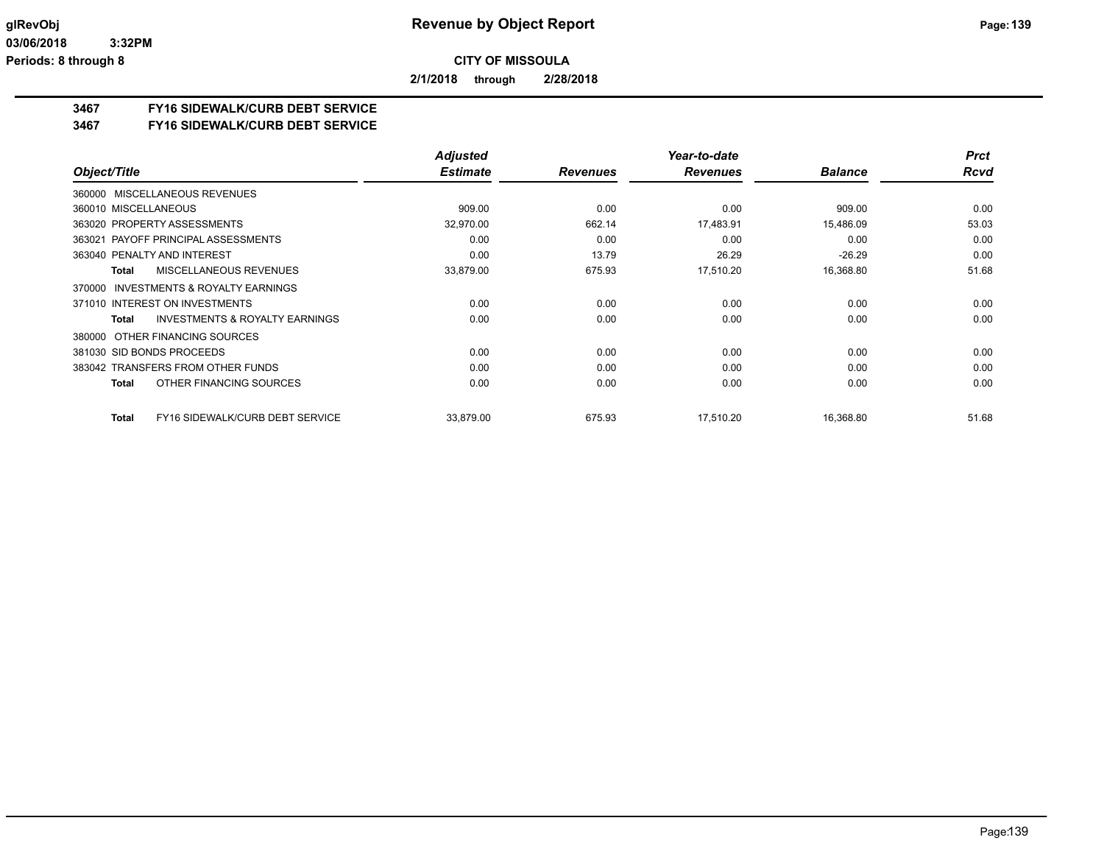**2/1/2018 through 2/28/2018**

### **3467 FY16 SIDEWALK/CURB DEBT SERVICE**

**3467 FY16 SIDEWALK/CURB DEBT SERVICE**

|                                                           | <b>Adjusted</b> |                 | Year-to-date    |                | <b>Prct</b> |
|-----------------------------------------------------------|-----------------|-----------------|-----------------|----------------|-------------|
| Object/Title                                              | <b>Estimate</b> | <b>Revenues</b> | <b>Revenues</b> | <b>Balance</b> | <b>Rcvd</b> |
| 360000 MISCELLANEOUS REVENUES                             |                 |                 |                 |                |             |
| 360010 MISCELLANEOUS                                      | 909.00          | 0.00            | 0.00            | 909.00         | 0.00        |
| 363020 PROPERTY ASSESSMENTS                               | 32,970.00       | 662.14          | 17,483.91       | 15,486.09      | 53.03       |
| 363021 PAYOFF PRINCIPAL ASSESSMENTS                       | 0.00            | 0.00            | 0.00            | 0.00           | 0.00        |
| 363040 PENALTY AND INTEREST                               | 0.00            | 13.79           | 26.29           | $-26.29$       | 0.00        |
| MISCELLANEOUS REVENUES<br><b>Total</b>                    | 33,879.00       | 675.93          | 17,510.20       | 16,368.80      | 51.68       |
| INVESTMENTS & ROYALTY EARNINGS<br>370000                  |                 |                 |                 |                |             |
| 371010 INTEREST ON INVESTMENTS                            | 0.00            | 0.00            | 0.00            | 0.00           | 0.00        |
| <b>INVESTMENTS &amp; ROYALTY EARNINGS</b><br><b>Total</b> | 0.00            | 0.00            | 0.00            | 0.00           | 0.00        |
| OTHER FINANCING SOURCES<br>380000                         |                 |                 |                 |                |             |
| 381030 SID BONDS PROCEEDS                                 | 0.00            | 0.00            | 0.00            | 0.00           | 0.00        |
| 383042 TRANSFERS FROM OTHER FUNDS                         | 0.00            | 0.00            | 0.00            | 0.00           | 0.00        |
| OTHER FINANCING SOURCES<br><b>Total</b>                   | 0.00            | 0.00            | 0.00            | 0.00           | 0.00        |
| FY16 SIDEWALK/CURB DEBT SERVICE<br><b>Total</b>           | 33.879.00       | 675.93          | 17.510.20       | 16,368.80      | 51.68       |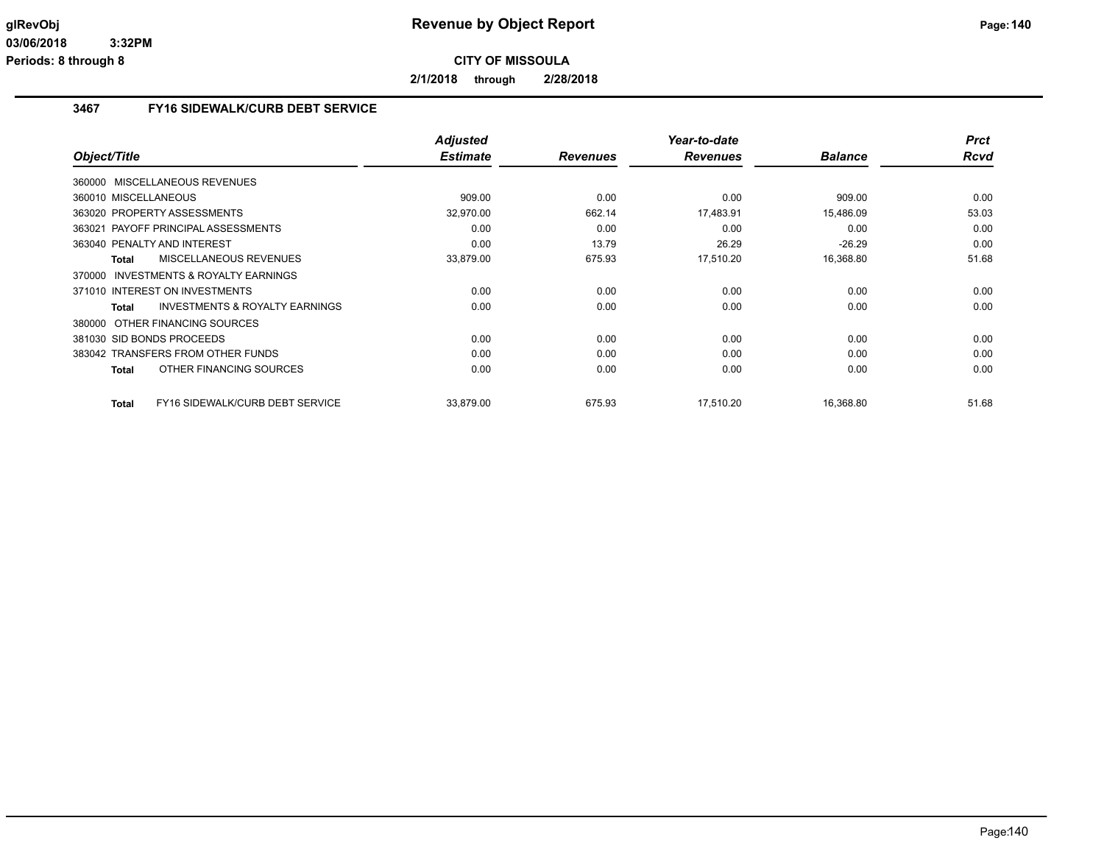**2/1/2018 through 2/28/2018**

# **3467 FY16 SIDEWALK/CURB DEBT SERVICE**

|                                                    | <b>Adjusted</b> |                 | Year-to-date    |                | <b>Prct</b> |
|----------------------------------------------------|-----------------|-----------------|-----------------|----------------|-------------|
| Object/Title                                       | <b>Estimate</b> | <b>Revenues</b> | <b>Revenues</b> | <b>Balance</b> | <b>Rcvd</b> |
| 360000 MISCELLANEOUS REVENUES                      |                 |                 |                 |                |             |
| 360010 MISCELLANEOUS                               | 909.00          | 0.00            | 0.00            | 909.00         | 0.00        |
| 363020 PROPERTY ASSESSMENTS                        | 32,970.00       | 662.14          | 17,483.91       | 15,486.09      | 53.03       |
| 363021 PAYOFF PRINCIPAL ASSESSMENTS                | 0.00            | 0.00            | 0.00            | 0.00           | 0.00        |
| 363040 PENALTY AND INTEREST                        | 0.00            | 13.79           | 26.29           | $-26.29$       | 0.00        |
| <b>MISCELLANEOUS REVENUES</b><br><b>Total</b>      | 33,879.00       | 675.93          | 17,510.20       | 16,368.80      | 51.68       |
| 370000 INVESTMENTS & ROYALTY EARNINGS              |                 |                 |                 |                |             |
| 371010 INTEREST ON INVESTMENTS                     | 0.00            | 0.00            | 0.00            | 0.00           | 0.00        |
| <b>INVESTMENTS &amp; ROYALTY EARNINGS</b><br>Total | 0.00            | 0.00            | 0.00            | 0.00           | 0.00        |
| 380000 OTHER FINANCING SOURCES                     |                 |                 |                 |                |             |
| 381030 SID BONDS PROCEEDS                          | 0.00            | 0.00            | 0.00            | 0.00           | 0.00        |
| 383042 TRANSFERS FROM OTHER FUNDS                  | 0.00            | 0.00            | 0.00            | 0.00           | 0.00        |
| OTHER FINANCING SOURCES<br><b>Total</b>            | 0.00            | 0.00            | 0.00            | 0.00           | 0.00        |
| FY16 SIDEWALK/CURB DEBT SERVICE<br><b>Total</b>    | 33.879.00       | 675.93          | 17.510.20       | 16.368.80      | 51.68       |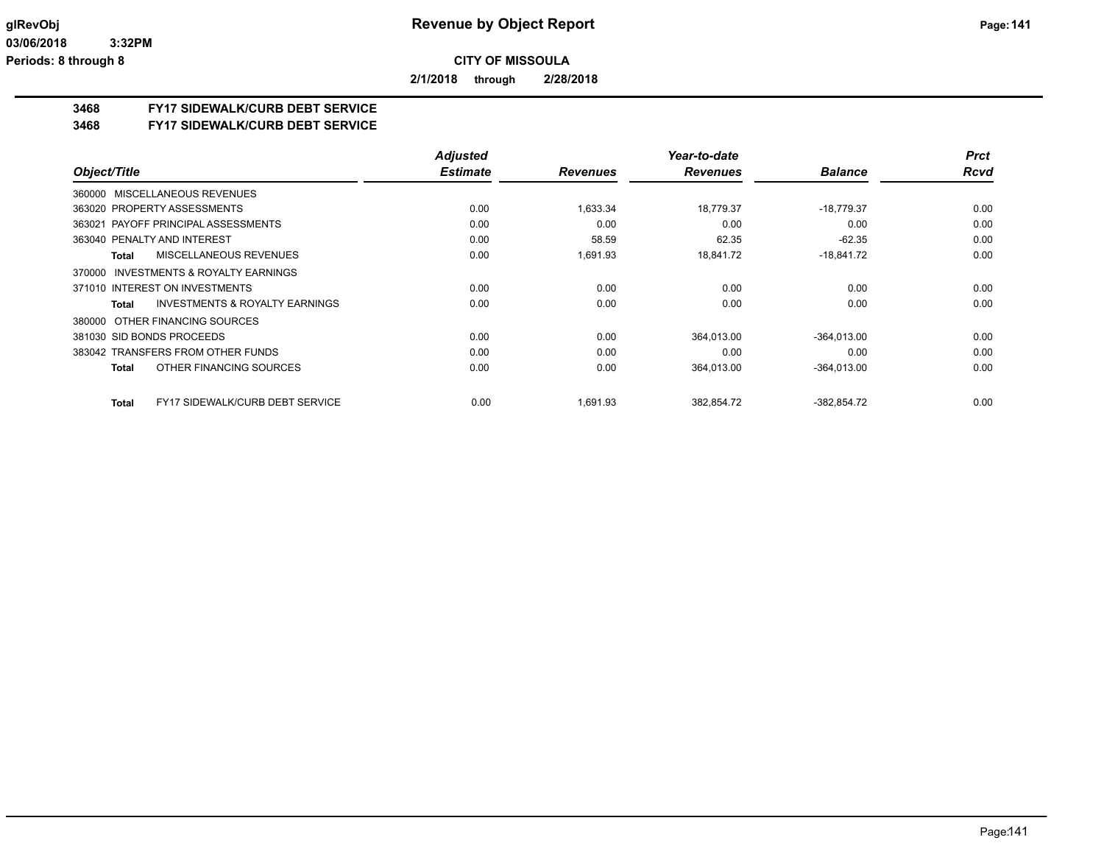**2/1/2018 through 2/28/2018**

### **3468 FY17 SIDEWALK/CURB DEBT SERVICE**

#### **3468 FY17 SIDEWALK/CURB DEBT SERVICE**

|                                                    | <b>Adjusted</b> |                 | Year-to-date    |                | <b>Prct</b> |
|----------------------------------------------------|-----------------|-----------------|-----------------|----------------|-------------|
| Object/Title                                       | <b>Estimate</b> | <b>Revenues</b> | <b>Revenues</b> | <b>Balance</b> | <b>Rcvd</b> |
| 360000 MISCELLANEOUS REVENUES                      |                 |                 |                 |                |             |
| 363020 PROPERTY ASSESSMENTS                        | 0.00            | 1,633.34        | 18,779.37       | $-18,779.37$   | 0.00        |
| 363021 PAYOFF PRINCIPAL ASSESSMENTS                | 0.00            | 0.00            | 0.00            | 0.00           | 0.00        |
| 363040 PENALTY AND INTEREST                        | 0.00            | 58.59           | 62.35           | $-62.35$       | 0.00        |
| MISCELLANEOUS REVENUES<br>Total                    | 0.00            | 1,691.93        | 18,841.72       | $-18,841.72$   | 0.00        |
| INVESTMENTS & ROYALTY EARNINGS<br>370000           |                 |                 |                 |                |             |
| 371010 INTEREST ON INVESTMENTS                     | 0.00            | 0.00            | 0.00            | 0.00           | 0.00        |
| <b>INVESTMENTS &amp; ROYALTY EARNINGS</b><br>Total | 0.00            | 0.00            | 0.00            | 0.00           | 0.00        |
| 380000 OTHER FINANCING SOURCES                     |                 |                 |                 |                |             |
| 381030 SID BONDS PROCEEDS                          | 0.00            | 0.00            | 364,013.00      | $-364.013.00$  | 0.00        |
| 383042 TRANSFERS FROM OTHER FUNDS                  | 0.00            | 0.00            | 0.00            | 0.00           | 0.00        |
| OTHER FINANCING SOURCES<br><b>Total</b>            | 0.00            | 0.00            | 364,013.00      | $-364,013.00$  | 0.00        |
| <b>FY17 SIDEWALK/CURB DEBT SERVICE</b><br>Total    | 0.00            | 1,691.93        | 382,854.72      | $-382,854.72$  | 0.00        |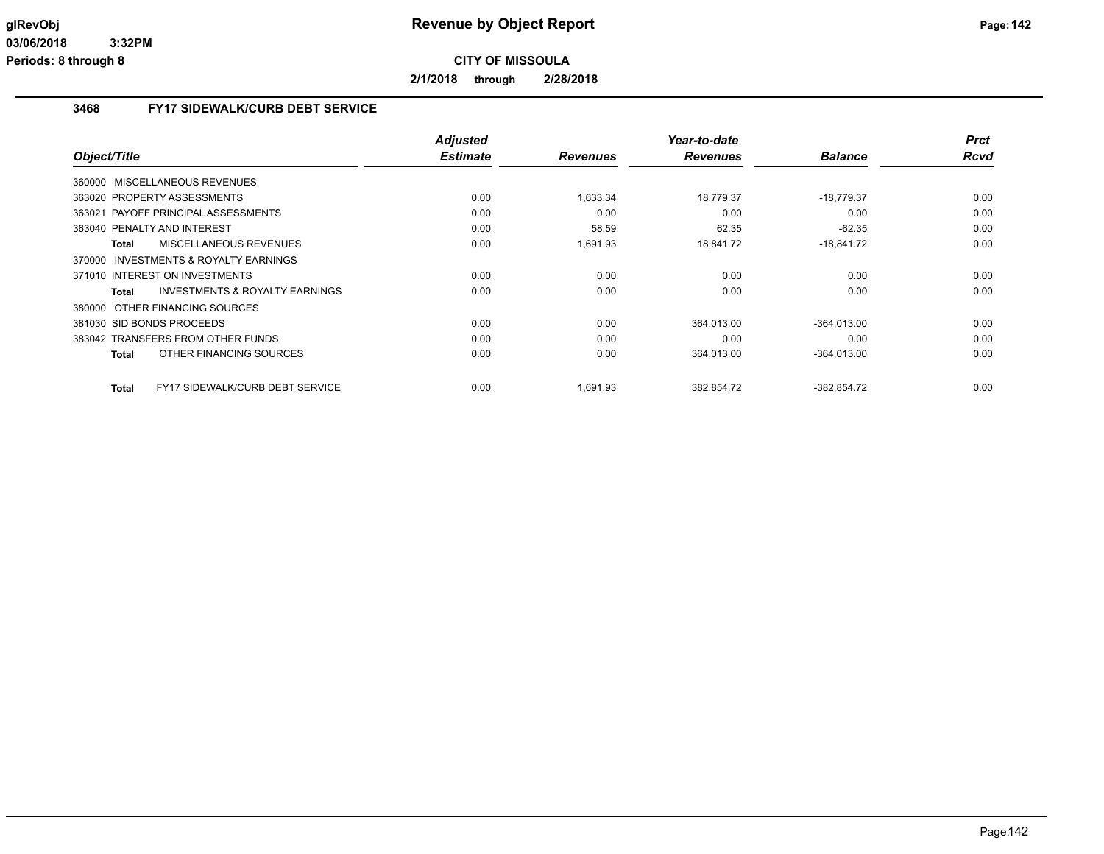**2/1/2018 through 2/28/2018**

# **3468 FY17 SIDEWALK/CURB DEBT SERVICE**

| Object/Title                                       | <b>Adjusted</b><br><b>Estimate</b> | <b>Revenues</b> | Year-to-date<br><b>Revenues</b> | <b>Balance</b> | <b>Prct</b><br>Rcvd |
|----------------------------------------------------|------------------------------------|-----------------|---------------------------------|----------------|---------------------|
| 360000 MISCELLANEOUS REVENUES                      |                                    |                 |                                 |                |                     |
| 363020 PROPERTY ASSESSMENTS                        | 0.00                               | 1,633.34        | 18,779.37                       | $-18,779.37$   | 0.00                |
| 363021 PAYOFF PRINCIPAL ASSESSMENTS                | 0.00                               | 0.00            | 0.00                            | 0.00           | 0.00                |
| 363040 PENALTY AND INTEREST                        | 0.00                               | 58.59           | 62.35                           | $-62.35$       | 0.00                |
|                                                    |                                    |                 |                                 |                | 0.00                |
| MISCELLANEOUS REVENUES<br>Total                    | 0.00                               | 1,691.93        | 18,841.72                       | $-18,841.72$   |                     |
| 370000 INVESTMENTS & ROYALTY EARNINGS              |                                    |                 |                                 |                |                     |
| 371010 INTEREST ON INVESTMENTS                     | 0.00                               | 0.00            | 0.00                            | 0.00           | 0.00                |
| <b>INVESTMENTS &amp; ROYALTY EARNINGS</b><br>Total | 0.00                               | 0.00            | 0.00                            | 0.00           | 0.00                |
| 380000 OTHER FINANCING SOURCES                     |                                    |                 |                                 |                |                     |
| 381030 SID BONDS PROCEEDS                          | 0.00                               | 0.00            | 364,013.00                      | $-364,013.00$  | 0.00                |
| 383042 TRANSFERS FROM OTHER FUNDS                  | 0.00                               | 0.00            | 0.00                            | 0.00           | 0.00                |
| OTHER FINANCING SOURCES<br>Total                   | 0.00                               | 0.00            | 364,013.00                      | $-364,013.00$  | 0.00                |
| <b>FY17 SIDEWALK/CURB DEBT SERVICE</b><br>Total    | 0.00                               | 1,691.93        | 382,854.72                      | $-382,854.72$  | 0.00                |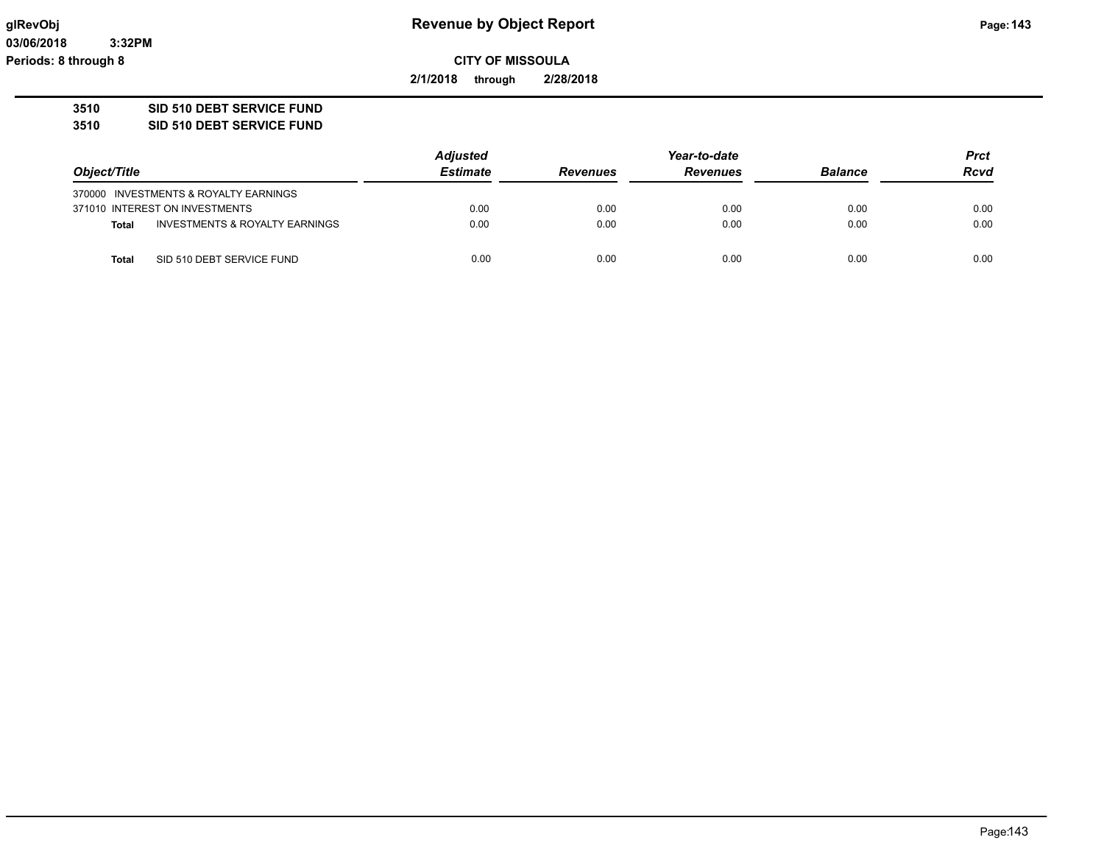**03/06/2018 3:32PM Periods: 8 through 8**

**CITY OF MISSOULA**

**2/1/2018 through 2/28/2018**

### **3510 SID 510 DEBT SERVICE FUND**

**3510 SID 510 DEBT SERVICE FUND**

|              |                                       | <b>Adjusted</b> |                 | <b>Prct</b>     |                |             |
|--------------|---------------------------------------|-----------------|-----------------|-----------------|----------------|-------------|
| Object/Title |                                       | <b>Estimate</b> | <b>Revenues</b> | <b>Revenues</b> | <b>Balance</b> | <b>Rcvd</b> |
|              | 370000 INVESTMENTS & ROYALTY EARNINGS |                 |                 |                 |                |             |
|              | 371010 INTEREST ON INVESTMENTS        | 0.00            | 0.00            | 0.00            | 0.00           | 0.00        |
| <b>Total</b> | INVESTMENTS & ROYALTY EARNINGS        | 0.00            | 0.00            | 0.00            | 0.00           | 0.00        |
| Total        | SID 510 DEBT SERVICE FUND             | 0.00            | 0.00            | 0.00            | 0.00           | 0.00        |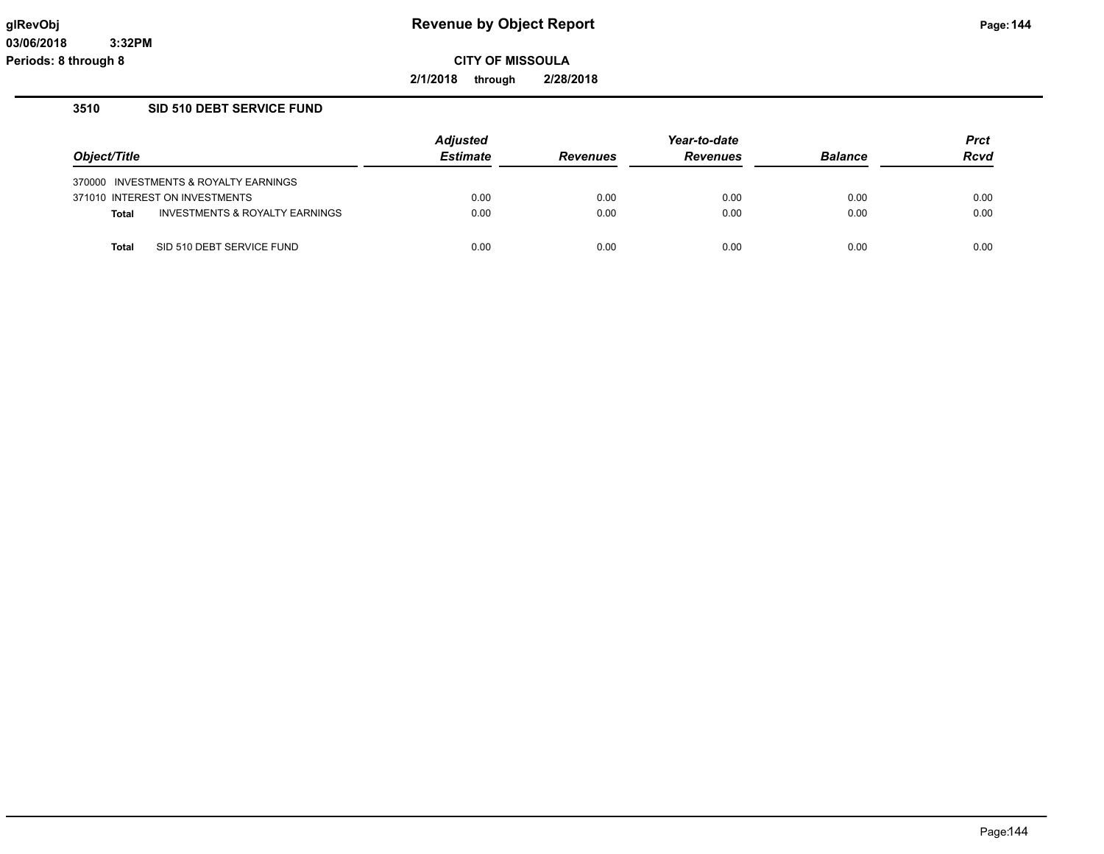**2/1/2018 through 2/28/2018**

### **3510 SID 510 DEBT SERVICE FUND**

|              |                                       | <b>Adjusted</b> |                 |                 | <b>Prct</b>    |             |
|--------------|---------------------------------------|-----------------|-----------------|-----------------|----------------|-------------|
| Object/Title |                                       | <b>Estimate</b> | <b>Revenues</b> | <b>Revenues</b> | <b>Balance</b> | <b>Rcvd</b> |
|              | 370000 INVESTMENTS & ROYALTY EARNINGS |                 |                 |                 |                |             |
|              | 371010 INTEREST ON INVESTMENTS        | 0.00            | 0.00            | 0.00            | 0.00           | 0.00        |
| <b>Total</b> | INVESTMENTS & ROYALTY EARNINGS        | 0.00            | 0.00            | 0.00            | 0.00           | 0.00        |
| Total        | SID 510 DEBT SERVICE FUND             | 0.00            | 0.00            | 0.00            | 0.00           | 0.00        |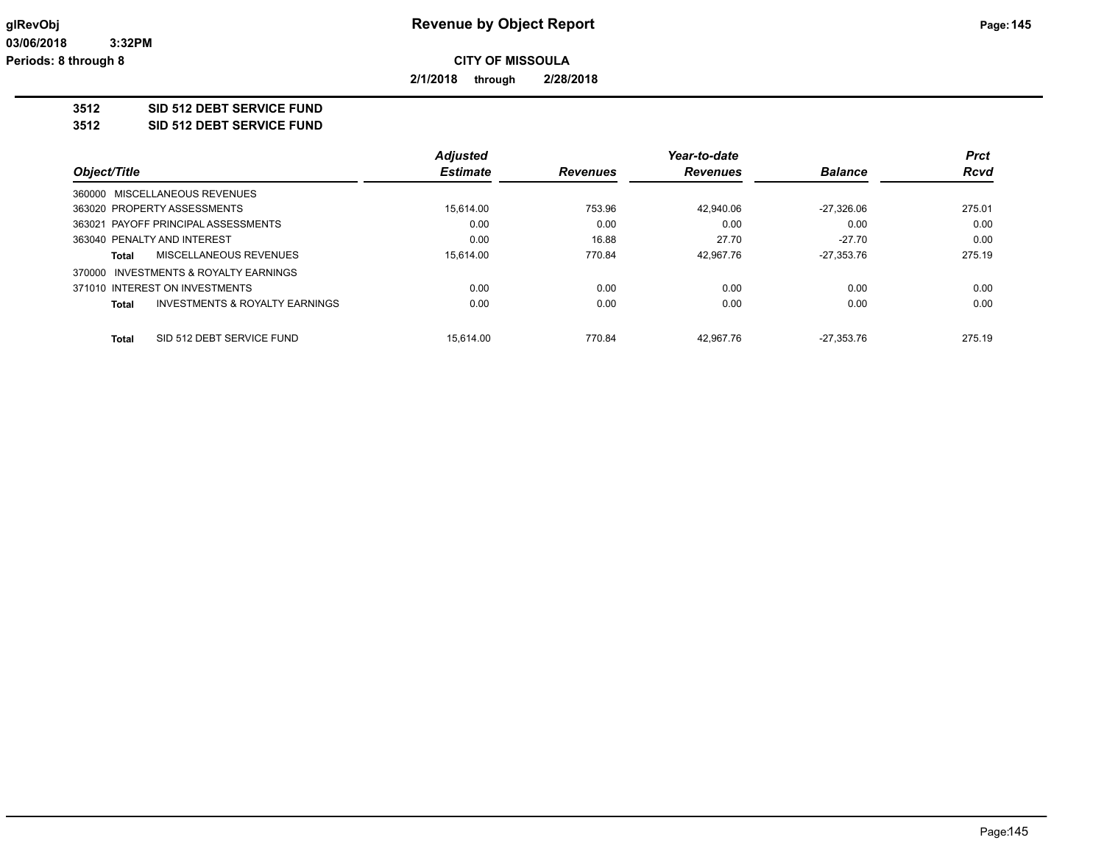**2/1/2018 through 2/28/2018**

### **3512 SID 512 DEBT SERVICE FUND**

**3512 SID 512 DEBT SERVICE FUND**

|                                           | <b>Adjusted</b>           |                 | Year-to-date    |                | <b>Prct</b>  |
|-------------------------------------------|---------------------------|-----------------|-----------------|----------------|--------------|
|                                           | <b>Estimate</b>           | <b>Revenues</b> | <b>Revenues</b> | <b>Balance</b> | <b>Rcvd</b>  |
| 360000 MISCELLANEOUS REVENUES             |                           |                 |                 |                |              |
| 363020 PROPERTY ASSESSMENTS               | 15.614.00                 | 753.96          | 42.940.06       | $-27.326.06$   | 275.01       |
| 363021 PAYOFF PRINCIPAL ASSESSMENTS       | 0.00                      | 0.00            | 0.00            | 0.00           | 0.00         |
| 363040 PENALTY AND INTEREST               | 0.00                      | 16.88           | 27.70           | $-27.70$       | 0.00         |
| MISCELLANEOUS REVENUES                    | 15.614.00                 | 770.84          | 42.967.76       | $-27,353.76$   | 275.19       |
| 370000 INVESTMENTS & ROYALTY EARNINGS     |                           |                 |                 |                |              |
| 371010 INTEREST ON INVESTMENTS            | 0.00                      | 0.00            | 0.00            | 0.00           | 0.00         |
| <b>INVESTMENTS &amp; ROYALTY EARNINGS</b> | 0.00                      | 0.00            | 0.00            | 0.00           | 0.00         |
|                                           |                           |                 |                 |                | 275.19       |
|                                           | SID 512 DEBT SERVICE FUND | 15.614.00       | 770.84          | 42.967.76      | $-27.353.76$ |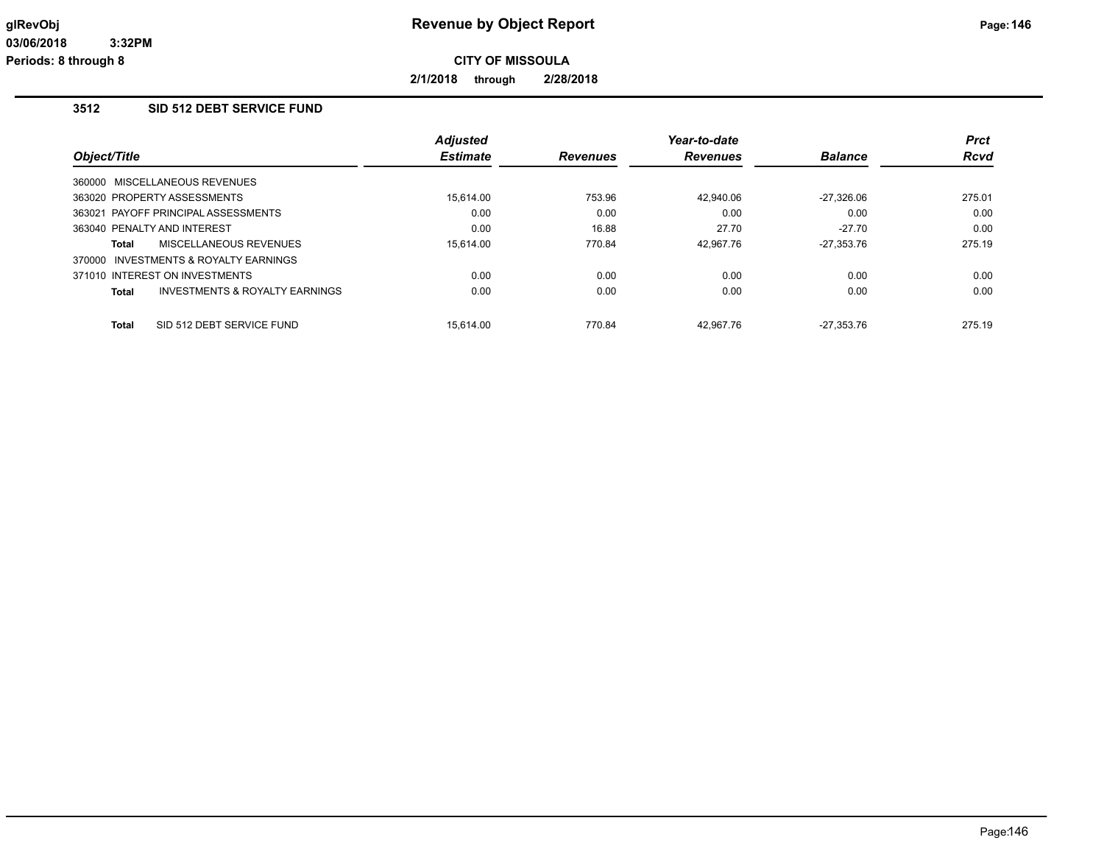**2/1/2018 through 2/28/2018**

# **3512 SID 512 DEBT SERVICE FUND**

|                                                    | <b>Adjusted</b> |                 | Year-to-date    |                | <b>Prct</b> |
|----------------------------------------------------|-----------------|-----------------|-----------------|----------------|-------------|
| Object/Title                                       | <b>Estimate</b> | <b>Revenues</b> | <b>Revenues</b> | <b>Balance</b> | <b>Rcvd</b> |
| 360000 MISCELLANEOUS REVENUES                      |                 |                 |                 |                |             |
| 363020 PROPERTY ASSESSMENTS                        | 15.614.00       | 753.96          | 42.940.06       | $-27.326.06$   | 275.01      |
| 363021 PAYOFF PRINCIPAL ASSESSMENTS                | 0.00            | 0.00            | 0.00            | 0.00           | 0.00        |
| 363040 PENALTY AND INTEREST                        | 0.00            | 16.88           | 27.70           | $-27.70$       | 0.00        |
| <b>MISCELLANEOUS REVENUES</b><br>Total             | 15.614.00       | 770.84          | 42.967.76       | $-27.353.76$   | 275.19      |
| 370000 INVESTMENTS & ROYALTY EARNINGS              |                 |                 |                 |                |             |
| 371010 INTEREST ON INVESTMENTS                     | 0.00            | 0.00            | 0.00            | 0.00           | 0.00        |
| <b>INVESTMENTS &amp; ROYALTY EARNINGS</b><br>Total | 0.00            | 0.00            | 0.00            | 0.00           | 0.00        |
| SID 512 DEBT SERVICE FUND<br><b>Total</b>          | 15.614.00       | 770.84          | 42.967.76       | $-27.353.76$   | 275.19      |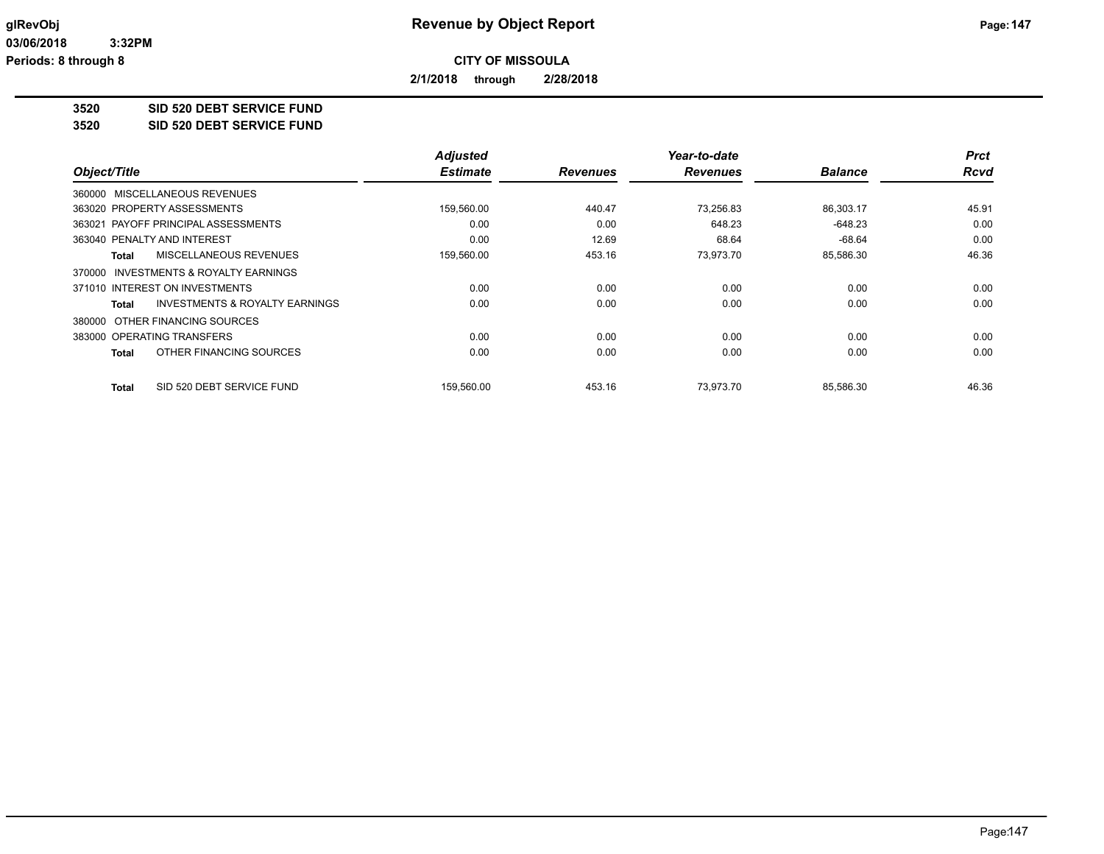**2/1/2018 through 2/28/2018**

**3520 SID 520 DEBT SERVICE FUND**

**3520 SID 520 DEBT SERVICE FUND**

|                                         | <b>Adjusted</b> |                 | Year-to-date    |                | <b>Prct</b> |
|-----------------------------------------|-----------------|-----------------|-----------------|----------------|-------------|
| Object/Title                            | <b>Estimate</b> | <b>Revenues</b> | <b>Revenues</b> | <b>Balance</b> | <b>Rcvd</b> |
| 360000 MISCELLANEOUS REVENUES           |                 |                 |                 |                |             |
| 363020 PROPERTY ASSESSMENTS             | 159,560.00      | 440.47          | 73,256.83       | 86,303.17      | 45.91       |
| 363021 PAYOFF PRINCIPAL ASSESSMENTS     | 0.00            | 0.00            | 648.23          | $-648.23$      | 0.00        |
| 363040 PENALTY AND INTEREST             | 0.00            | 12.69           | 68.64           | $-68.64$       | 0.00        |
| <b>MISCELLANEOUS REVENUES</b><br>Total  | 159,560.00      | 453.16          | 73,973.70       | 85,586.30      | 46.36       |
| 370000 INVESTMENTS & ROYALTY EARNINGS   |                 |                 |                 |                |             |
| 371010 INTEREST ON INVESTMENTS          | 0.00            | 0.00            | 0.00            | 0.00           | 0.00        |
| INVESTMENTS & ROYALTY EARNINGS<br>Total | 0.00            | 0.00            | 0.00            | 0.00           | 0.00        |
| 380000 OTHER FINANCING SOURCES          |                 |                 |                 |                |             |
| 383000 OPERATING TRANSFERS              | 0.00            | 0.00            | 0.00            | 0.00           | 0.00        |
| OTHER FINANCING SOURCES<br>Total        | 0.00            | 0.00            | 0.00            | 0.00           | 0.00        |
| SID 520 DEBT SERVICE FUND<br>Total      | 159,560.00      | 453.16          | 73.973.70       | 85,586.30      | 46.36       |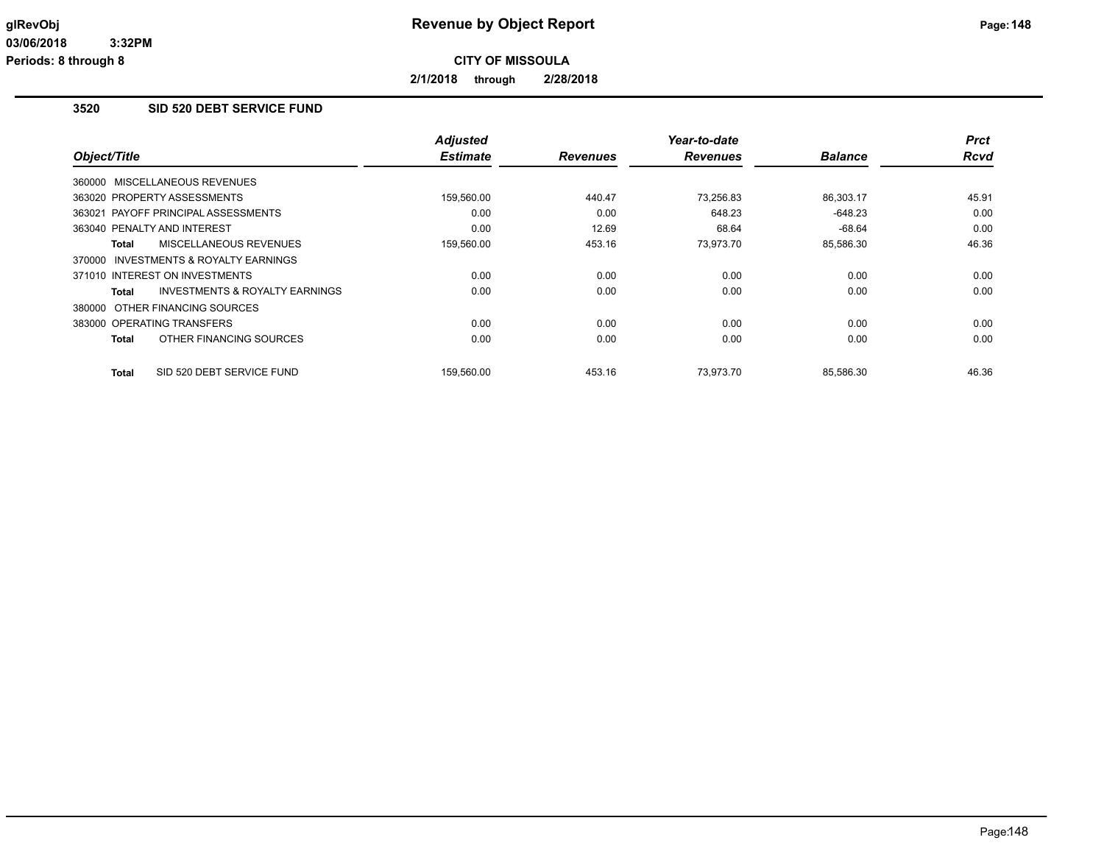**2/1/2018 through 2/28/2018**

# **3520 SID 520 DEBT SERVICE FUND**

|                                                           | <b>Adjusted</b><br><b>Estimate</b> |                 | Year-to-date    |                | <b>Prct</b><br><b>Rcvd</b> |
|-----------------------------------------------------------|------------------------------------|-----------------|-----------------|----------------|----------------------------|
| Object/Title                                              |                                    | <b>Revenues</b> | <b>Revenues</b> | <b>Balance</b> |                            |
| 360000 MISCELLANEOUS REVENUES                             |                                    |                 |                 |                |                            |
| 363020 PROPERTY ASSESSMENTS                               | 159,560.00                         | 440.47          | 73.256.83       | 86.303.17      | 45.91                      |
| 363021 PAYOFF PRINCIPAL ASSESSMENTS                       | 0.00                               | 0.00            | 648.23          | $-648.23$      | 0.00                       |
| 363040 PENALTY AND INTEREST                               | 0.00                               | 12.69           | 68.64           | $-68.64$       | 0.00                       |
| MISCELLANEOUS REVENUES<br>Total                           | 159,560.00                         | 453.16          | 73,973.70       | 85,586.30      | 46.36                      |
| 370000 INVESTMENTS & ROYALTY EARNINGS                     |                                    |                 |                 |                |                            |
| 371010 INTEREST ON INVESTMENTS                            | 0.00                               | 0.00            | 0.00            | 0.00           | 0.00                       |
| <b>INVESTMENTS &amp; ROYALTY EARNINGS</b><br><b>Total</b> | 0.00                               | 0.00            | 0.00            | 0.00           | 0.00                       |
| 380000 OTHER FINANCING SOURCES                            |                                    |                 |                 |                |                            |
| 383000 OPERATING TRANSFERS                                | 0.00                               | 0.00            | 0.00            | 0.00           | 0.00                       |
| OTHER FINANCING SOURCES<br>Total                          | 0.00                               | 0.00            | 0.00            | 0.00           | 0.00                       |
| SID 520 DEBT SERVICE FUND<br><b>Total</b>                 | 159,560.00                         | 453.16          | 73.973.70       | 85,586.30      | 46.36                      |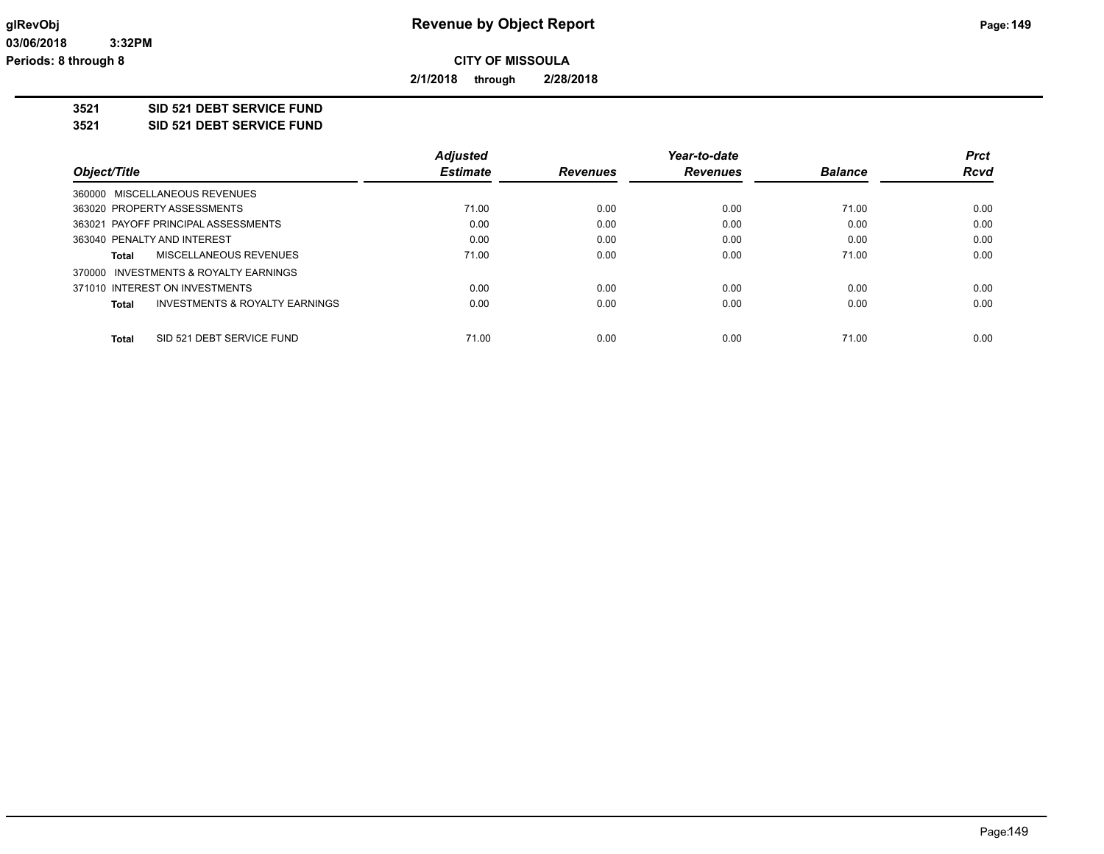**2/1/2018 through 2/28/2018**

**3521 SID 521 DEBT SERVICE FUND**

**3521 SID 521 DEBT SERVICE FUND**

|              |                                           | <b>Adjusted</b> |                 | Year-to-date    |                | <b>Prct</b> |
|--------------|-------------------------------------------|-----------------|-----------------|-----------------|----------------|-------------|
| Object/Title |                                           | <b>Estimate</b> | <b>Revenues</b> | <b>Revenues</b> | <b>Balance</b> | <b>Rcvd</b> |
|              | 360000 MISCELLANEOUS REVENUES             |                 |                 |                 |                |             |
|              | 363020 PROPERTY ASSESSMENTS               | 71.00           | 0.00            | 0.00            | 71.00          | 0.00        |
|              | 363021 PAYOFF PRINCIPAL ASSESSMENTS       | 0.00            | 0.00            | 0.00            | 0.00           | 0.00        |
|              | 363040 PENALTY AND INTEREST               | 0.00            | 0.00            | 0.00            | 0.00           | 0.00        |
| Total        | MISCELLANEOUS REVENUES                    | 71.00           | 0.00            | 0.00            | 71.00          | 0.00        |
|              | 370000 INVESTMENTS & ROYALTY EARNINGS     |                 |                 |                 |                |             |
|              | 371010 INTEREST ON INVESTMENTS            | 0.00            | 0.00            | 0.00            | 0.00           | 0.00        |
| Total        | <b>INVESTMENTS &amp; ROYALTY EARNINGS</b> | 0.00            | 0.00            | 0.00            | 0.00           | 0.00        |
| <b>Total</b> | SID 521 DEBT SERVICE FUND                 | 71.00           | 0.00            | 0.00            | 71.00          | 0.00        |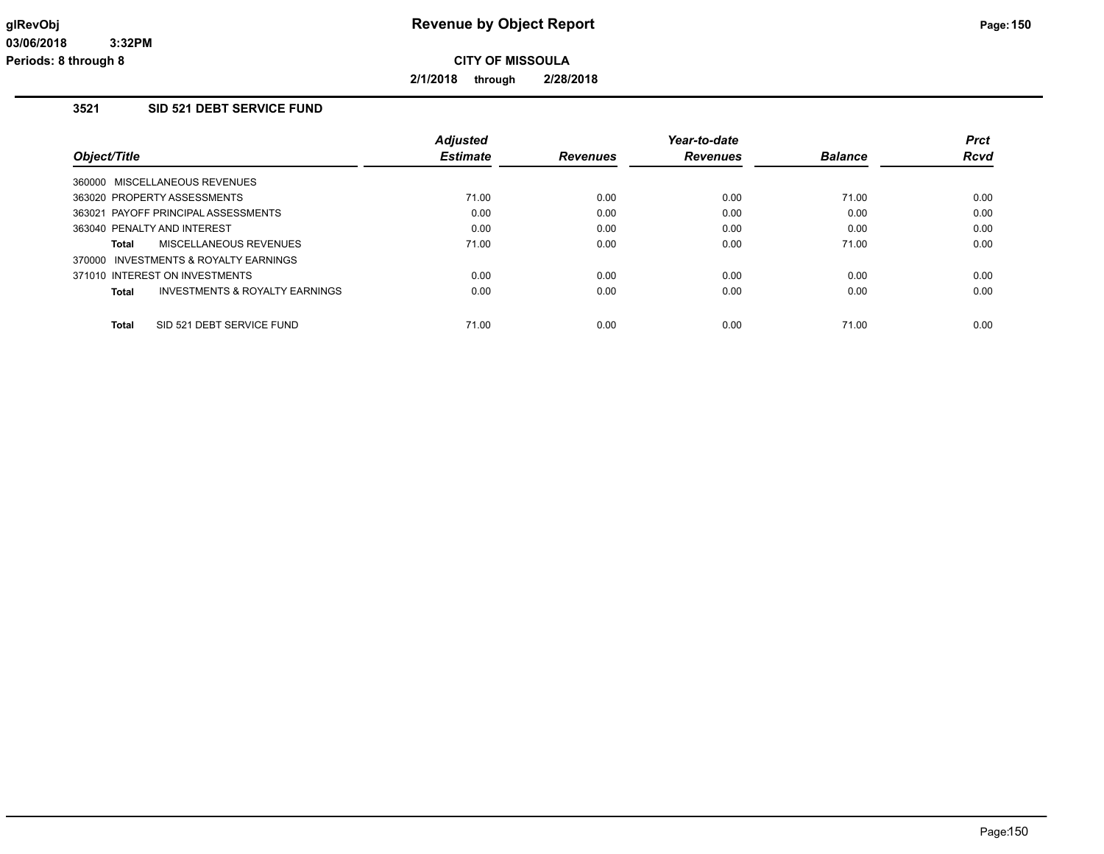**2/1/2018 through 2/28/2018**

# **3521 SID 521 DEBT SERVICE FUND**

|                                     |                                       | <b>Adjusted</b> |                 | Year-to-date    |                | <b>Prct</b> |
|-------------------------------------|---------------------------------------|-----------------|-----------------|-----------------|----------------|-------------|
| Object/Title                        |                                       | <b>Estimate</b> | <b>Revenues</b> | <b>Revenues</b> | <b>Balance</b> | <b>Rcvd</b> |
| 360000 MISCELLANEOUS REVENUES       |                                       |                 |                 |                 |                |             |
| 363020 PROPERTY ASSESSMENTS         |                                       | 71.00           | 0.00            | 0.00            | 71.00          | 0.00        |
| 363021 PAYOFF PRINCIPAL ASSESSMENTS |                                       | 0.00            | 0.00            | 0.00            | 0.00           | 0.00        |
| 363040 PENALTY AND INTEREST         |                                       | 0.00            | 0.00            | 0.00            | 0.00           | 0.00        |
| Total                               | MISCELLANEOUS REVENUES                | 71.00           | 0.00            | 0.00            | 71.00          | 0.00        |
|                                     | 370000 INVESTMENTS & ROYALTY EARNINGS |                 |                 |                 |                |             |
| 371010 INTEREST ON INVESTMENTS      |                                       | 0.00            | 0.00            | 0.00            | 0.00           | 0.00        |
| Total                               | INVESTMENTS & ROYALTY EARNINGS        | 0.00            | 0.00            | 0.00            | 0.00           | 0.00        |
| <b>Total</b>                        | SID 521 DEBT SERVICE FUND             | 71.00           | 0.00            | 0.00            | 71.00          | 0.00        |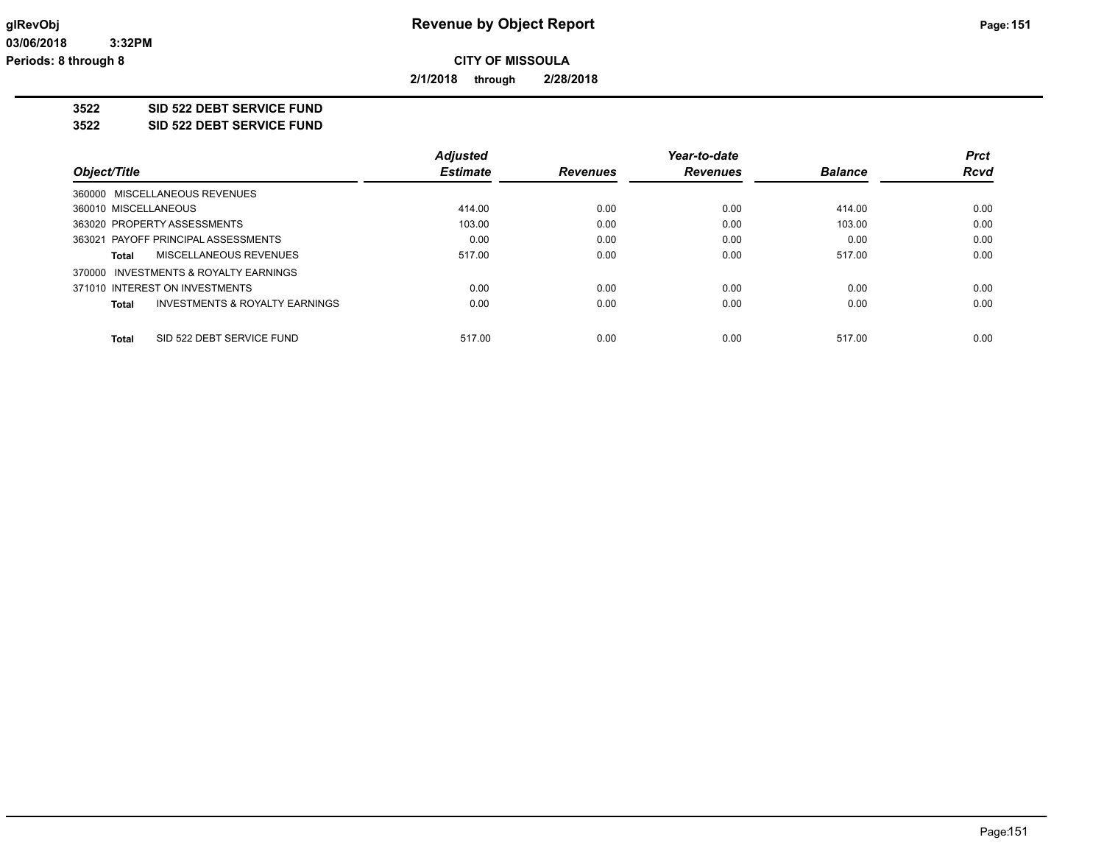**2/1/2018 through 2/28/2018**

### **3522 SID 522 DEBT SERVICE FUND**

**3522 SID 522 DEBT SERVICE FUND**

|                                                    | <b>Adjusted</b> |                 | Year-to-date    |                | <b>Prct</b> |
|----------------------------------------------------|-----------------|-----------------|-----------------|----------------|-------------|
| Object/Title                                       | <b>Estimate</b> | <b>Revenues</b> | <b>Revenues</b> | <b>Balance</b> | <b>Rcvd</b> |
| 360000 MISCELLANEOUS REVENUES                      |                 |                 |                 |                |             |
| 360010 MISCELLANEOUS                               | 414.00          | 0.00            | 0.00            | 414.00         | 0.00        |
| 363020 PROPERTY ASSESSMENTS                        | 103.00          | 0.00            | 0.00            | 103.00         | 0.00        |
| 363021 PAYOFF PRINCIPAL ASSESSMENTS                | 0.00            | 0.00            | 0.00            | 0.00           | 0.00        |
| MISCELLANEOUS REVENUES<br>Total                    | 517.00          | 0.00            | 0.00            | 517.00         | 0.00        |
| 370000 INVESTMENTS & ROYALTY EARNINGS              |                 |                 |                 |                |             |
| 371010 INTEREST ON INVESTMENTS                     | 0.00            | 0.00            | 0.00            | 0.00           | 0.00        |
| <b>INVESTMENTS &amp; ROYALTY EARNINGS</b><br>Total | 0.00            | 0.00            | 0.00            | 0.00           | 0.00        |
| SID 522 DEBT SERVICE FUND<br>Total                 | 517.00          | 0.00            | 0.00            | 517.00         | 0.00        |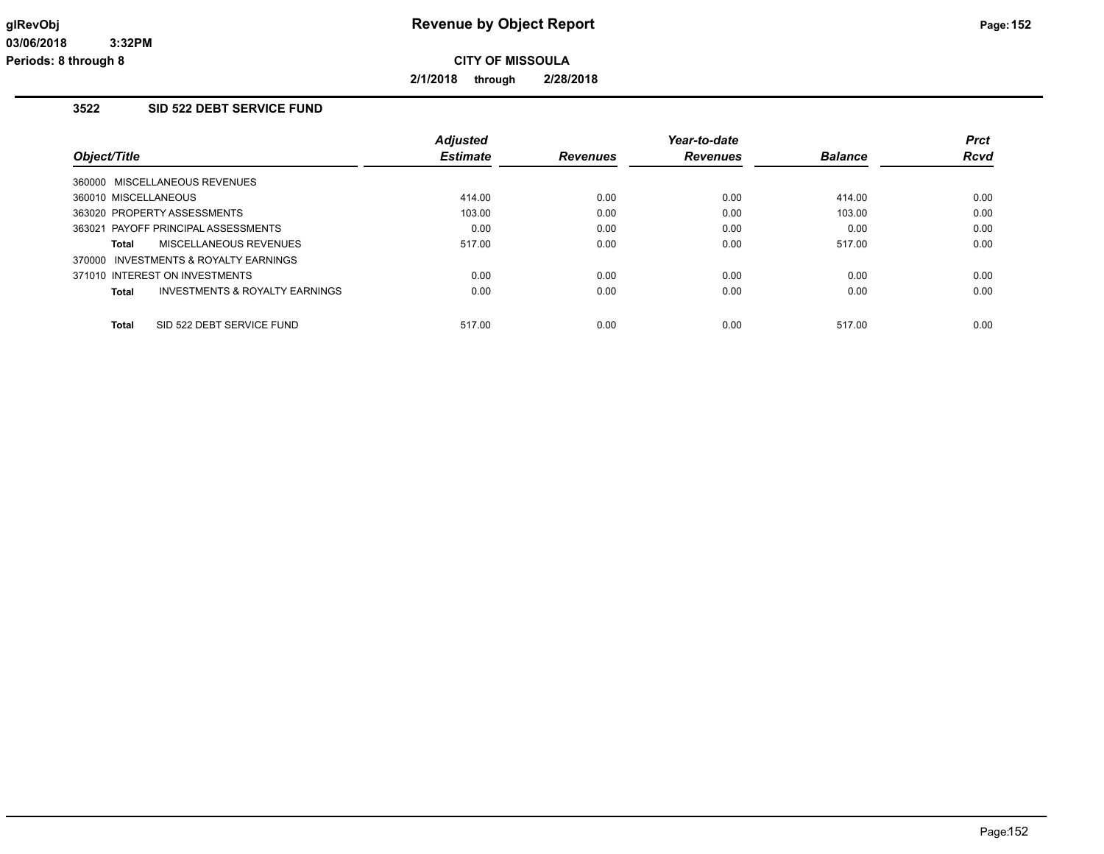**2/1/2018 through 2/28/2018**

# **3522 SID 522 DEBT SERVICE FUND**

|                                                    | <b>Adjusted</b> |                 | Year-to-date    |                | <b>Prct</b> |
|----------------------------------------------------|-----------------|-----------------|-----------------|----------------|-------------|
| Object/Title                                       | <b>Estimate</b> | <b>Revenues</b> | <b>Revenues</b> | <b>Balance</b> | <b>Rcvd</b> |
| 360000 MISCELLANEOUS REVENUES                      |                 |                 |                 |                |             |
| 360010 MISCELLANEOUS                               | 414.00          | 0.00            | 0.00            | 414.00         | 0.00        |
| 363020 PROPERTY ASSESSMENTS                        | 103.00          | 0.00            | 0.00            | 103.00         | 0.00        |
| 363021 PAYOFF PRINCIPAL ASSESSMENTS                | 0.00            | 0.00            | 0.00            | 0.00           | 0.00        |
| MISCELLANEOUS REVENUES<br><b>Total</b>             | 517.00          | 0.00            | 0.00            | 517.00         | 0.00        |
| 370000 INVESTMENTS & ROYALTY EARNINGS              |                 |                 |                 |                |             |
| 371010 INTEREST ON INVESTMENTS                     | 0.00            | 0.00            | 0.00            | 0.00           | 0.00        |
| <b>INVESTMENTS &amp; ROYALTY EARNINGS</b><br>Total | 0.00            | 0.00            | 0.00            | 0.00           | 0.00        |
| <b>Total</b><br>SID 522 DEBT SERVICE FUND          | 517.00          | 0.00            | 0.00            | 517.00         | 0.00        |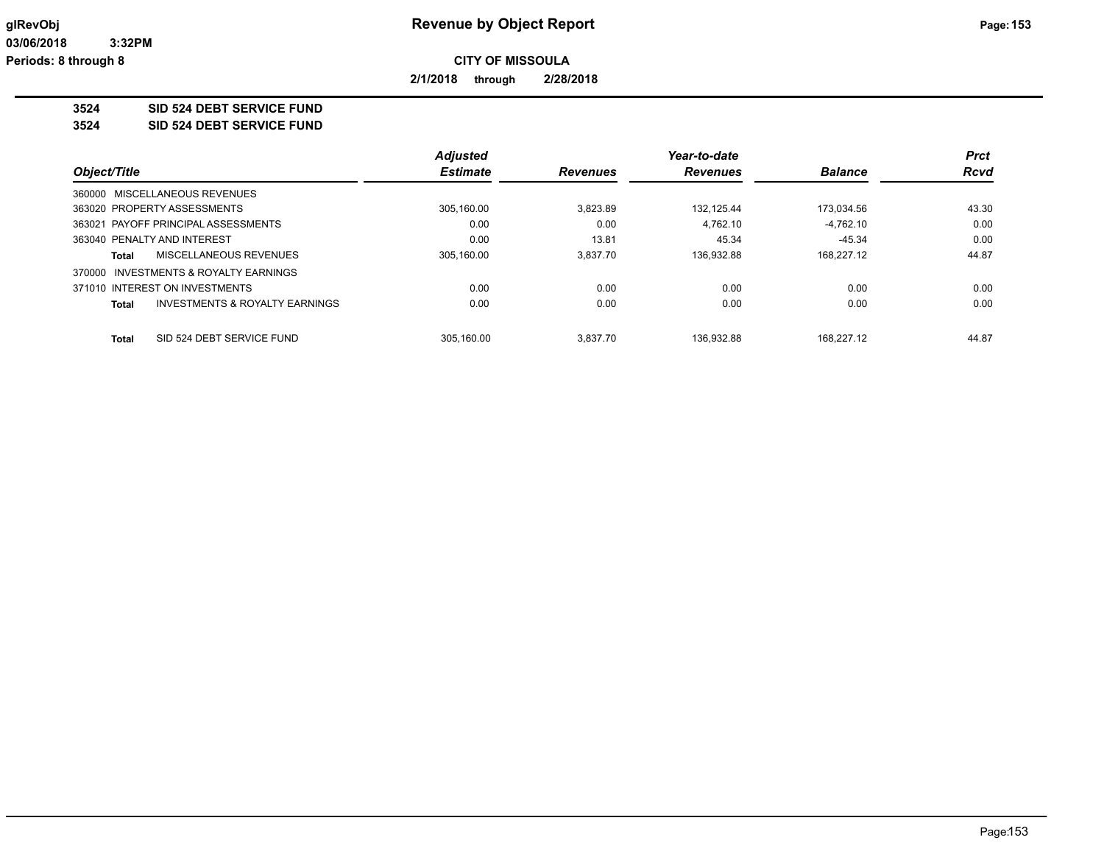**2/1/2018 through 2/28/2018**

**3524 SID 524 DEBT SERVICE FUND**

**3524 SID 524 DEBT SERVICE FUND**

|              |                                           | <b>Adjusted</b> |                 | Year-to-date    |                | <b>Prct</b> |
|--------------|-------------------------------------------|-----------------|-----------------|-----------------|----------------|-------------|
| Object/Title |                                           | <b>Estimate</b> | <b>Revenues</b> | <b>Revenues</b> | <b>Balance</b> | <b>Rcvd</b> |
|              | 360000 MISCELLANEOUS REVENUES             |                 |                 |                 |                |             |
|              | 363020 PROPERTY ASSESSMENTS               | 305,160.00      | 3.823.89        | 132.125.44      | 173,034.56     | 43.30       |
|              | 363021 PAYOFF PRINCIPAL ASSESSMENTS       | 0.00            | 0.00            | 4.762.10        | $-4.762.10$    | 0.00        |
|              | 363040 PENALTY AND INTEREST               | 0.00            | 13.81           | 45.34           | $-45.34$       | 0.00        |
| Total        | MISCELLANEOUS REVENUES                    | 305.160.00      | 3.837.70        | 136.932.88      | 168.227.12     | 44.87       |
| 370000       | INVESTMENTS & ROYALTY EARNINGS            |                 |                 |                 |                |             |
|              | 371010 INTEREST ON INVESTMENTS            | 0.00            | 0.00            | 0.00            | 0.00           | 0.00        |
| Total        | <b>INVESTMENTS &amp; ROYALTY EARNINGS</b> | 0.00            | 0.00            | 0.00            | 0.00           | 0.00        |
| Total        | SID 524 DEBT SERVICE FUND                 | 305.160.00      | 3.837.70        | 136.932.88      | 168.227.12     | 44.87       |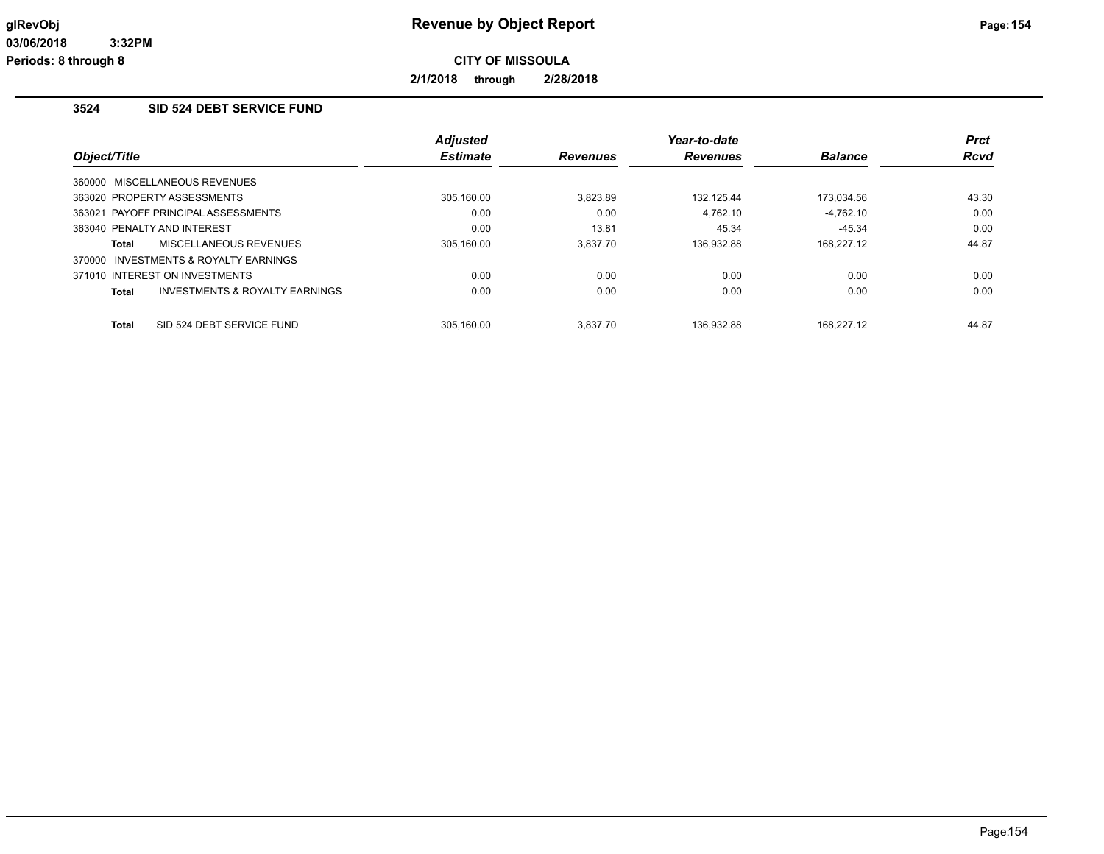**2/1/2018 through 2/28/2018**

# **3524 SID 524 DEBT SERVICE FUND**

|              |                                           | <b>Adjusted</b> |                 | Year-to-date    |                | <b>Prct</b> |
|--------------|-------------------------------------------|-----------------|-----------------|-----------------|----------------|-------------|
| Object/Title |                                           | <b>Estimate</b> | <b>Revenues</b> | <b>Revenues</b> | <b>Balance</b> | <b>Rcvd</b> |
|              | 360000 MISCELLANEOUS REVENUES             |                 |                 |                 |                |             |
|              | 363020 PROPERTY ASSESSMENTS               | 305,160.00      | 3.823.89        | 132.125.44      | 173,034.56     | 43.30       |
|              | 363021 PAYOFF PRINCIPAL ASSESSMENTS       | 0.00            | 0.00            | 4.762.10        | $-4.762.10$    | 0.00        |
|              | 363040 PENALTY AND INTEREST               | 0.00            | 13.81           | 45.34           | $-45.34$       | 0.00        |
| Total        | MISCELLANEOUS REVENUES                    | 305.160.00      | 3.837.70        | 136.932.88      | 168.227.12     | 44.87       |
|              | 370000 INVESTMENTS & ROYALTY EARNINGS     |                 |                 |                 |                |             |
|              | 371010 INTEREST ON INVESTMENTS            | 0.00            | 0.00            | 0.00            | 0.00           | 0.00        |
| <b>Total</b> | <b>INVESTMENTS &amp; ROYALTY EARNINGS</b> | 0.00            | 0.00            | 0.00            | 0.00           | 0.00        |
| <b>Total</b> | SID 524 DEBT SERVICE FUND                 | 305.160.00      | 3.837.70        | 136.932.88      | 168.227.12     | 44.87       |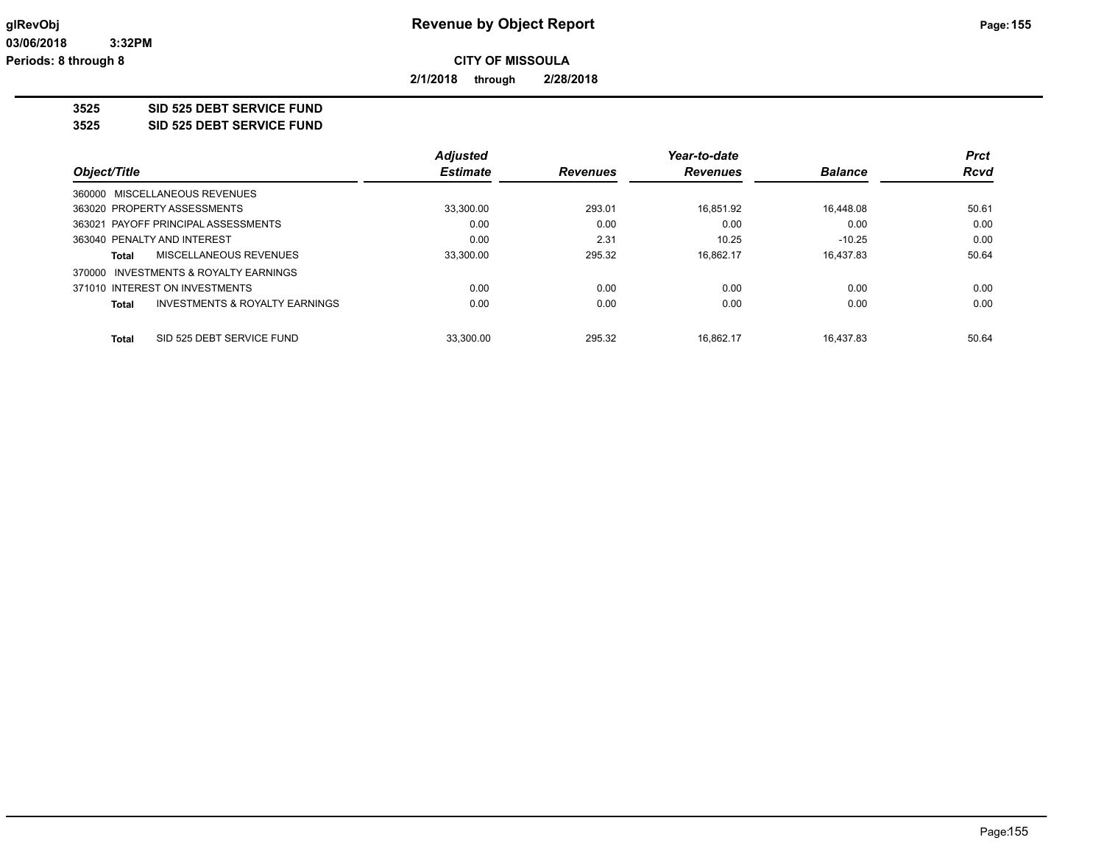**2/1/2018 through 2/28/2018**

**3525 SID 525 DEBT SERVICE FUND**

**3525 SID 525 DEBT SERVICE FUND**

|                                                | <b>Adjusted</b> |                 | Year-to-date    |                | <b>Prct</b> |
|------------------------------------------------|-----------------|-----------------|-----------------|----------------|-------------|
| Object/Title                                   | <b>Estimate</b> | <b>Revenues</b> | <b>Revenues</b> | <b>Balance</b> | <b>Rcvd</b> |
| 360000 MISCELLANEOUS REVENUES                  |                 |                 |                 |                |             |
| 363020 PROPERTY ASSESSMENTS                    | 33,300.00       | 293.01          | 16.851.92       | 16.448.08      | 50.61       |
| 363021 PAYOFF PRINCIPAL ASSESSMENTS            | 0.00            | 0.00            | 0.00            | 0.00           | 0.00        |
| 363040 PENALTY AND INTEREST                    | 0.00            | 2.31            | 10.25           | $-10.25$       | 0.00        |
| MISCELLANEOUS REVENUES<br>Total                | 33,300.00       | 295.32          | 16.862.17       | 16.437.83      | 50.64       |
| 370000 INVESTMENTS & ROYALTY EARNINGS          |                 |                 |                 |                |             |
| 371010 INTEREST ON INVESTMENTS                 | 0.00            | 0.00            | 0.00            | 0.00           | 0.00        |
| INVESTMENTS & ROYALTY EARNINGS<br><b>Total</b> | 0.00            | 0.00            | 0.00            | 0.00           | 0.00        |
| SID 525 DEBT SERVICE FUND<br><b>Total</b>      | 33.300.00       | 295.32          | 16.862.17       | 16.437.83      | 50.64       |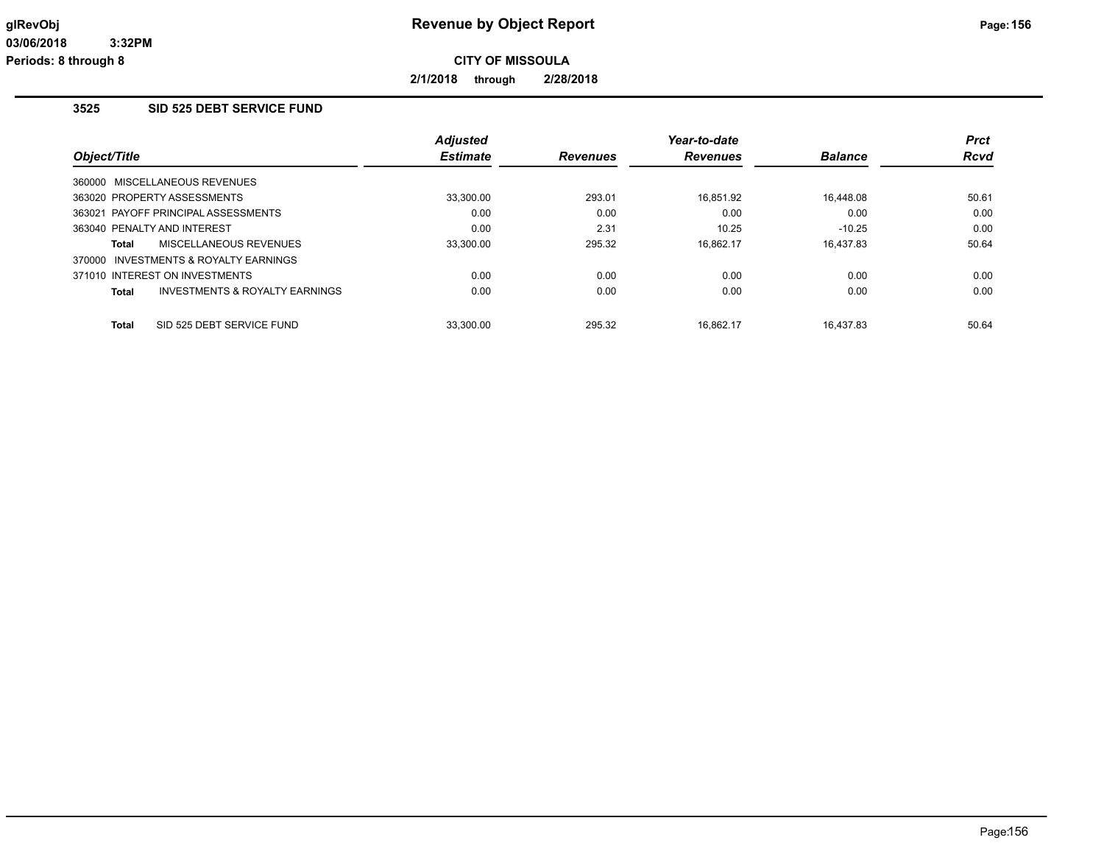**2/1/2018 through 2/28/2018**

# **3525 SID 525 DEBT SERVICE FUND**

|                                     |                                           | <b>Adjusted</b> |                 | Year-to-date    |                | <b>Prct</b> |
|-------------------------------------|-------------------------------------------|-----------------|-----------------|-----------------|----------------|-------------|
| Object/Title                        |                                           | <b>Estimate</b> | <b>Revenues</b> | <b>Revenues</b> | <b>Balance</b> | <b>Rcvd</b> |
| 360000 MISCELLANEOUS REVENUES       |                                           |                 |                 |                 |                |             |
| 363020 PROPERTY ASSESSMENTS         |                                           | 33,300.00       | 293.01          | 16.851.92       | 16.448.08      | 50.61       |
| 363021 PAYOFF PRINCIPAL ASSESSMENTS |                                           | 0.00            | 0.00            | 0.00            | 0.00           | 0.00        |
| 363040 PENALTY AND INTEREST         |                                           | 0.00            | 2.31            | 10.25           | $-10.25$       | 0.00        |
| Total                               | MISCELLANEOUS REVENUES                    | 33.300.00       | 295.32          | 16.862.17       | 16.437.83      | 50.64       |
|                                     | 370000 INVESTMENTS & ROYALTY EARNINGS     |                 |                 |                 |                |             |
| 371010 INTEREST ON INVESTMENTS      |                                           | 0.00            | 0.00            | 0.00            | 0.00           | 0.00        |
| Total                               | <b>INVESTMENTS &amp; ROYALTY EARNINGS</b> | 0.00            | 0.00            | 0.00            | 0.00           | 0.00        |
| <b>Total</b>                        | SID 525 DEBT SERVICE FUND                 | 33.300.00       | 295.32          | 16.862.17       | 16.437.83      | 50.64       |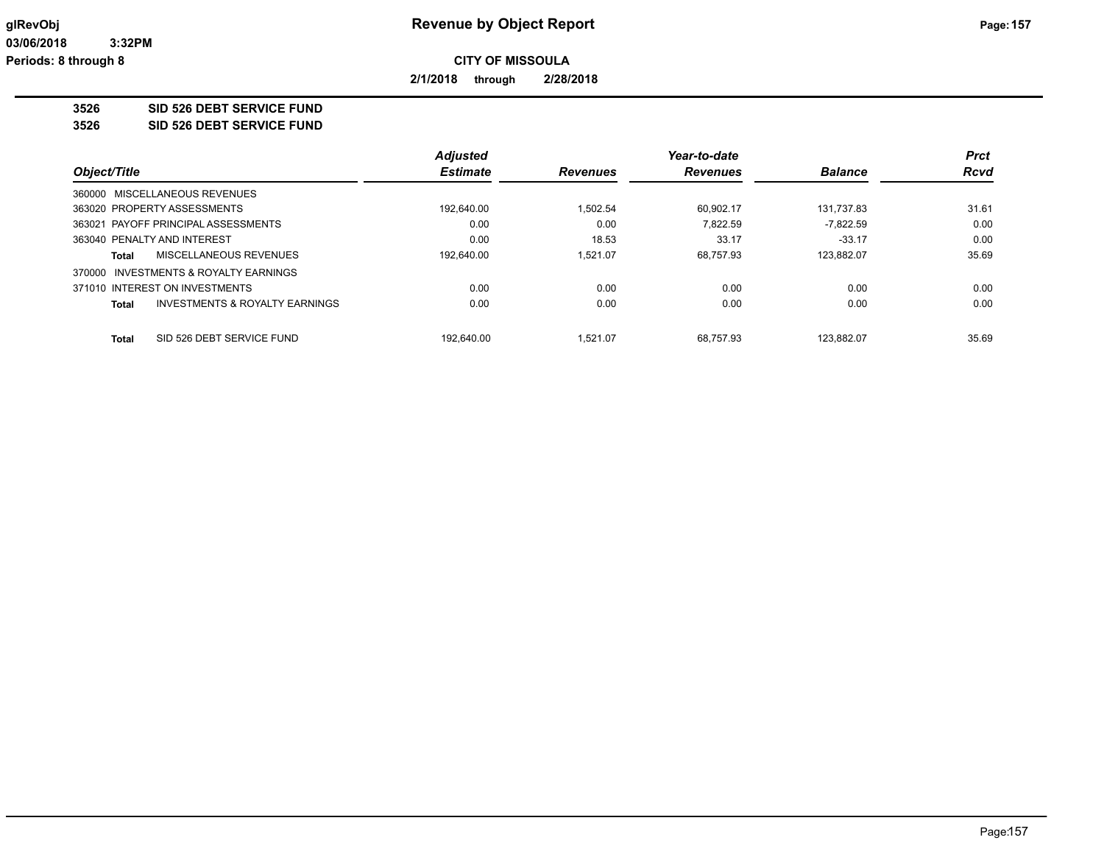**2/1/2018 through 2/28/2018**

**3526 SID 526 DEBT SERVICE FUND**

**3526 SID 526 DEBT SERVICE FUND**

|                                                           | <b>Adjusted</b> |                 | Year-to-date    |                | <b>Prct</b> |
|-----------------------------------------------------------|-----------------|-----------------|-----------------|----------------|-------------|
| Object/Title                                              | <b>Estimate</b> | <b>Revenues</b> | <b>Revenues</b> | <b>Balance</b> | <b>Rcvd</b> |
| 360000 MISCELLANEOUS REVENUES                             |                 |                 |                 |                |             |
| 363020 PROPERTY ASSESSMENTS                               | 192.640.00      | 1.502.54        | 60.902.17       | 131,737.83     | 31.61       |
| 363021 PAYOFF PRINCIPAL ASSESSMENTS                       | 0.00            | 0.00            | 7.822.59        | $-7.822.59$    | 0.00        |
| 363040 PENALTY AND INTEREST                               | 0.00            | 18.53           | 33.17           | $-33.17$       | 0.00        |
| MISCELLANEOUS REVENUES<br>Total                           | 192.640.00      | 1.521.07        | 68.757.93       | 123.882.07     | 35.69       |
| INVESTMENTS & ROYALTY EARNINGS<br>370000                  |                 |                 |                 |                |             |
| 371010 INTEREST ON INVESTMENTS                            | 0.00            | 0.00            | 0.00            | 0.00           | 0.00        |
| <b>INVESTMENTS &amp; ROYALTY EARNINGS</b><br><b>Total</b> | 0.00            | 0.00            | 0.00            | 0.00           | 0.00        |
|                                                           |                 |                 |                 |                |             |
| SID 526 DEBT SERVICE FUND<br><b>Total</b>                 | 192.640.00      | 1.521.07        | 68.757.93       | 123.882.07     | 35.69       |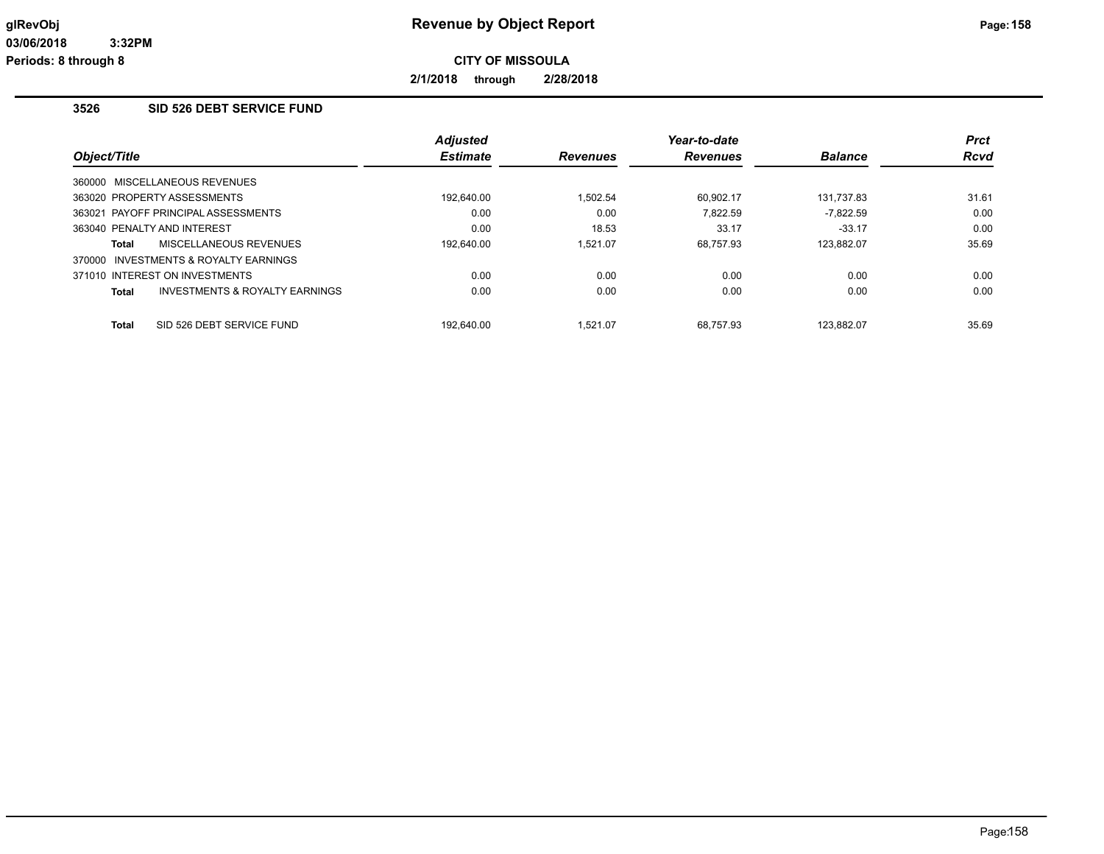**2/1/2018 through 2/28/2018**

# **3526 SID 526 DEBT SERVICE FUND**

|              |                                           | <b>Adjusted</b> |                 | Year-to-date   |             | <b>Prct</b> |
|--------------|-------------------------------------------|-----------------|-----------------|----------------|-------------|-------------|
| Object/Title | <b>Estimate</b>                           | <b>Revenues</b> | <b>Revenues</b> | <b>Balance</b> | <b>Rcvd</b> |             |
|              | 360000 MISCELLANEOUS REVENUES             |                 |                 |                |             |             |
|              | 363020 PROPERTY ASSESSMENTS               | 192,640.00      | 1.502.54        | 60.902.17      | 131,737.83  | 31.61       |
|              | 363021 PAYOFF PRINCIPAL ASSESSMENTS       | 0.00            | 0.00            | 7.822.59       | $-7.822.59$ | 0.00        |
|              | 363040 PENALTY AND INTEREST               | 0.00            | 18.53           | 33.17          | $-33.17$    | 0.00        |
| Total        | <b>MISCELLANEOUS REVENUES</b>             | 192.640.00      | 1.521.07        | 68.757.93      | 123.882.07  | 35.69       |
| 370000       | INVESTMENTS & ROYALTY EARNINGS            |                 |                 |                |             |             |
|              | 371010 INTEREST ON INVESTMENTS            | 0.00            | 0.00            | 0.00           | 0.00        | 0.00        |
| Total        | <b>INVESTMENTS &amp; ROYALTY EARNINGS</b> | 0.00            | 0.00            | 0.00           | 0.00        | 0.00        |
| <b>Total</b> | SID 526 DEBT SERVICE FUND                 | 192.640.00      | 1.521.07        | 68.757.93      | 123.882.07  | 35.69       |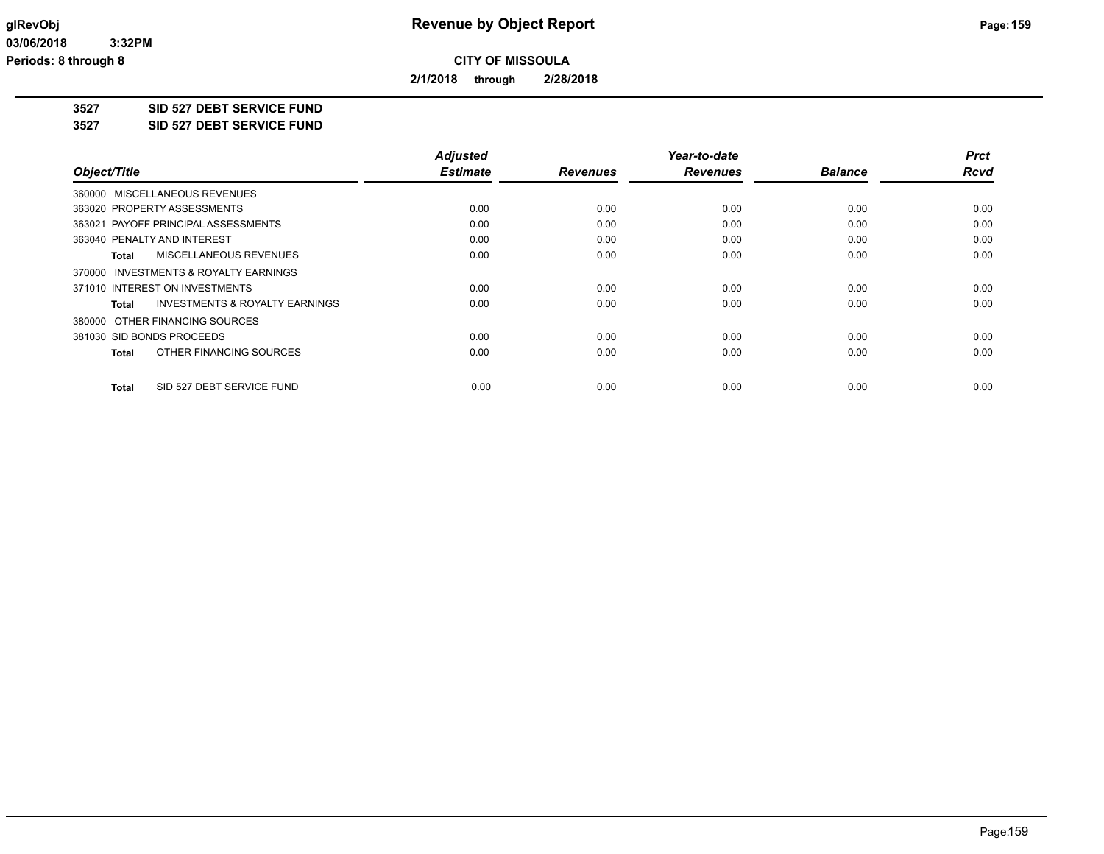**2/1/2018 through 2/28/2018**

**3527 SID 527 DEBT SERVICE FUND**

**3527 SID 527 DEBT SERVICE FUND**

|                                                     | <b>Adjusted</b> |                 | Year-to-date    |                | <b>Prct</b> |
|-----------------------------------------------------|-----------------|-----------------|-----------------|----------------|-------------|
| Object/Title                                        | <b>Estimate</b> | <b>Revenues</b> | <b>Revenues</b> | <b>Balance</b> | <b>Rcvd</b> |
| 360000 MISCELLANEOUS REVENUES                       |                 |                 |                 |                |             |
| 363020 PROPERTY ASSESSMENTS                         | 0.00            | 0.00            | 0.00            | 0.00           | 0.00        |
| 363021 PAYOFF PRINCIPAL ASSESSMENTS                 | 0.00            | 0.00            | 0.00            | 0.00           | 0.00        |
| 363040 PENALTY AND INTEREST                         | 0.00            | 0.00            | 0.00            | 0.00           | 0.00        |
| MISCELLANEOUS REVENUES<br><b>Total</b>              | 0.00            | 0.00            | 0.00            | 0.00           | 0.00        |
| <b>INVESTMENTS &amp; ROYALTY EARNINGS</b><br>370000 |                 |                 |                 |                |             |
| 371010 INTEREST ON INVESTMENTS                      | 0.00            | 0.00            | 0.00            | 0.00           | 0.00        |
| <b>INVESTMENTS &amp; ROYALTY EARNINGS</b><br>Total  | 0.00            | 0.00            | 0.00            | 0.00           | 0.00        |
| 380000 OTHER FINANCING SOURCES                      |                 |                 |                 |                |             |
| 381030 SID BONDS PROCEEDS                           | 0.00            | 0.00            | 0.00            | 0.00           | 0.00        |
| OTHER FINANCING SOURCES<br><b>Total</b>             | 0.00            | 0.00            | 0.00            | 0.00           | 0.00        |
| SID 527 DEBT SERVICE FUND<br><b>Total</b>           | 0.00            | 0.00            | 0.00            | 0.00           | 0.00        |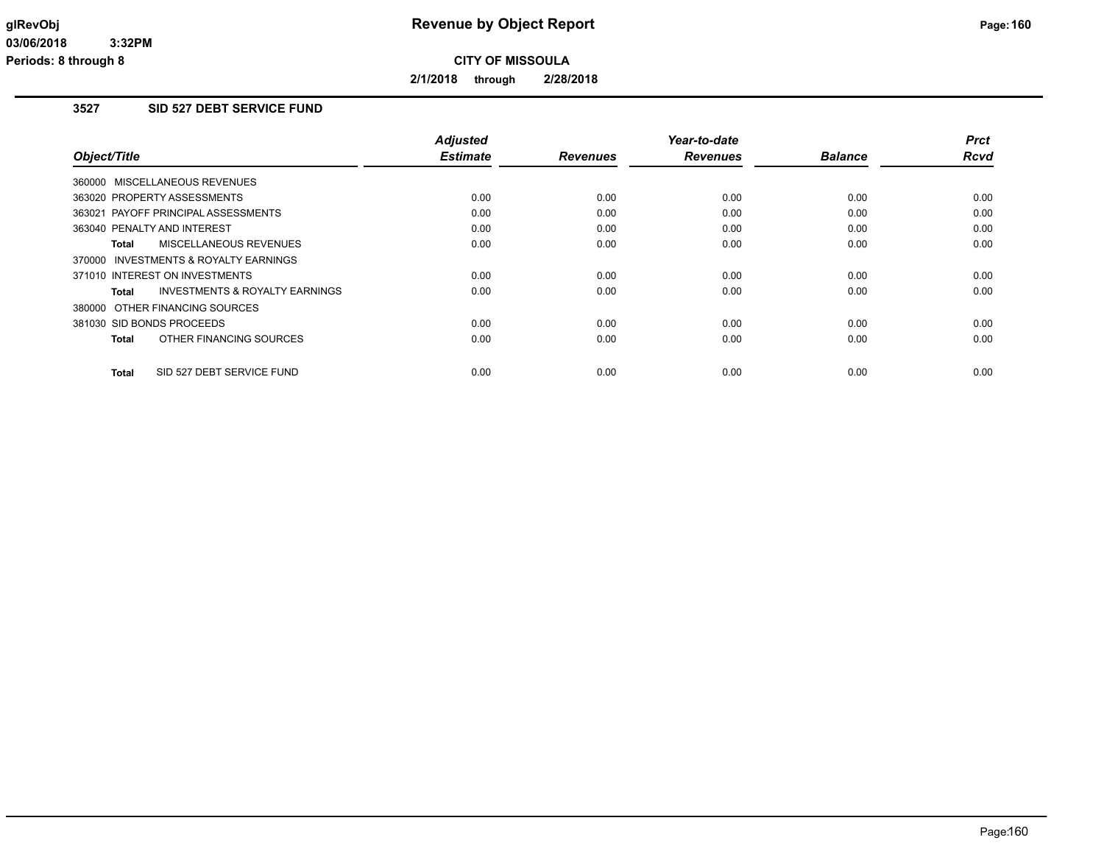**2/1/2018 through 2/28/2018**

# **3527 SID 527 DEBT SERVICE FUND**

|                                           | <b>Adjusted</b> |                 | Year-to-date    |                | <b>Prct</b> |
|-------------------------------------------|-----------------|-----------------|-----------------|----------------|-------------|
| Object/Title                              | <b>Estimate</b> | <b>Revenues</b> | <b>Revenues</b> | <b>Balance</b> | Rcvd        |
| 360000 MISCELLANEOUS REVENUES             |                 |                 |                 |                |             |
| 363020 PROPERTY ASSESSMENTS               | 0.00            | 0.00            | 0.00            | 0.00           | 0.00        |
| 363021 PAYOFF PRINCIPAL ASSESSMENTS       | 0.00            | 0.00            | 0.00            | 0.00           | 0.00        |
| 363040 PENALTY AND INTEREST               | 0.00            | 0.00            | 0.00            | 0.00           | 0.00        |
| <b>MISCELLANEOUS REVENUES</b><br>Total    | 0.00            | 0.00            | 0.00            | 0.00           | 0.00        |
| 370000 INVESTMENTS & ROYALTY EARNINGS     |                 |                 |                 |                |             |
| 371010 INTEREST ON INVESTMENTS            | 0.00            | 0.00            | 0.00            | 0.00           | 0.00        |
| INVESTMENTS & ROYALTY EARNINGS<br>Total   | 0.00            | 0.00            | 0.00            | 0.00           | 0.00        |
| 380000 OTHER FINANCING SOURCES            |                 |                 |                 |                |             |
| 381030 SID BONDS PROCEEDS                 | 0.00            | 0.00            | 0.00            | 0.00           | 0.00        |
| OTHER FINANCING SOURCES<br><b>Total</b>   | 0.00            | 0.00            | 0.00            | 0.00           | 0.00        |
| SID 527 DEBT SERVICE FUND<br><b>Total</b> | 0.00            | 0.00            | 0.00            | 0.00           | 0.00        |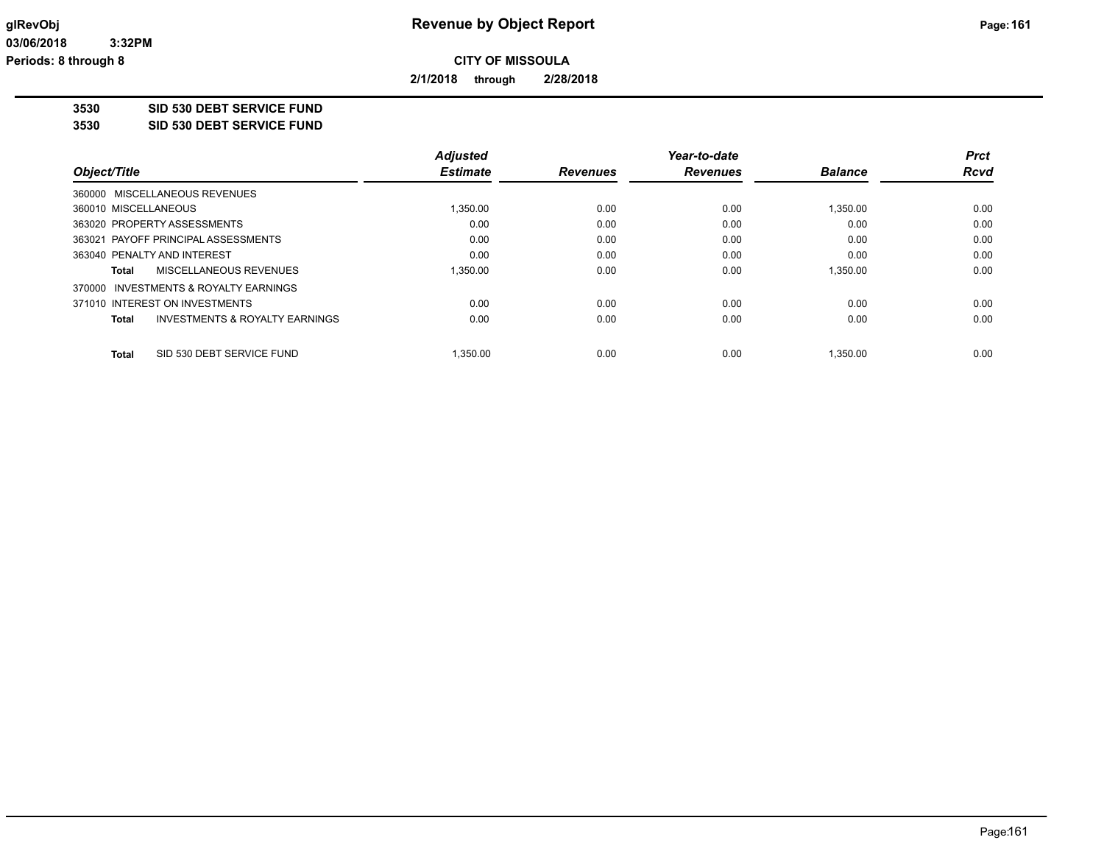**2/1/2018 through 2/28/2018**

**3530 SID 530 DEBT SERVICE FUND**

**3530 SID 530 DEBT SERVICE FUND**

|                                           | <b>Adjusted</b> |                 | Year-to-date    |                | <b>Prct</b> |
|-------------------------------------------|-----------------|-----------------|-----------------|----------------|-------------|
| Object/Title                              | <b>Estimate</b> | <b>Revenues</b> | <b>Revenues</b> | <b>Balance</b> | <b>Rcvd</b> |
| 360000 MISCELLANEOUS REVENUES             |                 |                 |                 |                |             |
| 360010 MISCELLANEOUS                      | 1.350.00        | 0.00            | 0.00            | 1,350.00       | 0.00        |
| 363020 PROPERTY ASSESSMENTS               | 0.00            | 0.00            | 0.00            | 0.00           | 0.00        |
| 363021 PAYOFF PRINCIPAL ASSESSMENTS       | 0.00            | 0.00            | 0.00            | 0.00           | 0.00        |
| 363040 PENALTY AND INTEREST               | 0.00            | 0.00            | 0.00            | 0.00           | 0.00        |
| MISCELLANEOUS REVENUES<br>Total           | 1,350.00        | 0.00            | 0.00            | 1,350.00       | 0.00        |
| 370000 INVESTMENTS & ROYALTY EARNINGS     |                 |                 |                 |                |             |
| 371010 INTEREST ON INVESTMENTS            | 0.00            | 0.00            | 0.00            | 0.00           | 0.00        |
| INVESTMENTS & ROYALTY EARNINGS<br>Total   | 0.00            | 0.00            | 0.00            | 0.00           | 0.00        |
| <b>Total</b><br>SID 530 DEBT SERVICE FUND | 1.350.00        | 0.00            | 0.00            | 1.350.00       | 0.00        |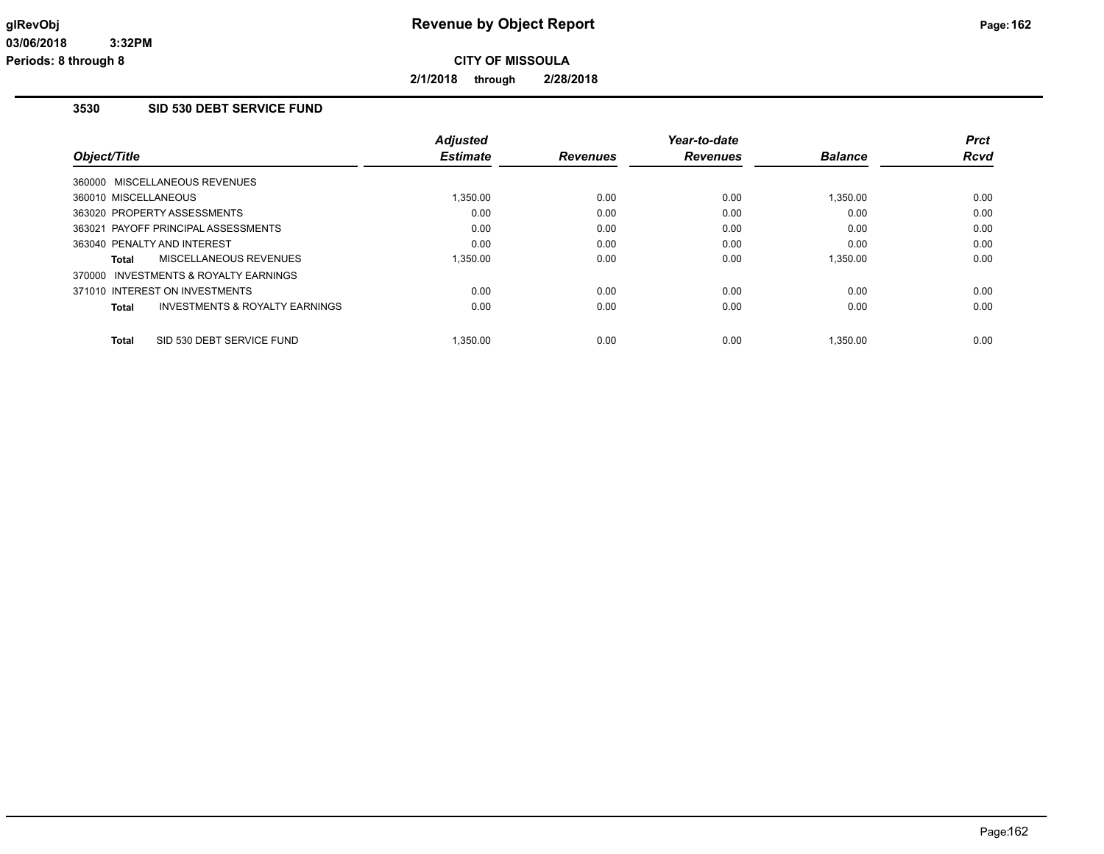**2/1/2018 through 2/28/2018**

### **3530 SID 530 DEBT SERVICE FUND**

| Object/Title         |                                           | <b>Adjusted</b><br><b>Estimate</b> | <b>Revenues</b> | Year-to-date<br><b>Revenues</b> | <b>Balance</b> | <b>Prct</b><br>Rcvd |
|----------------------|-------------------------------------------|------------------------------------|-----------------|---------------------------------|----------------|---------------------|
|                      | 360000 MISCELLANEOUS REVENUES             |                                    |                 |                                 |                |                     |
| 360010 MISCELLANEOUS |                                           | 1,350.00                           | 0.00            | 0.00                            | 1,350.00       | 0.00                |
|                      | 363020 PROPERTY ASSESSMENTS               | 0.00                               | 0.00            | 0.00                            | 0.00           | 0.00                |
|                      | 363021 PAYOFF PRINCIPAL ASSESSMENTS       | 0.00                               | 0.00            | 0.00                            | 0.00           | 0.00                |
|                      | 363040 PENALTY AND INTEREST               | 0.00                               | 0.00            | 0.00                            | 0.00           | 0.00                |
| Total                | MISCELLANEOUS REVENUES                    | 1.350.00                           | 0.00            | 0.00                            | 1.350.00       | 0.00                |
|                      | 370000 INVESTMENTS & ROYALTY EARNINGS     |                                    |                 |                                 |                |                     |
|                      | 371010 INTEREST ON INVESTMENTS            | 0.00                               | 0.00            | 0.00                            | 0.00           | 0.00                |
| Total                | <b>INVESTMENTS &amp; ROYALTY EARNINGS</b> | 0.00                               | 0.00            | 0.00                            | 0.00           | 0.00                |
| Total                | SID 530 DEBT SERVICE FUND                 | 1.350.00                           | 0.00            | 0.00                            | 1.350.00       | 0.00                |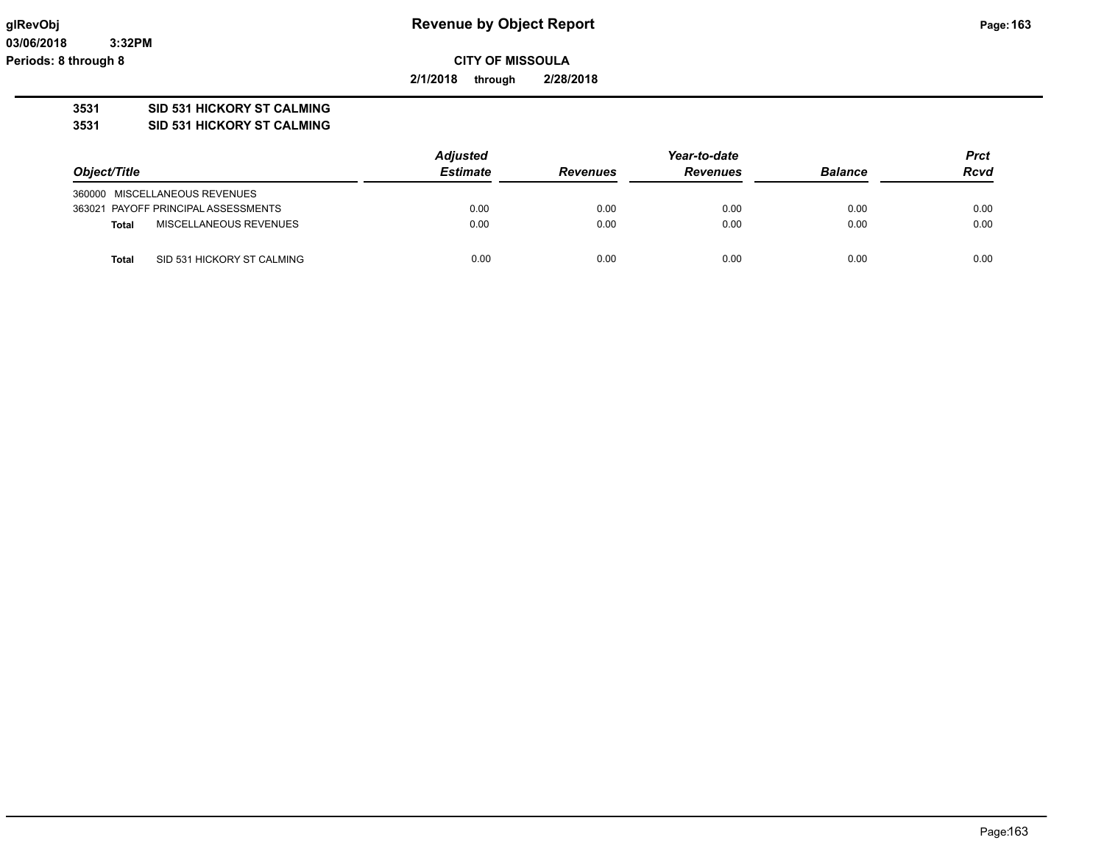**03/06/2018 3:32PM Periods: 8 through 8**

**CITY OF MISSOULA**

**2/1/2018 through 2/28/2018**

### **3531 SID 531 HICKORY ST CALMING**

**3531 SID 531 HICKORY ST CALMING**

|                                            | <b>Adjusted</b> |                 | Year-to-date    |                |             |
|--------------------------------------------|-----------------|-----------------|-----------------|----------------|-------------|
| Object/Title                               | <b>Estimate</b> | <b>Revenues</b> | <b>Revenues</b> | <b>Balance</b> | <b>Rcvd</b> |
| 360000 MISCELLANEOUS REVENUES              |                 |                 |                 |                |             |
| 363021 PAYOFF PRINCIPAL ASSESSMENTS        | 0.00            | 0.00            | 0.00            | 0.00           | 0.00        |
| MISCELLANEOUS REVENUES<br><b>Total</b>     | 0.00            | 0.00            | 0.00            | 0.00           | 0.00        |
| SID 531 HICKORY ST CALMING<br><b>Total</b> | 0.00            | 0.00            | 0.00            | 0.00           | 0.00        |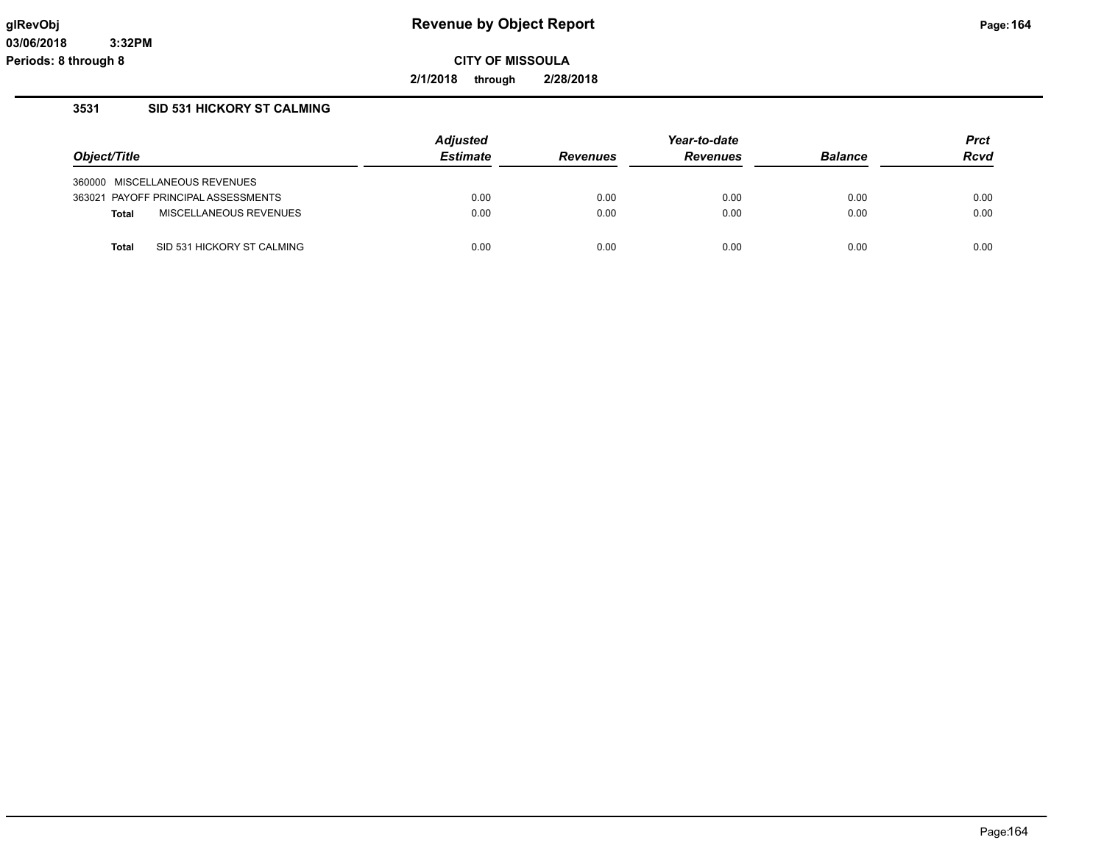**2/1/2018 through 2/28/2018**

## **3531 SID 531 HICKORY ST CALMING**

|                                            | <b>Adjusted</b> | Year-to-date    |                 |                | <b>Prct</b> |
|--------------------------------------------|-----------------|-----------------|-----------------|----------------|-------------|
| Object/Title                               | <b>Estimate</b> | <b>Revenues</b> | <b>Revenues</b> | <b>Balance</b> | <b>Rcvd</b> |
| 360000 MISCELLANEOUS REVENUES              |                 |                 |                 |                |             |
| 363021 PAYOFF PRINCIPAL ASSESSMENTS        | 0.00            | 0.00            | 0.00            | 0.00           | 0.00        |
| MISCELLANEOUS REVENUES<br><b>Total</b>     | 0.00            | 0.00            | 0.00            | 0.00           | 0.00        |
| SID 531 HICKORY ST CALMING<br><b>Total</b> | 0.00            | 0.00            | 0.00            | 0.00           | 0.00        |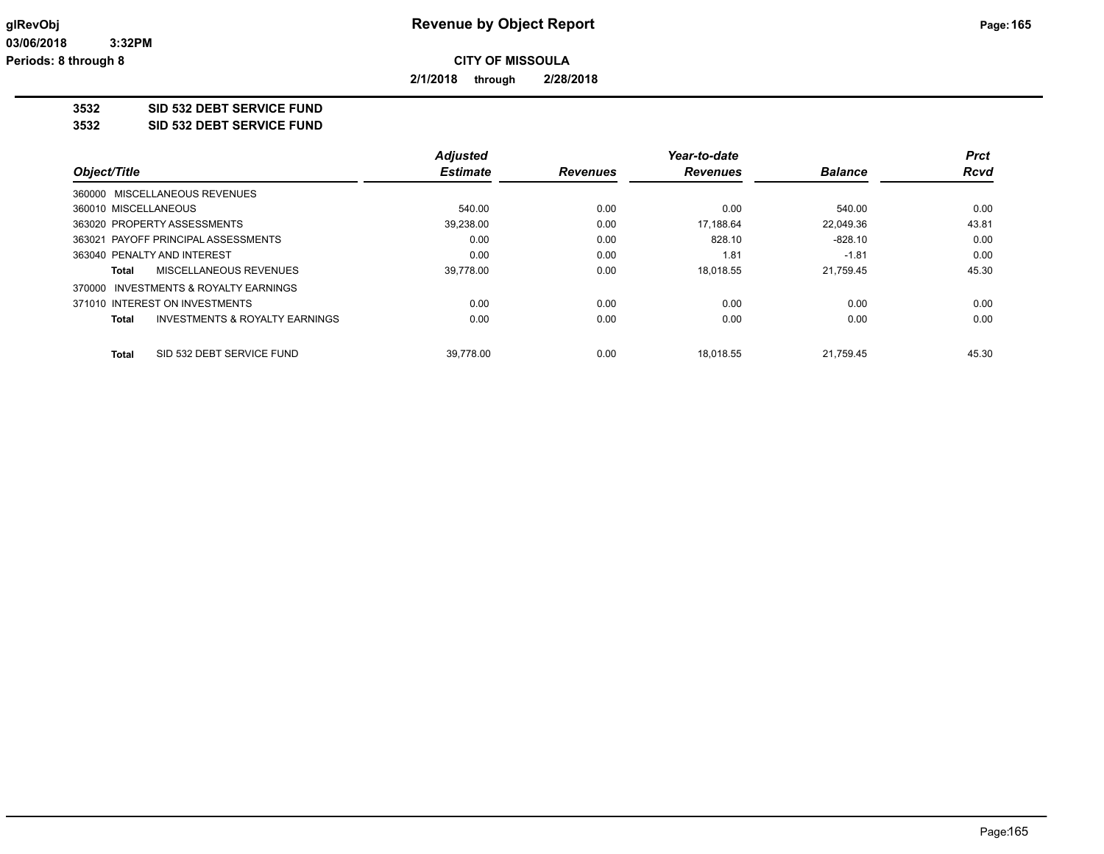**2/1/2018 through 2/28/2018**

### **3532 SID 532 DEBT SERVICE FUND**

**3532 SID 532 DEBT SERVICE FUND**

|                                                           | <b>Adjusted</b> |                 | Year-to-date    |                | <b>Prct</b> |
|-----------------------------------------------------------|-----------------|-----------------|-----------------|----------------|-------------|
| Object/Title                                              | <b>Estimate</b> | <b>Revenues</b> | <b>Revenues</b> | <b>Balance</b> | <b>Rcvd</b> |
| 360000 MISCELLANEOUS REVENUES                             |                 |                 |                 |                |             |
| 360010 MISCELLANEOUS                                      | 540.00          | 0.00            | 0.00            | 540.00         | 0.00        |
| 363020 PROPERTY ASSESSMENTS                               | 39,238.00       | 0.00            | 17.188.64       | 22,049.36      | 43.81       |
| 363021 PAYOFF PRINCIPAL ASSESSMENTS                       | 0.00            | 0.00            | 828.10          | $-828.10$      | 0.00        |
| 363040 PENALTY AND INTEREST                               | 0.00            | 0.00            | 1.81            | $-1.81$        | 0.00        |
| MISCELLANEOUS REVENUES<br>Total                           | 39.778.00       | 0.00            | 18,018.55       | 21.759.45      | 45.30       |
| 370000 INVESTMENTS & ROYALTY EARNINGS                     |                 |                 |                 |                |             |
| 371010 INTEREST ON INVESTMENTS                            | 0.00            | 0.00            | 0.00            | 0.00           | 0.00        |
| <b>INVESTMENTS &amp; ROYALTY EARNINGS</b><br><b>Total</b> | 0.00            | 0.00            | 0.00            | 0.00           | 0.00        |
| SID 532 DEBT SERVICE FUND<br><b>Total</b>                 | 39.778.00       | 0.00            | 18.018.55       | 21.759.45      | 45.30       |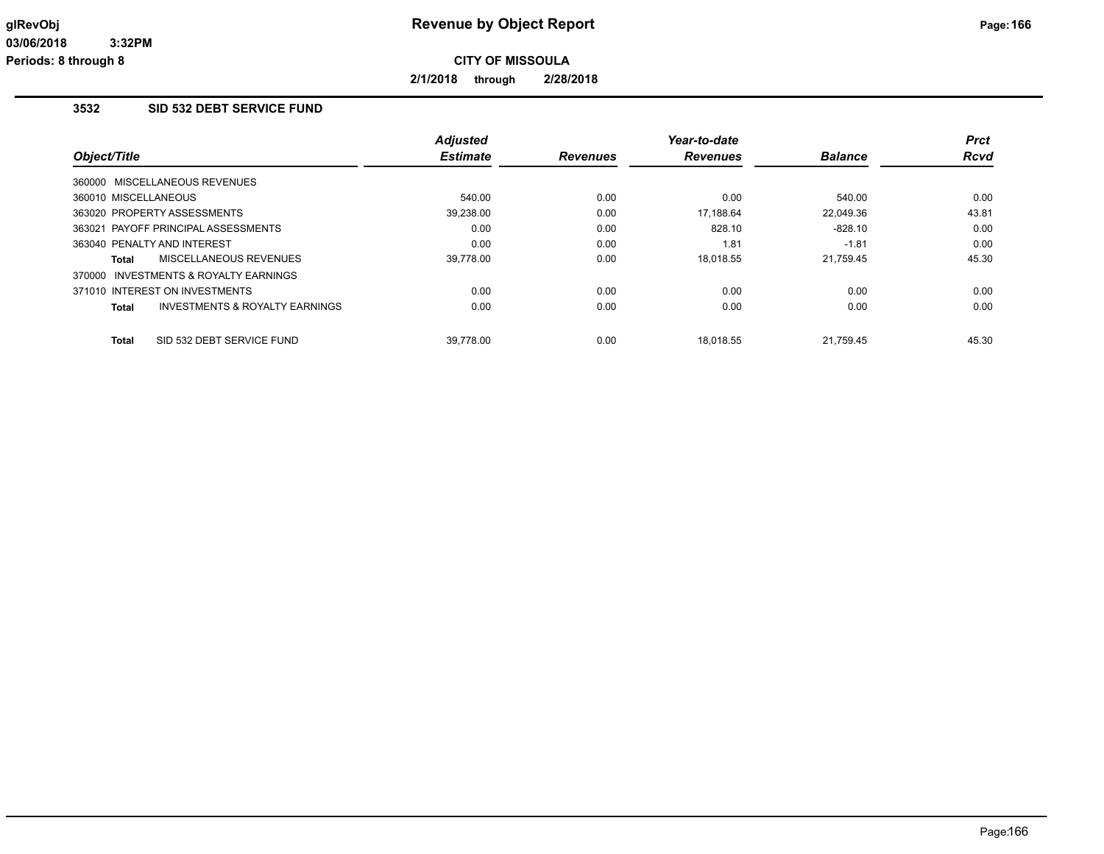**2/1/2018 through 2/28/2018**

# **3532 SID 532 DEBT SERVICE FUND**

| Object/Title                            | <b>Adjusted</b><br><b>Estimate</b> | <b>Revenues</b> | Year-to-date<br><b>Revenues</b> | <b>Balance</b> | <b>Prct</b><br><b>Rcvd</b> |
|-----------------------------------------|------------------------------------|-----------------|---------------------------------|----------------|----------------------------|
|                                         |                                    |                 |                                 |                |                            |
| 360000 MISCELLANEOUS REVENUES           |                                    |                 |                                 |                |                            |
| 360010 MISCELLANEOUS                    | 540.00                             | 0.00            | 0.00                            | 540.00         | 0.00                       |
| 363020 PROPERTY ASSESSMENTS             | 39,238.00                          | 0.00            | 17.188.64                       | 22.049.36      | 43.81                      |
| 363021 PAYOFF PRINCIPAL ASSESSMENTS     | 0.00                               | 0.00            | 828.10                          | $-828.10$      | 0.00                       |
| 363040 PENALTY AND INTEREST             | 0.00                               | 0.00            | 1.81                            | $-1.81$        | 0.00                       |
| MISCELLANEOUS REVENUES<br>Total         | 39,778.00                          | 0.00            | 18.018.55                       | 21,759.45      | 45.30                      |
| 370000 INVESTMENTS & ROYALTY EARNINGS   |                                    |                 |                                 |                |                            |
| 371010 INTEREST ON INVESTMENTS          | 0.00                               | 0.00            | 0.00                            | 0.00           | 0.00                       |
| INVESTMENTS & ROYALTY EARNINGS<br>Total | 0.00                               | 0.00            | 0.00                            | 0.00           | 0.00                       |
|                                         |                                    |                 |                                 |                |                            |
| SID 532 DEBT SERVICE FUND<br>Total      | 39.778.00                          | 0.00            | 18.018.55                       | 21.759.45      | 45.30                      |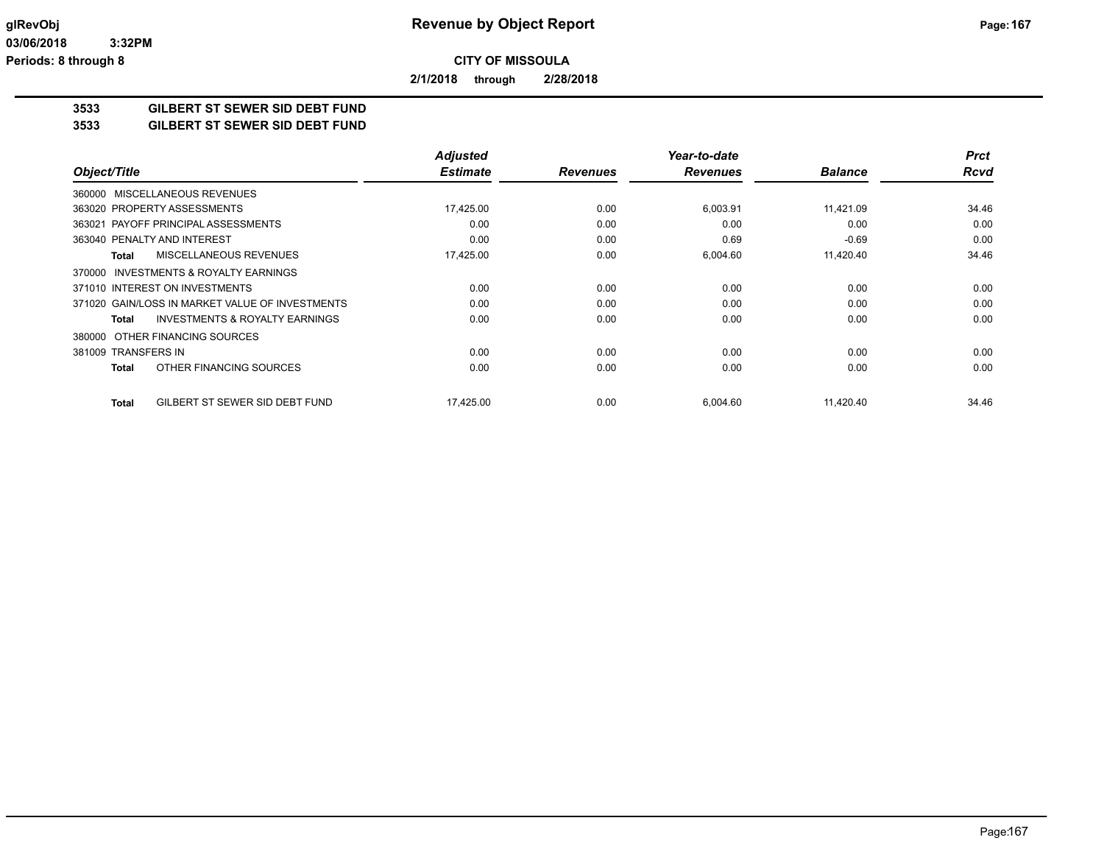**2/1/2018 through 2/28/2018**

# **3533 GILBERT ST SEWER SID DEBT FUND**

**3533 GILBERT ST SEWER SID DEBT FUND**

|                                                    | <b>Adjusted</b> |                 | Year-to-date    |                | <b>Prct</b> |
|----------------------------------------------------|-----------------|-----------------|-----------------|----------------|-------------|
| Object/Title                                       | <b>Estimate</b> | <b>Revenues</b> | <b>Revenues</b> | <b>Balance</b> | <b>Rcvd</b> |
| 360000 MISCELLANEOUS REVENUES                      |                 |                 |                 |                |             |
| 363020 PROPERTY ASSESSMENTS                        | 17,425.00       | 0.00            | 6,003.91        | 11,421.09      | 34.46       |
| 363021 PAYOFF PRINCIPAL ASSESSMENTS                | 0.00            | 0.00            | 0.00            | 0.00           | 0.00        |
| 363040 PENALTY AND INTEREST                        | 0.00            | 0.00            | 0.69            | $-0.69$        | 0.00        |
| MISCELLANEOUS REVENUES<br><b>Total</b>             | 17,425.00       | 0.00            | 6,004.60        | 11,420.40      | 34.46       |
| 370000 INVESTMENTS & ROYALTY EARNINGS              |                 |                 |                 |                |             |
| 371010 INTEREST ON INVESTMENTS                     | 0.00            | 0.00            | 0.00            | 0.00           | 0.00        |
| 371020 GAIN/LOSS IN MARKET VALUE OF INVESTMENTS    | 0.00            | 0.00            | 0.00            | 0.00           | 0.00        |
| <b>INVESTMENTS &amp; ROYALTY EARNINGS</b><br>Total | 0.00            | 0.00            | 0.00            | 0.00           | 0.00        |
| OTHER FINANCING SOURCES<br>380000                  |                 |                 |                 |                |             |
| 381009 TRANSFERS IN                                | 0.00            | 0.00            | 0.00            | 0.00           | 0.00        |
| OTHER FINANCING SOURCES<br>Total                   | 0.00            | 0.00            | 0.00            | 0.00           | 0.00        |
| GILBERT ST SEWER SID DEBT FUND<br><b>Total</b>     | 17,425.00       | 0.00            | 6,004.60        | 11,420.40      | 34.46       |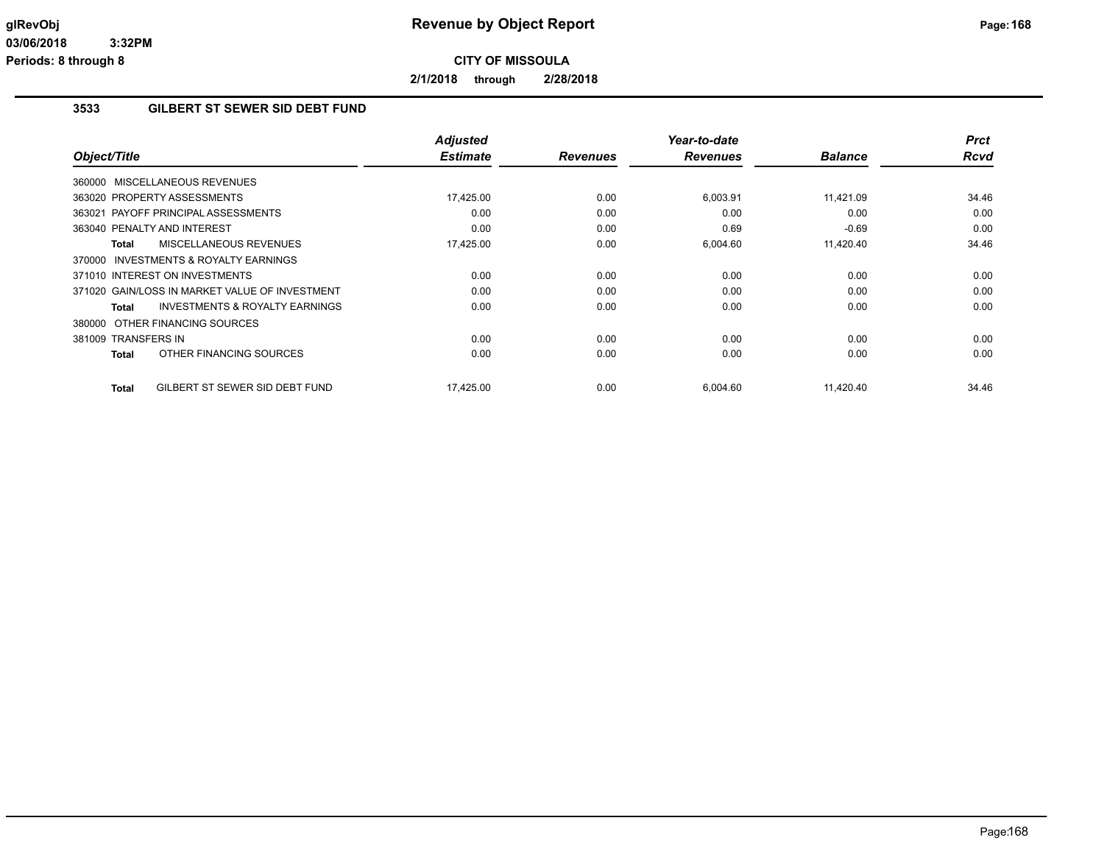**2/1/2018 through 2/28/2018**

### **3533 GILBERT ST SEWER SID DEBT FUND**

| Object/Title                                       | <b>Adjusted</b><br><b>Estimate</b> | <b>Revenues</b> | Year-to-date<br><b>Revenues</b> | <b>Balance</b> | <b>Prct</b><br><b>Rcvd</b> |
|----------------------------------------------------|------------------------------------|-----------------|---------------------------------|----------------|----------------------------|
|                                                    |                                    |                 |                                 |                |                            |
| 360000 MISCELLANEOUS REVENUES                      |                                    |                 |                                 |                |                            |
| 363020 PROPERTY ASSESSMENTS                        | 17,425.00                          | 0.00            | 6,003.91                        | 11,421.09      | 34.46                      |
| 363021 PAYOFF PRINCIPAL ASSESSMENTS                | 0.00                               | 0.00            | 0.00                            | 0.00           | 0.00                       |
| 363040 PENALTY AND INTEREST                        | 0.00                               | 0.00            | 0.69                            | $-0.69$        | 0.00                       |
| MISCELLANEOUS REVENUES<br>Total                    | 17,425.00                          | 0.00            | 6,004.60                        | 11,420.40      | 34.46                      |
| 370000 INVESTMENTS & ROYALTY EARNINGS              |                                    |                 |                                 |                |                            |
| 371010 INTEREST ON INVESTMENTS                     | 0.00                               | 0.00            | 0.00                            | 0.00           | 0.00                       |
| 371020 GAIN/LOSS IN MARKET VALUE OF INVESTMENT     | 0.00                               | 0.00            | 0.00                            | 0.00           | 0.00                       |
| <b>INVESTMENTS &amp; ROYALTY EARNINGS</b><br>Total | 0.00                               | 0.00            | 0.00                            | 0.00           | 0.00                       |
| 380000 OTHER FINANCING SOURCES                     |                                    |                 |                                 |                |                            |
| 381009 TRANSFERS IN                                | 0.00                               | 0.00            | 0.00                            | 0.00           | 0.00                       |
| OTHER FINANCING SOURCES<br>Total                   | 0.00                               | 0.00            | 0.00                            | 0.00           | 0.00                       |
| GILBERT ST SEWER SID DEBT FUND<br><b>Total</b>     | 17,425.00                          | 0.00            | 6,004.60                        | 11,420.40      | 34.46                      |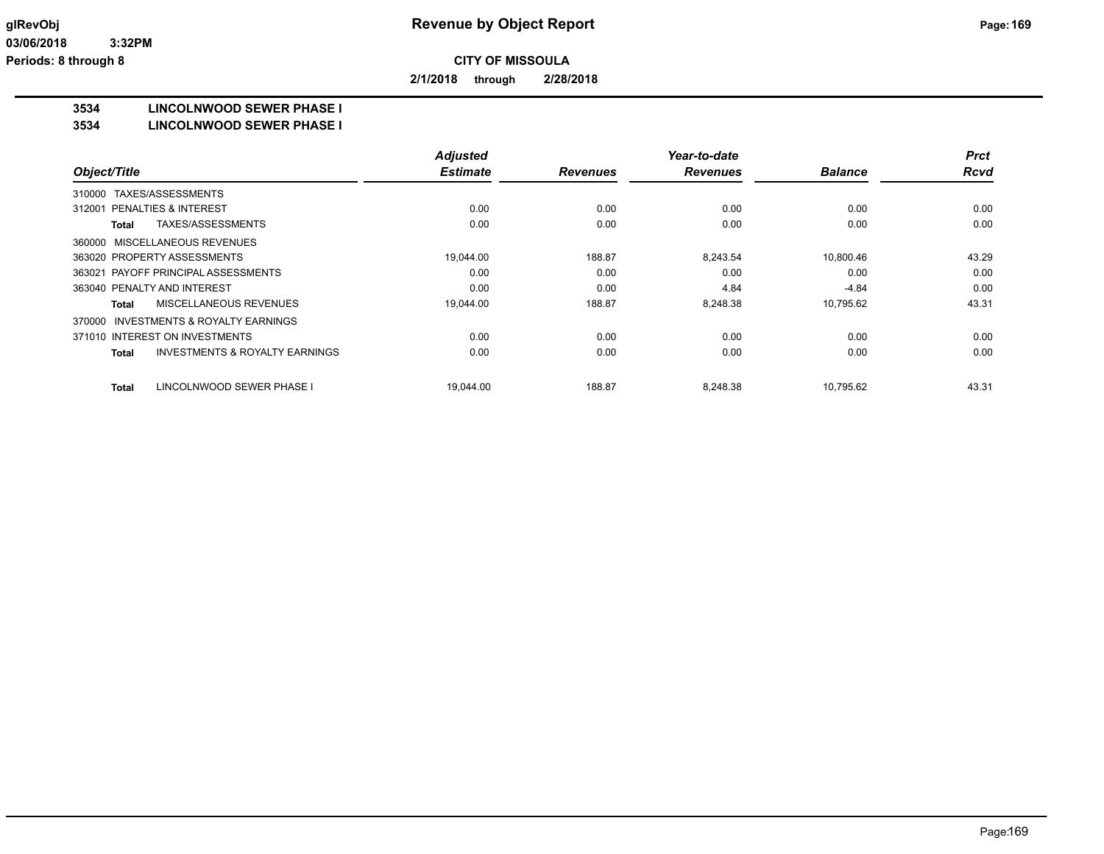**2/1/2018 through 2/28/2018**

### **3534 LINCOLNWOOD SEWER PHASE I**

#### **3534 LINCOLNWOOD SEWER PHASE I**

|                                                     | <b>Adjusted</b> |                 | Year-to-date    |                | <b>Prct</b> |
|-----------------------------------------------------|-----------------|-----------------|-----------------|----------------|-------------|
| Object/Title                                        | <b>Estimate</b> | <b>Revenues</b> | <b>Revenues</b> | <b>Balance</b> | <b>Rcvd</b> |
| TAXES/ASSESSMENTS<br>310000                         |                 |                 |                 |                |             |
| 312001 PENALTIES & INTEREST                         | 0.00            | 0.00            | 0.00            | 0.00           | 0.00        |
| TAXES/ASSESSMENTS<br>Total                          | 0.00            | 0.00            | 0.00            | 0.00           | 0.00        |
| 360000 MISCELLANEOUS REVENUES                       |                 |                 |                 |                |             |
| 363020 PROPERTY ASSESSMENTS                         | 19,044.00       | 188.87          | 8.243.54        | 10,800.46      | 43.29       |
| 363021 PAYOFF PRINCIPAL ASSESSMENTS                 | 0.00            | 0.00            | 0.00            | 0.00           | 0.00        |
| 363040 PENALTY AND INTEREST                         | 0.00            | 0.00            | 4.84            | $-4.84$        | 0.00        |
| MISCELLANEOUS REVENUES<br>Total                     | 19,044.00       | 188.87          | 8,248.38        | 10,795.62      | 43.31       |
| <b>INVESTMENTS &amp; ROYALTY EARNINGS</b><br>370000 |                 |                 |                 |                |             |
| 371010 INTEREST ON INVESTMENTS                      | 0.00            | 0.00            | 0.00            | 0.00           | 0.00        |
| <b>INVESTMENTS &amp; ROYALTY EARNINGS</b><br>Total  | 0.00            | 0.00            | 0.00            | 0.00           | 0.00        |
| LINCOLNWOOD SEWER PHASE I<br>Total                  | 19,044.00       | 188.87          | 8,248.38        | 10,795.62      | 43.31       |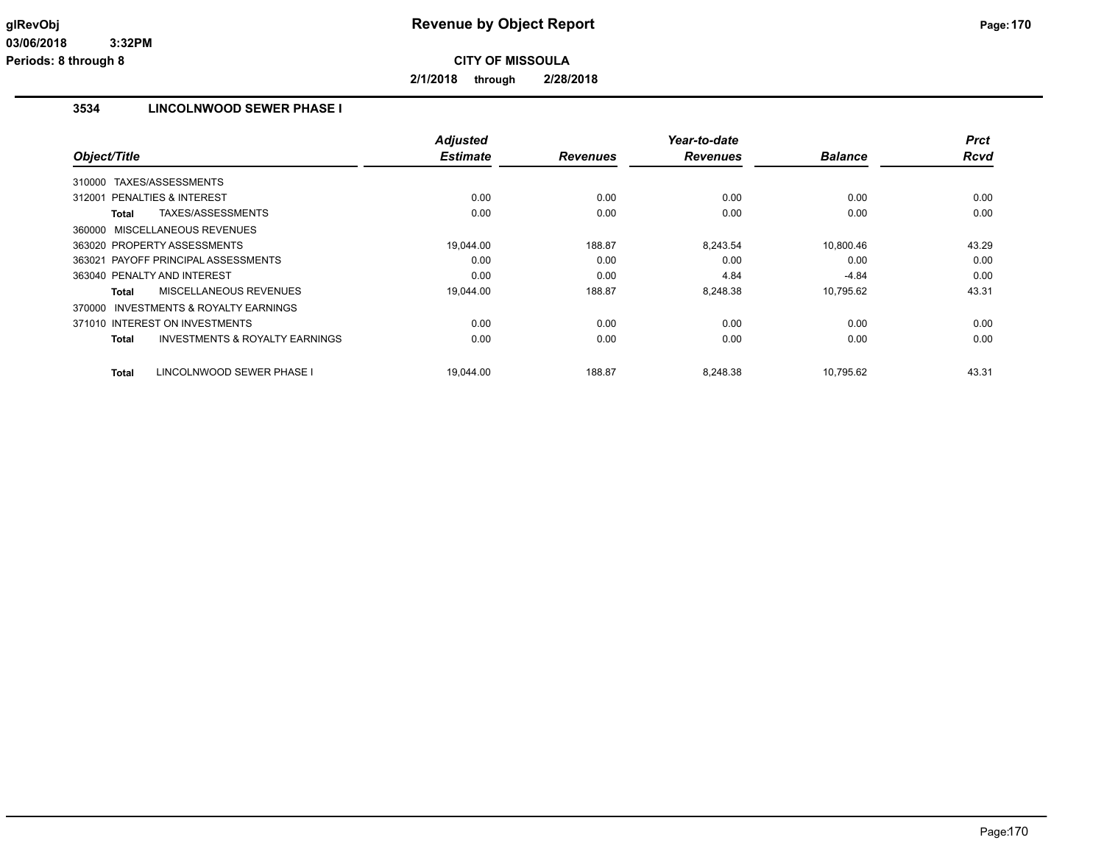**2/1/2018 through 2/28/2018**

## **3534 LINCOLNWOOD SEWER PHASE I**

|                                                     | <b>Adjusted</b> |                 | Year-to-date    |                | <b>Prct</b> |
|-----------------------------------------------------|-----------------|-----------------|-----------------|----------------|-------------|
| Object/Title                                        | <b>Estimate</b> | <b>Revenues</b> | <b>Revenues</b> | <b>Balance</b> | Rcvd        |
| 310000 TAXES/ASSESSMENTS                            |                 |                 |                 |                |             |
| 312001 PENALTIES & INTEREST                         | 0.00            | 0.00            | 0.00            | 0.00           | 0.00        |
| TAXES/ASSESSMENTS<br>Total                          | 0.00            | 0.00            | 0.00            | 0.00           | 0.00        |
| 360000 MISCELLANEOUS REVENUES                       |                 |                 |                 |                |             |
| 363020 PROPERTY ASSESSMENTS                         | 19.044.00       | 188.87          | 8,243.54        | 10.800.46      | 43.29       |
| 363021 PAYOFF PRINCIPAL ASSESSMENTS                 | 0.00            | 0.00            | 0.00            | 0.00           | 0.00        |
| 363040 PENALTY AND INTEREST                         | 0.00            | 0.00            | 4.84            | $-4.84$        | 0.00        |
| MISCELLANEOUS REVENUES<br>Total                     | 19,044.00       | 188.87          | 8,248.38        | 10,795.62      | 43.31       |
| <b>INVESTMENTS &amp; ROYALTY EARNINGS</b><br>370000 |                 |                 |                 |                |             |
| 371010 INTEREST ON INVESTMENTS                      | 0.00            | 0.00            | 0.00            | 0.00           | 0.00        |
| <b>INVESTMENTS &amp; ROYALTY EARNINGS</b><br>Total  | 0.00            | 0.00            | 0.00            | 0.00           | 0.00        |
| LINCOLNWOOD SEWER PHASE I<br><b>Total</b>           | 19.044.00       | 188.87          | 8.248.38        | 10.795.62      | 43.31       |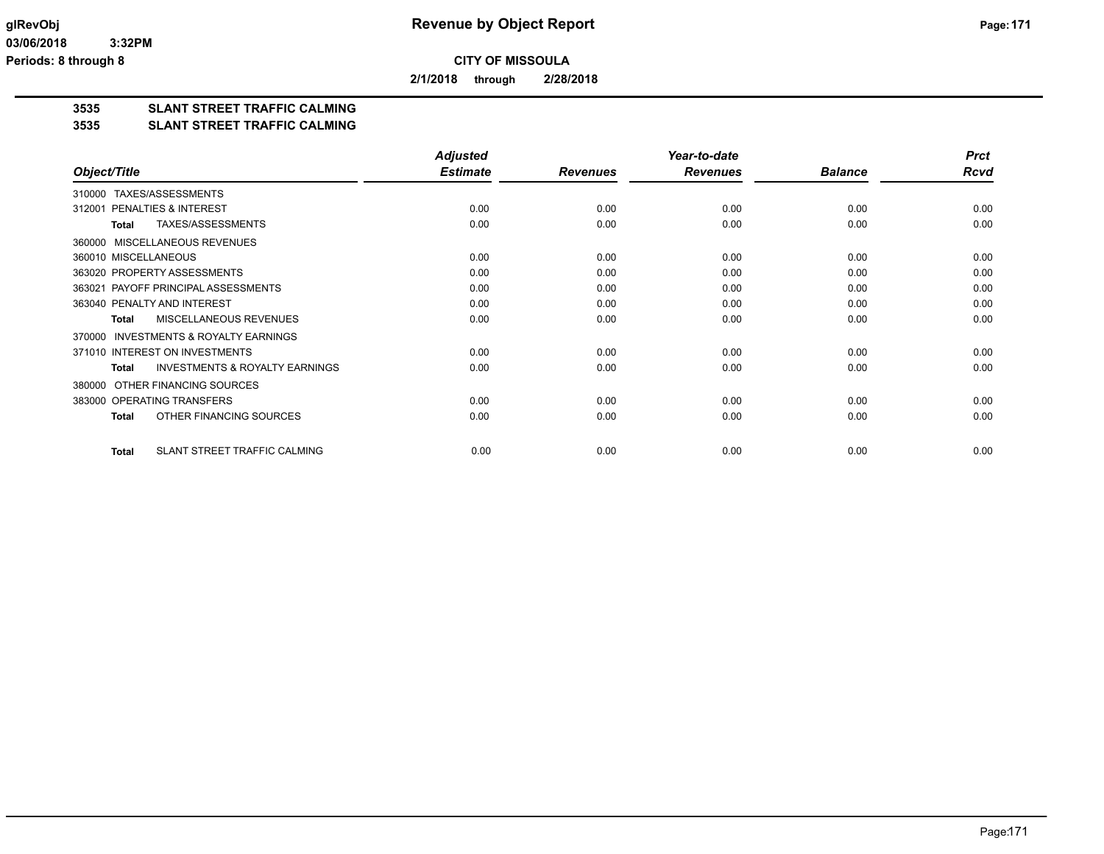**2/1/2018 through 2/28/2018**

# **3535 SLANT STREET TRAFFIC CALMING**

#### **3535 SLANT STREET TRAFFIC CALMING**

|                                                           | <b>Adjusted</b> |                 | Year-to-date    |                | <b>Prct</b> |
|-----------------------------------------------------------|-----------------|-----------------|-----------------|----------------|-------------|
| Object/Title                                              | <b>Estimate</b> | <b>Revenues</b> | <b>Revenues</b> | <b>Balance</b> | <b>Rcvd</b> |
| TAXES/ASSESSMENTS<br>310000                               |                 |                 |                 |                |             |
| PENALTIES & INTEREST<br>312001                            | 0.00            | 0.00            | 0.00            | 0.00           | 0.00        |
| TAXES/ASSESSMENTS<br><b>Total</b>                         | 0.00            | 0.00            | 0.00            | 0.00           | 0.00        |
| MISCELLANEOUS REVENUES<br>360000                          |                 |                 |                 |                |             |
| 360010 MISCELLANEOUS                                      | 0.00            | 0.00            | 0.00            | 0.00           | 0.00        |
| 363020 PROPERTY ASSESSMENTS                               | 0.00            | 0.00            | 0.00            | 0.00           | 0.00        |
| 363021 PAYOFF PRINCIPAL ASSESSMENTS                       | 0.00            | 0.00            | 0.00            | 0.00           | 0.00        |
| 363040 PENALTY AND INTEREST                               | 0.00            | 0.00            | 0.00            | 0.00           | 0.00        |
| MISCELLANEOUS REVENUES<br><b>Total</b>                    | 0.00            | 0.00            | 0.00            | 0.00           | 0.00        |
| <b>INVESTMENTS &amp; ROYALTY EARNINGS</b><br>370000       |                 |                 |                 |                |             |
| 371010 INTEREST ON INVESTMENTS                            | 0.00            | 0.00            | 0.00            | 0.00           | 0.00        |
| <b>INVESTMENTS &amp; ROYALTY EARNINGS</b><br><b>Total</b> | 0.00            | 0.00            | 0.00            | 0.00           | 0.00        |
| OTHER FINANCING SOURCES<br>380000                         |                 |                 |                 |                |             |
| 383000 OPERATING TRANSFERS                                | 0.00            | 0.00            | 0.00            | 0.00           | 0.00        |
| OTHER FINANCING SOURCES<br><b>Total</b>                   | 0.00            | 0.00            | 0.00            | 0.00           | 0.00        |
| SLANT STREET TRAFFIC CALMING<br>Total                     | 0.00            | 0.00            | 0.00            | 0.00           | 0.00        |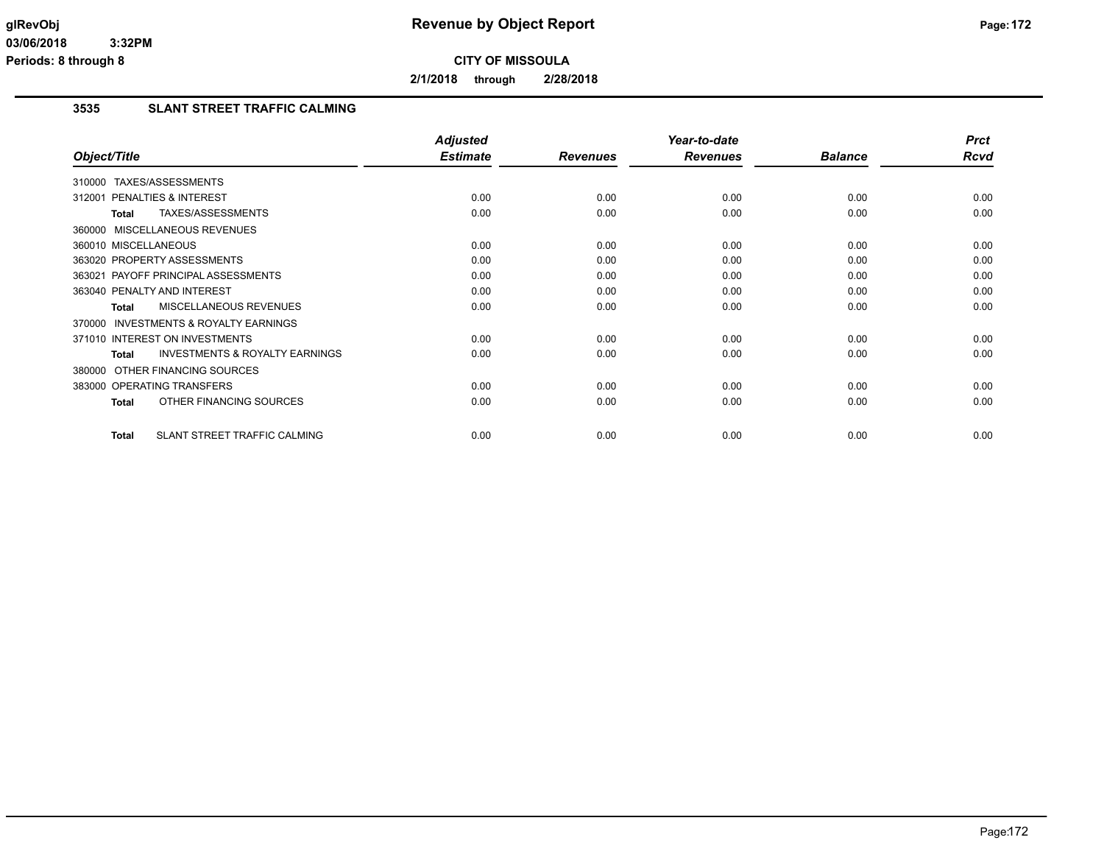**2/1/2018 through 2/28/2018**

### **3535 SLANT STREET TRAFFIC CALMING**

|                                                     | <b>Adjusted</b> |                 | Year-to-date    |                | <b>Prct</b> |
|-----------------------------------------------------|-----------------|-----------------|-----------------|----------------|-------------|
| Object/Title                                        | <b>Estimate</b> | <b>Revenues</b> | <b>Revenues</b> | <b>Balance</b> | Rcvd        |
| TAXES/ASSESSMENTS<br>310000                         |                 |                 |                 |                |             |
| 312001 PENALTIES & INTEREST                         | 0.00            | 0.00            | 0.00            | 0.00           | 0.00        |
| TAXES/ASSESSMENTS<br>Total                          | 0.00            | 0.00            | 0.00            | 0.00           | 0.00        |
| 360000 MISCELLANEOUS REVENUES                       |                 |                 |                 |                |             |
| 360010 MISCELLANEOUS                                | 0.00            | 0.00            | 0.00            | 0.00           | 0.00        |
| 363020 PROPERTY ASSESSMENTS                         | 0.00            | 0.00            | 0.00            | 0.00           | 0.00        |
| 363021 PAYOFF PRINCIPAL ASSESSMENTS                 | 0.00            | 0.00            | 0.00            | 0.00           | 0.00        |
| 363040 PENALTY AND INTEREST                         | 0.00            | 0.00            | 0.00            | 0.00           | 0.00        |
| <b>MISCELLANEOUS REVENUES</b><br>Total              | 0.00            | 0.00            | 0.00            | 0.00           | 0.00        |
| <b>INVESTMENTS &amp; ROYALTY EARNINGS</b><br>370000 |                 |                 |                 |                |             |
| 371010 INTEREST ON INVESTMENTS                      | 0.00            | 0.00            | 0.00            | 0.00           | 0.00        |
| <b>INVESTMENTS &amp; ROYALTY EARNINGS</b><br>Total  | 0.00            | 0.00            | 0.00            | 0.00           | 0.00        |
| 380000 OTHER FINANCING SOURCES                      |                 |                 |                 |                |             |
| 383000 OPERATING TRANSFERS                          | 0.00            | 0.00            | 0.00            | 0.00           | 0.00        |
| OTHER FINANCING SOURCES<br><b>Total</b>             | 0.00            | 0.00            | 0.00            | 0.00           | 0.00        |
| <b>SLANT STREET TRAFFIC CALMING</b><br><b>Total</b> | 0.00            | 0.00            | 0.00            | 0.00           | 0.00        |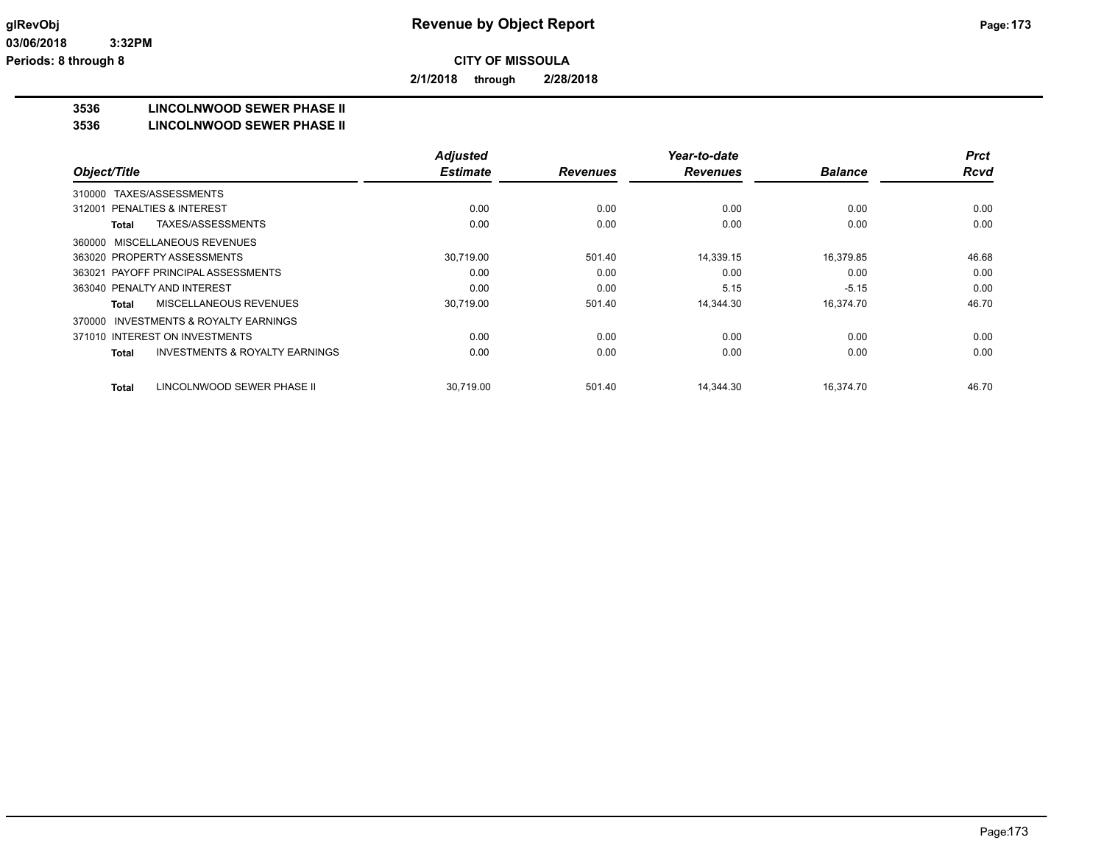**2/1/2018 through 2/28/2018**

### **3536 LINCOLNWOOD SEWER PHASE II**

#### **3536 LINCOLNWOOD SEWER PHASE II**

|                                                           | <b>Adjusted</b> |                 | Year-to-date    |                | <b>Prct</b> |
|-----------------------------------------------------------|-----------------|-----------------|-----------------|----------------|-------------|
| Object/Title                                              | <b>Estimate</b> | <b>Revenues</b> | <b>Revenues</b> | <b>Balance</b> | <b>Rcvd</b> |
| TAXES/ASSESSMENTS<br>310000                               |                 |                 |                 |                |             |
| PENALTIES & INTEREST<br>312001                            | 0.00            | 0.00            | 0.00            | 0.00           | 0.00        |
| TAXES/ASSESSMENTS<br>Total                                | 0.00            | 0.00            | 0.00            | 0.00           | 0.00        |
| 360000 MISCELLANEOUS REVENUES                             |                 |                 |                 |                |             |
| 363020 PROPERTY ASSESSMENTS                               | 30,719.00       | 501.40          | 14,339.15       | 16,379.85      | 46.68       |
| 363021 PAYOFF PRINCIPAL ASSESSMENTS                       | 0.00            | 0.00            | 0.00            | 0.00           | 0.00        |
| 363040 PENALTY AND INTEREST                               | 0.00            | 0.00            | 5.15            | $-5.15$        | 0.00        |
| MISCELLANEOUS REVENUES<br>Total                           | 30,719.00       | 501.40          | 14,344.30       | 16,374.70      | 46.70       |
| INVESTMENTS & ROYALTY EARNINGS<br>370000                  |                 |                 |                 |                |             |
| 371010 INTEREST ON INVESTMENTS                            | 0.00            | 0.00            | 0.00            | 0.00           | 0.00        |
| <b>INVESTMENTS &amp; ROYALTY EARNINGS</b><br><b>Total</b> | 0.00            | 0.00            | 0.00            | 0.00           | 0.00        |
| LINCOLNWOOD SEWER PHASE II<br>Total                       | 30,719.00       | 501.40          | 14.344.30       | 16,374.70      | 46.70       |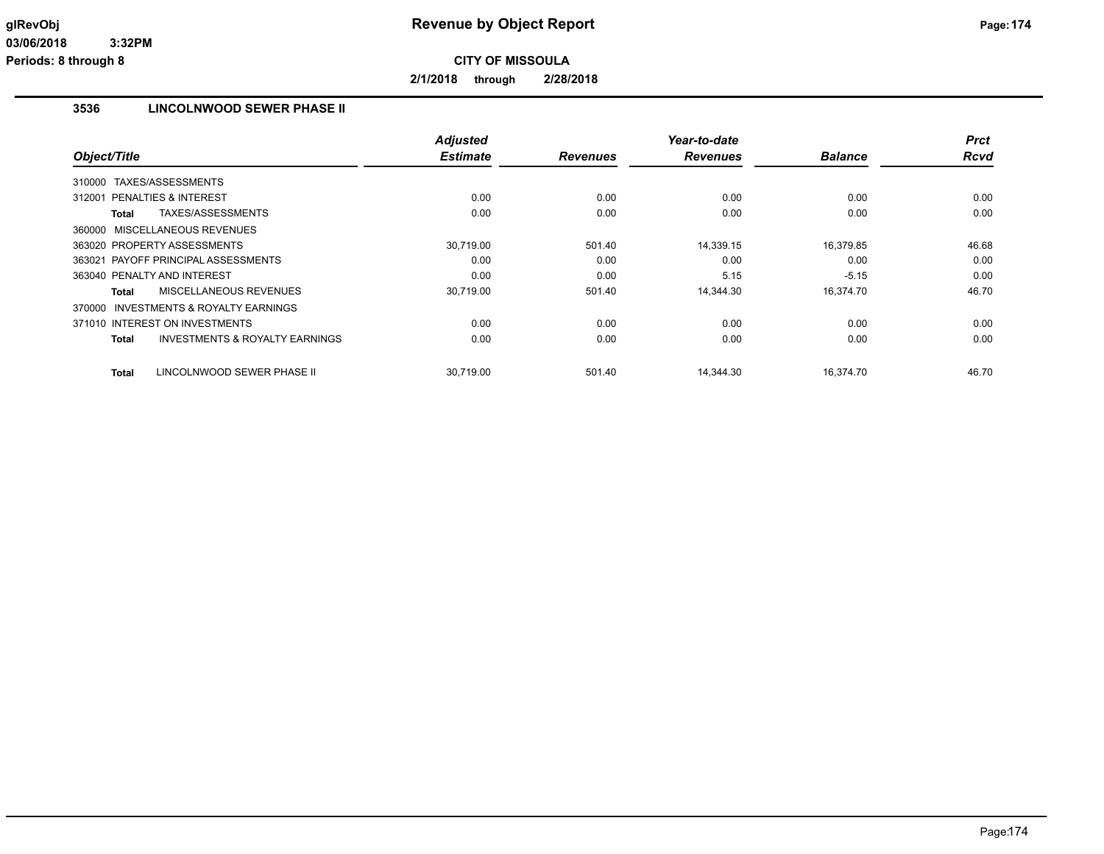**2/1/2018 through 2/28/2018**

# **3536 LINCOLNWOOD SEWER PHASE II**

| Object/Title                                              | <b>Adjusted</b><br><b>Estimate</b> | <b>Revenues</b> | Year-to-date<br><b>Revenues</b> | <b>Balance</b> | <b>Prct</b><br><b>Rcvd</b> |
|-----------------------------------------------------------|------------------------------------|-----------------|---------------------------------|----------------|----------------------------|
|                                                           |                                    |                 |                                 |                |                            |
| TAXES/ASSESSMENTS<br>310000                               |                                    |                 |                                 |                |                            |
| <b>PENALTIES &amp; INTEREST</b><br>312001                 | 0.00                               | 0.00            | 0.00                            | 0.00           | 0.00                       |
| TAXES/ASSESSMENTS<br>Total                                | 0.00                               | 0.00            | 0.00                            | 0.00           | 0.00                       |
| 360000 MISCELLANEOUS REVENUES                             |                                    |                 |                                 |                |                            |
| 363020 PROPERTY ASSESSMENTS                               | 30.719.00                          | 501.40          | 14,339.15                       | 16,379.85      | 46.68                      |
| 363021 PAYOFF PRINCIPAL ASSESSMENTS                       | 0.00                               | 0.00            | 0.00                            | 0.00           | 0.00                       |
| 363040 PENALTY AND INTEREST                               | 0.00                               | 0.00            | 5.15                            | $-5.15$        | 0.00                       |
| MISCELLANEOUS REVENUES<br>Total                           | 30,719.00                          | 501.40          | 14.344.30                       | 16,374.70      | 46.70                      |
| <b>INVESTMENTS &amp; ROYALTY EARNINGS</b><br>370000       |                                    |                 |                                 |                |                            |
| 371010 INTEREST ON INVESTMENTS                            | 0.00                               | 0.00            | 0.00                            | 0.00           | 0.00                       |
| <b>INVESTMENTS &amp; ROYALTY EARNINGS</b><br><b>Total</b> | 0.00                               | 0.00            | 0.00                            | 0.00           | 0.00                       |
| LINCOLNWOOD SEWER PHASE II<br><b>Total</b>                | 30.719.00                          | 501.40          | 14.344.30                       | 16.374.70      | 46.70                      |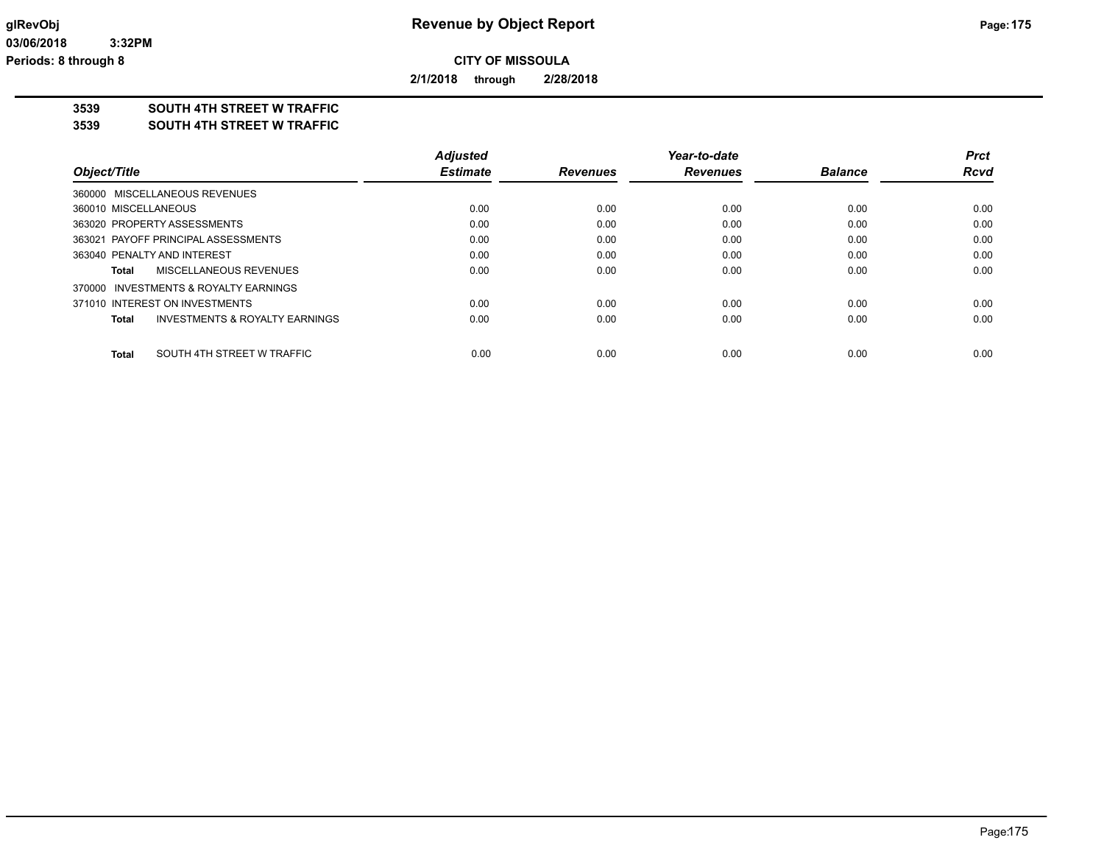**2/1/2018 through 2/28/2018**

### **3539 SOUTH 4TH STREET W TRAFFIC**

#### **3539 SOUTH 4TH STREET W TRAFFIC**

|                                            | <b>Adjusted</b> |                 | Year-to-date    |                | Prct        |
|--------------------------------------------|-----------------|-----------------|-----------------|----------------|-------------|
| Object/Title                               | <b>Estimate</b> | <b>Revenues</b> | <b>Revenues</b> | <b>Balance</b> | <b>Rcvd</b> |
| 360000 MISCELLANEOUS REVENUES              |                 |                 |                 |                |             |
| 360010 MISCELLANEOUS                       | 0.00            | 0.00            | 0.00            | 0.00           | 0.00        |
| 363020 PROPERTY ASSESSMENTS                | 0.00            | 0.00            | 0.00            | 0.00           | 0.00        |
| 363021 PAYOFF PRINCIPAL ASSESSMENTS        | 0.00            | 0.00            | 0.00            | 0.00           | 0.00        |
| 363040 PENALTY AND INTEREST                | 0.00            | 0.00            | 0.00            | 0.00           | 0.00        |
| MISCELLANEOUS REVENUES<br>Total            | 0.00            | 0.00            | 0.00            | 0.00           | 0.00        |
| 370000 INVESTMENTS & ROYALTY EARNINGS      |                 |                 |                 |                |             |
| 371010 INTEREST ON INVESTMENTS             | 0.00            | 0.00            | 0.00            | 0.00           | 0.00        |
| INVESTMENTS & ROYALTY EARNINGS<br>Total    | 0.00            | 0.00            | 0.00            | 0.00           | 0.00        |
| SOUTH 4TH STREET W TRAFFIC<br><b>Total</b> | 0.00            | 0.00            | 0.00            | 0.00           | 0.00        |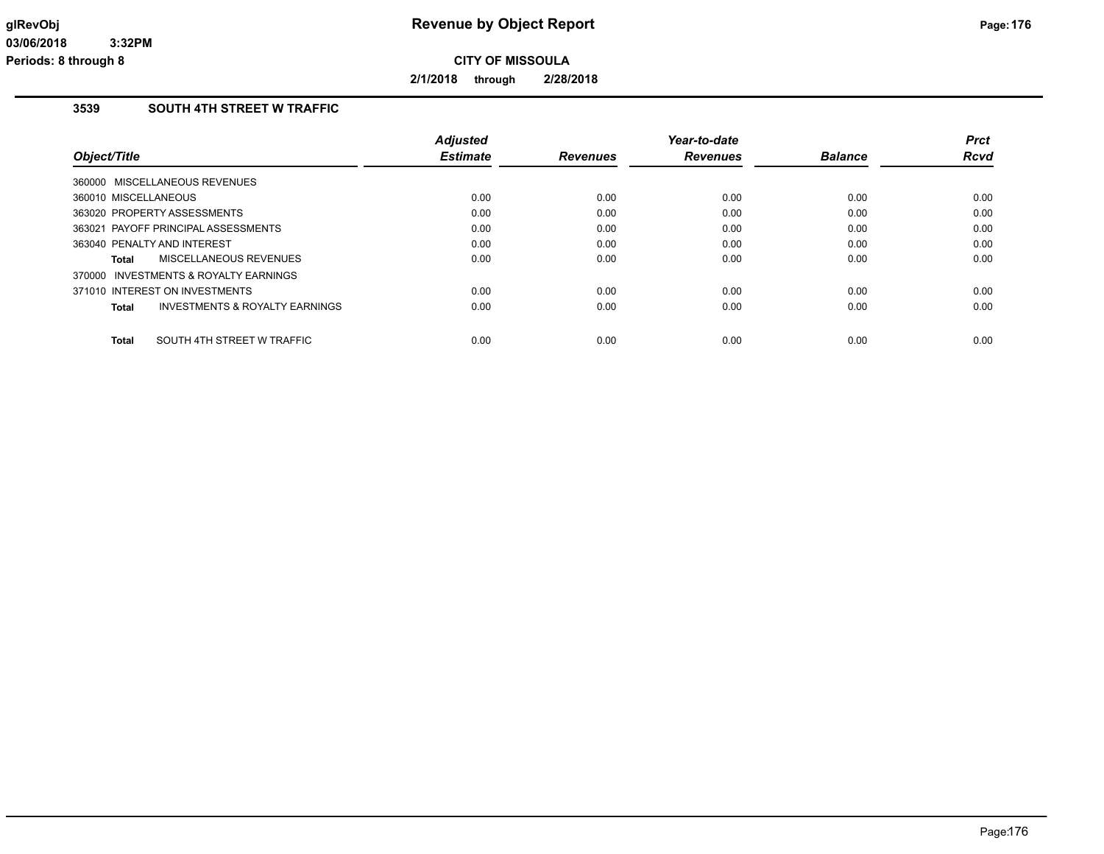**2/1/2018 through 2/28/2018**

### **3539 SOUTH 4TH STREET W TRAFFIC**

| <b>Adjusted</b><br><b>Estimate</b> | <b>Revenues</b> | Year-to-date<br><b>Revenues</b> | <b>Balance</b> | <b>Prct</b><br>Rcvd |
|------------------------------------|-----------------|---------------------------------|----------------|---------------------|
|                                    |                 |                                 |                |                     |
| 0.00                               | 0.00            | 0.00                            | 0.00           | 0.00                |
| 0.00                               | 0.00            | 0.00                            | 0.00           | 0.00                |
| 0.00                               | 0.00            | 0.00                            | 0.00           | 0.00                |
| 0.00                               | 0.00            | 0.00                            | 0.00           | 0.00                |
| 0.00                               | 0.00            | 0.00                            | 0.00           | 0.00                |
|                                    |                 |                                 |                |                     |
| 0.00                               | 0.00            | 0.00                            | 0.00           | 0.00                |
| 0.00                               | 0.00            | 0.00                            | 0.00           | 0.00                |
|                                    |                 |                                 |                | 0.00                |
|                                    | 0.00            | 0.00                            | 0.00           | 0.00                |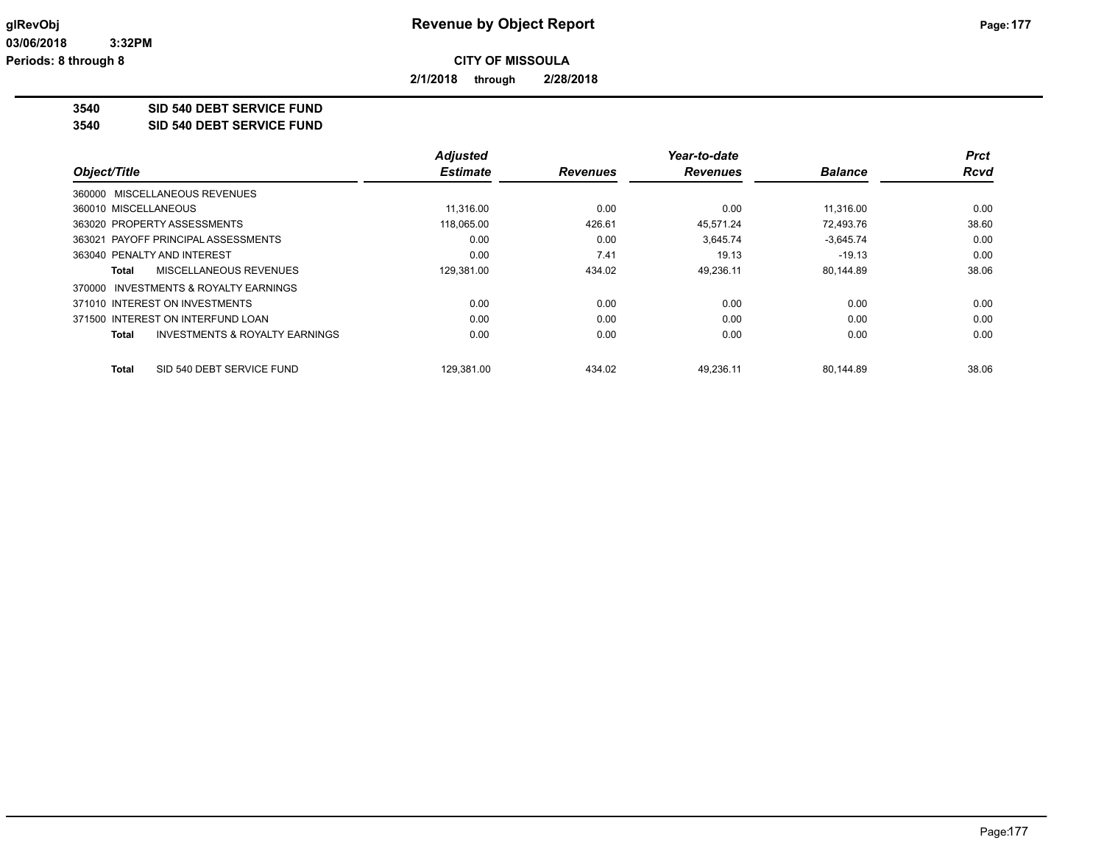**2/1/2018 through 2/28/2018**

**3540 SID 540 DEBT SERVICE FUND**

**3540 SID 540 DEBT SERVICE FUND**

|                                                           | <b>Adjusted</b> |                 | Year-to-date    |                | <b>Prct</b> |
|-----------------------------------------------------------|-----------------|-----------------|-----------------|----------------|-------------|
| Object/Title                                              | <b>Estimate</b> | <b>Revenues</b> | <b>Revenues</b> | <b>Balance</b> | <b>Rcvd</b> |
| 360000 MISCELLANEOUS REVENUES                             |                 |                 |                 |                |             |
| 360010 MISCELLANEOUS                                      | 11.316.00       | 0.00            | 0.00            | 11.316.00      | 0.00        |
| 363020 PROPERTY ASSESSMENTS                               | 118,065.00      | 426.61          | 45.571.24       | 72,493.76      | 38.60       |
| 363021 PAYOFF PRINCIPAL ASSESSMENTS                       | 0.00            | 0.00            | 3,645.74        | $-3,645.74$    | 0.00        |
| 363040 PENALTY AND INTEREST                               | 0.00            | 7.41            | 19.13           | $-19.13$       | 0.00        |
| MISCELLANEOUS REVENUES<br>Total                           | 129.381.00      | 434.02          | 49.236.11       | 80.144.89      | 38.06       |
| INVESTMENTS & ROYALTY EARNINGS<br>370000                  |                 |                 |                 |                |             |
| 371010 INTEREST ON INVESTMENTS                            | 0.00            | 0.00            | 0.00            | 0.00           | 0.00        |
| 371500 INTEREST ON INTERFUND LOAN                         | 0.00            | 0.00            | 0.00            | 0.00           | 0.00        |
| <b>INVESTMENTS &amp; ROYALTY EARNINGS</b><br><b>Total</b> | 0.00            | 0.00            | 0.00            | 0.00           | 0.00        |
| SID 540 DEBT SERVICE FUND<br>Total                        | 129.381.00      | 434.02          | 49.236.11       | 80.144.89      | 38.06       |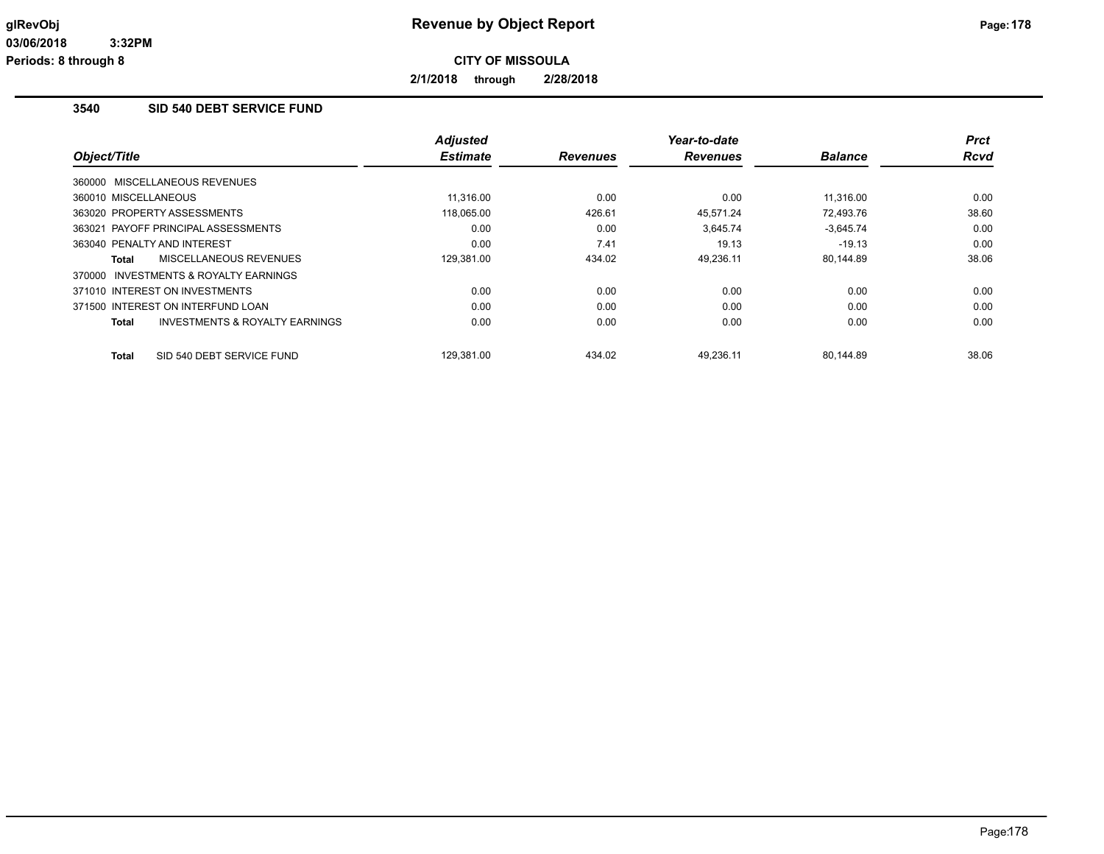**2/1/2018 through 2/28/2018**

### **3540 SID 540 DEBT SERVICE FUND**

|                                                    | <b>Adjusted</b> |                 | Year-to-date    |                | <b>Prct</b> |
|----------------------------------------------------|-----------------|-----------------|-----------------|----------------|-------------|
| Object/Title                                       | <b>Estimate</b> | <b>Revenues</b> | <b>Revenues</b> | <b>Balance</b> | <b>Rcvd</b> |
| 360000 MISCELLANEOUS REVENUES                      |                 |                 |                 |                |             |
| 360010 MISCELLANEOUS                               | 11.316.00       | 0.00            | 0.00            | 11.316.00      | 0.00        |
| 363020 PROPERTY ASSESSMENTS                        | 118,065.00      | 426.61          | 45.571.24       | 72.493.76      | 38.60       |
| 363021 PAYOFF PRINCIPAL ASSESSMENTS                | 0.00            | 0.00            | 3,645.74        | $-3,645.74$    | 0.00        |
| 363040 PENALTY AND INTEREST                        | 0.00            | 7.41            | 19.13           | $-19.13$       | 0.00        |
| MISCELLANEOUS REVENUES<br>Total                    | 129,381.00      | 434.02          | 49,236.11       | 80,144.89      | 38.06       |
| 370000 INVESTMENTS & ROYALTY EARNINGS              |                 |                 |                 |                |             |
| 371010 INTEREST ON INVESTMENTS                     | 0.00            | 0.00            | 0.00            | 0.00           | 0.00        |
| 371500 INTEREST ON INTERFUND LOAN                  | 0.00            | 0.00            | 0.00            | 0.00           | 0.00        |
| <b>INVESTMENTS &amp; ROYALTY EARNINGS</b><br>Total | 0.00            | 0.00            | 0.00            | 0.00           | 0.00        |
| SID 540 DEBT SERVICE FUND<br>Total                 | 129.381.00      | 434.02          | 49.236.11       | 80.144.89      | 38.06       |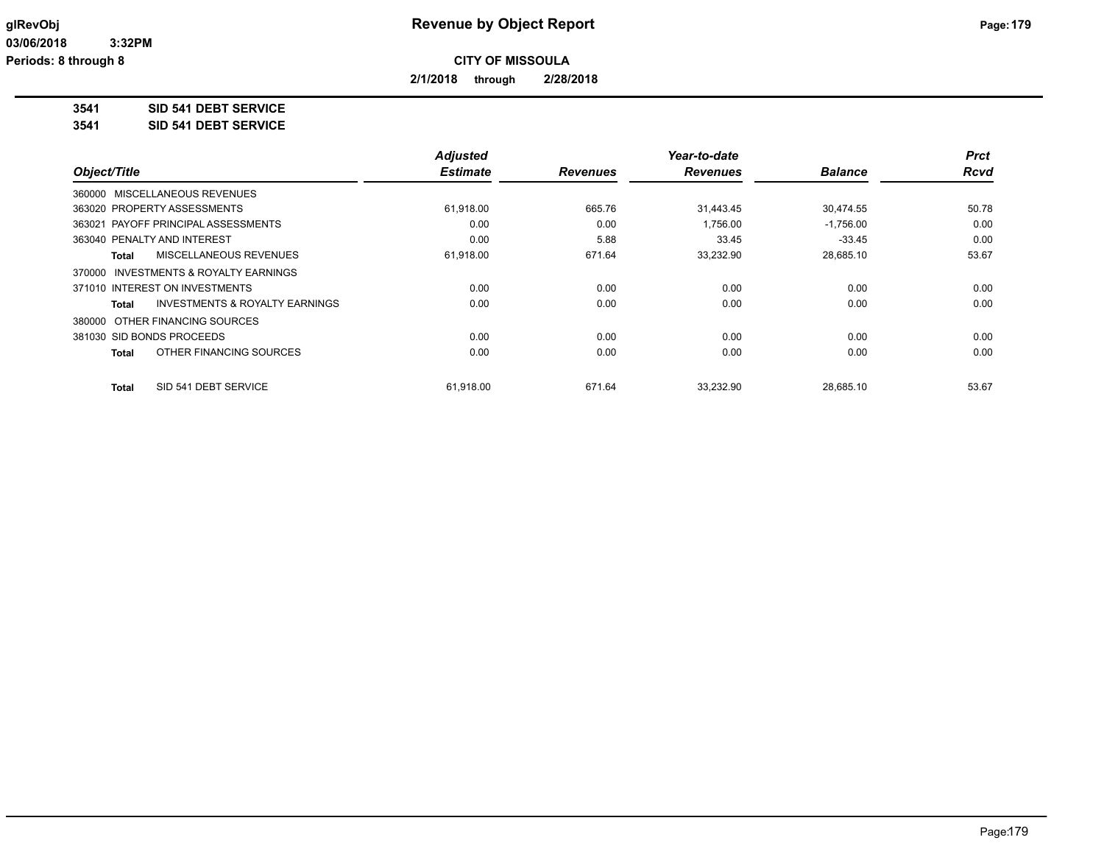**2/1/2018 through 2/28/2018**

**3541 SID 541 DEBT SERVICE**

**3541 SID 541 DEBT SERVICE**

|                                         | <b>Adjusted</b> |                 | Year-to-date    |                | <b>Prct</b> |
|-----------------------------------------|-----------------|-----------------|-----------------|----------------|-------------|
| Object/Title                            | <b>Estimate</b> | <b>Revenues</b> | <b>Revenues</b> | <b>Balance</b> | <b>Rcvd</b> |
| 360000 MISCELLANEOUS REVENUES           |                 |                 |                 |                |             |
| 363020 PROPERTY ASSESSMENTS             | 61,918.00       | 665.76          | 31,443.45       | 30,474.55      | 50.78       |
| 363021 PAYOFF PRINCIPAL ASSESSMENTS     | 0.00            | 0.00            | 1,756.00        | $-1,756.00$    | 0.00        |
| 363040 PENALTY AND INTEREST             | 0.00            | 5.88            | 33.45           | $-33.45$       | 0.00        |
| MISCELLANEOUS REVENUES<br>Total         | 61,918.00       | 671.64          | 33,232.90       | 28,685.10      | 53.67       |
| 370000 INVESTMENTS & ROYALTY EARNINGS   |                 |                 |                 |                |             |
| 371010 INTEREST ON INVESTMENTS          | 0.00            | 0.00            | 0.00            | 0.00           | 0.00        |
| INVESTMENTS & ROYALTY EARNINGS<br>Total | 0.00            | 0.00            | 0.00            | 0.00           | 0.00        |
| 380000 OTHER FINANCING SOURCES          |                 |                 |                 |                |             |
| 381030 SID BONDS PROCEEDS               | 0.00            | 0.00            | 0.00            | 0.00           | 0.00        |
| OTHER FINANCING SOURCES<br>Total        | 0.00            | 0.00            | 0.00            | 0.00           | 0.00        |
| SID 541 DEBT SERVICE<br><b>Total</b>    | 61,918.00       | 671.64          | 33,232.90       | 28,685.10      | 53.67       |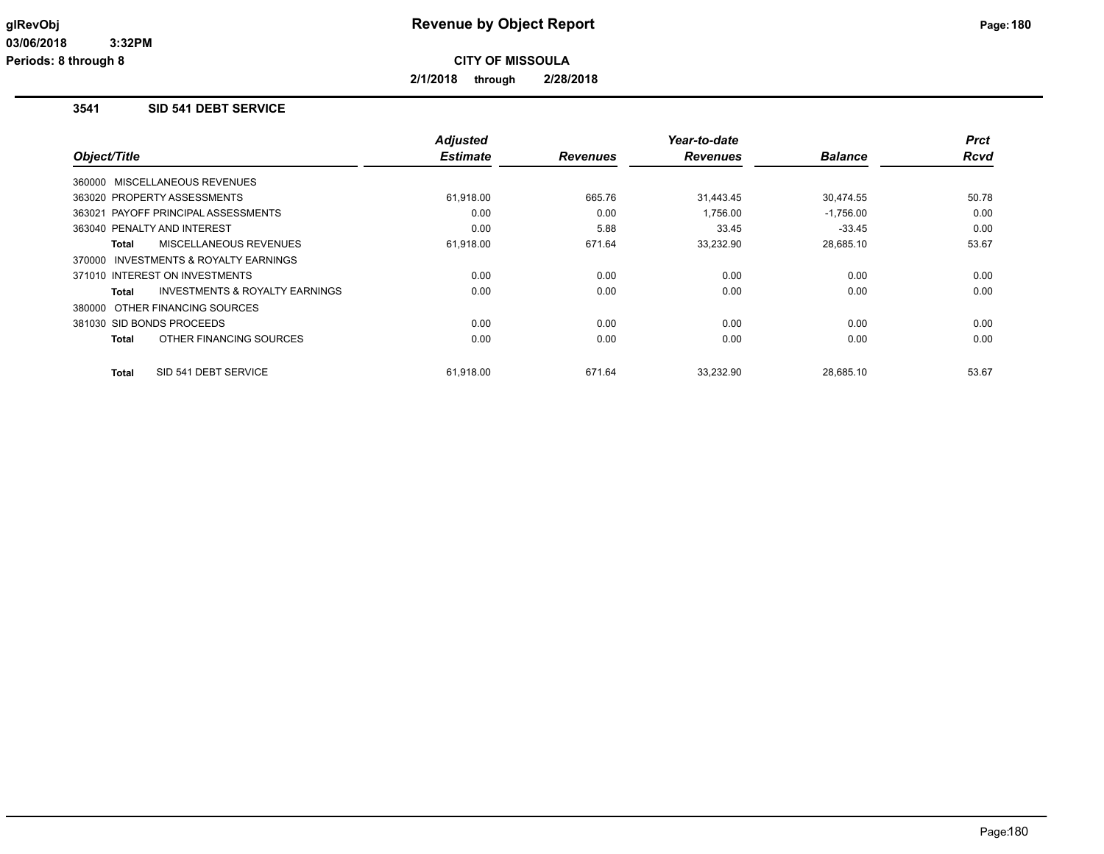**2/1/2018 through 2/28/2018**

### **3541 SID 541 DEBT SERVICE**

|                                                           | <b>Adjusted</b><br><b>Estimate</b> |                 | Year-to-date    | <b>Balance</b> | <b>Prct</b><br><b>Rcvd</b> |
|-----------------------------------------------------------|------------------------------------|-----------------|-----------------|----------------|----------------------------|
| Object/Title                                              |                                    | <b>Revenues</b> | <b>Revenues</b> |                |                            |
| 360000 MISCELLANEOUS REVENUES                             |                                    |                 |                 |                |                            |
| 363020 PROPERTY ASSESSMENTS                               | 61,918.00                          | 665.76          | 31,443.45       | 30,474.55      | 50.78                      |
| 363021 PAYOFF PRINCIPAL ASSESSMENTS                       | 0.00                               | 0.00            | 1,756.00        | $-1,756.00$    | 0.00                       |
| 363040 PENALTY AND INTEREST                               | 0.00                               | 5.88            | 33.45           | $-33.45$       | 0.00                       |
| <b>MISCELLANEOUS REVENUES</b><br>Total                    | 61,918.00                          | 671.64          | 33,232.90       | 28,685.10      | 53.67                      |
| 370000 INVESTMENTS & ROYALTY EARNINGS                     |                                    |                 |                 |                |                            |
| 371010 INTEREST ON INVESTMENTS                            | 0.00                               | 0.00            | 0.00            | 0.00           | 0.00                       |
| <b>INVESTMENTS &amp; ROYALTY EARNINGS</b><br><b>Total</b> | 0.00                               | 0.00            | 0.00            | 0.00           | 0.00                       |
| 380000 OTHER FINANCING SOURCES                            |                                    |                 |                 |                |                            |
| 381030 SID BONDS PROCEEDS                                 | 0.00                               | 0.00            | 0.00            | 0.00           | 0.00                       |
| OTHER FINANCING SOURCES<br><b>Total</b>                   | 0.00                               | 0.00            | 0.00            | 0.00           | 0.00                       |
| SID 541 DEBT SERVICE<br><b>Total</b>                      | 61,918.00                          | 671.64          | 33,232.90       | 28,685.10      | 53.67                      |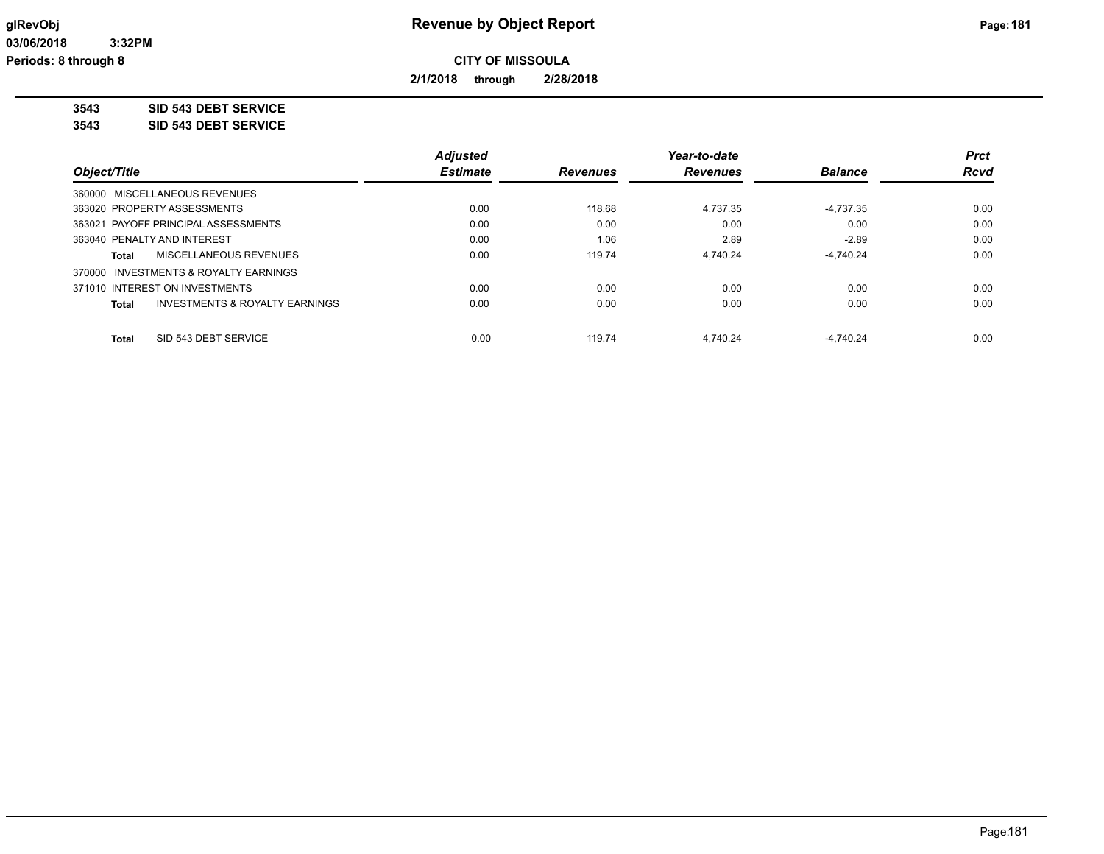**2/1/2018 through 2/28/2018**

**3543 SID 543 DEBT SERVICE**

**3543 SID 543 DEBT SERVICE**

|                                                           | <b>Adjusted</b> |                 | Year-to-date    |                | <b>Prct</b> |
|-----------------------------------------------------------|-----------------|-----------------|-----------------|----------------|-------------|
| Object/Title                                              | <b>Estimate</b> | <b>Revenues</b> | <b>Revenues</b> | <b>Balance</b> | <b>Rcvd</b> |
| 360000 MISCELLANEOUS REVENUES                             |                 |                 |                 |                |             |
| 363020 PROPERTY ASSESSMENTS                               | 0.00            | 118.68          | 4.737.35        | $-4.737.35$    | 0.00        |
| 363021 PAYOFF PRINCIPAL ASSESSMENTS                       | 0.00            | 0.00            | 0.00            | 0.00           | 0.00        |
| 363040 PENALTY AND INTEREST                               | 0.00            | 1.06            | 2.89            | $-2.89$        | 0.00        |
| <b>MISCELLANEOUS REVENUES</b><br>Total                    | 0.00            | 119.74          | 4.740.24        | $-4.740.24$    | 0.00        |
| 370000 INVESTMENTS & ROYALTY EARNINGS                     |                 |                 |                 |                |             |
| 371010 INTEREST ON INVESTMENTS                            | 0.00            | 0.00            | 0.00            | 0.00           | 0.00        |
| <b>INVESTMENTS &amp; ROYALTY EARNINGS</b><br><b>Total</b> | 0.00            | 0.00            | 0.00            | 0.00           | 0.00        |
| SID 543 DEBT SERVICE<br><b>Total</b>                      | 0.00            | 119.74          | 4.740.24        | $-4.740.24$    | 0.00        |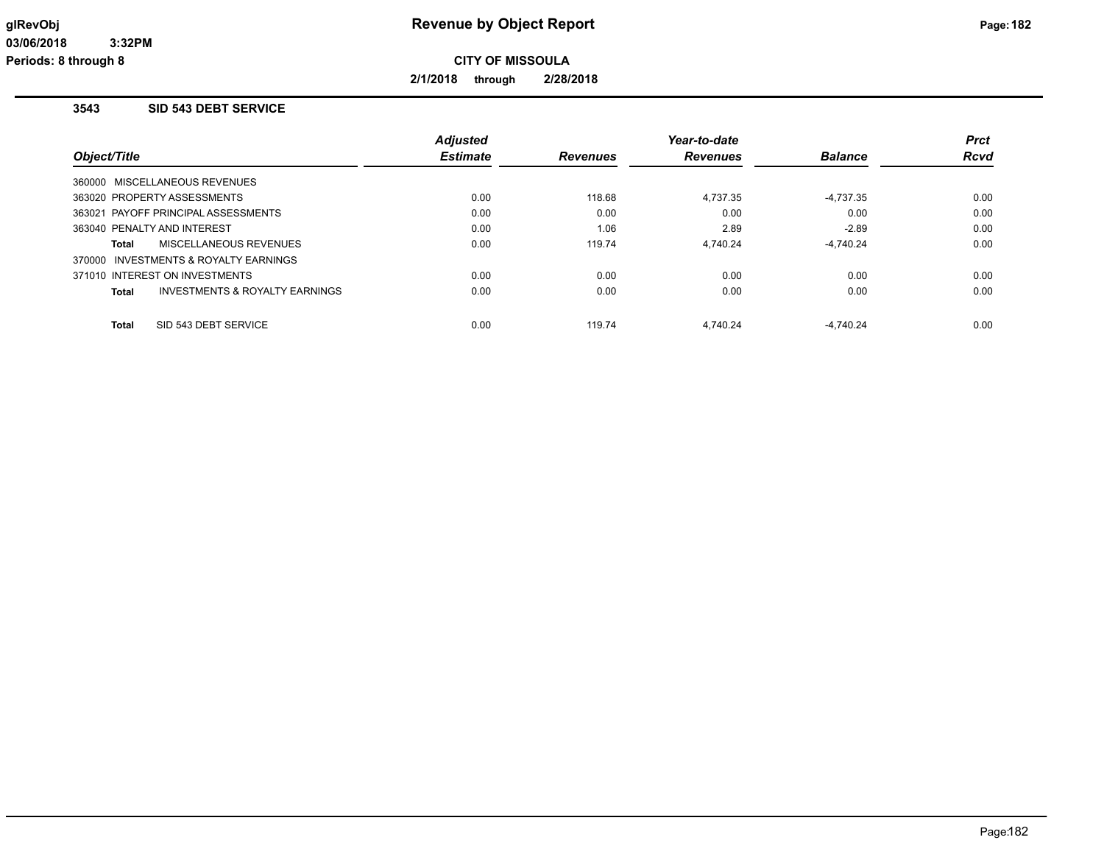**2/1/2018 through 2/28/2018**

#### **3543 SID 543 DEBT SERVICE**

|                                         | <b>Adjusted</b> |                 | Year-to-date    |                | <b>Prct</b> |
|-----------------------------------------|-----------------|-----------------|-----------------|----------------|-------------|
| Object/Title                            | <b>Estimate</b> | <b>Revenues</b> | <b>Revenues</b> | <b>Balance</b> | <b>Rcvd</b> |
| 360000 MISCELLANEOUS REVENUES           |                 |                 |                 |                |             |
| 363020 PROPERTY ASSESSMENTS             | 0.00            | 118.68          | 4,737.35        | $-4,737.35$    | 0.00        |
| 363021 PAYOFF PRINCIPAL ASSESSMENTS     | 0.00            | 0.00            | 0.00            | 0.00           | 0.00        |
| 363040 PENALTY AND INTEREST             | 0.00            | 1.06            | 2.89            | $-2.89$        | 0.00        |
| MISCELLANEOUS REVENUES<br>Total         | 0.00            | 119.74          | 4.740.24        | $-4.740.24$    | 0.00        |
| 370000 INVESTMENTS & ROYALTY EARNINGS   |                 |                 |                 |                |             |
| 371010 INTEREST ON INVESTMENTS          | 0.00            | 0.00            | 0.00            | 0.00           | 0.00        |
| INVESTMENTS & ROYALTY EARNINGS<br>Total | 0.00            | 0.00            | 0.00            | 0.00           | 0.00        |
| SID 543 DEBT SERVICE<br>Total           | 0.00            | 119.74          | 4.740.24        | $-4.740.24$    | 0.00        |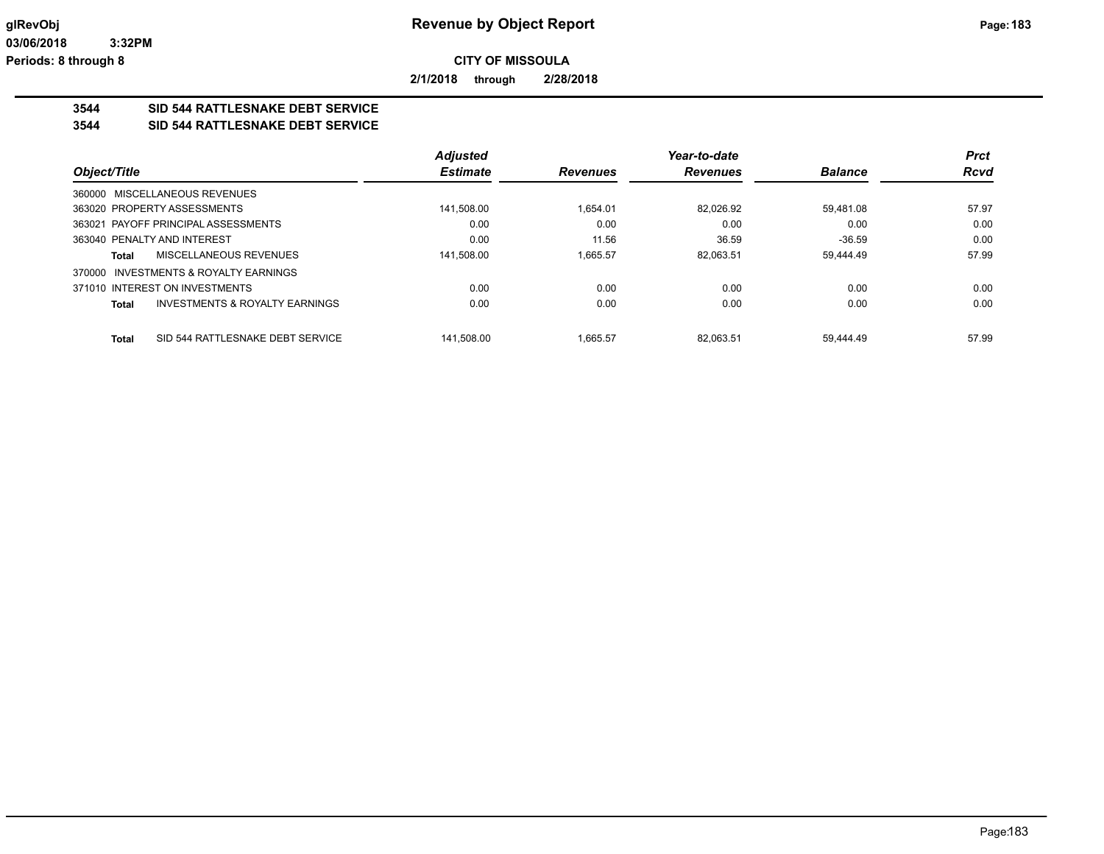**2/1/2018 through 2/28/2018**

## **3544 SID 544 RATTLESNAKE DEBT SERVICE**

#### **3544 SID 544 RATTLESNAKE DEBT SERVICE**

|              |                                           | <b>Adjusted</b> |                 | Year-to-date    |                | <b>Prct</b> |
|--------------|-------------------------------------------|-----------------|-----------------|-----------------|----------------|-------------|
| Object/Title |                                           | <b>Estimate</b> | <b>Revenues</b> | <b>Revenues</b> | <b>Balance</b> | <b>Rcvd</b> |
|              | 360000 MISCELLANEOUS REVENUES             |                 |                 |                 |                |             |
|              | 363020 PROPERTY ASSESSMENTS               | 141.508.00      | 1.654.01        | 82.026.92       | 59.481.08      | 57.97       |
|              | 363021 PAYOFF PRINCIPAL ASSESSMENTS       | 0.00            | 0.00            | 0.00            | 0.00           | 0.00        |
|              | 363040 PENALTY AND INTEREST               | 0.00            | 11.56           | 36.59           | $-36.59$       | 0.00        |
| Total        | MISCELLANEOUS REVENUES                    | 141.508.00      | 1.665.57        | 82.063.51       | 59.444.49      | 57.99       |
| 370000       | INVESTMENTS & ROYALTY EARNINGS            |                 |                 |                 |                |             |
|              | 371010 INTEREST ON INVESTMENTS            | 0.00            | 0.00            | 0.00            | 0.00           | 0.00        |
| <b>Total</b> | <b>INVESTMENTS &amp; ROYALTY EARNINGS</b> | 0.00            | 0.00            | 0.00            | 0.00           | 0.00        |
| <b>Total</b> | SID 544 RATTLESNAKE DEBT SERVICE          | 141.508.00      | 1.665.57        | 82.063.51       | 59.444.49      | 57.99       |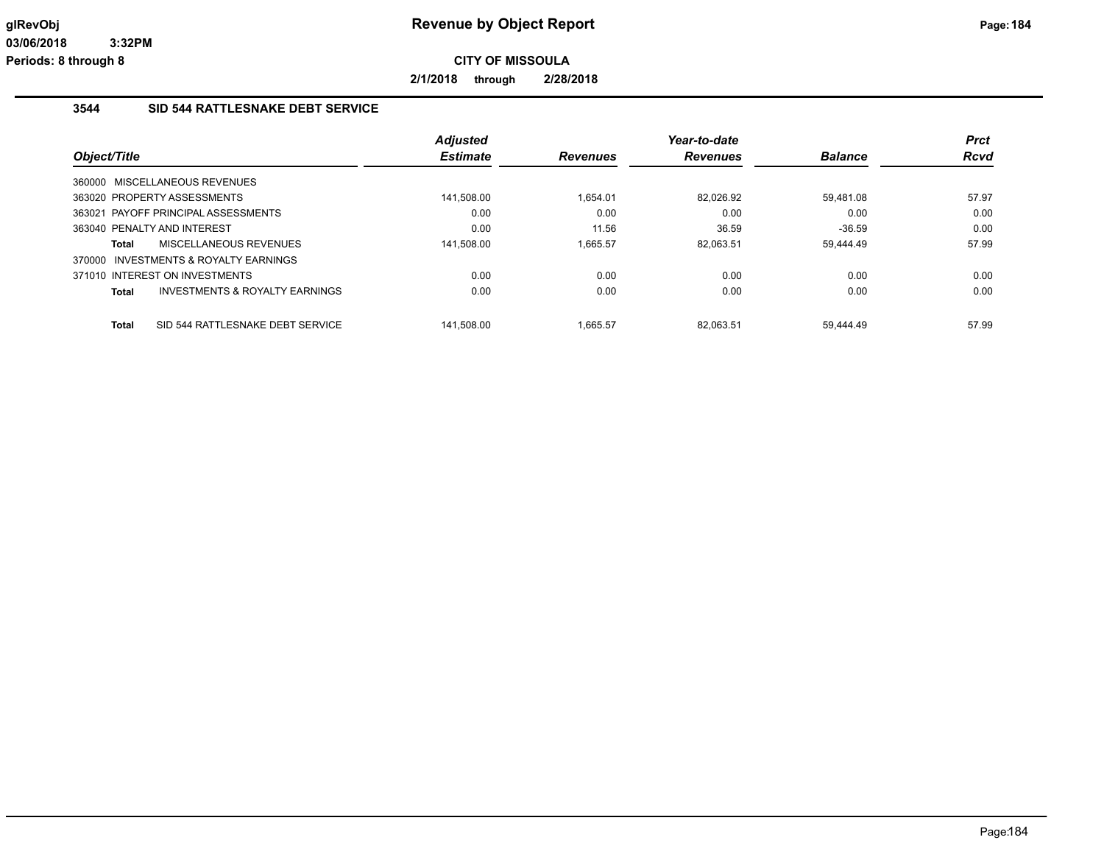**2/1/2018 through 2/28/2018**

#### **3544 SID 544 RATTLESNAKE DEBT SERVICE**

|              |                                           | <b>Adjusted</b> |                 | Year-to-date    |                | Prct        |
|--------------|-------------------------------------------|-----------------|-----------------|-----------------|----------------|-------------|
| Object/Title |                                           | <b>Estimate</b> | <b>Revenues</b> | <b>Revenues</b> | <b>Balance</b> | <b>Rcvd</b> |
|              | 360000 MISCELLANEOUS REVENUES             |                 |                 |                 |                |             |
|              | 363020 PROPERTY ASSESSMENTS               | 141,508.00      | 1,654.01        | 82,026.92       | 59,481.08      | 57.97       |
|              | 363021 PAYOFF PRINCIPAL ASSESSMENTS       | 0.00            | 0.00            | 0.00            | 0.00           | 0.00        |
|              | 363040 PENALTY AND INTEREST               | 0.00            | 11.56           | 36.59           | $-36.59$       | 0.00        |
| Total        | MISCELLANEOUS REVENUES                    | 141,508.00      | 1.665.57        | 82.063.51       | 59,444.49      | 57.99       |
|              | 370000 INVESTMENTS & ROYALTY EARNINGS     |                 |                 |                 |                |             |
|              | 371010 INTEREST ON INVESTMENTS            | 0.00            | 0.00            | 0.00            | 0.00           | 0.00        |
| Total        | <b>INVESTMENTS &amp; ROYALTY EARNINGS</b> | 0.00            | 0.00            | 0.00            | 0.00           | 0.00        |
| Total        | SID 544 RATTLESNAKE DEBT SERVICE          | 141.508.00      | 1.665.57        | 82.063.51       | 59.444.49      | 57.99       |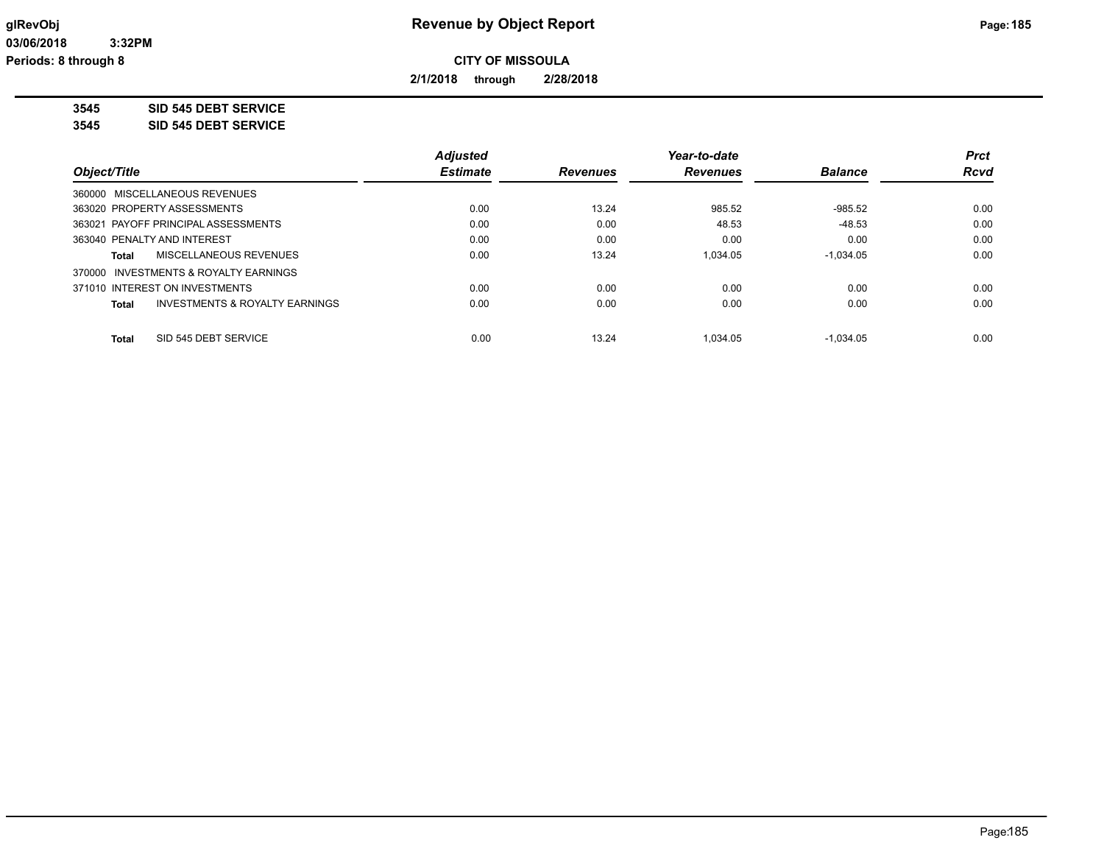**2/1/2018 through 2/28/2018**

**3545 SID 545 DEBT SERVICE**

**3545 SID 545 DEBT SERVICE**

|                                                           | <b>Adjusted</b> |                 | Year-to-date    |                | <b>Prct</b> |
|-----------------------------------------------------------|-----------------|-----------------|-----------------|----------------|-------------|
| Object/Title                                              | <b>Estimate</b> | <b>Revenues</b> | <b>Revenues</b> | <b>Balance</b> | <b>Rcvd</b> |
| 360000 MISCELLANEOUS REVENUES                             |                 |                 |                 |                |             |
| 363020 PROPERTY ASSESSMENTS                               | 0.00            | 13.24           | 985.52          | $-985.52$      | 0.00        |
| 363021 PAYOFF PRINCIPAL ASSESSMENTS                       | 0.00            | 0.00            | 48.53           | $-48.53$       | 0.00        |
| 363040 PENALTY AND INTEREST                               | 0.00            | 0.00            | 0.00            | 0.00           | 0.00        |
| MISCELLANEOUS REVENUES<br>Total                           | 0.00            | 13.24           | 1.034.05        | $-1.034.05$    | 0.00        |
| 370000 INVESTMENTS & ROYALTY EARNINGS                     |                 |                 |                 |                |             |
| 371010 INTEREST ON INVESTMENTS                            | 0.00            | 0.00            | 0.00            | 0.00           | 0.00        |
| <b>INVESTMENTS &amp; ROYALTY EARNINGS</b><br><b>Total</b> | 0.00            | 0.00            | 0.00            | 0.00           | 0.00        |
|                                                           |                 |                 |                 |                |             |
| SID 545 DEBT SERVICE<br><b>Total</b>                      | 0.00            | 13.24           | 1.034.05        | $-1.034.05$    | 0.00        |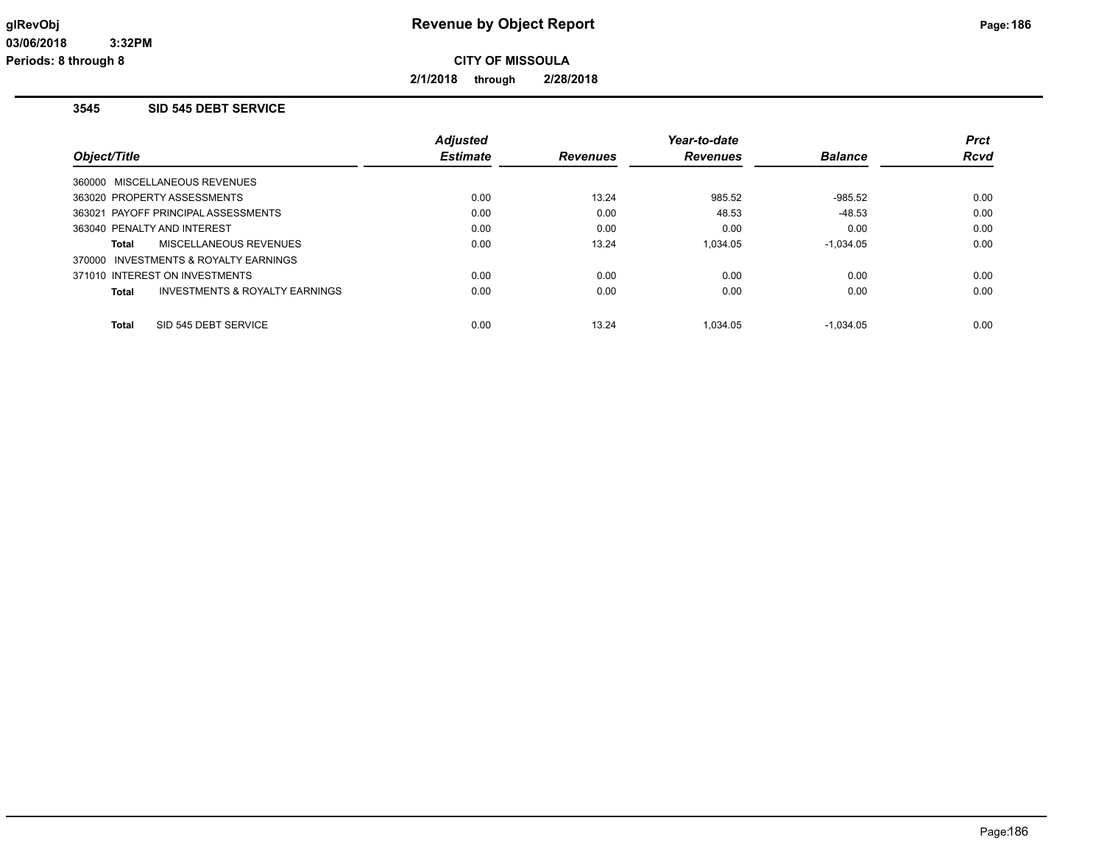**2/1/2018 through 2/28/2018**

#### **3545 SID 545 DEBT SERVICE**

|                                         | <b>Adjusted</b> |                 | Year-to-date    |                | <b>Prct</b> |
|-----------------------------------------|-----------------|-----------------|-----------------|----------------|-------------|
| Object/Title                            | <b>Estimate</b> | <b>Revenues</b> | <b>Revenues</b> | <b>Balance</b> | <b>Rcvd</b> |
| 360000 MISCELLANEOUS REVENUES           |                 |                 |                 |                |             |
| 363020 PROPERTY ASSESSMENTS             | 0.00            | 13.24           | 985.52          | $-985.52$      | 0.00        |
| 363021 PAYOFF PRINCIPAL ASSESSMENTS     | 0.00            | 0.00            | 48.53           | $-48.53$       | 0.00        |
| 363040 PENALTY AND INTEREST             | 0.00            | 0.00            | 0.00            | 0.00           | 0.00        |
| MISCELLANEOUS REVENUES<br>Total         | 0.00            | 13.24           | 1.034.05        | $-1.034.05$    | 0.00        |
| 370000 INVESTMENTS & ROYALTY EARNINGS   |                 |                 |                 |                |             |
| 371010 INTEREST ON INVESTMENTS          | 0.00            | 0.00            | 0.00            | 0.00           | 0.00        |
| INVESTMENTS & ROYALTY EARNINGS<br>Total | 0.00            | 0.00            | 0.00            | 0.00           | 0.00        |
| SID 545 DEBT SERVICE<br>Total           | 0.00            | 13.24           | 1.034.05        | $-1.034.05$    | 0.00        |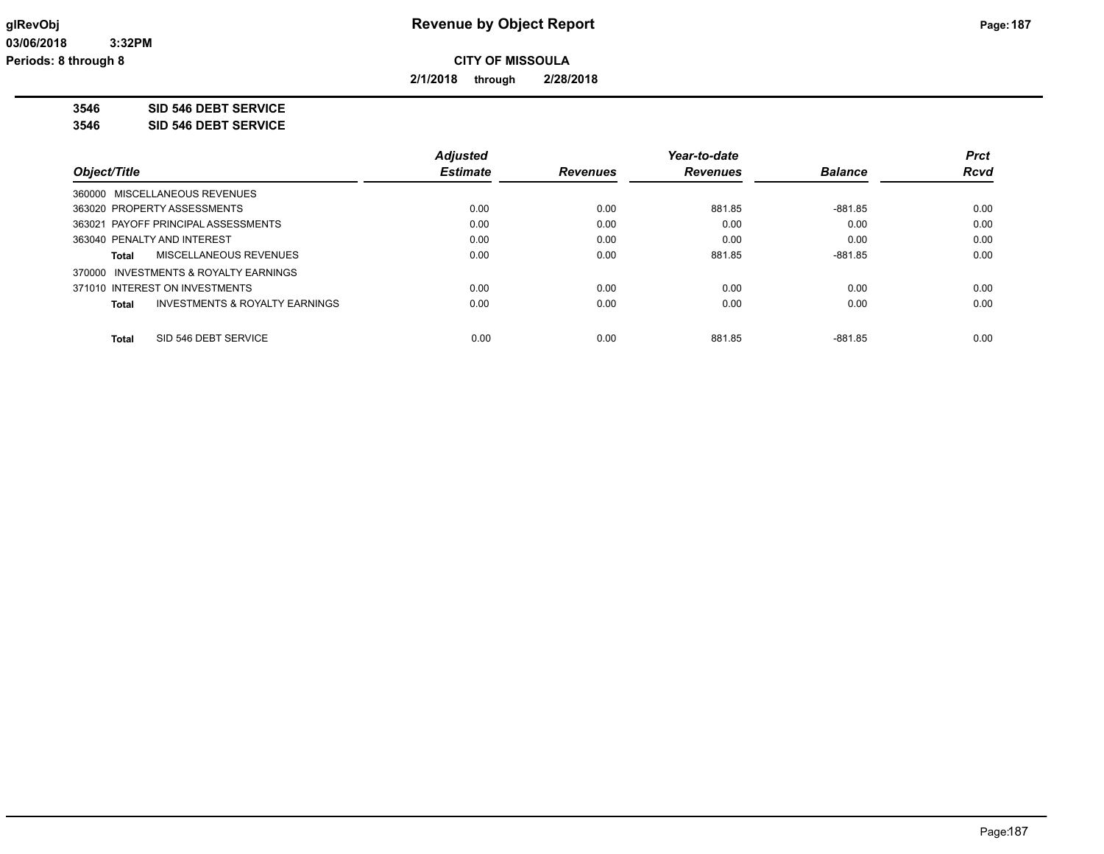**2/1/2018 through 2/28/2018**

**3546 SID 546 DEBT SERVICE**

**3546 SID 546 DEBT SERVICE**

|                                                    | <b>Adjusted</b> |                 | Year-to-date    |                | <b>Prct</b> |
|----------------------------------------------------|-----------------|-----------------|-----------------|----------------|-------------|
| Object/Title                                       | <b>Estimate</b> | <b>Revenues</b> | <b>Revenues</b> | <b>Balance</b> | <b>Rcvd</b> |
| 360000 MISCELLANEOUS REVENUES                      |                 |                 |                 |                |             |
| 363020 PROPERTY ASSESSMENTS                        | 0.00            | 0.00            | 881.85          | -881.85        | 0.00        |
| 363021 PAYOFF PRINCIPAL ASSESSMENTS                | 0.00            | 0.00            | 0.00            | 0.00           | 0.00        |
| 363040 PENALTY AND INTEREST                        | 0.00            | 0.00            | 0.00            | 0.00           | 0.00        |
| MISCELLANEOUS REVENUES<br>Total                    | 0.00            | 0.00            | 881.85          | $-881.85$      | 0.00        |
| 370000 INVESTMENTS & ROYALTY EARNINGS              |                 |                 |                 |                |             |
| 371010 INTEREST ON INVESTMENTS                     | 0.00            | 0.00            | 0.00            | 0.00           | 0.00        |
| <b>INVESTMENTS &amp; ROYALTY EARNINGS</b><br>Total | 0.00            | 0.00            | 0.00            | 0.00           | 0.00        |
| SID 546 DEBT SERVICE<br>Total                      | 0.00            | 0.00            | 881.85          | -881.85        | 0.00        |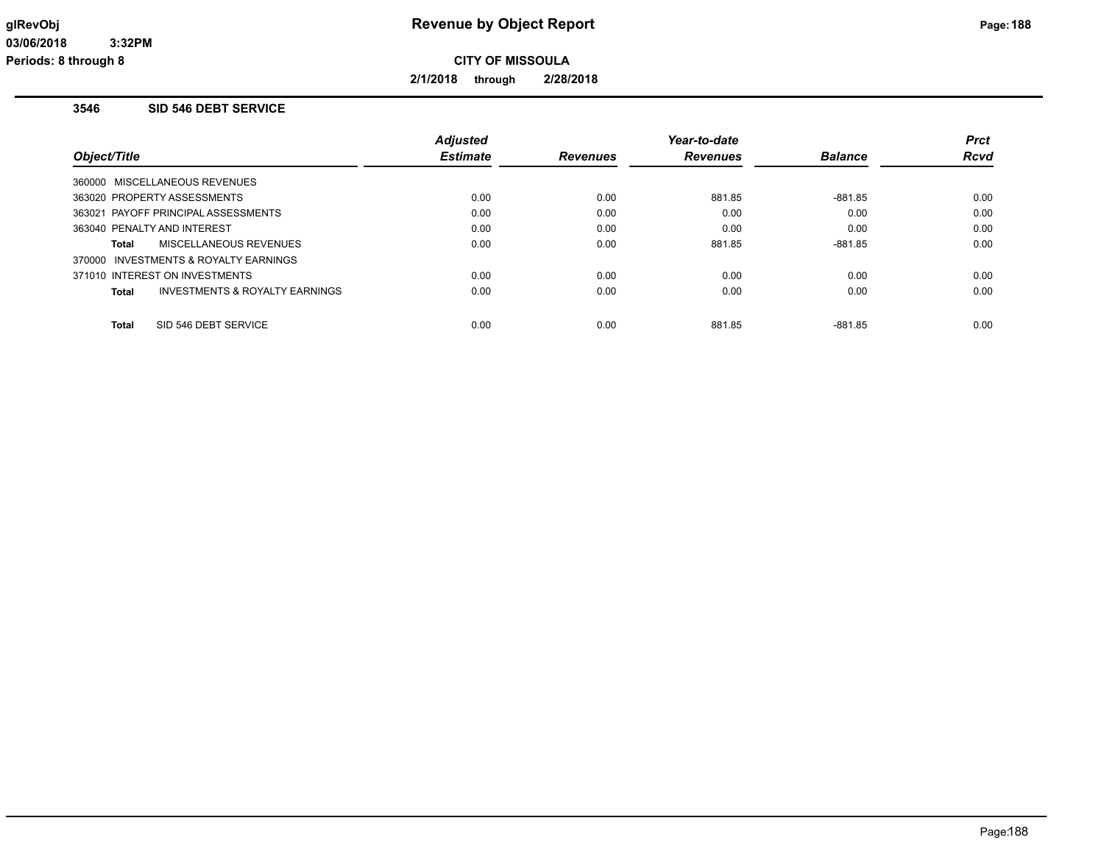**2/1/2018 through 2/28/2018**

#### **3546 SID 546 DEBT SERVICE**

|                                                    | <b>Adjusted</b> |                 | Year-to-date    |                | <b>Prct</b> |
|----------------------------------------------------|-----------------|-----------------|-----------------|----------------|-------------|
| Object/Title                                       | <b>Estimate</b> | <b>Revenues</b> | <b>Revenues</b> | <b>Balance</b> | <b>Rcvd</b> |
| 360000 MISCELLANEOUS REVENUES                      |                 |                 |                 |                |             |
| 363020 PROPERTY ASSESSMENTS                        | 0.00            | 0.00            | 881.85          | $-881.85$      | 0.00        |
| 363021 PAYOFF PRINCIPAL ASSESSMENTS                | 0.00            | 0.00            | 0.00            | 0.00           | 0.00        |
| 363040 PENALTY AND INTEREST                        | 0.00            | 0.00            | 0.00            | 0.00           | 0.00        |
| MISCELLANEOUS REVENUES<br>Total                    | 0.00            | 0.00            | 881.85          | $-881.85$      | 0.00        |
| 370000 INVESTMENTS & ROYALTY EARNINGS              |                 |                 |                 |                |             |
| 371010 INTEREST ON INVESTMENTS                     | 0.00            | 0.00            | 0.00            | 0.00           | 0.00        |
| <b>INVESTMENTS &amp; ROYALTY EARNINGS</b><br>Total | 0.00            | 0.00            | 0.00            | 0.00           | 0.00        |
| SID 546 DEBT SERVICE<br>Total                      | 0.00            | 0.00            | 881.85          | $-881.85$      | 0.00        |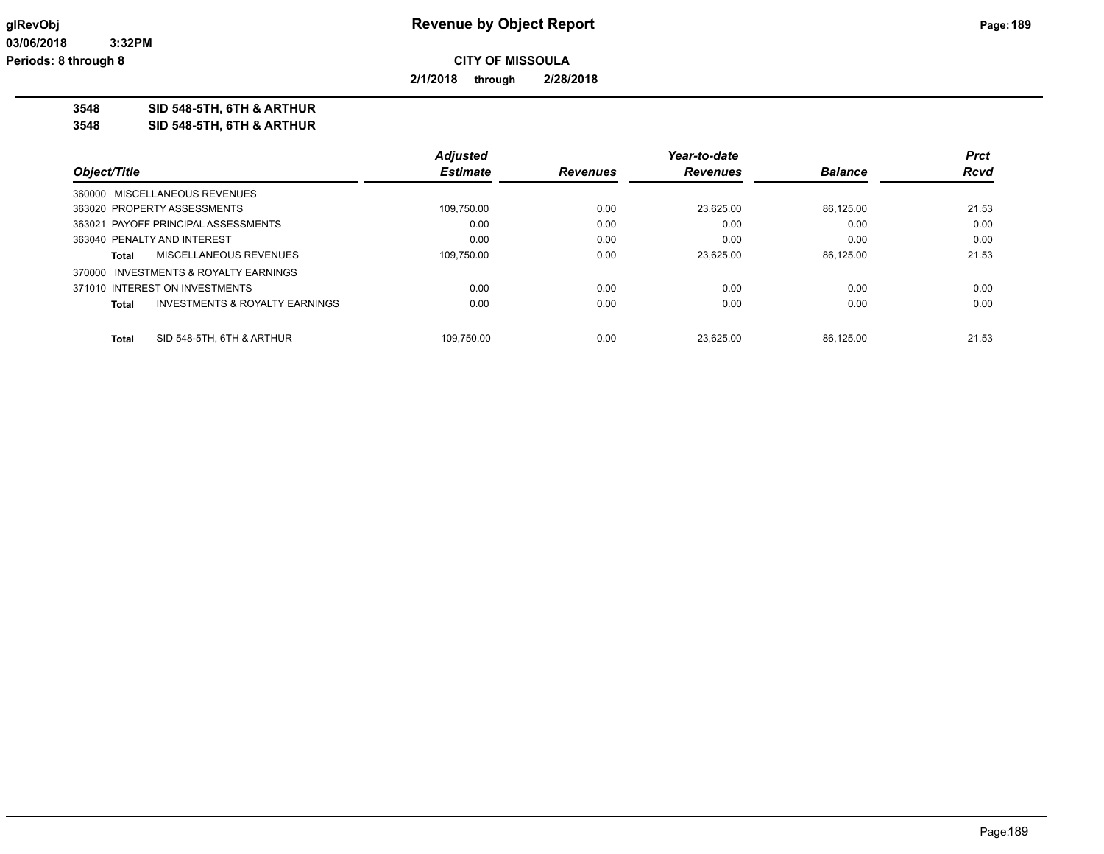**2/1/2018 through 2/28/2018**

**3548 SID 548-5TH, 6TH & ARTHUR**

**3548 SID 548-5TH, 6TH & ARTHUR**

|                                                    | <b>Adjusted</b> |                 | Year-to-date    |                | <b>Prct</b> |
|----------------------------------------------------|-----------------|-----------------|-----------------|----------------|-------------|
| Object/Title                                       | <b>Estimate</b> | <b>Revenues</b> | <b>Revenues</b> | <b>Balance</b> | <b>Rcvd</b> |
| 360000 MISCELLANEOUS REVENUES                      |                 |                 |                 |                |             |
| 363020 PROPERTY ASSESSMENTS                        | 109,750.00      | 0.00            | 23.625.00       | 86.125.00      | 21.53       |
| 363021 PAYOFF PRINCIPAL ASSESSMENTS                | 0.00            | 0.00            | 0.00            | 0.00           | 0.00        |
| 363040 PENALTY AND INTEREST                        | 0.00            | 0.00            | 0.00            | 0.00           | 0.00        |
| MISCELLANEOUS REVENUES<br>Total                    | 109.750.00      | 0.00            | 23.625.00       | 86.125.00      | 21.53       |
| 370000 INVESTMENTS & ROYALTY EARNINGS              |                 |                 |                 |                |             |
| 371010 INTEREST ON INVESTMENTS                     | 0.00            | 0.00            | 0.00            | 0.00           | 0.00        |
| <b>INVESTMENTS &amp; ROYALTY EARNINGS</b><br>Total | 0.00            | 0.00            | 0.00            | 0.00           | 0.00        |
|                                                    |                 |                 |                 |                |             |
| SID 548-5TH, 6TH & ARTHUR<br>Total                 | 109.750.00      | 0.00            | 23.625.00       | 86.125.00      | 21.53       |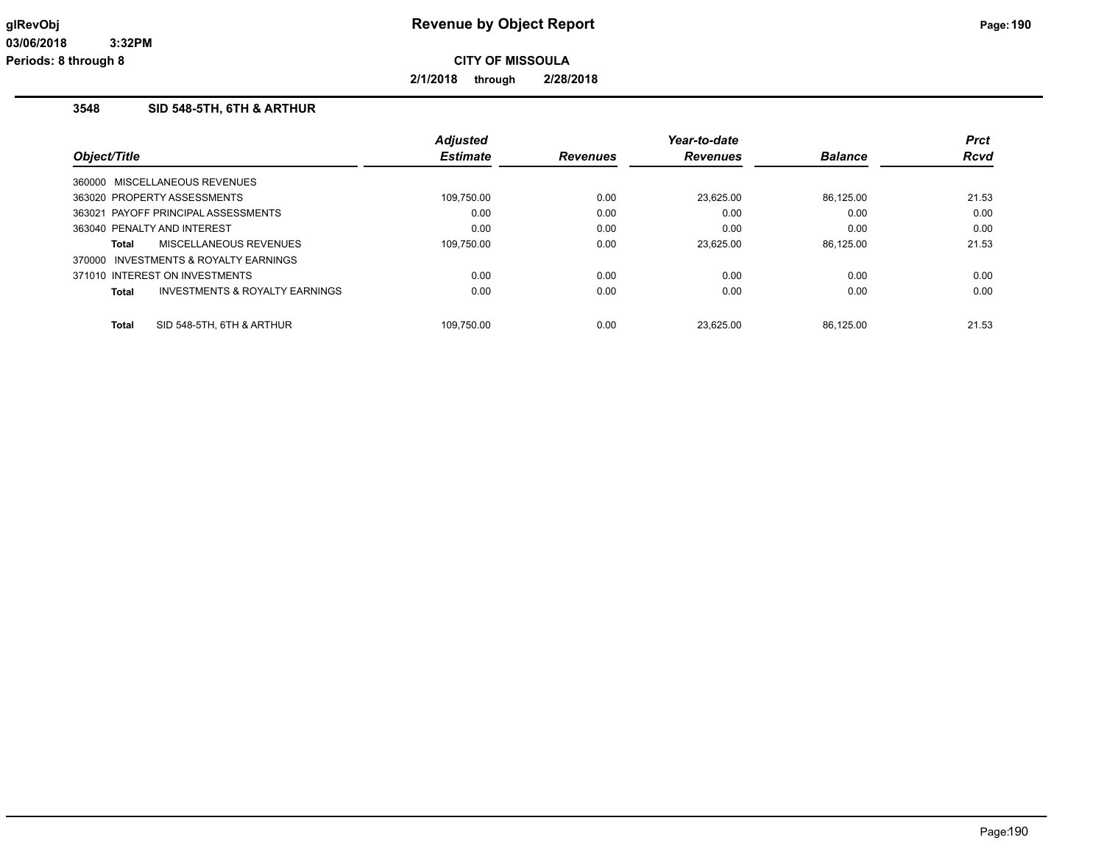**2/1/2018 through 2/28/2018**

#### **3548 SID 548-5TH, 6TH & ARTHUR**

|              |                                       | <b>Adjusted</b> |                 | Year-to-date    |                | <b>Prct</b> |
|--------------|---------------------------------------|-----------------|-----------------|-----------------|----------------|-------------|
| Object/Title |                                       | <b>Estimate</b> | <b>Revenues</b> | <b>Revenues</b> | <b>Balance</b> | <b>Rcvd</b> |
|              | 360000 MISCELLANEOUS REVENUES         |                 |                 |                 |                |             |
|              | 363020 PROPERTY ASSESSMENTS           | 109.750.00      | 0.00            | 23.625.00       | 86.125.00      | 21.53       |
|              | 363021 PAYOFF PRINCIPAL ASSESSMENTS   | 0.00            | 0.00            | 0.00            | 0.00           | 0.00        |
|              | 363040 PENALTY AND INTEREST           | 0.00            | 0.00            | 0.00            | 0.00           | 0.00        |
| <b>Total</b> | MISCELLANEOUS REVENUES                | 109.750.00      | 0.00            | 23.625.00       | 86.125.00      | 21.53       |
|              | 370000 INVESTMENTS & ROYALTY EARNINGS |                 |                 |                 |                |             |
|              | 371010 INTEREST ON INVESTMENTS        | 0.00            | 0.00            | 0.00            | 0.00           | 0.00        |
| <b>Total</b> | INVESTMENTS & ROYALTY EARNINGS        | 0.00            | 0.00            | 0.00            | 0.00           | 0.00        |
| <b>Total</b> | SID 548-5TH, 6TH & ARTHUR             | 109.750.00      | 0.00            | 23.625.00       | 86.125.00      | 21.53       |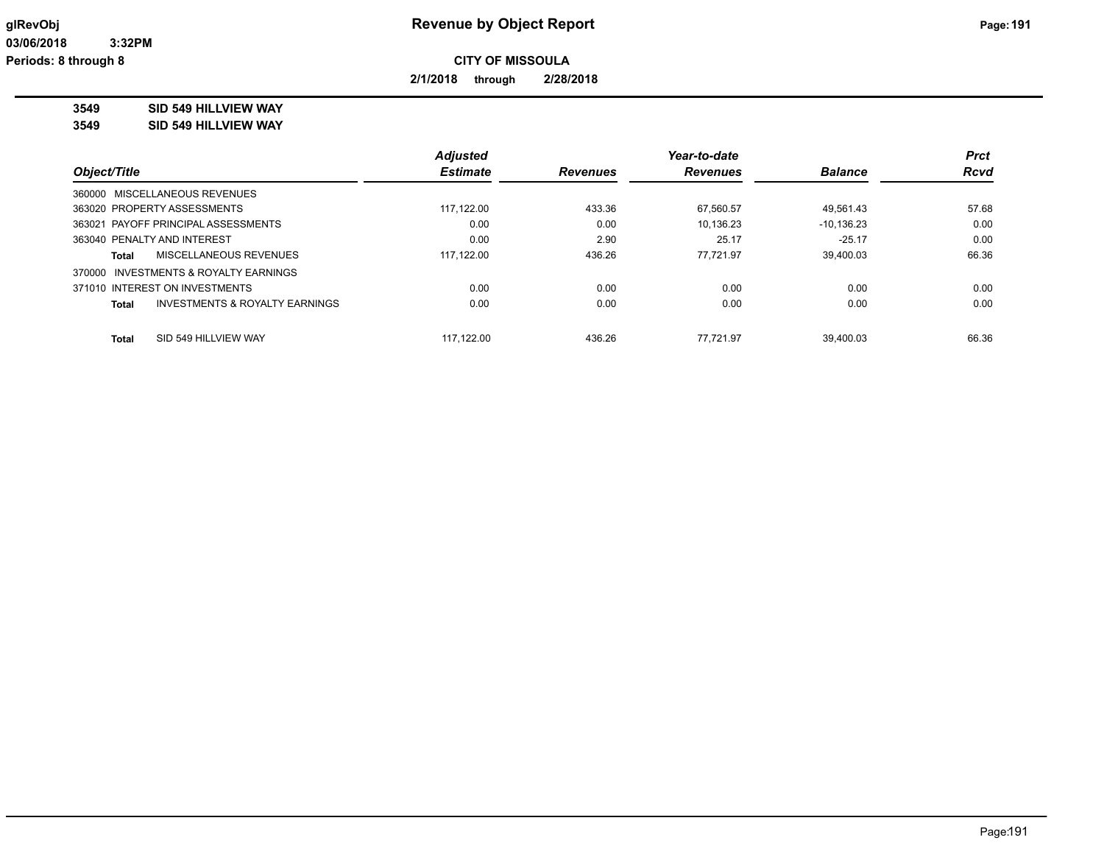**2/1/2018 through 2/28/2018**

**3549 SID 549 HILLVIEW WAY**

**3549 SID 549 HILLVIEW WAY**

|                                                | <b>Adjusted</b> |          | Year-to-date    |                | <b>Prct</b> |
|------------------------------------------------|-----------------|----------|-----------------|----------------|-------------|
| Object/Title                                   | <b>Estimate</b> | Revenues | <b>Revenues</b> | <b>Balance</b> | <b>Rcvd</b> |
| 360000 MISCELLANEOUS REVENUES                  |                 |          |                 |                |             |
| 363020 PROPERTY ASSESSMENTS                    | 117.122.00      | 433.36   | 67,560.57       | 49,561.43      | 57.68       |
| 363021 PAYOFF PRINCIPAL ASSESSMENTS            | 0.00            | 0.00     | 10.136.23       | $-10.136.23$   | 0.00        |
| 363040 PENALTY AND INTEREST                    | 0.00            | 2.90     | 25.17           | $-25.17$       | 0.00        |
| MISCELLANEOUS REVENUES<br>Total                | 117.122.00      | 436.26   | 77.721.97       | 39.400.03      | 66.36       |
| 370000 INVESTMENTS & ROYALTY EARNINGS          |                 |          |                 |                |             |
| 371010 INTEREST ON INVESTMENTS                 | 0.00            | 0.00     | 0.00            | 0.00           | 0.00        |
| INVESTMENTS & ROYALTY EARNINGS<br><b>Total</b> | 0.00            | 0.00     | 0.00            | 0.00           | 0.00        |
|                                                |                 |          |                 |                |             |
| SID 549 HILLVIEW WAY<br><b>Total</b>           | 117.122.00      | 436.26   | 77.721.97       | 39.400.03      | 66.36       |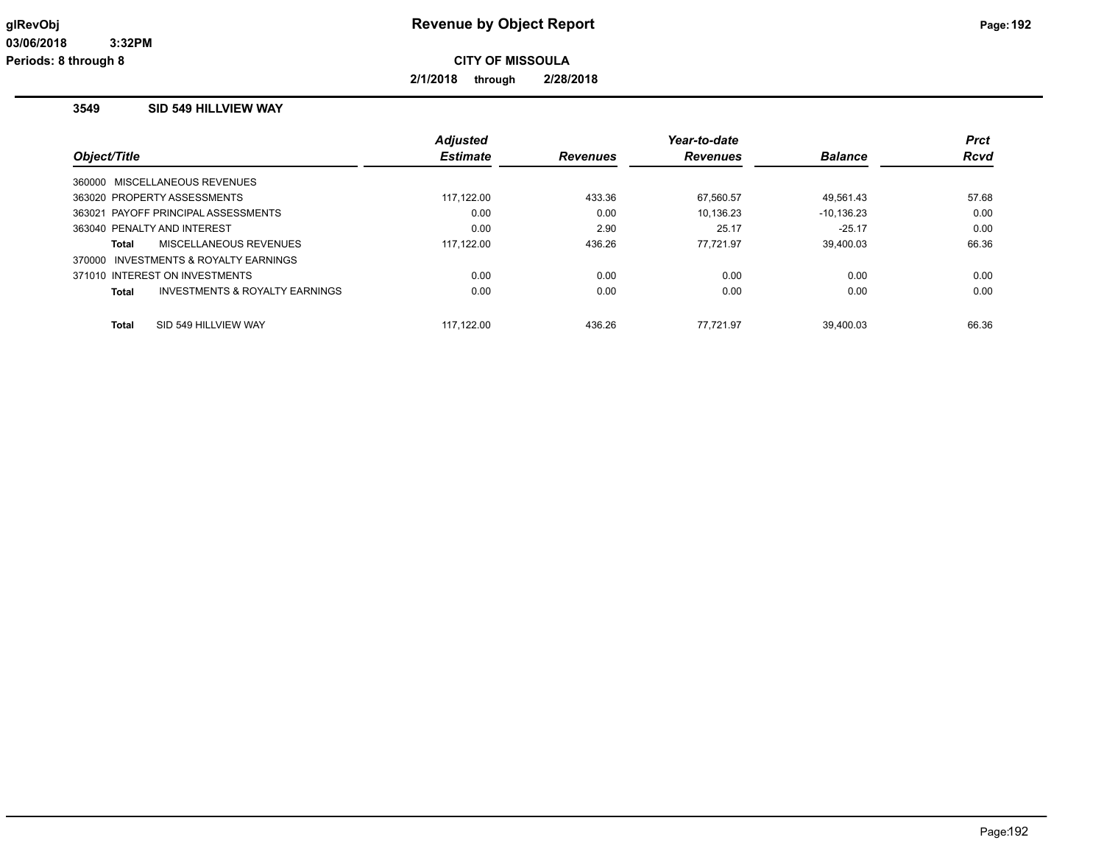**2/1/2018 through 2/28/2018**

#### **3549 SID 549 HILLVIEW WAY**

|                                         | <b>Adjusted</b> |                 | Year-to-date    |                | <b>Prct</b> |
|-----------------------------------------|-----------------|-----------------|-----------------|----------------|-------------|
| Object/Title                            | <b>Estimate</b> | <b>Revenues</b> | <b>Revenues</b> | <b>Balance</b> | <b>Rcvd</b> |
| 360000 MISCELLANEOUS REVENUES           |                 |                 |                 |                |             |
| 363020 PROPERTY ASSESSMENTS             | 117,122.00      | 433.36          | 67,560.57       | 49,561.43      | 57.68       |
| 363021 PAYOFF PRINCIPAL ASSESSMENTS     | 0.00            | 0.00            | 10.136.23       | $-10, 136.23$  | 0.00        |
| 363040 PENALTY AND INTEREST             | 0.00            | 2.90            | 25.17           | $-25.17$       | 0.00        |
| MISCELLANEOUS REVENUES<br>Total         | 117.122.00      | 436.26          | 77.721.97       | 39.400.03      | 66.36       |
| 370000 INVESTMENTS & ROYALTY EARNINGS   |                 |                 |                 |                |             |
| 371010 INTEREST ON INVESTMENTS          | 0.00            | 0.00            | 0.00            | 0.00           | 0.00        |
| INVESTMENTS & ROYALTY EARNINGS<br>Total | 0.00            | 0.00            | 0.00            | 0.00           | 0.00        |
| <b>Total</b><br>SID 549 HILLVIEW WAY    | 117.122.00      | 436.26          | 77.721.97       | 39.400.03      | 66.36       |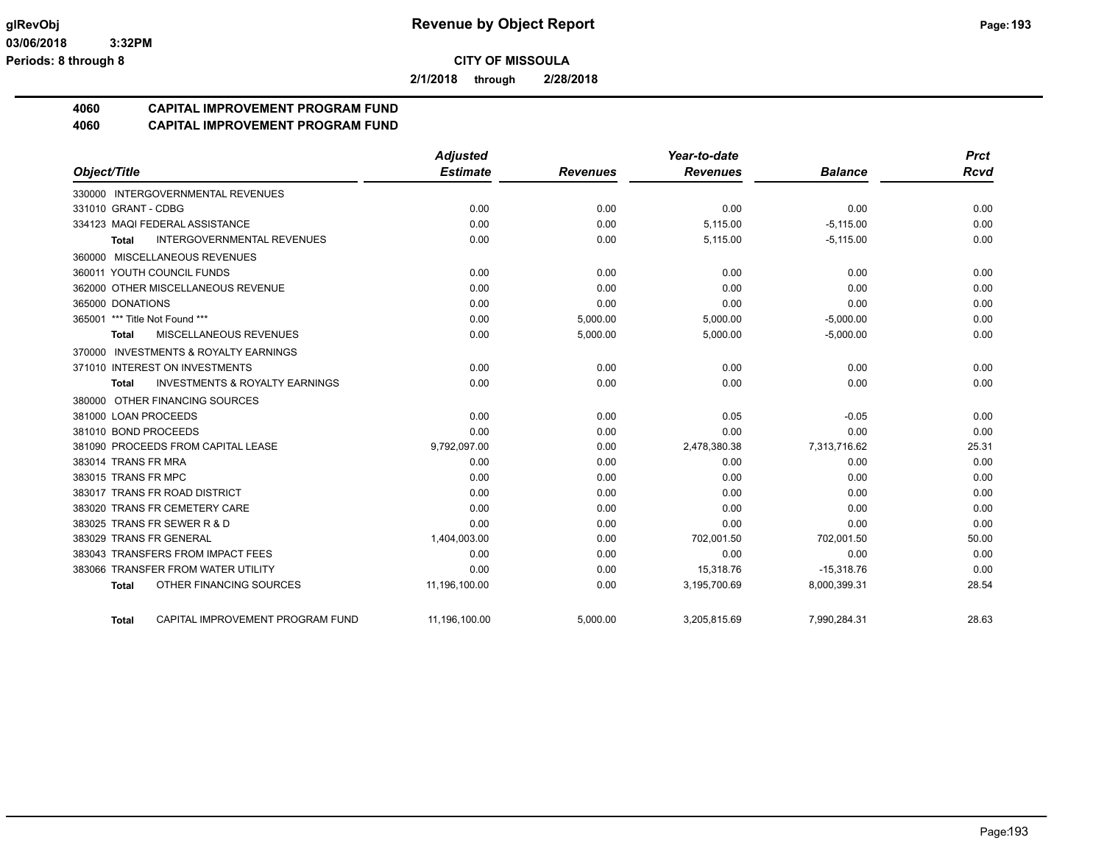**2/1/2018 through 2/28/2018**

# **4060 CAPITAL IMPROVEMENT PROGRAM FUND**

**4060 CAPITAL IMPROVEMENT PROGRAM FUND**

|                                                    | <b>Adjusted</b> |                 | Year-to-date    |                | <b>Prct</b> |
|----------------------------------------------------|-----------------|-----------------|-----------------|----------------|-------------|
| Object/Title                                       | <b>Estimate</b> | <b>Revenues</b> | <b>Revenues</b> | <b>Balance</b> | <b>Rcvd</b> |
| 330000 INTERGOVERNMENTAL REVENUES                  |                 |                 |                 |                |             |
| 331010 GRANT - CDBG                                | 0.00            | 0.00            | 0.00            | 0.00           | 0.00        |
| 334123 MAQI FEDERAL ASSISTANCE                     | 0.00            | 0.00            | 5,115.00        | $-5,115.00$    | 0.00        |
| <b>INTERGOVERNMENTAL REVENUES</b><br><b>Total</b>  | 0.00            | 0.00            | 5,115.00        | $-5,115.00$    | 0.00        |
| 360000 MISCELLANEOUS REVENUES                      |                 |                 |                 |                |             |
| 360011 YOUTH COUNCIL FUNDS                         | 0.00            | 0.00            | 0.00            | 0.00           | 0.00        |
| 362000 OTHER MISCELLANEOUS REVENUE                 | 0.00            | 0.00            | 0.00            | 0.00           | 0.00        |
| 365000 DONATIONS                                   | 0.00            | 0.00            | 0.00            | 0.00           | 0.00        |
| 365001 *** Title Not Found ***                     | 0.00            | 5,000.00        | 5,000.00        | $-5,000.00$    | 0.00        |
| MISCELLANEOUS REVENUES<br>Total                    | 0.00            | 5,000.00        | 5,000.00        | $-5,000.00$    | 0.00        |
| 370000 INVESTMENTS & ROYALTY EARNINGS              |                 |                 |                 |                |             |
| 371010 INTEREST ON INVESTMENTS                     | 0.00            | 0.00            | 0.00            | 0.00           | 0.00        |
| <b>INVESTMENTS &amp; ROYALTY EARNINGS</b><br>Total | 0.00            | 0.00            | 0.00            | 0.00           | 0.00        |
| 380000 OTHER FINANCING SOURCES                     |                 |                 |                 |                |             |
| 381000 LOAN PROCEEDS                               | 0.00            | 0.00            | 0.05            | $-0.05$        | 0.00        |
| 381010 BOND PROCEEDS                               | 0.00            | 0.00            | 0.00            | 0.00           | 0.00        |
| 381090 PROCEEDS FROM CAPITAL LEASE                 | 9,792,097.00    | 0.00            | 2,478,380.38    | 7,313,716.62   | 25.31       |
| 383014 TRANS FR MRA                                | 0.00            | 0.00            | 0.00            | 0.00           | 0.00        |
| 383015 TRANS FR MPC                                | 0.00            | 0.00            | 0.00            | 0.00           | 0.00        |
| 383017 TRANS FR ROAD DISTRICT                      | 0.00            | 0.00            | 0.00            | 0.00           | 0.00        |
| 383020 TRANS FR CEMETERY CARE                      | 0.00            | 0.00            | 0.00            | 0.00           | 0.00        |
| 383025 TRANS FR SEWER R & D                        | 0.00            | 0.00            | 0.00            | 0.00           | 0.00        |
| 383029 TRANS FR GENERAL                            | 1,404,003.00    | 0.00            | 702,001.50      | 702,001.50     | 50.00       |
| 383043 TRANSFERS FROM IMPACT FEES                  | 0.00            | 0.00            | 0.00            | 0.00           | 0.00        |
| 383066 TRANSFER FROM WATER UTILITY                 | 0.00            | 0.00            | 15,318.76       | $-15,318.76$   | 0.00        |
| OTHER FINANCING SOURCES<br><b>Total</b>            | 11,196,100.00   | 0.00            | 3,195,700.69    | 8,000,399.31   | 28.54       |
| CAPITAL IMPROVEMENT PROGRAM FUND<br>Total          | 11,196,100.00   | 5,000.00        | 3,205,815.69    | 7,990,284.31   | 28.63       |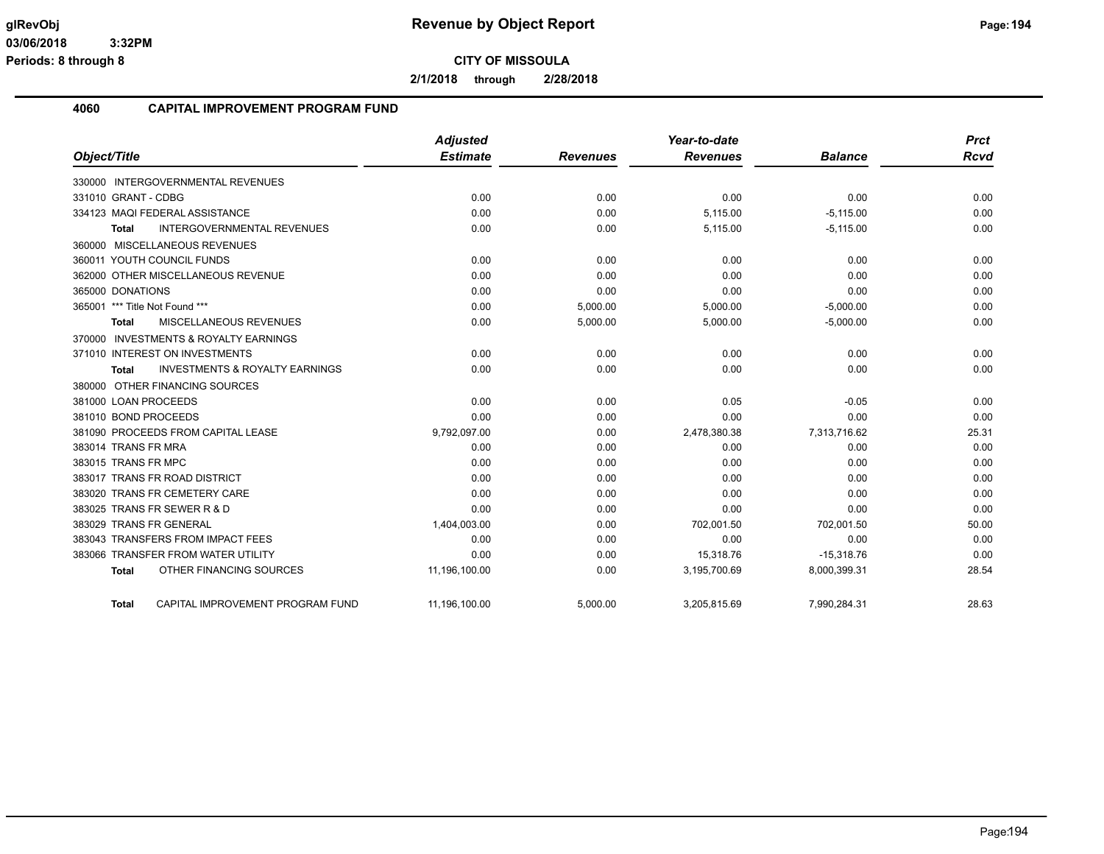**2/1/2018 through 2/28/2018**

#### **4060 CAPITAL IMPROVEMENT PROGRAM FUND**

|                                                           | <b>Adjusted</b> |                 | Year-to-date    |                | <b>Prct</b> |
|-----------------------------------------------------------|-----------------|-----------------|-----------------|----------------|-------------|
| Object/Title                                              | <b>Estimate</b> | <b>Revenues</b> | <b>Revenues</b> | <b>Balance</b> | <b>Rcvd</b> |
| 330000 INTERGOVERNMENTAL REVENUES                         |                 |                 |                 |                |             |
| 331010 GRANT - CDBG                                       | 0.00            | 0.00            | 0.00            | 0.00           | 0.00        |
| 334123 MAQI FEDERAL ASSISTANCE                            | 0.00            | 0.00            | 5,115.00        | $-5,115.00$    | 0.00        |
| <b>INTERGOVERNMENTAL REVENUES</b><br>Total                | 0.00            | 0.00            | 5,115.00        | $-5,115.00$    | 0.00        |
| 360000 MISCELLANEOUS REVENUES                             |                 |                 |                 |                |             |
| 360011 YOUTH COUNCIL FUNDS                                | 0.00            | 0.00            | 0.00            | 0.00           | 0.00        |
| 362000 OTHER MISCELLANEOUS REVENUE                        | 0.00            | 0.00            | 0.00            | 0.00           | 0.00        |
| 365000 DONATIONS                                          | 0.00            | 0.00            | 0.00            | 0.00           | 0.00        |
| 365001 *** Title Not Found ***                            | 0.00            | 5,000.00        | 5,000.00        | $-5,000.00$    | 0.00        |
| MISCELLANEOUS REVENUES<br>Total                           | 0.00            | 5,000.00        | 5,000.00        | $-5,000.00$    | 0.00        |
| 370000 INVESTMENTS & ROYALTY EARNINGS                     |                 |                 |                 |                |             |
| 371010 INTEREST ON INVESTMENTS                            | 0.00            | 0.00            | 0.00            | 0.00           | 0.00        |
| <b>INVESTMENTS &amp; ROYALTY EARNINGS</b><br><b>Total</b> | 0.00            | 0.00            | 0.00            | 0.00           | 0.00        |
| 380000 OTHER FINANCING SOURCES                            |                 |                 |                 |                |             |
| 381000 LOAN PROCEEDS                                      | 0.00            | 0.00            | 0.05            | $-0.05$        | 0.00        |
| 381010 BOND PROCEEDS                                      | 0.00            | 0.00            | 0.00            | 0.00           | 0.00        |
| 381090 PROCEEDS FROM CAPITAL LEASE                        | 9,792,097.00    | 0.00            | 2,478,380.38    | 7,313,716.62   | 25.31       |
| 383014 TRANS FR MRA                                       | 0.00            | 0.00            | 0.00            | 0.00           | 0.00        |
| 383015 TRANS FR MPC                                       | 0.00            | 0.00            | 0.00            | 0.00           | 0.00        |
| 383017 TRANS FR ROAD DISTRICT                             | 0.00            | 0.00            | 0.00            | 0.00           | 0.00        |
| 383020 TRANS FR CEMETERY CARE                             | 0.00            | 0.00            | 0.00            | 0.00           | 0.00        |
| 383025 TRANS FR SEWER R & D                               | 0.00            | 0.00            | 0.00            | 0.00           | 0.00        |
| 383029 TRANS FR GENERAL                                   | 1,404,003.00    | 0.00            | 702,001.50      | 702,001.50     | 50.00       |
| 383043 TRANSFERS FROM IMPACT FEES                         | 0.00            | 0.00            | 0.00            | 0.00           | 0.00        |
| 383066 TRANSFER FROM WATER UTILITY                        | 0.00            | 0.00            | 15,318.76       | $-15,318.76$   | 0.00        |
| OTHER FINANCING SOURCES<br><b>Total</b>                   | 11,196,100.00   | 0.00            | 3,195,700.69    | 8,000,399.31   | 28.54       |
| CAPITAL IMPROVEMENT PROGRAM FUND<br><b>Total</b>          | 11,196,100.00   | 5.000.00        | 3,205,815.69    | 7,990,284.31   | 28.63       |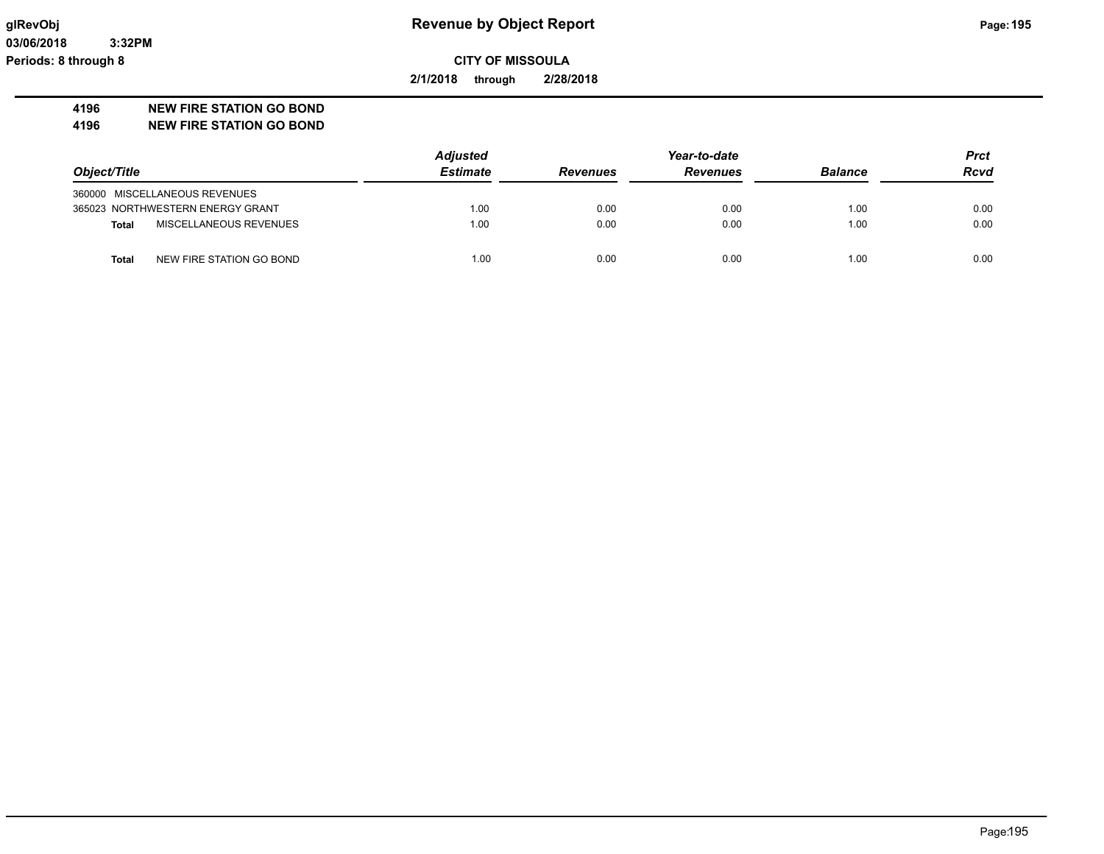**03/06/2018 3:32PM Periods: 8 through 8**

## **glRevObj Revenue by Object Report Page:195**

**CITY OF MISSOULA**

**2/1/2018 through 2/28/2018**

#### **4196 NEW FIRE STATION GO BOND**

**4196 NEW FIRE STATION GO BOND**

|                                          | <b>Adjusted</b> |                 | Year-to-date    |                |             |
|------------------------------------------|-----------------|-----------------|-----------------|----------------|-------------|
| Object/Title                             | <b>Estimate</b> | <b>Revenues</b> | <b>Revenues</b> | <b>Balance</b> | <b>Rcvd</b> |
| 360000 MISCELLANEOUS REVENUES            |                 |                 |                 |                |             |
| 365023 NORTHWESTERN ENERGY GRANT         | 1.00            | 0.00            | 0.00            | 1.00           | 0.00        |
| MISCELLANEOUS REVENUES<br><b>Total</b>   | 1.00            | 0.00            | 0.00            | 1.00           | 0.00        |
| NEW FIRE STATION GO BOND<br><b>Total</b> | 1.00            | 0.00            | 0.00            | 1.00           | 0.00        |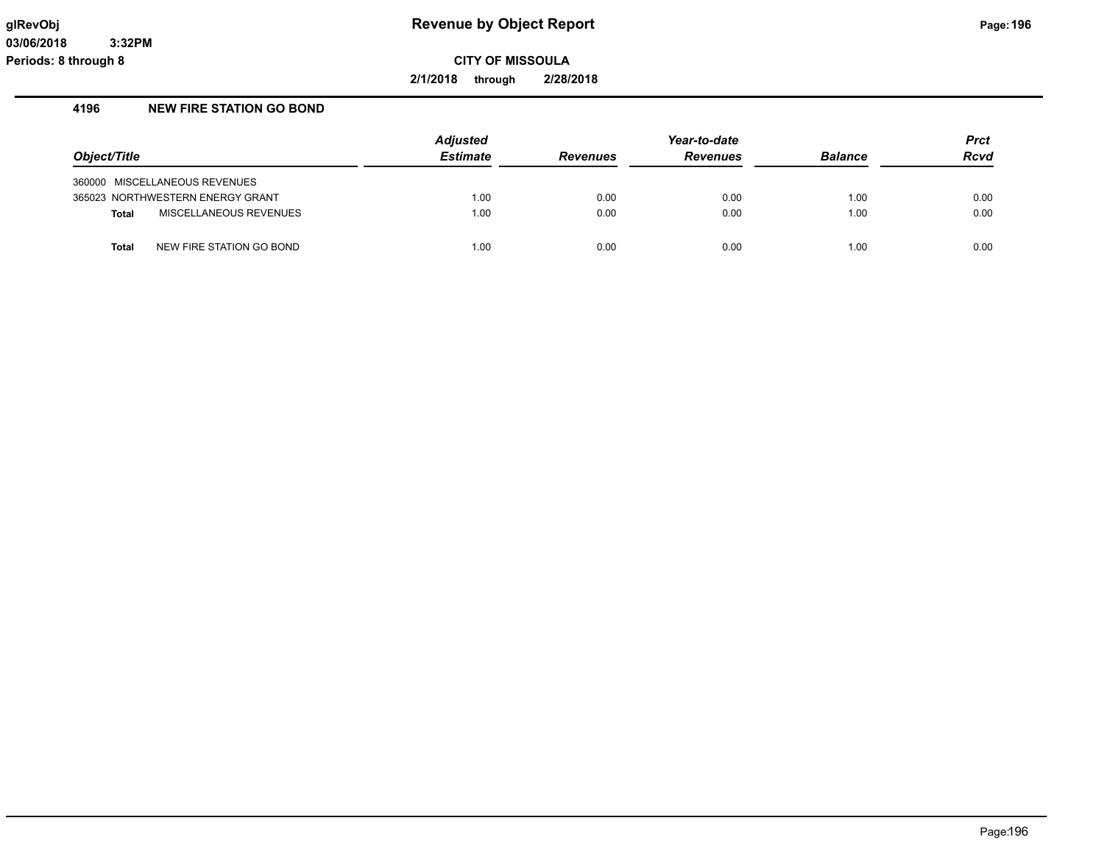**2/1/2018 through 2/28/2018**

#### **4196 NEW FIRE STATION GO BOND**

| Object/Title                             | Adjusted<br><b>Estimate</b> | <b>Revenues</b> | Year-to-date<br><b>Revenues</b> | <b>Balance</b> | <b>Prct</b><br>Rcvd |
|------------------------------------------|-----------------------------|-----------------|---------------------------------|----------------|---------------------|
| 360000 MISCELLANEOUS REVENUES            |                             |                 |                                 |                |                     |
| 365023 NORTHWESTERN ENERGY GRANT         | 1.00                        | 0.00            | 0.00                            | 1.00           | 0.00                |
| MISCELLANEOUS REVENUES<br><b>Total</b>   | 1.00                        | 0.00            | 0.00                            | 1.00           | 0.00                |
| NEW FIRE STATION GO BOND<br><b>Total</b> | 1.00                        | 0.00            | 0.00                            | 1.00           | 0.00                |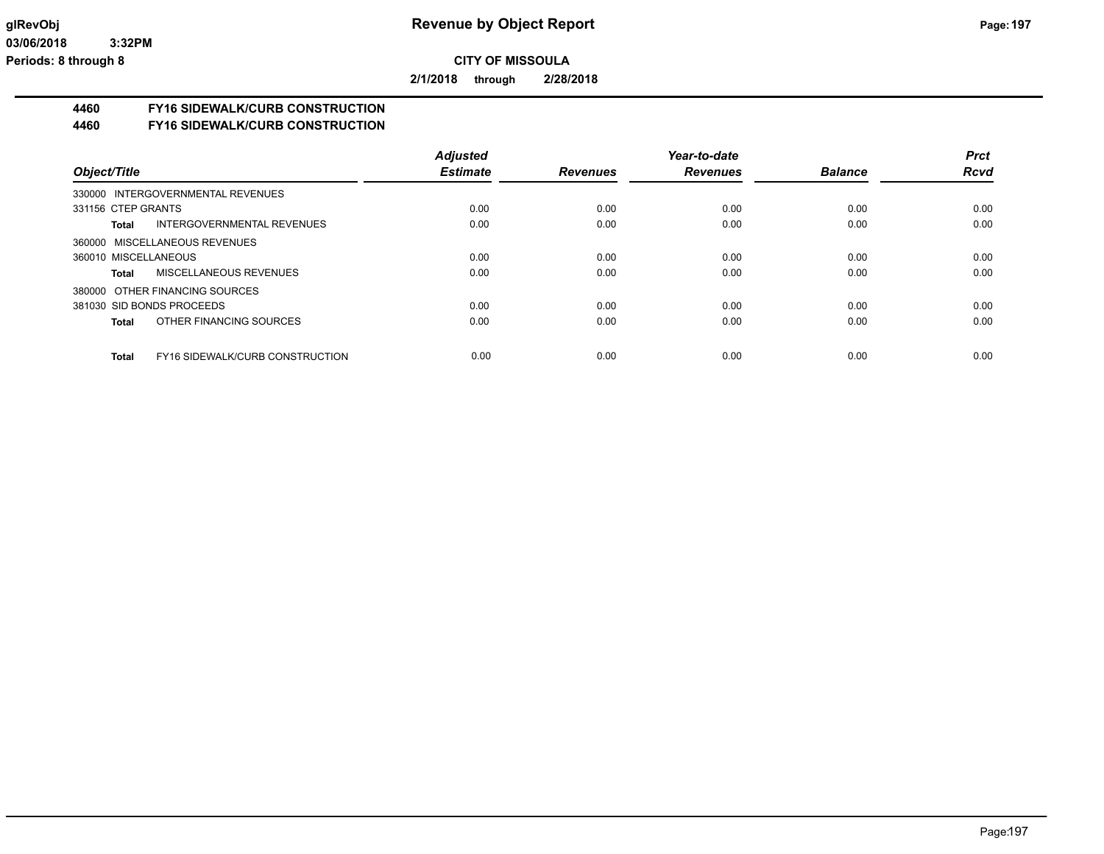**2/1/2018 through 2/28/2018**

# **4460 FY16 SIDEWALK/CURB CONSTRUCTION**

#### **4460 FY16 SIDEWALK/CURB CONSTRUCTION**

|                                                 | <b>Adjusted</b> |                 | Year-to-date    |                | <b>Prct</b> |
|-------------------------------------------------|-----------------|-----------------|-----------------|----------------|-------------|
| Object/Title                                    | <b>Estimate</b> | <b>Revenues</b> | <b>Revenues</b> | <b>Balance</b> | <b>Rcvd</b> |
| 330000 INTERGOVERNMENTAL REVENUES               |                 |                 |                 |                |             |
| 331156 CTEP GRANTS                              | 0.00            | 0.00            | 0.00            | 0.00           | 0.00        |
| INTERGOVERNMENTAL REVENUES<br>Total             | 0.00            | 0.00            | 0.00            | 0.00           | 0.00        |
| 360000 MISCELLANEOUS REVENUES                   |                 |                 |                 |                |             |
| 360010 MISCELLANEOUS                            | 0.00            | 0.00            | 0.00            | 0.00           | 0.00        |
| MISCELLANEOUS REVENUES<br>Total                 | 0.00            | 0.00            | 0.00            | 0.00           | 0.00        |
| 380000 OTHER FINANCING SOURCES                  |                 |                 |                 |                |             |
| 381030 SID BONDS PROCEEDS                       | 0.00            | 0.00            | 0.00            | 0.00           | 0.00        |
| OTHER FINANCING SOURCES<br>Total                | 0.00            | 0.00            | 0.00            | 0.00           | 0.00        |
|                                                 |                 |                 |                 |                |             |
| <b>FY16 SIDEWALK/CURB CONSTRUCTION</b><br>Total | 0.00            | 0.00            | 0.00            | 0.00           | 0.00        |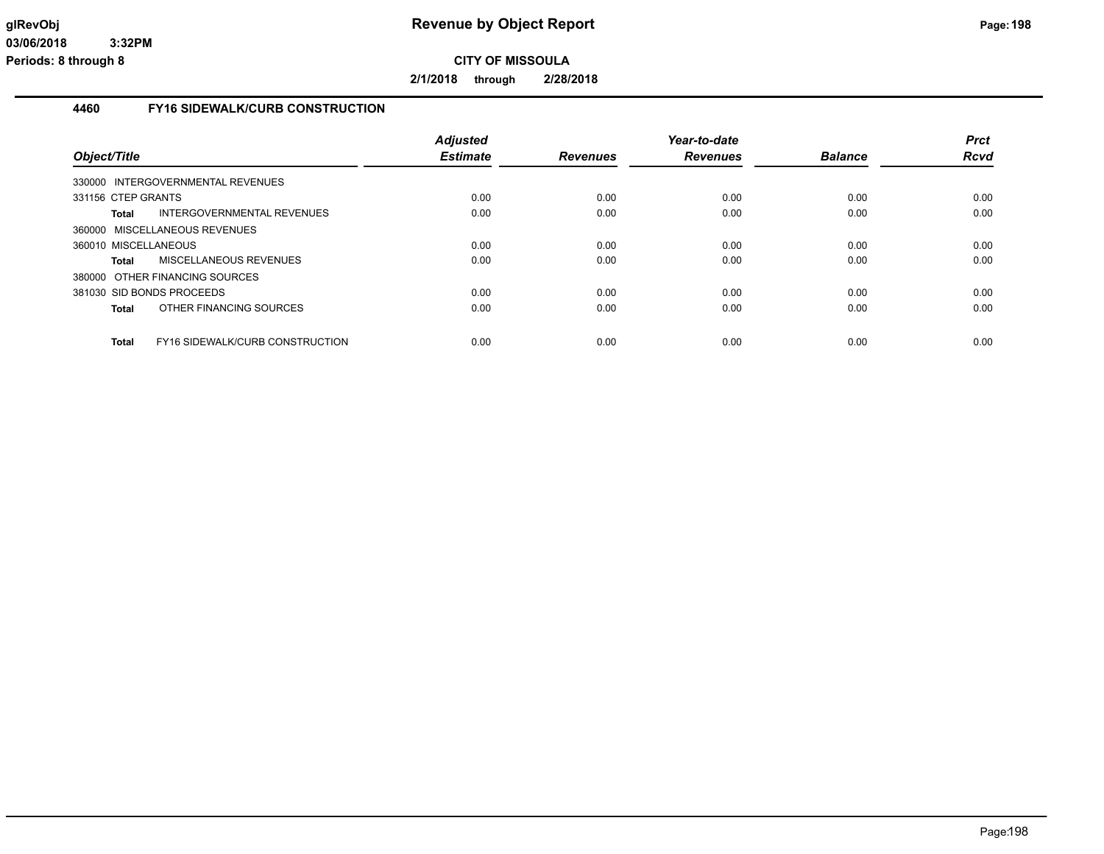**2/1/2018 through 2/28/2018**

#### **4460 FY16 SIDEWALK/CURB CONSTRUCTION**

| Object/Title                                    | <b>Adjusted</b><br><b>Estimate</b> | <b>Revenues</b> | Year-to-date<br><b>Revenues</b> | <b>Balance</b> | <b>Prct</b><br>Rcvd |
|-------------------------------------------------|------------------------------------|-----------------|---------------------------------|----------------|---------------------|
| 330000 INTERGOVERNMENTAL REVENUES               |                                    |                 |                                 |                |                     |
| 331156 CTEP GRANTS                              | 0.00                               | 0.00            | 0.00                            | 0.00           | 0.00                |
| INTERGOVERNMENTAL REVENUES<br>Total             | 0.00                               | 0.00            | 0.00                            | 0.00           | 0.00                |
| 360000 MISCELLANEOUS REVENUES                   |                                    |                 |                                 |                |                     |
| 360010 MISCELLANEOUS                            | 0.00                               | 0.00            | 0.00                            | 0.00           | 0.00                |
| MISCELLANEOUS REVENUES<br>Total                 | 0.00                               | 0.00            | 0.00                            | 0.00           | 0.00                |
| 380000 OTHER FINANCING SOURCES                  |                                    |                 |                                 |                |                     |
| 381030 SID BONDS PROCEEDS                       | 0.00                               | 0.00            | 0.00                            | 0.00           | 0.00                |
| OTHER FINANCING SOURCES<br>Total                | 0.00                               | 0.00            | 0.00                            | 0.00           | 0.00                |
| FY16 SIDEWALK/CURB CONSTRUCTION<br><b>Total</b> | 0.00                               | 0.00            | 0.00                            | 0.00           | 0.00                |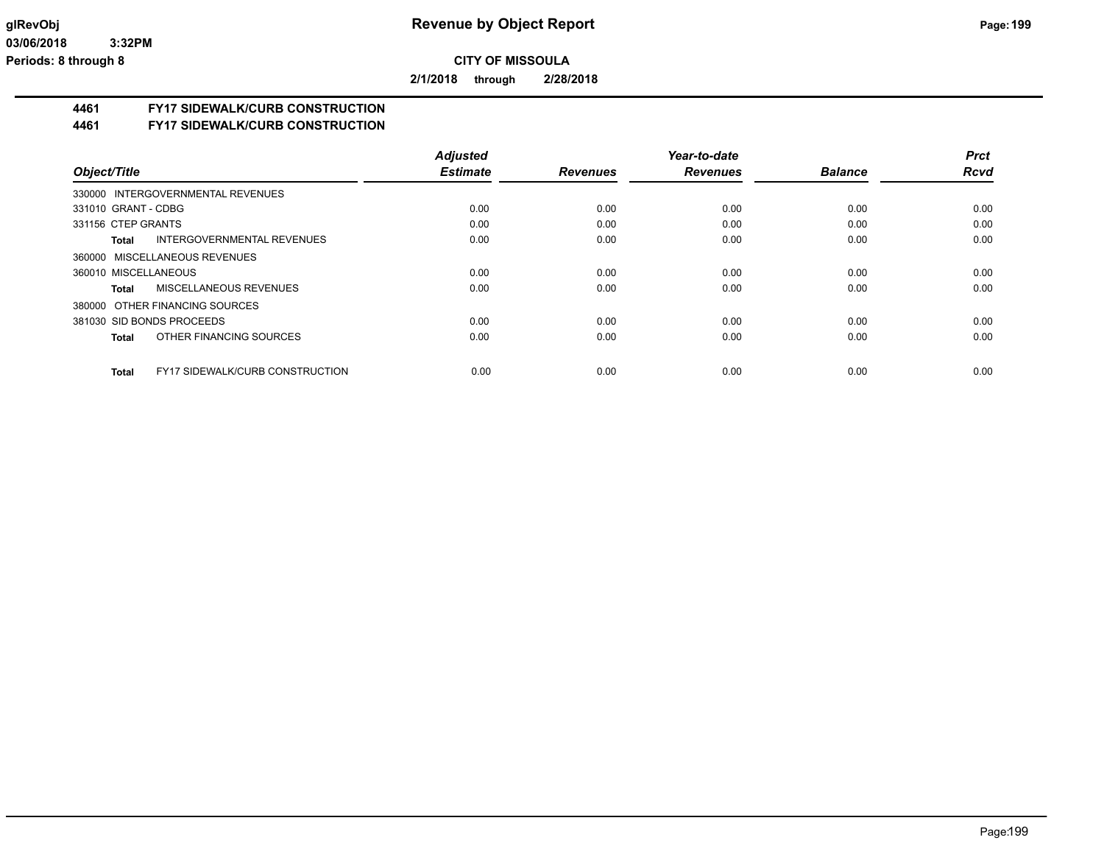**2/1/2018 through 2/28/2018**

#### **4461 FY17 SIDEWALK/CURB CONSTRUCTION**

**4461 FY17 SIDEWALK/CURB CONSTRUCTION**

|                                                        | <b>Adjusted</b> |                 | Year-to-date    |                | <b>Prct</b> |
|--------------------------------------------------------|-----------------|-----------------|-----------------|----------------|-------------|
| Object/Title                                           | <b>Estimate</b> | <b>Revenues</b> | <b>Revenues</b> | <b>Balance</b> | <b>Rcvd</b> |
| 330000 INTERGOVERNMENTAL REVENUES                      |                 |                 |                 |                |             |
| 331010 GRANT - CDBG                                    | 0.00            | 0.00            | 0.00            | 0.00           | 0.00        |
| 331156 CTEP GRANTS                                     | 0.00            | 0.00            | 0.00            | 0.00           | 0.00        |
| INTERGOVERNMENTAL REVENUES<br>Total                    | 0.00            | 0.00            | 0.00            | 0.00           | 0.00        |
| 360000 MISCELLANEOUS REVENUES                          |                 |                 |                 |                |             |
| 360010 MISCELLANEOUS                                   | 0.00            | 0.00            | 0.00            | 0.00           | 0.00        |
| MISCELLANEOUS REVENUES<br>Total                        | 0.00            | 0.00            | 0.00            | 0.00           | 0.00        |
| 380000 OTHER FINANCING SOURCES                         |                 |                 |                 |                |             |
| 381030 SID BONDS PROCEEDS                              | 0.00            | 0.00            | 0.00            | 0.00           | 0.00        |
| OTHER FINANCING SOURCES<br><b>Total</b>                | 0.00            | 0.00            | 0.00            | 0.00           | 0.00        |
| <b>FY17 SIDEWALK/CURB CONSTRUCTION</b><br><b>Total</b> | 0.00            | 0.00            | 0.00            | 0.00           | 0.00        |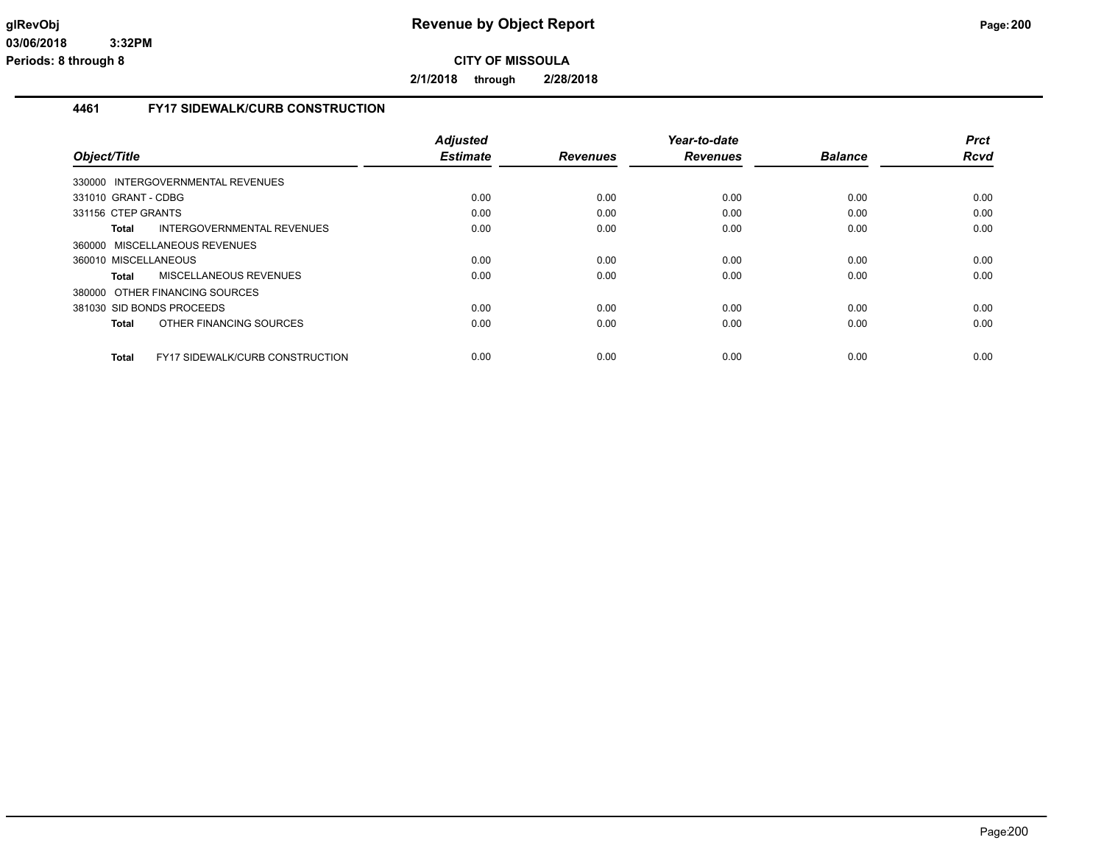**2/1/2018 through 2/28/2018**

#### **4461 FY17 SIDEWALK/CURB CONSTRUCTION**

|                                                        | <b>Adjusted</b> |                 | Year-to-date    |                | <b>Prct</b> |
|--------------------------------------------------------|-----------------|-----------------|-----------------|----------------|-------------|
| Object/Title                                           | <b>Estimate</b> | <b>Revenues</b> | <b>Revenues</b> | <b>Balance</b> | <b>Rcvd</b> |
| 330000 INTERGOVERNMENTAL REVENUES                      |                 |                 |                 |                |             |
| 331010 GRANT - CDBG                                    | 0.00            | 0.00            | 0.00            | 0.00           | 0.00        |
| 331156 CTEP GRANTS                                     | 0.00            | 0.00            | 0.00            | 0.00           | 0.00        |
| INTERGOVERNMENTAL REVENUES<br>Total                    | 0.00            | 0.00            | 0.00            | 0.00           | 0.00        |
| 360000 MISCELLANEOUS REVENUES                          |                 |                 |                 |                |             |
| 360010 MISCELLANEOUS                                   | 0.00            | 0.00            | 0.00            | 0.00           | 0.00        |
| MISCELLANEOUS REVENUES<br>Total                        | 0.00            | 0.00            | 0.00            | 0.00           | 0.00        |
| 380000 OTHER FINANCING SOURCES                         |                 |                 |                 |                |             |
| 381030 SID BONDS PROCEEDS                              | 0.00            | 0.00            | 0.00            | 0.00           | 0.00        |
| OTHER FINANCING SOURCES<br>Total                       | 0.00            | 0.00            | 0.00            | 0.00           | 0.00        |
| <b>FY17 SIDEWALK/CURB CONSTRUCTION</b><br><b>Total</b> | 0.00            | 0.00            | 0.00            | 0.00           | 0.00        |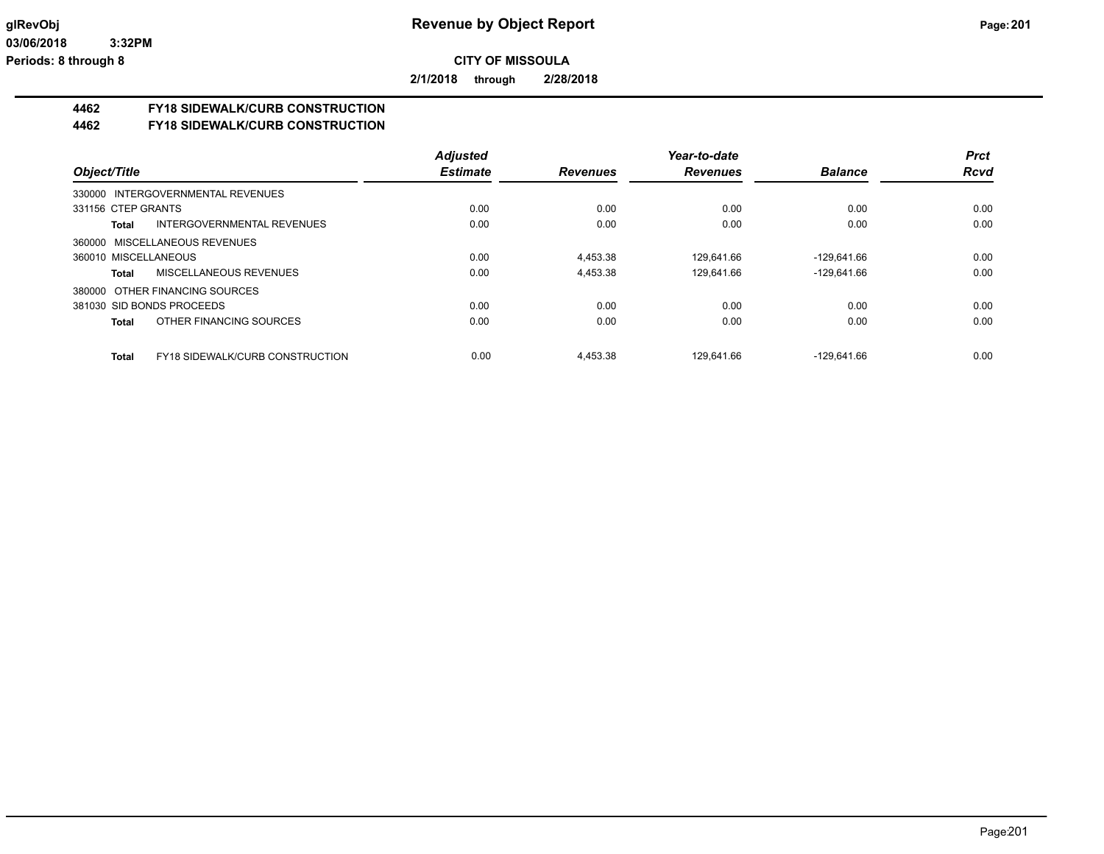**2/1/2018 through 2/28/2018**

### **4462 FY18 SIDEWALK/CURB CONSTRUCTION**

#### **4462 FY18 SIDEWALK/CURB CONSTRUCTION**

|                                                        | <b>Adjusted</b> |                 | Year-to-date    |                | <b>Prct</b> |
|--------------------------------------------------------|-----------------|-----------------|-----------------|----------------|-------------|
| Object/Title                                           | <b>Estimate</b> | <b>Revenues</b> | <b>Revenues</b> | <b>Balance</b> | <b>Rcvd</b> |
| 330000 INTERGOVERNMENTAL REVENUES                      |                 |                 |                 |                |             |
| 331156 CTEP GRANTS                                     | 0.00            | 0.00            | 0.00            | 0.00           | 0.00        |
| INTERGOVERNMENTAL REVENUES<br>Total                    | 0.00            | 0.00            | 0.00            | 0.00           | 0.00        |
| 360000 MISCELLANEOUS REVENUES                          |                 |                 |                 |                |             |
| 360010 MISCELLANEOUS                                   | 0.00            | 4.453.38        | 129.641.66      | $-129.641.66$  | 0.00        |
| MISCELLANEOUS REVENUES<br>Total                        | 0.00            | 4,453.38        | 129,641.66      | $-129,641.66$  | 0.00        |
| 380000 OTHER FINANCING SOURCES                         |                 |                 |                 |                |             |
| 381030 SID BONDS PROCEEDS                              | 0.00            | 0.00            | 0.00            | 0.00           | 0.00        |
| OTHER FINANCING SOURCES<br><b>Total</b>                | 0.00            | 0.00            | 0.00            | 0.00           | 0.00        |
|                                                        |                 |                 |                 |                |             |
| <b>FY18 SIDEWALK/CURB CONSTRUCTION</b><br><b>Total</b> | 0.00            | 4.453.38        | 129.641.66      | $-129.641.66$  | 0.00        |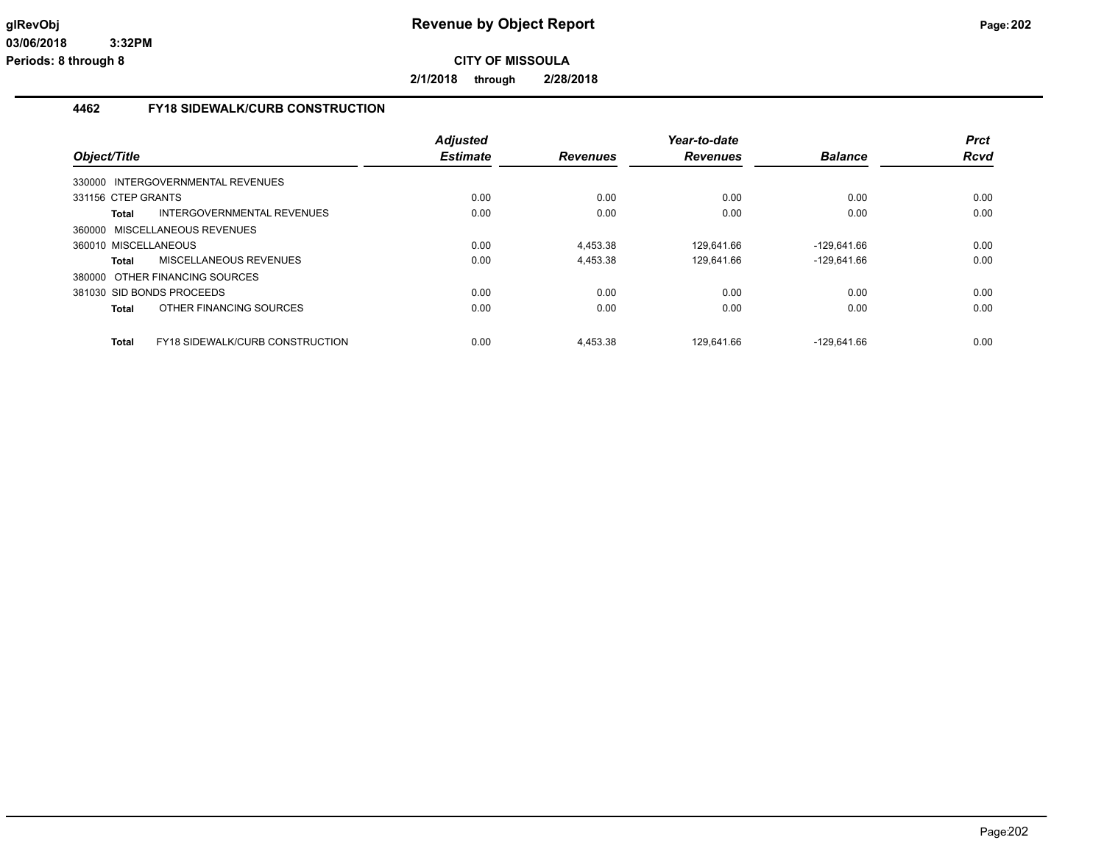**2/1/2018 through 2/28/2018**

#### **4462 FY18 SIDEWALK/CURB CONSTRUCTION**

| Object/Title                            |                                        | <b>Adjusted</b><br><b>Estimate</b> | <b>Revenues</b> | Year-to-date<br><b>Revenues</b> | <b>Balance</b> | <b>Prct</b><br><b>Rcvd</b> |
|-----------------------------------------|----------------------------------------|------------------------------------|-----------------|---------------------------------|----------------|----------------------------|
|                                         |                                        |                                    |                 |                                 |                |                            |
| 330000 INTERGOVERNMENTAL REVENUES       |                                        |                                    |                 |                                 |                |                            |
| 331156 CTEP GRANTS                      |                                        | 0.00                               | 0.00            | 0.00                            | 0.00           | 0.00                       |
| Total                                   | INTERGOVERNMENTAL REVENUES             | 0.00                               | 0.00            | 0.00                            | 0.00           | 0.00                       |
| 360000 MISCELLANEOUS REVENUES           |                                        |                                    |                 |                                 |                |                            |
| 360010 MISCELLANEOUS                    |                                        | 0.00                               | 4,453.38        | 129.641.66                      | -129.641.66    | 0.00                       |
| MISCELLANEOUS REVENUES<br>Total         |                                        | 0.00                               | 4,453.38        | 129,641.66                      | $-129.641.66$  | 0.00                       |
| 380000 OTHER FINANCING SOURCES          |                                        |                                    |                 |                                 |                |                            |
| 381030 SID BONDS PROCEEDS               |                                        | 0.00                               | 0.00            | 0.00                            | 0.00           | 0.00                       |
| OTHER FINANCING SOURCES<br><b>Total</b> |                                        | 0.00                               | 0.00            | 0.00                            | 0.00           | 0.00                       |
| <b>Total</b>                            | <b>FY18 SIDEWALK/CURB CONSTRUCTION</b> | 0.00                               | 4.453.38        | 129.641.66                      | $-129.641.66$  | 0.00                       |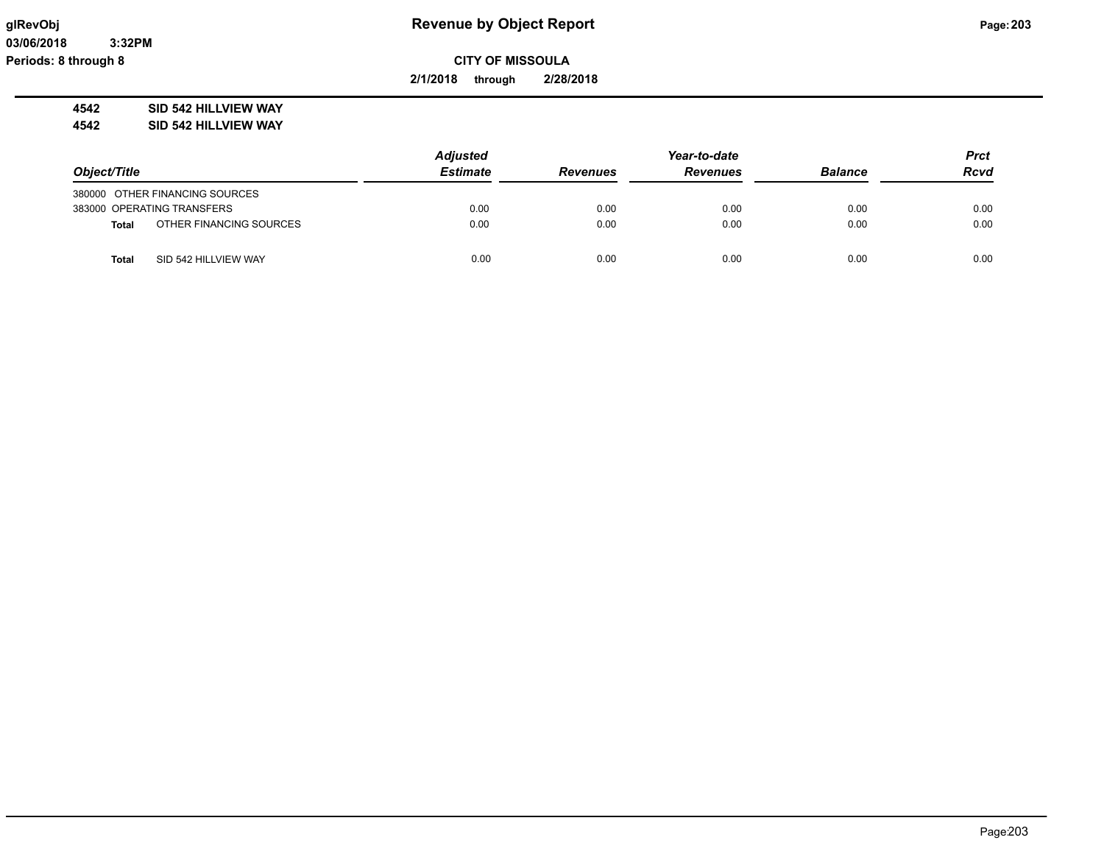**2/1/2018 through 2/28/2018**

**4542 SID 542 HILLVIEW WAY**

**4542 SID 542 HILLVIEW WAY**

|                                         | <b>Adjusted</b> |                 | Year-to-date    |                |             |
|-----------------------------------------|-----------------|-----------------|-----------------|----------------|-------------|
| Object/Title                            | <b>Estimate</b> | <b>Revenues</b> | <b>Revenues</b> | <b>Balance</b> | <b>Rcvd</b> |
| 380000 OTHER FINANCING SOURCES          |                 |                 |                 |                |             |
| 383000 OPERATING TRANSFERS              | 0.00            | 0.00            | 0.00            | 0.00           | 0.00        |
| OTHER FINANCING SOURCES<br><b>Total</b> | 0.00            | 0.00            | 0.00            | 0.00           | 0.00        |
| SID 542 HILLVIEW WAY<br>Total           | 0.00            | 0.00            | 0.00            | 0.00           | 0.00        |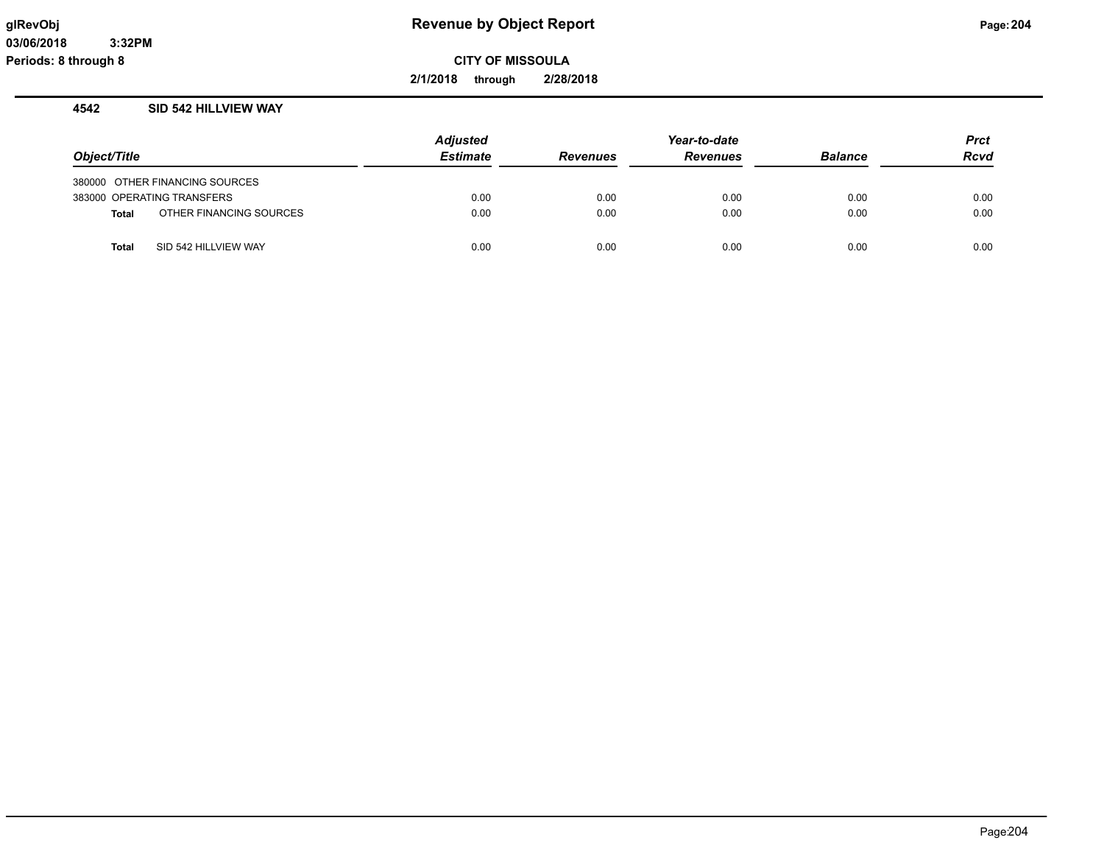**2/1/2018 through 2/28/2018**

#### **4542 SID 542 HILLVIEW WAY**

|              |                                | <b>Adjusted</b> |                 | <b>Prct</b>     |                |             |
|--------------|--------------------------------|-----------------|-----------------|-----------------|----------------|-------------|
| Object/Title |                                | <b>Estimate</b> | <b>Revenues</b> | <b>Revenues</b> | <b>Balance</b> | <b>Rcvd</b> |
|              | 380000 OTHER FINANCING SOURCES |                 |                 |                 |                |             |
|              | 383000 OPERATING TRANSFERS     | 0.00            | 0.00            | 0.00            | 0.00           | 0.00        |
| <b>Total</b> | OTHER FINANCING SOURCES        | 0.00            | 0.00            | 0.00            | 0.00           | 0.00        |
| <b>Total</b> | SID 542 HILLVIEW WAY           | 0.00            | 0.00            | 0.00            | 0.00           | 0.00        |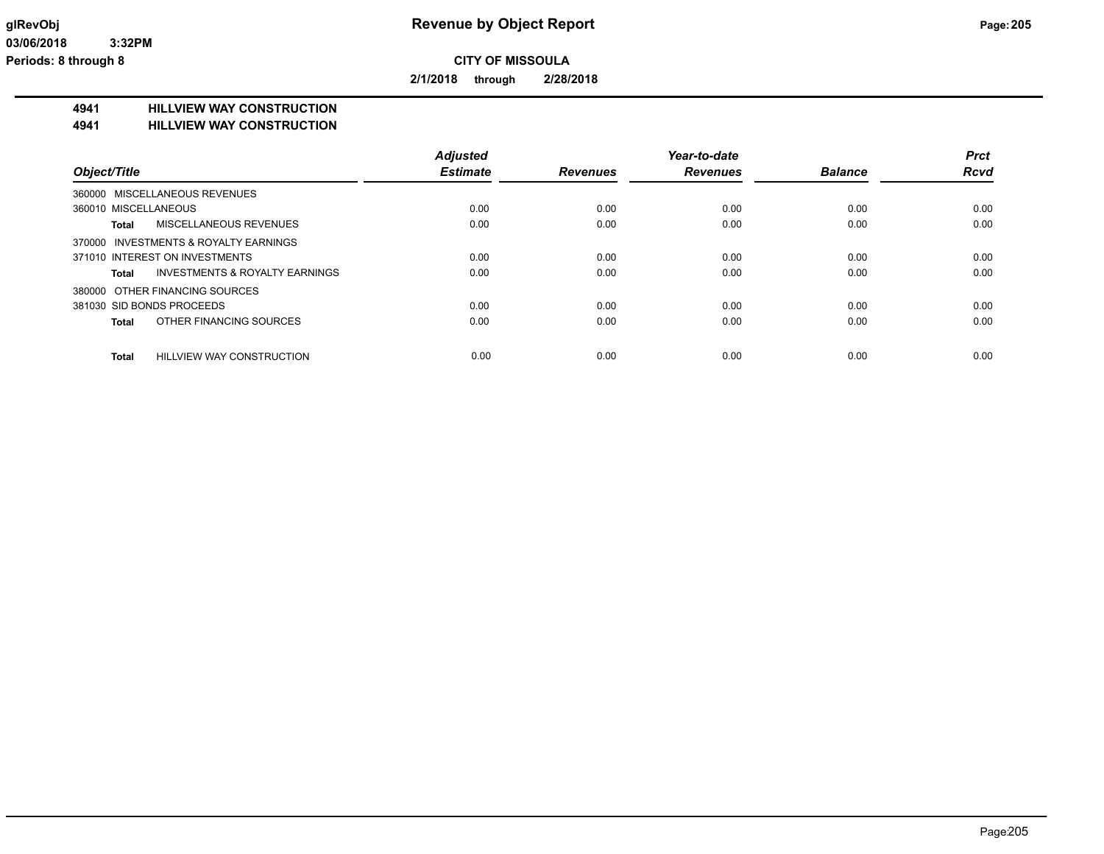**2/1/2018 through 2/28/2018**

#### **4941 HILLVIEW WAY CONSTRUCTION**

#### **4941 HILLVIEW WAY CONSTRUCTION**

|                                                    | <b>Adjusted</b> |                 | Year-to-date    |                | <b>Prct</b> |
|----------------------------------------------------|-----------------|-----------------|-----------------|----------------|-------------|
| Object/Title                                       | <b>Estimate</b> | <b>Revenues</b> | <b>Revenues</b> | <b>Balance</b> | <b>Rcvd</b> |
| 360000 MISCELLANEOUS REVENUES                      |                 |                 |                 |                |             |
| 360010 MISCELLANEOUS                               | 0.00            | 0.00            | 0.00            | 0.00           | 0.00        |
| <b>MISCELLANEOUS REVENUES</b><br>Total             | 0.00            | 0.00            | 0.00            | 0.00           | 0.00        |
| 370000 INVESTMENTS & ROYALTY EARNINGS              |                 |                 |                 |                |             |
| 371010 INTEREST ON INVESTMENTS                     | 0.00            | 0.00            | 0.00            | 0.00           | 0.00        |
| <b>INVESTMENTS &amp; ROYALTY EARNINGS</b><br>Total | 0.00            | 0.00            | 0.00            | 0.00           | 0.00        |
| 380000 OTHER FINANCING SOURCES                     |                 |                 |                 |                |             |
| 381030 SID BONDS PROCEEDS                          | 0.00            | 0.00            | 0.00            | 0.00           | 0.00        |
| OTHER FINANCING SOURCES<br><b>Total</b>            | 0.00            | 0.00            | 0.00            | 0.00           | 0.00        |
| <b>HILLVIEW WAY CONSTRUCTION</b><br><b>Total</b>   | 0.00            | 0.00            | 0.00            | 0.00           | 0.00        |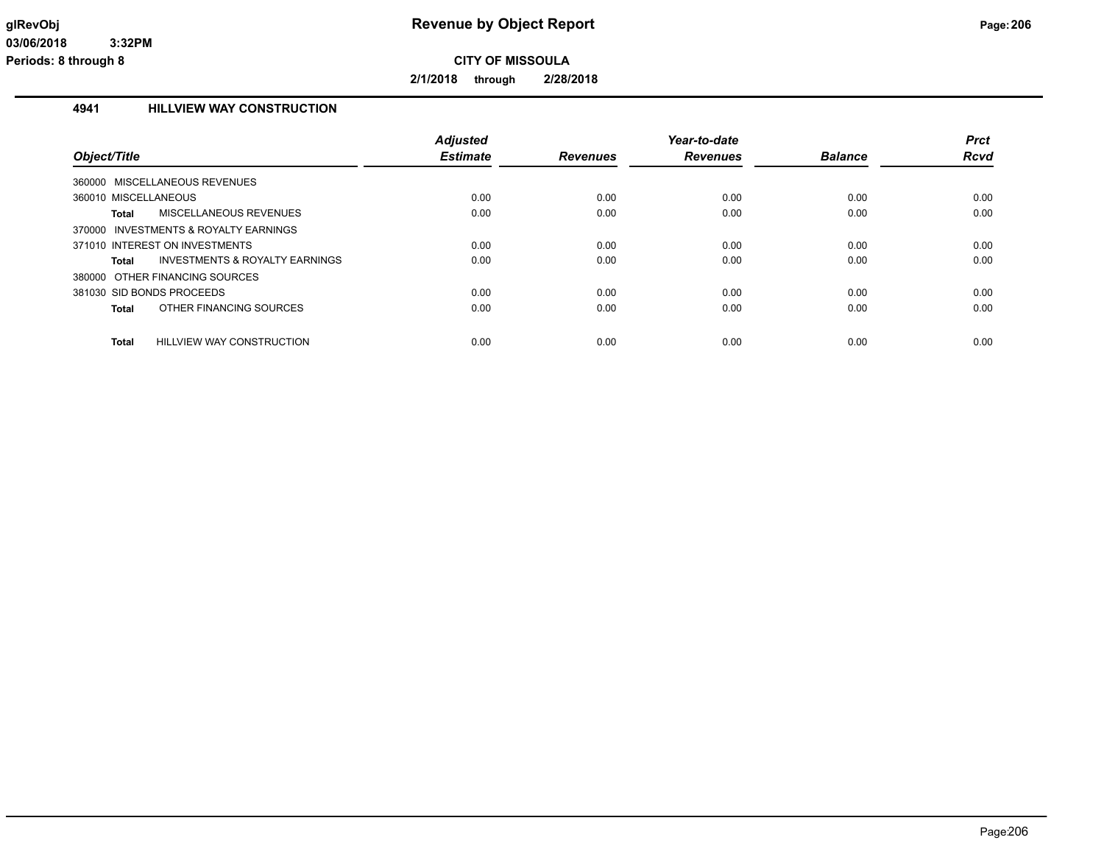**2/1/2018 through 2/28/2018**

#### **4941 HILLVIEW WAY CONSTRUCTION**

| Object/Title                                       | <b>Adjusted</b><br><b>Estimate</b> | <b>Revenues</b> | Year-to-date<br><b>Revenues</b> | <b>Balance</b> | <b>Prct</b><br>Rcvd |
|----------------------------------------------------|------------------------------------|-----------------|---------------------------------|----------------|---------------------|
| MISCELLANEOUS REVENUES<br>360000                   |                                    |                 |                                 |                |                     |
| 360010 MISCELLANEOUS                               | 0.00                               | 0.00            | 0.00                            | 0.00           | 0.00                |
| Total<br>MISCELLANEOUS REVENUES                    | 0.00                               | 0.00            | 0.00                            | 0.00           | 0.00                |
| INVESTMENTS & ROYALTY EARNINGS<br>370000           |                                    |                 |                                 |                |                     |
| 371010 INTEREST ON INVESTMENTS                     | 0.00                               | 0.00            | 0.00                            | 0.00           | 0.00                |
| <b>INVESTMENTS &amp; ROYALTY EARNINGS</b><br>Total | 0.00                               | 0.00            | 0.00                            | 0.00           | 0.00                |
| 380000 OTHER FINANCING SOURCES                     |                                    |                 |                                 |                |                     |
| 381030 SID BONDS PROCEEDS                          | 0.00                               | 0.00            | 0.00                            | 0.00           | 0.00                |
| OTHER FINANCING SOURCES<br>Total                   | 0.00                               | 0.00            | 0.00                            | 0.00           | 0.00                |
| Total<br>HILLVIEW WAY CONSTRUCTION                 | 0.00                               | 0.00            | 0.00                            | 0.00           | 0.00                |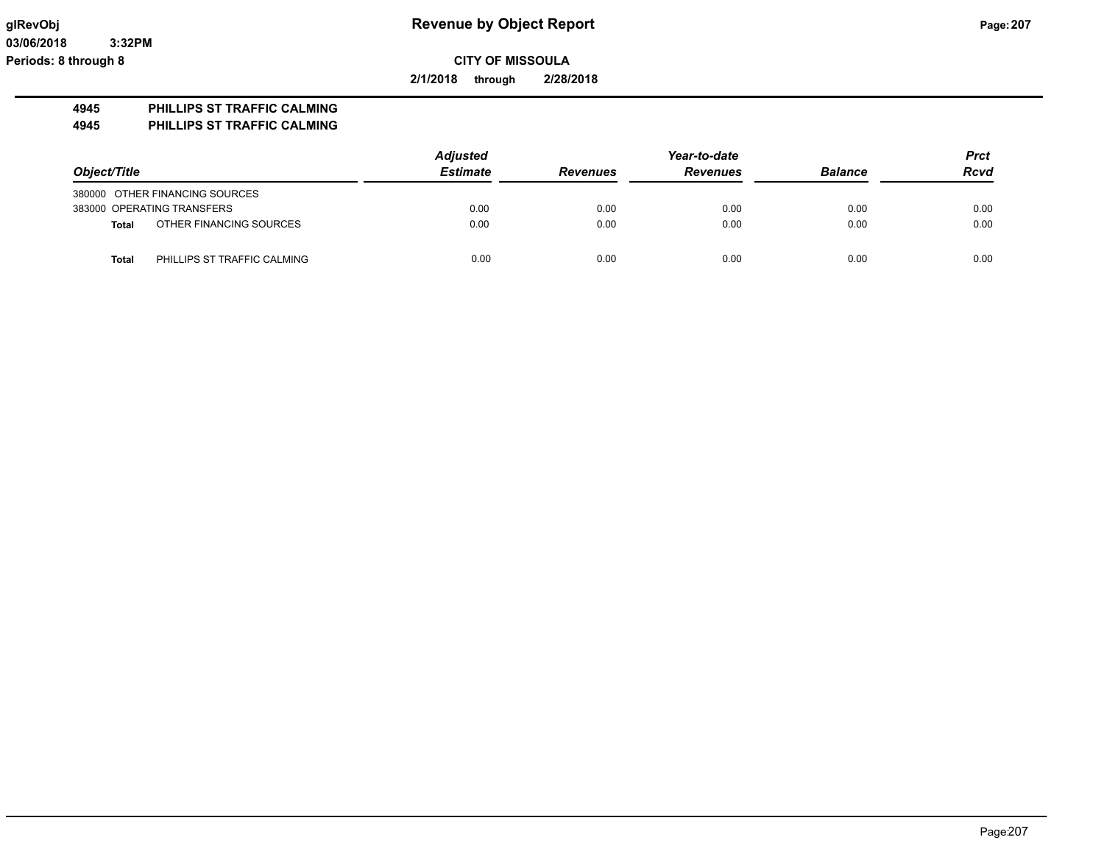**03/06/2018 3:32PM Periods: 8 through 8**

**CITY OF MISSOULA**

**2/1/2018 through 2/28/2018**

#### **4945 PHILLIPS ST TRAFFIC CALMING**

**4945 PHILLIPS ST TRAFFIC CALMING**

|              |                                | <b>Adjusted</b> |                 | Year-to-date    |                | <b>Prct</b> |
|--------------|--------------------------------|-----------------|-----------------|-----------------|----------------|-------------|
| Object/Title |                                | <b>Estimate</b> | <b>Revenues</b> | <b>Revenues</b> | <b>Balance</b> | <b>Rcvd</b> |
|              | 380000 OTHER FINANCING SOURCES |                 |                 |                 |                |             |
|              | 383000 OPERATING TRANSFERS     | 0.00            | 0.00            | 0.00            | 0.00           | 0.00        |
| <b>Total</b> | OTHER FINANCING SOURCES        | 0.00            | 0.00            | 0.00            | 0.00           | 0.00        |
| <b>Total</b> | PHILLIPS ST TRAFFIC CALMING    | 0.00            | 0.00            | 0.00            | 0.00           | 0.00        |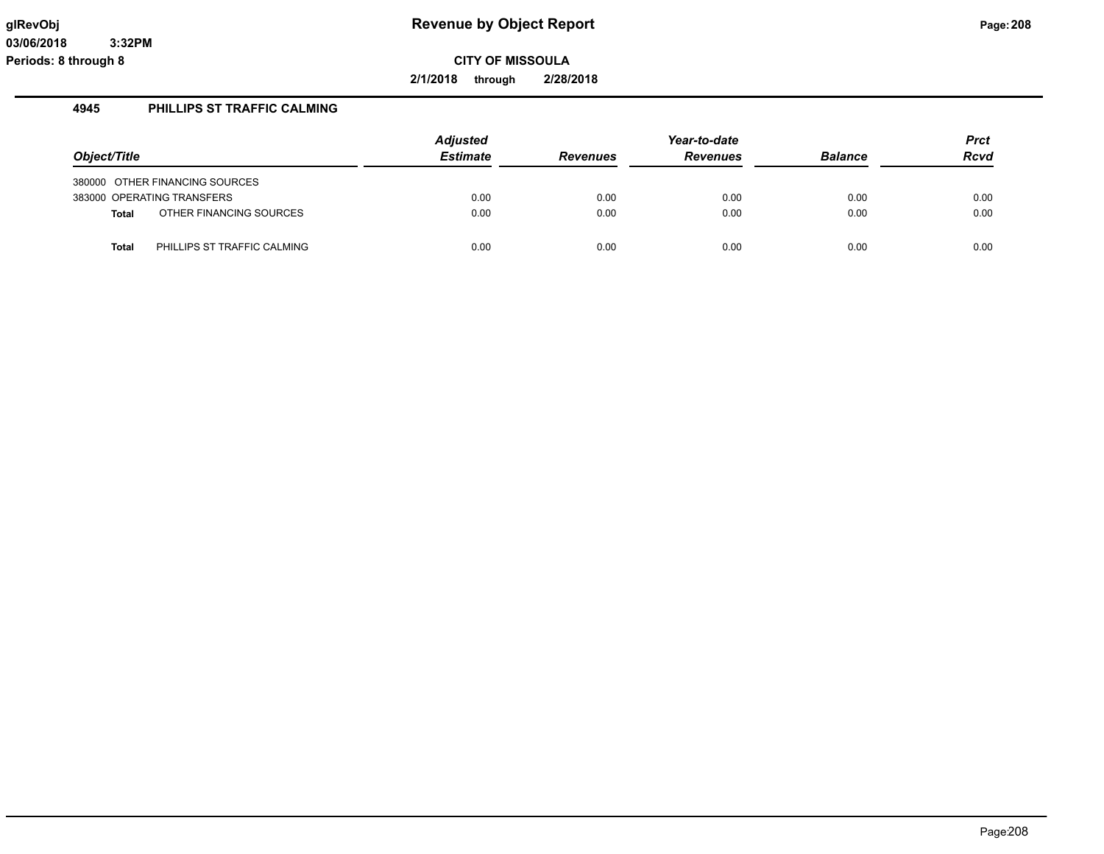**2/1/2018 through 2/28/2018**

#### **4945 PHILLIPS ST TRAFFIC CALMING**

|              |                                | <b>Adjusted</b> | Year-to-date    |                 |                | Prct        |
|--------------|--------------------------------|-----------------|-----------------|-----------------|----------------|-------------|
| Object/Title |                                | <b>Estimate</b> | <b>Revenues</b> | <b>Revenues</b> | <b>Balance</b> | <b>Rcvd</b> |
|              | 380000 OTHER FINANCING SOURCES |                 |                 |                 |                |             |
|              | 383000 OPERATING TRANSFERS     | 0.00            | 0.00            | 0.00            | 0.00           | 0.00        |
| <b>Total</b> | OTHER FINANCING SOURCES        | 0.00            | 0.00            | 0.00            | 0.00           | 0.00        |
| <b>Total</b> | PHILLIPS ST TRAFFIC CALMING    | 0.00            | 0.00            | 0.00            | 0.00           | 0.00        |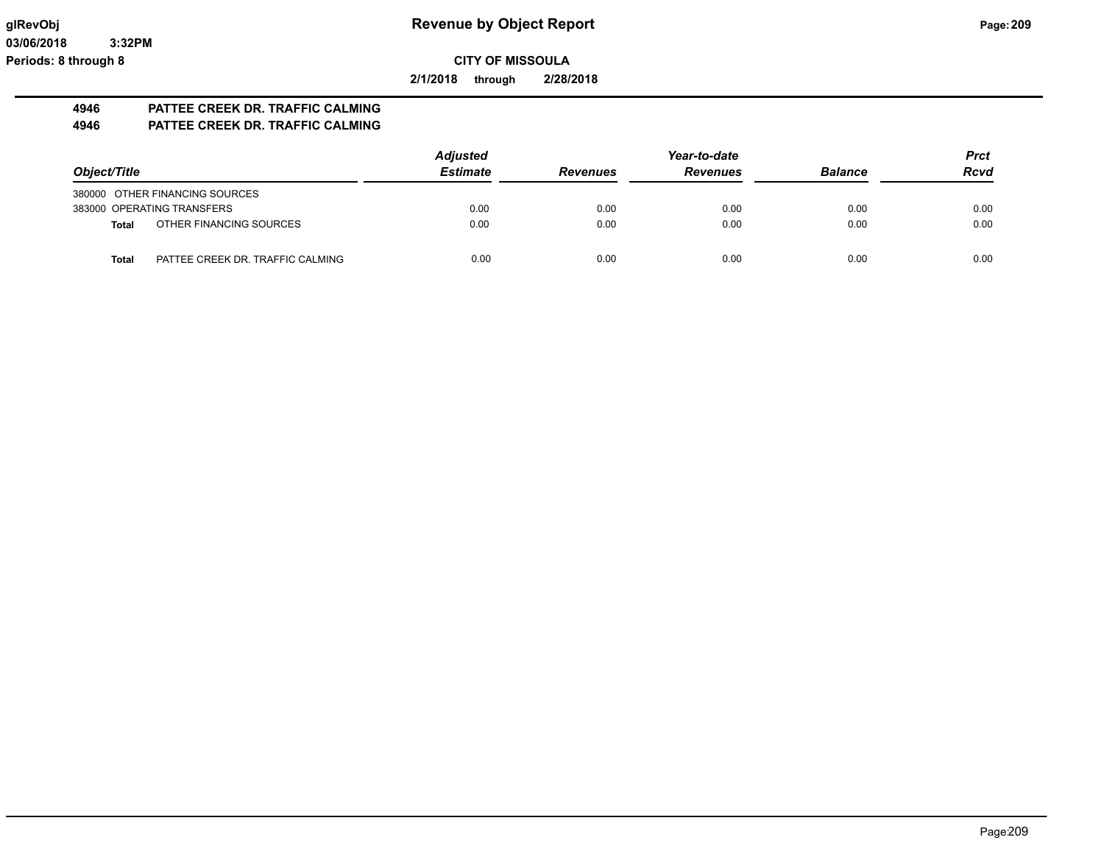**2/1/2018 through 2/28/2018**

# **4946 PATTEE CREEK DR. TRAFFIC CALMING**

# **4946 PATTEE CREEK DR. TRAFFIC CALMING**

|                                           | <b>Adjusted</b> |                 | Year-to-date    |                | <b>Prct</b> |
|-------------------------------------------|-----------------|-----------------|-----------------|----------------|-------------|
| Object/Title                              | <b>Estimate</b> | <b>Revenues</b> | <b>Revenues</b> | <b>Balance</b> | <b>Rcvd</b> |
| 380000 OTHER FINANCING SOURCES            |                 |                 |                 |                |             |
| 383000 OPERATING TRANSFERS                | 0.00            | 0.00            | 0.00            | 0.00           | 0.00        |
| OTHER FINANCING SOURCES<br>Total          | 0.00            | 0.00            | 0.00            | 0.00           | 0.00        |
| PATTEE CREEK DR. TRAFFIC CALMING<br>Total | 0.00            | 0.00            | 0.00            | 0.00           | 0.00        |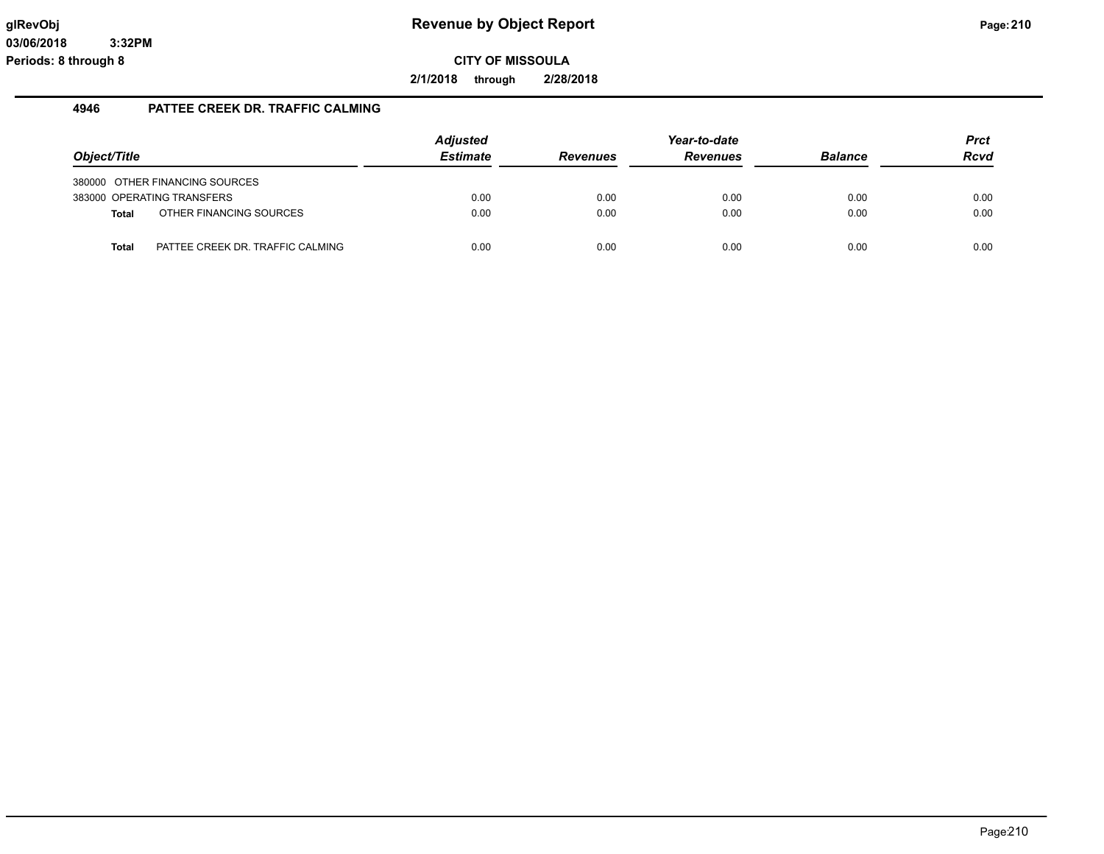**2/1/2018 through 2/28/2018**

#### **4946 PATTEE CREEK DR. TRAFFIC CALMING**

|              |                                  | <b>Adjusted</b> |                 | Year-to-date    |                | <b>Prct</b> |
|--------------|----------------------------------|-----------------|-----------------|-----------------|----------------|-------------|
| Object/Title |                                  | <b>Estimate</b> | <b>Revenues</b> | <b>Revenues</b> | <b>Balance</b> | <b>Rcvd</b> |
|              | 380000 OTHER FINANCING SOURCES   |                 |                 |                 |                |             |
|              | 383000 OPERATING TRANSFERS       | 0.00            | 0.00            | 0.00            | 0.00           | 0.00        |
| Total        | OTHER FINANCING SOURCES          | 0.00            | 0.00            | 0.00            | 0.00           | 0.00        |
|              |                                  |                 |                 |                 |                |             |
| Total        | PATTEE CREEK DR. TRAFFIC CALMING | 0.00            | 0.00            | 0.00            | 0.00           | 0.00        |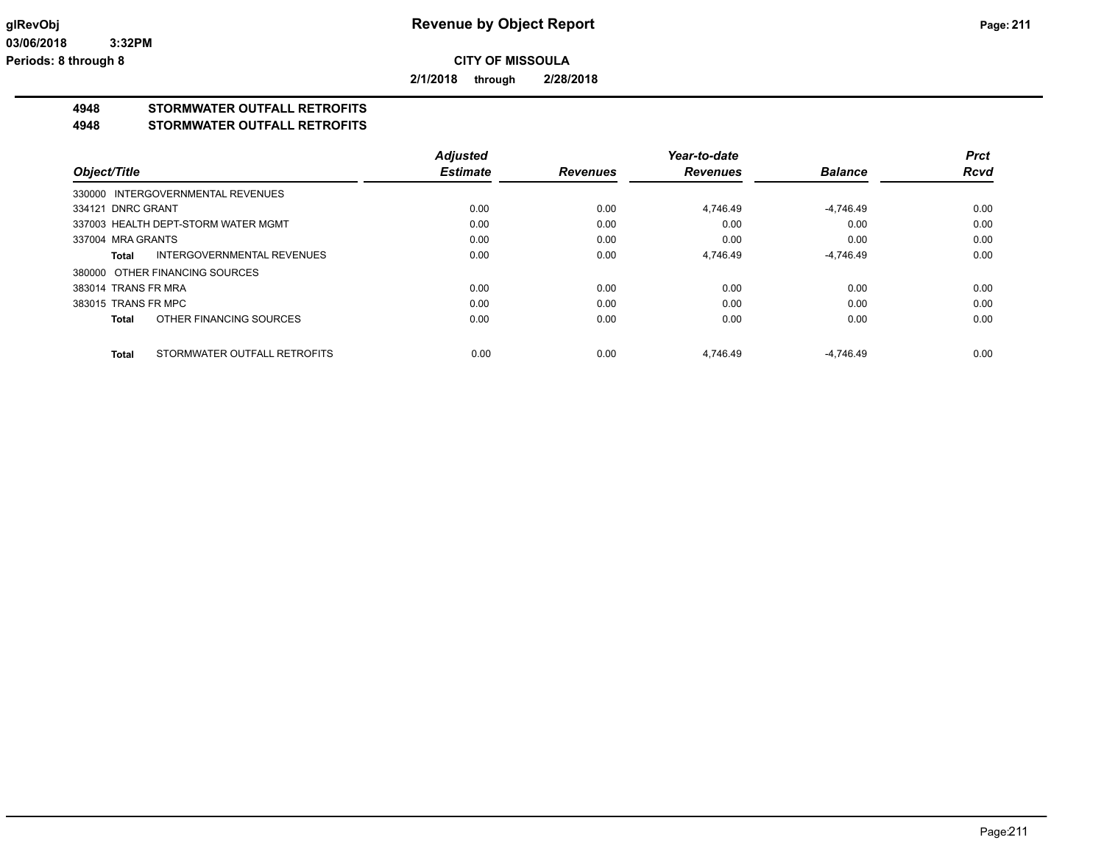**2/1/2018 through 2/28/2018**

# **4948 STORMWATER OUTFALL RETROFITS**

#### **4948 STORMWATER OUTFALL RETROFITS**

|                                              | <b>Adjusted</b> |                 | Year-to-date    |                | <b>Prct</b> |
|----------------------------------------------|-----------------|-----------------|-----------------|----------------|-------------|
| Object/Title                                 | <b>Estimate</b> | <b>Revenues</b> | <b>Revenues</b> | <b>Balance</b> | <b>Rcvd</b> |
| 330000 INTERGOVERNMENTAL REVENUES            |                 |                 |                 |                |             |
| 334121 DNRC GRANT                            | 0.00            | 0.00            | 4.746.49        | $-4,746.49$    | 0.00        |
| 337003 HEALTH DEPT-STORM WATER MGMT          | 0.00            | 0.00            | 0.00            | 0.00           | 0.00        |
| 337004 MRA GRANTS                            | 0.00            | 0.00            | 0.00            | 0.00           | 0.00        |
| INTERGOVERNMENTAL REVENUES<br>Total          | 0.00            | 0.00            | 4,746.49        | $-4,746.49$    | 0.00        |
| 380000 OTHER FINANCING SOURCES               |                 |                 |                 |                |             |
| 383014 TRANS FR MRA                          | 0.00            | 0.00            | 0.00            | 0.00           | 0.00        |
| 383015 TRANS FR MPC                          | 0.00            | 0.00            | 0.00            | 0.00           | 0.00        |
| OTHER FINANCING SOURCES<br>Total             | 0.00            | 0.00            | 0.00            | 0.00           | 0.00        |
| STORMWATER OUTFALL RETROFITS<br><b>Total</b> | 0.00            | 0.00            | 4.746.49        | $-4.746.49$    | 0.00        |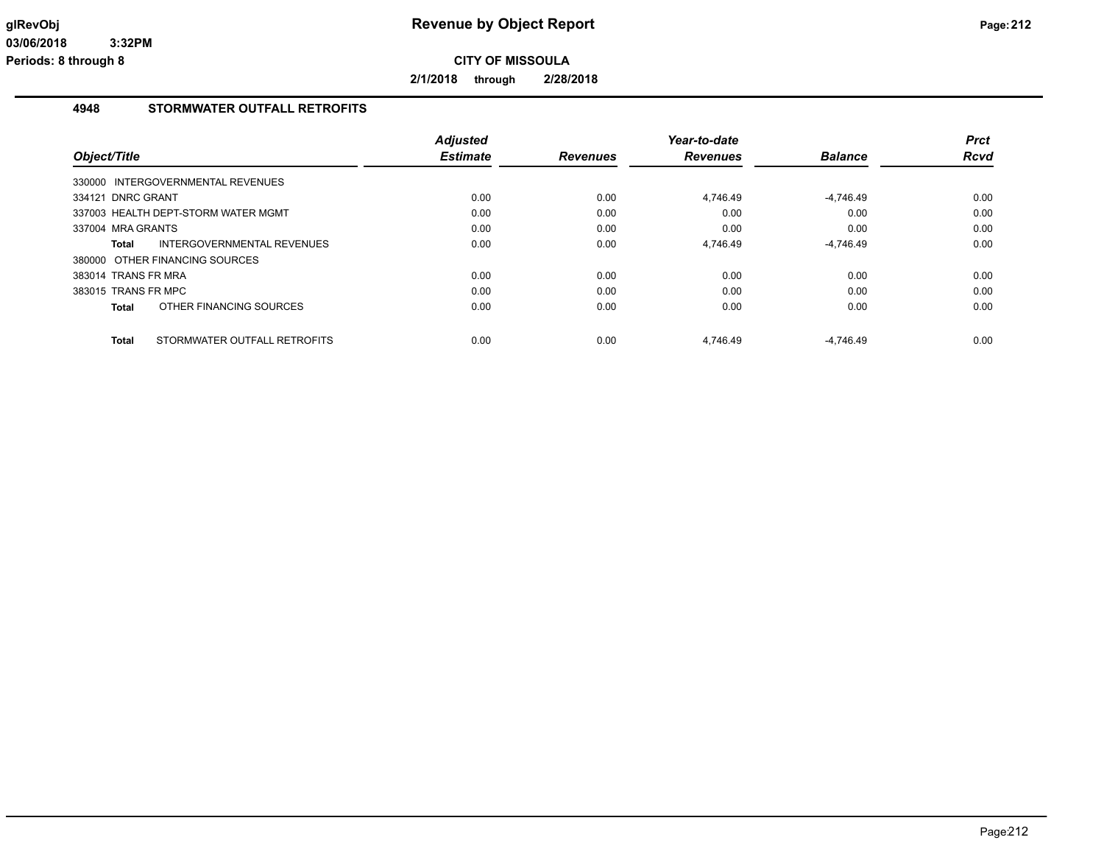**2/1/2018 through 2/28/2018**

#### **4948 STORMWATER OUTFALL RETROFITS**

| Object/Title        |                                     | <b>Adjusted</b><br><b>Estimate</b> | <b>Revenues</b> | Year-to-date<br><b>Revenues</b> | <b>Balance</b> | <b>Prct</b><br><b>Rcvd</b> |
|---------------------|-------------------------------------|------------------------------------|-----------------|---------------------------------|----------------|----------------------------|
|                     | 330000 INTERGOVERNMENTAL REVENUES   |                                    |                 |                                 |                |                            |
| 334121 DNRC GRANT   |                                     | 0.00                               | 0.00            | 4.746.49                        | $-4,746.49$    | 0.00                       |
|                     | 337003 HEALTH DEPT-STORM WATER MGMT | 0.00                               | 0.00            | 0.00                            | 0.00           | 0.00                       |
| 337004 MRA GRANTS   |                                     | 0.00                               | 0.00            | 0.00                            | 0.00           | 0.00                       |
| Total               | <b>INTERGOVERNMENTAL REVENUES</b>   | 0.00                               | 0.00            | 4,746.49                        | $-4,746.49$    | 0.00                       |
|                     | 380000 OTHER FINANCING SOURCES      |                                    |                 |                                 |                |                            |
| 383014 TRANS FR MRA |                                     | 0.00                               | 0.00            | 0.00                            | 0.00           | 0.00                       |
| 383015 TRANS FR MPC |                                     | 0.00                               | 0.00            | 0.00                            | 0.00           | 0.00                       |
| Total               | OTHER FINANCING SOURCES             | 0.00                               | 0.00            | 0.00                            | 0.00           | 0.00                       |
| Total               | STORMWATER OUTFALL RETROFITS        | 0.00                               | 0.00            | 4.746.49                        | $-4.746.49$    | 0.00                       |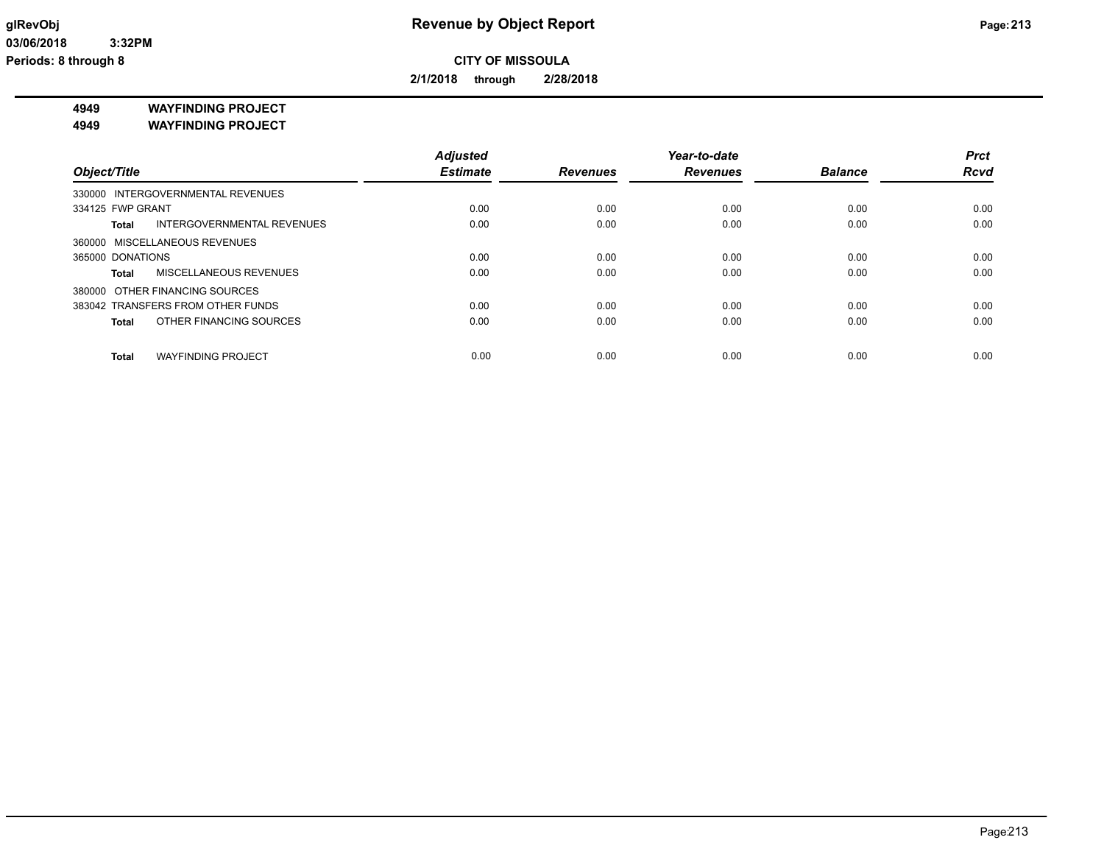**2/1/2018 through 2/28/2018**

**4949 WAYFINDING PROJECT**

**4949 WAYFINDING PROJECT**

|                                           | <b>Adjusted</b> |                 | Year-to-date    |                | <b>Prct</b> |
|-------------------------------------------|-----------------|-----------------|-----------------|----------------|-------------|
| Object/Title                              | <b>Estimate</b> | <b>Revenues</b> | <b>Revenues</b> | <b>Balance</b> | <b>Rcvd</b> |
| 330000 INTERGOVERNMENTAL REVENUES         |                 |                 |                 |                |             |
| 334125 FWP GRANT                          | 0.00            | 0.00            | 0.00            | 0.00           | 0.00        |
| INTERGOVERNMENTAL REVENUES<br>Total       | 0.00            | 0.00            | 0.00            | 0.00           | 0.00        |
| 360000 MISCELLANEOUS REVENUES             |                 |                 |                 |                |             |
| 365000 DONATIONS                          | 0.00            | 0.00            | 0.00            | 0.00           | 0.00        |
| <b>MISCELLANEOUS REVENUES</b><br>Total    | 0.00            | 0.00            | 0.00            | 0.00           | 0.00        |
| 380000 OTHER FINANCING SOURCES            |                 |                 |                 |                |             |
| 383042 TRANSFERS FROM OTHER FUNDS         | 0.00            | 0.00            | 0.00            | 0.00           | 0.00        |
| OTHER FINANCING SOURCES<br>Total          | 0.00            | 0.00            | 0.00            | 0.00           | 0.00        |
|                                           |                 |                 |                 |                |             |
| <b>WAYFINDING PROJECT</b><br><b>Total</b> | 0.00            | 0.00            | 0.00            | 0.00           | 0.00        |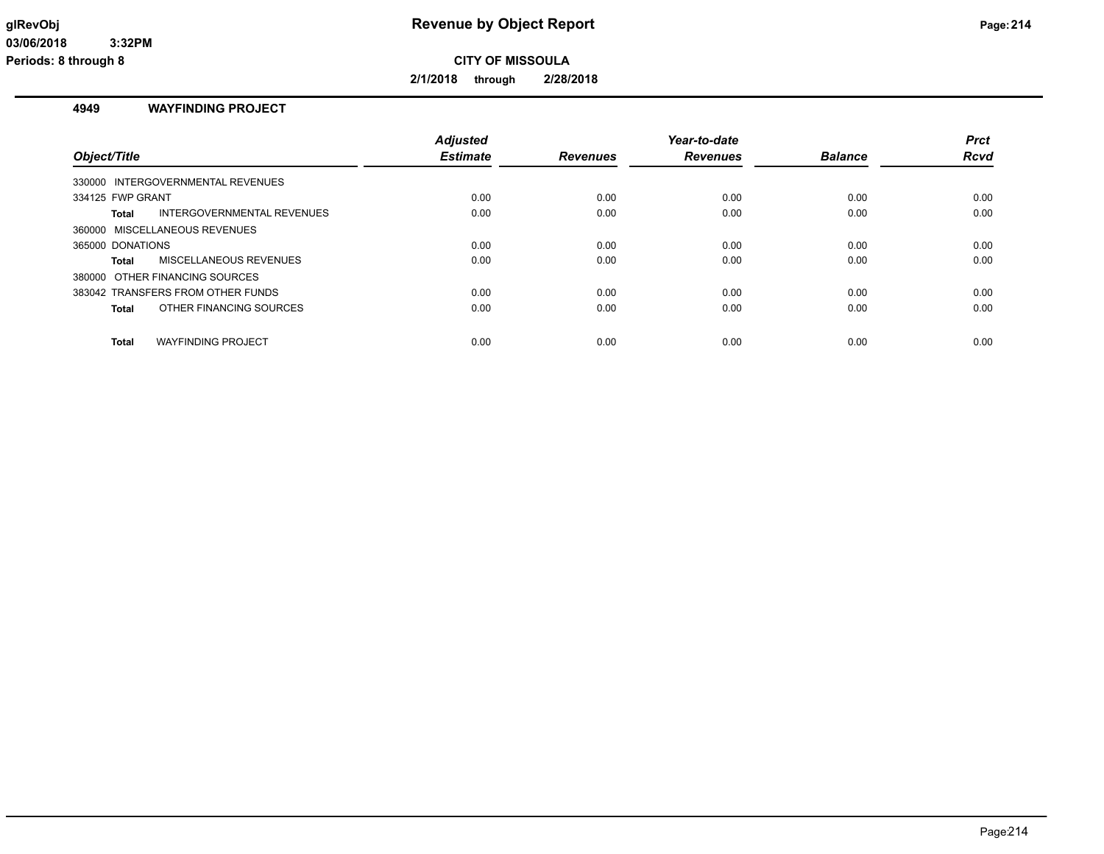**2/1/2018 through 2/28/2018**

#### **4949 WAYFINDING PROJECT**

| Object/Title                              | <b>Adjusted</b><br><b>Estimate</b> | <b>Revenues</b> | Year-to-date<br><b>Revenues</b> | <b>Balance</b> | <b>Prct</b><br><b>Rcvd</b> |
|-------------------------------------------|------------------------------------|-----------------|---------------------------------|----------------|----------------------------|
|                                           |                                    |                 |                                 |                |                            |
| 330000 INTERGOVERNMENTAL REVENUES         |                                    |                 |                                 |                |                            |
| 334125 FWP GRANT                          | 0.00                               | 0.00            | 0.00                            | 0.00           | 0.00                       |
| INTERGOVERNMENTAL REVENUES<br>Total       | 0.00                               | 0.00            | 0.00                            | 0.00           | 0.00                       |
| 360000 MISCELLANEOUS REVENUES             |                                    |                 |                                 |                |                            |
| 365000 DONATIONS                          | 0.00                               | 0.00            | 0.00                            | 0.00           | 0.00                       |
| <b>MISCELLANEOUS REVENUES</b><br>Total    | 0.00                               | 0.00            | 0.00                            | 0.00           | 0.00                       |
| 380000 OTHER FINANCING SOURCES            |                                    |                 |                                 |                |                            |
| 383042 TRANSFERS FROM OTHER FUNDS         | 0.00                               | 0.00            | 0.00                            | 0.00           | 0.00                       |
| OTHER FINANCING SOURCES<br>Total          | 0.00                               | 0.00            | 0.00                            | 0.00           | 0.00                       |
| <b>WAYFINDING PROJECT</b><br><b>Total</b> | 0.00                               | 0.00            | 0.00                            | 0.00           | 0.00                       |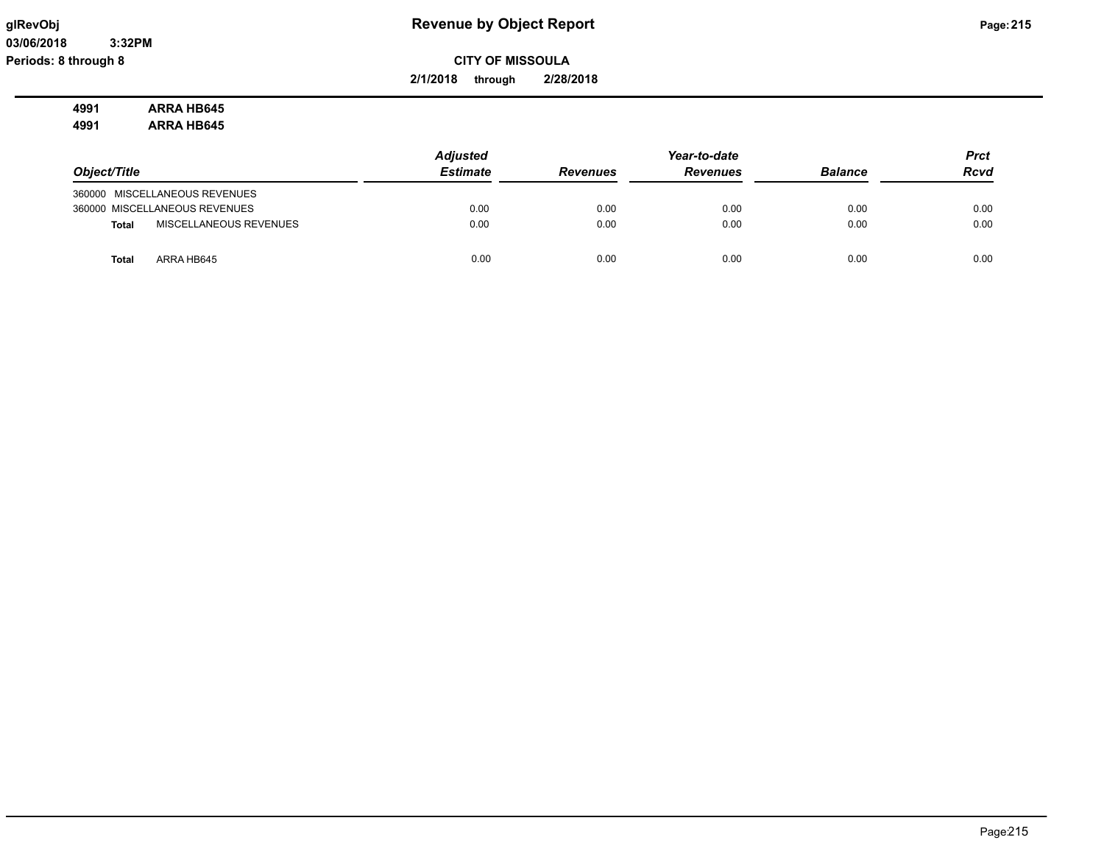**03/06/2018 3:32PM Periods: 8 through 8**

# **glRevObj Revenue by Object Report Page:215**

**CITY OF MISSOULA**

**2/1/2018 through 2/28/2018**

**4991 ARRA HB645 4991 ARRA HB645**

|                                        | <b>Adjusted</b> |                 | Year-to-date    |                | <b>Prct</b> |
|----------------------------------------|-----------------|-----------------|-----------------|----------------|-------------|
| Object/Title                           | <b>Estimate</b> | <b>Revenues</b> | <b>Revenues</b> | <b>Balance</b> | <b>Rcvd</b> |
| 360000 MISCELLANEOUS REVENUES          |                 |                 |                 |                |             |
| 360000 MISCELLANEOUS REVENUES          | 0.00            | 0.00            | 0.00            | 0.00           | 0.00        |
| MISCELLANEOUS REVENUES<br><b>Total</b> | 0.00            | 0.00            | 0.00            | 0.00           | 0.00        |
| ARRA HB645<br><b>Total</b>             | 0.00            | 0.00            | 0.00            | 0.00           | 0.00        |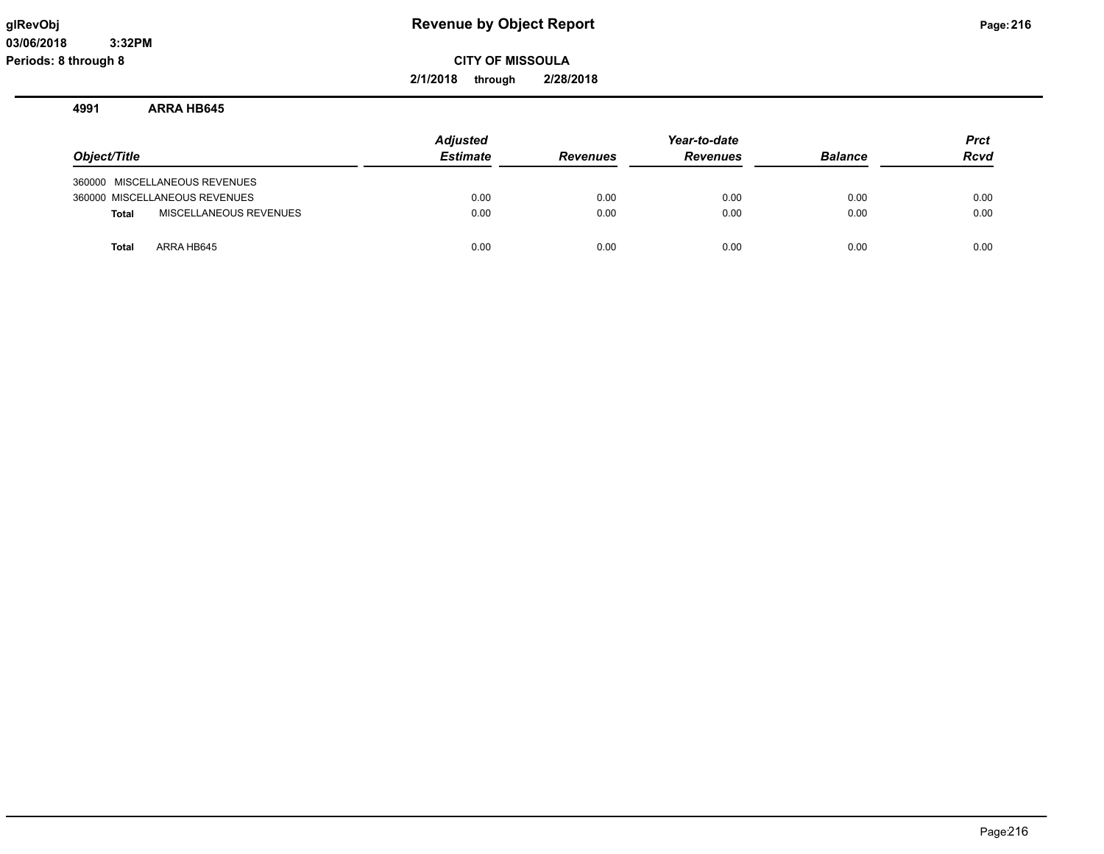**2/1/2018 through 2/28/2018**

#### **4991 ARRA HB645**

|                                        | <b>Adjusted</b> |                 | Year-to-date    |                | <b>Prct</b> |
|----------------------------------------|-----------------|-----------------|-----------------|----------------|-------------|
| Object/Title                           | <b>Estimate</b> | <b>Revenues</b> | <b>Revenues</b> | <b>Balance</b> | <b>Rcvd</b> |
| 360000 MISCELLANEOUS REVENUES          |                 |                 |                 |                |             |
| 360000 MISCELLANEOUS REVENUES          | 0.00            | 0.00            | 0.00            | 0.00           | 0.00        |
| MISCELLANEOUS REVENUES<br><b>Total</b> | 0.00            | 0.00            | 0.00            | 0.00           | 0.00        |
| ARRA HB645<br><b>Total</b>             | 0.00            | 0.00            | 0.00            | 0.00           | 0.00        |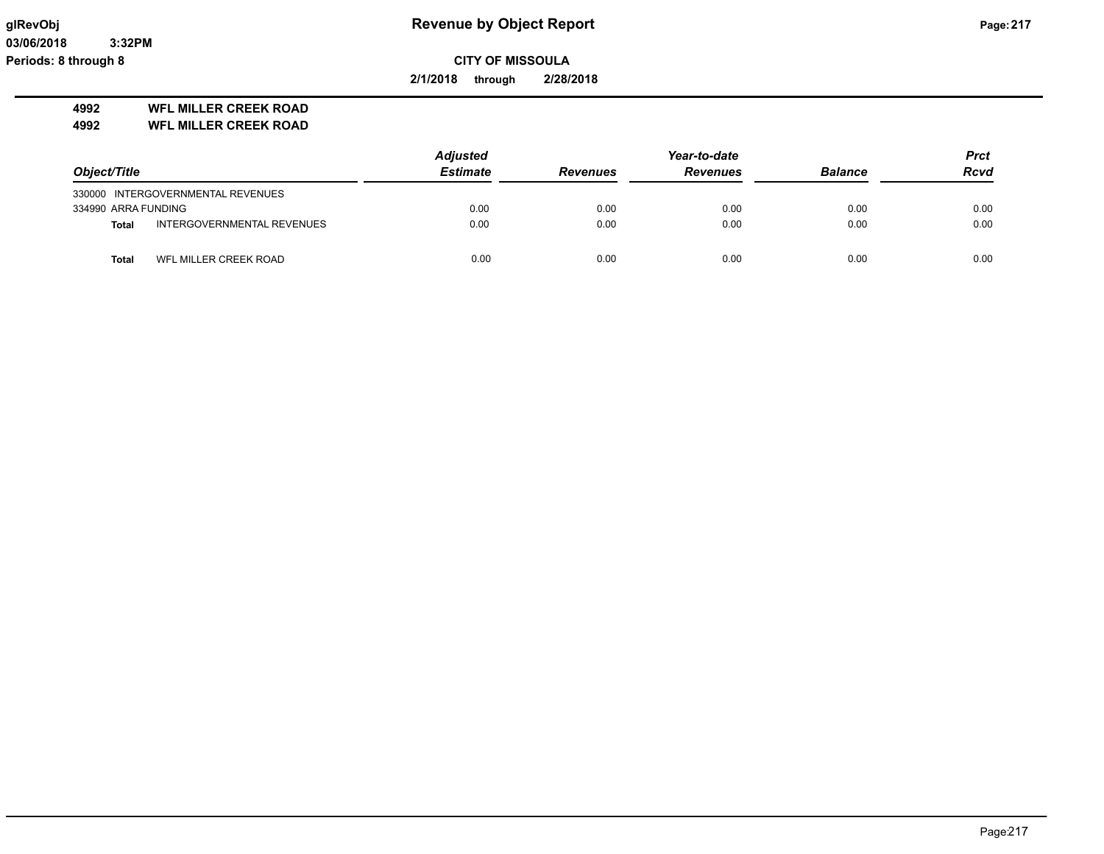**03/06/2018 3:32PM Periods: 8 through 8**

**CITY OF MISSOULA**

**2/1/2018 through 2/28/2018**

### **4992 WFL MILLER CREEK ROAD**

**4992 WFL MILLER CREEK ROAD**

|                     |                                   | <b>Adjusted</b> |                 | Year-to-date    |                | <b>Prct</b> |
|---------------------|-----------------------------------|-----------------|-----------------|-----------------|----------------|-------------|
| Object/Title        |                                   | <b>Estimate</b> | <b>Revenues</b> | <b>Revenues</b> | <b>Balance</b> | <b>Rcvd</b> |
|                     | 330000 INTERGOVERNMENTAL REVENUES |                 |                 |                 |                |             |
| 334990 ARRA FUNDING |                                   | 0.00            | 0.00            | 0.00            | 0.00           | 0.00        |
| <b>Total</b>        | INTERGOVERNMENTAL REVENUES        | 0.00            | 0.00            | 0.00            | 0.00           | 0.00        |
| Total               | WFL MILLER CREEK ROAD             | 0.00            | 0.00            | 0.00            | 0.00           | 0.00        |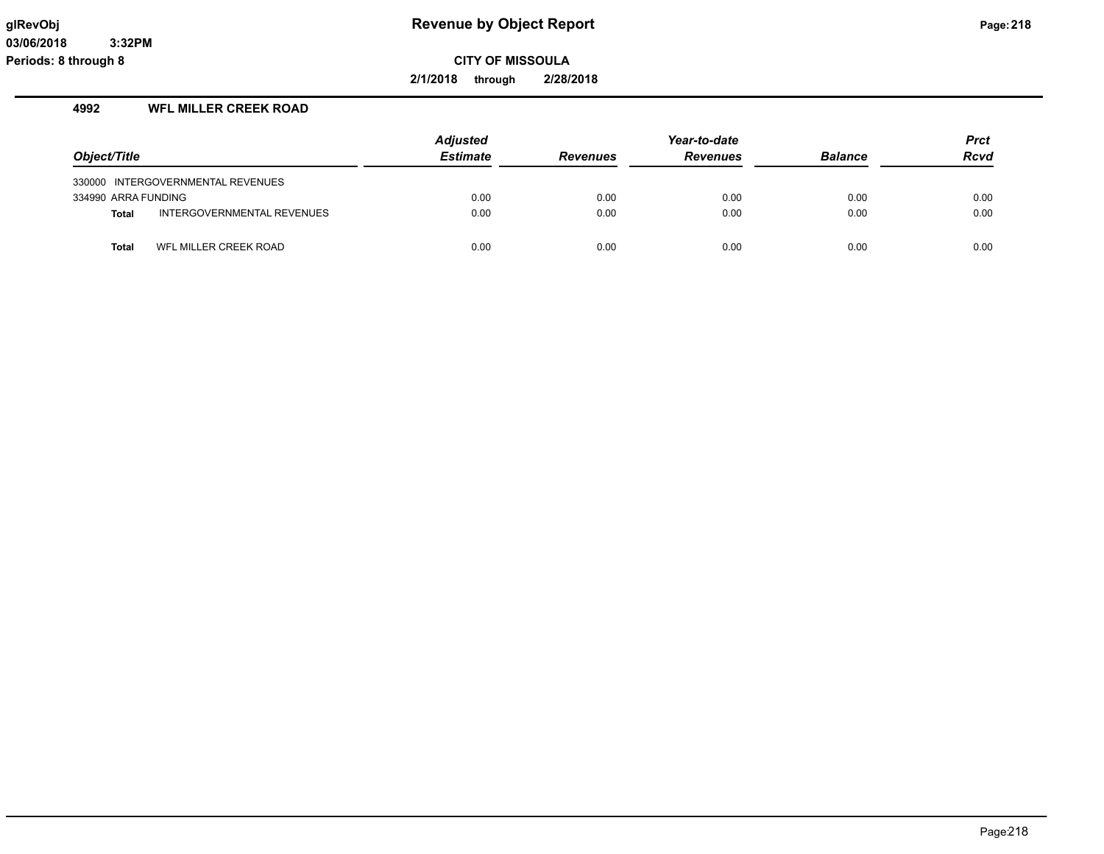**2/1/2018 through 2/28/2018**

## **4992 WFL MILLER CREEK ROAD**

|                     |                                   | <b>Adjusted</b> |                 | Year-to-date    |                | <b>Prct</b> |
|---------------------|-----------------------------------|-----------------|-----------------|-----------------|----------------|-------------|
| Object/Title        |                                   | <b>Estimate</b> | <b>Revenues</b> | <b>Revenues</b> | <b>Balance</b> | <b>Rcvd</b> |
|                     | 330000 INTERGOVERNMENTAL REVENUES |                 |                 |                 |                |             |
| 334990 ARRA FUNDING |                                   | 0.00            | 0.00            | 0.00            | 0.00           | 0.00        |
| <b>Total</b>        | INTERGOVERNMENTAL REVENUES        | 0.00            | 0.00            | 0.00            | 0.00           | 0.00        |
| Total               | WFL MILLER CREEK ROAD             | 0.00            | 0.00            | 0.00            | 0.00           | 0.00        |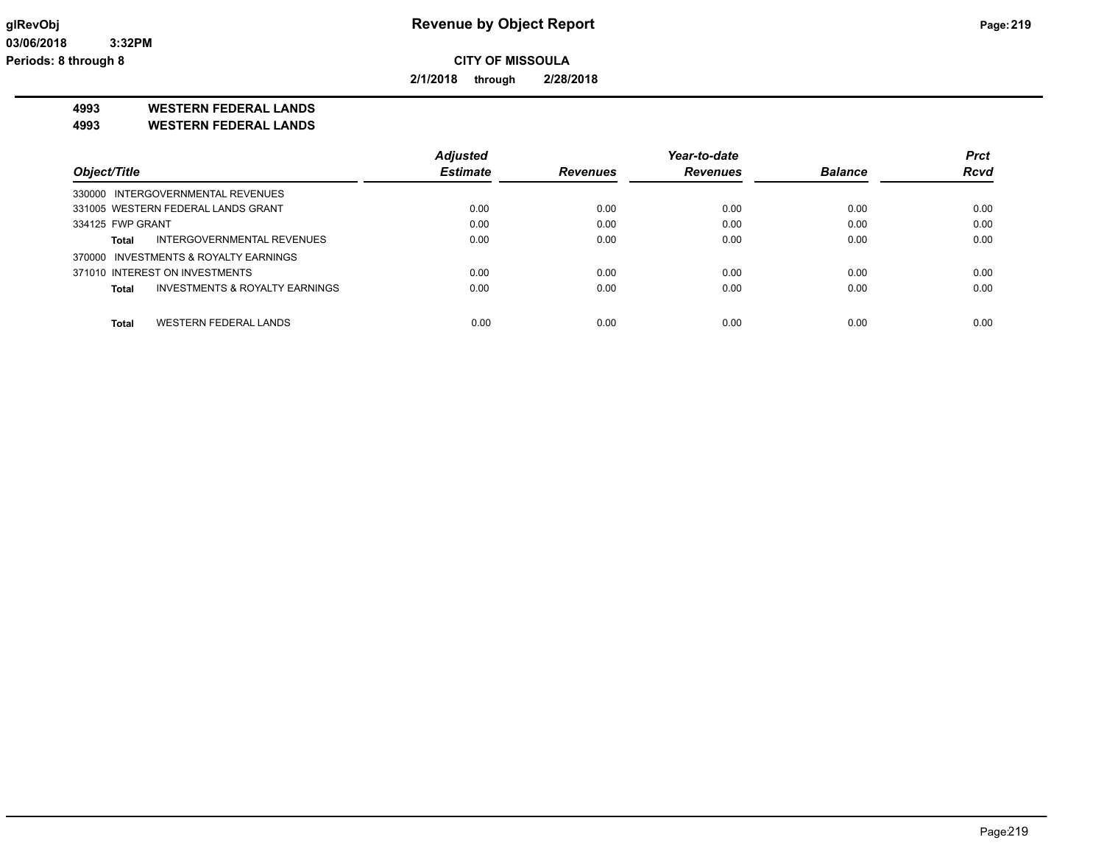**2/1/2018 through 2/28/2018**

**4993 WESTERN FEDERAL LANDS**

**4993 WESTERN FEDERAL LANDS**

|                                         | <b>Adjusted</b> |                 | Year-to-date    |                | <b>Prct</b> |
|-----------------------------------------|-----------------|-----------------|-----------------|----------------|-------------|
| Object/Title                            | <b>Estimate</b> | <b>Revenues</b> | <b>Revenues</b> | <b>Balance</b> | <b>Rcvd</b> |
| 330000 INTERGOVERNMENTAL REVENUES       |                 |                 |                 |                |             |
| 331005 WESTERN FEDERAL LANDS GRANT      | 0.00            | 0.00            | 0.00            | 0.00           | 0.00        |
| 334125 FWP GRANT                        | 0.00            | 0.00            | 0.00            | 0.00           | 0.00        |
| INTERGOVERNMENTAL REVENUES<br>Total     | 0.00            | 0.00            | 0.00            | 0.00           | 0.00        |
| 370000 INVESTMENTS & ROYALTY EARNINGS   |                 |                 |                 |                |             |
| 371010 INTEREST ON INVESTMENTS          | 0.00            | 0.00            | 0.00            | 0.00           | 0.00        |
| INVESTMENTS & ROYALTY EARNINGS<br>Total | 0.00            | 0.00            | 0.00            | 0.00           | 0.00        |
| WESTERN FEDERAL LANDS<br>Total          | 0.00            | 0.00            | 0.00            | 0.00           | 0.00        |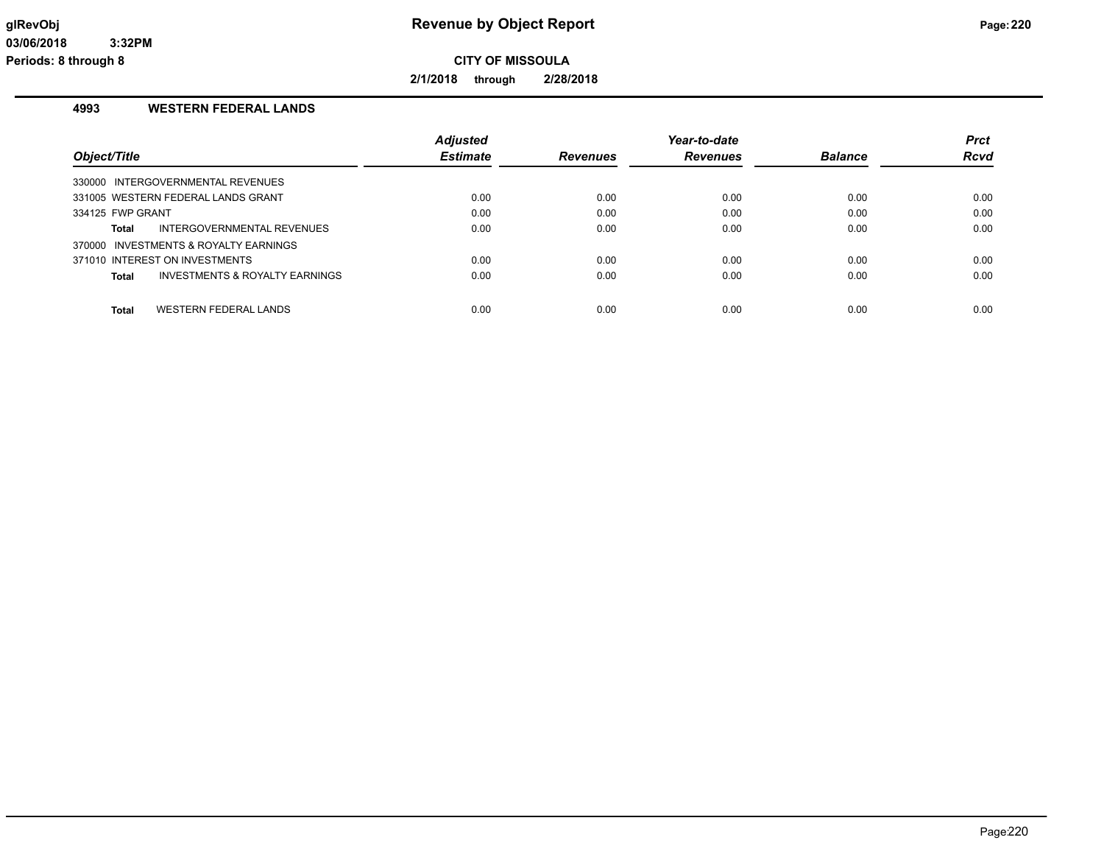**2/1/2018 through 2/28/2018**

## **4993 WESTERN FEDERAL LANDS**

|                                              | <b>Adjusted</b> |                 | Year-to-date    |                | <b>Prct</b> |
|----------------------------------------------|-----------------|-----------------|-----------------|----------------|-------------|
| Object/Title                                 | <b>Estimate</b> | <b>Revenues</b> | <b>Revenues</b> | <b>Balance</b> | <b>Rcvd</b> |
| 330000 INTERGOVERNMENTAL REVENUES            |                 |                 |                 |                |             |
| 331005 WESTERN FEDERAL LANDS GRANT           | 0.00            | 0.00            | 0.00            | 0.00           | 0.00        |
| 334125 FWP GRANT                             | 0.00            | 0.00            | 0.00            | 0.00           | 0.00        |
| INTERGOVERNMENTAL REVENUES<br>Total          | 0.00            | 0.00            | 0.00            | 0.00           | 0.00        |
| 370000 INVESTMENTS & ROYALTY EARNINGS        |                 |                 |                 |                |             |
| 371010 INTEREST ON INVESTMENTS               | 0.00            | 0.00            | 0.00            | 0.00           | 0.00        |
| INVESTMENTS & ROYALTY EARNINGS<br>Total      | 0.00            | 0.00            | 0.00            | 0.00           | 0.00        |
|                                              |                 |                 |                 |                |             |
| <b>WESTERN FEDERAL LANDS</b><br><b>Total</b> | 0.00            | 0.00            | 0.00            | 0.00           | 0.00        |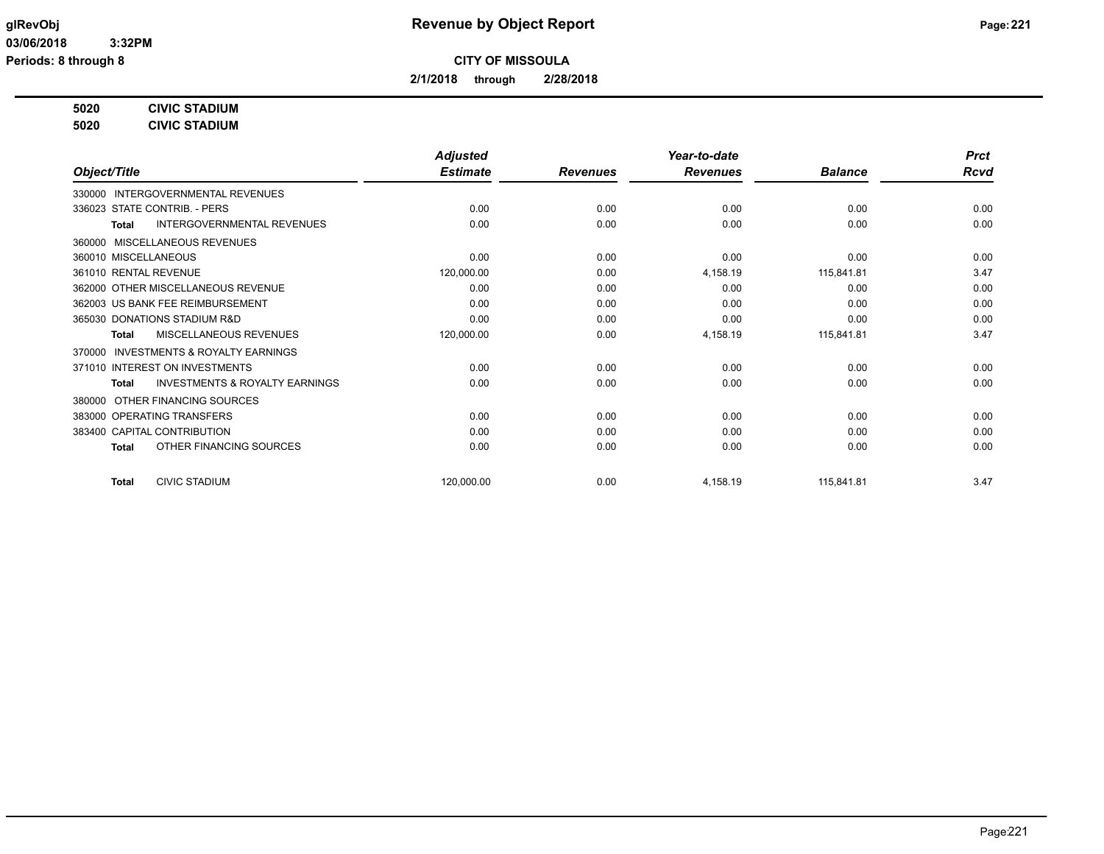**2/1/2018 through 2/28/2018**

## **5020 CIVIC STADIUM**

**5020 CIVIC STADIUM**

|                                                           | <b>Adjusted</b> |                 | Year-to-date    |                | <b>Prct</b> |
|-----------------------------------------------------------|-----------------|-----------------|-----------------|----------------|-------------|
| Object/Title                                              | <b>Estimate</b> | <b>Revenues</b> | <b>Revenues</b> | <b>Balance</b> | Rcvd        |
| 330000 INTERGOVERNMENTAL REVENUES                         |                 |                 |                 |                |             |
| 336023 STATE CONTRIB. - PERS                              | 0.00            | 0.00            | 0.00            | 0.00           | 0.00        |
| <b>INTERGOVERNMENTAL REVENUES</b><br>Total                | 0.00            | 0.00            | 0.00            | 0.00           | 0.00        |
| MISCELLANEOUS REVENUES<br>360000                          |                 |                 |                 |                |             |
| 360010 MISCELLANEOUS                                      | 0.00            | 0.00            | 0.00            | 0.00           | 0.00        |
| 361010 RENTAL REVENUE                                     | 120,000.00      | 0.00            | 4,158.19        | 115,841.81     | 3.47        |
| 362000 OTHER MISCELLANEOUS REVENUE                        | 0.00            | 0.00            | 0.00            | 0.00           | 0.00        |
| 362003 US BANK FEE REIMBURSEMENT                          | 0.00            | 0.00            | 0.00            | 0.00           | 0.00        |
| 365030 DONATIONS STADIUM R&D                              | 0.00            | 0.00            | 0.00            | 0.00           | 0.00        |
| MISCELLANEOUS REVENUES<br>Total                           | 120,000.00      | 0.00            | 4,158.19        | 115,841.81     | 3.47        |
| INVESTMENTS & ROYALTY EARNINGS<br>370000                  |                 |                 |                 |                |             |
| 371010 INTEREST ON INVESTMENTS                            | 0.00            | 0.00            | 0.00            | 0.00           | 0.00        |
| <b>INVESTMENTS &amp; ROYALTY EARNINGS</b><br><b>Total</b> | 0.00            | 0.00            | 0.00            | 0.00           | 0.00        |
| OTHER FINANCING SOURCES<br>380000                         |                 |                 |                 |                |             |
| 383000 OPERATING TRANSFERS                                | 0.00            | 0.00            | 0.00            | 0.00           | 0.00        |
| 383400 CAPITAL CONTRIBUTION                               | 0.00            | 0.00            | 0.00            | 0.00           | 0.00        |
| OTHER FINANCING SOURCES<br><b>Total</b>                   | 0.00            | 0.00            | 0.00            | 0.00           | 0.00        |
| <b>CIVIC STADIUM</b><br><b>Total</b>                      | 120,000.00      | 0.00            | 4,158.19        | 115,841.81     | 3.47        |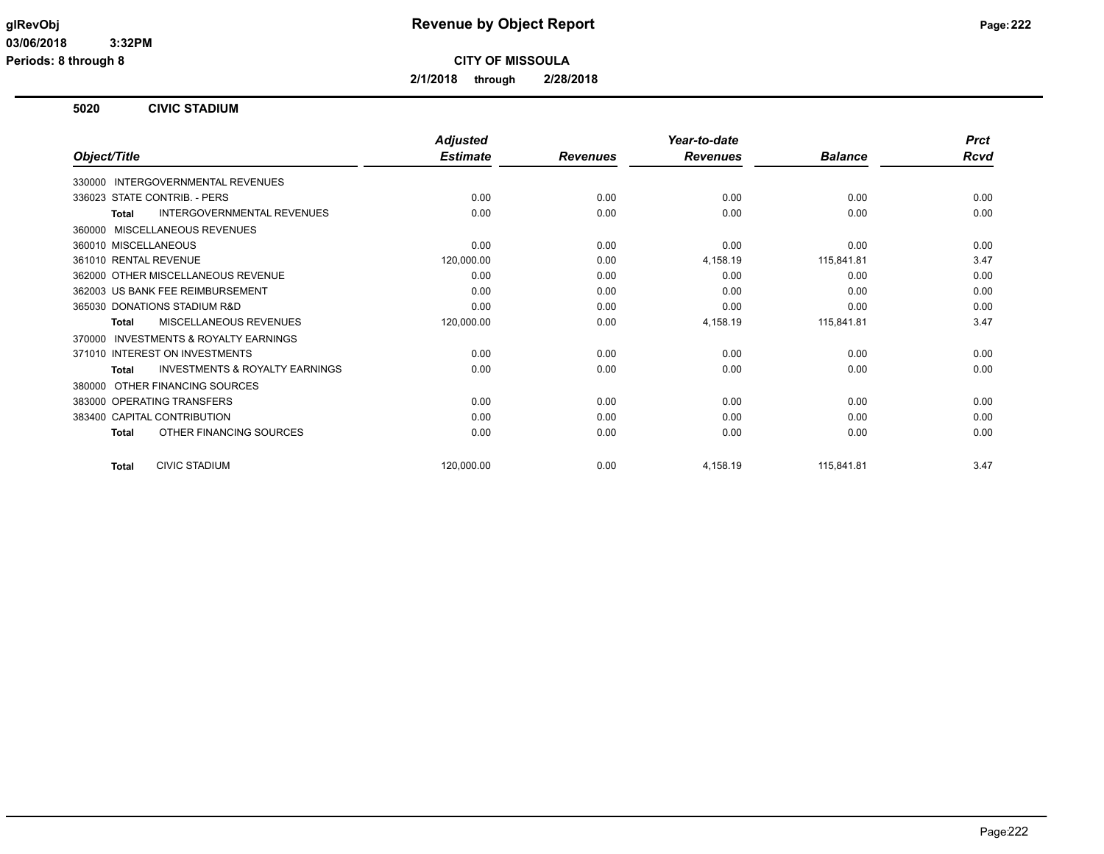**Periods: 8 through 8**

**CITY OF MISSOULA**

**2/1/2018 through 2/28/2018**

### **5020 CIVIC STADIUM**

|                                                           | <b>Adjusted</b> |                 | Year-to-date    |                | <b>Prct</b> |
|-----------------------------------------------------------|-----------------|-----------------|-----------------|----------------|-------------|
| Object/Title                                              | <b>Estimate</b> | <b>Revenues</b> | <b>Revenues</b> | <b>Balance</b> | <b>Rcvd</b> |
| 330000 INTERGOVERNMENTAL REVENUES                         |                 |                 |                 |                |             |
| 336023 STATE CONTRIB. - PERS                              | 0.00            | 0.00            | 0.00            | 0.00           | 0.00        |
| INTERGOVERNMENTAL REVENUES<br><b>Total</b>                | 0.00            | 0.00            | 0.00            | 0.00           | 0.00        |
| MISCELLANEOUS REVENUES<br>360000                          |                 |                 |                 |                |             |
| 360010 MISCELLANEOUS                                      | 0.00            | 0.00            | 0.00            | 0.00           | 0.00        |
| 361010 RENTAL REVENUE                                     | 120,000.00      | 0.00            | 4,158.19        | 115,841.81     | 3.47        |
| 362000 OTHER MISCELLANEOUS REVENUE                        | 0.00            | 0.00            | 0.00            | 0.00           | 0.00        |
| 362003 US BANK FEE REIMBURSEMENT                          | 0.00            | 0.00            | 0.00            | 0.00           | 0.00        |
| 365030 DONATIONS STADIUM R&D                              | 0.00            | 0.00            | 0.00            | 0.00           | 0.00        |
| <b>MISCELLANEOUS REVENUES</b><br><b>Total</b>             | 120,000.00      | 0.00            | 4,158.19        | 115,841.81     | 3.47        |
| <b>INVESTMENTS &amp; ROYALTY EARNINGS</b><br>370000       |                 |                 |                 |                |             |
| 371010 INTEREST ON INVESTMENTS                            | 0.00            | 0.00            | 0.00            | 0.00           | 0.00        |
| <b>INVESTMENTS &amp; ROYALTY EARNINGS</b><br><b>Total</b> | 0.00            | 0.00            | 0.00            | 0.00           | 0.00        |
| OTHER FINANCING SOURCES<br>380000                         |                 |                 |                 |                |             |
| 383000 OPERATING TRANSFERS                                | 0.00            | 0.00            | 0.00            | 0.00           | 0.00        |
| 383400 CAPITAL CONTRIBUTION                               | 0.00            | 0.00            | 0.00            | 0.00           | 0.00        |
| OTHER FINANCING SOURCES<br><b>Total</b>                   | 0.00            | 0.00            | 0.00            | 0.00           | 0.00        |
| <b>CIVIC STADIUM</b><br><b>Total</b>                      | 120,000.00      | 0.00            | 4,158.19        | 115,841.81     | 3.47        |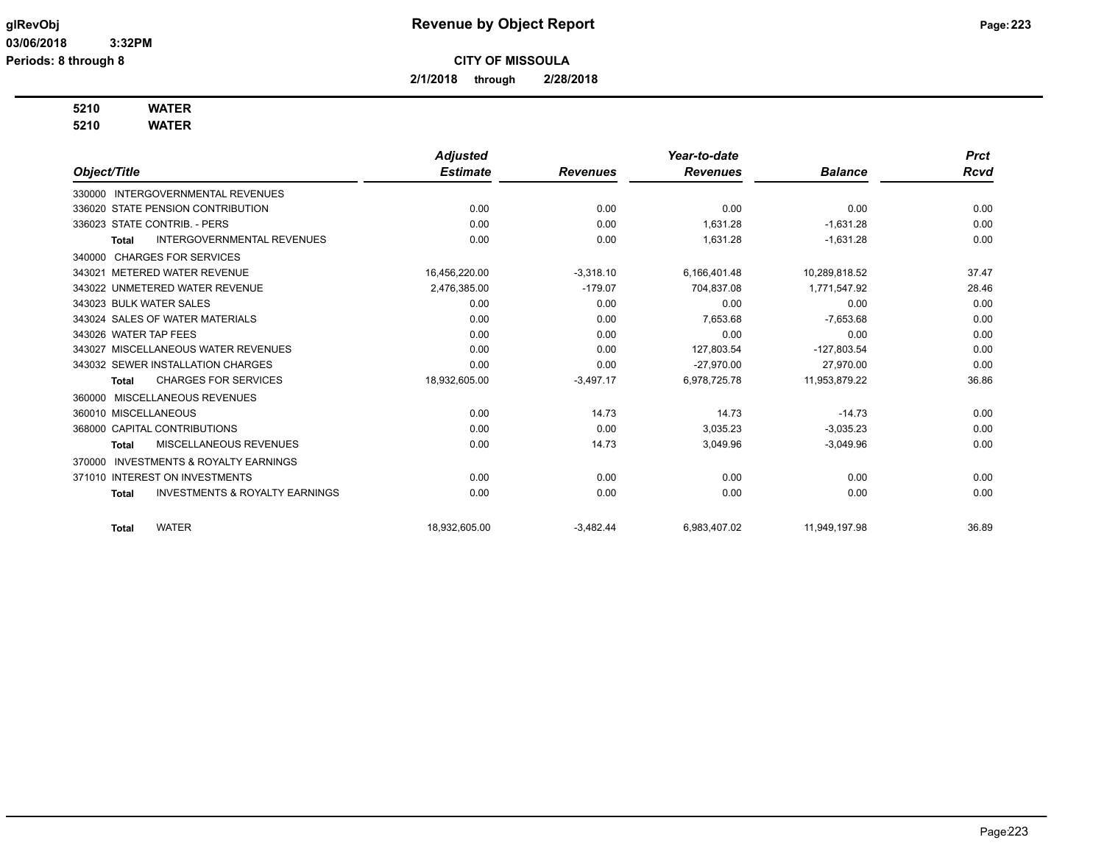**2/1/2018 through 2/28/2018**

## **5210 WATER**

**5210 WATER**

|                                                           | <b>Adjusted</b> |                 | Year-to-date    |                | <b>Prct</b> |
|-----------------------------------------------------------|-----------------|-----------------|-----------------|----------------|-------------|
| Object/Title                                              | <b>Estimate</b> | <b>Revenues</b> | <b>Revenues</b> | <b>Balance</b> | <b>Rcvd</b> |
| 330000 INTERGOVERNMENTAL REVENUES                         |                 |                 |                 |                |             |
| 336020 STATE PENSION CONTRIBUTION                         | 0.00            | 0.00            | 0.00            | 0.00           | 0.00        |
| 336023 STATE CONTRIB. - PERS                              | 0.00            | 0.00            | 1.631.28        | $-1,631.28$    | 0.00        |
| INTERGOVERNMENTAL REVENUES<br><b>Total</b>                | 0.00            | 0.00            | 1,631.28        | $-1,631.28$    | 0.00        |
| 340000 CHARGES FOR SERVICES                               |                 |                 |                 |                |             |
| 343021 METERED WATER REVENUE                              | 16,456,220.00   | $-3.318.10$     | 6,166,401.48    | 10,289,818.52  | 37.47       |
| 343022 UNMETERED WATER REVENUE                            | 2,476,385.00    | $-179.07$       | 704,837.08      | 1,771,547.92   | 28.46       |
| 343023 BULK WATER SALES                                   | 0.00            | 0.00            | 0.00            | 0.00           | 0.00        |
| 343024 SALES OF WATER MATERIALS                           | 0.00            | 0.00            | 7,653.68        | $-7,653.68$    | 0.00        |
| 343026 WATER TAP FEES                                     | 0.00            | 0.00            | 0.00            | 0.00           | 0.00        |
| 343027 MISCELLANEOUS WATER REVENUES                       | 0.00            | 0.00            | 127.803.54      | $-127.803.54$  | 0.00        |
| 343032 SEWER INSTALLATION CHARGES                         | 0.00            | 0.00            | $-27.970.00$    | 27.970.00      | 0.00        |
| <b>CHARGES FOR SERVICES</b><br><b>Total</b>               | 18,932,605.00   | $-3,497.17$     | 6,978,725.78    | 11,953,879.22  | 36.86       |
| MISCELLANEOUS REVENUES<br>360000                          |                 |                 |                 |                |             |
| 360010 MISCELLANEOUS                                      | 0.00            | 14.73           | 14.73           | $-14.73$       | 0.00        |
| 368000 CAPITAL CONTRIBUTIONS                              | 0.00            | 0.00            | 3,035.23        | $-3,035.23$    | 0.00        |
| MISCELLANEOUS REVENUES<br><b>Total</b>                    | 0.00            | 14.73           | 3,049.96        | $-3,049.96$    | 0.00        |
| <b>INVESTMENTS &amp; ROYALTY EARNINGS</b><br>370000       |                 |                 |                 |                |             |
| 371010 INTEREST ON INVESTMENTS                            | 0.00            | 0.00            | 0.00            | 0.00           | 0.00        |
| <b>INVESTMENTS &amp; ROYALTY EARNINGS</b><br><b>Total</b> | 0.00            | 0.00            | 0.00            | 0.00           | 0.00        |
| <b>WATER</b><br>Total                                     | 18,932,605.00   | $-3,482.44$     | 6,983,407.02    | 11,949,197.98  | 36.89       |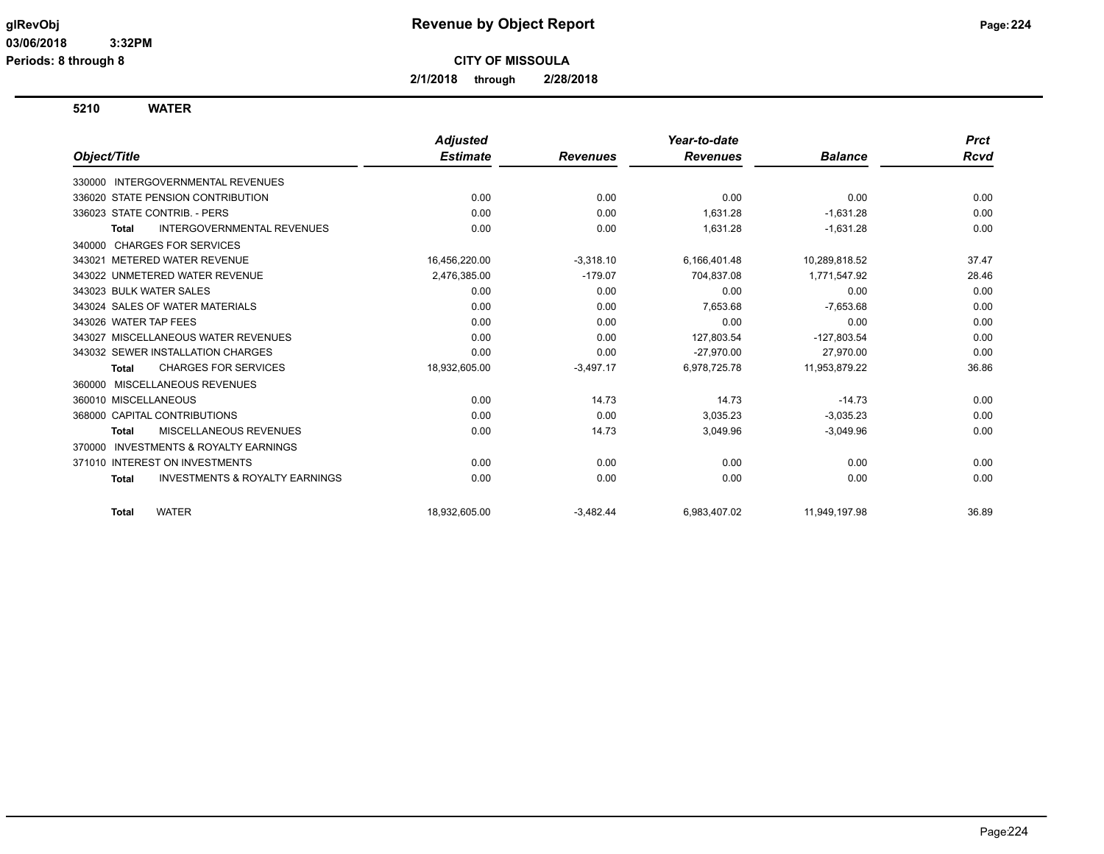**2/1/2018 through 2/28/2018**

**5210 WATER**

|                                                           | <b>Adjusted</b> |                 | Year-to-date    |                | <b>Prct</b> |
|-----------------------------------------------------------|-----------------|-----------------|-----------------|----------------|-------------|
| Object/Title                                              | <b>Estimate</b> | <b>Revenues</b> | <b>Revenues</b> | <b>Balance</b> | Rcvd        |
| <b>INTERGOVERNMENTAL REVENUES</b><br>330000               |                 |                 |                 |                |             |
| 336020 STATE PENSION CONTRIBUTION                         | 0.00            | 0.00            | 0.00            | 0.00           | 0.00        |
| 336023 STATE CONTRIB. - PERS                              | 0.00            | 0.00            | 1,631.28        | $-1,631.28$    | 0.00        |
| <b>INTERGOVERNMENTAL REVENUES</b><br><b>Total</b>         | 0.00            | 0.00            | 1,631.28        | $-1,631.28$    | 0.00        |
| <b>CHARGES FOR SERVICES</b><br>340000                     |                 |                 |                 |                |             |
| 343021 METERED WATER REVENUE                              | 16,456,220.00   | $-3,318.10$     | 6,166,401.48    | 10,289,818.52  | 37.47       |
| 343022 UNMETERED WATER REVENUE                            | 2,476,385.00    | $-179.07$       | 704,837.08      | 1,771,547.92   | 28.46       |
| 343023 BULK WATER SALES                                   | 0.00            | 0.00            | 0.00            | 0.00           | 0.00        |
| 343024 SALES OF WATER MATERIALS                           | 0.00            | 0.00            | 7,653.68        | $-7,653.68$    | 0.00        |
| 343026 WATER TAP FEES                                     | 0.00            | 0.00            | 0.00            | 0.00           | 0.00        |
| 343027 MISCELLANEOUS WATER REVENUES                       | 0.00            | 0.00            | 127,803.54      | $-127,803.54$  | 0.00        |
| 343032 SEWER INSTALLATION CHARGES                         | 0.00            | 0.00            | $-27,970.00$    | 27,970.00      | 0.00        |
| <b>CHARGES FOR SERVICES</b><br><b>Total</b>               | 18,932,605.00   | $-3,497.17$     | 6,978,725.78    | 11,953,879.22  | 36.86       |
| MISCELLANEOUS REVENUES<br>360000                          |                 |                 |                 |                |             |
| 360010 MISCELLANEOUS                                      | 0.00            | 14.73           | 14.73           | $-14.73$       | 0.00        |
| 368000 CAPITAL CONTRIBUTIONS                              | 0.00            | 0.00            | 3,035.23        | $-3,035.23$    | 0.00        |
| <b>MISCELLANEOUS REVENUES</b><br><b>Total</b>             | 0.00            | 14.73           | 3,049.96        | $-3,049.96$    | 0.00        |
| <b>INVESTMENTS &amp; ROYALTY EARNINGS</b><br>370000       |                 |                 |                 |                |             |
| 371010 INTEREST ON INVESTMENTS                            | 0.00            | 0.00            | 0.00            | 0.00           | 0.00        |
| <b>INVESTMENTS &amp; ROYALTY EARNINGS</b><br><b>Total</b> | 0.00            | 0.00            | 0.00            | 0.00           | 0.00        |
| <b>WATER</b><br><b>Total</b>                              | 18.932.605.00   | $-3,482.44$     | 6,983,407.02    | 11,949,197.98  | 36.89       |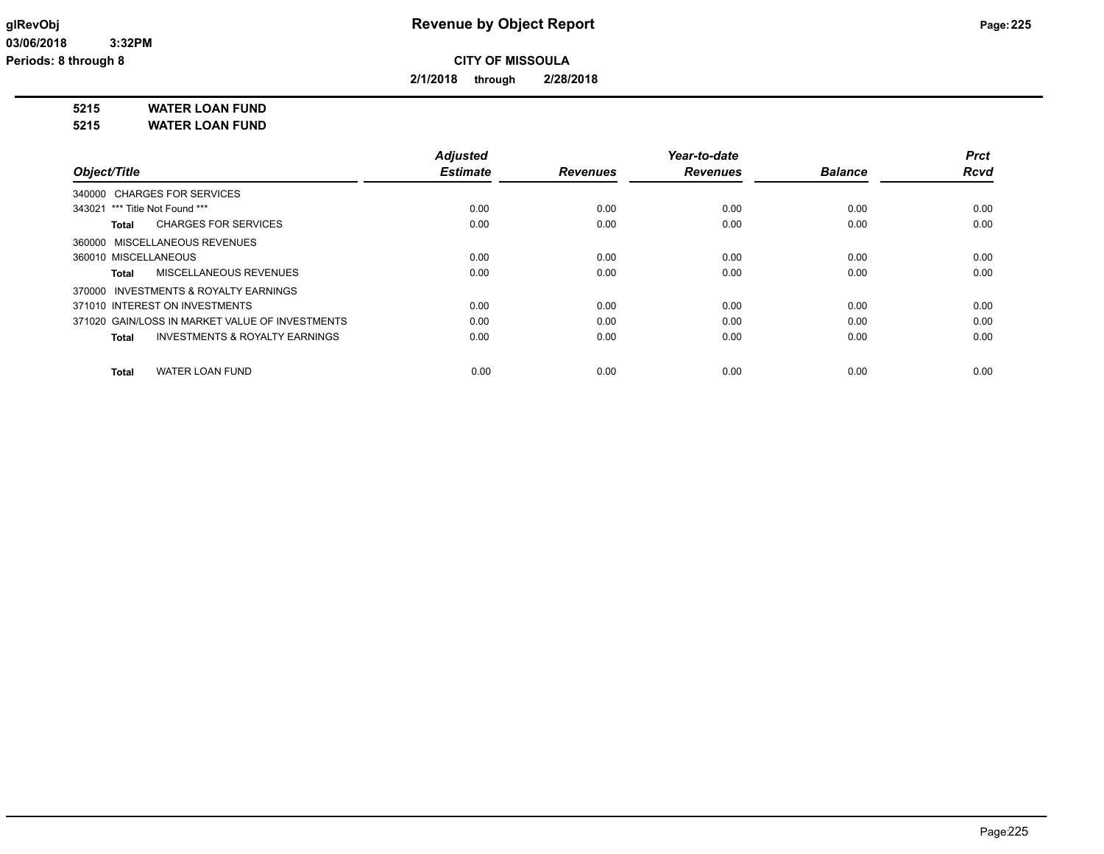**2/1/2018 through 2/28/2018**

**5215 WATER LOAN FUND**

**5215 WATER LOAN FUND**

|                                                    | <b>Adjusted</b> |                 | Year-to-date    |                | Prct        |
|----------------------------------------------------|-----------------|-----------------|-----------------|----------------|-------------|
| Object/Title                                       | <b>Estimate</b> | <b>Revenues</b> | <b>Revenues</b> | <b>Balance</b> | <b>Rcvd</b> |
| 340000 CHARGES FOR SERVICES                        |                 |                 |                 |                |             |
| 343021 *** Title Not Found ***                     | 0.00            | 0.00            | 0.00            | 0.00           | 0.00        |
| <b>CHARGES FOR SERVICES</b><br>Total               | 0.00            | 0.00            | 0.00            | 0.00           | 0.00        |
| 360000 MISCELLANEOUS REVENUES                      |                 |                 |                 |                |             |
| 360010 MISCELLANEOUS                               | 0.00            | 0.00            | 0.00            | 0.00           | 0.00        |
| MISCELLANEOUS REVENUES<br>Total                    | 0.00            | 0.00            | 0.00            | 0.00           | 0.00        |
| 370000 INVESTMENTS & ROYALTY EARNINGS              |                 |                 |                 |                |             |
| 371010 INTEREST ON INVESTMENTS                     | 0.00            | 0.00            | 0.00            | 0.00           | 0.00        |
| 371020 GAIN/LOSS IN MARKET VALUE OF INVESTMENTS    | 0.00            | 0.00            | 0.00            | 0.00           | 0.00        |
| <b>INVESTMENTS &amp; ROYALTY EARNINGS</b><br>Total | 0.00            | 0.00            | 0.00            | 0.00           | 0.00        |
| <b>WATER LOAN FUND</b><br><b>Total</b>             | 0.00            | 0.00            | 0.00            | 0.00           | 0.00        |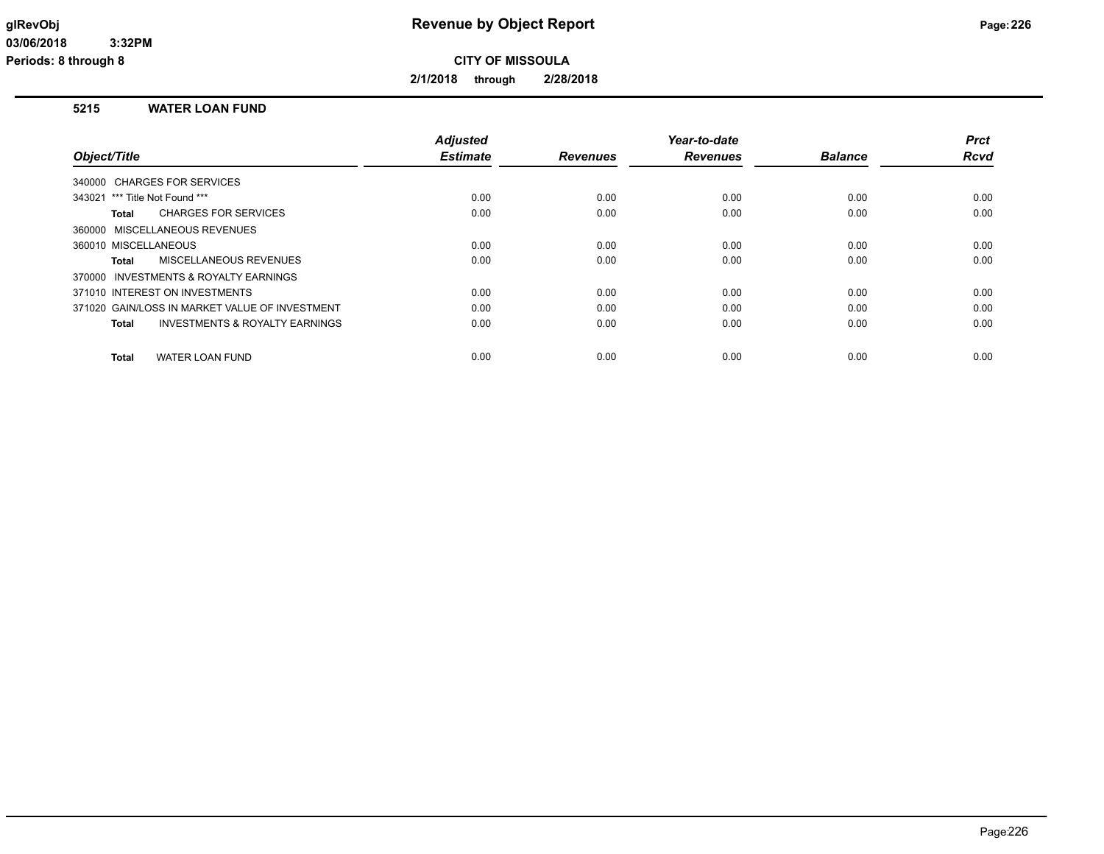**2/1/2018 through 2/28/2018**

### **5215 WATER LOAN FUND**

|                                | <b>Adjusted</b>                                                                                                                                                                                                                                                                                                           |                 | Year-to-date    |                | <b>Prct</b>  |
|--------------------------------|---------------------------------------------------------------------------------------------------------------------------------------------------------------------------------------------------------------------------------------------------------------------------------------------------------------------------|-----------------|-----------------|----------------|--------------|
|                                | <b>Estimate</b>                                                                                                                                                                                                                                                                                                           | <b>Revenues</b> | <b>Revenues</b> | <b>Balance</b> | Rcvd         |
|                                |                                                                                                                                                                                                                                                                                                                           |                 |                 |                |              |
|                                | 0.00                                                                                                                                                                                                                                                                                                                      | 0.00            | 0.00            | 0.00           | 0.00         |
|                                | 0.00                                                                                                                                                                                                                                                                                                                      | 0.00            | 0.00            | 0.00           | 0.00         |
|                                |                                                                                                                                                                                                                                                                                                                           |                 |                 |                |              |
|                                | 0.00                                                                                                                                                                                                                                                                                                                      | 0.00            | 0.00            | 0.00           | 0.00         |
|                                | 0.00                                                                                                                                                                                                                                                                                                                      | 0.00            | 0.00            | 0.00           | 0.00         |
|                                |                                                                                                                                                                                                                                                                                                                           |                 |                 |                |              |
|                                | 0.00                                                                                                                                                                                                                                                                                                                      | 0.00            | 0.00            | 0.00           | 0.00         |
|                                | 0.00                                                                                                                                                                                                                                                                                                                      | 0.00            | 0.00            | 0.00           | 0.00         |
|                                | 0.00                                                                                                                                                                                                                                                                                                                      | 0.00            | 0.00            | 0.00           | 0.00         |
|                                |                                                                                                                                                                                                                                                                                                                           |                 |                 |                | 0.00         |
| 343021 *** Title Not Found *** | 340000 CHARGES FOR SERVICES<br><b>CHARGES FOR SERVICES</b><br>360000 MISCELLANEOUS REVENUES<br>MISCELLANEOUS REVENUES<br>370000 INVESTMENTS & ROYALTY EARNINGS<br>371010 INTEREST ON INVESTMENTS<br>371020 GAIN/LOSS IN MARKET VALUE OF INVESTMENT<br><b>INVESTMENTS &amp; ROYALTY EARNINGS</b><br><b>WATER LOAN FUND</b> | 0.00            | 0.00            |                | 0.00<br>0.00 |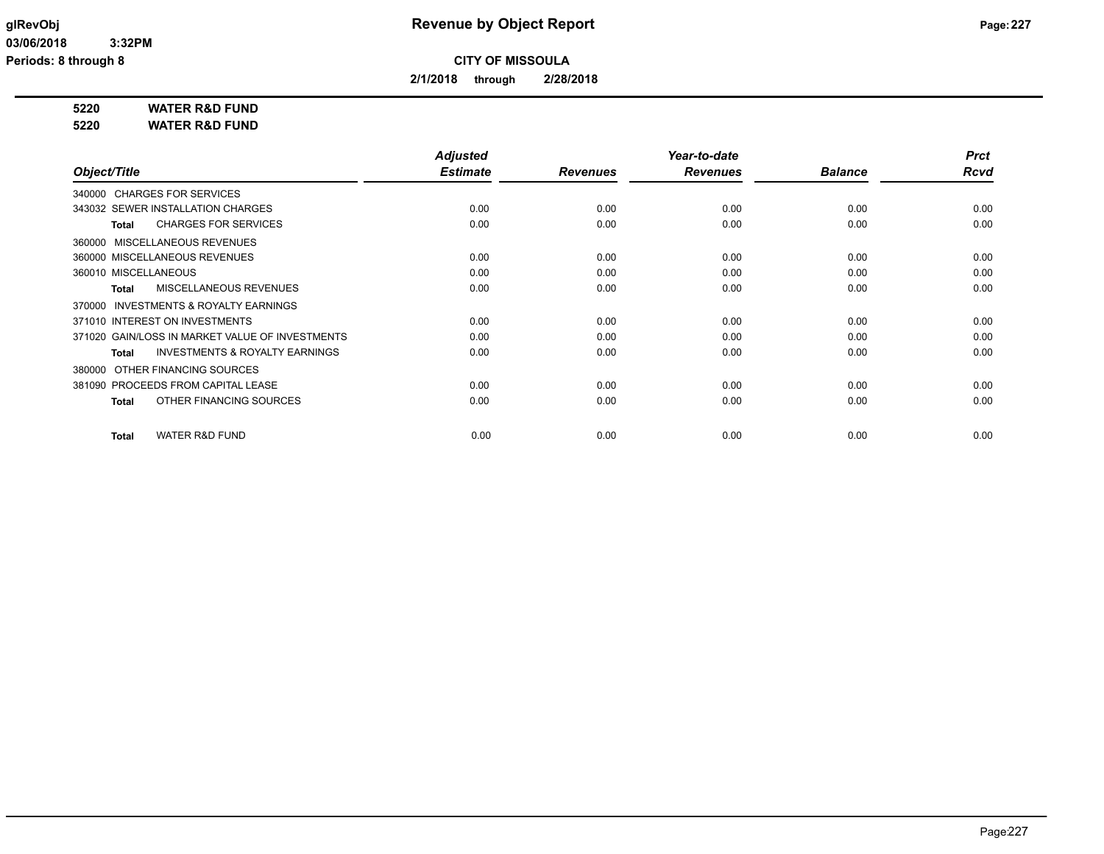**2/1/2018 through 2/28/2018**

**5220 WATER R&D FUND**

**5220 WATER R&D FUND**

|                                                     | <b>Adjusted</b> |                 | Year-to-date    |                | <b>Prct</b> |
|-----------------------------------------------------|-----------------|-----------------|-----------------|----------------|-------------|
| Object/Title                                        | <b>Estimate</b> | <b>Revenues</b> | <b>Revenues</b> | <b>Balance</b> | <b>Rcvd</b> |
| 340000 CHARGES FOR SERVICES                         |                 |                 |                 |                |             |
| 343032 SEWER INSTALLATION CHARGES                   | 0.00            | 0.00            | 0.00            | 0.00           | 0.00        |
| <b>CHARGES FOR SERVICES</b><br>Total                | 0.00            | 0.00            | 0.00            | 0.00           | 0.00        |
| MISCELLANEOUS REVENUES<br>360000                    |                 |                 |                 |                |             |
| 360000 MISCELLANEOUS REVENUES                       | 0.00            | 0.00            | 0.00            | 0.00           | 0.00        |
| 360010 MISCELLANEOUS                                | 0.00            | 0.00            | 0.00            | 0.00           | 0.00        |
| <b>MISCELLANEOUS REVENUES</b><br>Total              | 0.00            | 0.00            | 0.00            | 0.00           | 0.00        |
| <b>INVESTMENTS &amp; ROYALTY EARNINGS</b><br>370000 |                 |                 |                 |                |             |
| 371010 INTEREST ON INVESTMENTS                      | 0.00            | 0.00            | 0.00            | 0.00           | 0.00        |
| 371020 GAIN/LOSS IN MARKET VALUE OF INVESTMENTS     | 0.00            | 0.00            | 0.00            | 0.00           | 0.00        |
| <b>INVESTMENTS &amp; ROYALTY EARNINGS</b><br>Total  | 0.00            | 0.00            | 0.00            | 0.00           | 0.00        |
| OTHER FINANCING SOURCES<br>380000                   |                 |                 |                 |                |             |
| 381090 PROCEEDS FROM CAPITAL LEASE                  | 0.00            | 0.00            | 0.00            | 0.00           | 0.00        |
| OTHER FINANCING SOURCES<br><b>Total</b>             | 0.00            | 0.00            | 0.00            | 0.00           | 0.00        |
| <b>WATER R&amp;D FUND</b><br><b>Total</b>           | 0.00            | 0.00            | 0.00            | 0.00           | 0.00        |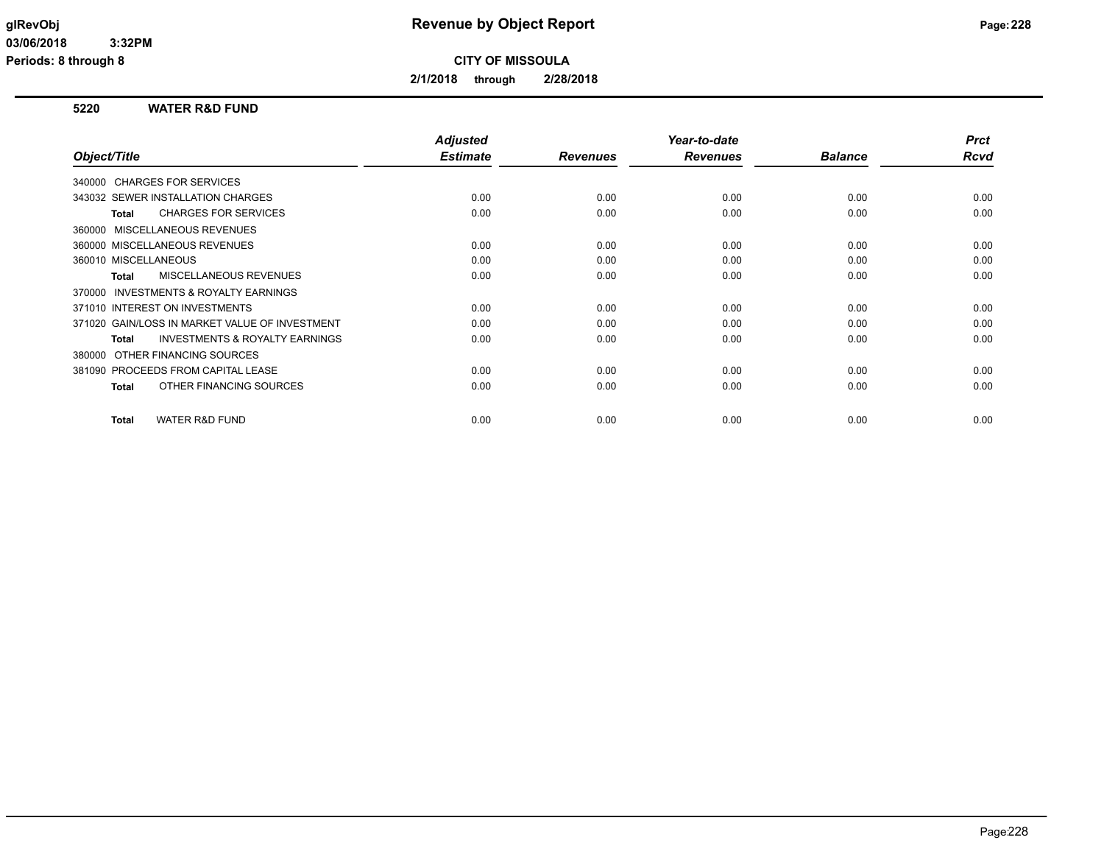**2/1/2018 through 2/28/2018**

### **5220 WATER R&D FUND**

|                                                    | <b>Adjusted</b> |                 | Year-to-date    |                | <b>Prct</b> |
|----------------------------------------------------|-----------------|-----------------|-----------------|----------------|-------------|
| Object/Title                                       | <b>Estimate</b> | <b>Revenues</b> | <b>Revenues</b> | <b>Balance</b> | Rcvd        |
| 340000 CHARGES FOR SERVICES                        |                 |                 |                 |                |             |
| 343032 SEWER INSTALLATION CHARGES                  | 0.00            | 0.00            | 0.00            | 0.00           | 0.00        |
| <b>CHARGES FOR SERVICES</b><br>Total               | 0.00            | 0.00            | 0.00            | 0.00           | 0.00        |
| 360000 MISCELLANEOUS REVENUES                      |                 |                 |                 |                |             |
| 360000 MISCELLANEOUS REVENUES                      | 0.00            | 0.00            | 0.00            | 0.00           | 0.00        |
| 360010 MISCELLANEOUS                               | 0.00            | 0.00            | 0.00            | 0.00           | 0.00        |
| MISCELLANEOUS REVENUES<br><b>Total</b>             | 0.00            | 0.00            | 0.00            | 0.00           | 0.00        |
| 370000 INVESTMENTS & ROYALTY EARNINGS              |                 |                 |                 |                |             |
| 371010 INTEREST ON INVESTMENTS                     | 0.00            | 0.00            | 0.00            | 0.00           | 0.00        |
| 371020 GAIN/LOSS IN MARKET VALUE OF INVESTMENT     | 0.00            | 0.00            | 0.00            | 0.00           | 0.00        |
| <b>INVESTMENTS &amp; ROYALTY EARNINGS</b><br>Total | 0.00            | 0.00            | 0.00            | 0.00           | 0.00        |
| OTHER FINANCING SOURCES<br>380000                  |                 |                 |                 |                |             |
| 381090 PROCEEDS FROM CAPITAL LEASE                 | 0.00            | 0.00            | 0.00            | 0.00           | 0.00        |
| OTHER FINANCING SOURCES<br><b>Total</b>            | 0.00            | 0.00            | 0.00            | 0.00           | 0.00        |
|                                                    |                 |                 |                 |                |             |
| <b>WATER R&amp;D FUND</b><br><b>Total</b>          | 0.00            | 0.00            | 0.00            | 0.00           | 0.00        |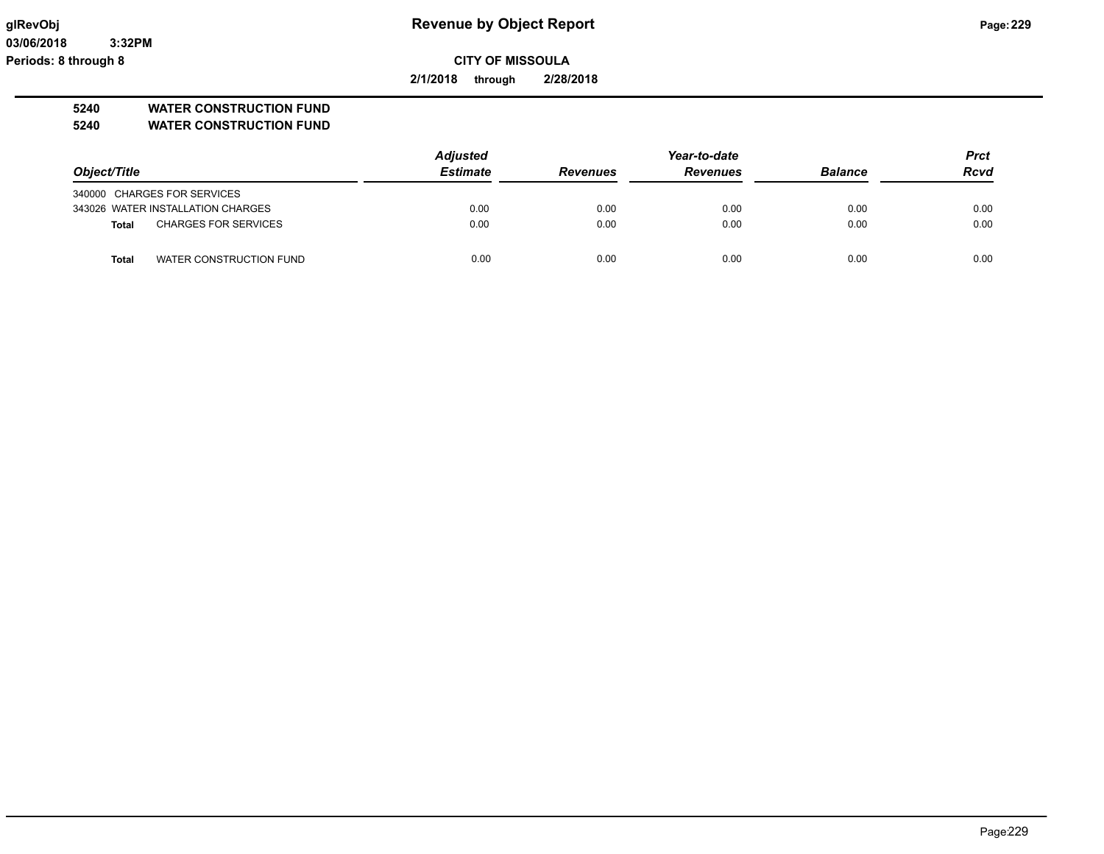**03/06/2018 3:32PM Periods: 8 through 8**

## **glRevObj Revenue by Object Report Page:229**

**CITY OF MISSOULA**

**2/1/2018 through 2/28/2018**

**5240 WATER CONSTRUCTION FUND**

**5240 WATER CONSTRUCTION FUND**

|                                             | <b>Adjusted</b> | Year-to-date    |                 |                | <b>Prct</b> |
|---------------------------------------------|-----------------|-----------------|-----------------|----------------|-------------|
| Object/Title                                | <b>Estimate</b> | <b>Revenues</b> | <b>Revenues</b> | <b>Balance</b> | <b>Rcvd</b> |
| 340000 CHARGES FOR SERVICES                 |                 |                 |                 |                |             |
| 343026 WATER INSTALLATION CHARGES           | 0.00            | 0.00            | 0.00            | 0.00           | 0.00        |
| <b>CHARGES FOR SERVICES</b><br><b>Total</b> | 0.00            | 0.00            | 0.00            | 0.00           | 0.00        |
| WATER CONSTRUCTION FUND<br>Total            | 0.00            | 0.00            | 0.00            | 0.00           | 0.00        |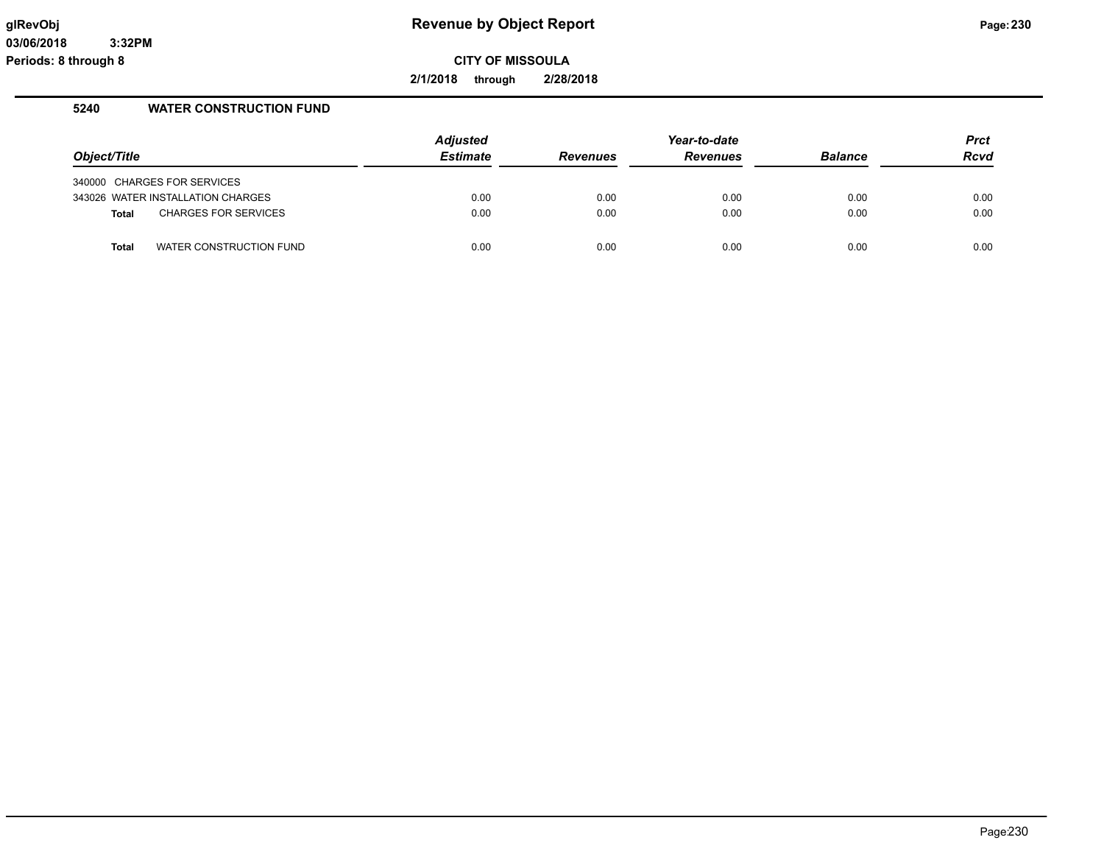**2/1/2018 through 2/28/2018**

## **5240 WATER CONSTRUCTION FUND**

|              |                                   | <b>Adjusted</b> |                 | Year-to-date    |                | <b>Prct</b> |
|--------------|-----------------------------------|-----------------|-----------------|-----------------|----------------|-------------|
| Object/Title |                                   | <b>Estimate</b> | <b>Revenues</b> | <b>Revenues</b> | <b>Balance</b> | <b>Rcvd</b> |
|              | 340000 CHARGES FOR SERVICES       |                 |                 |                 |                |             |
|              | 343026 WATER INSTALLATION CHARGES | 0.00            | 0.00            | 0.00            | 0.00           | 0.00        |
| Total        | <b>CHARGES FOR SERVICES</b>       | 0.00            | 0.00            | 0.00            | 0.00           | 0.00        |
| <b>Total</b> | WATER CONSTRUCTION FUND           | 0.00            | 0.00            | 0.00            | 0.00           | 0.00        |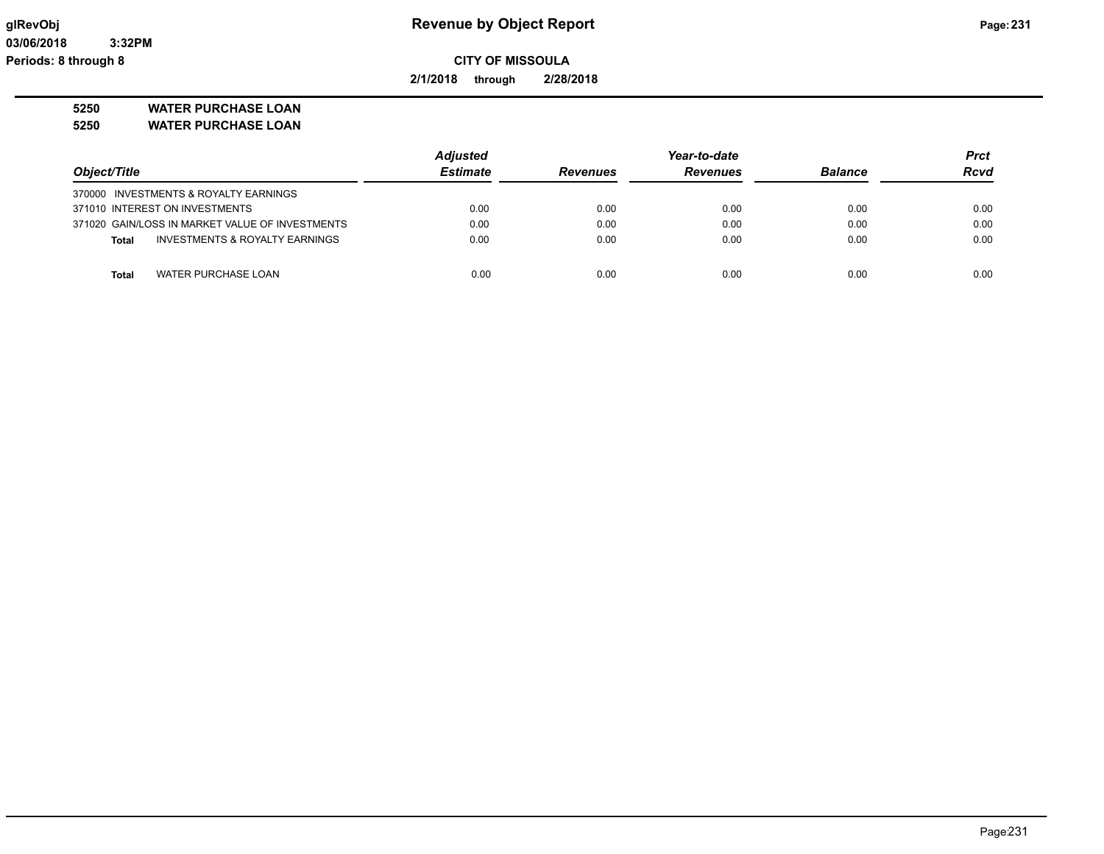**2/1/2018 through 2/28/2018**

**5250 WATER PURCHASE LOAN**

**5250 WATER PURCHASE LOAN**

|                                                 | <b>Adjusted</b> |                 | Year-to-date    |                | <b>Prct</b> |
|-------------------------------------------------|-----------------|-----------------|-----------------|----------------|-------------|
| Object/Title                                    | <b>Estimate</b> | <b>Revenues</b> | <b>Revenues</b> | <b>Balance</b> | <b>Rcvd</b> |
| 370000 INVESTMENTS & ROYALTY EARNINGS           |                 |                 |                 |                |             |
| 371010 INTEREST ON INVESTMENTS                  | 0.00            | 0.00            | 0.00            | 0.00           | 0.00        |
| 371020 GAIN/LOSS IN MARKET VALUE OF INVESTMENTS | 0.00            | 0.00            | 0.00            | 0.00           | 0.00        |
| INVESTMENTS & ROYALTY EARNINGS<br>Total         | 0.00            | 0.00            | 0.00            | 0.00           | 0.00        |
|                                                 |                 |                 |                 |                |             |
| WATER PURCHASE LOAN<br>Total                    | 0.00            | 0.00            | 0.00            | 0.00           | 0.00        |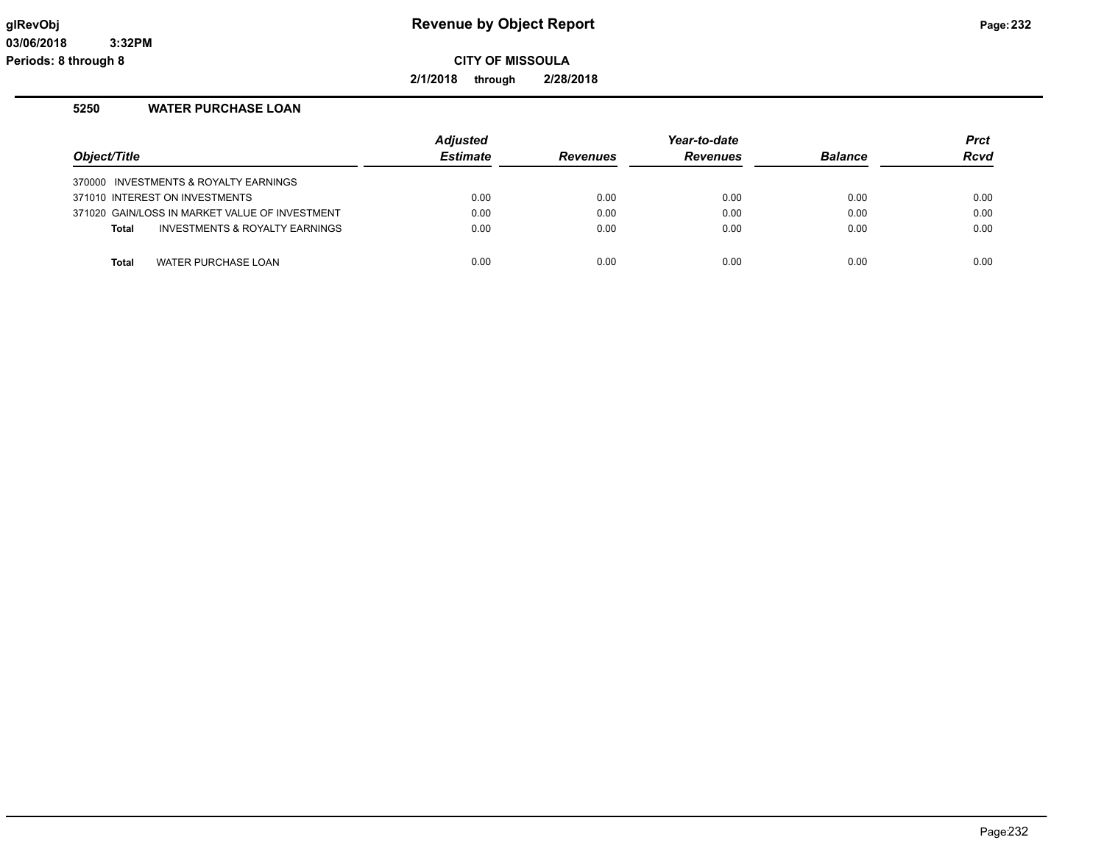**2/1/2018 through 2/28/2018**

## **5250 WATER PURCHASE LOAN**

| Object/Title                          |                                                | <b>Adjusted</b><br><b>Estimate</b> | <b>Revenues</b> | Year-to-date<br><b>Revenues</b> | <b>Balance</b> | <b>Prct</b><br><b>Rcvd</b> |
|---------------------------------------|------------------------------------------------|------------------------------------|-----------------|---------------------------------|----------------|----------------------------|
| 370000 INVESTMENTS & ROYALTY EARNINGS |                                                |                                    |                 |                                 |                |                            |
| 371010 INTEREST ON INVESTMENTS        |                                                | 0.00                               | 0.00            | 0.00                            | 0.00           | 0.00                       |
|                                       | 371020 GAIN/LOSS IN MARKET VALUE OF INVESTMENT | 0.00                               | 0.00            | 0.00                            | 0.00           | 0.00                       |
| <b>Total</b>                          | INVESTMENTS & ROYALTY EARNINGS                 | 0.00                               | 0.00            | 0.00                            | 0.00           | 0.00                       |
|                                       |                                                |                                    |                 |                                 |                |                            |
| <b>Total</b>                          | WATER PURCHASE LOAN                            | 0.00                               | 0.00            | 0.00                            | 0.00           | 0.00                       |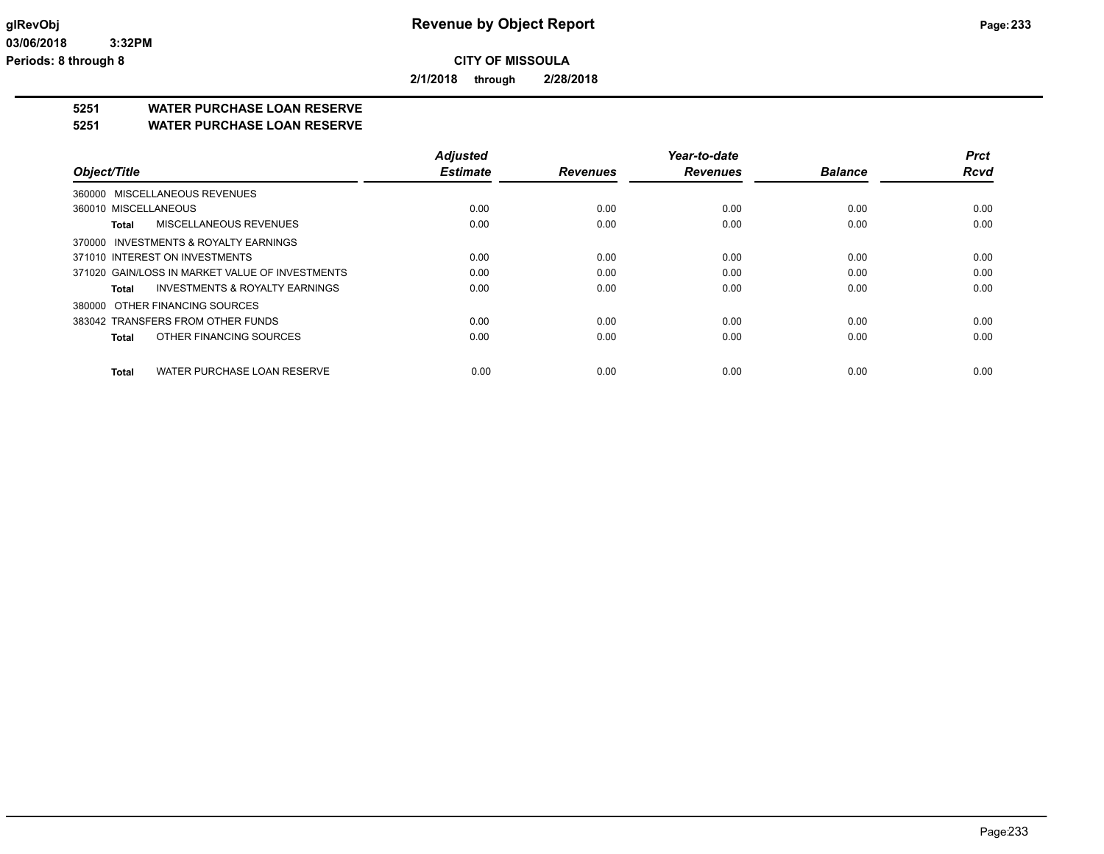**2/1/2018 through 2/28/2018**

## **5251 WATER PURCHASE LOAN RESERVE**

**5251 WATER PURCHASE LOAN RESERVE**

|                                                    | <b>Adjusted</b> |                 | Year-to-date    |                | <b>Prct</b> |
|----------------------------------------------------|-----------------|-----------------|-----------------|----------------|-------------|
| Object/Title                                       | <b>Estimate</b> | <b>Revenues</b> | <b>Revenues</b> | <b>Balance</b> | <b>Rcvd</b> |
| 360000 MISCELLANEOUS REVENUES                      |                 |                 |                 |                |             |
| 360010 MISCELLANEOUS                               | 0.00            | 0.00            | 0.00            | 0.00           | 0.00        |
| MISCELLANEOUS REVENUES<br>Total                    | 0.00            | 0.00            | 0.00            | 0.00           | 0.00        |
| 370000 INVESTMENTS & ROYALTY EARNINGS              |                 |                 |                 |                |             |
| 371010 INTEREST ON INVESTMENTS                     | 0.00            | 0.00            | 0.00            | 0.00           | 0.00        |
| 371020 GAIN/LOSS IN MARKET VALUE OF INVESTMENTS    | 0.00            | 0.00            | 0.00            | 0.00           | 0.00        |
| <b>INVESTMENTS &amp; ROYALTY EARNINGS</b><br>Total | 0.00            | 0.00            | 0.00            | 0.00           | 0.00        |
| 380000 OTHER FINANCING SOURCES                     |                 |                 |                 |                |             |
| 383042 TRANSFERS FROM OTHER FUNDS                  | 0.00            | 0.00            | 0.00            | 0.00           | 0.00        |
| OTHER FINANCING SOURCES<br><b>Total</b>            | 0.00            | 0.00            | 0.00            | 0.00           | 0.00        |
| WATER PURCHASE LOAN RESERVE<br><b>Total</b>        | 0.00            | 0.00            | 0.00            | 0.00           | 0.00        |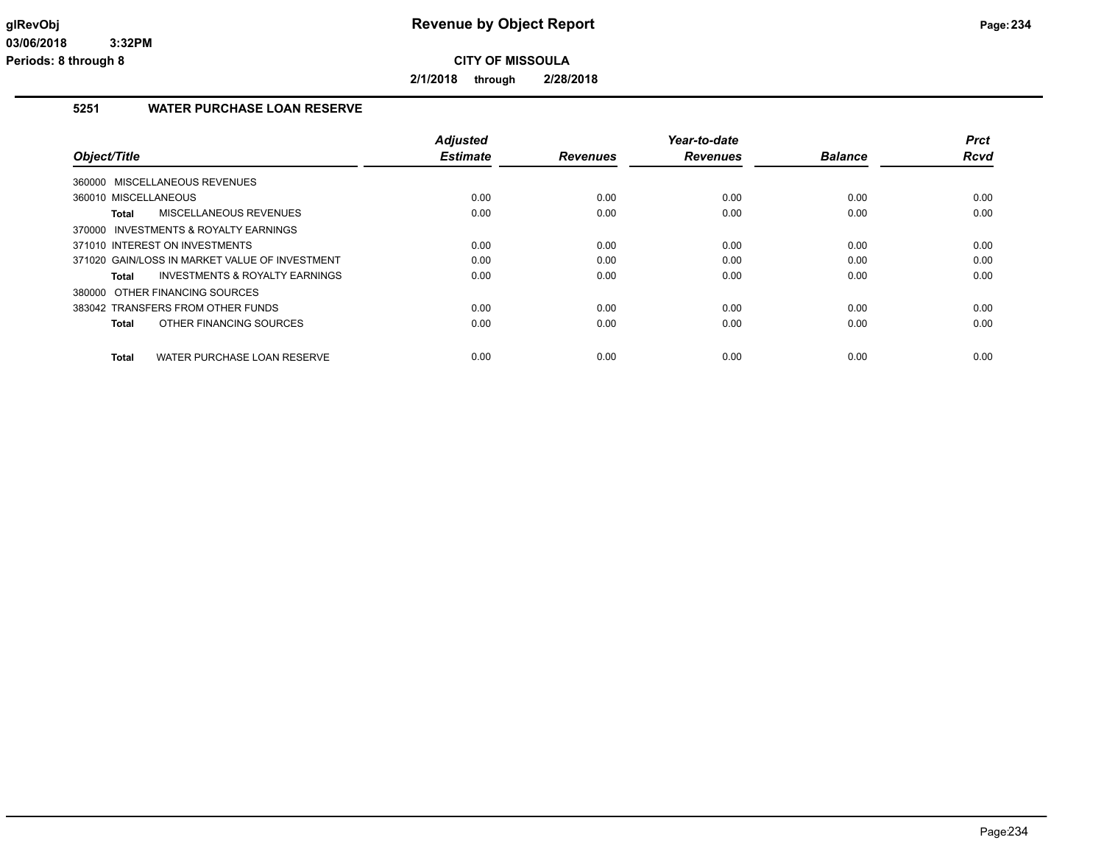**2/1/2018 through 2/28/2018**

## **5251 WATER PURCHASE LOAN RESERVE**

|                                                    | <b>Adjusted</b> |                 | Year-to-date    |                | <b>Prct</b> |
|----------------------------------------------------|-----------------|-----------------|-----------------|----------------|-------------|
| Object/Title                                       | <b>Estimate</b> | <b>Revenues</b> | <b>Revenues</b> | <b>Balance</b> | <b>Rcvd</b> |
| 360000 MISCELLANEOUS REVENUES                      |                 |                 |                 |                |             |
| 360010 MISCELLANEOUS                               | 0.00            | 0.00            | 0.00            | 0.00           | 0.00        |
| MISCELLANEOUS REVENUES<br>Total                    | 0.00            | 0.00            | 0.00            | 0.00           | 0.00        |
| 370000 INVESTMENTS & ROYALTY EARNINGS              |                 |                 |                 |                |             |
| 371010 INTEREST ON INVESTMENTS                     | 0.00            | 0.00            | 0.00            | 0.00           | 0.00        |
| 371020 GAIN/LOSS IN MARKET VALUE OF INVESTMENT     | 0.00            | 0.00            | 0.00            | 0.00           | 0.00        |
| <b>INVESTMENTS &amp; ROYALTY EARNINGS</b><br>Total | 0.00            | 0.00            | 0.00            | 0.00           | 0.00        |
| 380000 OTHER FINANCING SOURCES                     |                 |                 |                 |                |             |
| 383042 TRANSFERS FROM OTHER FUNDS                  | 0.00            | 0.00            | 0.00            | 0.00           | 0.00        |
| OTHER FINANCING SOURCES<br>Total                   | 0.00            | 0.00            | 0.00            | 0.00           | 0.00        |
| WATER PURCHASE LOAN RESERVE<br><b>Total</b>        | 0.00            | 0.00            | 0.00            | 0.00           | 0.00        |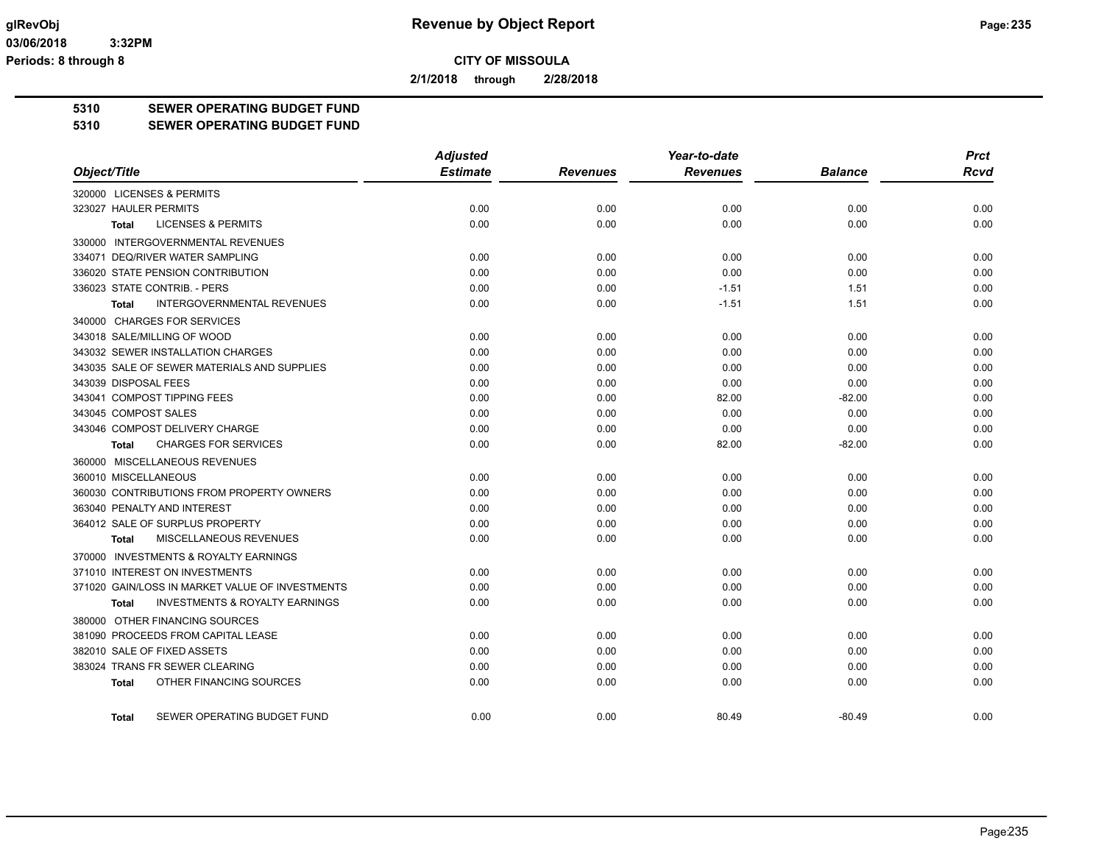**2/1/2018 through 2/28/2018**

## **5310 SEWER OPERATING BUDGET FUND**

#### **5310 SEWER OPERATING BUDGET FUND**

|                                                    | <b>Adjusted</b> |                 | Year-to-date    |                | <b>Prct</b> |
|----------------------------------------------------|-----------------|-----------------|-----------------|----------------|-------------|
| Object/Title                                       | <b>Estimate</b> | <b>Revenues</b> | <b>Revenues</b> | <b>Balance</b> | <b>Rcvd</b> |
| 320000 LICENSES & PERMITS                          |                 |                 |                 |                |             |
| 323027 HAULER PERMITS                              | 0.00            | 0.00            | 0.00            | 0.00           | 0.00        |
| <b>LICENSES &amp; PERMITS</b><br><b>Total</b>      | 0.00            | 0.00            | 0.00            | 0.00           | 0.00        |
| 330000 INTERGOVERNMENTAL REVENUES                  |                 |                 |                 |                |             |
| 334071 DEQ/RIVER WATER SAMPLING                    | 0.00            | 0.00            | 0.00            | 0.00           | 0.00        |
| 336020 STATE PENSION CONTRIBUTION                  | 0.00            | 0.00            | 0.00            | 0.00           | 0.00        |
| 336023 STATE CONTRIB. - PERS                       | 0.00            | 0.00            | $-1.51$         | 1.51           | 0.00        |
| INTERGOVERNMENTAL REVENUES<br><b>Total</b>         | 0.00            | 0.00            | $-1.51$         | 1.51           | 0.00        |
| 340000 CHARGES FOR SERVICES                        |                 |                 |                 |                |             |
| 343018 SALE/MILLING OF WOOD                        | 0.00            | 0.00            | 0.00            | 0.00           | 0.00        |
| 343032 SEWER INSTALLATION CHARGES                  | 0.00            | 0.00            | 0.00            | 0.00           | 0.00        |
| 343035 SALE OF SEWER MATERIALS AND SUPPLIES        | 0.00            | 0.00            | 0.00            | 0.00           | 0.00        |
| 343039 DISPOSAL FEES                               | 0.00            | 0.00            | 0.00            | 0.00           | 0.00        |
| 343041 COMPOST TIPPING FEES                        | 0.00            | 0.00            | 82.00           | $-82.00$       | 0.00        |
| 343045 COMPOST SALES                               | 0.00            | 0.00            | 0.00            | 0.00           | 0.00        |
| 343046 COMPOST DELIVERY CHARGE                     | 0.00            | 0.00            | 0.00            | 0.00           | 0.00        |
| <b>CHARGES FOR SERVICES</b><br><b>Total</b>        | 0.00            | 0.00            | 82.00           | $-82.00$       | 0.00        |
| 360000 MISCELLANEOUS REVENUES                      |                 |                 |                 |                |             |
| 360010 MISCELLANEOUS                               | 0.00            | 0.00            | 0.00            | 0.00           | 0.00        |
| 360030 CONTRIBUTIONS FROM PROPERTY OWNERS          | 0.00            | 0.00            | 0.00            | 0.00           | 0.00        |
| 363040 PENALTY AND INTEREST                        | 0.00            | 0.00            | 0.00            | 0.00           | 0.00        |
| 364012 SALE OF SURPLUS PROPERTY                    | 0.00            | 0.00            | 0.00            | 0.00           | 0.00        |
| MISCELLANEOUS REVENUES<br><b>Total</b>             | 0.00            | 0.00            | 0.00            | 0.00           | 0.00        |
| 370000 INVESTMENTS & ROYALTY EARNINGS              |                 |                 |                 |                |             |
| 371010 INTEREST ON INVESTMENTS                     | 0.00            | 0.00            | 0.00            | 0.00           | 0.00        |
| 371020 GAIN/LOSS IN MARKET VALUE OF INVESTMENTS    | 0.00            | 0.00            | 0.00            | 0.00           | 0.00        |
| <b>INVESTMENTS &amp; ROYALTY EARNINGS</b><br>Total | 0.00            | 0.00            | 0.00            | 0.00           | 0.00        |
| 380000 OTHER FINANCING SOURCES                     |                 |                 |                 |                |             |
| 381090 PROCEEDS FROM CAPITAL LEASE                 | 0.00            | 0.00            | 0.00            | 0.00           | 0.00        |
| 382010 SALE OF FIXED ASSETS                        | 0.00            | 0.00            | 0.00            | 0.00           | 0.00        |
| 383024 TRANS FR SEWER CLEARING                     | 0.00            | 0.00            | 0.00            | 0.00           | 0.00        |
| OTHER FINANCING SOURCES<br><b>Total</b>            | 0.00            | 0.00            | 0.00            | 0.00           | 0.00        |
| SEWER OPERATING BUDGET FUND<br><b>Total</b>        | 0.00            | 0.00            | 80.49           | $-80.49$       | 0.00        |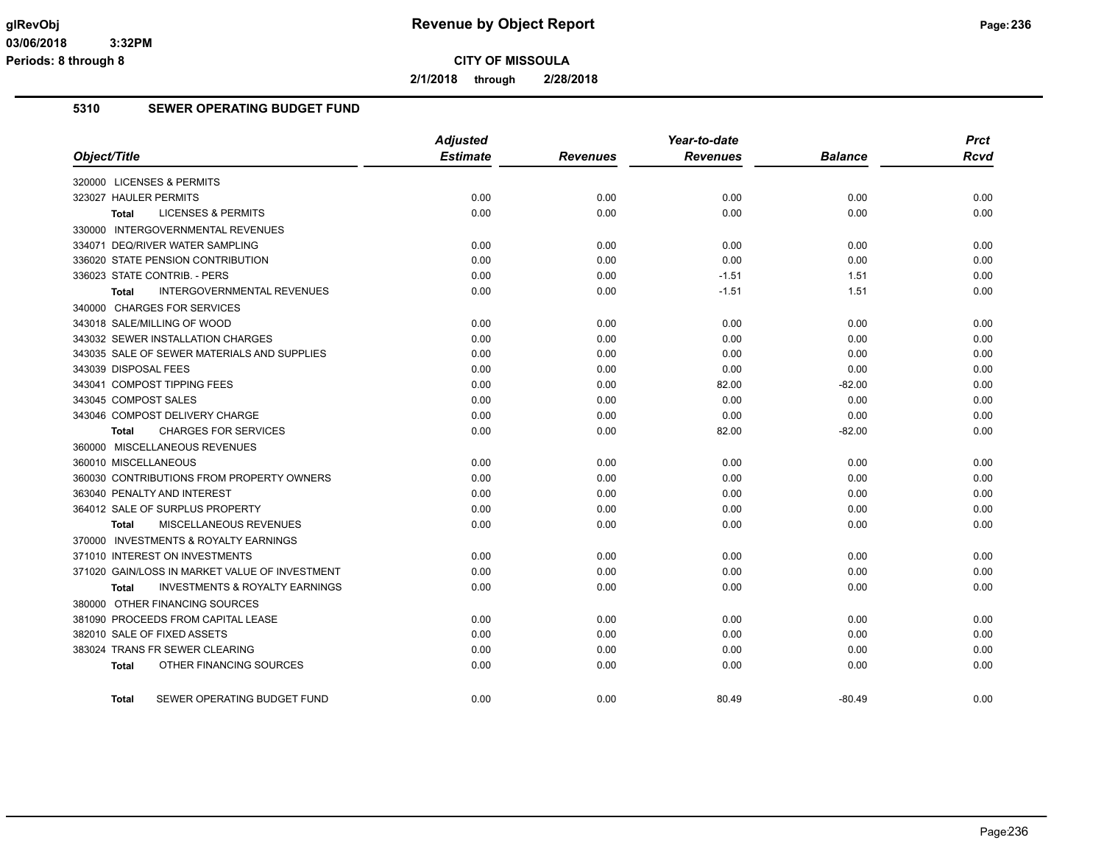**2/1/2018 through 2/28/2018**

## **5310 SEWER OPERATING BUDGET FUND**

|                                                           | <b>Adjusted</b> |                 | Year-to-date    |                | <b>Prct</b> |
|-----------------------------------------------------------|-----------------|-----------------|-----------------|----------------|-------------|
| Object/Title                                              | <b>Estimate</b> | <b>Revenues</b> | <b>Revenues</b> | <b>Balance</b> | <b>Rcvd</b> |
| 320000 LICENSES & PERMITS                                 |                 |                 |                 |                |             |
| 323027 HAULER PERMITS                                     | 0.00            | 0.00            | 0.00            | 0.00           | 0.00        |
| <b>LICENSES &amp; PERMITS</b><br>Total                    | 0.00            | 0.00            | 0.00            | 0.00           | 0.00        |
| 330000 INTERGOVERNMENTAL REVENUES                         |                 |                 |                 |                |             |
| 334071 DEQ/RIVER WATER SAMPLING                           | 0.00            | 0.00            | 0.00            | 0.00           | 0.00        |
| 336020 STATE PENSION CONTRIBUTION                         | 0.00            | 0.00            | 0.00            | 0.00           | 0.00        |
| 336023 STATE CONTRIB. - PERS                              | 0.00            | 0.00            | $-1.51$         | 1.51           | 0.00        |
| <b>INTERGOVERNMENTAL REVENUES</b><br><b>Total</b>         | 0.00            | 0.00            | $-1.51$         | 1.51           | 0.00        |
| 340000 CHARGES FOR SERVICES                               |                 |                 |                 |                |             |
| 343018 SALE/MILLING OF WOOD                               | 0.00            | 0.00            | 0.00            | 0.00           | 0.00        |
| 343032 SEWER INSTALLATION CHARGES                         | 0.00            | 0.00            | 0.00            | 0.00           | 0.00        |
| 343035 SALE OF SEWER MATERIALS AND SUPPLIES               | 0.00            | 0.00            | 0.00            | 0.00           | 0.00        |
| 343039 DISPOSAL FEES                                      | 0.00            | 0.00            | 0.00            | 0.00           | 0.00        |
| 343041 COMPOST TIPPING FEES                               | 0.00            | 0.00            | 82.00           | $-82.00$       | 0.00        |
| 343045 COMPOST SALES                                      | 0.00            | 0.00            | 0.00            | 0.00           | 0.00        |
| 343046 COMPOST DELIVERY CHARGE                            | 0.00            | 0.00            | 0.00            | 0.00           | 0.00        |
| <b>CHARGES FOR SERVICES</b><br>Total                      | 0.00            | 0.00            | 82.00           | $-82.00$       | 0.00        |
| 360000 MISCELLANEOUS REVENUES                             |                 |                 |                 |                |             |
| 360010 MISCELLANEOUS                                      | 0.00            | 0.00            | 0.00            | 0.00           | 0.00        |
| 360030 CONTRIBUTIONS FROM PROPERTY OWNERS                 | 0.00            | 0.00            | 0.00            | 0.00           | 0.00        |
| 363040 PENALTY AND INTEREST                               | 0.00            | 0.00            | 0.00            | 0.00           | 0.00        |
| 364012 SALE OF SURPLUS PROPERTY                           | 0.00            | 0.00            | 0.00            | 0.00           | 0.00        |
| MISCELLANEOUS REVENUES<br>Total                           | 0.00            | 0.00            | 0.00            | 0.00           | 0.00        |
| 370000 INVESTMENTS & ROYALTY EARNINGS                     |                 |                 |                 |                |             |
| 371010 INTEREST ON INVESTMENTS                            | 0.00            | 0.00            | 0.00            | 0.00           | 0.00        |
| 371020 GAIN/LOSS IN MARKET VALUE OF INVESTMENT            | 0.00            | 0.00            | 0.00            | 0.00           | 0.00        |
| <b>INVESTMENTS &amp; ROYALTY EARNINGS</b><br><b>Total</b> | 0.00            | 0.00            | 0.00            | 0.00           | 0.00        |
| 380000 OTHER FINANCING SOURCES                            |                 |                 |                 |                |             |
| 381090 PROCEEDS FROM CAPITAL LEASE                        | 0.00            | 0.00            | 0.00            | 0.00           | 0.00        |
| 382010 SALE OF FIXED ASSETS                               | 0.00            | 0.00            | 0.00            | 0.00           | 0.00        |
| 383024 TRANS FR SEWER CLEARING                            | 0.00            | 0.00            | 0.00            | 0.00           | 0.00        |
| OTHER FINANCING SOURCES<br>Total                          | 0.00            | 0.00            | 0.00            | 0.00           | 0.00        |
|                                                           |                 |                 |                 |                |             |
| SEWER OPERATING BUDGET FUND<br><b>Total</b>               | 0.00            | 0.00            | 80.49           | $-80.49$       | 0.00        |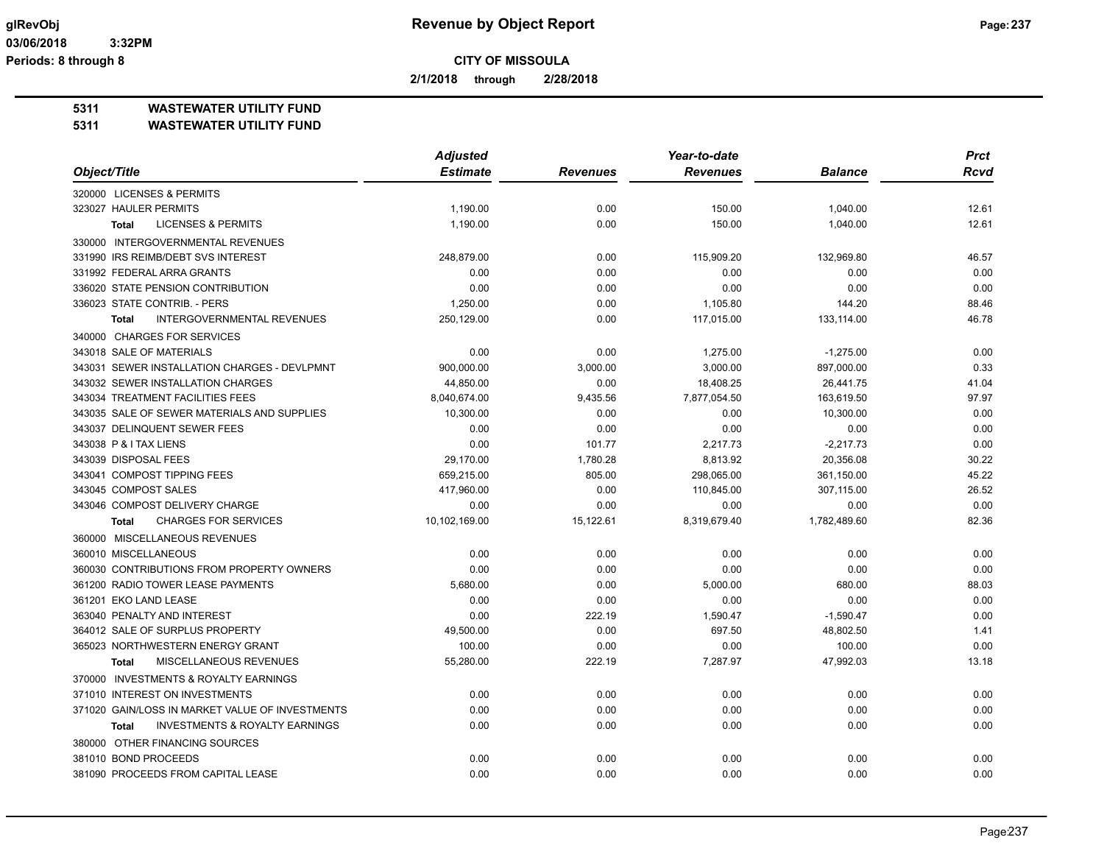**2/1/2018 through 2/28/2018**

#### **5311 WASTEWATER UTILITY FUND**

| Object/Title<br><b>Estimate</b><br><b>Revenues</b><br><b>Balance</b><br><b>Revenues</b><br>Rcvd<br>320000 LICENSES & PERMITS<br>323027 HAULER PERMITS<br>0.00<br>150.00<br>1,190.00<br>1,040.00<br>12.61<br><b>LICENSES &amp; PERMITS</b><br>1,190.00<br>0.00<br>150.00<br>1,040.00<br>12.61<br><b>Total</b><br>330000 INTERGOVERNMENTAL REVENUES<br>331990 IRS REIMB/DEBT SVS INTEREST<br>248,879.00<br>0.00<br>132,969.80<br>46.57<br>115,909.20<br>331992 FEDERAL ARRA GRANTS<br>0.00<br>0.00<br>0.00<br>0.00<br>0.00<br>336020 STATE PENSION CONTRIBUTION<br>0.00<br>0.00<br>0.00<br>0.00<br>0.00<br>336023 STATE CONTRIB. - PERS<br>1,250.00<br>0.00<br>1,105.80<br>144.20<br>88.46<br><b>INTERGOVERNMENTAL REVENUES</b><br>250,129.00<br>0.00<br>117,015.00<br>133,114.00<br>46.78<br><b>Total</b><br>340000 CHARGES FOR SERVICES<br>343018 SALE OF MATERIALS<br>0.00<br>0.00<br>1,275.00<br>$-1,275.00$<br>0.00<br>343031 SEWER INSTALLATION CHARGES - DEVLPMNT<br>900,000.00<br>3,000.00<br>3,000.00<br>897,000.00<br>0.33<br>343032 SEWER INSTALLATION CHARGES<br>44,850.00<br>0.00<br>18,408.25<br>26,441.75<br>41.04<br>343034 TREATMENT FACILITIES FEES<br>8,040,674.00<br>9,435.56<br>7,877,054.50<br>163,619.50<br>97.97<br>343035 SALE OF SEWER MATERIALS AND SUPPLIES<br>10,300.00<br>0.00<br>0.00<br>10,300.00<br>0.00<br>343037 DELINQUENT SEWER FEES<br>0.00<br>0.00<br>0.00<br>0.00<br>0.00<br>343038 P & I TAX LIENS<br>0.00<br>101.77<br>2,217.73<br>$-2,217.73$<br>0.00<br>343039 DISPOSAL FEES<br>29.170.00<br>1.780.28<br>8,813.92<br>20,356.08<br>30.22<br>343041 COMPOST TIPPING FEES<br>659,215.00<br>805.00<br>298,065.00<br>361,150.00<br>45.22<br>343045 COMPOST SALES<br>0.00<br>26.52<br>417,960.00<br>110,845.00<br>307,115.00<br>0.00<br>343046 COMPOST DELIVERY CHARGE<br>0.00<br>0.00<br>0.00<br>0.00 |
|--------------------------------------------------------------------------------------------------------------------------------------------------------------------------------------------------------------------------------------------------------------------------------------------------------------------------------------------------------------------------------------------------------------------------------------------------------------------------------------------------------------------------------------------------------------------------------------------------------------------------------------------------------------------------------------------------------------------------------------------------------------------------------------------------------------------------------------------------------------------------------------------------------------------------------------------------------------------------------------------------------------------------------------------------------------------------------------------------------------------------------------------------------------------------------------------------------------------------------------------------------------------------------------------------------------------------------------------------------------------------------------------------------------------------------------------------------------------------------------------------------------------------------------------------------------------------------------------------------------------------------------------------------------------------------------------------------------------------------------------------------------------------------------------------------------------------------------------|
|                                                                                                                                                                                                                                                                                                                                                                                                                                                                                                                                                                                                                                                                                                                                                                                                                                                                                                                                                                                                                                                                                                                                                                                                                                                                                                                                                                                                                                                                                                                                                                                                                                                                                                                                                                                                                                            |
|                                                                                                                                                                                                                                                                                                                                                                                                                                                                                                                                                                                                                                                                                                                                                                                                                                                                                                                                                                                                                                                                                                                                                                                                                                                                                                                                                                                                                                                                                                                                                                                                                                                                                                                                                                                                                                            |
|                                                                                                                                                                                                                                                                                                                                                                                                                                                                                                                                                                                                                                                                                                                                                                                                                                                                                                                                                                                                                                                                                                                                                                                                                                                                                                                                                                                                                                                                                                                                                                                                                                                                                                                                                                                                                                            |
|                                                                                                                                                                                                                                                                                                                                                                                                                                                                                                                                                                                                                                                                                                                                                                                                                                                                                                                                                                                                                                                                                                                                                                                                                                                                                                                                                                                                                                                                                                                                                                                                                                                                                                                                                                                                                                            |
|                                                                                                                                                                                                                                                                                                                                                                                                                                                                                                                                                                                                                                                                                                                                                                                                                                                                                                                                                                                                                                                                                                                                                                                                                                                                                                                                                                                                                                                                                                                                                                                                                                                                                                                                                                                                                                            |
|                                                                                                                                                                                                                                                                                                                                                                                                                                                                                                                                                                                                                                                                                                                                                                                                                                                                                                                                                                                                                                                                                                                                                                                                                                                                                                                                                                                                                                                                                                                                                                                                                                                                                                                                                                                                                                            |
|                                                                                                                                                                                                                                                                                                                                                                                                                                                                                                                                                                                                                                                                                                                                                                                                                                                                                                                                                                                                                                                                                                                                                                                                                                                                                                                                                                                                                                                                                                                                                                                                                                                                                                                                                                                                                                            |
|                                                                                                                                                                                                                                                                                                                                                                                                                                                                                                                                                                                                                                                                                                                                                                                                                                                                                                                                                                                                                                                                                                                                                                                                                                                                                                                                                                                                                                                                                                                                                                                                                                                                                                                                                                                                                                            |
|                                                                                                                                                                                                                                                                                                                                                                                                                                                                                                                                                                                                                                                                                                                                                                                                                                                                                                                                                                                                                                                                                                                                                                                                                                                                                                                                                                                                                                                                                                                                                                                                                                                                                                                                                                                                                                            |
|                                                                                                                                                                                                                                                                                                                                                                                                                                                                                                                                                                                                                                                                                                                                                                                                                                                                                                                                                                                                                                                                                                                                                                                                                                                                                                                                                                                                                                                                                                                                                                                                                                                                                                                                                                                                                                            |
|                                                                                                                                                                                                                                                                                                                                                                                                                                                                                                                                                                                                                                                                                                                                                                                                                                                                                                                                                                                                                                                                                                                                                                                                                                                                                                                                                                                                                                                                                                                                                                                                                                                                                                                                                                                                                                            |
|                                                                                                                                                                                                                                                                                                                                                                                                                                                                                                                                                                                                                                                                                                                                                                                                                                                                                                                                                                                                                                                                                                                                                                                                                                                                                                                                                                                                                                                                                                                                                                                                                                                                                                                                                                                                                                            |
|                                                                                                                                                                                                                                                                                                                                                                                                                                                                                                                                                                                                                                                                                                                                                                                                                                                                                                                                                                                                                                                                                                                                                                                                                                                                                                                                                                                                                                                                                                                                                                                                                                                                                                                                                                                                                                            |
|                                                                                                                                                                                                                                                                                                                                                                                                                                                                                                                                                                                                                                                                                                                                                                                                                                                                                                                                                                                                                                                                                                                                                                                                                                                                                                                                                                                                                                                                                                                                                                                                                                                                                                                                                                                                                                            |
|                                                                                                                                                                                                                                                                                                                                                                                                                                                                                                                                                                                                                                                                                                                                                                                                                                                                                                                                                                                                                                                                                                                                                                                                                                                                                                                                                                                                                                                                                                                                                                                                                                                                                                                                                                                                                                            |
|                                                                                                                                                                                                                                                                                                                                                                                                                                                                                                                                                                                                                                                                                                                                                                                                                                                                                                                                                                                                                                                                                                                                                                                                                                                                                                                                                                                                                                                                                                                                                                                                                                                                                                                                                                                                                                            |
|                                                                                                                                                                                                                                                                                                                                                                                                                                                                                                                                                                                                                                                                                                                                                                                                                                                                                                                                                                                                                                                                                                                                                                                                                                                                                                                                                                                                                                                                                                                                                                                                                                                                                                                                                                                                                                            |
|                                                                                                                                                                                                                                                                                                                                                                                                                                                                                                                                                                                                                                                                                                                                                                                                                                                                                                                                                                                                                                                                                                                                                                                                                                                                                                                                                                                                                                                                                                                                                                                                                                                                                                                                                                                                                                            |
|                                                                                                                                                                                                                                                                                                                                                                                                                                                                                                                                                                                                                                                                                                                                                                                                                                                                                                                                                                                                                                                                                                                                                                                                                                                                                                                                                                                                                                                                                                                                                                                                                                                                                                                                                                                                                                            |
|                                                                                                                                                                                                                                                                                                                                                                                                                                                                                                                                                                                                                                                                                                                                                                                                                                                                                                                                                                                                                                                                                                                                                                                                                                                                                                                                                                                                                                                                                                                                                                                                                                                                                                                                                                                                                                            |
|                                                                                                                                                                                                                                                                                                                                                                                                                                                                                                                                                                                                                                                                                                                                                                                                                                                                                                                                                                                                                                                                                                                                                                                                                                                                                                                                                                                                                                                                                                                                                                                                                                                                                                                                                                                                                                            |
|                                                                                                                                                                                                                                                                                                                                                                                                                                                                                                                                                                                                                                                                                                                                                                                                                                                                                                                                                                                                                                                                                                                                                                                                                                                                                                                                                                                                                                                                                                                                                                                                                                                                                                                                                                                                                                            |
| <b>CHARGES FOR SERVICES</b><br>10,102,169.00<br>15,122.61<br>8,319,679.40<br>1,782,489.60<br>82.36<br><b>Total</b>                                                                                                                                                                                                                                                                                                                                                                                                                                                                                                                                                                                                                                                                                                                                                                                                                                                                                                                                                                                                                                                                                                                                                                                                                                                                                                                                                                                                                                                                                                                                                                                                                                                                                                                         |
| 360000 MISCELLANEOUS REVENUES                                                                                                                                                                                                                                                                                                                                                                                                                                                                                                                                                                                                                                                                                                                                                                                                                                                                                                                                                                                                                                                                                                                                                                                                                                                                                                                                                                                                                                                                                                                                                                                                                                                                                                                                                                                                              |
| 360010 MISCELLANEOUS<br>0.00<br>0.00<br>0.00<br>0.00<br>0.00                                                                                                                                                                                                                                                                                                                                                                                                                                                                                                                                                                                                                                                                                                                                                                                                                                                                                                                                                                                                                                                                                                                                                                                                                                                                                                                                                                                                                                                                                                                                                                                                                                                                                                                                                                               |
| 360030 CONTRIBUTIONS FROM PROPERTY OWNERS<br>0.00<br>0.00<br>0.00<br>0.00<br>0.00                                                                                                                                                                                                                                                                                                                                                                                                                                                                                                                                                                                                                                                                                                                                                                                                                                                                                                                                                                                                                                                                                                                                                                                                                                                                                                                                                                                                                                                                                                                                                                                                                                                                                                                                                          |
| 361200 RADIO TOWER LEASE PAYMENTS<br>5,680.00<br>0.00<br>5,000.00<br>680.00<br>88.03                                                                                                                                                                                                                                                                                                                                                                                                                                                                                                                                                                                                                                                                                                                                                                                                                                                                                                                                                                                                                                                                                                                                                                                                                                                                                                                                                                                                                                                                                                                                                                                                                                                                                                                                                       |
| 361201 EKO LAND LEASE<br>0.00<br>0.00<br>0.00<br>0.00<br>0.00                                                                                                                                                                                                                                                                                                                                                                                                                                                                                                                                                                                                                                                                                                                                                                                                                                                                                                                                                                                                                                                                                                                                                                                                                                                                                                                                                                                                                                                                                                                                                                                                                                                                                                                                                                              |
| 363040 PENALTY AND INTEREST<br>0.00<br>222.19<br>1,590.47<br>$-1,590.47$<br>0.00                                                                                                                                                                                                                                                                                                                                                                                                                                                                                                                                                                                                                                                                                                                                                                                                                                                                                                                                                                                                                                                                                                                                                                                                                                                                                                                                                                                                                                                                                                                                                                                                                                                                                                                                                           |
| 364012 SALE OF SURPLUS PROPERTY<br>49,500.00<br>0.00<br>697.50<br>48,802.50<br>1.41                                                                                                                                                                                                                                                                                                                                                                                                                                                                                                                                                                                                                                                                                                                                                                                                                                                                                                                                                                                                                                                                                                                                                                                                                                                                                                                                                                                                                                                                                                                                                                                                                                                                                                                                                        |
| 365023 NORTHWESTERN ENERGY GRANT<br>100.00<br>0.00<br>0.00<br>100.00<br>0.00                                                                                                                                                                                                                                                                                                                                                                                                                                                                                                                                                                                                                                                                                                                                                                                                                                                                                                                                                                                                                                                                                                                                                                                                                                                                                                                                                                                                                                                                                                                                                                                                                                                                                                                                                               |
| MISCELLANEOUS REVENUES<br>55,280.00<br>222.19<br>7,287.97<br>47,992.03<br>13.18<br><b>Total</b>                                                                                                                                                                                                                                                                                                                                                                                                                                                                                                                                                                                                                                                                                                                                                                                                                                                                                                                                                                                                                                                                                                                                                                                                                                                                                                                                                                                                                                                                                                                                                                                                                                                                                                                                            |
| 370000 INVESTMENTS & ROYALTY EARNINGS                                                                                                                                                                                                                                                                                                                                                                                                                                                                                                                                                                                                                                                                                                                                                                                                                                                                                                                                                                                                                                                                                                                                                                                                                                                                                                                                                                                                                                                                                                                                                                                                                                                                                                                                                                                                      |
| 371010 INTEREST ON INVESTMENTS<br>0.00<br>0.00<br>0.00<br>0.00<br>0.00                                                                                                                                                                                                                                                                                                                                                                                                                                                                                                                                                                                                                                                                                                                                                                                                                                                                                                                                                                                                                                                                                                                                                                                                                                                                                                                                                                                                                                                                                                                                                                                                                                                                                                                                                                     |
| 371020 GAIN/LOSS IN MARKET VALUE OF INVESTMENTS<br>0.00<br>0.00<br>0.00<br>0.00<br>0.00                                                                                                                                                                                                                                                                                                                                                                                                                                                                                                                                                                                                                                                                                                                                                                                                                                                                                                                                                                                                                                                                                                                                                                                                                                                                                                                                                                                                                                                                                                                                                                                                                                                                                                                                                    |
| <b>INVESTMENTS &amp; ROYALTY EARNINGS</b><br>0.00<br>0.00<br>0.00<br>0.00<br>0.00<br><b>Total</b>                                                                                                                                                                                                                                                                                                                                                                                                                                                                                                                                                                                                                                                                                                                                                                                                                                                                                                                                                                                                                                                                                                                                                                                                                                                                                                                                                                                                                                                                                                                                                                                                                                                                                                                                          |
| 380000 OTHER FINANCING SOURCES                                                                                                                                                                                                                                                                                                                                                                                                                                                                                                                                                                                                                                                                                                                                                                                                                                                                                                                                                                                                                                                                                                                                                                                                                                                                                                                                                                                                                                                                                                                                                                                                                                                                                                                                                                                                             |
| 381010 BOND PROCEEDS<br>0.00<br>0.00<br>0.00<br>0.00<br>0.00                                                                                                                                                                                                                                                                                                                                                                                                                                                                                                                                                                                                                                                                                                                                                                                                                                                                                                                                                                                                                                                                                                                                                                                                                                                                                                                                                                                                                                                                                                                                                                                                                                                                                                                                                                               |
| 381090 PROCEEDS FROM CAPITAL LEASE<br>0.00<br>0.00<br>0.00<br>0.00<br>0.00                                                                                                                                                                                                                                                                                                                                                                                                                                                                                                                                                                                                                                                                                                                                                                                                                                                                                                                                                                                                                                                                                                                                                                                                                                                                                                                                                                                                                                                                                                                                                                                                                                                                                                                                                                 |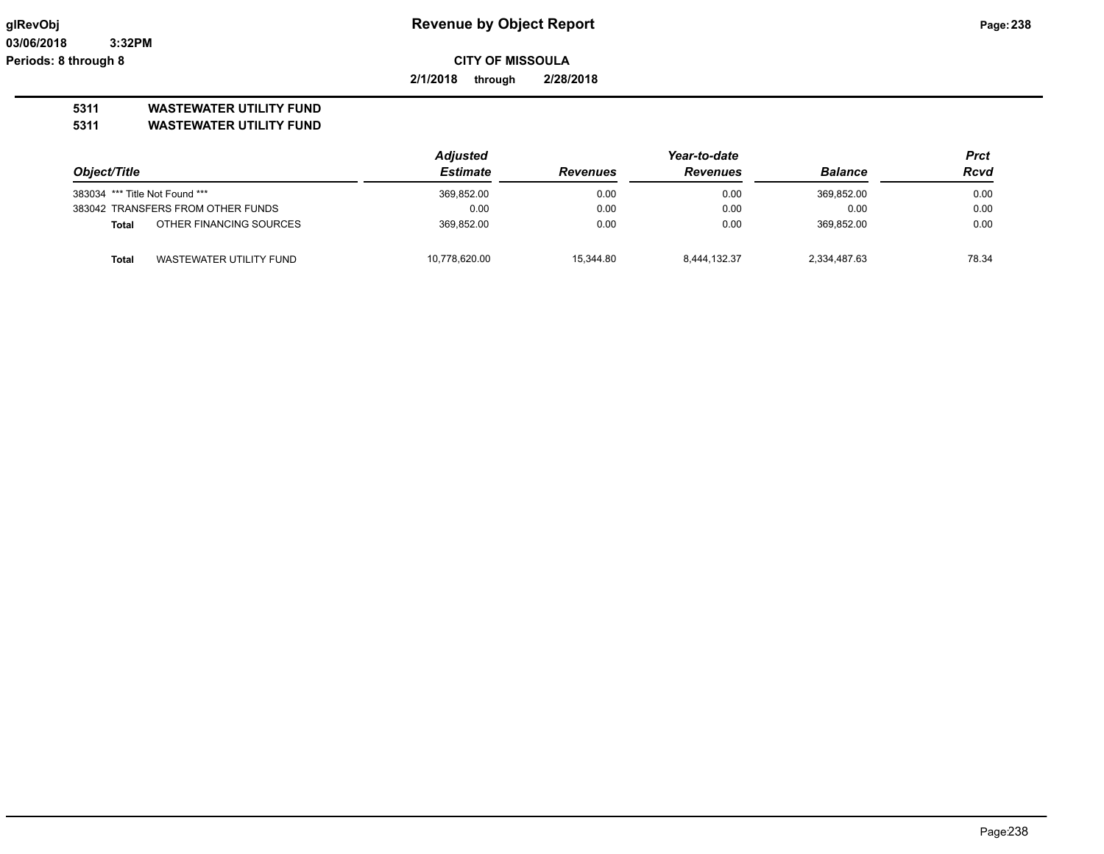**2/1/2018 through 2/28/2018**

## **5311 WASTEWATER UTILITY FUND**

|                                |                                   | <b>Adjusted</b> | Year-to-date    |                 |                | Prct        |
|--------------------------------|-----------------------------------|-----------------|-----------------|-----------------|----------------|-------------|
| Object/Title                   |                                   | Estimate        | <b>Revenues</b> | <b>Revenues</b> | <b>Balance</b> | <b>Rcvd</b> |
| 383034 *** Title Not Found *** |                                   | 369,852.00      | 0.00            | 0.00            | 369,852.00     | 0.00        |
|                                | 383042 TRANSFERS FROM OTHER FUNDS | 0.00            | 0.00            | 0.00            | 0.00           | 0.00        |
| Total                          | OTHER FINANCING SOURCES           | 369.852.00      | 0.00            | 0.00            | 369.852.00     | 0.00        |
| <b>Total</b>                   | WASTEWATER UTILITY FUND           | 10,778,620.00   | 15.344.80       | 8.444.132.37    | 2,334,487.63   | 78.34       |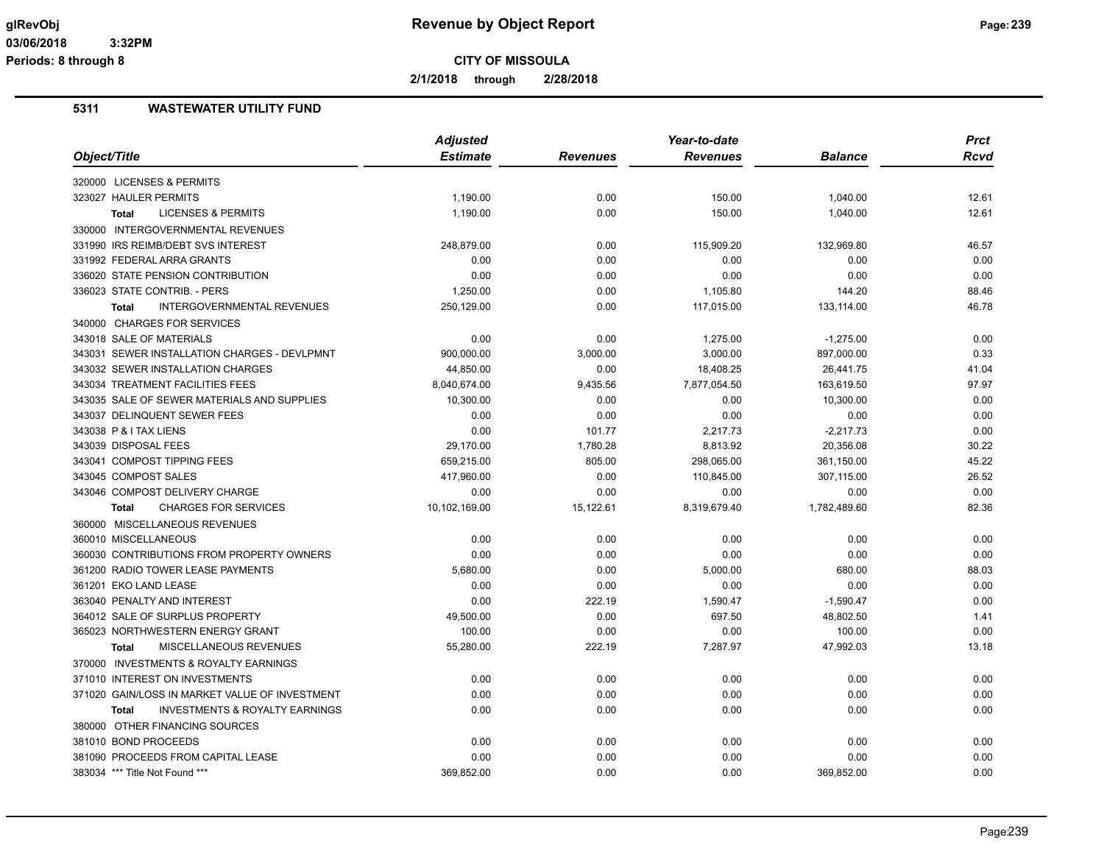**2/1/2018 through 2/28/2018**

|                                                    | <b>Adjusted</b> |                 | Year-to-date    |                | <b>Prct</b> |
|----------------------------------------------------|-----------------|-----------------|-----------------|----------------|-------------|
| Object/Title                                       | <b>Estimate</b> | <b>Revenues</b> | <b>Revenues</b> | <b>Balance</b> | Rcvd        |
| 320000 LICENSES & PERMITS                          |                 |                 |                 |                |             |
| 323027 HAULER PERMITS                              | 1,190.00        | 0.00            | 150.00          | 1,040.00       | 12.61       |
| <b>LICENSES &amp; PERMITS</b><br><b>Total</b>      | 1,190.00        | 0.00            | 150.00          | 1,040.00       | 12.61       |
| 330000 INTERGOVERNMENTAL REVENUES                  |                 |                 |                 |                |             |
| 331990 IRS REIMB/DEBT SVS INTEREST                 | 248,879.00      | 0.00            | 115,909.20      | 132,969.80     | 46.57       |
| 331992 FEDERAL ARRA GRANTS                         | 0.00            | 0.00            | 0.00            | 0.00           | 0.00        |
| 336020 STATE PENSION CONTRIBUTION                  | 0.00            | 0.00            | 0.00            | 0.00           | 0.00        |
| 336023 STATE CONTRIB. - PERS                       | 1,250.00        | 0.00            | 1,105.80        | 144.20         | 88.46       |
| <b>INTERGOVERNMENTAL REVENUES</b><br><b>Total</b>  | 250,129.00      | 0.00            | 117,015.00      | 133,114.00     | 46.78       |
| 340000 CHARGES FOR SERVICES                        |                 |                 |                 |                |             |
| 343018 SALE OF MATERIALS                           | 0.00            | 0.00            | 1,275.00        | $-1,275.00$    | 0.00        |
| 343031 SEWER INSTALLATION CHARGES - DEVLPMNT       | 900,000.00      | 3,000.00        | 3,000.00        | 897,000.00     | 0.33        |
| 343032 SEWER INSTALLATION CHARGES                  | 44,850.00       | 0.00            | 18,408.25       | 26,441.75      | 41.04       |
| 343034 TREATMENT FACILITIES FEES                   | 8,040,674.00    | 9,435.56        | 7,877,054.50    | 163,619.50     | 97.97       |
| 343035 SALE OF SEWER MATERIALS AND SUPPLIES        | 10,300.00       | 0.00            | 0.00            | 10,300.00      | 0.00        |
| 343037 DELINQUENT SEWER FEES                       | 0.00            | 0.00            | 0.00            | 0.00           | 0.00        |
| 343038 P & I TAX LIENS                             | 0.00            | 101.77          | 2,217.73        | $-2,217.73$    | 0.00        |
| 343039 DISPOSAL FEES                               | 29,170.00       | 1,780.28        | 8,813.92        | 20,356.08      | 30.22       |
| 343041 COMPOST TIPPING FEES                        | 659,215.00      | 805.00          | 298,065.00      | 361,150.00     | 45.22       |
| 343045 COMPOST SALES                               | 417,960.00      | 0.00            | 110,845.00      | 307,115.00     | 26.52       |
| 343046 COMPOST DELIVERY CHARGE                     | 0.00            | 0.00            | 0.00            | 0.00           | 0.00        |
| <b>CHARGES FOR SERVICES</b><br><b>Total</b>        | 10,102,169.00   | 15,122.61       | 8,319,679.40    | 1,782,489.60   | 82.36       |
| 360000 MISCELLANEOUS REVENUES                      |                 |                 |                 |                |             |
| 360010 MISCELLANEOUS                               | 0.00            | 0.00            | 0.00            | 0.00           | 0.00        |
| 360030 CONTRIBUTIONS FROM PROPERTY OWNERS          | 0.00            | 0.00            | 0.00            | 0.00           | 0.00        |
| 361200 RADIO TOWER LEASE PAYMENTS                  | 5,680.00        | 0.00            | 5,000.00        | 680.00         | 88.03       |
| 361201 EKO LAND LEASE                              | 0.00            | 0.00            | 0.00            | 0.00           | 0.00        |
| 363040 PENALTY AND INTEREST                        | 0.00            | 222.19          | 1,590.47        | $-1,590.47$    | 0.00        |
| 364012 SALE OF SURPLUS PROPERTY                    | 49,500.00       | 0.00            | 697.50          | 48,802.50      | 1.41        |
| 365023 NORTHWESTERN ENERGY GRANT                   | 100.00          | 0.00            | 0.00            | 100.00         | 0.00        |
| <b>MISCELLANEOUS REVENUES</b><br><b>Total</b>      | 55,280.00       | 222.19          | 7,287.97        | 47,992.03      | 13.18       |
| 370000 INVESTMENTS & ROYALTY EARNINGS              |                 |                 |                 |                |             |
| 371010 INTEREST ON INVESTMENTS                     | 0.00            | 0.00            | 0.00            | 0.00           | 0.00        |
| 371020 GAIN/LOSS IN MARKET VALUE OF INVESTMENT     | 0.00            | 0.00            | 0.00            | 0.00           | 0.00        |
| <b>INVESTMENTS &amp; ROYALTY EARNINGS</b><br>Total | 0.00            | 0.00            | 0.00            | 0.00           | 0.00        |
| 380000 OTHER FINANCING SOURCES                     |                 |                 |                 |                |             |
| 381010 BOND PROCEEDS                               |                 |                 |                 |                |             |
| 381090 PROCEEDS FROM CAPITAL LEASE                 | 0.00            | 0.00            | 0.00            | 0.00           | 0.00        |
|                                                    | 0.00            | 0.00            | 0.00            | 0.00           | 0.00        |
| 383034 *** Title Not Found ***                     | 369.852.00      | 0.00            | 0.00            | 369,852.00     | 0.00        |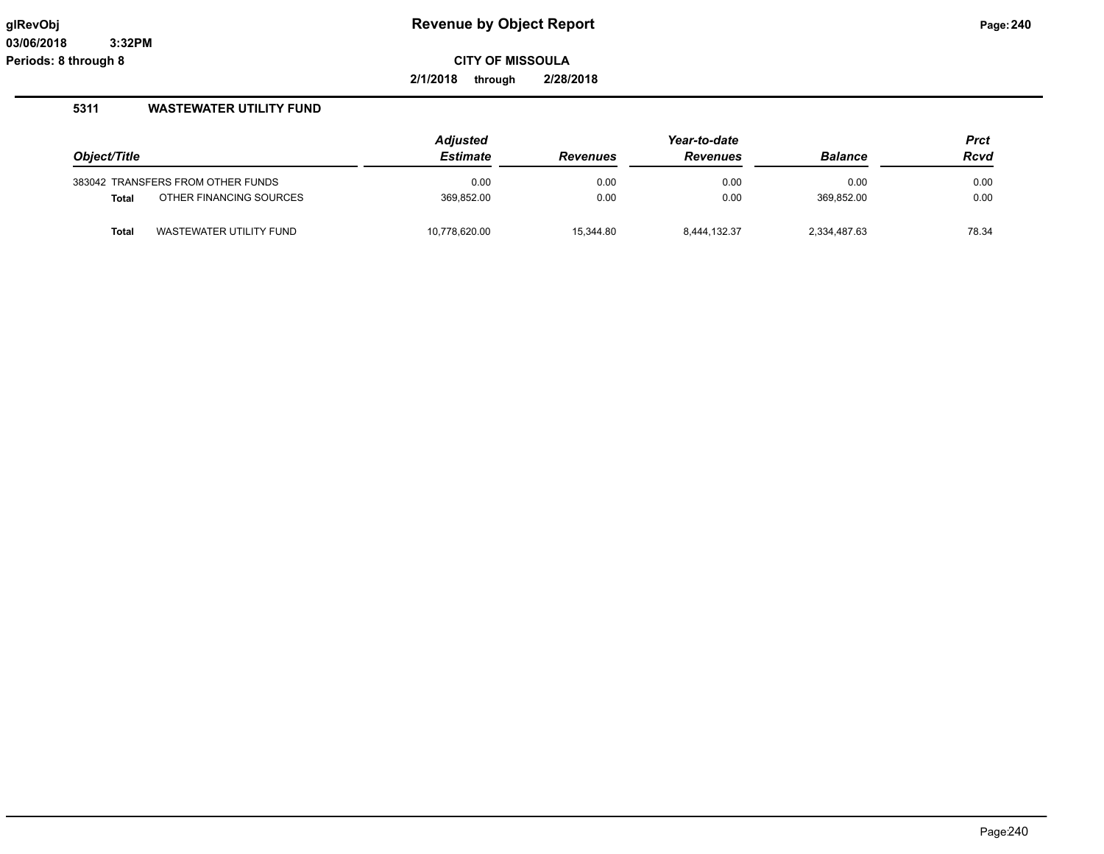**2/1/2018 through 2/28/2018**

|              |                                   | <b>Adjusted</b> |                 | Year-to-date    |                | <b>Prct</b> |
|--------------|-----------------------------------|-----------------|-----------------|-----------------|----------------|-------------|
| Object/Title |                                   | <b>Estimate</b> | <b>Revenues</b> | <b>Revenues</b> | <b>Balance</b> | Rcvd        |
|              | 383042 TRANSFERS FROM OTHER FUNDS | 0.00            | 0.00            | 0.00            | 0.00           | 0.00        |
| <b>Total</b> | OTHER FINANCING SOURCES           | 369.852.00      | 0.00            | 0.00            | 369.852.00     | 0.00        |
| <b>Total</b> | WASTEWATER UTILITY FUND           | 10,778,620.00   | 15.344.80       | 8,444,132.37    | 2,334,487.63   | 78.34       |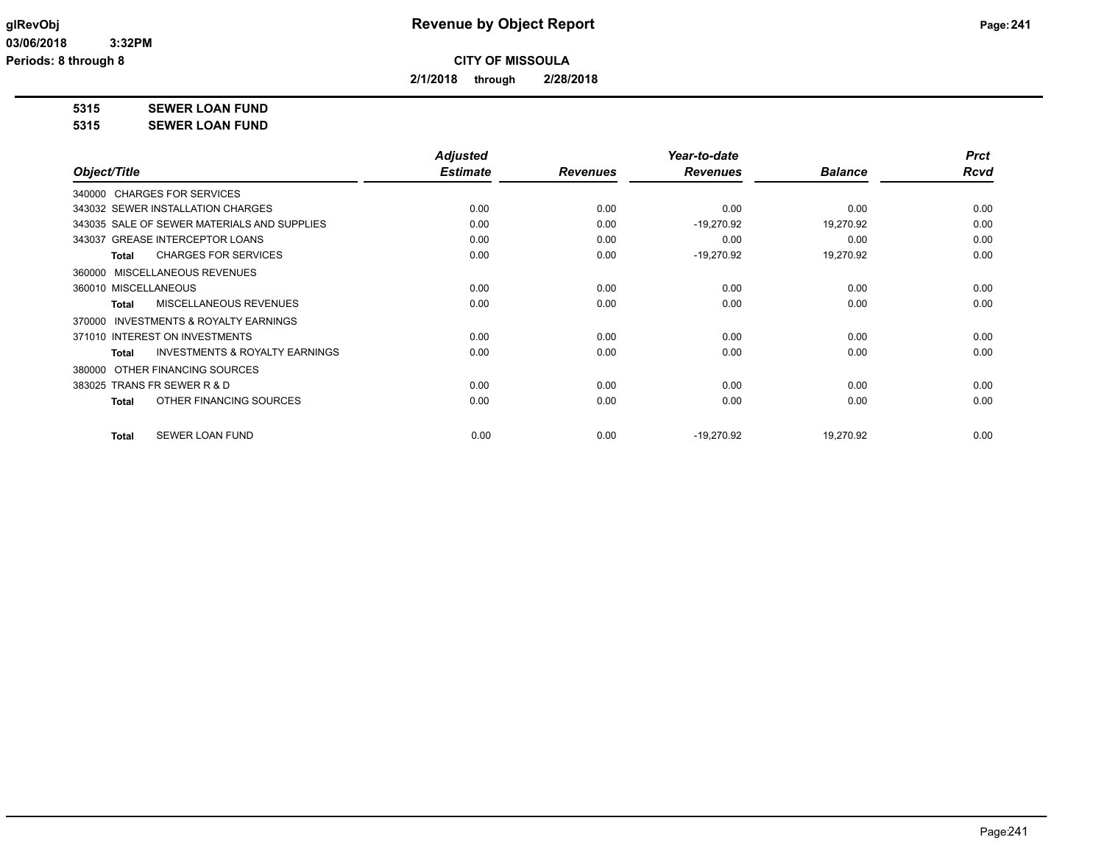**2/1/2018 through 2/28/2018**

**5315 SEWER LOAN FUND**

**5315 SEWER LOAN FUND**

|                                                     | <b>Adjusted</b> |                 | Year-to-date    |                | <b>Prct</b> |
|-----------------------------------------------------|-----------------|-----------------|-----------------|----------------|-------------|
| Object/Title                                        | <b>Estimate</b> | <b>Revenues</b> | <b>Revenues</b> | <b>Balance</b> | <b>Rcvd</b> |
| 340000 CHARGES FOR SERVICES                         |                 |                 |                 |                |             |
| 343032 SEWER INSTALLATION CHARGES                   | 0.00            | 0.00            | 0.00            | 0.00           | 0.00        |
| 343035 SALE OF SEWER MATERIALS AND SUPPLIES         | 0.00            | 0.00            | $-19,270.92$    | 19,270.92      | 0.00        |
| 343037 GREASE INTERCEPTOR LOANS                     | 0.00            | 0.00            | 0.00            | 0.00           | 0.00        |
| <b>CHARGES FOR SERVICES</b><br><b>Total</b>         | 0.00            | 0.00            | $-19,270.92$    | 19,270.92      | 0.00        |
| MISCELLANEOUS REVENUES<br>360000                    |                 |                 |                 |                |             |
| 360010 MISCELLANEOUS                                | 0.00            | 0.00            | 0.00            | 0.00           | 0.00        |
| <b>MISCELLANEOUS REVENUES</b><br>Total              | 0.00            | 0.00            | 0.00            | 0.00           | 0.00        |
| <b>INVESTMENTS &amp; ROYALTY EARNINGS</b><br>370000 |                 |                 |                 |                |             |
| 371010 INTEREST ON INVESTMENTS                      | 0.00            | 0.00            | 0.00            | 0.00           | 0.00        |
| <b>INVESTMENTS &amp; ROYALTY EARNINGS</b><br>Total  | 0.00            | 0.00            | 0.00            | 0.00           | 0.00        |
| OTHER FINANCING SOURCES<br>380000                   |                 |                 |                 |                |             |
| 383025 TRANS FR SEWER R & D                         | 0.00            | 0.00            | 0.00            | 0.00           | 0.00        |
| OTHER FINANCING SOURCES<br>Total                    | 0.00            | 0.00            | 0.00            | 0.00           | 0.00        |
| <b>SEWER LOAN FUND</b><br><b>Total</b>              | 0.00            | 0.00            | $-19.270.92$    | 19,270.92      | 0.00        |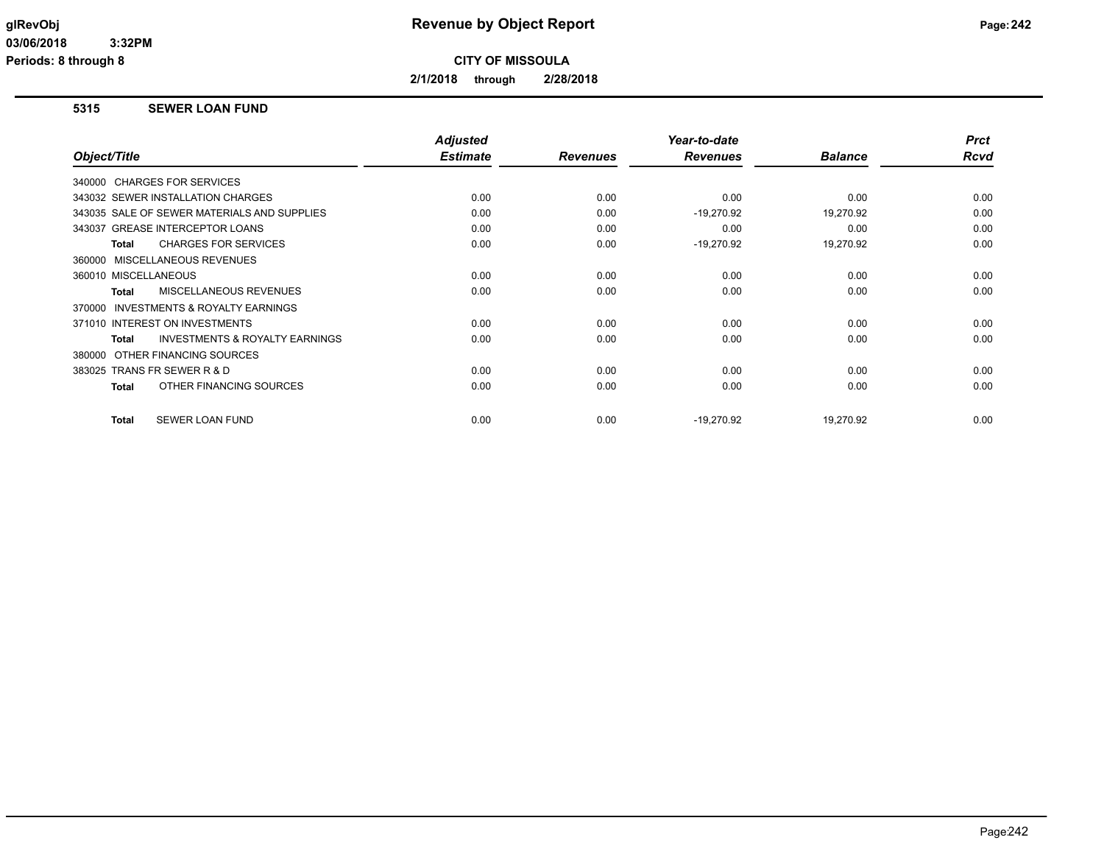**2/1/2018 through 2/28/2018**

### **5315 SEWER LOAN FUND**

|                                                           | <b>Adjusted</b> |                 | Year-to-date    |                | <b>Prct</b> |
|-----------------------------------------------------------|-----------------|-----------------|-----------------|----------------|-------------|
| Object/Title                                              | <b>Estimate</b> | <b>Revenues</b> | <b>Revenues</b> | <b>Balance</b> | <b>Rcvd</b> |
| 340000 CHARGES FOR SERVICES                               |                 |                 |                 |                |             |
| 343032 SEWER INSTALLATION CHARGES                         | 0.00            | 0.00            | 0.00            | 0.00           | 0.00        |
| 343035 SALE OF SEWER MATERIALS AND SUPPLIES               | 0.00            | 0.00            | $-19,270.92$    | 19,270.92      | 0.00        |
| 343037 GREASE INTERCEPTOR LOANS                           | 0.00            | 0.00            | 0.00            | 0.00           | 0.00        |
| <b>CHARGES FOR SERVICES</b><br><b>Total</b>               | 0.00            | 0.00            | $-19,270.92$    | 19,270.92      | 0.00        |
| 360000 MISCELLANEOUS REVENUES                             |                 |                 |                 |                |             |
| 360010 MISCELLANEOUS                                      | 0.00            | 0.00            | 0.00            | 0.00           | 0.00        |
| MISCELLANEOUS REVENUES<br><b>Total</b>                    | 0.00            | 0.00            | 0.00            | 0.00           | 0.00        |
| INVESTMENTS & ROYALTY EARNINGS<br>370000                  |                 |                 |                 |                |             |
| 371010 INTEREST ON INVESTMENTS                            | 0.00            | 0.00            | 0.00            | 0.00           | 0.00        |
| <b>INVESTMENTS &amp; ROYALTY EARNINGS</b><br><b>Total</b> | 0.00            | 0.00            | 0.00            | 0.00           | 0.00        |
| OTHER FINANCING SOURCES<br>380000                         |                 |                 |                 |                |             |
| 383025 TRANS FR SEWER R & D                               | 0.00            | 0.00            | 0.00            | 0.00           | 0.00        |
| OTHER FINANCING SOURCES<br><b>Total</b>                   | 0.00            | 0.00            | 0.00            | 0.00           | 0.00        |
|                                                           |                 |                 |                 |                |             |
| <b>SEWER LOAN FUND</b><br><b>Total</b>                    | 0.00            | 0.00            | $-19,270.92$    | 19.270.92      | 0.00        |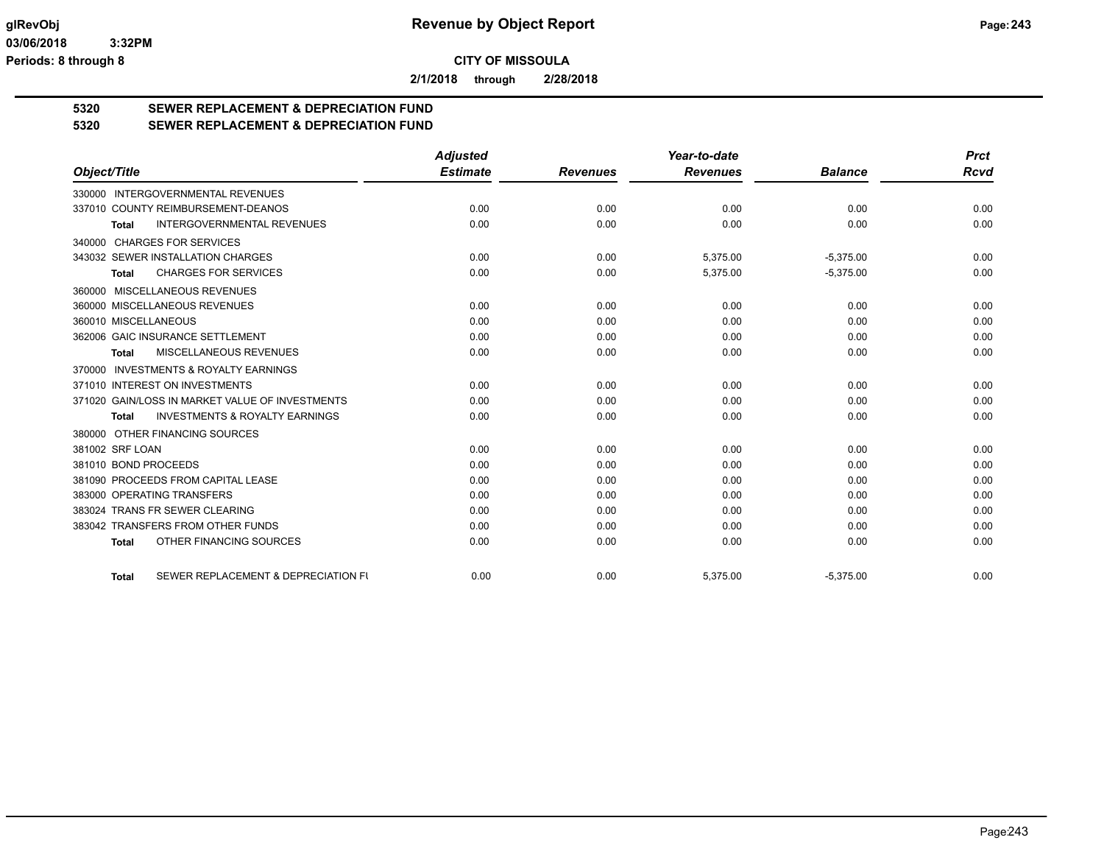**2/1/2018 through 2/28/2018**

# **5320 SEWER REPLACEMENT & DEPRECIATION FUND**

## **5320 SEWER REPLACEMENT & DEPRECIATION FUND**

|                                                           | <b>Adjusted</b> |                 | Year-to-date    |                | <b>Prct</b> |
|-----------------------------------------------------------|-----------------|-----------------|-----------------|----------------|-------------|
| Object/Title                                              | <b>Estimate</b> | <b>Revenues</b> | <b>Revenues</b> | <b>Balance</b> | <b>Rcvd</b> |
| 330000 INTERGOVERNMENTAL REVENUES                         |                 |                 |                 |                |             |
| 337010 COUNTY REIMBURSEMENT-DEANOS                        | 0.00            | 0.00            | 0.00            | 0.00           | 0.00        |
| <b>INTERGOVERNMENTAL REVENUES</b><br><b>Total</b>         | 0.00            | 0.00            | 0.00            | 0.00           | 0.00        |
| 340000 CHARGES FOR SERVICES                               |                 |                 |                 |                |             |
| 343032 SEWER INSTALLATION CHARGES                         | 0.00            | 0.00            | 5,375.00        | $-5,375.00$    | 0.00        |
| <b>CHARGES FOR SERVICES</b><br><b>Total</b>               | 0.00            | 0.00            | 5,375.00        | $-5,375.00$    | 0.00        |
| 360000 MISCELLANEOUS REVENUES                             |                 |                 |                 |                |             |
| 360000 MISCELLANEOUS REVENUES                             | 0.00            | 0.00            | 0.00            | 0.00           | 0.00        |
| 360010 MISCELLANEOUS                                      | 0.00            | 0.00            | 0.00            | 0.00           | 0.00        |
| 362006 GAIC INSURANCE SETTLEMENT                          | 0.00            | 0.00            | 0.00            | 0.00           | 0.00        |
| MISCELLANEOUS REVENUES<br><b>Total</b>                    | 0.00            | 0.00            | 0.00            | 0.00           | 0.00        |
| <b>INVESTMENTS &amp; ROYALTY EARNINGS</b><br>370000       |                 |                 |                 |                |             |
| 371010 INTEREST ON INVESTMENTS                            | 0.00            | 0.00            | 0.00            | 0.00           | 0.00        |
| 371020 GAIN/LOSS IN MARKET VALUE OF INVESTMENTS           | 0.00            | 0.00            | 0.00            | 0.00           | 0.00        |
| <b>INVESTMENTS &amp; ROYALTY EARNINGS</b><br><b>Total</b> | 0.00            | 0.00            | 0.00            | 0.00           | 0.00        |
| 380000 OTHER FINANCING SOURCES                            |                 |                 |                 |                |             |
| 381002 SRF LOAN                                           | 0.00            | 0.00            | 0.00            | 0.00           | 0.00        |
| 381010 BOND PROCEEDS                                      | 0.00            | 0.00            | 0.00            | 0.00           | 0.00        |
| 381090 PROCEEDS FROM CAPITAL LEASE                        | 0.00            | 0.00            | 0.00            | 0.00           | 0.00        |
| 383000 OPERATING TRANSFERS                                | 0.00            | 0.00            | 0.00            | 0.00           | 0.00        |
| 383024 TRANS FR SEWER CLEARING                            | 0.00            | 0.00            | 0.00            | 0.00           | 0.00        |
| 383042 TRANSFERS FROM OTHER FUNDS                         | 0.00            | 0.00            | 0.00            | 0.00           | 0.00        |
| OTHER FINANCING SOURCES<br><b>Total</b>                   | 0.00            | 0.00            | 0.00            | 0.00           | 0.00        |
| SEWER REPLACEMENT & DEPRECIATION FU<br><b>Total</b>       | 0.00            | 0.00            | 5,375.00        | $-5,375.00$    | 0.00        |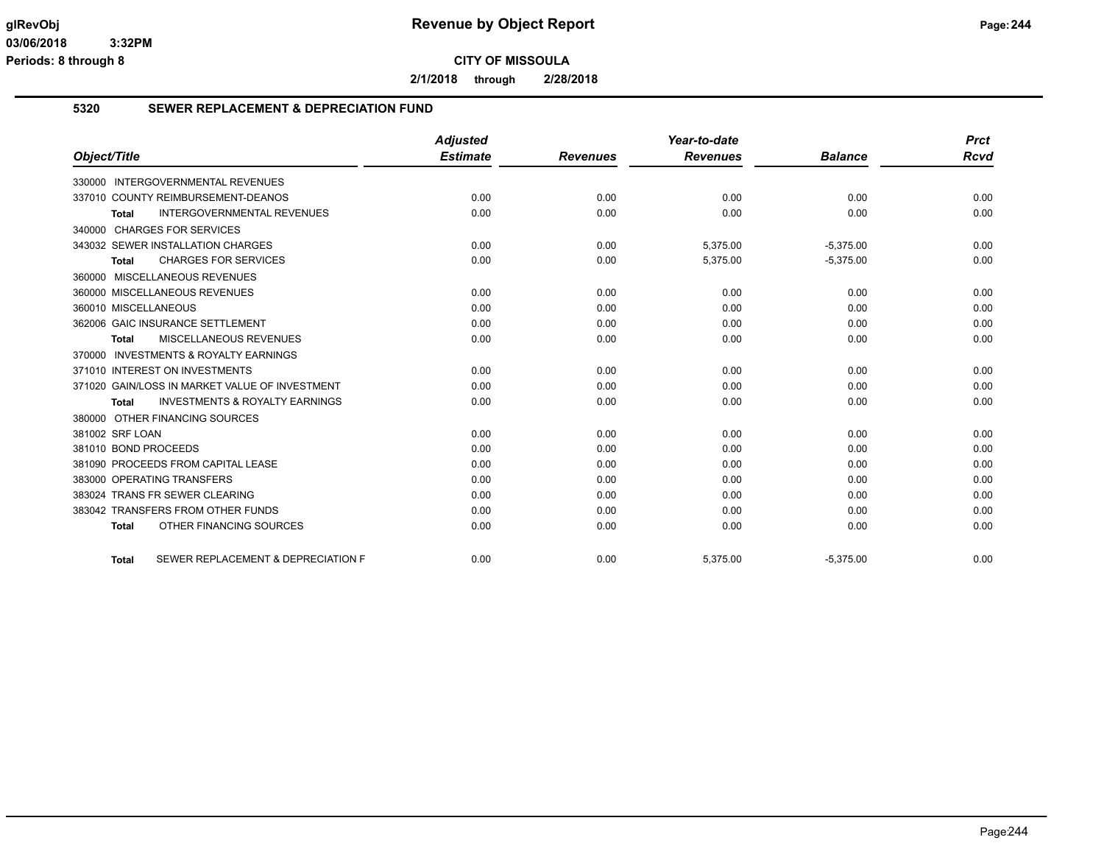**2/1/2018 through 2/28/2018**

## **5320 SEWER REPLACEMENT & DEPRECIATION FUND**

|                                                           | <b>Adjusted</b> |                 | Year-to-date    |                | <b>Prct</b> |
|-----------------------------------------------------------|-----------------|-----------------|-----------------|----------------|-------------|
| Object/Title                                              | <b>Estimate</b> | <b>Revenues</b> | <b>Revenues</b> | <b>Balance</b> | Rcvd        |
| <b>INTERGOVERNMENTAL REVENUES</b><br>330000               |                 |                 |                 |                |             |
| 337010 COUNTY REIMBURSEMENT-DEANOS                        | 0.00            | 0.00            | 0.00            | 0.00           | 0.00        |
| <b>INTERGOVERNMENTAL REVENUES</b><br><b>Total</b>         | 0.00            | 0.00            | 0.00            | 0.00           | 0.00        |
| 340000 CHARGES FOR SERVICES                               |                 |                 |                 |                |             |
| 343032 SEWER INSTALLATION CHARGES                         | 0.00            | 0.00            | 5,375.00        | $-5,375.00$    | 0.00        |
| <b>CHARGES FOR SERVICES</b><br><b>Total</b>               | 0.00            | 0.00            | 5,375.00        | $-5,375.00$    | 0.00        |
| 360000 MISCELLANEOUS REVENUES                             |                 |                 |                 |                |             |
| 360000 MISCELLANEOUS REVENUES                             | 0.00            | 0.00            | 0.00            | 0.00           | 0.00        |
| 360010 MISCELLANEOUS                                      | 0.00            | 0.00            | 0.00            | 0.00           | 0.00        |
| 362006 GAIC INSURANCE SETTLEMENT                          | 0.00            | 0.00            | 0.00            | 0.00           | 0.00        |
| <b>MISCELLANEOUS REVENUES</b><br><b>Total</b>             | 0.00            | 0.00            | 0.00            | 0.00           | 0.00        |
| 370000 INVESTMENTS & ROYALTY EARNINGS                     |                 |                 |                 |                |             |
| 371010 INTEREST ON INVESTMENTS                            | 0.00            | 0.00            | 0.00            | 0.00           | 0.00        |
| 371020 GAIN/LOSS IN MARKET VALUE OF INVESTMENT            | 0.00            | 0.00            | 0.00            | 0.00           | 0.00        |
| <b>INVESTMENTS &amp; ROYALTY EARNINGS</b><br><b>Total</b> | 0.00            | 0.00            | 0.00            | 0.00           | 0.00        |
| 380000 OTHER FINANCING SOURCES                            |                 |                 |                 |                |             |
| 381002 SRF LOAN                                           | 0.00            | 0.00            | 0.00            | 0.00           | 0.00        |
| 381010 BOND PROCEEDS                                      | 0.00            | 0.00            | 0.00            | 0.00           | 0.00        |
| 381090 PROCEEDS FROM CAPITAL LEASE                        | 0.00            | 0.00            | 0.00            | 0.00           | 0.00        |
| 383000 OPERATING TRANSFERS                                | 0.00            | 0.00            | 0.00            | 0.00           | 0.00        |
| 383024 TRANS FR SEWER CLEARING                            | 0.00            | 0.00            | 0.00            | 0.00           | 0.00        |
| 383042 TRANSFERS FROM OTHER FUNDS                         | 0.00            | 0.00            | 0.00            | 0.00           | 0.00        |
| OTHER FINANCING SOURCES<br><b>Total</b>                   | 0.00            | 0.00            | 0.00            | 0.00           | 0.00        |
| SEWER REPLACEMENT & DEPRECIATION F<br><b>Total</b>        | 0.00            | 0.00            | 5,375.00        | $-5,375.00$    | 0.00        |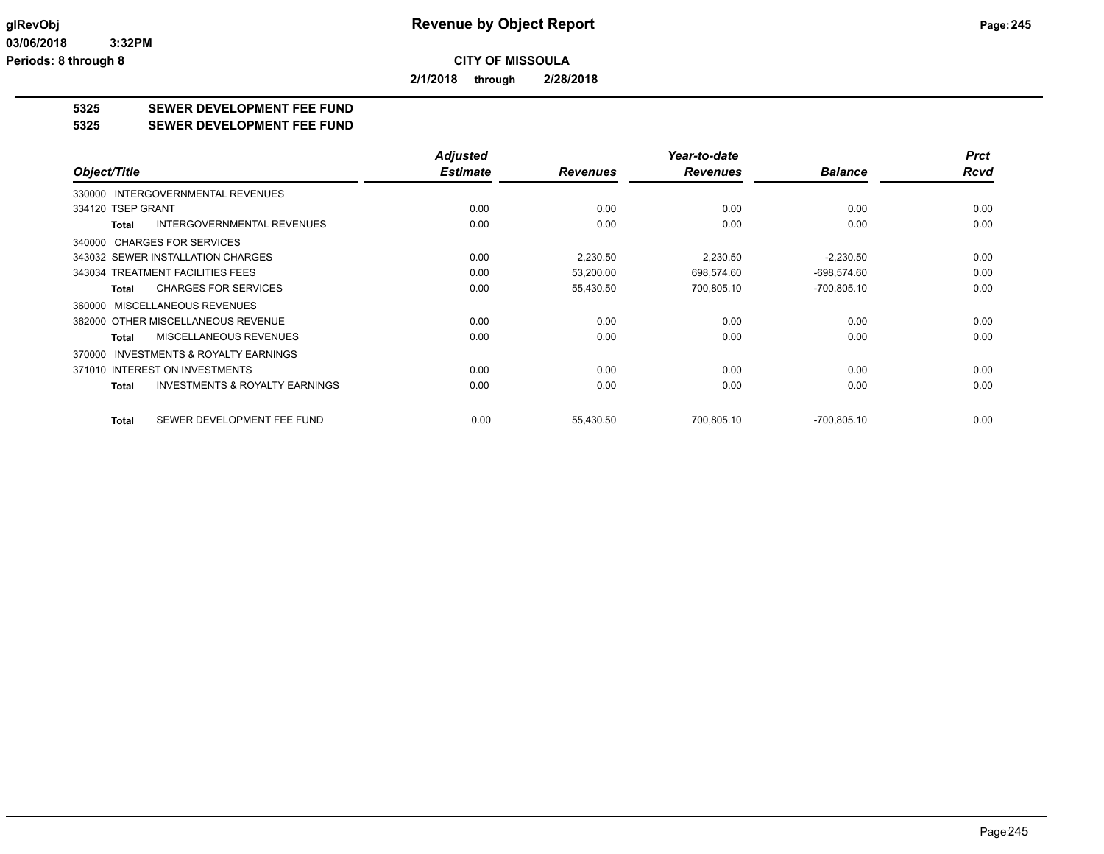**2/1/2018 through 2/28/2018**

## **5325 SEWER DEVELOPMENT FEE FUND**

#### **5325 SEWER DEVELOPMENT FEE FUND**

|                                                           | <b>Adjusted</b> |                 | Year-to-date    |                | <b>Prct</b> |
|-----------------------------------------------------------|-----------------|-----------------|-----------------|----------------|-------------|
| Object/Title                                              | <b>Estimate</b> | <b>Revenues</b> | <b>Revenues</b> | <b>Balance</b> | <b>Rcvd</b> |
| 330000 INTERGOVERNMENTAL REVENUES                         |                 |                 |                 |                |             |
| 334120 TSEP GRANT                                         | 0.00            | 0.00            | 0.00            | 0.00           | 0.00        |
| <b>INTERGOVERNMENTAL REVENUES</b><br><b>Total</b>         | 0.00            | 0.00            | 0.00            | 0.00           | 0.00        |
| 340000 CHARGES FOR SERVICES                               |                 |                 |                 |                |             |
| 343032 SEWER INSTALLATION CHARGES                         | 0.00            | 2,230.50        | 2,230.50        | $-2,230.50$    | 0.00        |
| 343034 TREATMENT FACILITIES FEES                          | 0.00            | 53,200.00       | 698,574.60      | $-698,574.60$  | 0.00        |
| <b>CHARGES FOR SERVICES</b><br><b>Total</b>               | 0.00            | 55,430.50       | 700,805.10      | $-700,805.10$  | 0.00        |
| MISCELLANEOUS REVENUES<br>360000                          |                 |                 |                 |                |             |
| 362000 OTHER MISCELLANEOUS REVENUE                        | 0.00            | 0.00            | 0.00            | 0.00           | 0.00        |
| MISCELLANEOUS REVENUES<br><b>Total</b>                    | 0.00            | 0.00            | 0.00            | 0.00           | 0.00        |
| <b>INVESTMENTS &amp; ROYALTY EARNINGS</b><br>370000       |                 |                 |                 |                |             |
| 371010 INTEREST ON INVESTMENTS                            | 0.00            | 0.00            | 0.00            | 0.00           | 0.00        |
| <b>INVESTMENTS &amp; ROYALTY EARNINGS</b><br><b>Total</b> | 0.00            | 0.00            | 0.00            | 0.00           | 0.00        |
|                                                           |                 |                 |                 |                |             |
| SEWER DEVELOPMENT FEE FUND<br><b>Total</b>                | 0.00            | 55,430.50       | 700,805.10      | $-700,805.10$  | 0.00        |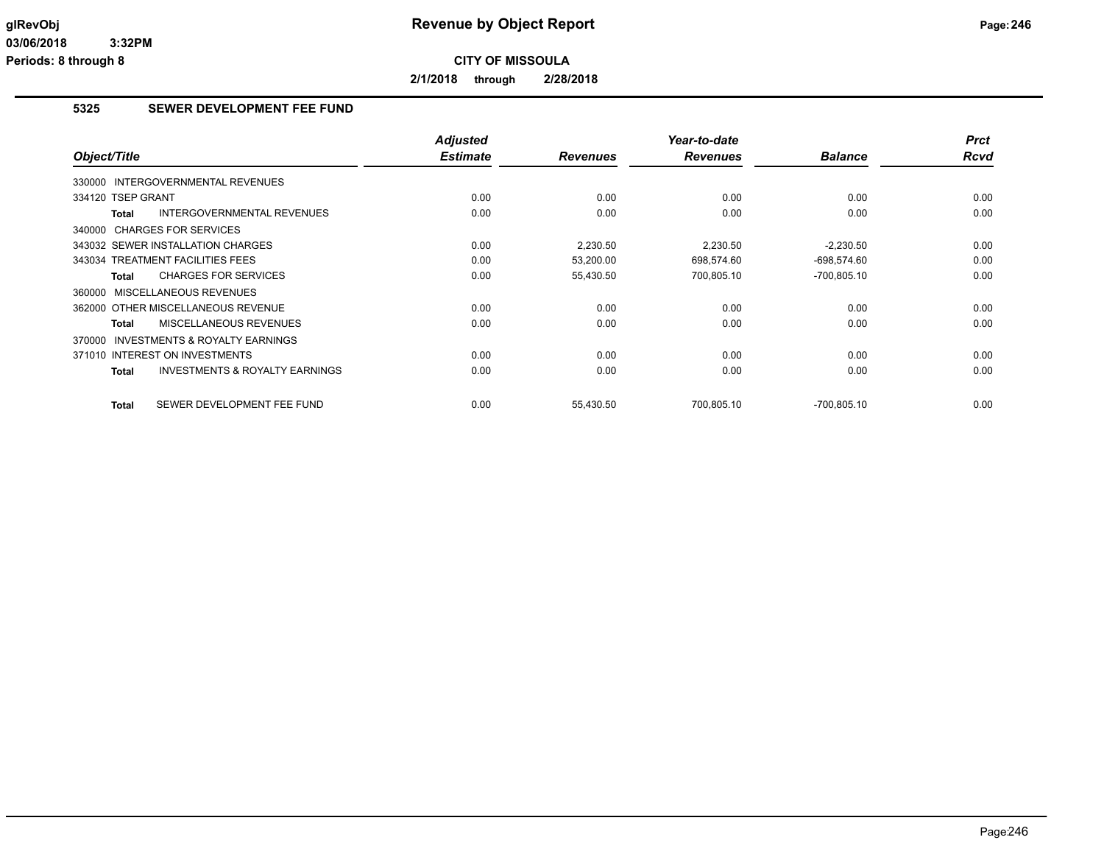**2/1/2018 through 2/28/2018**

## **5325 SEWER DEVELOPMENT FEE FUND**

| Object/Title                                              | <b>Adjusted</b><br><b>Estimate</b> | <b>Revenues</b> | Year-to-date<br><b>Revenues</b> | <b>Balance</b> | <b>Prct</b><br><b>Rcvd</b> |
|-----------------------------------------------------------|------------------------------------|-----------------|---------------------------------|----------------|----------------------------|
| 330000 INTERGOVERNMENTAL REVENUES                         |                                    |                 |                                 |                |                            |
| 334120 TSEP GRANT                                         | 0.00                               | 0.00            | 0.00                            | 0.00           | 0.00                       |
| <b>INTERGOVERNMENTAL REVENUES</b><br><b>Total</b>         | 0.00                               | 0.00            | 0.00                            | 0.00           | 0.00                       |
| 340000 CHARGES FOR SERVICES                               |                                    |                 |                                 |                |                            |
| 343032 SEWER INSTALLATION CHARGES                         | 0.00                               | 2,230.50        | 2,230.50                        | $-2,230.50$    | 0.00                       |
| 343034 TREATMENT FACILITIES FEES                          | 0.00                               | 53,200.00       | 698,574.60                      | $-698,574.60$  | 0.00                       |
| <b>CHARGES FOR SERVICES</b><br><b>Total</b>               | 0.00                               | 55,430.50       | 700,805.10                      | $-700,805.10$  | 0.00                       |
| 360000 MISCELLANEOUS REVENUES                             |                                    |                 |                                 |                |                            |
| 362000 OTHER MISCELLANEOUS REVENUE                        | 0.00                               | 0.00            | 0.00                            | 0.00           | 0.00                       |
| MISCELLANEOUS REVENUES<br><b>Total</b>                    | 0.00                               | 0.00            | 0.00                            | 0.00           | 0.00                       |
| 370000 INVESTMENTS & ROYALTY EARNINGS                     |                                    |                 |                                 |                |                            |
| 371010 INTEREST ON INVESTMENTS                            | 0.00                               | 0.00            | 0.00                            | 0.00           | 0.00                       |
| <b>INVESTMENTS &amp; ROYALTY EARNINGS</b><br><b>Total</b> | 0.00                               | 0.00            | 0.00                            | 0.00           | 0.00                       |
| SEWER DEVELOPMENT FEE FUND<br><b>Total</b>                | 0.00                               | 55,430.50       | 700.805.10                      | $-700.805.10$  | 0.00                       |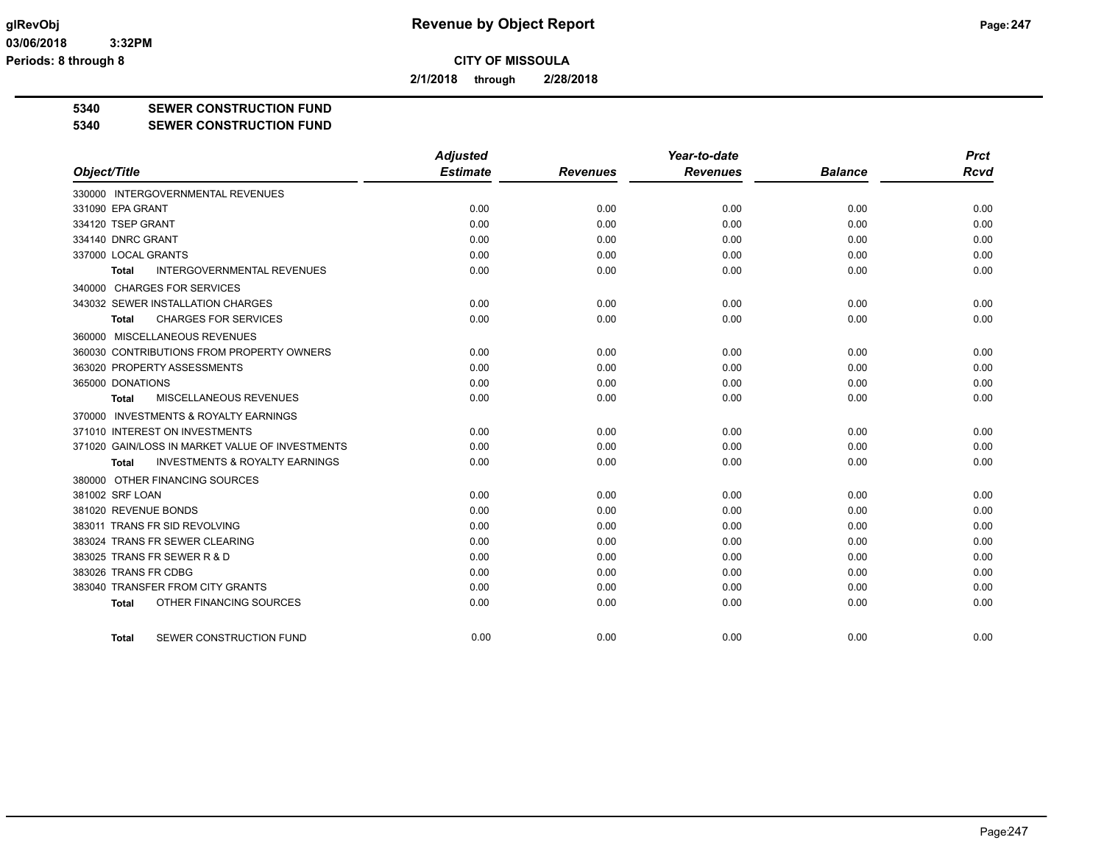**2/1/2018 through 2/28/2018**

**5340 SEWER CONSTRUCTION FUND**

**5340 SEWER CONSTRUCTION FUND**

|                                                    | <b>Adjusted</b> |                 | Year-to-date    |                | <b>Prct</b> |
|----------------------------------------------------|-----------------|-----------------|-----------------|----------------|-------------|
| Object/Title                                       | <b>Estimate</b> | <b>Revenues</b> | <b>Revenues</b> | <b>Balance</b> | <b>Rcvd</b> |
| 330000 INTERGOVERNMENTAL REVENUES                  |                 |                 |                 |                |             |
| 331090 EPA GRANT                                   | 0.00            | 0.00            | 0.00            | 0.00           | 0.00        |
| 334120 TSEP GRANT                                  | 0.00            | 0.00            | 0.00            | 0.00           | 0.00        |
| 334140 DNRC GRANT                                  | 0.00            | 0.00            | 0.00            | 0.00           | 0.00        |
| 337000 LOCAL GRANTS                                | 0.00            | 0.00            | 0.00            | 0.00           | 0.00        |
| INTERGOVERNMENTAL REVENUES<br><b>Total</b>         | 0.00            | 0.00            | 0.00            | 0.00           | 0.00        |
| 340000 CHARGES FOR SERVICES                        |                 |                 |                 |                |             |
| 343032 SEWER INSTALLATION CHARGES                  | 0.00            | 0.00            | 0.00            | 0.00           | 0.00        |
| <b>CHARGES FOR SERVICES</b><br>Total               | 0.00            | 0.00            | 0.00            | 0.00           | 0.00        |
| 360000 MISCELLANEOUS REVENUES                      |                 |                 |                 |                |             |
| 360030 CONTRIBUTIONS FROM PROPERTY OWNERS          | 0.00            | 0.00            | 0.00            | 0.00           | 0.00        |
| 363020 PROPERTY ASSESSMENTS                        | 0.00            | 0.00            | 0.00            | 0.00           | 0.00        |
| 365000 DONATIONS                                   | 0.00            | 0.00            | 0.00            | 0.00           | 0.00        |
| <b>MISCELLANEOUS REVENUES</b><br>Total             | 0.00            | 0.00            | 0.00            | 0.00           | 0.00        |
| 370000 INVESTMENTS & ROYALTY EARNINGS              |                 |                 |                 |                |             |
| 371010 INTEREST ON INVESTMENTS                     | 0.00            | 0.00            | 0.00            | 0.00           | 0.00        |
| 371020 GAIN/LOSS IN MARKET VALUE OF INVESTMENTS    | 0.00            | 0.00            | 0.00            | 0.00           | 0.00        |
| <b>INVESTMENTS &amp; ROYALTY EARNINGS</b><br>Total | 0.00            | 0.00            | 0.00            | 0.00           | 0.00        |
| 380000 OTHER FINANCING SOURCES                     |                 |                 |                 |                |             |
| 381002 SRF LOAN                                    | 0.00            | 0.00            | 0.00            | 0.00           | 0.00        |
| 381020 REVENUE BONDS                               | 0.00            | 0.00            | 0.00            | 0.00           | 0.00        |
| 383011 TRANS FR SID REVOLVING                      | 0.00            | 0.00            | 0.00            | 0.00           | 0.00        |
| 383024 TRANS FR SEWER CLEARING                     | 0.00            | 0.00            | 0.00            | 0.00           | 0.00        |
| 383025 TRANS FR SEWER R & D                        | 0.00            | 0.00            | 0.00            | 0.00           | 0.00        |
| 383026 TRANS FR CDBG                               | 0.00            | 0.00            | 0.00            | 0.00           | 0.00        |
| 383040 TRANSFER FROM CITY GRANTS                   | 0.00            | 0.00            | 0.00            | 0.00           | 0.00        |
| OTHER FINANCING SOURCES<br><b>Total</b>            | 0.00            | 0.00            | 0.00            | 0.00           | 0.00        |
| SEWER CONSTRUCTION FUND<br>Total                   | 0.00            | 0.00            | 0.00            | 0.00           | 0.00        |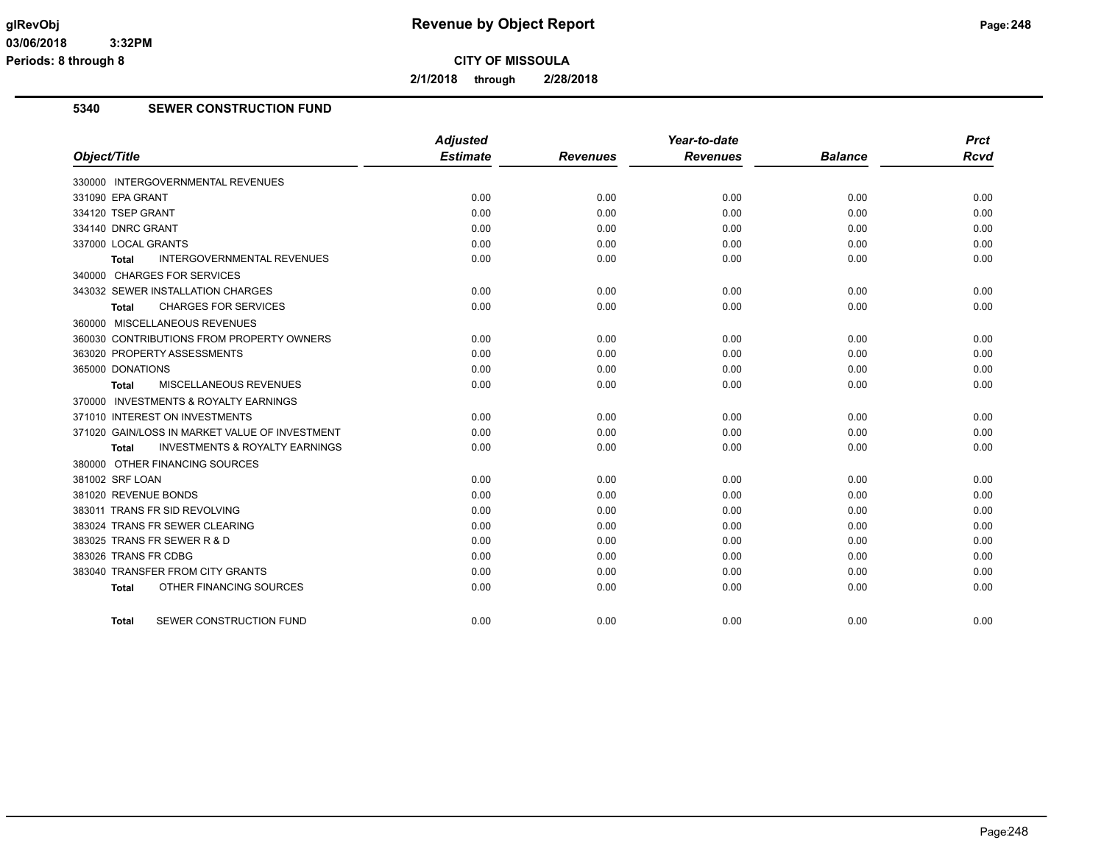**2/1/2018 through 2/28/2018**

## **5340 SEWER CONSTRUCTION FUND**

|                                                           | <b>Adjusted</b><br><b>Estimate</b> |                 | Year-to-date<br><b>Revenues</b> |                | <b>Prct</b> |
|-----------------------------------------------------------|------------------------------------|-----------------|---------------------------------|----------------|-------------|
| Object/Title                                              |                                    | <b>Revenues</b> |                                 | <b>Balance</b> | Rcvd        |
| 330000 INTERGOVERNMENTAL REVENUES                         |                                    |                 |                                 |                |             |
| 331090 EPA GRANT                                          | 0.00                               | 0.00            | 0.00                            | 0.00           | 0.00        |
| 334120 TSEP GRANT                                         | 0.00                               | 0.00            | 0.00                            | 0.00           | 0.00        |
| 334140 DNRC GRANT                                         | 0.00                               | 0.00            | 0.00                            | 0.00           | 0.00        |
| 337000 LOCAL GRANTS                                       | 0.00                               | 0.00            | 0.00                            | 0.00           | 0.00        |
| <b>INTERGOVERNMENTAL REVENUES</b><br>Total                | 0.00                               | 0.00            | 0.00                            | 0.00           | 0.00        |
| 340000 CHARGES FOR SERVICES                               |                                    |                 |                                 |                |             |
| 343032 SEWER INSTALLATION CHARGES                         | 0.00                               | 0.00            | 0.00                            | 0.00           | 0.00        |
| <b>CHARGES FOR SERVICES</b><br><b>Total</b>               | 0.00                               | 0.00            | 0.00                            | 0.00           | 0.00        |
| 360000 MISCELLANEOUS REVENUES                             |                                    |                 |                                 |                |             |
| 360030 CONTRIBUTIONS FROM PROPERTY OWNERS                 | 0.00                               | 0.00            | 0.00                            | 0.00           | 0.00        |
| 363020 PROPERTY ASSESSMENTS                               | 0.00                               | 0.00            | 0.00                            | 0.00           | 0.00        |
| 365000 DONATIONS                                          | 0.00                               | 0.00            | 0.00                            | 0.00           | 0.00        |
| MISCELLANEOUS REVENUES<br>Total                           | 0.00                               | 0.00            | 0.00                            | 0.00           | 0.00        |
| 370000 INVESTMENTS & ROYALTY EARNINGS                     |                                    |                 |                                 |                |             |
| 371010 INTEREST ON INVESTMENTS                            | 0.00                               | 0.00            | 0.00                            | 0.00           | 0.00        |
| 371020 GAIN/LOSS IN MARKET VALUE OF INVESTMENT            | 0.00                               | 0.00            | 0.00                            | 0.00           | 0.00        |
| <b>INVESTMENTS &amp; ROYALTY EARNINGS</b><br><b>Total</b> | 0.00                               | 0.00            | 0.00                            | 0.00           | 0.00        |
| 380000 OTHER FINANCING SOURCES                            |                                    |                 |                                 |                |             |
| 381002 SRF LOAN                                           | 0.00                               | 0.00            | 0.00                            | 0.00           | 0.00        |
| 381020 REVENUE BONDS                                      | 0.00                               | 0.00            | 0.00                            | 0.00           | 0.00        |
| 383011 TRANS FR SID REVOLVING                             | 0.00                               | 0.00            | 0.00                            | 0.00           | 0.00        |
| 383024 TRANS FR SEWER CLEARING                            | 0.00                               | 0.00            | 0.00                            | 0.00           | 0.00        |
| 383025 TRANS FR SEWER R & D                               | 0.00                               | 0.00            | 0.00                            | 0.00           | 0.00        |
| 383026 TRANS FR CDBG                                      | 0.00                               | 0.00            | 0.00                            | 0.00           | 0.00        |
| 383040 TRANSFER FROM CITY GRANTS                          | 0.00                               | 0.00            | 0.00                            | 0.00           | 0.00        |
| OTHER FINANCING SOURCES<br><b>Total</b>                   | 0.00                               | 0.00            | 0.00                            | 0.00           | 0.00        |
| SEWER CONSTRUCTION FUND<br><b>Total</b>                   | 0.00                               | 0.00            | 0.00                            | 0.00           | 0.00        |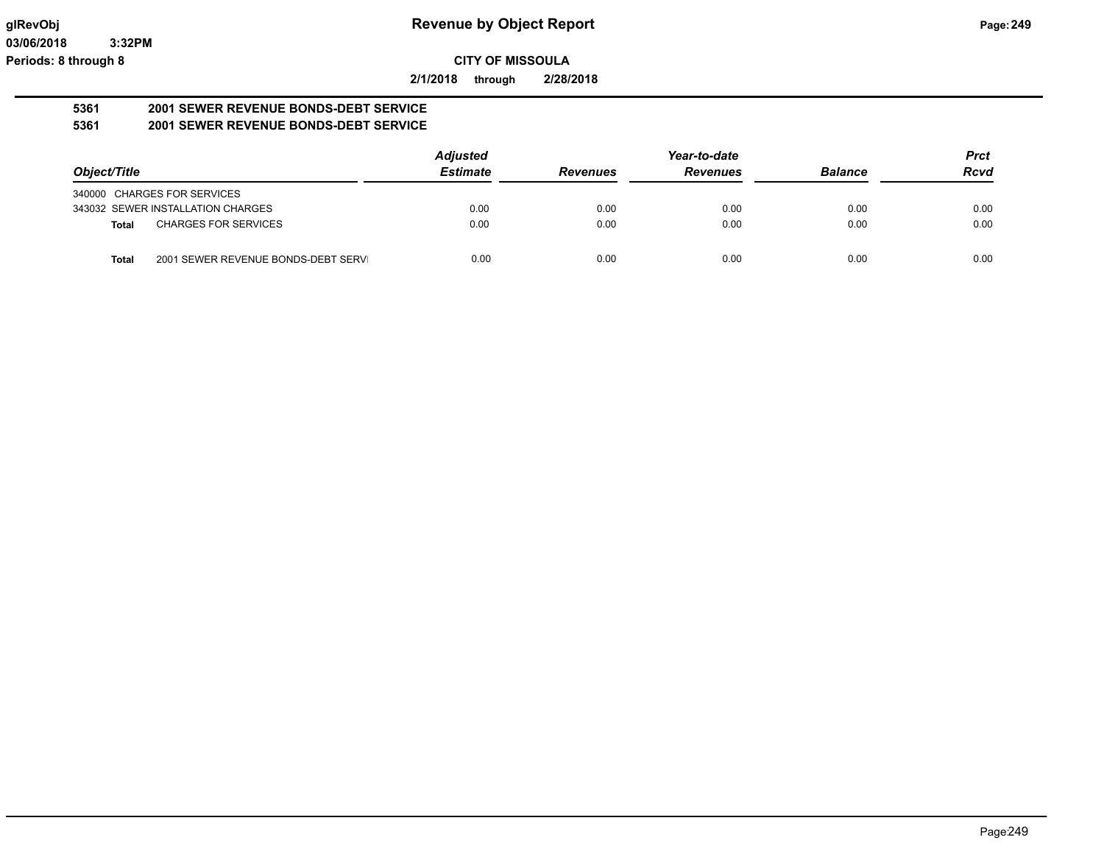**2/1/2018 through 2/28/2018**

#### **5361 2001 SEWER REVENUE BONDS-DEBT SERVICE 5361 2001 SEWER REVENUE BONDS-DEBT SERVICE**

|                                                     | <b>Adjusted</b> |                 | Year-to-date    |                | <b>Prct</b> |
|-----------------------------------------------------|-----------------|-----------------|-----------------|----------------|-------------|
| Object/Title                                        | <b>Estimate</b> | <b>Revenues</b> | <b>Revenues</b> | <b>Balance</b> | <b>Rcvd</b> |
| 340000 CHARGES FOR SERVICES                         |                 |                 |                 |                |             |
| 343032 SEWER INSTALLATION CHARGES                   | 0.00            | 0.00            | 0.00            | 0.00           | 0.00        |
| <b>CHARGES FOR SERVICES</b><br><b>Total</b>         | 0.00            | 0.00            | 0.00            | 0.00           | 0.00        |
| 2001 SEWER REVENUE BONDS-DEBT SERVI<br><b>Total</b> | 0.00            | 0.00            | 0.00            | 0.00           | 0.00        |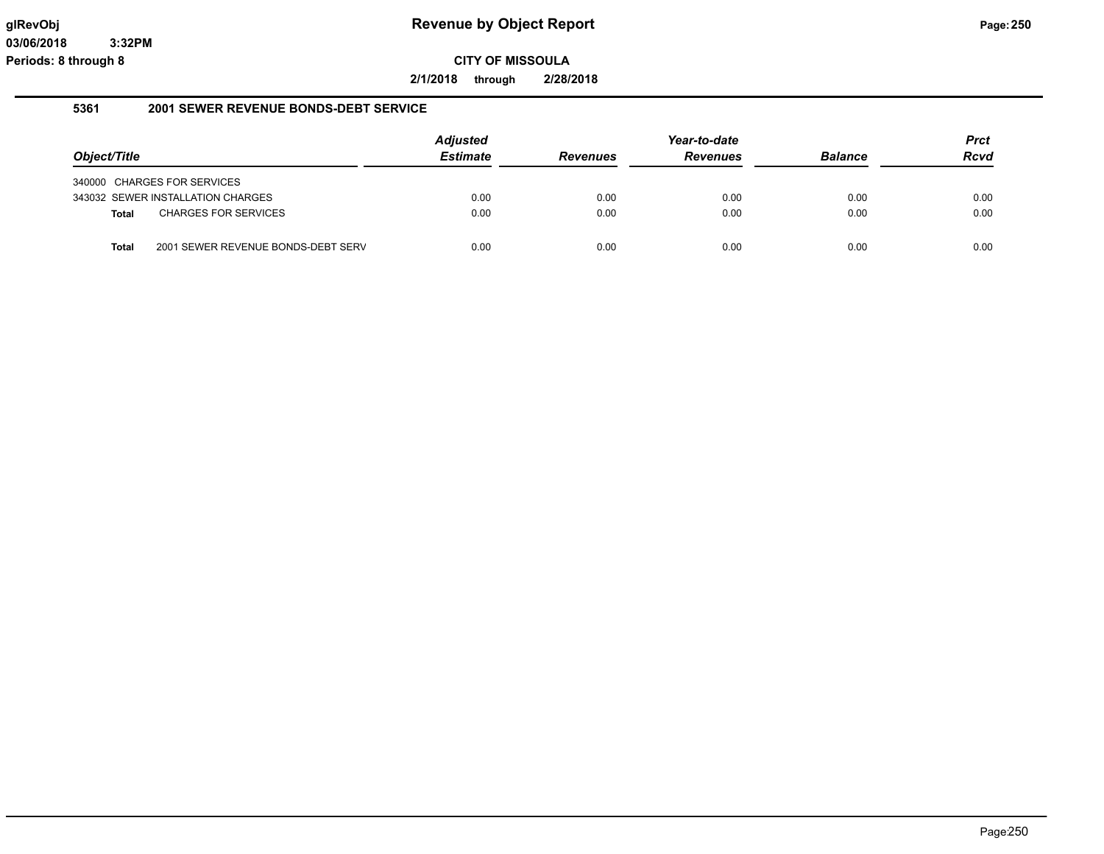**2/1/2018 through 2/28/2018**

#### **5361 2001 SEWER REVENUE BONDS-DEBT SERVICE**

|              |                                    | <b>Adjusted</b> |                 | Year-to-date    |                | <b>Prct</b> |
|--------------|------------------------------------|-----------------|-----------------|-----------------|----------------|-------------|
| Object/Title |                                    | <b>Estimate</b> | <b>Revenues</b> | <b>Revenues</b> | <b>Balance</b> | <b>Rcvd</b> |
|              | 340000 CHARGES FOR SERVICES        |                 |                 |                 |                |             |
|              | 343032 SEWER INSTALLATION CHARGES  | 0.00            | 0.00            | 0.00            | 0.00           | 0.00        |
| Total        | <b>CHARGES FOR SERVICES</b>        | 0.00            | 0.00            | 0.00            | 0.00           | 0.00        |
| <b>Total</b> | 2001 SEWER REVENUE BONDS-DEBT SERV | 0.00            | 0.00            | 0.00            | 0.00           | 0.00        |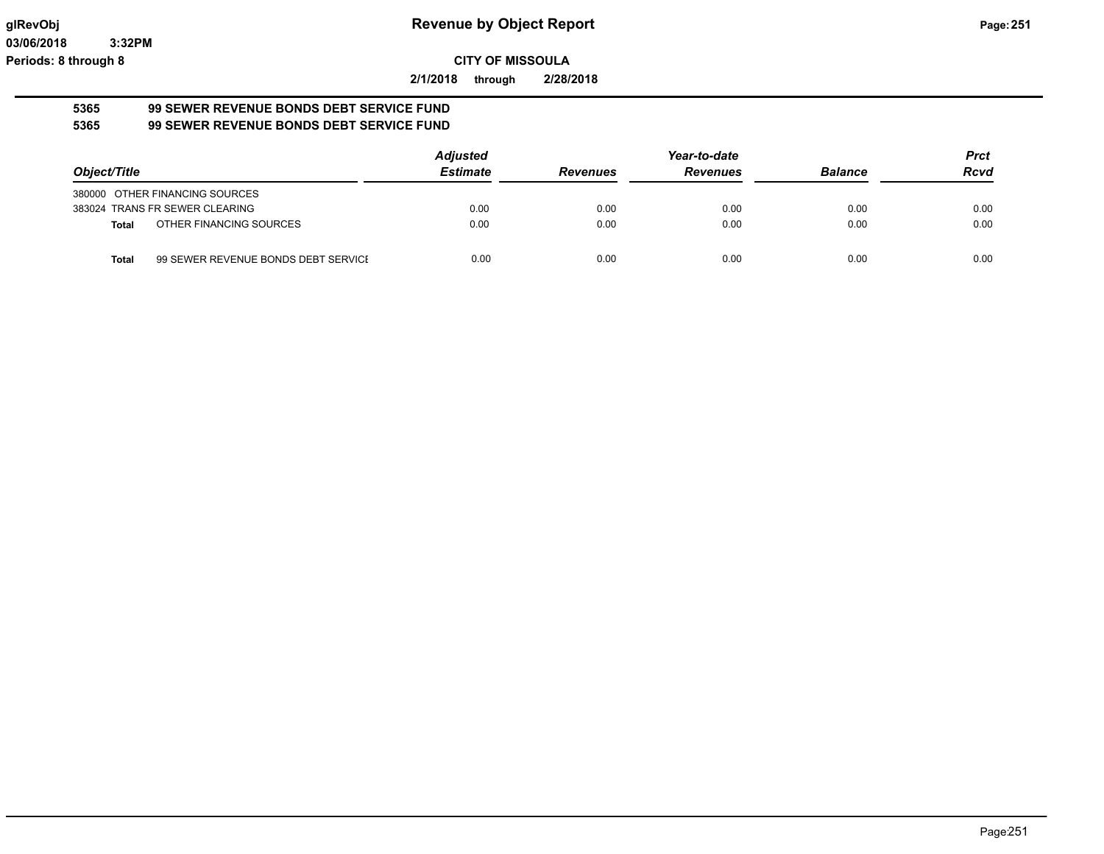**2/1/2018 through 2/28/2018**

#### **5365 99 SEWER REVENUE BONDS DEBT SERVICE FUND 5365 99 SEWER REVENUE BONDS DEBT SERVICE FUND**

|                                                     | <b>Adjusted</b> |                 | Year-to-date    |                | <b>Prct</b> |
|-----------------------------------------------------|-----------------|-----------------|-----------------|----------------|-------------|
| Object/Title                                        | <b>Estimate</b> | <b>Revenues</b> | <b>Revenues</b> | <b>Balance</b> | <b>Rcvd</b> |
| 380000 OTHER FINANCING SOURCES                      |                 |                 |                 |                |             |
| 383024 TRANS FR SEWER CLEARING                      | 0.00            | 0.00            | 0.00            | 0.00           | 0.00        |
| OTHER FINANCING SOURCES<br><b>Total</b>             | 0.00            | 0.00            | 0.00            | 0.00           | 0.00        |
| 99 SEWER REVENUE BONDS DEBT SERVICE<br><b>Total</b> | 0.00            | 0.00            | 0.00            | 0.00           | 0.00        |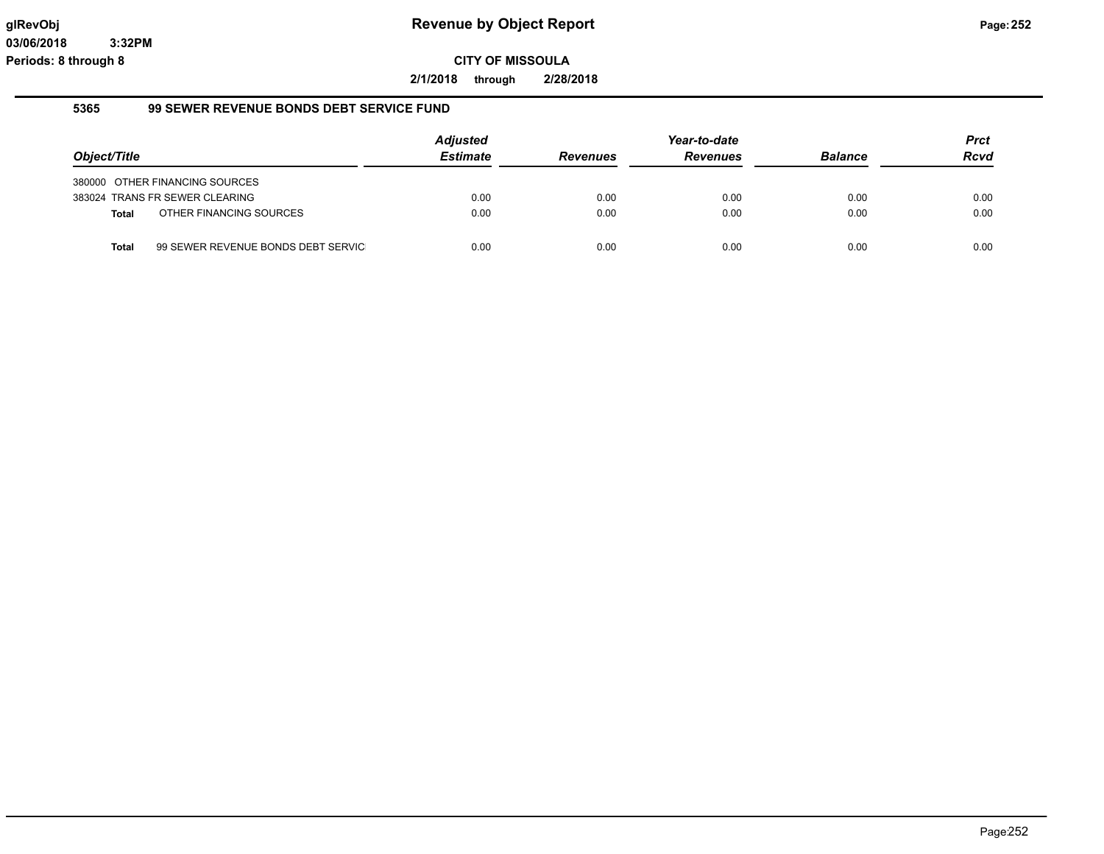**2/1/2018 through 2/28/2018**

## **5365 99 SEWER REVENUE BONDS DEBT SERVICE FUND**

|              |                                    | <b>Adjusted</b> |                 | Year-to-date    |                | <b>Prct</b> |
|--------------|------------------------------------|-----------------|-----------------|-----------------|----------------|-------------|
| Object/Title |                                    | <b>Estimate</b> | <b>Revenues</b> | <b>Revenues</b> | <b>Balance</b> | <b>Rcvd</b> |
|              | 380000 OTHER FINANCING SOURCES     |                 |                 |                 |                |             |
|              | 383024 TRANS FR SEWER CLEARING     | 0.00            | 0.00            | 0.00            | 0.00           | 0.00        |
| <b>Total</b> | OTHER FINANCING SOURCES            | 0.00            | 0.00            | 0.00            | 0.00           | 0.00        |
| Total        | 99 SEWER REVENUE BONDS DEBT SERVIC | 0.00            | 0.00            | 0.00            | 0.00           | 0.00        |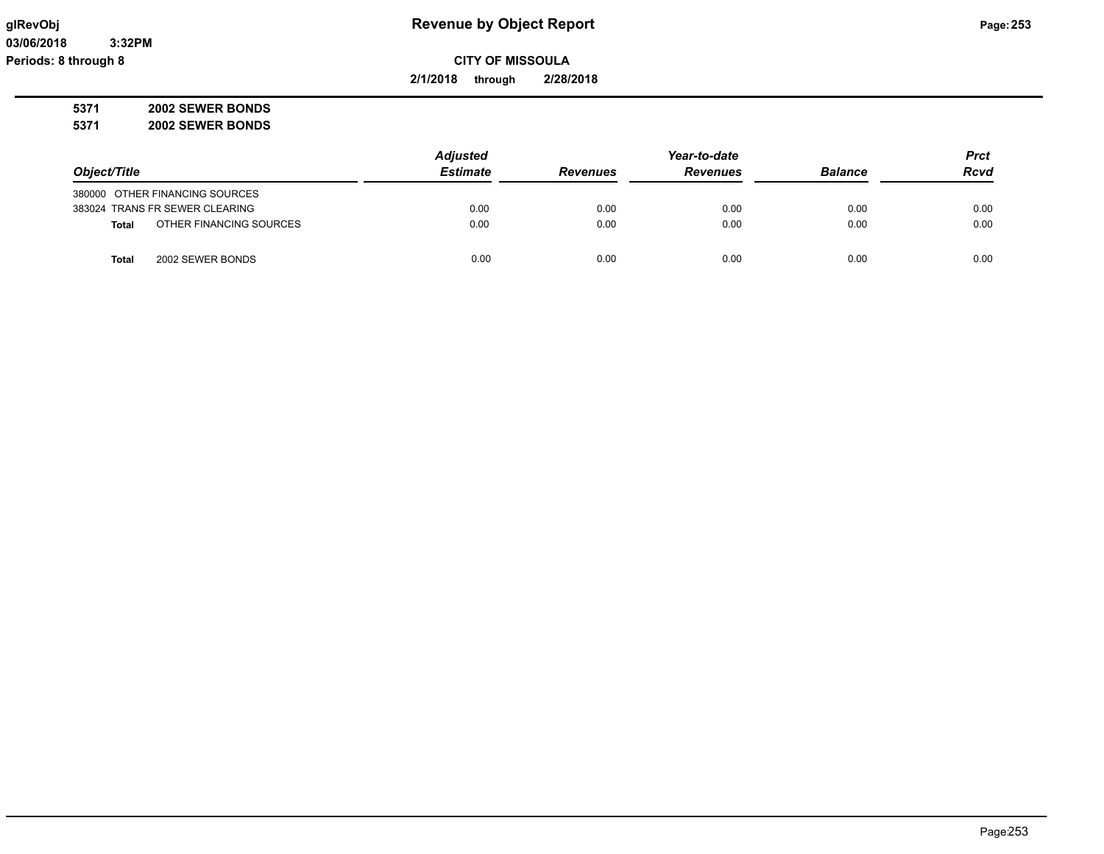**2/1/2018 through 2/28/2018**

**5371 2002 SEWER BONDS**

**5371 2002 SEWER BONDS**

|                                         | <b>Adjusted</b> |                 | Year-to-date    |                | <b>Prct</b> |
|-----------------------------------------|-----------------|-----------------|-----------------|----------------|-------------|
| Object/Title                            | <b>Estimate</b> | <b>Revenues</b> | <b>Revenues</b> | <b>Balance</b> | <b>Rcvd</b> |
| 380000 OTHER FINANCING SOURCES          |                 |                 |                 |                |             |
| 383024 TRANS FR SEWER CLEARING          | 0.00            | 0.00            | 0.00            | 0.00           | 0.00        |
| OTHER FINANCING SOURCES<br><b>Total</b> | 0.00            | 0.00            | 0.00            | 0.00           | 0.00        |
| 2002 SEWER BONDS<br>Total               | 0.00            | 0.00            | 0.00            | 0.00           | 0.00        |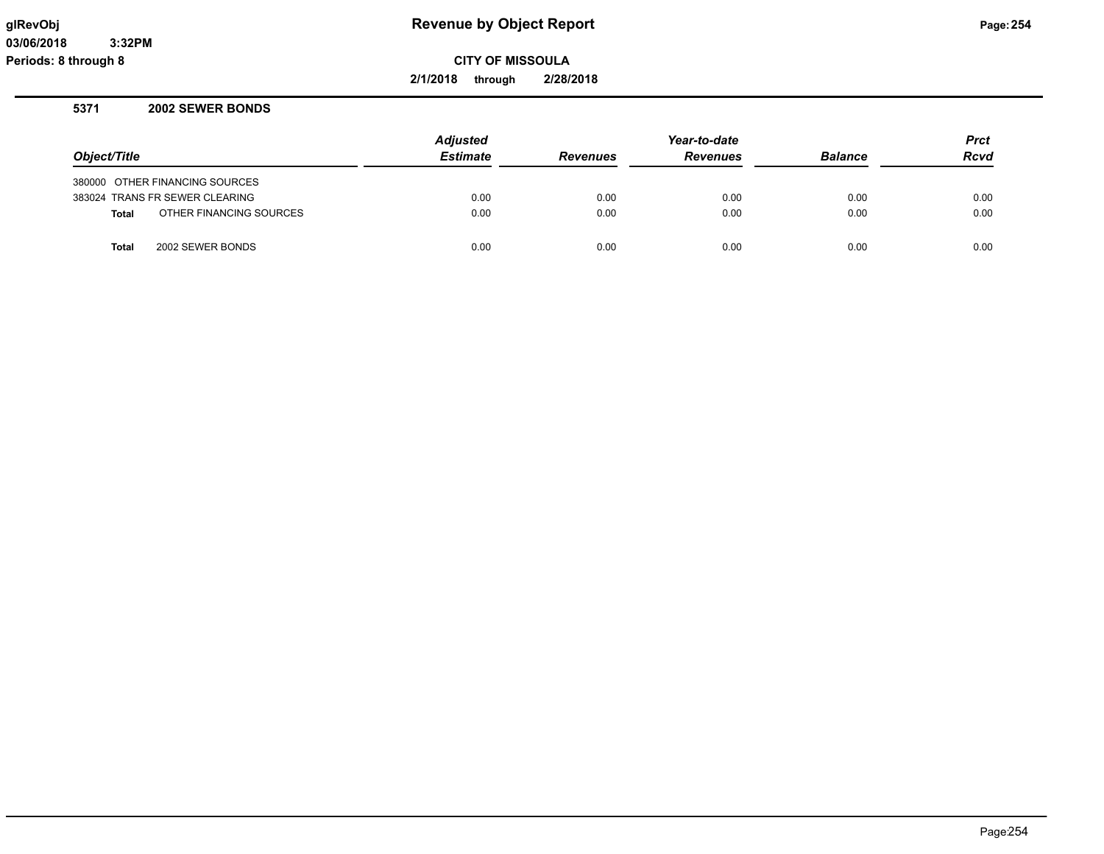**2/1/2018 through 2/28/2018**

#### **5371 2002 SEWER BONDS**

|              |                                | <b>Adjusted</b> | Year-to-date    |                 |                | <b>Prct</b> |
|--------------|--------------------------------|-----------------|-----------------|-----------------|----------------|-------------|
| Object/Title |                                | <b>Estimate</b> | <b>Revenues</b> | <b>Revenues</b> | <b>Balance</b> | <b>Rcvd</b> |
|              | 380000 OTHER FINANCING SOURCES |                 |                 |                 |                |             |
|              | 383024 TRANS FR SEWER CLEARING | 0.00            | 0.00            | 0.00            | 0.00           | 0.00        |
| <b>Total</b> | OTHER FINANCING SOURCES        | 0.00            | 0.00            | 0.00            | 0.00           | 0.00        |
| <b>Total</b> | 2002 SEWER BONDS               | 0.00            | 0.00            | 0.00            | 0.00           | 0.00        |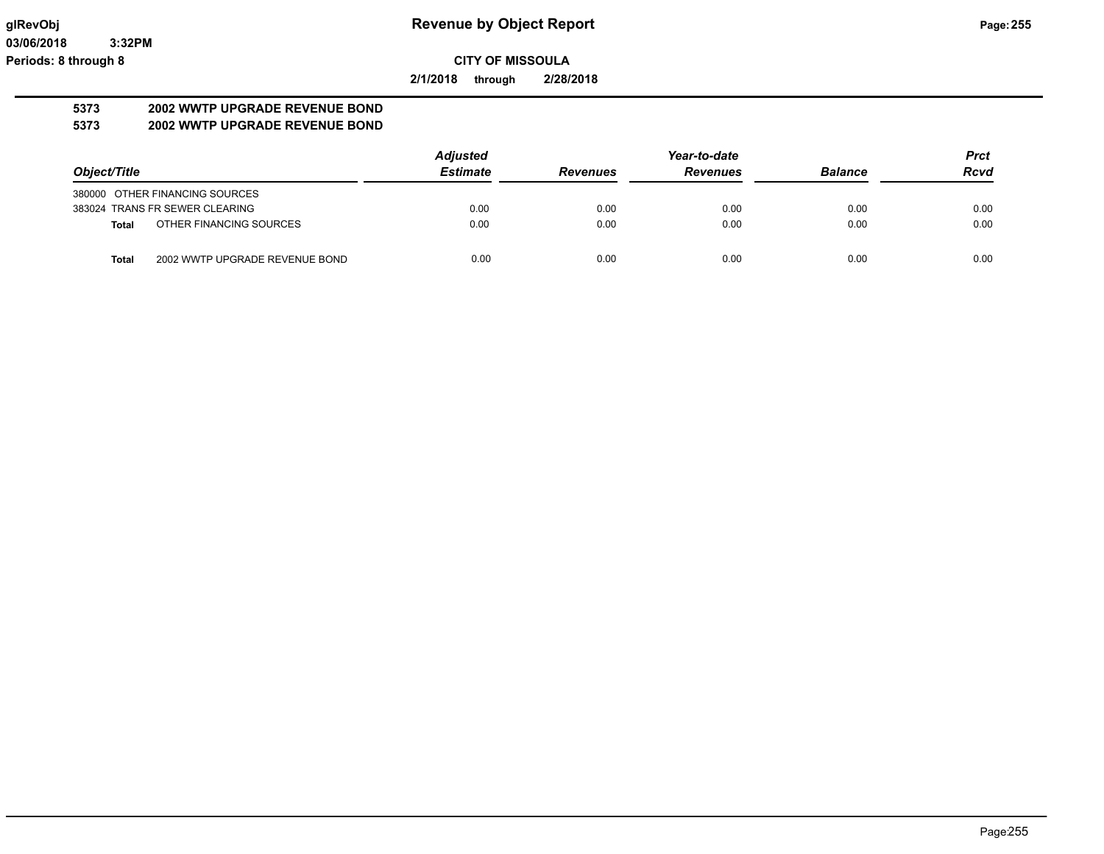**2/1/2018 through 2/28/2018**

# **5373 2002 WWTP UPGRADE REVENUE BOND**

# **5373 2002 WWTP UPGRADE REVENUE BOND**

|                                         | <b>Adjusted</b> | Year-to-date    |                 |                | <b>Prct</b> |
|-----------------------------------------|-----------------|-----------------|-----------------|----------------|-------------|
| Object/Title                            | <b>Estimate</b> | <b>Revenues</b> | <b>Revenues</b> | <b>Balance</b> | <b>Rcvd</b> |
| 380000 OTHER FINANCING SOURCES          |                 |                 |                 |                |             |
| 383024 TRANS FR SEWER CLEARING          | 0.00            | 0.00            | 0.00            | 0.00           | 0.00        |
| OTHER FINANCING SOURCES<br>Total        | 0.00            | 0.00            | 0.00            | 0.00           | 0.00        |
| 2002 WWTP UPGRADE REVENUE BOND<br>Total | 0.00            | 0.00            | 0.00            | 0.00           | 0.00        |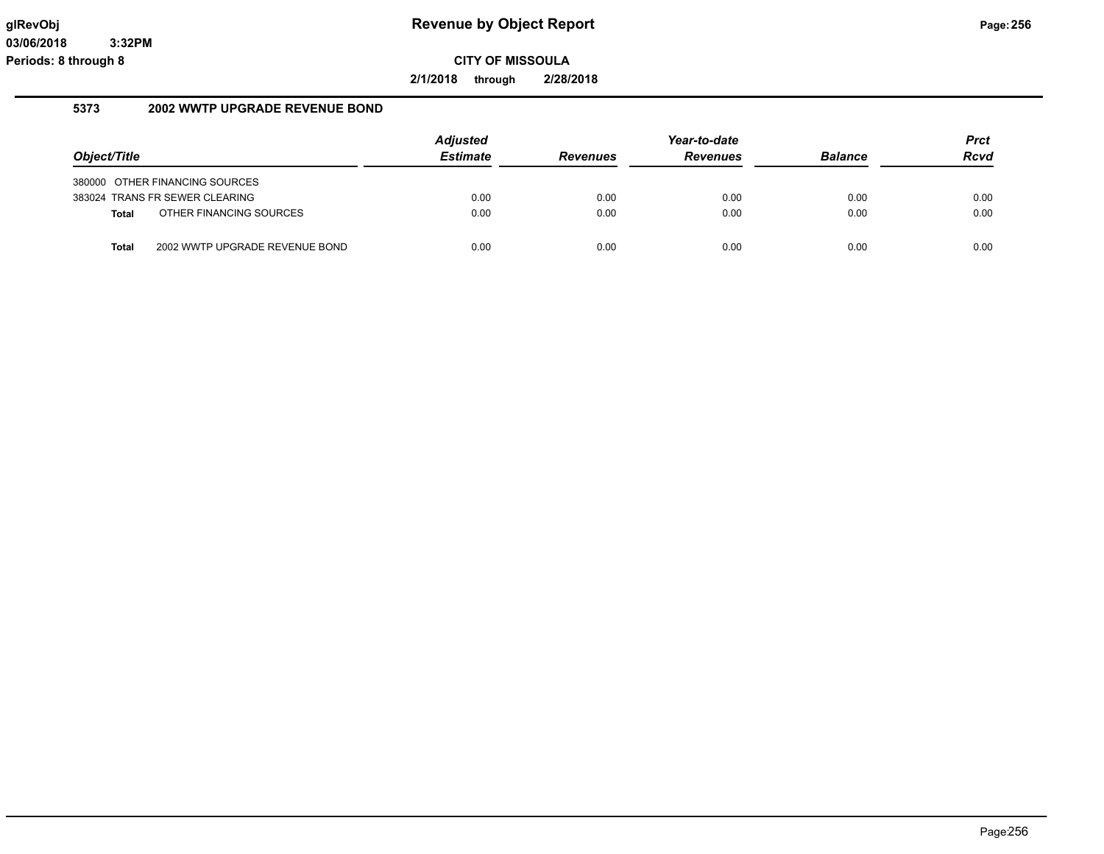**2/1/2018 through 2/28/2018**

#### **5373 2002 WWTP UPGRADE REVENUE BOND**

|              |                                | <b>Adjusted</b> | Year-to-date    |                 |                | <b>Prct</b> |
|--------------|--------------------------------|-----------------|-----------------|-----------------|----------------|-------------|
| Object/Title |                                | <b>Estimate</b> | <b>Revenues</b> | <b>Revenues</b> | <b>Balance</b> | <b>Rcvd</b> |
|              | 380000 OTHER FINANCING SOURCES |                 |                 |                 |                |             |
|              | 383024 TRANS FR SEWER CLEARING | 0.00            | 0.00            | 0.00            | 0.00           | 0.00        |
| <b>Total</b> | OTHER FINANCING SOURCES        | 0.00            | 0.00            | 0.00            | 0.00           | 0.00        |
| Total        | 2002 WWTP UPGRADE REVENUE BOND | 0.00            | 0.00            | 0.00            | 0.00           | 0.00        |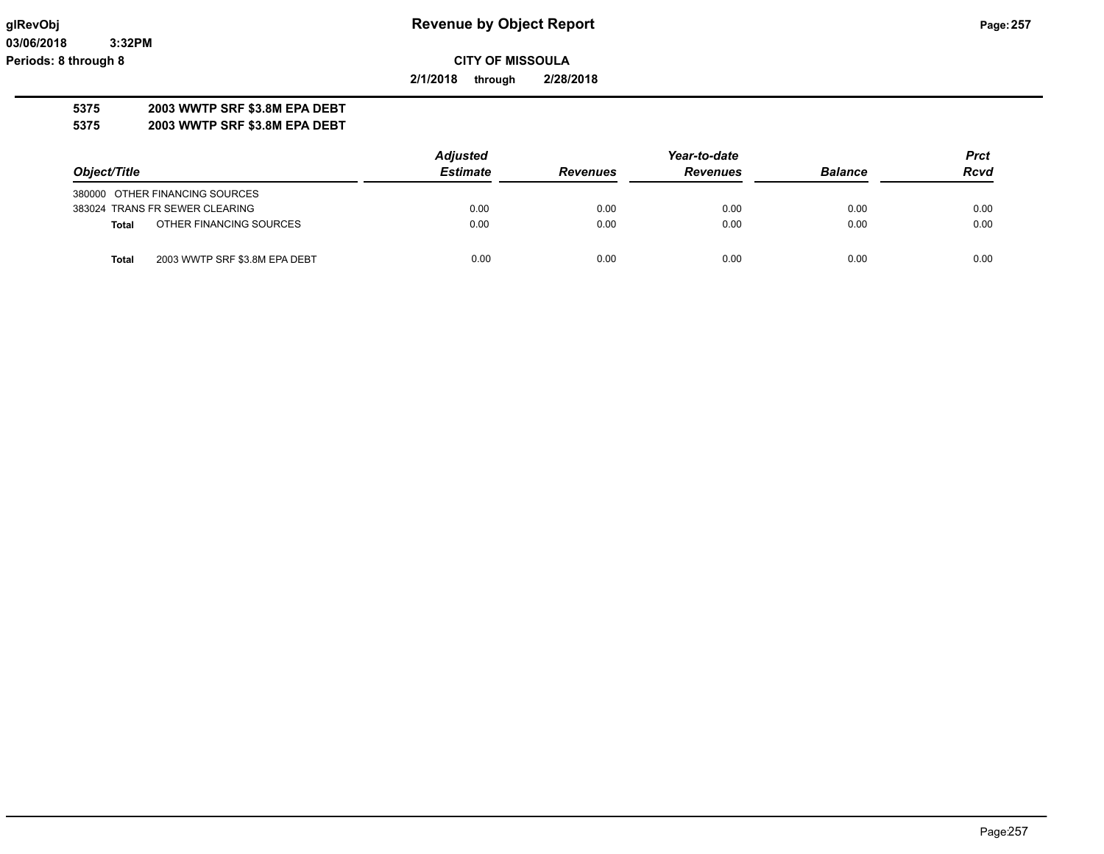**03/06/2018 3:32PM Periods: 8 through 8**

**CITY OF MISSOULA**

**2/1/2018 through 2/28/2018**

# **5375 2003 WWTP SRF \$3.8M EPA DEBT**

**5375 2003 WWTP SRF \$3.8M EPA DEBT**

|                                               | <b>Adjusted</b> |                 | Year-to-date    |                |             |
|-----------------------------------------------|-----------------|-----------------|-----------------|----------------|-------------|
| Object/Title                                  | <b>Estimate</b> | <b>Revenues</b> | <b>Revenues</b> | <b>Balance</b> | <b>Rcvd</b> |
| 380000 OTHER FINANCING SOURCES                |                 |                 |                 |                |             |
| 383024 TRANS FR SEWER CLEARING                | 0.00            | 0.00            | 0.00            | 0.00           | 0.00        |
| OTHER FINANCING SOURCES<br><b>Total</b>       | 0.00            | 0.00            | 0.00            | 0.00           | 0.00        |
| 2003 WWTP SRF \$3.8M EPA DEBT<br><b>Total</b> | 0.00            | 0.00            | 0.00            | 0.00           | 0.00        |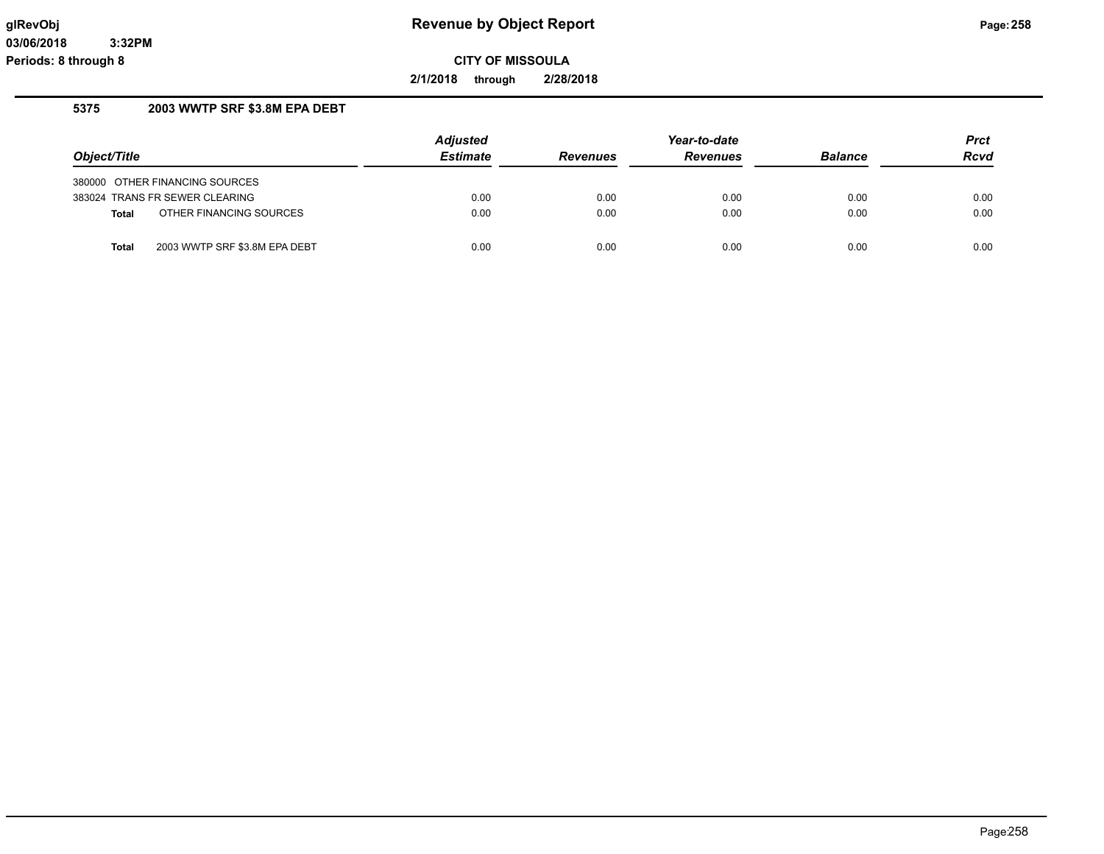**2/1/2018 through 2/28/2018**

# **5375 2003 WWTP SRF \$3.8M EPA DEBT**

|              |                                | <b>Adjusted</b> |                 | Year-to-date    |                | <b>Prct</b> |
|--------------|--------------------------------|-----------------|-----------------|-----------------|----------------|-------------|
| Object/Title |                                | <b>Estimate</b> | <b>Revenues</b> | <b>Revenues</b> | <b>Balance</b> | <b>Rcvd</b> |
|              | 380000 OTHER FINANCING SOURCES |                 |                 |                 |                |             |
|              | 383024 TRANS FR SEWER CLEARING | 0.00            | 0.00            | 0.00            | 0.00           | 0.00        |
| <b>Total</b> | OTHER FINANCING SOURCES        | 0.00            | 0.00            | 0.00            | 0.00           | 0.00        |
| <b>Total</b> | 2003 WWTP SRF \$3.8M EPA DEBT  | 0.00            | 0.00            | 0.00            | 0.00           | 0.00        |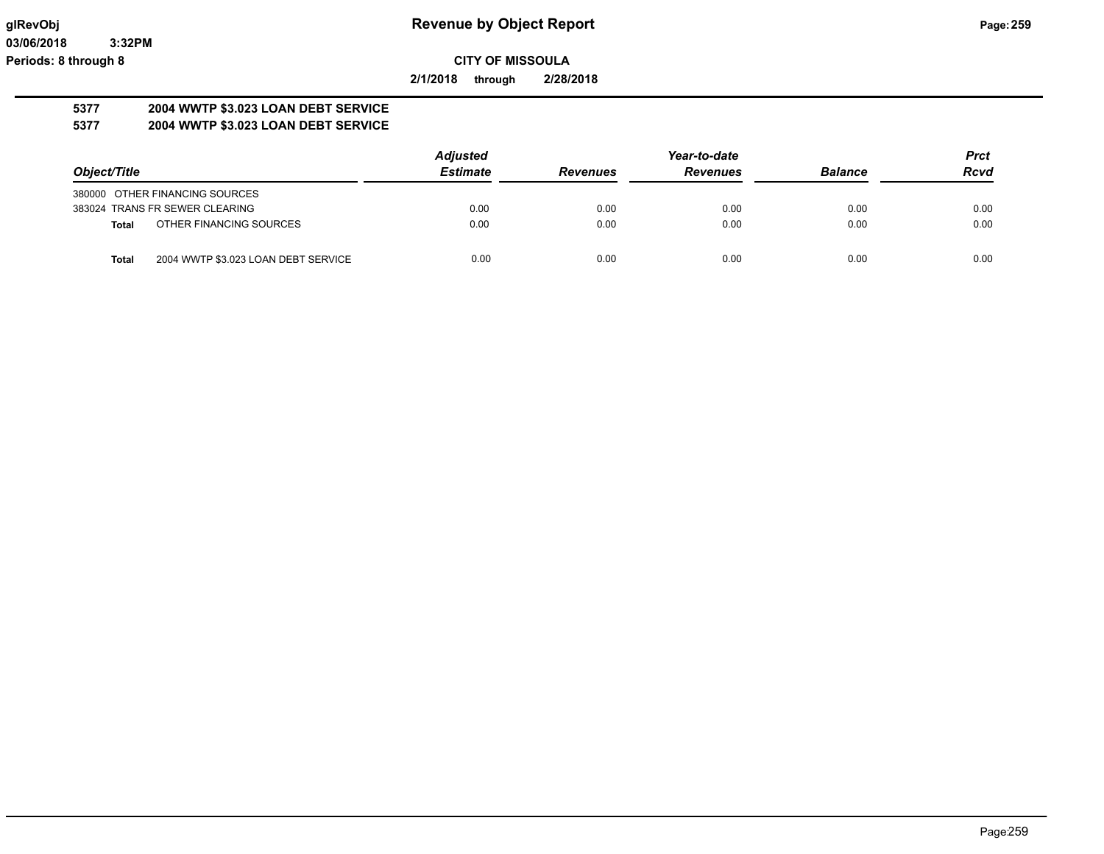**2/1/2018 through 2/28/2018**

#### **5377 2004 WWTP \$3.023 LOAN DEBT SERVICE 5377 2004 WWTP \$3.023 LOAN DEBT SERVICE**

|                                                     | <b>Adjusted</b> | Year-to-date    |                 |                | <b>Prct</b> |
|-----------------------------------------------------|-----------------|-----------------|-----------------|----------------|-------------|
| Object/Title                                        | <b>Estimate</b> | <b>Revenues</b> | <b>Revenues</b> | <b>Balance</b> | <b>Rcvd</b> |
| 380000 OTHER FINANCING SOURCES                      |                 |                 |                 |                |             |
| 383024 TRANS FR SEWER CLEARING                      | 0.00            | 0.00            | 0.00            | 0.00           | 0.00        |
| OTHER FINANCING SOURCES<br>Total                    | 0.00            | 0.00            | 0.00            | 0.00           | 0.00        |
| 2004 WWTP \$3.023 LOAN DEBT SERVICE<br><b>Total</b> | 0.00            | 0.00            | 0.00            | 0.00           | 0.00        |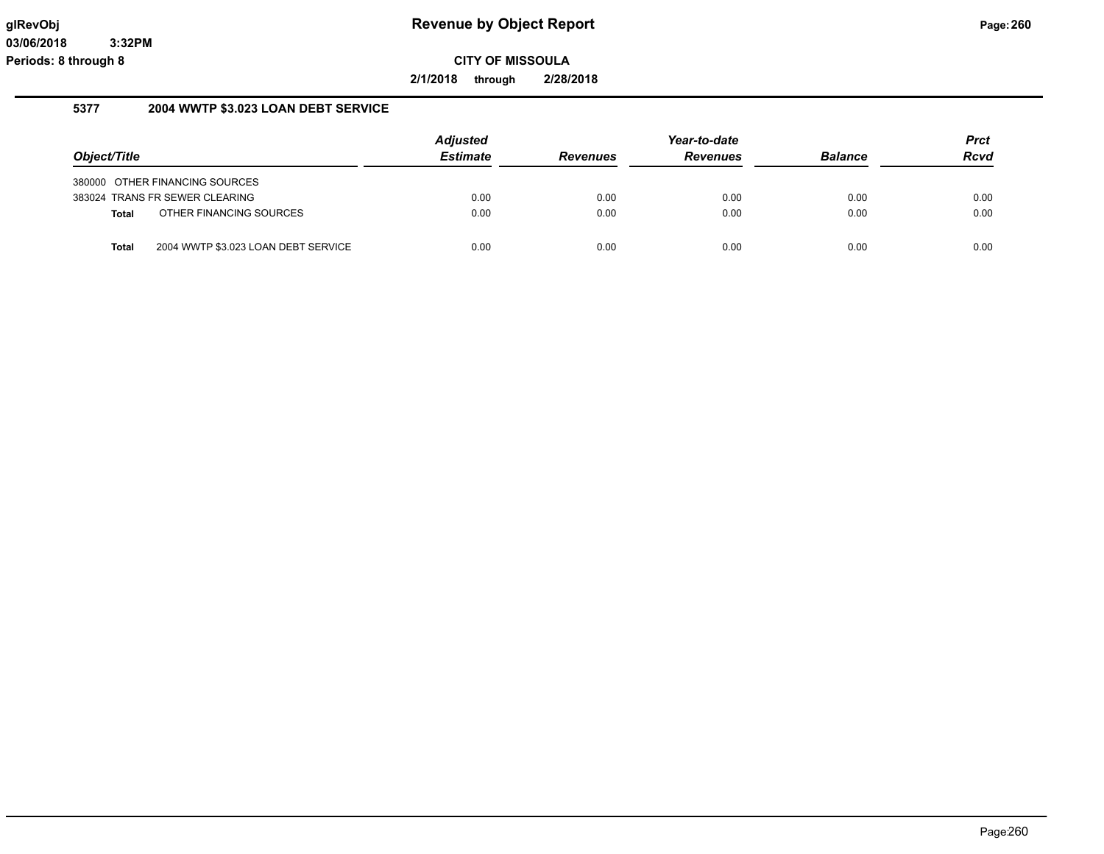**2/1/2018 through 2/28/2018**

## **5377 2004 WWTP \$3.023 LOAN DEBT SERVICE**

|              |                                     | <b>Adjusted</b> |                 | Year-to-date    |                | Prct |
|--------------|-------------------------------------|-----------------|-----------------|-----------------|----------------|------|
| Object/Title |                                     | <b>Estimate</b> | <b>Revenues</b> | <b>Revenues</b> | <b>Balance</b> | Rcvd |
|              | 380000 OTHER FINANCING SOURCES      |                 |                 |                 |                |      |
|              | 383024 TRANS FR SEWER CLEARING      | 0.00            | 0.00            | 0.00            | 0.00           | 0.00 |
| Total        | OTHER FINANCING SOURCES             | 0.00            | 0.00            | 0.00            | 0.00           | 0.00 |
| <b>Total</b> | 2004 WWTP \$3.023 LOAN DEBT SERVICE | 0.00            | 0.00            | 0.00            | 0.00           | 0.00 |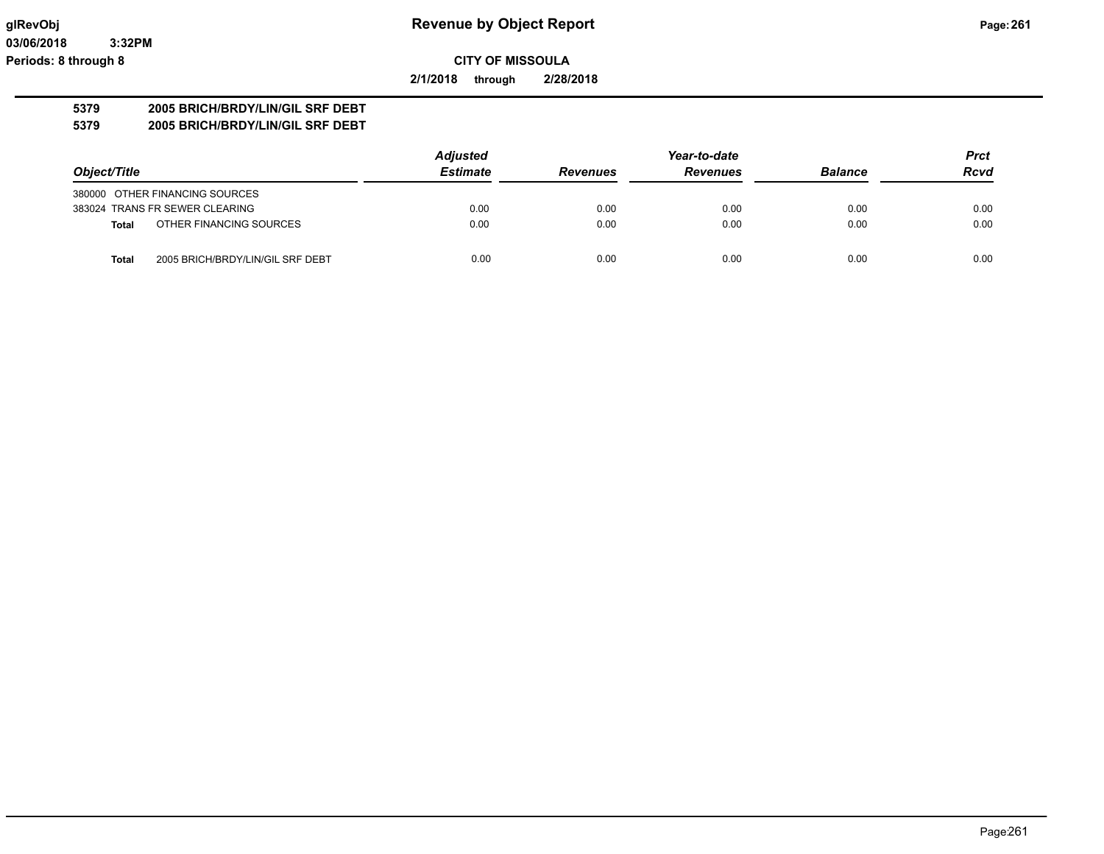**2/1/2018 through 2/28/2018**

# **5379 2005 BRICH/BRDY/LIN/GIL SRF DEBT**

**5379 2005 BRICH/BRDY/LIN/GIL SRF DEBT**

|                                                  | <b>Adjusted</b> |                 | Prct            |                |             |
|--------------------------------------------------|-----------------|-----------------|-----------------|----------------|-------------|
| Object/Title                                     | <b>Estimate</b> | <b>Revenues</b> | <b>Revenues</b> | <b>Balance</b> | <b>Rcvd</b> |
| 380000 OTHER FINANCING SOURCES                   |                 |                 |                 |                |             |
| 383024 TRANS FR SEWER CLEARING                   | 0.00            | 0.00            | 0.00            | 0.00           | 0.00        |
| OTHER FINANCING SOURCES<br><b>Total</b>          | 0.00            | 0.00            | 0.00            | 0.00           | 0.00        |
| 2005 BRICH/BRDY/LIN/GIL SRF DEBT<br><b>Total</b> | 0.00            | 0.00            | 0.00            | 0.00           | 0.00        |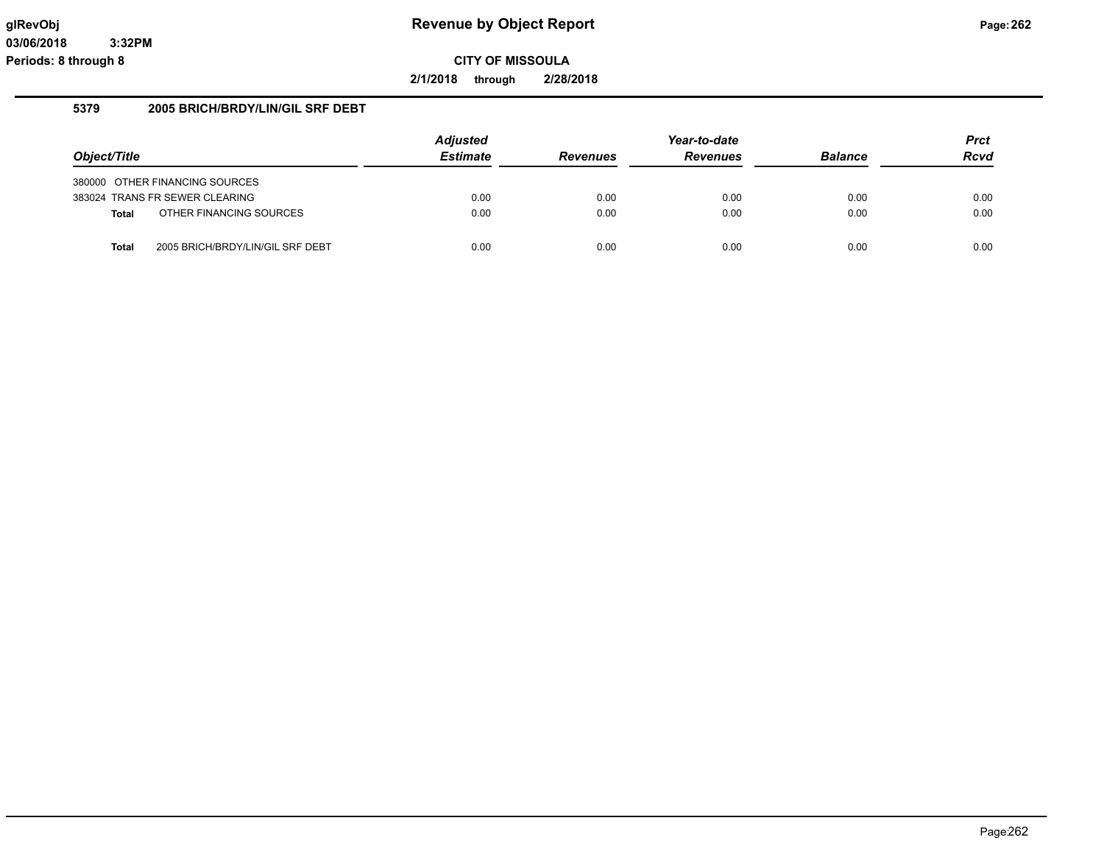**2/1/2018 through 2/28/2018**

# **5379 2005 BRICH/BRDY/LIN/GIL SRF DEBT**

|              |                                  | <b>Adjusted</b> | Year-to-date    |                 |                | <b>Prct</b> |
|--------------|----------------------------------|-----------------|-----------------|-----------------|----------------|-------------|
| Object/Title |                                  | <b>Estimate</b> | <b>Revenues</b> | <b>Revenues</b> | <b>Balance</b> | <b>Rcvd</b> |
|              | 380000 OTHER FINANCING SOURCES   |                 |                 |                 |                |             |
|              | 383024 TRANS FR SEWER CLEARING   | 0.00            | 0.00            | 0.00            | 0.00           | 0.00        |
| <b>Total</b> | OTHER FINANCING SOURCES          | 0.00            | 0.00            | 0.00            | 0.00           | 0.00        |
| <b>Total</b> | 2005 BRICH/BRDY/LIN/GIL SRF DEBT | 0.00            | 0.00            | 0.00            | 0.00           | 0.00        |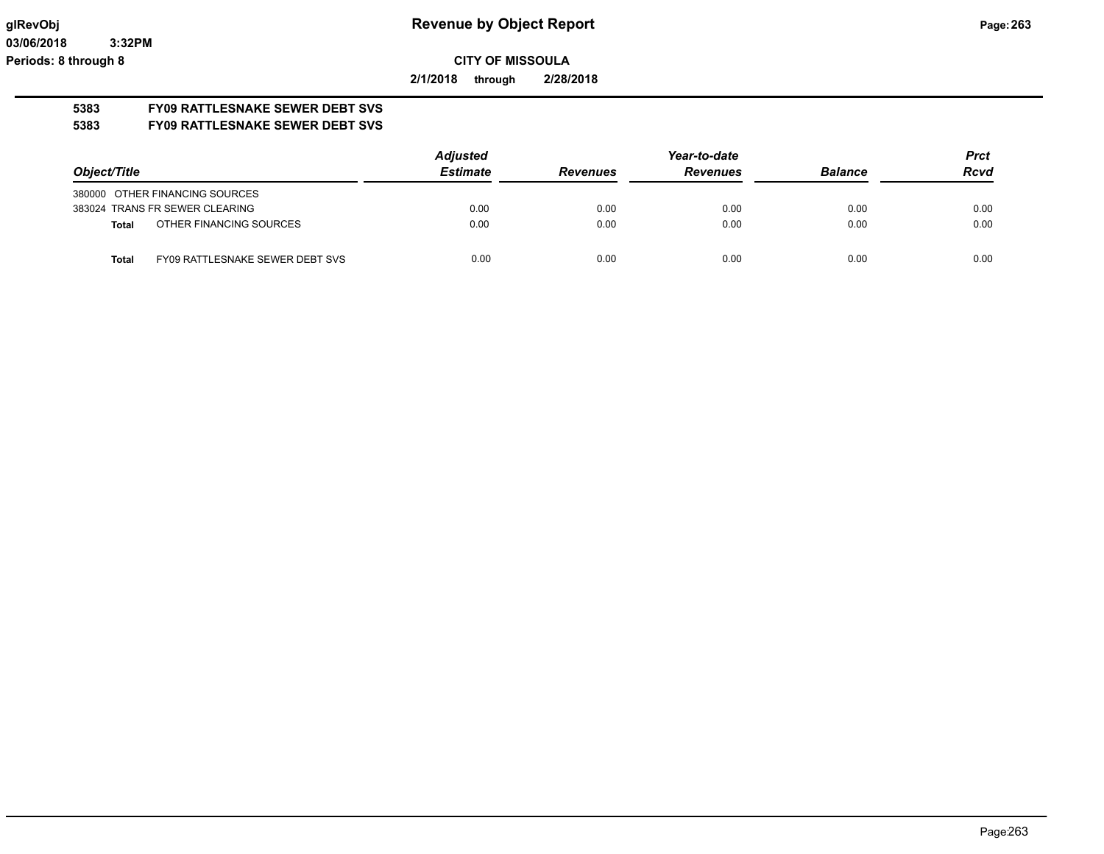**2/1/2018 through 2/28/2018**

# **5383 FY09 RATTLESNAKE SEWER DEBT SVS**

**5383 FY09 RATTLESNAKE SEWER DEBT SVS**

|                                          | <b>Adjusted</b> | Year-to-date    |                 |                | <b>Prct</b> |
|------------------------------------------|-----------------|-----------------|-----------------|----------------|-------------|
| Object/Title                             | <b>Estimate</b> | <b>Revenues</b> | <b>Revenues</b> | <b>Balance</b> | <b>Rcvd</b> |
| 380000 OTHER FINANCING SOURCES           |                 |                 |                 |                |             |
| 383024 TRANS FR SEWER CLEARING           | 0.00            | 0.00            | 0.00            | 0.00           | 0.00        |
| OTHER FINANCING SOURCES<br>Total         | 0.00            | 0.00            | 0.00            | 0.00           | 0.00        |
| FY09 RATTLESNAKE SEWER DEBT SVS<br>Total | 0.00            | 0.00            | 0.00            | 0.00           | 0.00        |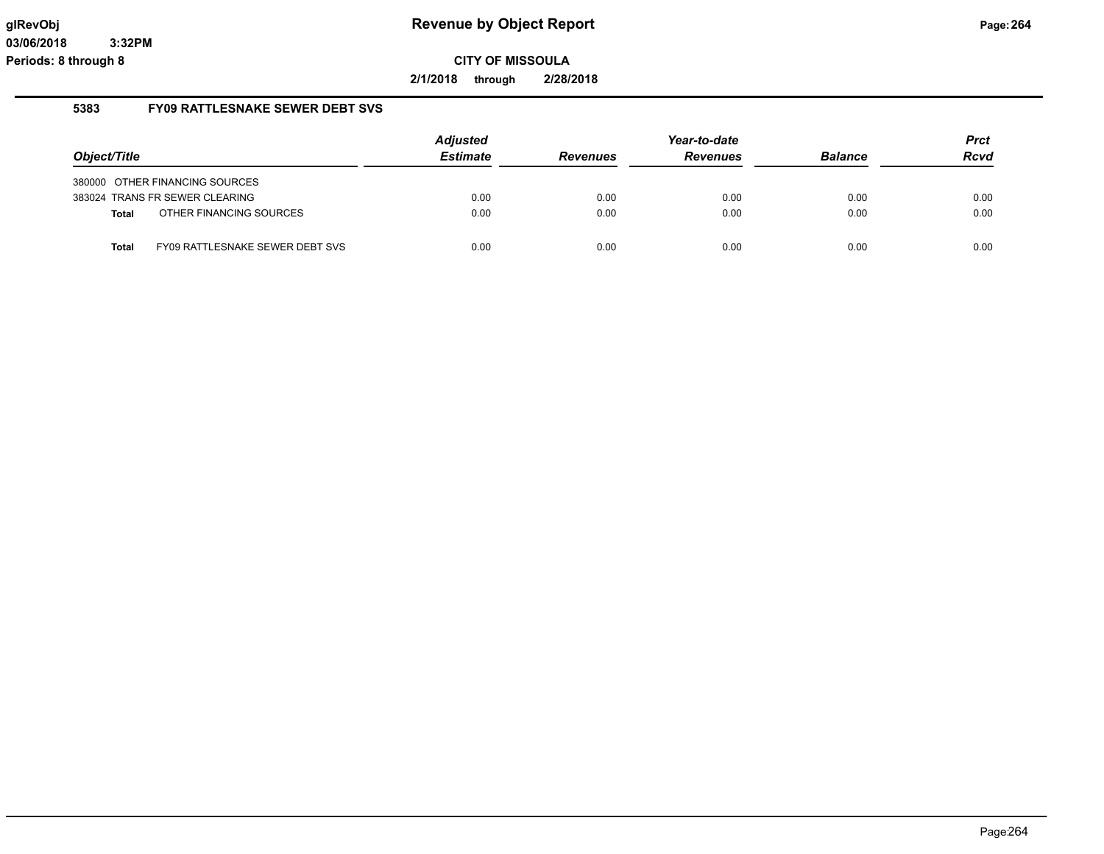**2/1/2018 through 2/28/2018**

#### **5383 FY09 RATTLESNAKE SEWER DEBT SVS**

|              |                                 | <b>Adjusted</b> | Year-to-date    |                 |                | <b>Prct</b> |
|--------------|---------------------------------|-----------------|-----------------|-----------------|----------------|-------------|
| Object/Title |                                 | <b>Estimate</b> | <b>Revenues</b> | <b>Revenues</b> | <b>Balance</b> | <b>Rcvd</b> |
|              | 380000 OTHER FINANCING SOURCES  |                 |                 |                 |                |             |
|              | 383024 TRANS FR SEWER CLEARING  | 0.00            | 0.00            | 0.00            | 0.00           | 0.00        |
| <b>Total</b> | OTHER FINANCING SOURCES         | 0.00            | 0.00            | 0.00            | 0.00           | 0.00        |
| <b>Total</b> | FY09 RATTLESNAKE SEWER DEBT SVS | 0.00            | 0.00            | 0.00            | 0.00           | 0.00        |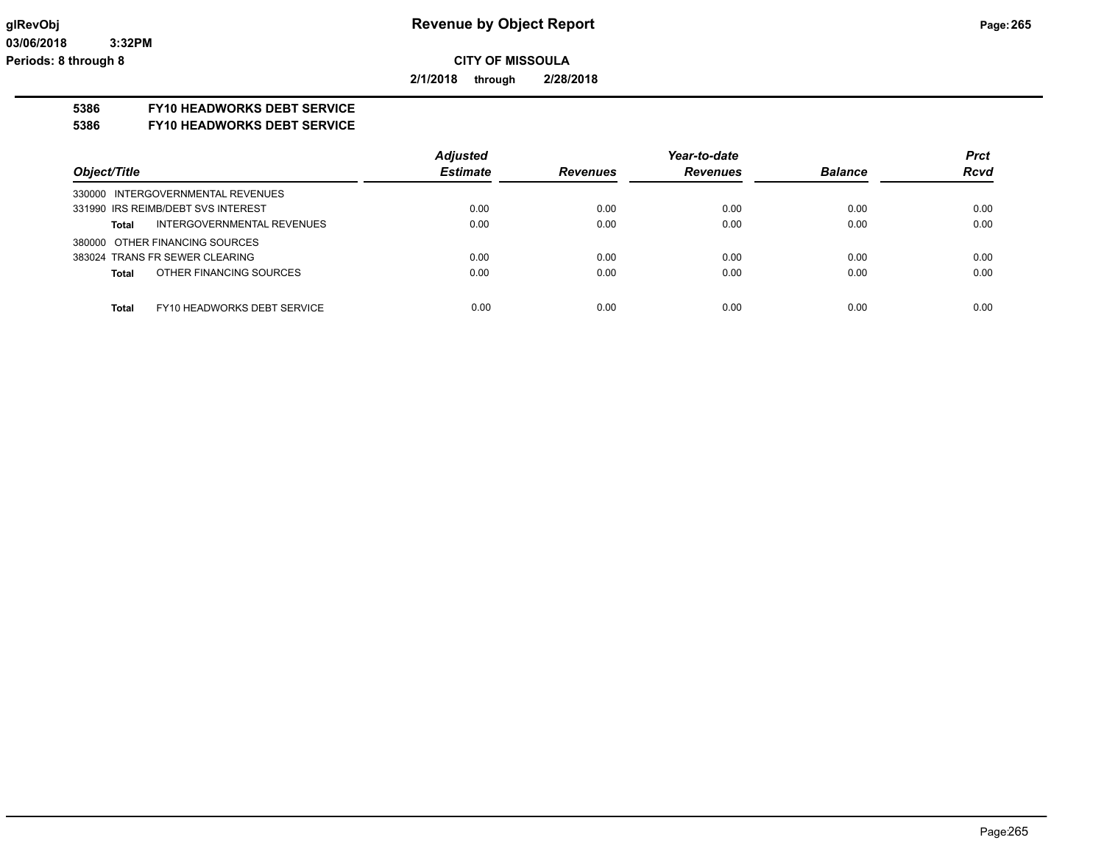**2/1/2018 through 2/28/2018**

# **5386 FY10 HEADWORKS DEBT SERVICE**

#### **5386 FY10 HEADWORKS DEBT SERVICE**

|                                             | <b>Adjusted</b> |                 | Year-to-date    |                | <b>Prct</b> |
|---------------------------------------------|-----------------|-----------------|-----------------|----------------|-------------|
| Object/Title                                | <b>Estimate</b> | <b>Revenues</b> | <b>Revenues</b> | <b>Balance</b> | <b>Rcvd</b> |
| 330000 INTERGOVERNMENTAL REVENUES           |                 |                 |                 |                |             |
| 331990 IRS REIMB/DEBT SVS INTEREST          | 0.00            | 0.00            | 0.00            | 0.00           | 0.00        |
| INTERGOVERNMENTAL REVENUES<br><b>Total</b>  | 0.00            | 0.00            | 0.00            | 0.00           | 0.00        |
| 380000 OTHER FINANCING SOURCES              |                 |                 |                 |                |             |
| 383024 TRANS FR SEWER CLEARING              | 0.00            | 0.00            | 0.00            | 0.00           | 0.00        |
| OTHER FINANCING SOURCES<br><b>Total</b>     | 0.00            | 0.00            | 0.00            | 0.00           | 0.00        |
|                                             |                 |                 |                 |                |             |
| <b>Total</b><br>FY10 HEADWORKS DEBT SERVICE | 0.00            | 0.00            | 0.00            | 0.00           | 0.00        |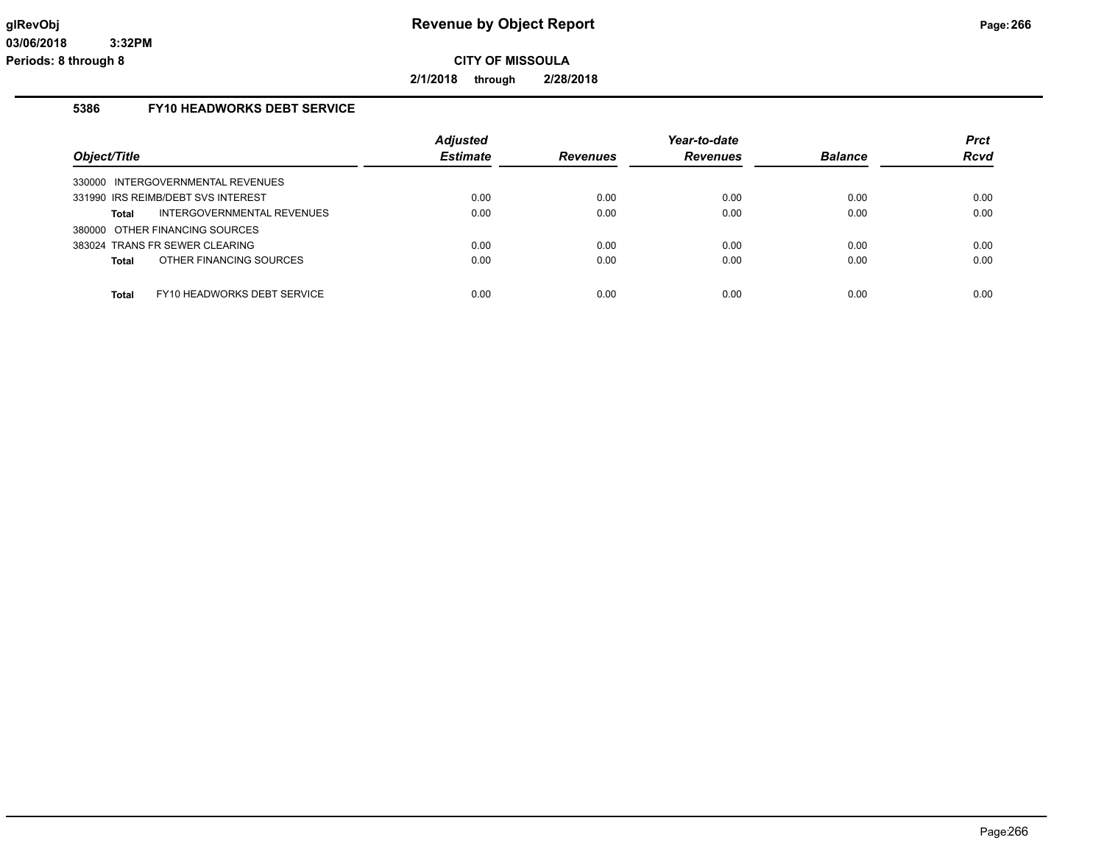**2/1/2018 through 2/28/2018**

# **5386 FY10 HEADWORKS DEBT SERVICE**

|                                             | <b>Adjusted</b> |                 | Year-to-date    |                | <b>Prct</b> |
|---------------------------------------------|-----------------|-----------------|-----------------|----------------|-------------|
| Object/Title                                | <b>Estimate</b> | <b>Revenues</b> | <b>Revenues</b> | <b>Balance</b> | Rcvd        |
| 330000 INTERGOVERNMENTAL REVENUES           |                 |                 |                 |                |             |
| 331990 IRS REIMB/DEBT SVS INTEREST          | 0.00            | 0.00            | 0.00            | 0.00           | 0.00        |
| INTERGOVERNMENTAL REVENUES<br>Total         | 0.00            | 0.00            | 0.00            | 0.00           | 0.00        |
| 380000 OTHER FINANCING SOURCES              |                 |                 |                 |                |             |
| 383024 TRANS FR SEWER CLEARING              | 0.00            | 0.00            | 0.00            | 0.00           | 0.00        |
| OTHER FINANCING SOURCES<br>Total            | 0.00            | 0.00            | 0.00            | 0.00           | 0.00        |
|                                             |                 |                 |                 |                |             |
| FY10 HEADWORKS DEBT SERVICE<br><b>Total</b> | 0.00            | 0.00            | 0.00            | 0.00           | 0.00        |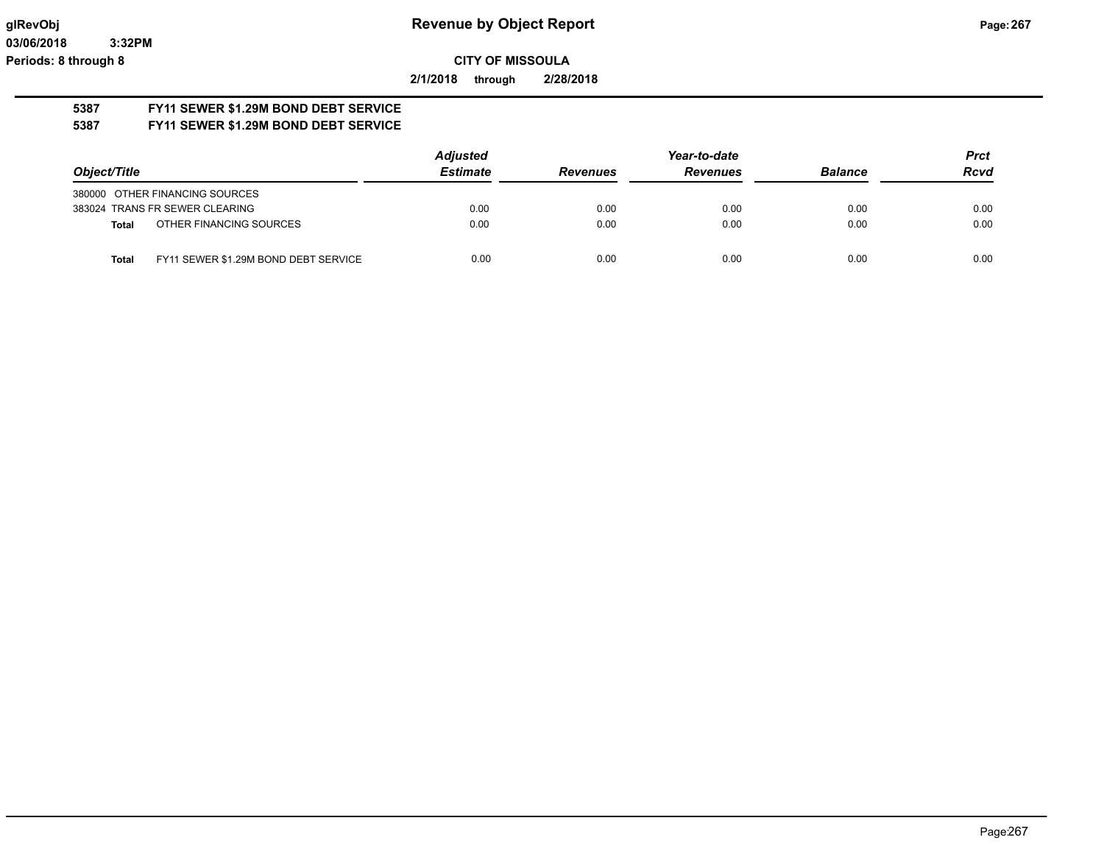**2/1/2018 through 2/28/2018**

#### **5387 FY11 SEWER \$1.29M BOND DEBT SERVICE 5387 FY11 SEWER \$1.29M BOND DEBT SERVICE**

|                                                      | <b>Adjusted</b> |                 | Year-to-date    |                | <b>Prct</b> |
|------------------------------------------------------|-----------------|-----------------|-----------------|----------------|-------------|
| Object/Title                                         | <b>Estimate</b> | <b>Revenues</b> | <b>Revenues</b> | <b>Balance</b> | <b>Rcvd</b> |
| 380000 OTHER FINANCING SOURCES                       |                 |                 |                 |                |             |
| 383024 TRANS FR SEWER CLEARING                       | 0.00            | 0.00            | 0.00            | 0.00           | 0.00        |
| OTHER FINANCING SOURCES<br><b>Total</b>              | 0.00            | 0.00            | 0.00            | 0.00           | 0.00        |
| FY11 SEWER \$1.29M BOND DEBT SERVICE<br><b>Total</b> | 0.00            | 0.00            | 0.00            | 0.00           | 0.00        |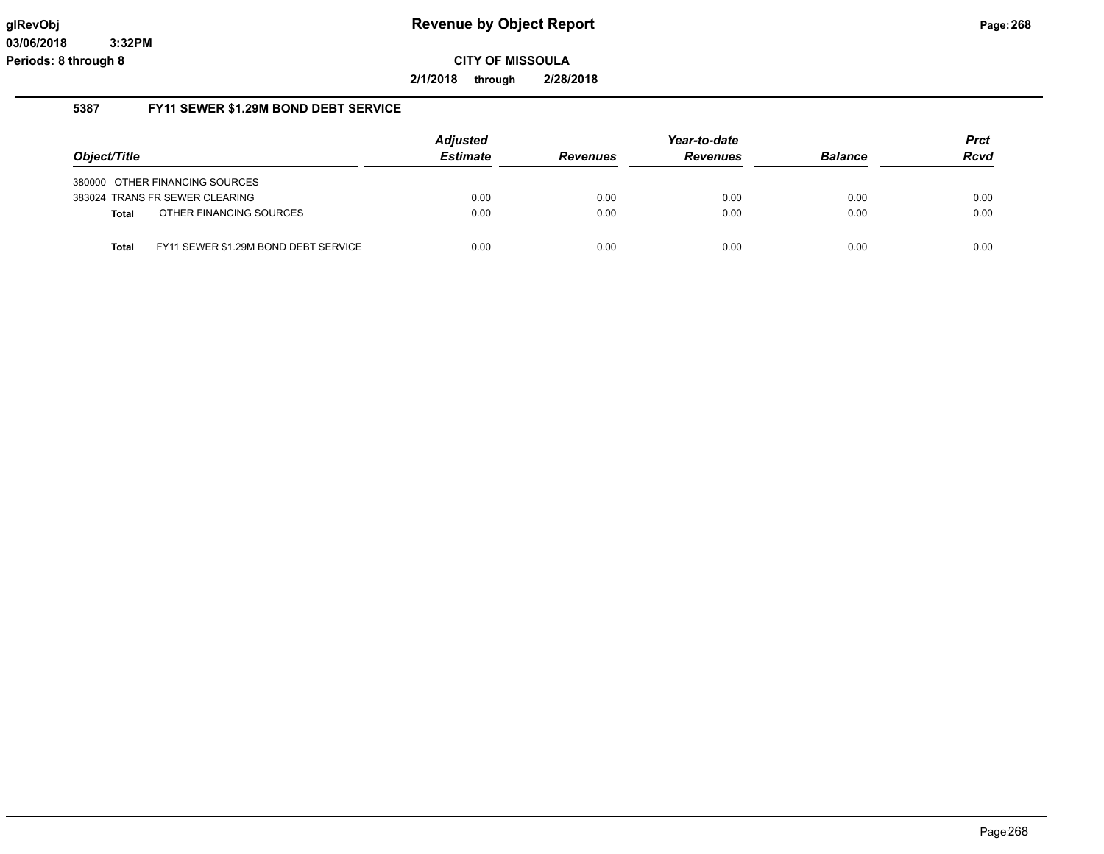**2/1/2018 through 2/28/2018**

# **5387 FY11 SEWER \$1.29M BOND DEBT SERVICE**

|              |                                      | <b>Adjusted</b> |                 | Year-to-date    |                | <b>Prct</b> |
|--------------|--------------------------------------|-----------------|-----------------|-----------------|----------------|-------------|
| Object/Title |                                      | <b>Estimate</b> | <b>Revenues</b> | <b>Revenues</b> | <b>Balance</b> | <b>Rcvd</b> |
|              | 380000 OTHER FINANCING SOURCES       |                 |                 |                 |                |             |
|              | 383024 TRANS FR SEWER CLEARING       | 0.00            | 0.00            | 0.00            | 0.00           | 0.00        |
| <b>Total</b> | OTHER FINANCING SOURCES              | 0.00            | 0.00            | 0.00            | 0.00           | 0.00        |
| <b>Total</b> | FY11 SEWER \$1.29M BOND DEBT SERVICE | 0.00            | 0.00            | 0.00            | 0.00           | 0.00        |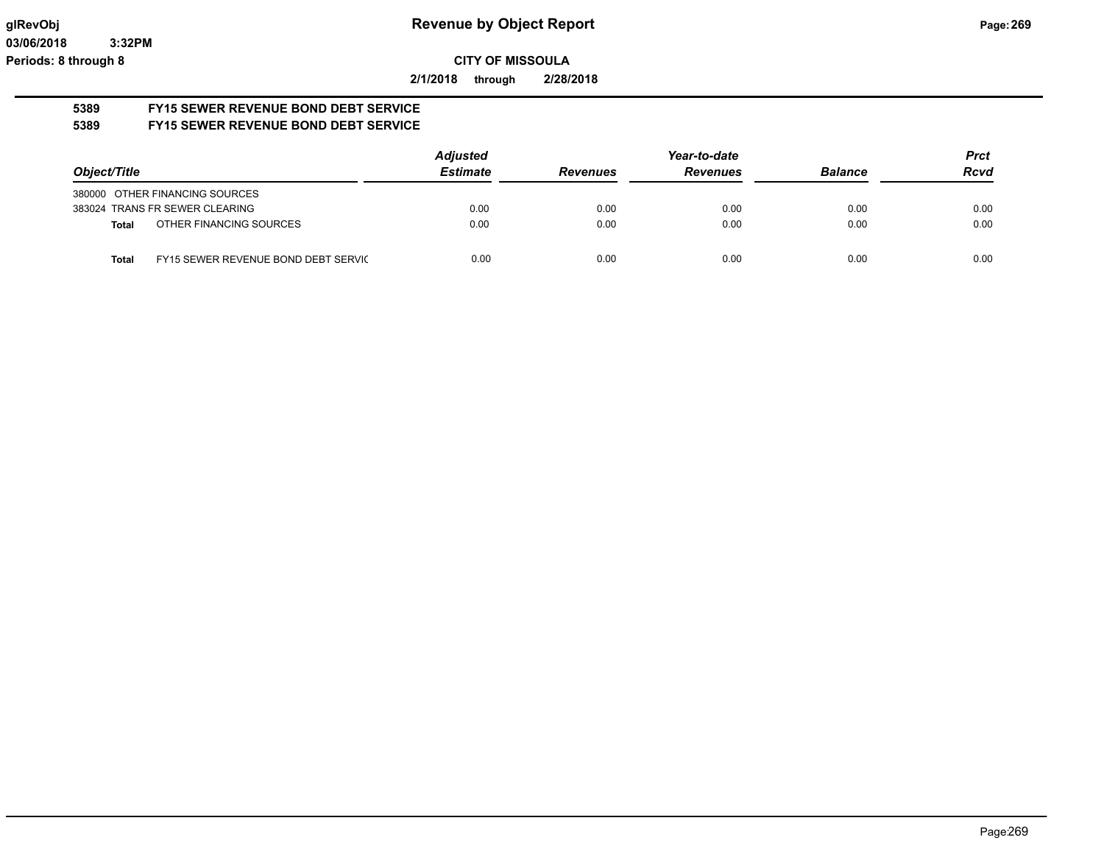**2/1/2018 through 2/28/2018**

#### **5389 FY15 SEWER REVENUE BOND DEBT SERVICE 5389 FY15 SEWER REVENUE BOND DEBT SERVICE**

|                                                     | <b>Adjusted</b> |                 | Year-to-date    |                | <b>Prct</b> |
|-----------------------------------------------------|-----------------|-----------------|-----------------|----------------|-------------|
| Object/Title                                        | <b>Estimate</b> | <b>Revenues</b> | <b>Revenues</b> | <b>Balance</b> | <b>Rcvd</b> |
| 380000 OTHER FINANCING SOURCES                      |                 |                 |                 |                |             |
| 383024 TRANS FR SEWER CLEARING                      | 0.00            | 0.00            | 0.00            | 0.00           | 0.00        |
| OTHER FINANCING SOURCES<br>Total                    | 0.00            | 0.00            | 0.00            | 0.00           | 0.00        |
| FY15 SEWER REVENUE BOND DEBT SERVIC<br><b>Total</b> | 0.00            | 0.00            | 0.00            | 0.00           | 0.00        |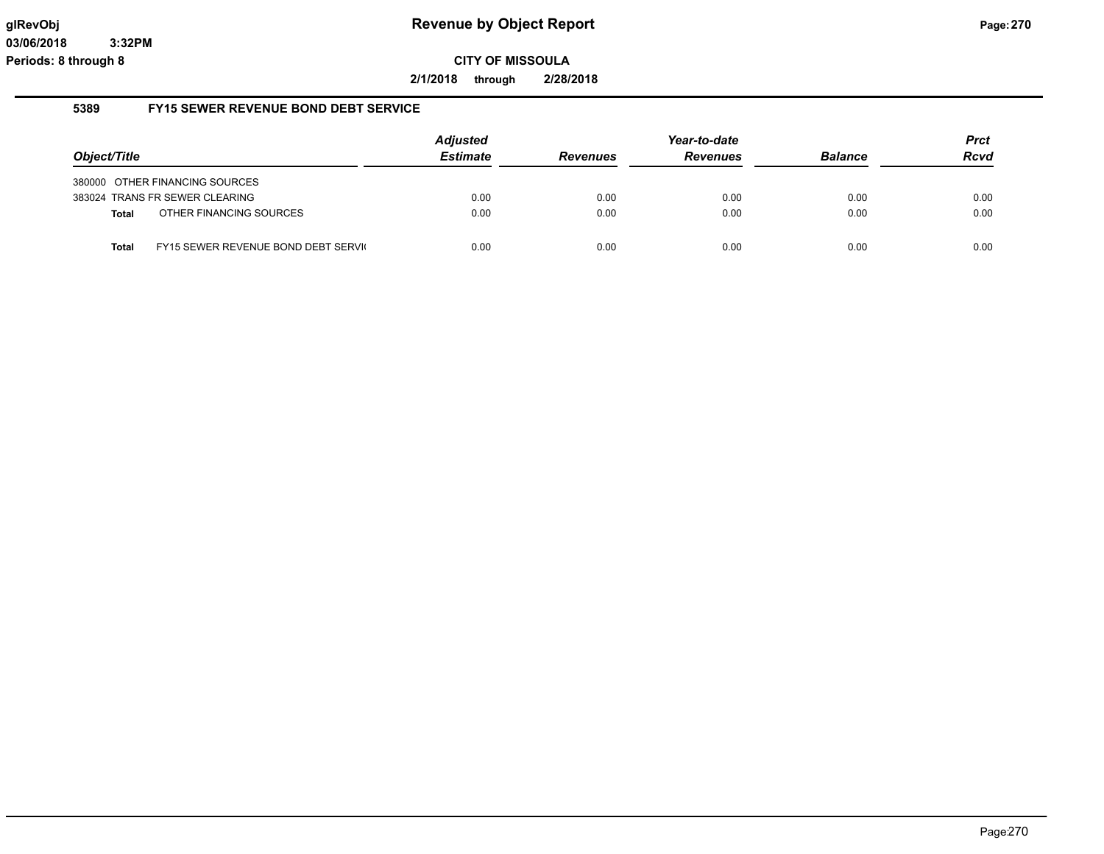**2/1/2018 through 2/28/2018**

#### **5389 FY15 SEWER REVENUE BOND DEBT SERVICE**

|              |                                     | <b>Adjusted</b> |                 | Year-to-date    |                | <b>Prct</b> |
|--------------|-------------------------------------|-----------------|-----------------|-----------------|----------------|-------------|
| Object/Title |                                     | <b>Estimate</b> | <b>Revenues</b> | <b>Revenues</b> | <b>Balance</b> | <b>Rcvd</b> |
|              | 380000 OTHER FINANCING SOURCES      |                 |                 |                 |                |             |
|              | 383024 TRANS FR SEWER CLEARING      | 0.00            | 0.00            | 0.00            | 0.00           | 0.00        |
| <b>Total</b> | OTHER FINANCING SOURCES             | 0.00            | 0.00            | 0.00            | 0.00           | 0.00        |
| Total        | FY15 SEWER REVENUE BOND DEBT SERVIC | 0.00            | 0.00            | 0.00            | 0.00           | 0.00        |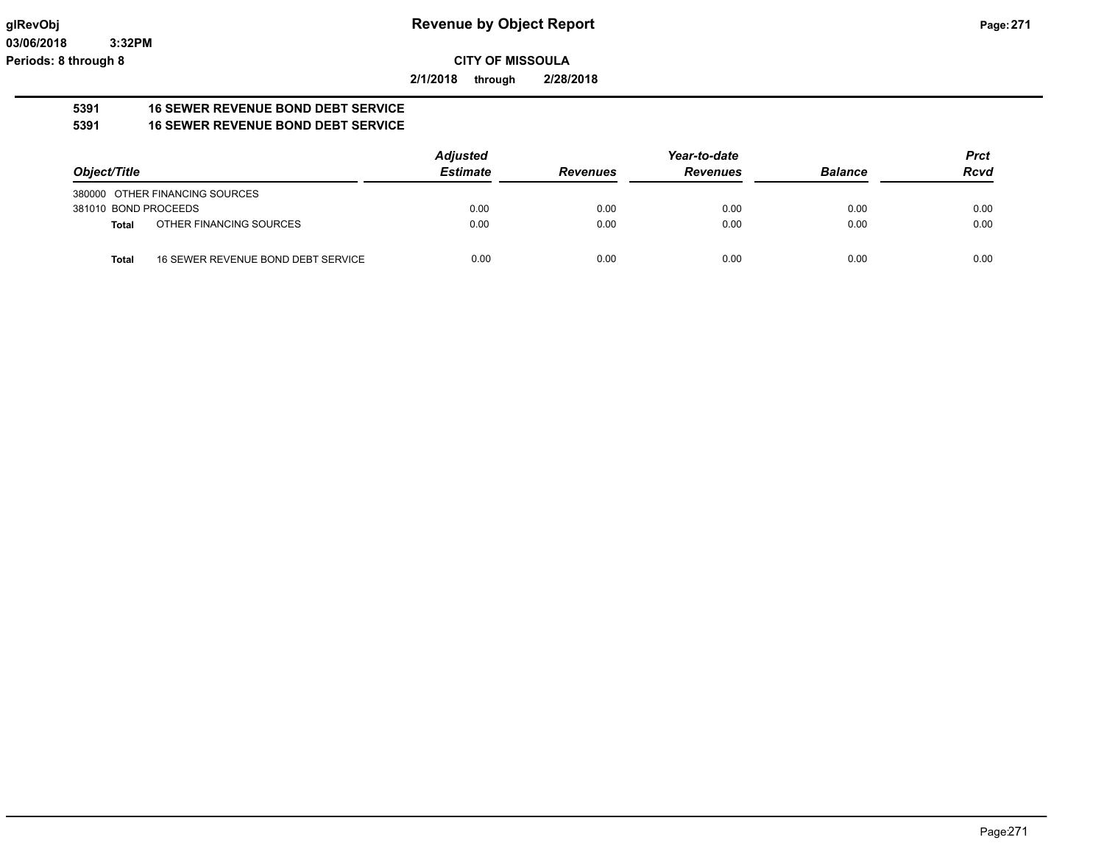**2/1/2018 through 2/28/2018**

#### **5391 16 SEWER REVENUE BOND DEBT SERVICE 5391 16 SEWER REVENUE BOND DEBT SERVICE**

|                      |                                    | <b>Adjusted</b> |                 | Year-to-date    |                | <b>Prct</b> |
|----------------------|------------------------------------|-----------------|-----------------|-----------------|----------------|-------------|
| Object/Title         |                                    | <b>Estimate</b> | <b>Revenues</b> | <b>Revenues</b> | <b>Balance</b> | <b>Rcvd</b> |
|                      | 380000 OTHER FINANCING SOURCES     |                 |                 |                 |                |             |
| 381010 BOND PROCEEDS |                                    | 0.00            | 0.00            | 0.00            | 0.00           | 0.00        |
| Total                | OTHER FINANCING SOURCES            | 0.00            | 0.00            | 0.00            | 0.00           | 0.00        |
| <b>Total</b>         | 16 SEWER REVENUE BOND DEBT SERVICE | 0.00            | 0.00            | 0.00            | 0.00           | 0.00        |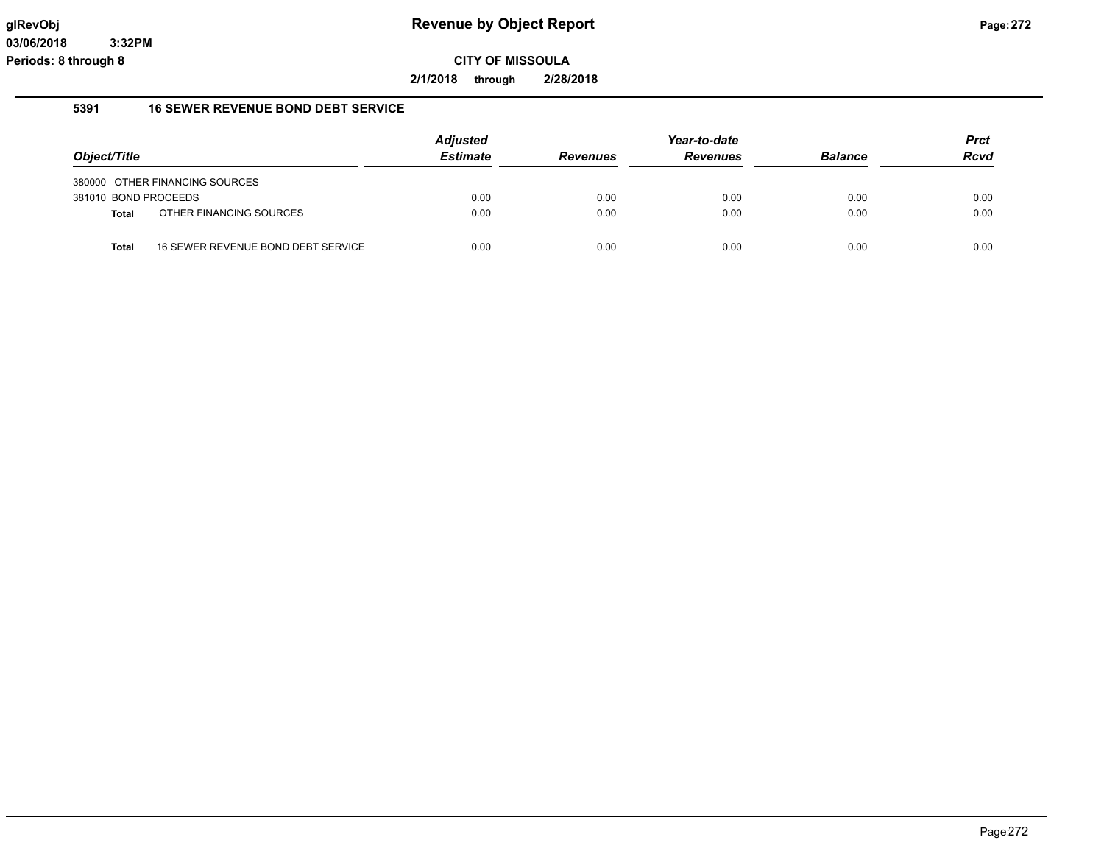**2/1/2018 through 2/28/2018**

#### **5391 16 SEWER REVENUE BOND DEBT SERVICE**

|                      |                                    | <b>Adjusted</b> |                 | Year-to-date    |                | <b>Prct</b> |
|----------------------|------------------------------------|-----------------|-----------------|-----------------|----------------|-------------|
| Object/Title         |                                    | <b>Estimate</b> | <b>Revenues</b> | <b>Revenues</b> | <b>Balance</b> | <b>Rcvd</b> |
|                      | 380000 OTHER FINANCING SOURCES     |                 |                 |                 |                |             |
| 381010 BOND PROCEEDS |                                    | 0.00            | 0.00            | 0.00            | 0.00           | 0.00        |
| <b>Total</b>         | OTHER FINANCING SOURCES            | 0.00            | 0.00            | 0.00            | 0.00           | 0.00        |
| <b>Total</b>         | 16 SEWER REVENUE BOND DEBT SERVICE | 0.00            | 0.00            | 0.00            | 0.00           | 0.00        |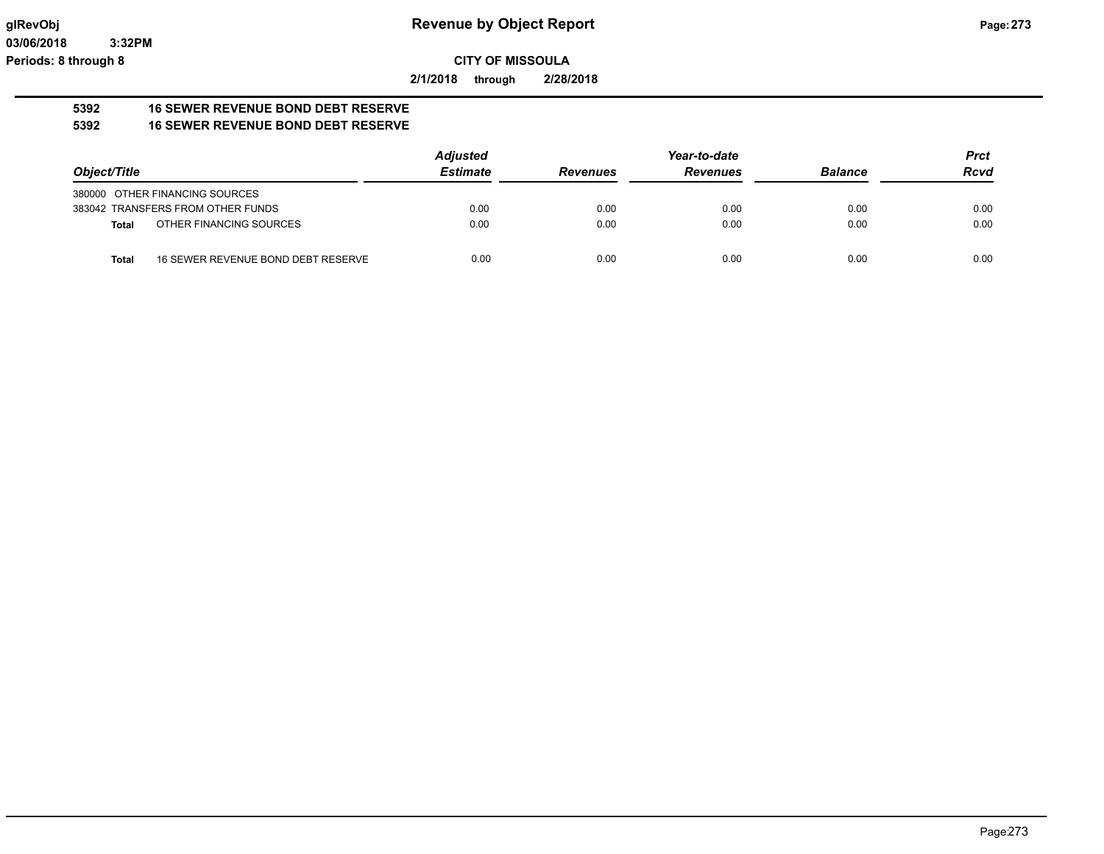**2/1/2018 through 2/28/2018**

#### **5392 16 SEWER REVENUE BOND DEBT RESERVE 5392 16 SEWER REVENUE BOND DEBT RESERVE**

|                                   |                                    | <b>Adjusted</b> |                 | Year-to-date    |                | <b>Prct</b> |
|-----------------------------------|------------------------------------|-----------------|-----------------|-----------------|----------------|-------------|
| Object/Title                      |                                    | <b>Estimate</b> | <b>Revenues</b> | <b>Revenues</b> | <b>Balance</b> | <b>Rcvd</b> |
| 380000 OTHER FINANCING SOURCES    |                                    |                 |                 |                 |                |             |
| 383042 TRANSFERS FROM OTHER FUNDS |                                    | 0.00            | 0.00            | 0.00            | 0.00           | 0.00        |
| Total                             | OTHER FINANCING SOURCES            | 0.00            | 0.00            | 0.00            | 0.00           | 0.00        |
| Total                             | 16 SEWER REVENUE BOND DEBT RESERVE | 0.00            | 0.00            | 0.00            | 0.00           | 0.00        |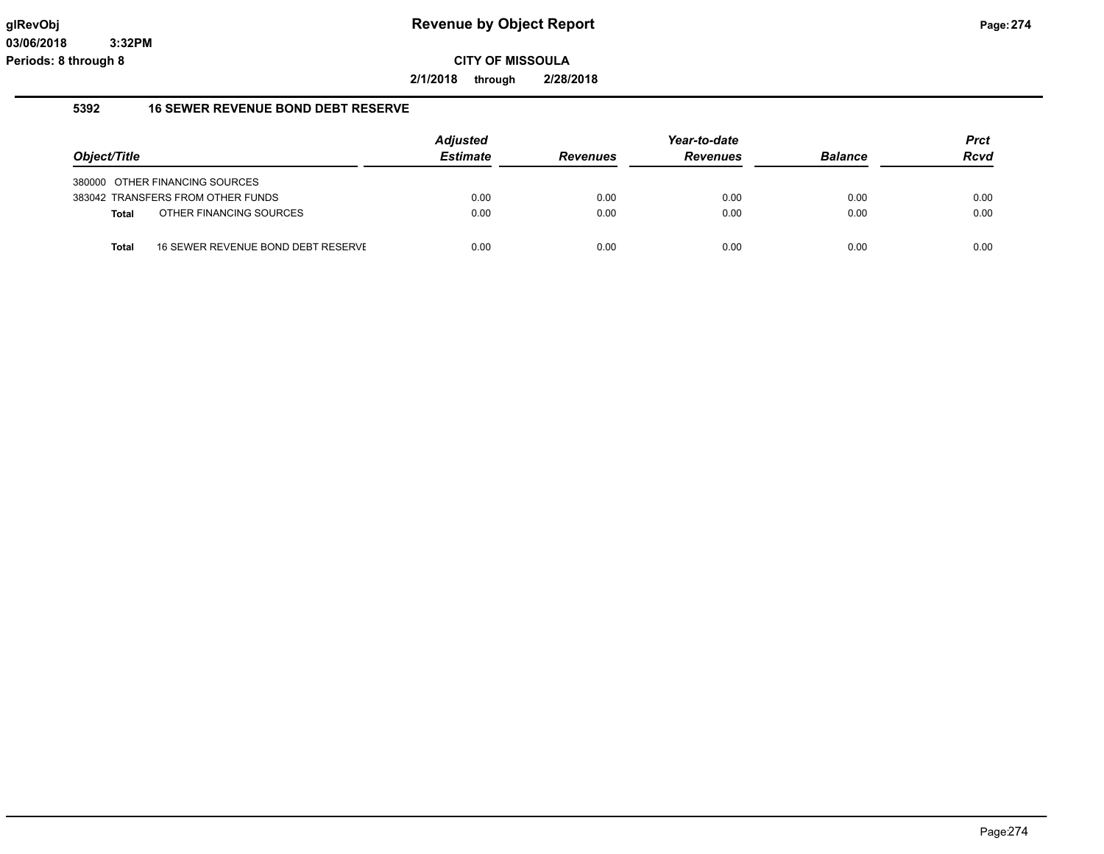**2/1/2018 through 2/28/2018**

#### **5392 16 SEWER REVENUE BOND DEBT RESERVE**

|              |                                    | <b>Adjusted</b> |                 | Year-to-date    |                | <b>Prct</b> |
|--------------|------------------------------------|-----------------|-----------------|-----------------|----------------|-------------|
| Object/Title |                                    | <b>Estimate</b> | <b>Revenues</b> | <b>Revenues</b> | <b>Balance</b> | <b>Rcvd</b> |
|              | 380000 OTHER FINANCING SOURCES     |                 |                 |                 |                |             |
|              | 383042 TRANSFERS FROM OTHER FUNDS  | 0.00            | 0.00            | 0.00            | 0.00           | 0.00        |
| <b>Total</b> | OTHER FINANCING SOURCES            | 0.00            | 0.00            | 0.00            | 0.00           | 0.00        |
| <b>Total</b> | 16 SEWER REVENUE BOND DEBT RESERVE | 0.00            | 0.00            | 0.00            | 0.00           | 0.00        |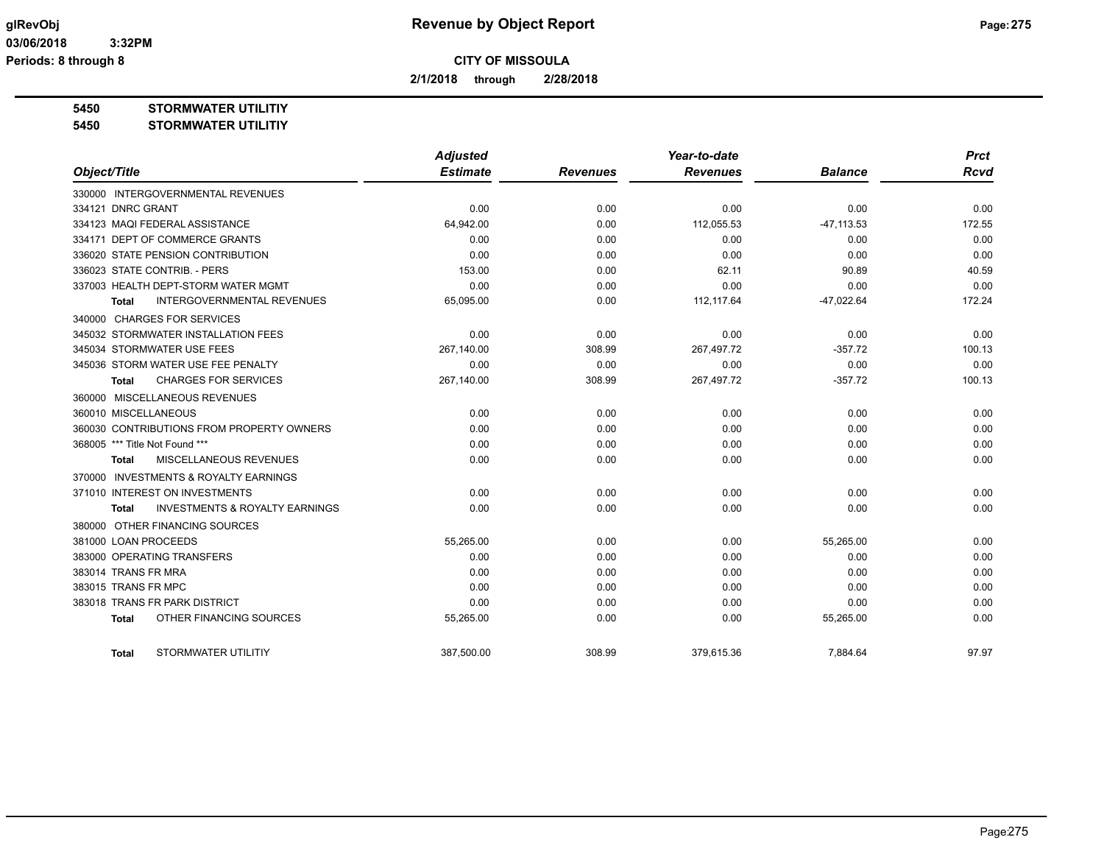**2/1/2018 through 2/28/2018**

**5450 STORMWATER UTILITIY**

#### **5450 STORMWATER UTILITIY**

|                                                     | <b>Adjusted</b> |                 | Year-to-date    |                | <b>Prct</b> |
|-----------------------------------------------------|-----------------|-----------------|-----------------|----------------|-------------|
| Object/Title                                        | <b>Estimate</b> | <b>Revenues</b> | <b>Revenues</b> | <b>Balance</b> | <b>Rcvd</b> |
| 330000 INTERGOVERNMENTAL REVENUES                   |                 |                 |                 |                |             |
| 334121 DNRC GRANT                                   | 0.00            | 0.00            | 0.00            | 0.00           | 0.00        |
| 334123 MAQI FEDERAL ASSISTANCE                      | 64,942.00       | 0.00            | 112,055.53      | $-47, 113.53$  | 172.55      |
| 334171 DEPT OF COMMERCE GRANTS                      | 0.00            | 0.00            | 0.00            | 0.00           | 0.00        |
| 336020 STATE PENSION CONTRIBUTION                   | 0.00            | 0.00            | 0.00            | 0.00           | 0.00        |
| 336023 STATE CONTRIB. - PERS                        | 153.00          | 0.00            | 62.11           | 90.89          | 40.59       |
| 337003 HEALTH DEPT-STORM WATER MGMT                 | 0.00            | 0.00            | 0.00            | 0.00           | 0.00        |
| <b>INTERGOVERNMENTAL REVENUES</b><br>Total          | 65,095.00       | 0.00            | 112,117.64      | $-47,022.64$   | 172.24      |
| 340000 CHARGES FOR SERVICES                         |                 |                 |                 |                |             |
| 345032 STORMWATER INSTALLATION FEES                 | 0.00            | 0.00            | 0.00            | 0.00           | 0.00        |
| 345034 STORMWATER USE FEES                          | 267,140.00      | 308.99          | 267,497.72      | $-357.72$      | 100.13      |
| 345036 STORM WATER USE FEE PENALTY                  | 0.00            | 0.00            | 0.00            | 0.00           | 0.00        |
| <b>CHARGES FOR SERVICES</b><br><b>Total</b>         | 267,140.00      | 308.99          | 267,497.72      | $-357.72$      | 100.13      |
| 360000 MISCELLANEOUS REVENUES                       |                 |                 |                 |                |             |
| 360010 MISCELLANEOUS                                | 0.00            | 0.00            | 0.00            | 0.00           | 0.00        |
| 360030 CONTRIBUTIONS FROM PROPERTY OWNERS           | 0.00            | 0.00            | 0.00            | 0.00           | 0.00        |
| 368005 *** Title Not Found ***                      | 0.00            | 0.00            | 0.00            | 0.00           | 0.00        |
| <b>MISCELLANEOUS REVENUES</b><br>Total              | 0.00            | 0.00            | 0.00            | 0.00           | 0.00        |
| <b>INVESTMENTS &amp; ROYALTY EARNINGS</b><br>370000 |                 |                 |                 |                |             |
| 371010 INTEREST ON INVESTMENTS                      | 0.00            | 0.00            | 0.00            | 0.00           | 0.00        |
| <b>INVESTMENTS &amp; ROYALTY EARNINGS</b><br>Total  | 0.00            | 0.00            | 0.00            | 0.00           | 0.00        |
| 380000 OTHER FINANCING SOURCES                      |                 |                 |                 |                |             |
| 381000 LOAN PROCEEDS                                | 55,265.00       | 0.00            | 0.00            | 55,265.00      | 0.00        |
| 383000 OPERATING TRANSFERS                          | 0.00            | 0.00            | 0.00            | 0.00           | 0.00        |
| 383014 TRANS FR MRA                                 | 0.00            | 0.00            | 0.00            | 0.00           | 0.00        |
| 383015 TRANS FR MPC                                 | 0.00            | 0.00            | 0.00            | 0.00           | 0.00        |
| 383018 TRANS FR PARK DISTRICT                       | 0.00            | 0.00            | 0.00            | 0.00           | 0.00        |
| OTHER FINANCING SOURCES<br><b>Total</b>             | 55,265.00       | 0.00            | 0.00            | 55,265.00      | 0.00        |
| STORMWATER UTILITIY<br>Total                        | 387.500.00      | 308.99          | 379.615.36      | 7.884.64       | 97.97       |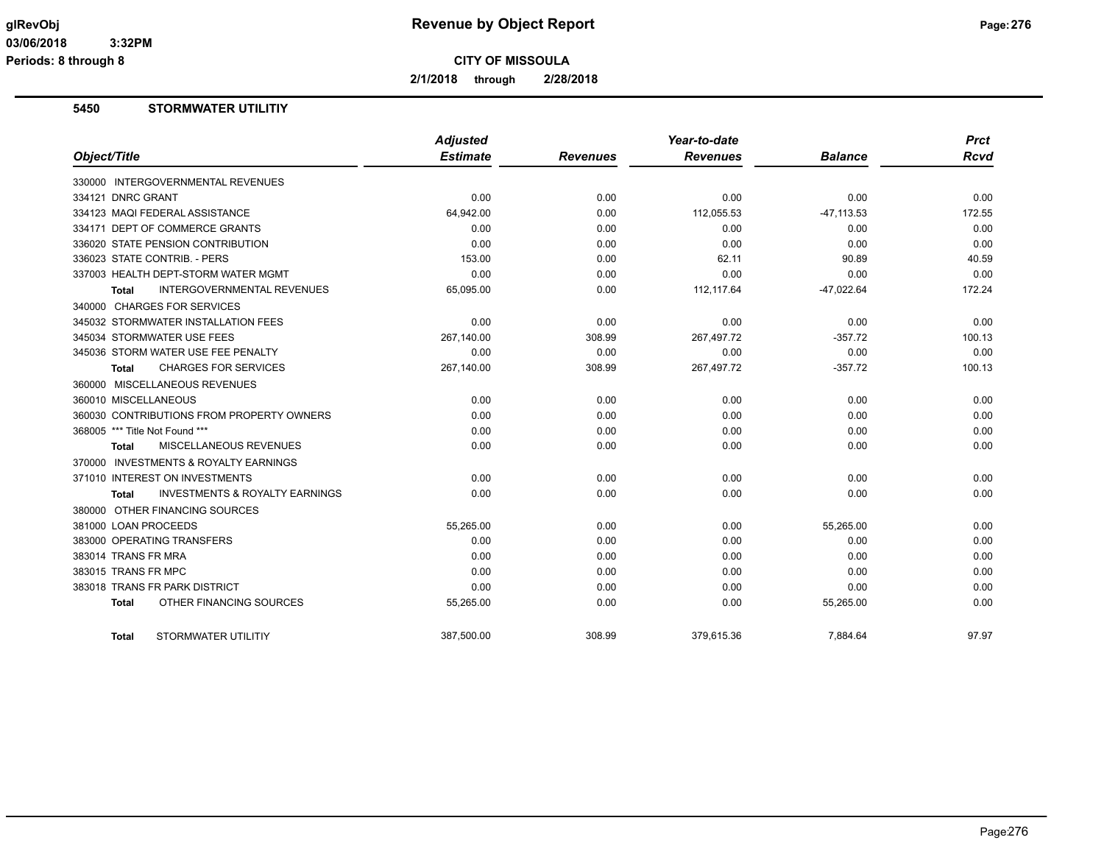**2/1/2018 through 2/28/2018**

# **5450 STORMWATER UTILITIY**

| Object/Title                                       | <b>Adjusted</b><br><b>Estimate</b> | <b>Revenues</b> | Year-to-date<br><b>Revenues</b> | <b>Balance</b> | <b>Prct</b><br><b>Rcvd</b> |
|----------------------------------------------------|------------------------------------|-----------------|---------------------------------|----------------|----------------------------|
| 330000 INTERGOVERNMENTAL REVENUES                  |                                    |                 |                                 |                |                            |
| 334121 DNRC GRANT                                  | 0.00                               | 0.00            | 0.00                            | 0.00           | 0.00                       |
| 334123 MAQI FEDERAL ASSISTANCE                     | 64,942.00                          | 0.00            | 112,055.53                      | $-47, 113.53$  | 172.55                     |
| 334171 DEPT OF COMMERCE GRANTS                     | 0.00                               | 0.00            | 0.00                            | 0.00           | 0.00                       |
| 336020 STATE PENSION CONTRIBUTION                  | 0.00                               | 0.00            | 0.00                            | 0.00           | 0.00                       |
| 336023 STATE CONTRIB. - PERS                       | 153.00                             | 0.00            | 62.11                           | 90.89          | 40.59                      |
| 337003 HEALTH DEPT-STORM WATER MGMT                | 0.00                               | 0.00            | 0.00                            | 0.00           | 0.00                       |
| <b>INTERGOVERNMENTAL REVENUES</b>                  | 65,095.00                          | 0.00            | 112, 117.64                     | $-47,022.64$   | 172.24                     |
| Total                                              |                                    |                 |                                 |                |                            |
| 340000 CHARGES FOR SERVICES                        |                                    |                 |                                 |                |                            |
| 345032 STORMWATER INSTALLATION FEES                | 0.00                               | 0.00            | 0.00                            | 0.00           | 0.00                       |
| 345034 STORMWATER USE FEES                         | 267.140.00                         | 308.99          | 267,497.72                      | $-357.72$      | 100.13                     |
| 345036 STORM WATER USE FEE PENALTY                 | 0.00                               | 0.00            | 0.00                            | 0.00           | 0.00                       |
| <b>CHARGES FOR SERVICES</b><br>Total               | 267,140.00                         | 308.99          | 267,497.72                      | $-357.72$      | 100.13                     |
| 360000 MISCELLANEOUS REVENUES                      |                                    |                 |                                 |                |                            |
| 360010 MISCELLANEOUS                               | 0.00                               | 0.00            | 0.00                            | 0.00           | 0.00                       |
| 360030 CONTRIBUTIONS FROM PROPERTY OWNERS          | 0.00                               | 0.00            | 0.00                            | 0.00           | 0.00                       |
| 368005 *** Title Not Found ***                     | 0.00                               | 0.00            | 0.00                            | 0.00           | 0.00                       |
| MISCELLANEOUS REVENUES<br>Total                    | 0.00                               | 0.00            | 0.00                            | 0.00           | 0.00                       |
| 370000 INVESTMENTS & ROYALTY EARNINGS              |                                    |                 |                                 |                |                            |
| 371010 INTEREST ON INVESTMENTS                     | 0.00                               | 0.00            | 0.00                            | 0.00           | 0.00                       |
| <b>INVESTMENTS &amp; ROYALTY EARNINGS</b><br>Total | 0.00                               | 0.00            | 0.00                            | 0.00           | 0.00                       |
| 380000 OTHER FINANCING SOURCES                     |                                    |                 |                                 |                |                            |
| 381000 LOAN PROCEEDS                               | 55,265.00                          | 0.00            | 0.00                            | 55,265.00      | 0.00                       |
| 383000 OPERATING TRANSFERS                         | 0.00                               | 0.00            | 0.00                            | 0.00           | 0.00                       |
| 383014 TRANS FR MRA                                | 0.00                               | 0.00            | 0.00                            | 0.00           | 0.00                       |
| 383015 TRANS FR MPC                                | 0.00                               | 0.00            | 0.00                            | 0.00           | 0.00                       |
| 383018 TRANS FR PARK DISTRICT                      | 0.00                               | 0.00            | 0.00                            | 0.00           | 0.00                       |
| OTHER FINANCING SOURCES<br><b>Total</b>            | 55,265.00                          | 0.00            | 0.00                            | 55,265.00      | 0.00                       |
| STORMWATER UTILITIY<br><b>Total</b>                | 387,500.00                         | 308.99          | 379,615.36                      | 7,884.64       | 97.97                      |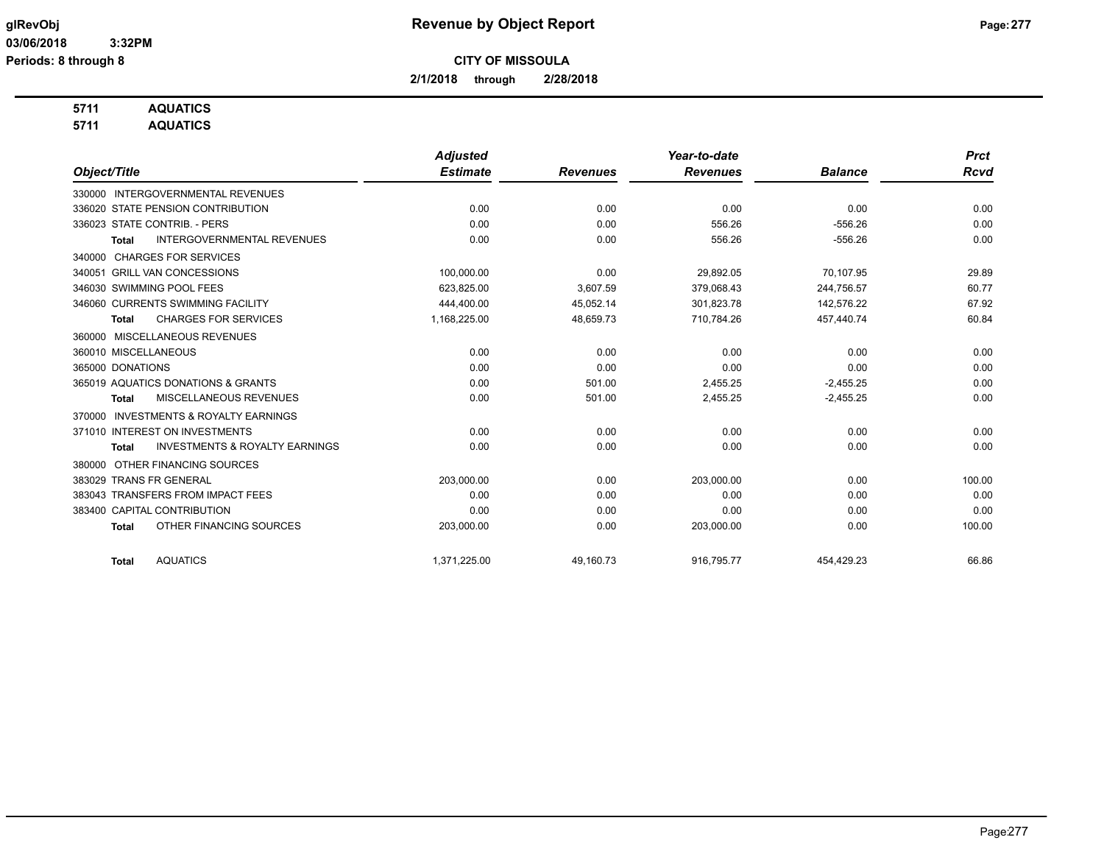**2/1/2018 through 2/28/2018**

# **5711 AQUATICS**

**5711 AQUATICS**

|                                                           | <b>Adjusted</b> |                 | Year-to-date    |                | <b>Prct</b> |
|-----------------------------------------------------------|-----------------|-----------------|-----------------|----------------|-------------|
| Object/Title                                              | <b>Estimate</b> | <b>Revenues</b> | <b>Revenues</b> | <b>Balance</b> | Rcvd        |
| 330000 INTERGOVERNMENTAL REVENUES                         |                 |                 |                 |                |             |
| 336020 STATE PENSION CONTRIBUTION                         | 0.00            | 0.00            | 0.00            | 0.00           | 0.00        |
| 336023 STATE CONTRIB. - PERS                              | 0.00            | 0.00            | 556.26          | $-556.26$      | 0.00        |
| <b>INTERGOVERNMENTAL REVENUES</b><br>Total                | 0.00            | 0.00            | 556.26          | $-556.26$      | 0.00        |
| <b>CHARGES FOR SERVICES</b><br>340000                     |                 |                 |                 |                |             |
| <b>GRILL VAN CONCESSIONS</b><br>340051                    | 100,000.00      | 0.00            | 29,892.05       | 70,107.95      | 29.89       |
| 346030 SWIMMING POOL FEES                                 | 623,825.00      | 3,607.59        | 379,068.43      | 244,756.57     | 60.77       |
| 346060 CURRENTS SWIMMING FACILITY                         | 444,400.00      | 45,052.14       | 301,823.78      | 142,576.22     | 67.92       |
| <b>CHARGES FOR SERVICES</b><br><b>Total</b>               | 1,168,225.00    | 48,659.73       | 710,784.26      | 457,440.74     | 60.84       |
| MISCELLANEOUS REVENUES<br>360000                          |                 |                 |                 |                |             |
| 360010 MISCELLANEOUS                                      | 0.00            | 0.00            | 0.00            | 0.00           | 0.00        |
| 365000 DONATIONS                                          | 0.00            | 0.00            | 0.00            | 0.00           | 0.00        |
| 365019 AQUATICS DONATIONS & GRANTS                        | 0.00            | 501.00          | 2,455.25        | $-2,455.25$    | 0.00        |
| MISCELLANEOUS REVENUES<br><b>Total</b>                    | 0.00            | 501.00          | 2,455.25        | $-2,455.25$    | 0.00        |
| <b>INVESTMENTS &amp; ROYALTY EARNINGS</b><br>370000       |                 |                 |                 |                |             |
| 371010 INTEREST ON INVESTMENTS                            | 0.00            | 0.00            | 0.00            | 0.00           | 0.00        |
| <b>INVESTMENTS &amp; ROYALTY EARNINGS</b><br><b>Total</b> | 0.00            | 0.00            | 0.00            | 0.00           | 0.00        |
| OTHER FINANCING SOURCES<br>380000                         |                 |                 |                 |                |             |
| 383029 TRANS FR GENERAL                                   | 203,000.00      | 0.00            | 203,000.00      | 0.00           | 100.00      |
| 383043 TRANSFERS FROM IMPACT FEES                         | 0.00            | 0.00            | 0.00            | 0.00           | 0.00        |
| 383400 CAPITAL CONTRIBUTION                               | 0.00            | 0.00            | 0.00            | 0.00           | 0.00        |
| OTHER FINANCING SOURCES<br><b>Total</b>                   | 203,000.00      | 0.00            | 203,000.00      | 0.00           | 100.00      |
| <b>AQUATICS</b>                                           |                 |                 |                 |                |             |
| <b>Total</b>                                              | 1,371,225.00    | 49.160.73       | 916,795.77      | 454.429.23     | 66.86       |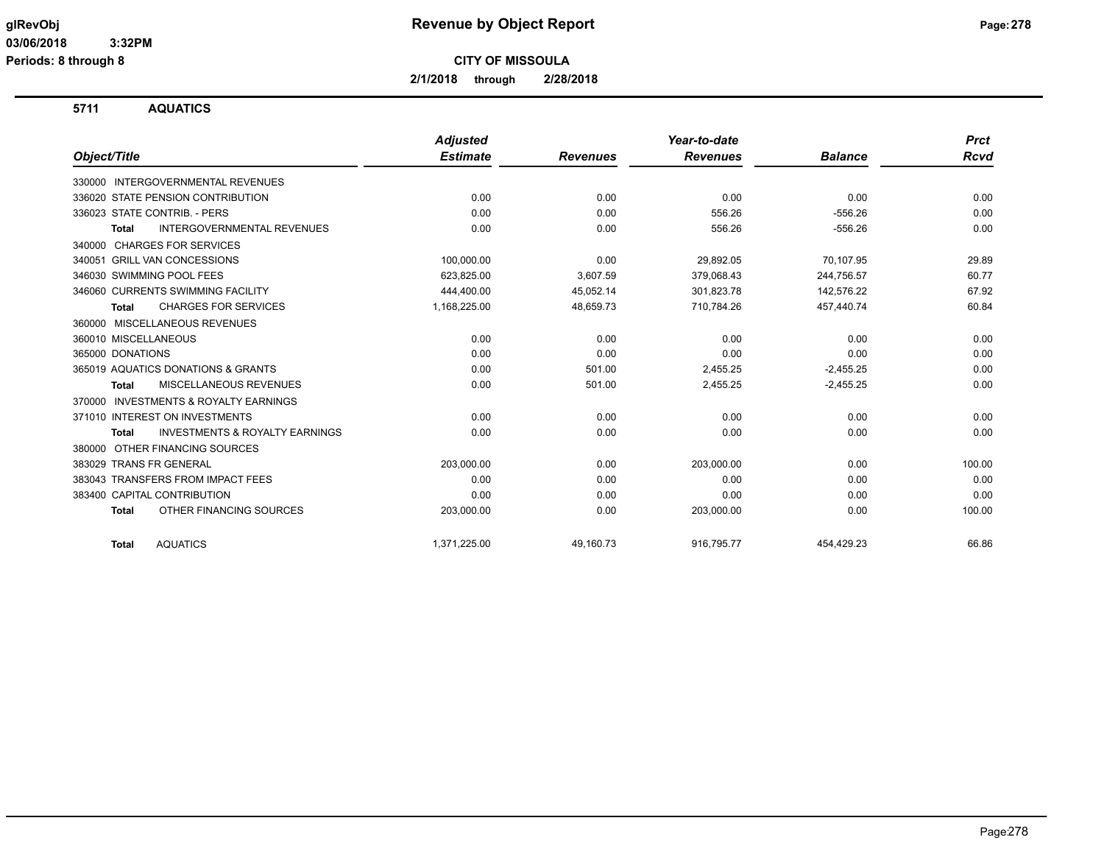**2/1/2018 through 2/28/2018**

**5711 AQUATICS**

|                                                           | <b>Adjusted</b> |                 | Year-to-date    |                | <b>Prct</b> |
|-----------------------------------------------------------|-----------------|-----------------|-----------------|----------------|-------------|
| Object/Title                                              | <b>Estimate</b> | <b>Revenues</b> | <b>Revenues</b> | <b>Balance</b> | <b>Rcvd</b> |
| 330000 INTERGOVERNMENTAL REVENUES                         |                 |                 |                 |                |             |
| 336020 STATE PENSION CONTRIBUTION                         | 0.00            | 0.00            | 0.00            | 0.00           | 0.00        |
| 336023 STATE CONTRIB. - PERS                              | 0.00            | 0.00            | 556.26          | $-556.26$      | 0.00        |
| <b>INTERGOVERNMENTAL REVENUES</b><br><b>Total</b>         | 0.00            | 0.00            | 556.26          | $-556.26$      | 0.00        |
| 340000 CHARGES FOR SERVICES                               |                 |                 |                 |                |             |
| 340051 GRILL VAN CONCESSIONS                              | 100,000.00      | 0.00            | 29,892.05       | 70,107.95      | 29.89       |
| 346030 SWIMMING POOL FEES                                 | 623,825.00      | 3,607.59        | 379,068.43      | 244,756.57     | 60.77       |
| 346060 CURRENTS SWIMMING FACILITY                         | 444,400.00      | 45,052.14       | 301,823.78      | 142,576.22     | 67.92       |
| <b>CHARGES FOR SERVICES</b><br><b>Total</b>               | 1,168,225.00    | 48,659.73       | 710,784.26      | 457,440.74     | 60.84       |
| 360000 MISCELLANEOUS REVENUES                             |                 |                 |                 |                |             |
| 360010 MISCELLANEOUS                                      | 0.00            | 0.00            | 0.00            | 0.00           | 0.00        |
| 365000 DONATIONS                                          | 0.00            | 0.00            | 0.00            | 0.00           | 0.00        |
| 365019 AQUATICS DONATIONS & GRANTS                        | 0.00            | 501.00          | 2,455.25        | $-2,455.25$    | 0.00        |
| MISCELLANEOUS REVENUES<br>Total                           | 0.00            | 501.00          | 2,455.25        | $-2,455.25$    | 0.00        |
| <b>INVESTMENTS &amp; ROYALTY EARNINGS</b><br>370000       |                 |                 |                 |                |             |
| 371010 INTEREST ON INVESTMENTS                            | 0.00            | 0.00            | 0.00            | 0.00           | 0.00        |
| <b>INVESTMENTS &amp; ROYALTY EARNINGS</b><br><b>Total</b> | 0.00            | 0.00            | 0.00            | 0.00           | 0.00        |
| 380000 OTHER FINANCING SOURCES                            |                 |                 |                 |                |             |
| 383029 TRANS FR GENERAL                                   | 203,000.00      | 0.00            | 203,000.00      | 0.00           | 100.00      |
| 383043 TRANSFERS FROM IMPACT FEES                         | 0.00            | 0.00            | 0.00            | 0.00           | 0.00        |
| 383400 CAPITAL CONTRIBUTION                               | 0.00            | 0.00            | 0.00            | 0.00           | 0.00        |
| OTHER FINANCING SOURCES<br><b>Total</b>                   | 203,000.00      | 0.00            | 203,000.00      | 0.00           | 100.00      |
| <b>AQUATICS</b><br><b>Total</b>                           | 1.371.225.00    | 49.160.73       | 916.795.77      | 454.429.23     | 66.86       |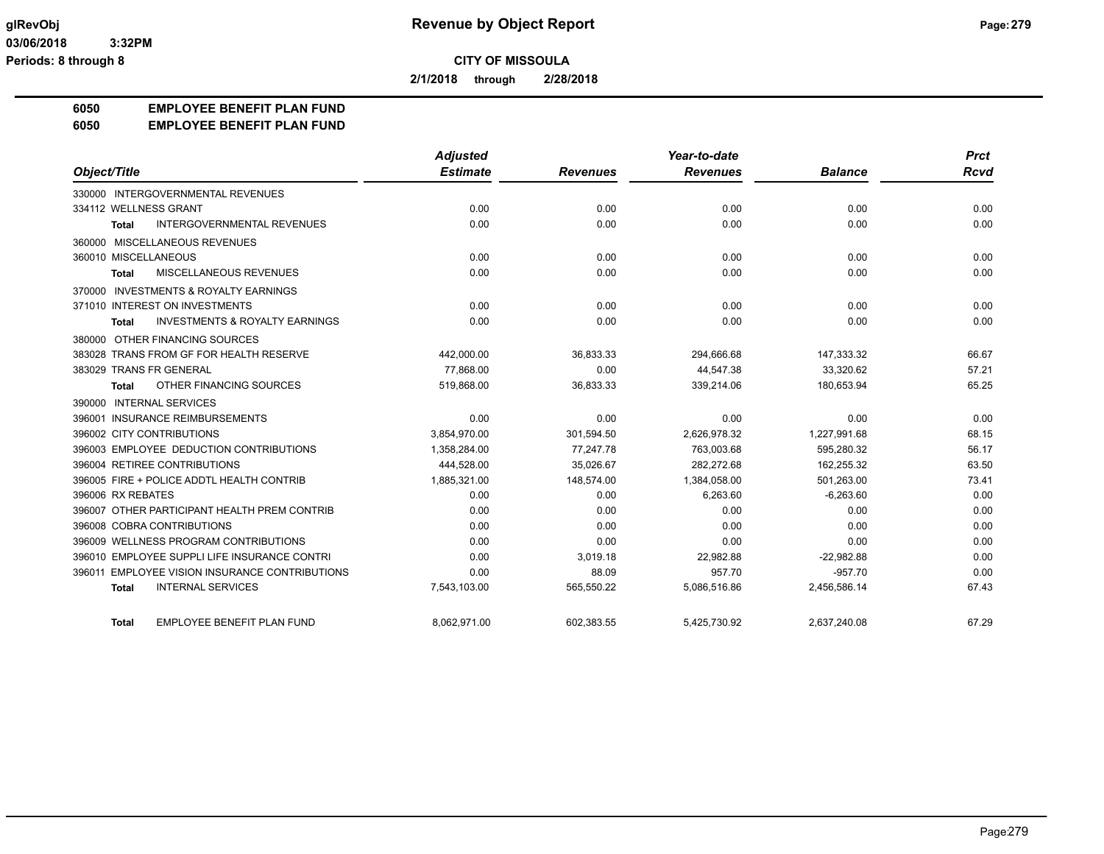**2/1/2018 through 2/28/2018**

#### **6050 EMPLOYEE BENEFIT PLAN FUND**

#### **6050 EMPLOYEE BENEFIT PLAN FUND**

|                                                    | <b>Adjusted</b> |                 | Year-to-date    |                | <b>Prct</b> |
|----------------------------------------------------|-----------------|-----------------|-----------------|----------------|-------------|
| Object/Title                                       | <b>Estimate</b> | <b>Revenues</b> | <b>Revenues</b> | <b>Balance</b> | Rcvd        |
| 330000 INTERGOVERNMENTAL REVENUES                  |                 |                 |                 |                |             |
| 334112 WELLNESS GRANT                              | 0.00            | 0.00            | 0.00            | 0.00           | 0.00        |
| <b>INTERGOVERNMENTAL REVENUES</b><br><b>Total</b>  | 0.00            | 0.00            | 0.00            | 0.00           | 0.00        |
| 360000 MISCELLANEOUS REVENUES                      |                 |                 |                 |                |             |
| 360010 MISCELLANEOUS                               | 0.00            | 0.00            | 0.00            | 0.00           | 0.00        |
| MISCELLANEOUS REVENUES<br><b>Total</b>             | 0.00            | 0.00            | 0.00            | 0.00           | 0.00        |
| 370000 INVESTMENTS & ROYALTY EARNINGS              |                 |                 |                 |                |             |
| 371010 INTEREST ON INVESTMENTS                     | 0.00            | 0.00            | 0.00            | 0.00           | 0.00        |
| <b>INVESTMENTS &amp; ROYALTY EARNINGS</b><br>Total | 0.00            | 0.00            | 0.00            | 0.00           | 0.00        |
| 380000 OTHER FINANCING SOURCES                     |                 |                 |                 |                |             |
| 383028 TRANS FROM GF FOR HEALTH RESERVE            | 442,000.00      | 36,833.33       | 294,666.68      | 147,333.32     | 66.67       |
| 383029 TRANS FR GENERAL                            | 77.868.00       | 0.00            | 44,547.38       | 33,320.62      | 57.21       |
| OTHER FINANCING SOURCES<br>Total                   | 519.868.00      | 36,833.33       | 339,214.06      | 180,653.94     | 65.25       |
| 390000 INTERNAL SERVICES                           |                 |                 |                 |                |             |
| 396001 INSURANCE REIMBURSEMENTS                    | 0.00            | 0.00            | 0.00            | 0.00           | 0.00        |
| 396002 CITY CONTRIBUTIONS                          | 3,854,970.00    | 301,594.50      | 2,626,978.32    | 1,227,991.68   | 68.15       |
| 396003 EMPLOYEE DEDUCTION CONTRIBUTIONS            | 1,358,284.00    | 77.247.78       | 763.003.68      | 595,280.32     | 56.17       |
| 396004 RETIREE CONTRIBUTIONS                       | 444,528.00      | 35,026.67       | 282,272.68      | 162,255.32     | 63.50       |
| 396005 FIRE + POLICE ADDTL HEALTH CONTRIB          | 1,885,321.00    | 148,574.00      | 1,384,058.00    | 501,263.00     | 73.41       |
| 396006 RX REBATES                                  | 0.00            | 0.00            | 6,263.60        | $-6,263.60$    | 0.00        |
| 396007 OTHER PARTICIPANT HEALTH PREM CONTRIB       | 0.00            | 0.00            | 0.00            | 0.00           | 0.00        |
| 396008 COBRA CONTRIBUTIONS                         | 0.00            | 0.00            | 0.00            | 0.00           | 0.00        |
| 396009 WELLNESS PROGRAM CONTRIBUTIONS              | 0.00            | 0.00            | 0.00            | 0.00           | 0.00        |
| 396010 EMPLOYEE SUPPLI LIFE INSURANCE CONTRI       | 0.00            | 3,019.18        | 22,982.88       | $-22,982.88$   | 0.00        |
| 396011 EMPLOYEE VISION INSURANCE CONTRIBUTIONS     | 0.00            | 88.09           | 957.70          | $-957.70$      | 0.00        |
| <b>INTERNAL SERVICES</b><br><b>Total</b>           | 7,543,103.00    | 565,550.22      | 5,086,516.86    | 2,456,586.14   | 67.43       |
| EMPLOYEE BENEFIT PLAN FUND<br><b>Total</b>         | 8,062,971.00    | 602,383.55      | 5,425,730.92    | 2,637,240.08   | 67.29       |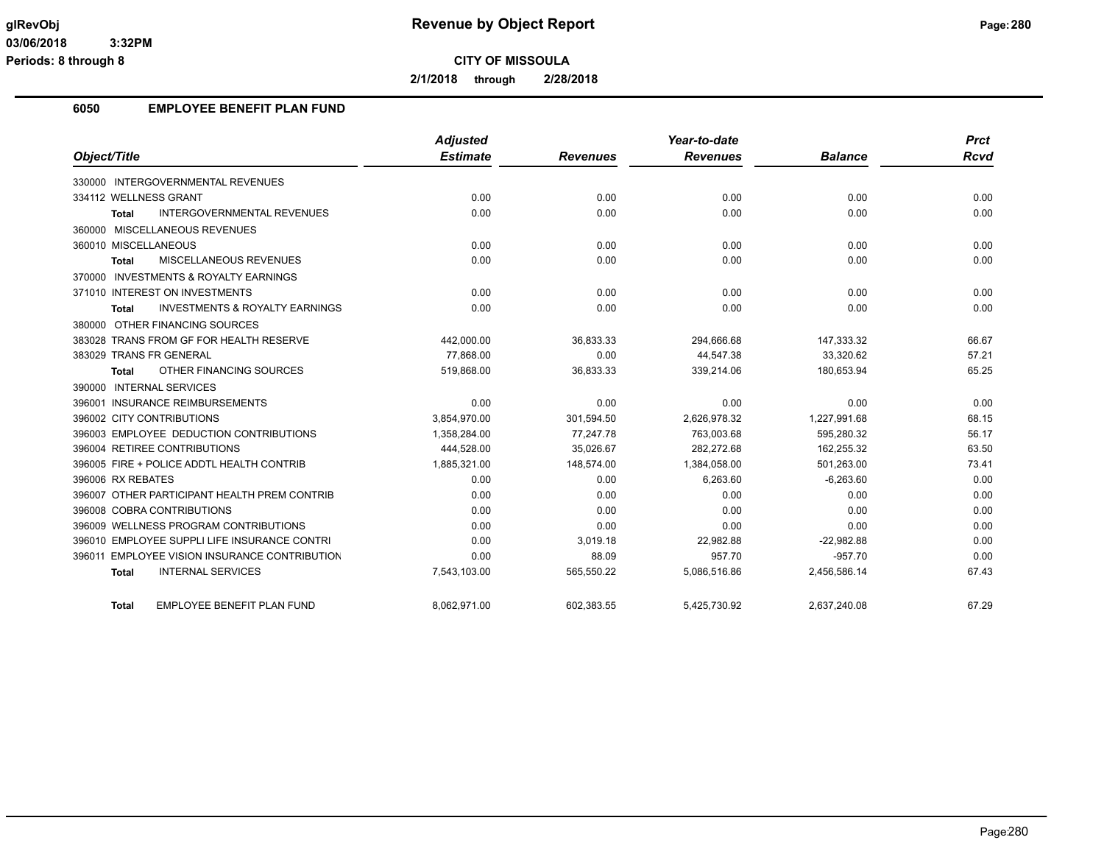**2/1/2018 through 2/28/2018**

#### **6050 EMPLOYEE BENEFIT PLAN FUND**

|                                                           | <b>Adjusted</b> |                 | Year-to-date    |                | <b>Prct</b> |
|-----------------------------------------------------------|-----------------|-----------------|-----------------|----------------|-------------|
| Object/Title                                              | <b>Estimate</b> | <b>Revenues</b> | <b>Revenues</b> | <b>Balance</b> | Rcvd        |
| 330000 INTERGOVERNMENTAL REVENUES                         |                 |                 |                 |                |             |
| 334112 WELLNESS GRANT                                     | 0.00            | 0.00            | 0.00            | 0.00           | 0.00        |
| <b>INTERGOVERNMENTAL REVENUES</b><br>Total                | 0.00            | 0.00            | 0.00            | 0.00           | 0.00        |
| 360000 MISCELLANEOUS REVENUES                             |                 |                 |                 |                |             |
| 360010 MISCELLANEOUS                                      | 0.00            | 0.00            | 0.00            | 0.00           | 0.00        |
| MISCELLANEOUS REVENUES<br><b>Total</b>                    | 0.00            | 0.00            | 0.00            | 0.00           | 0.00        |
| 370000 INVESTMENTS & ROYALTY EARNINGS                     |                 |                 |                 |                |             |
| 371010 INTEREST ON INVESTMENTS                            | 0.00            | 0.00            | 0.00            | 0.00           | 0.00        |
| <b>INVESTMENTS &amp; ROYALTY EARNINGS</b><br><b>Total</b> | 0.00            | 0.00            | 0.00            | 0.00           | 0.00        |
| 380000 OTHER FINANCING SOURCES                            |                 |                 |                 |                |             |
| 383028 TRANS FROM GF FOR HEALTH RESERVE                   | 442,000.00      | 36,833.33       | 294,666.68      | 147,333.32     | 66.67       |
| 383029 TRANS FR GENERAL                                   | 77.868.00       | 0.00            | 44,547.38       | 33,320.62      | 57.21       |
| OTHER FINANCING SOURCES<br>Total                          | 519,868.00      | 36,833.33       | 339,214.06      | 180,653.94     | 65.25       |
| 390000 INTERNAL SERVICES                                  |                 |                 |                 |                |             |
| 396001 INSURANCE REIMBURSEMENTS                           | 0.00            | 0.00            | 0.00            | 0.00           | 0.00        |
| 396002 CITY CONTRIBUTIONS                                 | 3,854,970.00    | 301,594.50      | 2,626,978.32    | 1,227,991.68   | 68.15       |
| 396003 EMPLOYEE DEDUCTION CONTRIBUTIONS                   | 1,358,284.00    | 77,247.78       | 763,003.68      | 595,280.32     | 56.17       |
| 396004 RETIREE CONTRIBUTIONS                              | 444,528.00      | 35,026.67       | 282.272.68      | 162,255.32     | 63.50       |
| 396005 FIRE + POLICE ADDTL HEALTH CONTRIB                 | 1,885,321.00    | 148,574.00      | 1,384,058.00    | 501,263.00     | 73.41       |
| 396006 RX REBATES                                         | 0.00            | 0.00            | 6,263.60        | $-6,263.60$    | 0.00        |
| 396007 OTHER PARTICIPANT HEALTH PREM CONTRIB              | 0.00            | 0.00            | 0.00            | 0.00           | 0.00        |
| 396008 COBRA CONTRIBUTIONS                                | 0.00            | 0.00            | 0.00            | 0.00           | 0.00        |
| 396009 WELLNESS PROGRAM CONTRIBUTIONS                     | 0.00            | 0.00            | 0.00            | 0.00           | 0.00        |
| 396010 EMPLOYEE SUPPLI LIFE INSURANCE CONTRI              | 0.00            | 3,019.18        | 22,982.88       | $-22,982.88$   | 0.00        |
| 396011 EMPLOYEE VISION INSURANCE CONTRIBUTION             | 0.00            | 88.09           | 957.70          | $-957.70$      | 0.00        |
| <b>INTERNAL SERVICES</b><br><b>Total</b>                  | 7,543,103.00    | 565,550.22      | 5,086,516.86    | 2,456,586.14   | 67.43       |
| EMPLOYEE BENEFIT PLAN FUND<br>Total                       | 8.062.971.00    | 602.383.55      | 5,425,730.92    | 2.637.240.08   | 67.29       |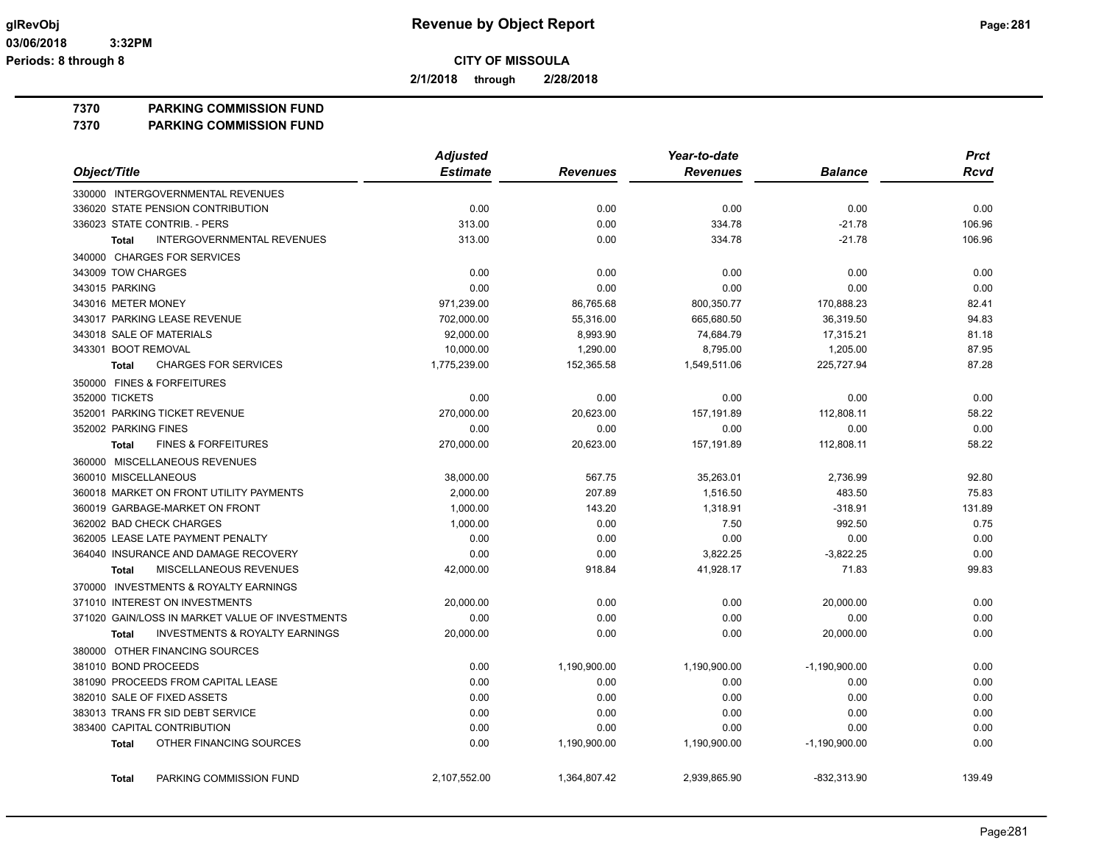**2/1/2018 through 2/28/2018**

**7370 PARKING COMMISSION FUND**

**7370 PARKING COMMISSION FUND**

|                                                           | <b>Adjusted</b> |                 | Year-to-date    |                 | <b>Prct</b> |
|-----------------------------------------------------------|-----------------|-----------------|-----------------|-----------------|-------------|
| Object/Title                                              | <b>Estimate</b> | <b>Revenues</b> | <b>Revenues</b> | <b>Balance</b>  | <b>Rcvd</b> |
| 330000 INTERGOVERNMENTAL REVENUES                         |                 |                 |                 |                 |             |
| 336020 STATE PENSION CONTRIBUTION                         | 0.00            | 0.00            | 0.00            | 0.00            | 0.00        |
| 336023 STATE CONTRIB. - PERS                              | 313.00          | 0.00            | 334.78          | $-21.78$        | 106.96      |
| <b>INTERGOVERNMENTAL REVENUES</b><br><b>Total</b>         | 313.00          | 0.00            | 334.78          | $-21.78$        | 106.96      |
| 340000 CHARGES FOR SERVICES                               |                 |                 |                 |                 |             |
| 343009 TOW CHARGES                                        | 0.00            | 0.00            | 0.00            | 0.00            | 0.00        |
| 343015 PARKING                                            | 0.00            | 0.00            | 0.00            | 0.00            | 0.00        |
| 343016 METER MONEY                                        | 971,239.00      | 86,765.68       | 800,350.77      | 170,888.23      | 82.41       |
| 343017 PARKING LEASE REVENUE                              | 702,000.00      | 55,316.00       | 665,680.50      | 36,319.50       | 94.83       |
| 343018 SALE OF MATERIALS                                  | 92,000.00       | 8,993.90        | 74,684.79       | 17,315.21       | 81.18       |
| 343301 BOOT REMOVAL                                       | 10,000.00       | 1,290.00        | 8,795.00        | 1,205.00        | 87.95       |
| <b>CHARGES FOR SERVICES</b><br><b>Total</b>               | 1,775,239.00    | 152,365.58      | 1,549,511.06    | 225,727.94      | 87.28       |
| 350000 FINES & FORFEITURES                                |                 |                 |                 |                 |             |
| 352000 TICKETS                                            | 0.00            | 0.00            | 0.00            | 0.00            | 0.00        |
| 352001 PARKING TICKET REVENUE                             | 270,000.00      | 20,623.00       | 157,191.89      | 112,808.11      | 58.22       |
| 352002 PARKING FINES                                      | 0.00            | 0.00            | 0.00            | 0.00            | 0.00        |
| <b>FINES &amp; FORFEITURES</b><br><b>Total</b>            | 270,000.00      | 20,623.00       | 157,191.89      | 112,808.11      | 58.22       |
| 360000 MISCELLANEOUS REVENUES                             |                 |                 |                 |                 |             |
| 360010 MISCELLANEOUS                                      | 38,000.00       | 567.75          | 35,263.01       | 2,736.99        | 92.80       |
| 360018 MARKET ON FRONT UTILITY PAYMENTS                   | 2,000.00        | 207.89          | 1,516.50        | 483.50          | 75.83       |
| 360019 GARBAGE-MARKET ON FRONT                            | 1,000.00        | 143.20          | 1,318.91        | $-318.91$       | 131.89      |
| 362002 BAD CHECK CHARGES                                  | 1,000.00        | 0.00            | 7.50            | 992.50          | 0.75        |
| 362005 LEASE LATE PAYMENT PENALTY                         | 0.00            | 0.00            | 0.00            | 0.00            | 0.00        |
| 364040 INSURANCE AND DAMAGE RECOVERY                      | 0.00            | 0.00            | 3,822.25        | $-3,822.25$     | 0.00        |
| MISCELLANEOUS REVENUES<br><b>Total</b>                    | 42,000.00       | 918.84          | 41,928.17       | 71.83           | 99.83       |
| 370000 INVESTMENTS & ROYALTY EARNINGS                     |                 |                 |                 |                 |             |
| 371010 INTEREST ON INVESTMENTS                            | 20,000.00       | 0.00            | 0.00            | 20,000.00       | 0.00        |
| 371020 GAIN/LOSS IN MARKET VALUE OF INVESTMENTS           | 0.00            | 0.00            | 0.00            | 0.00            | 0.00        |
| <b>Total</b><br><b>INVESTMENTS &amp; ROYALTY EARNINGS</b> | 20,000.00       | 0.00            | 0.00            | 20,000.00       | 0.00        |
| 380000 OTHER FINANCING SOURCES                            |                 |                 |                 |                 |             |
| 381010 BOND PROCEEDS                                      | 0.00            | 1,190,900.00    | 1,190,900.00    | $-1,190,900.00$ | 0.00        |
| 381090 PROCEEDS FROM CAPITAL LEASE                        | 0.00            | 0.00            | 0.00            | 0.00            | 0.00        |
| 382010 SALE OF FIXED ASSETS                               | 0.00            | 0.00            | 0.00            | 0.00            | 0.00        |
| 383013 TRANS FR SID DEBT SERVICE                          | 0.00            | 0.00            | 0.00            | 0.00            | 0.00        |
| 383400 CAPITAL CONTRIBUTION                               | 0.00            | 0.00            | 0.00            | 0.00            | 0.00        |
| OTHER FINANCING SOURCES<br><b>Total</b>                   | 0.00            | 1,190,900.00    | 1,190,900.00    | $-1,190,900.00$ | 0.00        |
| PARKING COMMISSION FUND<br><b>Total</b>                   | 2,107,552.00    | 1,364,807.42    | 2,939,865.90    | -832.313.90     | 139.49      |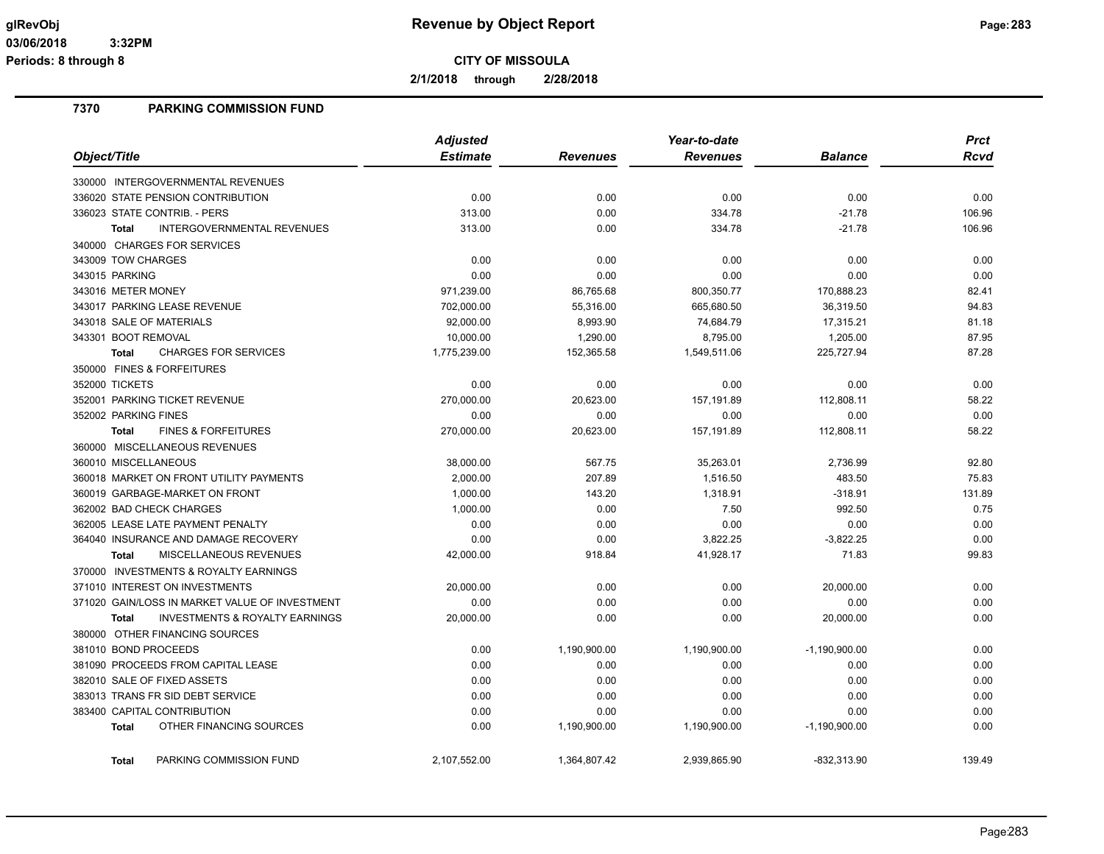**2/1/2018 through 2/28/2018**

# **7370 PARKING COMMISSION FUND**

|                                                    | <b>Adjusted</b> |                 | Year-to-date    | <b>Prct</b>     |             |
|----------------------------------------------------|-----------------|-----------------|-----------------|-----------------|-------------|
| Object/Title                                       | <b>Estimate</b> | <b>Revenues</b> | <b>Revenues</b> | <b>Balance</b>  | <b>Rcvd</b> |
| 330000 INTERGOVERNMENTAL REVENUES                  |                 |                 |                 |                 |             |
| 336020 STATE PENSION CONTRIBUTION                  | 0.00            | 0.00            | 0.00            | 0.00            | 0.00        |
| 336023 STATE CONTRIB. - PERS                       | 313.00          | 0.00            | 334.78          | $-21.78$        | 106.96      |
| INTERGOVERNMENTAL REVENUES<br><b>Total</b>         | 313.00          | 0.00            | 334.78          | $-21.78$        | 106.96      |
| 340000 CHARGES FOR SERVICES                        |                 |                 |                 |                 |             |
| 343009 TOW CHARGES                                 | 0.00            | 0.00            | 0.00            | 0.00            | 0.00        |
| 343015 PARKING                                     | 0.00            | 0.00            | 0.00            | 0.00            | 0.00        |
| 343016 METER MONEY                                 | 971,239.00      | 86,765.68       | 800,350.77      | 170,888.23      | 82.41       |
| 343017 PARKING LEASE REVENUE                       | 702,000.00      | 55,316.00       | 665,680.50      | 36,319.50       | 94.83       |
| 343018 SALE OF MATERIALS                           | 92,000.00       | 8,993.90        | 74,684.79       | 17,315.21       | 81.18       |
| 343301 BOOT REMOVAL                                | 10,000.00       | 1,290.00        | 8,795.00        | 1,205.00        | 87.95       |
| <b>CHARGES FOR SERVICES</b><br><b>Total</b>        | 1,775,239.00    | 152,365.58      | 1,549,511.06    | 225,727.94      | 87.28       |
| 350000 FINES & FORFEITURES                         |                 |                 |                 |                 |             |
| 352000 TICKETS                                     | 0.00            | 0.00            | 0.00            | 0.00            | 0.00        |
| 352001 PARKING TICKET REVENUE                      | 270,000.00      | 20,623.00       | 157,191.89      | 112,808.11      | 58.22       |
| 352002 PARKING FINES                               | 0.00            | 0.00            | 0.00            | 0.00            | 0.00        |
| <b>FINES &amp; FORFEITURES</b><br><b>Total</b>     | 270,000.00      | 20,623.00       | 157,191.89      | 112,808.11      | 58.22       |
| 360000 MISCELLANEOUS REVENUES                      |                 |                 |                 |                 |             |
| 360010 MISCELLANEOUS                               | 38,000.00       | 567.75          | 35,263.01       | 2,736.99        | 92.80       |
| 360018 MARKET ON FRONT UTILITY PAYMENTS            | 2,000.00        | 207.89          | 1,516.50        | 483.50          | 75.83       |
| 360019 GARBAGE-MARKET ON FRONT                     | 1,000.00        | 143.20          | 1,318.91        | $-318.91$       | 131.89      |
| 362002 BAD CHECK CHARGES                           | 1,000.00        | 0.00            | 7.50            | 992.50          | 0.75        |
| 362005 LEASE LATE PAYMENT PENALTY                  | 0.00            | 0.00            | 0.00            | 0.00            | 0.00        |
| 364040 INSURANCE AND DAMAGE RECOVERY               | 0.00            | 0.00            | 3,822.25        | $-3,822.25$     | 0.00        |
| MISCELLANEOUS REVENUES<br><b>Total</b>             | 42,000.00       | 918.84          | 41,928.17       | 71.83           | 99.83       |
| 370000 INVESTMENTS & ROYALTY EARNINGS              |                 |                 |                 |                 |             |
| 371010 INTEREST ON INVESTMENTS                     | 20,000.00       | 0.00            | 0.00            | 20,000.00       | 0.00        |
| 371020 GAIN/LOSS IN MARKET VALUE OF INVESTMENT     | 0.00            | 0.00            | 0.00            | 0.00            | 0.00        |
| <b>INVESTMENTS &amp; ROYALTY EARNINGS</b><br>Total | 20,000.00       | 0.00            | 0.00            | 20,000.00       | 0.00        |
| 380000 OTHER FINANCING SOURCES                     |                 |                 |                 |                 |             |
| 381010 BOND PROCEEDS                               | 0.00            | 1,190,900.00    | 1,190,900.00    | $-1,190,900.00$ | 0.00        |
| 381090 PROCEEDS FROM CAPITAL LEASE                 | 0.00            | 0.00            | 0.00            | 0.00            | 0.00        |
| 382010 SALE OF FIXED ASSETS                        | 0.00            | 0.00            | 0.00            | 0.00            | 0.00        |
| 383013 TRANS FR SID DEBT SERVICE                   | 0.00            | 0.00            | 0.00            | 0.00            | 0.00        |
| 383400 CAPITAL CONTRIBUTION                        | 0.00            | 0.00            | 0.00            | 0.00            | 0.00        |
| OTHER FINANCING SOURCES<br><b>Total</b>            | 0.00            | 1,190,900.00    | 1,190,900.00    | $-1,190,900.00$ | 0.00        |
| PARKING COMMISSION FUND<br><b>Total</b>            | 2.107.552.00    | 1,364,807.42    | 2.939.865.90    | -832.313.90     | 139.49      |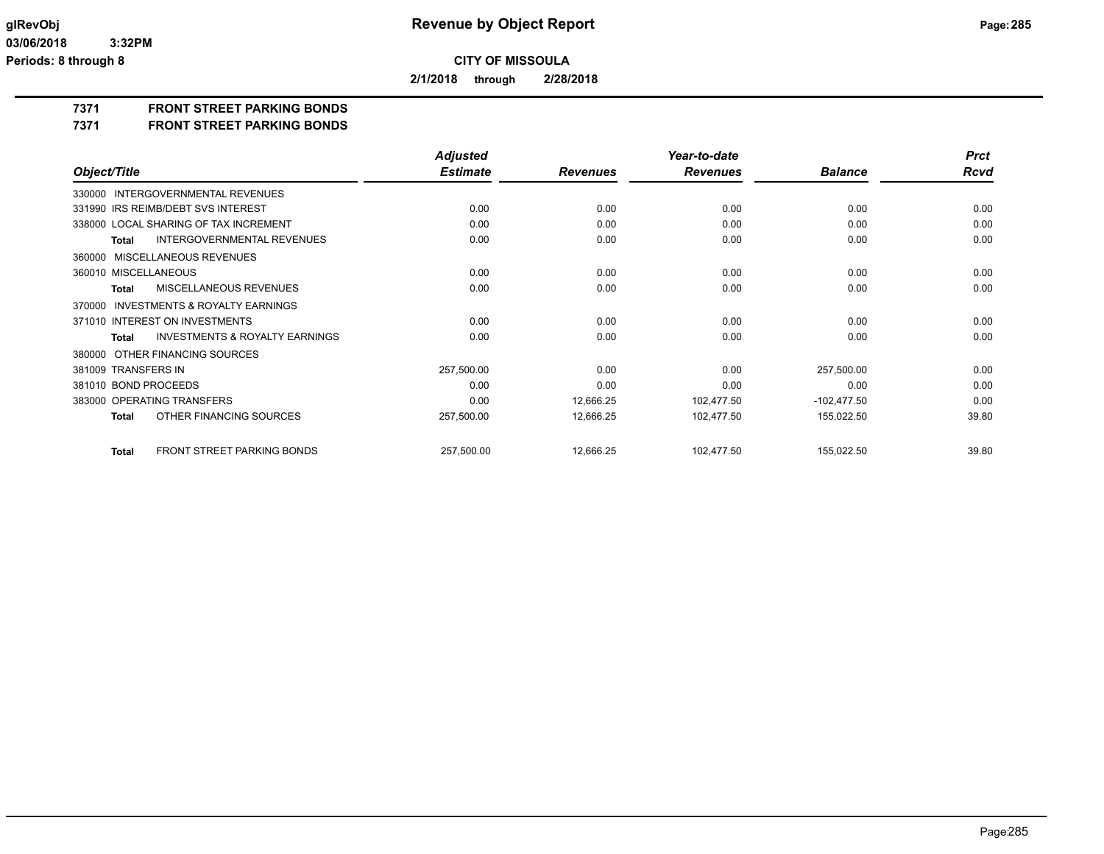**2/1/2018 through 2/28/2018**

**7371 FRONT STREET PARKING BONDS**

**7371 FRONT STREET PARKING BONDS**

|                                                    | <b>Adjusted</b> |                 | Year-to-date    |                | <b>Prct</b> |
|----------------------------------------------------|-----------------|-----------------|-----------------|----------------|-------------|
| Object/Title                                       | <b>Estimate</b> | <b>Revenues</b> | <b>Revenues</b> | <b>Balance</b> | <b>Rcvd</b> |
| 330000 INTERGOVERNMENTAL REVENUES                  |                 |                 |                 |                |             |
| 331990 IRS REIMB/DEBT SVS INTEREST                 | 0.00            | 0.00            | 0.00            | 0.00           | 0.00        |
| 338000 LOCAL SHARING OF TAX INCREMENT              | 0.00            | 0.00            | 0.00            | 0.00           | 0.00        |
| <b>INTERGOVERNMENTAL REVENUES</b><br><b>Total</b>  | 0.00            | 0.00            | 0.00            | 0.00           | 0.00        |
| 360000 MISCELLANEOUS REVENUES                      |                 |                 |                 |                |             |
| 360010 MISCELLANEOUS                               | 0.00            | 0.00            | 0.00            | 0.00           | 0.00        |
| MISCELLANEOUS REVENUES<br><b>Total</b>             | 0.00            | 0.00            | 0.00            | 0.00           | 0.00        |
| 370000 INVESTMENTS & ROYALTY EARNINGS              |                 |                 |                 |                |             |
| 371010 INTEREST ON INVESTMENTS                     | 0.00            | 0.00            | 0.00            | 0.00           | 0.00        |
| <b>INVESTMENTS &amp; ROYALTY EARNINGS</b><br>Total | 0.00            | 0.00            | 0.00            | 0.00           | 0.00        |
| OTHER FINANCING SOURCES<br>380000                  |                 |                 |                 |                |             |
| 381009 TRANSFERS IN                                | 257,500.00      | 0.00            | 0.00            | 257,500.00     | 0.00        |
| 381010 BOND PROCEEDS                               | 0.00            | 0.00            | 0.00            | 0.00           | 0.00        |
| 383000 OPERATING TRANSFERS                         | 0.00            | 12,666.25       | 102,477.50      | $-102,477.50$  | 0.00        |
| OTHER FINANCING SOURCES<br><b>Total</b>            | 257,500.00      | 12,666.25       | 102,477.50      | 155,022.50     | 39.80       |
| FRONT STREET PARKING BONDS<br><b>Total</b>         | 257,500.00      | 12,666.25       | 102,477.50      | 155,022.50     | 39.80       |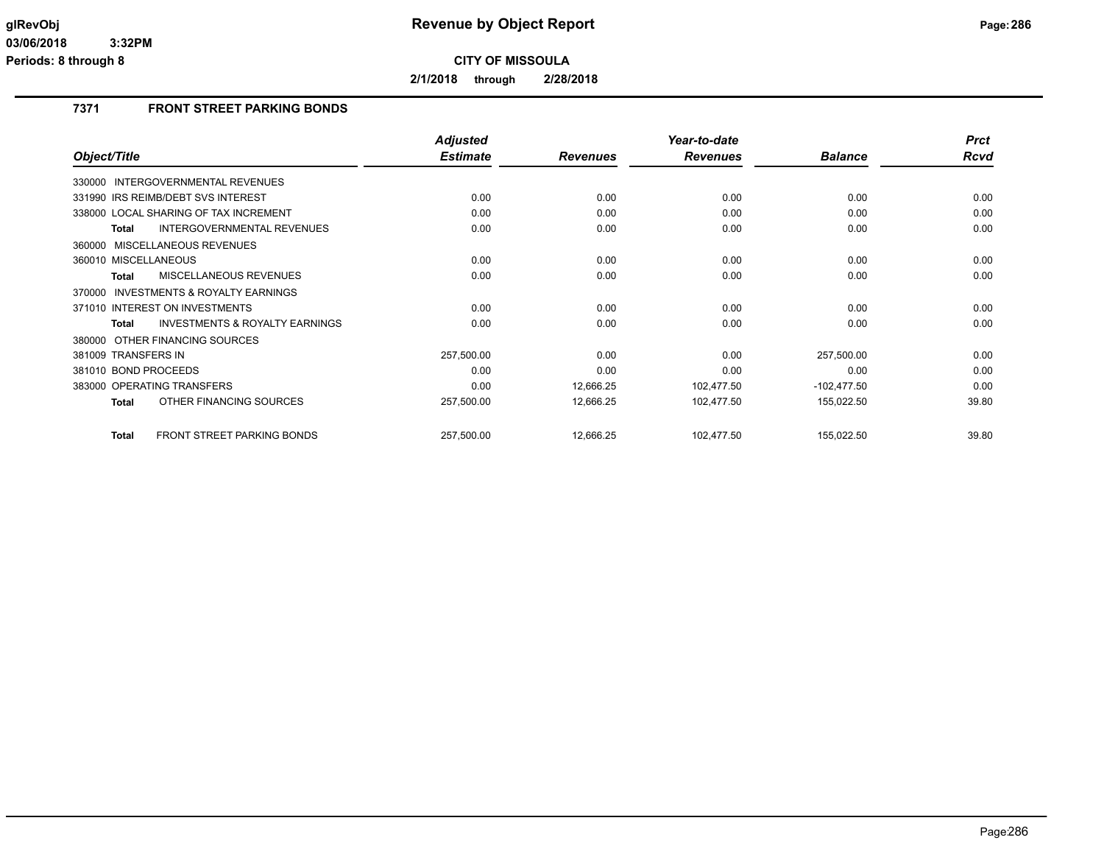**2/1/2018 through 2/28/2018**

# **7371 FRONT STREET PARKING BONDS**

|                                                     | <b>Adjusted</b> |                 | Year-to-date    |                | <b>Prct</b> |
|-----------------------------------------------------|-----------------|-----------------|-----------------|----------------|-------------|
| Object/Title                                        | <b>Estimate</b> | <b>Revenues</b> | <b>Revenues</b> | <b>Balance</b> | Rcvd        |
| INTERGOVERNMENTAL REVENUES<br>330000                |                 |                 |                 |                |             |
| 331990 IRS REIMB/DEBT SVS INTEREST                  | 0.00            | 0.00            | 0.00            | 0.00           | 0.00        |
| 338000 LOCAL SHARING OF TAX INCREMENT               | 0.00            | 0.00            | 0.00            | 0.00           | 0.00        |
| <b>INTERGOVERNMENTAL REVENUES</b><br>Total          | 0.00            | 0.00            | 0.00            | 0.00           | 0.00        |
| 360000 MISCELLANEOUS REVENUES                       |                 |                 |                 |                |             |
| 360010 MISCELLANEOUS                                | 0.00            | 0.00            | 0.00            | 0.00           | 0.00        |
| MISCELLANEOUS REVENUES<br><b>Total</b>              | 0.00            | 0.00            | 0.00            | 0.00           | 0.00        |
| <b>INVESTMENTS &amp; ROYALTY EARNINGS</b><br>370000 |                 |                 |                 |                |             |
| 371010 INTEREST ON INVESTMENTS                      | 0.00            | 0.00            | 0.00            | 0.00           | 0.00        |
| <b>INVESTMENTS &amp; ROYALTY EARNINGS</b><br>Total  | 0.00            | 0.00            | 0.00            | 0.00           | 0.00        |
| 380000 OTHER FINANCING SOURCES                      |                 |                 |                 |                |             |
| 381009 TRANSFERS IN                                 | 257,500.00      | 0.00            | 0.00            | 257,500.00     | 0.00        |
| 381010 BOND PROCEEDS                                | 0.00            | 0.00            | 0.00            | 0.00           | 0.00        |
| 383000 OPERATING TRANSFERS                          | 0.00            | 12,666.25       | 102,477.50      | $-102,477.50$  | 0.00        |
| OTHER FINANCING SOURCES<br><b>Total</b>             | 257,500.00      | 12,666.25       | 102,477.50      | 155,022.50     | 39.80       |
| <b>FRONT STREET PARKING BONDS</b><br><b>Total</b>   | 257,500.00      | 12,666.25       | 102,477.50      | 155,022.50     | 39.80       |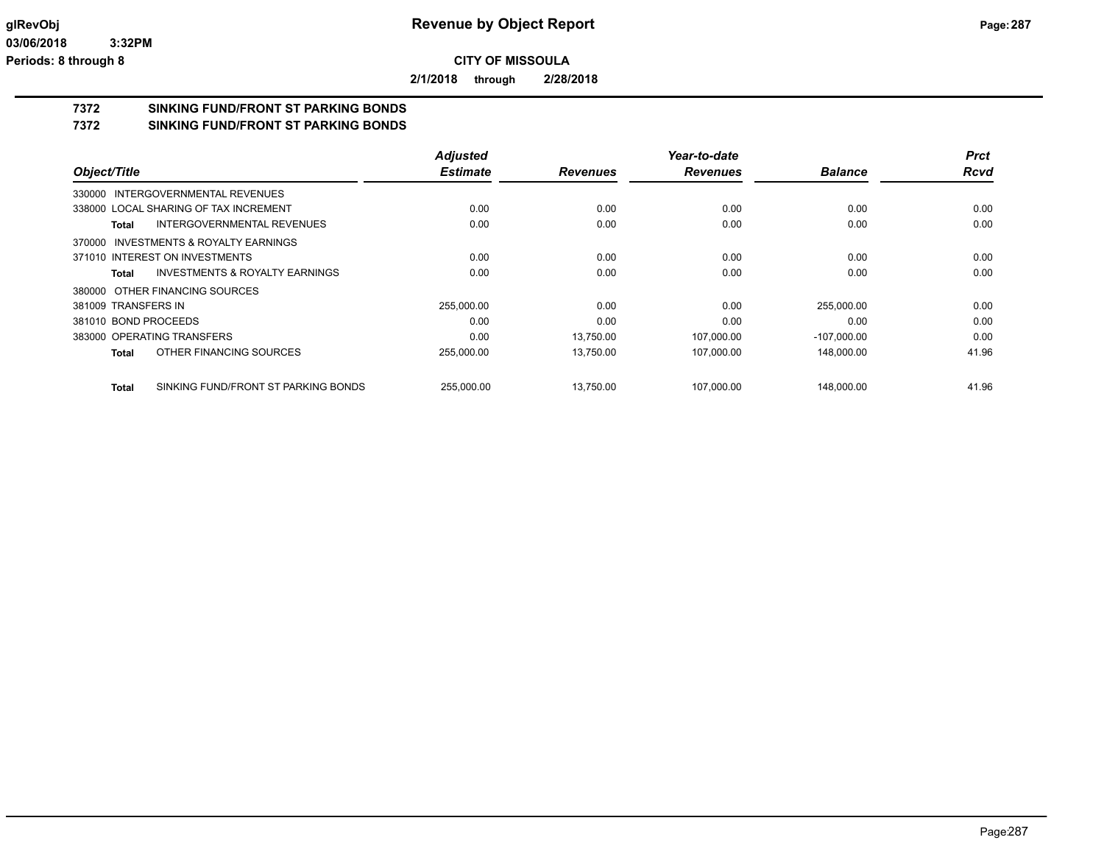**2/1/2018 through 2/28/2018**

# **7372 SINKING FUND/FRONT ST PARKING BONDS**

**7372 SINKING FUND/FRONT ST PARKING BONDS**

|                                                | <b>Adjusted</b> |                 | Year-to-date    |                | <b>Prct</b> |
|------------------------------------------------|-----------------|-----------------|-----------------|----------------|-------------|
| Object/Title                                   | <b>Estimate</b> | <b>Revenues</b> | <b>Revenues</b> | <b>Balance</b> | <b>Rcvd</b> |
| 330000 INTERGOVERNMENTAL REVENUES              |                 |                 |                 |                |             |
| 338000 LOCAL SHARING OF TAX INCREMENT          | 0.00            | 0.00            | 0.00            | 0.00           | 0.00        |
| INTERGOVERNMENTAL REVENUES<br>Total            | 0.00            | 0.00            | 0.00            | 0.00           | 0.00        |
| 370000 INVESTMENTS & ROYALTY EARNINGS          |                 |                 |                 |                |             |
| 371010 INTEREST ON INVESTMENTS                 | 0.00            | 0.00            | 0.00            | 0.00           | 0.00        |
| INVESTMENTS & ROYALTY EARNINGS<br><b>Total</b> | 0.00            | 0.00            | 0.00            | 0.00           | 0.00        |
| 380000 OTHER FINANCING SOURCES                 |                 |                 |                 |                |             |
| 381009 TRANSFERS IN                            | 255,000.00      | 0.00            | 0.00            | 255,000.00     | 0.00        |
| 381010 BOND PROCEEDS                           | 0.00            | 0.00            | 0.00            | 0.00           | 0.00        |
| 383000 OPERATING TRANSFERS                     | 0.00            | 13,750.00       | 107,000.00      | $-107,000.00$  | 0.00        |
| OTHER FINANCING SOURCES<br>Total               | 255,000.00      | 13,750.00       | 107,000.00      | 148,000.00     | 41.96       |
| SINKING FUND/FRONT ST PARKING BONDS<br>Total   | 255.000.00      | 13,750.00       | 107.000.00      | 148,000.00     | 41.96       |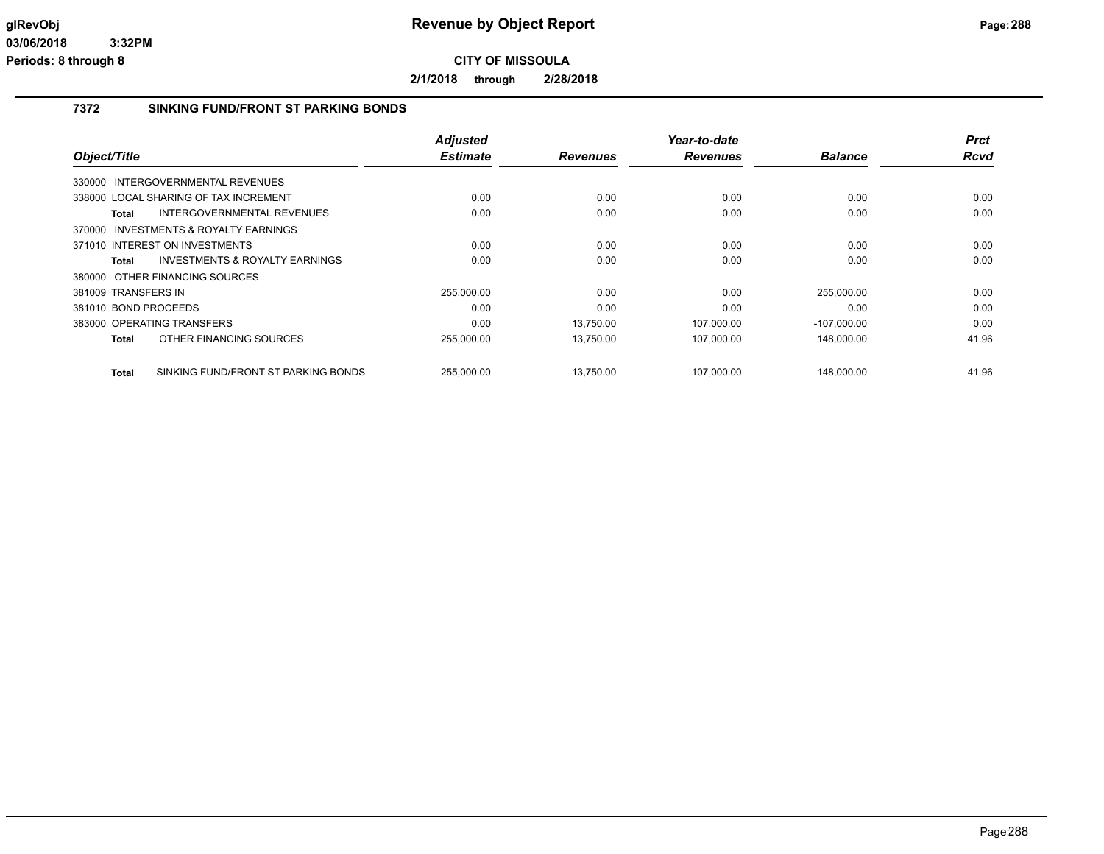**2/1/2018 through 2/28/2018**

# **7372 SINKING FUND/FRONT ST PARKING BONDS**

|                                                     | <b>Adjusted</b> |                 | Year-to-date    |                | <b>Prct</b> |
|-----------------------------------------------------|-----------------|-----------------|-----------------|----------------|-------------|
| Object/Title                                        | <b>Estimate</b> | <b>Revenues</b> | <b>Revenues</b> | <b>Balance</b> | <b>Rcvd</b> |
| 330000 INTERGOVERNMENTAL REVENUES                   |                 |                 |                 |                |             |
| 338000 LOCAL SHARING OF TAX INCREMENT               | 0.00            | 0.00            | 0.00            | 0.00           | 0.00        |
| INTERGOVERNMENTAL REVENUES<br><b>Total</b>          | 0.00            | 0.00            | 0.00            | 0.00           | 0.00        |
| 370000 INVESTMENTS & ROYALTY EARNINGS               |                 |                 |                 |                |             |
| 371010 INTEREST ON INVESTMENTS                      | 0.00            | 0.00            | 0.00            | 0.00           | 0.00        |
| INVESTMENTS & ROYALTY EARNINGS<br>Total             | 0.00            | 0.00            | 0.00            | 0.00           | 0.00        |
| 380000 OTHER FINANCING SOURCES                      |                 |                 |                 |                |             |
| 381009 TRANSFERS IN                                 | 255,000.00      | 0.00            | 0.00            | 255,000.00     | 0.00        |
| 381010 BOND PROCEEDS                                | 0.00            | 0.00            | 0.00            | 0.00           | 0.00        |
| 383000 OPERATING TRANSFERS                          | 0.00            | 13.750.00       | 107,000.00      | $-107,000.00$  | 0.00        |
| OTHER FINANCING SOURCES<br><b>Total</b>             | 255,000.00      | 13,750.00       | 107,000.00      | 148,000.00     | 41.96       |
| SINKING FUND/FRONT ST PARKING BONDS<br><b>Total</b> | 255,000.00      | 13,750.00       | 107,000.00      | 148,000.00     | 41.96       |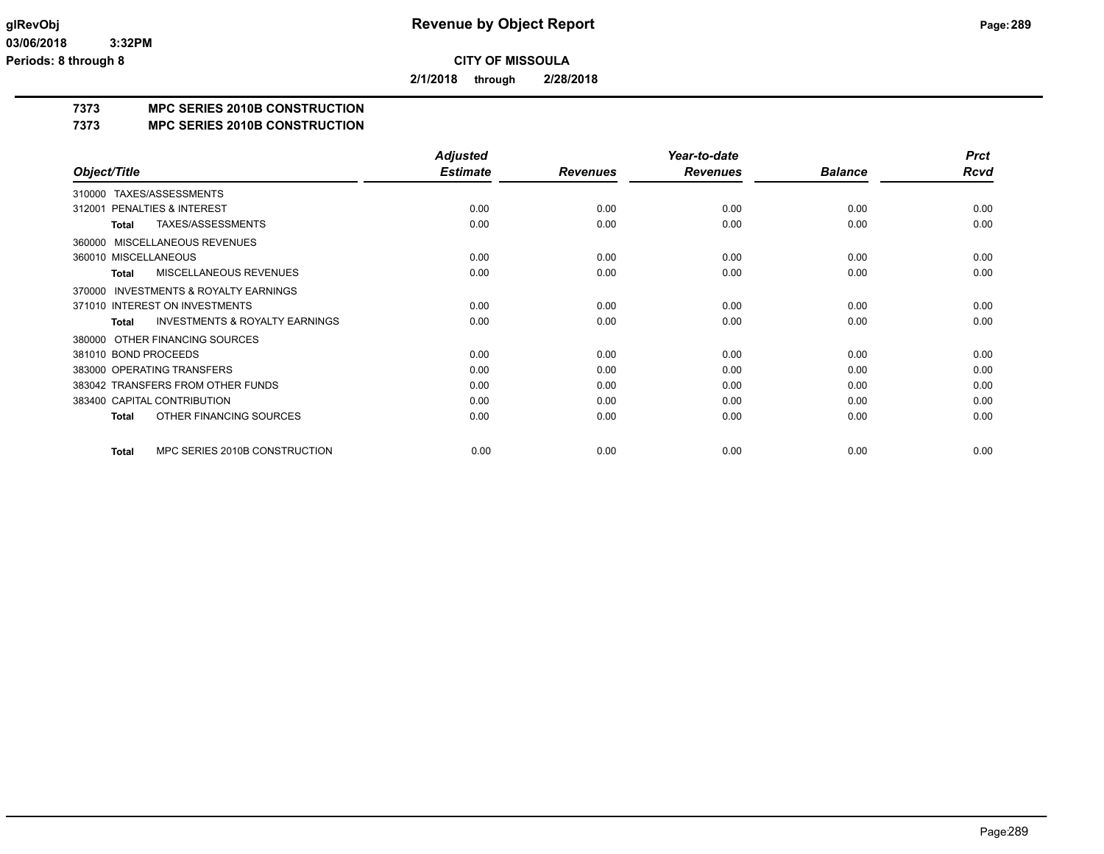**2/1/2018 through 2/28/2018**

## **7373 MPC SERIES 2010B CONSTRUCTION**

### **7373 MPC SERIES 2010B CONSTRUCTION**

|                                                           | <b>Adjusted</b> |                 | Year-to-date    |                | <b>Prct</b> |
|-----------------------------------------------------------|-----------------|-----------------|-----------------|----------------|-------------|
| Object/Title                                              | <b>Estimate</b> | <b>Revenues</b> | <b>Revenues</b> | <b>Balance</b> | Rcvd        |
| TAXES/ASSESSMENTS<br>310000                               |                 |                 |                 |                |             |
| PENALTIES & INTEREST<br>312001                            | 0.00            | 0.00            | 0.00            | 0.00           | 0.00        |
| TAXES/ASSESSMENTS<br><b>Total</b>                         | 0.00            | 0.00            | 0.00            | 0.00           | 0.00        |
| <b>MISCELLANEOUS REVENUES</b><br>360000                   |                 |                 |                 |                |             |
| 360010 MISCELLANEOUS                                      | 0.00            | 0.00            | 0.00            | 0.00           | 0.00        |
| MISCELLANEOUS REVENUES<br><b>Total</b>                    | 0.00            | 0.00            | 0.00            | 0.00           | 0.00        |
| <b>INVESTMENTS &amp; ROYALTY EARNINGS</b><br>370000       |                 |                 |                 |                |             |
| 371010 INTEREST ON INVESTMENTS                            | 0.00            | 0.00            | 0.00            | 0.00           | 0.00        |
| <b>INVESTMENTS &amp; ROYALTY EARNINGS</b><br><b>Total</b> | 0.00            | 0.00            | 0.00            | 0.00           | 0.00        |
| OTHER FINANCING SOURCES<br>380000                         |                 |                 |                 |                |             |
| 381010 BOND PROCEEDS                                      | 0.00            | 0.00            | 0.00            | 0.00           | 0.00        |
| 383000 OPERATING TRANSFERS                                | 0.00            | 0.00            | 0.00            | 0.00           | 0.00        |
| 383042 TRANSFERS FROM OTHER FUNDS                         | 0.00            | 0.00            | 0.00            | 0.00           | 0.00        |
| 383400 CAPITAL CONTRIBUTION                               | 0.00            | 0.00            | 0.00            | 0.00           | 0.00        |
| OTHER FINANCING SOURCES<br><b>Total</b>                   | 0.00            | 0.00            | 0.00            | 0.00           | 0.00        |
| MPC SERIES 2010B CONSTRUCTION<br><b>Total</b>             | 0.00            | 0.00            | 0.00            | 0.00           | 0.00        |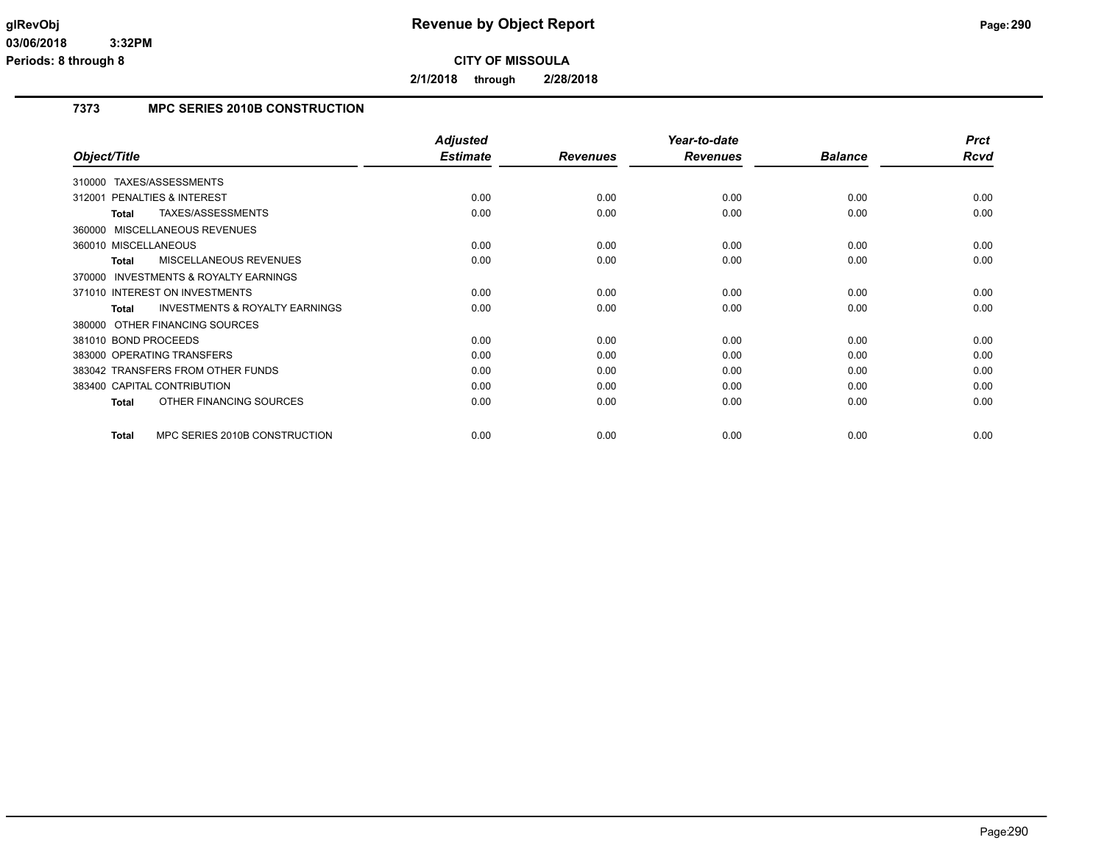**2/1/2018 through 2/28/2018**

## **7373 MPC SERIES 2010B CONSTRUCTION**

|                                                     | <b>Adjusted</b> |                 | Year-to-date    |                | <b>Prct</b> |
|-----------------------------------------------------|-----------------|-----------------|-----------------|----------------|-------------|
| Object/Title                                        | <b>Estimate</b> | <b>Revenues</b> | <b>Revenues</b> | <b>Balance</b> | Rcvd        |
| TAXES/ASSESSMENTS<br>310000                         |                 |                 |                 |                |             |
| <b>PENALTIES &amp; INTEREST</b><br>312001           | 0.00            | 0.00            | 0.00            | 0.00           | 0.00        |
| TAXES/ASSESSMENTS<br>Total                          | 0.00            | 0.00            | 0.00            | 0.00           | 0.00        |
| 360000 MISCELLANEOUS REVENUES                       |                 |                 |                 |                |             |
| 360010 MISCELLANEOUS                                | 0.00            | 0.00            | 0.00            | 0.00           | 0.00        |
| <b>MISCELLANEOUS REVENUES</b><br><b>Total</b>       | 0.00            | 0.00            | 0.00            | 0.00           | 0.00        |
| <b>INVESTMENTS &amp; ROYALTY EARNINGS</b><br>370000 |                 |                 |                 |                |             |
| 371010 INTEREST ON INVESTMENTS                      | 0.00            | 0.00            | 0.00            | 0.00           | 0.00        |
| <b>INVESTMENTS &amp; ROYALTY EARNINGS</b><br>Total  | 0.00            | 0.00            | 0.00            | 0.00           | 0.00        |
| 380000 OTHER FINANCING SOURCES                      |                 |                 |                 |                |             |
| 381010 BOND PROCEEDS                                | 0.00            | 0.00            | 0.00            | 0.00           | 0.00        |
| 383000 OPERATING TRANSFERS                          | 0.00            | 0.00            | 0.00            | 0.00           | 0.00        |
| 383042 TRANSFERS FROM OTHER FUNDS                   | 0.00            | 0.00            | 0.00            | 0.00           | 0.00        |
| 383400 CAPITAL CONTRIBUTION                         | 0.00            | 0.00            | 0.00            | 0.00           | 0.00        |
| OTHER FINANCING SOURCES<br><b>Total</b>             | 0.00            | 0.00            | 0.00            | 0.00           | 0.00        |
| MPC SERIES 2010B CONSTRUCTION<br><b>Total</b>       | 0.00            | 0.00            | 0.00            | 0.00           | 0.00        |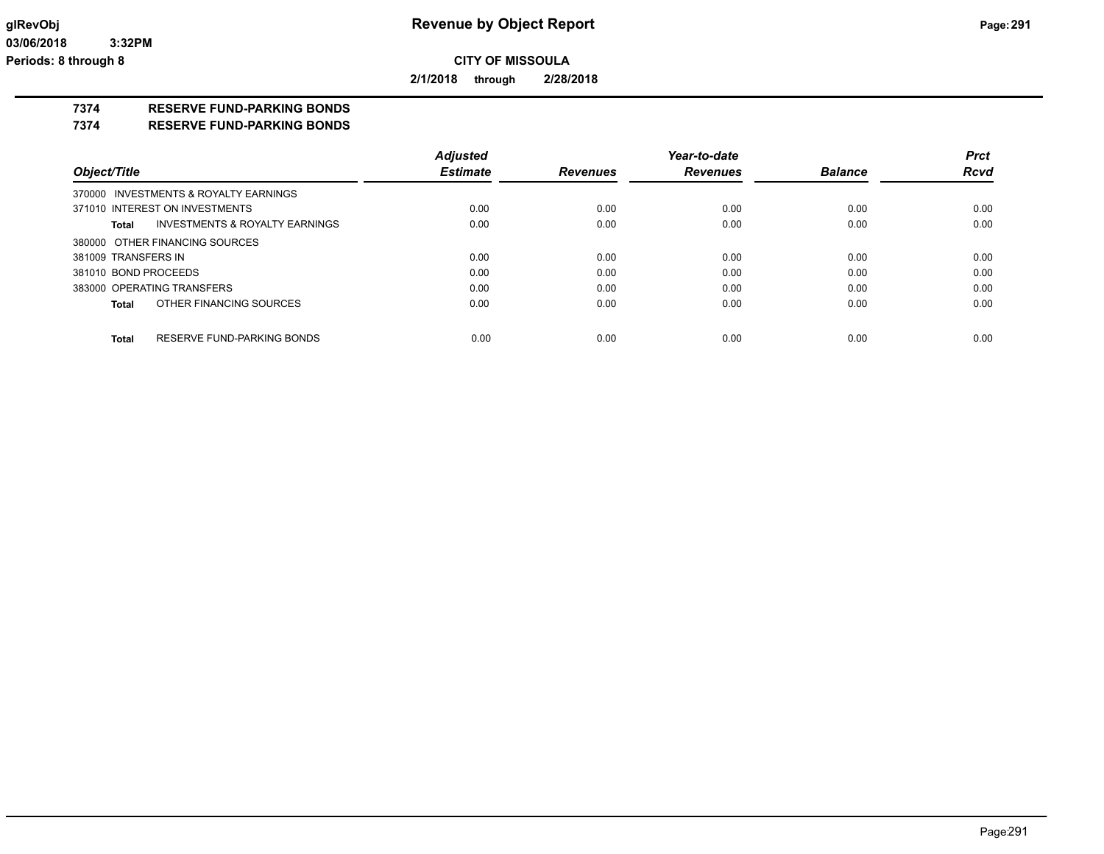**2/1/2018 through 2/28/2018**

### **7374 RESERVE FUND-PARKING BONDS**

**7374 RESERVE FUND-PARKING BONDS**

|                      |                                       | <b>Adjusted</b> |                 | Year-to-date    |                | <b>Prct</b> |
|----------------------|---------------------------------------|-----------------|-----------------|-----------------|----------------|-------------|
| Object/Title         |                                       | <b>Estimate</b> | <b>Revenues</b> | <b>Revenues</b> | <b>Balance</b> | <b>Rcvd</b> |
|                      | 370000 INVESTMENTS & ROYALTY EARNINGS |                 |                 |                 |                |             |
|                      | 371010 INTEREST ON INVESTMENTS        | 0.00            | 0.00            | 0.00            | 0.00           | 0.00        |
| Total                | INVESTMENTS & ROYALTY EARNINGS        | 0.00            | 0.00            | 0.00            | 0.00           | 0.00        |
|                      | 380000 OTHER FINANCING SOURCES        |                 |                 |                 |                |             |
| 381009 TRANSFERS IN  |                                       | 0.00            | 0.00            | 0.00            | 0.00           | 0.00        |
| 381010 BOND PROCEEDS |                                       | 0.00            | 0.00            | 0.00            | 0.00           | 0.00        |
|                      | 383000 OPERATING TRANSFERS            | 0.00            | 0.00            | 0.00            | 0.00           | 0.00        |
| Total                | OTHER FINANCING SOURCES               | 0.00            | 0.00            | 0.00            | 0.00           | 0.00        |
| <b>Total</b>         | RESERVE FUND-PARKING BONDS            | 0.00            | 0.00            | 0.00            | 0.00           | 0.00        |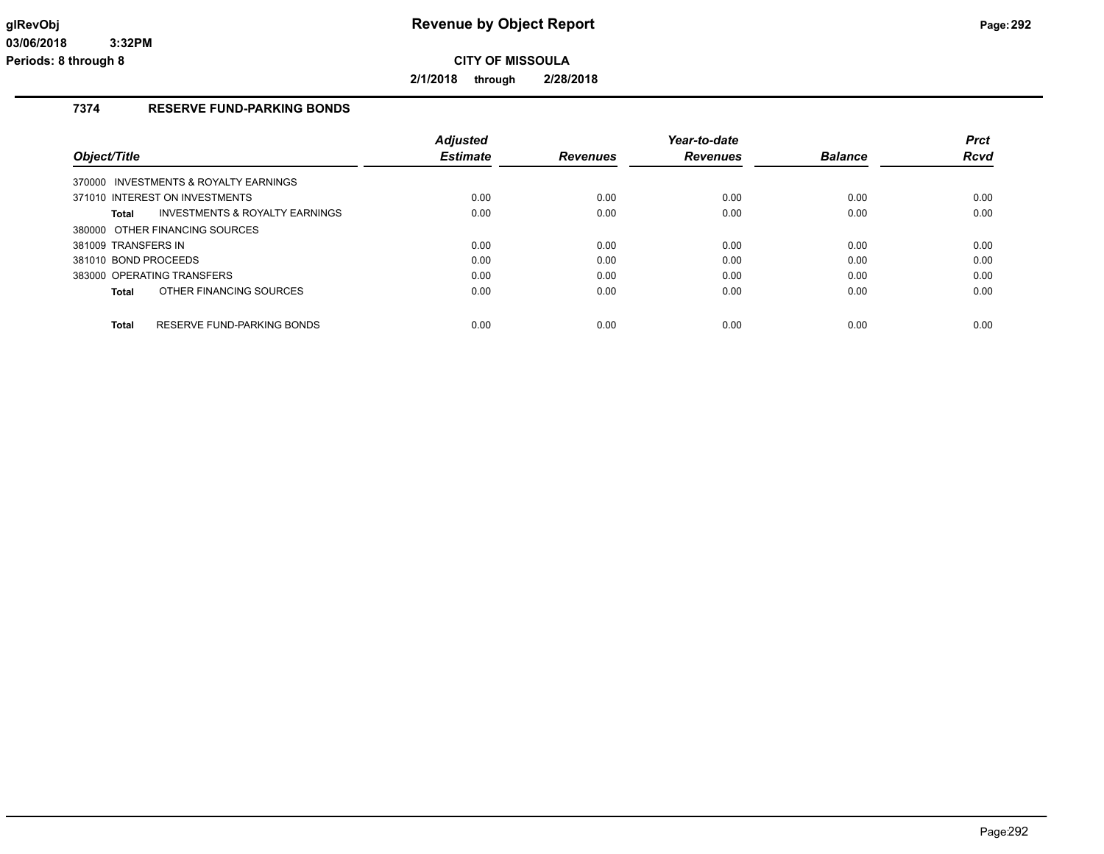**2/1/2018 through 2/28/2018**

### **7374 RESERVE FUND-PARKING BONDS**

|                                                    | <b>Adjusted</b> |                 | Year-to-date    |                | <b>Prct</b> |
|----------------------------------------------------|-----------------|-----------------|-----------------|----------------|-------------|
| Object/Title                                       | <b>Estimate</b> | <b>Revenues</b> | <b>Revenues</b> | <b>Balance</b> | <b>Rcvd</b> |
| 370000 INVESTMENTS & ROYALTY EARNINGS              |                 |                 |                 |                |             |
| 371010 INTEREST ON INVESTMENTS                     | 0.00            | 0.00            | 0.00            | 0.00           | 0.00        |
| <b>INVESTMENTS &amp; ROYALTY EARNINGS</b><br>Total | 0.00            | 0.00            | 0.00            | 0.00           | 0.00        |
| 380000 OTHER FINANCING SOURCES                     |                 |                 |                 |                |             |
| 381009 TRANSFERS IN                                | 0.00            | 0.00            | 0.00            | 0.00           | 0.00        |
| 381010 BOND PROCEEDS                               | 0.00            | 0.00            | 0.00            | 0.00           | 0.00        |
| 383000 OPERATING TRANSFERS                         | 0.00            | 0.00            | 0.00            | 0.00           | 0.00        |
| OTHER FINANCING SOURCES<br>Total                   | 0.00            | 0.00            | 0.00            | 0.00           | 0.00        |
|                                                    |                 |                 |                 |                |             |
| <b>Total</b><br>RESERVE FUND-PARKING BONDS         | 0.00            | 0.00            | 0.00            | 0.00           | 0.00        |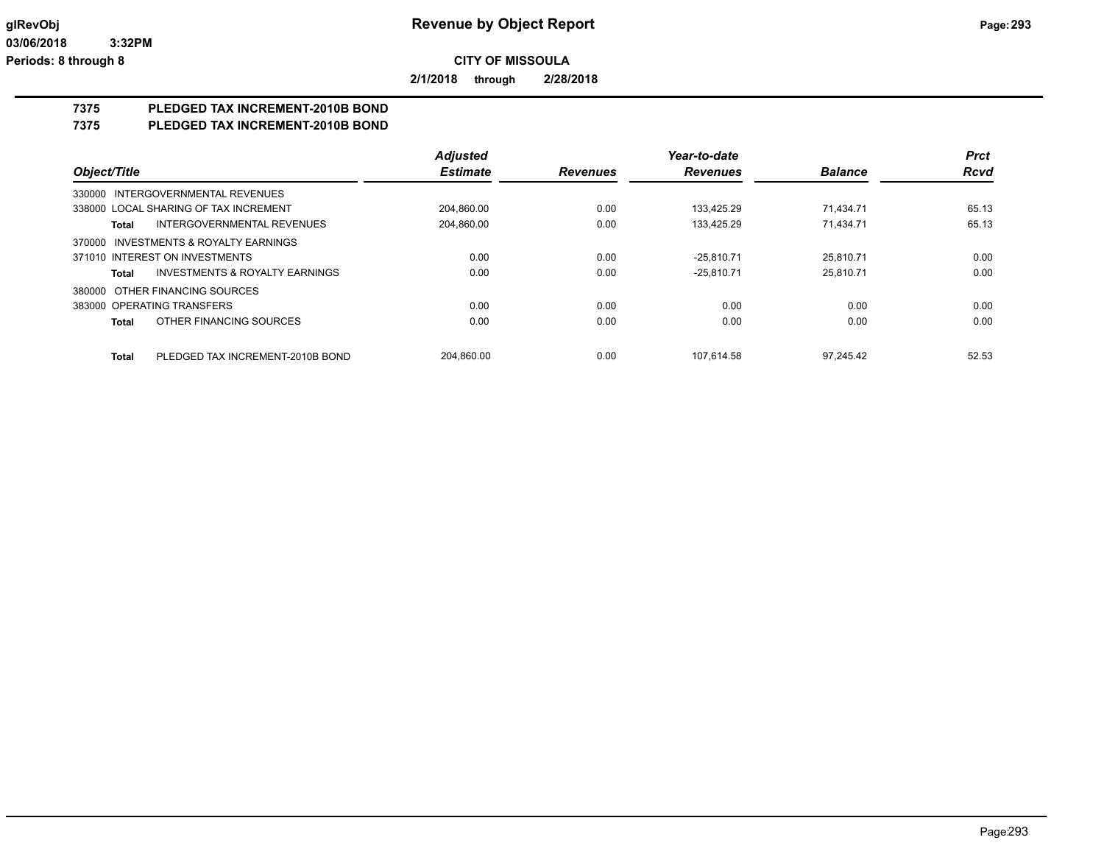**2/1/2018 through 2/28/2018**

## **7375 PLEDGED TAX INCREMENT-2010B BOND**

### **7375 PLEDGED TAX INCREMENT-2010B BOND**

|                                           | <b>Adjusted</b> |                 | Year-to-date    |                | <b>Prct</b> |
|-------------------------------------------|-----------------|-----------------|-----------------|----------------|-------------|
| Object/Title                              | <b>Estimate</b> | <b>Revenues</b> | <b>Revenues</b> | <b>Balance</b> | <b>Rcvd</b> |
| 330000 INTERGOVERNMENTAL REVENUES         |                 |                 |                 |                |             |
| 338000 LOCAL SHARING OF TAX INCREMENT     | 204.860.00      | 0.00            | 133.425.29      | 71.434.71      | 65.13       |
| INTERGOVERNMENTAL REVENUES<br>Total       | 204.860.00      | 0.00            | 133.425.29      | 71.434.71      | 65.13       |
| 370000 INVESTMENTS & ROYALTY EARNINGS     |                 |                 |                 |                |             |
| 371010 INTEREST ON INVESTMENTS            | 0.00            | 0.00            | $-25.810.71$    | 25.810.71      | 0.00        |
| INVESTMENTS & ROYALTY EARNINGS<br>Total   | 0.00            | 0.00            | $-25.810.71$    | 25.810.71      | 0.00        |
| 380000 OTHER FINANCING SOURCES            |                 |                 |                 |                |             |
| 383000 OPERATING TRANSFERS                | 0.00            | 0.00            | 0.00            | 0.00           | 0.00        |
| OTHER FINANCING SOURCES<br>Total          | 0.00            | 0.00            | 0.00            | 0.00           | 0.00        |
| PLEDGED TAX INCREMENT-2010B BOND<br>Total | 204.860.00      | 0.00            | 107.614.58      | 97.245.42      | 52.53       |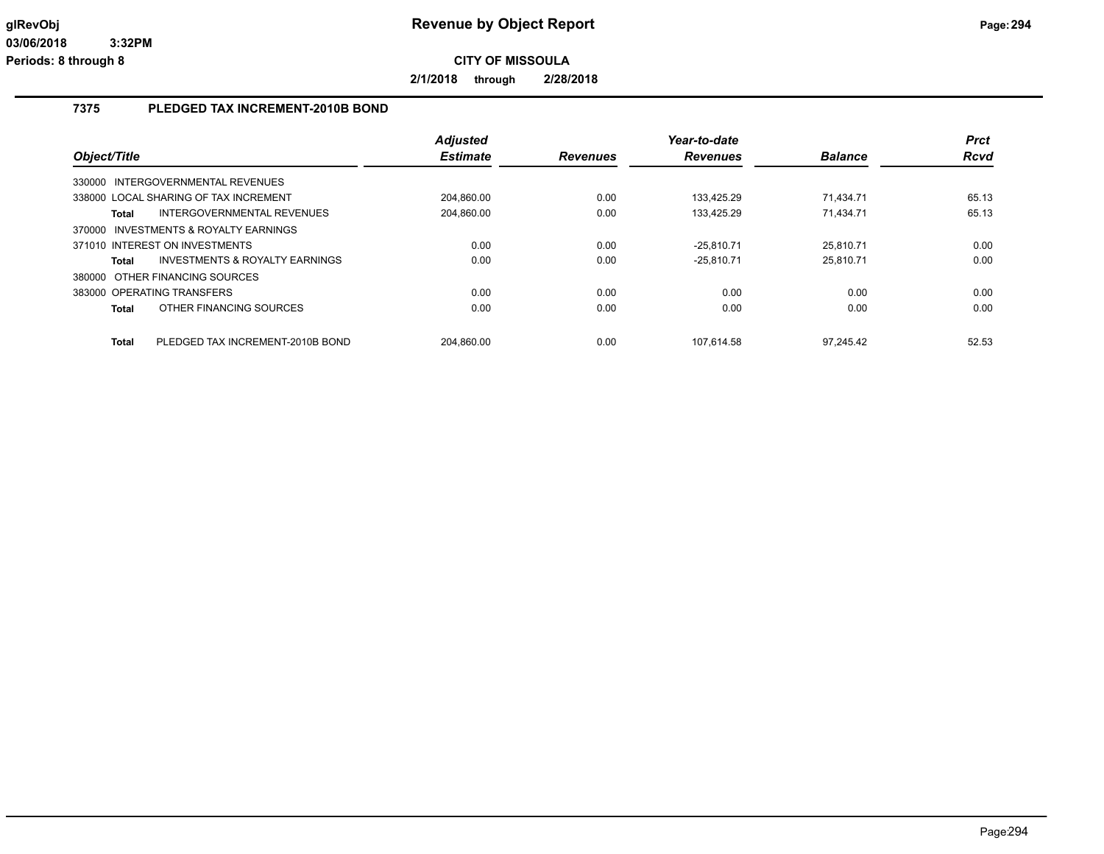**2/1/2018 through 2/28/2018**

## **7375 PLEDGED TAX INCREMENT-2010B BOND**

| Object/Title |                                       | <b>Adjusted</b><br><b>Estimate</b> | <b>Revenues</b> | Year-to-date<br><b>Revenues</b> | <b>Balance</b> | <b>Prct</b><br>Rcvd |
|--------------|---------------------------------------|------------------------------------|-----------------|---------------------------------|----------------|---------------------|
| 330000       | INTERGOVERNMENTAL REVENUES            |                                    |                 |                                 |                |                     |
|              | 338000 LOCAL SHARING OF TAX INCREMENT | 204,860.00                         | 0.00            | 133.425.29                      | 71.434.71      | 65.13               |
| Total        | INTERGOVERNMENTAL REVENUES            | 204,860.00                         | 0.00            | 133.425.29                      | 71.434.71      | 65.13               |
| 370000       | INVESTMENTS & ROYALTY EARNINGS        |                                    |                 |                                 |                |                     |
|              | 371010 INTEREST ON INVESTMENTS        | 0.00                               | 0.00            | $-25.810.71$                    | 25.810.71      | 0.00                |
| Total        | INVESTMENTS & ROYALTY EARNINGS        | 0.00                               | 0.00            | $-25.810.71$                    | 25.810.71      | 0.00                |
|              | 380000 OTHER FINANCING SOURCES        |                                    |                 |                                 |                |                     |
|              | 383000 OPERATING TRANSFERS            | 0.00                               | 0.00            | 0.00                            | 0.00           | 0.00                |
| Total        | OTHER FINANCING SOURCES               | 0.00                               | 0.00            | 0.00                            | 0.00           | 0.00                |
| <b>Total</b> | PLEDGED TAX INCREMENT-2010B BOND      | 204.860.00                         | 0.00            | 107.614.58                      | 97.245.42      | 52.53               |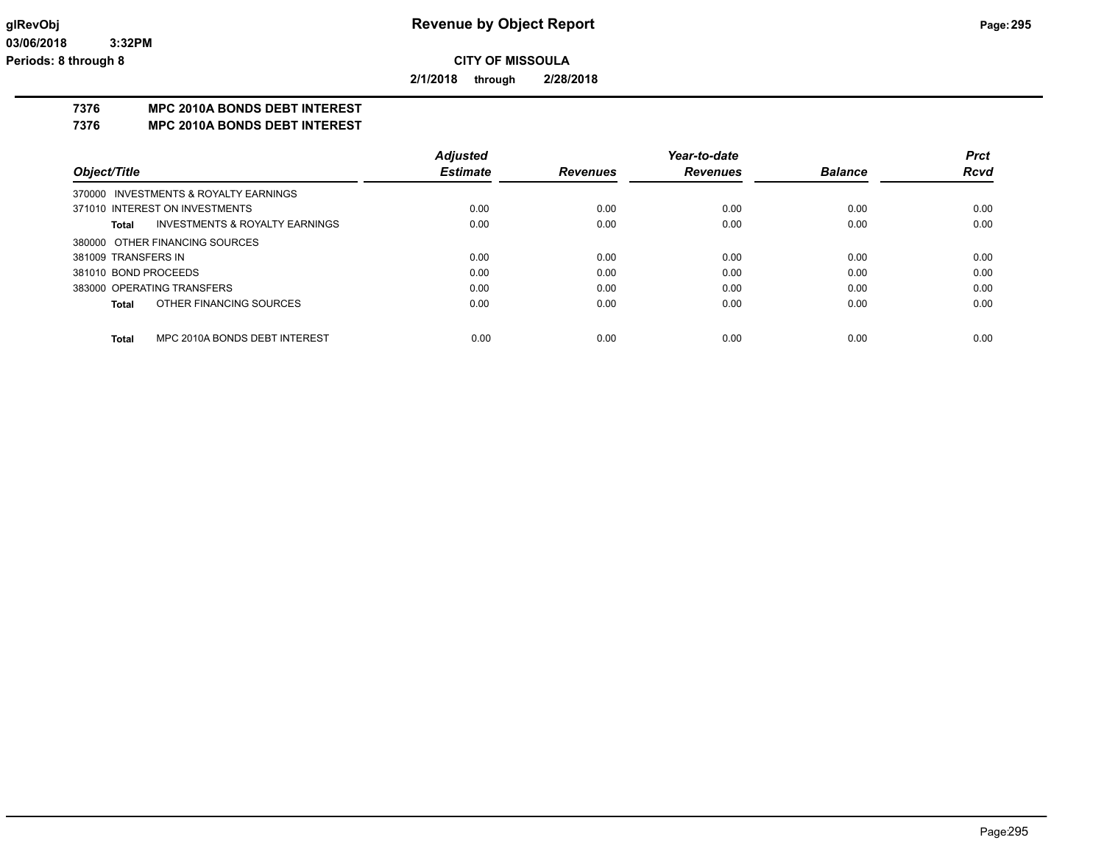**2/1/2018 through 2/28/2018**

### **7376 MPC 2010A BONDS DEBT INTEREST**

**7376 MPC 2010A BONDS DEBT INTEREST**

|                                               | <b>Adjusted</b> |                 | Year-to-date    |                | <b>Prct</b> |
|-----------------------------------------------|-----------------|-----------------|-----------------|----------------|-------------|
| Object/Title                                  | <b>Estimate</b> | <b>Revenues</b> | <b>Revenues</b> | <b>Balance</b> | <b>Rcvd</b> |
| 370000 INVESTMENTS & ROYALTY EARNINGS         |                 |                 |                 |                |             |
| 371010 INTEREST ON INVESTMENTS                | 0.00            | 0.00            | 0.00            | 0.00           | 0.00        |
| INVESTMENTS & ROYALTY EARNINGS<br>Total       | 0.00            | 0.00            | 0.00            | 0.00           | 0.00        |
| 380000 OTHER FINANCING SOURCES                |                 |                 |                 |                |             |
| 381009 TRANSFERS IN                           | 0.00            | 0.00            | 0.00            | 0.00           | 0.00        |
| 381010 BOND PROCEEDS                          | 0.00            | 0.00            | 0.00            | 0.00           | 0.00        |
| 383000 OPERATING TRANSFERS                    | 0.00            | 0.00            | 0.00            | 0.00           | 0.00        |
| OTHER FINANCING SOURCES<br>Total              | 0.00            | 0.00            | 0.00            | 0.00           | 0.00        |
|                                               |                 |                 |                 |                |             |
| MPC 2010A BONDS DEBT INTEREST<br><b>Total</b> | 0.00            | 0.00            | 0.00            | 0.00           | 0.00        |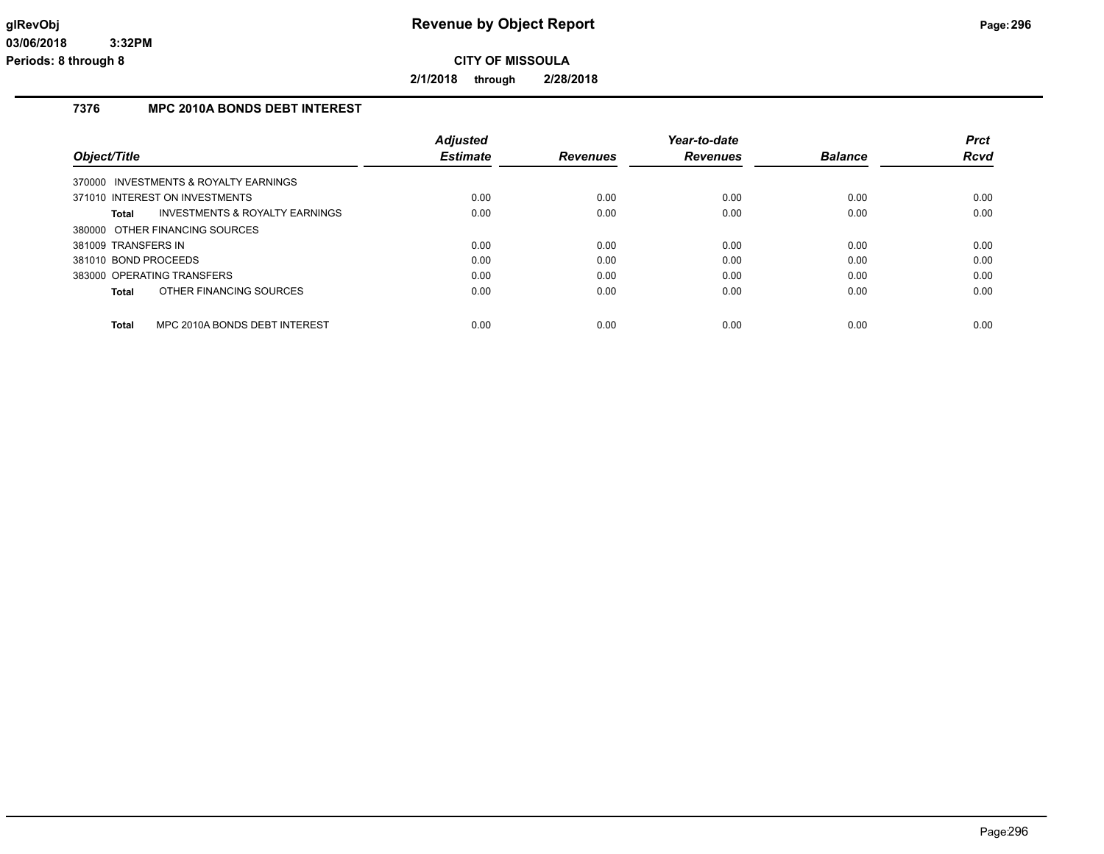**2/1/2018 through 2/28/2018**

## **7376 MPC 2010A BONDS DEBT INTEREST**

|                                                    | <b>Adjusted</b> |                 | Year-to-date    |                | <b>Prct</b> |
|----------------------------------------------------|-----------------|-----------------|-----------------|----------------|-------------|
| Object/Title                                       | <b>Estimate</b> | <b>Revenues</b> | <b>Revenues</b> | <b>Balance</b> | <b>Rcvd</b> |
| 370000 INVESTMENTS & ROYALTY EARNINGS              |                 |                 |                 |                |             |
| 371010 INTEREST ON INVESTMENTS                     | 0.00            | 0.00            | 0.00            | 0.00           | 0.00        |
| Total<br><b>INVESTMENTS &amp; ROYALTY EARNINGS</b> | 0.00            | 0.00            | 0.00            | 0.00           | 0.00        |
| 380000 OTHER FINANCING SOURCES                     |                 |                 |                 |                |             |
| 381009 TRANSFERS IN                                | 0.00            | 0.00            | 0.00            | 0.00           | 0.00        |
| 381010 BOND PROCEEDS                               | 0.00            | 0.00            | 0.00            | 0.00           | 0.00        |
| 383000 OPERATING TRANSFERS                         | 0.00            | 0.00            | 0.00            | 0.00           | 0.00        |
| OTHER FINANCING SOURCES<br>Total                   | 0.00            | 0.00            | 0.00            | 0.00           | 0.00        |
|                                                    |                 |                 |                 |                |             |
| <b>Total</b><br>MPC 2010A BONDS DEBT INTEREST      | 0.00            | 0.00            | 0.00            | 0.00           | 0.00        |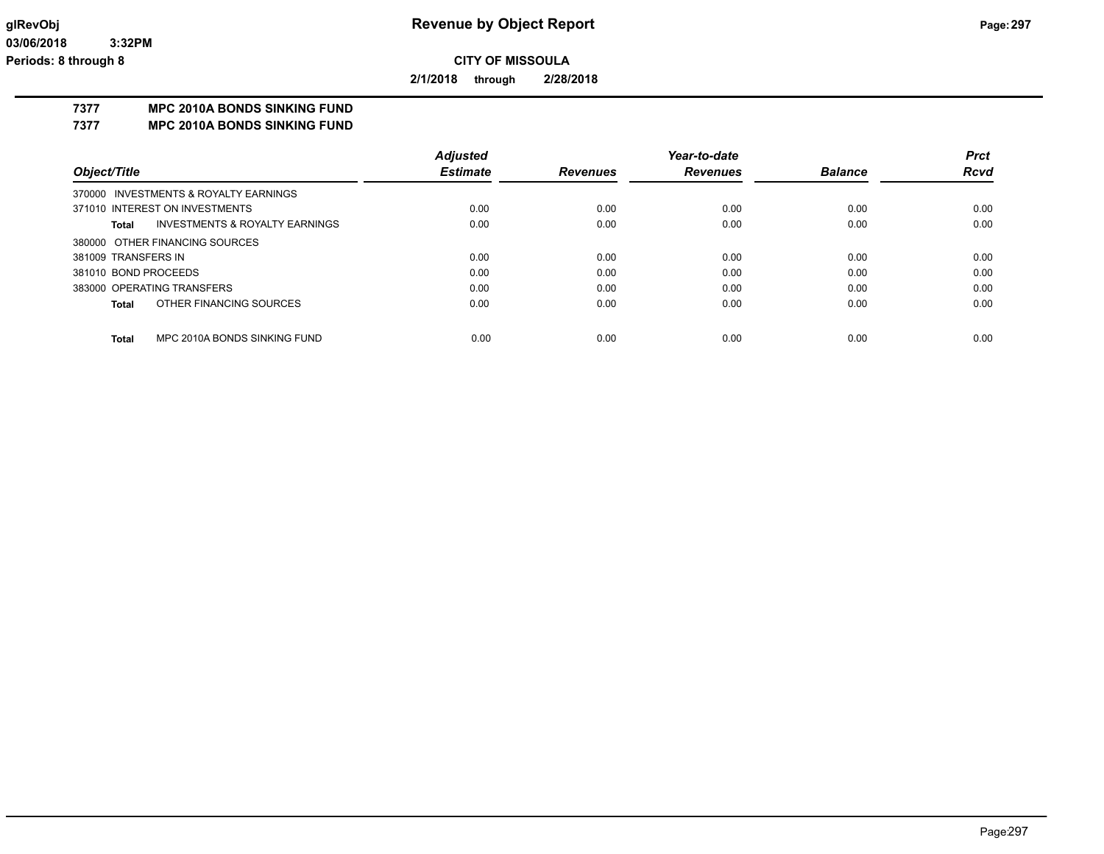**2/1/2018 through 2/28/2018**

## **7377 MPC 2010A BONDS SINKING FUND**

**7377 MPC 2010A BONDS SINKING FUND**

|                      |                                       | <b>Adjusted</b> |                 | Year-to-date    |                | <b>Prct</b> |
|----------------------|---------------------------------------|-----------------|-----------------|-----------------|----------------|-------------|
| Object/Title         |                                       | <b>Estimate</b> | <b>Revenues</b> | <b>Revenues</b> | <b>Balance</b> | <b>Rcvd</b> |
|                      | 370000 INVESTMENTS & ROYALTY EARNINGS |                 |                 |                 |                |             |
|                      | 371010 INTEREST ON INVESTMENTS        | 0.00            | 0.00            | 0.00            | 0.00           | 0.00        |
| Total                | INVESTMENTS & ROYALTY EARNINGS        | 0.00            | 0.00            | 0.00            | 0.00           | 0.00        |
|                      | 380000 OTHER FINANCING SOURCES        |                 |                 |                 |                |             |
| 381009 TRANSFERS IN  |                                       | 0.00            | 0.00            | 0.00            | 0.00           | 0.00        |
| 381010 BOND PROCEEDS |                                       | 0.00            | 0.00            | 0.00            | 0.00           | 0.00        |
|                      | 383000 OPERATING TRANSFERS            | 0.00            | 0.00            | 0.00            | 0.00           | 0.00        |
| <b>Total</b>         | OTHER FINANCING SOURCES               | 0.00            | 0.00            | 0.00            | 0.00           | 0.00        |
|                      |                                       |                 |                 |                 |                |             |
| <b>Total</b>         | MPC 2010A BONDS SINKING FUND          | 0.00            | 0.00            | 0.00            | 0.00           | 0.00        |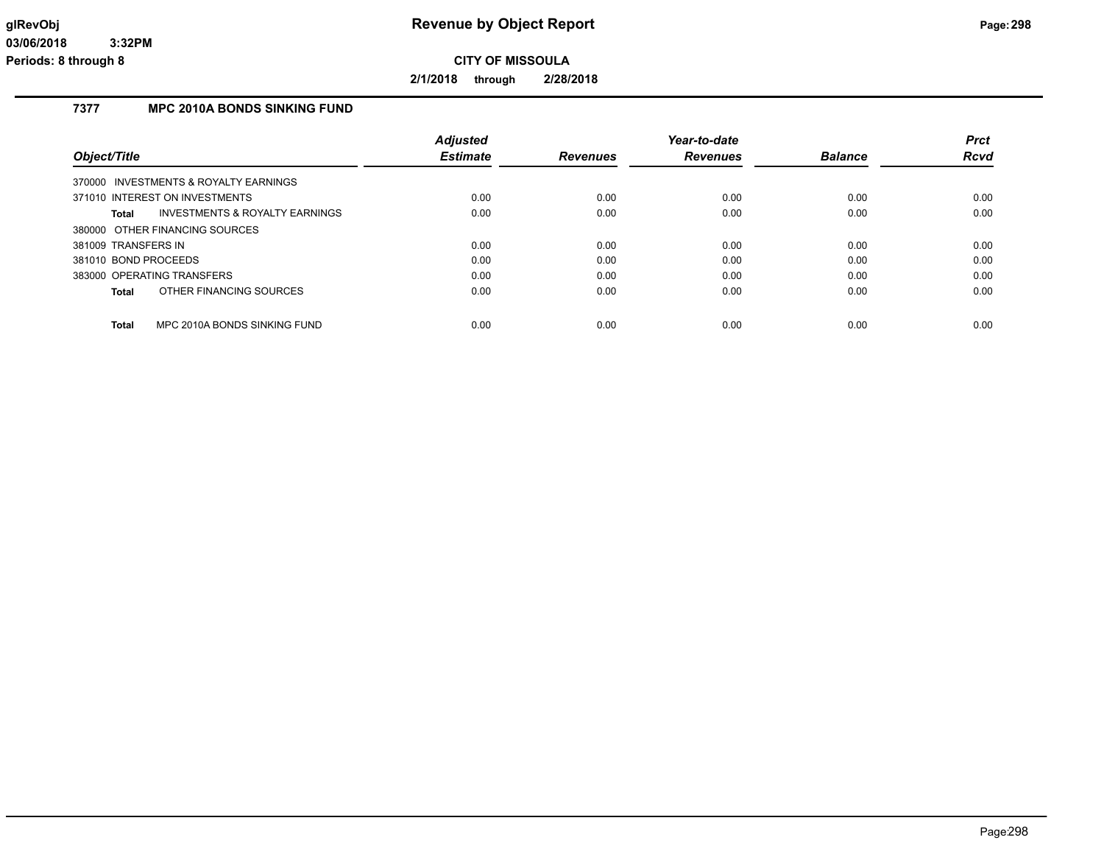**2/1/2018 through 2/28/2018**

### **7377 MPC 2010A BONDS SINKING FUND**

|                                                           | <b>Adjusted</b> |                 | Year-to-date    |                | <b>Prct</b> |
|-----------------------------------------------------------|-----------------|-----------------|-----------------|----------------|-------------|
| Object/Title                                              | <b>Estimate</b> | <b>Revenues</b> | <b>Revenues</b> | <b>Balance</b> | Rcvd        |
| 370000 INVESTMENTS & ROYALTY EARNINGS                     |                 |                 |                 |                |             |
| 371010 INTEREST ON INVESTMENTS                            | 0.00            | 0.00            | 0.00            | 0.00           | 0.00        |
| <b>INVESTMENTS &amp; ROYALTY EARNINGS</b><br><b>Total</b> | 0.00            | 0.00            | 0.00            | 0.00           | 0.00        |
| 380000 OTHER FINANCING SOURCES                            |                 |                 |                 |                |             |
| 381009 TRANSFERS IN                                       | 0.00            | 0.00            | 0.00            | 0.00           | 0.00        |
| 381010 BOND PROCEEDS                                      | 0.00            | 0.00            | 0.00            | 0.00           | 0.00        |
| 383000 OPERATING TRANSFERS                                | 0.00            | 0.00            | 0.00            | 0.00           | 0.00        |
| OTHER FINANCING SOURCES<br><b>Total</b>                   | 0.00            | 0.00            | 0.00            | 0.00           | 0.00        |
| <b>Total</b><br>MPC 2010A BONDS SINKING FUND              | 0.00            | 0.00            | 0.00            | 0.00           | 0.00        |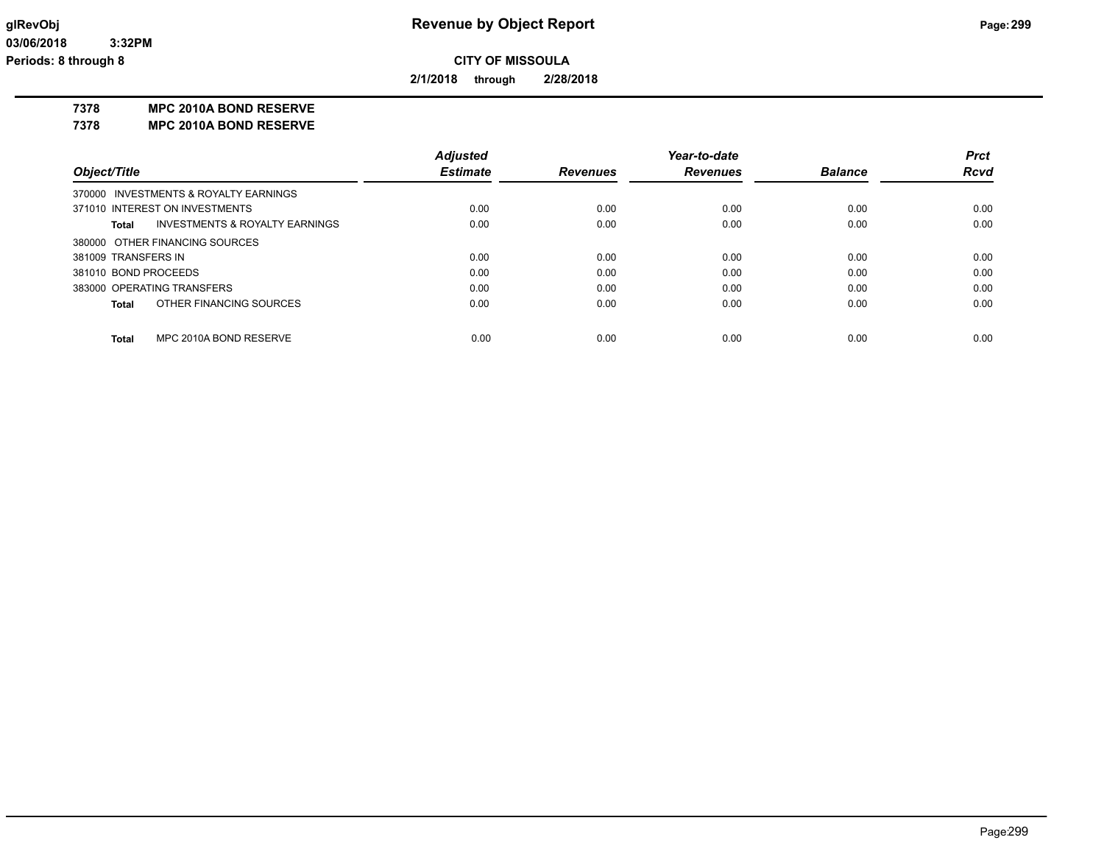**2/1/2018 through 2/28/2018**

**7378 MPC 2010A BOND RESERVE**

**7378 MPC 2010A BOND RESERVE**

|                      |                                       | <b>Adjusted</b> |                 | Year-to-date    |                | <b>Prct</b> |
|----------------------|---------------------------------------|-----------------|-----------------|-----------------|----------------|-------------|
| Object/Title         |                                       | <b>Estimate</b> | <b>Revenues</b> | <b>Revenues</b> | <b>Balance</b> | <b>Rcvd</b> |
|                      | 370000 INVESTMENTS & ROYALTY EARNINGS |                 |                 |                 |                |             |
|                      | 371010 INTEREST ON INVESTMENTS        | 0.00            | 0.00            | 0.00            | 0.00           | 0.00        |
| Total                | INVESTMENTS & ROYALTY EARNINGS        | 0.00            | 0.00            | 0.00            | 0.00           | 0.00        |
|                      | 380000 OTHER FINANCING SOURCES        |                 |                 |                 |                |             |
| 381009 TRANSFERS IN  |                                       | 0.00            | 0.00            | 0.00            | 0.00           | 0.00        |
| 381010 BOND PROCEEDS |                                       | 0.00            | 0.00            | 0.00            | 0.00           | 0.00        |
|                      | 383000 OPERATING TRANSFERS            | 0.00            | 0.00            | 0.00            | 0.00           | 0.00        |
| <b>Total</b>         | OTHER FINANCING SOURCES               | 0.00            | 0.00            | 0.00            | 0.00           | 0.00        |
|                      |                                       |                 |                 |                 |                |             |
| <b>Total</b>         | MPC 2010A BOND RESERVE                | 0.00            | 0.00            | 0.00            | 0.00           | 0.00        |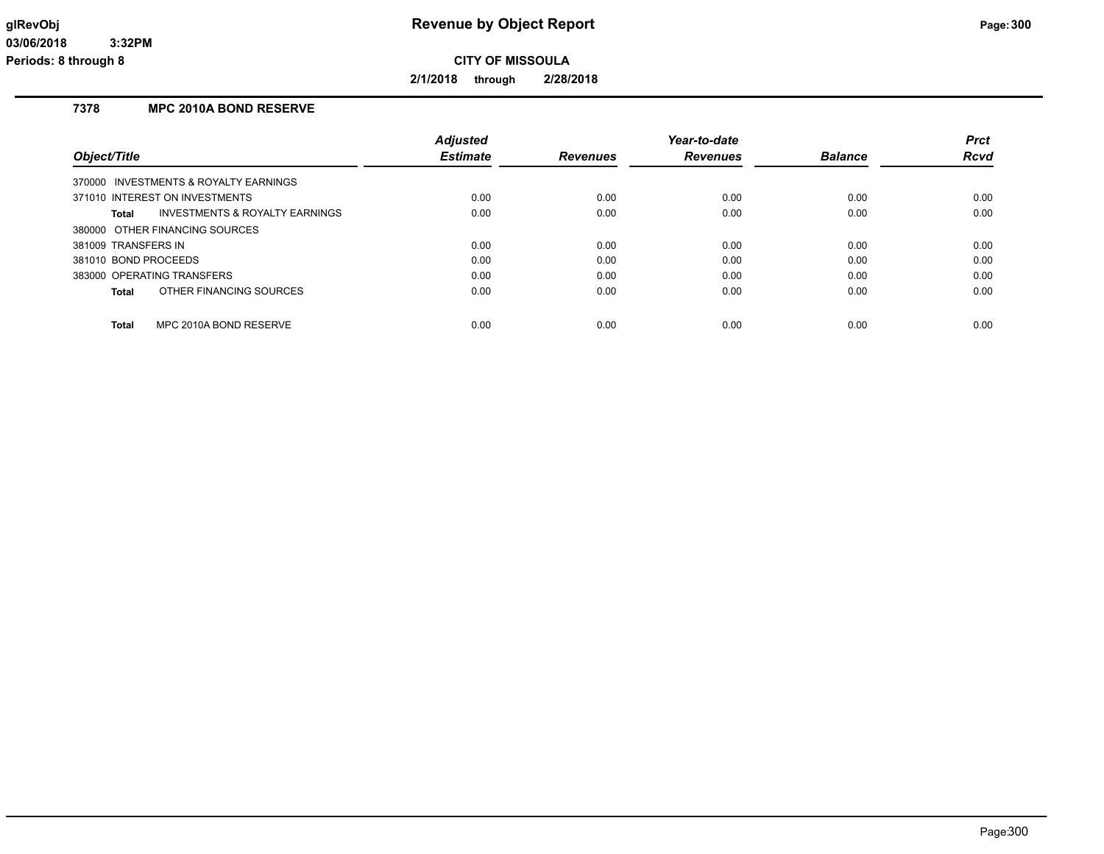**2/1/2018 through 2/28/2018**

## **7378 MPC 2010A BOND RESERVE**

|                                                    | <b>Adjusted</b> |                 | Year-to-date    |                | <b>Prct</b> |
|----------------------------------------------------|-----------------|-----------------|-----------------|----------------|-------------|
| Object/Title                                       | <b>Estimate</b> | <b>Revenues</b> | <b>Revenues</b> | <b>Balance</b> | Rcvd        |
| 370000 INVESTMENTS & ROYALTY EARNINGS              |                 |                 |                 |                |             |
| 371010 INTEREST ON INVESTMENTS                     | 0.00            | 0.00            | 0.00            | 0.00           | 0.00        |
| <b>INVESTMENTS &amp; ROYALTY EARNINGS</b><br>Total | 0.00            | 0.00            | 0.00            | 0.00           | 0.00        |
| 380000 OTHER FINANCING SOURCES                     |                 |                 |                 |                |             |
| 381009 TRANSFERS IN                                | 0.00            | 0.00            | 0.00            | 0.00           | 0.00        |
| 381010 BOND PROCEEDS                               | 0.00            | 0.00            | 0.00            | 0.00           | 0.00        |
| 383000 OPERATING TRANSFERS                         | 0.00            | 0.00            | 0.00            | 0.00           | 0.00        |
| OTHER FINANCING SOURCES<br>Total                   | 0.00            | 0.00            | 0.00            | 0.00           | 0.00        |
| <b>Total</b><br>MPC 2010A BOND RESERVE             | 0.00            | 0.00            | 0.00            | 0.00           | 0.00        |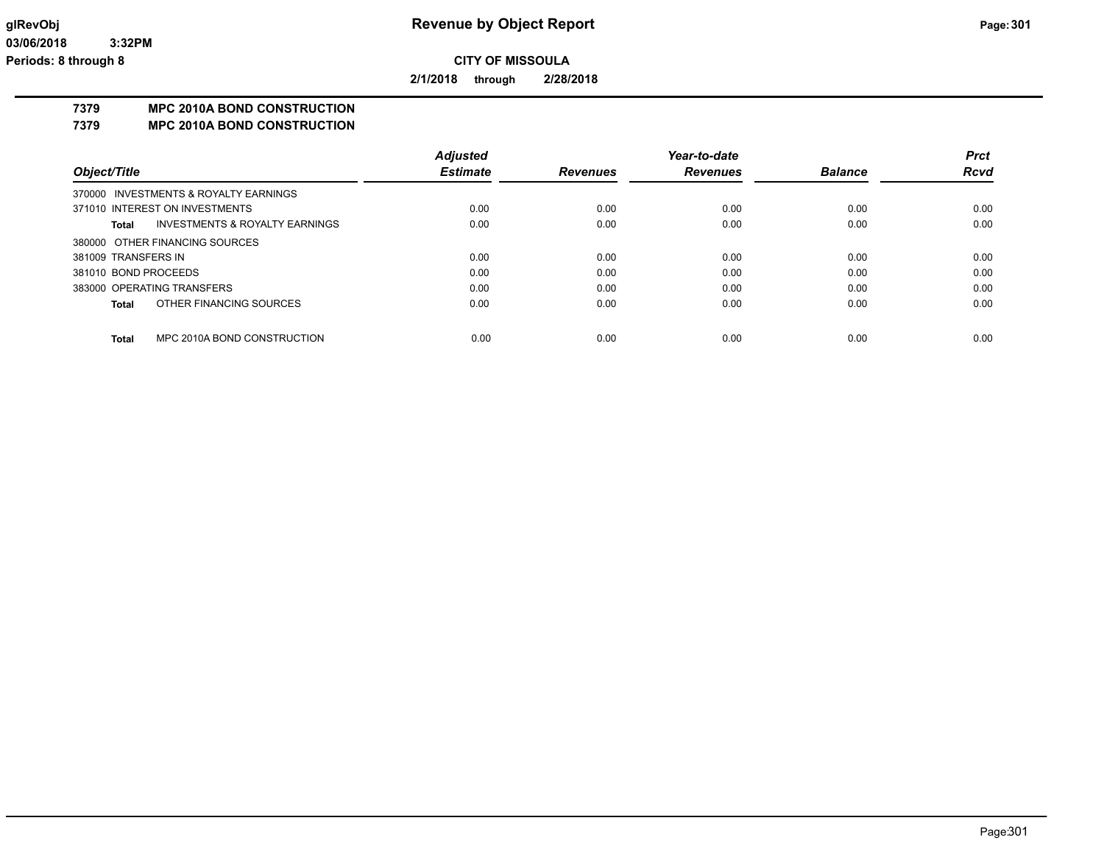**2/1/2018 through 2/28/2018**

## **7379 MPC 2010A BOND CONSTRUCTION**

**7379 MPC 2010A BOND CONSTRUCTION**

|                      |                                           | <b>Adjusted</b> |                 | Year-to-date    |                | <b>Prct</b> |
|----------------------|-------------------------------------------|-----------------|-----------------|-----------------|----------------|-------------|
| Object/Title         |                                           | <b>Estimate</b> | <b>Revenues</b> | <b>Revenues</b> | <b>Balance</b> | <b>Rcvd</b> |
|                      | 370000 INVESTMENTS & ROYALTY EARNINGS     |                 |                 |                 |                |             |
|                      | 371010 INTEREST ON INVESTMENTS            | 0.00            | 0.00            | 0.00            | 0.00           | 0.00        |
| Total                | <b>INVESTMENTS &amp; ROYALTY EARNINGS</b> | 0.00            | 0.00            | 0.00            | 0.00           | 0.00        |
|                      | 380000 OTHER FINANCING SOURCES            |                 |                 |                 |                |             |
| 381009 TRANSFERS IN  |                                           | 0.00            | 0.00            | 0.00            | 0.00           | 0.00        |
| 381010 BOND PROCEEDS |                                           | 0.00            | 0.00            | 0.00            | 0.00           | 0.00        |
|                      | 383000 OPERATING TRANSFERS                | 0.00            | 0.00            | 0.00            | 0.00           | 0.00        |
| Total                | OTHER FINANCING SOURCES                   | 0.00            | 0.00            | 0.00            | 0.00           | 0.00        |
| Total                | MPC 2010A BOND CONSTRUCTION               | 0.00            | 0.00            | 0.00            | 0.00           | 0.00        |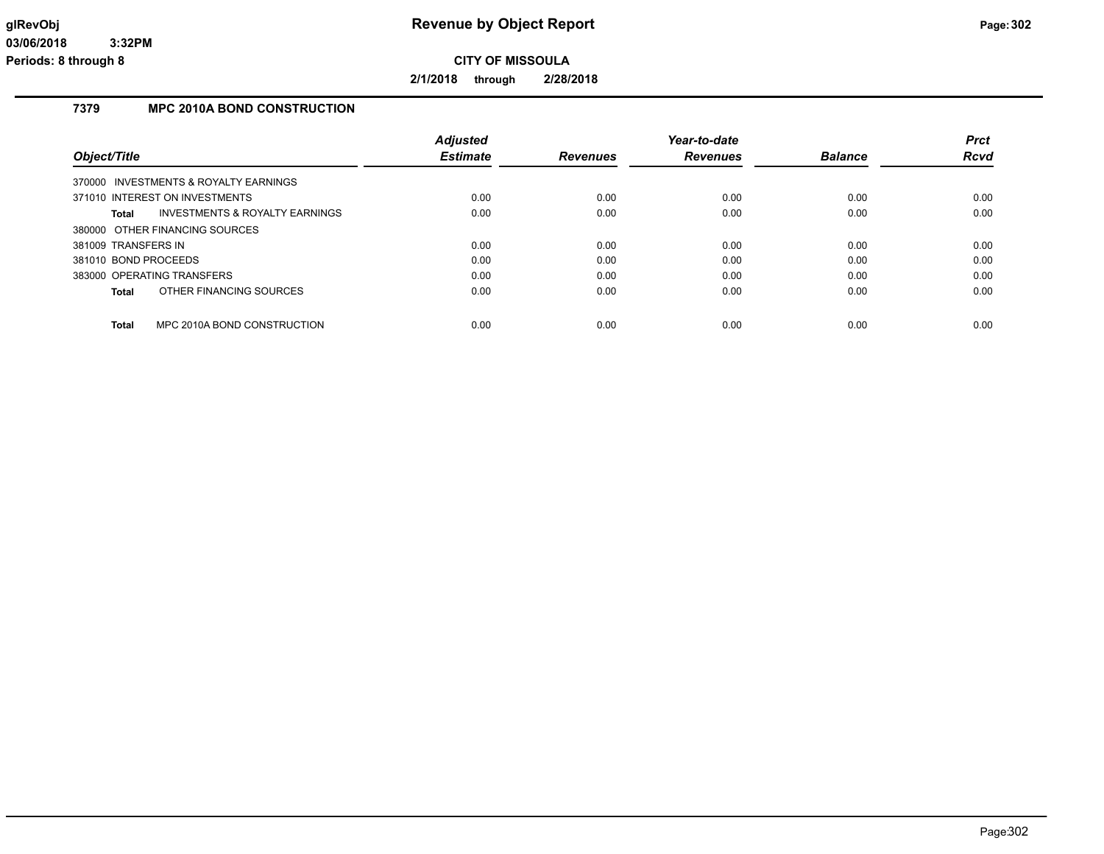**2/1/2018 through 2/28/2018**

## **7379 MPC 2010A BOND CONSTRUCTION**

|                                                    | <b>Adjusted</b> |                 | Year-to-date    |                | <b>Prct</b> |
|----------------------------------------------------|-----------------|-----------------|-----------------|----------------|-------------|
| Object/Title                                       | <b>Estimate</b> | <b>Revenues</b> | <b>Revenues</b> | <b>Balance</b> | <b>Rcvd</b> |
| 370000 INVESTMENTS & ROYALTY EARNINGS              |                 |                 |                 |                |             |
| 371010 INTEREST ON INVESTMENTS                     | 0.00            | 0.00            | 0.00            | 0.00           | 0.00        |
| Total<br><b>INVESTMENTS &amp; ROYALTY EARNINGS</b> | 0.00            | 0.00            | 0.00            | 0.00           | 0.00        |
| 380000 OTHER FINANCING SOURCES                     |                 |                 |                 |                |             |
| 381009 TRANSFERS IN                                | 0.00            | 0.00            | 0.00            | 0.00           | 0.00        |
| 381010 BOND PROCEEDS                               | 0.00            | 0.00            | 0.00            | 0.00           | 0.00        |
| 383000 OPERATING TRANSFERS                         | 0.00            | 0.00            | 0.00            | 0.00           | 0.00        |
| OTHER FINANCING SOURCES<br>Total                   | 0.00            | 0.00            | 0.00            | 0.00           | 0.00        |
| <b>Total</b><br>MPC 2010A BOND CONSTRUCTION        | 0.00            | 0.00            | 0.00            | 0.00           | 0.00        |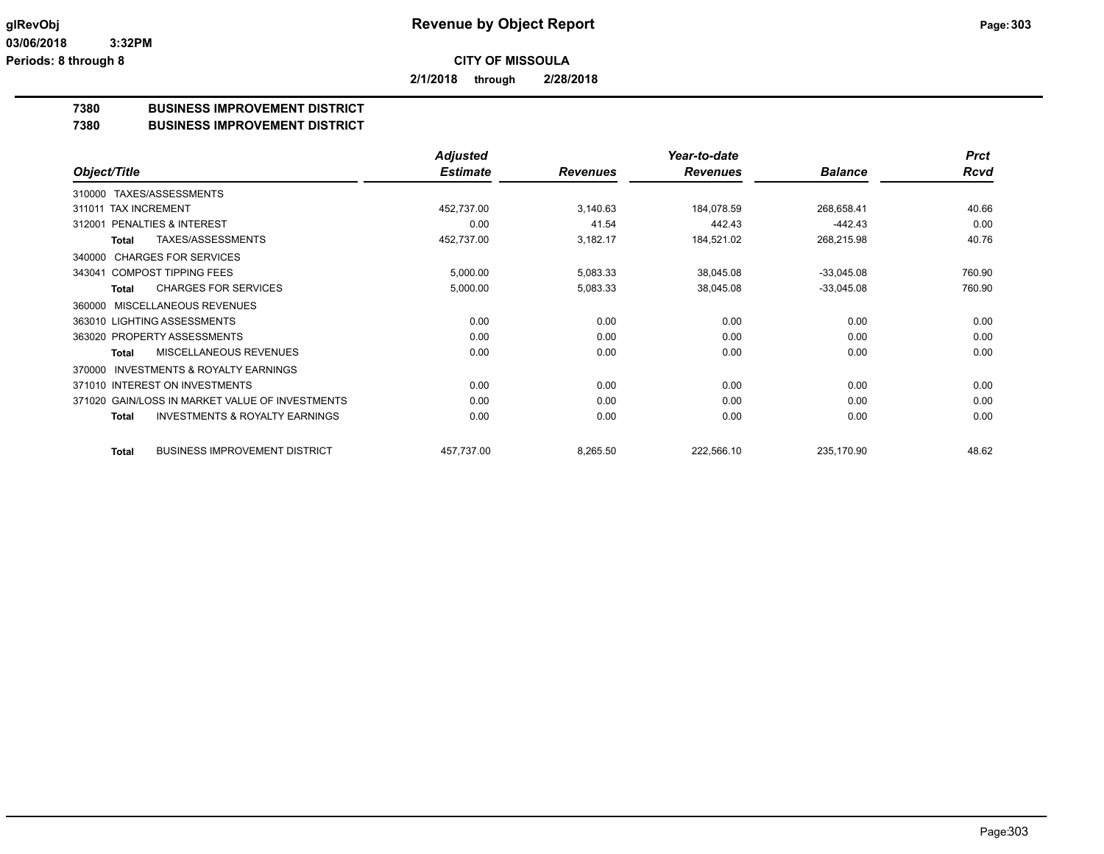**2/1/2018 through 2/28/2018**

## **7380 BUSINESS IMPROVEMENT DISTRICT**

### **7380 BUSINESS IMPROVEMENT DISTRICT**

|                                                     | <b>Adjusted</b> |                 | Year-to-date    |                | <b>Prct</b> |
|-----------------------------------------------------|-----------------|-----------------|-----------------|----------------|-------------|
| Object/Title                                        | <b>Estimate</b> | <b>Revenues</b> | <b>Revenues</b> | <b>Balance</b> | <b>Rcvd</b> |
| TAXES/ASSESSMENTS<br>310000                         |                 |                 |                 |                |             |
| <b>TAX INCREMENT</b><br>311011                      | 452,737.00      | 3,140.63        | 184,078.59      | 268,658.41     | 40.66       |
| <b>PENALTIES &amp; INTEREST</b><br>312001           | 0.00            | 41.54           | 442.43          | -442.43        | 0.00        |
| TAXES/ASSESSMENTS<br>Total                          | 452,737.00      | 3,182.17        | 184,521.02      | 268,215.98     | 40.76       |
| <b>CHARGES FOR SERVICES</b><br>340000               |                 |                 |                 |                |             |
| <b>COMPOST TIPPING FEES</b><br>343041               | 5,000.00        | 5,083.33        | 38,045.08       | $-33,045.08$   | 760.90      |
| <b>CHARGES FOR SERVICES</b><br><b>Total</b>         | 5,000.00        | 5,083.33        | 38,045.08       | $-33,045.08$   | 760.90      |
| MISCELLANEOUS REVENUES<br>360000                    |                 |                 |                 |                |             |
| 363010 LIGHTING ASSESSMENTS                         | 0.00            | 0.00            | 0.00            | 0.00           | 0.00        |
| 363020 PROPERTY ASSESSMENTS                         | 0.00            | 0.00            | 0.00            | 0.00           | 0.00        |
| MISCELLANEOUS REVENUES<br>Total                     | 0.00            | 0.00            | 0.00            | 0.00           | 0.00        |
| <b>INVESTMENTS &amp; ROYALTY EARNINGS</b><br>370000 |                 |                 |                 |                |             |
| 371010 INTEREST ON INVESTMENTS                      | 0.00            | 0.00            | 0.00            | 0.00           | 0.00        |
| 371020 GAIN/LOSS IN MARKET VALUE OF INVESTMENTS     | 0.00            | 0.00            | 0.00            | 0.00           | 0.00        |
| <b>INVESTMENTS &amp; ROYALTY EARNINGS</b><br>Total  | 0.00            | 0.00            | 0.00            | 0.00           | 0.00        |
| <b>BUSINESS IMPROVEMENT DISTRICT</b><br>Total       | 457,737.00      | 8,265.50        | 222,566.10      | 235,170.90     | 48.62       |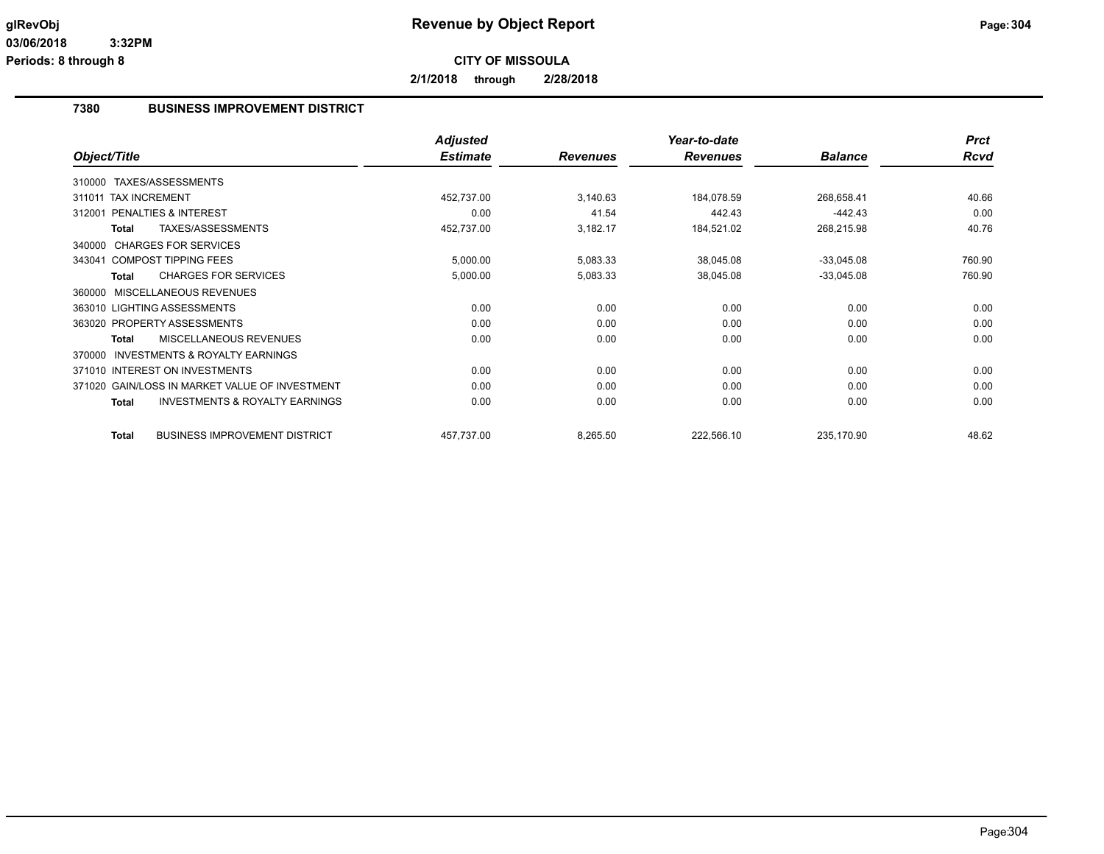**2/1/2018 through 2/28/2018**

## **7380 BUSINESS IMPROVEMENT DISTRICT**

|                                                           | <b>Adjusted</b> |                 | Year-to-date    |                | <b>Prct</b> |
|-----------------------------------------------------------|-----------------|-----------------|-----------------|----------------|-------------|
| Object/Title                                              | <b>Estimate</b> | <b>Revenues</b> | <b>Revenues</b> | <b>Balance</b> | <b>Rcvd</b> |
| 310000 TAXES/ASSESSMENTS                                  |                 |                 |                 |                |             |
| 311011 TAX INCREMENT                                      | 452,737.00      | 3,140.63        | 184,078.59      | 268,658.41     | 40.66       |
| <b>PENALTIES &amp; INTEREST</b><br>312001                 | 0.00            | 41.54           | 442.43          | $-442.43$      | 0.00        |
| TAXES/ASSESSMENTS<br><b>Total</b>                         | 452,737.00      | 3,182.17        | 184,521.02      | 268,215.98     | 40.76       |
| 340000 CHARGES FOR SERVICES                               |                 |                 |                 |                |             |
| 343041 COMPOST TIPPING FEES                               | 5,000.00        | 5,083.33        | 38,045.08       | $-33,045.08$   | 760.90      |
| <b>CHARGES FOR SERVICES</b><br><b>Total</b>               | 5,000.00        | 5,083.33        | 38,045.08       | $-33,045.08$   | 760.90      |
| MISCELLANEOUS REVENUES<br>360000                          |                 |                 |                 |                |             |
| 363010 LIGHTING ASSESSMENTS                               | 0.00            | 0.00            | 0.00            | 0.00           | 0.00        |
| 363020 PROPERTY ASSESSMENTS                               | 0.00            | 0.00            | 0.00            | 0.00           | 0.00        |
| MISCELLANEOUS REVENUES<br><b>Total</b>                    | 0.00            | 0.00            | 0.00            | 0.00           | 0.00        |
| <b>INVESTMENTS &amp; ROYALTY EARNINGS</b><br>370000       |                 |                 |                 |                |             |
| 371010 INTEREST ON INVESTMENTS                            | 0.00            | 0.00            | 0.00            | 0.00           | 0.00        |
| 371020 GAIN/LOSS IN MARKET VALUE OF INVESTMENT            | 0.00            | 0.00            | 0.00            | 0.00           | 0.00        |
| <b>INVESTMENTS &amp; ROYALTY EARNINGS</b><br><b>Total</b> | 0.00            | 0.00            | 0.00            | 0.00           | 0.00        |
| <b>BUSINESS IMPROVEMENT DISTRICT</b><br><b>Total</b>      | 457,737.00      | 8,265.50        | 222,566.10      | 235,170.90     | 48.62       |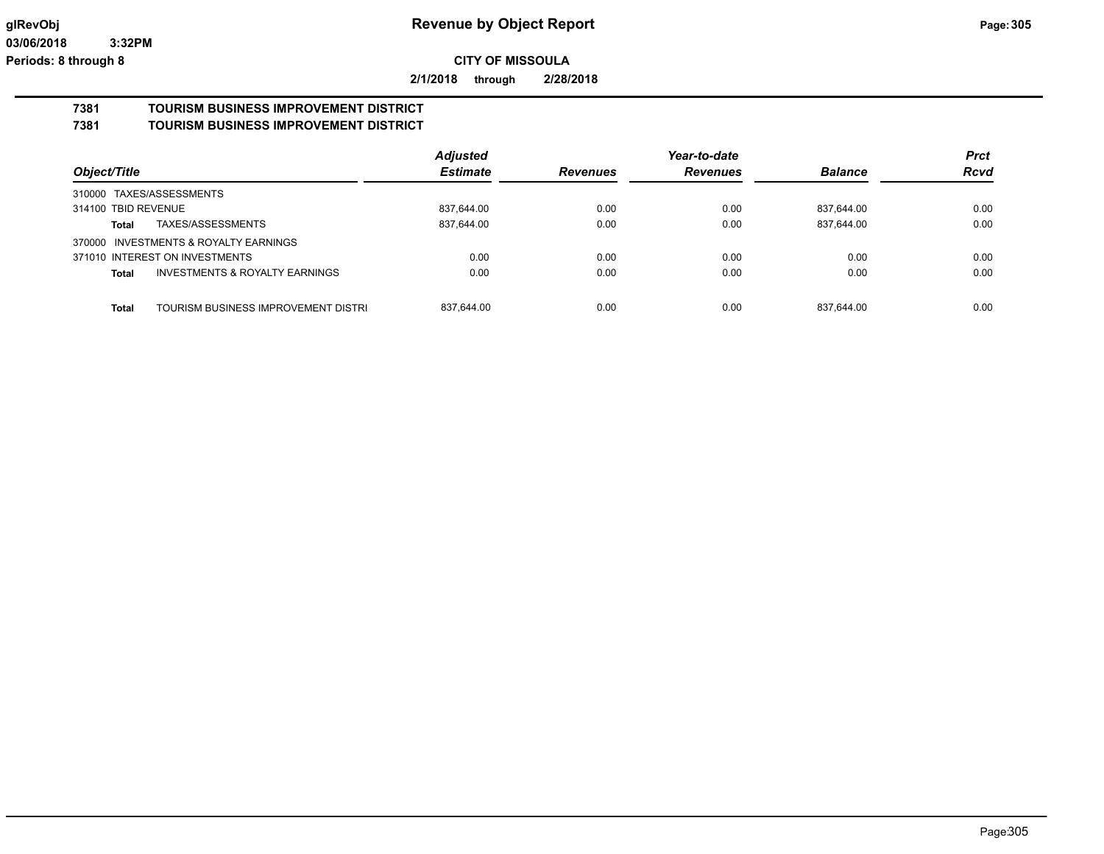**2/1/2018 through 2/28/2018**

# **7381 TOURISM BUSINESS IMPROVEMENT DISTRICT**

**7381 TOURISM BUSINESS IMPROVEMENT DISTRICT**

|                                                     | <b>Adjusted</b> |                 | Year-to-date    |                | <b>Prct</b> |
|-----------------------------------------------------|-----------------|-----------------|-----------------|----------------|-------------|
| Object/Title                                        | <b>Estimate</b> | <b>Revenues</b> | <b>Revenues</b> | <b>Balance</b> | <b>Rcvd</b> |
| 310000 TAXES/ASSESSMENTS                            |                 |                 |                 |                |             |
| 314100 TBID REVENUE                                 | 837.644.00      | 0.00            | 0.00            | 837.644.00     | 0.00        |
| TAXES/ASSESSMENTS<br>Total                          | 837,644.00      | 0.00            | 0.00            | 837,644.00     | 0.00        |
| 370000 INVESTMENTS & ROYALTY EARNINGS               |                 |                 |                 |                |             |
| 371010 INTEREST ON INVESTMENTS                      | 0.00            | 0.00            | 0.00            | 0.00           | 0.00        |
| INVESTMENTS & ROYALTY EARNINGS<br>Total             | 0.00            | 0.00            | 0.00            | 0.00           | 0.00        |
|                                                     |                 |                 |                 |                |             |
| <b>Total</b><br>TOURISM BUSINESS IMPROVEMENT DISTRI | 837.644.00      | 0.00            | 0.00            | 837.644.00     | 0.00        |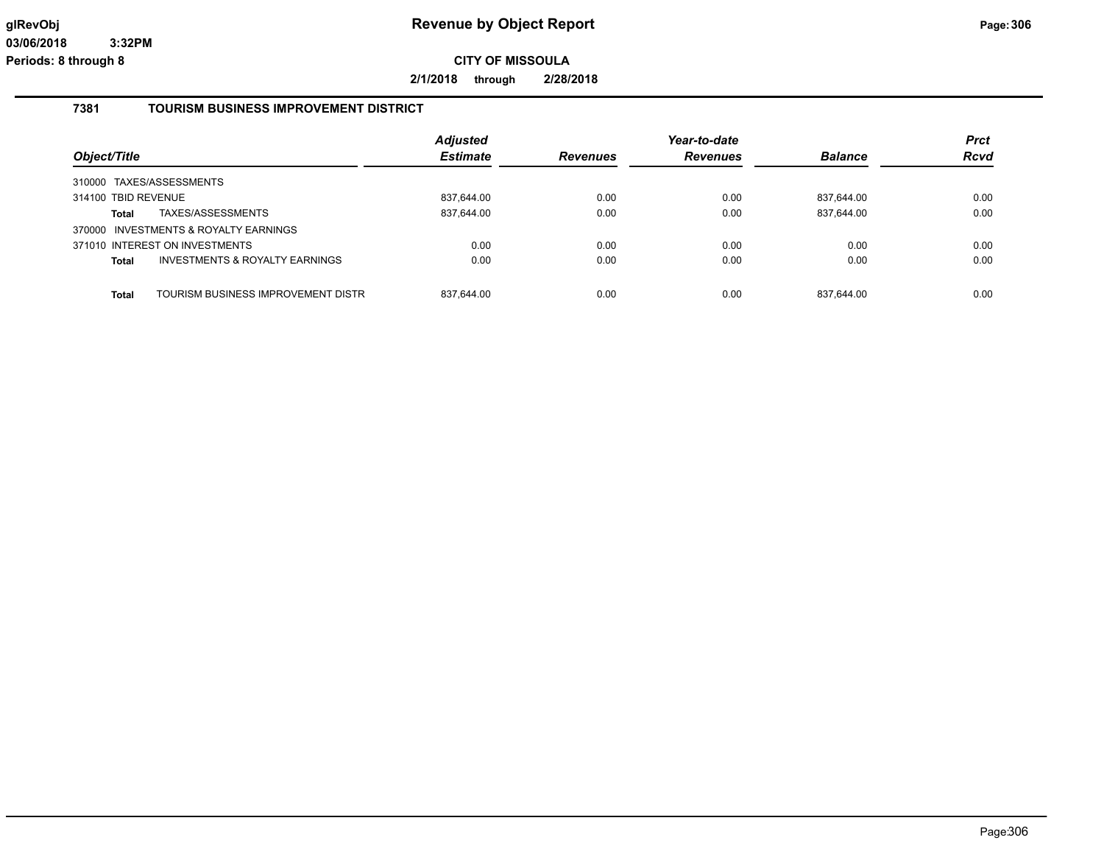**2/1/2018 through 2/28/2018**

### **7381 TOURISM BUSINESS IMPROVEMENT DISTRICT**

| Object/Title        |                                       | <b>Adjusted</b><br><b>Estimate</b> | <b>Revenues</b> | Year-to-date<br><b>Revenues</b> | <b>Balance</b> | <b>Prct</b><br><b>Rcvd</b> |
|---------------------|---------------------------------------|------------------------------------|-----------------|---------------------------------|----------------|----------------------------|
|                     | 310000 TAXES/ASSESSMENTS              |                                    |                 |                                 |                |                            |
| 314100 TBID REVENUE |                                       | 837.644.00                         | 0.00            | 0.00                            | 837.644.00     | 0.00                       |
| Total               | TAXES/ASSESSMENTS                     | 837,644.00                         | 0.00            | 0.00                            | 837,644.00     | 0.00                       |
|                     | 370000 INVESTMENTS & ROYALTY EARNINGS |                                    |                 |                                 |                |                            |
|                     | 371010 INTEREST ON INVESTMENTS        | 0.00                               | 0.00            | 0.00                            | 0.00           | 0.00                       |
| <b>Total</b>        | INVESTMENTS & ROYALTY EARNINGS        | 0.00                               | 0.00            | 0.00                            | 0.00           | 0.00                       |
|                     |                                       |                                    |                 |                                 |                |                            |
| <b>Total</b>        | TOURISM BUSINESS IMPROVEMENT DISTRI   | 837.644.00                         | 0.00            | 0.00                            | 837,644.00     | 0.00                       |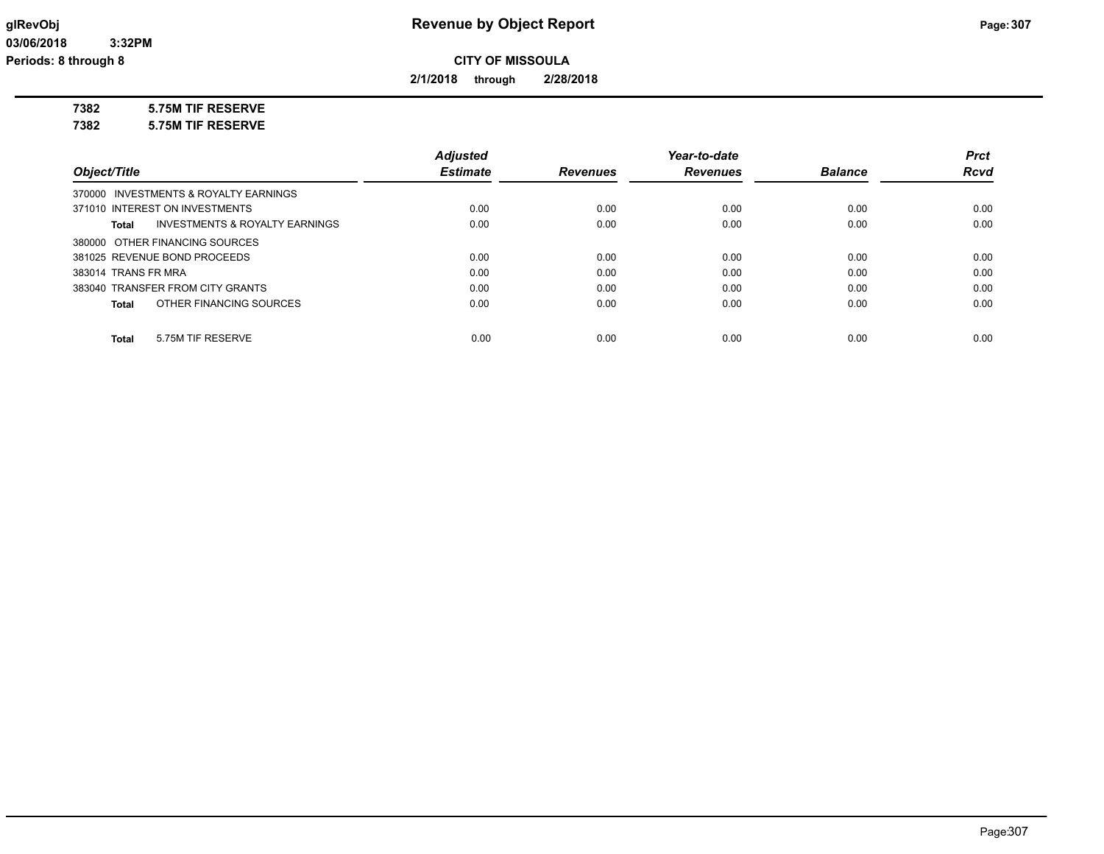**2/1/2018 through 2/28/2018**

**7382 5.75M TIF RESERVE**

**7382 5.75M TIF RESERVE**

|                                                    | <b>Adjusted</b> |                 | Year-to-date    |                | <b>Prct</b> |
|----------------------------------------------------|-----------------|-----------------|-----------------|----------------|-------------|
| Object/Title                                       | <b>Estimate</b> | <b>Revenues</b> | <b>Revenues</b> | <b>Balance</b> | <b>Rcvd</b> |
| 370000 INVESTMENTS & ROYALTY EARNINGS              |                 |                 |                 |                |             |
| 371010 INTEREST ON INVESTMENTS                     | 0.00            | 0.00            | 0.00            | 0.00           | 0.00        |
| <b>INVESTMENTS &amp; ROYALTY EARNINGS</b><br>Total | 0.00            | 0.00            | 0.00            | 0.00           | 0.00        |
| 380000 OTHER FINANCING SOURCES                     |                 |                 |                 |                |             |
| 381025 REVENUE BOND PROCEEDS                       | 0.00            | 0.00            | 0.00            | 0.00           | 0.00        |
| 383014 TRANS FR MRA                                | 0.00            | 0.00            | 0.00            | 0.00           | 0.00        |
| 383040 TRANSFER FROM CITY GRANTS                   | 0.00            | 0.00            | 0.00            | 0.00           | 0.00        |
| OTHER FINANCING SOURCES<br>Total                   | 0.00            | 0.00            | 0.00            | 0.00           | 0.00        |
| 5.75M TIF RESERVE<br>Total                         | 0.00            | 0.00            | 0.00            | 0.00           | 0.00        |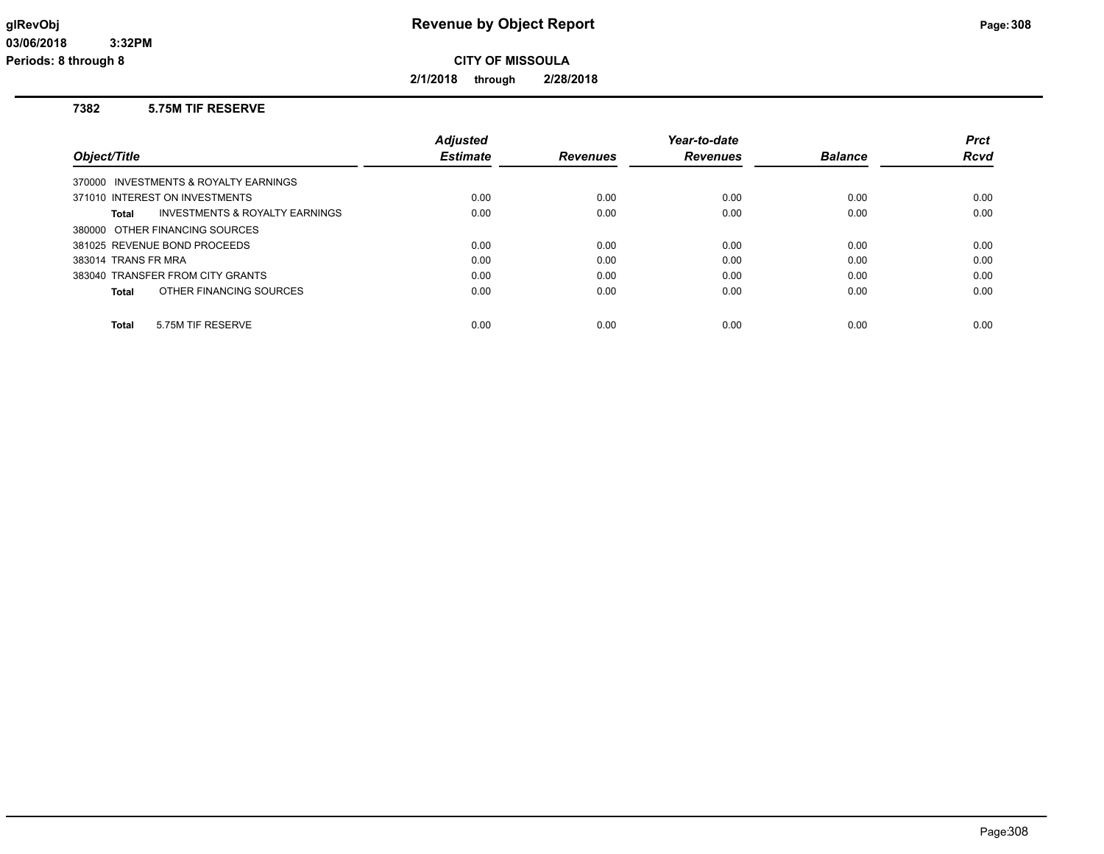**2/1/2018 through 2/28/2018**

### **7382 5.75M TIF RESERVE**

|                                                    | <b>Adjusted</b> |                 | Year-to-date    |                | <b>Prct</b> |
|----------------------------------------------------|-----------------|-----------------|-----------------|----------------|-------------|
| Object/Title                                       | <b>Estimate</b> | <b>Revenues</b> | <b>Revenues</b> | <b>Balance</b> | Rcvd        |
| 370000 INVESTMENTS & ROYALTY EARNINGS              |                 |                 |                 |                |             |
| 371010 INTEREST ON INVESTMENTS                     | 0.00            | 0.00            | 0.00            | 0.00           | 0.00        |
| <b>INVESTMENTS &amp; ROYALTY EARNINGS</b><br>Total | 0.00            | 0.00            | 0.00            | 0.00           | 0.00        |
| 380000 OTHER FINANCING SOURCES                     |                 |                 |                 |                |             |
| 381025 REVENUE BOND PROCEEDS                       | 0.00            | 0.00            | 0.00            | 0.00           | 0.00        |
| 383014 TRANS FR MRA                                | 0.00            | 0.00            | 0.00            | 0.00           | 0.00        |
| 383040 TRANSFER FROM CITY GRANTS                   | 0.00            | 0.00            | 0.00            | 0.00           | 0.00        |
| OTHER FINANCING SOURCES<br>Total                   | 0.00            | 0.00            | 0.00            | 0.00           | 0.00        |
|                                                    |                 |                 |                 |                |             |
| 5.75M TIF RESERVE<br><b>Total</b>                  | 0.00            | 0.00            | 0.00            | 0.00           | 0.00        |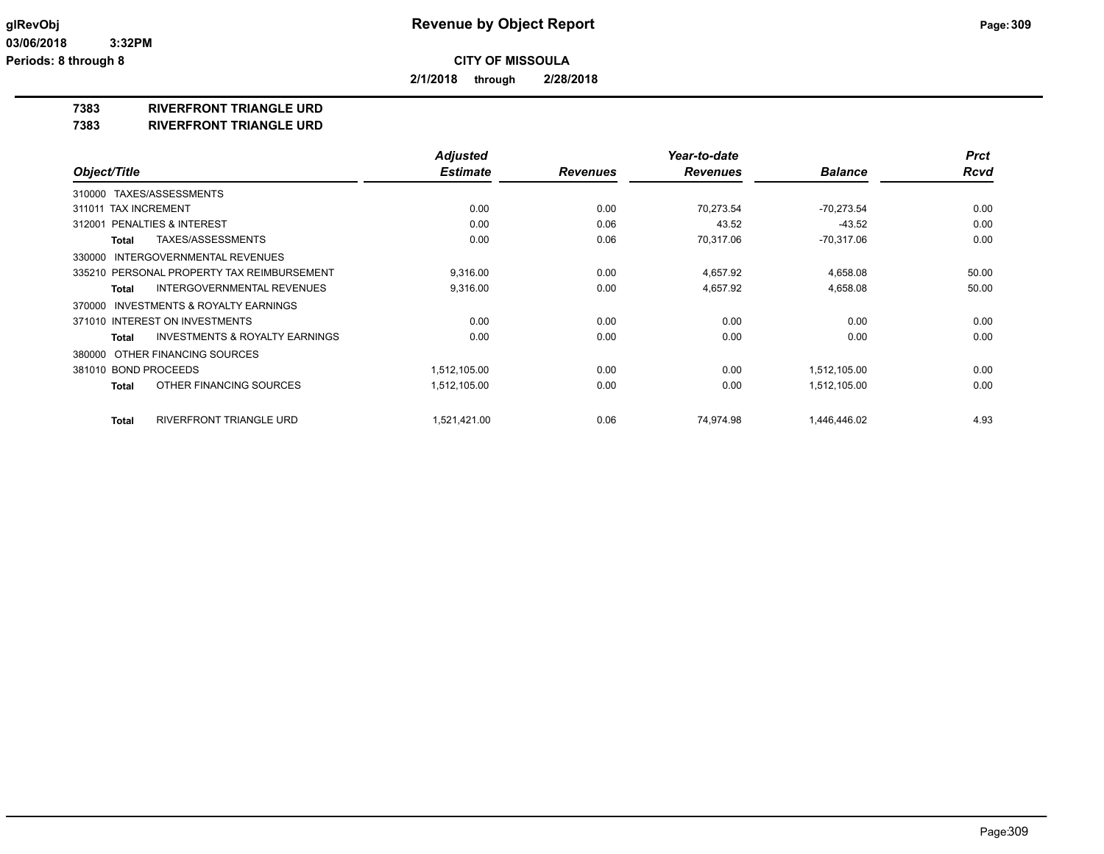**2/1/2018 through 2/28/2018**

## **7383 RIVERFRONT TRIANGLE URD**

**7383 RIVERFRONT TRIANGLE URD**

|                                                           | <b>Adjusted</b> |                 | Year-to-date    |                | <b>Prct</b> |
|-----------------------------------------------------------|-----------------|-----------------|-----------------|----------------|-------------|
| Object/Title                                              | <b>Estimate</b> | <b>Revenues</b> | <b>Revenues</b> | <b>Balance</b> | <b>Rcvd</b> |
| 310000 TAXES/ASSESSMENTS                                  |                 |                 |                 |                |             |
| <b>TAX INCREMENT</b><br>311011                            | 0.00            | 0.00            | 70.273.54       | $-70,273.54$   | 0.00        |
| <b>PENALTIES &amp; INTEREST</b><br>312001                 | 0.00            | 0.06            | 43.52           | $-43.52$       | 0.00        |
| TAXES/ASSESSMENTS<br><b>Total</b>                         | 0.00            | 0.06            | 70,317.06       | $-70,317.06$   | 0.00        |
| 330000 INTERGOVERNMENTAL REVENUES                         |                 |                 |                 |                |             |
| 335210 PERSONAL PROPERTY TAX REIMBURSEMENT                | 9,316.00        | 0.00            | 4,657.92        | 4,658.08       | 50.00       |
| <b>INTERGOVERNMENTAL REVENUES</b><br>Total                | 9,316.00        | 0.00            | 4,657.92        | 4,658.08       | 50.00       |
| INVESTMENTS & ROYALTY EARNINGS<br>370000                  |                 |                 |                 |                |             |
| 371010 INTEREST ON INVESTMENTS                            | 0.00            | 0.00            | 0.00            | 0.00           | 0.00        |
| <b>INVESTMENTS &amp; ROYALTY EARNINGS</b><br><b>Total</b> | 0.00            | 0.00            | 0.00            | 0.00           | 0.00        |
| OTHER FINANCING SOURCES<br>380000                         |                 |                 |                 |                |             |
| 381010 BOND PROCEEDS                                      | 1,512,105.00    | 0.00            | 0.00            | 1,512,105.00   | 0.00        |
| OTHER FINANCING SOURCES<br><b>Total</b>                   | 1,512,105.00    | 0.00            | 0.00            | 1,512,105.00   | 0.00        |
|                                                           |                 |                 |                 |                |             |
| <b>RIVERFRONT TRIANGLE URD</b><br><b>Total</b>            | 1,521,421.00    | 0.06            | 74.974.98       | 1,446,446.02   | 4.93        |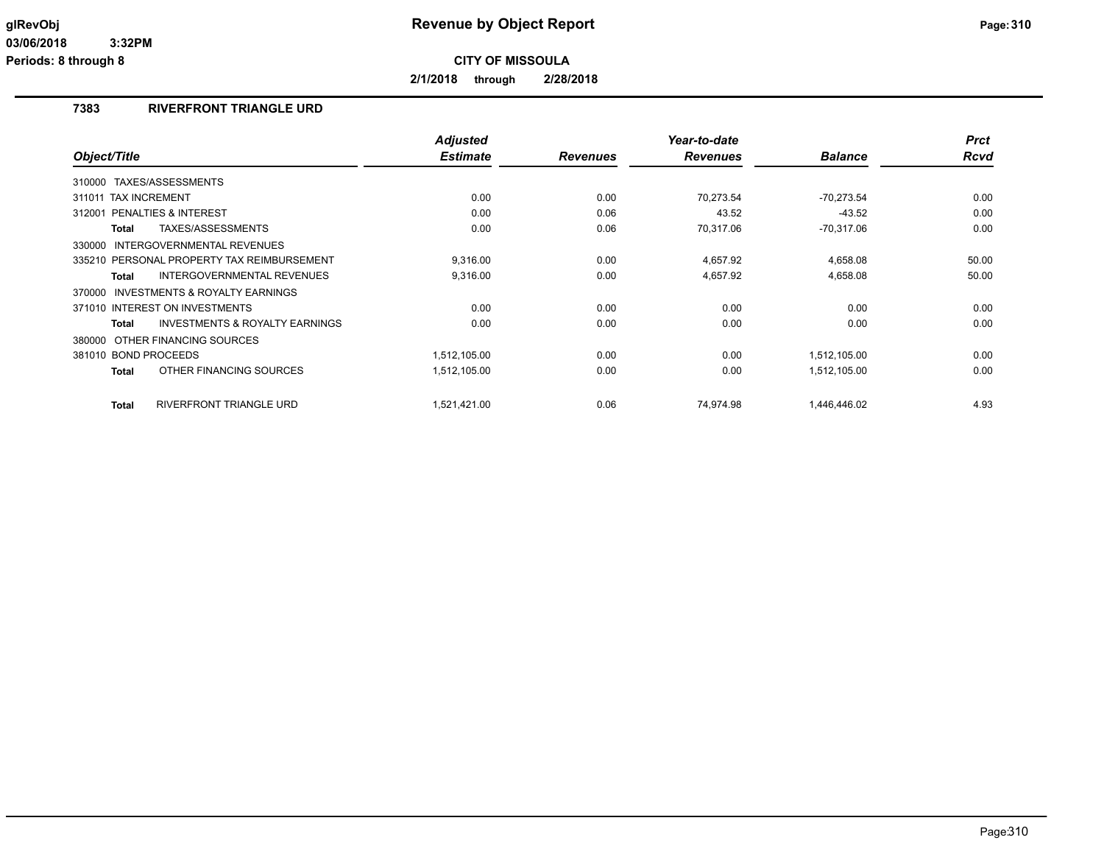**2/1/2018 through 2/28/2018**

## **7383 RIVERFRONT TRIANGLE URD**

| Object/Title                                        | <b>Adjusted</b><br><b>Estimate</b> | <b>Revenues</b> | Year-to-date<br><b>Revenues</b> | <b>Balance</b> | <b>Prct</b><br><b>Rcvd</b> |
|-----------------------------------------------------|------------------------------------|-----------------|---------------------------------|----------------|----------------------------|
|                                                     |                                    |                 |                                 |                |                            |
| TAXES/ASSESSMENTS<br>310000                         |                                    |                 |                                 |                |                            |
| 311011 TAX INCREMENT                                | 0.00                               | 0.00            | 70.273.54                       | $-70,273.54$   | 0.00                       |
| 312001 PENALTIES & INTEREST                         | 0.00                               | 0.06            | 43.52                           | $-43.52$       | 0.00                       |
| TAXES/ASSESSMENTS<br>Total                          | 0.00                               | 0.06            | 70,317.06                       | $-70,317.06$   | 0.00                       |
| <b>INTERGOVERNMENTAL REVENUES</b><br>330000         |                                    |                 |                                 |                |                            |
| 335210 PERSONAL PROPERTY TAX REIMBURSEMENT          | 9,316.00                           | 0.00            | 4,657.92                        | 4,658.08       | 50.00                      |
| <b>INTERGOVERNMENTAL REVENUES</b><br><b>Total</b>   | 9,316.00                           | 0.00            | 4,657.92                        | 4,658.08       | 50.00                      |
| <b>INVESTMENTS &amp; ROYALTY EARNINGS</b><br>370000 |                                    |                 |                                 |                |                            |
| 371010 INTEREST ON INVESTMENTS                      | 0.00                               | 0.00            | 0.00                            | 0.00           | 0.00                       |
| <b>INVESTMENTS &amp; ROYALTY EARNINGS</b><br>Total  | 0.00                               | 0.00            | 0.00                            | 0.00           | 0.00                       |
| 380000 OTHER FINANCING SOURCES                      |                                    |                 |                                 |                |                            |
| 381010 BOND PROCEEDS                                | 1,512,105.00                       | 0.00            | 0.00                            | 1,512,105.00   | 0.00                       |
| OTHER FINANCING SOURCES<br><b>Total</b>             | 1,512,105.00                       | 0.00            | 0.00                            | 1,512,105.00   | 0.00                       |
| <b>RIVERFRONT TRIANGLE URD</b><br><b>Total</b>      | 1,521,421.00                       | 0.06            | 74,974.98                       | 1,446,446.02   | 4.93                       |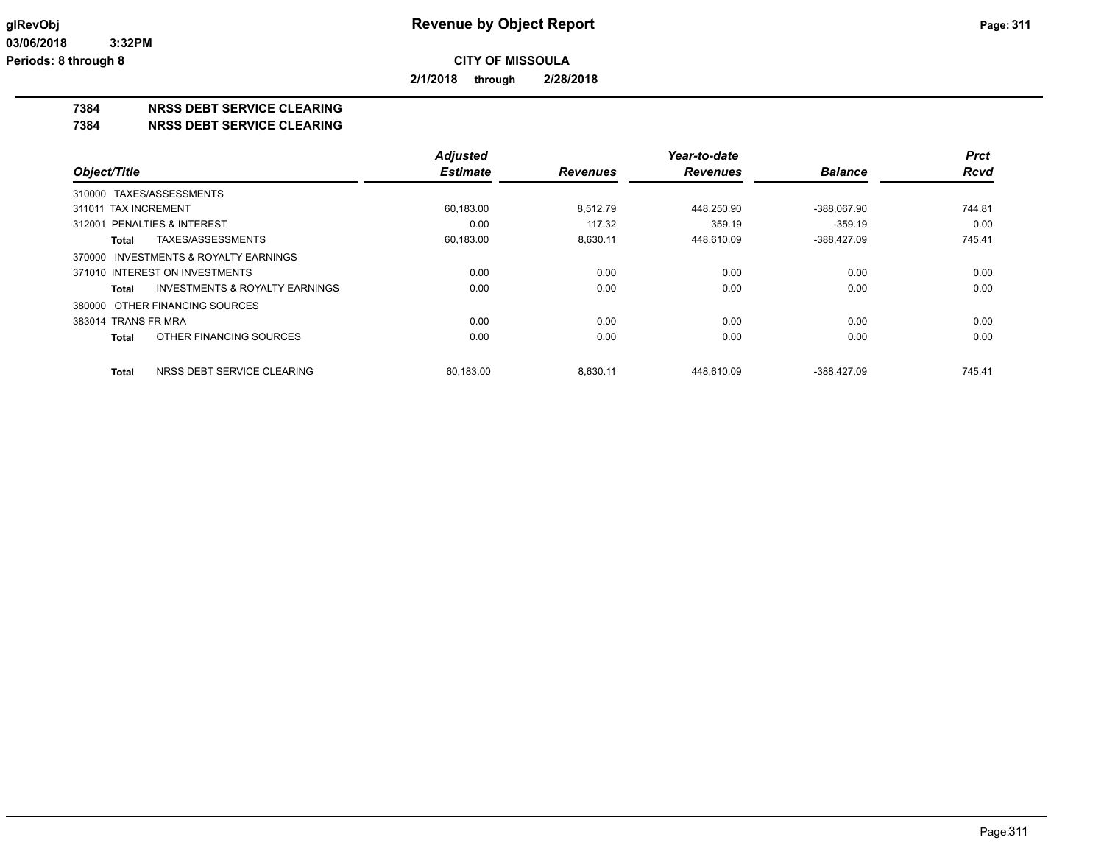**2/1/2018 through 2/28/2018**

### **7384 NRSS DEBT SERVICE CLEARING**

**7384 NRSS DEBT SERVICE CLEARING**

|                                                    | <b>Adjusted</b> |                 | Year-to-date    |                | <b>Prct</b> |
|----------------------------------------------------|-----------------|-----------------|-----------------|----------------|-------------|
| Object/Title                                       | <b>Estimate</b> | <b>Revenues</b> | <b>Revenues</b> | <b>Balance</b> | <b>Rcvd</b> |
| 310000 TAXES/ASSESSMENTS                           |                 |                 |                 |                |             |
| 311011 TAX INCREMENT                               | 60,183.00       | 8.512.79        | 448.250.90      | -388.067.90    | 744.81      |
| 312001 PENALTIES & INTEREST                        | 0.00            | 117.32          | 359.19          | $-359.19$      | 0.00        |
| TAXES/ASSESSMENTS<br>Total                         | 60,183.00       | 8,630.11        | 448,610.09      | $-388,427.09$  | 745.41      |
| 370000 INVESTMENTS & ROYALTY EARNINGS              |                 |                 |                 |                |             |
| 371010 INTEREST ON INVESTMENTS                     | 0.00            | 0.00            | 0.00            | 0.00           | 0.00        |
| <b>INVESTMENTS &amp; ROYALTY EARNINGS</b><br>Total | 0.00            | 0.00            | 0.00            | 0.00           | 0.00        |
| 380000 OTHER FINANCING SOURCES                     |                 |                 |                 |                |             |
| 383014 TRANS FR MRA                                | 0.00            | 0.00            | 0.00            | 0.00           | 0.00        |
| OTHER FINANCING SOURCES<br>Total                   | 0.00            | 0.00            | 0.00            | 0.00           | 0.00        |
| NRSS DEBT SERVICE CLEARING<br><b>Total</b>         | 60.183.00       | 8.630.11        | 448.610.09      | -388.427.09    | 745.41      |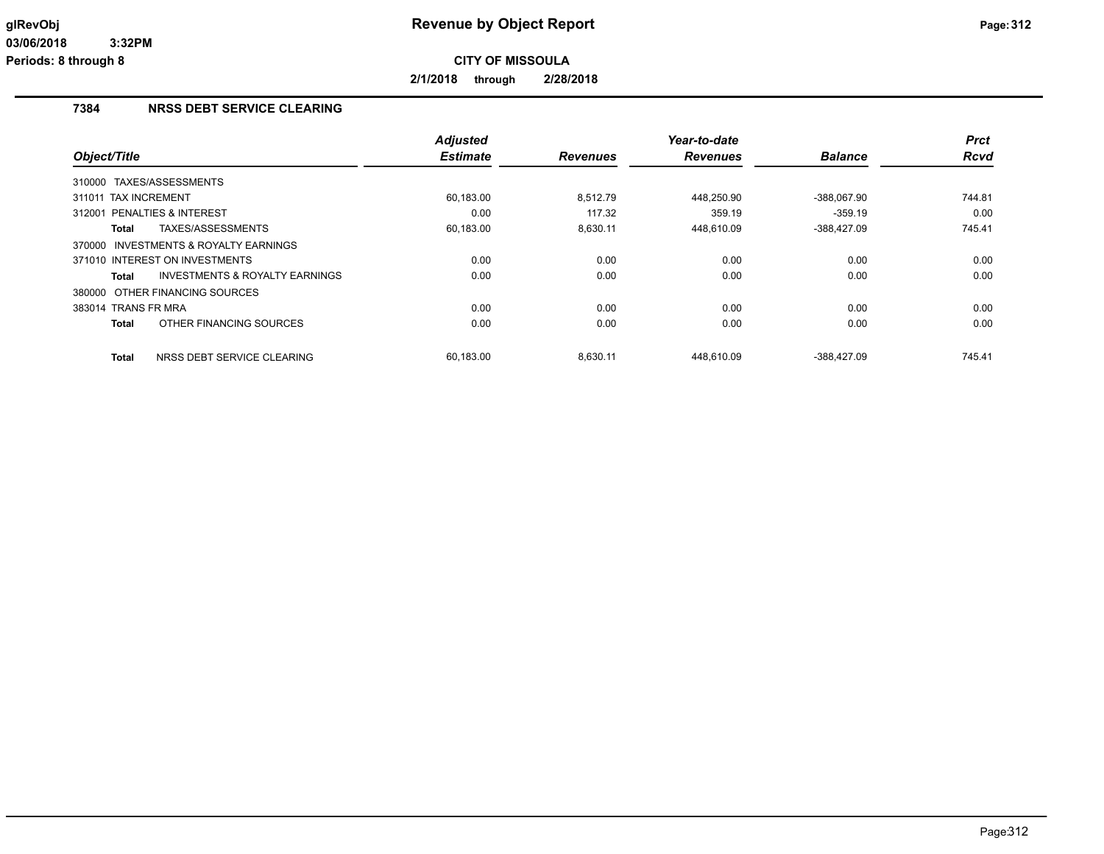**2/1/2018 through 2/28/2018**

## **7384 NRSS DEBT SERVICE CLEARING**

|                                            | <b>Adjusted</b> |                 | Year-to-date    |                | <b>Prct</b> |
|--------------------------------------------|-----------------|-----------------|-----------------|----------------|-------------|
| Object/Title                               | <b>Estimate</b> | <b>Revenues</b> | <b>Revenues</b> | <b>Balance</b> | <b>Rcvd</b> |
| 310000 TAXES/ASSESSMENTS                   |                 |                 |                 |                |             |
| <b>TAX INCREMENT</b><br>311011             | 60,183.00       | 8.512.79        | 448,250.90      | -388,067.90    | 744.81      |
| <b>PENALTIES &amp; INTEREST</b><br>312001  | 0.00            | 117.32          | 359.19          | $-359.19$      | 0.00        |
| TAXES/ASSESSMENTS<br>Total                 | 60,183.00       | 8,630.11        | 448,610.09      | -388,427.09    | 745.41      |
| 370000 INVESTMENTS & ROYALTY EARNINGS      |                 |                 |                 |                |             |
| 371010 INTEREST ON INVESTMENTS             | 0.00            | 0.00            | 0.00            | 0.00           | 0.00        |
| INVESTMENTS & ROYALTY EARNINGS<br>Total    | 0.00            | 0.00            | 0.00            | 0.00           | 0.00        |
| 380000 OTHER FINANCING SOURCES             |                 |                 |                 |                |             |
| 383014 TRANS FR MRA                        | 0.00            | 0.00            | 0.00            | 0.00           | 0.00        |
| OTHER FINANCING SOURCES<br><b>Total</b>    | 0.00            | 0.00            | 0.00            | 0.00           | 0.00        |
| NRSS DEBT SERVICE CLEARING<br><b>Total</b> | 60,183.00       | 8.630.11        | 448.610.09      | -388.427.09    | 745.41      |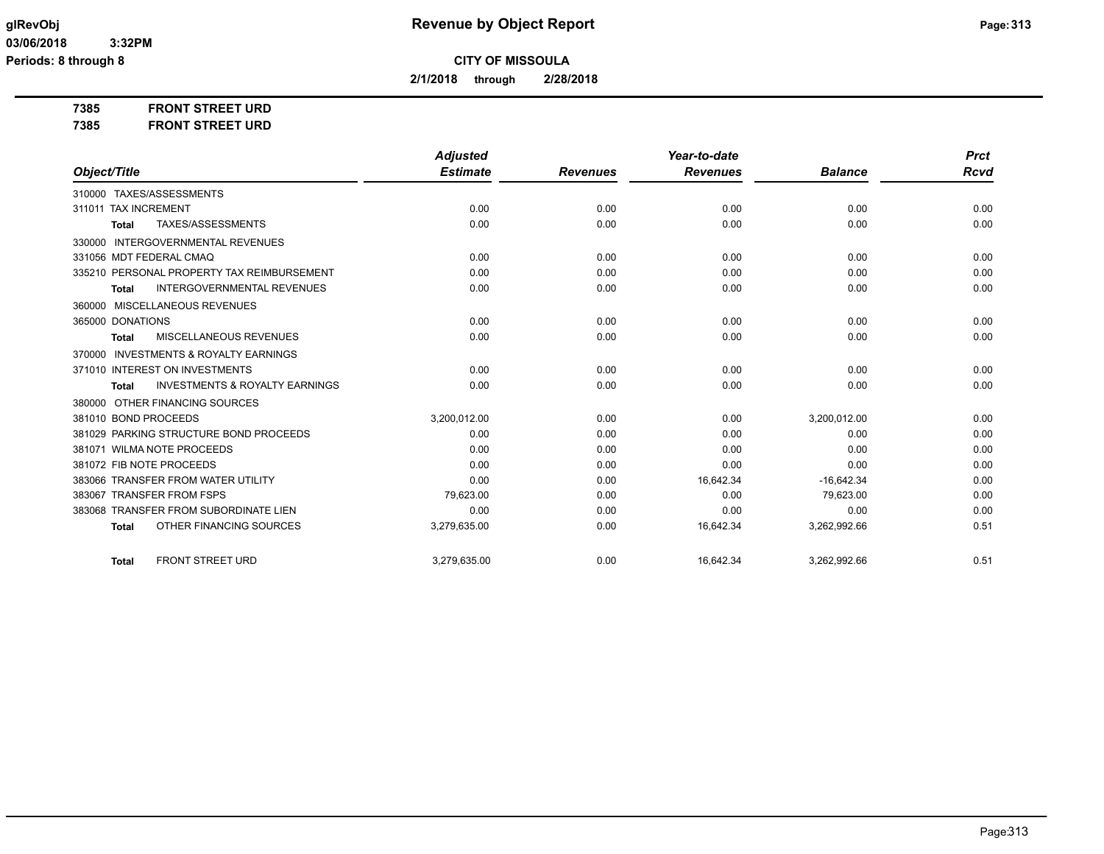**2/1/2018 through 2/28/2018**

**7385 FRONT STREET URD**

**7385 FRONT STREET URD**

|                                                           | <b>Adjusted</b> |                 | Year-to-date    |                | <b>Prct</b> |
|-----------------------------------------------------------|-----------------|-----------------|-----------------|----------------|-------------|
| Object/Title                                              | <b>Estimate</b> | <b>Revenues</b> | <b>Revenues</b> | <b>Balance</b> | <b>Rcvd</b> |
| 310000 TAXES/ASSESSMENTS                                  |                 |                 |                 |                |             |
| 311011 TAX INCREMENT                                      | 0.00            | 0.00            | 0.00            | 0.00           | 0.00        |
| TAXES/ASSESSMENTS<br><b>Total</b>                         | 0.00            | 0.00            | 0.00            | 0.00           | 0.00        |
| <b>INTERGOVERNMENTAL REVENUES</b><br>330000               |                 |                 |                 |                |             |
| 331056 MDT FEDERAL CMAQ                                   | 0.00            | 0.00            | 0.00            | 0.00           | 0.00        |
| 335210 PERSONAL PROPERTY TAX REIMBURSEMENT                | 0.00            | 0.00            | 0.00            | 0.00           | 0.00        |
| <b>INTERGOVERNMENTAL REVENUES</b><br><b>Total</b>         | 0.00            | 0.00            | 0.00            | 0.00           | 0.00        |
| MISCELLANEOUS REVENUES<br>360000                          |                 |                 |                 |                |             |
| 365000 DONATIONS                                          | 0.00            | 0.00            | 0.00            | 0.00           | 0.00        |
| MISCELLANEOUS REVENUES<br><b>Total</b>                    | 0.00            | 0.00            | 0.00            | 0.00           | 0.00        |
| <b>INVESTMENTS &amp; ROYALTY EARNINGS</b><br>370000       |                 |                 |                 |                |             |
| 371010 INTEREST ON INVESTMENTS                            | 0.00            | 0.00            | 0.00            | 0.00           | 0.00        |
| <b>INVESTMENTS &amp; ROYALTY EARNINGS</b><br><b>Total</b> | 0.00            | 0.00            | 0.00            | 0.00           | 0.00        |
| 380000 OTHER FINANCING SOURCES                            |                 |                 |                 |                |             |
| 381010 BOND PROCEEDS                                      | 3,200,012.00    | 0.00            | 0.00            | 3,200,012.00   | 0.00        |
| 381029 PARKING STRUCTURE BOND PROCEEDS                    | 0.00            | 0.00            | 0.00            | 0.00           | 0.00        |
| 381071 WILMA NOTE PROCEEDS                                | 0.00            | 0.00            | 0.00            | 0.00           | 0.00        |
| 381072 FIB NOTE PROCEEDS                                  | 0.00            | 0.00            | 0.00            | 0.00           | 0.00        |
| 383066 TRANSFER FROM WATER UTILITY                        | 0.00            | 0.00            | 16,642.34       | $-16,642.34$   | 0.00        |
| 383067 TRANSFER FROM FSPS                                 | 79,623.00       | 0.00            | 0.00            | 79,623.00      | 0.00        |
| 383068 TRANSFER FROM SUBORDINATE LIEN                     | 0.00            | 0.00            | 0.00            | 0.00           | 0.00        |
| OTHER FINANCING SOURCES<br><b>Total</b>                   | 3,279,635.00    | 0.00            | 16,642.34       | 3,262,992.66   | 0.51        |
| <b>FRONT STREET URD</b><br><b>Total</b>                   | 3,279,635.00    | 0.00            | 16,642.34       | 3,262,992.66   | 0.51        |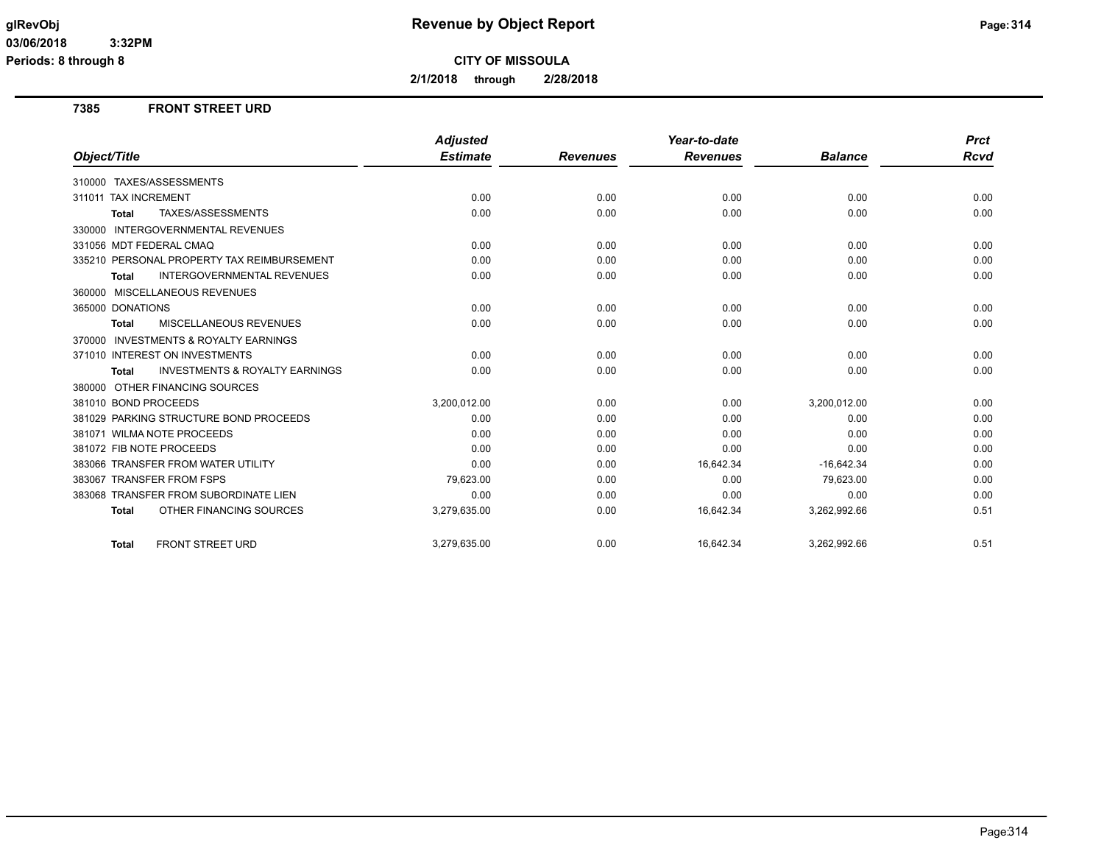**Periods: 8 through 8**

**CITY OF MISSOULA**

**2/1/2018 through 2/28/2018**

### **7385 FRONT STREET URD**

|                                                           | <b>Adjusted</b> |                 | Year-to-date    |                | <b>Prct</b> |
|-----------------------------------------------------------|-----------------|-----------------|-----------------|----------------|-------------|
| Object/Title                                              | <b>Estimate</b> | <b>Revenues</b> | <b>Revenues</b> | <b>Balance</b> | Rcvd        |
| 310000 TAXES/ASSESSMENTS                                  |                 |                 |                 |                |             |
| 311011 TAX INCREMENT                                      | 0.00            | 0.00            | 0.00            | 0.00           | 0.00        |
| TAXES/ASSESSMENTS<br><b>Total</b>                         | 0.00            | 0.00            | 0.00            | 0.00           | 0.00        |
| 330000 INTERGOVERNMENTAL REVENUES                         |                 |                 |                 |                |             |
| 331056 MDT FEDERAL CMAQ                                   | 0.00            | 0.00            | 0.00            | 0.00           | 0.00        |
| 335210 PERSONAL PROPERTY TAX REIMBURSEMENT                | 0.00            | 0.00            | 0.00            | 0.00           | 0.00        |
| <b>INTERGOVERNMENTAL REVENUES</b><br><b>Total</b>         | 0.00            | 0.00            | 0.00            | 0.00           | 0.00        |
| 360000 MISCELLANEOUS REVENUES                             |                 |                 |                 |                |             |
| 365000 DONATIONS                                          | 0.00            | 0.00            | 0.00            | 0.00           | 0.00        |
| MISCELLANEOUS REVENUES<br><b>Total</b>                    | 0.00            | 0.00            | 0.00            | 0.00           | 0.00        |
| 370000 INVESTMENTS & ROYALTY EARNINGS                     |                 |                 |                 |                |             |
| 371010 INTEREST ON INVESTMENTS                            | 0.00            | 0.00            | 0.00            | 0.00           | 0.00        |
| <b>INVESTMENTS &amp; ROYALTY EARNINGS</b><br><b>Total</b> | 0.00            | 0.00            | 0.00            | 0.00           | 0.00        |
| 380000 OTHER FINANCING SOURCES                            |                 |                 |                 |                |             |
| 381010 BOND PROCEEDS                                      | 3,200,012.00    | 0.00            | 0.00            | 3,200,012.00   | 0.00        |
| 381029 PARKING STRUCTURE BOND PROCEEDS                    | 0.00            | 0.00            | 0.00            | 0.00           | 0.00        |
| 381071 WILMA NOTE PROCEEDS                                | 0.00            | 0.00            | 0.00            | 0.00           | 0.00        |
| 381072 FIB NOTE PROCEEDS                                  | 0.00            | 0.00            | 0.00            | 0.00           | 0.00        |
| 383066 TRANSFER FROM WATER UTILITY                        | 0.00            | 0.00            | 16,642.34       | $-16,642.34$   | 0.00        |
| 383067 TRANSFER FROM FSPS                                 | 79,623.00       | 0.00            | 0.00            | 79,623.00      | 0.00        |
| 383068 TRANSFER FROM SUBORDINATE LIEN                     | 0.00            | 0.00            | 0.00            | 0.00           | 0.00        |
| OTHER FINANCING SOURCES<br><b>Total</b>                   | 3,279,635.00    | 0.00            | 16,642.34       | 3,262,992.66   | 0.51        |
| <b>FRONT STREET URD</b><br><b>Total</b>                   | 3,279,635.00    | 0.00            | 16,642.34       | 3,262,992.66   | 0.51        |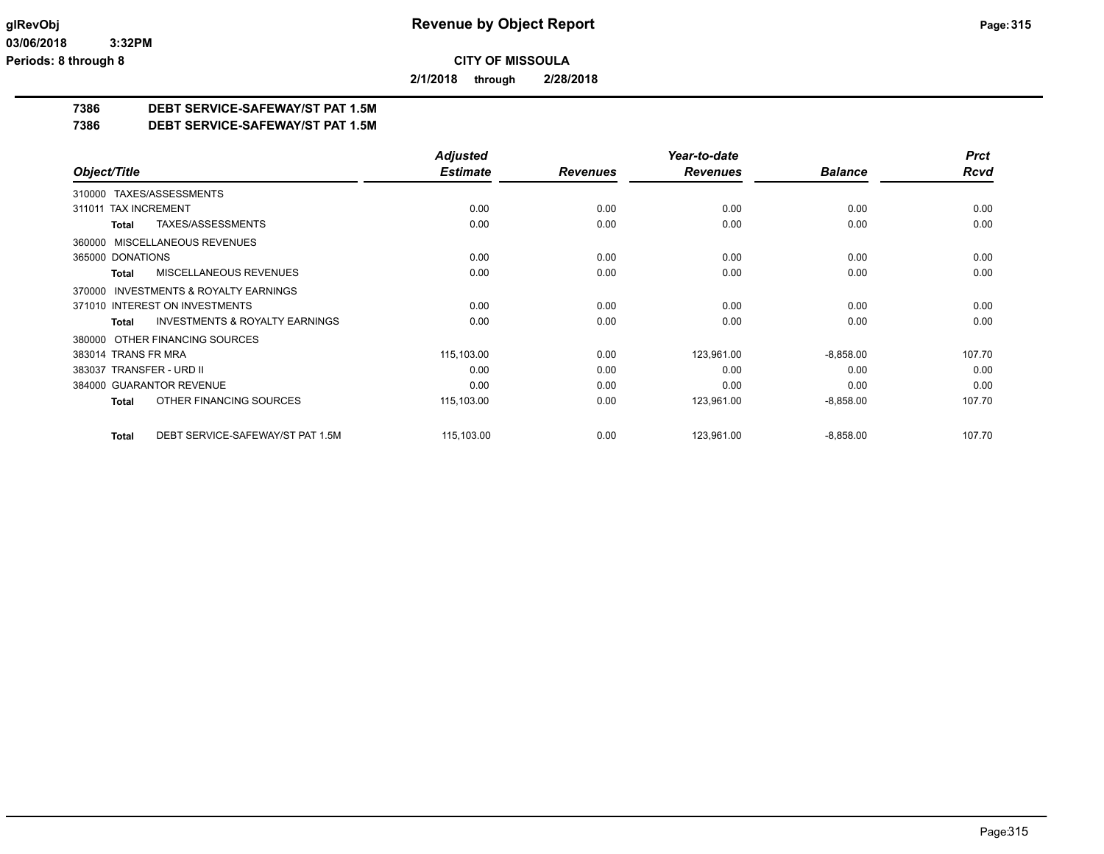**2/1/2018 through 2/28/2018**

### **7386 DEBT SERVICE-SAFEWAY/ST PAT 1.5M**

**7386 DEBT SERVICE-SAFEWAY/ST PAT 1.5M**

|                                                           | <b>Adjusted</b> |                 | Year-to-date    |                | <b>Prct</b> |
|-----------------------------------------------------------|-----------------|-----------------|-----------------|----------------|-------------|
| Object/Title                                              | <b>Estimate</b> | <b>Revenues</b> | <b>Revenues</b> | <b>Balance</b> | <b>Rcvd</b> |
| TAXES/ASSESSMENTS<br>310000                               |                 |                 |                 |                |             |
| 311011 TAX INCREMENT                                      | 0.00            | 0.00            | 0.00            | 0.00           | 0.00        |
| TAXES/ASSESSMENTS<br><b>Total</b>                         | 0.00            | 0.00            | 0.00            | 0.00           | 0.00        |
| MISCELLANEOUS REVENUES<br>360000                          |                 |                 |                 |                |             |
| 365000 DONATIONS                                          | 0.00            | 0.00            | 0.00            | 0.00           | 0.00        |
| MISCELLANEOUS REVENUES<br><b>Total</b>                    | 0.00            | 0.00            | 0.00            | 0.00           | 0.00        |
| <b>INVESTMENTS &amp; ROYALTY EARNINGS</b><br>370000       |                 |                 |                 |                |             |
| 371010 INTEREST ON INVESTMENTS                            | 0.00            | 0.00            | 0.00            | 0.00           | 0.00        |
| <b>INVESTMENTS &amp; ROYALTY EARNINGS</b><br><b>Total</b> | 0.00            | 0.00            | 0.00            | 0.00           | 0.00        |
| OTHER FINANCING SOURCES<br>380000                         |                 |                 |                 |                |             |
| 383014 TRANS FR MRA                                       | 115,103.00      | 0.00            | 123,961.00      | $-8,858.00$    | 107.70      |
| 383037 TRANSFER - URD II                                  | 0.00            | 0.00            | 0.00            | 0.00           | 0.00        |
| 384000 GUARANTOR REVENUE                                  | 0.00            | 0.00            | 0.00            | 0.00           | 0.00        |
| OTHER FINANCING SOURCES<br><b>Total</b>                   | 115,103.00      | 0.00            | 123,961.00      | $-8,858.00$    | 107.70      |
| DEBT SERVICE-SAFEWAY/ST PAT 1.5M<br><b>Total</b>          | 115,103.00      | 0.00            | 123,961.00      | $-8,858.00$    | 107.70      |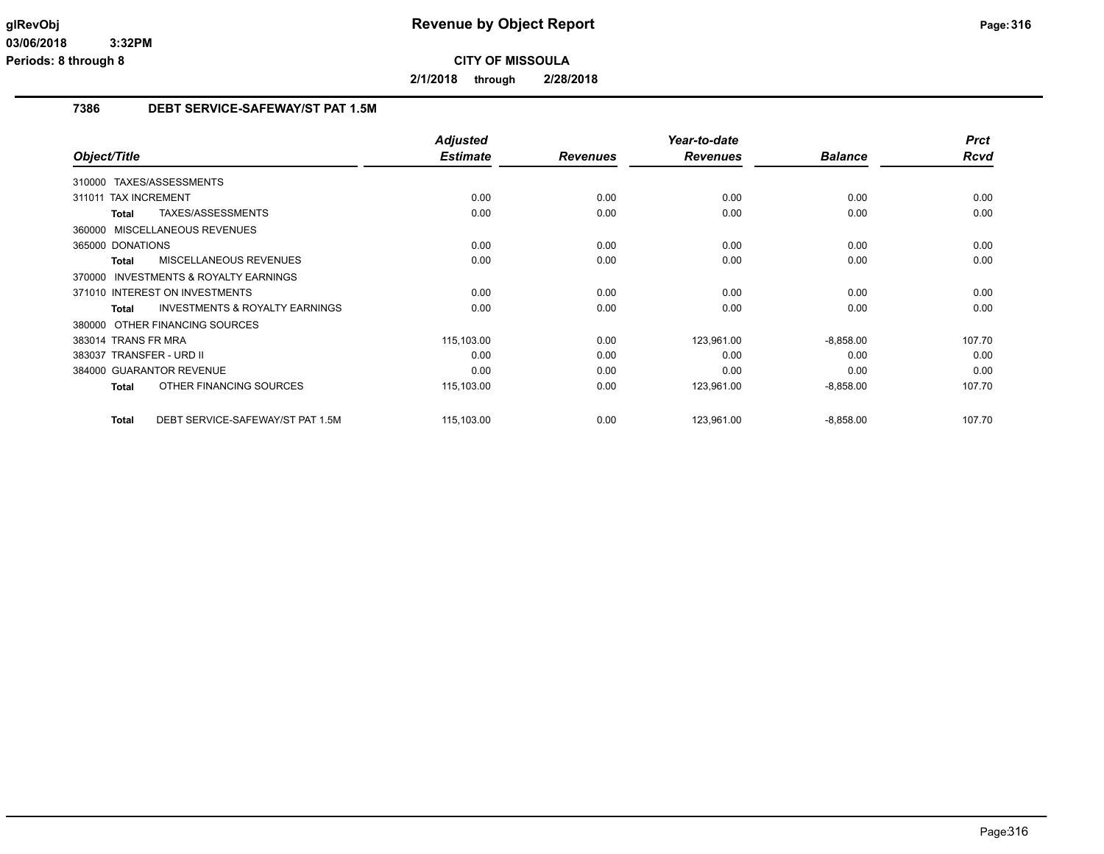**2/1/2018 through 2/28/2018**

### **7386 DEBT SERVICE-SAFEWAY/ST PAT 1.5M**

|                                                     | <b>Adjusted</b> |                 | Year-to-date    |                | <b>Prct</b> |
|-----------------------------------------------------|-----------------|-----------------|-----------------|----------------|-------------|
| Object/Title                                        | <b>Estimate</b> | <b>Revenues</b> | <b>Revenues</b> | <b>Balance</b> | Rcvd        |
| 310000 TAXES/ASSESSMENTS                            |                 |                 |                 |                |             |
| 311011 TAX INCREMENT                                | 0.00            | 0.00            | 0.00            | 0.00           | 0.00        |
| TAXES/ASSESSMENTS<br>Total                          | 0.00            | 0.00            | 0.00            | 0.00           | 0.00        |
| 360000 MISCELLANEOUS REVENUES                       |                 |                 |                 |                |             |
| 365000 DONATIONS                                    | 0.00            | 0.00            | 0.00            | 0.00           | 0.00        |
| MISCELLANEOUS REVENUES<br><b>Total</b>              | 0.00            | 0.00            | 0.00            | 0.00           | 0.00        |
| <b>INVESTMENTS &amp; ROYALTY EARNINGS</b><br>370000 |                 |                 |                 |                |             |
| 371010 INTEREST ON INVESTMENTS                      | 0.00            | 0.00            | 0.00            | 0.00           | 0.00        |
| <b>INVESTMENTS &amp; ROYALTY EARNINGS</b><br>Total  | 0.00            | 0.00            | 0.00            | 0.00           | 0.00        |
| 380000 OTHER FINANCING SOURCES                      |                 |                 |                 |                |             |
| 383014 TRANS FR MRA                                 | 115,103.00      | 0.00            | 123,961.00      | $-8,858.00$    | 107.70      |
| 383037 TRANSFER - URD II                            | 0.00            | 0.00            | 0.00            | 0.00           | 0.00        |
| 384000 GUARANTOR REVENUE                            | 0.00            | 0.00            | 0.00            | 0.00           | 0.00        |
| OTHER FINANCING SOURCES<br><b>Total</b>             | 115,103.00      | 0.00            | 123,961.00      | $-8,858.00$    | 107.70      |
| DEBT SERVICE-SAFEWAY/ST PAT 1.5M<br>Total           | 115,103.00      | 0.00            | 123,961.00      | $-8,858.00$    | 107.70      |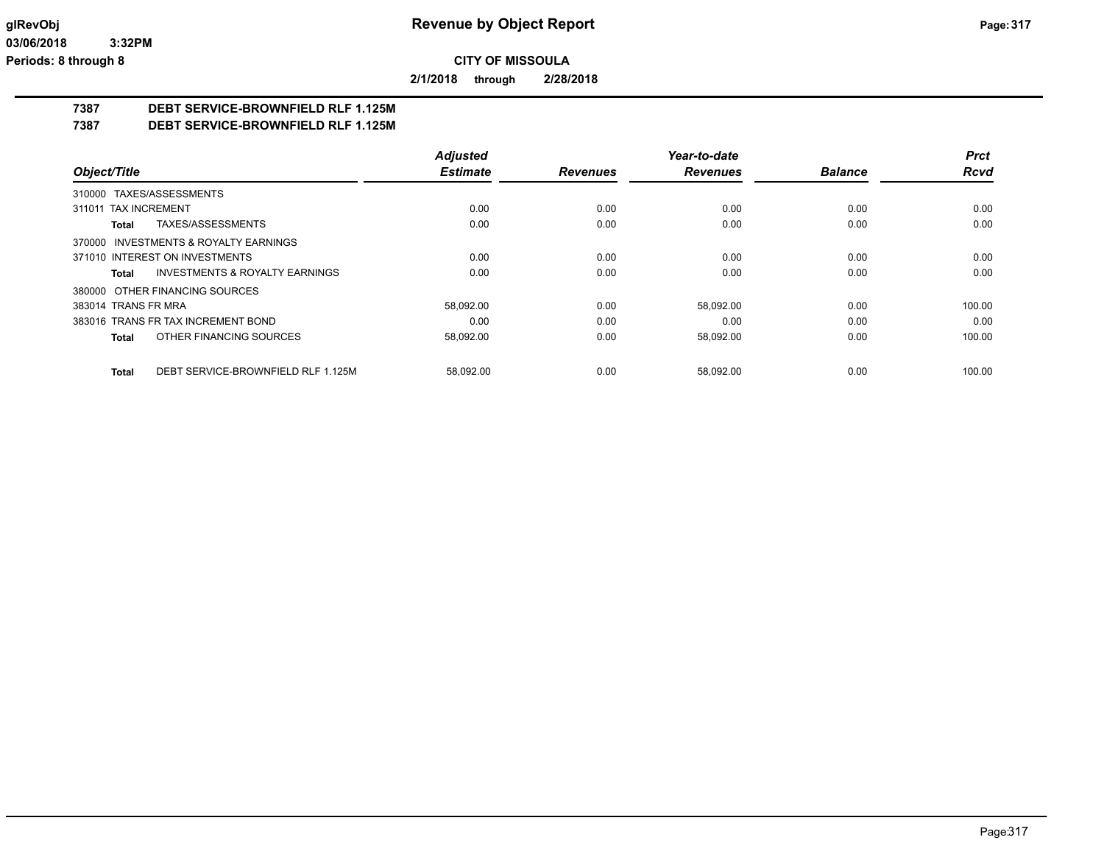**2/1/2018 through 2/28/2018**

## **7387 DEBT SERVICE-BROWNFIELD RLF 1.125M**

**7387 DEBT SERVICE-BROWNFIELD RLF 1.125M**

|                                             | <b>Adjusted</b> |                 | Year-to-date    |                | <b>Prct</b> |
|---------------------------------------------|-----------------|-----------------|-----------------|----------------|-------------|
| Object/Title                                | <b>Estimate</b> | <b>Revenues</b> | <b>Revenues</b> | <b>Balance</b> | <b>Rcvd</b> |
| 310000 TAXES/ASSESSMENTS                    |                 |                 |                 |                |             |
| 311011 TAX INCREMENT                        | 0.00            | 0.00            | 0.00            | 0.00           | 0.00        |
| TAXES/ASSESSMENTS<br>Total                  | 0.00            | 0.00            | 0.00            | 0.00           | 0.00        |
| 370000 INVESTMENTS & ROYALTY EARNINGS       |                 |                 |                 |                |             |
| 371010 INTEREST ON INVESTMENTS              | 0.00            | 0.00            | 0.00            | 0.00           | 0.00        |
| INVESTMENTS & ROYALTY EARNINGS<br>Total     | 0.00            | 0.00            | 0.00            | 0.00           | 0.00        |
| 380000 OTHER FINANCING SOURCES              |                 |                 |                 |                |             |
| 383014 TRANS FR MRA                         | 58,092.00       | 0.00            | 58.092.00       | 0.00           | 100.00      |
| 383016 TRANS FR TAX INCREMENT BOND          | 0.00            | 0.00            | 0.00            | 0.00           | 0.00        |
| OTHER FINANCING SOURCES<br><b>Total</b>     | 58,092.00       | 0.00            | 58,092.00       | 0.00           | 100.00      |
| DEBT SERVICE-BROWNFIELD RLF 1.125M<br>Total | 58.092.00       | 0.00            | 58.092.00       | 0.00           | 100.00      |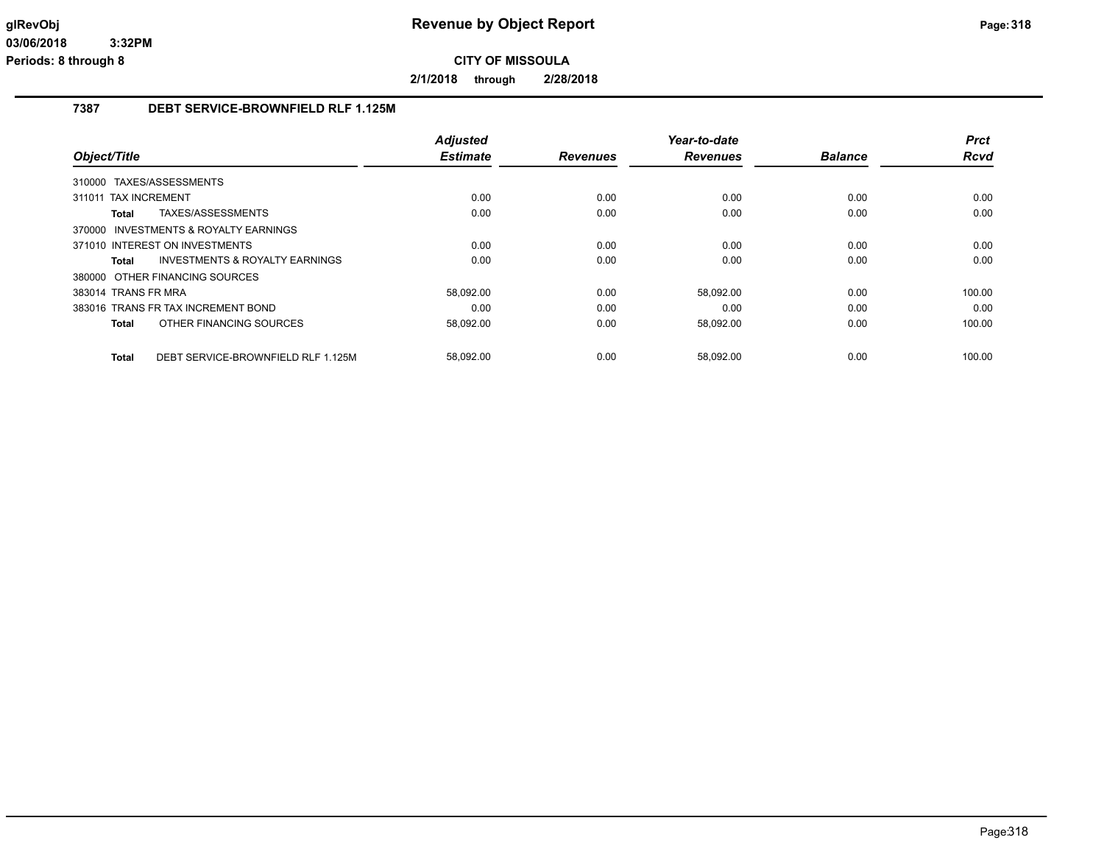**2/1/2018 through 2/28/2018**

### **7387 DEBT SERVICE-BROWNFIELD RLF 1.125M**

|                                                    | <b>Adjusted</b> |                 | Year-to-date    |                | <b>Prct</b> |
|----------------------------------------------------|-----------------|-----------------|-----------------|----------------|-------------|
| Object/Title                                       | <b>Estimate</b> | <b>Revenues</b> | <b>Revenues</b> | <b>Balance</b> | <b>Rcvd</b> |
| 310000 TAXES/ASSESSMENTS                           |                 |                 |                 |                |             |
| <b>TAX INCREMENT</b><br>311011                     | 0.00            | 0.00            | 0.00            | 0.00           | 0.00        |
| TAXES/ASSESSMENTS<br>Total                         | 0.00            | 0.00            | 0.00            | 0.00           | 0.00        |
| 370000 INVESTMENTS & ROYALTY EARNINGS              |                 |                 |                 |                |             |
| 371010 INTEREST ON INVESTMENTS                     | 0.00            | 0.00            | 0.00            | 0.00           | 0.00        |
| INVESTMENTS & ROYALTY EARNINGS<br><b>Total</b>     | 0.00            | 0.00            | 0.00            | 0.00           | 0.00        |
| 380000 OTHER FINANCING SOURCES                     |                 |                 |                 |                |             |
| 383014 TRANS FR MRA                                | 58,092.00       | 0.00            | 58,092.00       | 0.00           | 100.00      |
| 383016 TRANS FR TAX INCREMENT BOND                 | 0.00            | 0.00            | 0.00            | 0.00           | 0.00        |
| OTHER FINANCING SOURCES<br><b>Total</b>            | 58,092.00       | 0.00            | 58,092.00       | 0.00           | 100.00      |
| DEBT SERVICE-BROWNFIELD RLF 1.125M<br><b>Total</b> | 58,092.00       | 0.00            | 58,092.00       | 0.00           | 100.00      |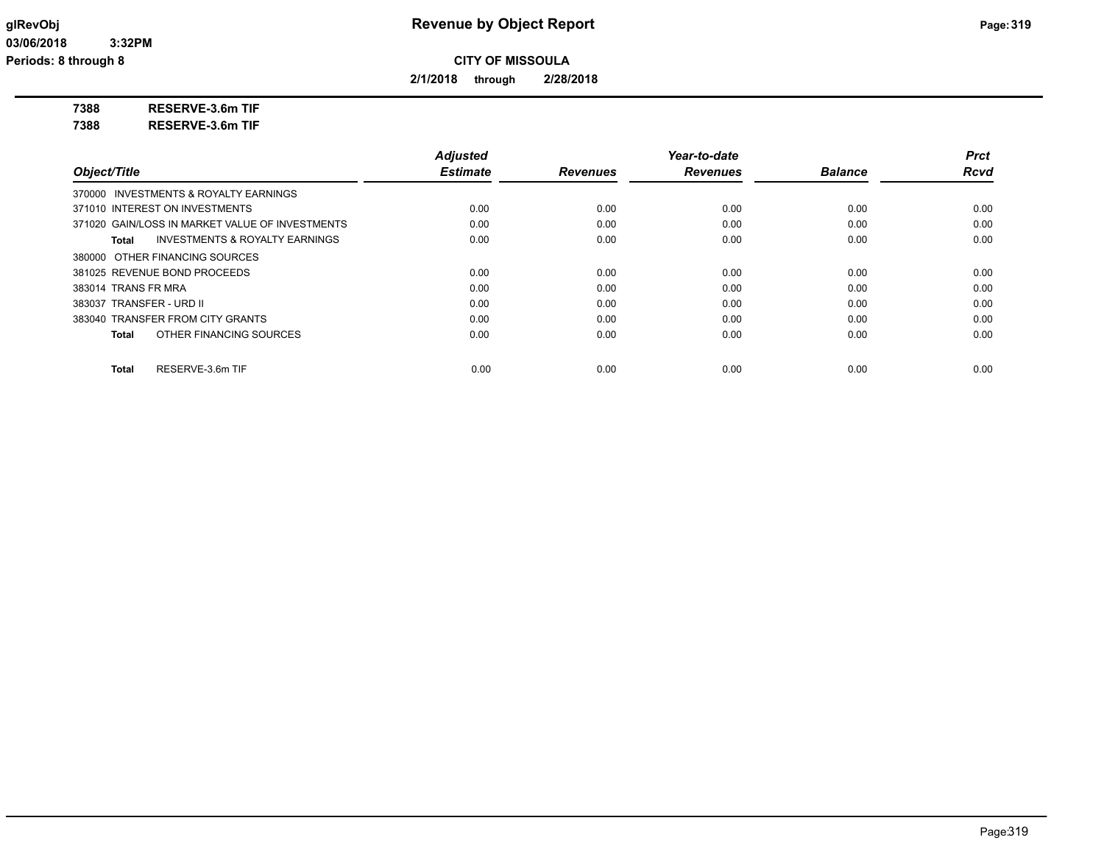**2/1/2018 through 2/28/2018**

**7388 RESERVE-3.6m TIF**

**7388 RESERVE-3.6m TIF**

|                                                    | <b>Adjusted</b> |                 | Year-to-date    |                | <b>Prct</b> |
|----------------------------------------------------|-----------------|-----------------|-----------------|----------------|-------------|
| Object/Title                                       | <b>Estimate</b> | <b>Revenues</b> | <b>Revenues</b> | <b>Balance</b> | <b>Rcvd</b> |
| 370000 INVESTMENTS & ROYALTY EARNINGS              |                 |                 |                 |                |             |
| 371010 INTEREST ON INVESTMENTS                     | 0.00            | 0.00            | 0.00            | 0.00           | 0.00        |
| 371020 GAIN/LOSS IN MARKET VALUE OF INVESTMENTS    | 0.00            | 0.00            | 0.00            | 0.00           | 0.00        |
| <b>INVESTMENTS &amp; ROYALTY EARNINGS</b><br>Total | 0.00            | 0.00            | 0.00            | 0.00           | 0.00        |
| 380000 OTHER FINANCING SOURCES                     |                 |                 |                 |                |             |
| 381025 REVENUE BOND PROCEEDS                       | 0.00            | 0.00            | 0.00            | 0.00           | 0.00        |
| 383014 TRANS FR MRA                                | 0.00            | 0.00            | 0.00            | 0.00           | 0.00        |
| 383037 TRANSFER - URD II                           | 0.00            | 0.00            | 0.00            | 0.00           | 0.00        |
| 383040 TRANSFER FROM CITY GRANTS                   | 0.00            | 0.00            | 0.00            | 0.00           | 0.00        |
| OTHER FINANCING SOURCES<br>Total                   | 0.00            | 0.00            | 0.00            | 0.00           | 0.00        |
| RESERVE-3.6m TIF<br>Total                          | 0.00            | 0.00            | 0.00            | 0.00           | 0.00        |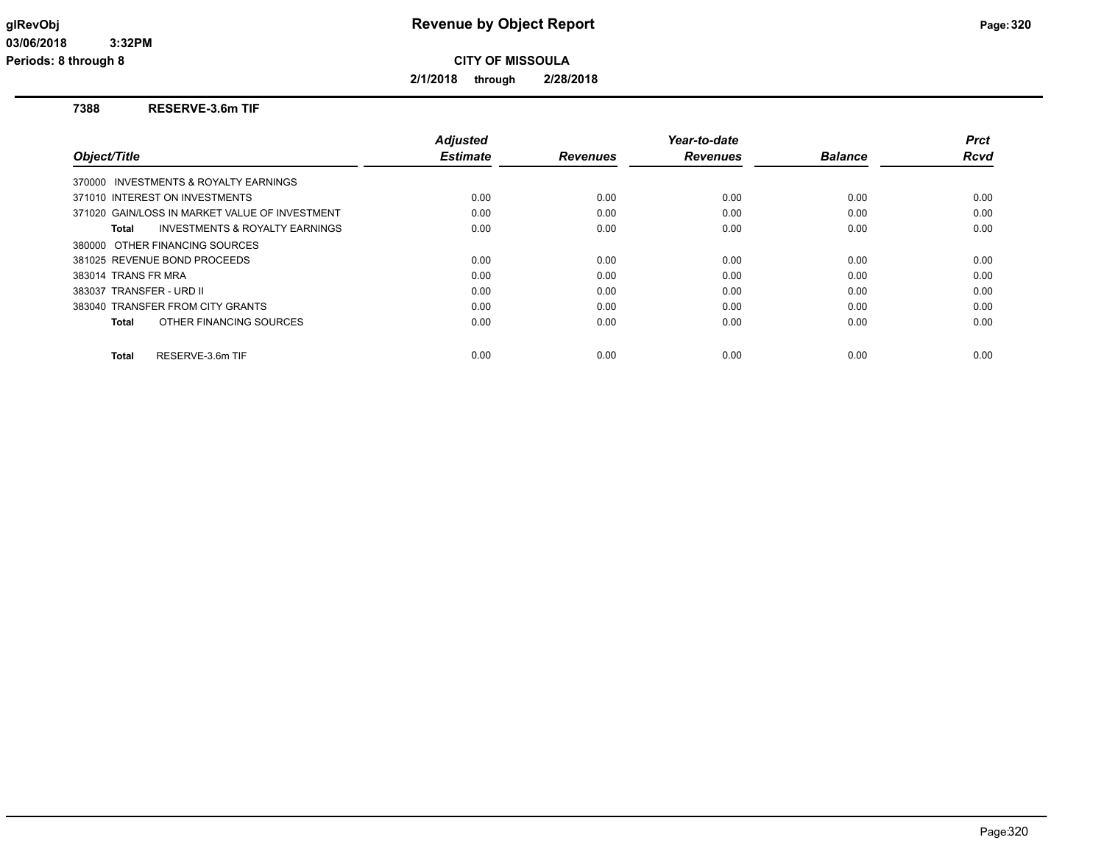**2/1/2018 through 2/28/2018**

### **7388 RESERVE-3.6m TIF**

| Object/Title                                       | <b>Adjusted</b><br><b>Estimate</b> | <b>Revenues</b> | Year-to-date<br><b>Revenues</b> | <b>Balance</b> | <b>Prct</b><br><b>Rcvd</b> |
|----------------------------------------------------|------------------------------------|-----------------|---------------------------------|----------------|----------------------------|
| 370000 INVESTMENTS & ROYALTY EARNINGS              |                                    |                 |                                 |                |                            |
| 371010 INTEREST ON INVESTMENTS                     | 0.00                               | 0.00            | 0.00                            | 0.00           | 0.00                       |
| 371020 GAIN/LOSS IN MARKET VALUE OF INVESTMENT     | 0.00                               | 0.00            | 0.00                            | 0.00           | 0.00                       |
| <b>INVESTMENTS &amp; ROYALTY EARNINGS</b><br>Total | 0.00                               | 0.00            | 0.00                            | 0.00           | 0.00                       |
| 380000 OTHER FINANCING SOURCES                     |                                    |                 |                                 |                |                            |
| 381025 REVENUE BOND PROCEEDS                       | 0.00                               | 0.00            | 0.00                            | 0.00           | 0.00                       |
| 383014 TRANS FR MRA                                | 0.00                               | 0.00            | 0.00                            | 0.00           | 0.00                       |
| 383037 TRANSFER - URD II                           | 0.00                               | 0.00            | 0.00                            | 0.00           | 0.00                       |
| 383040 TRANSFER FROM CITY GRANTS                   | 0.00                               | 0.00            | 0.00                            | 0.00           | 0.00                       |
| OTHER FINANCING SOURCES<br><b>Total</b>            | 0.00                               | 0.00            | 0.00                            | 0.00           | 0.00                       |
| RESERVE-3.6m TIF<br><b>Total</b>                   | 0.00                               | 0.00            | 0.00                            | 0.00           | 0.00                       |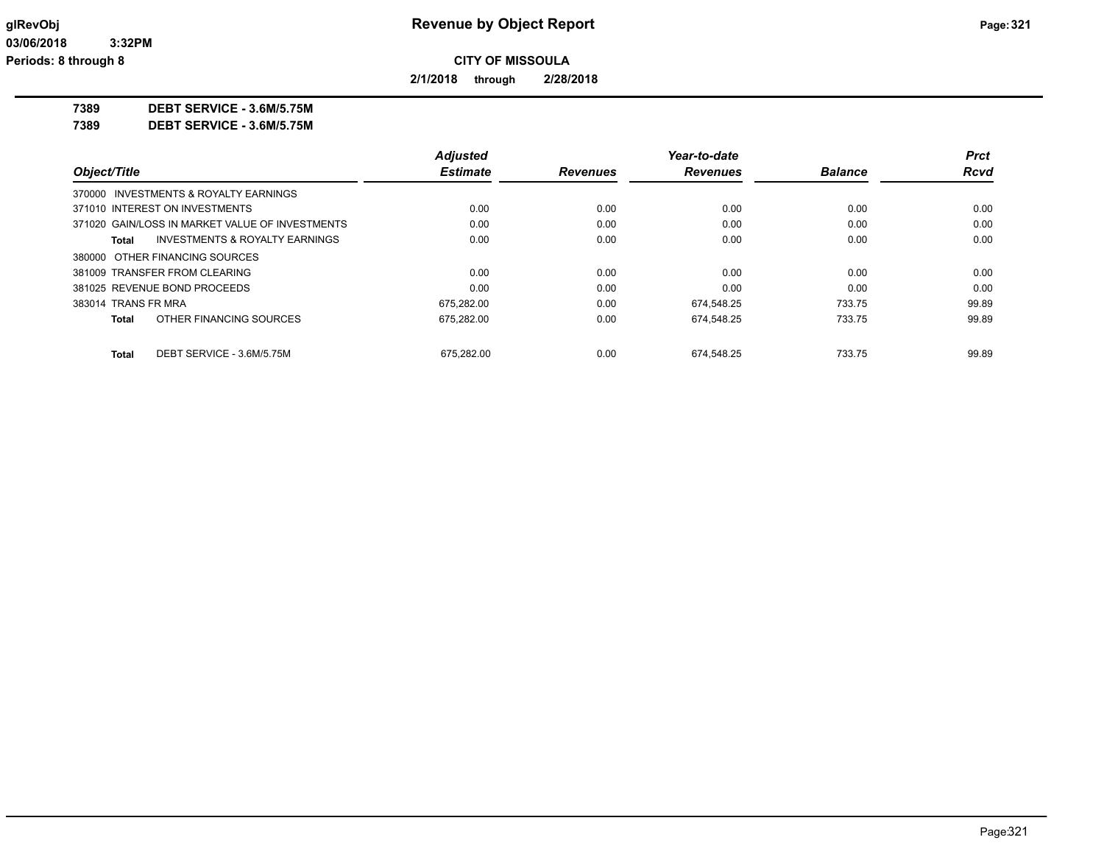**2/1/2018 through 2/28/2018**

**7389 DEBT SERVICE - 3.6M/5.75M**

**7389 DEBT SERVICE - 3.6M/5.75M**

|                     |                                                 | <b>Adjusted</b> |                 | Year-to-date    |                | Prct        |
|---------------------|-------------------------------------------------|-----------------|-----------------|-----------------|----------------|-------------|
| Object/Title        |                                                 | <b>Estimate</b> | <b>Revenues</b> | <b>Revenues</b> | <b>Balance</b> | <b>Rcvd</b> |
|                     | 370000 INVESTMENTS & ROYALTY EARNINGS           |                 |                 |                 |                |             |
|                     | 371010 INTEREST ON INVESTMENTS                  | 0.00            | 0.00            | 0.00            | 0.00           | 0.00        |
|                     | 371020 GAIN/LOSS IN MARKET VALUE OF INVESTMENTS | 0.00            | 0.00            | 0.00            | 0.00           | 0.00        |
| Total               | <b>INVESTMENTS &amp; ROYALTY EARNINGS</b>       | 0.00            | 0.00            | 0.00            | 0.00           | 0.00        |
|                     | 380000 OTHER FINANCING SOURCES                  |                 |                 |                 |                |             |
|                     | 381009 TRANSFER FROM CLEARING                   | 0.00            | 0.00            | 0.00            | 0.00           | 0.00        |
|                     | 381025 REVENUE BOND PROCEEDS                    | 0.00            | 0.00            | 0.00            | 0.00           | 0.00        |
| 383014 TRANS FR MRA |                                                 | 675.282.00      | 0.00            | 674.548.25      | 733.75         | 99.89       |
| <b>Total</b>        | OTHER FINANCING SOURCES                         | 675,282.00      | 0.00            | 674.548.25      | 733.75         | 99.89       |
| <b>Total</b>        | DEBT SERVICE - 3.6M/5.75M                       | 675.282.00      | 0.00            | 674.548.25      | 733.75         | 99.89       |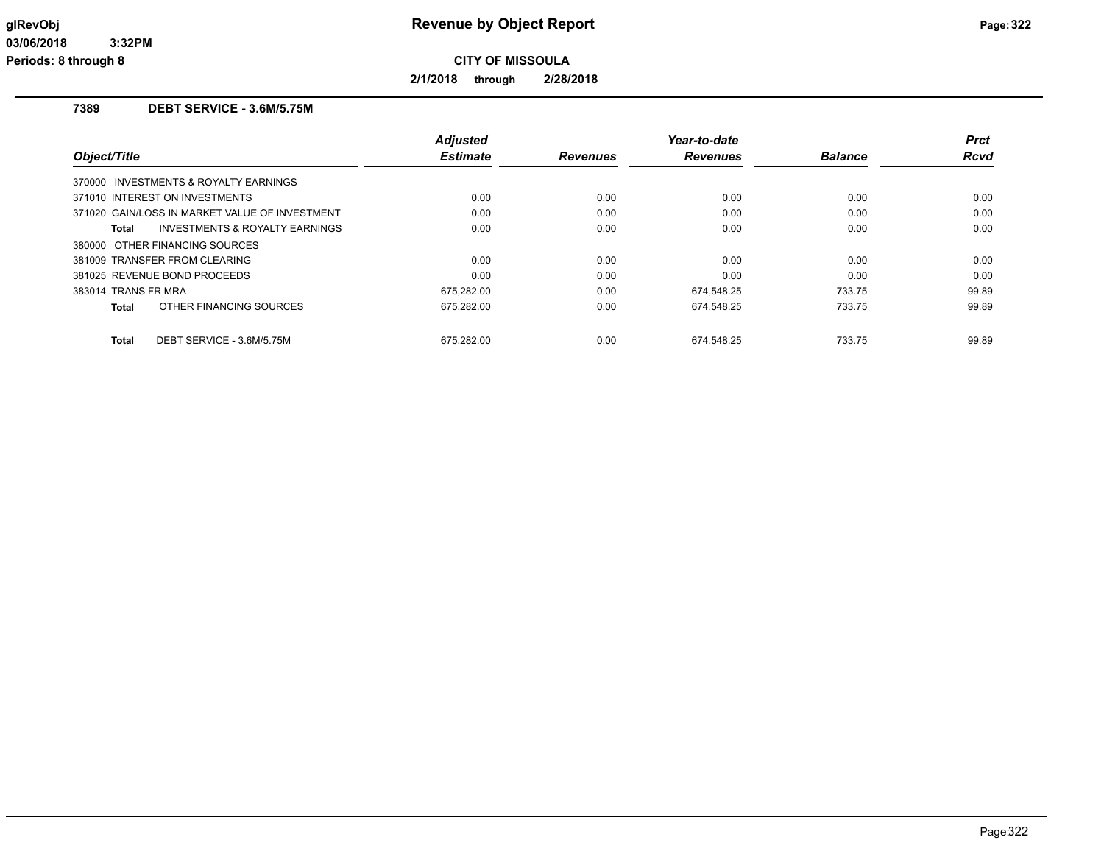**2/1/2018 through 2/28/2018**

### **7389 DEBT SERVICE - 3.6M/5.75M**

| Object/Title                                   | <b>Adjusted</b><br><b>Estimate</b> | <b>Revenues</b> | Year-to-date<br><b>Revenues</b> | <b>Balance</b> | <b>Prct</b><br>Rcvd |
|------------------------------------------------|------------------------------------|-----------------|---------------------------------|----------------|---------------------|
| 370000 INVESTMENTS & ROYALTY EARNINGS          |                                    |                 |                                 |                |                     |
| 371010 INTEREST ON INVESTMENTS                 | 0.00                               | 0.00            | 0.00                            | 0.00           | 0.00                |
| 371020 GAIN/LOSS IN MARKET VALUE OF INVESTMENT | 0.00                               | 0.00            | 0.00                            | 0.00           | 0.00                |
| INVESTMENTS & ROYALTY EARNINGS<br>Total        | 0.00                               | 0.00            | 0.00                            | 0.00           | 0.00                |
| 380000 OTHER FINANCING SOURCES                 |                                    |                 |                                 |                |                     |
| 381009 TRANSFER FROM CLEARING                  | 0.00                               | 0.00            | 0.00                            | 0.00           | 0.00                |
| 381025 REVENUE BOND PROCEEDS                   | 0.00                               | 0.00            | 0.00                            | 0.00           | 0.00                |
| 383014 TRANS FR MRA                            | 675,282.00                         | 0.00            | 674.548.25                      | 733.75         | 99.89               |
| OTHER FINANCING SOURCES<br>Total               | 675.282.00                         | 0.00            | 674.548.25                      | 733.75         | 99.89               |
| DEBT SERVICE - 3.6M/5.75M<br><b>Total</b>      | 675.282.00                         | 0.00            | 674.548.25                      | 733.75         | 99.89               |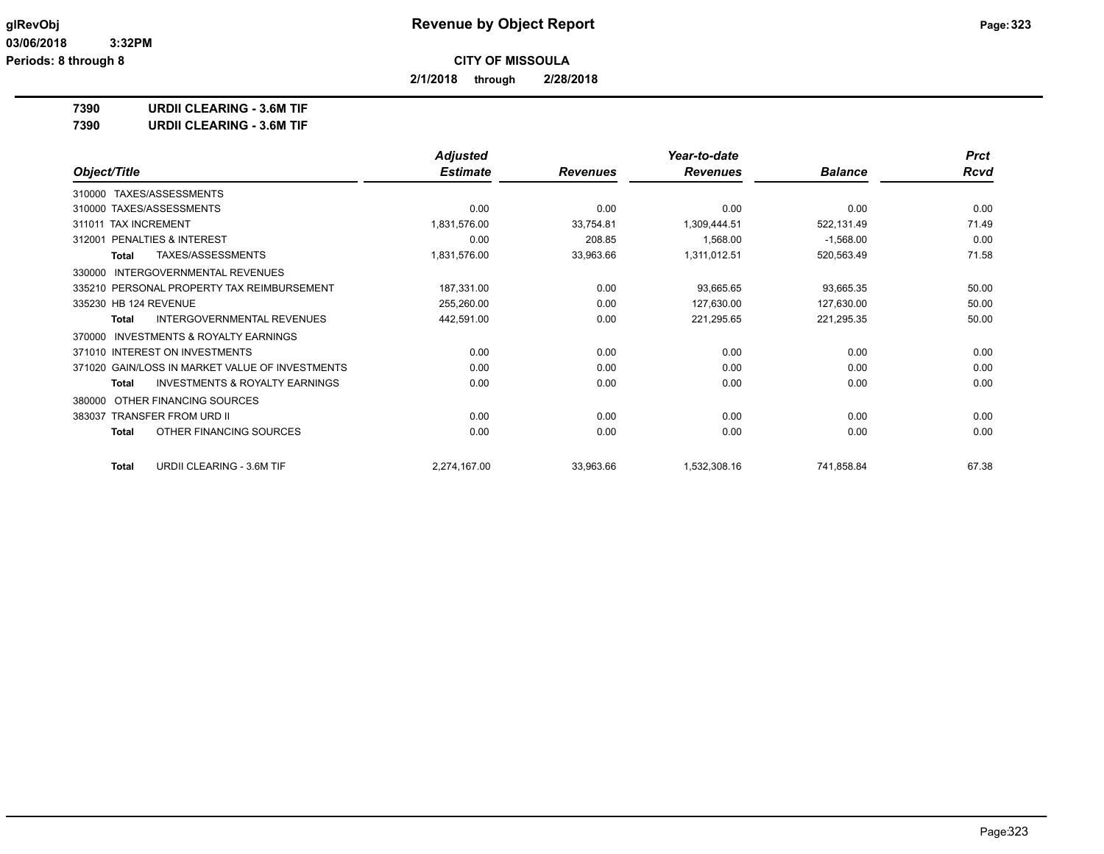**2/1/2018 through 2/28/2018**

**7390 URDII CLEARING - 3.6M TIF**

**7390 URDII CLEARING - 3.6M TIF**

|                                                           | <b>Adjusted</b> |                 | Year-to-date    |                | <b>Prct</b> |
|-----------------------------------------------------------|-----------------|-----------------|-----------------|----------------|-------------|
| Object/Title                                              | <b>Estimate</b> | <b>Revenues</b> | <b>Revenues</b> | <b>Balance</b> | <b>Rcvd</b> |
| TAXES/ASSESSMENTS<br>310000                               |                 |                 |                 |                |             |
| 310000 TAXES/ASSESSMENTS                                  | 0.00            | 0.00            | 0.00            | 0.00           | 0.00        |
| 311011 TAX INCREMENT                                      | 1,831,576.00    | 33,754.81       | 1,309,444.51    | 522,131.49     | 71.49       |
| <b>PENALTIES &amp; INTEREST</b><br>312001                 | 0.00            | 208.85          | 1,568.00        | $-1,568.00$    | 0.00        |
| TAXES/ASSESSMENTS<br><b>Total</b>                         | 1,831,576.00    | 33,963.66       | 1,311,012.51    | 520,563.49     | 71.58       |
| <b>INTERGOVERNMENTAL REVENUES</b><br>330000               |                 |                 |                 |                |             |
| 335210 PERSONAL PROPERTY TAX REIMBURSEMENT                | 187,331.00      | 0.00            | 93,665.65       | 93,665.35      | 50.00       |
| 335230 HB 124 REVENUE                                     | 255,260.00      | 0.00            | 127,630.00      | 127,630.00     | 50.00       |
| INTERGOVERNMENTAL REVENUES<br>Total                       | 442,591.00      | 0.00            | 221,295.65      | 221,295.35     | 50.00       |
| <b>INVESTMENTS &amp; ROYALTY EARNINGS</b><br>370000       |                 |                 |                 |                |             |
| 371010 INTEREST ON INVESTMENTS                            | 0.00            | 0.00            | 0.00            | 0.00           | 0.00        |
| 371020 GAIN/LOSS IN MARKET VALUE OF INVESTMENTS           | 0.00            | 0.00            | 0.00            | 0.00           | 0.00        |
| <b>INVESTMENTS &amp; ROYALTY EARNINGS</b><br><b>Total</b> | 0.00            | 0.00            | 0.00            | 0.00           | 0.00        |
| OTHER FINANCING SOURCES<br>380000                         |                 |                 |                 |                |             |
| 383037 TRANSFER FROM URD II                               | 0.00            | 0.00            | 0.00            | 0.00           | 0.00        |
| OTHER FINANCING SOURCES<br><b>Total</b>                   | 0.00            | 0.00            | 0.00            | 0.00           | 0.00        |
| URDII CLEARING - 3.6M TIF<br><b>Total</b>                 | 2,274,167.00    | 33,963.66       | 1,532,308.16    | 741,858.84     | 67.38       |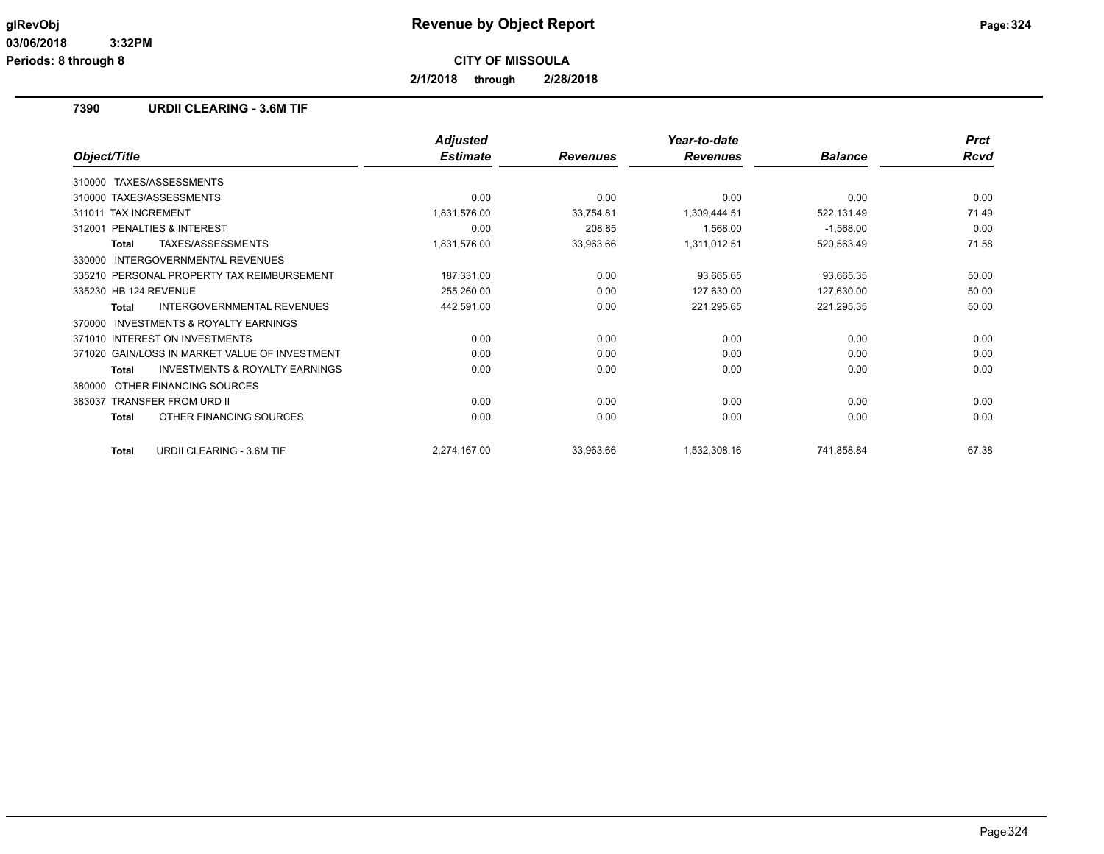**2/1/2018 through 2/28/2018**

### **7390 URDII CLEARING - 3.6M TIF**

|                                                           | <b>Adjusted</b> |                 | Year-to-date    |                | <b>Prct</b> |
|-----------------------------------------------------------|-----------------|-----------------|-----------------|----------------|-------------|
| Object/Title                                              | <b>Estimate</b> | <b>Revenues</b> | <b>Revenues</b> | <b>Balance</b> | <b>Rcvd</b> |
| TAXES/ASSESSMENTS<br>310000                               |                 |                 |                 |                |             |
| 310000 TAXES/ASSESSMENTS                                  | 0.00            | 0.00            | 0.00            | 0.00           | 0.00        |
| 311011 TAX INCREMENT                                      | 1,831,576.00    | 33,754.81       | 1,309,444.51    | 522,131.49     | 71.49       |
| 312001 PENALTIES & INTEREST                               | 0.00            | 208.85          | 1,568.00        | $-1,568.00$    | 0.00        |
| TAXES/ASSESSMENTS<br><b>Total</b>                         | 1,831,576.00    | 33,963.66       | 1,311,012.51    | 520,563.49     | 71.58       |
| INTERGOVERNMENTAL REVENUES<br>330000                      |                 |                 |                 |                |             |
| 335210 PERSONAL PROPERTY TAX REIMBURSEMENT                | 187,331.00      | 0.00            | 93,665.65       | 93,665.35      | 50.00       |
| 335230 HB 124 REVENUE                                     | 255,260.00      | 0.00            | 127,630.00      | 127,630.00     | 50.00       |
| <b>INTERGOVERNMENTAL REVENUES</b><br><b>Total</b>         | 442,591.00      | 0.00            | 221,295.65      | 221,295.35     | 50.00       |
| <b>INVESTMENTS &amp; ROYALTY EARNINGS</b><br>370000       |                 |                 |                 |                |             |
| 371010 INTEREST ON INVESTMENTS                            | 0.00            | 0.00            | 0.00            | 0.00           | 0.00        |
| 371020 GAIN/LOSS IN MARKET VALUE OF INVESTMENT            | 0.00            | 0.00            | 0.00            | 0.00           | 0.00        |
| <b>INVESTMENTS &amp; ROYALTY EARNINGS</b><br><b>Total</b> | 0.00            | 0.00            | 0.00            | 0.00           | 0.00        |
| OTHER FINANCING SOURCES<br>380000                         |                 |                 |                 |                |             |
| 383037 TRANSFER FROM URD II                               | 0.00            | 0.00            | 0.00            | 0.00           | 0.00        |
| OTHER FINANCING SOURCES<br><b>Total</b>                   | 0.00            | 0.00            | 0.00            | 0.00           | 0.00        |
| URDII CLEARING - 3.6M TIF<br><b>Total</b>                 | 2,274,167.00    | 33,963.66       | 1,532,308.16    | 741,858.84     | 67.38       |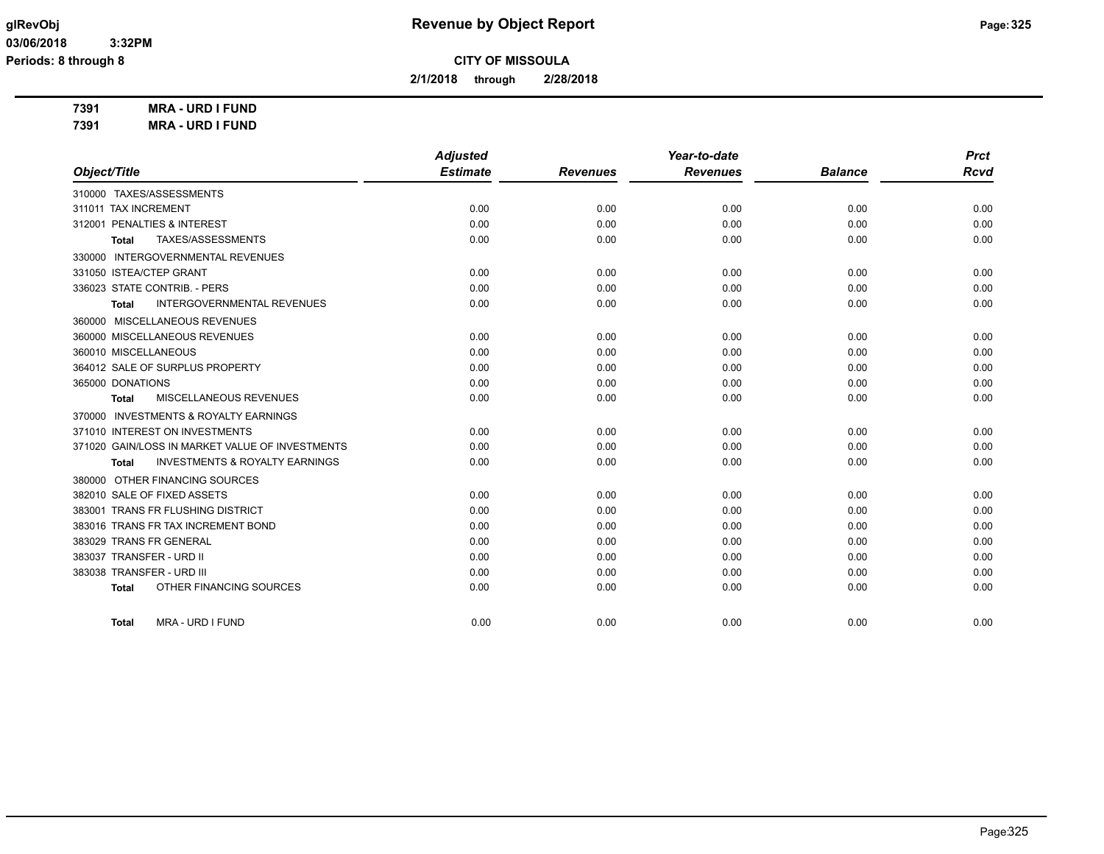**2/1/2018 through 2/28/2018**

**7391 MRA - URD I FUND 7391 MRA - URD I FUND**

|                                                           | <b>Adjusted</b> |                 | Year-to-date    |                | <b>Prct</b> |
|-----------------------------------------------------------|-----------------|-----------------|-----------------|----------------|-------------|
| Object/Title                                              | <b>Estimate</b> | <b>Revenues</b> | <b>Revenues</b> | <b>Balance</b> | <b>Rcvd</b> |
| 310000 TAXES/ASSESSMENTS                                  |                 |                 |                 |                |             |
| 311011 TAX INCREMENT                                      | 0.00            | 0.00            | 0.00            | 0.00           | 0.00        |
| 312001 PENALTIES & INTEREST                               | 0.00            | 0.00            | 0.00            | 0.00           | 0.00        |
| TAXES/ASSESSMENTS<br>Total                                | 0.00            | 0.00            | 0.00            | 0.00           | 0.00        |
| 330000 INTERGOVERNMENTAL REVENUES                         |                 |                 |                 |                |             |
| 331050 ISTEA/CTEP GRANT                                   | 0.00            | 0.00            | 0.00            | 0.00           | 0.00        |
| 336023 STATE CONTRIB. - PERS                              | 0.00            | 0.00            | 0.00            | 0.00           | 0.00        |
| <b>INTERGOVERNMENTAL REVENUES</b><br>Total                | 0.00            | 0.00            | 0.00            | 0.00           | 0.00        |
| 360000 MISCELLANEOUS REVENUES                             |                 |                 |                 |                |             |
| 360000 MISCELLANEOUS REVENUES                             | 0.00            | 0.00            | 0.00            | 0.00           | 0.00        |
| 360010 MISCELLANEOUS                                      | 0.00            | 0.00            | 0.00            | 0.00           | 0.00        |
| 364012 SALE OF SURPLUS PROPERTY                           | 0.00            | 0.00            | 0.00            | 0.00           | 0.00        |
| 365000 DONATIONS                                          | 0.00            | 0.00            | 0.00            | 0.00           | 0.00        |
| MISCELLANEOUS REVENUES<br><b>Total</b>                    | 0.00            | 0.00            | 0.00            | 0.00           | 0.00        |
| 370000 INVESTMENTS & ROYALTY EARNINGS                     |                 |                 |                 |                |             |
| 371010 INTEREST ON INVESTMENTS                            | 0.00            | 0.00            | 0.00            | 0.00           | 0.00        |
| 371020 GAIN/LOSS IN MARKET VALUE OF INVESTMENTS           | 0.00            | 0.00            | 0.00            | 0.00           | 0.00        |
| <b>INVESTMENTS &amp; ROYALTY EARNINGS</b><br><b>Total</b> | 0.00            | 0.00            | 0.00            | 0.00           | 0.00        |
| 380000 OTHER FINANCING SOURCES                            |                 |                 |                 |                |             |
| 382010 SALE OF FIXED ASSETS                               | 0.00            | 0.00            | 0.00            | 0.00           | 0.00        |
| 383001 TRANS FR FLUSHING DISTRICT                         | 0.00            | 0.00            | 0.00            | 0.00           | 0.00        |
| 383016 TRANS FR TAX INCREMENT BOND                        | 0.00            | 0.00            | 0.00            | 0.00           | 0.00        |
| 383029 TRANS FR GENERAL                                   | 0.00            | 0.00            | 0.00            | 0.00           | 0.00        |
| 383037 TRANSFER - URD II                                  | 0.00            | 0.00            | 0.00            | 0.00           | 0.00        |
| 383038 TRANSFER - URD III                                 | 0.00            | 0.00            | 0.00            | 0.00           | 0.00        |
| OTHER FINANCING SOURCES<br><b>Total</b>                   | 0.00            | 0.00            | 0.00            | 0.00           | 0.00        |
| MRA - URD I FUND<br><b>Total</b>                          | 0.00            | 0.00            | 0.00            | 0.00           | 0.00        |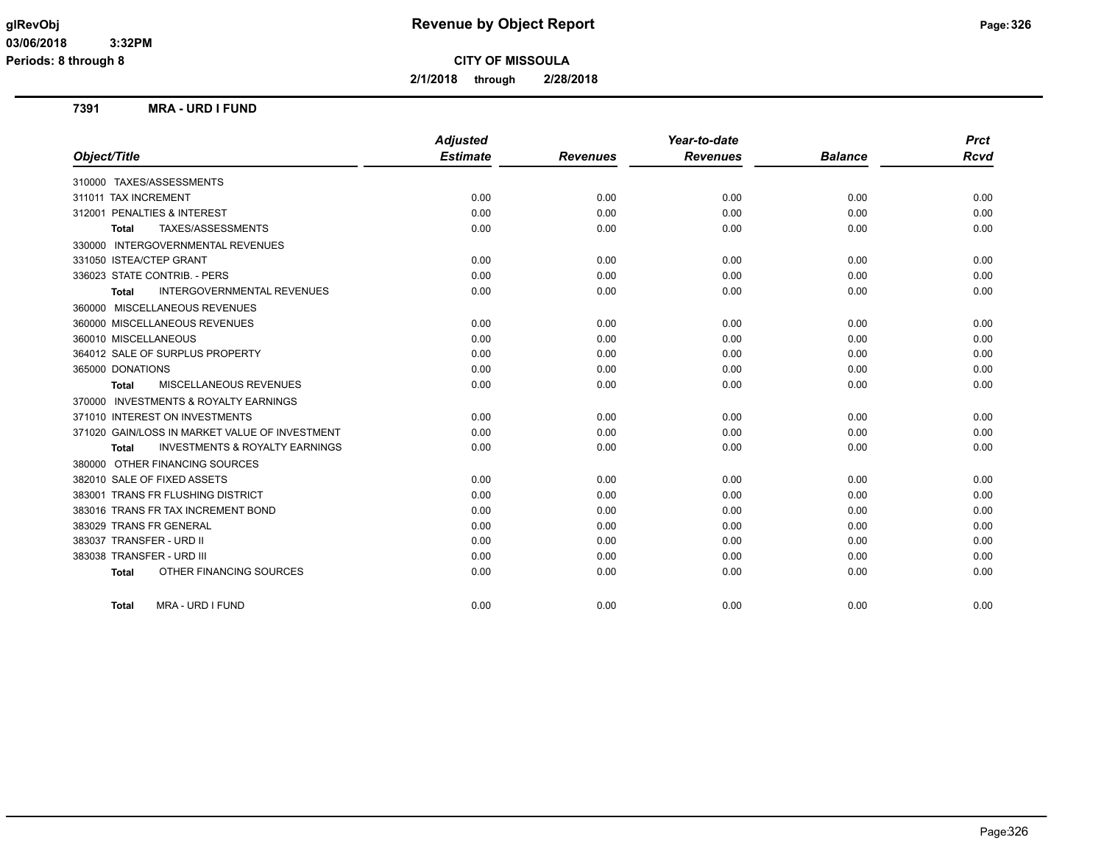**Periods: 8 through 8**

**CITY OF MISSOULA**

**2/1/2018 through 2/28/2018**

### **7391 MRA - URD I FUND**

|                                                           | <b>Adjusted</b> |                 | Year-to-date    |                | <b>Prct</b> |
|-----------------------------------------------------------|-----------------|-----------------|-----------------|----------------|-------------|
| Object/Title                                              | <b>Estimate</b> | <b>Revenues</b> | <b>Revenues</b> | <b>Balance</b> | <b>Rcvd</b> |
| 310000 TAXES/ASSESSMENTS                                  |                 |                 |                 |                |             |
| 311011 TAX INCREMENT                                      | 0.00            | 0.00            | 0.00            | 0.00           | 0.00        |
| 312001 PENALTIES & INTEREST                               | 0.00            | 0.00            | 0.00            | 0.00           | 0.00        |
| TAXES/ASSESSMENTS<br>Total                                | 0.00            | 0.00            | 0.00            | 0.00           | 0.00        |
| 330000 INTERGOVERNMENTAL REVENUES                         |                 |                 |                 |                |             |
| 331050 ISTEA/CTEP GRANT                                   | 0.00            | 0.00            | 0.00            | 0.00           | 0.00        |
| 336023 STATE CONTRIB. - PERS                              | 0.00            | 0.00            | 0.00            | 0.00           | 0.00        |
| <b>INTERGOVERNMENTAL REVENUES</b><br><b>Total</b>         | 0.00            | 0.00            | 0.00            | 0.00           | 0.00        |
| 360000 MISCELLANEOUS REVENUES                             |                 |                 |                 |                |             |
| 360000 MISCELLANEOUS REVENUES                             | 0.00            | 0.00            | 0.00            | 0.00           | 0.00        |
| 360010 MISCELLANEOUS                                      | 0.00            | 0.00            | 0.00            | 0.00           | 0.00        |
| 364012 SALE OF SURPLUS PROPERTY                           | 0.00            | 0.00            | 0.00            | 0.00           | 0.00        |
| 365000 DONATIONS                                          | 0.00            | 0.00            | 0.00            | 0.00           | 0.00        |
| <b>MISCELLANEOUS REVENUES</b><br>Total                    | 0.00            | 0.00            | 0.00            | 0.00           | 0.00        |
| 370000 INVESTMENTS & ROYALTY EARNINGS                     |                 |                 |                 |                |             |
| 371010 INTEREST ON INVESTMENTS                            | 0.00            | 0.00            | 0.00            | 0.00           | 0.00        |
| 371020 GAIN/LOSS IN MARKET VALUE OF INVESTMENT            | 0.00            | 0.00            | 0.00            | 0.00           | 0.00        |
| <b>INVESTMENTS &amp; ROYALTY EARNINGS</b><br><b>Total</b> | 0.00            | 0.00            | 0.00            | 0.00           | 0.00        |
| 380000 OTHER FINANCING SOURCES                            |                 |                 |                 |                |             |
| 382010 SALE OF FIXED ASSETS                               | 0.00            | 0.00            | 0.00            | 0.00           | 0.00        |
| 383001 TRANS FR FLUSHING DISTRICT                         | 0.00            | 0.00            | 0.00            | 0.00           | 0.00        |
| 383016 TRANS FR TAX INCREMENT BOND                        | 0.00            | 0.00            | 0.00            | 0.00           | 0.00        |
| 383029 TRANS FR GENERAL                                   | 0.00            | 0.00            | 0.00            | 0.00           | 0.00        |
| 383037 TRANSFER - URD II                                  | 0.00            | 0.00            | 0.00            | 0.00           | 0.00        |
| 383038 TRANSFER - URD III                                 | 0.00            | 0.00            | 0.00            | 0.00           | 0.00        |
| OTHER FINANCING SOURCES<br><b>Total</b>                   | 0.00            | 0.00            | 0.00            | 0.00           | 0.00        |
| MRA - URD I FUND<br><b>Total</b>                          | 0.00            | 0.00            | 0.00            | 0.00           | 0.00        |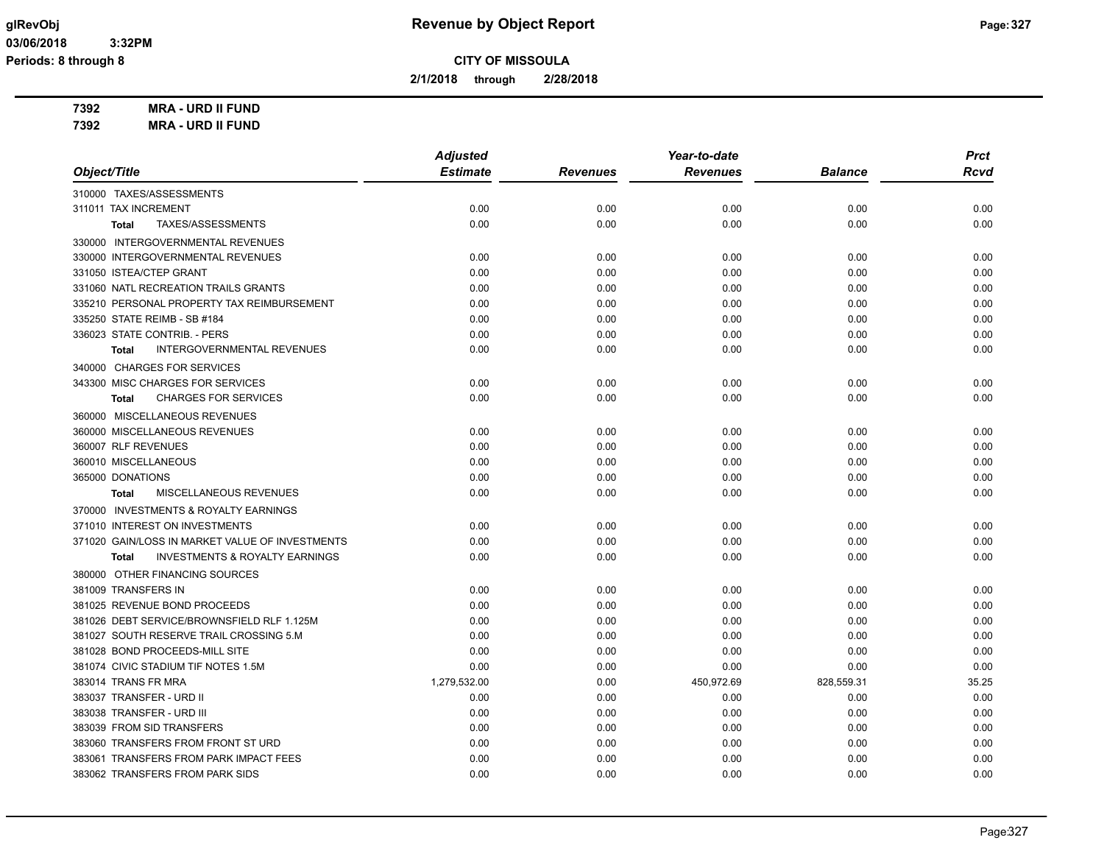**Periods: 8 through 8**

**CITY OF MISSOULA**

**2/1/2018 through 2/28/2018**

**7392 MRA - URD II FUND 7392 MRA - URD II FUND**

*Object/Title Adjusted Estimate Revenues Year-to-date Revenues Balance Prct Rcvd* 310000 TAXES/ASSESSMENTS 311011 TAX INCREMENT 0.00 0.00 0.00 0.00 0.00 **Total** TAXES/ASSESSMENTS 0.00 0.00 0.00 0.00 0.00 330000 INTERGOVERNMENTAL REVENUES 330000 INTERGOVERNMENTAL REVENUES 0.00 0.00 0.00 0.00 0.00 331050 ISTEA/CTEP GRANT 0.00 0.00 0.00 0.00 0.00 331060 NATL RECREATION TRAILS GRANTS 0.00 0.00 0.00 0.00 0.00 335210 PERSONAL PROPERTY TAX REIMBURSEMENT 0.00 0.00 0.00 0.00 0.00 335250 STATE REIMB - SB #184 0.00 0.00 0.00 0.00 0.00 336023 STATE CONTRIB. - PERS 0.00 0.00 0.00 0.00 0.00 **Total** INTERGOVERNMENTAL REVENUES 0.00 0.00 0.00 0.00 0.00 340000 CHARGES FOR SERVICES 343300 MISC CHARGES FOR SERVICES 0.00 0.00 0.00 0.00 0.00 **Total** CHARGES FOR SERVICES 0.00 0.00 0.00 0.00 0.00 360000 MISCELLANEOUS REVENUES 360000 MISCELLANEOUS REVENUES 0.00 0.00 0.00 0.00 0.00 360007 RLF REVENUES 0.00 0.00 0.00 0.00 0.00 360010 MISCELLANEOUS 0.00 0.00 0.00 0.00 0.00 365000 DONATIONS 0.00 0.00 0.00 0.00 0.00 **Total** MISCELLANEOUS REVENUES 0.00 0.00 0.00 0.00 0.00 370000 INVESTMENTS & ROYALTY EARNINGS 371010 INTEREST ON INVESTMENTS 0.00 0.00 0.00 0.00 0.00 371020 GAIN/LOSS IN MARKET VALUE OF INVESTMENTS  $0.00$   $0.00$   $0.00$   $0.00$   $0.00$   $0.00$   $0.00$   $0.00$   $0.00$   $0.00$ **Total** INVESTMENTS & ROYALTY EARNINGS 0.00 0.00 0.00 0.00 0.00 380000 OTHER FINANCING SOURCES 381009 TRANSFERS IN CONTROLLED AND RELEASED A CONTROLLED AND DOCUMENT ON DOCUMENT ON DESCRIPTION ON DESCRIPTION ON DESCRIPTION ON DESCRIPTION ON DESCRIPTION ON DESCRIPTION ON DESCRIPTION ON DESCRIPTION ON DESCRIPTION ON DE 381025 REVENUE BOND PROCEEDS 0.00 0.00 0.00 0.00 0.00 381026 DEBT SERVICE/BROWNSFIELD RLF 1.125M 0.00 0.00 0.00 0.00 0.00 381027 SOUTH RESERVE TRAIL CROSSING 5.M 0.00 0.00 0.00 0.00 0.00 381028 BOND PROCEEDS-MILL SITE 0.00 0.00 0.00 0.00 0.00 381074 CIVIC STADIUM TIF NOTES 1.5M 0.00 0.00 0.00 0.00 0.00 383014 TRANS FR MRA 1,279,532.00 0.00 450,972.69 828,559.31 35.25 383037 TRANSFER - URD II 0.00 0.00 0.00 0.00 0.00 383038 TRANSFER - URD III 0.00 0.00 0.00 0.00 0.00 383039 FROM SID TRANSFERS 0.00 0.00 0.00 0.00 0.00 383060 TRANSFERS FROM FRONT ST URD 0.00 0.00 0.00 0.00 0.00 383061 TRANSFERS FROM PARK IMPACT FEES 0.00 0.00 0.00 0.00 0.00 383062 TRANSFERS FROM PARK SIDS 0.00 0.00 0.00 0.00 0.00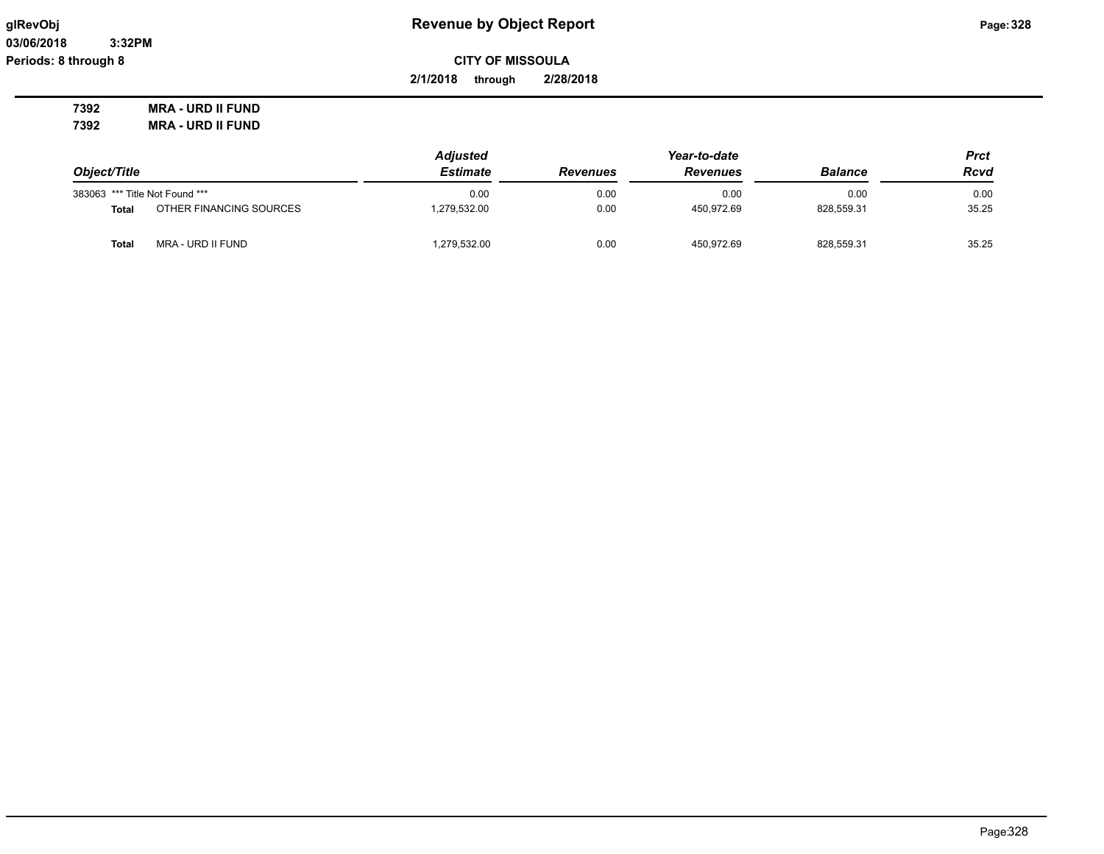**03/06/2018 3:32PM Periods: 8 through 8**

# **glRevObj Revenue by Object Report Page:328**

**2/1/2018 through 2/28/2018**

**7392 MRA - URD II FUND 7392 MRA - URD II FUND**

|                                |                         | <b>Adjusted</b> |                 |                 | Prct           |       |
|--------------------------------|-------------------------|-----------------|-----------------|-----------------|----------------|-------|
| Object/Title                   |                         | <b>Estimate</b> | <b>Revenues</b> | <b>Revenues</b> | <b>Balance</b> | Rcvd  |
| 383063 *** Title Not Found *** |                         | 0.00            | 0.00            | 0.00            | 0.00           | 0.00  |
| Total                          | OTHER FINANCING SOURCES | 279,532.00      | 0.00            | 450.972.69      | 828.559.31     | 35.25 |
| <b>Total</b>                   | MRA - URD II FUND       | 1,279,532.00    | 0.00            | 450.972.69      | 828,559.31     | 35.25 |

Page:328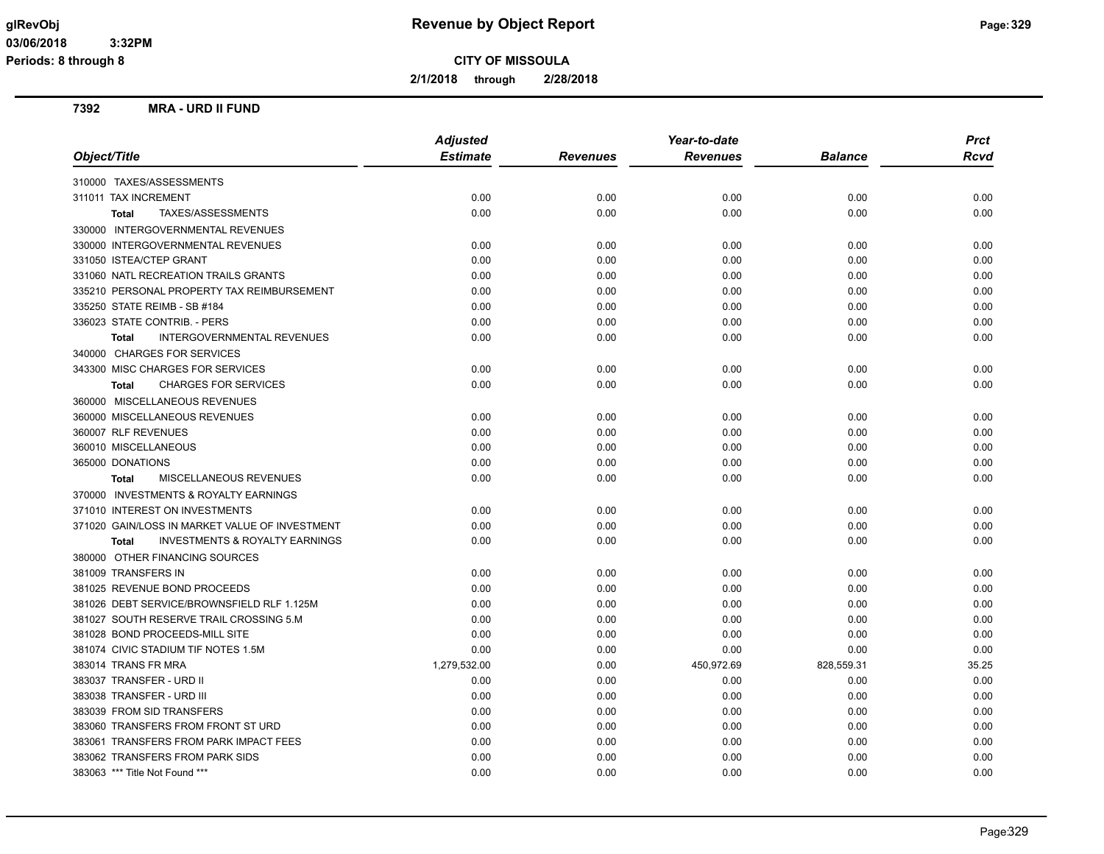**2/1/2018 through 2/28/2018**

### **7392 MRA - URD II FUND**

|                                                           | <b>Adjusted</b> |                 | Year-to-date    |                | <b>Prct</b> |
|-----------------------------------------------------------|-----------------|-----------------|-----------------|----------------|-------------|
| Object/Title                                              | <b>Estimate</b> | <b>Revenues</b> | <b>Revenues</b> | <b>Balance</b> | Rcvd        |
| 310000 TAXES/ASSESSMENTS                                  |                 |                 |                 |                |             |
| 311011 TAX INCREMENT                                      | 0.00            | 0.00            | 0.00            | 0.00           | 0.00        |
| TAXES/ASSESSMENTS<br>Total                                | 0.00            | 0.00            | 0.00            | 0.00           | 0.00        |
| 330000 INTERGOVERNMENTAL REVENUES                         |                 |                 |                 |                |             |
| 330000 INTERGOVERNMENTAL REVENUES                         | 0.00            | 0.00            | 0.00            | 0.00           | 0.00        |
| 331050 ISTEA/CTEP GRANT                                   | 0.00            | 0.00            | 0.00            | 0.00           | 0.00        |
| 331060 NATL RECREATION TRAILS GRANTS                      | 0.00            | 0.00            | 0.00            | 0.00           | 0.00        |
| 335210 PERSONAL PROPERTY TAX REIMBURSEMENT                | 0.00            | 0.00            | 0.00            | 0.00           | 0.00        |
| 335250 STATE REIMB - SB #184                              | 0.00            | 0.00            | 0.00            | 0.00           | 0.00        |
| 336023 STATE CONTRIB. - PERS                              | 0.00            | 0.00            | 0.00            | 0.00           | 0.00        |
| <b>INTERGOVERNMENTAL REVENUES</b><br><b>Total</b>         | 0.00            | 0.00            | 0.00            | 0.00           | 0.00        |
| 340000 CHARGES FOR SERVICES                               |                 |                 |                 |                |             |
| 343300 MISC CHARGES FOR SERVICES                          | 0.00            | 0.00            | 0.00            | 0.00           | 0.00        |
| <b>CHARGES FOR SERVICES</b><br><b>Total</b>               | 0.00            | 0.00            | 0.00            | 0.00           | 0.00        |
| 360000 MISCELLANEOUS REVENUES                             |                 |                 |                 |                |             |
| 360000 MISCELLANEOUS REVENUES                             | 0.00            | 0.00            | 0.00            | 0.00           | 0.00        |
| 360007 RLF REVENUES                                       | 0.00            | 0.00            | 0.00            | 0.00           | 0.00        |
| 360010 MISCELLANEOUS                                      | 0.00            | 0.00            | 0.00            | 0.00           | 0.00        |
| 365000 DONATIONS                                          | 0.00            | 0.00            | 0.00            | 0.00           | 0.00        |
| MISCELLANEOUS REVENUES<br><b>Total</b>                    | 0.00            | 0.00            | 0.00            | 0.00           | 0.00        |
| 370000 INVESTMENTS & ROYALTY EARNINGS                     |                 |                 |                 |                |             |
| 371010 INTEREST ON INVESTMENTS                            | 0.00            | 0.00            | 0.00            | 0.00           | 0.00        |
| 371020 GAIN/LOSS IN MARKET VALUE OF INVESTMENT            | 0.00            | 0.00            | 0.00            | 0.00           | 0.00        |
| <b>INVESTMENTS &amp; ROYALTY EARNINGS</b><br><b>Total</b> | 0.00            | 0.00            | 0.00            | 0.00           | 0.00        |
| 380000 OTHER FINANCING SOURCES                            |                 |                 |                 |                |             |
| 381009 TRANSFERS IN                                       | 0.00            | 0.00            | 0.00            | 0.00           | 0.00        |
| 381025 REVENUE BOND PROCEEDS                              | 0.00            | 0.00            | 0.00            | 0.00           | 0.00        |
| 381026 DEBT SERVICE/BROWNSFIELD RLF 1.125M                | 0.00            | 0.00            | 0.00            | 0.00           | 0.00        |
| 381027 SOUTH RESERVE TRAIL CROSSING 5.M                   | 0.00            | 0.00            | 0.00            | 0.00           | 0.00        |
| 381028 BOND PROCEEDS-MILL SITE                            | 0.00            | 0.00            | 0.00            | 0.00           | 0.00        |
| 381074 CIVIC STADIUM TIF NOTES 1.5M                       | 0.00            | 0.00            | 0.00            | 0.00           | 0.00        |
| 383014 TRANS FR MRA                                       | 1,279,532.00    | 0.00            | 450,972.69      | 828,559.31     | 35.25       |
| 383037 TRANSFER - URD II                                  | 0.00            | 0.00            | 0.00            | 0.00           | 0.00        |
| 383038 TRANSFER - URD III                                 | 0.00            | 0.00            | 0.00            | 0.00           | 0.00        |
| 383039 FROM SID TRANSFERS                                 | 0.00            | 0.00            | 0.00            | 0.00           | 0.00        |
| 383060 TRANSFERS FROM FRONT ST URD                        | 0.00            | 0.00            | 0.00            | 0.00           | 0.00        |
| 383061 TRANSFERS FROM PARK IMPACT FEES                    | 0.00            | 0.00            | 0.00            | 0.00           | 0.00        |
| 383062 TRANSFERS FROM PARK SIDS                           | 0.00            | 0.00            | 0.00            | 0.00           | 0.00        |
| 383063 *** Title Not Found ***                            | 0.00            | 0.00            | 0.00            | 0.00           | 0.00        |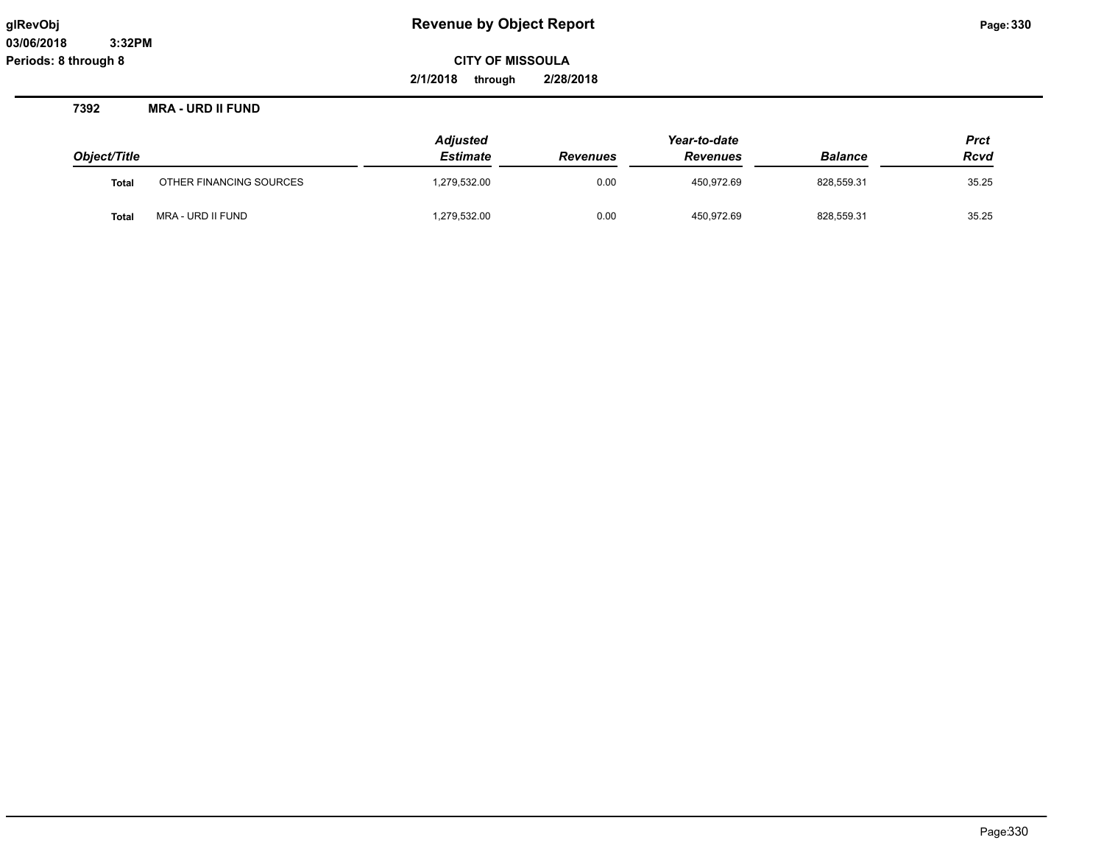**2/1/2018 through 2/28/2018**

**7392 MRA - URD II FUND**

| Object/Title |                         | <b>Adjusted</b><br><b>Estimate</b> | <b>Revenues</b> | Year-to-date<br><b>Revenues</b> | <b>Balance</b> | <b>Prct</b><br><b>Rcvd</b> |
|--------------|-------------------------|------------------------------------|-----------------|---------------------------------|----------------|----------------------------|
| <b>Total</b> | OTHER FINANCING SOURCES | 1,279,532.00                       | 0.00            | 450.972.69                      | 828.559.31     | 35.25                      |
| <b>Total</b> | MRA - URD II FUND       | 1,279,532.00                       | 0.00            | 450,972.69                      | 828,559.31     | 35.25                      |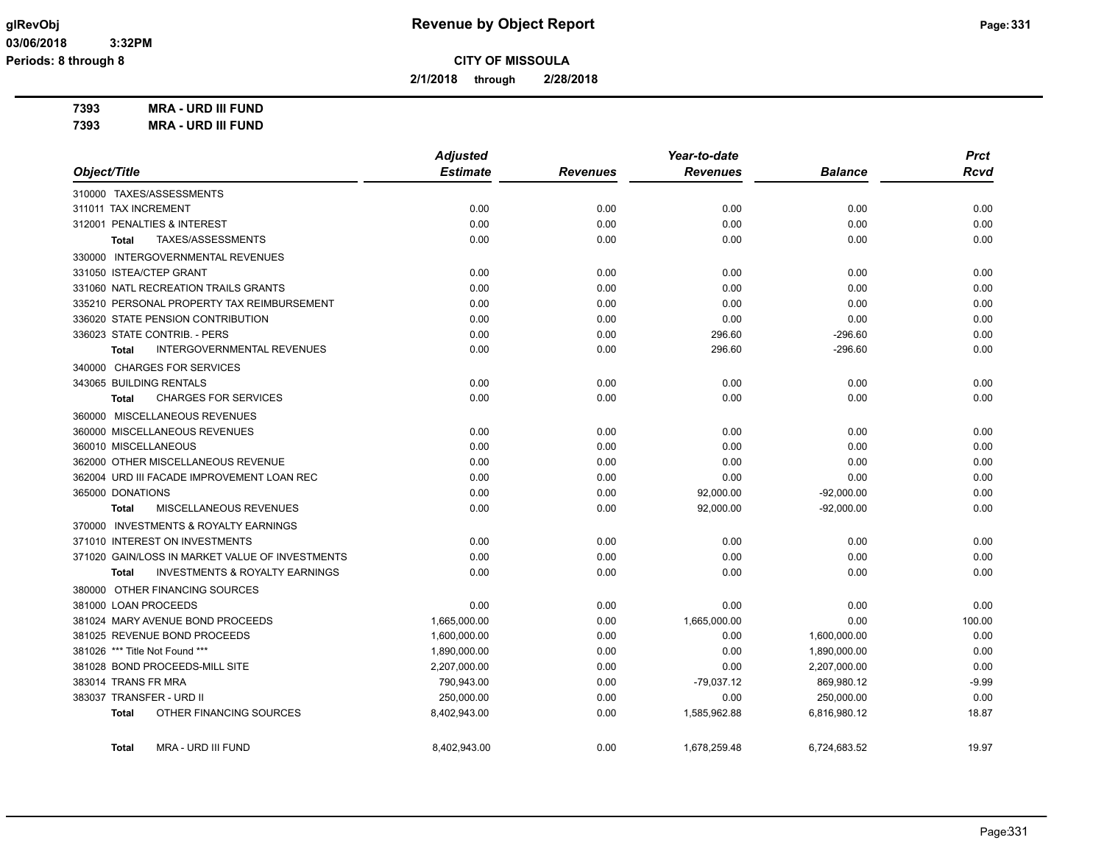**2/1/2018 through 2/28/2018**

**7393 MRA - URD III FUND**

**7393 MRA - URD III FUND**

|                                                           | <b>Adjusted</b> |                 | Year-to-date    |                | <b>Prct</b> |
|-----------------------------------------------------------|-----------------|-----------------|-----------------|----------------|-------------|
| Object/Title                                              | <b>Estimate</b> | <b>Revenues</b> | <b>Revenues</b> | <b>Balance</b> | <b>Rcvd</b> |
| 310000 TAXES/ASSESSMENTS                                  |                 |                 |                 |                |             |
| 311011 TAX INCREMENT                                      | 0.00            | 0.00            | 0.00            | 0.00           | 0.00        |
| 312001 PENALTIES & INTEREST                               | 0.00            | 0.00            | 0.00            | 0.00           | 0.00        |
| TAXES/ASSESSMENTS<br><b>Total</b>                         | 0.00            | 0.00            | 0.00            | 0.00           | 0.00        |
| 330000 INTERGOVERNMENTAL REVENUES                         |                 |                 |                 |                |             |
| 331050 ISTEA/CTEP GRANT                                   | 0.00            | 0.00            | 0.00            | 0.00           | 0.00        |
| 331060 NATL RECREATION TRAILS GRANTS                      | 0.00            | 0.00            | 0.00            | 0.00           | 0.00        |
| 335210 PERSONAL PROPERTY TAX REIMBURSEMENT                | 0.00            | 0.00            | 0.00            | 0.00           | 0.00        |
| 336020 STATE PENSION CONTRIBUTION                         | 0.00            | 0.00            | 0.00            | 0.00           | 0.00        |
| 336023 STATE CONTRIB. - PERS                              | 0.00            | 0.00            | 296.60          | $-296.60$      | 0.00        |
| <b>INTERGOVERNMENTAL REVENUES</b><br><b>Total</b>         | 0.00            | 0.00            | 296.60          | $-296.60$      | 0.00        |
| 340000 CHARGES FOR SERVICES                               |                 |                 |                 |                |             |
| 343065 BUILDING RENTALS                                   | 0.00            | 0.00            | 0.00            | 0.00           | 0.00        |
| <b>CHARGES FOR SERVICES</b><br><b>Total</b>               | 0.00            | 0.00            | 0.00            | 0.00           | 0.00        |
| 360000 MISCELLANEOUS REVENUES                             |                 |                 |                 |                |             |
| 360000 MISCELLANEOUS REVENUES                             | 0.00            | 0.00            | 0.00            | 0.00           | 0.00        |
| 360010 MISCELLANEOUS                                      | 0.00            | 0.00            | 0.00            | 0.00           | 0.00        |
| 362000 OTHER MISCELLANEOUS REVENUE                        | 0.00            | 0.00            | 0.00            | 0.00           | 0.00        |
| 362004 URD III FACADE IMPROVEMENT LOAN REC                | 0.00            | 0.00            | 0.00            | 0.00           | 0.00        |
| 365000 DONATIONS                                          | 0.00            | 0.00            | 92,000.00       | $-92,000.00$   | 0.00        |
| MISCELLANEOUS REVENUES<br><b>Total</b>                    | 0.00            | 0.00            | 92,000.00       | $-92,000.00$   | 0.00        |
| 370000 INVESTMENTS & ROYALTY EARNINGS                     |                 |                 |                 |                |             |
| 371010 INTEREST ON INVESTMENTS                            | 0.00            | 0.00            | 0.00            | 0.00           | 0.00        |
| 371020 GAIN/LOSS IN MARKET VALUE OF INVESTMENTS           | 0.00            | 0.00            | 0.00            | 0.00           | 0.00        |
| <b>INVESTMENTS &amp; ROYALTY EARNINGS</b><br><b>Total</b> | 0.00            | 0.00            | 0.00            | 0.00           | 0.00        |
| 380000 OTHER FINANCING SOURCES                            |                 |                 |                 |                |             |
| 381000 LOAN PROCEEDS                                      | 0.00            | 0.00            | 0.00            | 0.00           | 0.00        |
| 381024 MARY AVENUE BOND PROCEEDS                          | 1,665,000.00    | 0.00            | 1,665,000.00    | 0.00           | 100.00      |
| 381025 REVENUE BOND PROCEEDS                              | 1,600,000.00    | 0.00            | 0.00            | 1,600,000.00   | 0.00        |
| 381026 *** Title Not Found ***                            | 1,890,000.00    | 0.00            | 0.00            | 1,890,000.00   | 0.00        |
| 381028 BOND PROCEEDS-MILL SITE                            | 2,207,000.00    | 0.00            | 0.00            | 2,207,000.00   | 0.00        |
| 383014 TRANS FR MRA                                       | 790,943.00      | 0.00            | $-79,037.12$    | 869,980.12     | $-9.99$     |
| 383037 TRANSFER - URD II                                  | 250,000.00      | 0.00            | 0.00            | 250,000.00     | 0.00        |
| OTHER FINANCING SOURCES<br><b>Total</b>                   | 8,402,943.00    | 0.00            | 1,585,962.88    | 6,816,980.12   | 18.87       |
| MRA - URD III FUND<br>Total                               | 8,402,943.00    | 0.00            | 1,678,259.48    | 6,724,683.52   | 19.97       |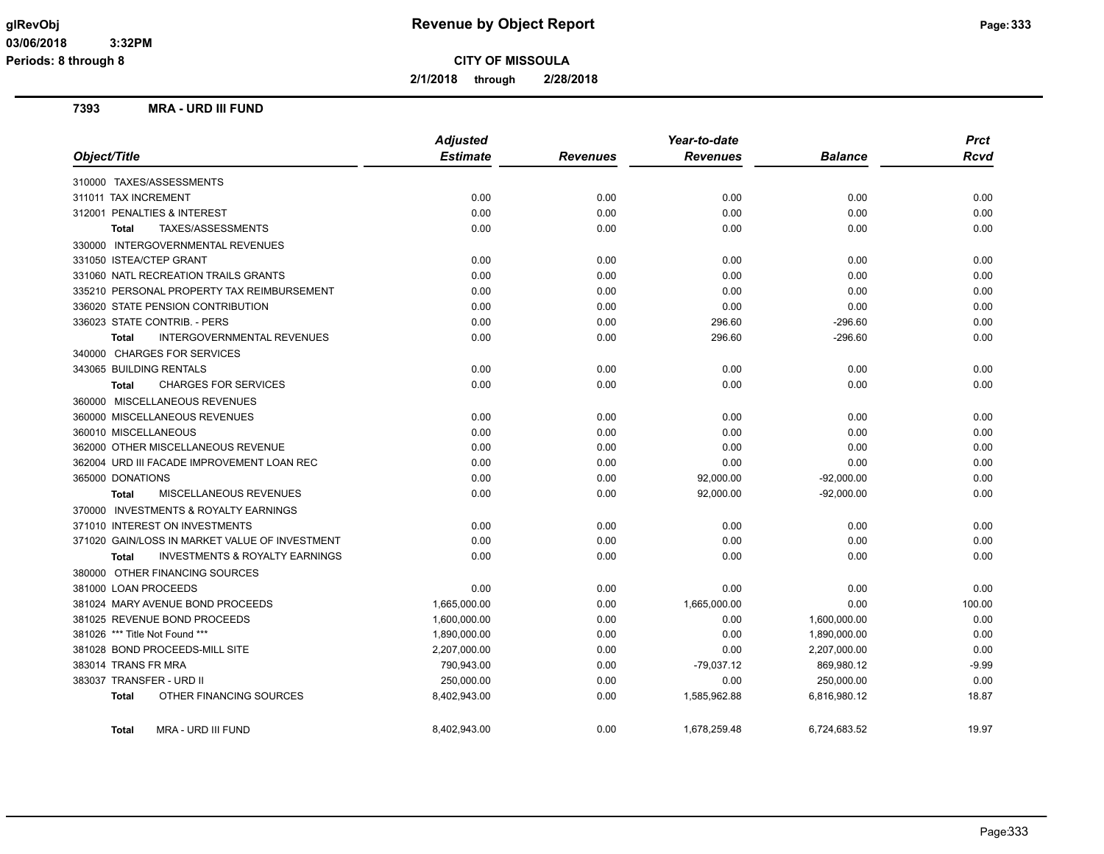**2/1/2018 through 2/28/2018**

### **7393 MRA - URD III FUND**

|                                                   | <b>Adjusted</b> |                 | Year-to-date    |                | <b>Prct</b> |
|---------------------------------------------------|-----------------|-----------------|-----------------|----------------|-------------|
| Object/Title                                      | <b>Estimate</b> | <b>Revenues</b> | <b>Revenues</b> | <b>Balance</b> | <b>Rcvd</b> |
| 310000 TAXES/ASSESSMENTS                          |                 |                 |                 |                |             |
| 311011 TAX INCREMENT                              | 0.00            | 0.00            | 0.00            | 0.00           | 0.00        |
| 312001 PENALTIES & INTEREST                       | 0.00            | 0.00            | 0.00            | 0.00           | 0.00        |
| TAXES/ASSESSMENTS<br><b>Total</b>                 | 0.00            | 0.00            | 0.00            | 0.00           | 0.00        |
| 330000 INTERGOVERNMENTAL REVENUES                 |                 |                 |                 |                |             |
| 331050 ISTEA/CTEP GRANT                           | 0.00            | 0.00            | 0.00            | 0.00           | 0.00        |
| 331060 NATL RECREATION TRAILS GRANTS              | 0.00            | 0.00            | 0.00            | 0.00           | 0.00        |
| 335210 PERSONAL PROPERTY TAX REIMBURSEMENT        | 0.00            | 0.00            | 0.00            | 0.00           | 0.00        |
| 336020 STATE PENSION CONTRIBUTION                 | 0.00            | 0.00            | 0.00            | 0.00           | 0.00        |
| 336023 STATE CONTRIB. - PERS                      | 0.00            | 0.00            | 296.60          | $-296.60$      | 0.00        |
| <b>INTERGOVERNMENTAL REVENUES</b><br><b>Total</b> | 0.00            | 0.00            | 296.60          | $-296.60$      | 0.00        |
| 340000 CHARGES FOR SERVICES                       |                 |                 |                 |                |             |
| 343065 BUILDING RENTALS                           | 0.00            | 0.00            | 0.00            | 0.00           | 0.00        |
| <b>CHARGES FOR SERVICES</b><br><b>Total</b>       | 0.00            | 0.00            | 0.00            | 0.00           | 0.00        |
| 360000 MISCELLANEOUS REVENUES                     |                 |                 |                 |                |             |
| 360000 MISCELLANEOUS REVENUES                     | 0.00            | 0.00            | 0.00            | 0.00           | 0.00        |
| 360010 MISCELLANEOUS                              | 0.00            | 0.00            | 0.00            | 0.00           | 0.00        |
| 362000 OTHER MISCELLANEOUS REVENUE                | 0.00            | 0.00            | 0.00            | 0.00           | 0.00        |
| 362004 URD III FACADE IMPROVEMENT LOAN REC        | 0.00            | 0.00            | 0.00            | 0.00           | 0.00        |
| 365000 DONATIONS                                  | 0.00            | 0.00            | 92,000.00       | $-92,000.00$   | 0.00        |
| MISCELLANEOUS REVENUES<br><b>Total</b>            | 0.00            | 0.00            | 92,000.00       | $-92,000.00$   | 0.00        |
| 370000 INVESTMENTS & ROYALTY EARNINGS             |                 |                 |                 |                |             |
| 371010 INTEREST ON INVESTMENTS                    | 0.00            | 0.00            | 0.00            | 0.00           | 0.00        |
| 371020 GAIN/LOSS IN MARKET VALUE OF INVESTMENT    | 0.00            | 0.00            | 0.00            | 0.00           | 0.00        |
| INVESTMENTS & ROYALTY EARNINGS<br><b>Total</b>    | 0.00            | 0.00            | 0.00            | 0.00           | 0.00        |
| 380000 OTHER FINANCING SOURCES                    |                 |                 |                 |                |             |
| 381000 LOAN PROCEEDS                              | 0.00            | 0.00            | 0.00            | 0.00           | 0.00        |
| 381024 MARY AVENUE BOND PROCEEDS                  | 1,665,000.00    | 0.00            | 1,665,000.00    | 0.00           | 100.00      |
| 381025 REVENUE BOND PROCEEDS                      | 1,600,000.00    | 0.00            | 0.00            | 1,600,000.00   | 0.00        |
| 381026 *** Title Not Found ***                    | 1,890,000.00    | 0.00            | 0.00            | 1,890,000.00   | 0.00        |
| 381028 BOND PROCEEDS-MILL SITE                    | 2,207,000.00    | 0.00            | 0.00            | 2,207,000.00   | 0.00        |
| 383014 TRANS FR MRA                               | 790,943.00      | 0.00            | -79,037.12      | 869,980.12     | -9.99       |
| 383037 TRANSFER - URD II                          | 250,000.00      | 0.00            | 0.00            | 250,000.00     | 0.00        |
| OTHER FINANCING SOURCES<br><b>Total</b>           | 8,402,943.00    | 0.00            | 1,585,962.88    | 6,816,980.12   | 18.87       |
| MRA - URD III FUND<br><b>Total</b>                | 8,402,943.00    | 0.00            | 1,678,259.48    | 6,724,683.52   | 19.97       |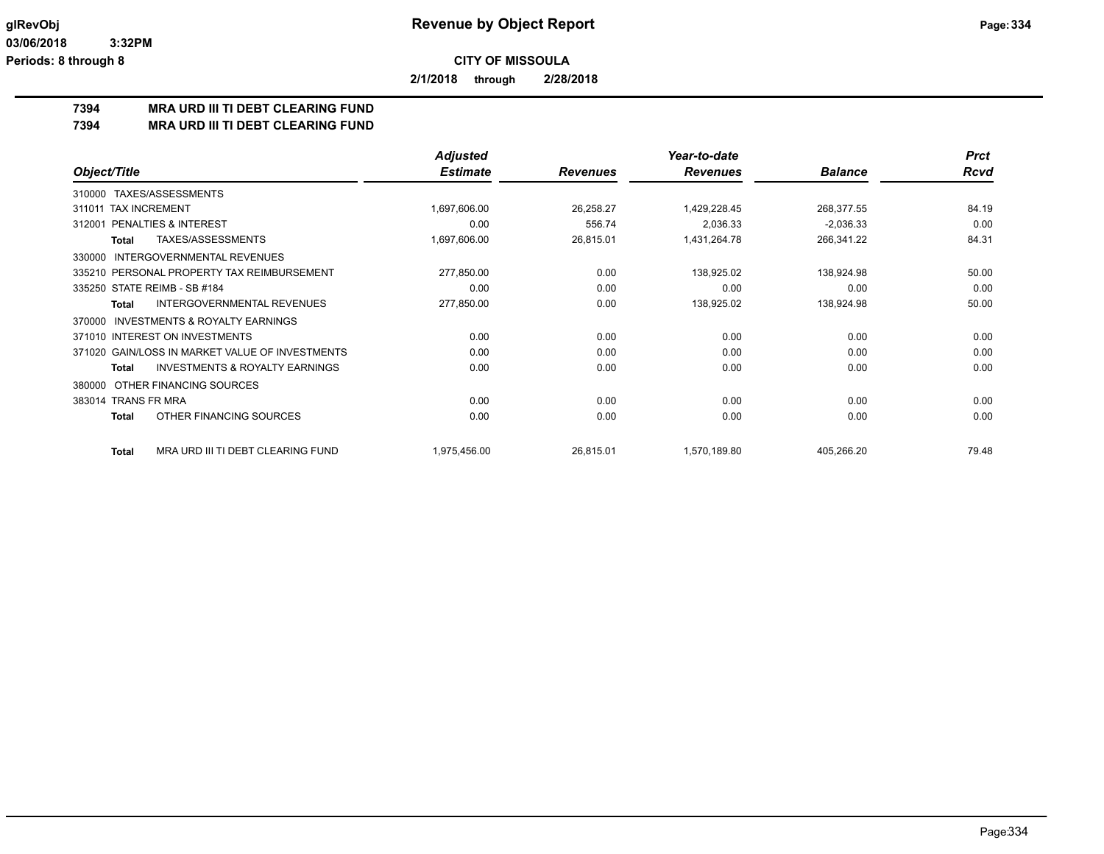**2/1/2018 through 2/28/2018**

# **7394 MRA URD III TI DEBT CLEARING FUND**

**7394 MRA URD III TI DEBT CLEARING FUND**

|                                                           | <b>Adjusted</b> |                 | Year-to-date    |                | <b>Prct</b> |
|-----------------------------------------------------------|-----------------|-----------------|-----------------|----------------|-------------|
| Object/Title                                              | <b>Estimate</b> | <b>Revenues</b> | <b>Revenues</b> | <b>Balance</b> | <b>Rcvd</b> |
| TAXES/ASSESSMENTS<br>310000                               |                 |                 |                 |                |             |
| 311011 TAX INCREMENT                                      | 1,697,606.00    | 26,258.27       | 1,429,228.45    | 268,377.55     | 84.19       |
| PENALTIES & INTEREST<br>312001                            | 0.00            | 556.74          | 2,036.33        | $-2,036.33$    | 0.00        |
| <b>TAXES/ASSESSMENTS</b><br>Total                         | 1,697,606.00    | 26,815.01       | 1,431,264.78    | 266,341.22     | 84.31       |
| INTERGOVERNMENTAL REVENUES<br>330000                      |                 |                 |                 |                |             |
| 335210 PERSONAL PROPERTY TAX REIMBURSEMENT                | 277,850.00      | 0.00            | 138,925.02      | 138,924.98     | 50.00       |
| 335250 STATE REIMB - SB #184                              | 0.00            | 0.00            | 0.00            | 0.00           | 0.00        |
| <b>INTERGOVERNMENTAL REVENUES</b><br>Total                | 277,850.00      | 0.00            | 138,925.02      | 138,924.98     | 50.00       |
| <b>INVESTMENTS &amp; ROYALTY EARNINGS</b><br>370000       |                 |                 |                 |                |             |
| 371010 INTEREST ON INVESTMENTS                            | 0.00            | 0.00            | 0.00            | 0.00           | 0.00        |
| 371020 GAIN/LOSS IN MARKET VALUE OF INVESTMENTS           | 0.00            | 0.00            | 0.00            | 0.00           | 0.00        |
| <b>INVESTMENTS &amp; ROYALTY EARNINGS</b><br><b>Total</b> | 0.00            | 0.00            | 0.00            | 0.00           | 0.00        |
| OTHER FINANCING SOURCES<br>380000                         |                 |                 |                 |                |             |
| 383014 TRANS FR MRA                                       | 0.00            | 0.00            | 0.00            | 0.00           | 0.00        |
| OTHER FINANCING SOURCES<br><b>Total</b>                   | 0.00            | 0.00            | 0.00            | 0.00           | 0.00        |
| MRA URD III TI DEBT CLEARING FUND<br><b>Total</b>         | 1,975,456.00    | 26,815.01       | 1,570,189.80    | 405,266.20     | 79.48       |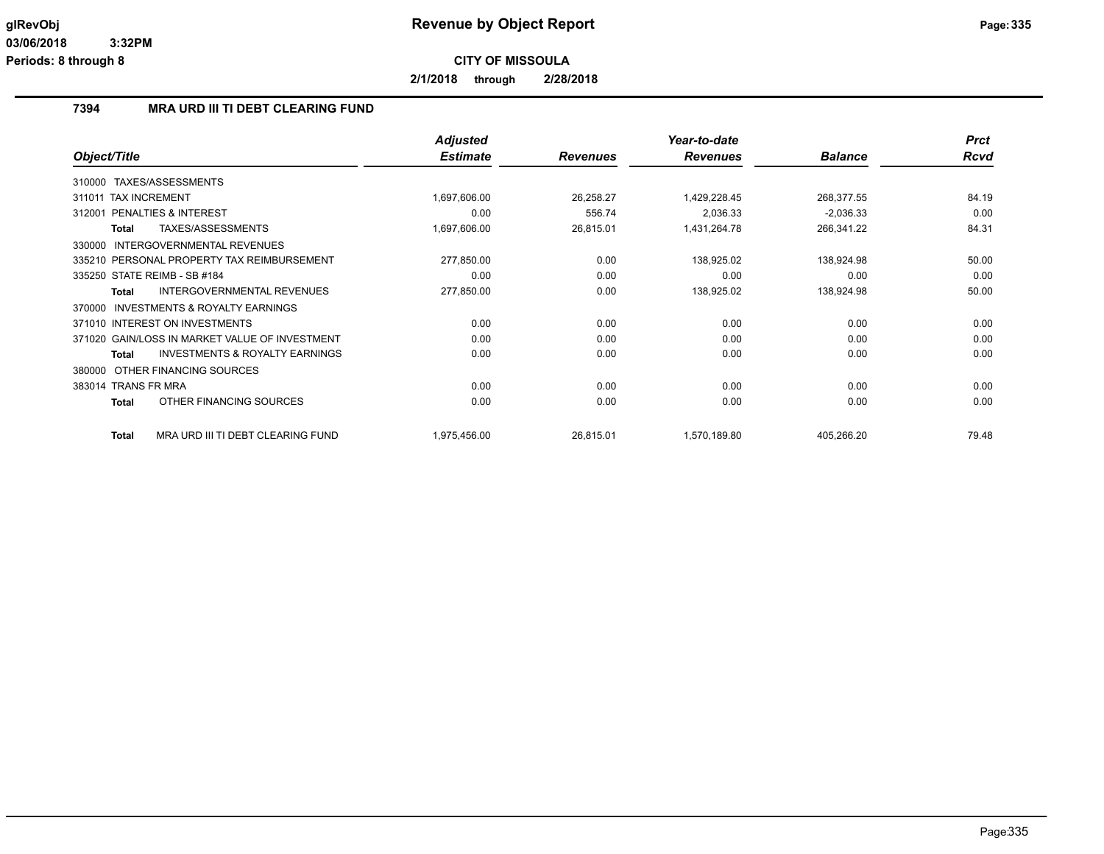**2/1/2018 through 2/28/2018**

### **7394 MRA URD III TI DEBT CLEARING FUND**

|                                                    | <b>Adjusted</b> |                 | Year-to-date    |                | <b>Prct</b> |
|----------------------------------------------------|-----------------|-----------------|-----------------|----------------|-------------|
| Object/Title                                       | <b>Estimate</b> | <b>Revenues</b> | <b>Revenues</b> | <b>Balance</b> | <b>Rcvd</b> |
| TAXES/ASSESSMENTS<br>310000                        |                 |                 |                 |                |             |
| <b>TAX INCREMENT</b><br>311011                     | 1,697,606.00    | 26,258.27       | 1,429,228.45    | 268,377.55     | 84.19       |
| <b>PENALTIES &amp; INTEREST</b><br>312001          | 0.00            | 556.74          | 2,036.33        | $-2,036.33$    | 0.00        |
| TAXES/ASSESSMENTS<br>Total                         | 1,697,606.00    | 26,815.01       | 1,431,264.78    | 266,341.22     | 84.31       |
| INTERGOVERNMENTAL REVENUES<br>330000               |                 |                 |                 |                |             |
| 335210 PERSONAL PROPERTY TAX REIMBURSEMENT         | 277,850.00      | 0.00            | 138,925.02      | 138,924.98     | 50.00       |
| 335250 STATE REIMB - SB #184                       | 0.00            | 0.00            | 0.00            | 0.00           | 0.00        |
| INTERGOVERNMENTAL REVENUES<br>Total                | 277,850.00      | 0.00            | 138,925.02      | 138,924.98     | 50.00       |
| INVESTMENTS & ROYALTY EARNINGS<br>370000           |                 |                 |                 |                |             |
| 371010 INTEREST ON INVESTMENTS                     | 0.00            | 0.00            | 0.00            | 0.00           | 0.00        |
| 371020 GAIN/LOSS IN MARKET VALUE OF INVESTMENT     | 0.00            | 0.00            | 0.00            | 0.00           | 0.00        |
| <b>INVESTMENTS &amp; ROYALTY EARNINGS</b><br>Total | 0.00            | 0.00            | 0.00            | 0.00           | 0.00        |
| OTHER FINANCING SOURCES<br>380000                  |                 |                 |                 |                |             |
| 383014 TRANS FR MRA                                | 0.00            | 0.00            | 0.00            | 0.00           | 0.00        |
| OTHER FINANCING SOURCES<br>Total                   | 0.00            | 0.00            | 0.00            | 0.00           | 0.00        |
| MRA URD III TI DEBT CLEARING FUND<br><b>Total</b>  | 1,975,456.00    | 26,815.01       | 1,570,189.80    | 405,266.20     | 79.48       |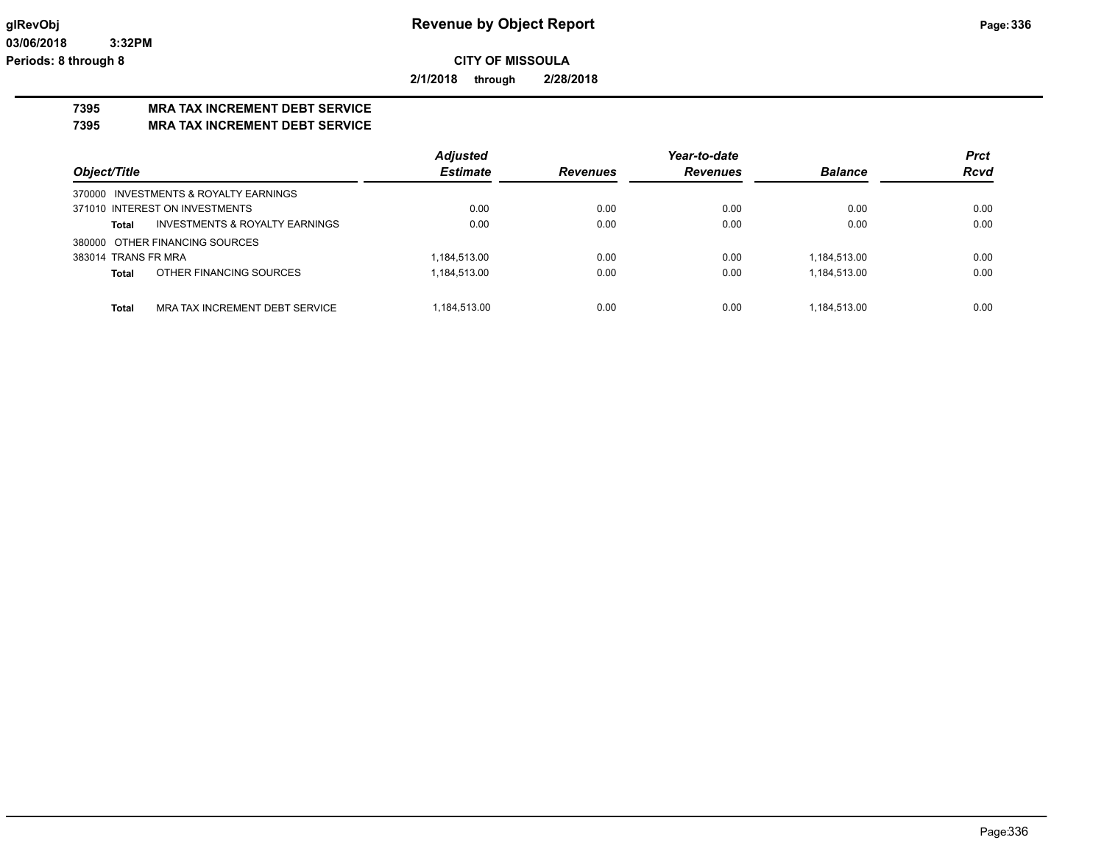**2/1/2018 through 2/28/2018**

# **7395 MRA TAX INCREMENT DEBT SERVICE**

**7395 MRA TAX INCREMENT DEBT SERVICE**

|                                         | <b>Adjusted</b> |                 | Year-to-date    |                | <b>Prct</b> |
|-----------------------------------------|-----------------|-----------------|-----------------|----------------|-------------|
| Object/Title                            | <b>Estimate</b> | <b>Revenues</b> | <b>Revenues</b> | <b>Balance</b> | <b>Rcvd</b> |
| 370000 INVESTMENTS & ROYALTY EARNINGS   |                 |                 |                 |                |             |
| 371010 INTEREST ON INVESTMENTS          | 0.00            | 0.00            | 0.00            | 0.00           | 0.00        |
| INVESTMENTS & ROYALTY EARNINGS<br>Total | 0.00            | 0.00            | 0.00            | 0.00           | 0.00        |
| 380000 OTHER FINANCING SOURCES          |                 |                 |                 |                |             |
| 383014 TRANS FR MRA                     | 1,184,513.00    | 0.00            | 0.00            | 1,184,513.00   | 0.00        |
| OTHER FINANCING SOURCES<br>Total        | 1,184,513.00    | 0.00            | 0.00            | 1,184,513.00   | 0.00        |
|                                         |                 |                 |                 |                |             |
| Total<br>MRA TAX INCREMENT DEBT SERVICE | 1.184.513.00    | 0.00            | 0.00            | 1.184.513.00   | 0.00        |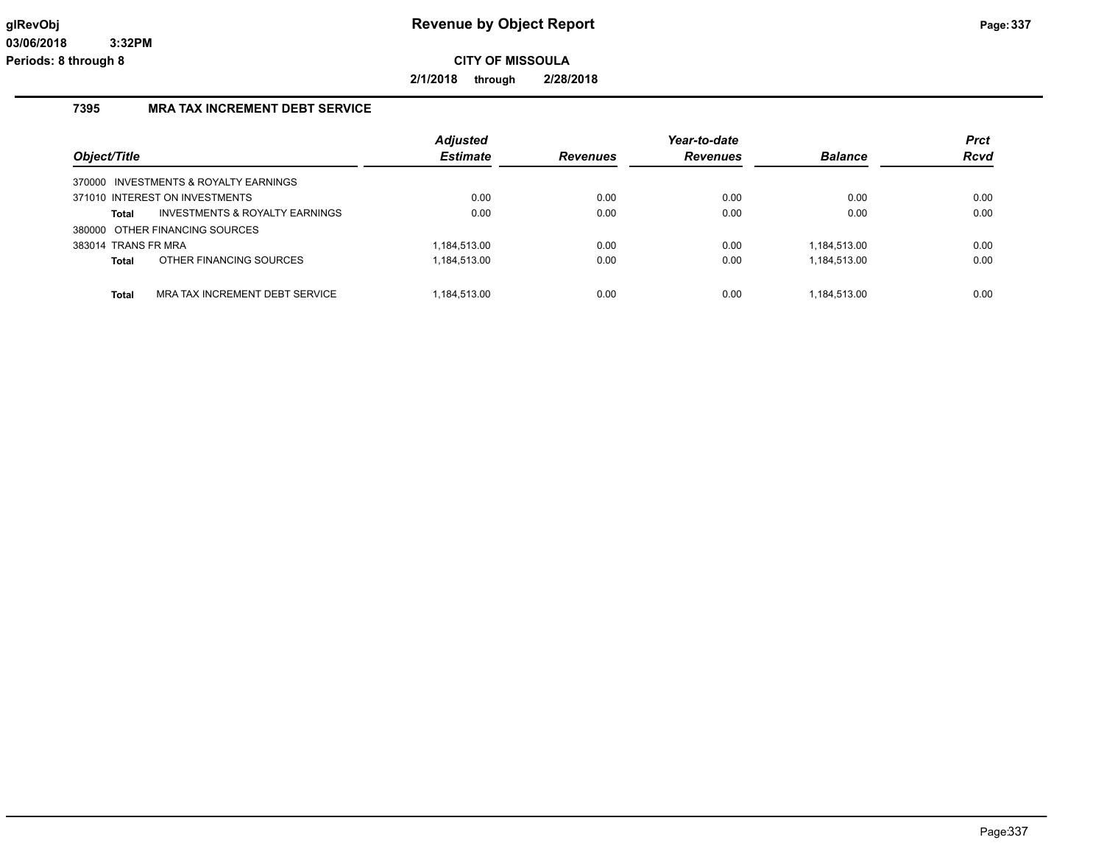**2/1/2018 through 2/28/2018**

## **7395 MRA TAX INCREMENT DEBT SERVICE**

| Object/Title        |                                           | <b>Adjusted</b><br><b>Estimate</b> | Revenues | Year-to-date<br><b>Revenues</b> | <b>Balance</b> | <b>Prct</b><br>Rcvd |
|---------------------|-------------------------------------------|------------------------------------|----------|---------------------------------|----------------|---------------------|
|                     | 370000 INVESTMENTS & ROYALTY EARNINGS     |                                    |          |                                 |                |                     |
|                     | 371010 INTEREST ON INVESTMENTS            | 0.00                               | 0.00     | 0.00                            | 0.00           | 0.00                |
| Total               | <b>INVESTMENTS &amp; ROYALTY EARNINGS</b> | 0.00                               | 0.00     | 0.00                            | 0.00           | 0.00                |
|                     | 380000 OTHER FINANCING SOURCES            |                                    |          |                                 |                |                     |
| 383014 TRANS FR MRA |                                           | 1.184.513.00                       | 0.00     | 0.00                            | 1.184.513.00   | 0.00                |
| <b>Total</b>        | OTHER FINANCING SOURCES                   | 1,184,513.00                       | 0.00     | 0.00                            | 1,184,513.00   | 0.00                |
| <b>Total</b>        | MRA TAX INCREMENT DEBT SERVICE            | 1.184.513.00                       | 0.00     | 0.00                            | 1.184.513.00   | 0.00                |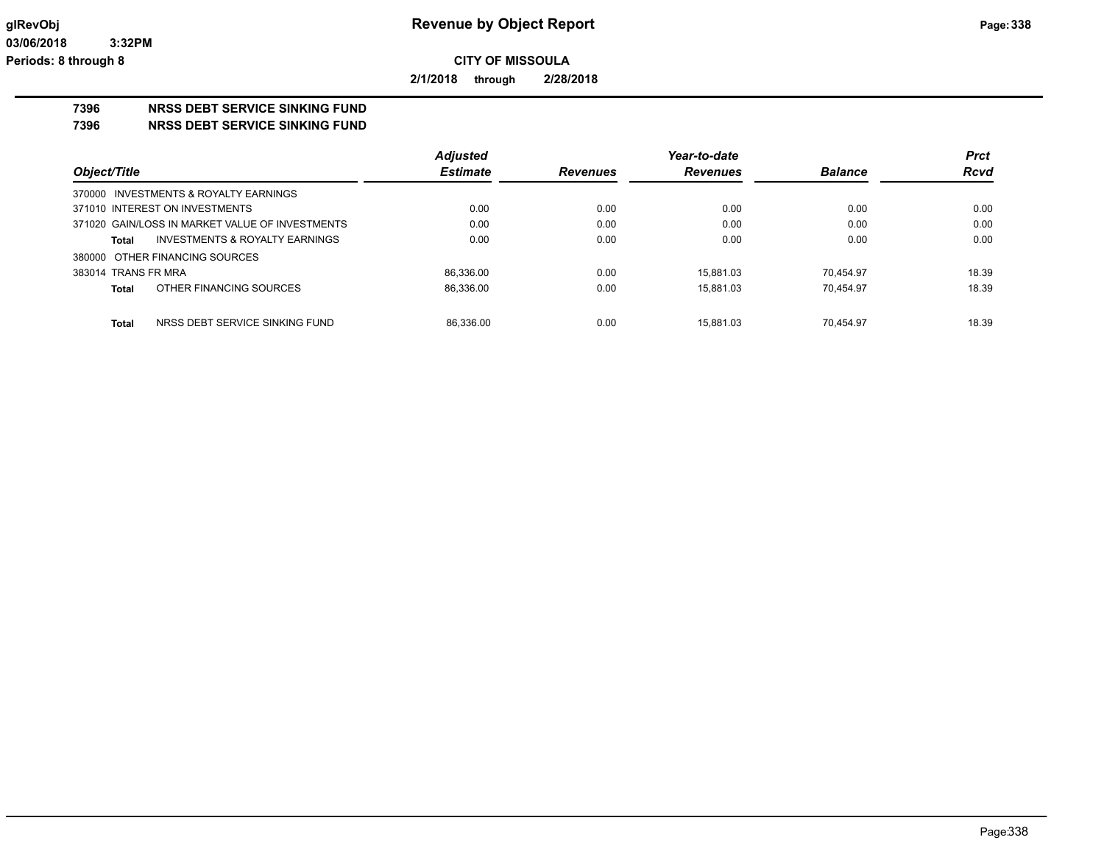**2/1/2018 through 2/28/2018**

# **7396 NRSS DEBT SERVICE SINKING FUND**

**7396 NRSS DEBT SERVICE SINKING FUND**

|                                                    | <b>Adjusted</b> |                 | Year-to-date    |                | <b>Prct</b> |
|----------------------------------------------------|-----------------|-----------------|-----------------|----------------|-------------|
| Object/Title                                       | <b>Estimate</b> | <b>Revenues</b> | <b>Revenues</b> | <b>Balance</b> | <b>Rcvd</b> |
| 370000 INVESTMENTS & ROYALTY EARNINGS              |                 |                 |                 |                |             |
| 371010 INTEREST ON INVESTMENTS                     | 0.00            | 0.00            | 0.00            | 0.00           | 0.00        |
| 371020 GAIN/LOSS IN MARKET VALUE OF INVESTMENTS    | 0.00            | 0.00            | 0.00            | 0.00           | 0.00        |
| <b>INVESTMENTS &amp; ROYALTY EARNINGS</b><br>Total | 0.00            | 0.00            | 0.00            | 0.00           | 0.00        |
| 380000 OTHER FINANCING SOURCES                     |                 |                 |                 |                |             |
| 383014 TRANS FR MRA                                | 86.336.00       | 0.00            | 15.881.03       | 70.454.97      | 18.39       |
| OTHER FINANCING SOURCES<br>Total                   | 86.336.00       | 0.00            | 15.881.03       | 70.454.97      | 18.39       |
|                                                    |                 |                 |                 |                |             |
| NRSS DEBT SERVICE SINKING FUND<br>Total            | 86.336.00       | 0.00            | 15.881.03       | 70.454.97      | 18.39       |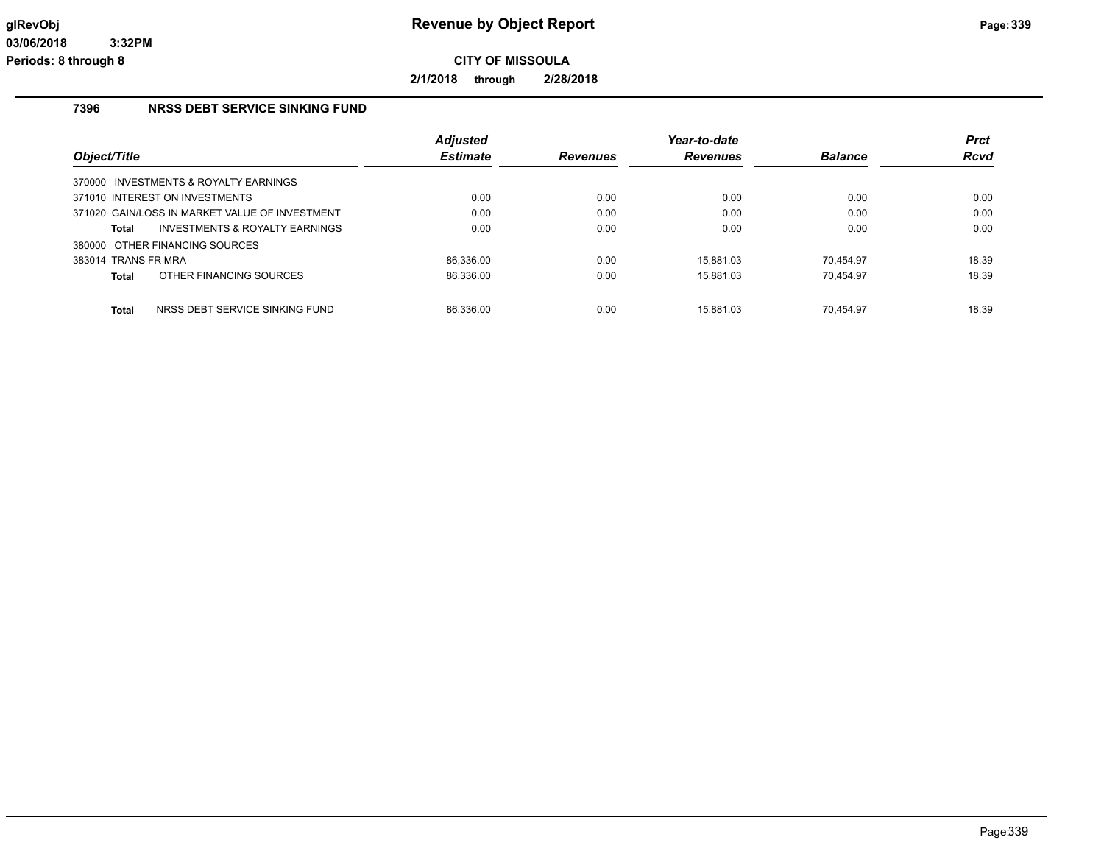**2/1/2018 through 2/28/2018**

### **7396 NRSS DEBT SERVICE SINKING FUND**

|                     |                                                | <b>Adjusted</b> |                 | Year-to-date    |                | <b>Prct</b> |
|---------------------|------------------------------------------------|-----------------|-----------------|-----------------|----------------|-------------|
| Object/Title        |                                                | <b>Estimate</b> | <b>Revenues</b> | <b>Revenues</b> | <b>Balance</b> | <b>Rcvd</b> |
|                     | 370000 INVESTMENTS & ROYALTY EARNINGS          |                 |                 |                 |                |             |
|                     | 371010 INTEREST ON INVESTMENTS                 | 0.00            | 0.00            | 0.00            | 0.00           | 0.00        |
|                     | 371020 GAIN/LOSS IN MARKET VALUE OF INVESTMENT | 0.00            | 0.00            | 0.00            | 0.00           | 0.00        |
| Total               | INVESTMENTS & ROYALTY EARNINGS                 | 0.00            | 0.00            | 0.00            | 0.00           | 0.00        |
|                     | 380000 OTHER FINANCING SOURCES                 |                 |                 |                 |                |             |
| 383014 TRANS FR MRA |                                                | 86.336.00       | 0.00            | 15.881.03       | 70.454.97      | 18.39       |
| <b>Total</b>        | OTHER FINANCING SOURCES                        | 86,336.00       | 0.00            | 15.881.03       | 70.454.97      | 18.39       |
| <b>Total</b>        | NRSS DEBT SERVICE SINKING FUND                 | 86.336.00       | 0.00            | 15.881.03       | 70.454.97      | 18.39       |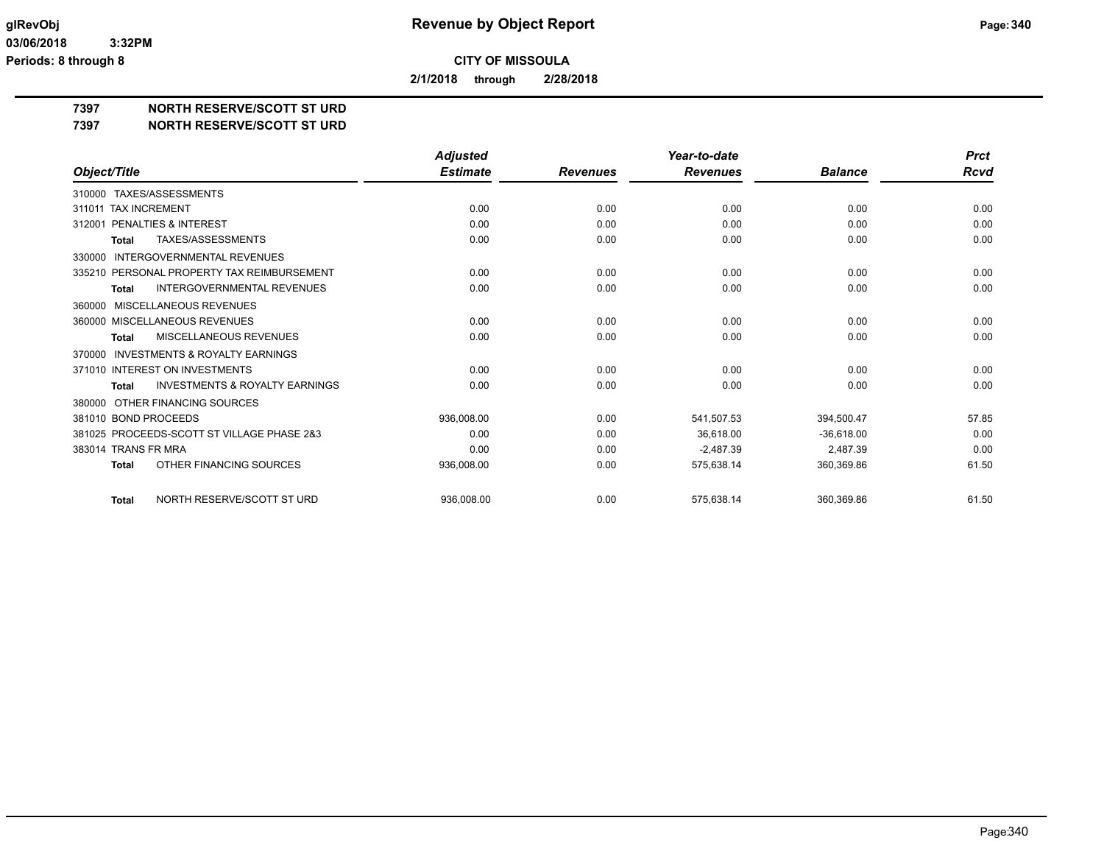**2/1/2018 through 2/28/2018**

# **7397 NORTH RESERVE/SCOTT ST URD**

#### **7397 NORTH RESERVE/SCOTT ST URD**

|                                                           | <b>Adjusted</b> |                 | Year-to-date    |                | <b>Prct</b> |
|-----------------------------------------------------------|-----------------|-----------------|-----------------|----------------|-------------|
| Object/Title                                              | <b>Estimate</b> | <b>Revenues</b> | <b>Revenues</b> | <b>Balance</b> | Rcvd        |
| 310000 TAXES/ASSESSMENTS                                  |                 |                 |                 |                |             |
| <b>TAX INCREMENT</b><br>311011                            | 0.00            | 0.00            | 0.00            | 0.00           | 0.00        |
| PENALTIES & INTEREST<br>312001                            | 0.00            | 0.00            | 0.00            | 0.00           | 0.00        |
| TAXES/ASSESSMENTS<br><b>Total</b>                         | 0.00            | 0.00            | 0.00            | 0.00           | 0.00        |
| <b>INTERGOVERNMENTAL REVENUES</b><br>330000               |                 |                 |                 |                |             |
| 335210 PERSONAL PROPERTY TAX REIMBURSEMENT                | 0.00            | 0.00            | 0.00            | 0.00           | 0.00        |
| <b>INTERGOVERNMENTAL REVENUES</b><br><b>Total</b>         | 0.00            | 0.00            | 0.00            | 0.00           | 0.00        |
| MISCELLANEOUS REVENUES<br>360000                          |                 |                 |                 |                |             |
| 360000 MISCELLANEOUS REVENUES                             | 0.00            | 0.00            | 0.00            | 0.00           | 0.00        |
| <b>MISCELLANEOUS REVENUES</b><br><b>Total</b>             | 0.00            | 0.00            | 0.00            | 0.00           | 0.00        |
| <b>INVESTMENTS &amp; ROYALTY EARNINGS</b><br>370000       |                 |                 |                 |                |             |
| 371010 INTEREST ON INVESTMENTS                            | 0.00            | 0.00            | 0.00            | 0.00           | 0.00        |
| <b>INVESTMENTS &amp; ROYALTY EARNINGS</b><br><b>Total</b> | 0.00            | 0.00            | 0.00            | 0.00           | 0.00        |
| OTHER FINANCING SOURCES<br>380000                         |                 |                 |                 |                |             |
| 381010 BOND PROCEEDS                                      | 936.008.00      | 0.00            | 541,507.53      | 394,500.47     | 57.85       |
| 381025 PROCEEDS-SCOTT ST VILLAGE PHASE 2&3                | 0.00            | 0.00            | 36.618.00       | $-36,618.00$   | 0.00        |
| 383014 TRANS FR MRA                                       | 0.00            | 0.00            | $-2,487.39$     | 2,487.39       | 0.00        |
| OTHER FINANCING SOURCES<br><b>Total</b>                   | 936,008.00      | 0.00            | 575,638.14      | 360,369.86     | 61.50       |
|                                                           |                 |                 |                 |                |             |
| NORTH RESERVE/SCOTT ST URD<br><b>Total</b>                | 936.008.00      | 0.00            | 575.638.14      | 360.369.86     | 61.50       |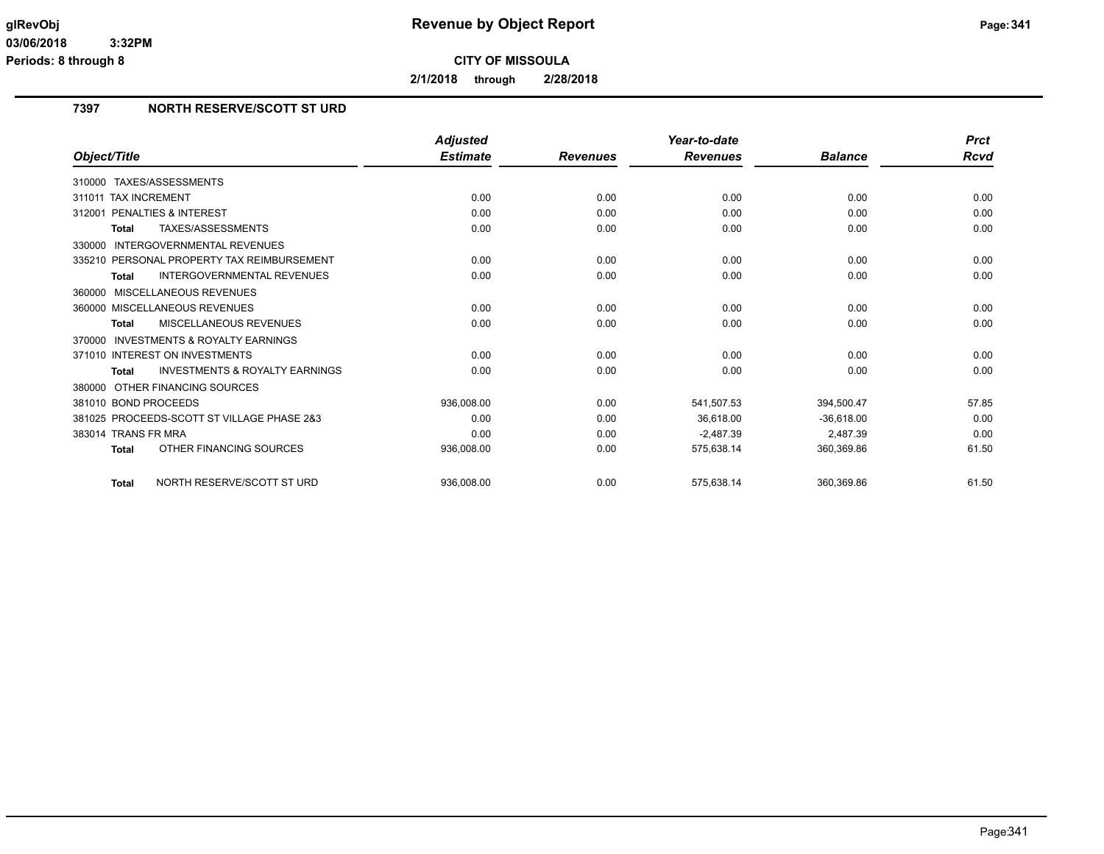**2/1/2018 through 2/28/2018**

# **7397 NORTH RESERVE/SCOTT ST URD**

|                                                           | <b>Adjusted</b> |                 | Year-to-date    |                | <b>Prct</b> |
|-----------------------------------------------------------|-----------------|-----------------|-----------------|----------------|-------------|
| Object/Title                                              | <b>Estimate</b> | <b>Revenues</b> | <b>Revenues</b> | <b>Balance</b> | <b>Rcvd</b> |
| TAXES/ASSESSMENTS<br>310000                               |                 |                 |                 |                |             |
| <b>TAX INCREMENT</b><br>311011                            | 0.00            | 0.00            | 0.00            | 0.00           | 0.00        |
| 312001 PENALTIES & INTEREST                               | 0.00            | 0.00            | 0.00            | 0.00           | 0.00        |
| TAXES/ASSESSMENTS<br><b>Total</b>                         | 0.00            | 0.00            | 0.00            | 0.00           | 0.00        |
| <b>INTERGOVERNMENTAL REVENUES</b><br>330000               |                 |                 |                 |                |             |
| 335210 PERSONAL PROPERTY TAX REIMBURSEMENT                | 0.00            | 0.00            | 0.00            | 0.00           | 0.00        |
| <b>INTERGOVERNMENTAL REVENUES</b><br><b>Total</b>         | 0.00            | 0.00            | 0.00            | 0.00           | 0.00        |
| 360000 MISCELLANEOUS REVENUES                             |                 |                 |                 |                |             |
| 360000 MISCELLANEOUS REVENUES                             | 0.00            | 0.00            | 0.00            | 0.00           | 0.00        |
| <b>MISCELLANEOUS REVENUES</b><br><b>Total</b>             | 0.00            | 0.00            | 0.00            | 0.00           | 0.00        |
| <b>INVESTMENTS &amp; ROYALTY EARNINGS</b><br>370000       |                 |                 |                 |                |             |
| 371010 INTEREST ON INVESTMENTS                            | 0.00            | 0.00            | 0.00            | 0.00           | 0.00        |
| <b>INVESTMENTS &amp; ROYALTY EARNINGS</b><br><b>Total</b> | 0.00            | 0.00            | 0.00            | 0.00           | 0.00        |
| 380000 OTHER FINANCING SOURCES                            |                 |                 |                 |                |             |
| 381010 BOND PROCEEDS                                      | 936,008.00      | 0.00            | 541,507.53      | 394,500.47     | 57.85       |
| 381025 PROCEEDS-SCOTT ST VILLAGE PHASE 2&3                | 0.00            | 0.00            | 36.618.00       | $-36.618.00$   | 0.00        |
| 383014 TRANS FR MRA                                       | 0.00            | 0.00            | $-2,487.39$     | 2,487.39       | 0.00        |
| OTHER FINANCING SOURCES<br><b>Total</b>                   | 936,008.00      | 0.00            | 575,638.14      | 360,369.86     | 61.50       |
| NORTH RESERVE/SCOTT ST URD<br><b>Total</b>                | 936.008.00      | 0.00            | 575.638.14      | 360.369.86     | 61.50       |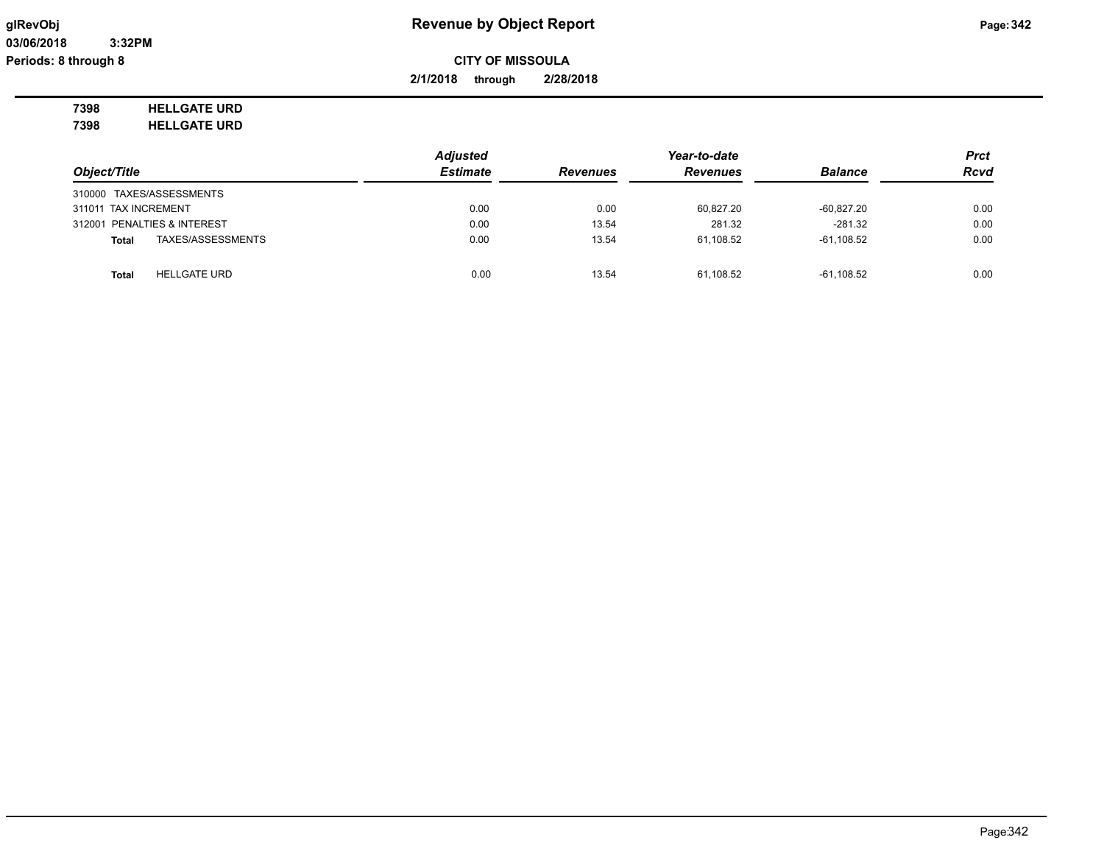**2/1/2018 through 2/28/2018**

**7398 HELLGATE URD 7398 HELLGATE URD**

*Object/Title Adjusted Estimate Revenues Year-to-date Revenues Balance Prct Rcvd* 310000 TAXES/ASSESSMENTS 311011 TAX INCREMENT 0.00 0.00 60,827.20 -60,827.20 0.00 312001 PENALTIES & INTEREST 0.00 13.54 281.32 -281.32 0.00 **Total** TAXES/ASSESSMENTS 0.00 13.54 61,108.52 -61,108.52 0.00 **Total** <code>HELLGATE URD</code> 13.54 61,108.52 61,108.52 61,108.52 61,108.52 61,108.52 61,108.52 61,108.52 61,108.52 61,108.52 61,108.52 61,108.52 6.00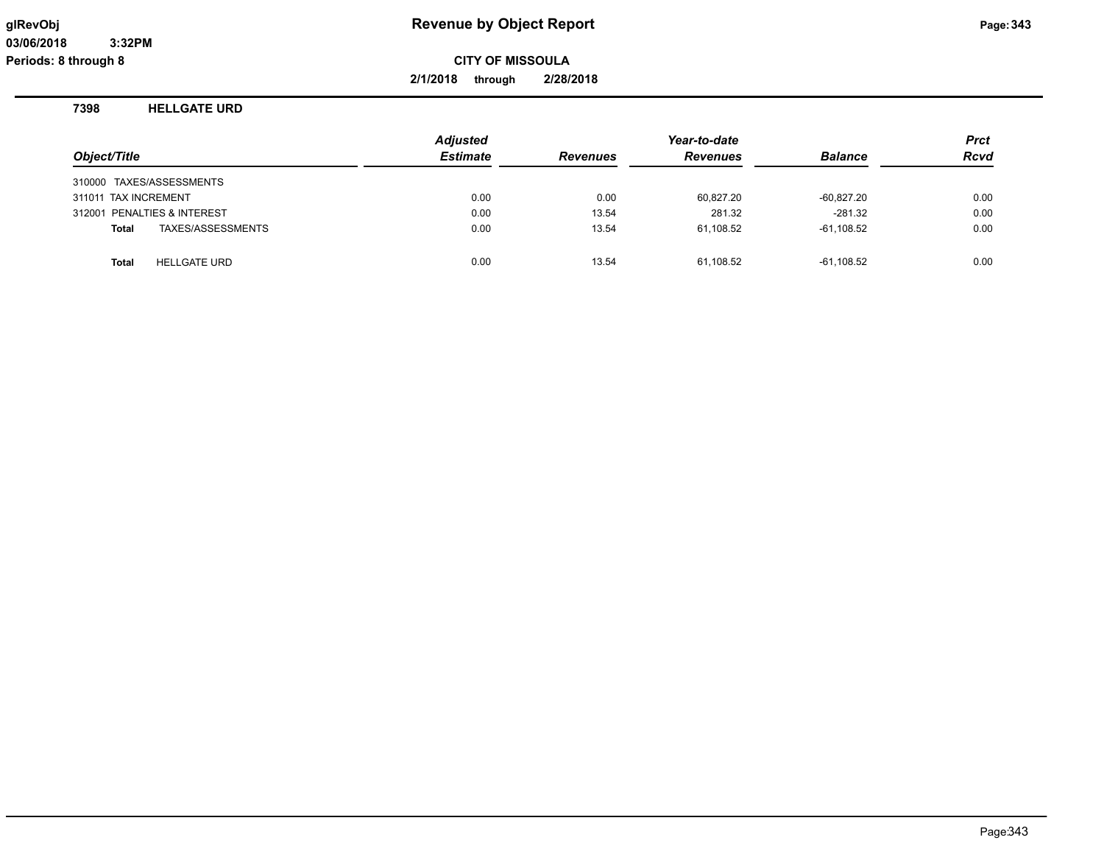**2/1/2018 through 2/28/2018**

### **7398 HELLGATE URD**

| Object/Title                        | <b>Adjusted</b><br><b>Estimate</b> | <b>Revenues</b> | Year-to-date<br><b>Revenues</b> | <b>Balance</b> | <b>Prct</b><br><b>Rcvd</b> |
|-------------------------------------|------------------------------------|-----------------|---------------------------------|----------------|----------------------------|
| 310000 TAXES/ASSESSMENTS            |                                    |                 |                                 |                |                            |
| 311011 TAX INCREMENT                | 0.00                               | 0.00            | 60,827.20                       | $-60,827.20$   | 0.00                       |
| 312001 PENALTIES & INTEREST         | 0.00                               | 13.54           | 281.32                          | $-281.32$      | 0.00                       |
| TAXES/ASSESSMENTS<br><b>Total</b>   | 0.00                               | 13.54           | 61,108.52                       | $-61,108.52$   | 0.00                       |
| <b>HELLGATE URD</b><br><b>Total</b> | 0.00                               | 13.54           | 61,108.52                       | $-61,108.52$   | 0.00                       |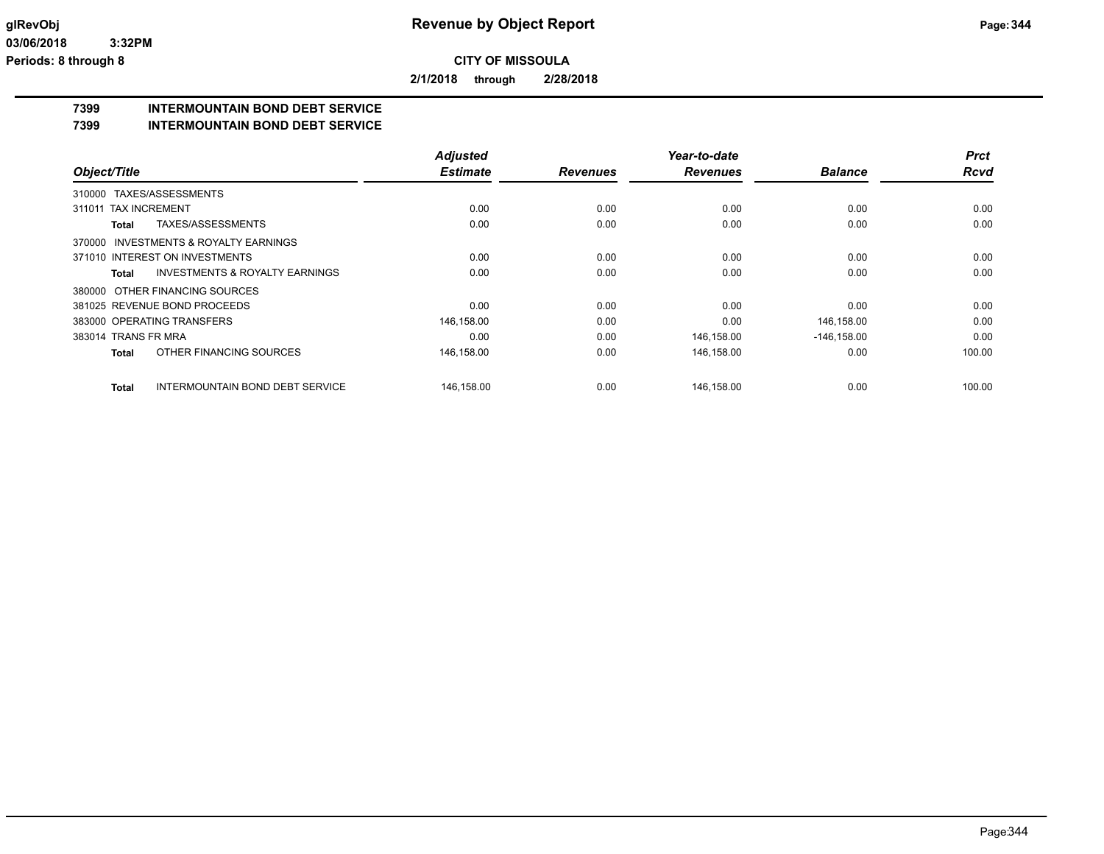**2/1/2018 through 2/28/2018**

# **7399 INTERMOUNTAIN BOND DEBT SERVICE**

#### **7399 INTERMOUNTAIN BOND DEBT SERVICE**

|                                |                                           | <b>Adjusted</b> |                 | Year-to-date    |                | <b>Prct</b> |
|--------------------------------|-------------------------------------------|-----------------|-----------------|-----------------|----------------|-------------|
| Object/Title                   |                                           | <b>Estimate</b> | <b>Revenues</b> | <b>Revenues</b> | <b>Balance</b> | <b>Rcvd</b> |
| TAXES/ASSESSMENTS<br>310000    |                                           |                 |                 |                 |                |             |
| <b>TAX INCREMENT</b><br>311011 |                                           | 0.00            | 0.00            | 0.00            | 0.00           | 0.00        |
| Total                          | TAXES/ASSESSMENTS                         | 0.00            | 0.00            | 0.00            | 0.00           | 0.00        |
| 370000                         | INVESTMENTS & ROYALTY EARNINGS            |                 |                 |                 |                |             |
| 371010 INTEREST ON INVESTMENTS |                                           | 0.00            | 0.00            | 0.00            | 0.00           | 0.00        |
| Total                          | <b>INVESTMENTS &amp; ROYALTY EARNINGS</b> | 0.00            | 0.00            | 0.00            | 0.00           | 0.00        |
| 380000 OTHER FINANCING SOURCES |                                           |                 |                 |                 |                |             |
| 381025 REVENUE BOND PROCEEDS   |                                           | 0.00            | 0.00            | 0.00            | 0.00           | 0.00        |
| 383000 OPERATING TRANSFERS     |                                           | 146,158.00      | 0.00            | 0.00            | 146,158.00     | 0.00        |
| 383014 TRANS FR MRA            |                                           | 0.00            | 0.00            | 146,158.00      | $-146, 158.00$ | 0.00        |
| <b>Total</b>                   | OTHER FINANCING SOURCES                   | 146,158.00      | 0.00            | 146,158.00      | 0.00           | 100.00      |
| <b>Total</b>                   | <b>INTERMOUNTAIN BOND DEBT SERVICE</b>    | 146,158.00      | 0.00            | 146,158.00      | 0.00           | 100.00      |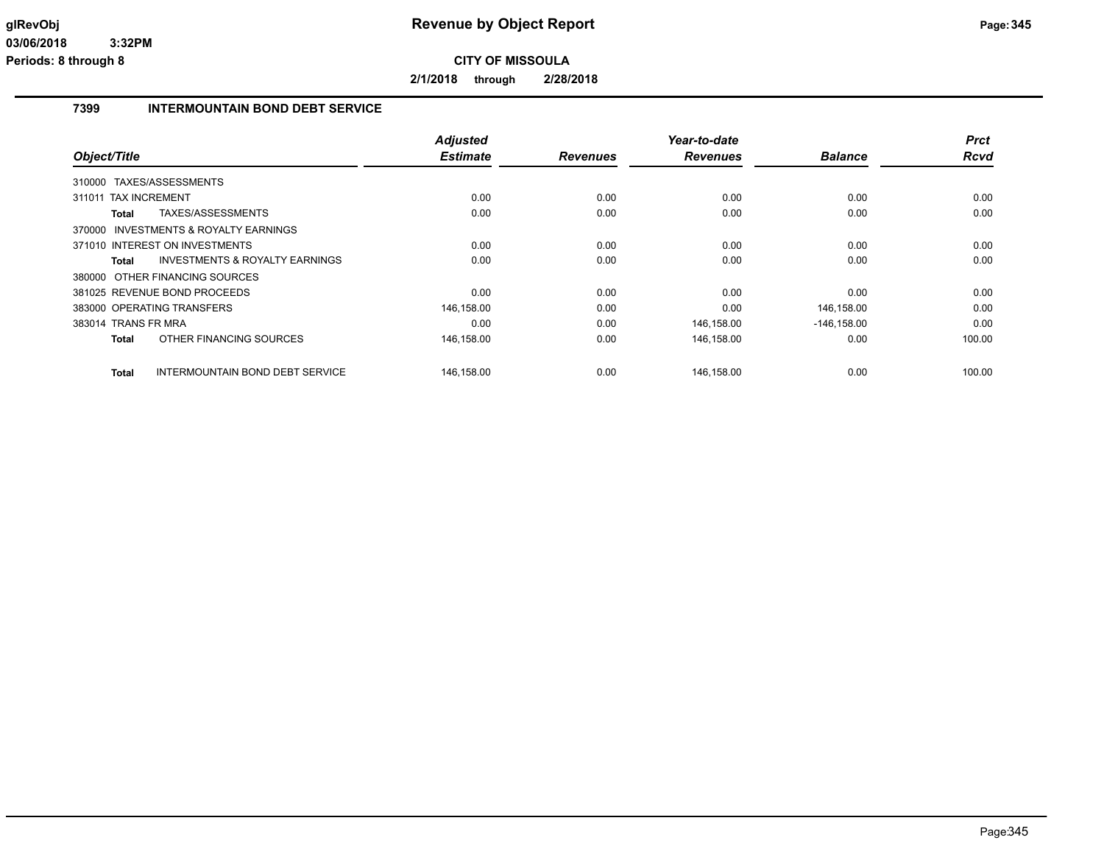**2/1/2018 through 2/28/2018**

## **7399 INTERMOUNTAIN BOND DEBT SERVICE**

|                                                    | <b>Adjusted</b> |                 | Year-to-date    |                | <b>Prct</b> |
|----------------------------------------------------|-----------------|-----------------|-----------------|----------------|-------------|
| Object/Title                                       | <b>Estimate</b> | <b>Revenues</b> | <b>Revenues</b> | <b>Balance</b> | <b>Rcvd</b> |
| 310000 TAXES/ASSESSMENTS                           |                 |                 |                 |                |             |
| <b>TAX INCREMENT</b><br>311011                     | 0.00            | 0.00            | 0.00            | 0.00           | 0.00        |
| TAXES/ASSESSMENTS<br><b>Total</b>                  | 0.00            | 0.00            | 0.00            | 0.00           | 0.00        |
| 370000 INVESTMENTS & ROYALTY EARNINGS              |                 |                 |                 |                |             |
| 371010 INTEREST ON INVESTMENTS                     | 0.00            | 0.00            | 0.00            | 0.00           | 0.00        |
| <b>INVESTMENTS &amp; ROYALTY EARNINGS</b><br>Total | 0.00            | 0.00            | 0.00            | 0.00           | 0.00        |
| 380000 OTHER FINANCING SOURCES                     |                 |                 |                 |                |             |
| 381025 REVENUE BOND PROCEEDS                       | 0.00            | 0.00            | 0.00            | 0.00           | 0.00        |
| 383000 OPERATING TRANSFERS                         | 146,158.00      | 0.00            | 0.00            | 146,158.00     | 0.00        |
| 383014 TRANS FR MRA                                | 0.00            | 0.00            | 146,158.00      | $-146, 158.00$ | 0.00        |
| OTHER FINANCING SOURCES<br><b>Total</b>            | 146,158.00      | 0.00            | 146,158.00      | 0.00           | 100.00      |
| INTERMOUNTAIN BOND DEBT SERVICE<br><b>Total</b>    | 146,158.00      | 0.00            | 146,158.00      | 0.00           | 100.00      |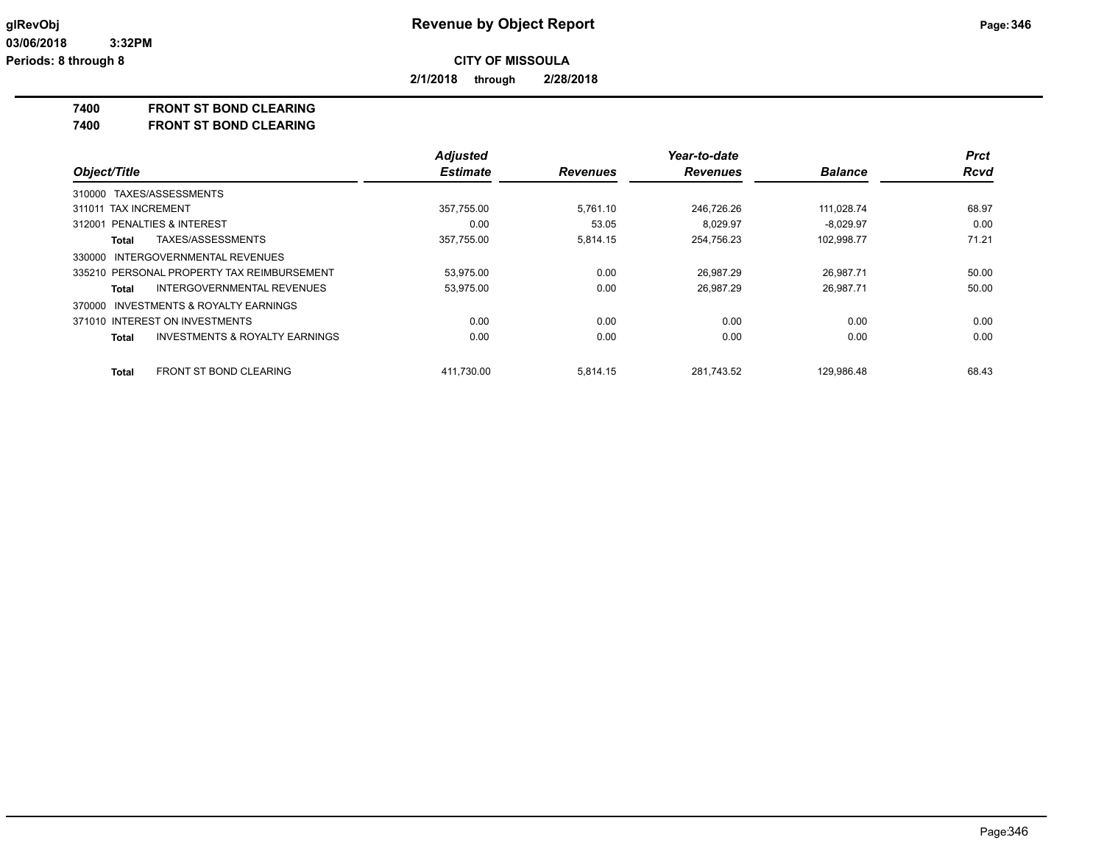**2/1/2018 through 2/28/2018**

**7400 FRONT ST BOND CLEARING**

**7400 FRONT ST BOND CLEARING**

|                                                           | <b>Adjusted</b> |                 | Year-to-date    |                | <b>Prct</b> |
|-----------------------------------------------------------|-----------------|-----------------|-----------------|----------------|-------------|
| Object/Title                                              | <b>Estimate</b> | <b>Revenues</b> | <b>Revenues</b> | <b>Balance</b> | <b>Rcvd</b> |
| 310000 TAXES/ASSESSMENTS                                  |                 |                 |                 |                |             |
| 311011 TAX INCREMENT                                      | 357,755.00      | 5.761.10        | 246,726.26      | 111.028.74     | 68.97       |
| 312001 PENALTIES & INTEREST                               | 0.00            | 53.05           | 8.029.97        | $-8.029.97$    | 0.00        |
| TAXES/ASSESSMENTS<br>Total                                | 357,755.00      | 5,814.15        | 254,756.23      | 102,998.77     | 71.21       |
| 330000 INTERGOVERNMENTAL REVENUES                         |                 |                 |                 |                |             |
| 335210 PERSONAL PROPERTY TAX REIMBURSEMENT                | 53,975.00       | 0.00            | 26.987.29       | 26.987.71      | 50.00       |
| INTERGOVERNMENTAL REVENUES<br>Total                       | 53,975.00       | 0.00            | 26,987.29       | 26,987.71      | 50.00       |
| INVESTMENTS & ROYALTY EARNINGS<br>370000                  |                 |                 |                 |                |             |
| 371010 INTEREST ON INVESTMENTS                            | 0.00            | 0.00            | 0.00            | 0.00           | 0.00        |
| <b>INVESTMENTS &amp; ROYALTY EARNINGS</b><br><b>Total</b> | 0.00            | 0.00            | 0.00            | 0.00           | 0.00        |
| <b>FRONT ST BOND CLEARING</b><br>Total                    | 411.730.00      | 5,814.15        | 281.743.52      | 129.986.48     | 68.43       |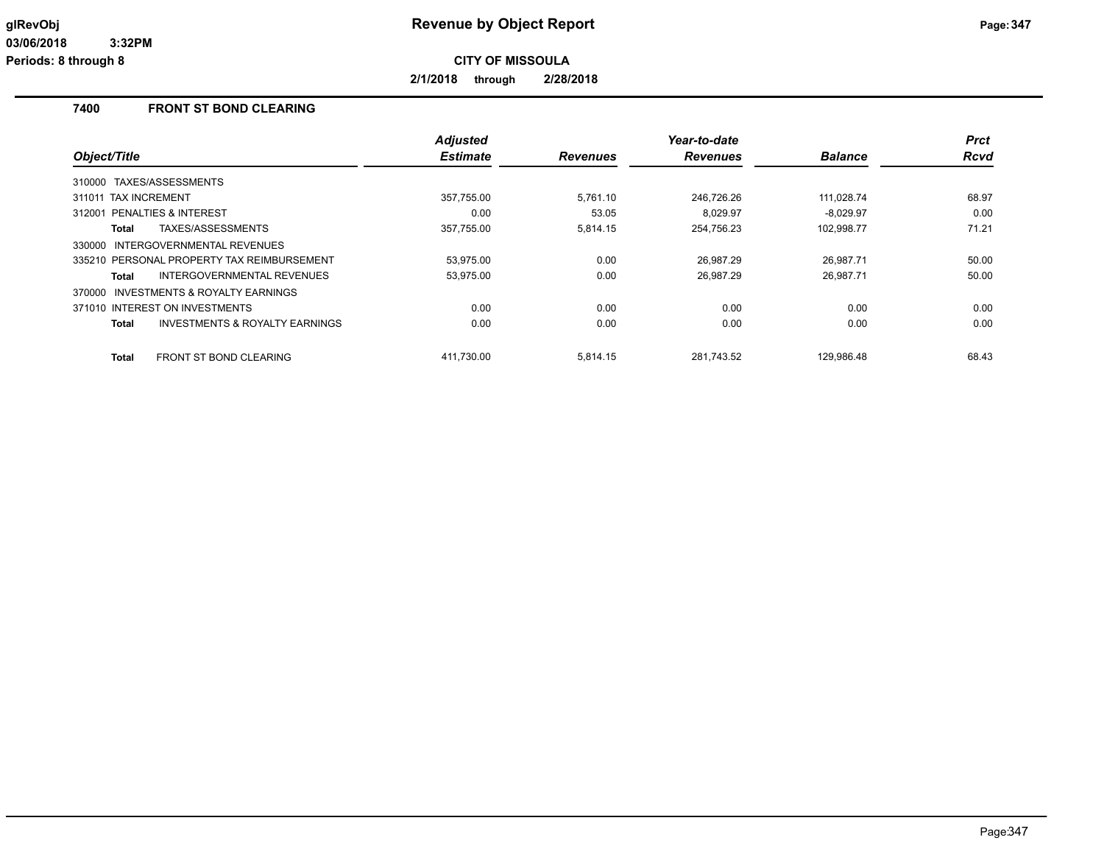**2/1/2018 through 2/28/2018**

## **7400 FRONT ST BOND CLEARING**

|                                                           | <b>Adjusted</b> |                 | Year-to-date    |                | <b>Prct</b> |
|-----------------------------------------------------------|-----------------|-----------------|-----------------|----------------|-------------|
| Object/Title                                              | <b>Estimate</b> | <b>Revenues</b> | <b>Revenues</b> | <b>Balance</b> | Rcvd        |
| TAXES/ASSESSMENTS<br>310000                               |                 |                 |                 |                |             |
| 311011 TAX INCREMENT                                      | 357,755.00      | 5,761.10        | 246,726.26      | 111,028.74     | 68.97       |
| 312001 PENALTIES & INTEREST                               | 0.00            | 53.05           | 8.029.97        | $-8.029.97$    | 0.00        |
| TAXES/ASSESSMENTS<br><b>Total</b>                         | 357,755.00      | 5.814.15        | 254,756.23      | 102,998.77     | 71.21       |
| <b>INTERGOVERNMENTAL REVENUES</b><br>330000               |                 |                 |                 |                |             |
| 335210 PERSONAL PROPERTY TAX REIMBURSEMENT                | 53,975.00       | 0.00            | 26,987.29       | 26,987.71      | 50.00       |
| INTERGOVERNMENTAL REVENUES<br><b>Total</b>                | 53,975.00       | 0.00            | 26.987.29       | 26.987.71      | 50.00       |
| INVESTMENTS & ROYALTY EARNINGS<br>370000                  |                 |                 |                 |                |             |
| 371010 INTEREST ON INVESTMENTS                            | 0.00            | 0.00            | 0.00            | 0.00           | 0.00        |
| <b>INVESTMENTS &amp; ROYALTY EARNINGS</b><br><b>Total</b> | 0.00            | 0.00            | 0.00            | 0.00           | 0.00        |
| <b>FRONT ST BOND CLEARING</b><br><b>Total</b>             | 411.730.00      | 5.814.15        | 281.743.52      | 129.986.48     | 68.43       |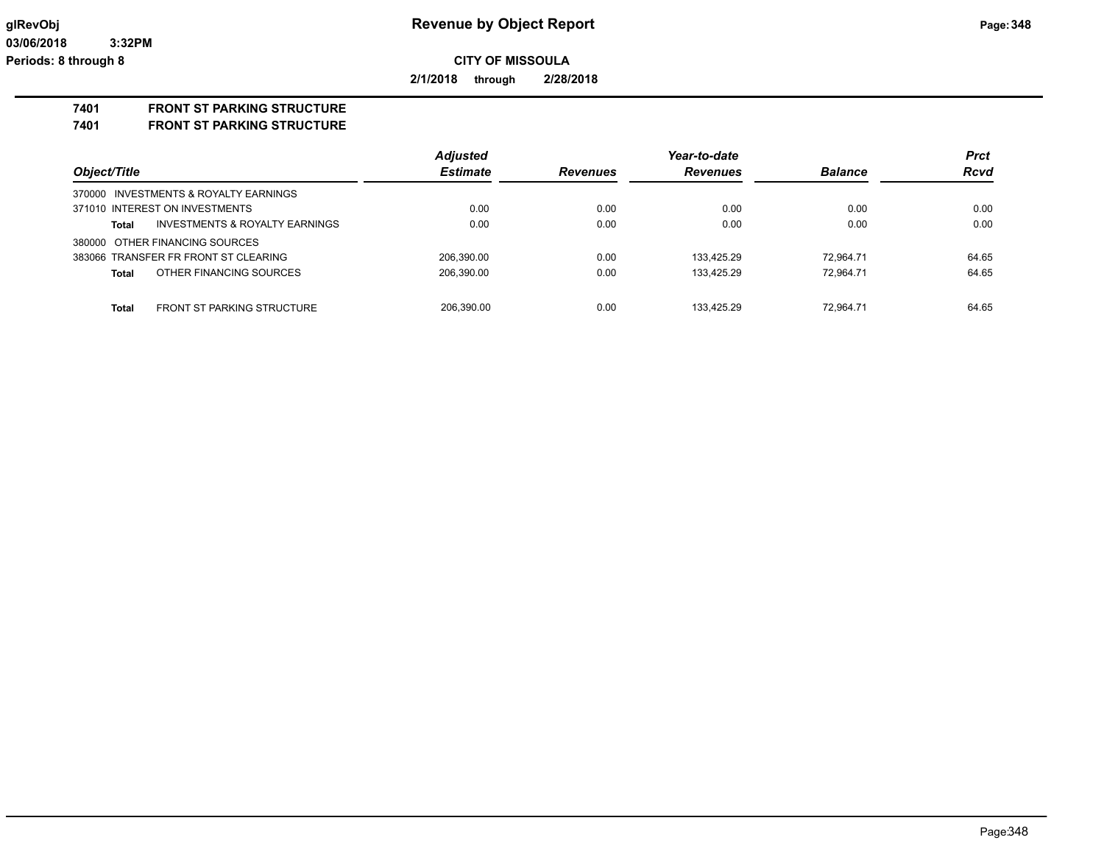**2/1/2018 through 2/28/2018**

### **7401 FRONT ST PARKING STRUCTURE**

**7401 FRONT ST PARKING STRUCTURE**

|                                                   | <b>Adjusted</b> |                 | Year-to-date    |                | <b>Prct</b> |
|---------------------------------------------------|-----------------|-----------------|-----------------|----------------|-------------|
| Object/Title                                      | <b>Estimate</b> | <b>Revenues</b> | <b>Revenues</b> | <b>Balance</b> | <b>Rcvd</b> |
| 370000 INVESTMENTS & ROYALTY EARNINGS             |                 |                 |                 |                |             |
| 371010 INTEREST ON INVESTMENTS                    | 0.00            | 0.00            | 0.00            | 0.00           | 0.00        |
| INVESTMENTS & ROYALTY EARNINGS<br><b>Total</b>    | 0.00            | 0.00            | 0.00            | 0.00           | 0.00        |
| 380000 OTHER FINANCING SOURCES                    |                 |                 |                 |                |             |
| 383066 TRANSFER FR FRONT ST CLEARING              | 206.390.00      | 0.00            | 133.425.29      | 72.964.71      | 64.65       |
| OTHER FINANCING SOURCES<br><b>Total</b>           | 206,390.00      | 0.00            | 133.425.29      | 72.964.71      | 64.65       |
| <b>Total</b><br><b>FRONT ST PARKING STRUCTURE</b> | 206.390.00      | 0.00            | 133.425.29      | 72.964.71      | 64.65       |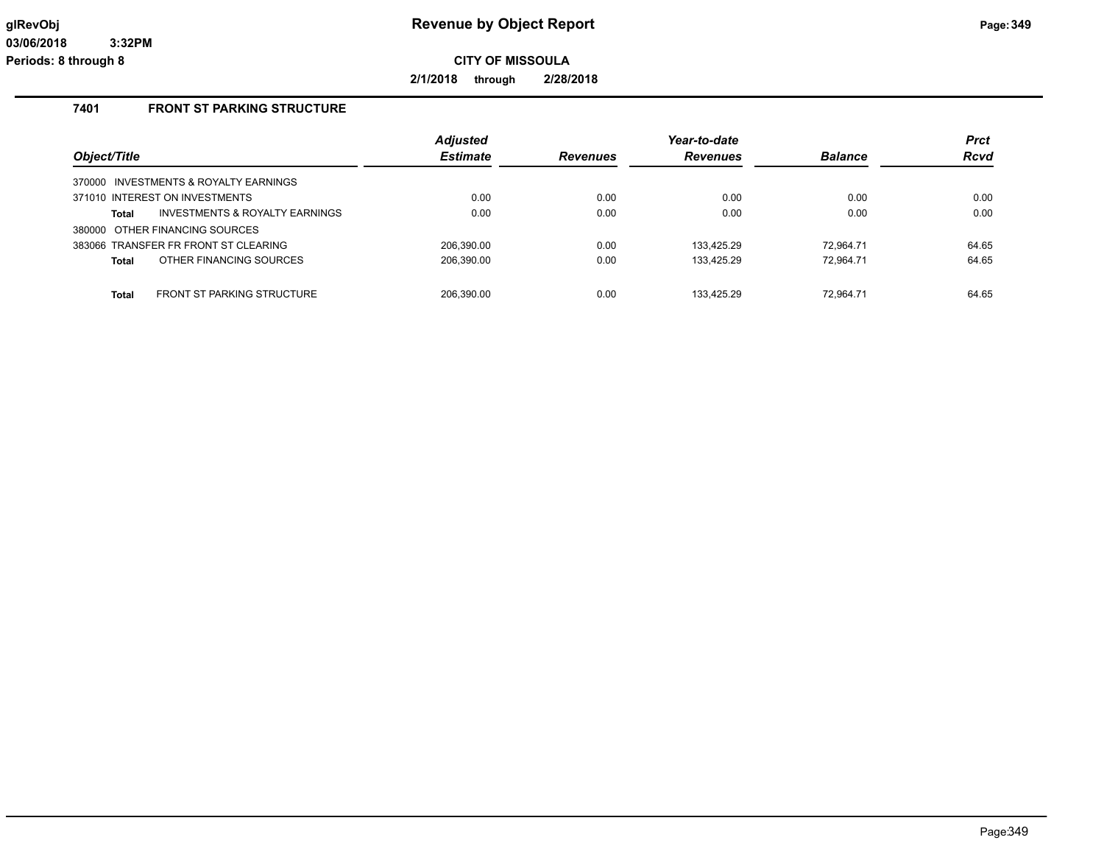**2/1/2018 through 2/28/2018**

## **7401 FRONT ST PARKING STRUCTURE**

| Object/Title                                       | <b>Adjusted</b><br><b>Estimate</b> | <b>Revenues</b> | Year-to-date<br><b>Revenues</b> | <b>Balance</b> | <b>Prct</b><br>Rcvd |
|----------------------------------------------------|------------------------------------|-----------------|---------------------------------|----------------|---------------------|
| 370000 INVESTMENTS & ROYALTY EARNINGS              |                                    |                 |                                 |                |                     |
| 371010 INTEREST ON INVESTMENTS                     | 0.00                               | 0.00            | 0.00                            | 0.00           | 0.00                |
| <b>INVESTMENTS &amp; ROYALTY EARNINGS</b><br>Total | 0.00                               | 0.00            | 0.00                            | 0.00           | 0.00                |
| 380000 OTHER FINANCING SOURCES                     |                                    |                 |                                 |                |                     |
| 383066 TRANSFER FR FRONT ST CLEARING               | 206.390.00                         | 0.00            | 133.425.29                      | 72.964.71      | 64.65               |
| OTHER FINANCING SOURCES<br><b>Total</b>            | 206,390.00                         | 0.00            | 133,425.29                      | 72.964.71      | 64.65               |
|                                                    |                                    |                 |                                 |                |                     |
| <b>FRONT ST PARKING STRUCTURE</b><br><b>Total</b>  | 206.390.00                         | 0.00            | 133.425.29                      | 72.964.71      | 64.65               |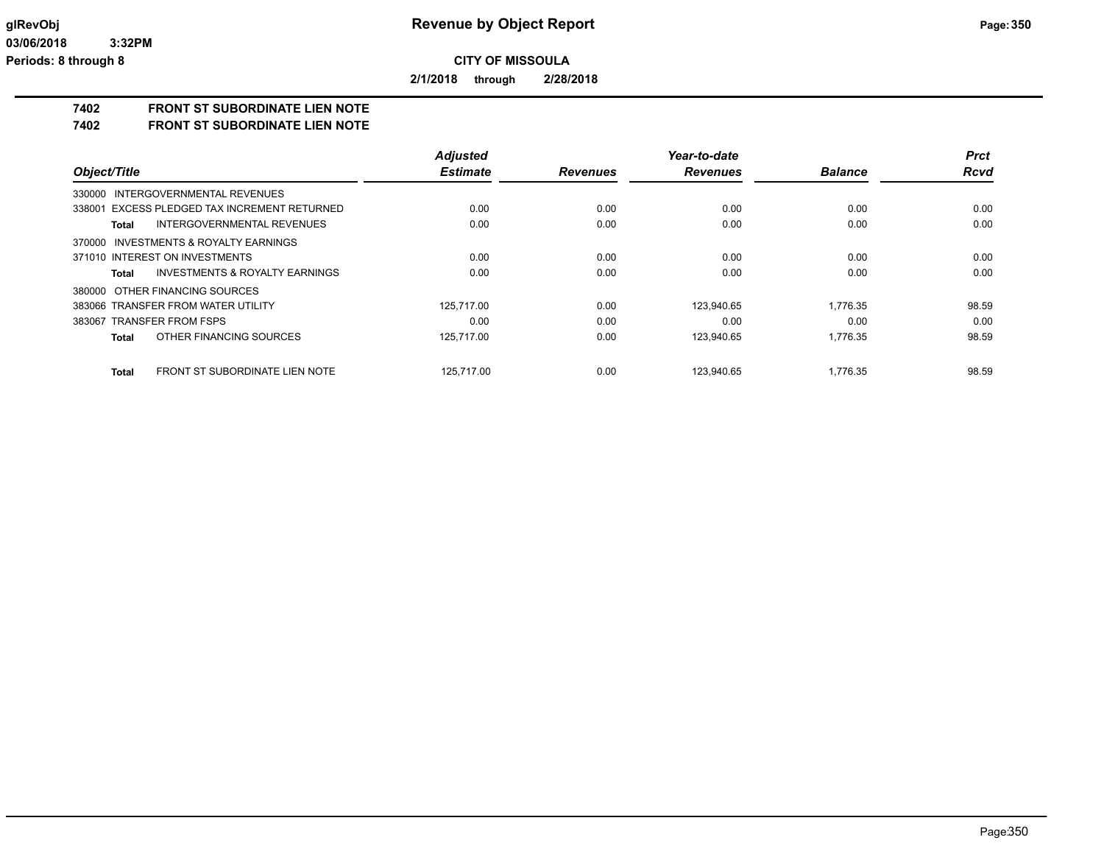**2/1/2018 through 2/28/2018**

# **7402 FRONT ST SUBORDINATE LIEN NOTE**

**7402 FRONT ST SUBORDINATE LIEN NOTE**

|                                                       | <b>Adjusted</b> |                 | Year-to-date    |                | <b>Prct</b> |
|-------------------------------------------------------|-----------------|-----------------|-----------------|----------------|-------------|
| Object/Title                                          | <b>Estimate</b> | <b>Revenues</b> | <b>Revenues</b> | <b>Balance</b> | <b>Rcvd</b> |
| INTERGOVERNMENTAL REVENUES<br>330000                  |                 |                 |                 |                |             |
| 338001 EXCESS PLEDGED TAX INCREMENT RETURNED          | 0.00            | 0.00            | 0.00            | 0.00           | 0.00        |
| INTERGOVERNMENTAL REVENUES<br><b>Total</b>            | 0.00            | 0.00            | 0.00            | 0.00           | 0.00        |
| <b>INVESTMENTS &amp; ROYALTY EARNINGS</b><br>370000   |                 |                 |                 |                |             |
| 371010 INTEREST ON INVESTMENTS                        | 0.00            | 0.00            | 0.00            | 0.00           | 0.00        |
| INVESTMENTS & ROYALTY EARNINGS<br><b>Total</b>        | 0.00            | 0.00            | 0.00            | 0.00           | 0.00        |
| 380000 OTHER FINANCING SOURCES                        |                 |                 |                 |                |             |
| 383066 TRANSFER FROM WATER UTILITY                    | 125.717.00      | 0.00            | 123.940.65      | 1.776.35       | 98.59       |
| 383067 TRANSFER FROM FSPS                             | 0.00            | 0.00            | 0.00            | 0.00           | 0.00        |
| OTHER FINANCING SOURCES<br><b>Total</b>               | 125,717.00      | 0.00            | 123,940.65      | 1.776.35       | 98.59       |
| <b>FRONT ST SUBORDINATE LIEN NOTE</b><br><b>Total</b> | 125.717.00      | 0.00            | 123.940.65      | 1.776.35       | 98.59       |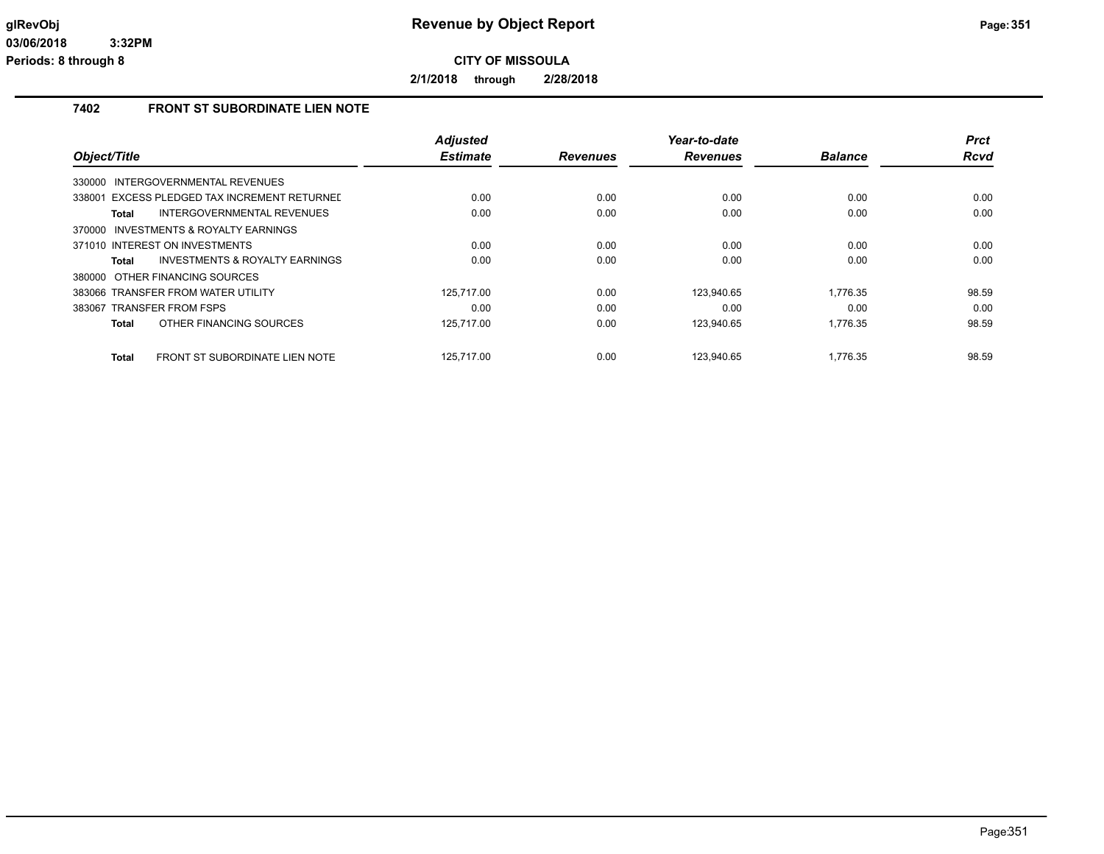**2/1/2018 through 2/28/2018**

## **7402 FRONT ST SUBORDINATE LIEN NOTE**

|                                                     | <b>Adjusted</b> |                 | Year-to-date    |                | <b>Prct</b> |
|-----------------------------------------------------|-----------------|-----------------|-----------------|----------------|-------------|
| Object/Title                                        | <b>Estimate</b> | <b>Revenues</b> | <b>Revenues</b> | <b>Balance</b> | Rcvd        |
| INTERGOVERNMENTAL REVENUES<br>330000                |                 |                 |                 |                |             |
| 338001 EXCESS PLEDGED TAX INCREMENT RETURNED        | 0.00            | 0.00            | 0.00            | 0.00           | 0.00        |
| <b>INTERGOVERNMENTAL REVENUES</b><br>Total          | 0.00            | 0.00            | 0.00            | 0.00           | 0.00        |
| <b>INVESTMENTS &amp; ROYALTY EARNINGS</b><br>370000 |                 |                 |                 |                |             |
| 371010 INTEREST ON INVESTMENTS                      | 0.00            | 0.00            | 0.00            | 0.00           | 0.00        |
| <b>INVESTMENTS &amp; ROYALTY EARNINGS</b><br>Total  | 0.00            | 0.00            | 0.00            | 0.00           | 0.00        |
| 380000 OTHER FINANCING SOURCES                      |                 |                 |                 |                |             |
| 383066 TRANSFER FROM WATER UTILITY                  | 125.717.00      | 0.00            | 123.940.65      | 1.776.35       | 98.59       |
| 383067 TRANSFER FROM FSPS                           | 0.00            | 0.00            | 0.00            | 0.00           | 0.00        |
| OTHER FINANCING SOURCES<br>Total                    | 125.717.00      | 0.00            | 123,940.65      | 1,776.35       | 98.59       |
| FRONT ST SUBORDINATE LIEN NOTE<br>Total             | 125.717.00      | 0.00            | 123.940.65      | 1.776.35       | 98.59       |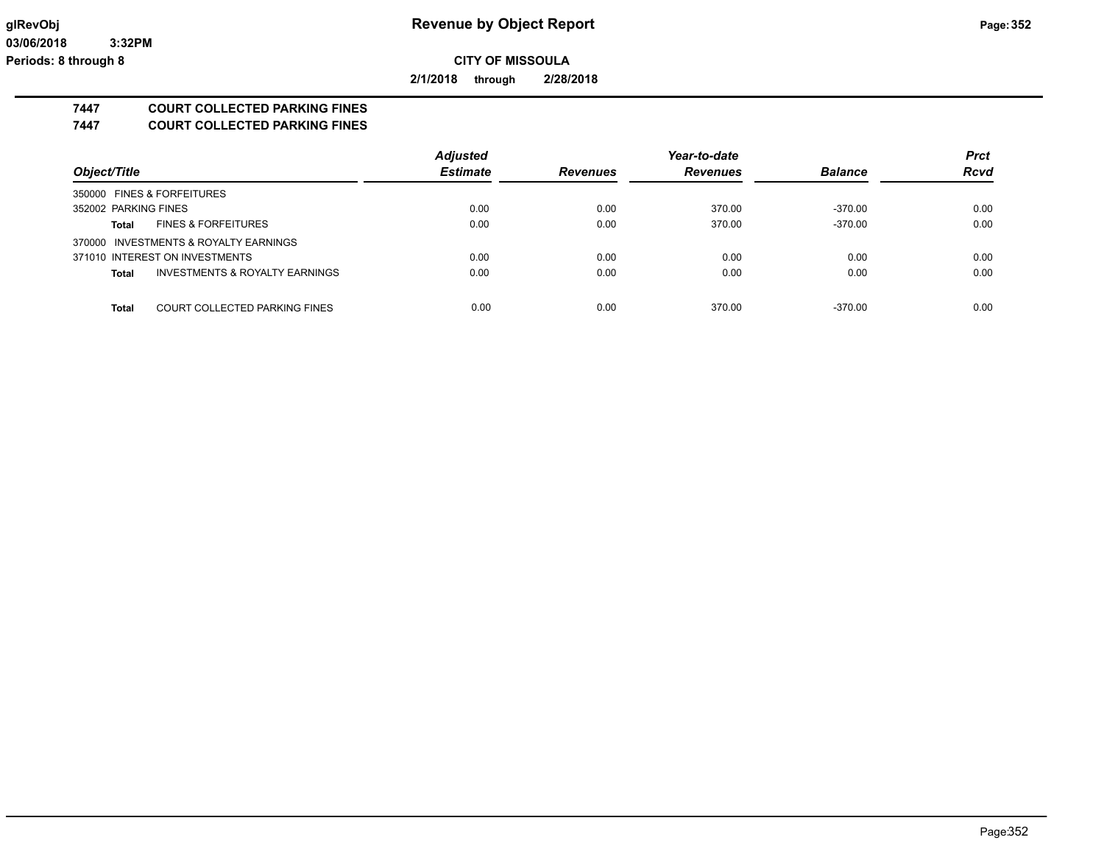**2/1/2018 through 2/28/2018**

# **7447 COURT COLLECTED PARKING FINES**

**7447 COURT COLLECTED PARKING FINES**

|                                                | <b>Adjusted</b> |                 | Year-to-date    |                | <b>Prct</b> |
|------------------------------------------------|-----------------|-----------------|-----------------|----------------|-------------|
| Object/Title                                   | <b>Estimate</b> | <b>Revenues</b> | <b>Revenues</b> | <b>Balance</b> | <b>Rcvd</b> |
| 350000 FINES & FORFEITURES                     |                 |                 |                 |                |             |
| 352002 PARKING FINES                           | 0.00            | 0.00            | 370.00          | $-370.00$      | 0.00        |
| <b>FINES &amp; FORFEITURES</b><br>Total        | 0.00            | 0.00            | 370.00          | $-370.00$      | 0.00        |
| 370000 INVESTMENTS & ROYALTY EARNINGS          |                 |                 |                 |                |             |
| 371010 INTEREST ON INVESTMENTS                 | 0.00            | 0.00            | 0.00            | 0.00           | 0.00        |
| INVESTMENTS & ROYALTY EARNINGS<br><b>Total</b> | 0.00            | 0.00            | 0.00            | 0.00           | 0.00        |
|                                                |                 |                 |                 |                |             |
| COURT COLLECTED PARKING FINES<br><b>Total</b>  | 0.00            | 0.00            | 370.00          | $-370.00$      | 0.00        |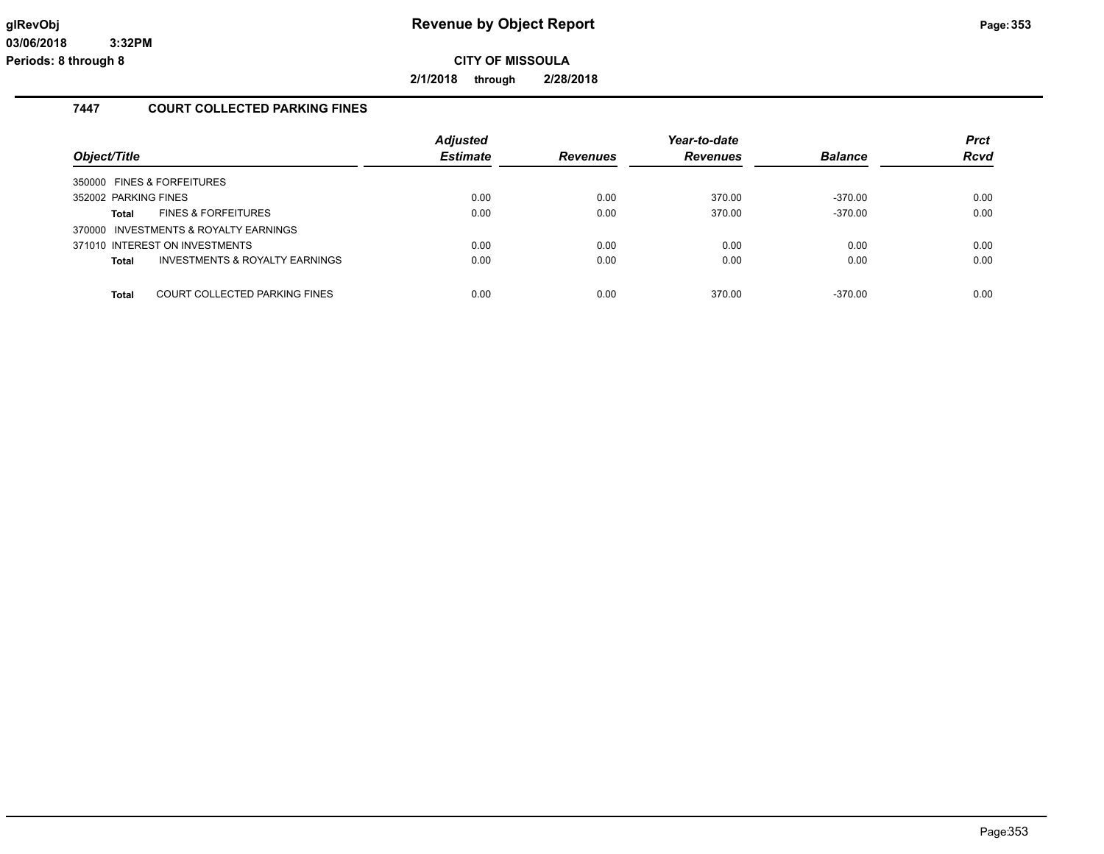**2/1/2018 through 2/28/2018**

## **7447 COURT COLLECTED PARKING FINES**

| Object/Title                                              | <b>Adjusted</b><br><b>Estimate</b> | <b>Revenues</b> | Year-to-date<br>Revenues | <b>Balance</b> | <b>Prct</b><br><b>Rcvd</b> |
|-----------------------------------------------------------|------------------------------------|-----------------|--------------------------|----------------|----------------------------|
| 350000 FINES & FORFEITURES                                |                                    |                 |                          |                |                            |
| 352002 PARKING FINES                                      | 0.00                               | 0.00            | 370.00                   | $-370.00$      | 0.00                       |
| <b>FINES &amp; FORFEITURES</b><br>Total                   | 0.00                               | 0.00            | 370.00                   | $-370.00$      | 0.00                       |
| 370000 INVESTMENTS & ROYALTY EARNINGS                     |                                    |                 |                          |                |                            |
| 371010 INTEREST ON INVESTMENTS                            | 0.00                               | 0.00            | 0.00                     | 0.00           | 0.00                       |
| <b>INVESTMENTS &amp; ROYALTY EARNINGS</b><br><b>Total</b> | 0.00                               | 0.00            | 0.00                     | 0.00           | 0.00                       |
|                                                           |                                    |                 |                          |                |                            |
| COURT COLLECTED PARKING FINES<br><b>Total</b>             | 0.00                               | 0.00            | 370.00                   | $-370.00$      | 0.00                       |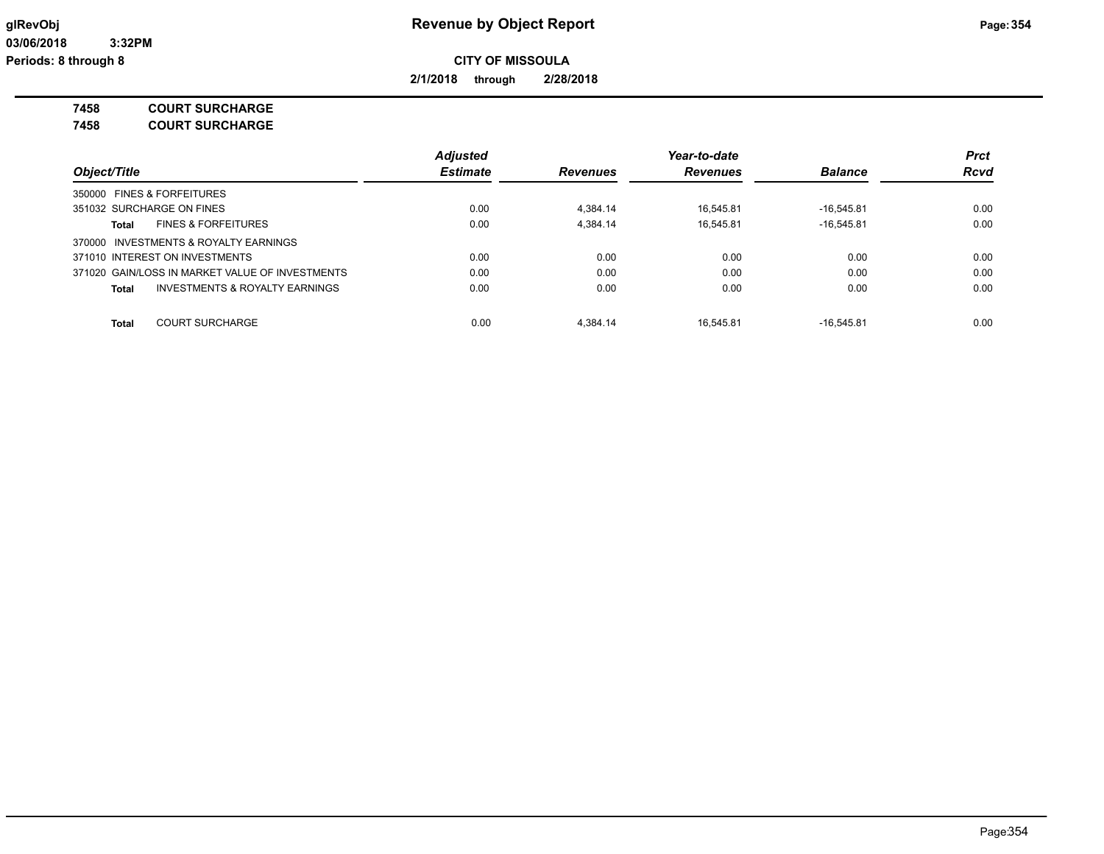**2/1/2018 through 2/28/2018**

**7458 COURT SURCHARGE**

**7458 COURT SURCHARGE**

|                                                                         | <b>Adjusted</b>                                       |          | Year-to-date |                |             |  |
|-------------------------------------------------------------------------|-------------------------------------------------------|----------|--------------|----------------|-------------|--|
| Object/Title<br>350000 FINES & FORFEITURES<br>351032 SURCHARGE ON FINES | <b>Estimate</b><br><b>Revenues</b><br><b>Revenues</b> |          |              | <b>Balance</b> | <b>Rcvd</b> |  |
|                                                                         |                                                       |          |              |                |             |  |
|                                                                         | 0.00                                                  | 4.384.14 | 16.545.81    | $-16.545.81$   | 0.00        |  |
| <b>FINES &amp; FORFEITURES</b><br>Total                                 | 0.00                                                  | 4.384.14 | 16.545.81    | $-16.545.81$   | 0.00        |  |
| 370000 INVESTMENTS & ROYALTY EARNINGS                                   |                                                       |          |              |                |             |  |
| 371010 INTEREST ON INVESTMENTS                                          | 0.00                                                  | 0.00     | 0.00         | 0.00           | 0.00        |  |
| 371020 GAIN/LOSS IN MARKET VALUE OF INVESTMENTS                         | 0.00                                                  | 0.00     | 0.00         | 0.00           | 0.00        |  |
| INVESTMENTS & ROYALTY EARNINGS<br>Total                                 | 0.00                                                  | 0.00     | 0.00         | 0.00           | 0.00        |  |
| <b>COURT SURCHARGE</b><br><b>Total</b>                                  | 0.00                                                  | 4.384.14 | 16.545.81    | $-16.545.81$   | 0.00        |  |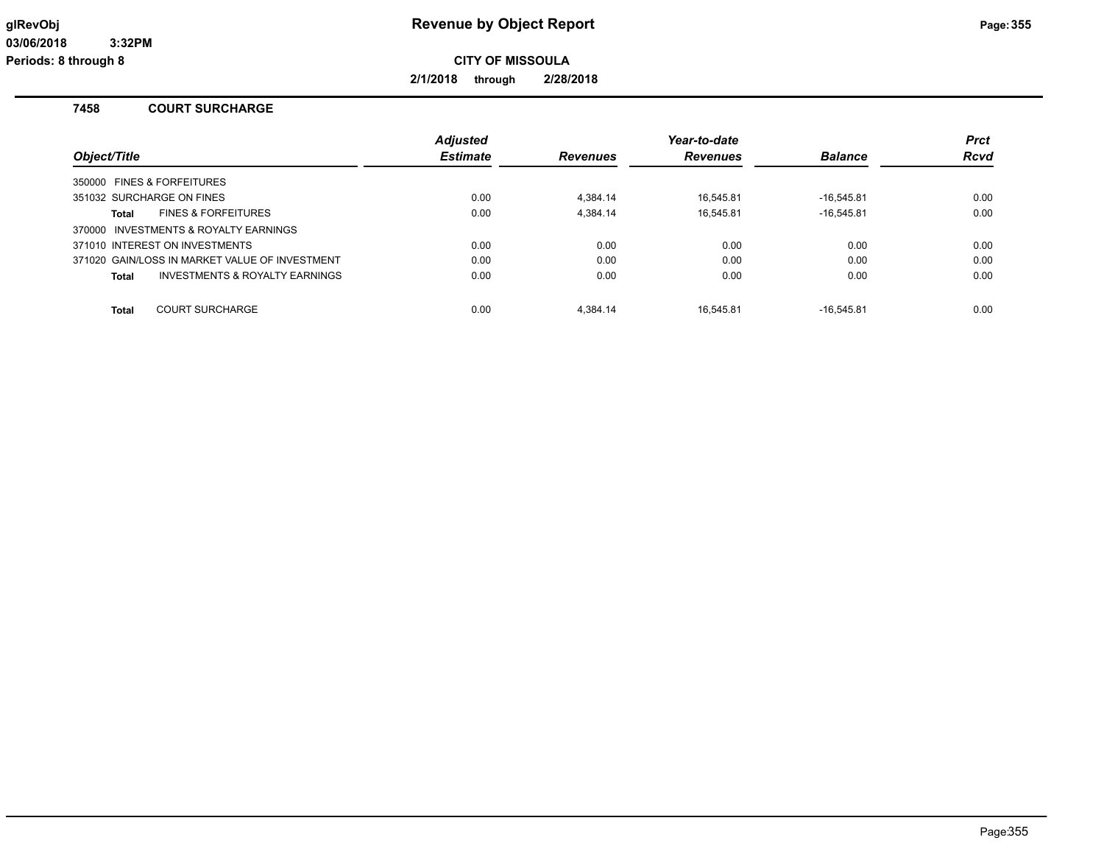# **glRevObj Revenue by Object Report Page:355**

**CITY OF MISSOULA**

**2/1/2018 through 2/28/2018**

### **7458 COURT SURCHARGE**

| Object/Title                                              | <b>Adjusted</b><br><b>Estimate</b> | <b>Revenues</b> | Year-to-date<br><b>Revenues</b> | <b>Balance</b> | <b>Prct</b><br><b>Rcvd</b> |
|-----------------------------------------------------------|------------------------------------|-----------------|---------------------------------|----------------|----------------------------|
| 350000 FINES & FORFEITURES                                |                                    |                 |                                 |                |                            |
| 351032 SURCHARGE ON FINES                                 | 0.00                               | 4.384.14        | 16.545.81                       | $-16.545.81$   | 0.00                       |
| <b>FINES &amp; FORFEITURES</b><br>Total                   | 0.00                               | 4.384.14        | 16.545.81                       | $-16.545.81$   | 0.00                       |
| 370000 INVESTMENTS & ROYALTY EARNINGS                     |                                    |                 |                                 |                |                            |
| 371010 INTEREST ON INVESTMENTS                            | 0.00                               | 0.00            | 0.00                            | 0.00           | 0.00                       |
| 371020 GAIN/LOSS IN MARKET VALUE OF INVESTMENT            | 0.00                               | 0.00            | 0.00                            | 0.00           | 0.00                       |
| <b>INVESTMENTS &amp; ROYALTY EARNINGS</b><br><b>Total</b> | 0.00                               | 0.00            | 0.00                            | 0.00           | 0.00                       |
| <b>COURT SURCHARGE</b><br><b>Total</b>                    | 0.00                               | 4.384.14        | 16.545.81                       | $-16.545.81$   | 0.00                       |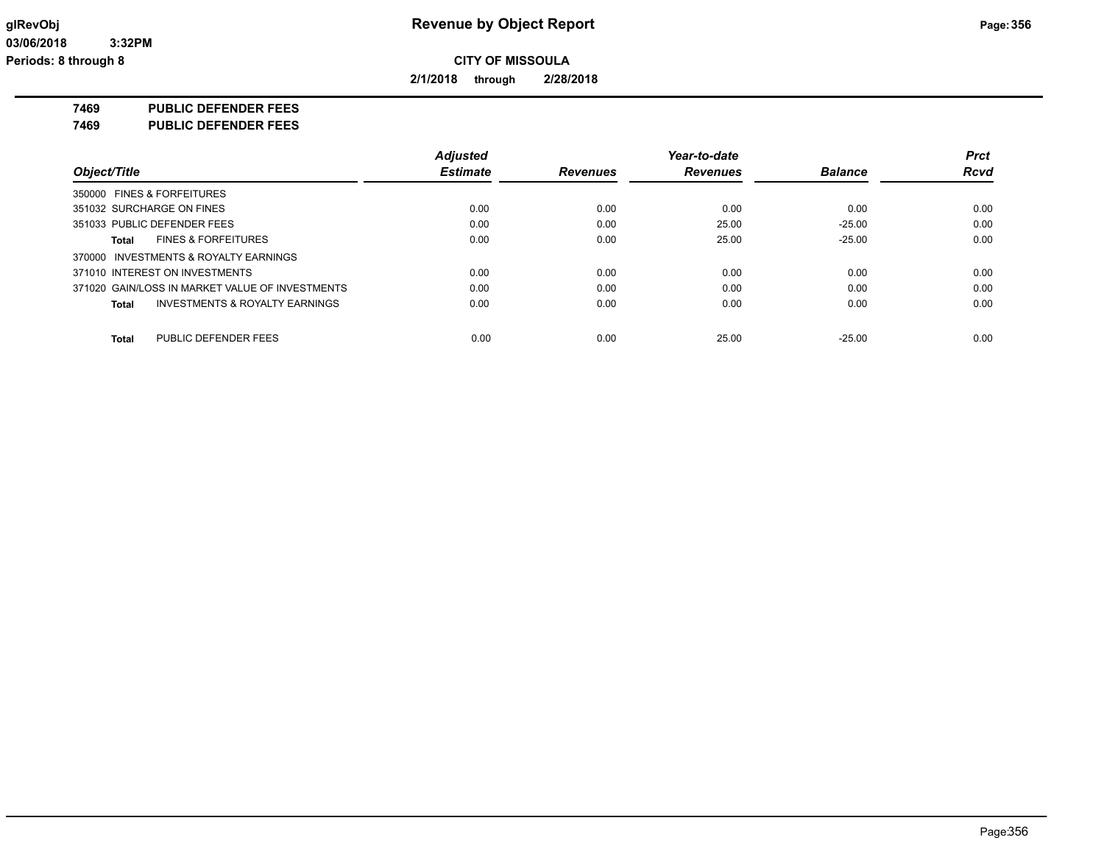**2/1/2018 through 2/28/2018**

**7469 PUBLIC DEFENDER FEES**

**7469 PUBLIC DEFENDER FEES**

|                                                    | <b>Adjusted</b> |                 | Year-to-date    |                | <b>Prct</b> |
|----------------------------------------------------|-----------------|-----------------|-----------------|----------------|-------------|
| Object/Title                                       | Estimate        | <b>Revenues</b> | <b>Revenues</b> | <b>Balance</b> | <b>Rcvd</b> |
| 350000 FINES & FORFEITURES                         |                 |                 |                 |                |             |
| 351032 SURCHARGE ON FINES                          | 0.00            | 0.00            | 0.00            | 0.00           | 0.00        |
| 351033 PUBLIC DEFENDER FEES                        | 0.00            | 0.00            | 25.00           | $-25.00$       | 0.00        |
| <b>FINES &amp; FORFEITURES</b><br>Total            | 0.00            | 0.00            | 25.00           | $-25.00$       | 0.00        |
| 370000 INVESTMENTS & ROYALTY EARNINGS              |                 |                 |                 |                |             |
| 371010 INTEREST ON INVESTMENTS                     | 0.00            | 0.00            | 0.00            | 0.00           | 0.00        |
| 371020 GAIN/LOSS IN MARKET VALUE OF INVESTMENTS    | 0.00            | 0.00            | 0.00            | 0.00           | 0.00        |
| <b>INVESTMENTS &amp; ROYALTY EARNINGS</b><br>Total | 0.00            | 0.00            | 0.00            | 0.00           | 0.00        |
| PUBLIC DEFENDER FEES<br>Total                      | 0.00            | 0.00            | 25.00           | $-25.00$       | 0.00        |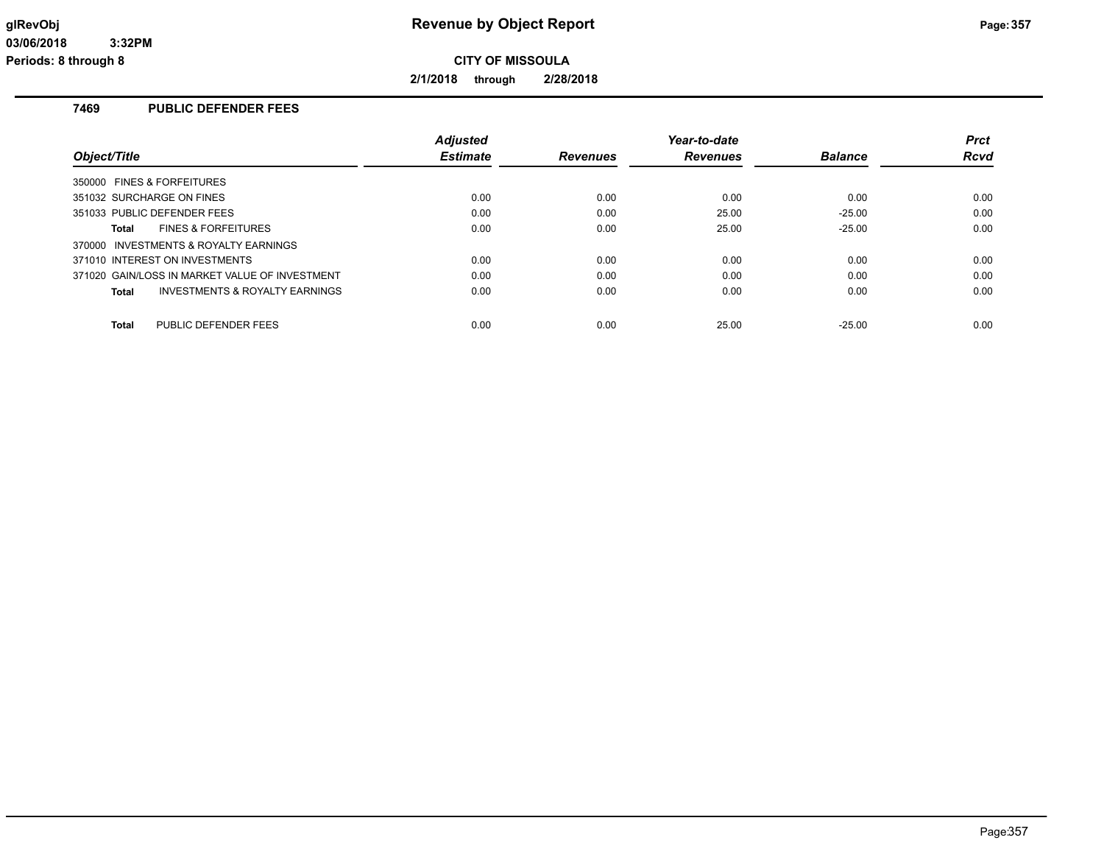**2/1/2018 through 2/28/2018**

## **7469 PUBLIC DEFENDER FEES**

|                                                | <b>Adjusted</b> |                 | Year-to-date    |                | <b>Prct</b> |
|------------------------------------------------|-----------------|-----------------|-----------------|----------------|-------------|
| Object/Title                                   | <b>Estimate</b> | <b>Revenues</b> | <b>Revenues</b> | <b>Balance</b> | Rcvd        |
| 350000 FINES & FORFEITURES                     |                 |                 |                 |                |             |
| 351032 SURCHARGE ON FINES                      | 0.00            | 0.00            | 0.00            | 0.00           | 0.00        |
| 351033 PUBLIC DEFENDER FEES                    | 0.00            | 0.00            | 25.00           | $-25.00$       | 0.00        |
| <b>FINES &amp; FORFEITURES</b><br>Total        | 0.00            | 0.00            | 25.00           | $-25.00$       | 0.00        |
| 370000 INVESTMENTS & ROYALTY EARNINGS          |                 |                 |                 |                |             |
| 371010 INTEREST ON INVESTMENTS                 | 0.00            | 0.00            | 0.00            | 0.00           | 0.00        |
| 371020 GAIN/LOSS IN MARKET VALUE OF INVESTMENT | 0.00            | 0.00            | 0.00            | 0.00           | 0.00        |
| INVESTMENTS & ROYALTY EARNINGS<br>Total        | 0.00            | 0.00            | 0.00            | 0.00           | 0.00        |
| PUBLIC DEFENDER FEES<br><b>Total</b>           | 0.00            | 0.00            | 25.00           | $-25.00$       | 0.00        |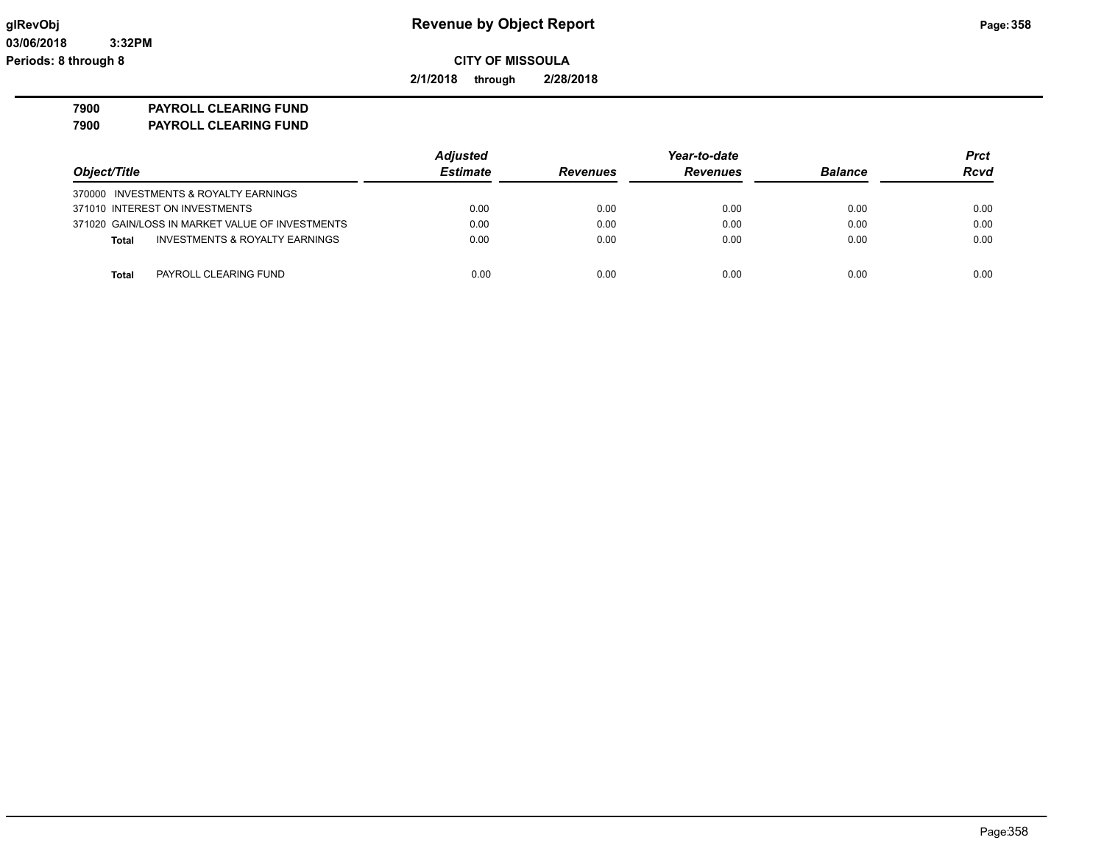**2/1/2018 through 2/28/2018**

**7900 PAYROLL CLEARING FUND**

**7900 PAYROLL CLEARING FUND**

|                                                 | <b>Adjusted</b> |                 | Year-to-date    |                | <b>Prct</b><br><b>Rcvd</b> |
|-------------------------------------------------|-----------------|-----------------|-----------------|----------------|----------------------------|
| Object/Title                                    | <b>Estimate</b> | <b>Revenues</b> | <b>Revenues</b> | <b>Balance</b> |                            |
| 370000 INVESTMENTS & ROYALTY EARNINGS           |                 |                 |                 |                |                            |
| 371010 INTEREST ON INVESTMENTS                  | 0.00            | 0.00            | 0.00            | 0.00           | 0.00                       |
| 371020 GAIN/LOSS IN MARKET VALUE OF INVESTMENTS | 0.00            | 0.00            | 0.00            | 0.00           | 0.00                       |
| INVESTMENTS & ROYALTY EARNINGS<br><b>Total</b>  | 0.00            | 0.00            | 0.00            | 0.00           | 0.00                       |
| PAYROLL CLEARING FUND<br>Total                  | 0.00            | 0.00            | 0.00            | 0.00           | 0.00                       |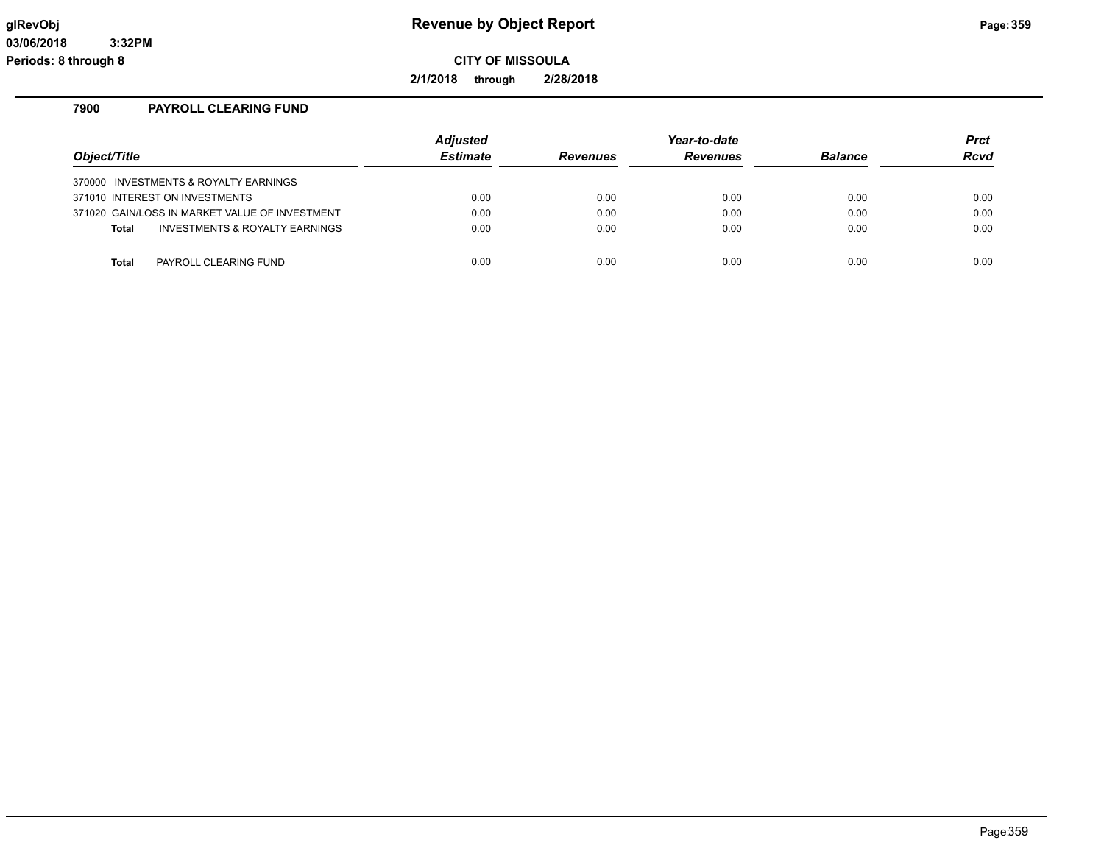**2/1/2018 through 2/28/2018**

### **7900 PAYROLL CLEARING FUND**

| Object/Title                                   | Adjusted<br><b>Estimate</b> | <b>Revenues</b> | Year-to-date<br>Revenues | <b>Balance</b> | <b>Prct</b><br>Rcvd |
|------------------------------------------------|-----------------------------|-----------------|--------------------------|----------------|---------------------|
| 370000 INVESTMENTS & ROYALTY EARNINGS          |                             |                 |                          |                |                     |
| 371010 INTEREST ON INVESTMENTS                 | 0.00                        | 0.00            | 0.00                     | 0.00           | 0.00                |
| 371020 GAIN/LOSS IN MARKET VALUE OF INVESTMENT | 0.00                        | 0.00            | 0.00                     | 0.00           | 0.00                |
| INVESTMENTS & ROYALTY EARNINGS<br><b>Total</b> | 0.00                        | 0.00            | 0.00                     | 0.00           | 0.00                |
|                                                |                             |                 |                          |                |                     |
| PAYROLL CLEARING FUND<br>Total                 | 0.00                        | 0.00            | 0.00                     | 0.00           | 0.00                |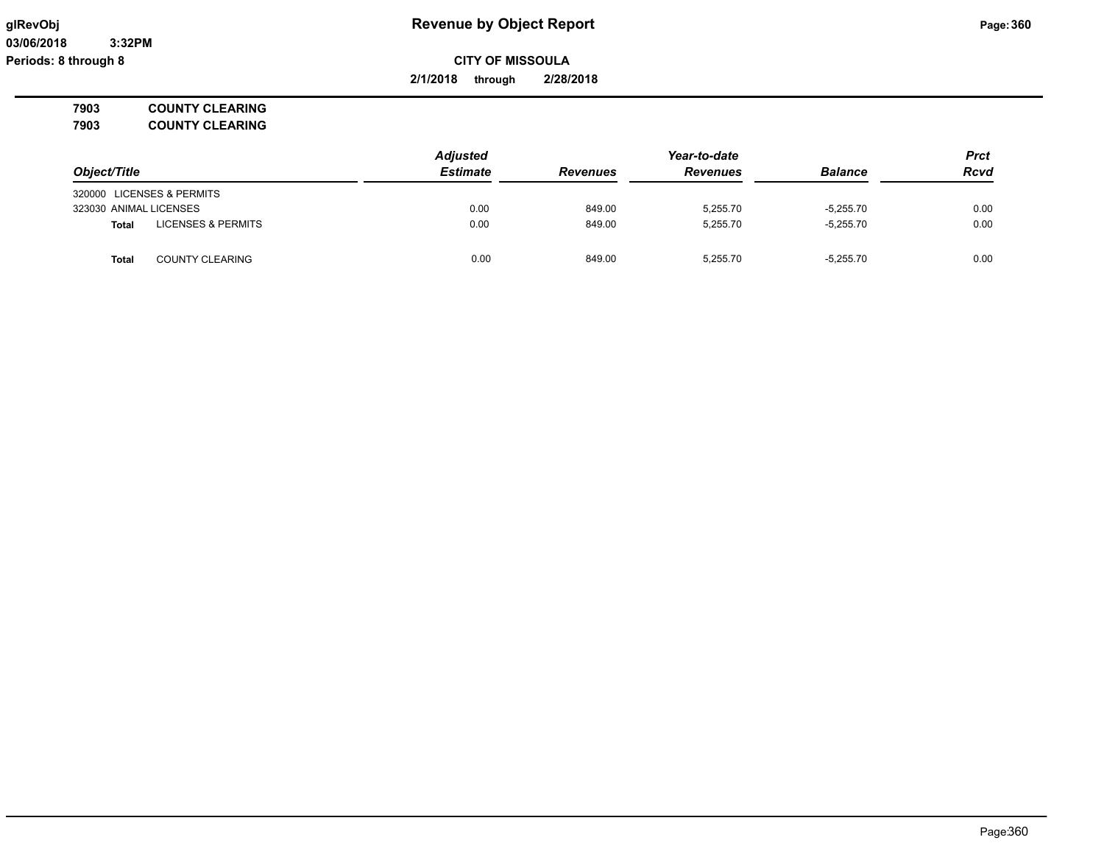**03/06/2018 3:32PM Periods: 8 through 8**

# **glRevObj Revenue by Object Report Page:360**

**CITY OF MISSOULA**

**2/1/2018 through 2/28/2018**

**7903 COUNTY CLEARING 7903 COUNTY CLEARING**

|                                               | <b>Adjusted</b> |                 | Year-to-date    |                | <b>Prct</b><br><b>Rcvd</b> |
|-----------------------------------------------|-----------------|-----------------|-----------------|----------------|----------------------------|
| Object/Title                                  | Estimate        | <b>Revenues</b> | <b>Revenues</b> | <b>Balance</b> |                            |
| 320000 LICENSES & PERMITS                     |                 |                 |                 |                |                            |
| 323030 ANIMAL LICENSES                        | 0.00            | 849.00          | 5.255.70        | $-5.255.70$    | 0.00                       |
| <b>LICENSES &amp; PERMITS</b><br><b>Total</b> | 0.00            | 849.00          | 5.255.70        | $-5.255.70$    | 0.00                       |
| <b>COUNTY CLEARING</b><br><b>Total</b>        | 0.00            | 849.00          | 5.255.70        | $-5.255.70$    | 0.00                       |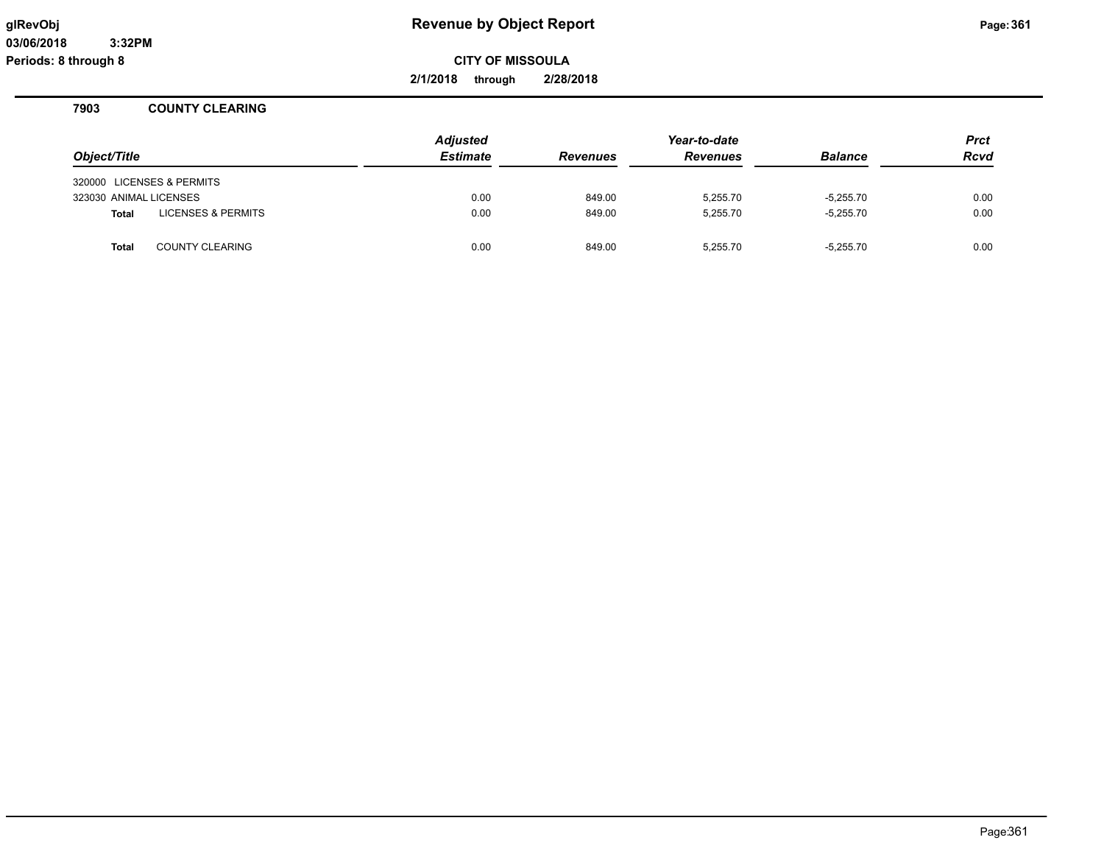**2/1/2018 through 2/28/2018**

# **7903 COUNTY CLEARING**

|                        |                               | <b>Adjusted</b> | Year-to-date    |                 |                | <b>Prct</b> |
|------------------------|-------------------------------|-----------------|-----------------|-----------------|----------------|-------------|
| Object/Title           |                               | <b>Estimate</b> | <b>Revenues</b> | <b>Revenues</b> | <b>Balance</b> | <b>Rcvd</b> |
|                        | 320000 LICENSES & PERMITS     |                 |                 |                 |                |             |
| 323030 ANIMAL LICENSES |                               | 0.00            | 849.00          | 5.255.70        | $-5.255.70$    | 0.00        |
| <b>Total</b>           | <b>LICENSES &amp; PERMITS</b> | 0.00            | 849.00          | 5.255.70        | $-5.255.70$    | 0.00        |
| <b>Total</b>           | <b>COUNTY CLEARING</b>        | 0.00            | 849.00          | 5,255.70        | $-5,255.70$    | 0.00        |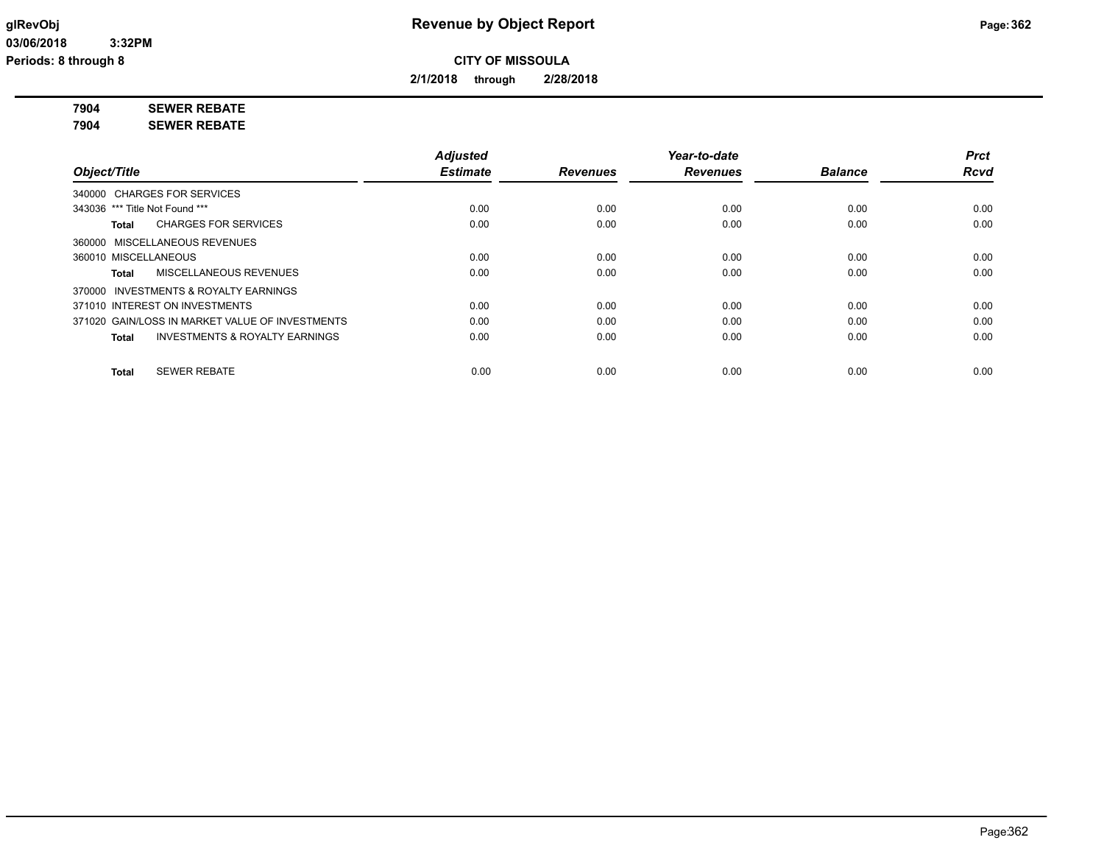**2/1/2018 through 2/28/2018**

**7904 SEWER REBATE**

**7904 SEWER REBATE**

|                                                    | <b>Adjusted</b> |                 | Year-to-date    |                | <b>Prct</b> |
|----------------------------------------------------|-----------------|-----------------|-----------------|----------------|-------------|
| Object/Title                                       | <b>Estimate</b> | <b>Revenues</b> | <b>Revenues</b> | <b>Balance</b> | <b>Rcvd</b> |
| 340000 CHARGES FOR SERVICES                        |                 |                 |                 |                |             |
| 343036 *** Title Not Found ***                     | 0.00            | 0.00            | 0.00            | 0.00           | 0.00        |
| <b>CHARGES FOR SERVICES</b><br>Total               | 0.00            | 0.00            | 0.00            | 0.00           | 0.00        |
| 360000 MISCELLANEOUS REVENUES                      |                 |                 |                 |                |             |
| 360010 MISCELLANEOUS                               | 0.00            | 0.00            | 0.00            | 0.00           | 0.00        |
| MISCELLANEOUS REVENUES<br>Total                    | 0.00            | 0.00            | 0.00            | 0.00           | 0.00        |
| 370000 INVESTMENTS & ROYALTY EARNINGS              |                 |                 |                 |                |             |
| 371010 INTEREST ON INVESTMENTS                     | 0.00            | 0.00            | 0.00            | 0.00           | 0.00        |
| 371020 GAIN/LOSS IN MARKET VALUE OF INVESTMENTS    | 0.00            | 0.00            | 0.00            | 0.00           | 0.00        |
| <b>INVESTMENTS &amp; ROYALTY EARNINGS</b><br>Total | 0.00            | 0.00            | 0.00            | 0.00           | 0.00        |
| <b>SEWER REBATE</b><br><b>Total</b>                | 0.00            | 0.00            | 0.00            | 0.00           | 0.00        |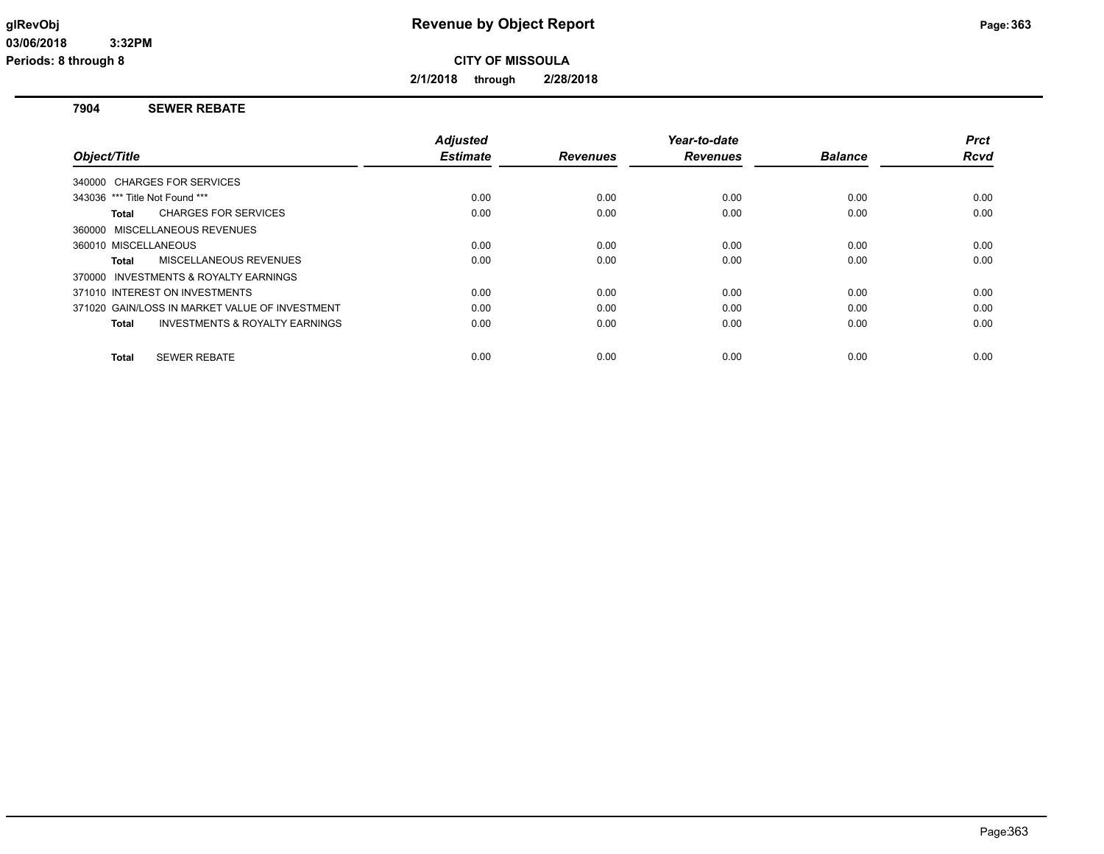**2/1/2018 through 2/28/2018**

# **7904 SEWER REBATE**

|                                                           | <b>Adjusted</b> |                 | Year-to-date    |                | <b>Prct</b> |
|-----------------------------------------------------------|-----------------|-----------------|-----------------|----------------|-------------|
| Object/Title                                              | <b>Estimate</b> | <b>Revenues</b> | <b>Revenues</b> | <b>Balance</b> | <b>Rcvd</b> |
| 340000 CHARGES FOR SERVICES                               |                 |                 |                 |                |             |
| 343036 *** Title Not Found ***                            | 0.00            | 0.00            | 0.00            | 0.00           | 0.00        |
| <b>CHARGES FOR SERVICES</b><br>Total                      | 0.00            | 0.00            | 0.00            | 0.00           | 0.00        |
| 360000 MISCELLANEOUS REVENUES                             |                 |                 |                 |                |             |
| 360010 MISCELLANEOUS                                      | 0.00            | 0.00            | 0.00            | 0.00           | 0.00        |
| MISCELLANEOUS REVENUES<br>Total                           | 0.00            | 0.00            | 0.00            | 0.00           | 0.00        |
| 370000 INVESTMENTS & ROYALTY EARNINGS                     |                 |                 |                 |                |             |
| 371010 INTEREST ON INVESTMENTS                            | 0.00            | 0.00            | 0.00            | 0.00           | 0.00        |
| 371020 GAIN/LOSS IN MARKET VALUE OF INVESTMENT            | 0.00            | 0.00            | 0.00            | 0.00           | 0.00        |
| <b>INVESTMENTS &amp; ROYALTY EARNINGS</b><br><b>Total</b> | 0.00            | 0.00            | 0.00            | 0.00           | 0.00        |
| <b>SEWER REBATE</b><br><b>Total</b>                       | 0.00            | 0.00            | 0.00            | 0.00           | 0.00        |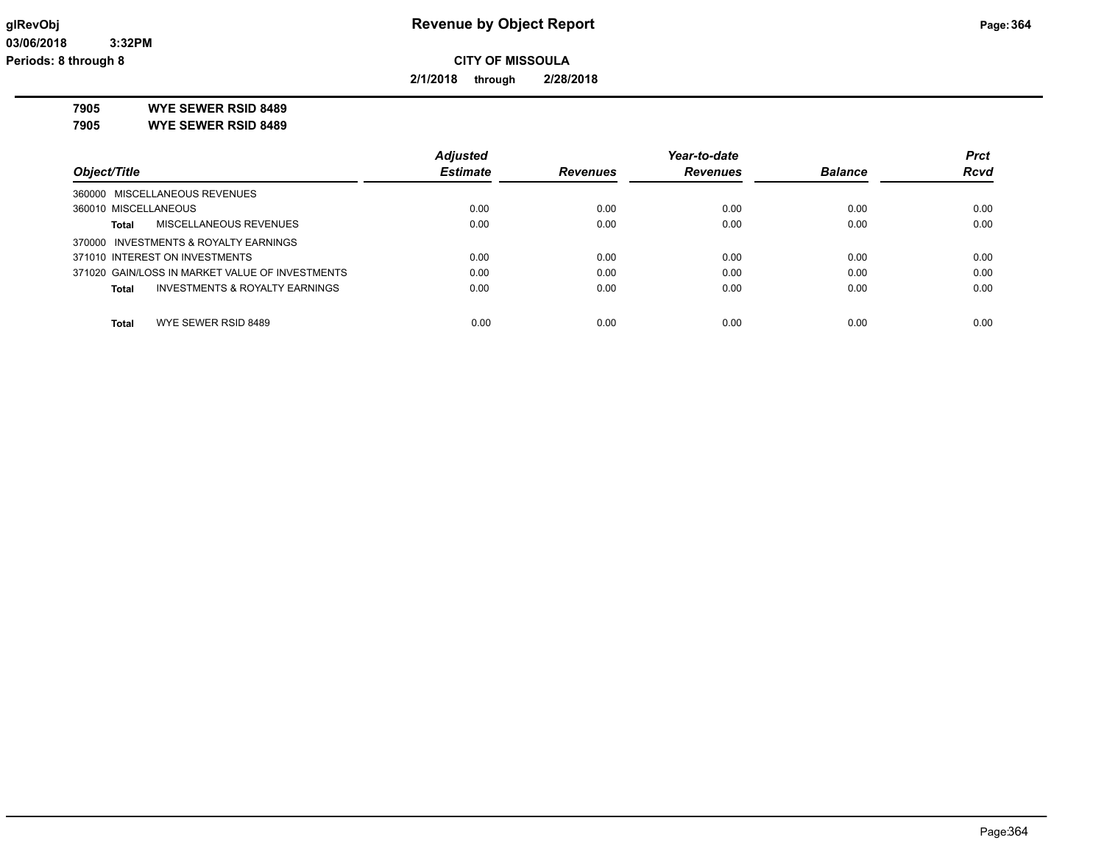**2/1/2018 through 2/28/2018**

**7905 WYE SEWER RSID 8489**

**7905 WYE SEWER RSID 8489**

|                                                 | <b>Adjusted</b> |                 | Year-to-date    |                | <b>Prct</b> |
|-------------------------------------------------|-----------------|-----------------|-----------------|----------------|-------------|
| Object/Title                                    | <b>Estimate</b> | <b>Revenues</b> | <b>Revenues</b> | <b>Balance</b> | <b>Rcvd</b> |
| 360000 MISCELLANEOUS REVENUES                   |                 |                 |                 |                |             |
| 360010 MISCELLANEOUS                            | 0.00            | 0.00            | 0.00            | 0.00           | 0.00        |
| MISCELLANEOUS REVENUES<br>Total                 | 0.00            | 0.00            | 0.00            | 0.00           | 0.00        |
| 370000 INVESTMENTS & ROYALTY EARNINGS           |                 |                 |                 |                |             |
| 371010 INTEREST ON INVESTMENTS                  | 0.00            | 0.00            | 0.00            | 0.00           | 0.00        |
| 371020 GAIN/LOSS IN MARKET VALUE OF INVESTMENTS | 0.00            | 0.00            | 0.00            | 0.00           | 0.00        |
| INVESTMENTS & ROYALTY EARNINGS<br>Total         | 0.00            | 0.00            | 0.00            | 0.00           | 0.00        |
| WYE SEWER RSID 8489<br><b>Total</b>             | 0.00            | 0.00            | 0.00            | 0.00           | 0.00        |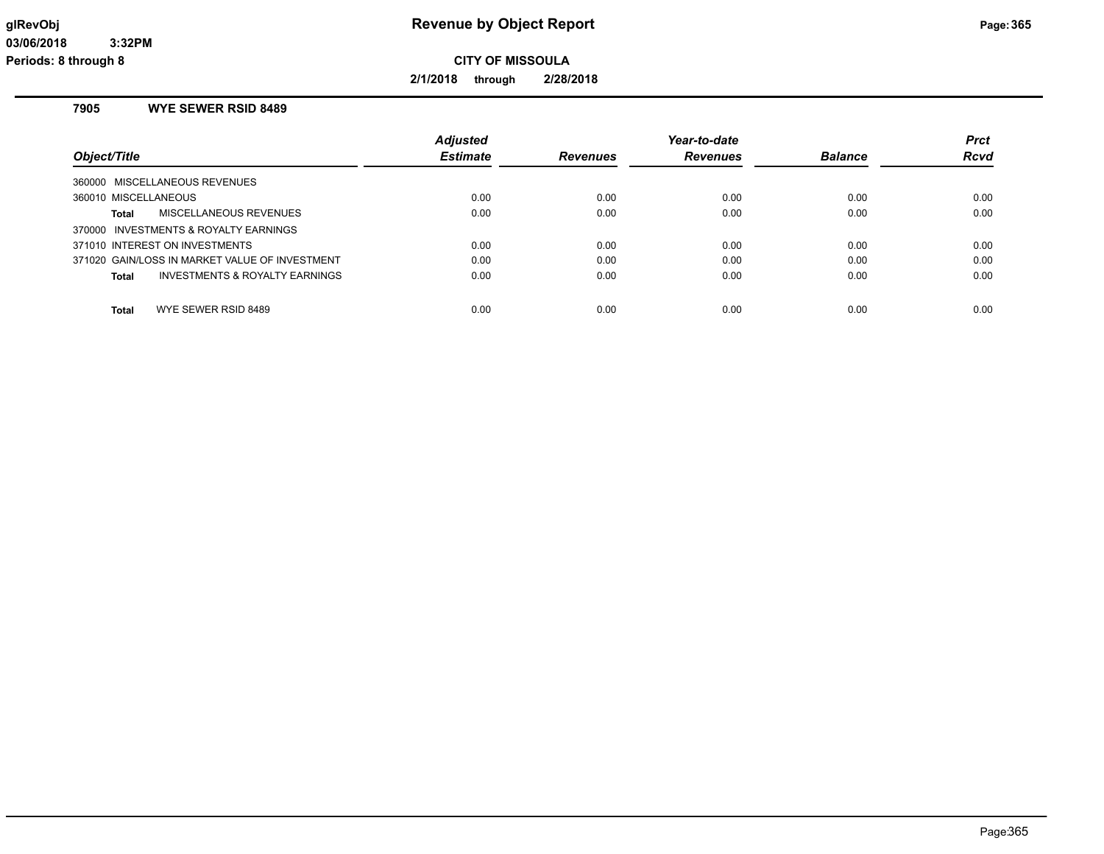**2/1/2018 through 2/28/2018**

# **7905 WYE SEWER RSID 8489**

| Object/Title                                   | <b>Adjusted</b><br><b>Estimate</b> | Revenues | Year-to-date<br><b>Revenues</b> | <b>Balance</b> | <b>Prct</b><br>Rcvd |
|------------------------------------------------|------------------------------------|----------|---------------------------------|----------------|---------------------|
| 360000 MISCELLANEOUS REVENUES                  |                                    |          |                                 |                |                     |
| 360010 MISCELLANEOUS                           | 0.00                               | 0.00     | 0.00                            | 0.00           | 0.00                |
| MISCELLANEOUS REVENUES<br>Total                | 0.00                               | 0.00     | 0.00                            | 0.00           | 0.00                |
| 370000 INVESTMENTS & ROYALTY EARNINGS          |                                    |          |                                 |                |                     |
| 371010 INTEREST ON INVESTMENTS                 | 0.00                               | 0.00     | 0.00                            | 0.00           | 0.00                |
| 371020 GAIN/LOSS IN MARKET VALUE OF INVESTMENT | 0.00                               | 0.00     | 0.00                            | 0.00           | 0.00                |
| INVESTMENTS & ROYALTY EARNINGS<br><b>Total</b> | 0.00                               | 0.00     | 0.00                            | 0.00           | 0.00                |
| WYE SEWER RSID 8489<br><b>Total</b>            | 0.00                               | 0.00     | 0.00                            | 0.00           | 0.00                |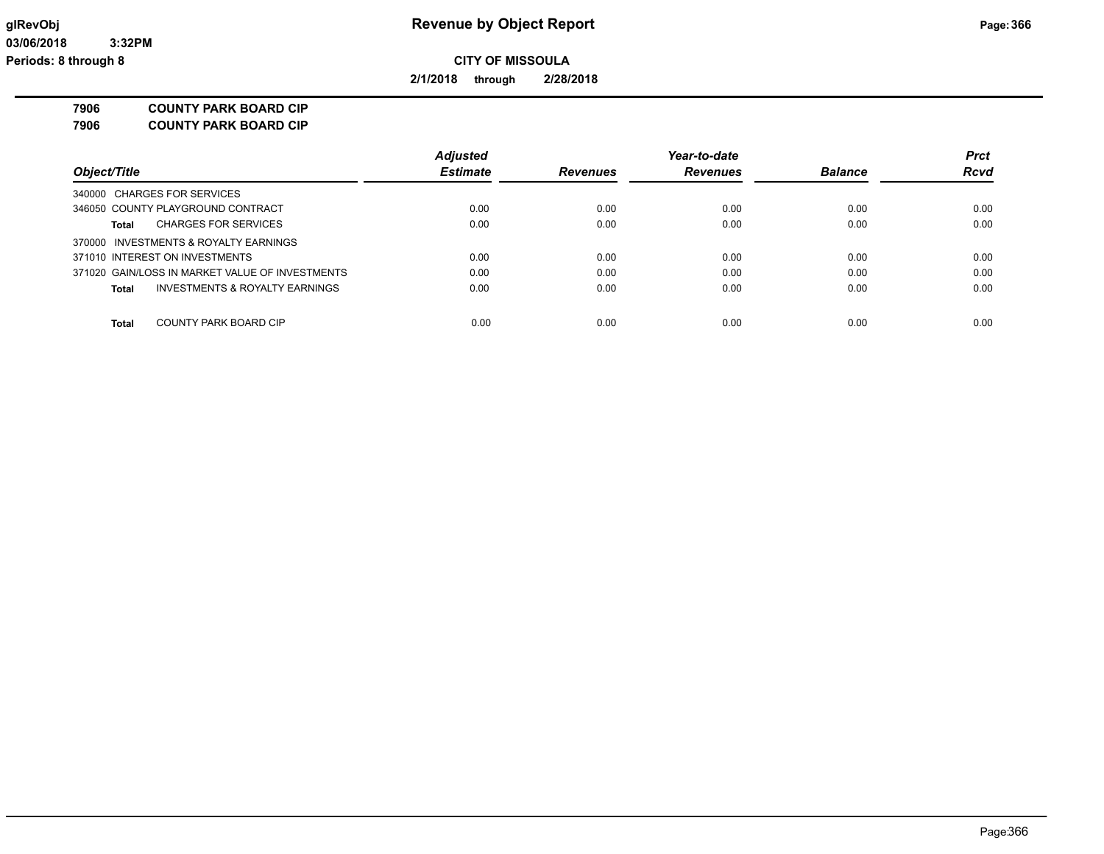**2/1/2018 through 2/28/2018**

**7906 COUNTY PARK BOARD CIP**

| 7906 | <b>COUNTY PARK BOARD CIP</b> |
|------|------------------------------|
|------|------------------------------|

|                                                 | <b>Adjusted</b> |                 | Year-to-date    |                | <b>Prct</b> |
|-------------------------------------------------|-----------------|-----------------|-----------------|----------------|-------------|
| Object/Title                                    | <b>Estimate</b> | <b>Revenues</b> | <b>Revenues</b> | <b>Balance</b> | <b>Rcvd</b> |
| 340000 CHARGES FOR SERVICES                     |                 |                 |                 |                |             |
| 346050 COUNTY PLAYGROUND CONTRACT               | 0.00            | 0.00            | 0.00            | 0.00           | 0.00        |
| <b>CHARGES FOR SERVICES</b><br>Total            | 0.00            | 0.00            | 0.00            | 0.00           | 0.00        |
| 370000 INVESTMENTS & ROYALTY EARNINGS           |                 |                 |                 |                |             |
| 371010 INTEREST ON INVESTMENTS                  | 0.00            | 0.00            | 0.00            | 0.00           | 0.00        |
| 371020 GAIN/LOSS IN MARKET VALUE OF INVESTMENTS | 0.00            | 0.00            | 0.00            | 0.00           | 0.00        |
| INVESTMENTS & ROYALTY EARNINGS<br>Total         | 0.00            | 0.00            | 0.00            | 0.00           | 0.00        |
|                                                 |                 |                 |                 |                |             |
| COUNTY PARK BOARD CIP<br>Total                  | 0.00            | 0.00            | 0.00            | 0.00           | 0.00        |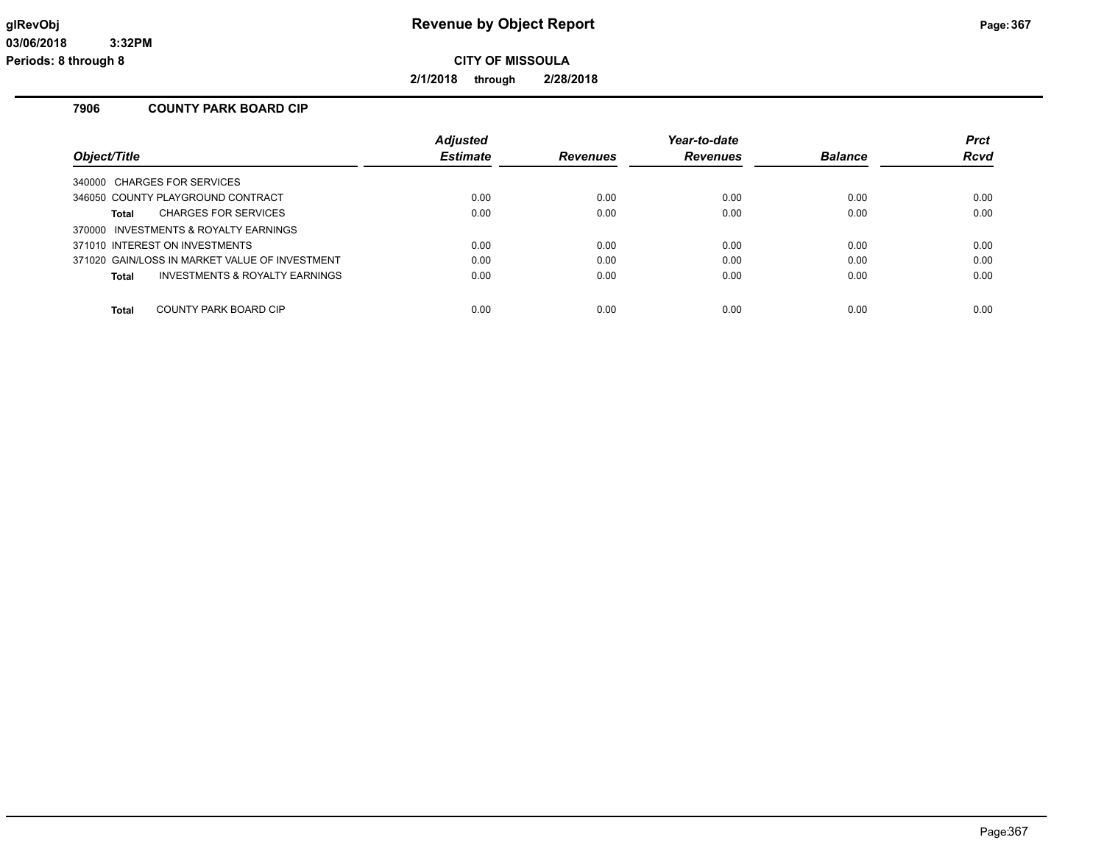**2/1/2018 through 2/28/2018**

# **7906 COUNTY PARK BOARD CIP**

|                                                           | <b>Adjusted</b> |                 | Year-to-date    |                | <b>Prct</b> |
|-----------------------------------------------------------|-----------------|-----------------|-----------------|----------------|-------------|
| Object/Title                                              | <b>Estimate</b> | <b>Revenues</b> | <b>Revenues</b> | <b>Balance</b> | Rcvd        |
| 340000 CHARGES FOR SERVICES                               |                 |                 |                 |                |             |
| 346050 COUNTY PLAYGROUND CONTRACT                         | 0.00            | 0.00            | 0.00            | 0.00           | 0.00        |
| <b>CHARGES FOR SERVICES</b><br>Total                      | 0.00            | 0.00            | 0.00            | 0.00           | 0.00        |
| 370000 INVESTMENTS & ROYALTY EARNINGS                     |                 |                 |                 |                |             |
| 371010 INTEREST ON INVESTMENTS                            | 0.00            | 0.00            | 0.00            | 0.00           | 0.00        |
| 371020 GAIN/LOSS IN MARKET VALUE OF INVESTMENT            | 0.00            | 0.00            | 0.00            | 0.00           | 0.00        |
| <b>INVESTMENTS &amp; ROYALTY EARNINGS</b><br><b>Total</b> | 0.00            | 0.00            | 0.00            | 0.00           | 0.00        |
| COUNTY PARK BOARD CIP<br>Total                            | 0.00            | 0.00            | 0.00            | 0.00           | 0.00        |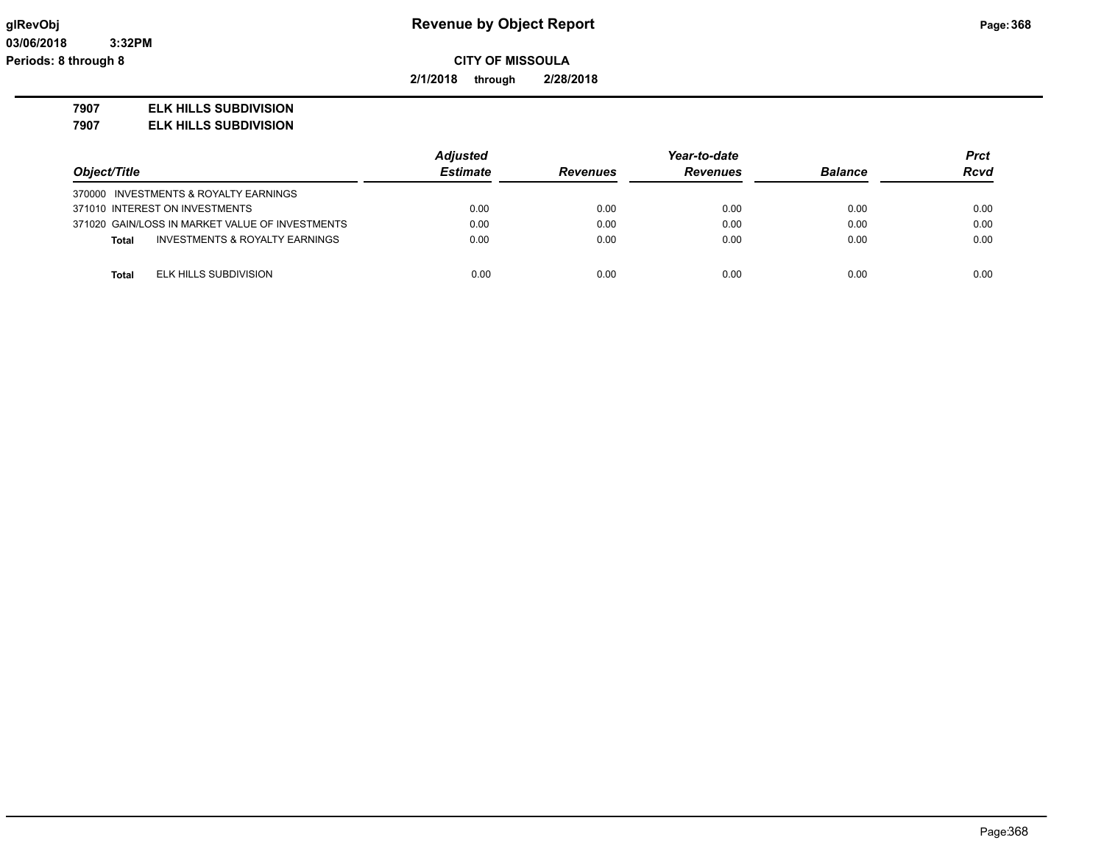**2/1/2018 through 2/28/2018**

## **7907 ELK HILLS SUBDIVISION**

**7907 ELK HILLS SUBDIVISION**

|                                                 | <b>Adjusted</b> |                 | Year-to-date    |                | Prct        |
|-------------------------------------------------|-----------------|-----------------|-----------------|----------------|-------------|
| Object/Title                                    | <b>Estimate</b> | <b>Revenues</b> | <b>Revenues</b> | <b>Balance</b> | <b>Rcvd</b> |
| 370000 INVESTMENTS & ROYALTY EARNINGS           |                 |                 |                 |                |             |
| 371010 INTEREST ON INVESTMENTS                  | 0.00            | 0.00            | 0.00            | 0.00           | 0.00        |
| 371020 GAIN/LOSS IN MARKET VALUE OF INVESTMENTS | 0.00            | 0.00            | 0.00            | 0.00           | 0.00        |
| INVESTMENTS & ROYALTY EARNINGS<br>Total         | 0.00            | 0.00            | 0.00            | 0.00           | 0.00        |
|                                                 |                 |                 |                 |                |             |
| ELK HILLS SUBDIVISION<br>Total                  | 0.00            | 0.00            | 0.00            | 0.00           | 0.00        |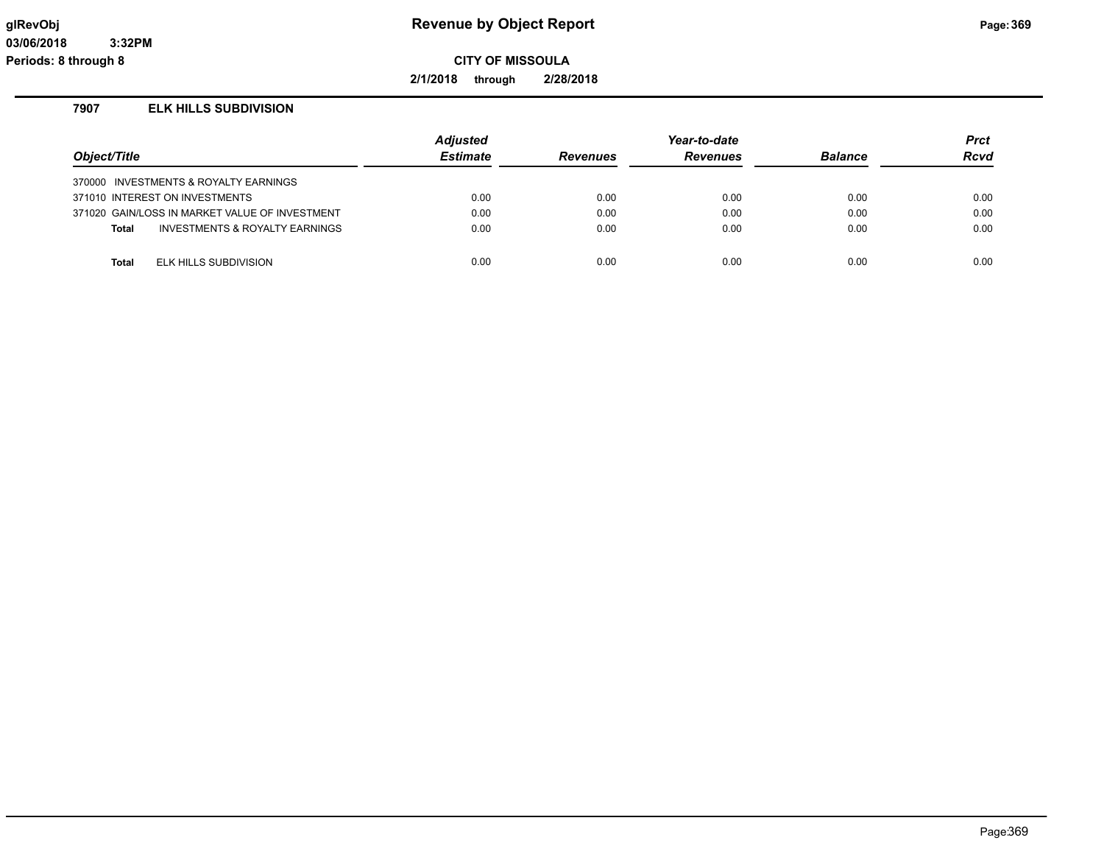**2/1/2018 through 2/28/2018**

# **7907 ELK HILLS SUBDIVISION**

| Object/Title |                                                | <b>Adjusted</b><br><b>Estimate</b> | <b>Revenues</b> | Year-to-date<br><b>Revenues</b> | <b>Balance</b> | <b>Prct</b><br>Rcvd |
|--------------|------------------------------------------------|------------------------------------|-----------------|---------------------------------|----------------|---------------------|
|              | 370000 INVESTMENTS & ROYALTY EARNINGS          |                                    |                 |                                 |                |                     |
|              | 371010 INTEREST ON INVESTMENTS                 | 0.00                               | 0.00            | 0.00                            | 0.00           | 0.00                |
|              | 371020 GAIN/LOSS IN MARKET VALUE OF INVESTMENT | 0.00                               | 0.00            | 0.00                            | 0.00           | 0.00                |
| <b>Total</b> | INVESTMENTS & ROYALTY EARNINGS                 | 0.00                               | 0.00            | 0.00                            | 0.00           | 0.00                |
|              |                                                |                                    |                 |                                 |                |                     |
| <b>Total</b> | ELK HILLS SUBDIVISION                          | 0.00                               | 0.00            | 0.00                            | 0.00           | 0.00                |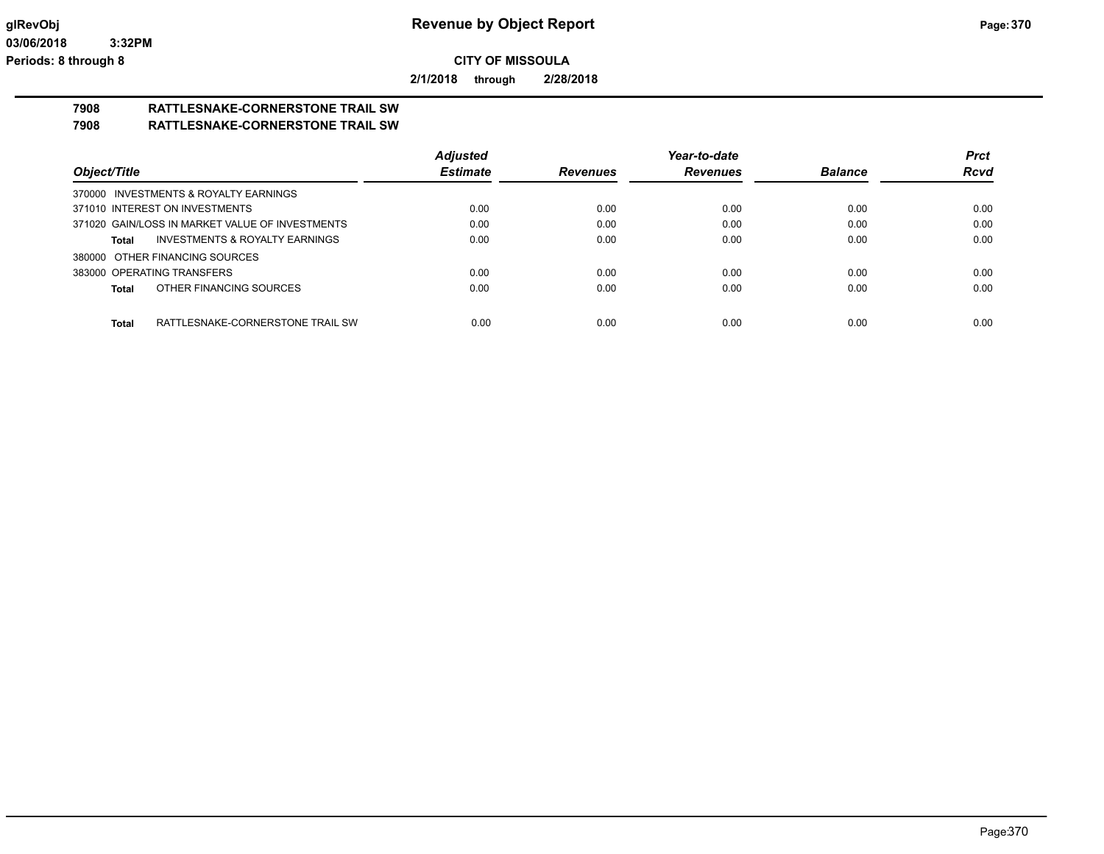**2/1/2018 through 2/28/2018**

## **7908 RATTLESNAKE-CORNERSTONE TRAIL SW 7908 RATTLESNAKE-CORNERSTONE TRAIL SW**

|                                                  | <b>Adjusted</b> |                 | Year-to-date    |                | <b>Prct</b> |
|--------------------------------------------------|-----------------|-----------------|-----------------|----------------|-------------|
| Object/Title                                     | <b>Estimate</b> | <b>Revenues</b> | <b>Revenues</b> | <b>Balance</b> | <b>Rcvd</b> |
| 370000 INVESTMENTS & ROYALTY EARNINGS            |                 |                 |                 |                |             |
| 371010 INTEREST ON INVESTMENTS                   | 0.00            | 0.00            | 0.00            | 0.00           | 0.00        |
| 371020 GAIN/LOSS IN MARKET VALUE OF INVESTMENTS  | 0.00            | 0.00            | 0.00            | 0.00           | 0.00        |
| INVESTMENTS & ROYALTY EARNINGS<br>Total          | 0.00            | 0.00            | 0.00            | 0.00           | 0.00        |
| 380000 OTHER FINANCING SOURCES                   |                 |                 |                 |                |             |
| 383000 OPERATING TRANSFERS                       | 0.00            | 0.00            | 0.00            | 0.00           | 0.00        |
| OTHER FINANCING SOURCES<br>Total                 | 0.00            | 0.00            | 0.00            | 0.00           | 0.00        |
|                                                  |                 |                 |                 |                |             |
| RATTLESNAKE-CORNERSTONE TRAIL SW<br><b>Total</b> | 0.00            | 0.00            | 0.00            | 0.00           | 0.00        |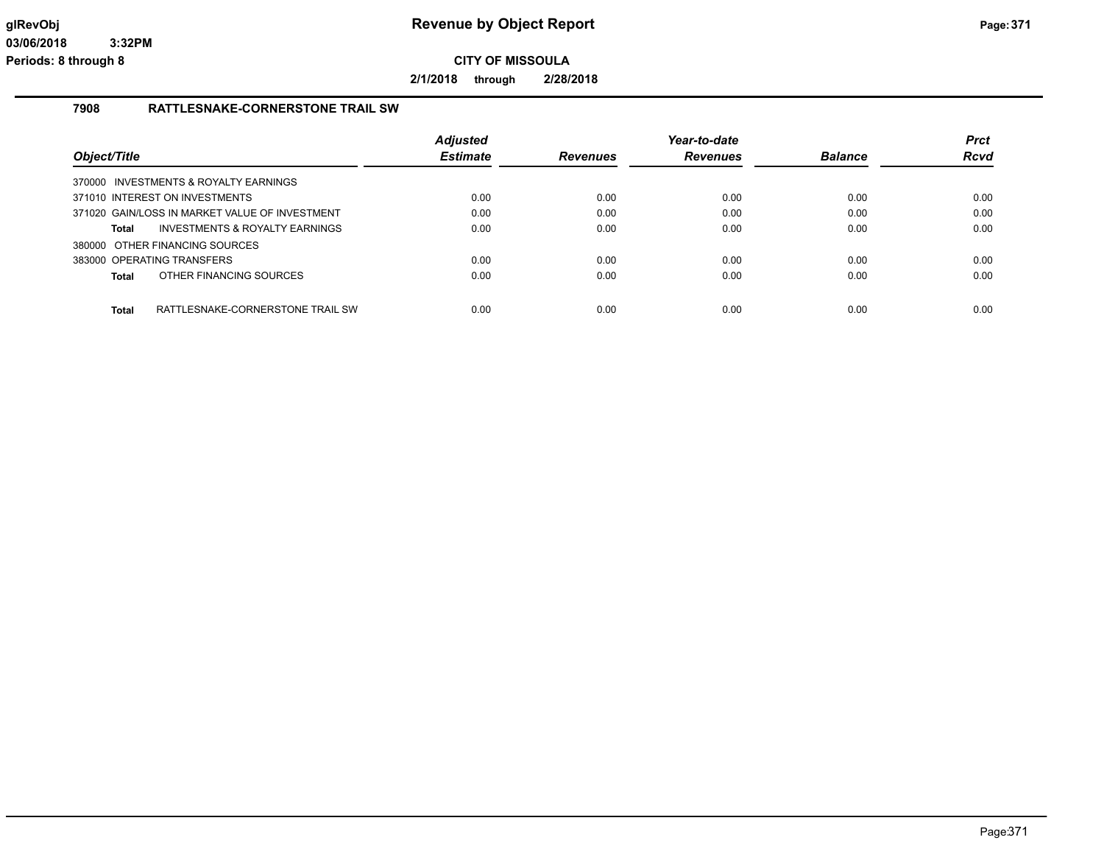**2/1/2018 through 2/28/2018**

## **7908 RATTLESNAKE-CORNERSTONE TRAIL SW**

| Object/Title |                                                | <b>Adjusted</b><br><b>Estimate</b> | <b>Revenues</b> | Year-to-date<br><b>Revenues</b> | <b>Balance</b> | <b>Prct</b><br>Rcvd |
|--------------|------------------------------------------------|------------------------------------|-----------------|---------------------------------|----------------|---------------------|
|              | 370000 INVESTMENTS & ROYALTY EARNINGS          |                                    |                 |                                 |                |                     |
|              | 371010 INTEREST ON INVESTMENTS                 | 0.00                               | 0.00            | 0.00                            | 0.00           | 0.00                |
|              | 371020 GAIN/LOSS IN MARKET VALUE OF INVESTMENT | 0.00                               | 0.00            | 0.00                            | 0.00           | 0.00                |
| Total        | INVESTMENTS & ROYALTY EARNINGS                 | 0.00                               | 0.00            | 0.00                            | 0.00           | 0.00                |
|              | 380000 OTHER FINANCING SOURCES                 |                                    |                 |                                 |                |                     |
|              | 383000 OPERATING TRANSFERS                     | 0.00                               | 0.00            | 0.00                            | 0.00           | 0.00                |
| <b>Total</b> | OTHER FINANCING SOURCES                        | 0.00                               | 0.00            | 0.00                            | 0.00           | 0.00                |
| <b>Total</b> | RATTLESNAKE-CORNERSTONE TRAIL SW               | 0.00                               | 0.00            | 0.00                            | 0.00           | 0.00                |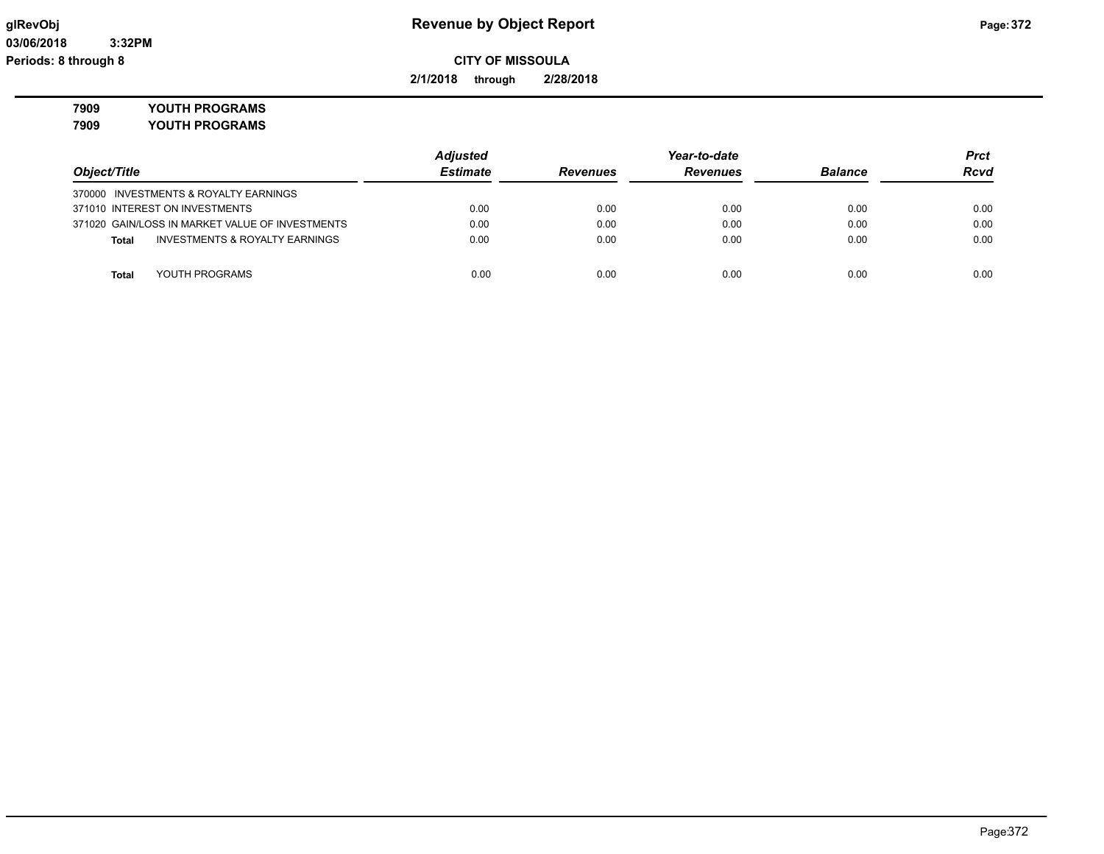# **glRevObj Revenue by Object Report Page:372**

**2/1/2018 through 2/28/2018**

**7909 YOUTH PROGRAMS**

**7909 YOUTH PROGRAMS**

|                                                           | <b>Adjusted</b> | Year-to-date    |                 |                | <b>Prct</b> |
|-----------------------------------------------------------|-----------------|-----------------|-----------------|----------------|-------------|
| Object/Title                                              | <b>Estimate</b> | <b>Revenues</b> | <b>Revenues</b> | <b>Balance</b> | <b>Rcvd</b> |
| 370000 INVESTMENTS & ROYALTY EARNINGS                     |                 |                 |                 |                |             |
| 371010 INTEREST ON INVESTMENTS                            | 0.00            | 0.00            | 0.00            | 0.00           | 0.00        |
| 371020 GAIN/LOSS IN MARKET VALUE OF INVESTMENTS           | 0.00            | 0.00            | 0.00            | 0.00           | 0.00        |
| <b>INVESTMENTS &amp; ROYALTY EARNINGS</b><br><b>Total</b> | 0.00            | 0.00            | 0.00            | 0.00           | 0.00        |
|                                                           |                 |                 |                 |                |             |
| YOUTH PROGRAMS<br><b>Total</b>                            | 0.00            | 0.00            | 0.00            | 0.00           | 0.00        |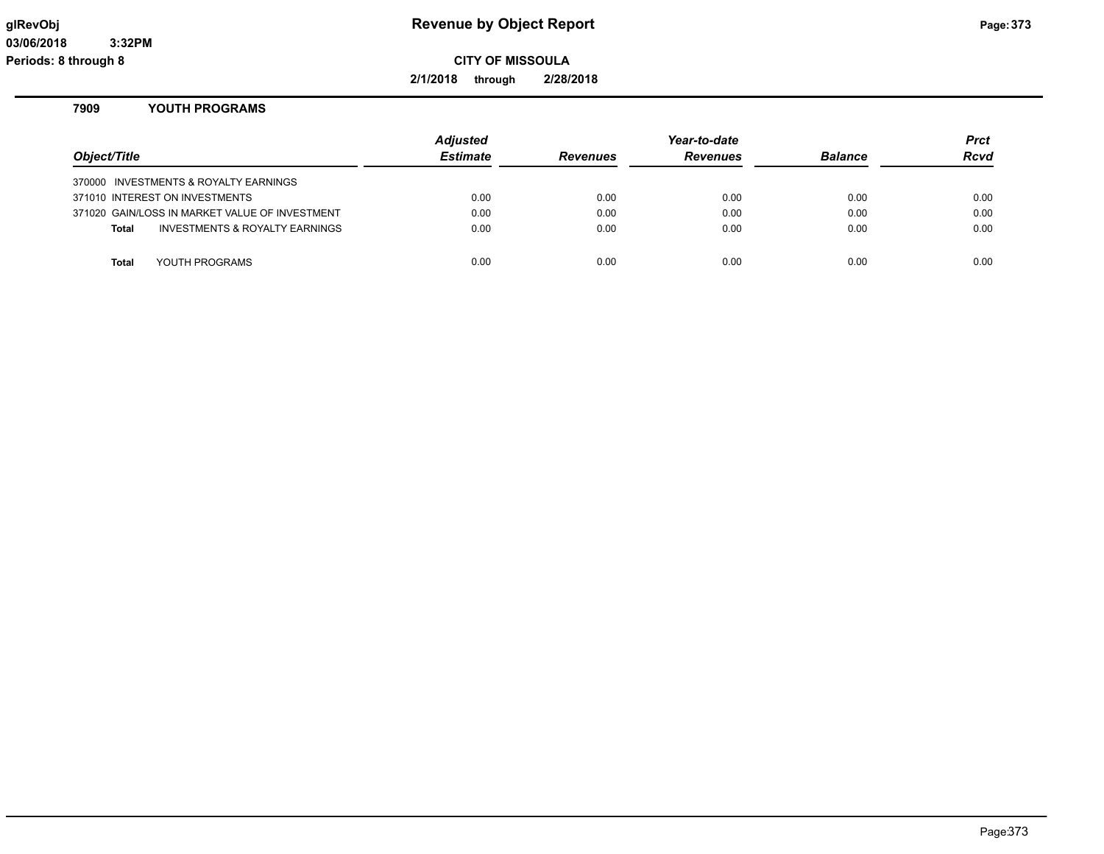# **glRevObj Revenue by Object Report Page:373**

**CITY OF MISSOULA**

**2/1/2018 through 2/28/2018**

# **7909 YOUTH PROGRAMS**

| Object/Title                                   | <b>Adjusted</b><br><b>Estimate</b> | <b>Revenues</b> | Year-to-date<br><b>Revenues</b> | <b>Balance</b> | Prct<br><b>Rcvd</b> |
|------------------------------------------------|------------------------------------|-----------------|---------------------------------|----------------|---------------------|
| 370000 INVESTMENTS & ROYALTY EARNINGS          |                                    |                 |                                 |                |                     |
| 371010 INTEREST ON INVESTMENTS                 | 0.00                               | 0.00            | 0.00                            | 0.00           | 0.00                |
| 371020 GAIN/LOSS IN MARKET VALUE OF INVESTMENT | 0.00                               | 0.00            | 0.00                            | 0.00           | 0.00                |
| INVESTMENTS & ROYALTY EARNINGS<br><b>Total</b> | 0.00                               | 0.00            | 0.00                            | 0.00           | 0.00                |
|                                                |                                    |                 |                                 |                |                     |
| YOUTH PROGRAMS<br><b>Total</b>                 | 0.00                               | 0.00            | 0.00                            | 0.00           | 0.00                |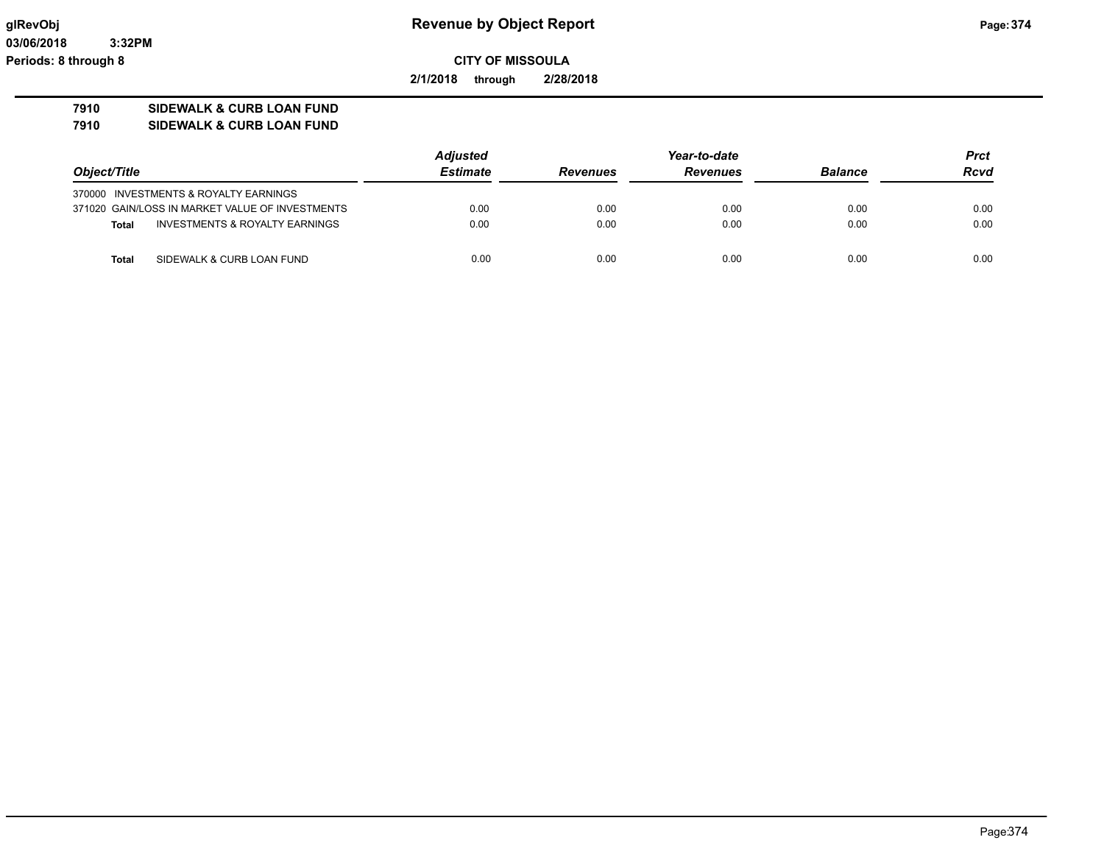**03/06/2018 3:32PM Periods: 8 through 8**

# **glRevObj Revenue by Object Report Page:374**

**CITY OF MISSOULA**

**2/1/2018 through 2/28/2018**

# **7910 SIDEWALK & CURB LOAN FUND**

**7910 SIDEWALK & CURB LOAN FUND**

|                                                           | <b>Adjusted</b> |                 | Year-to-date    |                | <b>Prct</b> |
|-----------------------------------------------------------|-----------------|-----------------|-----------------|----------------|-------------|
| Object/Title                                              | Estimate        | <b>Revenues</b> | <b>Revenues</b> | <b>Balance</b> | <b>Rcvd</b> |
| 370000 INVESTMENTS & ROYALTY EARNINGS                     |                 |                 |                 |                |             |
| 371020 GAIN/LOSS IN MARKET VALUE OF INVESTMENTS           | 0.00            | 0.00            | 0.00            | 0.00           | 0.00        |
| <b>INVESTMENTS &amp; ROYALTY EARNINGS</b><br><b>Total</b> | 0.00            | 0.00            | 0.00            | 0.00           | 0.00        |
| <b>Total</b><br>SIDEWALK & CURB LOAN FUND                 | 0.00            | 0.00            | 0.00            | 0.00           | 0.00        |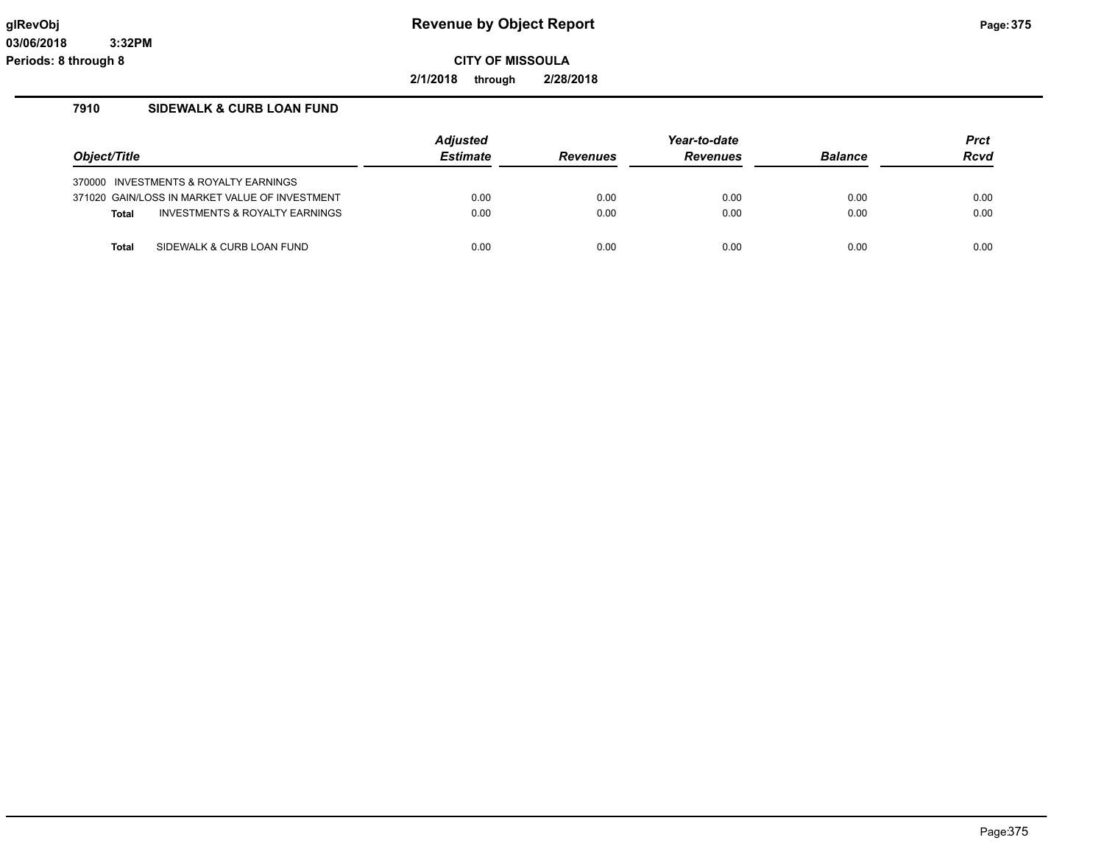**2/1/2018 through 2/28/2018**

# **7910 SIDEWALK & CURB LOAN FUND**

| Object/Title |                                                | <b>Adjusted</b> |                 | Year-to-date    |                | Prct |
|--------------|------------------------------------------------|-----------------|-----------------|-----------------|----------------|------|
|              |                                                | <b>Estimate</b> | <b>Revenues</b> | <b>Revenues</b> | <b>Balance</b> | Rcvd |
|              | 370000 INVESTMENTS & ROYALTY EARNINGS          |                 |                 |                 |                |      |
|              | 371020 GAIN/LOSS IN MARKET VALUE OF INVESTMENT | 0.00            | 0.00            | 0.00            | 0.00           | 0.00 |
| <b>Total</b> | INVESTMENTS & ROYALTY EARNINGS                 | 0.00            | 0.00            | 0.00            | 0.00           | 0.00 |
| <b>Total</b> | SIDEWALK & CURB LOAN FUND                      | 0.00            | 0.00            | 0.00            | 0.00           | 0.00 |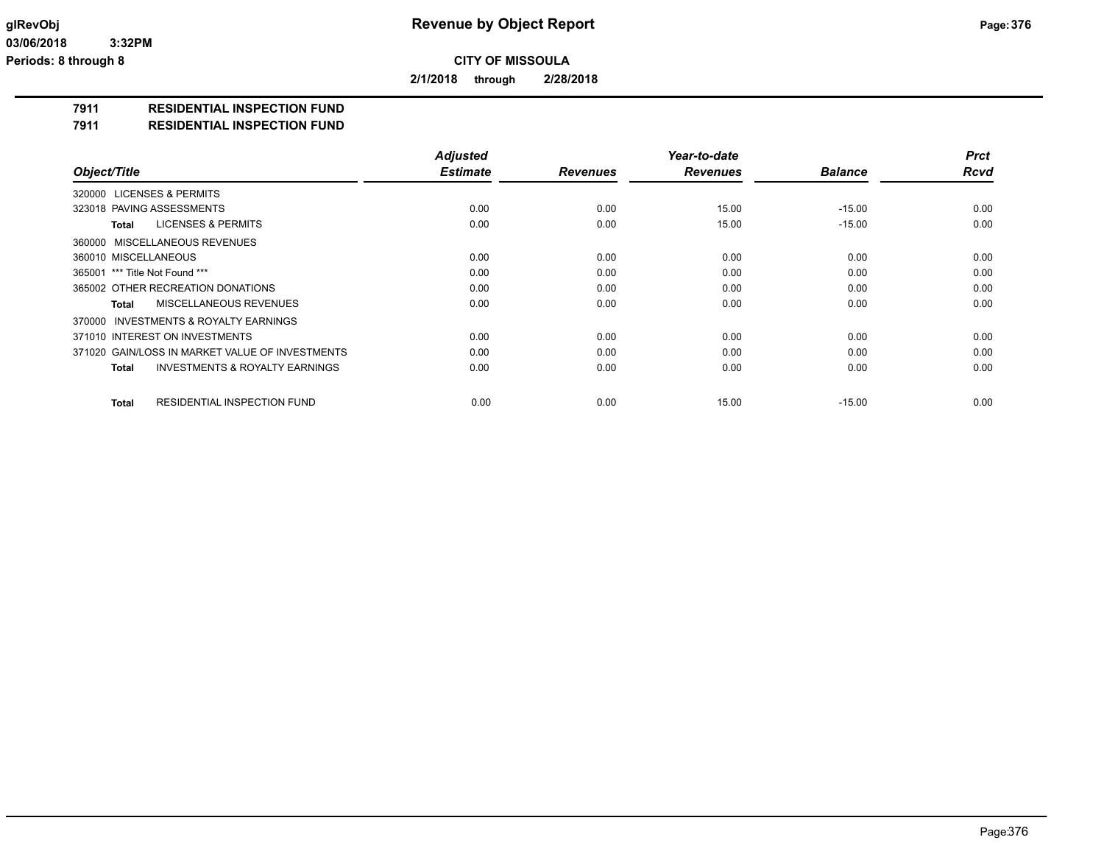**2/1/2018 through 2/28/2018**

## **7911 RESIDENTIAL INSPECTION FUND**

**7911 RESIDENTIAL INSPECTION FUND**

|                                                    | <b>Adjusted</b> |                 | Year-to-date    |                | <b>Prct</b> |
|----------------------------------------------------|-----------------|-----------------|-----------------|----------------|-------------|
| Object/Title                                       | <b>Estimate</b> | <b>Revenues</b> | <b>Revenues</b> | <b>Balance</b> | <b>Rcvd</b> |
| 320000 LICENSES & PERMITS                          |                 |                 |                 |                |             |
| 323018 PAVING ASSESSMENTS                          | 0.00            | 0.00            | 15.00           | $-15.00$       | 0.00        |
| <b>LICENSES &amp; PERMITS</b><br>Total             | 0.00            | 0.00            | 15.00           | $-15.00$       | 0.00        |
| 360000 MISCELLANEOUS REVENUES                      |                 |                 |                 |                |             |
| 360010 MISCELLANEOUS                               | 0.00            | 0.00            | 0.00            | 0.00           | 0.00        |
| 365001 *** Title Not Found ***                     | 0.00            | 0.00            | 0.00            | 0.00           | 0.00        |
| 365002 OTHER RECREATION DONATIONS                  | 0.00            | 0.00            | 0.00            | 0.00           | 0.00        |
| MISCELLANEOUS REVENUES<br>Total                    | 0.00            | 0.00            | 0.00            | 0.00           | 0.00        |
| 370000 INVESTMENTS & ROYALTY EARNINGS              |                 |                 |                 |                |             |
| 371010 INTEREST ON INVESTMENTS                     | 0.00            | 0.00            | 0.00            | 0.00           | 0.00        |
| 371020 GAIN/LOSS IN MARKET VALUE OF INVESTMENTS    | 0.00            | 0.00            | 0.00            | 0.00           | 0.00        |
| <b>INVESTMENTS &amp; ROYALTY EARNINGS</b><br>Total | 0.00            | 0.00            | 0.00            | 0.00           | 0.00        |
| <b>RESIDENTIAL INSPECTION FUND</b><br>Total        | 0.00            | 0.00            | 15.00           | $-15.00$       | 0.00        |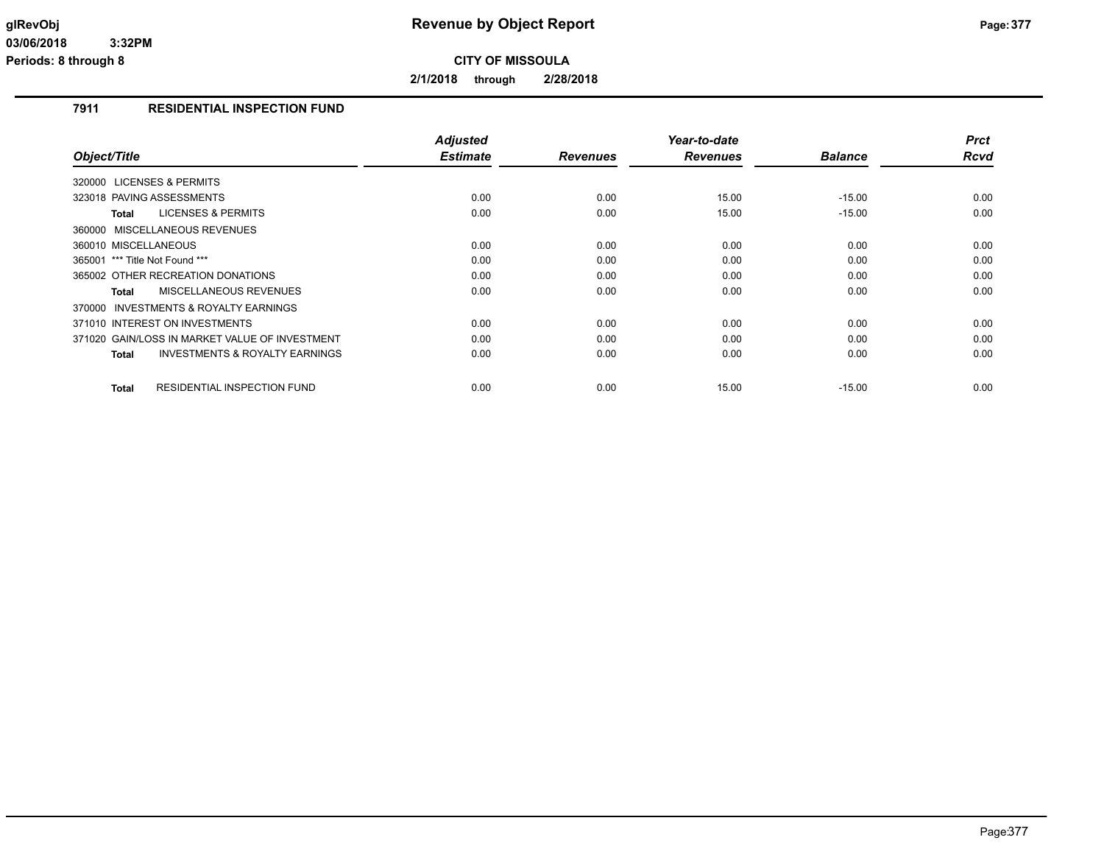**2/1/2018 through 2/28/2018**

# **7911 RESIDENTIAL INSPECTION FUND**

|                                                           | <b>Adjusted</b> |                 | Year-to-date    |                | <b>Prct</b> |
|-----------------------------------------------------------|-----------------|-----------------|-----------------|----------------|-------------|
| Object/Title                                              | <b>Estimate</b> | <b>Revenues</b> | <b>Revenues</b> | <b>Balance</b> | <b>Rcvd</b> |
| 320000 LICENSES & PERMITS                                 |                 |                 |                 |                |             |
| 323018 PAVING ASSESSMENTS                                 | 0.00            | 0.00            | 15.00           | $-15.00$       | 0.00        |
| <b>LICENSES &amp; PERMITS</b><br><b>Total</b>             | 0.00            | 0.00            | 15.00           | $-15.00$       | 0.00        |
| 360000 MISCELLANEOUS REVENUES                             |                 |                 |                 |                |             |
| 360010 MISCELLANEOUS                                      | 0.00            | 0.00            | 0.00            | 0.00           | 0.00        |
| 365001 *** Title Not Found ***                            | 0.00            | 0.00            | 0.00            | 0.00           | 0.00        |
| 365002 OTHER RECREATION DONATIONS                         | 0.00            | 0.00            | 0.00            | 0.00           | 0.00        |
| MISCELLANEOUS REVENUES<br>Total                           | 0.00            | 0.00            | 0.00            | 0.00           | 0.00        |
| 370000 INVESTMENTS & ROYALTY EARNINGS                     |                 |                 |                 |                |             |
| 371010 INTEREST ON INVESTMENTS                            | 0.00            | 0.00            | 0.00            | 0.00           | 0.00        |
| 371020 GAIN/LOSS IN MARKET VALUE OF INVESTMENT            | 0.00            | 0.00            | 0.00            | 0.00           | 0.00        |
| <b>INVESTMENTS &amp; ROYALTY EARNINGS</b><br><b>Total</b> | 0.00            | 0.00            | 0.00            | 0.00           | 0.00        |
|                                                           |                 |                 |                 |                |             |
| <b>RESIDENTIAL INSPECTION FUND</b><br><b>Total</b>        | 0.00            | 0.00            | 15.00           | $-15.00$       | 0.00        |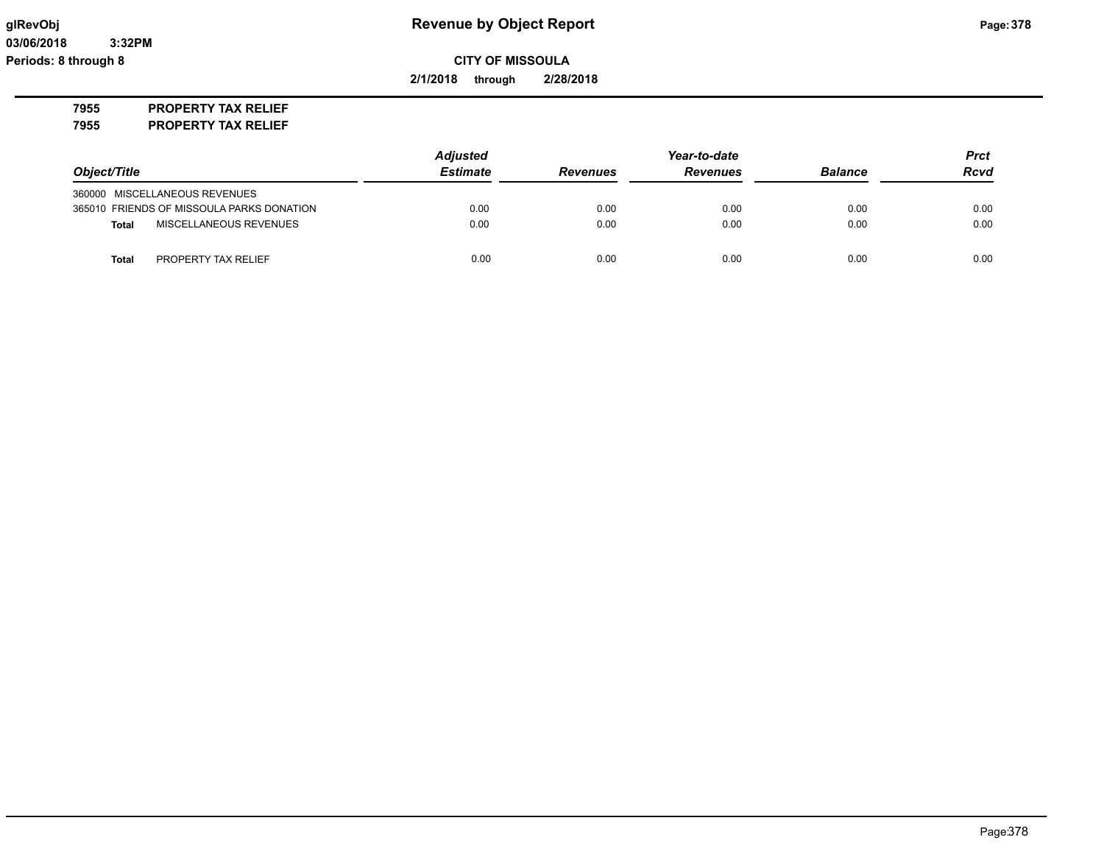# **glRevObj Revenue by Object Report Page:378**

**CITY OF MISSOULA**

**2/1/2018 through 2/28/2018**

**7955 PROPERTY TAX RELIEF**

**7955 PROPERTY TAX RELIEF**

|                                           | <b>Adjusted</b> |                 | Year-to-date    |                |             |
|-------------------------------------------|-----------------|-----------------|-----------------|----------------|-------------|
| Object/Title                              | <b>Estimate</b> | <b>Revenues</b> | <b>Revenues</b> | <b>Balance</b> | <b>Rcvd</b> |
| 360000 MISCELLANEOUS REVENUES             |                 |                 |                 |                |             |
| 365010 FRIENDS OF MISSOULA PARKS DONATION | 0.00            | 0.00            | 0.00            | 0.00           | 0.00        |
| MISCELLANEOUS REVENUES<br><b>Total</b>    | 0.00            | 0.00            | 0.00            | 0.00           | 0.00        |
| PROPERTY TAX RELIEF<br><b>Total</b>       | 0.00            | 0.00            | 0.00            | 0.00           | 0.00        |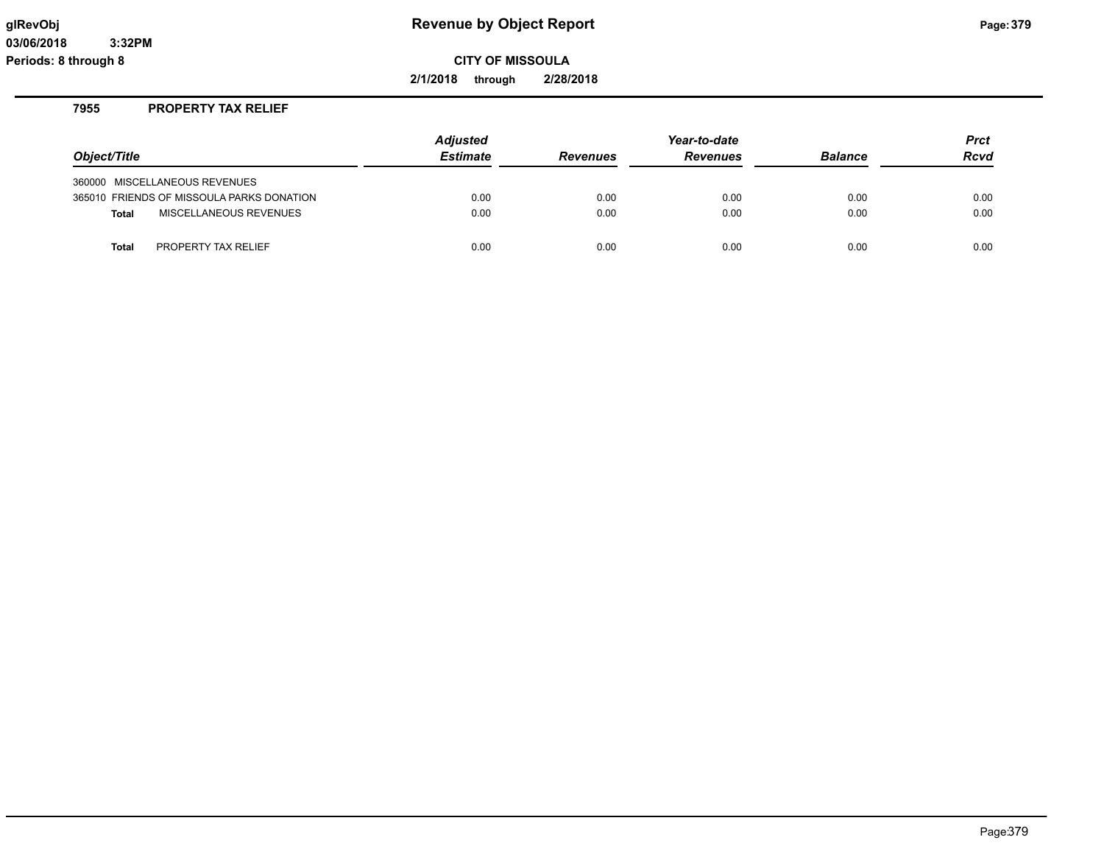# **glRevObj Revenue by Object Report Page:379**

**CITY OF MISSOULA**

**2/1/2018 through 2/28/2018**

# **7955 PROPERTY TAX RELIEF**

| Object/Title                              | <b>Adjusted</b><br><b>Estimate</b> | <b>Revenues</b> | Year-to-date<br><b>Revenues</b> | <b>Balance</b> | <b>Prct</b><br>Rcvd |
|-------------------------------------------|------------------------------------|-----------------|---------------------------------|----------------|---------------------|
| 360000 MISCELLANEOUS REVENUES             |                                    |                 |                                 |                |                     |
| 365010 FRIENDS OF MISSOULA PARKS DONATION | 0.00                               | 0.00            | 0.00                            | 0.00           | 0.00                |
| MISCELLANEOUS REVENUES<br><b>Total</b>    | 0.00                               | 0.00            | 0.00                            | 0.00           | 0.00                |
|                                           |                                    |                 |                                 |                |                     |
| PROPERTY TAX RELIEF<br><b>Total</b>       | 0.00                               | 0.00            | 0.00                            | 0.00           | 0.00                |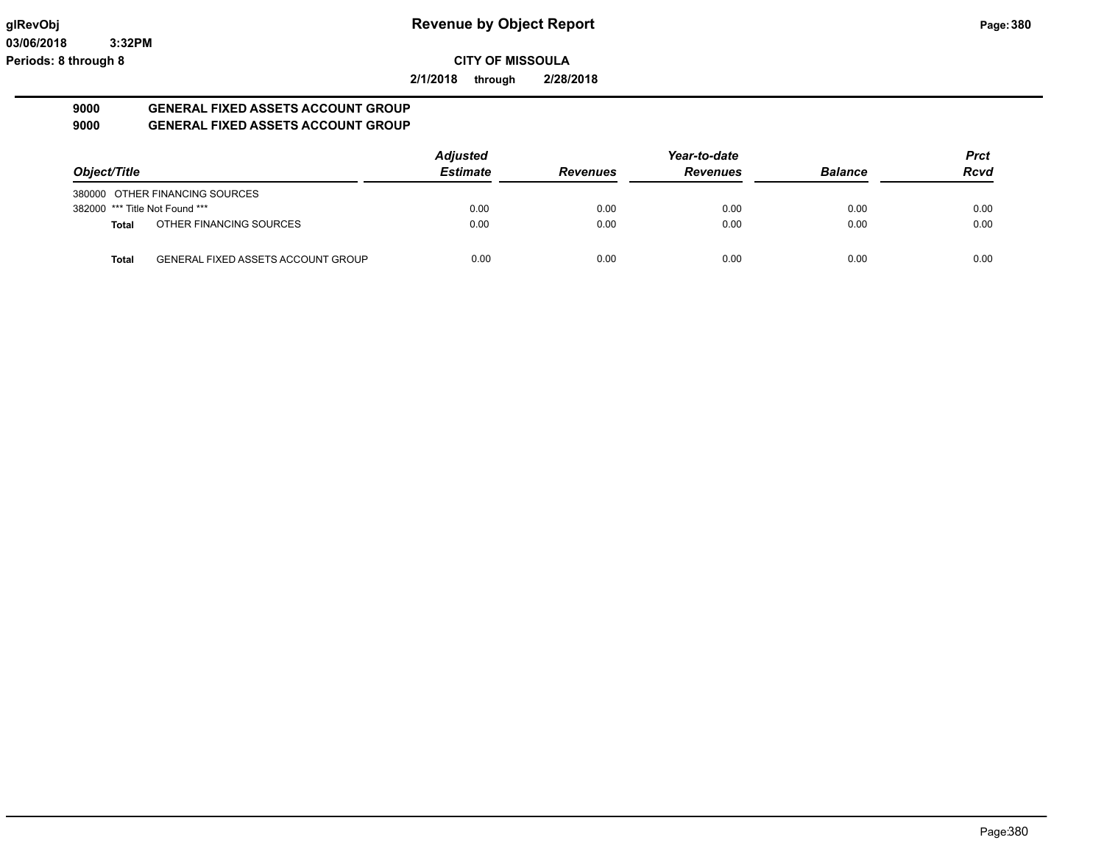**2/1/2018 through 2/28/2018**

## **9000 GENERAL FIXED ASSETS ACCOUNT GROUP 9000 GENERAL FIXED ASSETS ACCOUNT GROUP**

| Object/Title                   |                                           | <b>Adjusted</b> |                 | Year-to-date    |                | <b>Prct</b> |
|--------------------------------|-------------------------------------------|-----------------|-----------------|-----------------|----------------|-------------|
|                                |                                           | <b>Estimate</b> | <b>Revenues</b> | <b>Revenues</b> | <b>Balance</b> | <b>Rcvd</b> |
|                                | 380000 OTHER FINANCING SOURCES            |                 |                 |                 |                |             |
| 382000 *** Title Not Found *** |                                           | 0.00            | 0.00            | 0.00            | 0.00           | 0.00        |
| Total                          | OTHER FINANCING SOURCES                   | 0.00            | 0.00            | 0.00            | 0.00           | 0.00        |
| Total                          | <b>GENERAL FIXED ASSETS ACCOUNT GROUP</b> | 0.00            | 0.00            | 0.00            | 0.00           | 0.00        |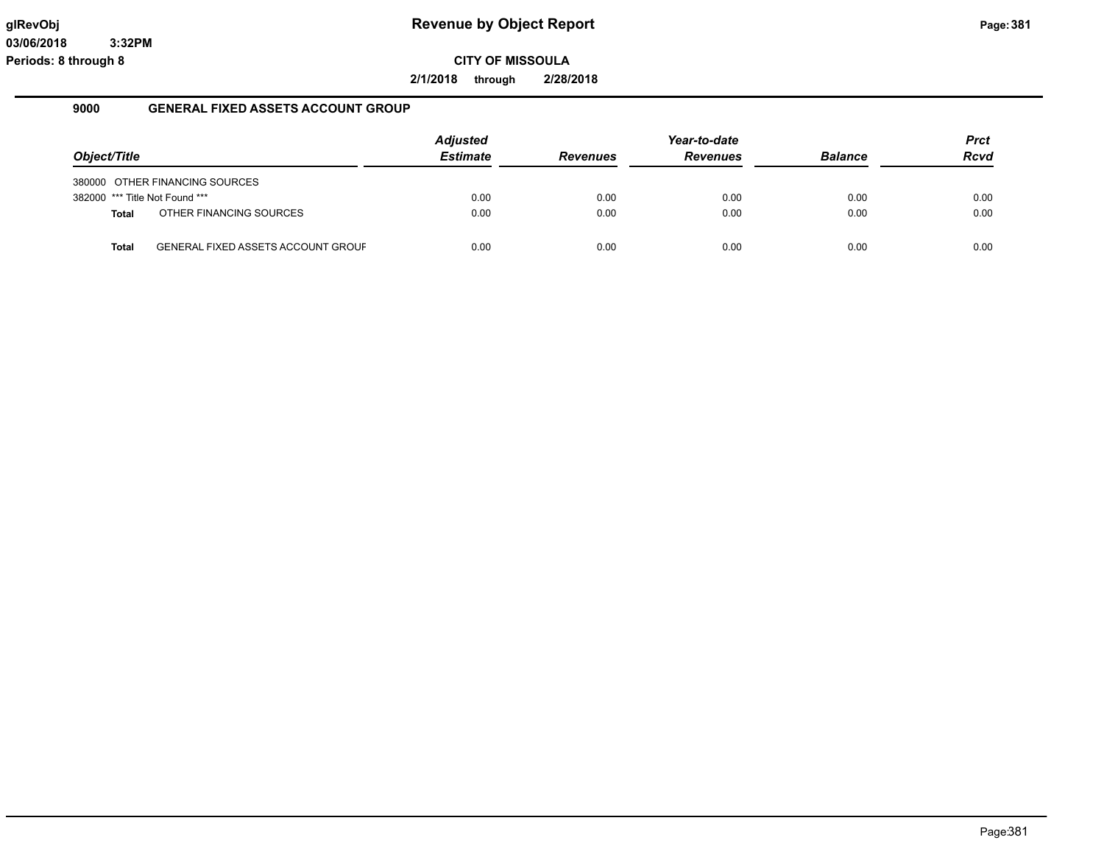**2/1/2018 through 2/28/2018**

## **9000 GENERAL FIXED ASSETS ACCOUNT GROUP**

|                                |                                           | <b>Adjusted</b> |                 | Year-to-date    |                | <b>Prct</b> |
|--------------------------------|-------------------------------------------|-----------------|-----------------|-----------------|----------------|-------------|
| Object/Title                   |                                           | <b>Estimate</b> | <b>Revenues</b> | <b>Revenues</b> | <b>Balance</b> | <b>Rcvd</b> |
|                                | 380000 OTHER FINANCING SOURCES            |                 |                 |                 |                |             |
| 382000 *** Title Not Found *** |                                           | 0.00            | 0.00            | 0.00            | 0.00           | 0.00        |
| <b>Total</b>                   | OTHER FINANCING SOURCES                   | 0.00            | 0.00            | 0.00            | 0.00           | 0.00        |
| Total                          | <b>GENERAL FIXED ASSETS ACCOUNT GROUF</b> | 0.00            | 0.00            | 0.00            | 0.00           | 0.00        |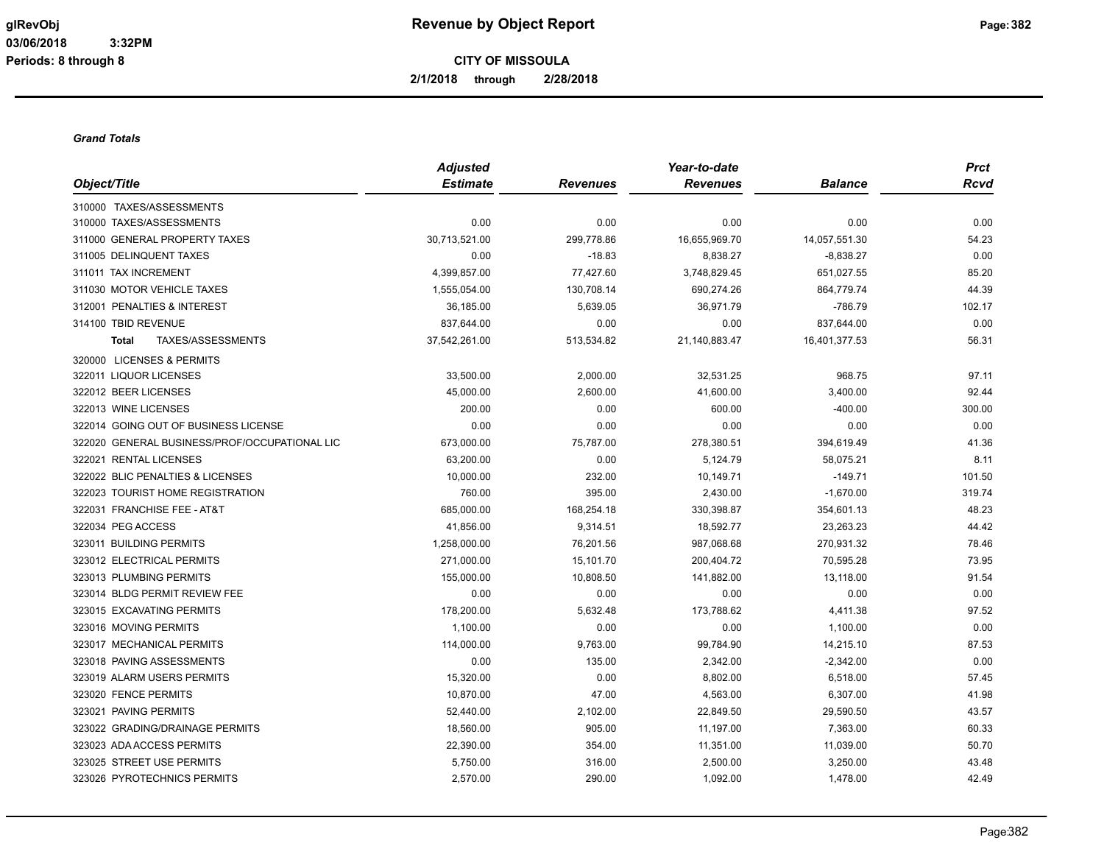**2/1/2018 through 2/28/2018**

### *Grand Totals*

|                                               | <b>Adjusted</b> |                 | Year-to-date    |                | <b>Prct</b> |
|-----------------------------------------------|-----------------|-----------------|-----------------|----------------|-------------|
| Object/Title                                  | <b>Estimate</b> | <b>Revenues</b> | <b>Revenues</b> | <b>Balance</b> | <b>Rcvd</b> |
| 310000 TAXES/ASSESSMENTS                      |                 |                 |                 |                |             |
| 310000 TAXES/ASSESSMENTS                      | 0.00            | 0.00            | 0.00            | 0.00           | 0.00        |
| 311000 GENERAL PROPERTY TAXES                 | 30,713,521.00   | 299,778.86      | 16,655,969.70   | 14,057,551.30  | 54.23       |
| 311005 DELINQUENT TAXES                       | 0.00            | $-18.83$        | 8,838.27        | $-8,838.27$    | 0.00        |
| 311011 TAX INCREMENT                          | 4,399,857.00    | 77,427.60       | 3,748,829.45    | 651,027.55     | 85.20       |
| 311030 MOTOR VEHICLE TAXES                    | 1,555,054.00    | 130,708.14      | 690,274.26      | 864,779.74     | 44.39       |
| 312001 PENALTIES & INTEREST                   | 36,185.00       | 5,639.05        | 36,971.79       | $-786.79$      | 102.17      |
| 314100 TBID REVENUE                           | 837,644.00      | 0.00            | 0.00            | 837,644.00     | 0.00        |
| TAXES/ASSESSMENTS<br><b>Total</b>             | 37,542,261.00   | 513,534.82      | 21,140,883.47   | 16,401,377.53  | 56.31       |
| 320000 LICENSES & PERMITS                     |                 |                 |                 |                |             |
| 322011 LIQUOR LICENSES                        | 33,500.00       | 2,000.00        | 32,531.25       | 968.75         | 97.11       |
| 322012 BEER LICENSES                          | 45,000.00       | 2,600.00        | 41,600.00       | 3,400.00       | 92.44       |
| 322013 WINE LICENSES                          | 200.00          | 0.00            | 600.00          | $-400.00$      | 300.00      |
| 322014 GOING OUT OF BUSINESS LICENSE          | 0.00            | 0.00            | 0.00            | 0.00           | 0.00        |
| 322020 GENERAL BUSINESS/PROF/OCCUPATIONAL LIC | 673,000.00      | 75,787.00       | 278,380.51      | 394,619.49     | 41.36       |
| 322021 RENTAL LICENSES                        | 63,200.00       | 0.00            | 5,124.79        | 58,075.21      | 8.11        |
| 322022 BLIC PENALTIES & LICENSES              | 10,000.00       | 232.00          | 10,149.71       | $-149.71$      | 101.50      |
| 322023 TOURIST HOME REGISTRATION              | 760.00          | 395.00          | 2,430.00        | $-1,670.00$    | 319.74      |
| 322031 FRANCHISE FEE - AT&T                   | 685,000.00      | 168,254.18      | 330,398.87      | 354,601.13     | 48.23       |
| 322034 PEG ACCESS                             | 41,856.00       | 9,314.51        | 18,592.77       | 23,263.23      | 44.42       |
| 323011 BUILDING PERMITS                       | 1,258,000.00    | 76,201.56       | 987,068.68      | 270,931.32     | 78.46       |
| 323012 ELECTRICAL PERMITS                     | 271,000.00      | 15,101.70       | 200,404.72      | 70,595.28      | 73.95       |
| 323013 PLUMBING PERMITS                       | 155,000.00      | 10,808.50       | 141,882.00      | 13,118.00      | 91.54       |
| 323014 BLDG PERMIT REVIEW FEE                 | 0.00            | 0.00            | 0.00            | 0.00           | 0.00        |
| 323015 EXCAVATING PERMITS                     | 178,200.00      | 5,632.48        | 173,788.62      | 4,411.38       | 97.52       |
| 323016 MOVING PERMITS                         | 1,100.00        | 0.00            | 0.00            | 1,100.00       | 0.00        |
| 323017 MECHANICAL PERMITS                     | 114,000.00      | 9,763.00        | 99,784.90       | 14,215.10      | 87.53       |
| 323018 PAVING ASSESSMENTS                     | 0.00            | 135.00          | 2,342.00        | $-2,342.00$    | 0.00        |
| 323019 ALARM USERS PERMITS                    | 15,320.00       | 0.00            | 8,802.00        | 6,518.00       | 57.45       |
| 323020 FENCE PERMITS                          | 10,870.00       | 47.00           | 4,563.00        | 6,307.00       | 41.98       |
| 323021 PAVING PERMITS                         | 52,440.00       | 2,102.00        | 22,849.50       | 29,590.50      | 43.57       |
| 323022 GRADING/DRAINAGE PERMITS               | 18,560.00       | 905.00          | 11,197.00       | 7,363.00       | 60.33       |
| 323023 ADA ACCESS PERMITS                     | 22,390.00       | 354.00          | 11,351.00       | 11,039.00      | 50.70       |
| 323025 STREET USE PERMITS                     | 5,750.00        | 316.00          | 2,500.00        | 3,250.00       | 43.48       |
| 323026 PYROTECHNICS PERMITS                   | 2,570.00        | 290.00          | 1,092.00        | 1,478.00       | 42.49       |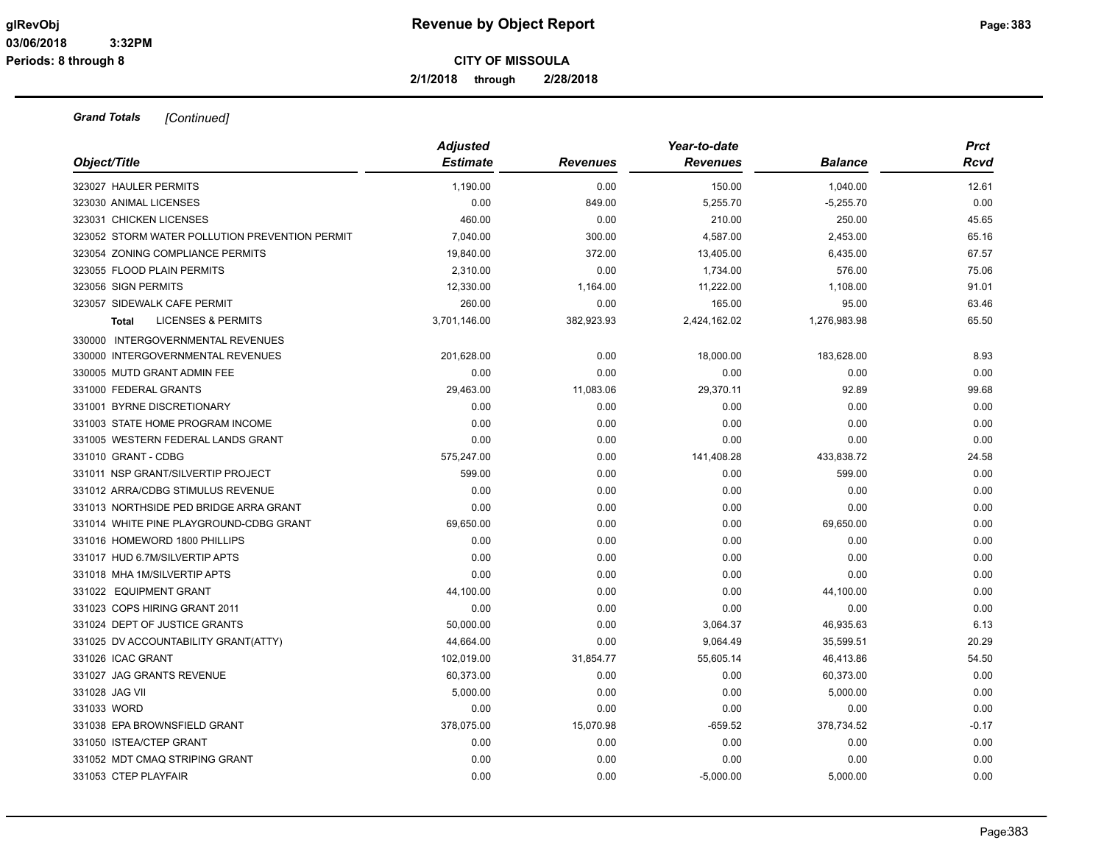**2/1/2018 through 2/28/2018**

|                                                | <b>Adjusted</b> |                 | Year-to-date    |                | <b>Prct</b> |
|------------------------------------------------|-----------------|-----------------|-----------------|----------------|-------------|
| Object/Title                                   | <b>Estimate</b> | <b>Revenues</b> | <b>Revenues</b> | <b>Balance</b> | Rcvd        |
| 323027 HAULER PERMITS                          | 1,190.00        | 0.00            | 150.00          | 1,040.00       | 12.61       |
| 323030 ANIMAL LICENSES                         | 0.00            | 849.00          | 5,255.70        | $-5,255.70$    | 0.00        |
| 323031 CHICKEN LICENSES                        | 460.00          | 0.00            | 210.00          | 250.00         | 45.65       |
| 323052 STORM WATER POLLUTION PREVENTION PERMIT | 7,040.00        | 300.00          | 4,587.00        | 2,453.00       | 65.16       |
| 323054 ZONING COMPLIANCE PERMITS               | 19,840.00       | 372.00          | 13,405.00       | 6,435.00       | 67.57       |
| 323055 FLOOD PLAIN PERMITS                     | 2,310.00        | 0.00            | 1,734.00        | 576.00         | 75.06       |
| 323056 SIGN PERMITS                            | 12,330.00       | 1,164.00        | 11,222.00       | 1,108.00       | 91.01       |
| 323057 SIDEWALK CAFE PERMIT                    | 260.00          | 0.00            | 165.00          | 95.00          | 63.46       |
| <b>LICENSES &amp; PERMITS</b><br><b>Total</b>  | 3,701,146.00    | 382,923.93      | 2,424,162.02    | 1,276,983.98   | 65.50       |
| 330000 INTERGOVERNMENTAL REVENUES              |                 |                 |                 |                |             |
| 330000 INTERGOVERNMENTAL REVENUES              | 201,628.00      | 0.00            | 18,000.00       | 183,628.00     | 8.93        |
| 330005 MUTD GRANT ADMIN FEE                    | 0.00            | 0.00            | 0.00            | 0.00           | 0.00        |
| 331000 FEDERAL GRANTS                          | 29,463.00       | 11,083.06       | 29,370.11       | 92.89          | 99.68       |
| 331001 BYRNE DISCRETIONARY                     | 0.00            | 0.00            | 0.00            | 0.00           | 0.00        |
| 331003 STATE HOME PROGRAM INCOME               | 0.00            | 0.00            | 0.00            | 0.00           | 0.00        |
| 331005 WESTERN FEDERAL LANDS GRANT             | 0.00            | 0.00            | 0.00            | 0.00           | 0.00        |
| 331010 GRANT - CDBG                            | 575,247.00      | 0.00            | 141,408.28      | 433,838.72     | 24.58       |
| 331011 NSP GRANT/SILVERTIP PROJECT             | 599.00          | 0.00            | 0.00            | 599.00         | 0.00        |
| 331012 ARRA/CDBG STIMULUS REVENUE              | 0.00            | 0.00            | 0.00            | 0.00           | 0.00        |
| 331013 NORTHSIDE PED BRIDGE ARRA GRANT         | 0.00            | 0.00            | 0.00            | 0.00           | 0.00        |
| 331014 WHITE PINE PLAYGROUND-CDBG GRANT        | 69,650.00       | 0.00            | 0.00            | 69,650.00      | 0.00        |
| 331016 HOMEWORD 1800 PHILLIPS                  | 0.00            | 0.00            | 0.00            | 0.00           | 0.00        |
| 331017 HUD 6.7M/SILVERTIP APTS                 | 0.00            | 0.00            | 0.00            | 0.00           | 0.00        |
| 331018 MHA 1M/SILVERTIP APTS                   | 0.00            | 0.00            | 0.00            | 0.00           | 0.00        |
| 331022 EQUIPMENT GRANT                         | 44,100.00       | 0.00            | 0.00            | 44,100.00      | 0.00        |
| 331023 COPS HIRING GRANT 2011                  | 0.00            | 0.00            | 0.00            | 0.00           | 0.00        |
| 331024 DEPT OF JUSTICE GRANTS                  | 50,000.00       | 0.00            | 3,064.37        | 46,935.63      | 6.13        |
| 331025 DV ACCOUNTABILITY GRANT(ATTY)           | 44,664.00       | 0.00            | 9,064.49        | 35,599.51      | 20.29       |
| 331026 ICAC GRANT                              | 102,019.00      | 31,854.77       | 55,605.14       | 46,413.86      | 54.50       |
| 331027 JAG GRANTS REVENUE                      | 60,373.00       | 0.00            | 0.00            | 60,373.00      | 0.00        |
| 331028 JAG VII                                 | 5,000.00        | 0.00            | 0.00            | 5,000.00       | 0.00        |
| 331033 WORD                                    | 0.00            | 0.00            | 0.00            | 0.00           | 0.00        |
| 331038 EPA BROWNSFIELD GRANT                   | 378,075.00      | 15,070.98       | $-659.52$       | 378,734.52     | $-0.17$     |
| 331050 ISTEA/CTEP GRANT                        | 0.00            | 0.00            | 0.00            | 0.00           | 0.00        |
| 331052 MDT CMAQ STRIPING GRANT                 | 0.00            | 0.00            | 0.00            | 0.00           | 0.00        |
| 331053 CTEP PLAYFAIR                           | 0.00            | 0.00            | $-5,000.00$     | 5,000.00       | 0.00        |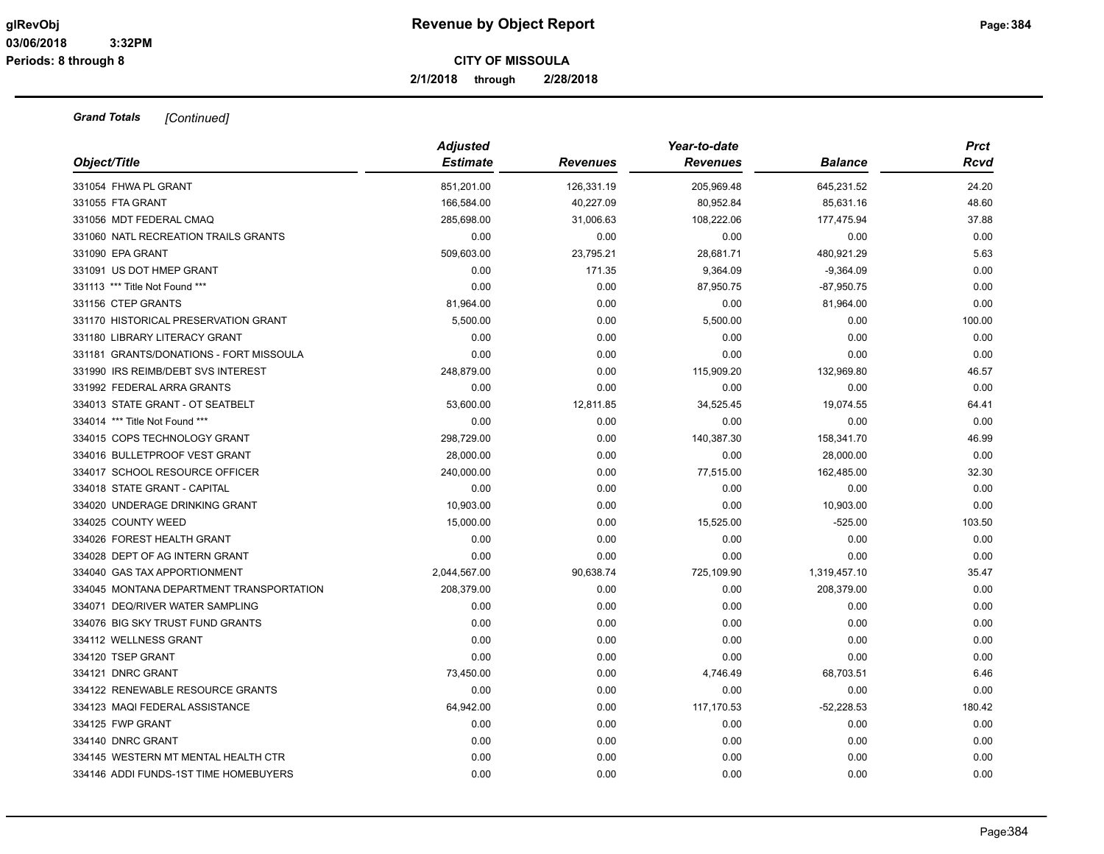**2/1/2018 through 2/28/2018**

|                                          | <b>Adjusted</b> |                 | Year-to-date    |                | <b>Prct</b> |
|------------------------------------------|-----------------|-----------------|-----------------|----------------|-------------|
| Object/Title                             | <b>Estimate</b> | <b>Revenues</b> | <b>Revenues</b> | <b>Balance</b> | Rcvd        |
| 331054 FHWA PL GRANT                     | 851,201.00      | 126,331.19      | 205,969.48      | 645,231.52     | 24.20       |
| 331055 FTA GRANT                         | 166,584.00      | 40,227.09       | 80,952.84       | 85,631.16      | 48.60       |
| 331056 MDT FEDERAL CMAQ                  | 285,698.00      | 31,006.63       | 108,222.06      | 177,475.94     | 37.88       |
| 331060 NATL RECREATION TRAILS GRANTS     | 0.00            | 0.00            | 0.00            | 0.00           | 0.00        |
| 331090 EPA GRANT                         | 509,603.00      | 23,795.21       | 28,681.71       | 480,921.29     | 5.63        |
| 331091 US DOT HMEP GRANT                 | 0.00            | 171.35          | 9,364.09        | $-9,364.09$    | 0.00        |
| 331113 *** Title Not Found ***           | 0.00            | 0.00            | 87,950.75       | $-87,950.75$   | 0.00        |
| 331156 CTEP GRANTS                       | 81,964.00       | 0.00            | 0.00            | 81,964.00      | 0.00        |
| 331170 HISTORICAL PRESERVATION GRANT     | 5,500.00        | 0.00            | 5,500.00        | 0.00           | 100.00      |
| 331180 LIBRARY LITERACY GRANT            | 0.00            | 0.00            | 0.00            | 0.00           | 0.00        |
| 331181 GRANTS/DONATIONS - FORT MISSOULA  | 0.00            | 0.00            | 0.00            | 0.00           | 0.00        |
| 331990 IRS REIMB/DEBT SVS INTEREST       | 248,879.00      | 0.00            | 115,909.20      | 132,969.80     | 46.57       |
| 331992 FEDERAL ARRA GRANTS               | 0.00            | 0.00            | 0.00            | 0.00           | 0.00        |
| 334013 STATE GRANT - OT SEATBELT         | 53,600.00       | 12,811.85       | 34,525.45       | 19,074.55      | 64.41       |
| 334014 *** Title Not Found ***           | 0.00            | 0.00            | 0.00            | 0.00           | 0.00        |
| 334015 COPS TECHNOLOGY GRANT             | 298,729.00      | 0.00            | 140,387.30      | 158,341.70     | 46.99       |
| 334016 BULLETPROOF VEST GRANT            | 28,000.00       | 0.00            | 0.00            | 28,000.00      | 0.00        |
| 334017 SCHOOL RESOURCE OFFICER           | 240,000.00      | 0.00            | 77,515.00       | 162,485.00     | 32.30       |
| 334018 STATE GRANT - CAPITAL             | 0.00            | 0.00            | 0.00            | 0.00           | 0.00        |
| 334020 UNDERAGE DRINKING GRANT           | 10,903.00       | 0.00            | 0.00            | 10,903.00      | 0.00        |
| 334025 COUNTY WEED                       | 15,000.00       | 0.00            | 15,525.00       | $-525.00$      | 103.50      |
| 334026 FOREST HEALTH GRANT               | 0.00            | 0.00            | 0.00            | 0.00           | 0.00        |
| 334028 DEPT OF AG INTERN GRANT           | 0.00            | 0.00            | 0.00            | 0.00           | 0.00        |
| 334040 GAS TAX APPORTIONMENT             | 2,044,567.00    | 90,638.74       | 725,109.90      | 1,319,457.10   | 35.47       |
| 334045 MONTANA DEPARTMENT TRANSPORTATION | 208,379.00      | 0.00            | 0.00            | 208,379.00     | 0.00        |
| 334071 DEQ/RIVER WATER SAMPLING          | 0.00            | 0.00            | 0.00            | 0.00           | 0.00        |
| 334076 BIG SKY TRUST FUND GRANTS         | 0.00            | 0.00            | 0.00            | 0.00           | 0.00        |
| 334112 WELLNESS GRANT                    | 0.00            | 0.00            | 0.00            | 0.00           | 0.00        |
| 334120 TSEP GRANT                        | 0.00            | 0.00            | 0.00            | 0.00           | 0.00        |
| 334121 DNRC GRANT                        | 73,450.00       | 0.00            | 4,746.49        | 68,703.51      | 6.46        |
| 334122 RENEWABLE RESOURCE GRANTS         | 0.00            | 0.00            | 0.00            | 0.00           | 0.00        |
| 334123 MAQI FEDERAL ASSISTANCE           | 64,942.00       | 0.00            | 117,170.53      | $-52,228.53$   | 180.42      |
| 334125 FWP GRANT                         | 0.00            | 0.00            | 0.00            | 0.00           | 0.00        |
| 334140 DNRC GRANT                        | 0.00            | 0.00            | 0.00            | 0.00           | 0.00        |
| 334145 WESTERN MT MENTAL HEALTH CTR      | 0.00            | 0.00            | 0.00            | 0.00           | 0.00        |
| 334146 ADDI FUNDS-1ST TIME HOMEBUYERS    | 0.00            | 0.00            | 0.00            | 0.00           | 0.00        |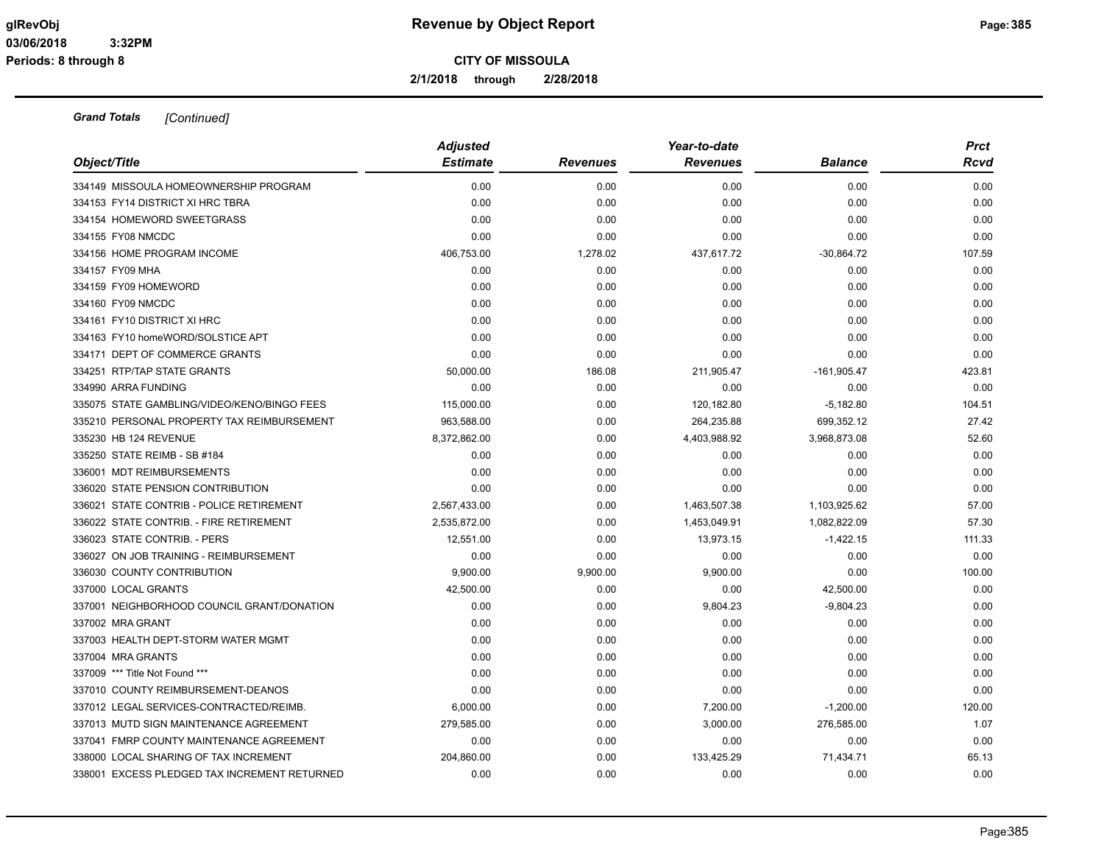**2/1/2018 through 2/28/2018**

| Object/Title                                                        | <b>Adjusted</b><br><b>Estimate</b> | <b>Revenues</b> | Year-to-date<br><b>Revenues</b> | <b>Balance</b> | <b>Prct</b><br>Rcvd |
|---------------------------------------------------------------------|------------------------------------|-----------------|---------------------------------|----------------|---------------------|
| 334149 MISSOULA HOMEOWNERSHIP PROGRAM                               | 0.00                               | 0.00            | 0.00                            | 0.00           | 0.00                |
| 334153 FY14 DISTRICT XI HRC TBRA                                    | 0.00                               | 0.00            | 0.00                            | 0.00           | 0.00                |
| 334154 HOMEWORD SWEETGRASS                                          | 0.00                               | 0.00            | 0.00                            | 0.00           | 0.00                |
| 334155 FY08 NMCDC                                                   | 0.00                               | 0.00            | 0.00                            | 0.00           | 0.00                |
| 334156 HOME PROGRAM INCOME                                          | 406,753.00                         | 1,278.02        | 437,617.72                      | $-30,864.72$   | 107.59              |
| 334157 FY09 MHA                                                     | 0.00                               | 0.00            | 0.00                            | 0.00           | 0.00                |
| 334159 FY09 HOMEWORD                                                | 0.00                               | 0.00            | 0.00                            | 0.00           | 0.00                |
| 334160 FY09 NMCDC                                                   | 0.00                               | 0.00            | 0.00                            | 0.00           | 0.00                |
| 334161 FY10 DISTRICT XI HRC                                         | 0.00                               | 0.00            | 0.00                            | 0.00           | 0.00                |
|                                                                     |                                    |                 |                                 |                |                     |
| 334163 FY10 homeWORD/SOLSTICE APT<br>334171 DEPT OF COMMERCE GRANTS | 0.00                               | 0.00            | 0.00                            | 0.00<br>0.00   | 0.00<br>0.00        |
| 334251 RTP/TAP STATE GRANTS                                         | 0.00                               | 0.00            | 0.00                            |                |                     |
| 334990 ARRA FUNDING                                                 | 50,000.00<br>0.00                  | 186.08<br>0.00  | 211,905.47                      | $-161,905.47$  | 423.81<br>0.00      |
|                                                                     |                                    |                 | 0.00                            | 0.00           |                     |
| 335075 STATE GAMBLING/VIDEO/KENO/BINGO FEES                         | 115,000.00                         | 0.00            | 120,182.80                      | $-5,182.80$    | 104.51              |
| 335210 PERSONAL PROPERTY TAX REIMBURSEMENT<br>335230 HB 124 REVENUE | 963,588.00                         | 0.00            | 264,235.88                      | 699,352.12     | 27.42<br>52.60      |
| 335250 STATE REIMB - SB #184                                        | 8,372,862.00<br>0.00               | 0.00            | 4,403,988.92                    | 3,968,873.08   | 0.00                |
|                                                                     |                                    | 0.00            | 0.00                            | 0.00           |                     |
| 336001 MDT REIMBURSEMENTS                                           | 0.00                               | 0.00            | 0.00                            | 0.00           | 0.00                |
| 336020 STATE PENSION CONTRIBUTION                                   | 0.00                               | 0.00            | 0.00                            | 0.00           | 0.00                |
| 336021 STATE CONTRIB - POLICE RETIREMENT                            | 2,567,433.00                       | 0.00            | 1,463,507.38                    | 1,103,925.62   | 57.00               |
| 336022 STATE CONTRIB. - FIRE RETIREMENT                             | 2,535,872.00                       | 0.00            | 1,453,049.91                    | 1,082,822.09   | 57.30               |
| 336023 STATE CONTRIB. - PERS                                        | 12,551.00                          | 0.00            | 13,973.15                       | $-1,422.15$    | 111.33              |
| 336027 ON JOB TRAINING - REIMBURSEMENT                              | 0.00                               | 0.00            | 0.00                            | 0.00           | 0.00                |
| 336030 COUNTY CONTRIBUTION                                          | 9,900.00                           | 9,900.00        | 9,900.00                        | 0.00           | 100.00              |
| 337000 LOCAL GRANTS                                                 | 42,500.00                          | 0.00            | 0.00                            | 42,500.00      | 0.00                |
| 337001 NEIGHBORHOOD COUNCIL GRANT/DONATION                          | 0.00                               | 0.00            | 9,804.23                        | $-9,804.23$    | 0.00                |
| 337002 MRA GRANT                                                    | 0.00                               | 0.00            | 0.00                            | 0.00           | 0.00                |
| 337003 HEALTH DEPT-STORM WATER MGMT                                 | 0.00                               | 0.00            | 0.00                            | 0.00           | 0.00                |
| 337004 MRA GRANTS                                                   | 0.00                               | 0.00            | 0.00                            | 0.00           | 0.00                |
| 337009 *** Title Not Found ***                                      | 0.00                               | 0.00            | 0.00                            | 0.00           | 0.00                |
| 337010 COUNTY REIMBURSEMENT-DEANOS                                  | 0.00                               | 0.00            | 0.00                            | 0.00           | 0.00                |
| 337012 LEGAL SERVICES-CONTRACTED/REIMB.                             | 6,000.00                           | 0.00            | 7,200.00                        | $-1,200.00$    | 120.00              |
| 337013 MUTD SIGN MAINTENANCE AGREEMENT                              | 279,585.00                         | 0.00            | 3,000.00                        | 276,585.00     | 1.07                |
| 337041 FMRP COUNTY MAINTENANCE AGREEMENT                            | 0.00                               | 0.00            | 0.00                            | 0.00           | 0.00                |
| 338000 LOCAL SHARING OF TAX INCREMENT                               | 204,860.00                         | 0.00            | 133,425.29                      | 71,434.71      | 65.13               |
| 338001 EXCESS PLEDGED TAX INCREMENT RETURNED                        | 0.00                               | 0.00            | 0.00                            | 0.00           | 0.00                |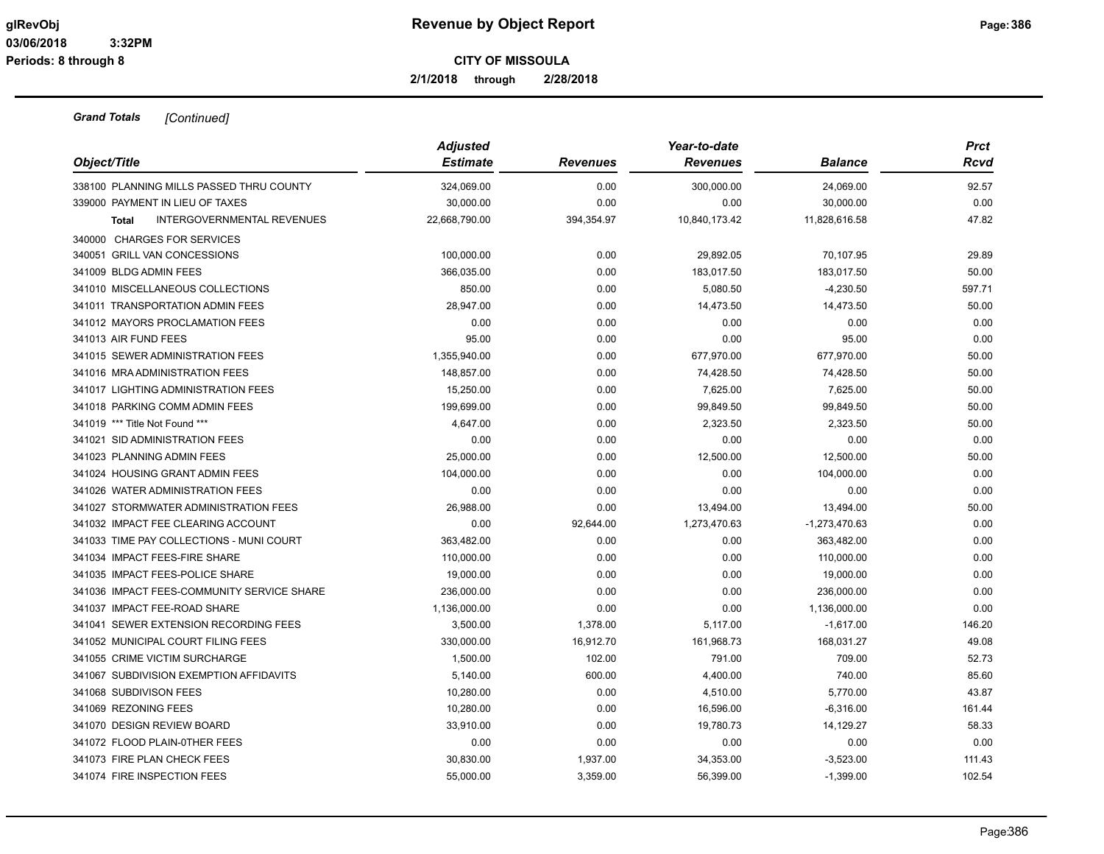**2/1/2018 through 2/28/2018**

| Object/Title                                      | <b>Adjusted</b> |                 | Year-to-date    |                 | <b>Prct</b> |
|---------------------------------------------------|-----------------|-----------------|-----------------|-----------------|-------------|
|                                                   | <b>Estimate</b> | <b>Revenues</b> | <b>Revenues</b> | <b>Balance</b>  | <b>Rcvd</b> |
| 338100 PLANNING MILLS PASSED THRU COUNTY          | 324,069.00      | 0.00            | 300,000.00      | 24,069.00       | 92.57       |
| 339000 PAYMENT IN LIEU OF TAXES                   | 30,000.00       | 0.00            | 0.00            | 30,000.00       | 0.00        |
| <b>INTERGOVERNMENTAL REVENUES</b><br><b>Total</b> | 22,668,790.00   | 394,354.97      | 10,840,173.42   | 11,828,616.58   | 47.82       |
| 340000 CHARGES FOR SERVICES                       |                 |                 |                 |                 |             |
| 340051 GRILL VAN CONCESSIONS                      | 100,000.00      | 0.00            | 29,892.05       | 70,107.95       | 29.89       |
| 341009 BLDG ADMIN FEES                            | 366,035.00      | 0.00            | 183,017.50      | 183,017.50      | 50.00       |
| 341010 MISCELLANEOUS COLLECTIONS                  | 850.00          | 0.00            | 5,080.50        | $-4,230.50$     | 597.71      |
| 341011 TRANSPORTATION ADMIN FEES                  | 28,947.00       | 0.00            | 14,473.50       | 14,473.50       | 50.00       |
| 341012 MAYORS PROCLAMATION FEES                   | 0.00            | 0.00            | 0.00            | 0.00            | 0.00        |
| 341013 AIR FUND FEES                              | 95.00           | 0.00            | 0.00            | 95.00           | 0.00        |
| 341015 SEWER ADMINISTRATION FEES                  | 1,355,940.00    | 0.00            | 677,970.00      | 677,970.00      | 50.00       |
| 341016 MRA ADMINISTRATION FEES                    | 148,857.00      | 0.00            | 74,428.50       | 74,428.50       | 50.00       |
| 341017 LIGHTING ADMINISTRATION FEES               | 15,250.00       | 0.00            | 7,625.00        | 7,625.00        | 50.00       |
| 341018 PARKING COMM ADMIN FEES                    | 199,699.00      | 0.00            | 99,849.50       | 99,849.50       | 50.00       |
| 341019 *** Title Not Found ***                    | 4,647.00        | 0.00            | 2,323.50        | 2,323.50        | 50.00       |
| 341021 SID ADMINISTRATION FEES                    | 0.00            | 0.00            | 0.00            | 0.00            | 0.00        |
| 341023 PLANNING ADMIN FEES                        | 25,000.00       | 0.00            | 12,500.00       | 12,500.00       | 50.00       |
| 341024 HOUSING GRANT ADMIN FEES                   | 104,000.00      | 0.00            | 0.00            | 104,000.00      | 0.00        |
| 341026 WATER ADMINISTRATION FEES                  | 0.00            | 0.00            | 0.00            | 0.00            | 0.00        |
| 341027 STORMWATER ADMINISTRATION FEES             | 26,988.00       | 0.00            | 13,494.00       | 13,494.00       | 50.00       |
| 341032 IMPACT FEE CLEARING ACCOUNT                | 0.00            | 92,644.00       | 1,273,470.63    | $-1,273,470.63$ | 0.00        |
| 341033 TIME PAY COLLECTIONS - MUNI COURT          | 363,482.00      | 0.00            | 0.00            | 363,482.00      | 0.00        |
| 341034 IMPACT FEES-FIRE SHARE                     | 110,000.00      | 0.00            | 0.00            | 110,000.00      | 0.00        |
| 341035 IMPACT FEES-POLICE SHARE                   | 19,000.00       | 0.00            | 0.00            | 19,000.00       | 0.00        |
| 341036 IMPACT FEES-COMMUNITY SERVICE SHARE        | 236,000.00      | 0.00            | 0.00            | 236,000.00      | 0.00        |
| 341037 IMPACT FEE-ROAD SHARE                      | 1,136,000.00    | 0.00            | 0.00            | 1,136,000.00    | 0.00        |
| 341041 SEWER EXTENSION RECORDING FEES             | 3,500.00        | 1,378.00        | 5,117.00        | $-1,617.00$     | 146.20      |
| 341052 MUNICIPAL COURT FILING FEES                | 330,000.00      | 16,912.70       | 161,968.73      | 168,031.27      | 49.08       |
| 341055 CRIME VICTIM SURCHARGE                     | 1,500.00        | 102.00          | 791.00          | 709.00          | 52.73       |
| 341067 SUBDIVISION EXEMPTION AFFIDAVITS           | 5,140.00        | 600.00          | 4,400.00        | 740.00          | 85.60       |
| 341068 SUBDIVISON FEES                            | 10,280.00       | 0.00            | 4,510.00        | 5,770.00        | 43.87       |
| 341069 REZONING FEES                              | 10,280.00       | 0.00            | 16,596.00       | $-6,316.00$     | 161.44      |
| 341070 DESIGN REVIEW BOARD                        | 33,910.00       | 0.00            | 19,780.73       | 14,129.27       | 58.33       |
| 341072 FLOOD PLAIN-0THER FEES                     | 0.00            | 0.00            | 0.00            | 0.00            | 0.00        |
| 341073 FIRE PLAN CHECK FEES                       | 30,830.00       | 1,937.00        | 34,353.00       | $-3,523.00$     | 111.43      |
| 341074 FIRE INSPECTION FEES                       | 55,000.00       | 3,359.00        | 56,399.00       | $-1,399.00$     | 102.54      |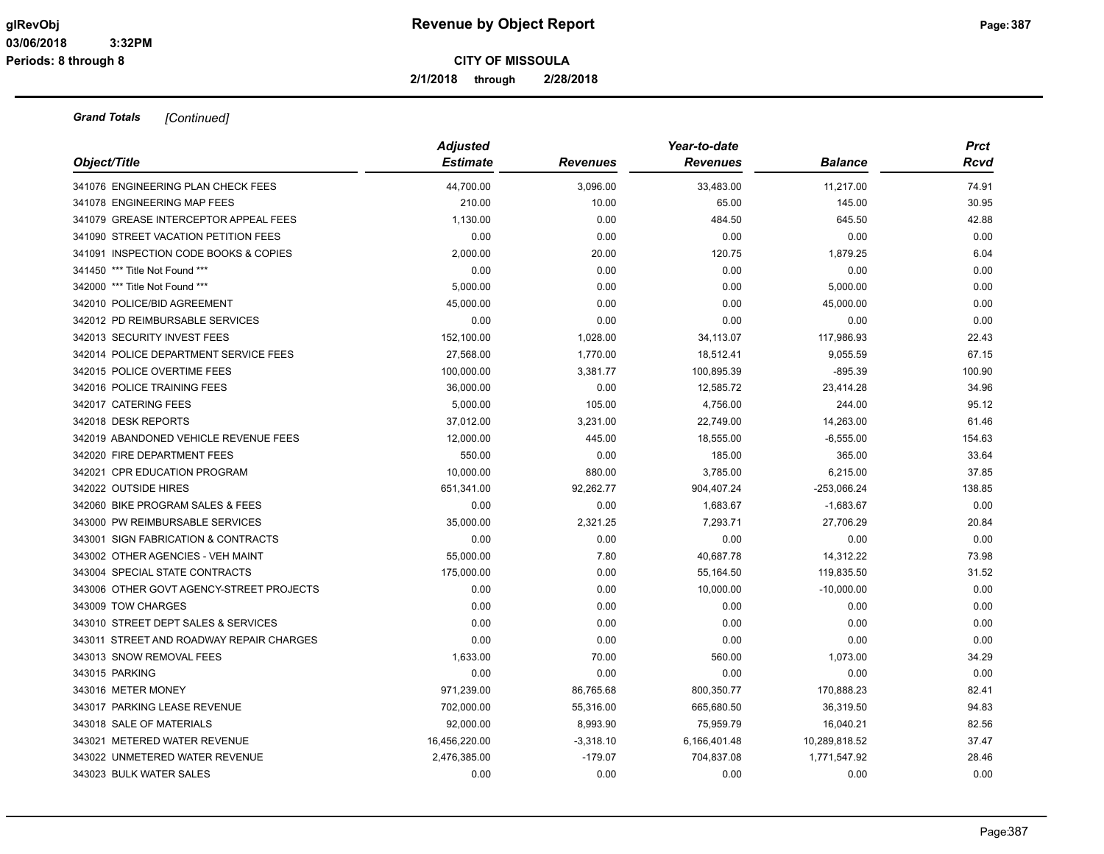**2/1/2018 through 2/28/2018**

| Object/Title                             | <b>Adjusted</b><br><b>Estimate</b> | <b>Revenues</b> | Year-to-date<br><b>Revenues</b> | <b>Balance</b> | <b>Prct</b><br>Rcvd |
|------------------------------------------|------------------------------------|-----------------|---------------------------------|----------------|---------------------|
|                                          |                                    |                 |                                 |                |                     |
| 341076 ENGINEERING PLAN CHECK FEES       | 44,700.00                          | 3,096.00        | 33,483.00                       | 11,217.00      | 74.91               |
| 341078 ENGINEERING MAP FEES              | 210.00                             | 10.00           | 65.00                           | 145.00         | 30.95               |
| 341079 GREASE INTERCEPTOR APPEAL FEES    | 1,130.00                           | 0.00            | 484.50                          | 645.50         | 42.88               |
| 341090 STREET VACATION PETITION FEES     | 0.00                               | 0.00            | 0.00                            | 0.00           | 0.00                |
| 341091 INSPECTION CODE BOOKS & COPIES    | 2,000.00                           | 20.00           | 120.75                          | 1,879.25       | 6.04                |
| 341450 *** Title Not Found ***           | 0.00                               | 0.00            | 0.00                            | 0.00           | 0.00                |
| 342000 *** Title Not Found ***           | 5,000.00                           | 0.00            | 0.00                            | 5,000.00       | 0.00                |
| 342010 POLICE/BID AGREEMENT              | 45,000.00                          | 0.00            | 0.00                            | 45,000.00      | 0.00                |
| 342012 PD REIMBURSABLE SERVICES          | 0.00                               | 0.00            | 0.00                            | 0.00           | 0.00                |
| 342013 SECURITY INVEST FEES              | 152,100.00                         | 1,028.00        | 34,113.07                       | 117,986.93     | 22.43               |
| 342014 POLICE DEPARTMENT SERVICE FEES    | 27,568.00                          | 1,770.00        | 18,512.41                       | 9,055.59       | 67.15               |
| 342015 POLICE OVERTIME FEES              | 100,000.00                         | 3,381.77        | 100,895.39                      | $-895.39$      | 100.90              |
| 342016 POLICE TRAINING FEES              | 36,000.00                          | 0.00            | 12,585.72                       | 23,414.28      | 34.96               |
| 342017 CATERING FEES                     | 5,000.00                           | 105.00          | 4,756.00                        | 244.00         | 95.12               |
| 342018 DESK REPORTS                      | 37,012.00                          | 3,231.00        | 22,749.00                       | 14,263.00      | 61.46               |
| 342019 ABANDONED VEHICLE REVENUE FEES    | 12,000.00                          | 445.00          | 18,555.00                       | $-6,555.00$    | 154.63              |
| 342020 FIRE DEPARTMENT FEES              | 550.00                             | 0.00            | 185.00                          | 365.00         | 33.64               |
| 342021 CPR EDUCATION PROGRAM             | 10,000.00                          | 880.00          | 3,785.00                        | 6,215.00       | 37.85               |
| 342022 OUTSIDE HIRES                     | 651,341.00                         | 92,262.77       | 904,407.24                      | $-253,066.24$  | 138.85              |
| 342060 BIKE PROGRAM SALES & FEES         | 0.00                               | 0.00            | 1,683.67                        | $-1,683.67$    | 0.00                |
| 343000 PW REIMBURSABLE SERVICES          | 35,000.00                          | 2,321.25        | 7,293.71                        | 27,706.29      | 20.84               |
| 343001 SIGN FABRICATION & CONTRACTS      | 0.00                               | 0.00            | 0.00                            | 0.00           | 0.00                |
| 343002 OTHER AGENCIES - VEH MAINT        | 55,000.00                          | 7.80            | 40,687.78                       | 14,312.22      | 73.98               |
| 343004 SPECIAL STATE CONTRACTS           | 175,000.00                         | 0.00            | 55,164.50                       | 119,835.50     | 31.52               |
| 343006 OTHER GOVT AGENCY-STREET PROJECTS | 0.00                               | 0.00            | 10,000.00                       | $-10,000.00$   | 0.00                |
| 343009 TOW CHARGES                       | 0.00                               | 0.00            | 0.00                            | 0.00           | 0.00                |
| 343010 STREET DEPT SALES & SERVICES      | 0.00                               | 0.00            | 0.00                            | 0.00           | 0.00                |
| 343011 STREET AND ROADWAY REPAIR CHARGES | 0.00                               | 0.00            | 0.00                            | 0.00           | 0.00                |
| 343013 SNOW REMOVAL FEES                 | 1,633.00                           | 70.00           | 560.00                          | 1,073.00       | 34.29               |
| 343015 PARKING                           | 0.00                               | 0.00            | 0.00                            | 0.00           | 0.00                |
| 343016 METER MONEY                       | 971,239.00                         | 86,765.68       | 800,350.77                      | 170,888.23     | 82.41               |
| 343017 PARKING LEASE REVENUE             | 702,000.00                         | 55,316.00       | 665,680.50                      | 36,319.50      | 94.83               |
| 343018 SALE OF MATERIALS                 | 92,000.00                          | 8,993.90        | 75,959.79                       | 16,040.21      | 82.56               |
| 343021 METERED WATER REVENUE             | 16,456,220.00                      | $-3,318.10$     | 6,166,401.48                    | 10,289,818.52  | 37.47               |
| 343022 UNMETERED WATER REVENUE           | 2,476,385.00                       | $-179.07$       | 704,837.08                      | 1,771,547.92   | 28.46               |
| 343023 BULK WATER SALES                  | 0.00                               | 0.00            | 0.00                            | 0.00           | 0.00                |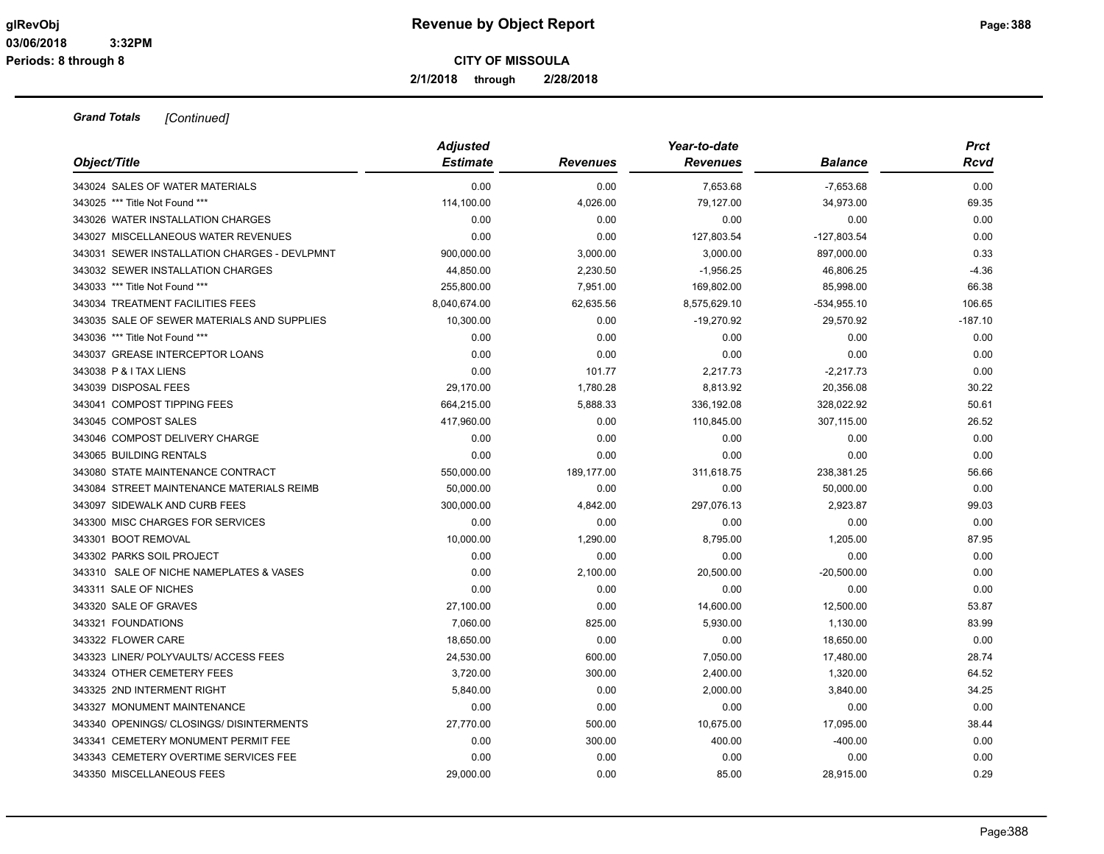**2/1/2018 through 2/28/2018**

| Object/Title                                 | <b>Adjusted</b><br><b>Estimate</b> | <b>Revenues</b> | Year-to-date<br><b>Revenues</b> | <b>Balance</b> | <b>Prct</b><br>Rcvd |
|----------------------------------------------|------------------------------------|-----------------|---------------------------------|----------------|---------------------|
| 343024 SALES OF WATER MATERIALS              | 0.00                               | 0.00            | 7,653.68                        | $-7,653.68$    | 0.00                |
| 343025 *** Title Not Found ***               | 114,100.00                         | 4,026.00        | 79,127.00                       | 34,973.00      | 69.35               |
| 343026 WATER INSTALLATION CHARGES            | 0.00                               | 0.00            | 0.00                            | 0.00           | 0.00                |
| 343027 MISCELLANEOUS WATER REVENUES          | 0.00                               | 0.00            | 127,803.54                      | $-127,803.54$  | 0.00                |
| 343031 SEWER INSTALLATION CHARGES - DEVLPMNT | 900,000.00                         | 3,000.00        | 3,000.00                        | 897,000.00     | 0.33                |
| 343032 SEWER INSTALLATION CHARGES            | 44,850.00                          | 2,230.50        | $-1,956.25$                     | 46,806.25      | $-4.36$             |
| 343033 *** Title Not Found ***               | 255,800.00                         | 7,951.00        | 169,802.00                      | 85,998.00      | 66.38               |
| 343034 TREATMENT FACILITIES FEES             | 8,040,674.00                       | 62,635.56       | 8,575,629.10                    | $-534,955.10$  | 106.65              |
| 343035 SALE OF SEWER MATERIALS AND SUPPLIES  | 10,300.00                          | 0.00            | $-19,270.92$                    | 29,570.92      | $-187.10$           |
| 343036 *** Title Not Found ***               | 0.00                               | 0.00            | 0.00                            | 0.00           | 0.00                |
| 343037 GREASE INTERCEPTOR LOANS              | 0.00                               | 0.00            | 0.00                            | 0.00           | 0.00                |
| 343038 P & I TAX LIENS                       | 0.00                               | 101.77          | 2,217.73                        | $-2,217.73$    | 0.00                |
| 343039 DISPOSAL FEES                         | 29,170.00                          | 1,780.28        | 8,813.92                        | 20,356.08      | 30.22               |
| 343041 COMPOST TIPPING FEES                  | 664,215.00                         | 5,888.33        | 336,192.08                      | 328,022.92     | 50.61               |
| 343045 COMPOST SALES                         | 417,960.00                         | 0.00            | 110,845.00                      | 307,115.00     | 26.52               |
| 343046 COMPOST DELIVERY CHARGE               | 0.00                               | 0.00            | 0.00                            | 0.00           | 0.00                |
| 343065 BUILDING RENTALS                      | 0.00                               | 0.00            | 0.00                            | 0.00           | 0.00                |
| 343080 STATE MAINTENANCE CONTRACT            | 550,000.00                         | 189,177.00      | 311,618.75                      | 238,381.25     | 56.66               |
| 343084 STREET MAINTENANCE MATERIALS REIMB    | 50,000.00                          | 0.00            | 0.00                            | 50,000.00      | 0.00                |
| 343097 SIDEWALK AND CURB FEES                | 300,000.00                         | 4,842.00        | 297,076.13                      | 2,923.87       | 99.03               |
| 343300 MISC CHARGES FOR SERVICES             | 0.00                               | 0.00            | 0.00                            | 0.00           | 0.00                |
| 343301 BOOT REMOVAL                          | 10,000.00                          | 1,290.00        | 8,795.00                        | 1,205.00       | 87.95               |
| 343302 PARKS SOIL PROJECT                    | 0.00                               | 0.00            | 0.00                            | 0.00           | 0.00                |
| 343310 SALE OF NICHE NAMEPLATES & VASES      | 0.00                               | 2,100.00        | 20,500.00                       | $-20,500.00$   | 0.00                |
| 343311 SALE OF NICHES                        | 0.00                               | 0.00            | 0.00                            | 0.00           | 0.00                |
| 343320 SALE OF GRAVES                        | 27,100.00                          | 0.00            | 14,600.00                       | 12,500.00      | 53.87               |
| 343321 FOUNDATIONS                           | 7,060.00                           | 825.00          | 5,930.00                        | 1,130.00       | 83.99               |
| 343322 FLOWER CARE                           | 18,650.00                          | 0.00            | 0.00                            | 18,650.00      | 0.00                |
| 343323 LINER/ POLYVAULTS/ ACCESS FEES        | 24,530.00                          | 600.00          | 7,050.00                        | 17,480.00      | 28.74               |
| 343324 OTHER CEMETERY FEES                   | 3,720.00                           | 300.00          | 2,400.00                        | 1,320.00       | 64.52               |
| 343325 2ND INTERMENT RIGHT                   | 5,840.00                           | 0.00            | 2,000.00                        | 3,840.00       | 34.25               |
| 343327 MONUMENT MAINTENANCE                  | 0.00                               | 0.00            | 0.00                            | 0.00           | 0.00                |
| 343340 OPENINGS/ CLOSINGS/ DISINTERMENTS     | 27,770.00                          | 500.00          | 10,675.00                       | 17,095.00      | 38.44               |
| 343341 CEMETERY MONUMENT PERMIT FEE          | 0.00                               | 300.00          | 400.00                          | $-400.00$      | 0.00                |
| 343343 CEMETERY OVERTIME SERVICES FEE        | 0.00                               | 0.00            | 0.00                            | 0.00           | 0.00                |
| 343350 MISCELLANEOUS FEES                    | 29.000.00                          | 0.00            | 85.00                           | 28.915.00      | 0.29                |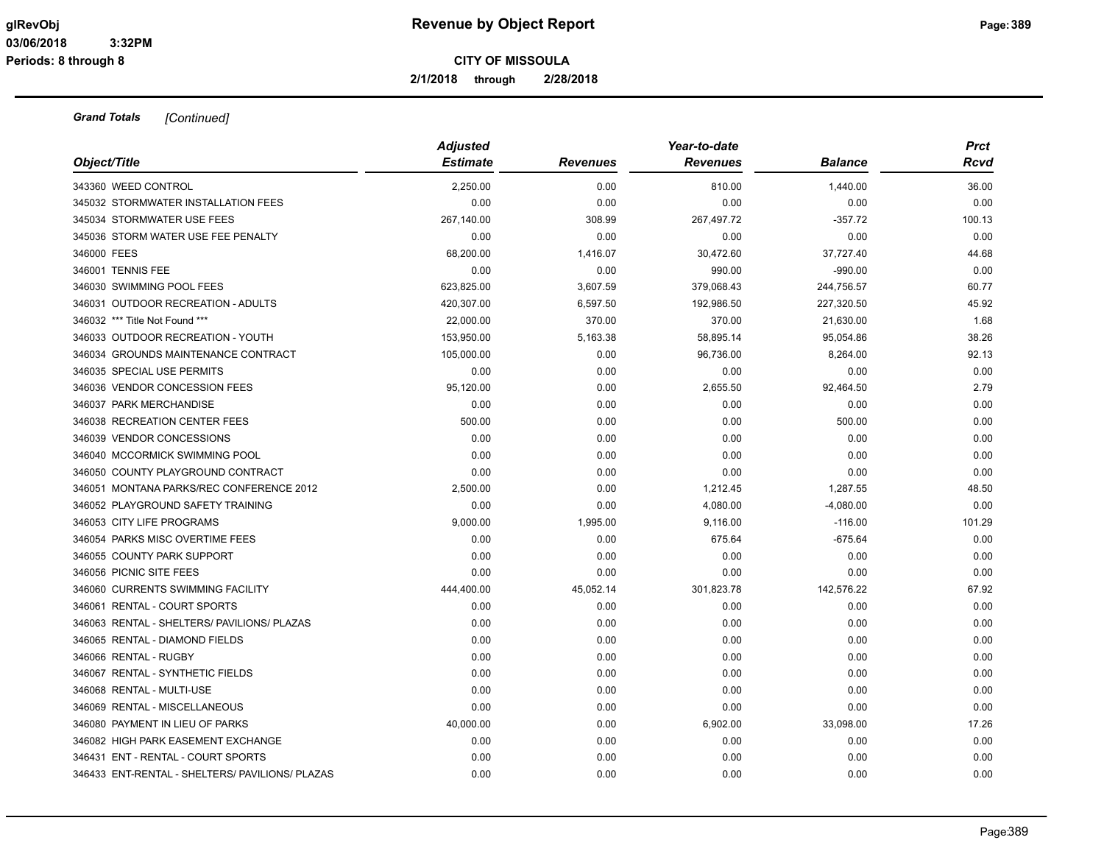**2/1/2018 through 2/28/2018**

|                                                 | <b>Adjusted</b> |                 | Year-to-date    |                | <b>Prct</b> |
|-------------------------------------------------|-----------------|-----------------|-----------------|----------------|-------------|
| Object/Title                                    | <b>Estimate</b> | <b>Revenues</b> | <b>Revenues</b> | <b>Balance</b> | Rcvd        |
| 343360 WEED CONTROL                             | 2,250.00        | 0.00            | 810.00          | 1,440.00       | 36.00       |
| 345032 STORMWATER INSTALLATION FEES             | 0.00            | 0.00            | 0.00            | 0.00           | 0.00        |
| 345034 STORMWATER USE FEES                      | 267,140.00      | 308.99          | 267,497.72      | $-357.72$      | 100.13      |
| 345036 STORM WATER USE FEE PENALTY              | 0.00            | 0.00            | 0.00            | 0.00           | 0.00        |
| 346000 FEES                                     | 68,200.00       | 1,416.07        | 30,472.60       | 37,727.40      | 44.68       |
| 346001 TENNIS FEE                               | 0.00            | 0.00            | 990.00          | $-990.00$      | 0.00        |
| 346030 SWIMMING POOL FEES                       | 623,825.00      | 3,607.59        | 379,068.43      | 244,756.57     | 60.77       |
| 346031 OUTDOOR RECREATION - ADULTS              | 420,307.00      | 6,597.50        | 192,986.50      | 227,320.50     | 45.92       |
| 346032 *** Title Not Found ***                  | 22,000.00       | 370.00          | 370.00          | 21,630.00      | 1.68        |
| 346033 OUTDOOR RECREATION - YOUTH               | 153,950.00      | 5,163.38        | 58,895.14       | 95,054.86      | 38.26       |
| 346034 GROUNDS MAINTENANCE CONTRACT             | 105,000.00      | 0.00            | 96,736.00       | 8,264.00       | 92.13       |
| 346035 SPECIAL USE PERMITS                      | 0.00            | 0.00            | 0.00            | 0.00           | 0.00        |
| 346036 VENDOR CONCESSION FEES                   | 95,120.00       | 0.00            | 2,655.50        | 92,464.50      | 2.79        |
| 346037 PARK MERCHANDISE                         | 0.00            | 0.00            | 0.00            | 0.00           | 0.00        |
| 346038 RECREATION CENTER FEES                   | 500.00          | 0.00            | 0.00            | 500.00         | 0.00        |
| 346039 VENDOR CONCESSIONS                       | 0.00            | 0.00            | 0.00            | 0.00           | 0.00        |
| 346040 MCCORMICK SWIMMING POOL                  | 0.00            | 0.00            | 0.00            | 0.00           | 0.00        |
| 346050 COUNTY PLAYGROUND CONTRACT               | 0.00            | 0.00            | 0.00            | 0.00           | 0.00        |
| 346051 MONTANA PARKS/REC CONFERENCE 2012        | 2,500.00        | 0.00            | 1,212.45        | 1,287.55       | 48.50       |
| 346052 PLAYGROUND SAFETY TRAINING               | 0.00            | 0.00            | 4,080.00        | $-4,080.00$    | 0.00        |
| 346053 CITY LIFE PROGRAMS                       | 9,000.00        | 1,995.00        | 9,116.00        | $-116.00$      | 101.29      |
| 346054 PARKS MISC OVERTIME FEES                 | 0.00            | 0.00            | 675.64          | $-675.64$      | 0.00        |
| 346055 COUNTY PARK SUPPORT                      | 0.00            | 0.00            | 0.00            | 0.00           | 0.00        |
| 346056 PICNIC SITE FEES                         | 0.00            | 0.00            | 0.00            | 0.00           | 0.00        |
| 346060 CURRENTS SWIMMING FACILITY               | 444,400.00      | 45,052.14       | 301,823.78      | 142,576.22     | 67.92       |
| 346061 RENTAL - COURT SPORTS                    | 0.00            | 0.00            | 0.00            | 0.00           | 0.00        |
| 346063 RENTAL - SHELTERS/ PAVILIONS/ PLAZAS     | 0.00            | 0.00            | 0.00            | 0.00           | 0.00        |
| 346065 RENTAL - DIAMOND FIELDS                  | 0.00            | 0.00            | 0.00            | 0.00           | 0.00        |
| 346066 RENTAL - RUGBY                           | 0.00            | 0.00            | 0.00            | 0.00           | 0.00        |
| 346067 RENTAL - SYNTHETIC FIELDS                | 0.00            | 0.00            | 0.00            | 0.00           | 0.00        |
| 346068 RENTAL - MULTI-USE                       | 0.00            | 0.00            | 0.00            | 0.00           | 0.00        |
| 346069 RENTAL - MISCELLANEOUS                   | 0.00            | 0.00            | 0.00            | 0.00           | 0.00        |
| 346080 PAYMENT IN LIEU OF PARKS                 | 40,000.00       | 0.00            | 6,902.00        | 33,098.00      | 17.26       |
| 346082 HIGH PARK EASEMENT EXCHANGE              | 0.00            | 0.00            | 0.00            | 0.00           | 0.00        |
| 346431 ENT - RENTAL - COURT SPORTS              | 0.00            | 0.00            | 0.00            | 0.00           | 0.00        |
| 346433 ENT-RENTAL - SHELTERS/ PAVILIONS/ PLAZAS | 0.00            | 0.00            | 0.00            | 0.00           | 0.00        |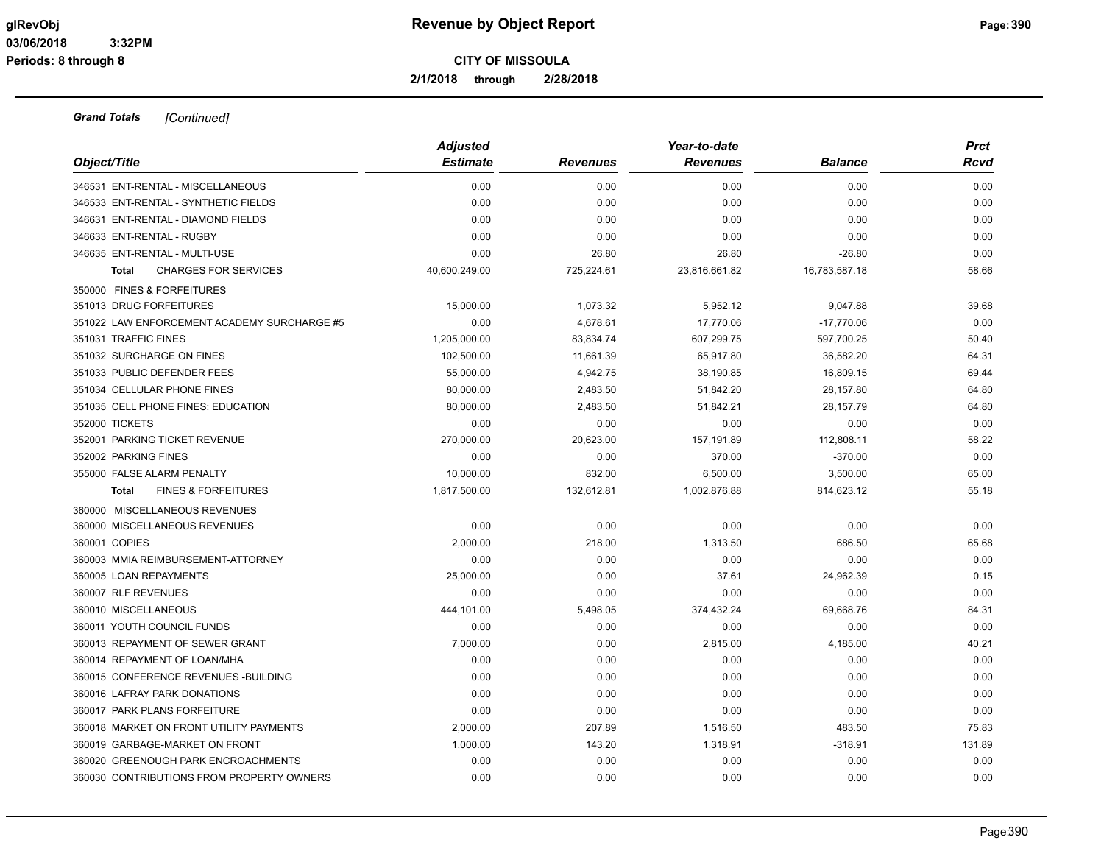**2/1/2018 through 2/28/2018**

|                                                | <b>Adjusted</b> |                 | Year-to-date    |                | <b>Prct</b> |
|------------------------------------------------|-----------------|-----------------|-----------------|----------------|-------------|
| Object/Title                                   | <b>Estimate</b> | <b>Revenues</b> | <b>Revenues</b> | <b>Balance</b> | Rcvd        |
| 346531 ENT-RENTAL - MISCELLANEOUS              | 0.00            | 0.00            | 0.00            | 0.00           | 0.00        |
| 346533 ENT-RENTAL - SYNTHETIC FIELDS           | 0.00            | 0.00            | 0.00            | 0.00           | 0.00        |
| 346631 ENT-RENTAL - DIAMOND FIELDS             | 0.00            | 0.00            | 0.00            | 0.00           | 0.00        |
| 346633 ENT-RENTAL - RUGBY                      | 0.00            | 0.00            | 0.00            | 0.00           | 0.00        |
| 346635 ENT-RENTAL - MULTI-USE                  | 0.00            | 26.80           | 26.80           | $-26.80$       | 0.00        |
| <b>CHARGES FOR SERVICES</b><br><b>Total</b>    | 40,600,249.00   | 725,224.61      | 23,816,661.82   | 16,783,587.18  | 58.66       |
| 350000 FINES & FORFEITURES                     |                 |                 |                 |                |             |
| 351013 DRUG FORFEITURES                        | 15,000.00       | 1,073.32        | 5,952.12        | 9,047.88       | 39.68       |
| 351022 LAW ENFORCEMENT ACADEMY SURCHARGE #5    | 0.00            | 4,678.61        | 17,770.06       | $-17,770.06$   | 0.00        |
| 351031 TRAFFIC FINES                           | 1,205,000.00    | 83,834.74       | 607,299.75      | 597,700.25     | 50.40       |
| 351032 SURCHARGE ON FINES                      | 102,500.00      | 11,661.39       | 65,917.80       | 36,582.20      | 64.31       |
| 351033 PUBLIC DEFENDER FEES                    | 55,000.00       | 4,942.75        | 38,190.85       | 16,809.15      | 69.44       |
| 351034 CELLULAR PHONE FINES                    | 80,000.00       | 2,483.50        | 51,842.20       | 28,157.80      | 64.80       |
| 351035 CELL PHONE FINES: EDUCATION             | 80,000.00       | 2,483.50        | 51,842.21       | 28,157.79      | 64.80       |
| 352000 TICKETS                                 | 0.00            | 0.00            | 0.00            | 0.00           | 0.00        |
| 352001 PARKING TICKET REVENUE                  | 270,000.00      | 20,623.00       | 157,191.89      | 112,808.11     | 58.22       |
| 352002 PARKING FINES                           | 0.00            | 0.00            | 370.00          | $-370.00$      | 0.00        |
| 355000 FALSE ALARM PENALTY                     | 10.000.00       | 832.00          | 6,500.00        | 3,500.00       | 65.00       |
| <b>FINES &amp; FORFEITURES</b><br><b>Total</b> | 1,817,500.00    | 132,612.81      | 1,002,876.88    | 814,623.12     | 55.18       |
| 360000 MISCELLANEOUS REVENUES                  |                 |                 |                 |                |             |
| 360000 MISCELLANEOUS REVENUES                  | 0.00            | 0.00            | 0.00            | 0.00           | 0.00        |
| 360001 COPIES                                  | 2,000.00        | 218.00          | 1,313.50        | 686.50         | 65.68       |
| 360003 MMIA REIMBURSEMENT-ATTORNEY             | 0.00            | 0.00            | 0.00            | 0.00           | 0.00        |
| 360005 LOAN REPAYMENTS                         | 25,000.00       | 0.00            | 37.61           | 24,962.39      | 0.15        |
| 360007 RLF REVENUES                            | 0.00            | 0.00            | 0.00            | 0.00           | 0.00        |
| 360010 MISCELLANEOUS                           | 444,101.00      | 5,498.05        | 374,432.24      | 69,668.76      | 84.31       |
| 360011 YOUTH COUNCIL FUNDS                     | 0.00            | 0.00            | 0.00            | 0.00           | 0.00        |
| 360013 REPAYMENT OF SEWER GRANT                | 7,000.00        | 0.00            | 2,815.00        | 4,185.00       | 40.21       |
| 360014 REPAYMENT OF LOAN/MHA                   | 0.00            | 0.00            | 0.00            | 0.00           | 0.00        |
| 360015 CONFERENCE REVENUES - BUILDING          | 0.00            | 0.00            | 0.00            | 0.00           | 0.00        |
| 360016 LAFRAY PARK DONATIONS                   | 0.00            | 0.00            | 0.00            | 0.00           | 0.00        |
| 360017 PARK PLANS FORFEITURE                   | 0.00            | 0.00            | 0.00            | 0.00           | 0.00        |
| 360018 MARKET ON FRONT UTILITY PAYMENTS        | 2,000.00        | 207.89          | 1,516.50        | 483.50         | 75.83       |
| 360019 GARBAGE-MARKET ON FRONT                 | 1,000.00        | 143.20          | 1,318.91        | $-318.91$      | 131.89      |
| 360020 GREENOUGH PARK ENCROACHMENTS            | 0.00            | 0.00            | 0.00            | 0.00           | 0.00        |
| 360030 CONTRIBUTIONS FROM PROPERTY OWNERS      | 0.00            | 0.00            | 0.00            | 0.00           | 0.00        |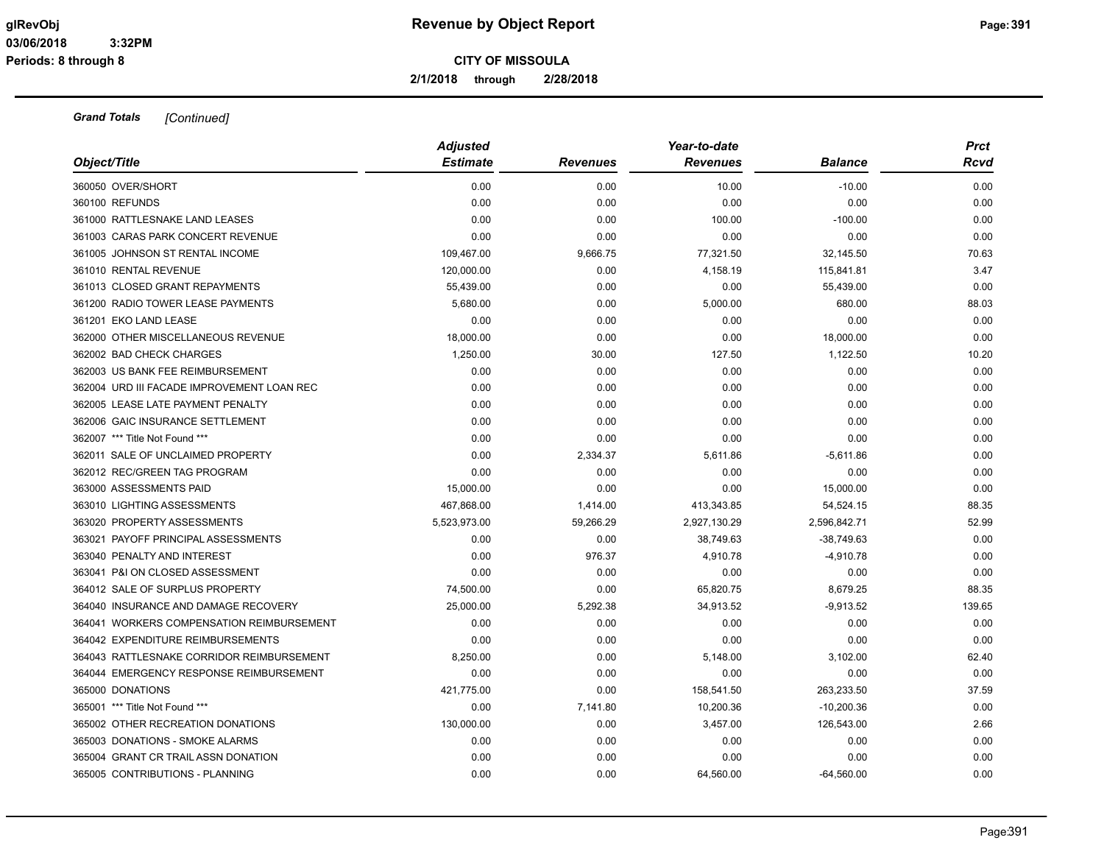**2/1/2018 through 2/28/2018**

| Object/Title                               | <b>Adjusted</b><br><b>Estimate</b> | <b>Revenues</b> | Year-to-date<br><b>Revenues</b> | <b>Balance</b> | <b>Prct</b><br>Rcvd |
|--------------------------------------------|------------------------------------|-----------------|---------------------------------|----------------|---------------------|
| 360050 OVER/SHORT                          | 0.00                               | 0.00            | 10.00                           | $-10.00$       | 0.00                |
| 360100 REFUNDS                             | 0.00                               | 0.00            | 0.00                            | 0.00           | 0.00                |
| 361000 RATTLESNAKE LAND LEASES             | 0.00                               | 0.00            | 100.00                          | $-100.00$      | 0.00                |
| 361003 CARAS PARK CONCERT REVENUE          | 0.00                               | 0.00            | 0.00                            | 0.00           | 0.00                |
| 361005 JOHNSON ST RENTAL INCOME            | 109,467.00                         | 9,666.75        | 77,321.50                       | 32,145.50      | 70.63               |
| 361010 RENTAL REVENUE                      | 120,000.00                         | 0.00            | 4,158.19                        | 115,841.81     | 3.47                |
| 361013 CLOSED GRANT REPAYMENTS             | 55,439.00                          | 0.00            | 0.00                            | 55,439.00      | 0.00                |
| 361200 RADIO TOWER LEASE PAYMENTS          | 5,680.00                           | 0.00            | 5,000.00                        | 680.00         | 88.03               |
| 361201 EKO LAND LEASE                      | 0.00                               | 0.00            | 0.00                            | 0.00           | 0.00                |
| 362000 OTHER MISCELLANEOUS REVENUE         | 18,000.00                          | 0.00            | 0.00                            | 18,000.00      | 0.00                |
| 362002 BAD CHECK CHARGES                   | 1,250.00                           | 30.00           | 127.50                          | 1,122.50       | 10.20               |
| 362003 US BANK FEE REIMBURSEMENT           | 0.00                               | 0.00            | 0.00                            | 0.00           | 0.00                |
| 362004 URD III FACADE IMPROVEMENT LOAN REC | 0.00                               | 0.00            | 0.00                            | 0.00           | 0.00                |
| 362005 LEASE LATE PAYMENT PENALTY          | 0.00                               | 0.00            | 0.00                            | 0.00           | 0.00                |
| 362006 GAIC INSURANCE SETTLEMENT           | 0.00                               | 0.00            | 0.00                            | 0.00           | 0.00                |
| 362007 *** Title Not Found ***             | 0.00                               | 0.00            | 0.00                            | 0.00           | 0.00                |
| 362011 SALE OF UNCLAIMED PROPERTY          | 0.00                               | 2,334.37        | 5,611.86                        | $-5,611.86$    | 0.00                |
| 362012 REC/GREEN TAG PROGRAM               | 0.00                               | 0.00            | 0.00                            | 0.00           | 0.00                |
| 363000 ASSESSMENTS PAID                    | 15,000.00                          | 0.00            | 0.00                            | 15,000.00      | 0.00                |
| 363010 LIGHTING ASSESSMENTS                | 467,868.00                         | 1,414.00        | 413,343.85                      | 54,524.15      | 88.35               |
| 363020 PROPERTY ASSESSMENTS                | 5,523,973.00                       | 59,266.29       | 2,927,130.29                    | 2,596,842.71   | 52.99               |
| 363021 PAYOFF PRINCIPAL ASSESSMENTS        | 0.00                               | 0.00            | 38,749.63                       | $-38,749.63$   | 0.00                |
| 363040 PENALTY AND INTEREST                | 0.00                               | 976.37          | 4,910.78                        | $-4,910.78$    | 0.00                |
| 363041 P&I ON CLOSED ASSESSMENT            | 0.00                               | 0.00            | 0.00                            | 0.00           | 0.00                |
| 364012 SALE OF SURPLUS PROPERTY            | 74,500.00                          | 0.00            | 65,820.75                       | 8,679.25       | 88.35               |
| 364040 INSURANCE AND DAMAGE RECOVERY       | 25,000.00                          | 5,292.38        | 34,913.52                       | $-9,913.52$    | 139.65              |
| 364041 WORKERS COMPENSATION REIMBURSEMENT  | 0.00                               | 0.00            | 0.00                            | 0.00           | 0.00                |
| 364042 EXPENDITURE REIMBURSEMENTS          | 0.00                               | 0.00            | 0.00                            | 0.00           | 0.00                |
| 364043 RATTLESNAKE CORRIDOR REIMBURSEMENT  | 8,250.00                           | 0.00            | 5,148.00                        | 3,102.00       | 62.40               |
| 364044 EMERGENCY RESPONSE REIMBURSEMENT    | 0.00                               | 0.00            | 0.00                            | 0.00           | 0.00                |
| 365000 DONATIONS                           | 421,775.00                         | 0.00            | 158,541.50                      | 263,233.50     | 37.59               |
| 365001 *** Title Not Found ***             | 0.00                               | 7,141.80        | 10,200.36                       | $-10,200.36$   | 0.00                |
| 365002 OTHER RECREATION DONATIONS          | 130,000.00                         | 0.00            | 3,457.00                        | 126,543.00     | 2.66                |
| 365003 DONATIONS - SMOKE ALARMS            | 0.00                               | 0.00            | 0.00                            | 0.00           | 0.00                |
| 365004 GRANT CR TRAIL ASSN DONATION        | 0.00                               | 0.00            | 0.00                            | 0.00           | 0.00                |
| 365005 CONTRIBUTIONS - PLANNING            | 0.00                               | 0.00            | 64.560.00                       | $-64.560.00$   | 0.00                |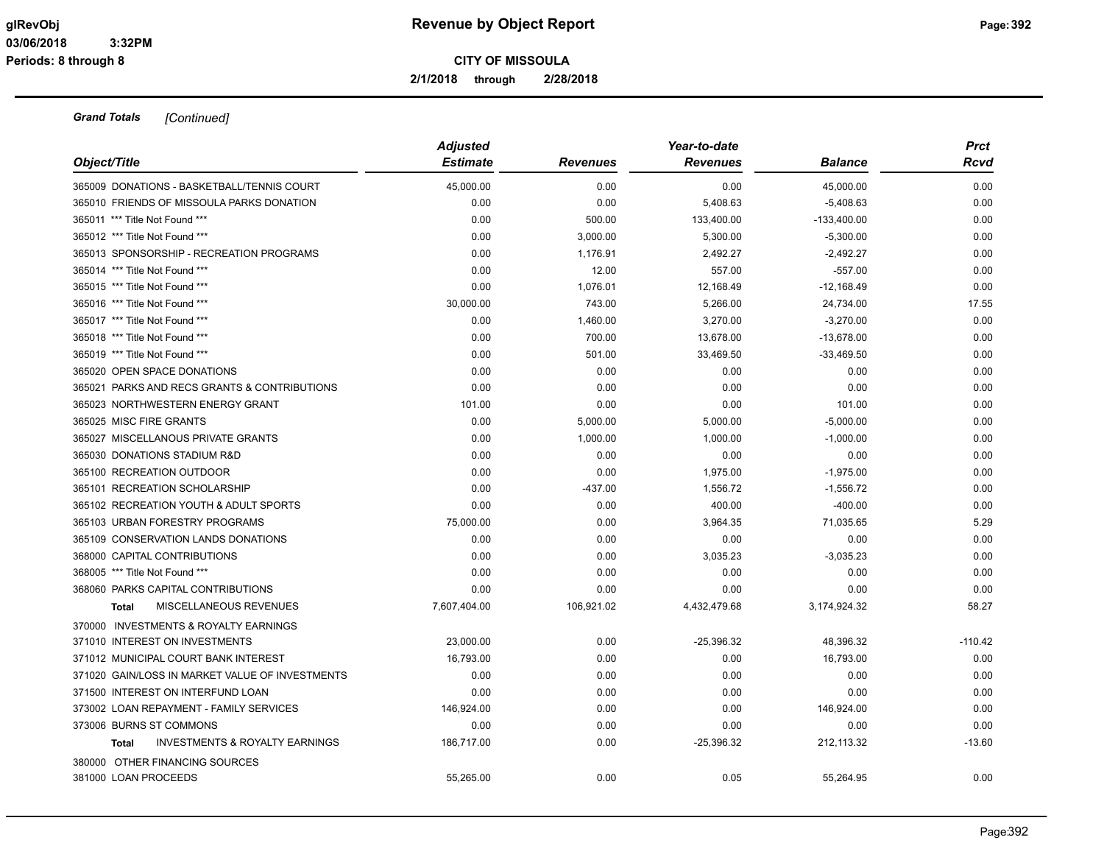**2/1/2018 through 2/28/2018**

| Object/Title                                              | <b>Adjusted</b><br><b>Estimate</b> | <b>Revenues</b> | Year-to-date<br><b>Revenues</b> | <b>Balance</b> | <b>Prct</b><br>Rcvd |
|-----------------------------------------------------------|------------------------------------|-----------------|---------------------------------|----------------|---------------------|
| 365009 DONATIONS - BASKETBALL/TENNIS COURT                | 45,000.00                          | 0.00            | 0.00                            | 45,000.00      | 0.00                |
| 365010 FRIENDS OF MISSOULA PARKS DONATION                 | 0.00                               | 0.00            | 5,408.63                        | $-5,408.63$    | 0.00                |
| 365011 *** Title Not Found ***                            | 0.00                               | 500.00          | 133,400.00                      | $-133,400.00$  | 0.00                |
| 365012 *** Title Not Found ***                            | 0.00                               | 3,000.00        | 5,300.00                        | $-5,300.00$    | 0.00                |
| 365013 SPONSORSHIP - RECREATION PROGRAMS                  | 0.00                               | 1,176.91        | 2,492.27                        | $-2,492.27$    | 0.00                |
| 365014 *** Title Not Found ***                            | 0.00                               | 12.00           | 557.00                          | $-557.00$      | 0.00                |
| 365015 *** Title Not Found ***                            | 0.00                               | 1,076.01        | 12,168.49                       | $-12,168.49$   | 0.00                |
| 365016 *** Title Not Found ***                            | 30,000.00                          | 743.00          | 5,266.00                        | 24,734.00      | 17.55               |
| 365017 *** Title Not Found ***                            | 0.00                               | 1,460.00        | 3,270.00                        | $-3,270.00$    | 0.00                |
| 365018 *** Title Not Found ***                            | 0.00                               | 700.00          | 13,678.00                       | $-13,678.00$   | 0.00                |
| 365019 *** Title Not Found ***                            | 0.00                               | 501.00          | 33,469.50                       | $-33,469.50$   | 0.00                |
| 365020 OPEN SPACE DONATIONS                               | 0.00                               | 0.00            | 0.00                            | 0.00           | 0.00                |
| 365021 PARKS AND RECS GRANTS & CONTRIBUTIONS              | 0.00                               | 0.00            | 0.00                            | 0.00           | 0.00                |
| 365023 NORTHWESTERN ENERGY GRANT                          | 101.00                             | 0.00            | 0.00                            | 101.00         | 0.00                |
| 365025 MISC FIRE GRANTS                                   | 0.00                               | 5,000.00        | 5,000.00                        | $-5,000.00$    | 0.00                |
| 365027 MISCELLANOUS PRIVATE GRANTS                        | 0.00                               | 1,000.00        | 1,000.00                        | $-1,000.00$    | 0.00                |
| 365030 DONATIONS STADIUM R&D                              | 0.00                               | 0.00            | 0.00                            | 0.00           | 0.00                |
| 365100 RECREATION OUTDOOR                                 | 0.00                               | 0.00            | 1,975.00                        | $-1,975.00$    | 0.00                |
| 365101 RECREATION SCHOLARSHIP                             | 0.00                               | $-437.00$       | 1,556.72                        | $-1,556.72$    | 0.00                |
| 365102 RECREATION YOUTH & ADULT SPORTS                    | 0.00                               | 0.00            | 400.00                          | $-400.00$      | 0.00                |
| 365103 URBAN FORESTRY PROGRAMS                            | 75,000.00                          | 0.00            | 3,964.35                        | 71,035.65      | 5.29                |
| 365109 CONSERVATION LANDS DONATIONS                       | 0.00                               | 0.00            | 0.00                            | 0.00           | 0.00                |
| 368000 CAPITAL CONTRIBUTIONS                              | 0.00                               | 0.00            | 3,035.23                        | $-3,035.23$    | 0.00                |
| 368005 *** Title Not Found ***                            | 0.00                               | 0.00            | 0.00                            | 0.00           | 0.00                |
| 368060 PARKS CAPITAL CONTRIBUTIONS                        | 0.00                               | 0.00            | 0.00                            | 0.00           | 0.00                |
| MISCELLANEOUS REVENUES<br><b>Total</b>                    | 7,607,404.00                       | 106,921.02      | 4,432,479.68                    | 3,174,924.32   | 58.27               |
| 370000 INVESTMENTS & ROYALTY EARNINGS                     |                                    |                 |                                 |                |                     |
| 371010 INTEREST ON INVESTMENTS                            | 23,000.00                          | 0.00            | $-25,396.32$                    | 48,396.32      | $-110.42$           |
| 371012 MUNICIPAL COURT BANK INTEREST                      | 16,793.00                          | 0.00            | 0.00                            | 16,793.00      | 0.00                |
| 371020 GAIN/LOSS IN MARKET VALUE OF INVESTMENTS           | 0.00                               | 0.00            | 0.00                            | 0.00           | 0.00                |
| 371500 INTEREST ON INTERFUND LOAN                         | 0.00                               | 0.00            | 0.00                            | 0.00           | 0.00                |
| 373002 LOAN REPAYMENT - FAMILY SERVICES                   | 146,924.00                         | 0.00            | 0.00                            | 146,924.00     | 0.00                |
| 373006 BURNS ST COMMONS                                   | 0.00                               | 0.00            | 0.00                            | 0.00           | 0.00                |
| <b>INVESTMENTS &amp; ROYALTY EARNINGS</b><br><b>Total</b> | 186,717.00                         | 0.00            | -25,396.32                      | 212,113.32     | $-13.60$            |
| 380000 OTHER FINANCING SOURCES                            |                                    |                 |                                 |                |                     |
| 381000 LOAN PROCEEDS                                      | 55,265.00                          | 0.00            | 0.05                            | 55,264.95      | 0.00                |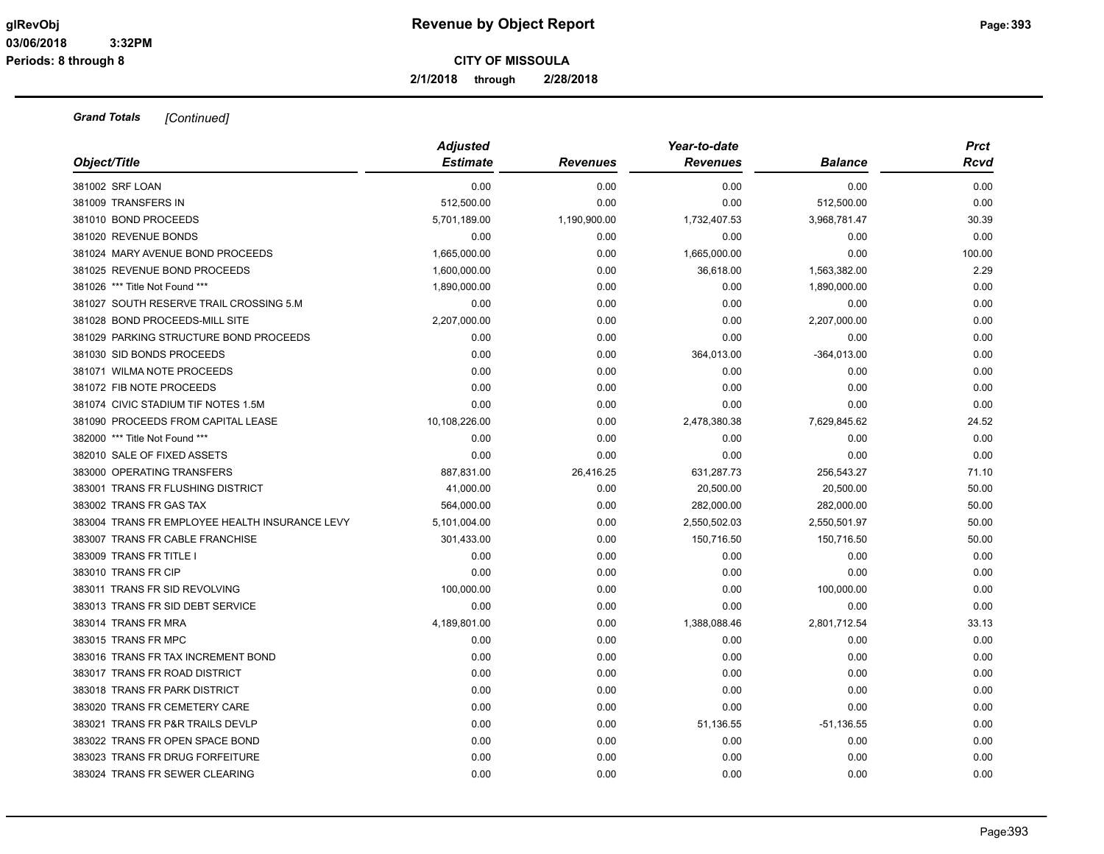**2/1/2018 through 2/28/2018**

| Object/Title                                   | <b>Adjusted</b> |                 | Year-to-date    |                | <b>Prct</b> |
|------------------------------------------------|-----------------|-----------------|-----------------|----------------|-------------|
|                                                | <b>Estimate</b> | <b>Revenues</b> | <b>Revenues</b> | <b>Balance</b> | <b>Rcvd</b> |
| 381002 SRF LOAN                                | 0.00            | 0.00            | 0.00            | 0.00           | 0.00        |
| 381009 TRANSFERS IN                            | 512,500.00      | 0.00            | 0.00            | 512,500.00     | 0.00        |
| 381010 BOND PROCEEDS                           | 5,701,189.00    | 1,190,900.00    | 1,732,407.53    | 3,968,781.47   | 30.39       |
| 381020 REVENUE BONDS                           | 0.00            | 0.00            | 0.00            | 0.00           | 0.00        |
| 381024 MARY AVENUE BOND PROCEEDS               | 1,665,000.00    | 0.00            | 1,665,000.00    | 0.00           | 100.00      |
| 381025 REVENUE BOND PROCEEDS                   | 1,600,000.00    | 0.00            | 36,618.00       | 1,563,382.00   | 2.29        |
| 381026 *** Title Not Found ***                 | 1,890,000.00    | 0.00            | 0.00            | 1,890,000.00   | 0.00        |
| 381027 SOUTH RESERVE TRAIL CROSSING 5.M        | 0.00            | 0.00            | 0.00            | 0.00           | 0.00        |
| 381028 BOND PROCEEDS-MILL SITE                 | 2,207,000.00    | 0.00            | 0.00            | 2,207,000.00   | 0.00        |
| 381029 PARKING STRUCTURE BOND PROCEEDS         | 0.00            | 0.00            | 0.00            | 0.00           | 0.00        |
| 381030 SID BONDS PROCEEDS                      | 0.00            | 0.00            | 364,013.00      | $-364,013.00$  | 0.00        |
| 381071 WILMA NOTE PROCEEDS                     | 0.00            | 0.00            | 0.00            | 0.00           | 0.00        |
| 381072 FIB NOTE PROCEEDS                       | 0.00            | 0.00            | 0.00            | 0.00           | 0.00        |
| 381074 CIVIC STADIUM TIF NOTES 1.5M            | 0.00            | 0.00            | 0.00            | 0.00           | 0.00        |
| 381090 PROCEEDS FROM CAPITAL LEASE             | 10,108,226.00   | 0.00            | 2,478,380.38    | 7,629,845.62   | 24.52       |
| 382000 *** Title Not Found ***                 | 0.00            | 0.00            | 0.00            | 0.00           | 0.00        |
| 382010 SALE OF FIXED ASSETS                    | 0.00            | 0.00            | 0.00            | 0.00           | 0.00        |
| 383000 OPERATING TRANSFERS                     | 887,831.00      | 26,416.25       | 631,287.73      | 256,543.27     | 71.10       |
| 383001 TRANS FR FLUSHING DISTRICT              | 41,000.00       | 0.00            | 20,500.00       | 20,500.00      | 50.00       |
| 383002 TRANS FR GAS TAX                        | 564,000.00      | 0.00            | 282,000.00      | 282,000.00     | 50.00       |
| 383004 TRANS FR EMPLOYEE HEALTH INSURANCE LEVY | 5,101,004.00    | 0.00            | 2,550,502.03    | 2,550,501.97   | 50.00       |
| 383007 TRANS FR CABLE FRANCHISE                | 301,433.00      | 0.00            | 150,716.50      | 150,716.50     | 50.00       |
| 383009 TRANS FR TITLE I                        | 0.00            | 0.00            | 0.00            | 0.00           | 0.00        |
| 383010 TRANS FR CIP                            | 0.00            | 0.00            | 0.00            | 0.00           | 0.00        |
| 383011 TRANS FR SID REVOLVING                  | 100,000.00      | 0.00            | 0.00            | 100,000.00     | 0.00        |
| 383013 TRANS FR SID DEBT SERVICE               | 0.00            | 0.00            | 0.00            | 0.00           | 0.00        |
| 383014 TRANS FR MRA                            | 4,189,801.00    | 0.00            | 1,388,088.46    | 2,801,712.54   | 33.13       |
| 383015 TRANS FR MPC                            | 0.00            | 0.00            | 0.00            | 0.00           | 0.00        |
| 383016 TRANS FR TAX INCREMENT BOND             | 0.00            | 0.00            | 0.00            | 0.00           | 0.00        |
| 383017 TRANS FR ROAD DISTRICT                  | 0.00            | 0.00            | 0.00            | 0.00           | 0.00        |
| 383018 TRANS FR PARK DISTRICT                  | 0.00            | 0.00            | 0.00            | 0.00           | 0.00        |
| 383020 TRANS FR CEMETERY CARE                  | 0.00            | 0.00            | 0.00            | 0.00           | 0.00        |
| 383021 TRANS FR P&R TRAILS DEVLP               | 0.00            | 0.00            | 51,136.55       | $-51, 136.55$  | 0.00        |
| 383022 TRANS FR OPEN SPACE BOND                | 0.00            | 0.00            | 0.00            | 0.00           | 0.00        |
| 383023 TRANS FR DRUG FORFEITURE                | 0.00            | 0.00            | 0.00            | 0.00           | 0.00        |
| 383024 TRANS FR SEWER CLEARING                 | 0.00            | 0.00            | 0.00            | 0.00           | 0.00        |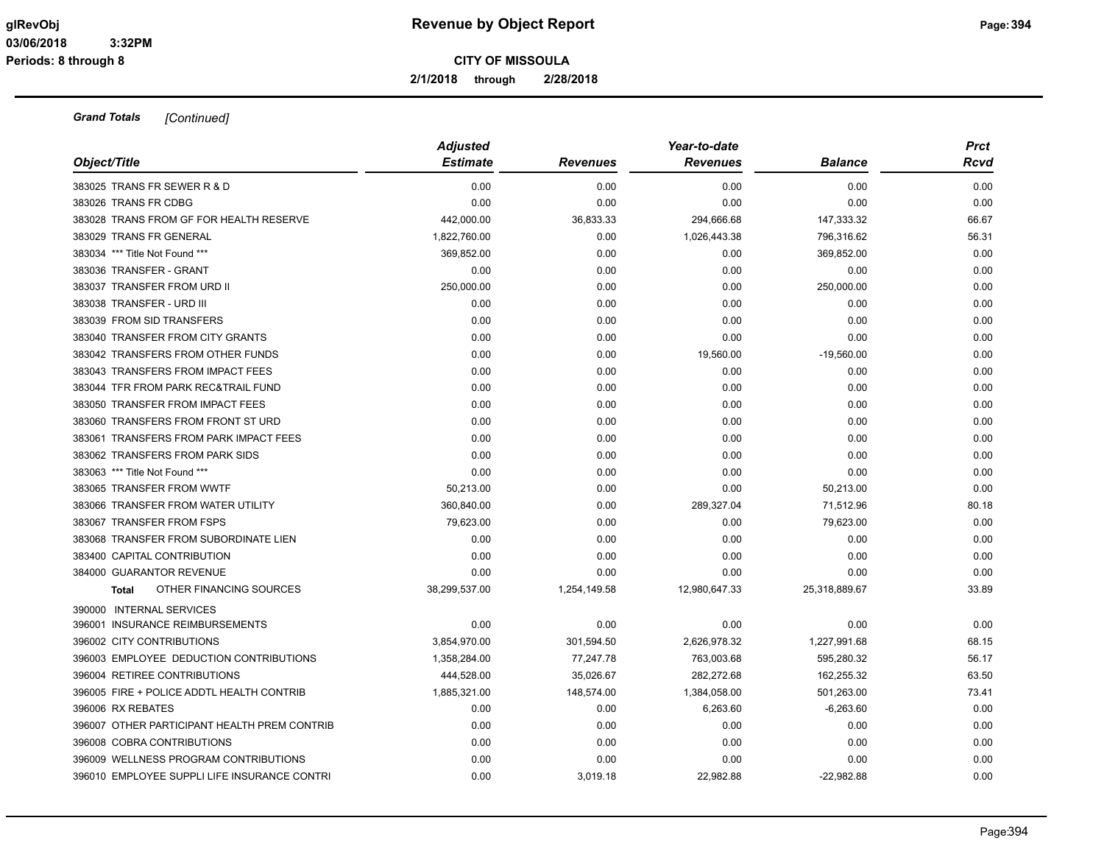**2/1/2018 through 2/28/2018**

| Object/Title                                 | <b>Adjusted</b><br><b>Estimate</b> | <b>Revenues</b> | Year-to-date<br><b>Revenues</b> | <b>Balance</b> | <b>Prct</b><br>Rcvd |
|----------------------------------------------|------------------------------------|-----------------|---------------------------------|----------------|---------------------|
| 383025 TRANS FR SEWER R & D                  | 0.00                               | 0.00            | 0.00                            | 0.00           | 0.00                |
| 383026 TRANS FR CDBG                         | 0.00                               | 0.00            | 0.00                            | 0.00           | 0.00                |
| 383028 TRANS FROM GF FOR HEALTH RESERVE      | 442,000.00                         | 36,833.33       | 294,666.68                      | 147,333.32     | 66.67               |
| 383029 TRANS FR GENERAL                      | 1,822,760.00                       | 0.00            | 1,026,443.38                    | 796,316.62     | 56.31               |
| 383034 *** Title Not Found ***               | 369,852.00                         | 0.00            | 0.00                            | 369,852.00     | 0.00                |
| 383036 TRANSFER - GRANT                      | 0.00                               | 0.00            | 0.00                            | 0.00           | 0.00                |
| 383037 TRANSFER FROM URD II                  | 250,000.00                         | 0.00            | 0.00                            | 250,000.00     | 0.00                |
| 383038 TRANSFER - URD III                    | 0.00                               | 0.00            | 0.00                            | 0.00           | 0.00                |
| 383039 FROM SID TRANSFERS                    | 0.00                               | 0.00            | 0.00                            | 0.00           | 0.00                |
| 383040 TRANSFER FROM CITY GRANTS             | 0.00                               | 0.00            | 0.00                            | 0.00           | 0.00                |
| 383042 TRANSFERS FROM OTHER FUNDS            | 0.00                               | 0.00            | 19,560.00                       | $-19,560.00$   | 0.00                |
| 383043 TRANSFERS FROM IMPACT FEES            | 0.00                               | 0.00            | 0.00                            | 0.00           | 0.00                |
| 383044 TFR FROM PARK REC&TRAIL FUND          | 0.00                               | 0.00            | 0.00                            | 0.00           | 0.00                |
| 383050 TRANSFER FROM IMPACT FEES             | 0.00                               | 0.00            | 0.00                            | 0.00           | 0.00                |
| 383060 TRANSFERS FROM FRONT ST URD           | 0.00                               | 0.00            | 0.00                            | 0.00           | 0.00                |
| 383061 TRANSFERS FROM PARK IMPACT FEES       | 0.00                               | 0.00            | 0.00                            | 0.00           | 0.00                |
| 383062 TRANSFERS FROM PARK SIDS              | 0.00                               | 0.00            | 0.00                            | 0.00           | 0.00                |
| 383063 *** Title Not Found ***               | 0.00                               | 0.00            | 0.00                            | 0.00           | 0.00                |
| 383065 TRANSFER FROM WWTF                    | 50,213.00                          | 0.00            | 0.00                            | 50,213.00      | 0.00                |
| 383066 TRANSFER FROM WATER UTILITY           | 360,840.00                         | 0.00            | 289,327.04                      | 71,512.96      | 80.18               |
| 383067 TRANSFER FROM FSPS                    | 79,623.00                          | 0.00            | 0.00                            | 79,623.00      | 0.00                |
| 383068 TRANSFER FROM SUBORDINATE LIEN        | 0.00                               | 0.00            | 0.00                            | 0.00           | 0.00                |
| 383400 CAPITAL CONTRIBUTION                  | 0.00                               | 0.00            | 0.00                            | 0.00           | 0.00                |
| 384000 GUARANTOR REVENUE                     | 0.00                               | 0.00            | 0.00                            | 0.00           | 0.00                |
| OTHER FINANCING SOURCES<br><b>Total</b>      | 38,299,537.00                      | 1,254,149.58    | 12,980,647.33                   | 25,318,889.67  | 33.89               |
| 390000 INTERNAL SERVICES                     |                                    |                 |                                 |                |                     |
| 396001 INSURANCE REIMBURSEMENTS              | 0.00                               | 0.00            | 0.00                            | 0.00           | 0.00                |
| 396002 CITY CONTRIBUTIONS                    | 3,854,970.00                       | 301,594.50      | 2,626,978.32                    | 1,227,991.68   | 68.15               |
| 396003 EMPLOYEE DEDUCTION CONTRIBUTIONS      | 1,358,284.00                       | 77,247.78       | 763,003.68                      | 595,280.32     | 56.17               |
| 396004 RETIREE CONTRIBUTIONS                 | 444,528.00                         | 35,026.67       | 282,272.68                      | 162,255.32     | 63.50               |
| 396005 FIRE + POLICE ADDTL HEALTH CONTRIB    | 1,885,321.00                       | 148,574.00      | 1,384,058.00                    | 501,263.00     | 73.41               |
| 396006 RX REBATES                            | 0.00                               | 0.00            | 6,263.60                        | $-6,263.60$    | 0.00                |
| 396007 OTHER PARTICIPANT HEALTH PREM CONTRIB | 0.00                               | 0.00            | 0.00                            | 0.00           | 0.00                |
| 396008 COBRA CONTRIBUTIONS                   | 0.00                               | 0.00            | 0.00                            | 0.00           | 0.00                |
| 396009 WELLNESS PROGRAM CONTRIBUTIONS        | 0.00                               | 0.00            | 0.00                            | 0.00           | 0.00                |
| 396010 EMPLOYEE SUPPLI LIFE INSURANCE CONTRI | 0.00                               | 3,019.18        | 22,982.88                       | $-22,982.88$   | 0.00                |